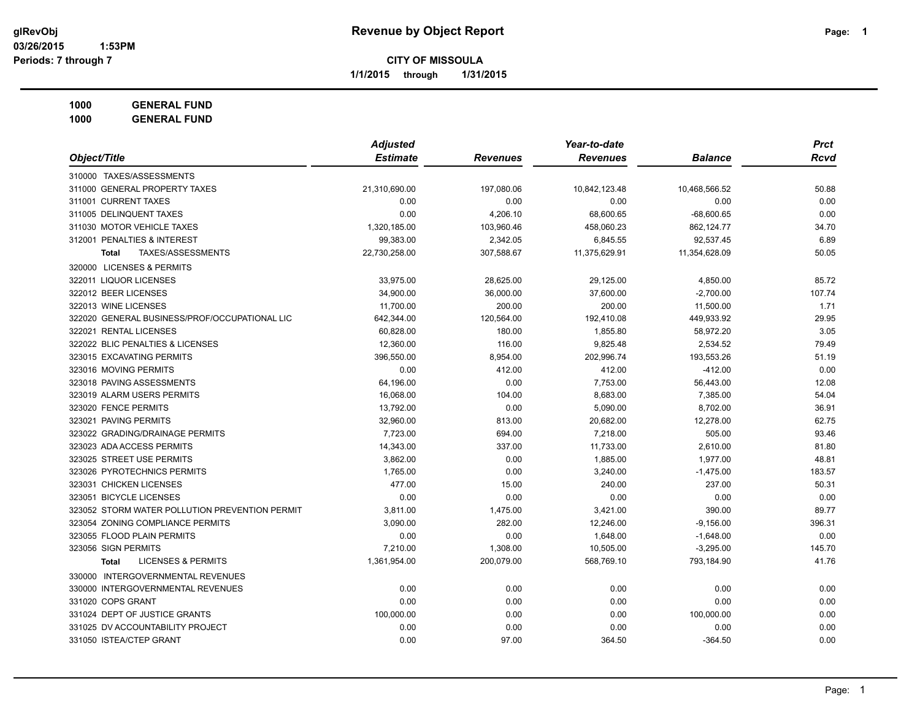**1/1/2015 through 1/31/2015**

**1000 GENERAL FUND**

| Object/Title                                   | <b>Adjusted</b> |                 | Year-to-date    |                | <b>Prct</b> |
|------------------------------------------------|-----------------|-----------------|-----------------|----------------|-------------|
|                                                | <b>Estimate</b> | <b>Revenues</b> | <b>Revenues</b> | <b>Balance</b> | <b>Rcvd</b> |
| 310000 TAXES/ASSESSMENTS                       |                 |                 |                 |                |             |
| 311000 GENERAL PROPERTY TAXES                  | 21,310,690.00   | 197,080.06      | 10,842,123.48   | 10,468,566.52  | 50.88       |
| 311001 CURRENT TAXES                           | 0.00            | 0.00            | 0.00            | 0.00           | 0.00        |
| 311005 DELINQUENT TAXES                        | 0.00            | 4,206.10        | 68,600.65       | $-68,600.65$   | 0.00        |
| 311030 MOTOR VEHICLE TAXES                     | 1,320,185.00    | 103,960.46      | 458,060.23      | 862,124.77     | 34.70       |
| 312001 PENALTIES & INTEREST                    | 99,383.00       | 2,342.05        | 6,845.55        | 92,537.45      | 6.89        |
| TAXES/ASSESSMENTS<br><b>Total</b>              | 22,730,258.00   | 307,588.67      | 11,375,629.91   | 11,354,628.09  | 50.05       |
| 320000 LICENSES & PERMITS                      |                 |                 |                 |                |             |
| 322011 LIQUOR LICENSES                         | 33,975.00       | 28,625.00       | 29,125.00       | 4,850.00       | 85.72       |
| 322012 BEER LICENSES                           | 34,900.00       | 36,000.00       | 37,600.00       | $-2,700.00$    | 107.74      |
| 322013 WINE LICENSES                           | 11,700.00       | 200.00          | 200.00          | 11,500.00      | 1.71        |
| 322020 GENERAL BUSINESS/PROF/OCCUPATIONAL LIC  | 642,344.00      | 120,564.00      | 192,410.08      | 449,933.92     | 29.95       |
| 322021 RENTAL LICENSES                         | 60,828.00       | 180.00          | 1,855.80        | 58,972.20      | 3.05        |
| 322022 BLIC PENALTIES & LICENSES               | 12,360.00       | 116.00          | 9,825.48        | 2,534.52       | 79.49       |
| 323015 EXCAVATING PERMITS                      | 396,550.00      | 8,954.00        | 202,996.74      | 193,553.26     | 51.19       |
| 323016 MOVING PERMITS                          | 0.00            | 412.00          | 412.00          | $-412.00$      | 0.00        |
| 323018 PAVING ASSESSMENTS                      | 64,196.00       | 0.00            | 7,753.00        | 56,443.00      | 12.08       |
| 323019 ALARM USERS PERMITS                     | 16,068.00       | 104.00          | 8,683.00        | 7,385.00       | 54.04       |
| 323020 FENCE PERMITS                           | 13,792.00       | 0.00            | 5,090.00        | 8,702.00       | 36.91       |
| 323021 PAVING PERMITS                          | 32,960.00       | 813.00          | 20,682.00       | 12,278.00      | 62.75       |
| 323022 GRADING/DRAINAGE PERMITS                | 7,723.00        | 694.00          | 7,218.00        | 505.00         | 93.46       |
| 323023 ADA ACCESS PERMITS                      | 14,343.00       | 337.00          | 11,733.00       | 2,610.00       | 81.80       |
| 323025 STREET USE PERMITS                      | 3,862.00        | 0.00            | 1,885.00        | 1,977.00       | 48.81       |
| 323026 PYROTECHNICS PERMITS                    | 1,765.00        | 0.00            | 3,240.00        | $-1,475.00$    | 183.57      |
| 323031 CHICKEN LICENSES                        | 477.00          | 15.00           | 240.00          | 237.00         | 50.31       |
| 323051 BICYCLE LICENSES                        | 0.00            | 0.00            | 0.00            | 0.00           | 0.00        |
| 323052 STORM WATER POLLUTION PREVENTION PERMIT | 3,811.00        | 1,475.00        | 3,421.00        | 390.00         | 89.77       |
| 323054 ZONING COMPLIANCE PERMITS               | 3,090.00        | 282.00          | 12,246.00       | $-9,156.00$    | 396.31      |
| 323055 FLOOD PLAIN PERMITS                     | 0.00            | 0.00            | 1,648.00        | $-1,648.00$    | 0.00        |
| 323056 SIGN PERMITS                            | 7,210.00        | 1,308.00        | 10,505.00       | $-3,295.00$    | 145.70      |
| <b>LICENSES &amp; PERMITS</b><br><b>Total</b>  | 1,361,954.00    | 200,079.00      | 568,769.10      | 793,184.90     | 41.76       |
| 330000 INTERGOVERNMENTAL REVENUES              |                 |                 |                 |                |             |
| 330000 INTERGOVERNMENTAL REVENUES              | 0.00            | 0.00            | 0.00            | 0.00           | 0.00        |
| 331020 COPS GRANT                              | 0.00            | 0.00            | 0.00            | 0.00           | 0.00        |
| 331024 DEPT OF JUSTICE GRANTS                  | 100,000.00      | 0.00            | 0.00            | 100,000.00     | 0.00        |
| 331025 DV ACCOUNTABILITY PROJECT               | 0.00            | 0.00            | 0.00            | 0.00           | 0.00        |
| 331050 ISTEA/CTEP GRANT                        | 0.00            | 97.00           | 364.50          | $-364.50$      | 0.00        |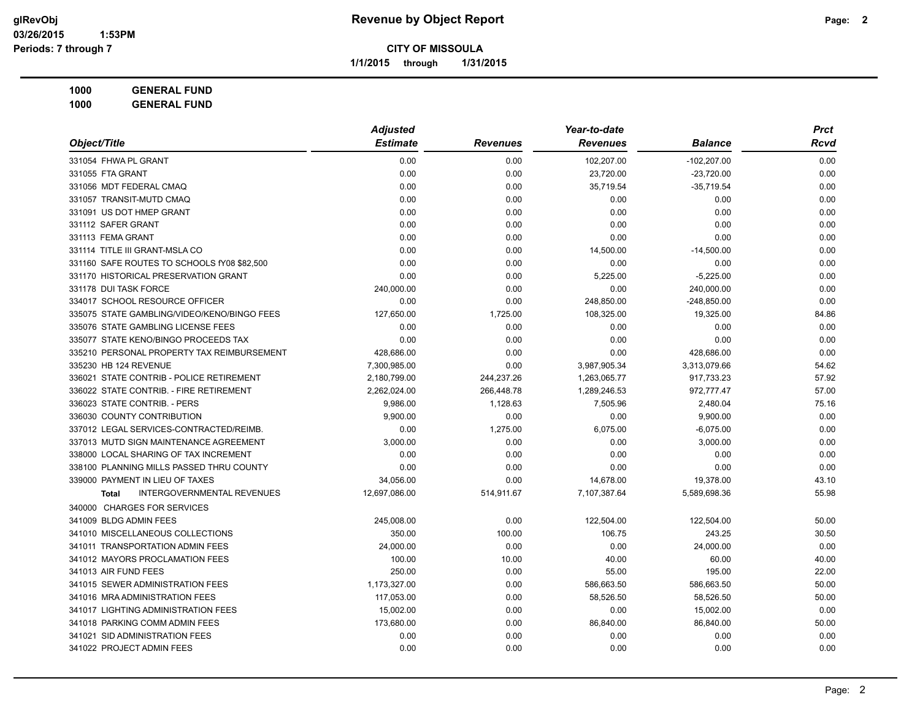**1/1/2015 through 1/31/2015**

**1000 GENERAL FUND 1000 GENERAL FUND**

| Object/Title                                | <b>Adjusted</b> |                 | Year-to-date    |                | <b>Prct</b> |
|---------------------------------------------|-----------------|-----------------|-----------------|----------------|-------------|
|                                             | <b>Estimate</b> | <b>Revenues</b> | <b>Revenues</b> | <b>Balance</b> | Rcvd        |
| 331054 FHWA PL GRANT                        | 0.00            | 0.00            | 102,207.00      | $-102,207.00$  | 0.00        |
| 331055 FTA GRANT                            | 0.00            | 0.00            | 23,720.00       | $-23,720.00$   | 0.00        |
| 331056 MDT FEDERAL CMAQ                     | 0.00            | 0.00            | 35,719.54       | $-35,719.54$   | 0.00        |
| 331057 TRANSIT-MUTD CMAQ                    | 0.00            | 0.00            | 0.00            | 0.00           | 0.00        |
| 331091 US DOT HMEP GRANT                    | 0.00            | 0.00            | 0.00            | 0.00           | 0.00        |
| 331112 SAFER GRANT                          | 0.00            | 0.00            | 0.00            | 0.00           | 0.00        |
| 331113 FEMA GRANT                           | 0.00            | 0.00            | 0.00            | 0.00           | 0.00        |
| 331114 TITLE III GRANT-MSLA CO              | 0.00            | 0.00            | 14,500.00       | $-14,500.00$   | 0.00        |
| 331160 SAFE ROUTES TO SCHOOLS fY08 \$82,500 | 0.00            | 0.00            | 0.00            | 0.00           | 0.00        |
| 331170 HISTORICAL PRESERVATION GRANT        | 0.00            | 0.00            | 5,225.00        | $-5,225.00$    | 0.00        |
| 331178 DUI TASK FORCE                       | 240,000.00      | 0.00            | 0.00            | 240,000.00     | 0.00        |
| 334017 SCHOOL RESOURCE OFFICER              | 0.00            | 0.00            | 248,850.00      | $-248,850.00$  | 0.00        |
| 335075 STATE GAMBLING/VIDEO/KENO/BINGO FEES | 127,650.00      | 1,725.00        | 108,325.00      | 19,325.00      | 84.86       |
| 335076 STATE GAMBLING LICENSE FEES          | 0.00            | 0.00            | 0.00            | 0.00           | 0.00        |
| 335077 STATE KENO/BINGO PROCEEDS TAX        | 0.00            | 0.00            | 0.00            | 0.00           | 0.00        |
| 335210 PERSONAL PROPERTY TAX REIMBURSEMENT  | 428,686.00      | 0.00            | 0.00            | 428,686.00     | 0.00        |
| 335230 HB 124 REVENUE                       | 7,300,985.00    | 0.00            | 3,987,905.34    | 3,313,079.66   | 54.62       |
| 336021 STATE CONTRIB - POLICE RETIREMENT    | 2,180,799.00    | 244,237.26      | 1,263,065.77    | 917,733.23     | 57.92       |
| 336022 STATE CONTRIB. - FIRE RETIREMENT     | 2,262,024.00    | 266,448.78      | 1,289,246.53    | 972,777.47     | 57.00       |
| 336023 STATE CONTRIB. - PERS                | 9.986.00        | 1,128.63        | 7,505.96        | 2,480.04       | 75.16       |
| 336030 COUNTY CONTRIBUTION                  | 9,900.00        | 0.00            | 0.00            | 9,900.00       | 0.00        |
| 337012 LEGAL SERVICES-CONTRACTED/REIMB.     | 0.00            | 1,275.00        | 6,075.00        | $-6,075.00$    | 0.00        |
| 337013 MUTD SIGN MAINTENANCE AGREEMENT      | 3,000.00        | 0.00            | 0.00            | 3,000.00       | 0.00        |
| 338000 LOCAL SHARING OF TAX INCREMENT       | 0.00            | 0.00            | 0.00            | 0.00           | 0.00        |
| 338100 PLANNING MILLS PASSED THRU COUNTY    | 0.00            | 0.00            | 0.00            | 0.00           | 0.00        |
| 339000 PAYMENT IN LIEU OF TAXES             | 34,056.00       | 0.00            | 14,678.00       | 19,378.00      | 43.10       |
| INTERGOVERNMENTAL REVENUES<br><b>Total</b>  | 12,697,086.00   | 514,911.67      | 7,107,387.64    | 5,589,698.36   | 55.98       |
| 340000 CHARGES FOR SERVICES                 |                 |                 |                 |                |             |
| 341009 BLDG ADMIN FEES                      | 245,008.00      | 0.00            | 122,504.00      | 122,504.00     | 50.00       |
| 341010 MISCELLANEOUS COLLECTIONS            | 350.00          | 100.00          | 106.75          | 243.25         | 30.50       |
| 341011 TRANSPORTATION ADMIN FEES            | 24,000.00       | 0.00            | 0.00            | 24,000.00      | 0.00        |
| 341012 MAYORS PROCLAMATION FEES             | 100.00          | 10.00           | 40.00           | 60.00          | 40.00       |
| 341013 AIR FUND FEES                        | 250.00          | 0.00            | 55.00           | 195.00         | 22.00       |
| 341015 SEWER ADMINISTRATION FEES            | 1,173,327.00    | 0.00            | 586,663.50      | 586,663.50     | 50.00       |
| 341016 MRA ADMINISTRATION FEES              | 117,053.00      | 0.00            | 58,526.50       | 58,526.50      | 50.00       |
| 341017 LIGHTING ADMINISTRATION FEES         | 15,002.00       | 0.00            | 0.00            | 15,002.00      | 0.00        |
| 341018 PARKING COMM ADMIN FEES              | 173,680.00      | 0.00            | 86,840.00       | 86,840.00      | 50.00       |
| 341021 SID ADMINISTRATION FEES              | 0.00            | 0.00            | 0.00            | 0.00           | 0.00        |
| 341022 PROJECT ADMIN FEES                   | 0.00            | 0.00            | 0.00            | 0.00           | 0.00        |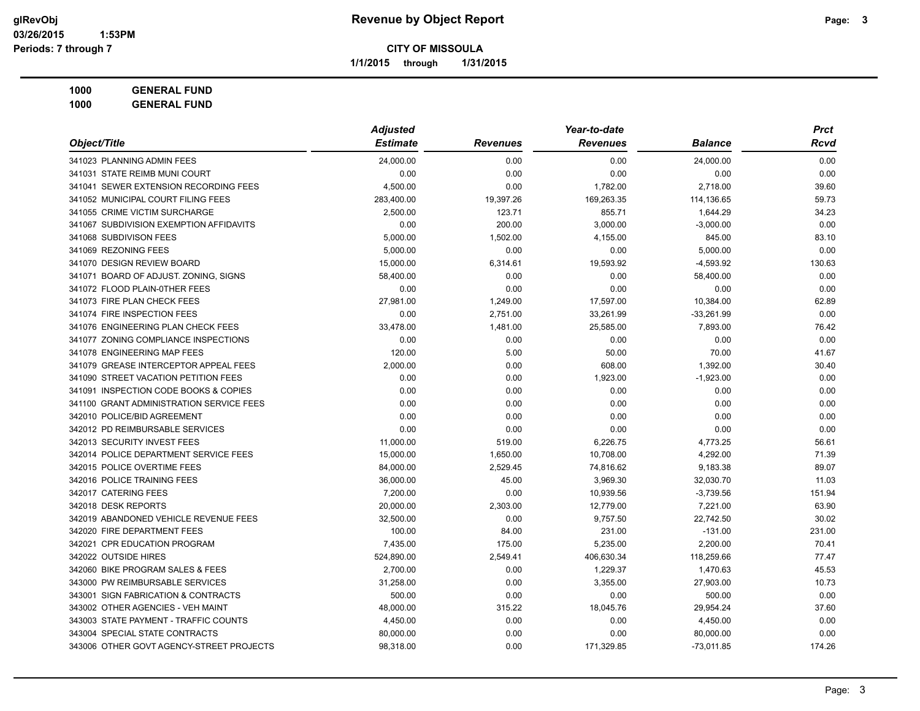**1/1/2015 through 1/31/2015**

**1000 GENERAL FUND 1000 GENERAL FUND**

| Object/Title                             | <b>Adjusted</b> |                 | Year-to-date    |                | <b>Prct</b> |
|------------------------------------------|-----------------|-----------------|-----------------|----------------|-------------|
|                                          | <b>Estimate</b> | <b>Revenues</b> | <b>Revenues</b> | <b>Balance</b> | <b>Rcvd</b> |
| 341023 PLANNING ADMIN FEES               | 24,000.00       | 0.00            | 0.00            | 24,000.00      | 0.00        |
| 341031 STATE REIMB MUNI COURT            | 0.00            | 0.00            | 0.00            | 0.00           | 0.00        |
| 341041 SEWER EXTENSION RECORDING FEES    | 4,500.00        | 0.00            | 1,782.00        | 2,718.00       | 39.60       |
| 341052 MUNICIPAL COURT FILING FEES       | 283,400.00      | 19,397.26       | 169,263.35      | 114,136.65     | 59.73       |
| 341055 CRIME VICTIM SURCHARGE            | 2,500.00        | 123.71          | 855.71          | 1,644.29       | 34.23       |
| 341067 SUBDIVISION EXEMPTION AFFIDAVITS  | 0.00            | 200.00          | 3,000.00        | $-3,000.00$    | 0.00        |
| 341068 SUBDIVISON FEES                   | 5,000.00        | 1,502.00        | 4,155.00        | 845.00         | 83.10       |
| 341069 REZONING FEES                     | 5,000.00        | 0.00            | 0.00            | 5,000.00       | 0.00        |
| 341070 DESIGN REVIEW BOARD               | 15,000.00       | 6,314.61        | 19,593.92       | $-4,593.92$    | 130.63      |
| 341071 BOARD OF ADJUST. ZONING, SIGNS    | 58,400.00       | 0.00            | 0.00            | 58,400.00      | 0.00        |
| 341072 FLOOD PLAIN-0THER FEES            | 0.00            | 0.00            | 0.00            | 0.00           | 0.00        |
| 341073 FIRE PLAN CHECK FEES              | 27,981.00       | 1,249.00        | 17,597.00       | 10,384.00      | 62.89       |
| 341074 FIRE INSPECTION FEES              | 0.00            | 2,751.00        | 33,261.99       | $-33,261.99$   | 0.00        |
| 341076 ENGINEERING PLAN CHECK FEES       | 33,478.00       | 1,481.00        | 25,585.00       | 7,893.00       | 76.42       |
| 341077 ZONING COMPLIANCE INSPECTIONS     | 0.00            | 0.00            | 0.00            | 0.00           | 0.00        |
| 341078 ENGINEERING MAP FEES              | 120.00          | 5.00            | 50.00           | 70.00          | 41.67       |
| 341079 GREASE INTERCEPTOR APPEAL FEES    | 2,000.00        | 0.00            | 608.00          | 1,392.00       | 30.40       |
| 341090 STREET VACATION PETITION FEES     | 0.00            | 0.00            | 1,923.00        | $-1,923.00$    | 0.00        |
| 341091 INSPECTION CODE BOOKS & COPIES    | 0.00            | 0.00            | 0.00            | 0.00           | 0.00        |
| 341100 GRANT ADMINISTRATION SERVICE FEES | 0.00            | 0.00            | 0.00            | 0.00           | 0.00        |
| 342010 POLICE/BID AGREEMENT              | 0.00            | 0.00            | 0.00            | 0.00           | 0.00        |
| 342012 PD REIMBURSABLE SERVICES          | 0.00            | 0.00            | 0.00            | 0.00           | 0.00        |
| 342013 SECURITY INVEST FEES              | 11,000.00       | 519.00          | 6,226.75        | 4,773.25       | 56.61       |
| 342014 POLICE DEPARTMENT SERVICE FEES    | 15,000.00       | 1,650.00        | 10,708.00       | 4,292.00       | 71.39       |
| 342015 POLICE OVERTIME FEES              | 84,000.00       | 2,529.45        | 74,816.62       | 9,183.38       | 89.07       |
| 342016 POLICE TRAINING FEES              | 36,000.00       | 45.00           | 3,969.30        | 32,030.70      | 11.03       |
| 342017 CATERING FEES                     | 7,200.00        | 0.00            | 10,939.56       | $-3,739.56$    | 151.94      |
| 342018 DESK REPORTS                      | 20,000.00       | 2,303.00        | 12,779.00       | 7,221.00       | 63.90       |
| 342019 ABANDONED VEHICLE REVENUE FEES    | 32,500.00       | 0.00            | 9,757.50        | 22,742.50      | 30.02       |
| 342020 FIRE DEPARTMENT FEES              | 100.00          | 84.00           | 231.00          | $-131.00$      | 231.00      |
| 342021 CPR EDUCATION PROGRAM             | 7,435.00        | 175.00          | 5,235.00        | 2,200.00       | 70.41       |
| 342022 OUTSIDE HIRES                     | 524,890.00      | 2,549.41        | 406,630.34      | 118,259.66     | 77.47       |
| 342060 BIKE PROGRAM SALES & FEES         | 2,700.00        | 0.00            | 1,229.37        | 1,470.63       | 45.53       |
| 343000 PW REIMBURSABLE SERVICES          | 31,258.00       | 0.00            | 3,355.00        | 27,903.00      | 10.73       |
| 343001 SIGN FABRICATION & CONTRACTS      | 500.00          | 0.00            | 0.00            | 500.00         | 0.00        |
| 343002 OTHER AGENCIES - VEH MAINT        | 48,000.00       | 315.22          | 18,045.76       | 29,954.24      | 37.60       |
| 343003 STATE PAYMENT - TRAFFIC COUNTS    | 4,450.00        | 0.00            | 0.00            | 4,450.00       | 0.00        |
| 343004 SPECIAL STATE CONTRACTS           | 80,000.00       | 0.00            | 0.00            | 80,000.00      | 0.00        |
| 343006 OTHER GOVT AGENCY-STREET PROJECTS | 98,318.00       | 0.00            | 171,329.85      | $-73,011.85$   | 174.26      |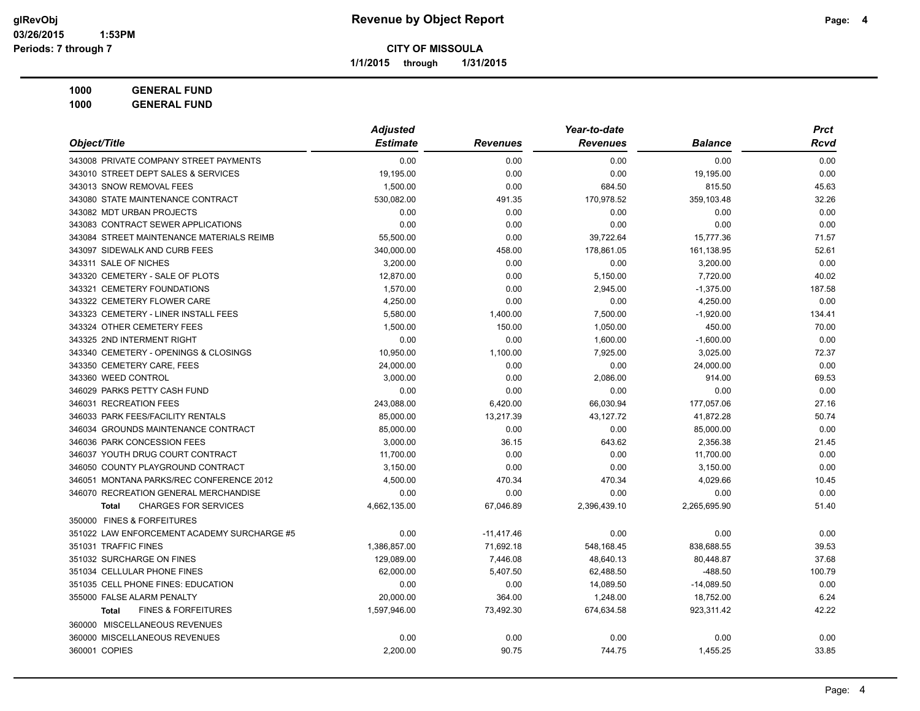**1/1/2015 through 1/31/2015**

| <b>GENERAL FUND</b><br>1000 |
|-----------------------------|
|-----------------------------|

| Object/Title<br><b>Estimate</b><br>0.00<br>343008 PRIVATE COMPANY STREET PAYMENTS<br>343010 STREET DEPT SALES & SERVICES<br>19,195.00<br>343013 SNOW REMOVAL FEES<br>1,500.00<br>343080 STATE MAINTENANCE CONTRACT<br>530,082.00<br>343082 MDT URBAN PROJECTS<br>0.00<br>343083 CONTRACT SEWER APPLICATIONS<br>0.00 | <b>Revenues</b><br>0.00<br>0.00<br>0.00<br>491.35<br>0.00<br>0.00<br>0.00<br>458.00 | <b>Revenues</b><br>0.00<br>0.00<br>684.50<br>170,978.52<br>0.00<br>0.00<br>39,722.64 | <b>Balance</b><br>0.00<br>19,195.00<br>815.50<br>359,103.48<br>0.00<br>0.00 | <b>Rcvd</b><br>0.00<br>0.00<br>45.63<br>32.26<br>0.00 |
|---------------------------------------------------------------------------------------------------------------------------------------------------------------------------------------------------------------------------------------------------------------------------------------------------------------------|-------------------------------------------------------------------------------------|--------------------------------------------------------------------------------------|-----------------------------------------------------------------------------|-------------------------------------------------------|
|                                                                                                                                                                                                                                                                                                                     |                                                                                     |                                                                                      |                                                                             |                                                       |
|                                                                                                                                                                                                                                                                                                                     |                                                                                     |                                                                                      |                                                                             |                                                       |
|                                                                                                                                                                                                                                                                                                                     |                                                                                     |                                                                                      |                                                                             |                                                       |
|                                                                                                                                                                                                                                                                                                                     |                                                                                     |                                                                                      |                                                                             |                                                       |
|                                                                                                                                                                                                                                                                                                                     |                                                                                     |                                                                                      |                                                                             |                                                       |
|                                                                                                                                                                                                                                                                                                                     |                                                                                     |                                                                                      |                                                                             |                                                       |
|                                                                                                                                                                                                                                                                                                                     |                                                                                     |                                                                                      |                                                                             | 0.00                                                  |
| 343084 STREET MAINTENANCE MATERIALS REIMB<br>55,500.00                                                                                                                                                                                                                                                              |                                                                                     |                                                                                      | 15,777.36                                                                   | 71.57                                                 |
| 340,000.00<br>343097 SIDEWALK AND CURB FEES                                                                                                                                                                                                                                                                         |                                                                                     | 178,861.05                                                                           | 161,138.95                                                                  | 52.61                                                 |
| 343311 SALE OF NICHES<br>3,200.00                                                                                                                                                                                                                                                                                   | 0.00                                                                                | 0.00                                                                                 | 3,200.00                                                                    | 0.00                                                  |
| 343320 CEMETERY - SALE OF PLOTS<br>12.870.00                                                                                                                                                                                                                                                                        | 0.00                                                                                | 5,150.00                                                                             | 7,720.00                                                                    | 40.02                                                 |
| 343321 CEMETERY FOUNDATIONS<br>1,570.00                                                                                                                                                                                                                                                                             | 0.00                                                                                | 2,945.00                                                                             | $-1,375.00$                                                                 | 187.58                                                |
| 343322 CEMETERY FLOWER CARE<br>4,250.00                                                                                                                                                                                                                                                                             | 0.00                                                                                | 0.00                                                                                 | 4,250.00                                                                    | 0.00                                                  |
| 343323 CEMETERY - LINER INSTALL FEES<br>5,580.00                                                                                                                                                                                                                                                                    | 1,400.00                                                                            | 7,500.00                                                                             | $-1,920.00$                                                                 | 134.41                                                |
| 343324 OTHER CEMETERY FEES<br>1,500.00                                                                                                                                                                                                                                                                              | 150.00                                                                              | 1,050.00                                                                             | 450.00                                                                      | 70.00                                                 |
| 343325 2ND INTERMENT RIGHT<br>0.00                                                                                                                                                                                                                                                                                  | 0.00                                                                                | 1,600.00                                                                             | $-1,600.00$                                                                 | 0.00                                                  |
| 343340 CEMETERY - OPENINGS & CLOSINGS<br>10,950.00                                                                                                                                                                                                                                                                  | 1,100.00                                                                            | 7,925.00                                                                             | 3,025.00                                                                    | 72.37                                                 |
| 343350 CEMETERY CARE, FEES<br>24,000.00                                                                                                                                                                                                                                                                             | 0.00                                                                                | 0.00                                                                                 | 24,000.00                                                                   | 0.00                                                  |
| 343360 WEED CONTROL<br>3,000.00                                                                                                                                                                                                                                                                                     | 0.00                                                                                | 2,086.00                                                                             | 914.00                                                                      | 69.53                                                 |
| 346029 PARKS PETTY CASH FUND<br>0.00                                                                                                                                                                                                                                                                                | 0.00                                                                                | 0.00                                                                                 | 0.00                                                                        | 0.00                                                  |
| 346031 RECREATION FEES<br>243,088.00                                                                                                                                                                                                                                                                                | 6,420.00                                                                            | 66,030.94                                                                            | 177,057.06                                                                  | 27.16                                                 |
| 346033 PARK FEES/FACILITY RENTALS<br>85,000.00                                                                                                                                                                                                                                                                      | 13,217.39                                                                           | 43.127.72                                                                            | 41,872.28                                                                   | 50.74                                                 |
| 346034 GROUNDS MAINTENANCE CONTRACT<br>85,000.00                                                                                                                                                                                                                                                                    | 0.00                                                                                | 0.00                                                                                 | 85,000.00                                                                   | 0.00                                                  |
| 346036 PARK CONCESSION FEES<br>3,000.00                                                                                                                                                                                                                                                                             | 36.15                                                                               | 643.62                                                                               | 2,356.38                                                                    | 21.45                                                 |
| 346037 YOUTH DRUG COURT CONTRACT<br>11,700.00                                                                                                                                                                                                                                                                       | 0.00                                                                                | 0.00                                                                                 | 11,700.00                                                                   | 0.00                                                  |
| 346050 COUNTY PLAYGROUND CONTRACT<br>3,150.00                                                                                                                                                                                                                                                                       | 0.00                                                                                | 0.00                                                                                 | 3,150.00                                                                    | 0.00                                                  |
| 346051 MONTANA PARKS/REC CONFERENCE 2012<br>4,500.00                                                                                                                                                                                                                                                                | 470.34                                                                              | 470.34                                                                               | 4,029.66                                                                    | 10.45                                                 |
| 346070 RECREATION GENERAL MERCHANDISE<br>0.00                                                                                                                                                                                                                                                                       | 0.00                                                                                | 0.00                                                                                 | 0.00                                                                        | 0.00                                                  |
| <b>CHARGES FOR SERVICES</b><br>4,662,135.00<br><b>Total</b>                                                                                                                                                                                                                                                         | 67,046.89                                                                           | 2,396,439.10                                                                         | 2,265,695.90                                                                | 51.40                                                 |
| 350000 FINES & FORFEITURES                                                                                                                                                                                                                                                                                          |                                                                                     |                                                                                      |                                                                             |                                                       |
| 351022 LAW ENFORCEMENT ACADEMY SURCHARGE #5<br>0.00                                                                                                                                                                                                                                                                 | $-11,417.46$                                                                        | 0.00                                                                                 | 0.00                                                                        | 0.00                                                  |
| 351031 TRAFFIC FINES<br>1,386,857.00                                                                                                                                                                                                                                                                                | 71,692.18                                                                           | 548,168.45                                                                           | 838,688.55                                                                  | 39.53                                                 |
| 351032 SURCHARGE ON FINES<br>129,089.00                                                                                                                                                                                                                                                                             | 7,446.08                                                                            | 48,640.13                                                                            | 80,448.87                                                                   | 37.68                                                 |
| 351034 CELLULAR PHONE FINES<br>62,000.00                                                                                                                                                                                                                                                                            | 5,407.50                                                                            | 62,488.50                                                                            | $-488.50$                                                                   | 100.79                                                |
| 351035 CELL PHONE FINES: EDUCATION<br>0.00                                                                                                                                                                                                                                                                          | 0.00                                                                                | 14,089.50                                                                            | $-14,089.50$                                                                | 0.00                                                  |
| 20,000.00<br>355000 FALSE ALARM PENALTY                                                                                                                                                                                                                                                                             | 364.00                                                                              | 1,248.00                                                                             | 18,752.00                                                                   | 6.24                                                  |
| <b>FINES &amp; FORFEITURES</b><br>1,597,946.00<br>Total                                                                                                                                                                                                                                                             | 73,492.30                                                                           | 674,634.58                                                                           | 923,311.42                                                                  | 42.22                                                 |
| 360000 MISCELLANEOUS REVENUES                                                                                                                                                                                                                                                                                       |                                                                                     |                                                                                      |                                                                             |                                                       |
| 360000 MISCELLANEOUS REVENUES<br>0.00                                                                                                                                                                                                                                                                               | 0.00                                                                                | 0.00                                                                                 | 0.00                                                                        | 0.00                                                  |
| 360001 COPIES<br>2,200.00                                                                                                                                                                                                                                                                                           | 90.75                                                                               | 744.75                                                                               | 1,455.25                                                                    | 33.85                                                 |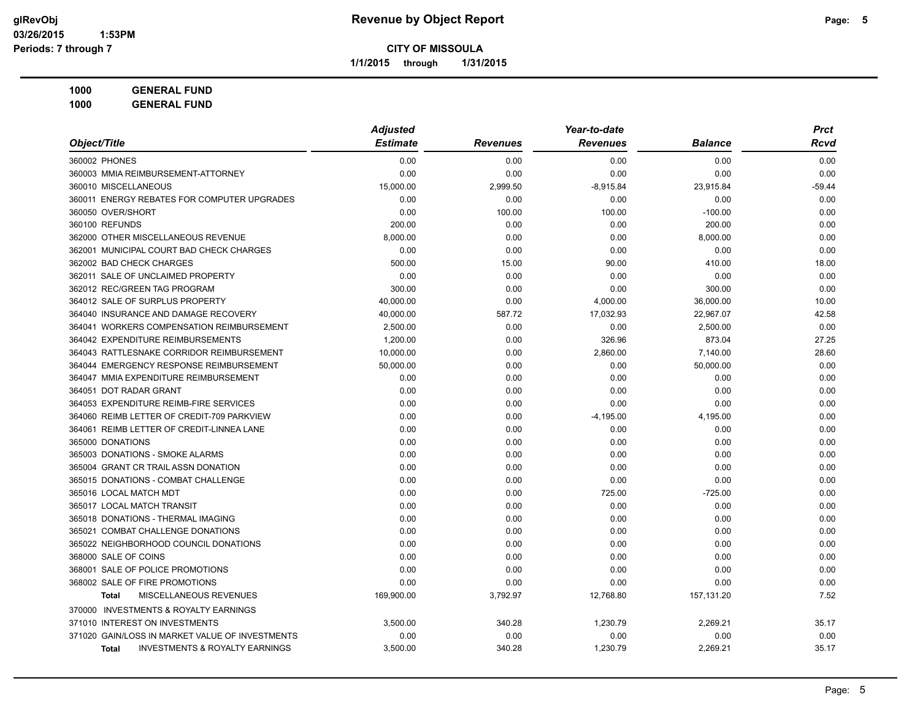**1/1/2015 through 1/31/2015**

**1000 GENERAL FUND 1000 GENERAL FUND**

| Object/Title                                       | <b>Adjusted</b> |                 | Year-to-date    |                | <b>Prct</b> |
|----------------------------------------------------|-----------------|-----------------|-----------------|----------------|-------------|
|                                                    | <b>Estimate</b> | <b>Revenues</b> | <b>Revenues</b> | <b>Balance</b> | Rcvd        |
| 360002 PHONES                                      | 0.00            | 0.00            | 0.00            | 0.00           | 0.00        |
| 360003 MMIA REIMBURSEMENT-ATTORNEY                 | 0.00            | 0.00            | 0.00            | 0.00           | 0.00        |
| 360010 MISCELLANEOUS                               | 15,000.00       | 2,999.50        | $-8,915.84$     | 23,915.84      | $-59.44$    |
| 360011 ENERGY REBATES FOR COMPUTER UPGRADES        | 0.00            | 0.00            | 0.00            | 0.00           | 0.00        |
| 360050 OVER/SHORT                                  | 0.00            | 100.00          | 100.00          | $-100.00$      | 0.00        |
| 360100 REFUNDS                                     | 200.00          | 0.00            | 0.00            | 200.00         | 0.00        |
| 362000 OTHER MISCELLANEOUS REVENUE                 | 8,000.00        | 0.00            | 0.00            | 8,000.00       | 0.00        |
| 362001 MUNICIPAL COURT BAD CHECK CHARGES           | 0.00            | 0.00            | 0.00            | 0.00           | 0.00        |
| 362002 BAD CHECK CHARGES                           | 500.00          | 15.00           | 90.00           | 410.00         | 18.00       |
| 362011 SALE OF UNCLAIMED PROPERTY                  | 0.00            | 0.00            | 0.00            | 0.00           | 0.00        |
| 362012 REC/GREEN TAG PROGRAM                       | 300.00          | 0.00            | 0.00            | 300.00         | 0.00        |
| 364012 SALE OF SURPLUS PROPERTY                    | 40,000.00       | 0.00            | 4,000.00        | 36,000.00      | 10.00       |
| 364040 INSURANCE AND DAMAGE RECOVERY               | 40,000.00       | 587.72          | 17,032.93       | 22,967.07      | 42.58       |
| 364041 WORKERS COMPENSATION REIMBURSEMENT          | 2,500.00        | 0.00            | 0.00            | 2,500.00       | 0.00        |
| 364042 EXPENDITURE REIMBURSEMENTS                  | 1,200.00        | 0.00            | 326.96          | 873.04         | 27.25       |
| 364043 RATTLESNAKE CORRIDOR REIMBURSEMENT          | 10,000.00       | 0.00            | 2,860.00        | 7,140.00       | 28.60       |
| 364044 EMERGENCY RESPONSE REIMBURSEMENT            | 50,000.00       | 0.00            | 0.00            | 50,000.00      | 0.00        |
| 364047 MMIA EXPENDITURE REIMBURSEMENT              | 0.00            | 0.00            | 0.00            | 0.00           | 0.00        |
| 364051 DOT RADAR GRANT                             | 0.00            | 0.00            | 0.00            | 0.00           | 0.00        |
| 364053 EXPENDITURE REIMB-FIRE SERVICES             | 0.00            | 0.00            | 0.00            | 0.00           | 0.00        |
| 364060 REIMB LETTER OF CREDIT-709 PARKVIEW         | 0.00            | 0.00            | $-4,195.00$     | 4,195.00       | 0.00        |
| 364061 REIMB LETTER OF CREDIT-LINNEA LANE          | 0.00            | 0.00            | 0.00            | 0.00           | 0.00        |
| 365000 DONATIONS                                   | 0.00            | 0.00            | 0.00            | 0.00           | 0.00        |
| 365003 DONATIONS - SMOKE ALARMS                    | 0.00            | 0.00            | 0.00            | 0.00           | 0.00        |
| 365004 GRANT CR TRAIL ASSN DONATION                | 0.00            | 0.00            | 0.00            | 0.00           | 0.00        |
| 365015 DONATIONS - COMBAT CHALLENGE                | 0.00            | 0.00            | 0.00            | 0.00           | 0.00        |
| 365016 LOCAL MATCH MDT                             | 0.00            | 0.00            | 725.00          | $-725.00$      | 0.00        |
| 365017 LOCAL MATCH TRANSIT                         | 0.00            | 0.00            | 0.00            | 0.00           | 0.00        |
| 365018 DONATIONS - THERMAL IMAGING                 | 0.00            | 0.00            | 0.00            | 0.00           | 0.00        |
| 365021 COMBAT CHALLENGE DONATIONS                  | 0.00            | 0.00            | 0.00            | 0.00           | 0.00        |
| 365022 NEIGHBORHOOD COUNCIL DONATIONS              | 0.00            | 0.00            | 0.00            | 0.00           | 0.00        |
| 368000 SALE OF COINS                               | 0.00            | 0.00            | 0.00            | 0.00           | 0.00        |
| 368001 SALE OF POLICE PROMOTIONS                   | 0.00            | 0.00            | 0.00            | 0.00           | 0.00        |
| 368002 SALE OF FIRE PROMOTIONS                     | 0.00            | 0.00            | 0.00            | 0.00           | 0.00        |
| <b>MISCELLANEOUS REVENUES</b><br><b>Total</b>      | 169,900.00      | 3,792.97        | 12,768.80       | 157,131.20     | 7.52        |
| 370000 INVESTMENTS & ROYALTY EARNINGS              |                 |                 |                 |                |             |
| 371010 INTEREST ON INVESTMENTS                     | 3,500.00        | 340.28          | 1,230.79        | 2,269.21       | 35.17       |
| 371020 GAIN/LOSS IN MARKET VALUE OF INVESTMENTS    | 0.00            | 0.00            | 0.00            | 0.00           | 0.00        |
| <b>INVESTMENTS &amp; ROYALTY EARNINGS</b><br>Total | 3,500.00        | 340.28          | 1,230.79        | 2,269.21       | 35.17       |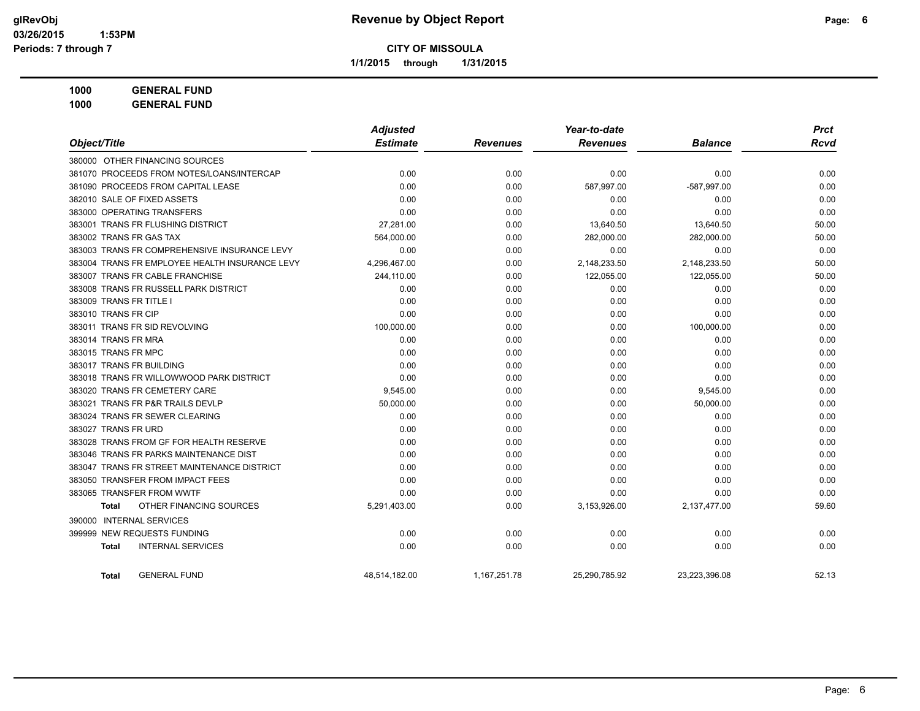**1/1/2015 through 1/31/2015**

**1000 GENERAL FUND 1000 GENERAL FUND**

|                                                | <b>Adjusted</b> |                 | Year-to-date    |                | <b>Prct</b> |
|------------------------------------------------|-----------------|-----------------|-----------------|----------------|-------------|
| Object/Title                                   | <b>Estimate</b> | <b>Revenues</b> | <b>Revenues</b> | <b>Balance</b> | Rcvd        |
| 380000 OTHER FINANCING SOURCES                 |                 |                 |                 |                |             |
| 381070 PROCEEDS FROM NOTES/LOANS/INTERCAP      | 0.00            | 0.00            | 0.00            | 0.00           | 0.00        |
| 381090 PROCEEDS FROM CAPITAL LEASE             | 0.00            | 0.00            | 587,997.00      | -587,997.00    | 0.00        |
| 382010 SALE OF FIXED ASSETS                    | 0.00            | 0.00            | 0.00            | 0.00           | 0.00        |
| 383000 OPERATING TRANSFERS                     | 0.00            | 0.00            | 0.00            | 0.00           | 0.00        |
| 383001 TRANS FR FLUSHING DISTRICT              | 27,281.00       | 0.00            | 13,640.50       | 13,640.50      | 50.00       |
| 383002 TRANS FR GAS TAX                        | 564,000.00      | 0.00            | 282,000.00      | 282,000.00     | 50.00       |
| 383003 TRANS FR COMPREHENSIVE INSURANCE LEVY   | 0.00            | 0.00            | 0.00            | 0.00           | 0.00        |
| 383004 TRANS FR EMPLOYEE HEALTH INSURANCE LEVY | 4,296,467.00    | 0.00            | 2,148,233.50    | 2,148,233.50   | 50.00       |
| 383007 TRANS FR CABLE FRANCHISE                | 244,110.00      | 0.00            | 122,055.00      | 122,055.00     | 50.00       |
| 383008 TRANS FR RUSSELL PARK DISTRICT          | 0.00            | 0.00            | 0.00            | 0.00           | 0.00        |
| 383009 TRANS FR TITLE I                        | 0.00            | 0.00            | 0.00            | 0.00           | 0.00        |
| 383010 TRANS FR CIP                            | 0.00            | 0.00            | 0.00            | 0.00           | 0.00        |
| 383011 TRANS FR SID REVOLVING                  | 100,000.00      | 0.00            | 0.00            | 100,000.00     | 0.00        |
| 383014 TRANS FR MRA                            | 0.00            | 0.00            | 0.00            | 0.00           | 0.00        |
| 383015 TRANS FR MPC                            | 0.00            | 0.00            | 0.00            | 0.00           | 0.00        |
| 383017 TRANS FR BUILDING                       | 0.00            | 0.00            | 0.00            | 0.00           | 0.00        |
| 383018 TRANS FR WILLOWWOOD PARK DISTRICT       | 0.00            | 0.00            | 0.00            | 0.00           | 0.00        |
| 383020 TRANS FR CEMETERY CARE                  | 9,545.00        | 0.00            | 0.00            | 9,545.00       | 0.00        |
| 383021 TRANS FR P&R TRAILS DEVLP               | 50,000.00       | 0.00            | 0.00            | 50,000.00      | 0.00        |
| 383024 TRANS FR SEWER CLEARING                 | 0.00            | 0.00            | 0.00            | 0.00           | 0.00        |
| 383027 TRANS FR URD                            | 0.00            | 0.00            | 0.00            | 0.00           | 0.00        |
| 383028 TRANS FROM GF FOR HEALTH RESERVE        | 0.00            | 0.00            | 0.00            | 0.00           | 0.00        |
| 383046 TRANS FR PARKS MAINTENANCE DIST         | 0.00            | 0.00            | 0.00            | 0.00           | 0.00        |
| 383047 TRANS FR STREET MAINTENANCE DISTRICT    | 0.00            | 0.00            | 0.00            | 0.00           | 0.00        |
| 383050 TRANSFER FROM IMPACT FEES               | 0.00            | 0.00            | 0.00            | 0.00           | 0.00        |
| 383065 TRANSFER FROM WWTF                      | 0.00            | 0.00            | 0.00            | 0.00           | 0.00        |
| OTHER FINANCING SOURCES<br>Total               | 5,291,403.00    | 0.00            | 3,153,926.00    | 2,137,477.00   | 59.60       |
| <b>INTERNAL SERVICES</b><br>390000             |                 |                 |                 |                |             |
| 399999 NEW REQUESTS FUNDING                    | 0.00            | 0.00            | 0.00            | 0.00           | 0.00        |
| <b>INTERNAL SERVICES</b><br><b>Total</b>       | 0.00            | 0.00            | 0.00            | 0.00           | 0.00        |
| <b>GENERAL FUND</b><br>Total                   | 48,514,182.00   | 1,167,251.78    | 25.290.785.92   | 23.223.396.08  | 52.13       |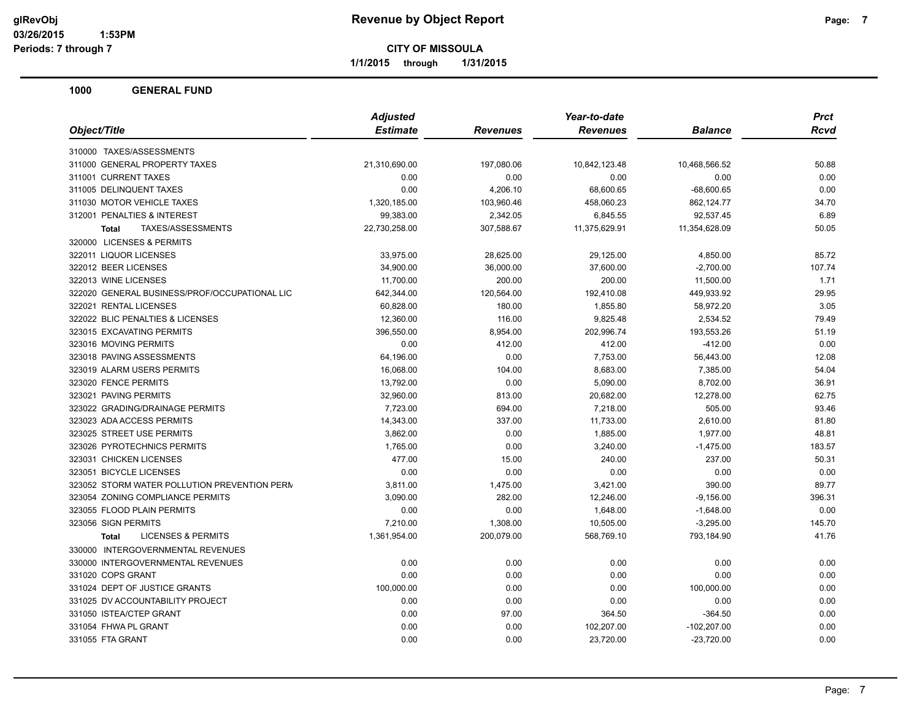**1/1/2015 through 1/31/2015**

| Object/Title                                  | <b>Adjusted</b> | Year-to-date    |                 |                | <b>Prct</b> |
|-----------------------------------------------|-----------------|-----------------|-----------------|----------------|-------------|
|                                               | <b>Estimate</b> | <b>Revenues</b> | <b>Revenues</b> | <b>Balance</b> | <b>Rcvd</b> |
| 310000 TAXES/ASSESSMENTS                      |                 |                 |                 |                |             |
| 311000 GENERAL PROPERTY TAXES                 | 21,310,690.00   | 197,080.06      | 10,842,123.48   | 10,468,566.52  | 50.88       |
| 311001 CURRENT TAXES                          | 0.00            | 0.00            | 0.00            | 0.00           | 0.00        |
| 311005 DELINQUENT TAXES                       | 0.00            | 4,206.10        | 68,600.65       | $-68,600.65$   | 0.00        |
| 311030 MOTOR VEHICLE TAXES                    | 1,320,185.00    | 103,960.46      | 458,060.23      | 862,124.77     | 34.70       |
| 312001 PENALTIES & INTEREST                   | 99,383.00       | 2,342.05        | 6,845.55        | 92,537.45      | 6.89        |
| TAXES/ASSESSMENTS<br><b>Total</b>             | 22,730,258.00   | 307,588.67      | 11,375,629.91   | 11,354,628.09  | 50.05       |
| 320000 LICENSES & PERMITS                     |                 |                 |                 |                |             |
| 322011 LIQUOR LICENSES                        | 33,975.00       | 28,625.00       | 29,125.00       | 4,850.00       | 85.72       |
| 322012 BEER LICENSES                          | 34,900.00       | 36,000.00       | 37,600.00       | $-2,700.00$    | 107.74      |
| 322013 WINE LICENSES                          | 11,700.00       | 200.00          | 200.00          | 11,500.00      | 1.71        |
| 322020 GENERAL BUSINESS/PROF/OCCUPATIONAL LIC | 642,344.00      | 120,564.00      | 192,410.08      | 449,933.92     | 29.95       |
| 322021 RENTAL LICENSES                        | 60,828.00       | 180.00          | 1,855.80        | 58,972.20      | 3.05        |
| 322022 BLIC PENALTIES & LICENSES              | 12,360.00       | 116.00          | 9,825.48        | 2,534.52       | 79.49       |
| 323015 EXCAVATING PERMITS                     | 396,550.00      | 8,954.00        | 202,996.74      | 193,553.26     | 51.19       |
| 323016 MOVING PERMITS                         | 0.00            | 412.00          | 412.00          | $-412.00$      | 0.00        |
| 323018 PAVING ASSESSMENTS                     | 64,196.00       | 0.00            | 7,753.00        | 56,443.00      | 12.08       |
| 323019 ALARM USERS PERMITS                    | 16,068.00       | 104.00          | 8,683.00        | 7,385.00       | 54.04       |
| 323020 FENCE PERMITS                          | 13,792.00       | 0.00            | 5,090.00        | 8,702.00       | 36.91       |
| 323021 PAVING PERMITS                         | 32,960.00       | 813.00          | 20,682.00       | 12,278.00      | 62.75       |
| 323022 GRADING/DRAINAGE PERMITS               | 7,723.00        | 694.00          | 7,218.00        | 505.00         | 93.46       |
| 323023 ADA ACCESS PERMITS                     | 14,343.00       | 337.00          | 11,733.00       | 2,610.00       | 81.80       |
| 323025 STREET USE PERMITS                     | 3,862.00        | 0.00            | 1,885.00        | 1,977.00       | 48.81       |
| 323026 PYROTECHNICS PERMITS                   | 1,765.00        | 0.00            | 3,240.00        | $-1,475.00$    | 183.57      |
| 323031 CHICKEN LICENSES                       | 477.00          | 15.00           | 240.00          | 237.00         | 50.31       |
| 323051 BICYCLE LICENSES                       | 0.00            | 0.00            | 0.00            | 0.00           | 0.00        |
| 323052 STORM WATER POLLUTION PREVENTION PERM  | 3,811.00        | 1,475.00        | 3,421.00        | 390.00         | 89.77       |
| 323054 ZONING COMPLIANCE PERMITS              | 3,090.00        | 282.00          | 12,246.00       | $-9,156.00$    | 396.31      |
| 323055 FLOOD PLAIN PERMITS                    | 0.00            | 0.00            | 1,648.00        | $-1,648.00$    | 0.00        |
| 323056 SIGN PERMITS                           | 7,210.00        | 1,308.00        | 10,505.00       | $-3,295.00$    | 145.70      |
| <b>LICENSES &amp; PERMITS</b><br><b>Total</b> | 1,361,954.00    | 200,079.00      | 568,769.10      | 793,184.90     | 41.76       |
| 330000 INTERGOVERNMENTAL REVENUES             |                 |                 |                 |                |             |
| 330000 INTERGOVERNMENTAL REVENUES             | 0.00            | 0.00            | 0.00            | 0.00           | 0.00        |
| 331020 COPS GRANT                             | 0.00            | 0.00            | 0.00            | 0.00           | 0.00        |
| 331024 DEPT OF JUSTICE GRANTS                 | 100,000.00      | 0.00            | 0.00            | 100,000.00     | 0.00        |
| 331025 DV ACCOUNTABILITY PROJECT              | 0.00            | 0.00            | 0.00            | 0.00           | 0.00        |
| 331050 ISTEA/CTEP GRANT                       | 0.00            | 97.00           | 364.50          | $-364.50$      | 0.00        |
| 331054 FHWA PL GRANT                          | 0.00            | 0.00            | 102,207.00      | $-102,207.00$  | 0.00        |
| 331055 FTA GRANT                              | 0.00            | 0.00            | 23,720.00       | $-23,720.00$   | 0.00        |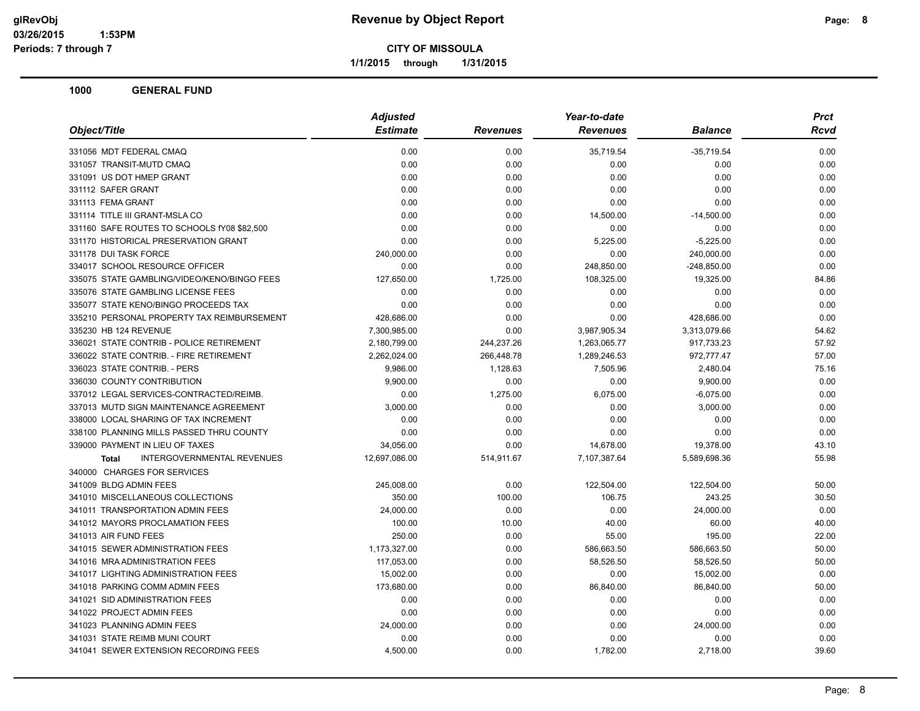**1/1/2015 through 1/31/2015**

| Object/Title                                      | <b>Adjusted</b> |                 | Year-to-date    |                | <b>Prct</b> |
|---------------------------------------------------|-----------------|-----------------|-----------------|----------------|-------------|
|                                                   | <b>Estimate</b> | <b>Revenues</b> | <b>Revenues</b> | <b>Balance</b> | Rcvd        |
| 331056 MDT FEDERAL CMAQ                           | 0.00            | 0.00            | 35,719.54       | $-35,719.54$   | 0.00        |
| 331057 TRANSIT-MUTD CMAQ                          | 0.00            | 0.00            | 0.00            | 0.00           | 0.00        |
| 331091 US DOT HMEP GRANT                          | 0.00            | 0.00            | 0.00            | 0.00           | 0.00        |
| 331112 SAFER GRANT                                | 0.00            | 0.00            | 0.00            | 0.00           | 0.00        |
| 331113 FEMA GRANT                                 | 0.00            | 0.00            | 0.00            | 0.00           | 0.00        |
| 331114 TITLE III GRANT-MSLA CO                    | 0.00            | 0.00            | 14,500.00       | $-14,500.00$   | 0.00        |
| 331160 SAFE ROUTES TO SCHOOLS fY08 \$82,500       | 0.00            | 0.00            | 0.00            | 0.00           | 0.00        |
| 331170 HISTORICAL PRESERVATION GRANT              | 0.00            | 0.00            | 5,225.00        | $-5,225.00$    | 0.00        |
| 331178 DUI TASK FORCE                             | 240,000.00      | 0.00            | 0.00            | 240,000.00     | 0.00        |
| 334017 SCHOOL RESOURCE OFFICER                    | 0.00            | 0.00            | 248,850.00      | $-248,850.00$  | 0.00        |
| 335075 STATE GAMBLING/VIDEO/KENO/BINGO FEES       | 127,650.00      | 1,725.00        | 108,325.00      | 19,325.00      | 84.86       |
| 335076 STATE GAMBLING LICENSE FEES                | 0.00            | 0.00            | 0.00            | 0.00           | 0.00        |
| 335077 STATE KENO/BINGO PROCEEDS TAX              | 0.00            | 0.00            | 0.00            | 0.00           | 0.00        |
| 335210 PERSONAL PROPERTY TAX REIMBURSEMENT        | 428,686.00      | 0.00            | 0.00            | 428,686.00     | 0.00        |
| 335230 HB 124 REVENUE                             | 7,300,985.00    | 0.00            | 3,987,905.34    | 3,313,079.66   | 54.62       |
| 336021 STATE CONTRIB - POLICE RETIREMENT          | 2,180,799.00    | 244,237.26      | 1,263,065.77    | 917,733.23     | 57.92       |
| 336022 STATE CONTRIB. - FIRE RETIREMENT           | 2,262,024.00    | 266,448.78      | 1,289,246.53    | 972,777.47     | 57.00       |
| 336023 STATE CONTRIB. - PERS                      | 9,986.00        | 1,128.63        | 7,505.96        | 2,480.04       | 75.16       |
| 336030 COUNTY CONTRIBUTION                        | 9,900.00        | 0.00            | 0.00            | 9,900.00       | 0.00        |
| 337012 LEGAL SERVICES-CONTRACTED/REIMB.           | 0.00            | 1,275.00        | 6,075.00        | $-6,075.00$    | 0.00        |
| 337013 MUTD SIGN MAINTENANCE AGREEMENT            | 3,000.00        | 0.00            | 0.00            | 3,000.00       | 0.00        |
| 338000 LOCAL SHARING OF TAX INCREMENT             | 0.00            | 0.00            | 0.00            | 0.00           | 0.00        |
| 338100 PLANNING MILLS PASSED THRU COUNTY          | 0.00            | 0.00            | 0.00            | 0.00           | 0.00        |
| 339000 PAYMENT IN LIEU OF TAXES                   | 34,056.00       | 0.00            | 14,678.00       | 19,378.00      | 43.10       |
| <b>INTERGOVERNMENTAL REVENUES</b><br><b>Total</b> | 12,697,086.00   | 514,911.67      | 7,107,387.64    | 5,589,698.36   | 55.98       |
| 340000 CHARGES FOR SERVICES                       |                 |                 |                 |                |             |
| 341009 BLDG ADMIN FEES                            | 245,008.00      | 0.00            | 122,504.00      | 122,504.00     | 50.00       |
| 341010 MISCELLANEOUS COLLECTIONS                  | 350.00          | 100.00          | 106.75          | 243.25         | 30.50       |
| 341011 TRANSPORTATION ADMIN FEES                  | 24,000.00       | 0.00            | 0.00            | 24,000.00      | 0.00        |
| 341012 MAYORS PROCLAMATION FEES                   | 100.00          | 10.00           | 40.00           | 60.00          | 40.00       |
| 341013 AIR FUND FEES                              | 250.00          | 0.00            | 55.00           | 195.00         | 22.00       |
| 341015 SEWER ADMINISTRATION FEES                  | 1,173,327.00    | 0.00            | 586,663.50      | 586,663.50     | 50.00       |
| 341016 MRA ADMINISTRATION FEES                    | 117,053.00      | 0.00            | 58,526.50       | 58,526.50      | 50.00       |
| 341017 LIGHTING ADMINISTRATION FEES               | 15,002.00       | 0.00            | 0.00            | 15,002.00      | 0.00        |
| 341018 PARKING COMM ADMIN FEES                    | 173,680.00      | 0.00            | 86,840.00       | 86,840.00      | 50.00       |
| 341021 SID ADMINISTRATION FEES                    | 0.00            | 0.00            | 0.00            | 0.00           | 0.00        |
| 341022 PROJECT ADMIN FEES                         | 0.00            | 0.00            | 0.00            | 0.00           | 0.00        |
| 341023 PLANNING ADMIN FEES                        | 24,000.00       | 0.00            | 0.00            | 24,000.00      | 0.00        |
| 341031 STATE REIMB MUNI COURT                     | 0.00            | 0.00            | 0.00            | 0.00           | 0.00        |
| 341041 SEWER EXTENSION RECORDING FEES             | 4,500.00        | 0.00            | 1,782.00        | 2,718.00       | 39.60       |
|                                                   |                 |                 |                 |                |             |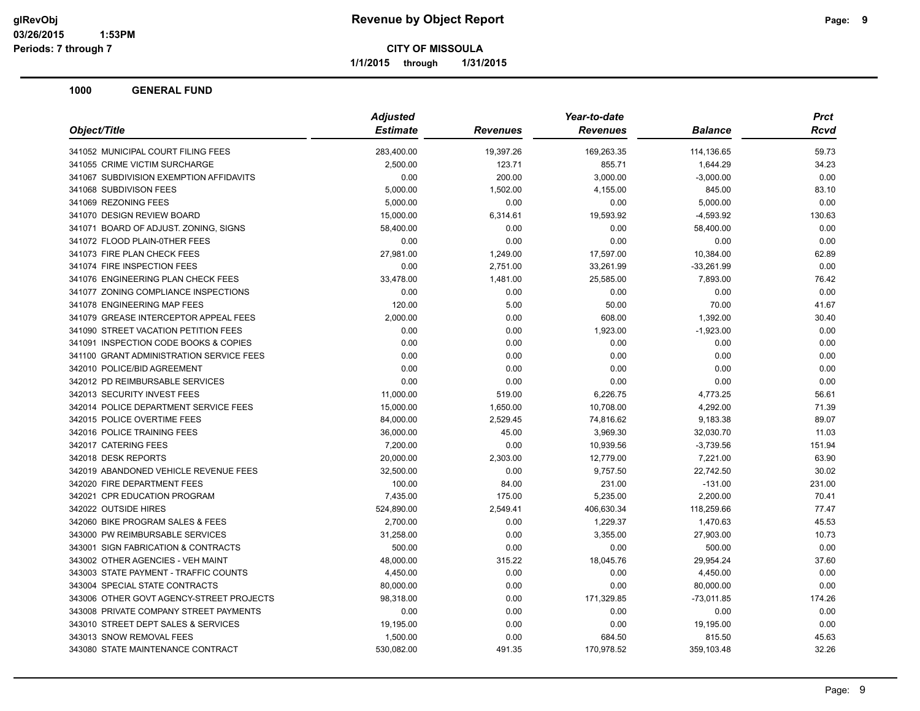**1/1/2015 through 1/31/2015**

| <b>Revenues</b><br>283,400.00<br>19,397.26<br>169,263.35<br>114,136.65<br>341052 MUNICIPAL COURT FILING FEES<br>59.73<br>341055 CRIME VICTIM SURCHARGE<br>2,500.00<br>855.71<br>34.23<br>123.71<br>1,644.29<br>200.00<br>341067 SUBDIVISION EXEMPTION AFFIDAVITS<br>0.00<br>3,000.00<br>$-3,000.00$<br>0.00<br>341068 SUBDIVISON FEES<br>5,000.00<br>845.00<br>1,502.00<br>4,155.00<br>83.10<br>341069 REZONING FEES<br>5,000.00<br>0.00<br>0.00<br>5,000.00<br>0.00<br>341070 DESIGN REVIEW BOARD<br>15,000.00<br>6,314.61<br>19,593.92<br>$-4,593.92$<br>130.63<br>341071 BOARD OF ADJUST. ZONING, SIGNS<br>0.00<br>58,400.00<br>0.00<br>0.00<br>58,400.00<br>0.00<br>0.00<br>341072 FLOOD PLAIN-0THER FEES<br>0.00<br>0.00<br>0.00<br>341073 FIRE PLAN CHECK FEES<br>27,981.00<br>17,597.00<br>10,384.00<br>1,249.00<br>62.89<br>341074 FIRE INSPECTION FEES<br>0.00<br>2,751.00<br>33,261.99<br>$-33,261.99$<br>0.00<br>341076 ENGINEERING PLAN CHECK FEES<br>33,478.00<br>1,481.00<br>25,585.00<br>7,893.00<br>76.42<br>0.00<br>341077 ZONING COMPLIANCE INSPECTIONS<br>0.00<br>0.00<br>0.00<br>0.00<br>341078 ENGINEERING MAP FEES<br>120.00<br>5.00<br>50.00<br>70.00<br>41.67<br>341079 GREASE INTERCEPTOR APPEAL FEES<br>2,000.00<br>0.00<br>608.00<br>1,392.00<br>30.40<br>0.00<br>0.00<br>0.00<br>1,923.00<br>$-1,923.00$<br>341091 INSPECTION CODE BOOKS & COPIES<br>0.00<br>0.00<br>0.00<br>0.00<br>0.00<br>341100 GRANT ADMINISTRATION SERVICE FEES<br>0.00<br>0.00<br>0.00<br>0.00<br>0.00<br>342010 POLICE/BID AGREEMENT<br>0.00<br>0.00<br>0.00<br>0.00<br>0.00<br>0.00<br>0.00<br>0.00<br>0.00<br>0.00<br>342013 SECURITY INVEST FEES<br>11,000.00<br>519.00<br>56.61<br>6,226.75<br>4,773.25<br>342014 POLICE DEPARTMENT SERVICE FEES<br>15,000.00<br>1,650.00<br>10,708.00<br>4,292.00<br>71.39<br>342015 POLICE OVERTIME FEES<br>84,000.00<br>2,529.45<br>74,816.62<br>9,183.38<br>89.07<br>342016 POLICE TRAINING FEES<br>36,000.00<br>45.00<br>3,969.30<br>32,030.70<br>11.03<br>342017 CATERING FEES<br>7,200.00<br>0.00<br>10,939.56<br>$-3,739.56$<br>151.94<br>342018 DESK REPORTS<br>2,303.00<br>12,779.00<br>63.90<br>20,000.00<br>7,221.00<br>342019 ABANDONED VEHICLE REVENUE FEES<br>32,500.00<br>0.00<br>9,757.50<br>22,742.50<br>30.02<br>342020 FIRE DEPARTMENT FEES<br>100.00<br>84.00<br>231.00<br>$-131.00$<br>231.00<br>342021 CPR EDUCATION PROGRAM<br>7,435.00<br>175.00<br>5,235.00<br>2,200.00<br>70.41<br>342022 OUTSIDE HIRES<br>524,890.00<br>2,549.41<br>406,630.34<br>118,259.66<br>77.47<br>342060 BIKE PROGRAM SALES & FEES<br>1,229.37<br>45.53<br>2,700.00<br>0.00<br>1,470.63<br>343000 PW REIMBURSABLE SERVICES<br>31,258.00<br>0.00<br>3,355.00<br>27,903.00<br>10.73<br>0.00<br>0.00<br>343001 SIGN FABRICATION & CONTRACTS<br>500.00<br>0.00<br>500.00<br>343002 OTHER AGENCIES - VEH MAINT<br>48,000.00<br>315.22<br>18,045.76<br>29,954.24<br>37.60<br>343003 STATE PAYMENT - TRAFFIC COUNTS<br>4,450.00<br>0.00<br>0.00<br>4,450.00<br>0.00<br>343004 SPECIAL STATE CONTRACTS<br>0.00<br>0.00<br>0.00<br>80,000.00<br>80,000.00<br>343006 OTHER GOVT AGENCY-STREET PROJECTS<br>98,318.00<br>0.00<br>171,329.85<br>$-73,011.85$<br>174.26<br>343008 PRIVATE COMPANY STREET PAYMENTS<br>0.00<br>0.00<br>0.00<br>0.00<br>0.00<br>343010 STREET DEPT SALES & SERVICES<br>0.00<br>0.00<br>0.00<br>19,195.00<br>19,195.00<br>343013 SNOW REMOVAL FEES<br>1,500.00<br>0.00<br>684.50<br>815.50<br>45.63 | Object/Title                         | <b>Adjusted</b><br><b>Estimate</b> |        | Year-to-date<br><b>Revenues</b> | <b>Balance</b> | <b>Prct</b><br>Rcvd |
|--------------------------------------------------------------------------------------------------------------------------------------------------------------------------------------------------------------------------------------------------------------------------------------------------------------------------------------------------------------------------------------------------------------------------------------------------------------------------------------------------------------------------------------------------------------------------------------------------------------------------------------------------------------------------------------------------------------------------------------------------------------------------------------------------------------------------------------------------------------------------------------------------------------------------------------------------------------------------------------------------------------------------------------------------------------------------------------------------------------------------------------------------------------------------------------------------------------------------------------------------------------------------------------------------------------------------------------------------------------------------------------------------------------------------------------------------------------------------------------------------------------------------------------------------------------------------------------------------------------------------------------------------------------------------------------------------------------------------------------------------------------------------------------------------------------------------------------------------------------------------------------------------------------------------------------------------------------------------------------------------------------------------------------------------------------------------------------------------------------------------------------------------------------------------------------------------------------------------------------------------------------------------------------------------------------------------------------------------------------------------------------------------------------------------------------------------------------------------------------------------------------------------------------------------------------------------------------------------------------------------------------------------------------------------------------------------------------------------------------------------------------------------------------------------------------------------------------------------------------------------------------------------------------------------------------------------------------------------------------------------------------------------------------------------------------------------------------------------------------------------------------------------------------------------------------------------------------------------------------------------------------------------------------------------------------------------------------------------------------------------------------------------------------------------------------------------------------|--------------------------------------|------------------------------------|--------|---------------------------------|----------------|---------------------|
|                                                                                                                                                                                                                                                                                                                                                                                                                                                                                                                                                                                                                                                                                                                                                                                                                                                                                                                                                                                                                                                                                                                                                                                                                                                                                                                                                                                                                                                                                                                                                                                                                                                                                                                                                                                                                                                                                                                                                                                                                                                                                                                                                                                                                                                                                                                                                                                                                                                                                                                                                                                                                                                                                                                                                                                                                                                                                                                                                                                                                                                                                                                                                                                                                                                                                                                                                                                                                                                              |                                      |                                    |        |                                 |                |                     |
|                                                                                                                                                                                                                                                                                                                                                                                                                                                                                                                                                                                                                                                                                                                                                                                                                                                                                                                                                                                                                                                                                                                                                                                                                                                                                                                                                                                                                                                                                                                                                                                                                                                                                                                                                                                                                                                                                                                                                                                                                                                                                                                                                                                                                                                                                                                                                                                                                                                                                                                                                                                                                                                                                                                                                                                                                                                                                                                                                                                                                                                                                                                                                                                                                                                                                                                                                                                                                                                              |                                      |                                    |        |                                 |                |                     |
|                                                                                                                                                                                                                                                                                                                                                                                                                                                                                                                                                                                                                                                                                                                                                                                                                                                                                                                                                                                                                                                                                                                                                                                                                                                                                                                                                                                                                                                                                                                                                                                                                                                                                                                                                                                                                                                                                                                                                                                                                                                                                                                                                                                                                                                                                                                                                                                                                                                                                                                                                                                                                                                                                                                                                                                                                                                                                                                                                                                                                                                                                                                                                                                                                                                                                                                                                                                                                                                              |                                      |                                    |        |                                 |                |                     |
|                                                                                                                                                                                                                                                                                                                                                                                                                                                                                                                                                                                                                                                                                                                                                                                                                                                                                                                                                                                                                                                                                                                                                                                                                                                                                                                                                                                                                                                                                                                                                                                                                                                                                                                                                                                                                                                                                                                                                                                                                                                                                                                                                                                                                                                                                                                                                                                                                                                                                                                                                                                                                                                                                                                                                                                                                                                                                                                                                                                                                                                                                                                                                                                                                                                                                                                                                                                                                                                              |                                      |                                    |        |                                 |                |                     |
|                                                                                                                                                                                                                                                                                                                                                                                                                                                                                                                                                                                                                                                                                                                                                                                                                                                                                                                                                                                                                                                                                                                                                                                                                                                                                                                                                                                                                                                                                                                                                                                                                                                                                                                                                                                                                                                                                                                                                                                                                                                                                                                                                                                                                                                                                                                                                                                                                                                                                                                                                                                                                                                                                                                                                                                                                                                                                                                                                                                                                                                                                                                                                                                                                                                                                                                                                                                                                                                              |                                      |                                    |        |                                 |                |                     |
|                                                                                                                                                                                                                                                                                                                                                                                                                                                                                                                                                                                                                                                                                                                                                                                                                                                                                                                                                                                                                                                                                                                                                                                                                                                                                                                                                                                                                                                                                                                                                                                                                                                                                                                                                                                                                                                                                                                                                                                                                                                                                                                                                                                                                                                                                                                                                                                                                                                                                                                                                                                                                                                                                                                                                                                                                                                                                                                                                                                                                                                                                                                                                                                                                                                                                                                                                                                                                                                              |                                      |                                    |        |                                 |                |                     |
|                                                                                                                                                                                                                                                                                                                                                                                                                                                                                                                                                                                                                                                                                                                                                                                                                                                                                                                                                                                                                                                                                                                                                                                                                                                                                                                                                                                                                                                                                                                                                                                                                                                                                                                                                                                                                                                                                                                                                                                                                                                                                                                                                                                                                                                                                                                                                                                                                                                                                                                                                                                                                                                                                                                                                                                                                                                                                                                                                                                                                                                                                                                                                                                                                                                                                                                                                                                                                                                              |                                      |                                    |        |                                 |                |                     |
|                                                                                                                                                                                                                                                                                                                                                                                                                                                                                                                                                                                                                                                                                                                                                                                                                                                                                                                                                                                                                                                                                                                                                                                                                                                                                                                                                                                                                                                                                                                                                                                                                                                                                                                                                                                                                                                                                                                                                                                                                                                                                                                                                                                                                                                                                                                                                                                                                                                                                                                                                                                                                                                                                                                                                                                                                                                                                                                                                                                                                                                                                                                                                                                                                                                                                                                                                                                                                                                              |                                      |                                    |        |                                 |                |                     |
|                                                                                                                                                                                                                                                                                                                                                                                                                                                                                                                                                                                                                                                                                                                                                                                                                                                                                                                                                                                                                                                                                                                                                                                                                                                                                                                                                                                                                                                                                                                                                                                                                                                                                                                                                                                                                                                                                                                                                                                                                                                                                                                                                                                                                                                                                                                                                                                                                                                                                                                                                                                                                                                                                                                                                                                                                                                                                                                                                                                                                                                                                                                                                                                                                                                                                                                                                                                                                                                              |                                      |                                    |        |                                 |                |                     |
|                                                                                                                                                                                                                                                                                                                                                                                                                                                                                                                                                                                                                                                                                                                                                                                                                                                                                                                                                                                                                                                                                                                                                                                                                                                                                                                                                                                                                                                                                                                                                                                                                                                                                                                                                                                                                                                                                                                                                                                                                                                                                                                                                                                                                                                                                                                                                                                                                                                                                                                                                                                                                                                                                                                                                                                                                                                                                                                                                                                                                                                                                                                                                                                                                                                                                                                                                                                                                                                              |                                      |                                    |        |                                 |                |                     |
|                                                                                                                                                                                                                                                                                                                                                                                                                                                                                                                                                                                                                                                                                                                                                                                                                                                                                                                                                                                                                                                                                                                                                                                                                                                                                                                                                                                                                                                                                                                                                                                                                                                                                                                                                                                                                                                                                                                                                                                                                                                                                                                                                                                                                                                                                                                                                                                                                                                                                                                                                                                                                                                                                                                                                                                                                                                                                                                                                                                                                                                                                                                                                                                                                                                                                                                                                                                                                                                              |                                      |                                    |        |                                 |                |                     |
|                                                                                                                                                                                                                                                                                                                                                                                                                                                                                                                                                                                                                                                                                                                                                                                                                                                                                                                                                                                                                                                                                                                                                                                                                                                                                                                                                                                                                                                                                                                                                                                                                                                                                                                                                                                                                                                                                                                                                                                                                                                                                                                                                                                                                                                                                                                                                                                                                                                                                                                                                                                                                                                                                                                                                                                                                                                                                                                                                                                                                                                                                                                                                                                                                                                                                                                                                                                                                                                              |                                      |                                    |        |                                 |                |                     |
|                                                                                                                                                                                                                                                                                                                                                                                                                                                                                                                                                                                                                                                                                                                                                                                                                                                                                                                                                                                                                                                                                                                                                                                                                                                                                                                                                                                                                                                                                                                                                                                                                                                                                                                                                                                                                                                                                                                                                                                                                                                                                                                                                                                                                                                                                                                                                                                                                                                                                                                                                                                                                                                                                                                                                                                                                                                                                                                                                                                                                                                                                                                                                                                                                                                                                                                                                                                                                                                              |                                      |                                    |        |                                 |                |                     |
|                                                                                                                                                                                                                                                                                                                                                                                                                                                                                                                                                                                                                                                                                                                                                                                                                                                                                                                                                                                                                                                                                                                                                                                                                                                                                                                                                                                                                                                                                                                                                                                                                                                                                                                                                                                                                                                                                                                                                                                                                                                                                                                                                                                                                                                                                                                                                                                                                                                                                                                                                                                                                                                                                                                                                                                                                                                                                                                                                                                                                                                                                                                                                                                                                                                                                                                                                                                                                                                              |                                      |                                    |        |                                 |                |                     |
|                                                                                                                                                                                                                                                                                                                                                                                                                                                                                                                                                                                                                                                                                                                                                                                                                                                                                                                                                                                                                                                                                                                                                                                                                                                                                                                                                                                                                                                                                                                                                                                                                                                                                                                                                                                                                                                                                                                                                                                                                                                                                                                                                                                                                                                                                                                                                                                                                                                                                                                                                                                                                                                                                                                                                                                                                                                                                                                                                                                                                                                                                                                                                                                                                                                                                                                                                                                                                                                              |                                      |                                    |        |                                 |                |                     |
|                                                                                                                                                                                                                                                                                                                                                                                                                                                                                                                                                                                                                                                                                                                                                                                                                                                                                                                                                                                                                                                                                                                                                                                                                                                                                                                                                                                                                                                                                                                                                                                                                                                                                                                                                                                                                                                                                                                                                                                                                                                                                                                                                                                                                                                                                                                                                                                                                                                                                                                                                                                                                                                                                                                                                                                                                                                                                                                                                                                                                                                                                                                                                                                                                                                                                                                                                                                                                                                              | 341090 STREET VACATION PETITION FEES |                                    |        |                                 |                |                     |
|                                                                                                                                                                                                                                                                                                                                                                                                                                                                                                                                                                                                                                                                                                                                                                                                                                                                                                                                                                                                                                                                                                                                                                                                                                                                                                                                                                                                                                                                                                                                                                                                                                                                                                                                                                                                                                                                                                                                                                                                                                                                                                                                                                                                                                                                                                                                                                                                                                                                                                                                                                                                                                                                                                                                                                                                                                                                                                                                                                                                                                                                                                                                                                                                                                                                                                                                                                                                                                                              |                                      |                                    |        |                                 |                |                     |
|                                                                                                                                                                                                                                                                                                                                                                                                                                                                                                                                                                                                                                                                                                                                                                                                                                                                                                                                                                                                                                                                                                                                                                                                                                                                                                                                                                                                                                                                                                                                                                                                                                                                                                                                                                                                                                                                                                                                                                                                                                                                                                                                                                                                                                                                                                                                                                                                                                                                                                                                                                                                                                                                                                                                                                                                                                                                                                                                                                                                                                                                                                                                                                                                                                                                                                                                                                                                                                                              |                                      |                                    |        |                                 |                |                     |
|                                                                                                                                                                                                                                                                                                                                                                                                                                                                                                                                                                                                                                                                                                                                                                                                                                                                                                                                                                                                                                                                                                                                                                                                                                                                                                                                                                                                                                                                                                                                                                                                                                                                                                                                                                                                                                                                                                                                                                                                                                                                                                                                                                                                                                                                                                                                                                                                                                                                                                                                                                                                                                                                                                                                                                                                                                                                                                                                                                                                                                                                                                                                                                                                                                                                                                                                                                                                                                                              |                                      |                                    |        |                                 |                |                     |
|                                                                                                                                                                                                                                                                                                                                                                                                                                                                                                                                                                                                                                                                                                                                                                                                                                                                                                                                                                                                                                                                                                                                                                                                                                                                                                                                                                                                                                                                                                                                                                                                                                                                                                                                                                                                                                                                                                                                                                                                                                                                                                                                                                                                                                                                                                                                                                                                                                                                                                                                                                                                                                                                                                                                                                                                                                                                                                                                                                                                                                                                                                                                                                                                                                                                                                                                                                                                                                                              | 342012 PD REIMBURSABLE SERVICES      |                                    |        |                                 |                |                     |
|                                                                                                                                                                                                                                                                                                                                                                                                                                                                                                                                                                                                                                                                                                                                                                                                                                                                                                                                                                                                                                                                                                                                                                                                                                                                                                                                                                                                                                                                                                                                                                                                                                                                                                                                                                                                                                                                                                                                                                                                                                                                                                                                                                                                                                                                                                                                                                                                                                                                                                                                                                                                                                                                                                                                                                                                                                                                                                                                                                                                                                                                                                                                                                                                                                                                                                                                                                                                                                                              |                                      |                                    |        |                                 |                |                     |
|                                                                                                                                                                                                                                                                                                                                                                                                                                                                                                                                                                                                                                                                                                                                                                                                                                                                                                                                                                                                                                                                                                                                                                                                                                                                                                                                                                                                                                                                                                                                                                                                                                                                                                                                                                                                                                                                                                                                                                                                                                                                                                                                                                                                                                                                                                                                                                                                                                                                                                                                                                                                                                                                                                                                                                                                                                                                                                                                                                                                                                                                                                                                                                                                                                                                                                                                                                                                                                                              |                                      |                                    |        |                                 |                |                     |
|                                                                                                                                                                                                                                                                                                                                                                                                                                                                                                                                                                                                                                                                                                                                                                                                                                                                                                                                                                                                                                                                                                                                                                                                                                                                                                                                                                                                                                                                                                                                                                                                                                                                                                                                                                                                                                                                                                                                                                                                                                                                                                                                                                                                                                                                                                                                                                                                                                                                                                                                                                                                                                                                                                                                                                                                                                                                                                                                                                                                                                                                                                                                                                                                                                                                                                                                                                                                                                                              |                                      |                                    |        |                                 |                |                     |
|                                                                                                                                                                                                                                                                                                                                                                                                                                                                                                                                                                                                                                                                                                                                                                                                                                                                                                                                                                                                                                                                                                                                                                                                                                                                                                                                                                                                                                                                                                                                                                                                                                                                                                                                                                                                                                                                                                                                                                                                                                                                                                                                                                                                                                                                                                                                                                                                                                                                                                                                                                                                                                                                                                                                                                                                                                                                                                                                                                                                                                                                                                                                                                                                                                                                                                                                                                                                                                                              |                                      |                                    |        |                                 |                |                     |
|                                                                                                                                                                                                                                                                                                                                                                                                                                                                                                                                                                                                                                                                                                                                                                                                                                                                                                                                                                                                                                                                                                                                                                                                                                                                                                                                                                                                                                                                                                                                                                                                                                                                                                                                                                                                                                                                                                                                                                                                                                                                                                                                                                                                                                                                                                                                                                                                                                                                                                                                                                                                                                                                                                                                                                                                                                                                                                                                                                                                                                                                                                                                                                                                                                                                                                                                                                                                                                                              |                                      |                                    |        |                                 |                |                     |
|                                                                                                                                                                                                                                                                                                                                                                                                                                                                                                                                                                                                                                                                                                                                                                                                                                                                                                                                                                                                                                                                                                                                                                                                                                                                                                                                                                                                                                                                                                                                                                                                                                                                                                                                                                                                                                                                                                                                                                                                                                                                                                                                                                                                                                                                                                                                                                                                                                                                                                                                                                                                                                                                                                                                                                                                                                                                                                                                                                                                                                                                                                                                                                                                                                                                                                                                                                                                                                                              |                                      |                                    |        |                                 |                |                     |
|                                                                                                                                                                                                                                                                                                                                                                                                                                                                                                                                                                                                                                                                                                                                                                                                                                                                                                                                                                                                                                                                                                                                                                                                                                                                                                                                                                                                                                                                                                                                                                                                                                                                                                                                                                                                                                                                                                                                                                                                                                                                                                                                                                                                                                                                                                                                                                                                                                                                                                                                                                                                                                                                                                                                                                                                                                                                                                                                                                                                                                                                                                                                                                                                                                                                                                                                                                                                                                                              |                                      |                                    |        |                                 |                |                     |
|                                                                                                                                                                                                                                                                                                                                                                                                                                                                                                                                                                                                                                                                                                                                                                                                                                                                                                                                                                                                                                                                                                                                                                                                                                                                                                                                                                                                                                                                                                                                                                                                                                                                                                                                                                                                                                                                                                                                                                                                                                                                                                                                                                                                                                                                                                                                                                                                                                                                                                                                                                                                                                                                                                                                                                                                                                                                                                                                                                                                                                                                                                                                                                                                                                                                                                                                                                                                                                                              |                                      |                                    |        |                                 |                |                     |
|                                                                                                                                                                                                                                                                                                                                                                                                                                                                                                                                                                                                                                                                                                                                                                                                                                                                                                                                                                                                                                                                                                                                                                                                                                                                                                                                                                                                                                                                                                                                                                                                                                                                                                                                                                                                                                                                                                                                                                                                                                                                                                                                                                                                                                                                                                                                                                                                                                                                                                                                                                                                                                                                                                                                                                                                                                                                                                                                                                                                                                                                                                                                                                                                                                                                                                                                                                                                                                                              |                                      |                                    |        |                                 |                |                     |
|                                                                                                                                                                                                                                                                                                                                                                                                                                                                                                                                                                                                                                                                                                                                                                                                                                                                                                                                                                                                                                                                                                                                                                                                                                                                                                                                                                                                                                                                                                                                                                                                                                                                                                                                                                                                                                                                                                                                                                                                                                                                                                                                                                                                                                                                                                                                                                                                                                                                                                                                                                                                                                                                                                                                                                                                                                                                                                                                                                                                                                                                                                                                                                                                                                                                                                                                                                                                                                                              |                                      |                                    |        |                                 |                |                     |
|                                                                                                                                                                                                                                                                                                                                                                                                                                                                                                                                                                                                                                                                                                                                                                                                                                                                                                                                                                                                                                                                                                                                                                                                                                                                                                                                                                                                                                                                                                                                                                                                                                                                                                                                                                                                                                                                                                                                                                                                                                                                                                                                                                                                                                                                                                                                                                                                                                                                                                                                                                                                                                                                                                                                                                                                                                                                                                                                                                                                                                                                                                                                                                                                                                                                                                                                                                                                                                                              |                                      |                                    |        |                                 |                |                     |
|                                                                                                                                                                                                                                                                                                                                                                                                                                                                                                                                                                                                                                                                                                                                                                                                                                                                                                                                                                                                                                                                                                                                                                                                                                                                                                                                                                                                                                                                                                                                                                                                                                                                                                                                                                                                                                                                                                                                                                                                                                                                                                                                                                                                                                                                                                                                                                                                                                                                                                                                                                                                                                                                                                                                                                                                                                                                                                                                                                                                                                                                                                                                                                                                                                                                                                                                                                                                                                                              |                                      |                                    |        |                                 |                |                     |
|                                                                                                                                                                                                                                                                                                                                                                                                                                                                                                                                                                                                                                                                                                                                                                                                                                                                                                                                                                                                                                                                                                                                                                                                                                                                                                                                                                                                                                                                                                                                                                                                                                                                                                                                                                                                                                                                                                                                                                                                                                                                                                                                                                                                                                                                                                                                                                                                                                                                                                                                                                                                                                                                                                                                                                                                                                                                                                                                                                                                                                                                                                                                                                                                                                                                                                                                                                                                                                                              |                                      |                                    |        |                                 |                |                     |
|                                                                                                                                                                                                                                                                                                                                                                                                                                                                                                                                                                                                                                                                                                                                                                                                                                                                                                                                                                                                                                                                                                                                                                                                                                                                                                                                                                                                                                                                                                                                                                                                                                                                                                                                                                                                                                                                                                                                                                                                                                                                                                                                                                                                                                                                                                                                                                                                                                                                                                                                                                                                                                                                                                                                                                                                                                                                                                                                                                                                                                                                                                                                                                                                                                                                                                                                                                                                                                                              |                                      |                                    |        |                                 |                |                     |
|                                                                                                                                                                                                                                                                                                                                                                                                                                                                                                                                                                                                                                                                                                                                                                                                                                                                                                                                                                                                                                                                                                                                                                                                                                                                                                                                                                                                                                                                                                                                                                                                                                                                                                                                                                                                                                                                                                                                                                                                                                                                                                                                                                                                                                                                                                                                                                                                                                                                                                                                                                                                                                                                                                                                                                                                                                                                                                                                                                                                                                                                                                                                                                                                                                                                                                                                                                                                                                                              |                                      |                                    |        |                                 |                |                     |
|                                                                                                                                                                                                                                                                                                                                                                                                                                                                                                                                                                                                                                                                                                                                                                                                                                                                                                                                                                                                                                                                                                                                                                                                                                                                                                                                                                                                                                                                                                                                                                                                                                                                                                                                                                                                                                                                                                                                                                                                                                                                                                                                                                                                                                                                                                                                                                                                                                                                                                                                                                                                                                                                                                                                                                                                                                                                                                                                                                                                                                                                                                                                                                                                                                                                                                                                                                                                                                                              |                                      |                                    |        |                                 |                |                     |
|                                                                                                                                                                                                                                                                                                                                                                                                                                                                                                                                                                                                                                                                                                                                                                                                                                                                                                                                                                                                                                                                                                                                                                                                                                                                                                                                                                                                                                                                                                                                                                                                                                                                                                                                                                                                                                                                                                                                                                                                                                                                                                                                                                                                                                                                                                                                                                                                                                                                                                                                                                                                                                                                                                                                                                                                                                                                                                                                                                                                                                                                                                                                                                                                                                                                                                                                                                                                                                                              |                                      |                                    |        |                                 |                |                     |
|                                                                                                                                                                                                                                                                                                                                                                                                                                                                                                                                                                                                                                                                                                                                                                                                                                                                                                                                                                                                                                                                                                                                                                                                                                                                                                                                                                                                                                                                                                                                                                                                                                                                                                                                                                                                                                                                                                                                                                                                                                                                                                                                                                                                                                                                                                                                                                                                                                                                                                                                                                                                                                                                                                                                                                                                                                                                                                                                                                                                                                                                                                                                                                                                                                                                                                                                                                                                                                                              |                                      |                                    |        |                                 |                |                     |
|                                                                                                                                                                                                                                                                                                                                                                                                                                                                                                                                                                                                                                                                                                                                                                                                                                                                                                                                                                                                                                                                                                                                                                                                                                                                                                                                                                                                                                                                                                                                                                                                                                                                                                                                                                                                                                                                                                                                                                                                                                                                                                                                                                                                                                                                                                                                                                                                                                                                                                                                                                                                                                                                                                                                                                                                                                                                                                                                                                                                                                                                                                                                                                                                                                                                                                                                                                                                                                                              |                                      |                                    |        |                                 |                |                     |
|                                                                                                                                                                                                                                                                                                                                                                                                                                                                                                                                                                                                                                                                                                                                                                                                                                                                                                                                                                                                                                                                                                                                                                                                                                                                                                                                                                                                                                                                                                                                                                                                                                                                                                                                                                                                                                                                                                                                                                                                                                                                                                                                                                                                                                                                                                                                                                                                                                                                                                                                                                                                                                                                                                                                                                                                                                                                                                                                                                                                                                                                                                                                                                                                                                                                                                                                                                                                                                                              |                                      |                                    |        |                                 |                |                     |
|                                                                                                                                                                                                                                                                                                                                                                                                                                                                                                                                                                                                                                                                                                                                                                                                                                                                                                                                                                                                                                                                                                                                                                                                                                                                                                                                                                                                                                                                                                                                                                                                                                                                                                                                                                                                                                                                                                                                                                                                                                                                                                                                                                                                                                                                                                                                                                                                                                                                                                                                                                                                                                                                                                                                                                                                                                                                                                                                                                                                                                                                                                                                                                                                                                                                                                                                                                                                                                                              | 343080 STATE MAINTENANCE CONTRACT    | 530,082.00                         | 491.35 | 170,978.52                      | 359,103.48     | 32.26               |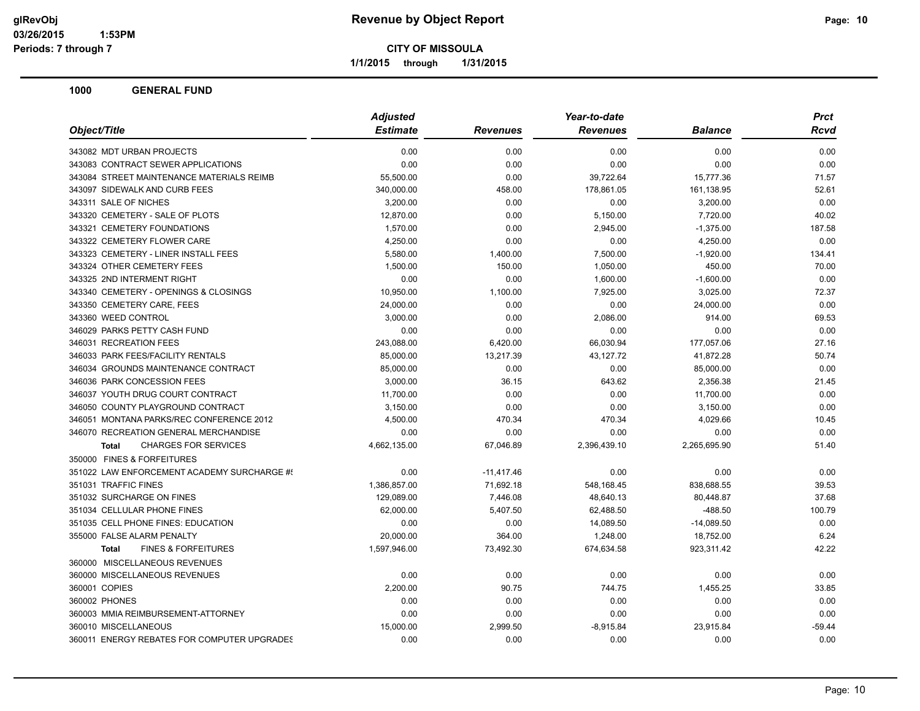**1/1/2015 through 1/31/2015**

| Object/Title                                   | <b>Adjusted</b> |                 | Year-to-date    |                | Prct        |
|------------------------------------------------|-----------------|-----------------|-----------------|----------------|-------------|
|                                                | <b>Estimate</b> | <b>Revenues</b> | <b>Revenues</b> | <b>Balance</b> | <b>Rcvd</b> |
| 343082 MDT URBAN PROJECTS                      | 0.00            | 0.00            | 0.00            | 0.00           | 0.00        |
| 343083 CONTRACT SEWER APPLICATIONS             | 0.00            | 0.00            | 0.00            | 0.00           | 0.00        |
| 343084 STREET MAINTENANCE MATERIALS REIMB      | 55,500.00       | 0.00            | 39,722.64       | 15,777.36      | 71.57       |
| 343097 SIDEWALK AND CURB FEES                  | 340,000.00      | 458.00          | 178,861.05      | 161,138.95     | 52.61       |
| 343311 SALE OF NICHES                          | 3,200.00        | 0.00            | 0.00            | 3,200.00       | 0.00        |
| 343320 CEMETERY - SALE OF PLOTS                | 12,870.00       | 0.00            | 5,150.00        | 7.720.00       | 40.02       |
| 343321 CEMETERY FOUNDATIONS                    | 1,570.00        | 0.00            | 2,945.00        | $-1,375.00$    | 187.58      |
| 343322 CEMETERY FLOWER CARE                    | 4,250.00        | 0.00            | 0.00            | 4,250.00       | 0.00        |
| 343323 CEMETERY - LINER INSTALL FEES           | 5,580.00        | 1,400.00        | 7,500.00        | $-1,920.00$    | 134.41      |
| 343324 OTHER CEMETERY FEES                     | 1,500.00        | 150.00          | 1,050.00        | 450.00         | 70.00       |
| 343325 2ND INTERMENT RIGHT                     | 0.00            | 0.00            | 1,600.00        | $-1,600.00$    | 0.00        |
| 343340 CEMETERY - OPENINGS & CLOSINGS          | 10,950.00       | 1,100.00        | 7,925.00        | 3,025.00       | 72.37       |
| 343350 CEMETERY CARE, FEES                     | 24,000.00       | 0.00            | 0.00            | 24,000.00      | 0.00        |
| 343360 WEED CONTROL                            | 3,000.00        | 0.00            | 2,086.00        | 914.00         | 69.53       |
| 346029 PARKS PETTY CASH FUND                   | 0.00            | 0.00            | 0.00            | 0.00           | 0.00        |
| 346031 RECREATION FEES                         | 243,088.00      | 6,420.00        | 66,030.94       | 177,057.06     | 27.16       |
| 346033 PARK FEES/FACILITY RENTALS              | 85,000.00       | 13,217.39       | 43,127.72       | 41,872.28      | 50.74       |
| 346034 GROUNDS MAINTENANCE CONTRACT            | 85,000.00       | 0.00            | 0.00            | 85,000.00      | 0.00        |
| 346036 PARK CONCESSION FEES                    | 3,000.00        | 36.15           | 643.62          | 2,356.38       | 21.45       |
| 346037 YOUTH DRUG COURT CONTRACT               | 11,700.00       | 0.00            | 0.00            | 11,700.00      | 0.00        |
| 346050 COUNTY PLAYGROUND CONTRACT              | 3,150.00        | 0.00            | 0.00            | 3,150.00       | 0.00        |
| 346051 MONTANA PARKS/REC CONFERENCE 2012       | 4,500.00        | 470.34          | 470.34          | 4,029.66       | 10.45       |
| 346070 RECREATION GENERAL MERCHANDISE          | 0.00            | 0.00            | 0.00            | 0.00           | 0.00        |
| <b>CHARGES FOR SERVICES</b><br><b>Total</b>    | 4,662,135.00    | 67,046.89       | 2,396,439.10    | 2,265,695.90   | 51.40       |
| 350000 FINES & FORFEITURES                     |                 |                 |                 |                |             |
| 351022 LAW ENFORCEMENT ACADEMY SURCHARGE #!    | 0.00            | $-11,417.46$    | 0.00            | 0.00           | 0.00        |
| 351031 TRAFFIC FINES                           | 1,386,857.00    | 71,692.18       | 548,168.45      | 838,688.55     | 39.53       |
| 351032 SURCHARGE ON FINES                      | 129,089.00      | 7,446.08        | 48,640.13       | 80,448.87      | 37.68       |
| 351034 CELLULAR PHONE FINES                    | 62,000.00       | 5,407.50        | 62,488.50       | $-488.50$      | 100.79      |
| 351035 CELL PHONE FINES: EDUCATION             | 0.00            | 0.00            | 14,089.50       | $-14,089.50$   | 0.00        |
| 355000 FALSE ALARM PENALTY                     | 20,000.00       | 364.00          | 1,248.00        | 18,752.00      | 6.24        |
| <b>FINES &amp; FORFEITURES</b><br><b>Total</b> | 1,597,946.00    | 73,492.30       | 674,634.58      | 923,311.42     | 42.22       |
| 360000 MISCELLANEOUS REVENUES                  |                 |                 |                 |                |             |
| 360000 MISCELLANEOUS REVENUES                  | 0.00            | 0.00            | 0.00            | 0.00           | 0.00        |
| 360001 COPIES                                  | 2,200.00        | 90.75           | 744.75          | 1,455.25       | 33.85       |
| 360002 PHONES                                  | 0.00            | 0.00            | 0.00            | 0.00           | 0.00        |
| 360003 MMIA REIMBURSEMENT-ATTORNEY             | 0.00            | 0.00            | 0.00            | 0.00           | 0.00        |
| 360010 MISCELLANEOUS                           | 15,000.00       | 2,999.50        | $-8,915.84$     | 23,915.84      | $-59.44$    |
| 360011 ENERGY REBATES FOR COMPUTER UPGRADES    | 0.00            | 0.00            | 0.00            | 0.00           | 0.00        |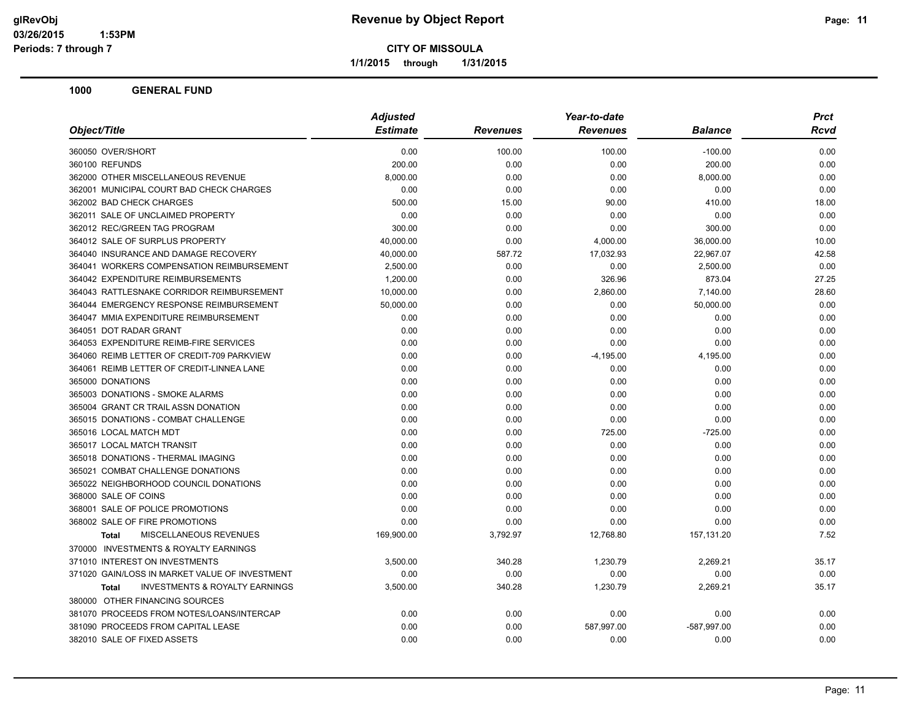**1/1/2015 through 1/31/2015**

| Object/Title                                              | <b>Adjusted</b> | Year-to-date    |                 |             | Prct  |
|-----------------------------------------------------------|-----------------|-----------------|-----------------|-------------|-------|
|                                                           | <b>Estimate</b> | <b>Revenues</b> | <b>Revenues</b> | Balance     | Rcvd  |
| 360050 OVER/SHORT                                         | 0.00            | 100.00          | 100.00          | $-100.00$   | 0.00  |
| 360100 REFUNDS                                            | 200.00          | 0.00            | 0.00            | 200.00      | 0.00  |
| 362000 OTHER MISCELLANEOUS REVENUE                        | 8,000.00        | 0.00            | 0.00            | 8,000.00    | 0.00  |
| 362001 MUNICIPAL COURT BAD CHECK CHARGES                  | 0.00            | 0.00            | 0.00            | 0.00        | 0.00  |
| 362002 BAD CHECK CHARGES                                  | 500.00          | 15.00           | 90.00           | 410.00      | 18.00 |
| 362011 SALE OF UNCLAIMED PROPERTY                         | 0.00            | 0.00            | 0.00            | 0.00        | 0.00  |
| 362012 REC/GREEN TAG PROGRAM                              | 300.00          | 0.00            | 0.00            | 300.00      | 0.00  |
| 364012 SALE OF SURPLUS PROPERTY                           | 40.000.00       | 0.00            | 4,000.00        | 36,000.00   | 10.00 |
| 364040 INSURANCE AND DAMAGE RECOVERY                      | 40,000.00       | 587.72          | 17,032.93       | 22,967.07   | 42.58 |
| 364041 WORKERS COMPENSATION REIMBURSEMENT                 | 2,500.00        | 0.00            | 0.00            | 2,500.00    | 0.00  |
| 364042 EXPENDITURE REIMBURSEMENTS                         | 1.200.00        | 0.00            | 326.96          | 873.04      | 27.25 |
| 364043 RATTLESNAKE CORRIDOR REIMBURSEMENT                 | 10,000.00       | 0.00            | 2,860.00        | 7,140.00    | 28.60 |
| 364044 EMERGENCY RESPONSE REIMBURSEMENT                   | 50,000.00       | 0.00            | 0.00            | 50,000.00   | 0.00  |
| 364047 MMIA EXPENDITURE REIMBURSEMENT                     | 0.00            | 0.00            | 0.00            | 0.00        | 0.00  |
| 364051 DOT RADAR GRANT                                    | 0.00            | 0.00            | 0.00            | 0.00        | 0.00  |
| 364053 EXPENDITURE REIMB-FIRE SERVICES                    | 0.00            | 0.00            | 0.00            | 0.00        | 0.00  |
| 364060 REIMB LETTER OF CREDIT-709 PARKVIEW                | 0.00            | 0.00            | $-4,195.00$     | 4,195.00    | 0.00  |
| 364061 REIMB LETTER OF CREDIT-LINNEA LANE                 | 0.00            | 0.00            | 0.00            | 0.00        | 0.00  |
| 365000 DONATIONS                                          | 0.00            | 0.00            | 0.00            | 0.00        | 0.00  |
| 365003 DONATIONS - SMOKE ALARMS                           | 0.00            | 0.00            | 0.00            | 0.00        | 0.00  |
| 365004 GRANT CR TRAIL ASSN DONATION                       | 0.00            | 0.00            | 0.00            | 0.00        | 0.00  |
| 365015 DONATIONS - COMBAT CHALLENGE                       | 0.00            | 0.00            | 0.00            | 0.00        | 0.00  |
| 365016 LOCAL MATCH MDT                                    | 0.00            | 0.00            | 725.00          | $-725.00$   | 0.00  |
| 365017 LOCAL MATCH TRANSIT                                | 0.00            | 0.00            | 0.00            | 0.00        | 0.00  |
| 365018 DONATIONS - THERMAL IMAGING                        | 0.00            | 0.00            | 0.00            | 0.00        | 0.00  |
| 365021 COMBAT CHALLENGE DONATIONS                         | 0.00            | 0.00            | 0.00            | 0.00        | 0.00  |
| 365022 NEIGHBORHOOD COUNCIL DONATIONS                     | 0.00            | 0.00            | 0.00            | 0.00        | 0.00  |
| 368000 SALE OF COINS                                      | 0.00            | 0.00            | 0.00            | 0.00        | 0.00  |
| 368001 SALE OF POLICE PROMOTIONS                          | 0.00            | 0.00            | 0.00            | 0.00        | 0.00  |
| 368002 SALE OF FIRE PROMOTIONS                            | 0.00            | 0.00            | 0.00            | 0.00        | 0.00  |
| MISCELLANEOUS REVENUES<br><b>Total</b>                    | 169,900.00      | 3,792.97        | 12,768.80       | 157,131.20  | 7.52  |
| 370000 INVESTMENTS & ROYALTY EARNINGS                     |                 |                 |                 |             |       |
| 371010 INTEREST ON INVESTMENTS                            | 3,500.00        | 340.28          | 1,230.79        | 2,269.21    | 35.17 |
| 371020 GAIN/LOSS IN MARKET VALUE OF INVESTMENT            | 0.00            | 0.00            | 0.00            | 0.00        | 0.00  |
| <b>INVESTMENTS &amp; ROYALTY EARNINGS</b><br><b>Total</b> | 3,500.00        | 340.28          | 1,230.79        | 2,269.21    | 35.17 |
| 380000 OTHER FINANCING SOURCES                            |                 |                 |                 |             |       |
| 381070 PROCEEDS FROM NOTES/LOANS/INTERCAP                 | 0.00            | 0.00            | 0.00            | 0.00        | 0.00  |
| 381090 PROCEEDS FROM CAPITAL LEASE                        | 0.00            | 0.00            | 587,997.00      | -587,997.00 | 0.00  |
| 382010 SALE OF FIXED ASSETS                               | 0.00            | 0.00            | 0.00            | 0.00        | 0.00  |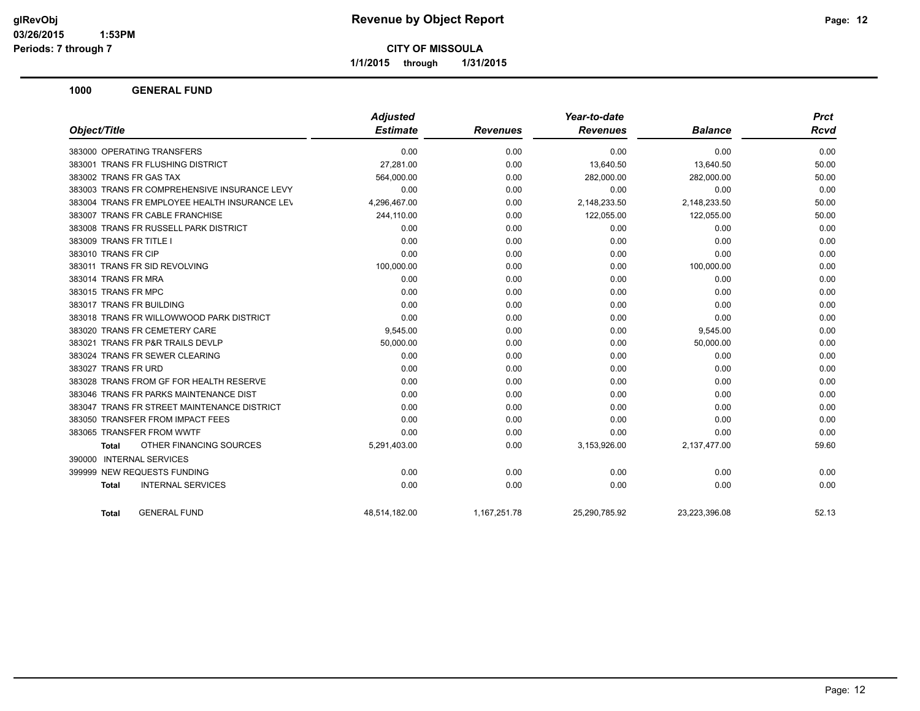**1/1/2015 through 1/31/2015**

|                                               | <b>Adjusted</b> |                 | Year-to-date    |                | <b>Prct</b> |
|-----------------------------------------------|-----------------|-----------------|-----------------|----------------|-------------|
| Object/Title                                  | <b>Estimate</b> | <b>Revenues</b> | <b>Revenues</b> | <b>Balance</b> | <b>Rcvd</b> |
| 383000 OPERATING TRANSFERS                    | 0.00            | 0.00            | 0.00            | 0.00           | 0.00        |
| 383001 TRANS FR FLUSHING DISTRICT             | 27,281.00       | 0.00            | 13,640.50       | 13,640.50      | 50.00       |
| 383002 TRANS FR GAS TAX                       | 564,000.00      | 0.00            | 282,000.00      | 282,000.00     | 50.00       |
| 383003 TRANS FR COMPREHENSIVE INSURANCE LEVY  | 0.00            | 0.00            | 0.00            | 0.00           | 0.00        |
| 383004 TRANS FR EMPLOYEE HEALTH INSURANCE LEV | 4,296,467.00    | 0.00            | 2,148,233.50    | 2,148,233.50   | 50.00       |
| 383007 TRANS FR CABLE FRANCHISE               | 244,110.00      | 0.00            | 122,055.00      | 122,055.00     | 50.00       |
| 383008 TRANS FR RUSSELL PARK DISTRICT         | 0.00            | 0.00            | 0.00            | 0.00           | 0.00        |
| 383009 TRANS FR TITLE I                       | 0.00            | 0.00            | 0.00            | 0.00           | 0.00        |
| 383010 TRANS FR CIP                           | 0.00            | 0.00            | 0.00            | 0.00           | 0.00        |
| 383011 TRANS FR SID REVOLVING                 | 100,000.00      | 0.00            | 0.00            | 100,000.00     | 0.00        |
| 383014 TRANS FR MRA                           | 0.00            | 0.00            | 0.00            | 0.00           | 0.00        |
| 383015 TRANS FR MPC                           | 0.00            | 0.00            | 0.00            | 0.00           | 0.00        |
| 383017 TRANS FR BUILDING                      | 0.00            | 0.00            | 0.00            | 0.00           | 0.00        |
| 383018 TRANS FR WILLOWWOOD PARK DISTRICT      | 0.00            | 0.00            | 0.00            | 0.00           | 0.00        |
| 383020 TRANS FR CEMETERY CARE                 | 9,545.00        | 0.00            | 0.00            | 9,545.00       | 0.00        |
| 383021 TRANS FR P&R TRAILS DEVLP              | 50,000.00       | 0.00            | 0.00            | 50,000.00      | 0.00        |
| 383024 TRANS FR SEWER CLEARING                | 0.00            | 0.00            | 0.00            | 0.00           | 0.00        |
| 383027 TRANS FR URD                           | 0.00            | 0.00            | 0.00            | 0.00           | 0.00        |
| 383028 TRANS FROM GF FOR HEALTH RESERVE       | 0.00            | 0.00            | 0.00            | 0.00           | 0.00        |
| 383046 TRANS FR PARKS MAINTENANCE DIST        | 0.00            | 0.00            | 0.00            | 0.00           | 0.00        |
| 383047 TRANS FR STREET MAINTENANCE DISTRICT   | 0.00            | 0.00            | 0.00            | 0.00           | 0.00        |
| 383050 TRANSFER FROM IMPACT FEES              | 0.00            | 0.00            | 0.00            | 0.00           | 0.00        |
| 383065 TRANSFER FROM WWTF                     | 0.00            | 0.00            | 0.00            | 0.00           | 0.00        |
| OTHER FINANCING SOURCES<br><b>Total</b>       | 5,291,403.00    | 0.00            | 3,153,926.00    | 2,137,477.00   | 59.60       |
| 390000 INTERNAL SERVICES                      |                 |                 |                 |                |             |
| 399999 NEW REQUESTS FUNDING                   | 0.00            | 0.00            | 0.00            | 0.00           | 0.00        |
| <b>INTERNAL SERVICES</b><br><b>Total</b>      | 0.00            | 0.00            | 0.00            | 0.00           | 0.00        |
| <b>GENERAL FUND</b><br><b>Total</b>           | 48,514,182.00   | 1,167,251.78    | 25,290,785.92   | 23,223,396.08  | 52.13       |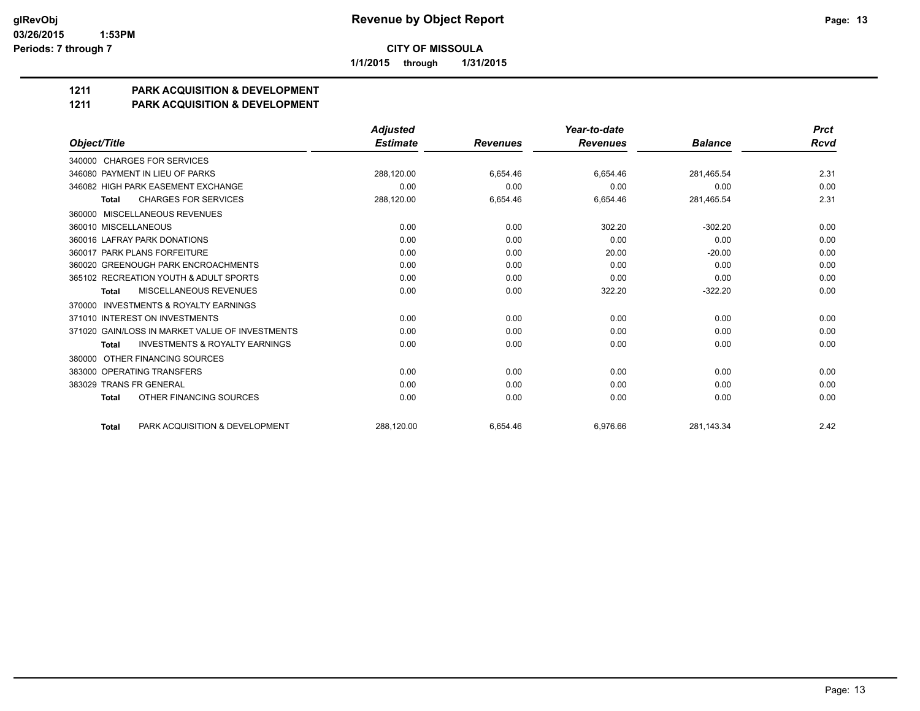**1/1/2015 through 1/31/2015**

## **1211 PARK ACQUISITION & DEVELOPMENT**

#### **1211 PARK ACQUISITION & DEVELOPMENT**

|                                                           | <b>Adjusted</b> |                 | Year-to-date    |                | <b>Prct</b> |
|-----------------------------------------------------------|-----------------|-----------------|-----------------|----------------|-------------|
| Object/Title                                              | <b>Estimate</b> | <b>Revenues</b> | <b>Revenues</b> | <b>Balance</b> | Rcvd        |
| 340000 CHARGES FOR SERVICES                               |                 |                 |                 |                |             |
| 346080 PAYMENT IN LIEU OF PARKS                           | 288,120.00      | 6.654.46        | 6.654.46        | 281,465.54     | 2.31        |
| 346082 HIGH PARK EASEMENT EXCHANGE                        | 0.00            | 0.00            | 0.00            | 0.00           | 0.00        |
| <b>CHARGES FOR SERVICES</b><br><b>Total</b>               | 288,120.00      | 6,654.46        | 6,654.46        | 281,465.54     | 2.31        |
| MISCELLANEOUS REVENUES<br>360000                          |                 |                 |                 |                |             |
| 360010 MISCELLANEOUS                                      | 0.00            | 0.00            | 302.20          | $-302.20$      | 0.00        |
| 360016 LAFRAY PARK DONATIONS                              | 0.00            | 0.00            | 0.00            | 0.00           | 0.00        |
| 360017 PARK PLANS FORFEITURE                              | 0.00            | 0.00            | 20.00           | $-20.00$       | 0.00        |
| 360020 GREENOUGH PARK ENCROACHMENTS                       | 0.00            | 0.00            | 0.00            | 0.00           | 0.00        |
| 365102 RECREATION YOUTH & ADULT SPORTS                    | 0.00            | 0.00            | 0.00            | 0.00           | 0.00        |
| MISCELLANEOUS REVENUES<br><b>Total</b>                    | 0.00            | 0.00            | 322.20          | $-322.20$      | 0.00        |
| <b>INVESTMENTS &amp; ROYALTY EARNINGS</b><br>370000       |                 |                 |                 |                |             |
| 371010 INTEREST ON INVESTMENTS                            | 0.00            | 0.00            | 0.00            | 0.00           | 0.00        |
| 371020 GAIN/LOSS IN MARKET VALUE OF INVESTMENTS           | 0.00            | 0.00            | 0.00            | 0.00           | 0.00        |
| <b>INVESTMENTS &amp; ROYALTY EARNINGS</b><br><b>Total</b> | 0.00            | 0.00            | 0.00            | 0.00           | 0.00        |
| OTHER FINANCING SOURCES<br>380000                         |                 |                 |                 |                |             |
| 383000 OPERATING TRANSFERS                                | 0.00            | 0.00            | 0.00            | 0.00           | 0.00        |
| 383029 TRANS FR GENERAL                                   | 0.00            | 0.00            | 0.00            | 0.00           | 0.00        |
| OTHER FINANCING SOURCES<br><b>Total</b>                   | 0.00            | 0.00            | 0.00            | 0.00           | 0.00        |
| PARK ACQUISITION & DEVELOPMENT<br><b>Total</b>            | 288.120.00      | 6.654.46        | 6.976.66        | 281.143.34     | 2.42        |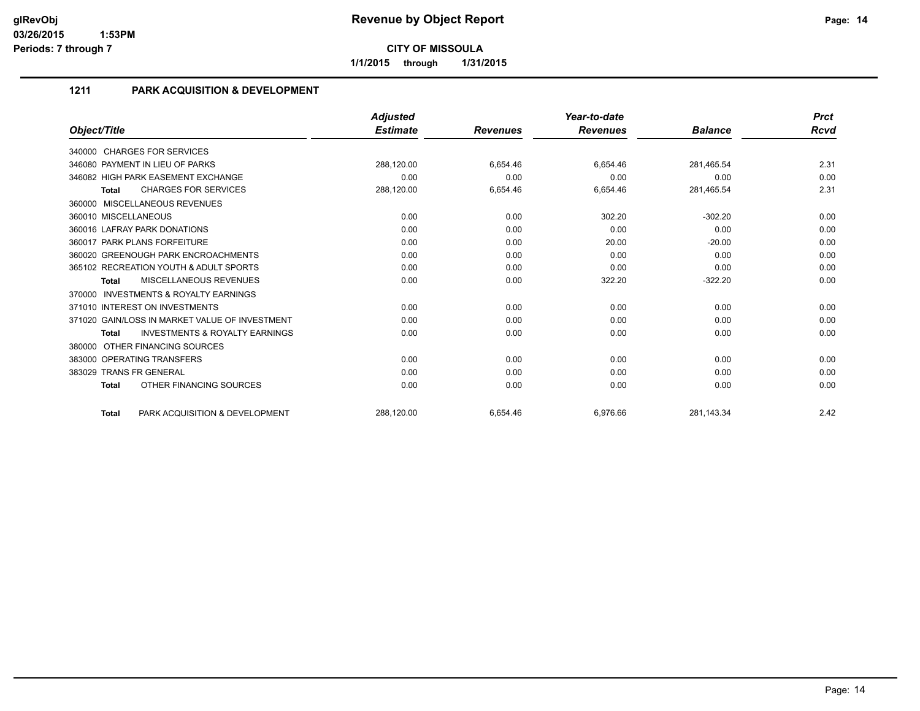**1/1/2015 through 1/31/2015**

## **1211 PARK ACQUISITION & DEVELOPMENT**

|                                                           | <b>Adjusted</b> |                 | Year-to-date    |                | <b>Prct</b> |
|-----------------------------------------------------------|-----------------|-----------------|-----------------|----------------|-------------|
| Object/Title                                              | <b>Estimate</b> | <b>Revenues</b> | <b>Revenues</b> | <b>Balance</b> | Rcvd        |
| 340000 CHARGES FOR SERVICES                               |                 |                 |                 |                |             |
| 346080 PAYMENT IN LIEU OF PARKS                           | 288,120.00      | 6,654.46        | 6,654.46        | 281,465.54     | 2.31        |
| 346082 HIGH PARK EASEMENT EXCHANGE                        | 0.00            | 0.00            | 0.00            | 0.00           | 0.00        |
| <b>CHARGES FOR SERVICES</b><br><b>Total</b>               | 288,120.00      | 6,654.46        | 6,654.46        | 281,465.54     | 2.31        |
| 360000 MISCELLANEOUS REVENUES                             |                 |                 |                 |                |             |
| 360010 MISCELLANEOUS                                      | 0.00            | 0.00            | 302.20          | $-302.20$      | 0.00        |
| 360016 LAFRAY PARK DONATIONS                              | 0.00            | 0.00            | 0.00            | 0.00           | 0.00        |
| 360017 PARK PLANS FORFEITURE                              | 0.00            | 0.00            | 20.00           | $-20.00$       | 0.00        |
| 360020 GREENOUGH PARK ENCROACHMENTS                       | 0.00            | 0.00            | 0.00            | 0.00           | 0.00        |
| 365102 RECREATION YOUTH & ADULT SPORTS                    | 0.00            | 0.00            | 0.00            | 0.00           | 0.00        |
| <b>MISCELLANEOUS REVENUES</b><br><b>Total</b>             | 0.00            | 0.00            | 322.20          | $-322.20$      | 0.00        |
| <b>INVESTMENTS &amp; ROYALTY EARNINGS</b><br>370000       |                 |                 |                 |                |             |
| 371010 INTEREST ON INVESTMENTS                            | 0.00            | 0.00            | 0.00            | 0.00           | 0.00        |
| 371020 GAIN/LOSS IN MARKET VALUE OF INVESTMENT            | 0.00            | 0.00            | 0.00            | 0.00           | 0.00        |
| <b>INVESTMENTS &amp; ROYALTY EARNINGS</b><br><b>Total</b> | 0.00            | 0.00            | 0.00            | 0.00           | 0.00        |
| 380000 OTHER FINANCING SOURCES                            |                 |                 |                 |                |             |
| 383000 OPERATING TRANSFERS                                | 0.00            | 0.00            | 0.00            | 0.00           | 0.00        |
| 383029 TRANS FR GENERAL                                   | 0.00            | 0.00            | 0.00            | 0.00           | 0.00        |
| OTHER FINANCING SOURCES<br><b>Total</b>                   | 0.00            | 0.00            | 0.00            | 0.00           | 0.00        |
| PARK ACQUISITION & DEVELOPMENT<br><b>Total</b>            | 288,120.00      | 6,654.46        | 6,976.66        | 281,143.34     | 2.42        |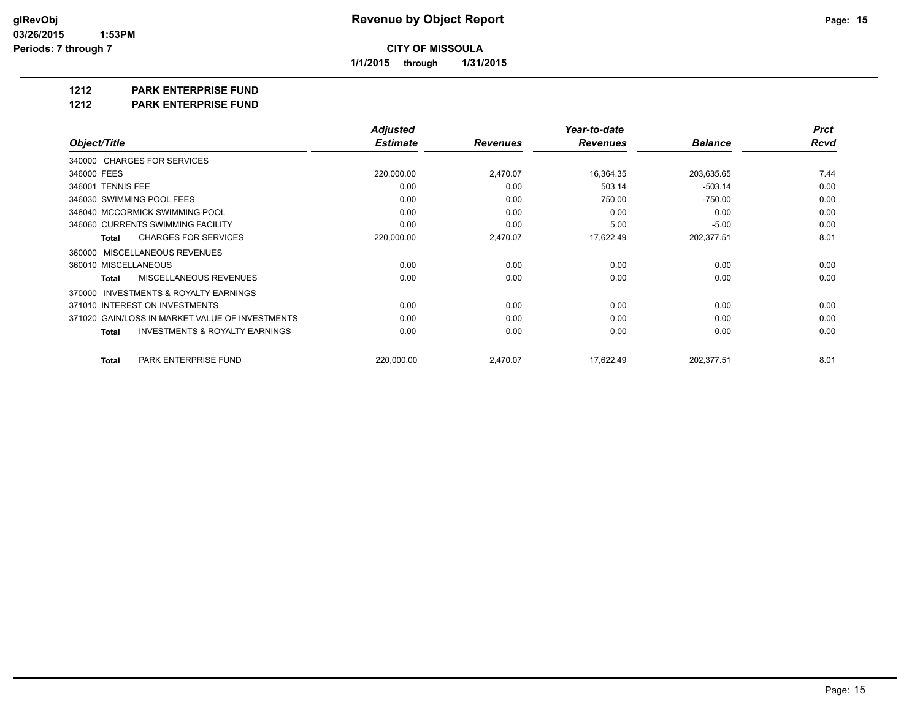**1/1/2015 through 1/31/2015**

**1212 PARK ENTERPRISE FUND**

**1212 PARK ENTERPRISE FUND**

|                                                           | <b>Adjusted</b> |                 | Year-to-date    |                | <b>Prct</b> |
|-----------------------------------------------------------|-----------------|-----------------|-----------------|----------------|-------------|
| Object/Title                                              | <b>Estimate</b> | <b>Revenues</b> | <b>Revenues</b> | <b>Balance</b> | Rcvd        |
| 340000 CHARGES FOR SERVICES                               |                 |                 |                 |                |             |
| 346000 FEES                                               | 220,000.00      | 2,470.07        | 16,364.35       | 203,635.65     | 7.44        |
| 346001 TENNIS FEE                                         | 0.00            | 0.00            | 503.14          | $-503.14$      | 0.00        |
| 346030 SWIMMING POOL FEES                                 | 0.00            | 0.00            | 750.00          | $-750.00$      | 0.00        |
| 346040 MCCORMICK SWIMMING POOL                            | 0.00            | 0.00            | 0.00            | 0.00           | 0.00        |
| 346060 CURRENTS SWIMMING FACILITY                         | 0.00            | 0.00            | 5.00            | $-5.00$        | 0.00        |
| <b>CHARGES FOR SERVICES</b><br><b>Total</b>               | 220,000.00      | 2,470.07        | 17,622.49       | 202,377.51     | 8.01        |
| MISCELLANEOUS REVENUES<br>360000                          |                 |                 |                 |                |             |
| 360010 MISCELLANEOUS                                      | 0.00            | 0.00            | 0.00            | 0.00           | 0.00        |
| <b>MISCELLANEOUS REVENUES</b><br><b>Total</b>             | 0.00            | 0.00            | 0.00            | 0.00           | 0.00        |
| INVESTMENTS & ROYALTY EARNINGS<br>370000                  |                 |                 |                 |                |             |
| 371010 INTEREST ON INVESTMENTS                            | 0.00            | 0.00            | 0.00            | 0.00           | 0.00        |
| 371020 GAIN/LOSS IN MARKET VALUE OF INVESTMENTS           | 0.00            | 0.00            | 0.00            | 0.00           | 0.00        |
| <b>INVESTMENTS &amp; ROYALTY EARNINGS</b><br><b>Total</b> | 0.00            | 0.00            | 0.00            | 0.00           | 0.00        |
| PARK ENTERPRISE FUND<br><b>Total</b>                      | 220,000.00      | 2,470.07        | 17,622.49       | 202,377.51     | 8.01        |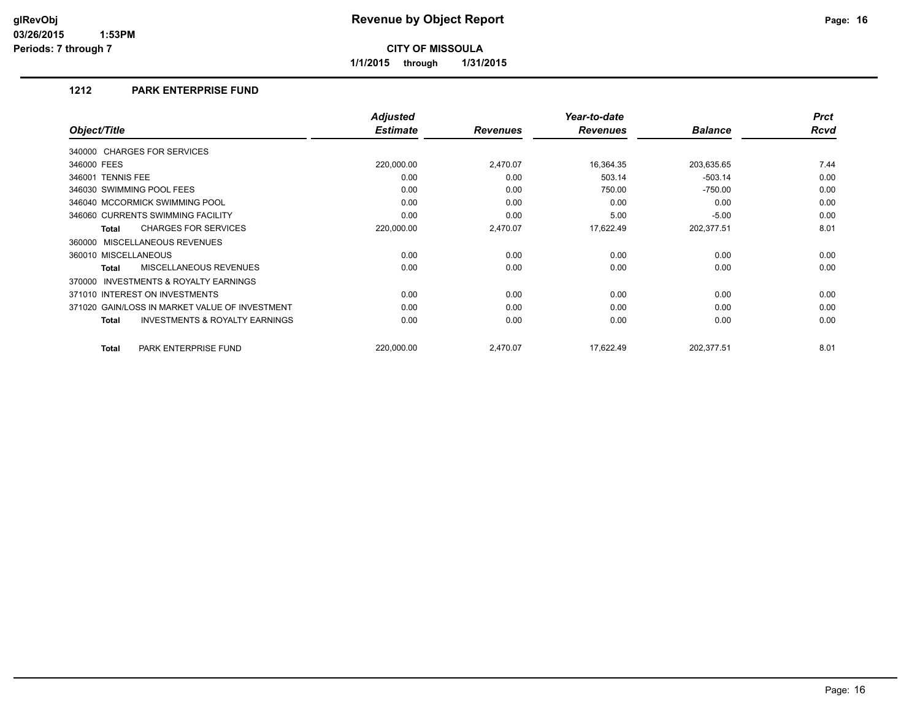**1/1/2015 through 1/31/2015**

#### **1212 PARK ENTERPRISE FUND**

|                                                     | <b>Adjusted</b> |                 | Year-to-date    |                | <b>Prct</b> |
|-----------------------------------------------------|-----------------|-----------------|-----------------|----------------|-------------|
| Object/Title                                        | <b>Estimate</b> | <b>Revenues</b> | <b>Revenues</b> | <b>Balance</b> | Rcvd        |
| 340000 CHARGES FOR SERVICES                         |                 |                 |                 |                |             |
| 346000 FEES                                         | 220,000.00      | 2,470.07        | 16,364.35       | 203,635.65     | 7.44        |
| 346001 TENNIS FEE                                   | 0.00            | 0.00            | 503.14          | $-503.14$      | 0.00        |
| 346030 SWIMMING POOL FEES                           | 0.00            | 0.00            | 750.00          | $-750.00$      | 0.00        |
| 346040 MCCORMICK SWIMMING POOL                      | 0.00            | 0.00            | 0.00            | 0.00           | 0.00        |
| 346060 CURRENTS SWIMMING FACILITY                   | 0.00            | 0.00            | 5.00            | $-5.00$        | 0.00        |
| <b>CHARGES FOR SERVICES</b><br>Total                | 220,000.00      | 2,470.07        | 17,622.49       | 202,377.51     | 8.01        |
| 360000 MISCELLANEOUS REVENUES                       |                 |                 |                 |                |             |
| 360010 MISCELLANEOUS                                | 0.00            | 0.00            | 0.00            | 0.00           | 0.00        |
| MISCELLANEOUS REVENUES<br><b>Total</b>              | 0.00            | 0.00            | 0.00            | 0.00           | 0.00        |
| <b>INVESTMENTS &amp; ROYALTY EARNINGS</b><br>370000 |                 |                 |                 |                |             |
| 371010 INTEREST ON INVESTMENTS                      | 0.00            | 0.00            | 0.00            | 0.00           | 0.00        |
| 371020 GAIN/LOSS IN MARKET VALUE OF INVESTMENT      | 0.00            | 0.00            | 0.00            | 0.00           | 0.00        |
| <b>INVESTMENTS &amp; ROYALTY EARNINGS</b><br>Total  | 0.00            | 0.00            | 0.00            | 0.00           | 0.00        |
| PARK ENTERPRISE FUND<br><b>Total</b>                | 220,000.00      | 2.470.07        | 17,622.49       | 202,377.51     | 8.01        |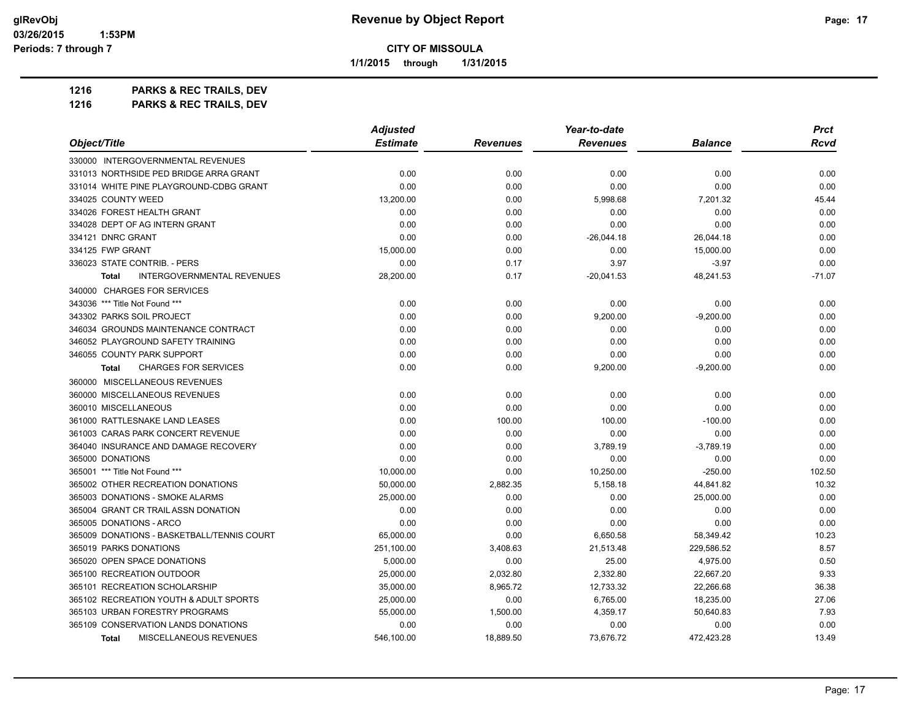**1/1/2015 through 1/31/2015**

| <b>PARKS &amp; REC TRAILS, DEV</b><br>1216 |  |
|--------------------------------------------|--|
|--------------------------------------------|--|

| Object/Title                                      | <b>Adjusted</b> |                 | Year-to-date    |                | <b>Prct</b> |
|---------------------------------------------------|-----------------|-----------------|-----------------|----------------|-------------|
|                                                   | <b>Estimate</b> | <b>Revenues</b> | <b>Revenues</b> | <b>Balance</b> | Rcvd        |
| 330000 INTERGOVERNMENTAL REVENUES                 |                 |                 |                 |                |             |
| 331013 NORTHSIDE PED BRIDGE ARRA GRANT            | 0.00            | 0.00            | 0.00            | 0.00           | 0.00        |
| 331014 WHITE PINE PLAYGROUND-CDBG GRANT           | 0.00            | 0.00            | 0.00            | 0.00           | 0.00        |
| 334025 COUNTY WEED                                | 13,200.00       | 0.00            | 5,998.68        | 7,201.32       | 45.44       |
| 334026 FOREST HEALTH GRANT                        | 0.00            | 0.00            | 0.00            | 0.00           | 0.00        |
| 334028 DEPT OF AG INTERN GRANT                    | 0.00            | 0.00            | 0.00            | 0.00           | 0.00        |
| 334121 DNRC GRANT                                 | 0.00            | 0.00            | $-26,044.18$    | 26,044.18      | 0.00        |
| 334125 FWP GRANT                                  | 15,000.00       | 0.00            | 0.00            | 15,000.00      | 0.00        |
| 336023 STATE CONTRIB. - PERS                      | 0.00            | 0.17            | 3.97            | $-3.97$        | 0.00        |
| <b>INTERGOVERNMENTAL REVENUES</b><br><b>Total</b> | 28,200.00       | 0.17            | $-20,041.53$    | 48,241.53      | $-71.07$    |
| 340000 CHARGES FOR SERVICES                       |                 |                 |                 |                |             |
| 343036 *** Title Not Found ***                    | 0.00            | 0.00            | 0.00            | 0.00           | 0.00        |
| 343302 PARKS SOIL PROJECT                         | 0.00            | 0.00            | 9,200.00        | $-9,200.00$    | 0.00        |
| 346034 GROUNDS MAINTENANCE CONTRACT               | 0.00            | 0.00            | 0.00            | 0.00           | 0.00        |
| 346052 PLAYGROUND SAFETY TRAINING                 | 0.00            | 0.00            | 0.00            | 0.00           | 0.00        |
| 346055 COUNTY PARK SUPPORT                        | 0.00            | 0.00            | 0.00            | 0.00           | 0.00        |
| <b>CHARGES FOR SERVICES</b><br><b>Total</b>       | 0.00            | 0.00            | 9,200.00        | $-9,200.00$    | 0.00        |
| 360000 MISCELLANEOUS REVENUES                     |                 |                 |                 |                |             |
| 360000 MISCELLANEOUS REVENUES                     | 0.00            | 0.00            | 0.00            | 0.00           | 0.00        |
| 360010 MISCELLANEOUS                              | 0.00            | 0.00            | 0.00            | 0.00           | 0.00        |
| 361000 RATTLESNAKE LAND LEASES                    | 0.00            | 100.00          | 100.00          | $-100.00$      | 0.00        |
| 361003 CARAS PARK CONCERT REVENUE                 | 0.00            | 0.00            | 0.00            | 0.00           | 0.00        |
| 364040 INSURANCE AND DAMAGE RECOVERY              | 0.00            | 0.00            | 3,789.19        | $-3,789.19$    | 0.00        |
| 365000 DONATIONS                                  | 0.00            | 0.00            | 0.00            | 0.00           | 0.00        |
| 365001 *** Title Not Found ***                    | 10,000.00       | 0.00            | 10,250.00       | $-250.00$      | 102.50      |
| 365002 OTHER RECREATION DONATIONS                 | 50,000.00       | 2,882.35        | 5,158.18        | 44,841.82      | 10.32       |
| 365003 DONATIONS - SMOKE ALARMS                   | 25,000.00       | 0.00            | 0.00            | 25,000.00      | 0.00        |
| 365004 GRANT CR TRAIL ASSN DONATION               | 0.00            | 0.00            | 0.00            | 0.00           | 0.00        |
| 365005 DONATIONS - ARCO                           | 0.00            | 0.00            | 0.00            | 0.00           | 0.00        |
| 365009 DONATIONS - BASKETBALL/TENNIS COURT        | 65,000.00       | 0.00            | 6,650.58        | 58,349.42      | 10.23       |
| 365019 PARKS DONATIONS                            | 251,100.00      | 3,408.63        | 21,513.48       | 229,586.52     | 8.57        |
| 365020 OPEN SPACE DONATIONS                       | 5,000.00        | 0.00            | 25.00           | 4,975.00       | 0.50        |
| 365100 RECREATION OUTDOOR                         | 25,000.00       | 2,032.80        | 2,332.80        | 22,667.20      | 9.33        |
| 365101 RECREATION SCHOLARSHIP                     | 35,000.00       | 8,965.72        | 12,733.32       | 22,266.68      | 36.38       |
| 365102 RECREATION YOUTH & ADULT SPORTS            | 25,000.00       | 0.00            | 6,765.00        | 18,235.00      | 27.06       |
| 365103 URBAN FORESTRY PROGRAMS                    | 55,000.00       | 1,500.00        | 4,359.17        | 50,640.83      | 7.93        |
| 365109 CONSERVATION LANDS DONATIONS               | 0.00            | 0.00            | 0.00            | 0.00           | 0.00        |
| <b>MISCELLANEOUS REVENUES</b><br><b>Total</b>     | 546,100.00      | 18,889.50       | 73,676.72       | 472,423.28     | 13.49       |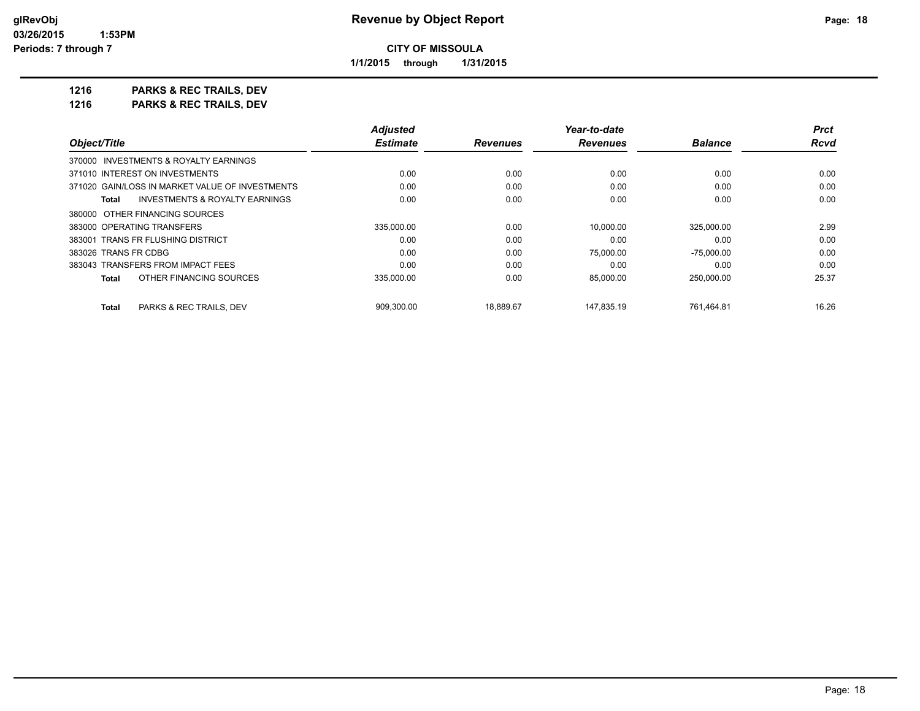**1/1/2015 through 1/31/2015**

**1216 PARKS & REC TRAILS, DEV**

|                                                    | <b>Adjusted</b> |                 | Year-to-date    |                | <b>Prct</b> |
|----------------------------------------------------|-----------------|-----------------|-----------------|----------------|-------------|
| Object/Title                                       | <b>Estimate</b> | <b>Revenues</b> | <b>Revenues</b> | <b>Balance</b> | Rcvd        |
| 370000 INVESTMENTS & ROYALTY EARNINGS              |                 |                 |                 |                |             |
| 371010 INTEREST ON INVESTMENTS                     | 0.00            | 0.00            | 0.00            | 0.00           | 0.00        |
| 371020 GAIN/LOSS IN MARKET VALUE OF INVESTMENTS    | 0.00            | 0.00            | 0.00            | 0.00           | 0.00        |
| <b>INVESTMENTS &amp; ROYALTY EARNINGS</b><br>Total | 0.00            | 0.00            | 0.00            | 0.00           | 0.00        |
| 380000 OTHER FINANCING SOURCES                     |                 |                 |                 |                |             |
| 383000 OPERATING TRANSFERS                         | 335,000.00      | 0.00            | 10.000.00       | 325,000.00     | 2.99        |
| 383001 TRANS FR FLUSHING DISTRICT                  | 0.00            | 0.00            | 0.00            | 0.00           | 0.00        |
| 383026 TRANS FR CDBG                               | 0.00            | 0.00            | 75.000.00       | $-75.000.00$   | 0.00        |
| 383043 TRANSFERS FROM IMPACT FEES                  | 0.00            | 0.00            | 0.00            | 0.00           | 0.00        |
| OTHER FINANCING SOURCES<br>Total                   | 335,000.00      | 0.00            | 85,000.00       | 250,000.00     | 25.37       |
| <b>PARKS &amp; REC TRAILS, DEV</b><br>Total        | 909.300.00      | 18.889.67       | 147.835.19      | 761.464.81     | 16.26       |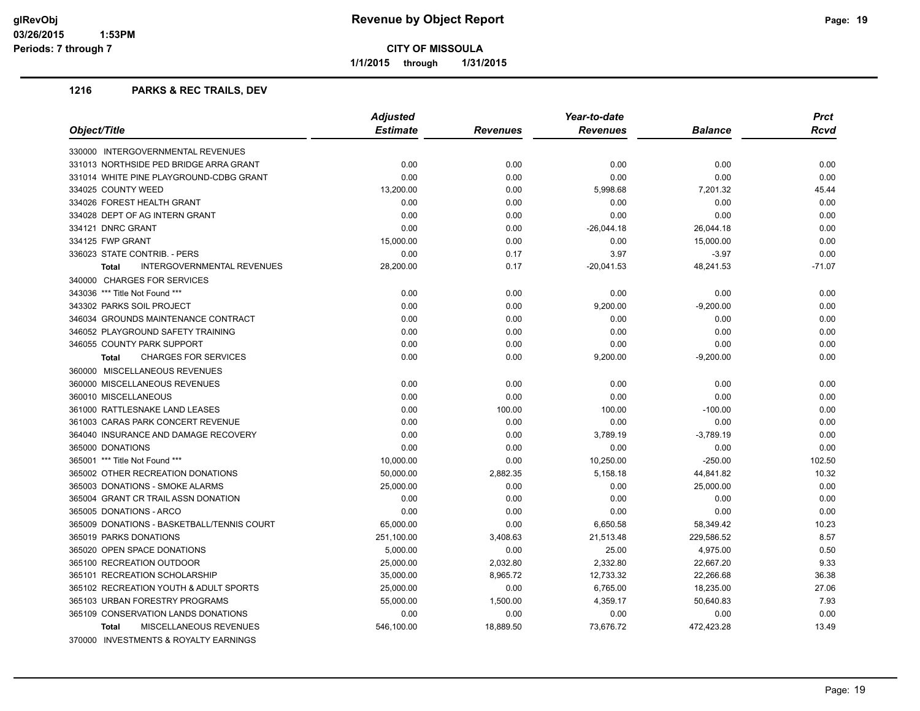**1/1/2015 through 1/31/2015**

| Object/Title                                      | <b>Adjusted</b> | Year-to-date |                 |                | <b>Prct</b> |
|---------------------------------------------------|-----------------|--------------|-----------------|----------------|-------------|
|                                                   | <b>Estimate</b> | Revenues     | <b>Revenues</b> | <b>Balance</b> | <b>Rcvd</b> |
| 330000 INTERGOVERNMENTAL REVENUES                 |                 |              |                 |                |             |
| 331013 NORTHSIDE PED BRIDGE ARRA GRANT            | 0.00            | 0.00         | 0.00            | 0.00           | 0.00        |
| 331014 WHITE PINE PLAYGROUND-CDBG GRANT           | 0.00            | 0.00         | 0.00            | 0.00           | 0.00        |
| 334025 COUNTY WEED                                | 13,200.00       | 0.00         | 5,998.68        | 7,201.32       | 45.44       |
| 334026 FOREST HEALTH GRANT                        | 0.00            | 0.00         | 0.00            | 0.00           | 0.00        |
| 334028 DEPT OF AG INTERN GRANT                    | 0.00            | 0.00         | 0.00            | 0.00           | 0.00        |
| 334121 DNRC GRANT                                 | 0.00            | 0.00         | $-26,044.18$    | 26,044.18      | 0.00        |
| 334125 FWP GRANT                                  | 15,000.00       | 0.00         | 0.00            | 15,000.00      | 0.00        |
| 336023 STATE CONTRIB. - PERS                      | 0.00            | 0.17         | 3.97            | $-3.97$        | 0.00        |
| <b>INTERGOVERNMENTAL REVENUES</b><br><b>Total</b> | 28,200.00       | 0.17         | $-20,041.53$    | 48,241.53      | $-71.07$    |
| 340000 CHARGES FOR SERVICES                       |                 |              |                 |                |             |
| 343036 *** Title Not Found ***                    | 0.00            | 0.00         | 0.00            | 0.00           | 0.00        |
| 343302 PARKS SOIL PROJECT                         | 0.00            | 0.00         | 9,200.00        | $-9,200.00$    | 0.00        |
| 346034 GROUNDS MAINTENANCE CONTRACT               | 0.00            | 0.00         | 0.00            | 0.00           | 0.00        |
| 346052 PLAYGROUND SAFETY TRAINING                 | 0.00            | 0.00         | 0.00            | 0.00           | 0.00        |
| 346055 COUNTY PARK SUPPORT                        | 0.00            | 0.00         | 0.00            | 0.00           | 0.00        |
| <b>CHARGES FOR SERVICES</b><br><b>Total</b>       | 0.00            | 0.00         | 9,200.00        | $-9,200.00$    | 0.00        |
| 360000 MISCELLANEOUS REVENUES                     |                 |              |                 |                |             |
| 360000 MISCELLANEOUS REVENUES                     | 0.00            | 0.00         | 0.00            | 0.00           | 0.00        |
| 360010 MISCELLANEOUS                              | 0.00            | 0.00         | 0.00            | 0.00           | 0.00        |
| 361000 RATTLESNAKE LAND LEASES                    | 0.00            | 100.00       | 100.00          | $-100.00$      | 0.00        |
| 361003 CARAS PARK CONCERT REVENUE                 | 0.00            | 0.00         | 0.00            | 0.00           | 0.00        |
| 364040 INSURANCE AND DAMAGE RECOVERY              | 0.00            | 0.00         | 3,789.19        | $-3,789.19$    | 0.00        |
| 365000 DONATIONS                                  | 0.00            | 0.00         | 0.00            | 0.00           | 0.00        |
| 365001 *** Title Not Found ***                    | 10,000.00       | 0.00         | 10,250.00       | $-250.00$      | 102.50      |
| 365002 OTHER RECREATION DONATIONS                 | 50,000.00       | 2,882.35     | 5,158.18        | 44,841.82      | 10.32       |
| 365003 DONATIONS - SMOKE ALARMS                   | 25,000.00       | 0.00         | 0.00            | 25,000.00      | 0.00        |
| 365004 GRANT CR TRAIL ASSN DONATION               | 0.00            | 0.00         | 0.00            | 0.00           | 0.00        |
| 365005 DONATIONS - ARCO                           | 0.00            | 0.00         | 0.00            | 0.00           | 0.00        |
| 365009 DONATIONS - BASKETBALL/TENNIS COURT        | 65,000.00       | 0.00         | 6,650.58        | 58,349.42      | 10.23       |
| 365019 PARKS DONATIONS                            | 251,100.00      | 3,408.63     | 21,513.48       | 229,586.52     | 8.57        |
| 365020 OPEN SPACE DONATIONS                       | 5,000.00        | 0.00         | 25.00           | 4,975.00       | 0.50        |
| 365100 RECREATION OUTDOOR                         | 25,000.00       | 2,032.80     | 2,332.80        | 22,667.20      | 9.33        |
| 365101 RECREATION SCHOLARSHIP                     | 35,000.00       | 8,965.72     | 12,733.32       | 22,266.68      | 36.38       |
| 365102 RECREATION YOUTH & ADULT SPORTS            | 25,000.00       | 0.00         | 6,765.00        | 18,235.00      | 27.06       |
| 365103 URBAN FORESTRY PROGRAMS                    | 55,000.00       | 1,500.00     | 4,359.17        | 50,640.83      | 7.93        |
| 365109 CONSERVATION LANDS DONATIONS               | 0.00            | 0.00         | 0.00            | 0.00           | 0.00        |
| MISCELLANEOUS REVENUES<br><b>Total</b>            | 546,100.00      | 18,889.50    | 73,676.72       | 472,423.28     | 13.49       |
| 370000 INVESTMENTS & ROYALTY EARNINGS             |                 |              |                 |                |             |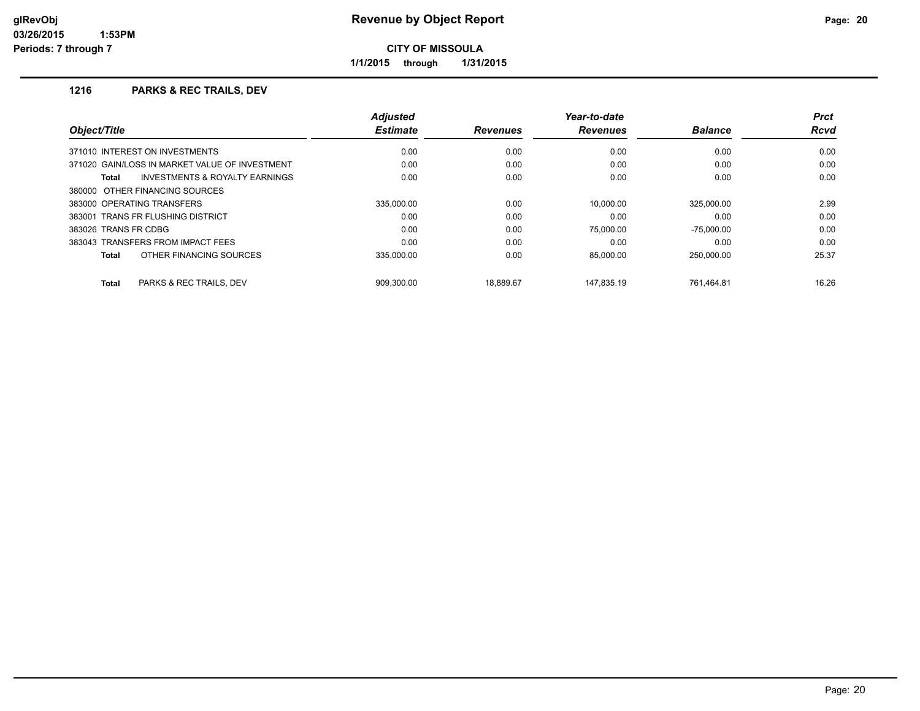**1/1/2015 through 1/31/2015**

|                                                | <b>Adjusted</b> |                 | Year-to-date    |                | <b>Prct</b> |
|------------------------------------------------|-----------------|-----------------|-----------------|----------------|-------------|
| Object/Title                                   | <b>Estimate</b> | <b>Revenues</b> | <b>Revenues</b> | <b>Balance</b> | <b>Rcvd</b> |
| 371010 INTEREST ON INVESTMENTS                 | 0.00            | 0.00            | 0.00            | 0.00           | 0.00        |
| 371020 GAIN/LOSS IN MARKET VALUE OF INVESTMENT | 0.00            | 0.00            | 0.00            | 0.00           | 0.00        |
| INVESTMENTS & ROYALTY EARNINGS<br><b>Total</b> | 0.00            | 0.00            | 0.00            | 0.00           | 0.00        |
| 380000 OTHER FINANCING SOURCES                 |                 |                 |                 |                |             |
| 383000 OPERATING TRANSFERS                     | 335.000.00      | 0.00            | 10.000.00       | 325,000.00     | 2.99        |
| 383001 TRANS FR FLUSHING DISTRICT              | 0.00            | 0.00            | 0.00            | 0.00           | 0.00        |
| 383026 TRANS FR CDBG                           | 0.00            | 0.00            | 75.000.00       | $-75.000.00$   | 0.00        |
| 383043 TRANSFERS FROM IMPACT FEES              | 0.00            | 0.00            | 0.00            | 0.00           | 0.00        |
| OTHER FINANCING SOURCES<br><b>Total</b>        | 335.000.00      | 0.00            | 85.000.00       | 250.000.00     | 25.37       |
|                                                |                 |                 |                 |                |             |
| PARKS & REC TRAILS, DEV<br>Total               | 909.300.00      | 18.889.67       | 147.835.19      | 761.464.81     | 16.26       |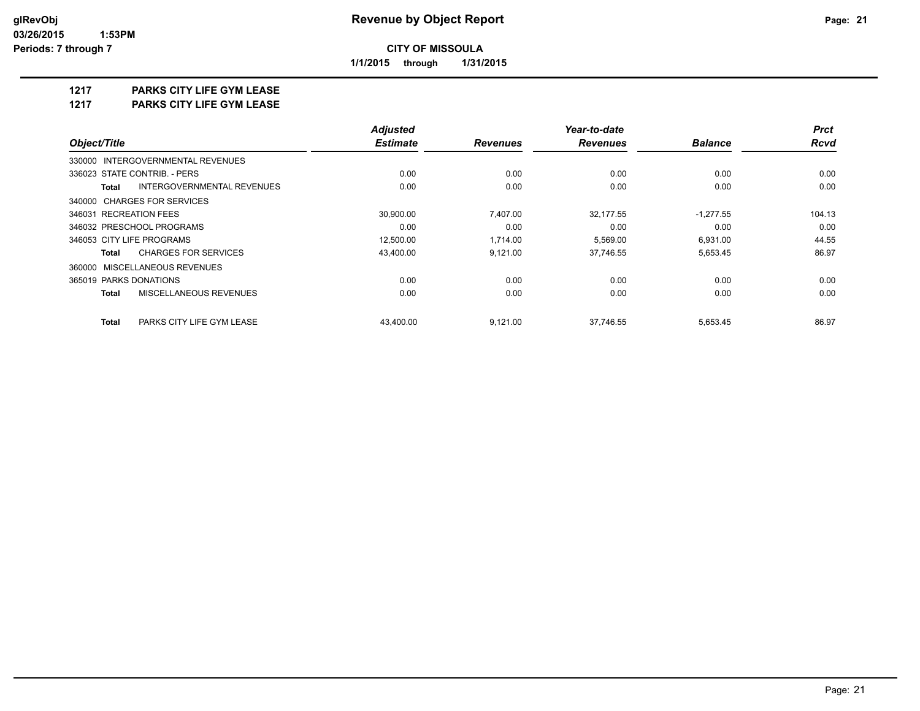**1/1/2015 through 1/31/2015**

#### **1217 PARKS CITY LIFE GYM LEASE**

**1217 PARKS CITY LIFE GYM LEASE**

|                                            | <b>Adjusted</b> |                 | Year-to-date    |                | <b>Prct</b> |
|--------------------------------------------|-----------------|-----------------|-----------------|----------------|-------------|
| Object/Title                               | <b>Estimate</b> | <b>Revenues</b> | <b>Revenues</b> | <b>Balance</b> | <b>Rcvd</b> |
| 330000 INTERGOVERNMENTAL REVENUES          |                 |                 |                 |                |             |
| 336023 STATE CONTRIB. - PERS               | 0.00            | 0.00            | 0.00            | 0.00           | 0.00        |
| INTERGOVERNMENTAL REVENUES<br><b>Total</b> | 0.00            | 0.00            | 0.00            | 0.00           | 0.00        |
| 340000 CHARGES FOR SERVICES                |                 |                 |                 |                |             |
| 346031 RECREATION FEES                     | 30,900.00       | 7.407.00        | 32,177.55       | $-1,277.55$    | 104.13      |
| 346032 PRESCHOOL PROGRAMS                  | 0.00            | 0.00            | 0.00            | 0.00           | 0.00        |
| 346053 CITY LIFE PROGRAMS                  | 12,500.00       | 1,714.00        | 5,569.00        | 6,931.00       | 44.55       |
| <b>CHARGES FOR SERVICES</b><br>Total       | 43,400.00       | 9,121.00        | 37,746.55       | 5,653.45       | 86.97       |
| 360000 MISCELLANEOUS REVENUES              |                 |                 |                 |                |             |
| 365019 PARKS DONATIONS                     | 0.00            | 0.00            | 0.00            | 0.00           | 0.00        |
| MISCELLANEOUS REVENUES<br><b>Total</b>     | 0.00            | 0.00            | 0.00            | 0.00           | 0.00        |
| <b>Total</b><br>PARKS CITY LIFE GYM LEASE  | 43.400.00       | 9,121.00        | 37.746.55       | 5,653.45       | 86.97       |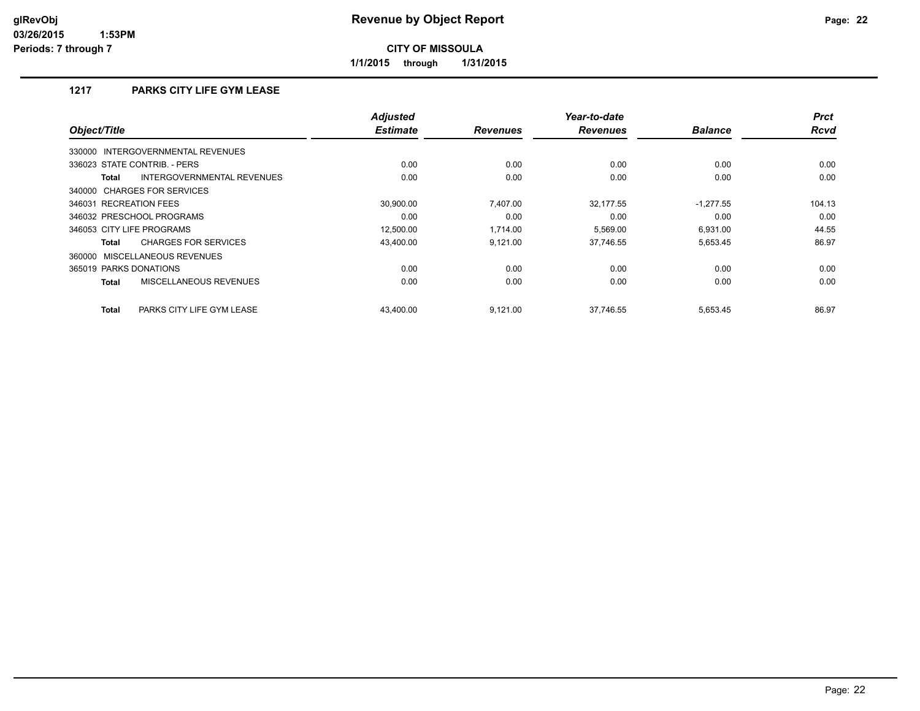**1/1/2015 through 1/31/2015**

## **1217 PARKS CITY LIFE GYM LEASE**

| Object/Title                                | <b>Adjusted</b><br><b>Estimate</b> | <b>Revenues</b> | Year-to-date<br><b>Revenues</b> | <b>Balance</b> | <b>Prct</b><br><b>Rcvd</b> |
|---------------------------------------------|------------------------------------|-----------------|---------------------------------|----------------|----------------------------|
| 330000 INTERGOVERNMENTAL REVENUES           |                                    |                 |                                 |                |                            |
| 336023 STATE CONTRIB. - PERS                | 0.00                               | 0.00            | 0.00                            | 0.00           | 0.00                       |
| INTERGOVERNMENTAL REVENUES<br><b>Total</b>  | 0.00                               | 0.00            | 0.00                            | 0.00           | 0.00                       |
| 340000 CHARGES FOR SERVICES                 |                                    |                 |                                 |                |                            |
| 346031 RECREATION FEES                      | 30.900.00                          | 7.407.00        | 32,177.55                       | $-1,277.55$    | 104.13                     |
| 346032 PRESCHOOL PROGRAMS                   | 0.00                               | 0.00            | 0.00                            | 0.00           | 0.00                       |
| 346053 CITY LIFE PROGRAMS                   | 12,500.00                          | 1.714.00        | 5,569.00                        | 6.931.00       | 44.55                      |
| <b>CHARGES FOR SERVICES</b><br><b>Total</b> | 43.400.00                          | 9,121.00        | 37.746.55                       | 5,653.45       | 86.97                      |
| 360000 MISCELLANEOUS REVENUES               |                                    |                 |                                 |                |                            |
| 365019 PARKS DONATIONS                      | 0.00                               | 0.00            | 0.00                            | 0.00           | 0.00                       |
| MISCELLANEOUS REVENUES<br><b>Total</b>      | 0.00                               | 0.00            | 0.00                            | 0.00           | 0.00                       |
| <b>Total</b><br>PARKS CITY LIFE GYM LEASE   | 43.400.00                          | 9,121.00        | 37.746.55                       | 5,653.45       | 86.97                      |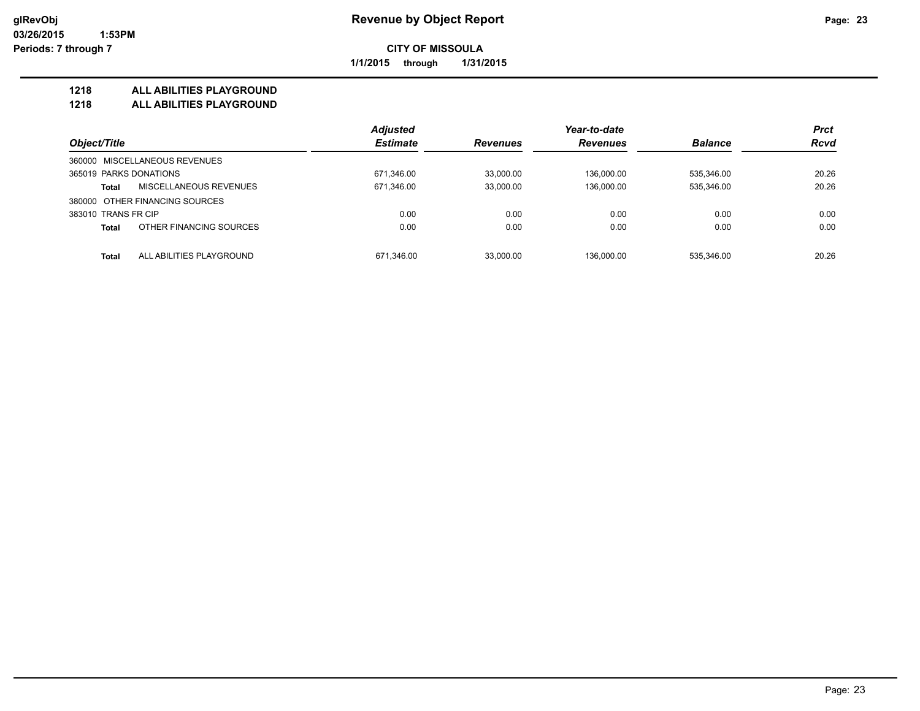**1/1/2015 through 1/31/2015**

#### **1218 ALL ABILITIES PLAYGROUND**

**1218 ALL ABILITIES PLAYGROUND**

|                                        | <b>Adjusted</b> |                 | Year-to-date    |                | <b>Prct</b> |
|----------------------------------------|-----------------|-----------------|-----------------|----------------|-------------|
| Object/Title                           | <b>Estimate</b> | <b>Revenues</b> | <b>Revenues</b> | <b>Balance</b> | <b>Rcvd</b> |
| 360000 MISCELLANEOUS REVENUES          |                 |                 |                 |                |             |
| 365019 PARKS DONATIONS                 | 671.346.00      | 33.000.00       | 136.000.00      | 535.346.00     | 20.26       |
| <b>MISCELLANEOUS REVENUES</b><br>Total | 671,346.00      | 33.000.00       | 136.000.00      | 535,346.00     | 20.26       |
| 380000 OTHER FINANCING SOURCES         |                 |                 |                 |                |             |
| 383010 TRANS FR CIP                    | 0.00            | 0.00            | 0.00            | 0.00           | 0.00        |
| OTHER FINANCING SOURCES<br>Total       | 0.00            | 0.00            | 0.00            | 0.00           | 0.00        |
|                                        |                 |                 |                 |                |             |
| ALL ABILITIES PLAYGROUND<br>Total      | 671.346.00      | 33.000.00       | 136.000.00      | 535.346.00     | 20.26       |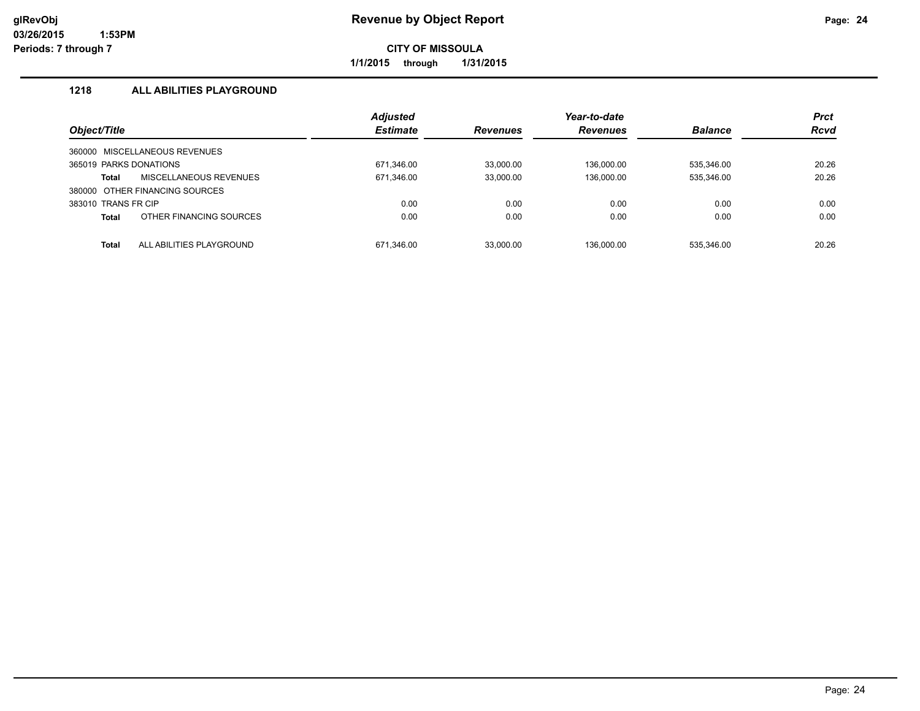**1/1/2015 through 1/31/2015**

## **1218 ALL ABILITIES PLAYGROUND**

|                        |                                | <b>Adjusted</b> |                 | Year-to-date    |                | <b>Prct</b> |
|------------------------|--------------------------------|-----------------|-----------------|-----------------|----------------|-------------|
| Object/Title           |                                | <b>Estimate</b> | <b>Revenues</b> | <b>Revenues</b> | <b>Balance</b> | <b>Rcvd</b> |
|                        | 360000 MISCELLANEOUS REVENUES  |                 |                 |                 |                |             |
| 365019 PARKS DONATIONS |                                | 671,346.00      | 33.000.00       | 136.000.00      | 535,346.00     | 20.26       |
| <b>Total</b>           | MISCELLANEOUS REVENUES         | 671,346.00      | 33.000.00       | 136.000.00      | 535,346.00     | 20.26       |
|                        | 380000 OTHER FINANCING SOURCES |                 |                 |                 |                |             |
| 383010 TRANS FR CIP    |                                | 0.00            | 0.00            | 0.00            | 0.00           | 0.00        |
| <b>Total</b>           | OTHER FINANCING SOURCES        | 0.00            | 0.00            | 0.00            | 0.00           | 0.00        |
| <b>Total</b>           | ALL ABILITIES PLAYGROUND       | 671,346.00      | 33.000.00       | 136.000.00      | 535.346.00     | 20.26       |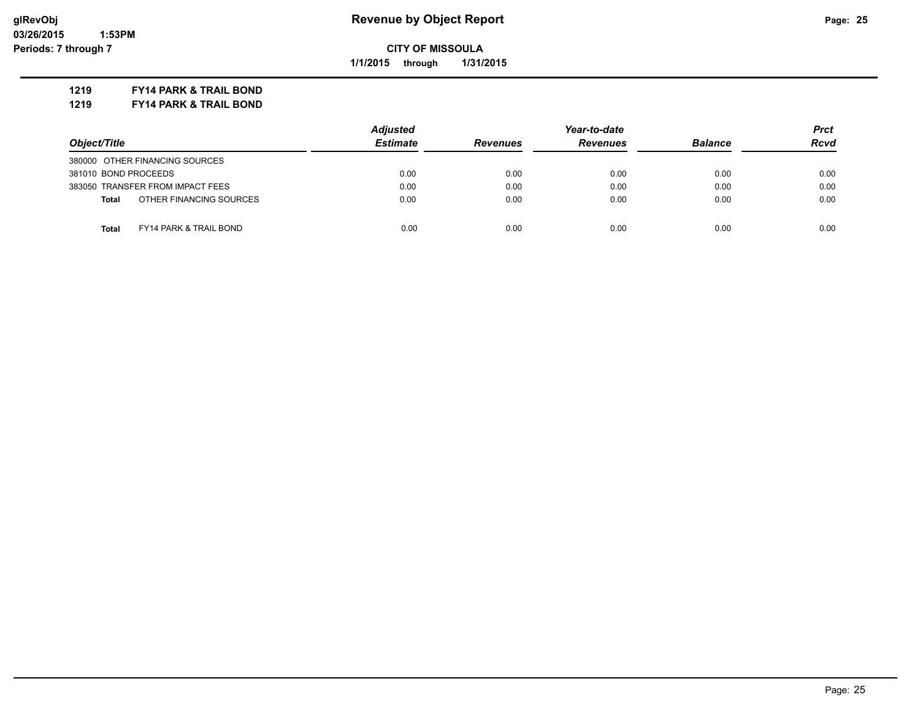**1/1/2015 through 1/31/2015**

**1219 FY14 PARK & TRAIL BOND**

**1219 FY14 PARK & TRAIL BOND**

|                                         | <b>Adjusted</b> |                 | Year-to-date    |                |             |
|-----------------------------------------|-----------------|-----------------|-----------------|----------------|-------------|
| Object/Title                            | <b>Estimate</b> | <b>Revenues</b> | <b>Revenues</b> | <b>Balance</b> | <b>Rcvd</b> |
| 380000 OTHER FINANCING SOURCES          |                 |                 |                 |                |             |
| 381010 BOND PROCEEDS                    | 0.00            | 0.00            | 0.00            | 0.00           | 0.00        |
| 383050 TRANSFER FROM IMPACT FEES        | 0.00            | 0.00            | 0.00            | 0.00           | 0.00        |
| OTHER FINANCING SOURCES<br><b>Total</b> | 0.00            | 0.00            | 0.00            | 0.00           | 0.00        |
| <b>Total</b><br>FY14 PARK & TRAIL BOND  | 0.00            | 0.00            | 0.00            | 0.00           | 0.00        |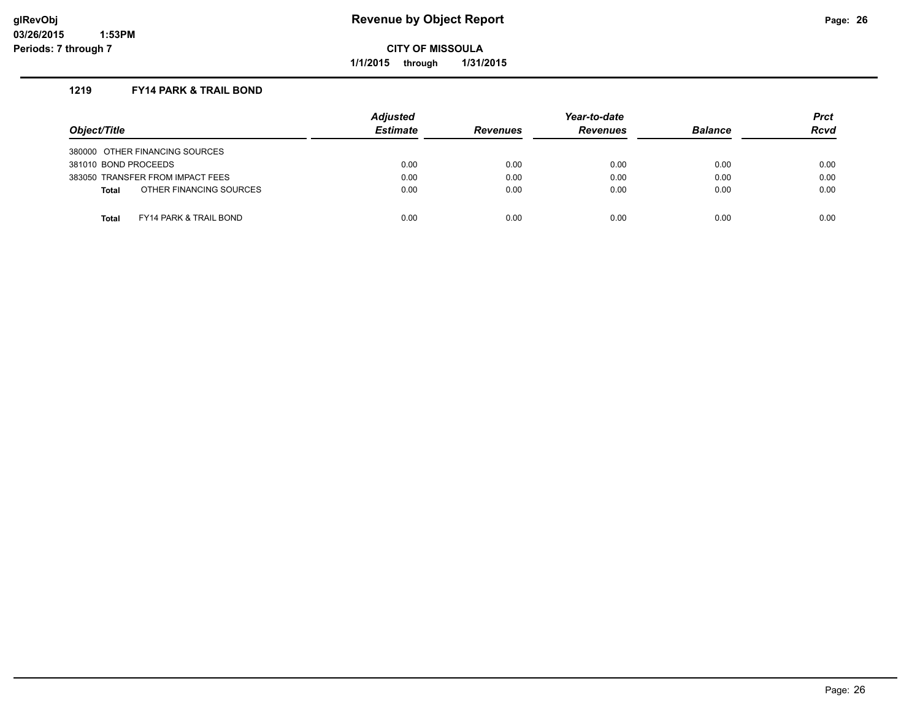## **glRevObj Revenue by Object Report Page: 26**

**CITY OF MISSOULA**

**1/1/2015 through 1/31/2015**

## **1219 FY14 PARK & TRAIL BOND**

| Object/Title         |                                   | <b>Adjusted</b><br><b>Estimate</b> | <b>Revenues</b> | Year-to-date<br><b>Revenues</b> | <b>Balance</b> | <b>Prct</b><br><b>Rcvd</b> |
|----------------------|-----------------------------------|------------------------------------|-----------------|---------------------------------|----------------|----------------------------|
|                      | 380000 OTHER FINANCING SOURCES    |                                    |                 |                                 |                |                            |
| 381010 BOND PROCEEDS |                                   | 0.00                               | 0.00            | 0.00                            | 0.00           | 0.00                       |
|                      | 383050 TRANSFER FROM IMPACT FEES  | 0.00                               | 0.00            | 0.00                            | 0.00           | 0.00                       |
| <b>Total</b>         | OTHER FINANCING SOURCES           | 0.00                               | 0.00            | 0.00                            | 0.00           | 0.00                       |
|                      |                                   |                                    |                 |                                 |                |                            |
| <b>Total</b>         | <b>FY14 PARK &amp; TRAIL BOND</b> | 0.00                               | 0.00            | 0.00                            | 0.00           | 0.00                       |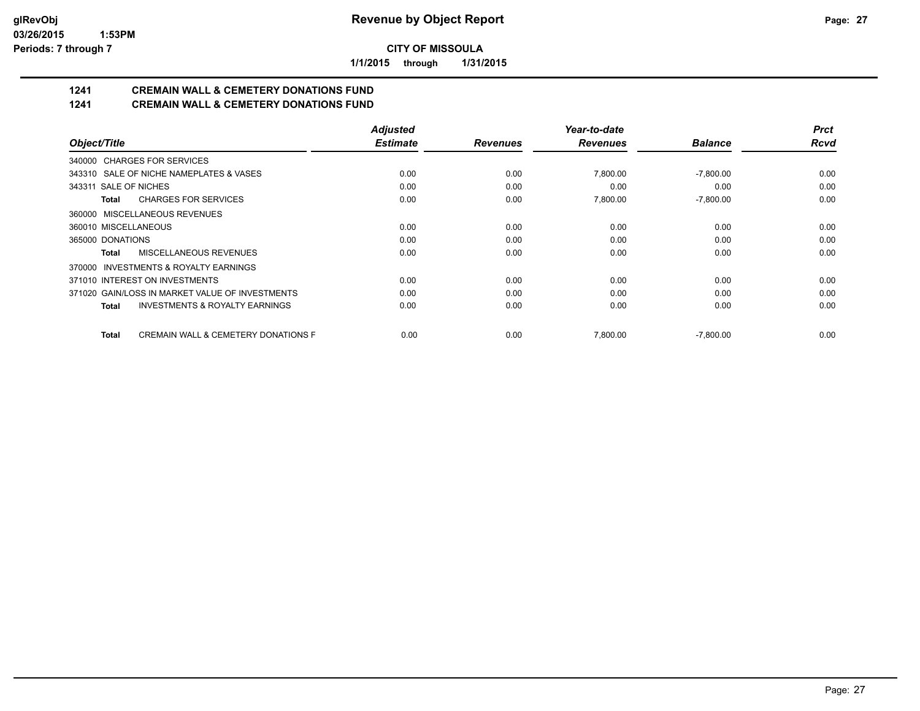**1/1/2015 through 1/31/2015**

# **1241 CREMAIN WALL & CEMETERY DONATIONS FUND**

## **1241 CREMAIN WALL & CEMETERY DONATIONS FUND**

|                                                                | <b>Adjusted</b> |                 | Year-to-date    |                | <b>Prct</b> |
|----------------------------------------------------------------|-----------------|-----------------|-----------------|----------------|-------------|
| Object/Title                                                   | <b>Estimate</b> | <b>Revenues</b> | <b>Revenues</b> | <b>Balance</b> | <b>Rcvd</b> |
| 340000 CHARGES FOR SERVICES                                    |                 |                 |                 |                |             |
| 343310 SALE OF NICHE NAMEPLATES & VASES                        | 0.00            | 0.00            | 7,800.00        | $-7,800.00$    | 0.00        |
| 343311 SALE OF NICHES                                          | 0.00            | 0.00            | 0.00            | 0.00           | 0.00        |
| <b>CHARGES FOR SERVICES</b><br>Total                           | 0.00            | 0.00            | 7,800.00        | $-7,800.00$    | 0.00        |
| MISCELLANEOUS REVENUES<br>360000                               |                 |                 |                 |                |             |
| 360010 MISCELLANEOUS                                           | 0.00            | 0.00            | 0.00            | 0.00           | 0.00        |
| 365000 DONATIONS                                               | 0.00            | 0.00            | 0.00            | 0.00           | 0.00        |
| MISCELLANEOUS REVENUES<br>Total                                | 0.00            | 0.00            | 0.00            | 0.00           | 0.00        |
| <b>INVESTMENTS &amp; ROYALTY EARNINGS</b><br>370000            |                 |                 |                 |                |             |
| 371010 INTEREST ON INVESTMENTS                                 | 0.00            | 0.00            | 0.00            | 0.00           | 0.00        |
| 371020 GAIN/LOSS IN MARKET VALUE OF INVESTMENTS                | 0.00            | 0.00            | 0.00            | 0.00           | 0.00        |
| <b>INVESTMENTS &amp; ROYALTY EARNINGS</b><br><b>Total</b>      | 0.00            | 0.00            | 0.00            | 0.00           | 0.00        |
| <b>CREMAIN WALL &amp; CEMETERY DONATIONS F</b><br><b>Total</b> | 0.00            | 0.00            | 7.800.00        | $-7,800.00$    | 0.00        |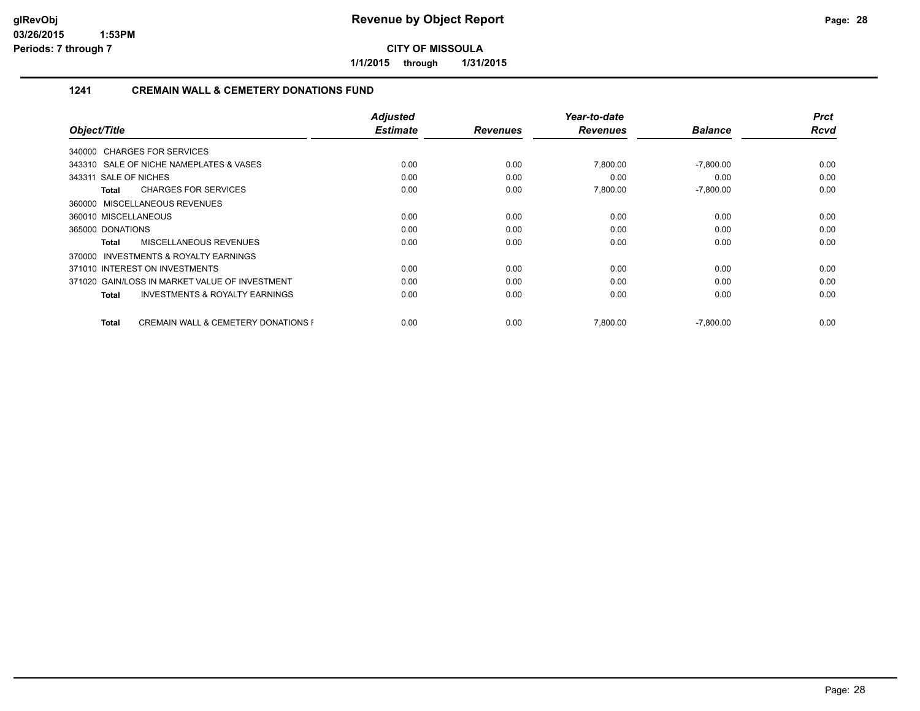**1/1/2015 through 1/31/2015**

## **1241 CREMAIN WALL & CEMETERY DONATIONS FUND**

|                                                         | <b>Adjusted</b> |                 | Year-to-date    |                | <b>Prct</b> |
|---------------------------------------------------------|-----------------|-----------------|-----------------|----------------|-------------|
| Object/Title                                            | <b>Estimate</b> | <b>Revenues</b> | <b>Revenues</b> | <b>Balance</b> | <b>Rcvd</b> |
| 340000 CHARGES FOR SERVICES                             |                 |                 |                 |                |             |
| 343310 SALE OF NICHE NAMEPLATES & VASES                 | 0.00            | 0.00            | 7,800.00        | $-7,800.00$    | 0.00        |
| 343311 SALE OF NICHES                                   | 0.00            | 0.00            | 0.00            | 0.00           | 0.00        |
| <b>CHARGES FOR SERVICES</b><br>Total                    | 0.00            | 0.00            | 7,800.00        | $-7,800.00$    | 0.00        |
| 360000 MISCELLANEOUS REVENUES                           |                 |                 |                 |                |             |
| 360010 MISCELLANEOUS                                    | 0.00            | 0.00            | 0.00            | 0.00           | 0.00        |
| 365000 DONATIONS                                        | 0.00            | 0.00            | 0.00            | 0.00           | 0.00        |
| MISCELLANEOUS REVENUES<br>Total                         | 0.00            | 0.00            | 0.00            | 0.00           | 0.00        |
| <b>INVESTMENTS &amp; ROYALTY EARNINGS</b><br>370000     |                 |                 |                 |                |             |
| 371010 INTEREST ON INVESTMENTS                          | 0.00            | 0.00            | 0.00            | 0.00           | 0.00        |
| 371020 GAIN/LOSS IN MARKET VALUE OF INVESTMENT          | 0.00            | 0.00            | 0.00            | 0.00           | 0.00        |
| <b>INVESTMENTS &amp; ROYALTY EARNINGS</b><br>Total      | 0.00            | 0.00            | 0.00            | 0.00           | 0.00        |
|                                                         |                 |                 |                 |                |             |
| <b>CREMAIN WALL &amp; CEMETERY DONATIONS F</b><br>Total | 0.00            | 0.00            | 7,800.00        | $-7,800.00$    | 0.00        |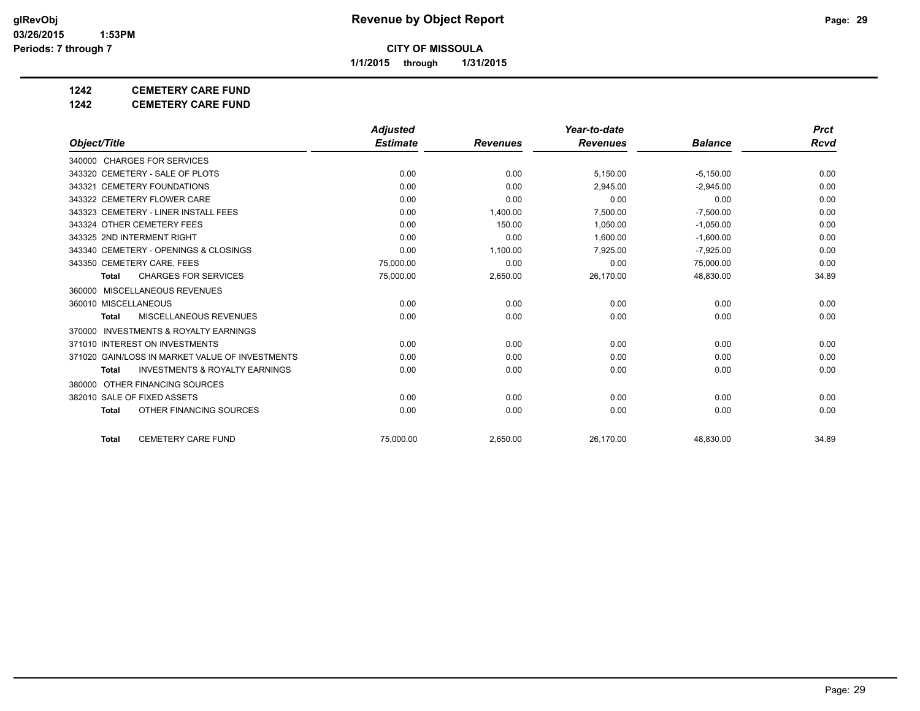**1/1/2015 through 1/31/2015**

## **1242 CEMETERY CARE FUND**

**1242 CEMETERY CARE FUND**

|                                                     | <b>Adjusted</b> |                 | Year-to-date    |                | <b>Prct</b> |
|-----------------------------------------------------|-----------------|-----------------|-----------------|----------------|-------------|
| Object/Title                                        | <b>Estimate</b> | <b>Revenues</b> | <b>Revenues</b> | <b>Balance</b> | Rcvd        |
| 340000 CHARGES FOR SERVICES                         |                 |                 |                 |                |             |
| 343320 CEMETERY - SALE OF PLOTS                     | 0.00            | 0.00            | 5,150.00        | $-5,150.00$    | 0.00        |
| 343321 CEMETERY FOUNDATIONS                         | 0.00            | 0.00            | 2,945.00        | $-2.945.00$    | 0.00        |
| 343322 CEMETERY FLOWER CARE                         | 0.00            | 0.00            | 0.00            | 0.00           | 0.00        |
| 343323 CEMETERY - LINER INSTALL FEES                | 0.00            | 1,400.00        | 7,500.00        | $-7,500.00$    | 0.00        |
| 343324 OTHER CEMETERY FEES                          | 0.00            | 150.00          | 1.050.00        | $-1,050.00$    | 0.00        |
| 343325 2ND INTERMENT RIGHT                          | 0.00            | 0.00            | 1.600.00        | $-1,600.00$    | 0.00        |
| 343340 CEMETERY - OPENINGS & CLOSINGS               | 0.00            | 1,100.00        | 7,925.00        | $-7,925.00$    | 0.00        |
| 343350 CEMETERY CARE, FEES                          | 75,000.00       | 0.00            | 0.00            | 75,000.00      | 0.00        |
| <b>CHARGES FOR SERVICES</b><br><b>Total</b>         | 75,000.00       | 2,650.00        | 26,170.00       | 48,830.00      | 34.89       |
| MISCELLANEOUS REVENUES<br>360000                    |                 |                 |                 |                |             |
| 360010 MISCELLANEOUS                                | 0.00            | 0.00            | 0.00            | 0.00           | 0.00        |
| MISCELLANEOUS REVENUES<br><b>Total</b>              | 0.00            | 0.00            | 0.00            | 0.00           | 0.00        |
| <b>INVESTMENTS &amp; ROYALTY EARNINGS</b><br>370000 |                 |                 |                 |                |             |
| 371010 INTEREST ON INVESTMENTS                      | 0.00            | 0.00            | 0.00            | 0.00           | 0.00        |
| 371020 GAIN/LOSS IN MARKET VALUE OF INVESTMENTS     | 0.00            | 0.00            | 0.00            | 0.00           | 0.00        |
| <b>INVESTMENTS &amp; ROYALTY EARNINGS</b><br>Total  | 0.00            | 0.00            | 0.00            | 0.00           | 0.00        |
| 380000 OTHER FINANCING SOURCES                      |                 |                 |                 |                |             |
| 382010 SALE OF FIXED ASSETS                         | 0.00            | 0.00            | 0.00            | 0.00           | 0.00        |
| OTHER FINANCING SOURCES<br><b>Total</b>             | 0.00            | 0.00            | 0.00            | 0.00           | 0.00        |
| <b>CEMETERY CARE FUND</b><br><b>Total</b>           | 75.000.00       | 2,650.00        | 26.170.00       | 48.830.00      | 34.89       |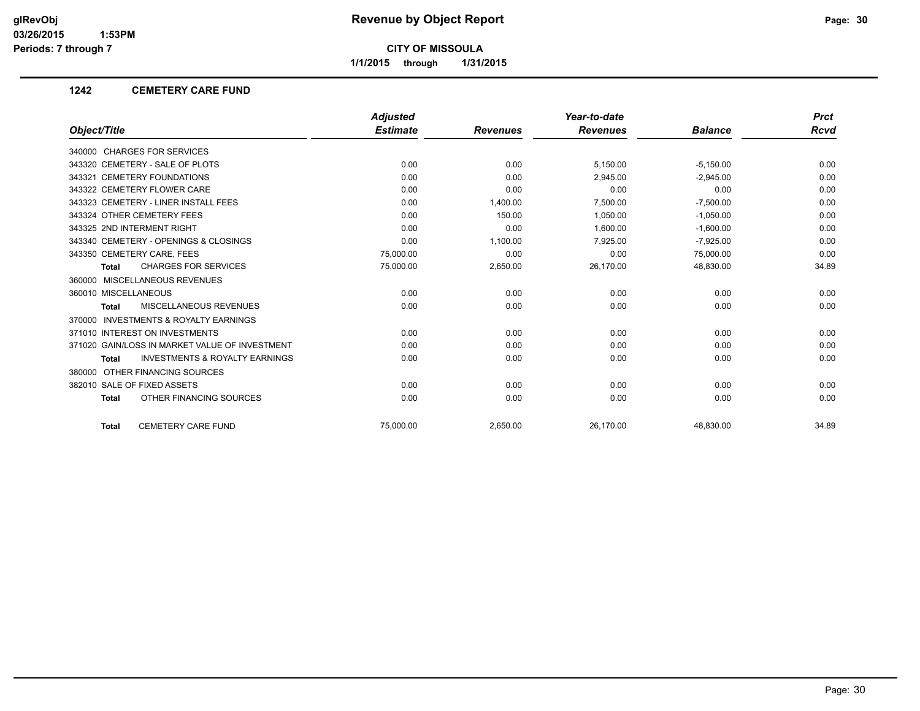**1/1/2015 through 1/31/2015**

#### **1242 CEMETERY CARE FUND**

|                                                    | <b>Adjusted</b> |                 | Year-to-date    |                | <b>Prct</b> |
|----------------------------------------------------|-----------------|-----------------|-----------------|----------------|-------------|
| Object/Title                                       | <b>Estimate</b> | <b>Revenues</b> | <b>Revenues</b> | <b>Balance</b> | <b>Rcvd</b> |
| 340000 CHARGES FOR SERVICES                        |                 |                 |                 |                |             |
| 343320 CEMETERY - SALE OF PLOTS                    | 0.00            | 0.00            | 5,150.00        | $-5,150.00$    | 0.00        |
| 343321 CEMETERY FOUNDATIONS                        | 0.00            | 0.00            | 2,945.00        | $-2,945.00$    | 0.00        |
| 343322 CEMETERY FLOWER CARE                        | 0.00            | 0.00            | 0.00            | 0.00           | 0.00        |
| 343323 CEMETERY - LINER INSTALL FEES               | 0.00            | 1,400.00        | 7,500.00        | $-7,500.00$    | 0.00        |
| 343324 OTHER CEMETERY FEES                         | 0.00            | 150.00          | 1.050.00        | $-1,050.00$    | 0.00        |
| 343325 2ND INTERMENT RIGHT                         | 0.00            | 0.00            | 1,600.00        | $-1,600.00$    | 0.00        |
| 343340 CEMETERY - OPENINGS & CLOSINGS              | 0.00            | 1,100.00        | 7,925.00        | $-7,925.00$    | 0.00        |
| 343350 CEMETERY CARE, FEES                         | 75,000.00       | 0.00            | 0.00            | 75,000.00      | 0.00        |
| <b>CHARGES FOR SERVICES</b><br><b>Total</b>        | 75,000.00       | 2,650.00        | 26,170.00       | 48,830.00      | 34.89       |
| 360000 MISCELLANEOUS REVENUES                      |                 |                 |                 |                |             |
| 360010 MISCELLANEOUS                               | 0.00            | 0.00            | 0.00            | 0.00           | 0.00        |
| <b>MISCELLANEOUS REVENUES</b><br><b>Total</b>      | 0.00            | 0.00            | 0.00            | 0.00           | 0.00        |
| 370000 INVESTMENTS & ROYALTY EARNINGS              |                 |                 |                 |                |             |
| 371010 INTEREST ON INVESTMENTS                     | 0.00            | 0.00            | 0.00            | 0.00           | 0.00        |
| 371020 GAIN/LOSS IN MARKET VALUE OF INVESTMENT     | 0.00            | 0.00            | 0.00            | 0.00           | 0.00        |
| <b>INVESTMENTS &amp; ROYALTY EARNINGS</b><br>Total | 0.00            | 0.00            | 0.00            | 0.00           | 0.00        |
| 380000 OTHER FINANCING SOURCES                     |                 |                 |                 |                |             |
| 382010 SALE OF FIXED ASSETS                        | 0.00            | 0.00            | 0.00            | 0.00           | 0.00        |
| OTHER FINANCING SOURCES<br><b>Total</b>            | 0.00            | 0.00            | 0.00            | 0.00           | 0.00        |
| <b>CEMETERY CARE FUND</b><br><b>Total</b>          | 75.000.00       | 2,650.00        | 26.170.00       | 48,830.00      | 34.89       |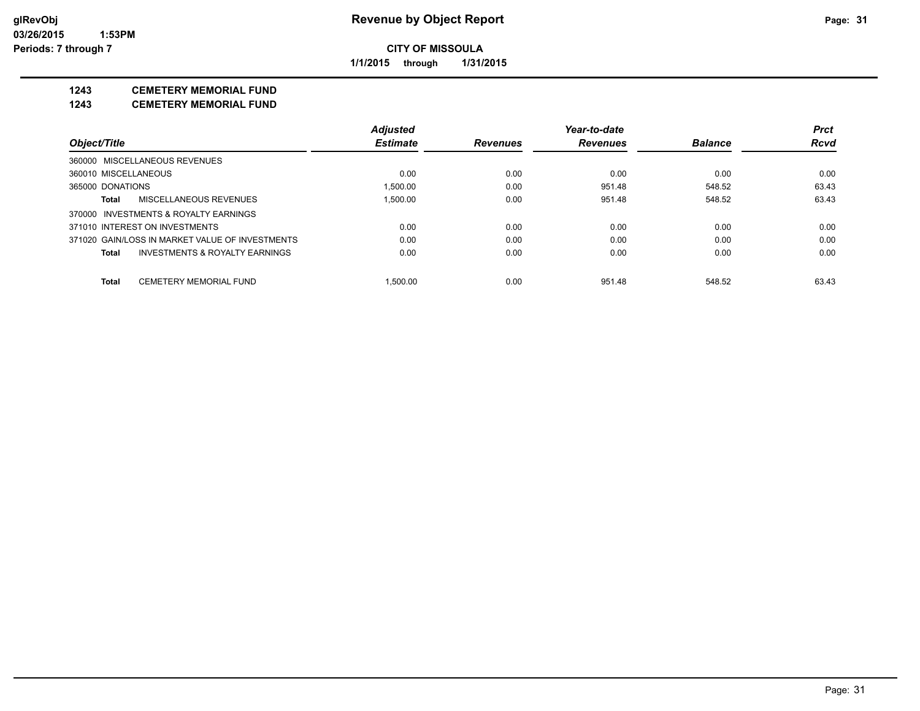**1/1/2015 through 1/31/2015**

## **1243 CEMETERY MEMORIAL FUND**

**1243 CEMETERY MEMORIAL FUND**

|                                                 |                                           | <b>Adjusted</b> |                 | Year-to-date    |                | <b>Prct</b> |
|-------------------------------------------------|-------------------------------------------|-----------------|-----------------|-----------------|----------------|-------------|
| Object/Title                                    |                                           | <b>Estimate</b> | <b>Revenues</b> | <b>Revenues</b> | <b>Balance</b> | <b>Rcvd</b> |
| 360000 MISCELLANEOUS REVENUES                   |                                           |                 |                 |                 |                |             |
| 360010 MISCELLANEOUS                            |                                           | 0.00            | 0.00            | 0.00            | 0.00           | 0.00        |
| 365000 DONATIONS                                |                                           | 1.500.00        | 0.00            | 951.48          | 548.52         | 63.43       |
| Total                                           | MISCELLANEOUS REVENUES                    | 1.500.00        | 0.00            | 951.48          | 548.52         | 63.43       |
| 370000 INVESTMENTS & ROYALTY EARNINGS           |                                           |                 |                 |                 |                |             |
| 371010 INTEREST ON INVESTMENTS                  |                                           | 0.00            | 0.00            | 0.00            | 0.00           | 0.00        |
| 371020 GAIN/LOSS IN MARKET VALUE OF INVESTMENTS |                                           | 0.00            | 0.00            | 0.00            | 0.00           | 0.00        |
| Total                                           | <b>INVESTMENTS &amp; ROYALTY EARNINGS</b> | 0.00            | 0.00            | 0.00            | 0.00           | 0.00        |
| Total                                           | <b>CEMETERY MEMORIAL FUND</b>             | 1.500.00        | 0.00            | 951.48          | 548.52         | 63.43       |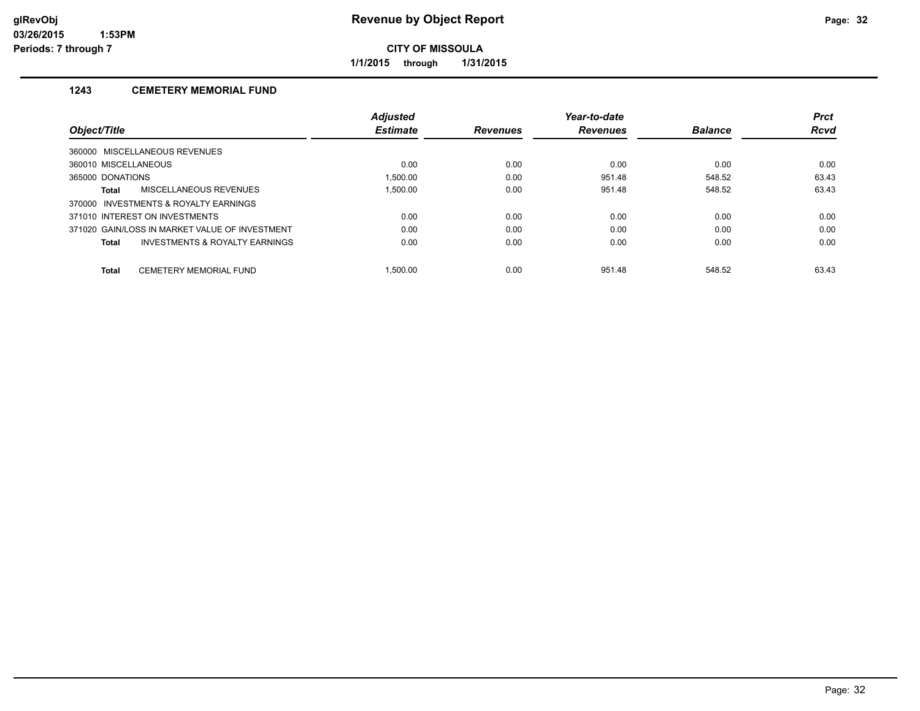**1/1/2015 through 1/31/2015**

## **1243 CEMETERY MEMORIAL FUND**

|                                                    | <b>Adjusted</b> |                 | Year-to-date    |                | <b>Prct</b> |
|----------------------------------------------------|-----------------|-----------------|-----------------|----------------|-------------|
| <b>Object/Title</b>                                | <b>Estimate</b> | <b>Revenues</b> | <b>Revenues</b> | <b>Balance</b> | <b>Rcvd</b> |
| 360000 MISCELLANEOUS REVENUES                      |                 |                 |                 |                |             |
| 360010 MISCELLANEOUS                               | 0.00            | 0.00            | 0.00            | 0.00           | 0.00        |
| 365000 DONATIONS                                   | 1.500.00        | 0.00            | 951.48          | 548.52         | 63.43       |
| MISCELLANEOUS REVENUES<br>Total                    | 1.500.00        | 0.00            | 951.48          | 548.52         | 63.43       |
| 370000 INVESTMENTS & ROYALTY EARNINGS              |                 |                 |                 |                |             |
| 371010 INTEREST ON INVESTMENTS                     | 0.00            | 0.00            | 0.00            | 0.00           | 0.00        |
| 371020 GAIN/LOSS IN MARKET VALUE OF INVESTMENT     | 0.00            | 0.00            | 0.00            | 0.00           | 0.00        |
| <b>INVESTMENTS &amp; ROYALTY EARNINGS</b><br>Total | 0.00            | 0.00            | 0.00            | 0.00           | 0.00        |
| CEMETERY MEMORIAL FUND<br><b>Total</b>             | .500.00         | 0.00            | 951.48          | 548.52         | 63.43       |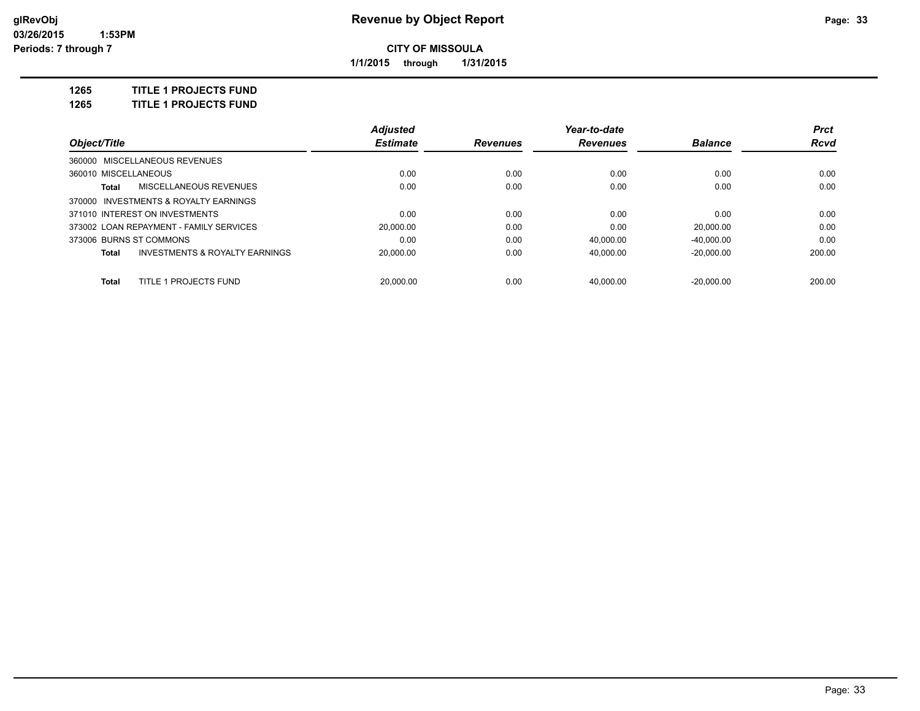**1/1/2015 through 1/31/2015**

**1265 TITLE 1 PROJECTS FUND**

**1265 TITLE 1 PROJECTS FUND**

|                                |                                           | <b>Adjusted</b> |                 | Year-to-date    |                | <b>Prct</b> |
|--------------------------------|-------------------------------------------|-----------------|-----------------|-----------------|----------------|-------------|
| Object/Title                   |                                           | <b>Estimate</b> | <b>Revenues</b> | <b>Revenues</b> | <b>Balance</b> | Rcvd        |
| 360000 MISCELLANEOUS REVENUES  |                                           |                 |                 |                 |                |             |
| 360010 MISCELLANEOUS           |                                           | 0.00            | 0.00            | 0.00            | 0.00           | 0.00        |
| Total                          | MISCELLANEOUS REVENUES                    | 0.00            | 0.00            | 0.00            | 0.00           | 0.00        |
|                                | 370000 INVESTMENTS & ROYALTY EARNINGS     |                 |                 |                 |                |             |
| 371010 INTEREST ON INVESTMENTS |                                           | 0.00            | 0.00            | 0.00            | 0.00           | 0.00        |
|                                | 373002 LOAN REPAYMENT - FAMILY SERVICES   | 20,000.00       | 0.00            | 0.00            | 20.000.00      | 0.00        |
| 373006 BURNS ST COMMONS        |                                           | 0.00            | 0.00            | 40.000.00       | $-40.000.00$   | 0.00        |
| Total                          | <b>INVESTMENTS &amp; ROYALTY EARNINGS</b> | 20,000.00       | 0.00            | 40.000.00       | $-20.000.00$   | 200.00      |
| Total                          | TITLE 1 PROJECTS FUND                     | 20.000.00       | 0.00            | 40.000.00       | $-20.000.00$   | 200.00      |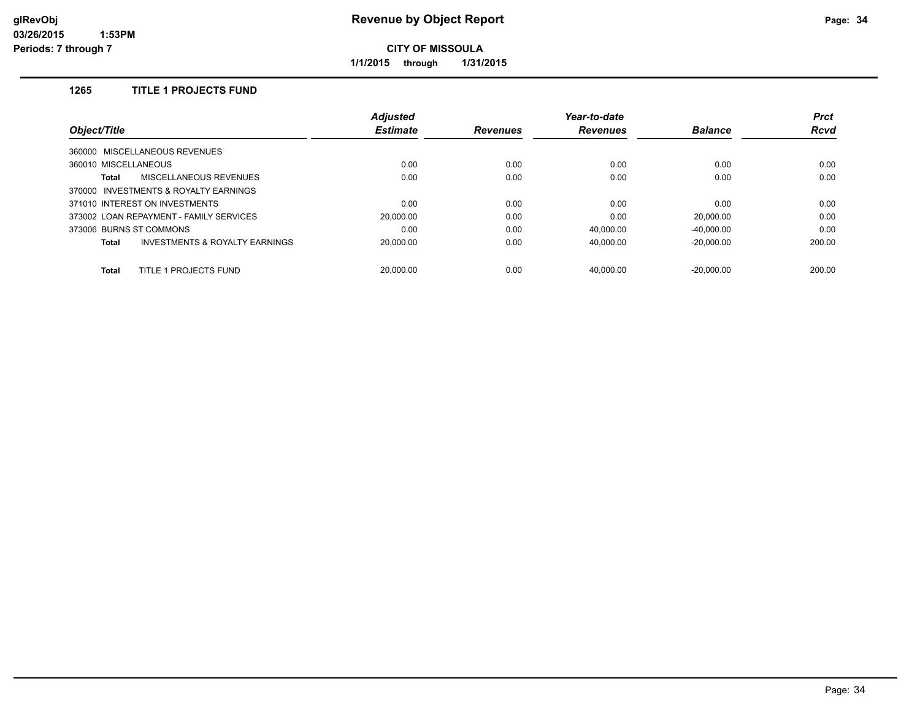**1/1/2015 through 1/31/2015**

## **1265 TITLE 1 PROJECTS FUND**

|                                                | <b>Adjusted</b> |                 | Year-to-date    |                | <b>Prct</b> |
|------------------------------------------------|-----------------|-----------------|-----------------|----------------|-------------|
| Object/Title                                   | <b>Estimate</b> | <b>Revenues</b> | <b>Revenues</b> | <b>Balance</b> | <b>Rcvd</b> |
| 360000 MISCELLANEOUS REVENUES                  |                 |                 |                 |                |             |
| 360010 MISCELLANEOUS                           | 0.00            | 0.00            | 0.00            | 0.00           | 0.00        |
| <b>MISCELLANEOUS REVENUES</b><br><b>Total</b>  | 0.00            | 0.00            | 0.00            | 0.00           | 0.00        |
| 370000 INVESTMENTS & ROYALTY EARNINGS          |                 |                 |                 |                |             |
| 371010 INTEREST ON INVESTMENTS                 | 0.00            | 0.00            | 0.00            | 0.00           | 0.00        |
| 373002 LOAN REPAYMENT - FAMILY SERVICES        | 20,000.00       | 0.00            | 0.00            | 20.000.00      | 0.00        |
| 373006 BURNS ST COMMONS                        | 0.00            | 0.00            | 40.000.00       | $-40.000.00$   | 0.00        |
| INVESTMENTS & ROYALTY EARNINGS<br><b>Total</b> | 20.000.00       | 0.00            | 40.000.00       | $-20,000.00$   | 200.00      |
| TITLE 1 PROJECTS FUND<br><b>Total</b>          | 20.000.00       | 0.00            | 40.000.00       | $-20.000.00$   | 200.00      |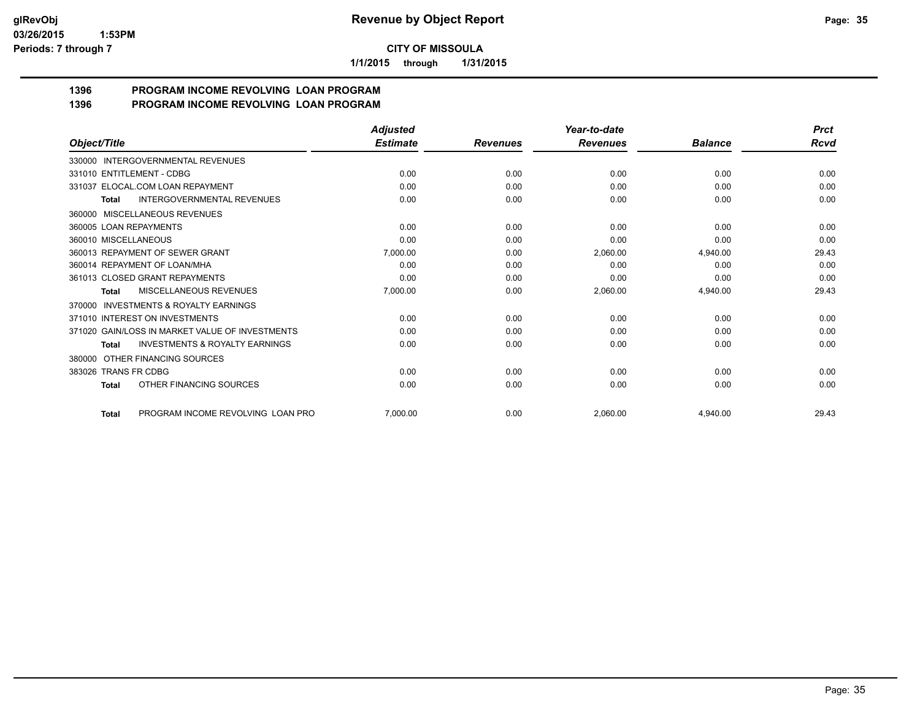**1/1/2015 through 1/31/2015**

#### **1396 PROGRAM INCOME REVOLVING LOAN PROGRAM 1396 PROGRAM INCOME REVOLVING LOAN PROGRAM**

| Object/Title                                              | Adjusted<br><b>Estimate</b> |                 | Year-to-date<br><b>Revenues</b> | <b>Balance</b> | <b>Prct</b><br>Rcvd |
|-----------------------------------------------------------|-----------------------------|-----------------|---------------------------------|----------------|---------------------|
|                                                           |                             | <b>Revenues</b> |                                 |                |                     |
| 330000 INTERGOVERNMENTAL REVENUES                         |                             |                 |                                 |                |                     |
| 331010 ENTITLEMENT - CDBG                                 | 0.00                        | 0.00            | 0.00                            | 0.00           | 0.00                |
| 331037 ELOCAL.COM LOAN REPAYMENT                          | 0.00                        | 0.00            | 0.00                            | 0.00           | 0.00                |
| <b>INTERGOVERNMENTAL REVENUES</b><br>Total                | 0.00                        | 0.00            | 0.00                            | 0.00           | 0.00                |
| 360000 MISCELLANEOUS REVENUES                             |                             |                 |                                 |                |                     |
| 360005 LOAN REPAYMENTS                                    | 0.00                        | 0.00            | 0.00                            | 0.00           | 0.00                |
| 360010 MISCELLANEOUS                                      | 0.00                        | 0.00            | 0.00                            | 0.00           | 0.00                |
| 360013 REPAYMENT OF SEWER GRANT                           | 7,000.00                    | 0.00            | 2,060.00                        | 4,940.00       | 29.43               |
| 360014 REPAYMENT OF LOAN/MHA                              | 0.00                        | 0.00            | 0.00                            | 0.00           | 0.00                |
| 361013 CLOSED GRANT REPAYMENTS                            | 0.00                        | 0.00            | 0.00                            | 0.00           | 0.00                |
| <b>MISCELLANEOUS REVENUES</b><br><b>Total</b>             | 7,000.00                    | 0.00            | 2,060.00                        | 4,940.00       | 29.43               |
| <b>INVESTMENTS &amp; ROYALTY EARNINGS</b><br>370000       |                             |                 |                                 |                |                     |
| 371010 INTEREST ON INVESTMENTS                            | 0.00                        | 0.00            | 0.00                            | 0.00           | 0.00                |
| 371020 GAIN/LOSS IN MARKET VALUE OF INVESTMENTS           | 0.00                        | 0.00            | 0.00                            | 0.00           | 0.00                |
| <b>INVESTMENTS &amp; ROYALTY EARNINGS</b><br><b>Total</b> | 0.00                        | 0.00            | 0.00                            | 0.00           | 0.00                |
| OTHER FINANCING SOURCES<br>380000                         |                             |                 |                                 |                |                     |
| 383026 TRANS FR CDBG                                      | 0.00                        | 0.00            | 0.00                            | 0.00           | 0.00                |
| OTHER FINANCING SOURCES<br><b>Total</b>                   | 0.00                        | 0.00            | 0.00                            | 0.00           | 0.00                |
| PROGRAM INCOME REVOLVING LOAN PRO<br><b>Total</b>         | 7.000.00                    | 0.00            | 2,060.00                        | 4,940.00       | 29.43               |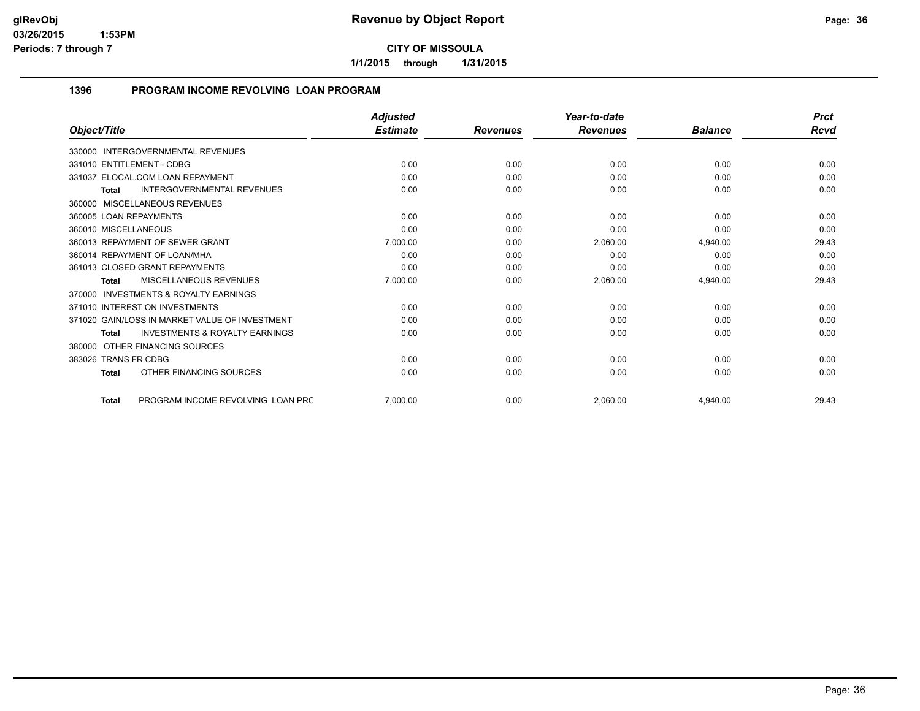**1/1/2015 through 1/31/2015**

## **1396 PROGRAM INCOME REVOLVING LOAN PROGRAM**

| Object/Title                                              | <b>Adjusted</b> |                 | Year-to-date<br><b>Revenues</b> | <b>Balance</b> | <b>Prct</b><br>Rcvd |
|-----------------------------------------------------------|-----------------|-----------------|---------------------------------|----------------|---------------------|
|                                                           | <b>Estimate</b> | <b>Revenues</b> |                                 |                |                     |
| <b>INTERGOVERNMENTAL REVENUES</b><br>330000               |                 |                 |                                 |                |                     |
| 331010 ENTITLEMENT - CDBG                                 | 0.00            | 0.00            | 0.00                            | 0.00           | 0.00                |
| 331037 ELOCAL.COM LOAN REPAYMENT                          | 0.00            | 0.00            | 0.00                            | 0.00           | 0.00                |
| <b>INTERGOVERNMENTAL REVENUES</b><br>Total                | 0.00            | 0.00            | 0.00                            | 0.00           | 0.00                |
| MISCELLANEOUS REVENUES<br>360000                          |                 |                 |                                 |                |                     |
| 360005 LOAN REPAYMENTS                                    | 0.00            | 0.00            | 0.00                            | 0.00           | 0.00                |
| 360010 MISCELLANEOUS                                      | 0.00            | 0.00            | 0.00                            | 0.00           | 0.00                |
| 360013 REPAYMENT OF SEWER GRANT                           | 7,000.00        | 0.00            | 2,060.00                        | 4,940.00       | 29.43               |
| 360014 REPAYMENT OF LOAN/MHA                              | 0.00            | 0.00            | 0.00                            | 0.00           | 0.00                |
| 361013 CLOSED GRANT REPAYMENTS                            | 0.00            | 0.00            | 0.00                            | 0.00           | 0.00                |
| MISCELLANEOUS REVENUES<br>Total                           | 7,000.00        | 0.00            | 2,060.00                        | 4,940.00       | 29.43               |
| <b>INVESTMENTS &amp; ROYALTY EARNINGS</b><br>370000       |                 |                 |                                 |                |                     |
| 371010 INTEREST ON INVESTMENTS                            | 0.00            | 0.00            | 0.00                            | 0.00           | 0.00                |
| 371020 GAIN/LOSS IN MARKET VALUE OF INVESTMENT            | 0.00            | 0.00            | 0.00                            | 0.00           | 0.00                |
| <b>INVESTMENTS &amp; ROYALTY EARNINGS</b><br><b>Total</b> | 0.00            | 0.00            | 0.00                            | 0.00           | 0.00                |
| OTHER FINANCING SOURCES<br>380000                         |                 |                 |                                 |                |                     |
| 383026 TRANS FR CDBG                                      | 0.00            | 0.00            | 0.00                            | 0.00           | 0.00                |
| OTHER FINANCING SOURCES<br><b>Total</b>                   | 0.00            | 0.00            | 0.00                            | 0.00           | 0.00                |
| PROGRAM INCOME REVOLVING LOAN PRC<br><b>Total</b>         | 7.000.00        | 0.00            | 2.060.00                        | 4.940.00       | 29.43               |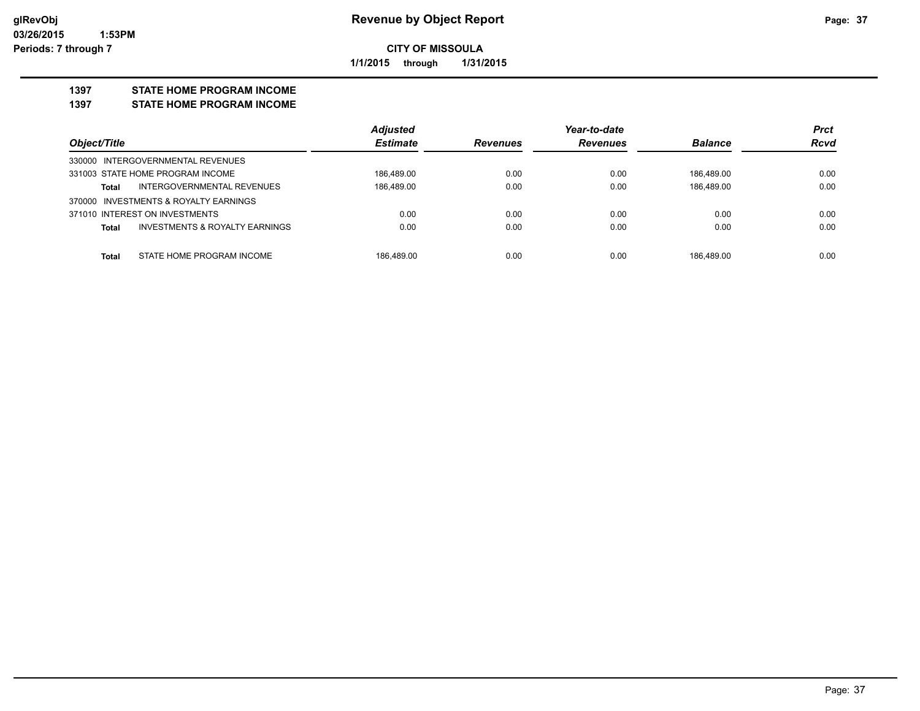**1/1/2015 through 1/31/2015**

#### **1397 STATE HOME PROGRAM INCOME**

**1397 STATE HOME PROGRAM INCOME**

|                                                           | <b>Adjusted</b> |                 | Year-to-date    |                | <b>Prct</b> |
|-----------------------------------------------------------|-----------------|-----------------|-----------------|----------------|-------------|
| Object/Title                                              | <b>Estimate</b> | <b>Revenues</b> | <b>Revenues</b> | <b>Balance</b> | <b>Rcvd</b> |
| 330000 INTERGOVERNMENTAL REVENUES                         |                 |                 |                 |                |             |
| 331003 STATE HOME PROGRAM INCOME                          | 186.489.00      | 0.00            | 0.00            | 186.489.00     | 0.00        |
| INTERGOVERNMENTAL REVENUES<br><b>Total</b>                | 186.489.00      | 0.00            | 0.00            | 186.489.00     | 0.00        |
| 370000 INVESTMENTS & ROYALTY EARNINGS                     |                 |                 |                 |                |             |
| 371010 INTEREST ON INVESTMENTS                            | 0.00            | 0.00            | 0.00            | 0.00           | 0.00        |
| <b>INVESTMENTS &amp; ROYALTY EARNINGS</b><br><b>Total</b> | 0.00            | 0.00            | 0.00            | 0.00           | 0.00        |
|                                                           |                 |                 |                 |                |             |
| STATE HOME PROGRAM INCOME<br><b>Total</b>                 | 186.489.00      | 0.00            | 0.00            | 186.489.00     | 0.00        |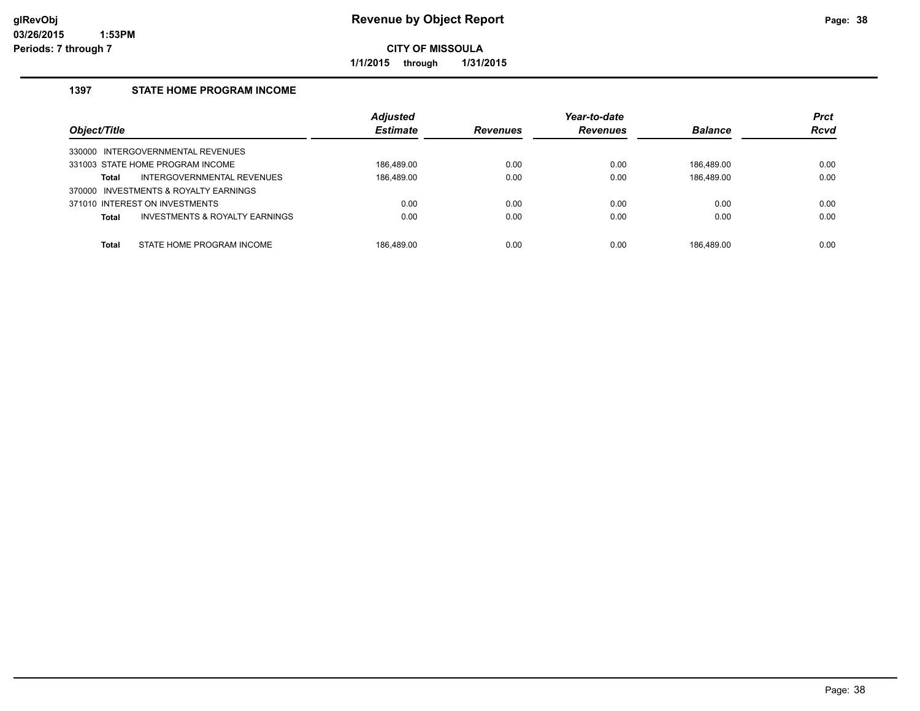**1/1/2015 through 1/31/2015**

# **1397 STATE HOME PROGRAM INCOME**

| Object/Title                                              | <b>Adjusted</b><br><b>Estimate</b> | <b>Revenues</b> | Year-to-date<br><b>Revenues</b> | <b>Balance</b> | <b>Prct</b><br><b>Rcvd</b> |
|-----------------------------------------------------------|------------------------------------|-----------------|---------------------------------|----------------|----------------------------|
| 330000 INTERGOVERNMENTAL REVENUES                         |                                    |                 |                                 |                |                            |
| 331003 STATE HOME PROGRAM INCOME                          | 186.489.00                         | 0.00            | 0.00                            | 186.489.00     | 0.00                       |
| INTERGOVERNMENTAL REVENUES<br>Total                       | 186,489.00                         | 0.00            | 0.00                            | 186,489.00     | 0.00                       |
| 370000 INVESTMENTS & ROYALTY EARNINGS                     |                                    |                 |                                 |                |                            |
| 371010 INTEREST ON INVESTMENTS                            | 0.00                               | 0.00            | 0.00                            | 0.00           | 0.00                       |
| <b>INVESTMENTS &amp; ROYALTY EARNINGS</b><br><b>Total</b> | 0.00                               | 0.00            | 0.00                            | 0.00           | 0.00                       |
|                                                           |                                    |                 |                                 |                |                            |
| STATE HOME PROGRAM INCOME<br><b>Total</b>                 | 186.489.00                         | 0.00            | 0.00                            | 186.489.00     | 0.00                       |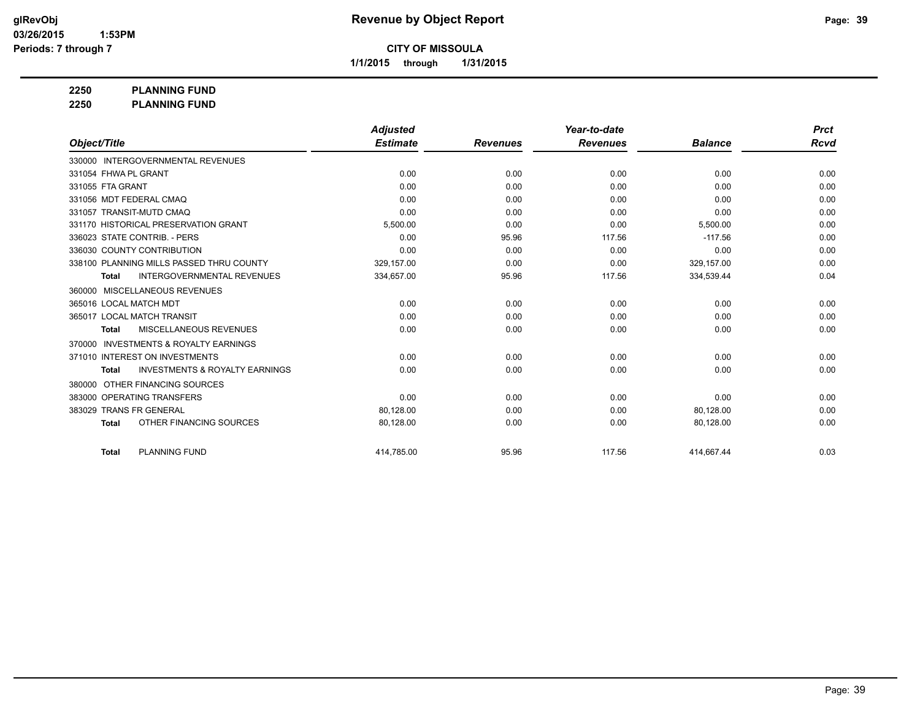**1/1/2015 through 1/31/2015**

**2250 PLANNING FUND**

**2250 PLANNING FUND**

|                                                     | <b>Adjusted</b> |                 | Year-to-date    |                | <b>Prct</b> |
|-----------------------------------------------------|-----------------|-----------------|-----------------|----------------|-------------|
| Object/Title                                        | <b>Estimate</b> | <b>Revenues</b> | <b>Revenues</b> | <b>Balance</b> | <b>Rcvd</b> |
| 330000 INTERGOVERNMENTAL REVENUES                   |                 |                 |                 |                |             |
| 331054 FHWA PL GRANT                                | 0.00            | 0.00            | 0.00            | 0.00           | 0.00        |
| 331055 FTA GRANT                                    | 0.00            | 0.00            | 0.00            | 0.00           | 0.00        |
| 331056 MDT FEDERAL CMAQ                             | 0.00            | 0.00            | 0.00            | 0.00           | 0.00        |
| 331057 TRANSIT-MUTD CMAQ                            | 0.00            | 0.00            | 0.00            | 0.00           | 0.00        |
| 331170 HISTORICAL PRESERVATION GRANT                | 5,500.00        | 0.00            | 0.00            | 5,500.00       | 0.00        |
| 336023 STATE CONTRIB. - PERS                        | 0.00            | 95.96           | 117.56          | $-117.56$      | 0.00        |
| 336030 COUNTY CONTRIBUTION                          | 0.00            | 0.00            | 0.00            | 0.00           | 0.00        |
| 338100 PLANNING MILLS PASSED THRU COUNTY            | 329,157.00      | 0.00            | 0.00            | 329,157.00     | 0.00        |
| <b>INTERGOVERNMENTAL REVENUES</b><br><b>Total</b>   | 334,657.00      | 95.96           | 117.56          | 334,539.44     | 0.04        |
| <b>MISCELLANEOUS REVENUES</b><br>360000             |                 |                 |                 |                |             |
| 365016 LOCAL MATCH MDT                              | 0.00            | 0.00            | 0.00            | 0.00           | 0.00        |
| 365017 LOCAL MATCH TRANSIT                          | 0.00            | 0.00            | 0.00            | 0.00           | 0.00        |
| MISCELLANEOUS REVENUES<br><b>Total</b>              | 0.00            | 0.00            | 0.00            | 0.00           | 0.00        |
| <b>INVESTMENTS &amp; ROYALTY EARNINGS</b><br>370000 |                 |                 |                 |                |             |
| 371010 INTEREST ON INVESTMENTS                      | 0.00            | 0.00            | 0.00            | 0.00           | 0.00        |
| <b>INVESTMENTS &amp; ROYALTY EARNINGS</b><br>Total  | 0.00            | 0.00            | 0.00            | 0.00           | 0.00        |
| OTHER FINANCING SOURCES<br>380000                   |                 |                 |                 |                |             |
| 383000 OPERATING TRANSFERS                          | 0.00            | 0.00            | 0.00            | 0.00           | 0.00        |
| 383029 TRANS FR GENERAL                             | 80,128.00       | 0.00            | 0.00            | 80,128.00      | 0.00        |
| OTHER FINANCING SOURCES<br><b>Total</b>             | 80,128.00       | 0.00            | 0.00            | 80,128.00      | 0.00        |
| <b>PLANNING FUND</b><br><b>Total</b>                | 414,785.00      | 95.96           | 117.56          | 414,667.44     | 0.03        |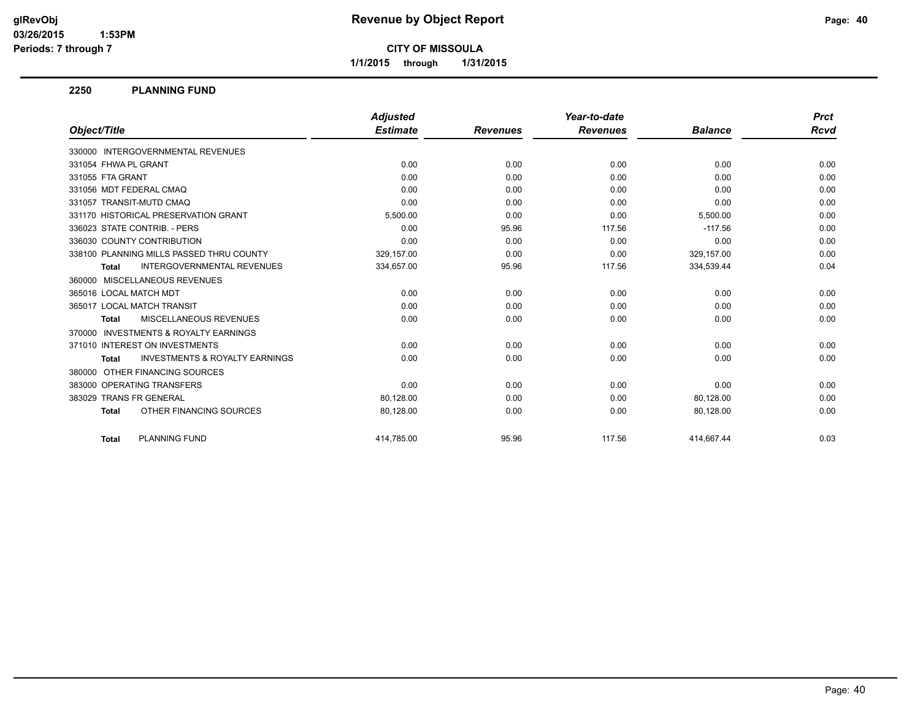**1/1/2015 through 1/31/2015**

#### **2250 PLANNING FUND**

|                                                     | <b>Adjusted</b> |                 | Year-to-date    |                | <b>Prct</b> |
|-----------------------------------------------------|-----------------|-----------------|-----------------|----------------|-------------|
| Object/Title                                        | <b>Estimate</b> | <b>Revenues</b> | <b>Revenues</b> | <b>Balance</b> | Rcvd        |
| 330000 INTERGOVERNMENTAL REVENUES                   |                 |                 |                 |                |             |
| 331054 FHWA PL GRANT                                | 0.00            | 0.00            | 0.00            | 0.00           | 0.00        |
| 331055 FTA GRANT                                    | 0.00            | 0.00            | 0.00            | 0.00           | 0.00        |
| 331056 MDT FEDERAL CMAQ                             | 0.00            | 0.00            | 0.00            | 0.00           | 0.00        |
| 331057 TRANSIT-MUTD CMAO                            | 0.00            | 0.00            | 0.00            | 0.00           | 0.00        |
| 331170 HISTORICAL PRESERVATION GRANT                | 5,500.00        | 0.00            | 0.00            | 5,500.00       | 0.00        |
| 336023 STATE CONTRIB. - PERS                        | 0.00            | 95.96           | 117.56          | $-117.56$      | 0.00        |
| 336030 COUNTY CONTRIBUTION                          | 0.00            | 0.00            | 0.00            | 0.00           | 0.00        |
| 338100 PLANNING MILLS PASSED THRU COUNTY            | 329,157.00      | 0.00            | 0.00            | 329,157.00     | 0.00        |
| <b>INTERGOVERNMENTAL REVENUES</b><br><b>Total</b>   | 334,657.00      | 95.96           | 117.56          | 334,539.44     | 0.04        |
| 360000 MISCELLANEOUS REVENUES                       |                 |                 |                 |                |             |
| 365016 LOCAL MATCH MDT                              | 0.00            | 0.00            | 0.00            | 0.00           | 0.00        |
| 365017 LOCAL MATCH TRANSIT                          | 0.00            | 0.00            | 0.00            | 0.00           | 0.00        |
| MISCELLANEOUS REVENUES<br><b>Total</b>              | 0.00            | 0.00            | 0.00            | 0.00           | 0.00        |
| <b>INVESTMENTS &amp; ROYALTY EARNINGS</b><br>370000 |                 |                 |                 |                |             |
| 371010 INTEREST ON INVESTMENTS                      | 0.00            | 0.00            | 0.00            | 0.00           | 0.00        |
| <b>INVESTMENTS &amp; ROYALTY EARNINGS</b><br>Total  | 0.00            | 0.00            | 0.00            | 0.00           | 0.00        |
| 380000 OTHER FINANCING SOURCES                      |                 |                 |                 |                |             |
| 383000 OPERATING TRANSFERS                          | 0.00            | 0.00            | 0.00            | 0.00           | 0.00        |
| 383029 TRANS FR GENERAL                             | 80,128.00       | 0.00            | 0.00            | 80,128.00      | 0.00        |
| OTHER FINANCING SOURCES<br><b>Total</b>             | 80,128.00       | 0.00            | 0.00            | 80,128.00      | 0.00        |
| <b>PLANNING FUND</b><br><b>Total</b>                | 414.785.00      | 95.96           | 117.56          | 414.667.44     | 0.03        |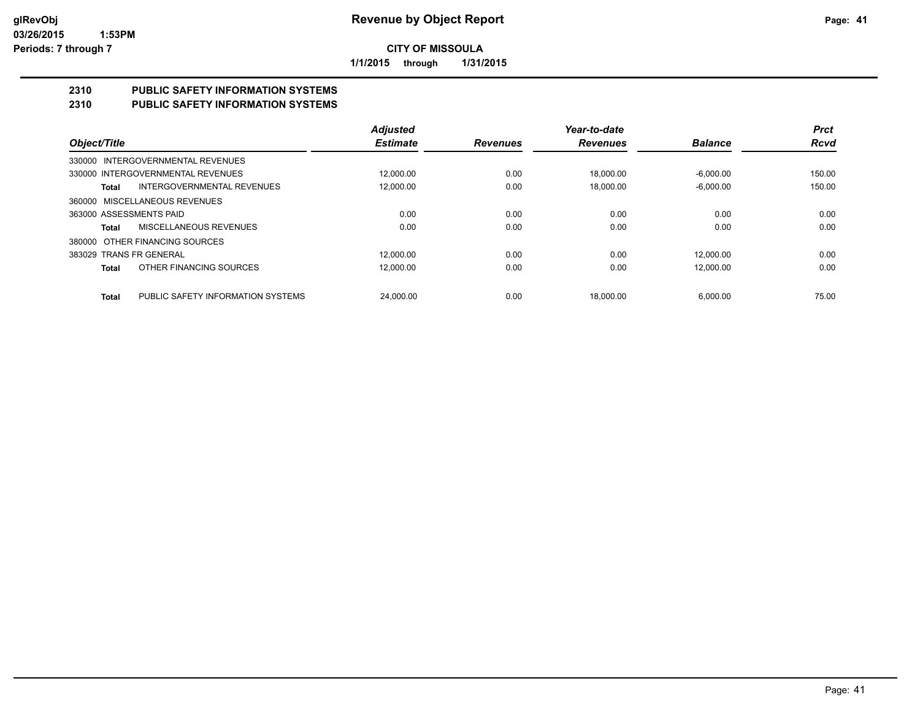**1/1/2015 through 1/31/2015**

#### **2310 PUBLIC SAFETY INFORMATION SYSTEMS 2310 PUBLIC SAFETY INFORMATION SYSTEMS**

|                                |                                   | <b>Adjusted</b> |                 | Year-to-date    |                | <b>Prct</b> |
|--------------------------------|-----------------------------------|-----------------|-----------------|-----------------|----------------|-------------|
| Object/Title                   |                                   | <b>Estimate</b> | <b>Revenues</b> | <b>Revenues</b> | <b>Balance</b> | <b>Rcvd</b> |
|                                | 330000 INTERGOVERNMENTAL REVENUES |                 |                 |                 |                |             |
|                                | 330000 INTERGOVERNMENTAL REVENUES | 12.000.00       | 0.00            | 18.000.00       | $-6.000.00$    | 150.00      |
| Total                          | <b>INTERGOVERNMENTAL REVENUES</b> | 12,000.00       | 0.00            | 18.000.00       | $-6.000.00$    | 150.00      |
| 360000 MISCELLANEOUS REVENUES  |                                   |                 |                 |                 |                |             |
| 363000 ASSESSMENTS PAID        |                                   | 0.00            | 0.00            | 0.00            | 0.00           | 0.00        |
| Total                          | MISCELLANEOUS REVENUES            | 0.00            | 0.00            | 0.00            | 0.00           | 0.00        |
| 380000 OTHER FINANCING SOURCES |                                   |                 |                 |                 |                |             |
| 383029 TRANS FR GENERAL        |                                   | 12.000.00       | 0.00            | 0.00            | 12.000.00      | 0.00        |
| Total                          | OTHER FINANCING SOURCES           | 12.000.00       | 0.00            | 0.00            | 12.000.00      | 0.00        |
| <b>Total</b>                   | PUBLIC SAFETY INFORMATION SYSTEMS | 24.000.00       | 0.00            | 18.000.00       | 6.000.00       | 75.00       |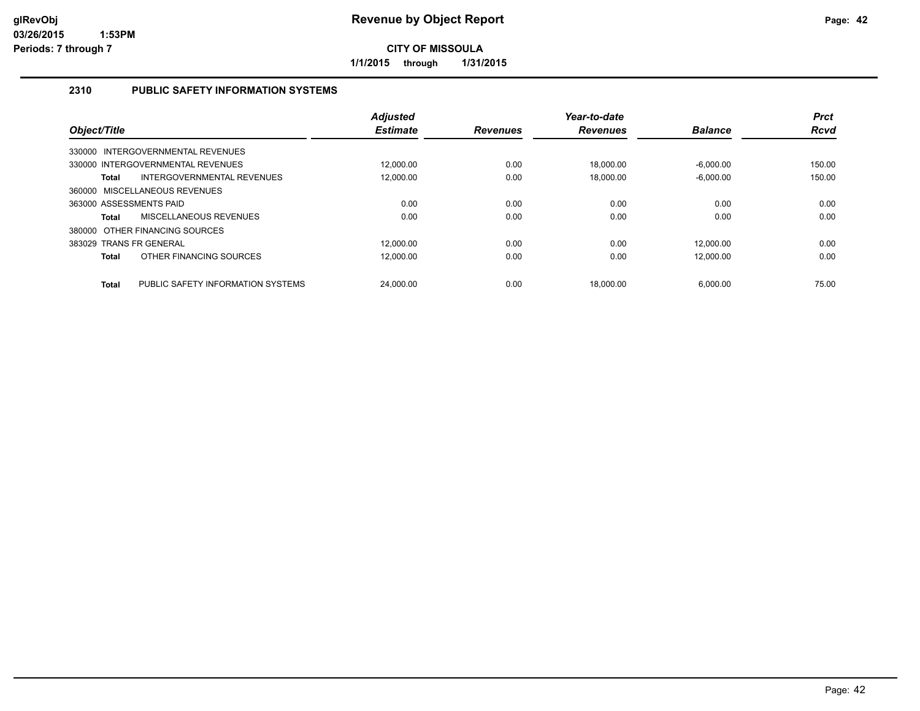**1/1/2015 through 1/31/2015**

# **2310 PUBLIC SAFETY INFORMATION SYSTEMS**

| Object/Title            |                                   | <b>Adjusted</b><br><b>Estimate</b> | <b>Revenues</b> | Year-to-date<br><b>Revenues</b> | <b>Balance</b> | <b>Prct</b><br><b>Rcvd</b> |
|-------------------------|-----------------------------------|------------------------------------|-----------------|---------------------------------|----------------|----------------------------|
|                         | 330000 INTERGOVERNMENTAL REVENUES |                                    |                 |                                 |                |                            |
|                         | 330000 INTERGOVERNMENTAL REVENUES | 12.000.00                          | 0.00            | 18.000.00                       | $-6.000.00$    | 150.00                     |
| Total                   | INTERGOVERNMENTAL REVENUES        | 12.000.00                          | 0.00            | 18.000.00                       | $-6.000.00$    | 150.00                     |
|                         | 360000 MISCELLANEOUS REVENUES     |                                    |                 |                                 |                |                            |
| 363000 ASSESSMENTS PAID |                                   | 0.00                               | 0.00            | 0.00                            | 0.00           | 0.00                       |
| Total                   | <b>MISCELLANEOUS REVENUES</b>     | 0.00                               | 0.00            | 0.00                            | 0.00           | 0.00                       |
|                         | 380000 OTHER FINANCING SOURCES    |                                    |                 |                                 |                |                            |
| 383029 TRANS FR GENERAL |                                   | 12.000.00                          | 0.00            | 0.00                            | 12.000.00      | 0.00                       |
| <b>Total</b>            | OTHER FINANCING SOURCES           | 12.000.00                          | 0.00            | 0.00                            | 12.000.00      | 0.00                       |
| Total                   | PUBLIC SAFETY INFORMATION SYSTEMS | 24.000.00                          | 0.00            | 18.000.00                       | 6.000.00       | 75.00                      |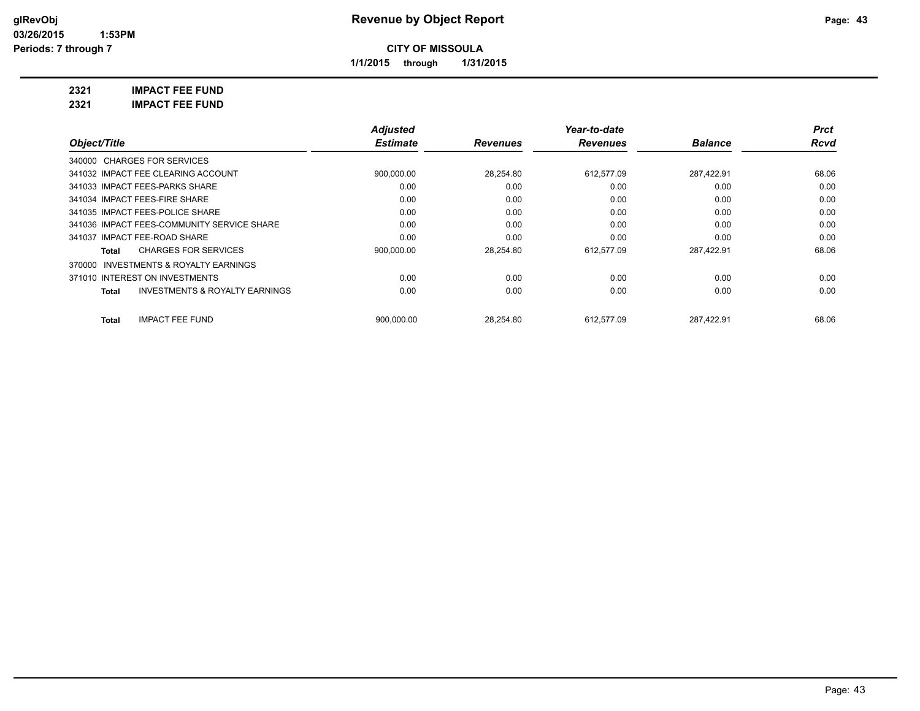**1/1/2015 through 1/31/2015**

**2321 IMPACT FEE FUND**

**2321 IMPACT FEE FUND**

|                                                           | <b>Adjusted</b> |                 | Year-to-date    |                | <b>Prct</b> |
|-----------------------------------------------------------|-----------------|-----------------|-----------------|----------------|-------------|
| Object/Title                                              | <b>Estimate</b> | <b>Revenues</b> | <b>Revenues</b> | <b>Balance</b> | Rcvd        |
| 340000 CHARGES FOR SERVICES                               |                 |                 |                 |                |             |
| 341032 IMPACT FEE CLEARING ACCOUNT                        | 900,000.00      | 28.254.80       | 612.577.09      | 287.422.91     | 68.06       |
| 341033 IMPACT FEES-PARKS SHARE                            | 0.00            | 0.00            | 0.00            | 0.00           | 0.00        |
| 341034 IMPACT FEES-FIRE SHARE                             | 0.00            | 0.00            | 0.00            | 0.00           | 0.00        |
| 341035 IMPACT FEES-POLICE SHARE                           | 0.00            | 0.00            | 0.00            | 0.00           | 0.00        |
| 341036 IMPACT FEES-COMMUNITY SERVICE SHARE                | 0.00            | 0.00            | 0.00            | 0.00           | 0.00        |
| 341037 IMPACT FEE-ROAD SHARE                              | 0.00            | 0.00            | 0.00            | 0.00           | 0.00        |
| <b>CHARGES FOR SERVICES</b><br>Total                      | 900,000.00      | 28,254.80       | 612,577.09      | 287.422.91     | 68.06       |
| 370000 INVESTMENTS & ROYALTY EARNINGS                     |                 |                 |                 |                |             |
| 371010 INTEREST ON INVESTMENTS                            | 0.00            | 0.00            | 0.00            | 0.00           | 0.00        |
| <b>INVESTMENTS &amp; ROYALTY EARNINGS</b><br><b>Total</b> | 0.00            | 0.00            | 0.00            | 0.00           | 0.00        |
| <b>IMPACT FEE FUND</b><br><b>Total</b>                    | 900.000.00      | 28.254.80       | 612.577.09      | 287.422.91     | 68.06       |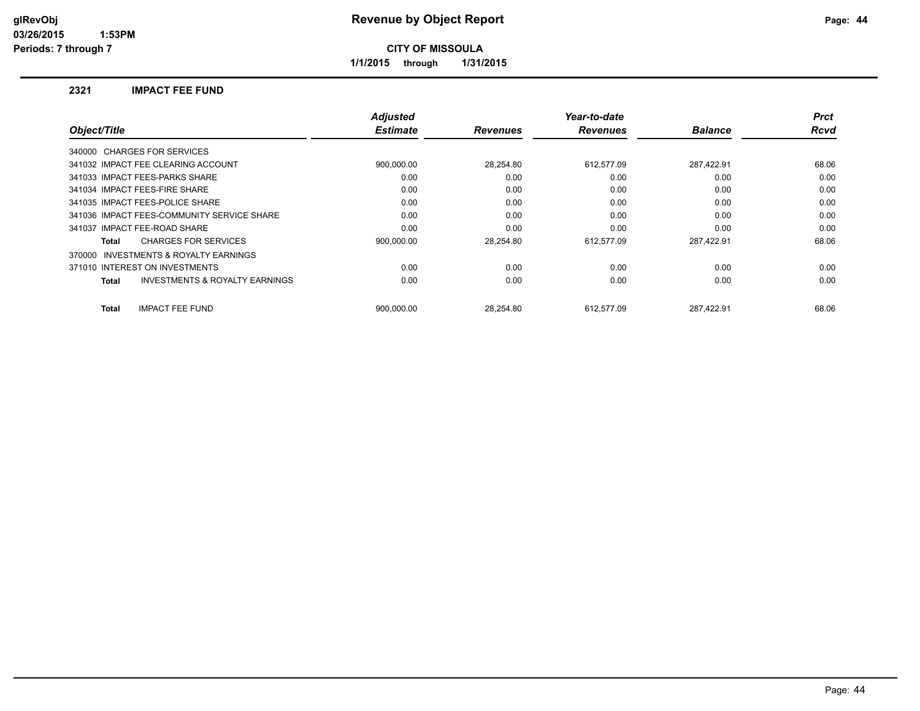**1/1/2015 through 1/31/2015**

#### **2321 IMPACT FEE FUND**

|              |                                            | <b>Adjusted</b> |                 | Year-to-date    |                | <b>Prct</b> |
|--------------|--------------------------------------------|-----------------|-----------------|-----------------|----------------|-------------|
| Object/Title |                                            | <b>Estimate</b> | <b>Revenues</b> | <b>Revenues</b> | <b>Balance</b> | <b>Rcvd</b> |
|              | 340000 CHARGES FOR SERVICES                |                 |                 |                 |                |             |
|              | 341032 IMPACT FEE CLEARING ACCOUNT         | 900,000.00      | 28,254.80       | 612,577.09      | 287.422.91     | 68.06       |
|              | 341033 IMPACT FEES-PARKS SHARE             | 0.00            | 0.00            | 0.00            | 0.00           | 0.00        |
|              | 341034 IMPACT FEES-FIRE SHARE              | 0.00            | 0.00            | 0.00            | 0.00           | 0.00        |
|              | 341035 IMPACT FEES-POLICE SHARE            | 0.00            | 0.00            | 0.00            | 0.00           | 0.00        |
|              | 341036 IMPACT FEES-COMMUNITY SERVICE SHARE | 0.00            | 0.00            | 0.00            | 0.00           | 0.00        |
|              | 341037 IMPACT FEE-ROAD SHARE               | 0.00            | 0.00            | 0.00            | 0.00           | 0.00        |
| Total        | <b>CHARGES FOR SERVICES</b>                | 900.000.00      | 28.254.80       | 612,577.09      | 287.422.91     | 68.06       |
| 370000       | <b>INVESTMENTS &amp; ROYALTY EARNINGS</b>  |                 |                 |                 |                |             |
|              | 371010 INTEREST ON INVESTMENTS             | 0.00            | 0.00            | 0.00            | 0.00           | 0.00        |
| Total        | <b>INVESTMENTS &amp; ROYALTY EARNINGS</b>  | 0.00            | 0.00            | 0.00            | 0.00           | 0.00        |
| <b>Total</b> | <b>IMPACT FEE FUND</b>                     | 900.000.00      | 28.254.80       | 612.577.09      | 287.422.91     | 68.06       |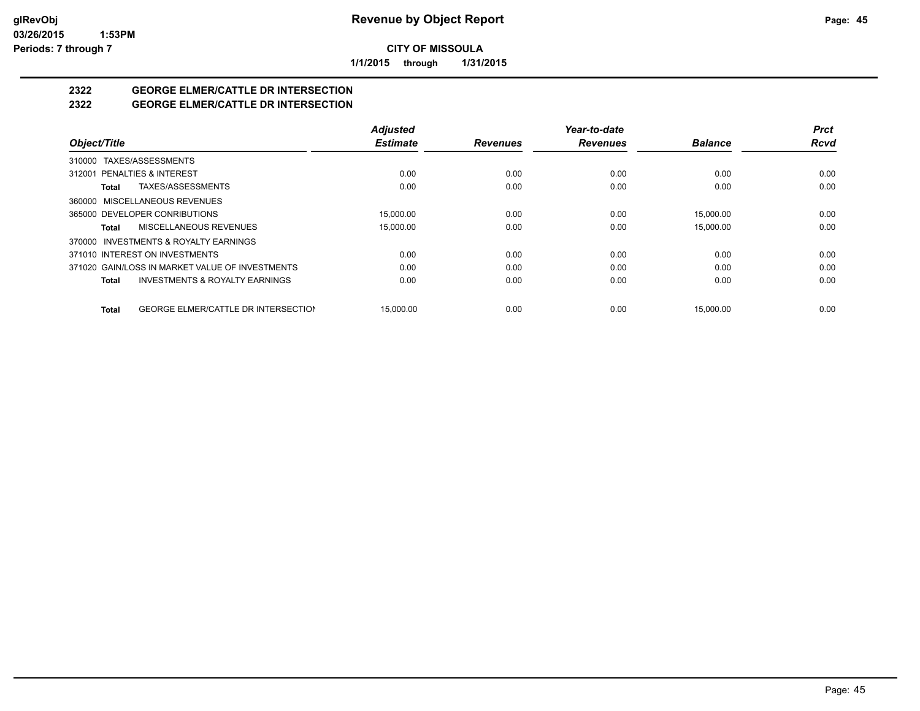**1/1/2015 through 1/31/2015**

# **2322 GEORGE ELMER/CATTLE DR INTERSECTION**

# **2322 GEORGE ELMER/CATTLE DR INTERSECTION**

|                                                            | <b>Adjusted</b> |                 | Year-to-date    |                | <b>Prct</b> |
|------------------------------------------------------------|-----------------|-----------------|-----------------|----------------|-------------|
| Object/Title                                               | <b>Estimate</b> | <b>Revenues</b> | <b>Revenues</b> | <b>Balance</b> | <b>Rcvd</b> |
| TAXES/ASSESSMENTS<br>310000                                |                 |                 |                 |                |             |
| 312001 PENALTIES & INTEREST                                | 0.00            | 0.00            | 0.00            | 0.00           | 0.00        |
| TAXES/ASSESSMENTS<br>Total                                 | 0.00            | 0.00            | 0.00            | 0.00           | 0.00        |
| 360000 MISCELLANEOUS REVENUES                              |                 |                 |                 |                |             |
| 365000 DEVELOPER CONRIBUTIONS                              | 15,000.00       | 0.00            | 0.00            | 15,000.00      | 0.00        |
| MISCELLANEOUS REVENUES<br><b>Total</b>                     | 15.000.00       | 0.00            | 0.00            | 15.000.00      | 0.00        |
| 370000 INVESTMENTS & ROYALTY EARNINGS                      |                 |                 |                 |                |             |
| 371010 INTEREST ON INVESTMENTS                             | 0.00            | 0.00            | 0.00            | 0.00           | 0.00        |
| 371020 GAIN/LOSS IN MARKET VALUE OF INVESTMENTS            | 0.00            | 0.00            | 0.00            | 0.00           | 0.00        |
| <b>INVESTMENTS &amp; ROYALTY EARNINGS</b><br><b>Total</b>  | 0.00            | 0.00            | 0.00            | 0.00           | 0.00        |
| <b>GEORGE ELMER/CATTLE DR INTERSECTION</b><br><b>Total</b> | 15.000.00       | 0.00            | 0.00            | 15.000.00      | 0.00        |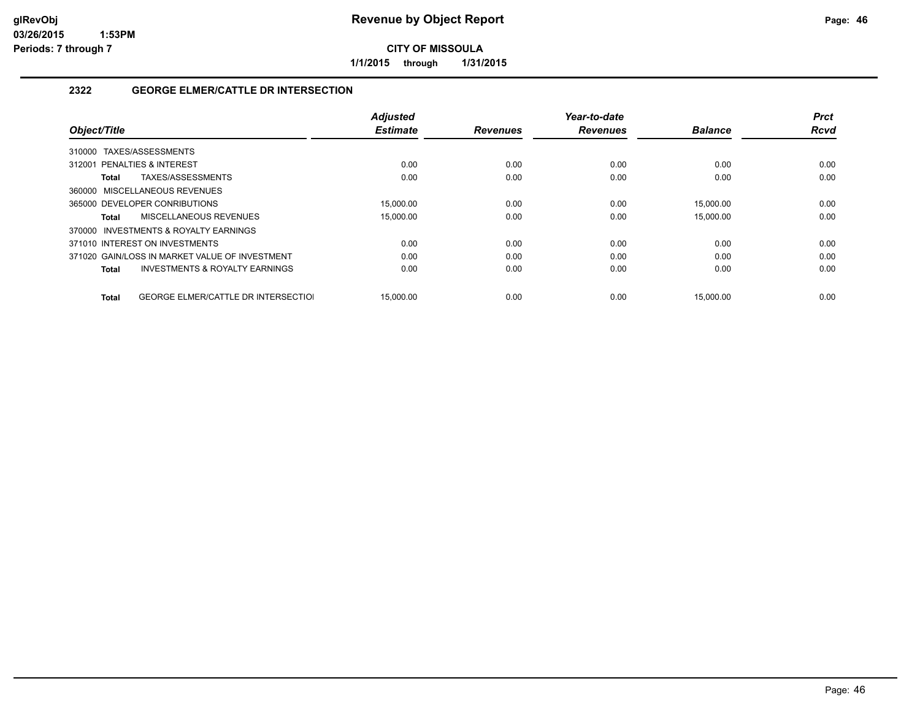**1/1/2015 through 1/31/2015**

# **2322 GEORGE ELMER/CATTLE DR INTERSECTION**

| Object/Title                |                                                | <b>Adjusted</b><br><b>Estimate</b> | <b>Revenues</b> | Year-to-date<br><b>Revenues</b> | <b>Balance</b> | <b>Prct</b><br><b>Rcvd</b> |
|-----------------------------|------------------------------------------------|------------------------------------|-----------------|---------------------------------|----------------|----------------------------|
|                             |                                                |                                    |                 |                                 |                |                            |
| 310000                      | TAXES/ASSESSMENTS                              |                                    |                 |                                 |                |                            |
| 312001 PENALTIES & INTEREST |                                                | 0.00                               | 0.00            | 0.00                            | 0.00           | 0.00                       |
| Total                       | TAXES/ASSESSMENTS                              | 0.00                               | 0.00            | 0.00                            | 0.00           | 0.00                       |
|                             | 360000 MISCELLANEOUS REVENUES                  |                                    |                 |                                 |                |                            |
|                             | 365000 DEVELOPER CONRIBUTIONS                  | 15,000.00                          | 0.00            | 0.00                            | 15.000.00      | 0.00                       |
| Total                       | MISCELLANEOUS REVENUES                         | 15,000.00                          | 0.00            | 0.00                            | 15,000.00      | 0.00                       |
|                             | 370000 INVESTMENTS & ROYALTY EARNINGS          |                                    |                 |                                 |                |                            |
|                             | 371010 INTEREST ON INVESTMENTS                 | 0.00                               | 0.00            | 0.00                            | 0.00           | 0.00                       |
|                             | 371020 GAIN/LOSS IN MARKET VALUE OF INVESTMENT | 0.00                               | 0.00            | 0.00                            | 0.00           | 0.00                       |
| Total                       | <b>INVESTMENTS &amp; ROYALTY EARNINGS</b>      | 0.00                               | 0.00            | 0.00                            | 0.00           | 0.00                       |
|                             |                                                |                                    |                 |                                 |                |                            |
| <b>Total</b>                | <b>GEORGE ELMER/CATTLE DR INTERSECTIOL</b>     | 15.000.00                          | 0.00            | 0.00                            | 15.000.00      | 0.00                       |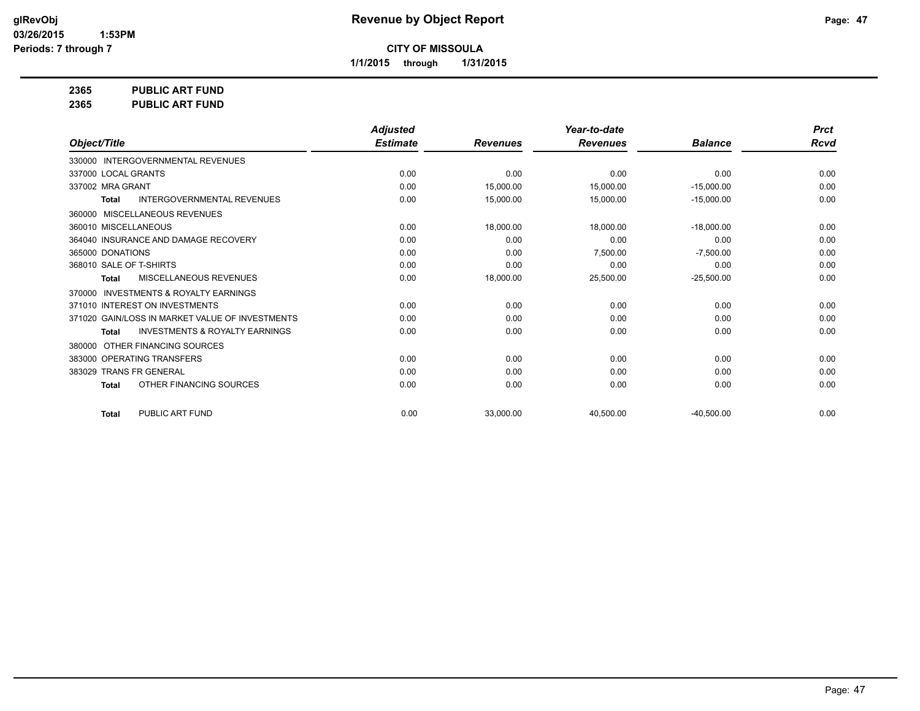**1/1/2015 through 1/31/2015**

**2365 PUBLIC ART FUND**

**2365 PUBLIC ART FUND**

|                                                           | <b>Adjusted</b> |                 | Year-to-date    |                | <b>Prct</b> |
|-----------------------------------------------------------|-----------------|-----------------|-----------------|----------------|-------------|
| Object/Title                                              | <b>Estimate</b> | <b>Revenues</b> | <b>Revenues</b> | <b>Balance</b> | <b>Rcvd</b> |
| 330000 INTERGOVERNMENTAL REVENUES                         |                 |                 |                 |                |             |
| 337000 LOCAL GRANTS                                       | 0.00            | 0.00            | 0.00            | 0.00           | 0.00        |
| 337002 MRA GRANT                                          | 0.00            | 15,000.00       | 15.000.00       | $-15.000.00$   | 0.00        |
| INTERGOVERNMENTAL REVENUES<br>Total                       | 0.00            | 15,000.00       | 15,000.00       | $-15,000.00$   | 0.00        |
| 360000 MISCELLANEOUS REVENUES                             |                 |                 |                 |                |             |
| 360010 MISCELLANEOUS                                      | 0.00            | 18.000.00       | 18.000.00       | $-18.000.00$   | 0.00        |
| 364040 INSURANCE AND DAMAGE RECOVERY                      | 0.00            | 0.00            | 0.00            | 0.00           | 0.00        |
| 365000 DONATIONS                                          | 0.00            | 0.00            | 7,500.00        | $-7,500.00$    | 0.00        |
| 368010 SALE OF T-SHIRTS                                   | 0.00            | 0.00            | 0.00            | 0.00           | 0.00        |
| MISCELLANEOUS REVENUES<br><b>Total</b>                    | 0.00            | 18,000.00       | 25,500.00       | $-25,500.00$   | 0.00        |
| <b>INVESTMENTS &amp; ROYALTY EARNINGS</b><br>370000       |                 |                 |                 |                |             |
| 371010 INTEREST ON INVESTMENTS                            | 0.00            | 0.00            | 0.00            | 0.00           | 0.00        |
| 371020 GAIN/LOSS IN MARKET VALUE OF INVESTMENTS           | 0.00            | 0.00            | 0.00            | 0.00           | 0.00        |
| <b>INVESTMENTS &amp; ROYALTY EARNINGS</b><br><b>Total</b> | 0.00            | 0.00            | 0.00            | 0.00           | 0.00        |
| OTHER FINANCING SOURCES<br>380000                         |                 |                 |                 |                |             |
| 383000 OPERATING TRANSFERS                                | 0.00            | 0.00            | 0.00            | 0.00           | 0.00        |
| 383029 TRANS FR GENERAL                                   | 0.00            | 0.00            | 0.00            | 0.00           | 0.00        |
| OTHER FINANCING SOURCES<br><b>Total</b>                   | 0.00            | 0.00            | 0.00            | 0.00           | 0.00        |
| PUBLIC ART FUND<br><b>Total</b>                           | 0.00            | 33,000.00       | 40,500.00       | $-40,500.00$   | 0.00        |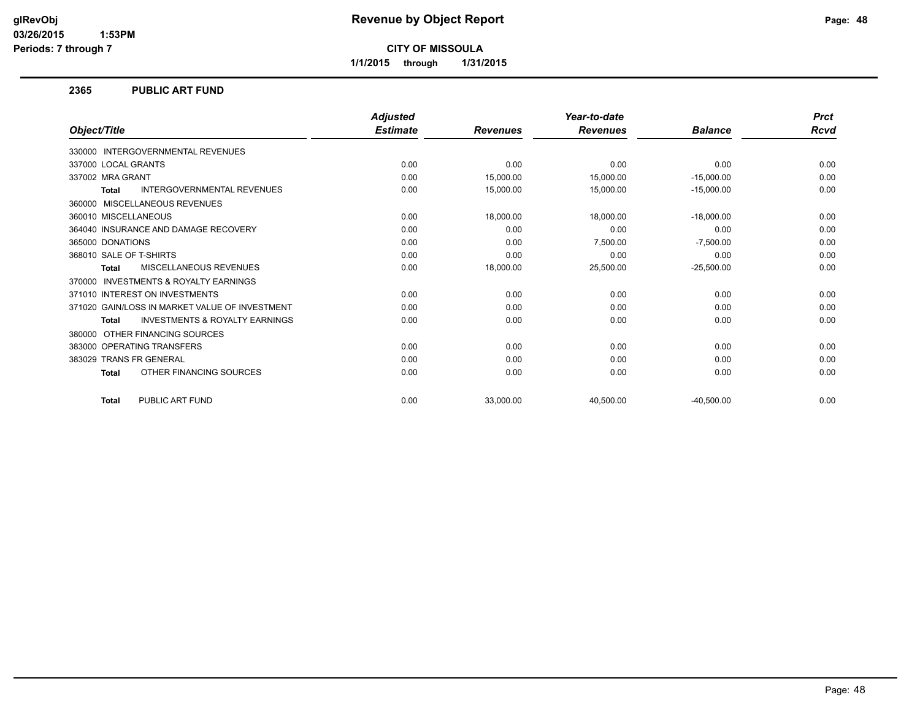**1/1/2015 through 1/31/2015**

#### **2365 PUBLIC ART FUND**

|                                                     | <b>Adjusted</b> |                 | Year-to-date    |                | <b>Prct</b> |
|-----------------------------------------------------|-----------------|-----------------|-----------------|----------------|-------------|
| Object/Title                                        | <b>Estimate</b> | <b>Revenues</b> | <b>Revenues</b> | <b>Balance</b> | Rcvd        |
| 330000 INTERGOVERNMENTAL REVENUES                   |                 |                 |                 |                |             |
| 337000 LOCAL GRANTS                                 | 0.00            | 0.00            | 0.00            | 0.00           | 0.00        |
| 337002 MRA GRANT                                    | 0.00            | 15.000.00       | 15.000.00       | $-15.000.00$   | 0.00        |
| <b>INTERGOVERNMENTAL REVENUES</b><br><b>Total</b>   | 0.00            | 15,000.00       | 15,000.00       | $-15,000.00$   | 0.00        |
| MISCELLANEOUS REVENUES<br>360000                    |                 |                 |                 |                |             |
| 360010 MISCELLANEOUS                                | 0.00            | 18,000.00       | 18,000.00       | $-18,000.00$   | 0.00        |
| 364040 INSURANCE AND DAMAGE RECOVERY                | 0.00            | 0.00            | 0.00            | 0.00           | 0.00        |
| 365000 DONATIONS                                    | 0.00            | 0.00            | 7,500.00        | $-7,500.00$    | 0.00        |
| 368010 SALE OF T-SHIRTS                             | 0.00            | 0.00            | 0.00            | 0.00           | 0.00        |
| <b>MISCELLANEOUS REVENUES</b><br><b>Total</b>       | 0.00            | 18,000.00       | 25,500.00       | $-25,500.00$   | 0.00        |
| <b>INVESTMENTS &amp; ROYALTY EARNINGS</b><br>370000 |                 |                 |                 |                |             |
| 371010 INTEREST ON INVESTMENTS                      | 0.00            | 0.00            | 0.00            | 0.00           | 0.00        |
| 371020 GAIN/LOSS IN MARKET VALUE OF INVESTMENT      | 0.00            | 0.00            | 0.00            | 0.00           | 0.00        |
| <b>INVESTMENTS &amp; ROYALTY EARNINGS</b><br>Total  | 0.00            | 0.00            | 0.00            | 0.00           | 0.00        |
| OTHER FINANCING SOURCES<br>380000                   |                 |                 |                 |                |             |
| 383000 OPERATING TRANSFERS                          | 0.00            | 0.00            | 0.00            | 0.00           | 0.00        |
| 383029 TRANS FR GENERAL                             | 0.00            | 0.00            | 0.00            | 0.00           | 0.00        |
| OTHER FINANCING SOURCES<br><b>Total</b>             | 0.00            | 0.00            | 0.00            | 0.00           | 0.00        |
| PUBLIC ART FUND<br><b>Total</b>                     | 0.00            | 33,000.00       | 40,500.00       | $-40,500.00$   | 0.00        |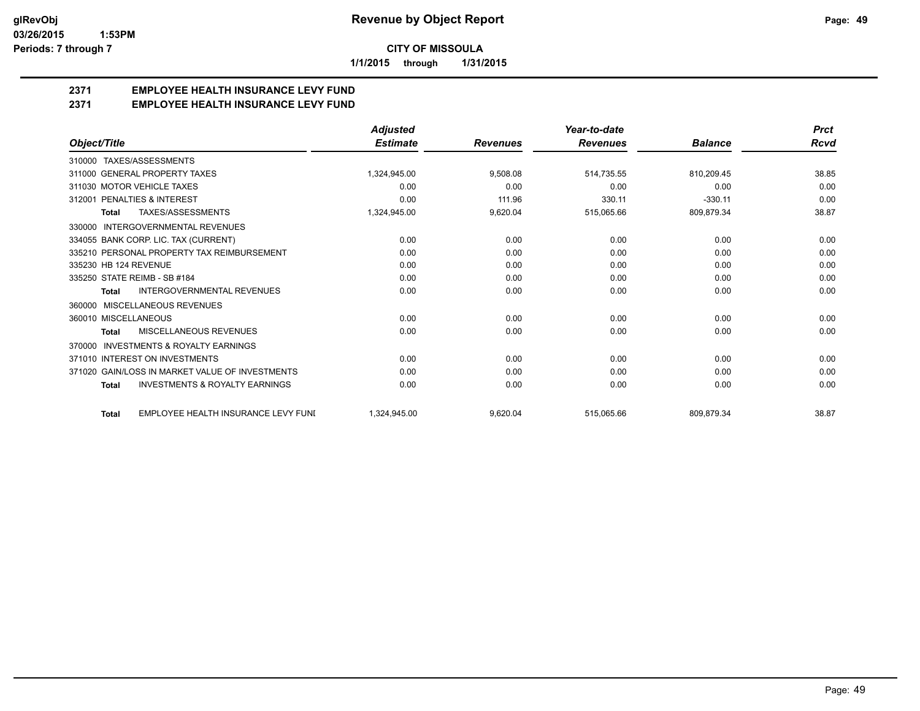**1/1/2015 through 1/31/2015**

# **2371 EMPLOYEE HEALTH INSURANCE LEVY FUND**

**2371 EMPLOYEE HEALTH INSURANCE LEVY FUND**

|                                                           | <b>Adjusted</b> |                 | Year-to-date    |                | <b>Prct</b> |
|-----------------------------------------------------------|-----------------|-----------------|-----------------|----------------|-------------|
| Object/Title                                              | <b>Estimate</b> | <b>Revenues</b> | <b>Revenues</b> | <b>Balance</b> | Rcvd        |
| 310000 TAXES/ASSESSMENTS                                  |                 |                 |                 |                |             |
| 311000 GENERAL PROPERTY TAXES                             | 1.324.945.00    | 9.508.08        | 514.735.55      | 810,209.45     | 38.85       |
| 311030 MOTOR VEHICLE TAXES                                | 0.00            | 0.00            | 0.00            | 0.00           | 0.00        |
| 312001 PENALTIES & INTEREST                               | 0.00            | 111.96          | 330.11          | $-330.11$      | 0.00        |
| <b>TAXES/ASSESSMENTS</b><br>Total                         | 1,324,945.00    | 9,620.04        | 515,065.66      | 809,879.34     | 38.87       |
| <b>INTERGOVERNMENTAL REVENUES</b><br>330000               |                 |                 |                 |                |             |
| 334055 BANK CORP. LIC. TAX (CURRENT)                      | 0.00            | 0.00            | 0.00            | 0.00           | 0.00        |
| 335210 PERSONAL PROPERTY TAX REIMBURSEMENT                | 0.00            | 0.00            | 0.00            | 0.00           | 0.00        |
| 335230 HB 124 REVENUE                                     | 0.00            | 0.00            | 0.00            | 0.00           | 0.00        |
| 335250 STATE REIMB - SB #184                              | 0.00            | 0.00            | 0.00            | 0.00           | 0.00        |
| <b>INTERGOVERNMENTAL REVENUES</b><br>Total                | 0.00            | 0.00            | 0.00            | 0.00           | 0.00        |
| MISCELLANEOUS REVENUES<br>360000                          |                 |                 |                 |                |             |
| 360010 MISCELLANEOUS                                      | 0.00            | 0.00            | 0.00            | 0.00           | 0.00        |
| <b>MISCELLANEOUS REVENUES</b><br><b>Total</b>             | 0.00            | 0.00            | 0.00            | 0.00           | 0.00        |
| INVESTMENTS & ROYALTY EARNINGS<br>370000                  |                 |                 |                 |                |             |
| 371010 INTEREST ON INVESTMENTS                            | 0.00            | 0.00            | 0.00            | 0.00           | 0.00        |
| 371020 GAIN/LOSS IN MARKET VALUE OF INVESTMENTS           | 0.00            | 0.00            | 0.00            | 0.00           | 0.00        |
| <b>INVESTMENTS &amp; ROYALTY EARNINGS</b><br><b>Total</b> | 0.00            | 0.00            | 0.00            | 0.00           | 0.00        |
| EMPLOYEE HEALTH INSURANCE LEVY FUNI<br><b>Total</b>       | 1,324,945.00    | 9,620.04        | 515,065.66      | 809,879.34     | 38.87       |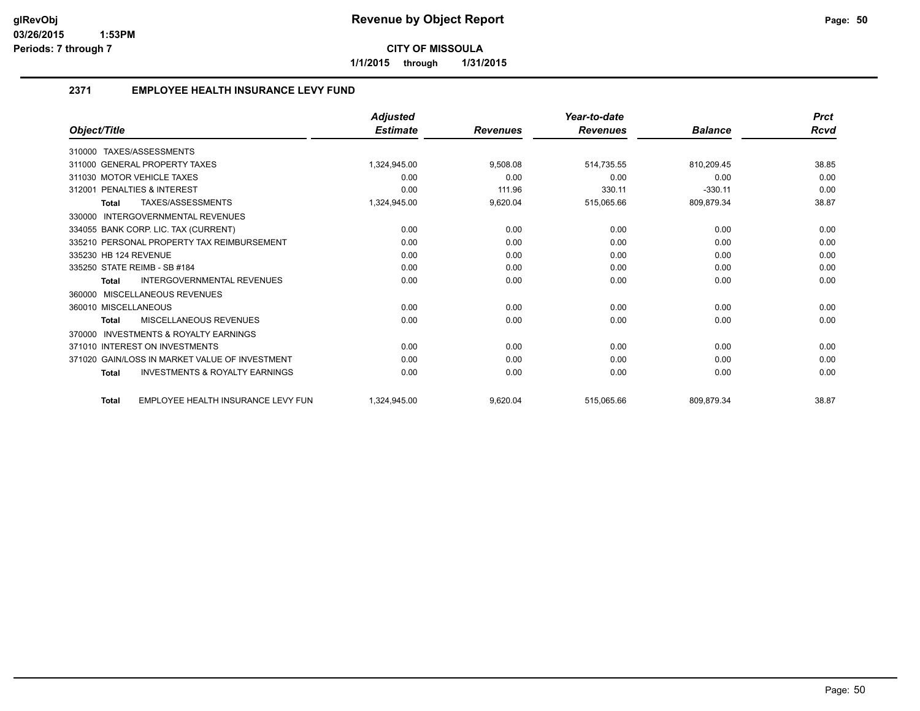**1/1/2015 through 1/31/2015**

# **2371 EMPLOYEE HEALTH INSURANCE LEVY FUND**

|                                                    | <b>Adjusted</b> |                 | Year-to-date    |                | <b>Prct</b> |
|----------------------------------------------------|-----------------|-----------------|-----------------|----------------|-------------|
| Object/Title                                       | <b>Estimate</b> | <b>Revenues</b> | <b>Revenues</b> | <b>Balance</b> | <b>Rcvd</b> |
| TAXES/ASSESSMENTS<br>310000                        |                 |                 |                 |                |             |
| 311000 GENERAL PROPERTY TAXES                      | 1.324.945.00    | 9,508.08        | 514,735.55      | 810,209.45     | 38.85       |
| 311030 MOTOR VEHICLE TAXES                         | 0.00            | 0.00            | 0.00            | 0.00           | 0.00        |
| <b>PENALTIES &amp; INTEREST</b><br>312001          | 0.00            | 111.96          | 330.11          | $-330.11$      | 0.00        |
| TAXES/ASSESSMENTS<br>Total                         | 1,324,945.00    | 9,620.04        | 515,065.66      | 809,879.34     | 38.87       |
| <b>INTERGOVERNMENTAL REVENUES</b><br>330000        |                 |                 |                 |                |             |
| 334055 BANK CORP. LIC. TAX (CURRENT)               | 0.00            | 0.00            | 0.00            | 0.00           | 0.00        |
| 335210 PERSONAL PROPERTY TAX REIMBURSEMENT         | 0.00            | 0.00            | 0.00            | 0.00           | 0.00        |
| 335230 HB 124 REVENUE                              | 0.00            | 0.00            | 0.00            | 0.00           | 0.00        |
| 335250 STATE REIMB - SB #184                       | 0.00            | 0.00            | 0.00            | 0.00           | 0.00        |
| <b>INTERGOVERNMENTAL REVENUES</b><br>Total         | 0.00            | 0.00            | 0.00            | 0.00           | 0.00        |
| MISCELLANEOUS REVENUES<br>360000                   |                 |                 |                 |                |             |
| 360010 MISCELLANEOUS                               | 0.00            | 0.00            | 0.00            | 0.00           | 0.00        |
| MISCELLANEOUS REVENUES<br>Total                    | 0.00            | 0.00            | 0.00            | 0.00           | 0.00        |
| INVESTMENTS & ROYALTY EARNINGS<br>370000           |                 |                 |                 |                |             |
| 371010 INTEREST ON INVESTMENTS                     | 0.00            | 0.00            | 0.00            | 0.00           | 0.00        |
| 371020 GAIN/LOSS IN MARKET VALUE OF INVESTMENT     | 0.00            | 0.00            | 0.00            | 0.00           | 0.00        |
| <b>INVESTMENTS &amp; ROYALTY EARNINGS</b><br>Total | 0.00            | 0.00            | 0.00            | 0.00           | 0.00        |
| EMPLOYEE HEALTH INSURANCE LEVY FUN<br><b>Total</b> | 1.324.945.00    | 9,620.04        | 515,065.66      | 809,879.34     | 38.87       |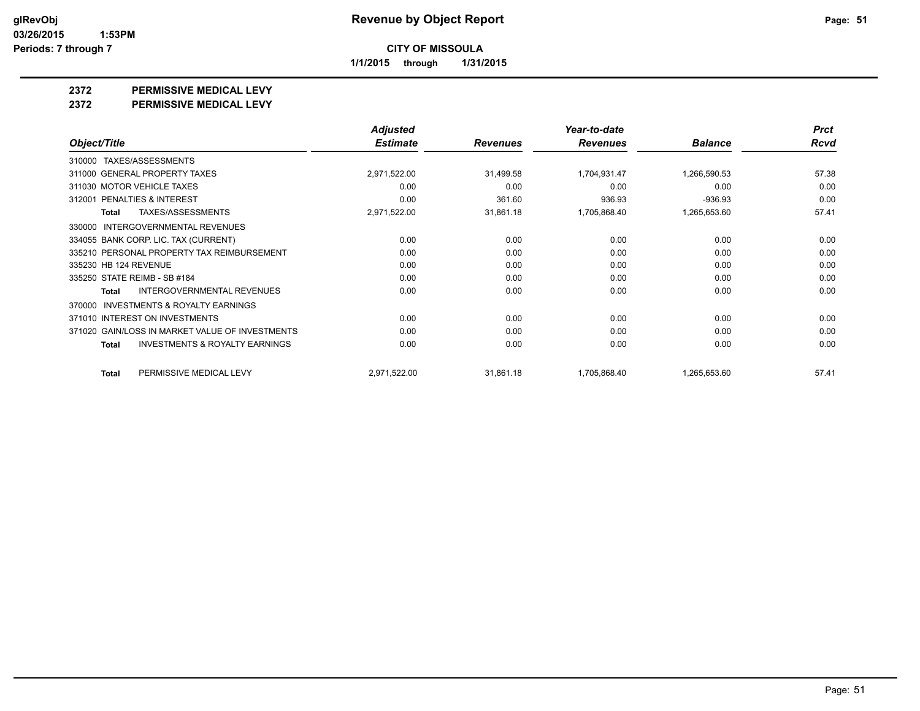**1/1/2015 through 1/31/2015**

**2372 PERMISSIVE MEDICAL LEVY**

**2372 PERMISSIVE MEDICAL LEVY**

|                                                     | <b>Adjusted</b> |                 | Year-to-date    |                | <b>Prct</b> |
|-----------------------------------------------------|-----------------|-----------------|-----------------|----------------|-------------|
| Object/Title                                        | <b>Estimate</b> | <b>Revenues</b> | <b>Revenues</b> | <b>Balance</b> | Rcvd        |
| 310000 TAXES/ASSESSMENTS                            |                 |                 |                 |                |             |
| 311000 GENERAL PROPERTY TAXES                       | 2,971,522.00    | 31,499.58       | 1,704,931.47    | 1,266,590.53   | 57.38       |
| 311030 MOTOR VEHICLE TAXES                          | 0.00            | 0.00            | 0.00            | 0.00           | 0.00        |
| 312001 PENALTIES & INTEREST                         | 0.00            | 361.60          | 936.93          | $-936.93$      | 0.00        |
| TAXES/ASSESSMENTS<br><b>Total</b>                   | 2,971,522.00    | 31,861.18       | 1,705,868.40    | 1,265,653.60   | 57.41       |
| INTERGOVERNMENTAL REVENUES<br>330000                |                 |                 |                 |                |             |
| 334055 BANK CORP. LIC. TAX (CURRENT)                | 0.00            | 0.00            | 0.00            | 0.00           | 0.00        |
| 335210 PERSONAL PROPERTY TAX REIMBURSEMENT          | 0.00            | 0.00            | 0.00            | 0.00           | 0.00        |
| 335230 HB 124 REVENUE                               | 0.00            | 0.00            | 0.00            | 0.00           | 0.00        |
| 335250 STATE REIMB - SB #184                        | 0.00            | 0.00            | 0.00            | 0.00           | 0.00        |
| <b>INTERGOVERNMENTAL REVENUES</b><br>Total          | 0.00            | 0.00            | 0.00            | 0.00           | 0.00        |
| <b>INVESTMENTS &amp; ROYALTY EARNINGS</b><br>370000 |                 |                 |                 |                |             |
| 371010 INTEREST ON INVESTMENTS                      | 0.00            | 0.00            | 0.00            | 0.00           | 0.00        |
| 371020 GAIN/LOSS IN MARKET VALUE OF INVESTMENTS     | 0.00            | 0.00            | 0.00            | 0.00           | 0.00        |
| <b>INVESTMENTS &amp; ROYALTY EARNINGS</b><br>Total  | 0.00            | 0.00            | 0.00            | 0.00           | 0.00        |
| PERMISSIVE MEDICAL LEVY<br><b>Total</b>             | 2,971,522.00    | 31,861.18       | 1,705,868.40    | 1,265,653.60   | 57.41       |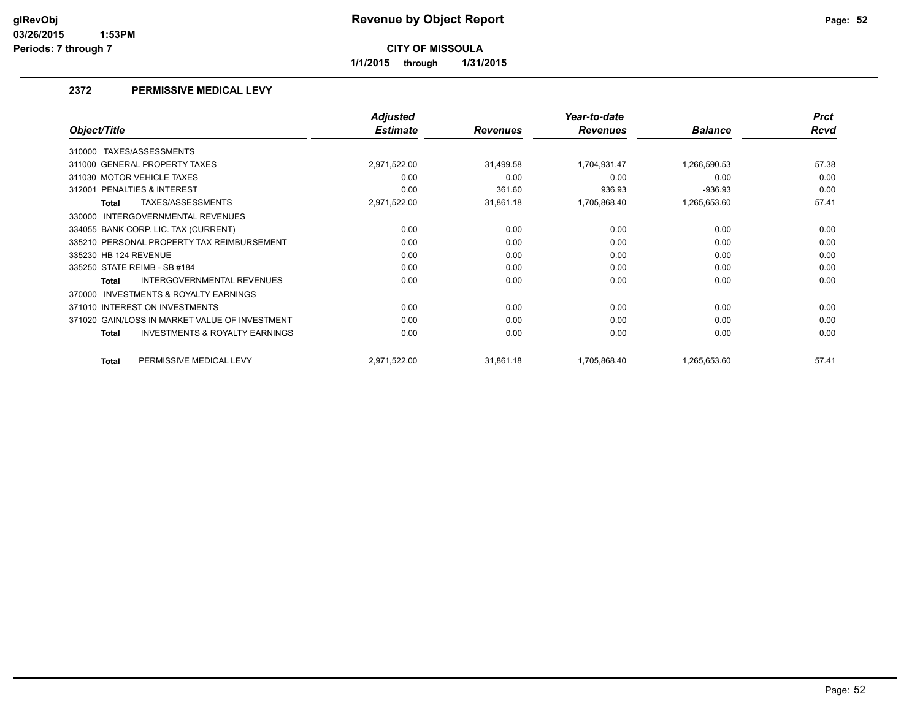**1/1/2015 through 1/31/2015**

# **2372 PERMISSIVE MEDICAL LEVY**

|                                                           | <b>Adjusted</b> |                 | Year-to-date    |                | <b>Prct</b> |
|-----------------------------------------------------------|-----------------|-----------------|-----------------|----------------|-------------|
| Object/Title                                              | <b>Estimate</b> | <b>Revenues</b> | <b>Revenues</b> | <b>Balance</b> | <b>Rcvd</b> |
| TAXES/ASSESSMENTS<br>310000                               |                 |                 |                 |                |             |
| 311000 GENERAL PROPERTY TAXES                             | 2,971,522.00    | 31,499.58       | 1,704,931.47    | 1,266,590.53   | 57.38       |
| 311030 MOTOR VEHICLE TAXES                                | 0.00            | 0.00            | 0.00            | 0.00           | 0.00        |
| 312001 PENALTIES & INTEREST                               | 0.00            | 361.60          | 936.93          | $-936.93$      | 0.00        |
| TAXES/ASSESSMENTS<br><b>Total</b>                         | 2,971,522.00    | 31,861.18       | 1,705,868.40    | 1,265,653.60   | 57.41       |
| INTERGOVERNMENTAL REVENUES<br>330000                      |                 |                 |                 |                |             |
| 334055 BANK CORP. LIC. TAX (CURRENT)                      | 0.00            | 0.00            | 0.00            | 0.00           | 0.00        |
| 335210 PERSONAL PROPERTY TAX REIMBURSEMENT                | 0.00            | 0.00            | 0.00            | 0.00           | 0.00        |
| 335230 HB 124 REVENUE                                     | 0.00            | 0.00            | 0.00            | 0.00           | 0.00        |
| 335250 STATE REIMB - SB #184                              | 0.00            | 0.00            | 0.00            | 0.00           | 0.00        |
| INTERGOVERNMENTAL REVENUES<br>Total                       | 0.00            | 0.00            | 0.00            | 0.00           | 0.00        |
| <b>INVESTMENTS &amp; ROYALTY EARNINGS</b><br>370000       |                 |                 |                 |                |             |
| 371010 INTEREST ON INVESTMENTS                            | 0.00            | 0.00            | 0.00            | 0.00           | 0.00        |
| 371020 GAIN/LOSS IN MARKET VALUE OF INVESTMENT            | 0.00            | 0.00            | 0.00            | 0.00           | 0.00        |
| <b>INVESTMENTS &amp; ROYALTY EARNINGS</b><br><b>Total</b> | 0.00            | 0.00            | 0.00            | 0.00           | 0.00        |
| PERMISSIVE MEDICAL LEVY<br><b>Total</b>                   | 2,971,522.00    | 31,861.18       | 1,705,868.40    | 1,265,653.60   | 57.41       |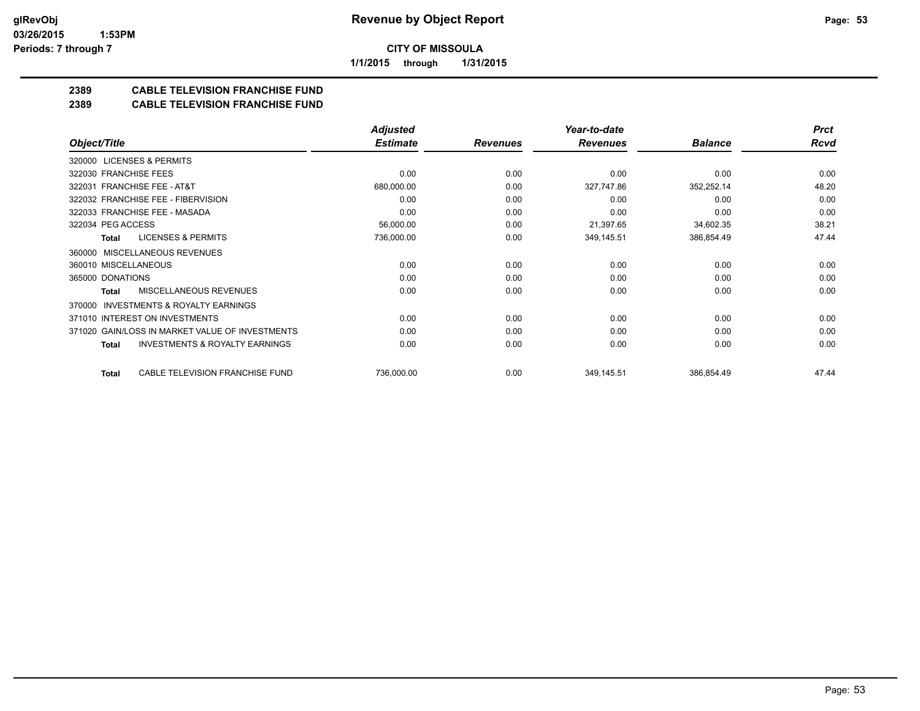**1/1/2015 through 1/31/2015**

# **2389 CABLE TELEVISION FRANCHISE FUND**

#### **2389 CABLE TELEVISION FRANCHISE FUND**

|                                                           | <b>Adjusted</b> |                 | Year-to-date    |                | <b>Prct</b> |
|-----------------------------------------------------------|-----------------|-----------------|-----------------|----------------|-------------|
| Object/Title                                              | <b>Estimate</b> | <b>Revenues</b> | <b>Revenues</b> | <b>Balance</b> | Rcvd        |
| 320000 LICENSES & PERMITS                                 |                 |                 |                 |                |             |
| 322030 FRANCHISE FEES                                     | 0.00            | 0.00            | 0.00            | 0.00           | 0.00        |
| 322031 FRANCHISE FEE - AT&T                               | 680,000.00      | 0.00            | 327,747.86      | 352,252.14     | 48.20       |
| 322032 FRANCHISE FEE - FIBERVISION                        | 0.00            | 0.00            | 0.00            | 0.00           | 0.00        |
| 322033 FRANCHISE FEE - MASADA                             | 0.00            | 0.00            | 0.00            | 0.00           | 0.00        |
| 322034 PEG ACCESS                                         | 56,000.00       | 0.00            | 21,397.65       | 34,602.35      | 38.21       |
| LICENSES & PERMITS<br>Total                               | 736,000.00      | 0.00            | 349,145.51      | 386,854.49     | 47.44       |
| MISCELLANEOUS REVENUES<br>360000                          |                 |                 |                 |                |             |
| 360010 MISCELLANEOUS                                      | 0.00            | 0.00            | 0.00            | 0.00           | 0.00        |
| 365000 DONATIONS                                          | 0.00            | 0.00            | 0.00            | 0.00           | 0.00        |
| MISCELLANEOUS REVENUES<br><b>Total</b>                    | 0.00            | 0.00            | 0.00            | 0.00           | 0.00        |
| <b>INVESTMENTS &amp; ROYALTY EARNINGS</b><br>370000       |                 |                 |                 |                |             |
| 371010 INTEREST ON INVESTMENTS                            | 0.00            | 0.00            | 0.00            | 0.00           | 0.00        |
| 371020 GAIN/LOSS IN MARKET VALUE OF INVESTMENTS           | 0.00            | 0.00            | 0.00            | 0.00           | 0.00        |
| <b>INVESTMENTS &amp; ROYALTY EARNINGS</b><br><b>Total</b> | 0.00            | 0.00            | 0.00            | 0.00           | 0.00        |
| CABLE TELEVISION FRANCHISE FUND<br><b>Total</b>           | 736,000.00      | 0.00            | 349,145.51      | 386,854.49     | 47.44       |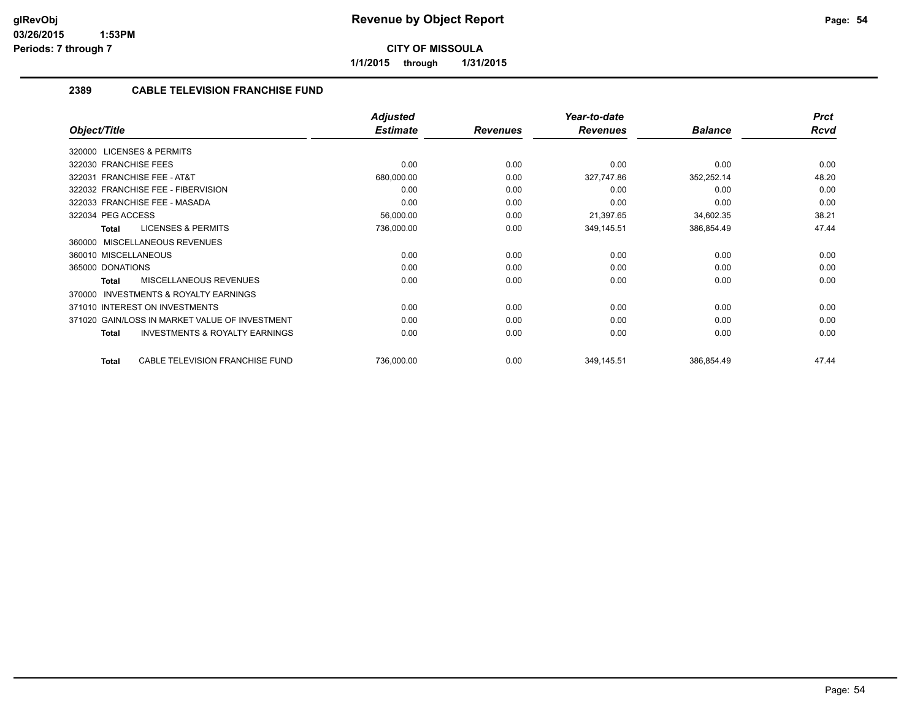**1/1/2015 through 1/31/2015**

# **2389 CABLE TELEVISION FRANCHISE FUND**

|                                                           | <b>Adjusted</b> |                 | Year-to-date    |                | <b>Prct</b> |
|-----------------------------------------------------------|-----------------|-----------------|-----------------|----------------|-------------|
| Object/Title                                              | <b>Estimate</b> | <b>Revenues</b> | <b>Revenues</b> | <b>Balance</b> | <b>Rcvd</b> |
| <b>LICENSES &amp; PERMITS</b><br>320000                   |                 |                 |                 |                |             |
| 322030 FRANCHISE FEES                                     | 0.00            | 0.00            | 0.00            | 0.00           | 0.00        |
| 322031 FRANCHISE FEE - AT&T                               | 680,000.00      | 0.00            | 327,747.86      | 352,252.14     | 48.20       |
| 322032 FRANCHISE FEE - FIBERVISION                        | 0.00            | 0.00            | 0.00            | 0.00           | 0.00        |
| 322033 FRANCHISE FEE - MASADA                             | 0.00            | 0.00            | 0.00            | 0.00           | 0.00        |
| 322034 PEG ACCESS                                         | 56,000.00       | 0.00            | 21,397.65       | 34,602.35      | 38.21       |
| <b>LICENSES &amp; PERMITS</b><br><b>Total</b>             | 736,000.00      | 0.00            | 349,145.51      | 386,854.49     | 47.44       |
| MISCELLANEOUS REVENUES<br>360000                          |                 |                 |                 |                |             |
| 360010 MISCELLANEOUS                                      | 0.00            | 0.00            | 0.00            | 0.00           | 0.00        |
| 365000 DONATIONS                                          | 0.00            | 0.00            | 0.00            | 0.00           | 0.00        |
| <b>MISCELLANEOUS REVENUES</b><br>Total                    | 0.00            | 0.00            | 0.00            | 0.00           | 0.00        |
| <b>INVESTMENTS &amp; ROYALTY EARNINGS</b><br>370000       |                 |                 |                 |                |             |
| 371010 INTEREST ON INVESTMENTS                            | 0.00            | 0.00            | 0.00            | 0.00           | 0.00        |
| 371020 GAIN/LOSS IN MARKET VALUE OF INVESTMENT            | 0.00            | 0.00            | 0.00            | 0.00           | 0.00        |
| <b>INVESTMENTS &amp; ROYALTY EARNINGS</b><br><b>Total</b> | 0.00            | 0.00            | 0.00            | 0.00           | 0.00        |
| CABLE TELEVISION FRANCHISE FUND<br><b>Total</b>           | 736,000.00      | 0.00            | 349,145.51      | 386,854.49     | 47.44       |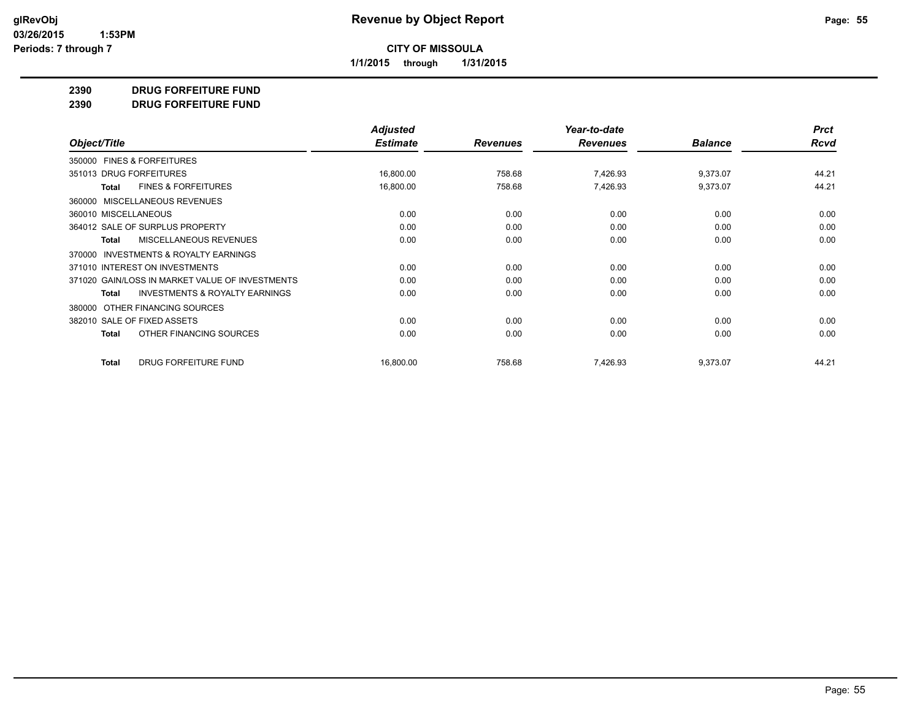**1/1/2015 through 1/31/2015**

#### **2390 DRUG FORFEITURE FUND**

**2390 DRUG FORFEITURE FUND**

|                                                           | <b>Adjusted</b> |                 | Year-to-date    |                | <b>Prct</b> |
|-----------------------------------------------------------|-----------------|-----------------|-----------------|----------------|-------------|
| Object/Title                                              | <b>Estimate</b> | <b>Revenues</b> | <b>Revenues</b> | <b>Balance</b> | <b>Rcvd</b> |
| 350000 FINES & FORFEITURES                                |                 |                 |                 |                |             |
| 351013 DRUG FORFEITURES                                   | 16,800.00       | 758.68          | 7,426.93        | 9,373.07       | 44.21       |
| <b>FINES &amp; FORFEITURES</b><br><b>Total</b>            | 16,800.00       | 758.68          | 7,426.93        | 9,373.07       | 44.21       |
| 360000 MISCELLANEOUS REVENUES                             |                 |                 |                 |                |             |
| 360010 MISCELLANEOUS                                      | 0.00            | 0.00            | 0.00            | 0.00           | 0.00        |
| 364012 SALE OF SURPLUS PROPERTY                           | 0.00            | 0.00            | 0.00            | 0.00           | 0.00        |
| <b>MISCELLANEOUS REVENUES</b><br><b>Total</b>             | 0.00            | 0.00            | 0.00            | 0.00           | 0.00        |
| 370000 INVESTMENTS & ROYALTY EARNINGS                     |                 |                 |                 |                |             |
| 371010 INTEREST ON INVESTMENTS                            | 0.00            | 0.00            | 0.00            | 0.00           | 0.00        |
| 371020 GAIN/LOSS IN MARKET VALUE OF INVESTMENTS           | 0.00            | 0.00            | 0.00            | 0.00           | 0.00        |
| <b>INVESTMENTS &amp; ROYALTY EARNINGS</b><br><b>Total</b> | 0.00            | 0.00            | 0.00            | 0.00           | 0.00        |
| OTHER FINANCING SOURCES<br>380000                         |                 |                 |                 |                |             |
| 382010 SALE OF FIXED ASSETS                               | 0.00            | 0.00            | 0.00            | 0.00           | 0.00        |
| OTHER FINANCING SOURCES<br><b>Total</b>                   | 0.00            | 0.00            | 0.00            | 0.00           | 0.00        |
| DRUG FORFEITURE FUND<br><b>Total</b>                      | 16,800.00       | 758.68          | 7,426.93        | 9,373.07       | 44.21       |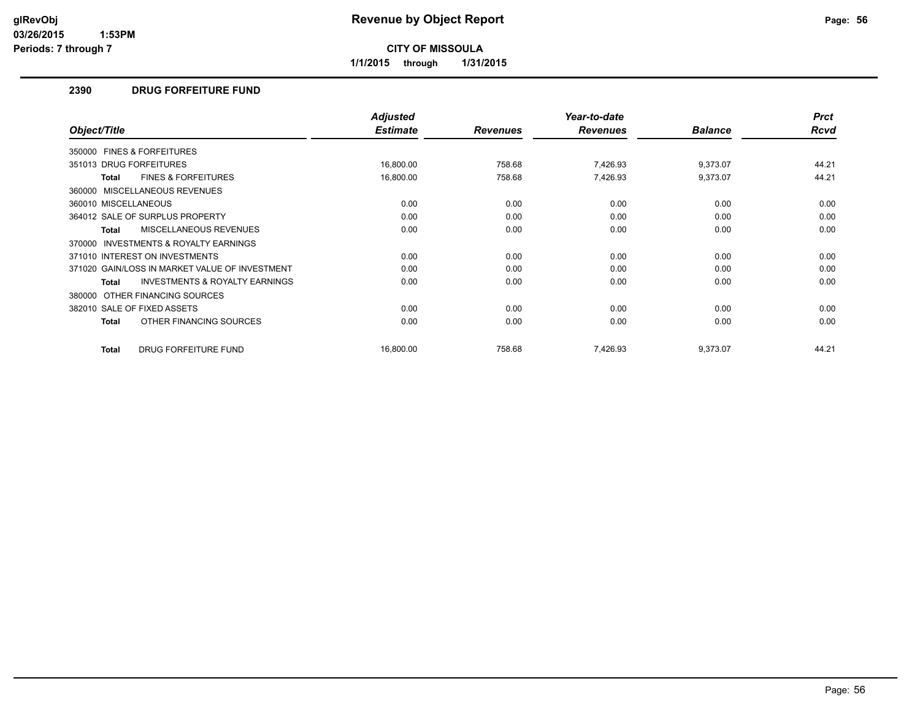**1/1/2015 through 1/31/2015**

### **2390 DRUG FORFEITURE FUND**

|                                                           | <b>Adjusted</b> |                 | Year-to-date    |                | <b>Prct</b> |
|-----------------------------------------------------------|-----------------|-----------------|-----------------|----------------|-------------|
| Object/Title                                              | <b>Estimate</b> | <b>Revenues</b> | <b>Revenues</b> | <b>Balance</b> | Rcvd        |
| 350000 FINES & FORFEITURES                                |                 |                 |                 |                |             |
| 351013 DRUG FORFEITURES                                   | 16,800.00       | 758.68          | 7,426.93        | 9,373.07       | 44.21       |
| <b>FINES &amp; FORFEITURES</b><br><b>Total</b>            | 16,800.00       | 758.68          | 7,426.93        | 9,373.07       | 44.21       |
| 360000 MISCELLANEOUS REVENUES                             |                 |                 |                 |                |             |
| 360010 MISCELLANEOUS                                      | 0.00            | 0.00            | 0.00            | 0.00           | 0.00        |
| 364012 SALE OF SURPLUS PROPERTY                           | 0.00            | 0.00            | 0.00            | 0.00           | 0.00        |
| <b>MISCELLANEOUS REVENUES</b><br><b>Total</b>             | 0.00            | 0.00            | 0.00            | 0.00           | 0.00        |
| <b>INVESTMENTS &amp; ROYALTY EARNINGS</b><br>370000       |                 |                 |                 |                |             |
| 371010 INTEREST ON INVESTMENTS                            | 0.00            | 0.00            | 0.00            | 0.00           | 0.00        |
| 371020 GAIN/LOSS IN MARKET VALUE OF INVESTMENT            | 0.00            | 0.00            | 0.00            | 0.00           | 0.00        |
| <b>INVESTMENTS &amp; ROYALTY EARNINGS</b><br><b>Total</b> | 0.00            | 0.00            | 0.00            | 0.00           | 0.00        |
| OTHER FINANCING SOURCES<br>380000                         |                 |                 |                 |                |             |
| 382010 SALE OF FIXED ASSETS                               | 0.00            | 0.00            | 0.00            | 0.00           | 0.00        |
| OTHER FINANCING SOURCES<br><b>Total</b>                   | 0.00            | 0.00            | 0.00            | 0.00           | 0.00        |
| DRUG FORFEITURE FUND<br><b>Total</b>                      | 16,800.00       | 758.68          | 7.426.93        | 9,373.07       | 44.21       |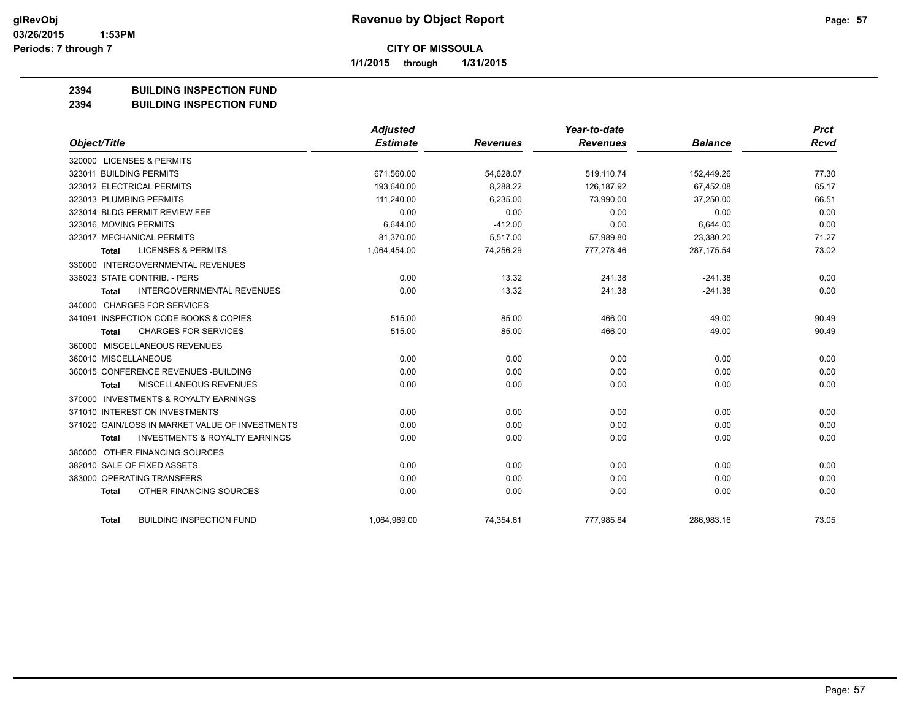**1/1/2015 through 1/31/2015**

#### **2394 BUILDING INSPECTION FUND**

#### **2394 BUILDING INSPECTION FUND**

|                                                           | <b>Adjusted</b> |                 | Year-to-date    |                | <b>Prct</b> |
|-----------------------------------------------------------|-----------------|-----------------|-----------------|----------------|-------------|
| Object/Title                                              | <b>Estimate</b> | <b>Revenues</b> | <b>Revenues</b> | <b>Balance</b> | Rcvd        |
| 320000 LICENSES & PERMITS                                 |                 |                 |                 |                |             |
| 323011 BUILDING PERMITS                                   | 671,560.00      | 54,628.07       | 519,110.74      | 152,449.26     | 77.30       |
| 323012 ELECTRICAL PERMITS                                 | 193,640.00      | 8,288.22        | 126,187.92      | 67,452.08      | 65.17       |
| 323013 PLUMBING PERMITS                                   | 111,240.00      | 6,235.00        | 73,990.00       | 37,250.00      | 66.51       |
| 323014 BLDG PERMIT REVIEW FEE                             | 0.00            | 0.00            | 0.00            | 0.00           | 0.00        |
| 323016 MOVING PERMITS                                     | 6,644.00        | $-412.00$       | 0.00            | 6,644.00       | 0.00        |
| 323017 MECHANICAL PERMITS                                 | 81,370.00       | 5,517.00        | 57,989.80       | 23,380.20      | 71.27       |
| <b>LICENSES &amp; PERMITS</b><br>Total                    | 1,064,454.00    | 74,256.29       | 777,278.46      | 287, 175.54    | 73.02       |
| 330000 INTERGOVERNMENTAL REVENUES                         |                 |                 |                 |                |             |
| 336023 STATE CONTRIB. - PERS                              | 0.00            | 13.32           | 241.38          | $-241.38$      | 0.00        |
| <b>INTERGOVERNMENTAL REVENUES</b><br><b>Total</b>         | 0.00            | 13.32           | 241.38          | $-241.38$      | 0.00        |
| 340000 CHARGES FOR SERVICES                               |                 |                 |                 |                |             |
| 341091 INSPECTION CODE BOOKS & COPIES                     | 515.00          | 85.00           | 466.00          | 49.00          | 90.49       |
| <b>CHARGES FOR SERVICES</b><br>Total                      | 515.00          | 85.00           | 466.00          | 49.00          | 90.49       |
| 360000 MISCELLANEOUS REVENUES                             |                 |                 |                 |                |             |
| 360010 MISCELLANEOUS                                      | 0.00            | 0.00            | 0.00            | 0.00           | 0.00        |
| 360015 CONFERENCE REVENUES - BUILDING                     | 0.00            | 0.00            | 0.00            | 0.00           | 0.00        |
| MISCELLANEOUS REVENUES<br><b>Total</b>                    | 0.00            | 0.00            | 0.00            | 0.00           | 0.00        |
| 370000 INVESTMENTS & ROYALTY EARNINGS                     |                 |                 |                 |                |             |
| 371010 INTEREST ON INVESTMENTS                            | 0.00            | 0.00            | 0.00            | 0.00           | 0.00        |
| 371020 GAIN/LOSS IN MARKET VALUE OF INVESTMENTS           | 0.00            | 0.00            | 0.00            | 0.00           | 0.00        |
| <b>INVESTMENTS &amp; ROYALTY EARNINGS</b><br><b>Total</b> | 0.00            | 0.00            | 0.00            | 0.00           | 0.00        |
| 380000 OTHER FINANCING SOURCES                            |                 |                 |                 |                |             |
| 382010 SALE OF FIXED ASSETS                               | 0.00            | 0.00            | 0.00            | 0.00           | 0.00        |
| 383000 OPERATING TRANSFERS                                | 0.00            | 0.00            | 0.00            | 0.00           | 0.00        |
| OTHER FINANCING SOURCES<br><b>Total</b>                   | 0.00            | 0.00            | 0.00            | 0.00           | 0.00        |
| <b>BUILDING INSPECTION FUND</b><br><b>Total</b>           | 1,064,969.00    | 74,354.61       | 777,985.84      | 286,983.16     | 73.05       |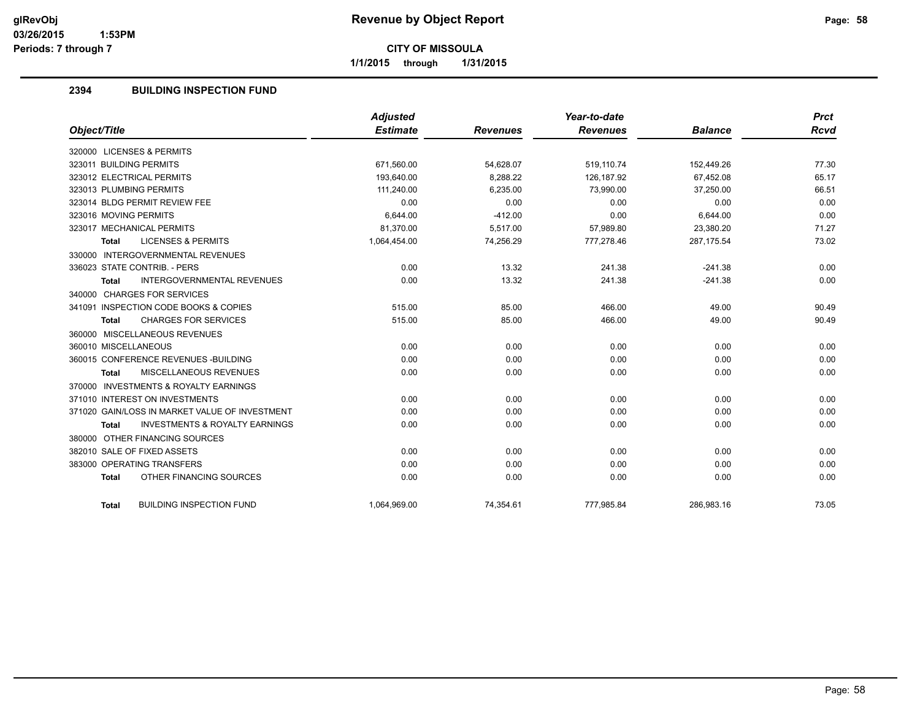**1/1/2015 through 1/31/2015**

# **2394 BUILDING INSPECTION FUND**

| Object/Title                                              | <b>Adjusted</b><br><b>Estimate</b> | <b>Revenues</b> | Year-to-date<br><b>Revenues</b> | <b>Balance</b> | <b>Prct</b><br><b>Rcvd</b> |
|-----------------------------------------------------------|------------------------------------|-----------------|---------------------------------|----------------|----------------------------|
|                                                           |                                    |                 |                                 |                |                            |
| 320000 LICENSES & PERMITS                                 |                                    |                 |                                 |                |                            |
| 323011 BUILDING PERMITS                                   | 671,560.00                         | 54,628.07       | 519,110.74                      | 152,449.26     | 77.30                      |
| 323012 ELECTRICAL PERMITS                                 | 193.640.00                         | 8.288.22        | 126.187.92                      | 67.452.08      | 65.17                      |
| 323013 PLUMBING PERMITS                                   | 111,240.00                         | 6,235.00        | 73,990.00                       | 37,250.00      | 66.51                      |
| 323014 BLDG PERMIT REVIEW FEE                             | 0.00                               | 0.00            | 0.00                            | 0.00           | 0.00                       |
| 323016 MOVING PERMITS                                     | 6,644.00                           | $-412.00$       | 0.00                            | 6.644.00       | 0.00                       |
| 323017 MECHANICAL PERMITS                                 | 81,370.00                          | 5,517.00        | 57,989.80                       | 23,380.20      | 71.27                      |
| <b>LICENSES &amp; PERMITS</b><br><b>Total</b>             | 1,064,454.00                       | 74,256.29       | 777,278.46                      | 287,175.54     | 73.02                      |
| 330000 INTERGOVERNMENTAL REVENUES                         |                                    |                 |                                 |                |                            |
| 336023 STATE CONTRIB. - PERS                              | 0.00                               | 13.32           | 241.38                          | $-241.38$      | 0.00                       |
| <b>INTERGOVERNMENTAL REVENUES</b><br><b>Total</b>         | 0.00                               | 13.32           | 241.38                          | $-241.38$      | 0.00                       |
| 340000 CHARGES FOR SERVICES                               |                                    |                 |                                 |                |                            |
| 341091 INSPECTION CODE BOOKS & COPIES                     | 515.00                             | 85.00           | 466.00                          | 49.00          | 90.49                      |
| <b>CHARGES FOR SERVICES</b><br><b>Total</b>               | 515.00                             | 85.00           | 466.00                          | 49.00          | 90.49                      |
| 360000 MISCELLANEOUS REVENUES                             |                                    |                 |                                 |                |                            |
| 360010 MISCELLANEOUS                                      | 0.00                               | 0.00            | 0.00                            | 0.00           | 0.00                       |
| 360015 CONFERENCE REVENUES - BUILDING                     | 0.00                               | 0.00            | 0.00                            | 0.00           | 0.00                       |
| MISCELLANEOUS REVENUES<br><b>Total</b>                    | 0.00                               | 0.00            | 0.00                            | 0.00           | 0.00                       |
| 370000 INVESTMENTS & ROYALTY EARNINGS                     |                                    |                 |                                 |                |                            |
| 371010 INTEREST ON INVESTMENTS                            | 0.00                               | 0.00            | 0.00                            | 0.00           | 0.00                       |
| 371020 GAIN/LOSS IN MARKET VALUE OF INVESTMENT            | 0.00                               | 0.00            | 0.00                            | 0.00           | 0.00                       |
| <b>INVESTMENTS &amp; ROYALTY EARNINGS</b><br><b>Total</b> | 0.00                               | 0.00            | 0.00                            | 0.00           | 0.00                       |
| 380000 OTHER FINANCING SOURCES                            |                                    |                 |                                 |                |                            |
| 382010 SALE OF FIXED ASSETS                               | 0.00                               | 0.00            | 0.00                            | 0.00           | 0.00                       |
| 383000 OPERATING TRANSFERS                                | 0.00                               | 0.00            | 0.00                            | 0.00           | 0.00                       |
| OTHER FINANCING SOURCES<br><b>Total</b>                   | 0.00                               | 0.00            | 0.00                            | 0.00           | 0.00                       |
| <b>BUILDING INSPECTION FUND</b><br><b>Total</b>           | 1,064,969.00                       | 74,354.61       | 777,985.84                      | 286,983.16     | 73.05                      |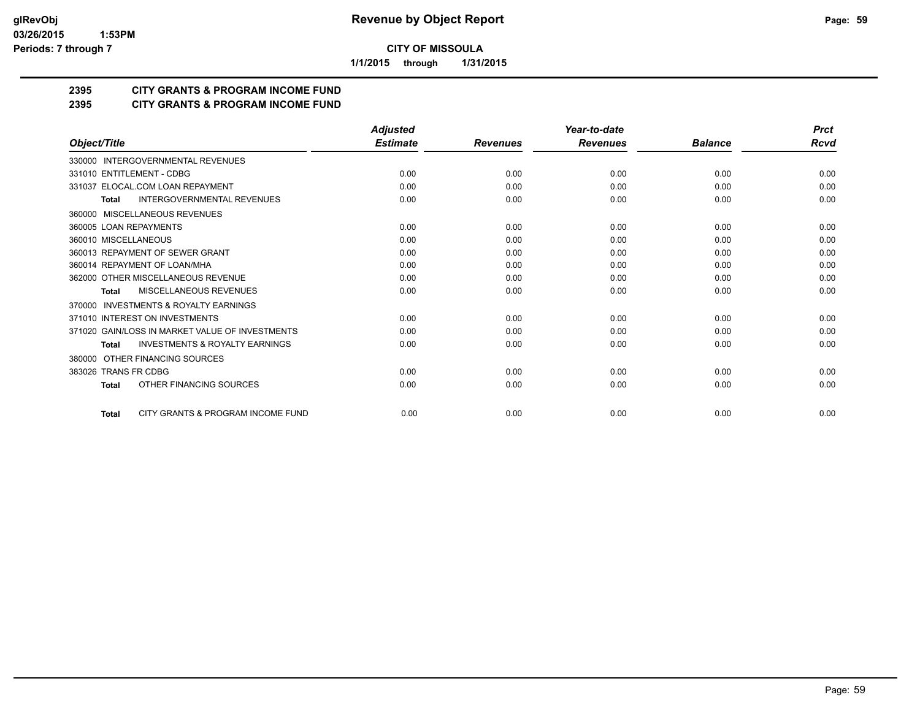**1/1/2015 through 1/31/2015**

# **2395 CITY GRANTS & PROGRAM INCOME FUND**

# **2395 CITY GRANTS & PROGRAM INCOME FUND**

|                                                           | <b>Adjusted</b> |                 | Year-to-date    |                | <b>Prct</b> |
|-----------------------------------------------------------|-----------------|-----------------|-----------------|----------------|-------------|
| Object/Title                                              | <b>Estimate</b> | <b>Revenues</b> | <b>Revenues</b> | <b>Balance</b> | <b>Rcvd</b> |
| 330000 INTERGOVERNMENTAL REVENUES                         |                 |                 |                 |                |             |
| 331010 ENTITLEMENT - CDBG                                 | 0.00            | 0.00            | 0.00            | 0.00           | 0.00        |
| 331037 ELOCAL.COM LOAN REPAYMENT                          | 0.00            | 0.00            | 0.00            | 0.00           | 0.00        |
| <b>INTERGOVERNMENTAL REVENUES</b><br>Total                | 0.00            | 0.00            | 0.00            | 0.00           | 0.00        |
| MISCELLANEOUS REVENUES<br>360000                          |                 |                 |                 |                |             |
| 360005 LOAN REPAYMENTS                                    | 0.00            | 0.00            | 0.00            | 0.00           | 0.00        |
| 360010 MISCELLANEOUS                                      | 0.00            | 0.00            | 0.00            | 0.00           | 0.00        |
| 360013 REPAYMENT OF SEWER GRANT                           | 0.00            | 0.00            | 0.00            | 0.00           | 0.00        |
| 360014 REPAYMENT OF LOAN/MHA                              | 0.00            | 0.00            | 0.00            | 0.00           | 0.00        |
| 362000 OTHER MISCELLANEOUS REVENUE                        | 0.00            | 0.00            | 0.00            | 0.00           | 0.00        |
| MISCELLANEOUS REVENUES<br><b>Total</b>                    | 0.00            | 0.00            | 0.00            | 0.00           | 0.00        |
| <b>INVESTMENTS &amp; ROYALTY EARNINGS</b><br>370000       |                 |                 |                 |                |             |
| 371010 INTEREST ON INVESTMENTS                            | 0.00            | 0.00            | 0.00            | 0.00           | 0.00        |
| 371020 GAIN/LOSS IN MARKET VALUE OF INVESTMENTS           | 0.00            | 0.00            | 0.00            | 0.00           | 0.00        |
| <b>INVESTMENTS &amp; ROYALTY EARNINGS</b><br><b>Total</b> | 0.00            | 0.00            | 0.00            | 0.00           | 0.00        |
| OTHER FINANCING SOURCES<br>380000                         |                 |                 |                 |                |             |
| 383026 TRANS FR CDBG                                      | 0.00            | 0.00            | 0.00            | 0.00           | 0.00        |
| OTHER FINANCING SOURCES<br><b>Total</b>                   | 0.00            | 0.00            | 0.00            | 0.00           | 0.00        |
| CITY GRANTS & PROGRAM INCOME FUND<br><b>Total</b>         | 0.00            | 0.00            | 0.00            | 0.00           | 0.00        |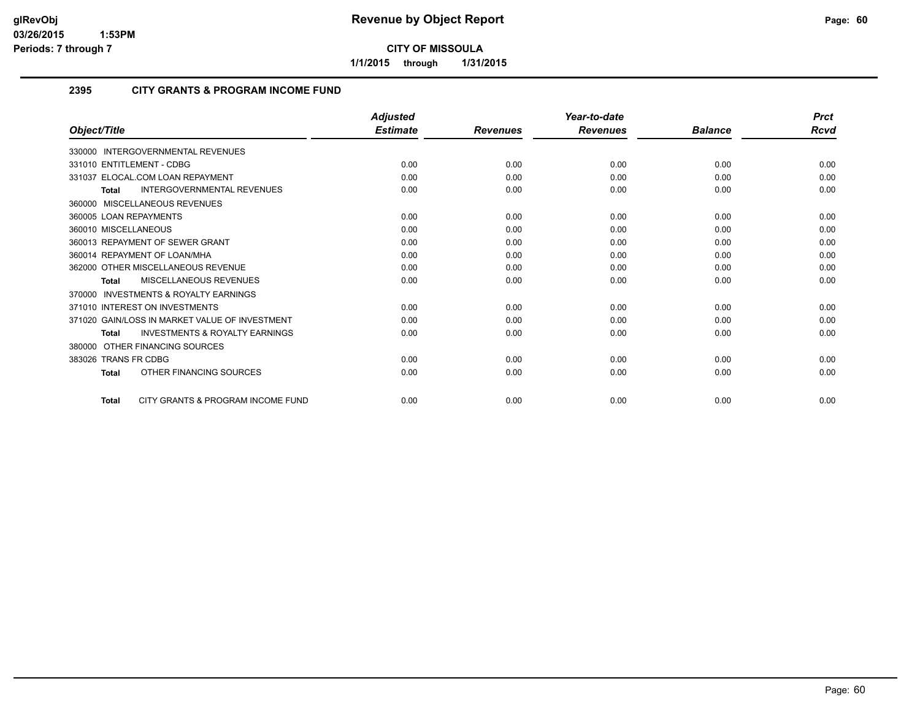**1/1/2015 through 1/31/2015**

# **2395 CITY GRANTS & PROGRAM INCOME FUND**

|                                                           | <b>Adjusted</b> |                 | Year-to-date    |                | <b>Prct</b> |
|-----------------------------------------------------------|-----------------|-----------------|-----------------|----------------|-------------|
| Object/Title                                              | <b>Estimate</b> | <b>Revenues</b> | <b>Revenues</b> | <b>Balance</b> | Rcvd        |
| 330000 INTERGOVERNMENTAL REVENUES                         |                 |                 |                 |                |             |
| 331010 ENTITLEMENT - CDBG                                 | 0.00            | 0.00            | 0.00            | 0.00           | 0.00        |
| 331037 ELOCAL.COM LOAN REPAYMENT                          | 0.00            | 0.00            | 0.00            | 0.00           | 0.00        |
| <b>INTERGOVERNMENTAL REVENUES</b><br><b>Total</b>         | 0.00            | 0.00            | 0.00            | 0.00           | 0.00        |
| 360000 MISCELLANEOUS REVENUES                             |                 |                 |                 |                |             |
| 360005 LOAN REPAYMENTS                                    | 0.00            | 0.00            | 0.00            | 0.00           | 0.00        |
| 360010 MISCELLANEOUS                                      | 0.00            | 0.00            | 0.00            | 0.00           | 0.00        |
| 360013 REPAYMENT OF SEWER GRANT                           | 0.00            | 0.00            | 0.00            | 0.00           | 0.00        |
| 360014 REPAYMENT OF LOAN/MHA                              | 0.00            | 0.00            | 0.00            | 0.00           | 0.00        |
| 362000 OTHER MISCELLANEOUS REVENUE                        | 0.00            | 0.00            | 0.00            | 0.00           | 0.00        |
| <b>MISCELLANEOUS REVENUES</b><br><b>Total</b>             | 0.00            | 0.00            | 0.00            | 0.00           | 0.00        |
| <b>INVESTMENTS &amp; ROYALTY EARNINGS</b><br>370000       |                 |                 |                 |                |             |
| 371010 INTEREST ON INVESTMENTS                            | 0.00            | 0.00            | 0.00            | 0.00           | 0.00        |
| 371020 GAIN/LOSS IN MARKET VALUE OF INVESTMENT            | 0.00            | 0.00            | 0.00            | 0.00           | 0.00        |
| <b>INVESTMENTS &amp; ROYALTY EARNINGS</b><br><b>Total</b> | 0.00            | 0.00            | 0.00            | 0.00           | 0.00        |
| OTHER FINANCING SOURCES<br>380000                         |                 |                 |                 |                |             |
| 383026 TRANS FR CDBG                                      | 0.00            | 0.00            | 0.00            | 0.00           | 0.00        |
| OTHER FINANCING SOURCES<br><b>Total</b>                   | 0.00            | 0.00            | 0.00            | 0.00           | 0.00        |
| CITY GRANTS & PROGRAM INCOME FUND<br><b>Total</b>         | 0.00            | 0.00            | 0.00            | 0.00           | 0.00        |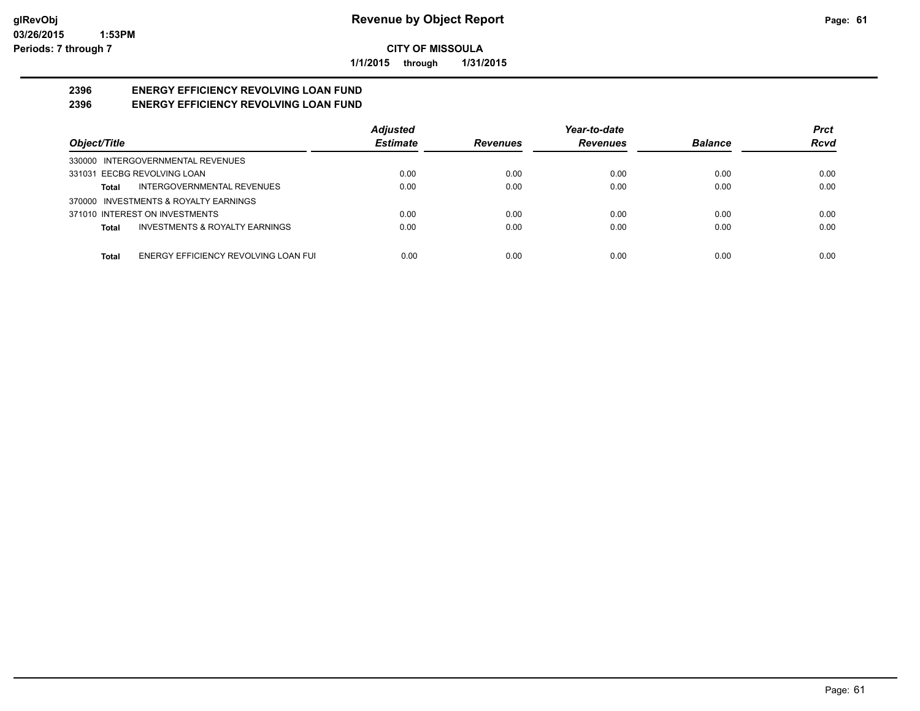**1/1/2015 through 1/31/2015**

#### **2396 ENERGY EFFICIENCY REVOLVING LOAN FUND 2396 ENERGY EFFICIENCY REVOLVING LOAN FUND**

|                                               | <b>Adjusted</b> |                 | Year-to-date    |                | <b>Prct</b> |
|-----------------------------------------------|-----------------|-----------------|-----------------|----------------|-------------|
| Object/Title                                  | <b>Estimate</b> | <b>Revenues</b> | <b>Revenues</b> | <b>Balance</b> | <b>Rcvd</b> |
| 330000 INTERGOVERNMENTAL REVENUES             |                 |                 |                 |                |             |
| 331031 EECBG REVOLVING LOAN                   | 0.00            | 0.00            | 0.00            | 0.00           | 0.00        |
| INTERGOVERNMENTAL REVENUES<br>Total           | 0.00            | 0.00            | 0.00            | 0.00           | 0.00        |
| 370000 INVESTMENTS & ROYALTY EARNINGS         |                 |                 |                 |                |             |
| 371010 INTEREST ON INVESTMENTS                | 0.00            | 0.00            | 0.00            | 0.00           | 0.00        |
| INVESTMENTS & ROYALTY EARNINGS<br>Total       | 0.00            | 0.00            | 0.00            | 0.00           | 0.00        |
|                                               |                 |                 |                 |                |             |
| ENERGY EFFICIENCY REVOLVING LOAN FUI<br>Total | 0.00            | 0.00            | 0.00            | 0.00           | 0.00        |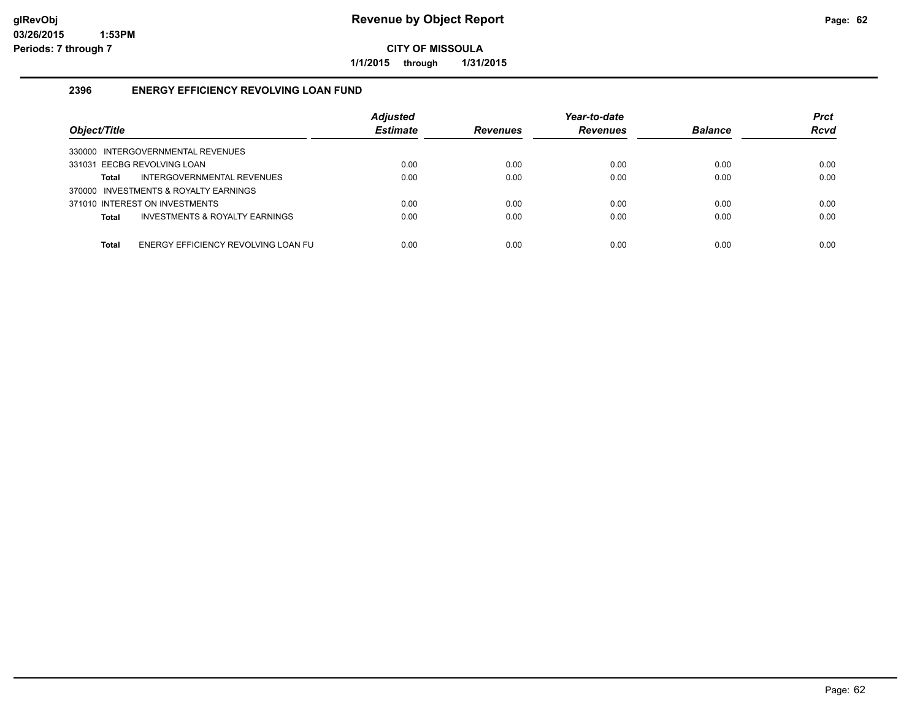**1/1/2015 through 1/31/2015**

# **2396 ENERGY EFFICIENCY REVOLVING LOAN FUND**

| Object/Title                                              | <b>Adjusted</b><br><b>Estimate</b> | <b>Revenues</b> | Year-to-date<br><b>Revenues</b> | <b>Balance</b> | <b>Prct</b><br><b>Rcvd</b> |
|-----------------------------------------------------------|------------------------------------|-----------------|---------------------------------|----------------|----------------------------|
| 330000 INTERGOVERNMENTAL REVENUES                         |                                    |                 |                                 |                |                            |
| 331031 EECBG REVOLVING LOAN                               | 0.00                               | 0.00            | 0.00                            | 0.00           | 0.00                       |
| INTERGOVERNMENTAL REVENUES<br>Total                       | 0.00                               | 0.00            | 0.00                            | 0.00           | 0.00                       |
| 370000 INVESTMENTS & ROYALTY EARNINGS                     |                                    |                 |                                 |                |                            |
| 371010 INTEREST ON INVESTMENTS                            | 0.00                               | 0.00            | 0.00                            | 0.00           | 0.00                       |
| <b>INVESTMENTS &amp; ROYALTY EARNINGS</b><br><b>Total</b> | 0.00                               | 0.00            | 0.00                            | 0.00           | 0.00                       |
|                                                           |                                    |                 |                                 |                |                            |
| ENERGY EFFICIENCY REVOLVING LOAN FU<br>Total              | 0.00                               | 0.00            | 0.00                            | 0.00           | 0.00                       |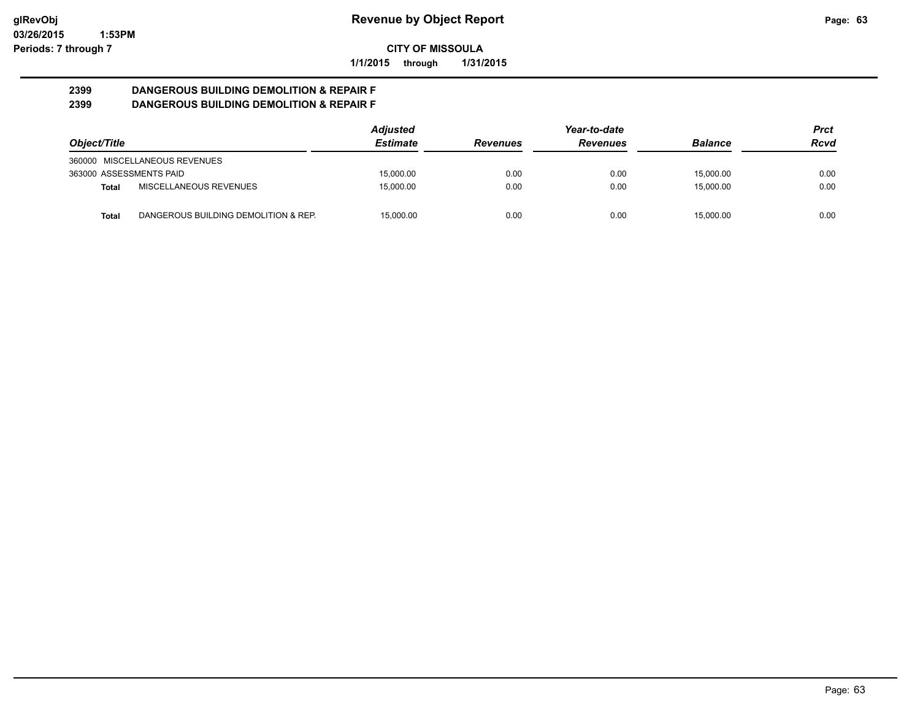**1/1/2015 through 1/31/2015**

#### **2399 DANGEROUS BUILDING DEMOLITION & REPAIR F 2399 DANGEROUS BUILDING DEMOLITION & REPAIR F**

|                         |                                      | <b>Adjusted</b> |                 | Year-to-date    |                | Prct |
|-------------------------|--------------------------------------|-----------------|-----------------|-----------------|----------------|------|
| Object/Title            |                                      | <b>Estimate</b> | <b>Revenues</b> | <b>Revenues</b> | <b>Balance</b> | Rcvd |
|                         | 360000 MISCELLANEOUS REVENUES        |                 |                 |                 |                |      |
| 363000 ASSESSMENTS PAID |                                      | 15.000.00       | 0.00            | 0.00            | 15.000.00      | 0.00 |
| Total                   | MISCELLANEOUS REVENUES               | 15.000.00       | 0.00            | 0.00            | 15.000.00      | 0.00 |
| Total                   | DANGEROUS BUILDING DEMOLITION & REP. | 15.000.00       | 0.00            | 0.00            | 15.000.00      | 0.00 |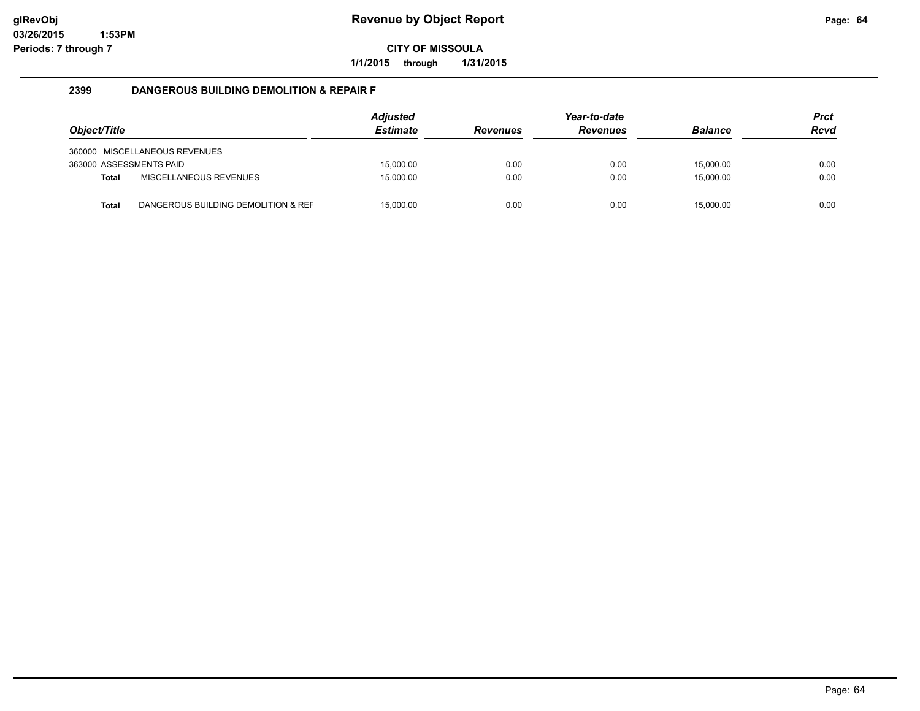**1/1/2015 through 1/31/2015**

### **2399 DANGEROUS BUILDING DEMOLITION & REPAIR F**

| Object/Title            |                                     | <b>Adjusted</b><br><b>Estimate</b> | <b>Revenues</b> | Year-to-date<br><b>Revenues</b> | <b>Balance</b> | <b>Prct</b><br><b>Rcvd</b> |
|-------------------------|-------------------------------------|------------------------------------|-----------------|---------------------------------|----------------|----------------------------|
|                         |                                     |                                    |                 |                                 |                |                            |
|                         | 360000 MISCELLANEOUS REVENUES       |                                    |                 |                                 |                |                            |
| 363000 ASSESSMENTS PAID |                                     | 15.000.00                          | 0.00            | 0.00                            | 15.000.00      | 0.00                       |
| <b>Total</b>            | MISCELLANEOUS REVENUES              | 15.000.00                          | 0.00            | 0.00                            | 15.000.00      | 0.00                       |
| <b>Total</b>            | DANGEROUS BUILDING DEMOLITION & REF | 15.000.00                          | 0.00            | 0.00                            | 15.000.00      | 0.00                       |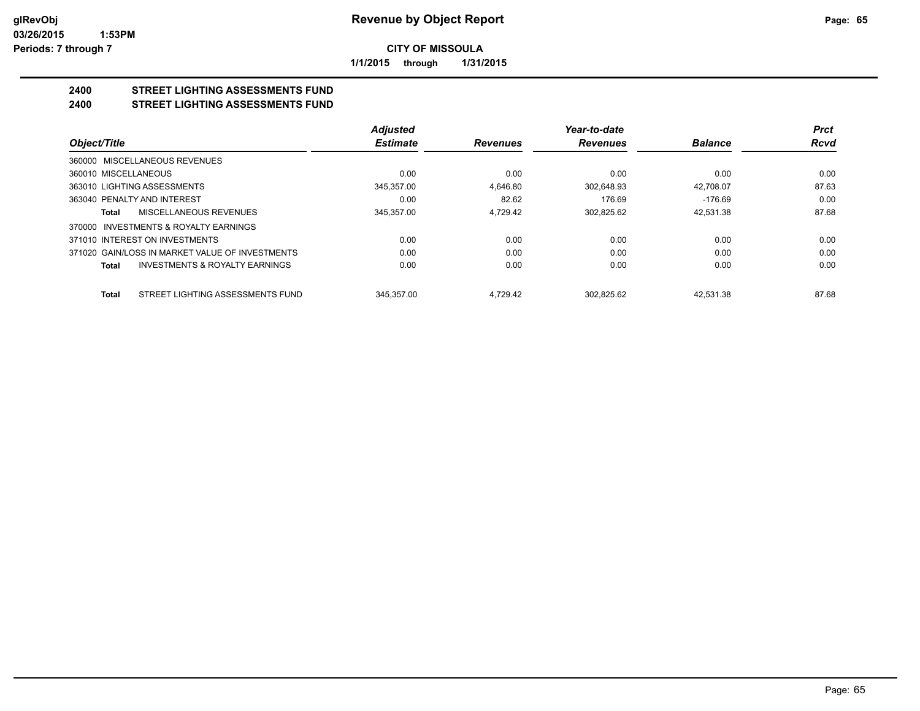**1/1/2015 through 1/31/2015**

#### **2400 STREET LIGHTING ASSESSMENTS FUND 2400 STREET LIGHTING ASSESSMENTS FUND**

|                                                    | <b>Adjusted</b> |                 | Year-to-date    |                | <b>Prct</b> |
|----------------------------------------------------|-----------------|-----------------|-----------------|----------------|-------------|
| Object/Title                                       | <b>Estimate</b> | <b>Revenues</b> | <b>Revenues</b> | <b>Balance</b> | <b>Rcvd</b> |
| 360000 MISCELLANEOUS REVENUES                      |                 |                 |                 |                |             |
| 360010 MISCELLANEOUS                               | 0.00            | 0.00            | 0.00            | 0.00           | 0.00        |
| 363010 LIGHTING ASSESSMENTS                        | 345.357.00      | 4.646.80        | 302.648.93      | 42.708.07      | 87.63       |
| 363040 PENALTY AND INTEREST                        | 0.00            | 82.62           | 176.69          | $-176.69$      | 0.00        |
| MISCELLANEOUS REVENUES<br>Total                    | 345.357.00      | 4.729.42        | 302.825.62      | 42.531.38      | 87.68       |
| INVESTMENTS & ROYALTY EARNINGS<br>370000           |                 |                 |                 |                |             |
| 371010 INTEREST ON INVESTMENTS                     | 0.00            | 0.00            | 0.00            | 0.00           | 0.00        |
| 371020 GAIN/LOSS IN MARKET VALUE OF INVESTMENTS    | 0.00            | 0.00            | 0.00            | 0.00           | 0.00        |
| <b>INVESTMENTS &amp; ROYALTY EARNINGS</b><br>Total | 0.00            | 0.00            | 0.00            | 0.00           | 0.00        |
| STREET LIGHTING ASSESSMENTS FUND<br>Total          | 345.357.00      | 4.729.42        | 302.825.62      | 42.531.38      | 87.68       |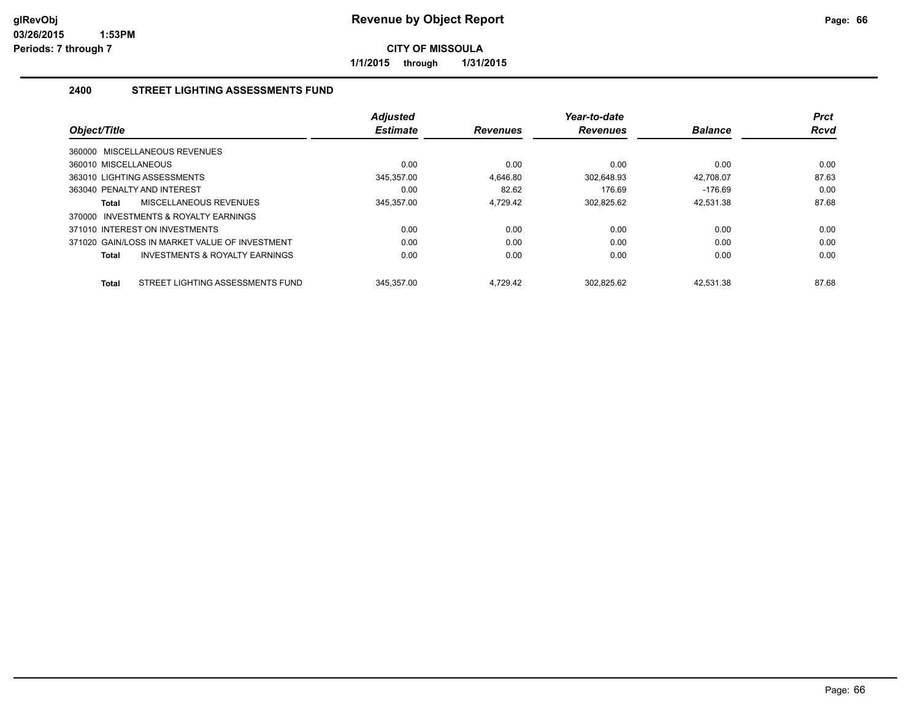**1/1/2015 through 1/31/2015**

# **2400 STREET LIGHTING ASSESSMENTS FUND**

| Object/Title                                   | <b>Adjusted</b><br><b>Estimate</b> | <b>Revenues</b> | Year-to-date<br><b>Revenues</b> | <b>Balance</b> | <b>Prct</b><br><b>Rcvd</b> |
|------------------------------------------------|------------------------------------|-----------------|---------------------------------|----------------|----------------------------|
| 360000 MISCELLANEOUS REVENUES                  |                                    |                 |                                 |                |                            |
| 360010 MISCELLANEOUS                           | 0.00                               | 0.00            | 0.00                            | 0.00           | 0.00                       |
| 363010 LIGHTING ASSESSMENTS                    | 345,357.00                         | 4.646.80        | 302.648.93                      | 42.708.07      | 87.63                      |
| 363040 PENALTY AND INTEREST                    | 0.00                               | 82.62           | 176.69                          | $-176.69$      | 0.00                       |
| MISCELLANEOUS REVENUES<br>Total                | 345,357.00                         | 4,729.42        | 302,825.62                      | 42,531.38      | 87.68                      |
| INVESTMENTS & ROYALTY EARNINGS<br>370000       |                                    |                 |                                 |                |                            |
| 371010 INTEREST ON INVESTMENTS                 | 0.00                               | 0.00            | 0.00                            | 0.00           | 0.00                       |
| 371020 GAIN/LOSS IN MARKET VALUE OF INVESTMENT | 0.00                               | 0.00            | 0.00                            | 0.00           | 0.00                       |
| INVESTMENTS & ROYALTY EARNINGS<br>Total        | 0.00                               | 0.00            | 0.00                            | 0.00           | 0.00                       |
| STREET LIGHTING ASSESSMENTS FUND<br>Total      | 345.357.00                         | 4.729.42        | 302.825.62                      | 42.531.38      | 87.68                      |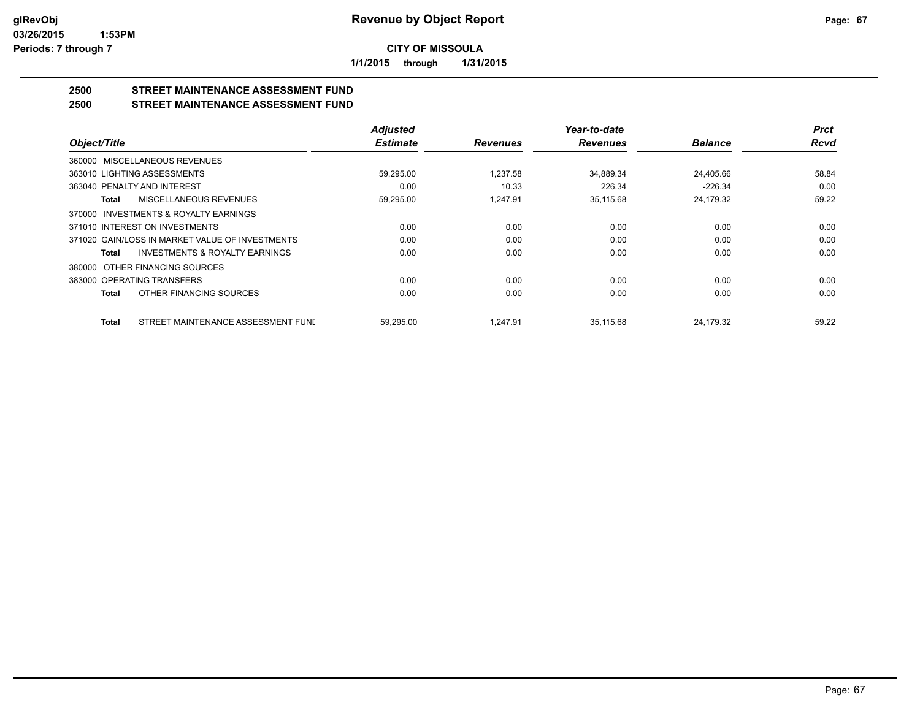**1/1/2015 through 1/31/2015**

# **2500 STREET MAINTENANCE ASSESSMENT FUND**

# **2500 STREET MAINTENANCE ASSESSMENT FUND**

|                                                    | <b>Adjusted</b> |                 | Year-to-date    |                | <b>Prct</b> |
|----------------------------------------------------|-----------------|-----------------|-----------------|----------------|-------------|
| Object/Title                                       | <b>Estimate</b> | <b>Revenues</b> | <b>Revenues</b> | <b>Balance</b> | <b>Rcvd</b> |
| 360000 MISCELLANEOUS REVENUES                      |                 |                 |                 |                |             |
| 363010 LIGHTING ASSESSMENTS                        | 59,295.00       | 1.237.58        | 34,889.34       | 24,405.66      | 58.84       |
| 363040 PENALTY AND INTEREST                        | 0.00            | 10.33           | 226.34          | $-226.34$      | 0.00        |
| <b>MISCELLANEOUS REVENUES</b><br>Total             | 59,295.00       | 1,247.91        | 35,115.68       | 24,179.32      | 59.22       |
| 370000 INVESTMENTS & ROYALTY EARNINGS              |                 |                 |                 |                |             |
| 371010 INTEREST ON INVESTMENTS                     | 0.00            | 0.00            | 0.00            | 0.00           | 0.00        |
| 371020 GAIN/LOSS IN MARKET VALUE OF INVESTMENTS    | 0.00            | 0.00            | 0.00            | 0.00           | 0.00        |
| <b>INVESTMENTS &amp; ROYALTY EARNINGS</b><br>Total | 0.00            | 0.00            | 0.00            | 0.00           | 0.00        |
| OTHER FINANCING SOURCES<br>380000                  |                 |                 |                 |                |             |
| 383000 OPERATING TRANSFERS                         | 0.00            | 0.00            | 0.00            | 0.00           | 0.00        |
| OTHER FINANCING SOURCES<br><b>Total</b>            | 0.00            | 0.00            | 0.00            | 0.00           | 0.00        |
| STREET MAINTENANCE ASSESSMENT FUNI<br><b>Total</b> | 59.295.00       | 1.247.91        | 35.115.68       | 24.179.32      | 59.22       |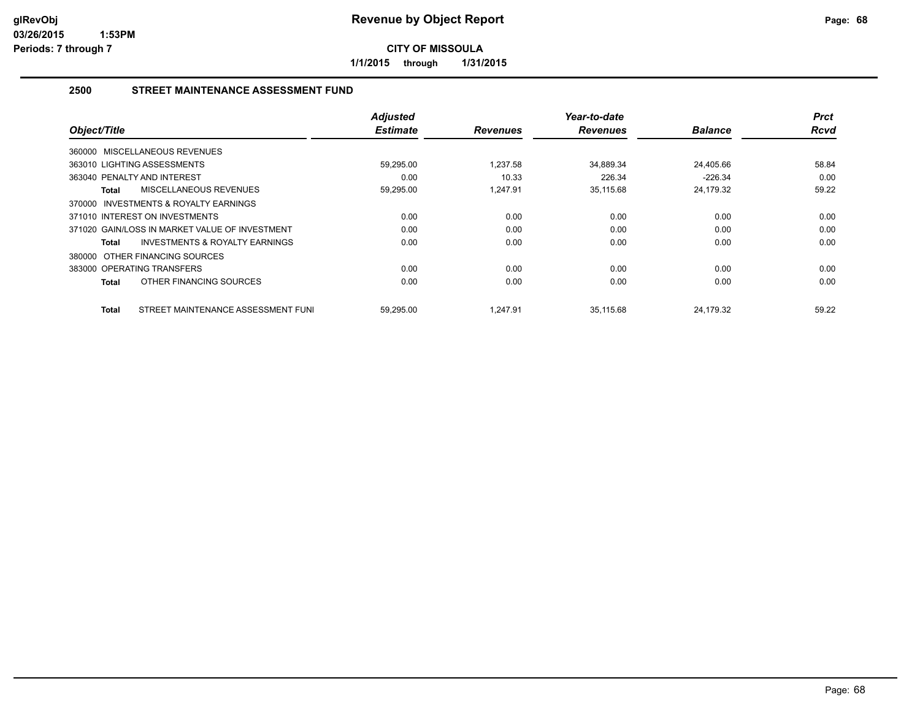**1/1/2015 through 1/31/2015**

# **2500 STREET MAINTENANCE ASSESSMENT FUND**

| Object/Title                                       | <b>Adjusted</b><br><b>Estimate</b> | <b>Revenues</b> | Year-to-date<br><b>Revenues</b> | <b>Balance</b> | <b>Prct</b><br><b>Rcvd</b> |
|----------------------------------------------------|------------------------------------|-----------------|---------------------------------|----------------|----------------------------|
| 360000 MISCELLANEOUS REVENUES                      |                                    |                 |                                 |                |                            |
| 363010 LIGHTING ASSESSMENTS                        | 59,295.00                          | 1.237.58        | 34,889.34                       | 24,405.66      | 58.84                      |
| 363040 PENALTY AND INTEREST                        | 0.00                               | 10.33           | 226.34                          | $-226.34$      | 0.00                       |
| MISCELLANEOUS REVENUES<br>Total                    | 59,295.00                          | 1.247.91        | 35,115.68                       | 24.179.32      | 59.22                      |
| 370000 INVESTMENTS & ROYALTY EARNINGS              |                                    |                 |                                 |                |                            |
| 371010 INTEREST ON INVESTMENTS                     | 0.00                               | 0.00            | 0.00                            | 0.00           | 0.00                       |
| 371020 GAIN/LOSS IN MARKET VALUE OF INVESTMENT     | 0.00                               | 0.00            | 0.00                            | 0.00           | 0.00                       |
| <b>INVESTMENTS &amp; ROYALTY EARNINGS</b><br>Total | 0.00                               | 0.00            | 0.00                            | 0.00           | 0.00                       |
| 380000 OTHER FINANCING SOURCES                     |                                    |                 |                                 |                |                            |
| 383000 OPERATING TRANSFERS                         | 0.00                               | 0.00            | 0.00                            | 0.00           | 0.00                       |
| OTHER FINANCING SOURCES<br>Total                   | 0.00                               | 0.00            | 0.00                            | 0.00           | 0.00                       |
| STREET MAINTENANCE ASSESSMENT FUNI<br>Total        | 59,295.00                          | 1,247.91        | 35,115.68                       | 24,179.32      | 59.22                      |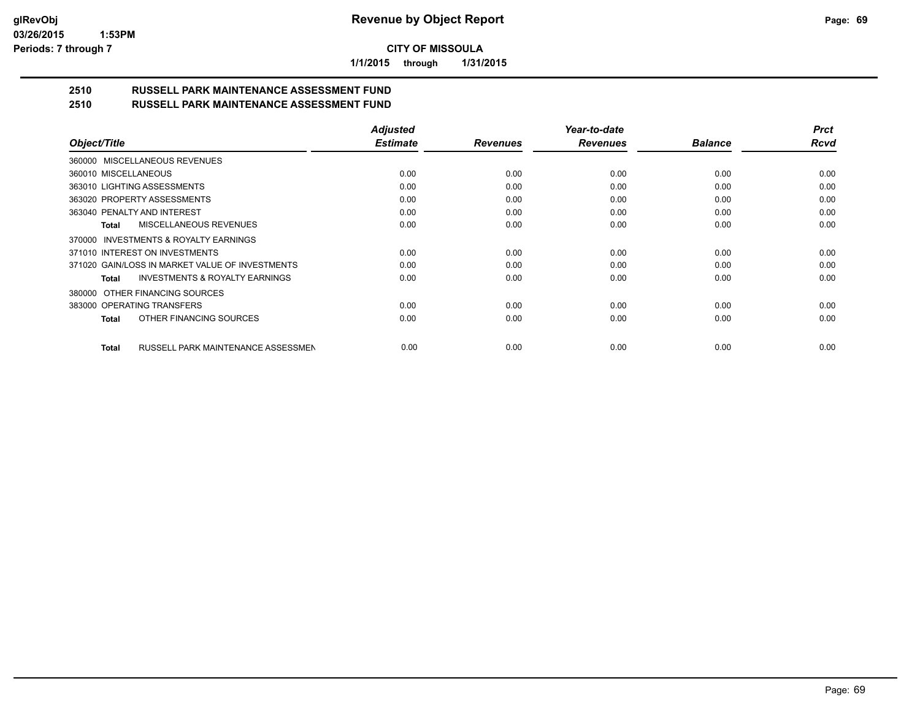**1/1/2015 through 1/31/2015**

# **2510 RUSSELL PARK MAINTENANCE ASSESSMENT FUND**

| 2510 | <b>RUSSELL PARK MAINTENANCE ASSESSMENT FUND</b> |  |
|------|-------------------------------------------------|--|
|      |                                                 |  |

|                                                    | <b>Adjusted</b> |                 | Year-to-date    |                | <b>Prct</b> |
|----------------------------------------------------|-----------------|-----------------|-----------------|----------------|-------------|
| Object/Title                                       | <b>Estimate</b> | <b>Revenues</b> | <b>Revenues</b> | <b>Balance</b> | <b>Rcvd</b> |
| 360000 MISCELLANEOUS REVENUES                      |                 |                 |                 |                |             |
| 360010 MISCELLANEOUS                               | 0.00            | 0.00            | 0.00            | 0.00           | 0.00        |
| 363010 LIGHTING ASSESSMENTS                        | 0.00            | 0.00            | 0.00            | 0.00           | 0.00        |
| 363020 PROPERTY ASSESSMENTS                        | 0.00            | 0.00            | 0.00            | 0.00           | 0.00        |
| 363040 PENALTY AND INTEREST                        | 0.00            | 0.00            | 0.00            | 0.00           | 0.00        |
| <b>MISCELLANEOUS REVENUES</b><br>Total             | 0.00            | 0.00            | 0.00            | 0.00           | 0.00        |
| INVESTMENTS & ROYALTY EARNINGS<br>370000           |                 |                 |                 |                |             |
| 371010 INTEREST ON INVESTMENTS                     | 0.00            | 0.00            | 0.00            | 0.00           | 0.00        |
| 371020 GAIN/LOSS IN MARKET VALUE OF INVESTMENTS    | 0.00            | 0.00            | 0.00            | 0.00           | 0.00        |
| <b>INVESTMENTS &amp; ROYALTY EARNINGS</b><br>Total | 0.00            | 0.00            | 0.00            | 0.00           | 0.00        |
| OTHER FINANCING SOURCES<br>380000                  |                 |                 |                 |                |             |
| 383000 OPERATING TRANSFERS                         | 0.00            | 0.00            | 0.00            | 0.00           | 0.00        |
| OTHER FINANCING SOURCES<br>Total                   | 0.00            | 0.00            | 0.00            | 0.00           | 0.00        |
|                                                    |                 |                 |                 |                |             |
| RUSSELL PARK MAINTENANCE ASSESSMEN<br><b>Total</b> | 0.00            | 0.00            | 0.00            | 0.00           | 0.00        |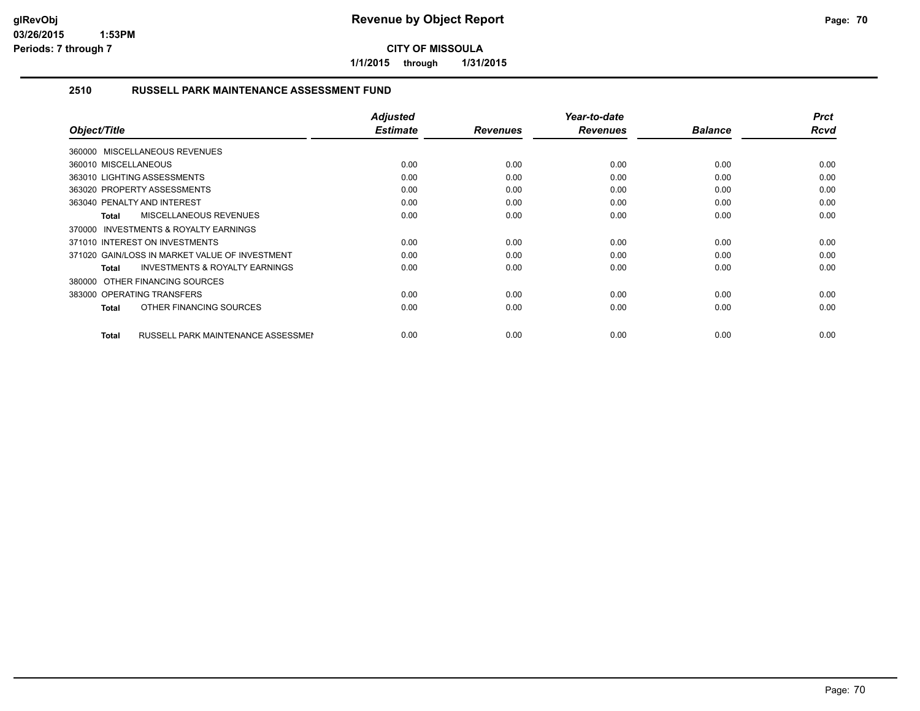**1/1/2015 through 1/31/2015**

# **2510 RUSSELL PARK MAINTENANCE ASSESSMENT FUND**

| Object/Title                                              | Adjusted<br><b>Estimate</b> | <b>Revenues</b> | Year-to-date<br><b>Revenues</b> | <b>Balance</b> | <b>Prct</b><br><b>Rcvd</b> |
|-----------------------------------------------------------|-----------------------------|-----------------|---------------------------------|----------------|----------------------------|
| 360000 MISCELLANEOUS REVENUES                             |                             |                 |                                 |                |                            |
| 360010 MISCELLANEOUS                                      | 0.00                        | 0.00            | 0.00                            | 0.00           | 0.00                       |
| 363010 LIGHTING ASSESSMENTS                               | 0.00                        | 0.00            | 0.00                            | 0.00           | 0.00                       |
| 363020 PROPERTY ASSESSMENTS                               | 0.00                        | 0.00            | 0.00                            | 0.00           | 0.00                       |
| 363040 PENALTY AND INTEREST                               | 0.00                        | 0.00            | 0.00                            | 0.00           | 0.00                       |
| <b>MISCELLANEOUS REVENUES</b><br>Total                    | 0.00                        | 0.00            | 0.00                            | 0.00           | 0.00                       |
| <b>INVESTMENTS &amp; ROYALTY EARNINGS</b><br>370000       |                             |                 |                                 |                |                            |
| 371010 INTEREST ON INVESTMENTS                            | 0.00                        | 0.00            | 0.00                            | 0.00           | 0.00                       |
| 371020 GAIN/LOSS IN MARKET VALUE OF INVESTMENT            | 0.00                        | 0.00            | 0.00                            | 0.00           | 0.00                       |
| <b>INVESTMENTS &amp; ROYALTY EARNINGS</b><br>Total        | 0.00                        | 0.00            | 0.00                            | 0.00           | 0.00                       |
| 380000 OTHER FINANCING SOURCES                            |                             |                 |                                 |                |                            |
| 383000 OPERATING TRANSFERS                                | 0.00                        | 0.00            | 0.00                            | 0.00           | 0.00                       |
| OTHER FINANCING SOURCES<br><b>Total</b>                   | 0.00                        | 0.00            | 0.00                            | 0.00           | 0.00                       |
| <b>RUSSELL PARK MAINTENANCE ASSESSMEN</b><br><b>Total</b> | 0.00                        | 0.00            | 0.00                            | 0.00           | 0.00                       |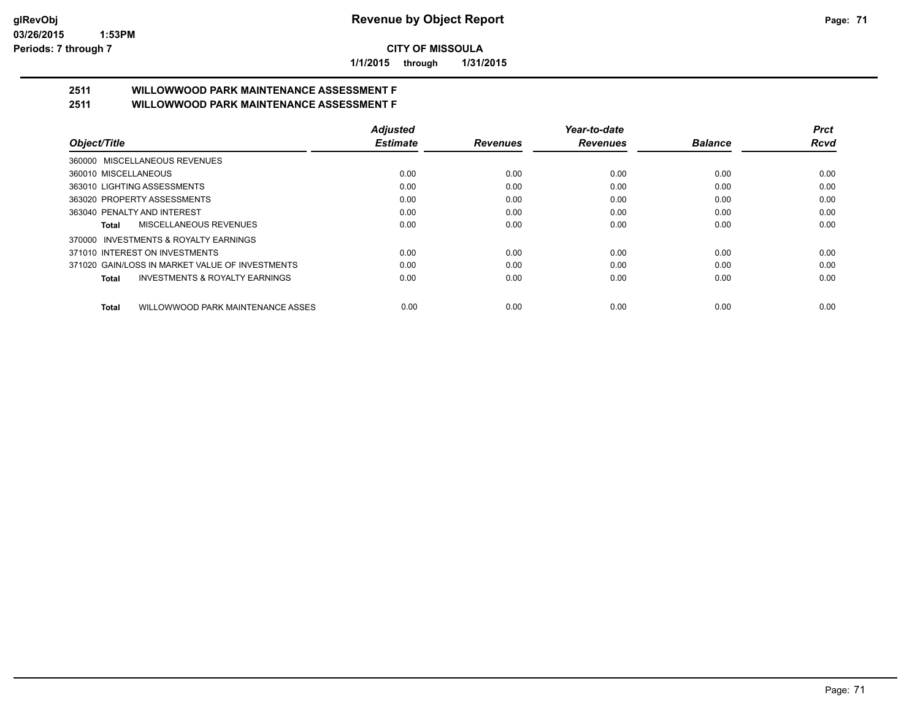**1/1/2015 through 1/31/2015**

# **2511 WILLOWWOOD PARK MAINTENANCE ASSESSMENT F**

| 2511 | <b>WILLOWWOOD PARK MAINTENANCE ASSESSMENT F</b> |
|------|-------------------------------------------------|
|      |                                                 |

|                                                           | <b>Adjusted</b> |                 | Year-to-date<br><b>Revenues</b> | <b>Balance</b> | <b>Prct</b><br>Rcvd |
|-----------------------------------------------------------|-----------------|-----------------|---------------------------------|----------------|---------------------|
| Object/Title                                              | <b>Estimate</b> | <b>Revenues</b> |                                 |                |                     |
| 360000 MISCELLANEOUS REVENUES                             |                 |                 |                                 |                |                     |
| 360010 MISCELLANEOUS                                      | 0.00            | 0.00            | 0.00                            | 0.00           | 0.00                |
| 363010 LIGHTING ASSESSMENTS                               | 0.00            | 0.00            | 0.00                            | 0.00           | 0.00                |
| 363020 PROPERTY ASSESSMENTS                               | 0.00            | 0.00            | 0.00                            | 0.00           | 0.00                |
| 363040 PENALTY AND INTEREST                               | 0.00            | 0.00            | 0.00                            | 0.00           | 0.00                |
| MISCELLANEOUS REVENUES<br>Total                           | 0.00            | 0.00            | 0.00                            | 0.00           | 0.00                |
| 370000 INVESTMENTS & ROYALTY EARNINGS                     |                 |                 |                                 |                |                     |
| 371010 INTEREST ON INVESTMENTS                            | 0.00            | 0.00            | 0.00                            | 0.00           | 0.00                |
| 371020 GAIN/LOSS IN MARKET VALUE OF INVESTMENTS           | 0.00            | 0.00            | 0.00                            | 0.00           | 0.00                |
| <b>INVESTMENTS &amp; ROYALTY EARNINGS</b><br><b>Total</b> | 0.00            | 0.00            | 0.00                            | 0.00           | 0.00                |
| WILLOWWOOD PARK MAINTENANCE ASSES<br><b>Total</b>         | 0.00            | 0.00            | 0.00                            | 0.00           | 0.00                |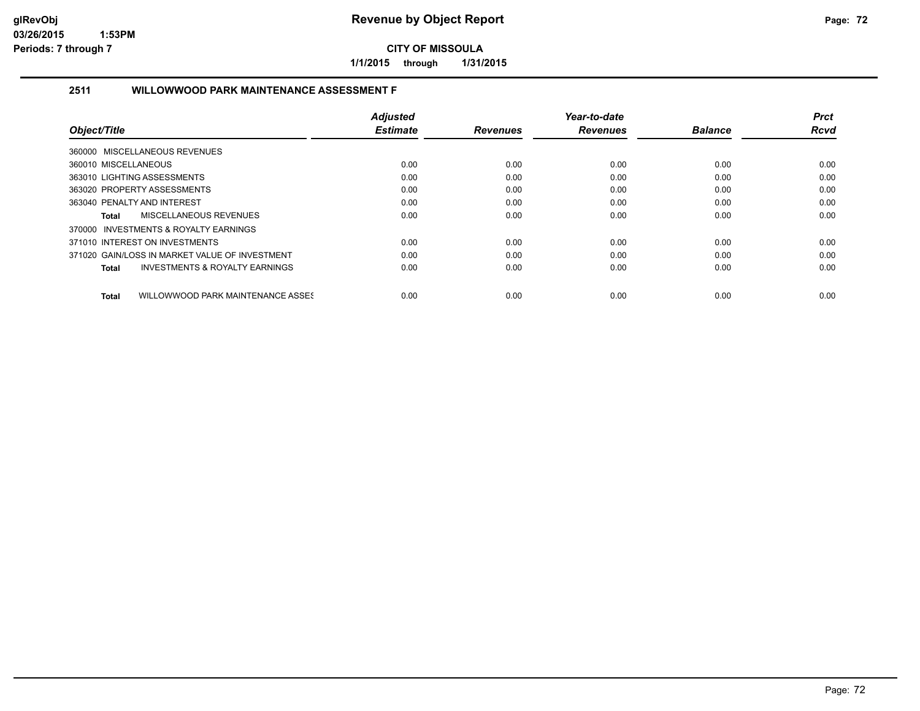**1/1/2015 through 1/31/2015**

### **2511 WILLOWWOOD PARK MAINTENANCE ASSESSMENT F**

| Object/Title                                       | <b>Adjusted</b><br><b>Estimate</b> | <b>Revenues</b> | Year-to-date<br><b>Revenues</b> | <b>Balance</b> | <b>Prct</b><br><b>Rcvd</b> |
|----------------------------------------------------|------------------------------------|-----------------|---------------------------------|----------------|----------------------------|
|                                                    |                                    |                 |                                 |                |                            |
| 360000 MISCELLANEOUS REVENUES                      |                                    |                 |                                 |                |                            |
| 360010 MISCELLANEOUS                               | 0.00                               | 0.00            | 0.00                            | 0.00           | 0.00                       |
| 363010 LIGHTING ASSESSMENTS                        | 0.00                               | 0.00            | 0.00                            | 0.00           | 0.00                       |
| 363020 PROPERTY ASSESSMENTS                        | 0.00                               | 0.00            | 0.00                            | 0.00           | 0.00                       |
| 363040 PENALTY AND INTEREST                        | 0.00                               | 0.00            | 0.00                            | 0.00           | 0.00                       |
| <b>MISCELLANEOUS REVENUES</b><br>Total             | 0.00                               | 0.00            | 0.00                            | 0.00           | 0.00                       |
| 370000 INVESTMENTS & ROYALTY EARNINGS              |                                    |                 |                                 |                |                            |
| 371010 INTEREST ON INVESTMENTS                     | 0.00                               | 0.00            | 0.00                            | 0.00           | 0.00                       |
| 371020 GAIN/LOSS IN MARKET VALUE OF INVESTMENT     | 0.00                               | 0.00            | 0.00                            | 0.00           | 0.00                       |
| <b>INVESTMENTS &amp; ROYALTY EARNINGS</b><br>Total | 0.00                               | 0.00            | 0.00                            | 0.00           | 0.00                       |
|                                                    |                                    |                 |                                 |                |                            |
| WILLOWWOOD PARK MAINTENANCE ASSES<br><b>Total</b>  | 0.00                               | 0.00            | 0.00                            | 0.00           | 0.00                       |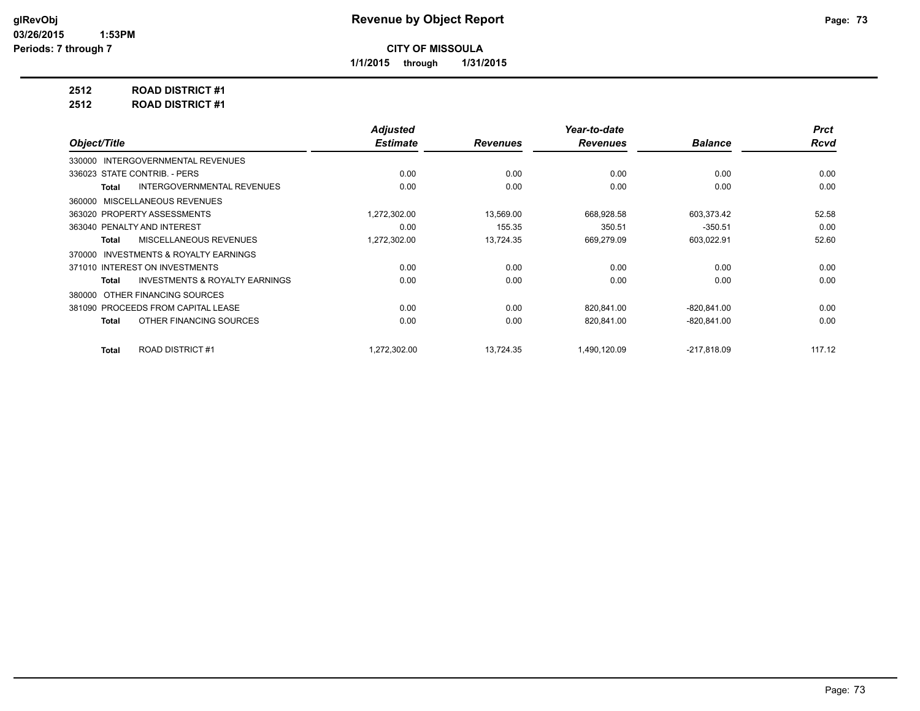**1/1/2015 through 1/31/2015**

**2512 ROAD DISTRICT #1**

**2512 ROAD DISTRICT #1**

|                                                    | <b>Adjusted</b> |                 | Year-to-date    |                | <b>Prct</b> |
|----------------------------------------------------|-----------------|-----------------|-----------------|----------------|-------------|
| Object/Title                                       | <b>Estimate</b> | <b>Revenues</b> | <b>Revenues</b> | <b>Balance</b> | <b>Rcvd</b> |
| 330000 INTERGOVERNMENTAL REVENUES                  |                 |                 |                 |                |             |
| 336023 STATE CONTRIB. - PERS                       | 0.00            | 0.00            | 0.00            | 0.00           | 0.00        |
| <b>INTERGOVERNMENTAL REVENUES</b><br>Total         | 0.00            | 0.00            | 0.00            | 0.00           | 0.00        |
| 360000 MISCELLANEOUS REVENUES                      |                 |                 |                 |                |             |
| 363020 PROPERTY ASSESSMENTS                        | 1,272,302.00    | 13,569.00       | 668,928.58      | 603,373.42     | 52.58       |
| 363040 PENALTY AND INTEREST                        | 0.00            | 155.35          | 350.51          | $-350.51$      | 0.00        |
| MISCELLANEOUS REVENUES<br><b>Total</b>             | 1,272,302.00    | 13,724.35       | 669,279.09      | 603,022.91     | 52.60       |
| INVESTMENTS & ROYALTY EARNINGS<br>370000           |                 |                 |                 |                |             |
| 371010 INTEREST ON INVESTMENTS                     | 0.00            | 0.00            | 0.00            | 0.00           | 0.00        |
| <b>INVESTMENTS &amp; ROYALTY EARNINGS</b><br>Total | 0.00            | 0.00            | 0.00            | 0.00           | 0.00        |
| OTHER FINANCING SOURCES<br>380000                  |                 |                 |                 |                |             |
| 381090 PROCEEDS FROM CAPITAL LEASE                 | 0.00            | 0.00            | 820,841.00      | $-820, 841.00$ | 0.00        |
| OTHER FINANCING SOURCES<br>Total                   | 0.00            | 0.00            | 820,841.00      | $-820, 841.00$ | 0.00        |
| ROAD DISTRICT #1<br><b>Total</b>                   | 1,272,302.00    | 13,724.35       | 1,490,120.09    | $-217,818.09$  | 117.12      |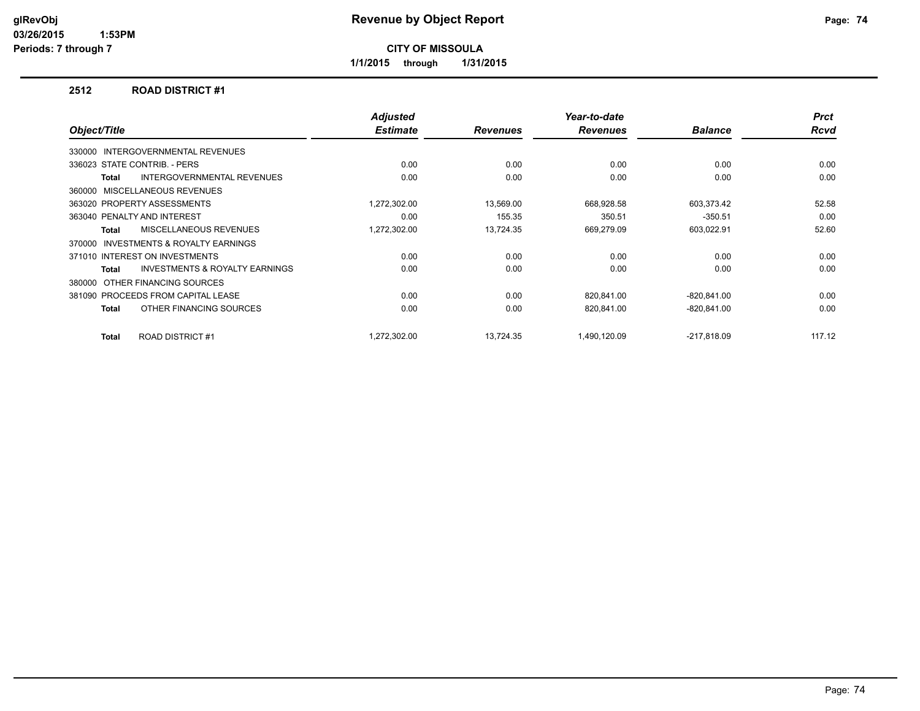**1/1/2015 through 1/31/2015**

## **2512 ROAD DISTRICT #1**

| Object/Title                                              | <b>Adjusted</b><br><b>Estimate</b> | <b>Revenues</b> | Year-to-date<br><b>Revenues</b> | <b>Balance</b> | <b>Prct</b><br><b>Rcvd</b> |
|-----------------------------------------------------------|------------------------------------|-----------------|---------------------------------|----------------|----------------------------|
|                                                           |                                    |                 |                                 |                |                            |
| 330000 INTERGOVERNMENTAL REVENUES                         |                                    |                 |                                 |                |                            |
| 336023 STATE CONTRIB. - PERS                              | 0.00                               | 0.00            | 0.00                            | 0.00           | 0.00                       |
| <b>INTERGOVERNMENTAL REVENUES</b><br><b>Total</b>         | 0.00                               | 0.00            | 0.00                            | 0.00           | 0.00                       |
| MISCELLANEOUS REVENUES<br>360000                          |                                    |                 |                                 |                |                            |
| 363020 PROPERTY ASSESSMENTS                               | 1,272,302.00                       | 13,569.00       | 668,928.58                      | 603,373.42     | 52.58                      |
| 363040 PENALTY AND INTEREST                               | 0.00                               | 155.35          | 350.51                          | $-350.51$      | 0.00                       |
| <b>MISCELLANEOUS REVENUES</b><br>Total                    | 1,272,302.00                       | 13,724.35       | 669,279.09                      | 603,022.91     | 52.60                      |
| <b>INVESTMENTS &amp; ROYALTY EARNINGS</b><br>370000       |                                    |                 |                                 |                |                            |
| 371010 INTEREST ON INVESTMENTS                            | 0.00                               | 0.00            | 0.00                            | 0.00           | 0.00                       |
| <b>INVESTMENTS &amp; ROYALTY EARNINGS</b><br><b>Total</b> | 0.00                               | 0.00            | 0.00                            | 0.00           | 0.00                       |
| 380000 OTHER FINANCING SOURCES                            |                                    |                 |                                 |                |                            |
| 381090 PROCEEDS FROM CAPITAL LEASE                        | 0.00                               | 0.00            | 820,841.00                      | $-820, 841.00$ | 0.00                       |
| OTHER FINANCING SOURCES<br><b>Total</b>                   | 0.00                               | 0.00            | 820,841.00                      | $-820, 841.00$ | 0.00                       |
|                                                           |                                    |                 |                                 |                |                            |
| <b>ROAD DISTRICT #1</b><br>Total                          | 272,302.00                         | 13,724.35       | 1,490,120.09                    | $-217,818.09$  | 117.12                     |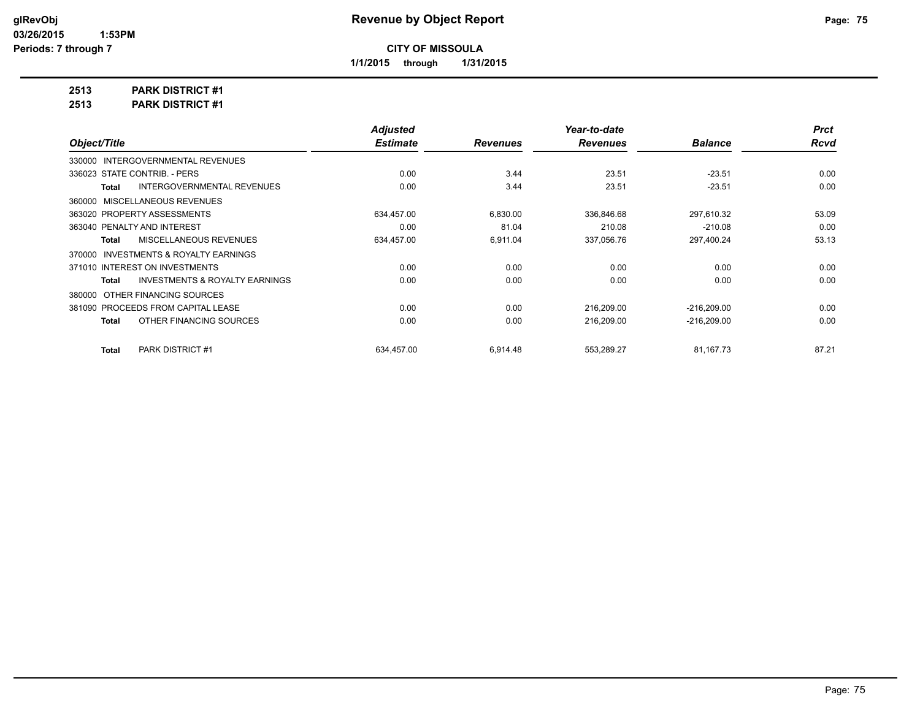**1/1/2015 through 1/31/2015**

**2513 PARK DISTRICT #1**

**2513 PARK DISTRICT #1**

|                                                    | <b>Adjusted</b> |                 | Year-to-date    |                | <b>Prct</b> |
|----------------------------------------------------|-----------------|-----------------|-----------------|----------------|-------------|
| Object/Title                                       | <b>Estimate</b> | <b>Revenues</b> | <b>Revenues</b> | <b>Balance</b> | <b>Rcvd</b> |
| 330000 INTERGOVERNMENTAL REVENUES                  |                 |                 |                 |                |             |
| 336023 STATE CONTRIB. - PERS                       | 0.00            | 3.44            | 23.51           | $-23.51$       | 0.00        |
| <b>INTERGOVERNMENTAL REVENUES</b><br>Total         | 0.00            | 3.44            | 23.51           | $-23.51$       | 0.00        |
| 360000 MISCELLANEOUS REVENUES                      |                 |                 |                 |                |             |
| 363020 PROPERTY ASSESSMENTS                        | 634.457.00      | 6,830.00        | 336,846.68      | 297,610.32     | 53.09       |
| 363040 PENALTY AND INTEREST                        | 0.00            | 81.04           | 210.08          | $-210.08$      | 0.00        |
| MISCELLANEOUS REVENUES<br>Total                    | 634,457.00      | 6,911.04        | 337,056.76      | 297,400.24     | 53.13       |
| 370000 INVESTMENTS & ROYALTY EARNINGS              |                 |                 |                 |                |             |
| 371010 INTEREST ON INVESTMENTS                     | 0.00            | 0.00            | 0.00            | 0.00           | 0.00        |
| <b>INVESTMENTS &amp; ROYALTY EARNINGS</b><br>Total | 0.00            | 0.00            | 0.00            | 0.00           | 0.00        |
| 380000 OTHER FINANCING SOURCES                     |                 |                 |                 |                |             |
| 381090 PROCEEDS FROM CAPITAL LEASE                 | 0.00            | 0.00            | 216,209.00      | $-216,209.00$  | 0.00        |
| OTHER FINANCING SOURCES<br>Total                   | 0.00            | 0.00            | 216,209.00      | $-216,209.00$  | 0.00        |
| <b>PARK DISTRICT #1</b><br><b>Total</b>            | 634.457.00      | 6,914.48        | 553,289.27      | 81,167.73      | 87.21       |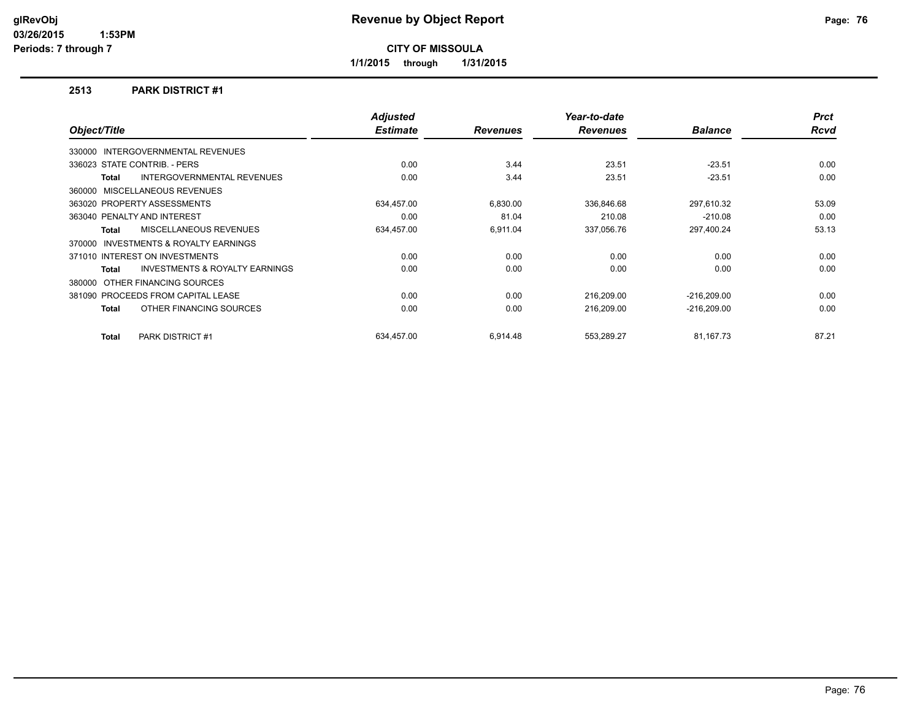**1/1/2015 through 1/31/2015**

## **2513 PARK DISTRICT #1**

| Object/Title |                                           | <b>Adjusted</b><br><b>Estimate</b> | <b>Revenues</b> | Year-to-date<br><b>Revenues</b> | <b>Balance</b> | <b>Prct</b><br><b>Rcvd</b> |
|--------------|-------------------------------------------|------------------------------------|-----------------|---------------------------------|----------------|----------------------------|
| 330000       | <b>INTERGOVERNMENTAL REVENUES</b>         |                                    |                 |                                 |                |                            |
|              |                                           |                                    |                 |                                 |                |                            |
|              | 336023 STATE CONTRIB. - PERS              | 0.00                               | 3.44            | 23.51                           | $-23.51$       | 0.00                       |
| Total        | <b>INTERGOVERNMENTAL REVENUES</b>         | 0.00                               | 3.44            | 23.51                           | $-23.51$       | 0.00                       |
|              | 360000 MISCELLANEOUS REVENUES             |                                    |                 |                                 |                |                            |
|              | 363020 PROPERTY ASSESSMENTS               | 634,457.00                         | 6,830.00        | 336,846.68                      | 297,610.32     | 53.09                      |
|              | 363040 PENALTY AND INTEREST               | 0.00                               | 81.04           | 210.08                          | $-210.08$      | 0.00                       |
| <b>Total</b> | MISCELLANEOUS REVENUES                    | 634,457.00                         | 6,911.04        | 337,056.76                      | 297,400.24     | 53.13                      |
| 370000       | <b>INVESTMENTS &amp; ROYALTY EARNINGS</b> |                                    |                 |                                 |                |                            |
|              | 371010 INTEREST ON INVESTMENTS            | 0.00                               | 0.00            | 0.00                            | 0.00           | 0.00                       |
| Total        | <b>INVESTMENTS &amp; ROYALTY EARNINGS</b> | 0.00                               | 0.00            | 0.00                            | 0.00           | 0.00                       |
| 380000       | OTHER FINANCING SOURCES                   |                                    |                 |                                 |                |                            |
|              | 381090 PROCEEDS FROM CAPITAL LEASE        | 0.00                               | 0.00            | 216,209.00                      | $-216,209.00$  | 0.00                       |
| Total        | OTHER FINANCING SOURCES                   | 0.00                               | 0.00            | 216,209.00                      | $-216,209.00$  | 0.00                       |
| Total        | <b>PARK DISTRICT #1</b>                   | 634.457.00                         | 6,914.48        | 553.289.27                      | 81,167.73      | 87.21                      |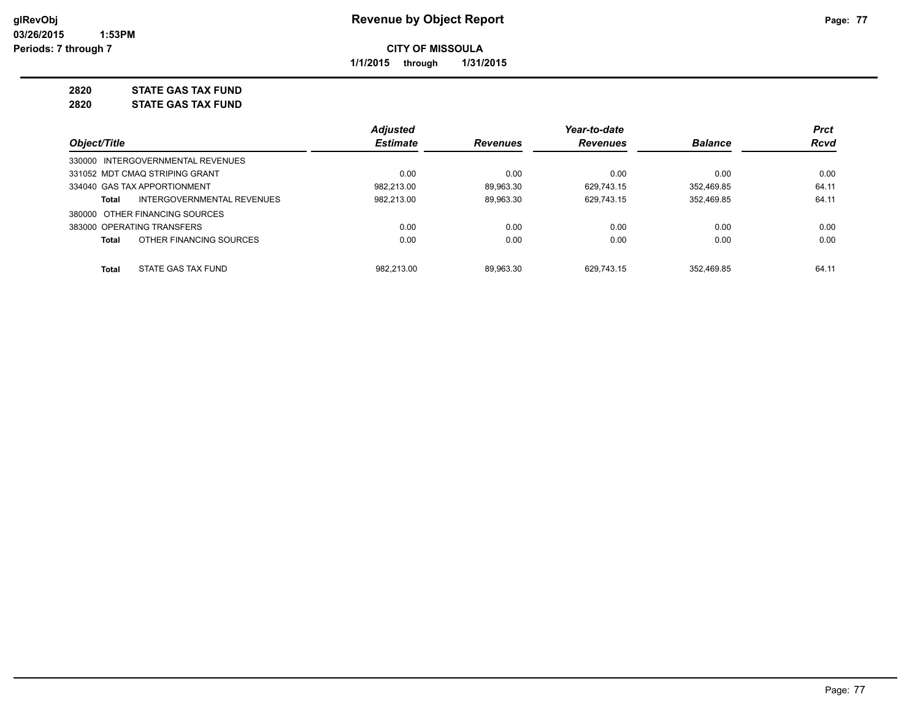**1/1/2015 through 1/31/2015**

# **2820 STATE GAS TAX FUND**

**2820 STATE GAS TAX FUND**

|                                     | <b>Adjusted</b> |                 | Year-to-date    |                | <b>Prct</b> |
|-------------------------------------|-----------------|-----------------|-----------------|----------------|-------------|
| Object/Title                        | <b>Estimate</b> | <b>Revenues</b> | <b>Revenues</b> | <b>Balance</b> | Rcvd        |
| 330000 INTERGOVERNMENTAL REVENUES   |                 |                 |                 |                |             |
| 331052 MDT CMAQ STRIPING GRANT      | 0.00            | 0.00            | 0.00            | 0.00           | 0.00        |
| 334040 GAS TAX APPORTIONMENT        | 982.213.00      | 89.963.30       | 629.743.15      | 352.469.85     | 64.11       |
| INTERGOVERNMENTAL REVENUES<br>Total | 982.213.00      | 89.963.30       | 629,743.15      | 352.469.85     | 64.11       |
| 380000 OTHER FINANCING SOURCES      |                 |                 |                 |                |             |
| 383000 OPERATING TRANSFERS          | 0.00            | 0.00            | 0.00            | 0.00           | 0.00        |
| OTHER FINANCING SOURCES<br>Total    | 0.00            | 0.00            | 0.00            | 0.00           | 0.00        |
| STATE GAS TAX FUND<br>Total         | 982.213.00      | 89.963.30       | 629.743.15      | 352.469.85     | 64.11       |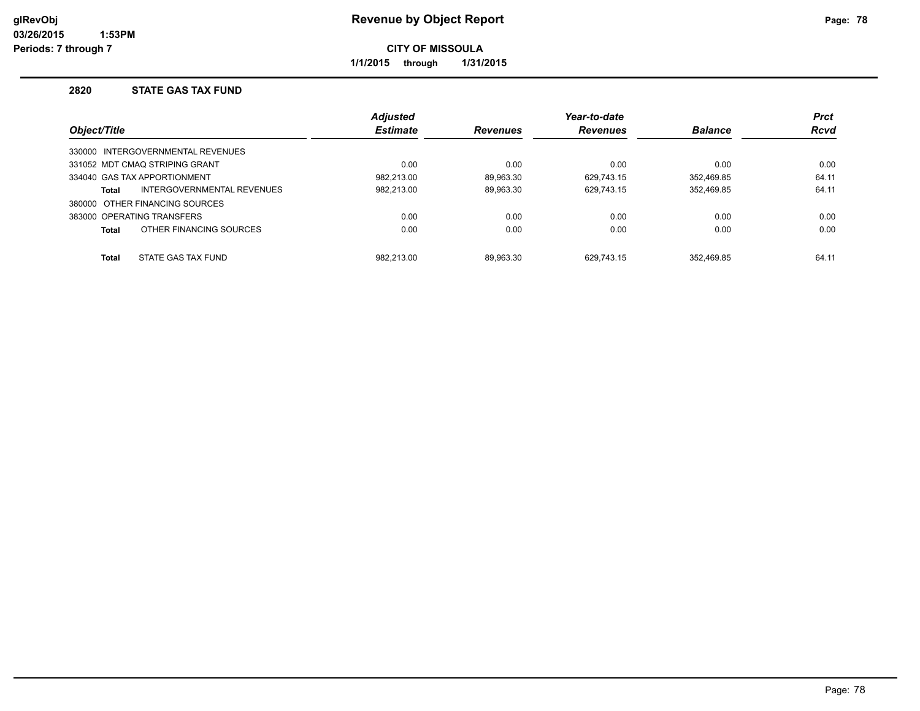**1/1/2015 through 1/31/2015**

## **2820 STATE GAS TAX FUND**

|              |                                   | <b>Adjusted</b> |                 | Year-to-date    |                | <b>Prct</b> |
|--------------|-----------------------------------|-----------------|-----------------|-----------------|----------------|-------------|
| Object/Title |                                   | <b>Estimate</b> | <b>Revenues</b> | <b>Revenues</b> | <b>Balance</b> | <b>Rcvd</b> |
|              | 330000 INTERGOVERNMENTAL REVENUES |                 |                 |                 |                |             |
|              | 331052 MDT CMAQ STRIPING GRANT    | 0.00            | 0.00            | 0.00            | 0.00           | 0.00        |
|              | 334040 GAS TAX APPORTIONMENT      | 982.213.00      | 89.963.30       | 629.743.15      | 352.469.85     | 64.11       |
| Total        | INTERGOVERNMENTAL REVENUES        | 982.213.00      | 89,963.30       | 629.743.15      | 352.469.85     | 64.11       |
|              | 380000 OTHER FINANCING SOURCES    |                 |                 |                 |                |             |
|              | 383000 OPERATING TRANSFERS        | 0.00            | 0.00            | 0.00            | 0.00           | 0.00        |
| <b>Total</b> | OTHER FINANCING SOURCES           | 0.00            | 0.00            | 0.00            | 0.00           | 0.00        |
| <b>Total</b> | STATE GAS TAX FUND                | 982.213.00      | 89.963.30       | 629.743.15      | 352.469.85     | 64.11       |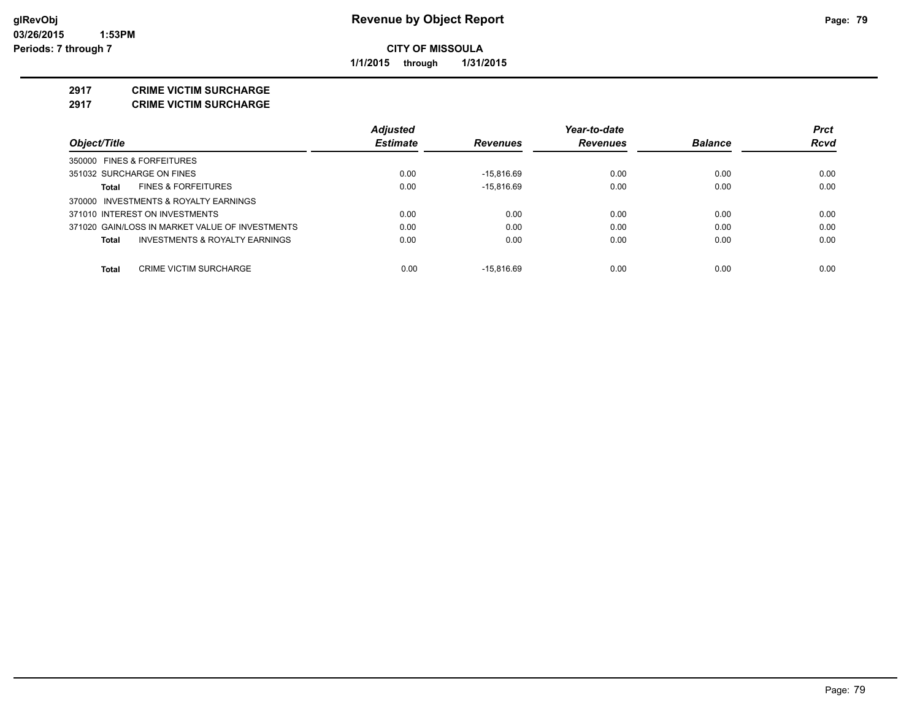**1/1/2015 through 1/31/2015**

#### **2917 CRIME VICTIM SURCHARGE**

**2917 CRIME VICTIM SURCHARGE**

|                                                 | <b>Adjusted</b> |                 | Year-to-date    |                | <b>Prct</b> |
|-------------------------------------------------|-----------------|-----------------|-----------------|----------------|-------------|
| Object/Title                                    | <b>Estimate</b> | <b>Revenues</b> | <b>Revenues</b> | <b>Balance</b> | <b>Rcvd</b> |
| 350000 FINES & FORFEITURES                      |                 |                 |                 |                |             |
| 351032 SURCHARGE ON FINES                       | 0.00            | $-15.816.69$    | 0.00            | 0.00           | 0.00        |
| <b>FINES &amp; FORFEITURES</b><br>Total         | 0.00            | $-15.816.69$    | 0.00            | 0.00           | 0.00        |
| 370000 INVESTMENTS & ROYALTY EARNINGS           |                 |                 |                 |                |             |
| 371010 INTEREST ON INVESTMENTS                  | 0.00            | 0.00            | 0.00            | 0.00           | 0.00        |
| 371020 GAIN/LOSS IN MARKET VALUE OF INVESTMENTS | 0.00            | 0.00            | 0.00            | 0.00           | 0.00        |
| INVESTMENTS & ROYALTY EARNINGS<br>Total         | 0.00            | 0.00            | 0.00            | 0.00           | 0.00        |
| Total<br><b>CRIME VICTIM SURCHARGE</b>          | 0.00            | $-15.816.69$    | 0.00            | 0.00           | 0.00        |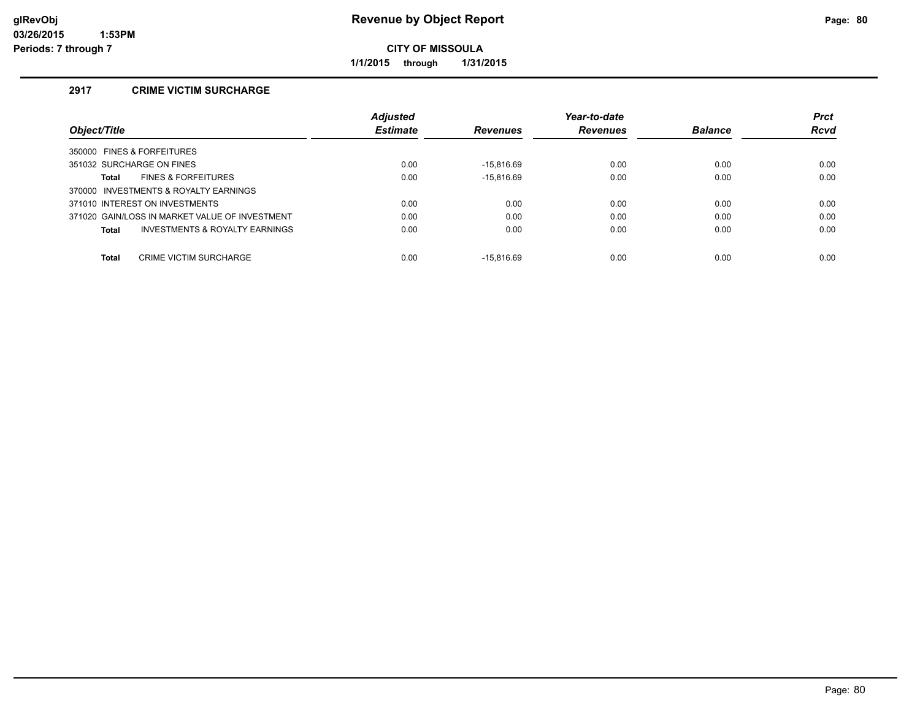**1/1/2015 through 1/31/2015**

## **2917 CRIME VICTIM SURCHARGE**

| Object/Title                                   | <b>Adjusted</b><br><b>Estimate</b> | <b>Revenues</b> | Year-to-date<br><b>Revenues</b> | <b>Balance</b> | <b>Prct</b><br><b>Rcvd</b> |
|------------------------------------------------|------------------------------------|-----------------|---------------------------------|----------------|----------------------------|
|                                                |                                    |                 |                                 |                |                            |
| 350000 FINES & FORFEITURES                     |                                    |                 |                                 |                |                            |
| 351032 SURCHARGE ON FINES                      | 0.00                               | $-15.816.69$    | 0.00                            | 0.00           | 0.00                       |
| <b>FINES &amp; FORFEITURES</b><br>Total        | 0.00                               | $-15,816.69$    | 0.00                            | 0.00           | 0.00                       |
| 370000 INVESTMENTS & ROYALTY EARNINGS          |                                    |                 |                                 |                |                            |
| 371010 INTEREST ON INVESTMENTS                 | 0.00                               | 0.00            | 0.00                            | 0.00           | 0.00                       |
| 371020 GAIN/LOSS IN MARKET VALUE OF INVESTMENT | 0.00                               | 0.00            | 0.00                            | 0.00           | 0.00                       |
| INVESTMENTS & ROYALTY EARNINGS<br>Total        | 0.00                               | 0.00            | 0.00                            | 0.00           | 0.00                       |
|                                                |                                    |                 |                                 |                |                            |
| CRIME VICTIM SURCHARGE<br><b>Total</b>         | 0.00                               | $-15.816.69$    | 0.00                            | 0.00           | 0.00                       |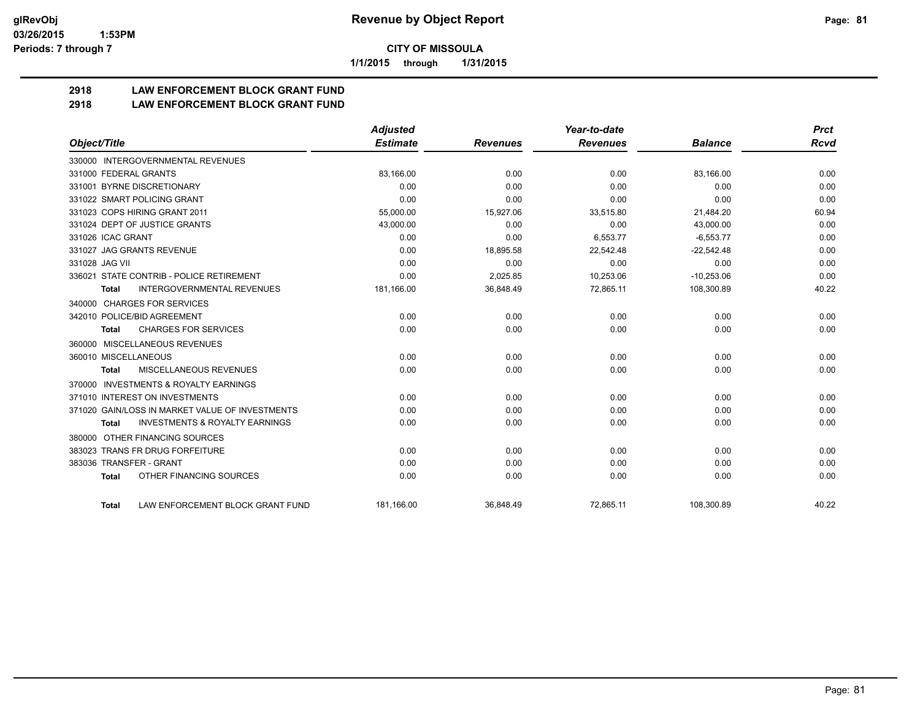**1/1/2015 through 1/31/2015**

# **2918 LAW ENFORCEMENT BLOCK GRANT FUND**

**2918 LAW ENFORCEMENT BLOCK GRANT FUND**

|                                 |                                                 | <b>Adjusted</b> |                 | Year-to-date    |                | <b>Prct</b> |
|---------------------------------|-------------------------------------------------|-----------------|-----------------|-----------------|----------------|-------------|
| Object/Title                    |                                                 | <b>Estimate</b> | <b>Revenues</b> | <b>Revenues</b> | <b>Balance</b> | <b>Rcvd</b> |
|                                 | 330000 INTERGOVERNMENTAL REVENUES               |                 |                 |                 |                |             |
| 331000 FEDERAL GRANTS           |                                                 | 83,166.00       | 0.00            | 0.00            | 83,166.00      | 0.00        |
| 331001 BYRNE DISCRETIONARY      |                                                 | 0.00            | 0.00            | 0.00            | 0.00           | 0.00        |
| 331022 SMART POLICING GRANT     |                                                 | 0.00            | 0.00            | 0.00            | 0.00           | 0.00        |
| 331023 COPS HIRING GRANT 2011   |                                                 | 55,000.00       | 15,927.06       | 33,515.80       | 21,484.20      | 60.94       |
| 331024 DEPT OF JUSTICE GRANTS   |                                                 | 43,000.00       | 0.00            | 0.00            | 43.000.00      | 0.00        |
| 331026 ICAC GRANT               |                                                 | 0.00            | 0.00            | 6.553.77        | $-6.553.77$    | 0.00        |
| 331027 JAG GRANTS REVENUE       |                                                 | 0.00            | 18,895.58       | 22,542.48       | $-22,542.48$   | 0.00        |
| 331028 JAG VII                  |                                                 | 0.00            | 0.00            | 0.00            | 0.00           | 0.00        |
|                                 | 336021 STATE CONTRIB - POLICE RETIREMENT        | 0.00            | 2,025.85        | 10,253.06       | $-10,253.06$   | 0.00        |
| Total                           | <b>INTERGOVERNMENTAL REVENUES</b>               | 181,166.00      | 36,848.49       | 72,865.11       | 108,300.89     | 40.22       |
| 340000 CHARGES FOR SERVICES     |                                                 |                 |                 |                 |                |             |
| 342010 POLICE/BID AGREEMENT     |                                                 | 0.00            | 0.00            | 0.00            | 0.00           | 0.00        |
| <b>Total</b>                    | <b>CHARGES FOR SERVICES</b>                     | 0.00            | 0.00            | 0.00            | 0.00           | 0.00        |
| 360000                          | MISCELLANEOUS REVENUES                          |                 |                 |                 |                |             |
| 360010 MISCELLANEOUS            |                                                 | 0.00            | 0.00            | 0.00            | 0.00           | 0.00        |
| <b>Total</b>                    | <b>MISCELLANEOUS REVENUES</b>                   | 0.00            | 0.00            | 0.00            | 0.00           | 0.00        |
| 370000                          | <b>INVESTMENTS &amp; ROYALTY EARNINGS</b>       |                 |                 |                 |                |             |
| 371010 INTEREST ON INVESTMENTS  |                                                 | 0.00            | 0.00            | 0.00            | 0.00           | 0.00        |
|                                 | 371020 GAIN/LOSS IN MARKET VALUE OF INVESTMENTS | 0.00            | 0.00            | 0.00            | 0.00           | 0.00        |
| <b>Total</b>                    | <b>INVESTMENTS &amp; ROYALTY EARNINGS</b>       | 0.00            | 0.00            | 0.00            | 0.00           | 0.00        |
| 380000                          | OTHER FINANCING SOURCES                         |                 |                 |                 |                |             |
| 383023 TRANS FR DRUG FORFEITURE |                                                 | 0.00            | 0.00            | 0.00            | 0.00           | 0.00        |
| 383036 TRANSFER - GRANT         |                                                 | 0.00            | 0.00            | 0.00            | 0.00           | 0.00        |
| <b>Total</b>                    | OTHER FINANCING SOURCES                         | 0.00            | 0.00            | 0.00            | 0.00           | 0.00        |
| <b>Total</b>                    | LAW ENFORCEMENT BLOCK GRANT FUND                | 181,166.00      | 36.848.49       | 72,865.11       | 108,300.89     | 40.22       |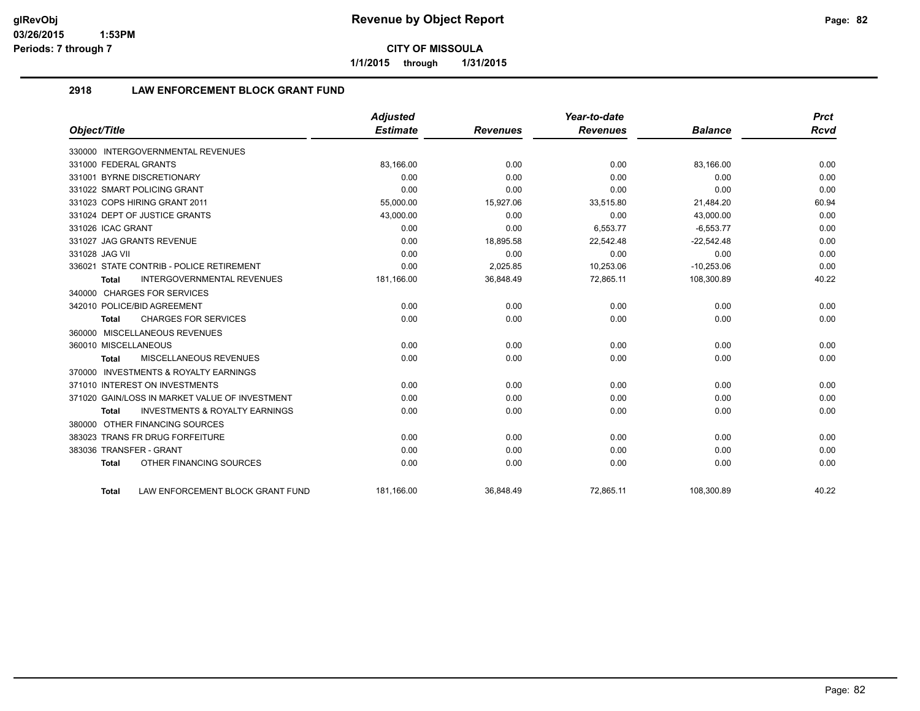**1/1/2015 through 1/31/2015**

# **2918 LAW ENFORCEMENT BLOCK GRANT FUND**

| Object/Title                                              | <b>Adjusted</b><br><b>Estimate</b> | <b>Revenues</b> | Year-to-date<br><b>Revenues</b> | <b>Balance</b> | <b>Prct</b><br>Rcvd |
|-----------------------------------------------------------|------------------------------------|-----------------|---------------------------------|----------------|---------------------|
|                                                           |                                    |                 |                                 |                |                     |
| 330000 INTERGOVERNMENTAL REVENUES                         |                                    |                 |                                 |                |                     |
| 331000 FEDERAL GRANTS                                     | 83,166.00                          | 0.00            | 0.00                            | 83.166.00      | 0.00                |
| 331001 BYRNE DISCRETIONARY                                | 0.00                               | 0.00            | 0.00                            | 0.00           | 0.00                |
| 331022 SMART POLICING GRANT                               | 0.00                               | 0.00            | 0.00                            | 0.00           | 0.00                |
| 331023 COPS HIRING GRANT 2011                             | 55,000.00                          | 15,927.06       | 33,515.80                       | 21,484.20      | 60.94               |
| 331024 DEPT OF JUSTICE GRANTS                             | 43,000.00                          | 0.00            | 0.00                            | 43,000.00      | 0.00                |
| 331026 ICAC GRANT                                         | 0.00                               | 0.00            | 6,553.77                        | $-6,553.77$    | 0.00                |
| 331027 JAG GRANTS REVENUE                                 | 0.00                               | 18,895.58       | 22,542.48                       | $-22,542.48$   | 0.00                |
| 331028 JAG VII                                            | 0.00                               | 0.00            | 0.00                            | 0.00           | 0.00                |
| 336021 STATE CONTRIB - POLICE RETIREMENT                  | 0.00                               | 2,025.85        | 10,253.06                       | $-10,253.06$   | 0.00                |
| <b>INTERGOVERNMENTAL REVENUES</b><br>Total                | 181,166.00                         | 36,848.49       | 72,865.11                       | 108,300.89     | 40.22               |
| 340000 CHARGES FOR SERVICES                               |                                    |                 |                                 |                |                     |
| 342010 POLICE/BID AGREEMENT                               | 0.00                               | 0.00            | 0.00                            | 0.00           | 0.00                |
| <b>CHARGES FOR SERVICES</b><br><b>Total</b>               | 0.00                               | 0.00            | 0.00                            | 0.00           | 0.00                |
| 360000 MISCELLANEOUS REVENUES                             |                                    |                 |                                 |                |                     |
| 360010 MISCELLANEOUS                                      | 0.00                               | 0.00            | 0.00                            | 0.00           | 0.00                |
| MISCELLANEOUS REVENUES<br><b>Total</b>                    | 0.00                               | 0.00            | 0.00                            | 0.00           | 0.00                |
| 370000 INVESTMENTS & ROYALTY EARNINGS                     |                                    |                 |                                 |                |                     |
| 371010 INTEREST ON INVESTMENTS                            | 0.00                               | 0.00            | 0.00                            | 0.00           | 0.00                |
| 371020 GAIN/LOSS IN MARKET VALUE OF INVESTMENT            | 0.00                               | 0.00            | 0.00                            | 0.00           | 0.00                |
| <b>INVESTMENTS &amp; ROYALTY EARNINGS</b><br><b>Total</b> | 0.00                               | 0.00            | 0.00                            | 0.00           | 0.00                |
| 380000 OTHER FINANCING SOURCES                            |                                    |                 |                                 |                |                     |
| 383023 TRANS FR DRUG FORFEITURE                           | 0.00                               | 0.00            | 0.00                            | 0.00           | 0.00                |
| 383036 TRANSFER - GRANT                                   | 0.00                               | 0.00            | 0.00                            | 0.00           | 0.00                |
| OTHER FINANCING SOURCES<br><b>Total</b>                   | 0.00                               | 0.00            | 0.00                            | 0.00           | 0.00                |
| LAW ENFORCEMENT BLOCK GRANT FUND<br>Total                 | 181.166.00                         | 36.848.49       | 72,865.11                       | 108.300.89     | 40.22               |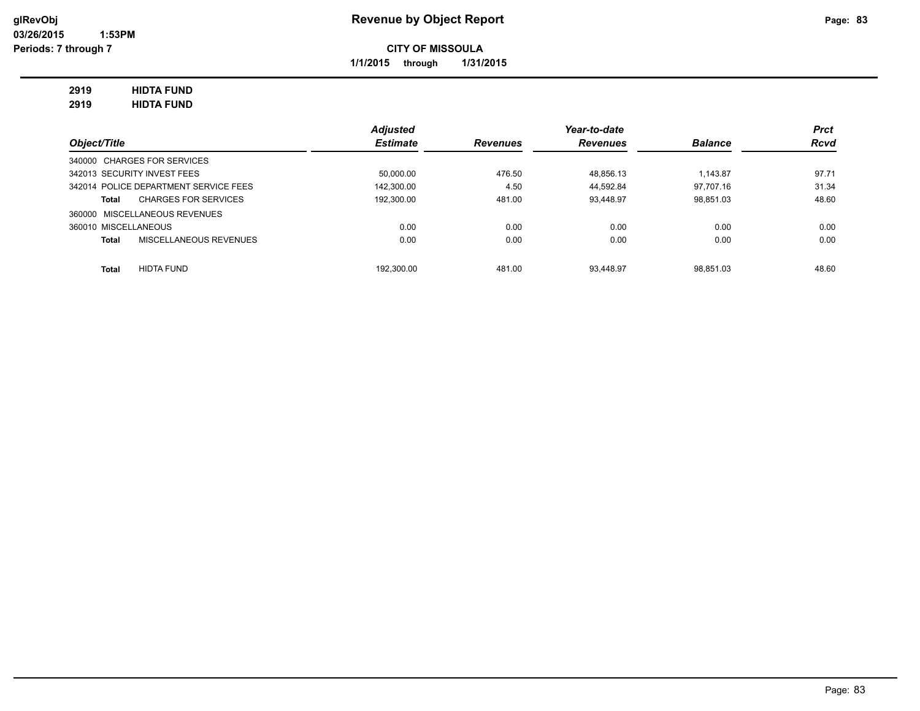**1/1/2015 through 1/31/2015**

# **2919 HIDTA FUND**

**2919 HIDTA FUND**

|                                        | <b>Adjusted</b> |                 | Year-to-date    |                | <b>Prct</b> |
|----------------------------------------|-----------------|-----------------|-----------------|----------------|-------------|
| Object/Title                           | <b>Estimate</b> | <b>Revenues</b> | <b>Revenues</b> | <b>Balance</b> | <b>Rcvd</b> |
| 340000 CHARGES FOR SERVICES            |                 |                 |                 |                |             |
| 342013 SECURITY INVEST FEES            | 50,000.00       | 476.50          | 48.856.13       | 1.143.87       | 97.71       |
| 342014 POLICE DEPARTMENT SERVICE FEES  | 142.300.00      | 4.50            | 44.592.84       | 97.707.16      | 31.34       |
| <b>CHARGES FOR SERVICES</b><br>Total   | 192.300.00      | 481.00          | 93,448.97       | 98.851.03      | 48.60       |
| 360000 MISCELLANEOUS REVENUES          |                 |                 |                 |                |             |
| 360010 MISCELLANEOUS                   | 0.00            | 0.00            | 0.00            | 0.00           | 0.00        |
| MISCELLANEOUS REVENUES<br><b>Total</b> | 0.00            | 0.00            | 0.00            | 0.00           | 0.00        |
|                                        |                 |                 |                 |                |             |
| <b>HIDTA FUND</b><br><b>Total</b>      | 192.300.00      | 481.00          | 93.448.97       | 98.851.03      | 48.60       |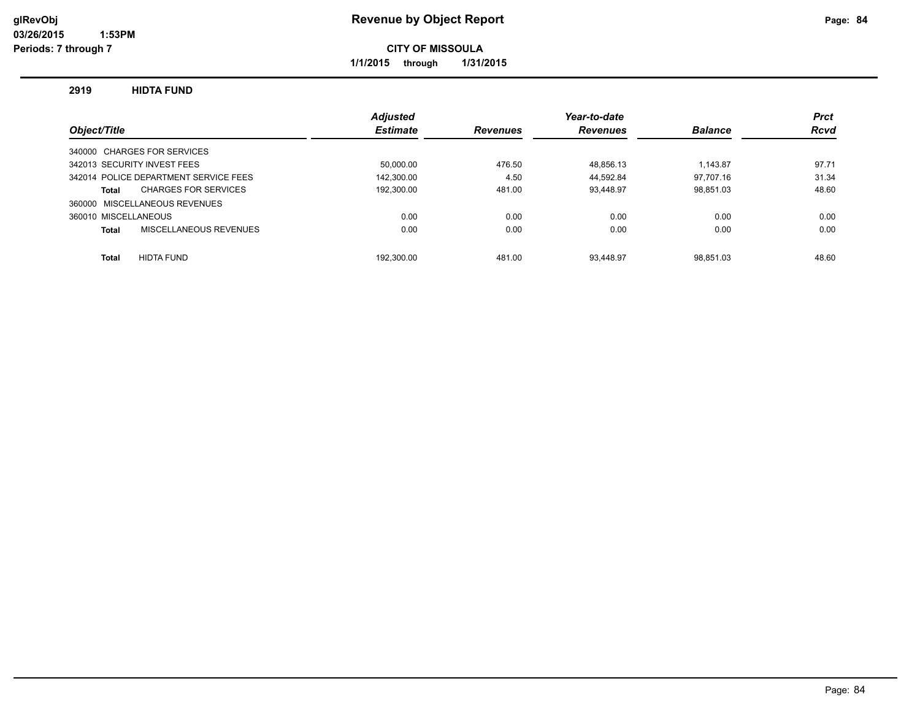# **glRevObj Revenue by Object Report Page: 84**

**CITY OF MISSOULA**

**1/1/2015 through 1/31/2015**

## **2919 HIDTA FUND**

|                                       | <b>Adjusted</b> |                 | Year-to-date    |                | <b>Prct</b> |
|---------------------------------------|-----------------|-----------------|-----------------|----------------|-------------|
| Object/Title                          | <b>Estimate</b> | <b>Revenues</b> | <b>Revenues</b> | <b>Balance</b> | <b>Rcvd</b> |
| 340000 CHARGES FOR SERVICES           |                 |                 |                 |                |             |
| 342013 SECURITY INVEST FEES           | 50.000.00       | 476.50          | 48.856.13       | 1.143.87       | 97.71       |
| 342014 POLICE DEPARTMENT SERVICE FEES | 142.300.00      | 4.50            | 44.592.84       | 97.707.16      | 31.34       |
| <b>CHARGES FOR SERVICES</b><br>Total  | 192.300.00      | 481.00          | 93.448.97       | 98.851.03      | 48.60       |
| 360000 MISCELLANEOUS REVENUES         |                 |                 |                 |                |             |
| 360010 MISCELLANEOUS                  | 0.00            | 0.00            | 0.00            | 0.00           | 0.00        |
| MISCELLANEOUS REVENUES<br>Total       | 0.00            | 0.00            | 0.00            | 0.00           | 0.00        |
| <b>HIDTA FUND</b><br><b>Total</b>     | 192.300.00      | 481.00          | 93.448.97       | 98.851.03      | 48.60       |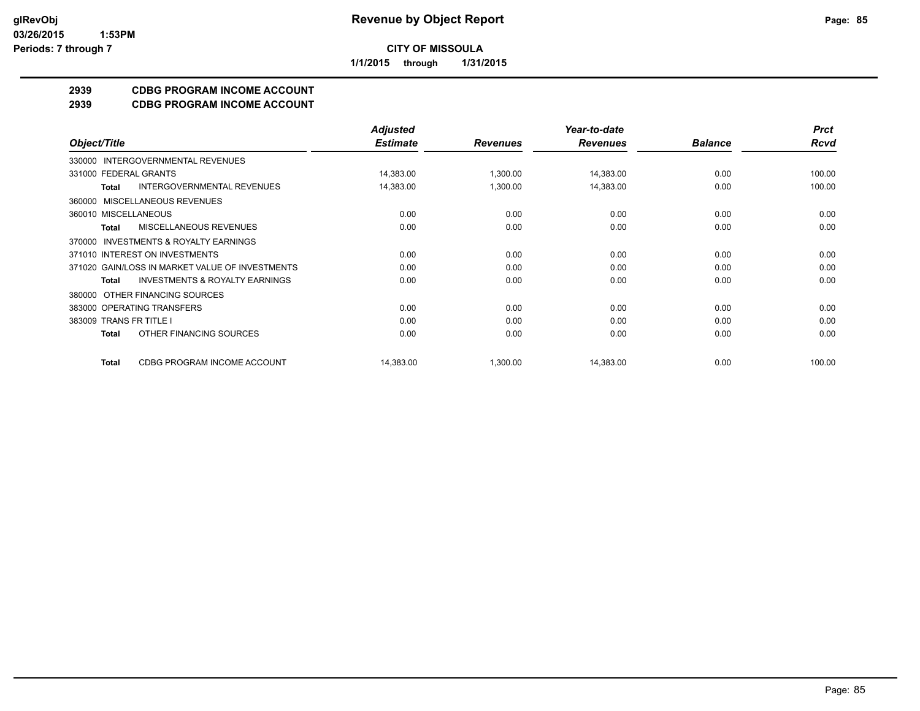**1/1/2015 through 1/31/2015**

# **2939 CDBG PROGRAM INCOME ACCOUNT**

**2939 CDBG PROGRAM INCOME ACCOUNT**

|                                                           | <b>Adjusted</b> |                 | Year-to-date    |                | <b>Prct</b> |
|-----------------------------------------------------------|-----------------|-----------------|-----------------|----------------|-------------|
| Object/Title                                              | <b>Estimate</b> | <b>Revenues</b> | <b>Revenues</b> | <b>Balance</b> | <b>Rcvd</b> |
| INTERGOVERNMENTAL REVENUES<br>330000                      |                 |                 |                 |                |             |
| 331000 FEDERAL GRANTS                                     | 14,383.00       | 1,300.00        | 14,383.00       | 0.00           | 100.00      |
| <b>INTERGOVERNMENTAL REVENUES</b><br><b>Total</b>         | 14,383.00       | 1,300.00        | 14,383.00       | 0.00           | 100.00      |
| MISCELLANEOUS REVENUES<br>360000                          |                 |                 |                 |                |             |
| 360010 MISCELLANEOUS                                      | 0.00            | 0.00            | 0.00            | 0.00           | 0.00        |
| MISCELLANEOUS REVENUES<br>Total                           | 0.00            | 0.00            | 0.00            | 0.00           | 0.00        |
| <b>INVESTMENTS &amp; ROYALTY EARNINGS</b><br>370000       |                 |                 |                 |                |             |
| 371010 INTEREST ON INVESTMENTS                            | 0.00            | 0.00            | 0.00            | 0.00           | 0.00        |
| 371020 GAIN/LOSS IN MARKET VALUE OF INVESTMENTS           | 0.00            | 0.00            | 0.00            | 0.00           | 0.00        |
| <b>INVESTMENTS &amp; ROYALTY EARNINGS</b><br><b>Total</b> | 0.00            | 0.00            | 0.00            | 0.00           | 0.00        |
| OTHER FINANCING SOURCES<br>380000                         |                 |                 |                 |                |             |
| 383000 OPERATING TRANSFERS                                | 0.00            | 0.00            | 0.00            | 0.00           | 0.00        |
| 383009 TRANS FR TITLE I                                   | 0.00            | 0.00            | 0.00            | 0.00           | 0.00        |
| OTHER FINANCING SOURCES<br><b>Total</b>                   | 0.00            | 0.00            | 0.00            | 0.00           | 0.00        |
| CDBG PROGRAM INCOME ACCOUNT<br><b>Total</b>               | 14,383.00       | 1,300.00        | 14,383.00       | 0.00           | 100.00      |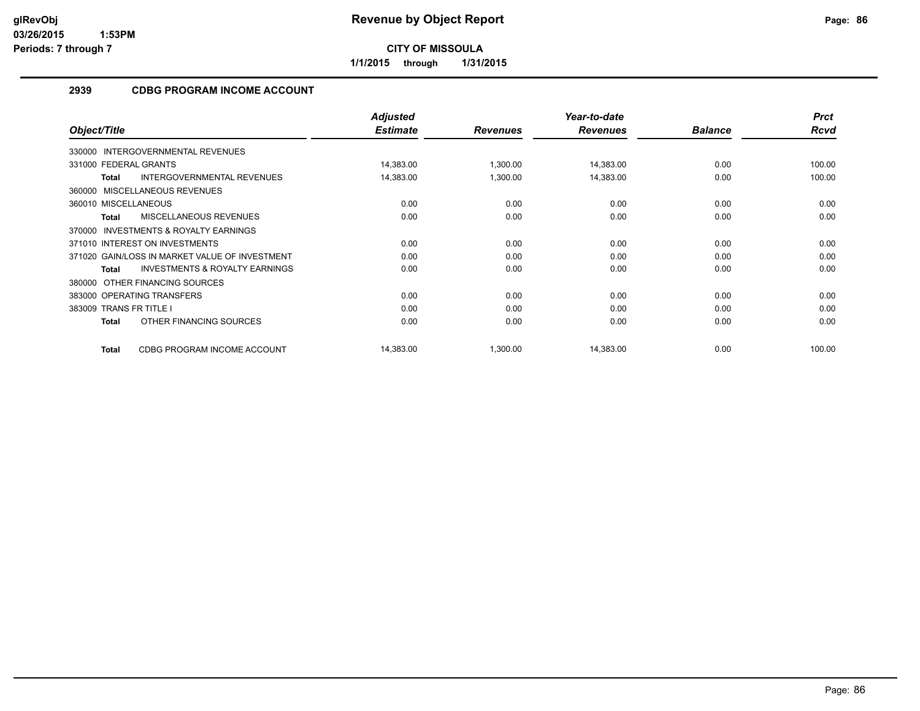**1/1/2015 through 1/31/2015**

# **2939 CDBG PROGRAM INCOME ACCOUNT**

|                                                           | <b>Adjusted</b> |                 | Year-to-date    |                | <b>Prct</b> |
|-----------------------------------------------------------|-----------------|-----------------|-----------------|----------------|-------------|
| Object/Title                                              | <b>Estimate</b> | <b>Revenues</b> | <b>Revenues</b> | <b>Balance</b> | <b>Rcvd</b> |
| 330000 INTERGOVERNMENTAL REVENUES                         |                 |                 |                 |                |             |
| 331000 FEDERAL GRANTS                                     | 14,383.00       | 1,300.00        | 14,383.00       | 0.00           | 100.00      |
| <b>INTERGOVERNMENTAL REVENUES</b><br><b>Total</b>         | 14,383.00       | 1,300.00        | 14,383.00       | 0.00           | 100.00      |
| 360000 MISCELLANEOUS REVENUES                             |                 |                 |                 |                |             |
| 360010 MISCELLANEOUS                                      | 0.00            | 0.00            | 0.00            | 0.00           | 0.00        |
| MISCELLANEOUS REVENUES<br><b>Total</b>                    | 0.00            | 0.00            | 0.00            | 0.00           | 0.00        |
| <b>INVESTMENTS &amp; ROYALTY EARNINGS</b><br>370000       |                 |                 |                 |                |             |
| 371010 INTEREST ON INVESTMENTS                            | 0.00            | 0.00            | 0.00            | 0.00           | 0.00        |
| 371020 GAIN/LOSS IN MARKET VALUE OF INVESTMENT            | 0.00            | 0.00            | 0.00            | 0.00           | 0.00        |
| <b>INVESTMENTS &amp; ROYALTY EARNINGS</b><br><b>Total</b> | 0.00            | 0.00            | 0.00            | 0.00           | 0.00        |
| OTHER FINANCING SOURCES<br>380000                         |                 |                 |                 |                |             |
| 383000 OPERATING TRANSFERS                                | 0.00            | 0.00            | 0.00            | 0.00           | 0.00        |
| 383009 TRANS FR TITLE I                                   | 0.00            | 0.00            | 0.00            | 0.00           | 0.00        |
| OTHER FINANCING SOURCES<br><b>Total</b>                   | 0.00            | 0.00            | 0.00            | 0.00           | 0.00        |
| CDBG PROGRAM INCOME ACCOUNT<br><b>Total</b>               | 14,383.00       | 1,300.00        | 14,383.00       | 0.00           | 100.00      |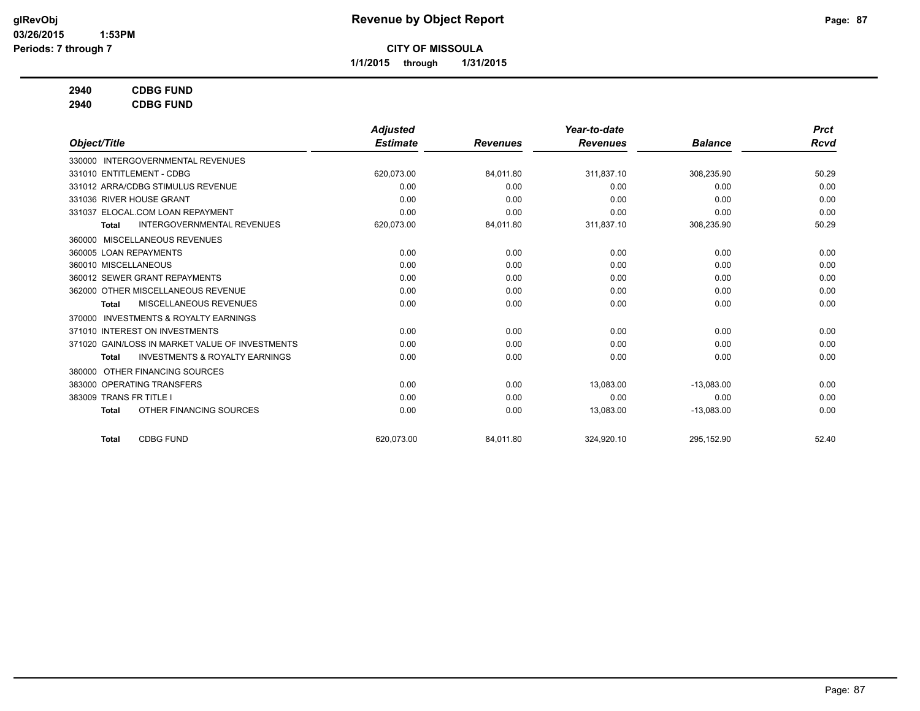**1/1/2015 through 1/31/2015**

# **2940 CDBG FUND**

**2940 CDBG FUND**

|                                                     | <b>Adjusted</b> |                 | Year-to-date    |                | <b>Prct</b> |
|-----------------------------------------------------|-----------------|-----------------|-----------------|----------------|-------------|
| Object/Title                                        | <b>Estimate</b> | <b>Revenues</b> | <b>Revenues</b> | <b>Balance</b> | Rcvd        |
| 330000 INTERGOVERNMENTAL REVENUES                   |                 |                 |                 |                |             |
| 331010 ENTITLEMENT - CDBG                           | 620,073.00      | 84,011.80       | 311,837.10      | 308,235.90     | 50.29       |
| 331012 ARRA/CDBG STIMULUS REVENUE                   | 0.00            | 0.00            | 0.00            | 0.00           | 0.00        |
| 331036 RIVER HOUSE GRANT                            | 0.00            | 0.00            | 0.00            | 0.00           | 0.00        |
| 331037 ELOCAL.COM LOAN REPAYMENT                    | 0.00            | 0.00            | 0.00            | 0.00           | 0.00        |
| <b>INTERGOVERNMENTAL REVENUES</b><br><b>Total</b>   | 620,073.00      | 84,011.80       | 311,837.10      | 308,235.90     | 50.29       |
| MISCELLANEOUS REVENUES<br>360000                    |                 |                 |                 |                |             |
| 360005 LOAN REPAYMENTS                              | 0.00            | 0.00            | 0.00            | 0.00           | 0.00        |
| 360010 MISCELLANEOUS                                | 0.00            | 0.00            | 0.00            | 0.00           | 0.00        |
| 360012 SEWER GRANT REPAYMENTS                       | 0.00            | 0.00            | 0.00            | 0.00           | 0.00        |
| 362000 OTHER MISCELLANEOUS REVENUE                  | 0.00            | 0.00            | 0.00            | 0.00           | 0.00        |
| MISCELLANEOUS REVENUES<br><b>Total</b>              | 0.00            | 0.00            | 0.00            | 0.00           | 0.00        |
| <b>INVESTMENTS &amp; ROYALTY EARNINGS</b><br>370000 |                 |                 |                 |                |             |
| 371010 INTEREST ON INVESTMENTS                      | 0.00            | 0.00            | 0.00            | 0.00           | 0.00        |
| 371020 GAIN/LOSS IN MARKET VALUE OF INVESTMENTS     | 0.00            | 0.00            | 0.00            | 0.00           | 0.00        |
| <b>INVESTMENTS &amp; ROYALTY EARNINGS</b><br>Total  | 0.00            | 0.00            | 0.00            | 0.00           | 0.00        |
| OTHER FINANCING SOURCES<br>380000                   |                 |                 |                 |                |             |
| 383000 OPERATING TRANSFERS                          | 0.00            | 0.00            | 13,083.00       | $-13,083.00$   | 0.00        |
| 383009 TRANS FR TITLE I                             | 0.00            | 0.00            | 0.00            | 0.00           | 0.00        |
| OTHER FINANCING SOURCES<br><b>Total</b>             | 0.00            | 0.00            | 13,083.00       | $-13,083.00$   | 0.00        |
| <b>CDBG FUND</b><br><b>Total</b>                    | 620.073.00      | 84,011.80       | 324,920.10      | 295.152.90     | 52.40       |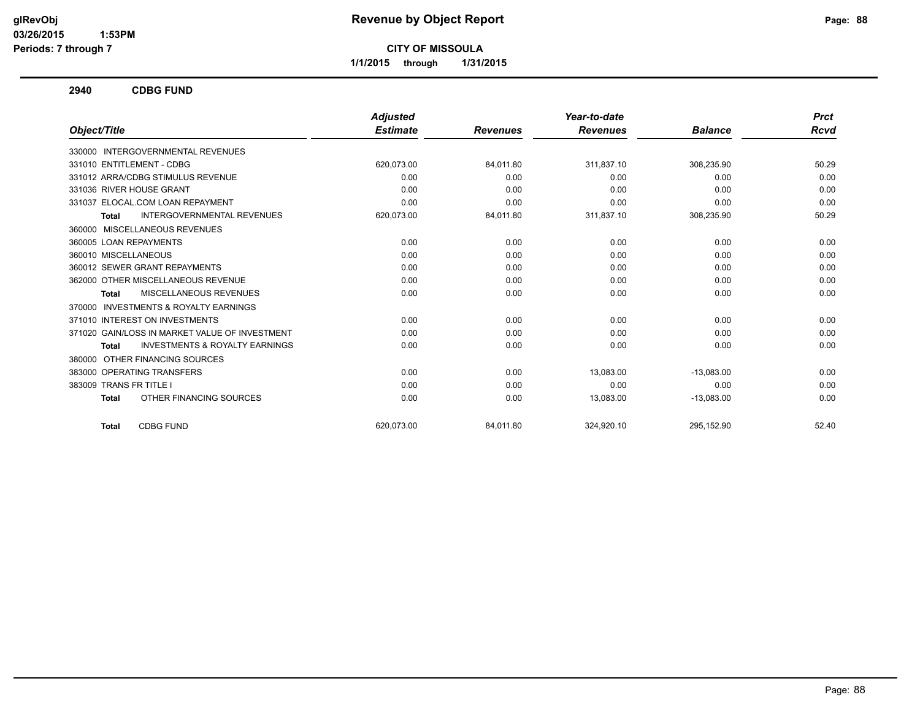**1/1/2015 through 1/31/2015**

**2940 CDBG FUND**

|                                                           | <b>Adjusted</b> |                 | Year-to-date    |                | <b>Prct</b> |
|-----------------------------------------------------------|-----------------|-----------------|-----------------|----------------|-------------|
| Object/Title                                              | <b>Estimate</b> | <b>Revenues</b> | <b>Revenues</b> | <b>Balance</b> | <b>Rcvd</b> |
| 330000 INTERGOVERNMENTAL REVENUES                         |                 |                 |                 |                |             |
| 331010 ENTITLEMENT - CDBG                                 | 620,073.00      | 84,011.80       | 311,837.10      | 308,235.90     | 50.29       |
| 331012 ARRA/CDBG STIMULUS REVENUE                         | 0.00            | 0.00            | 0.00            | 0.00           | 0.00        |
| 331036 RIVER HOUSE GRANT                                  | 0.00            | 0.00            | 0.00            | 0.00           | 0.00        |
| 331037 ELOCAL.COM LOAN REPAYMENT                          | 0.00            | 0.00            | 0.00            | 0.00           | 0.00        |
| <b>INTERGOVERNMENTAL REVENUES</b><br><b>Total</b>         | 620,073.00      | 84,011.80       | 311,837.10      | 308,235.90     | 50.29       |
| 360000 MISCELLANEOUS REVENUES                             |                 |                 |                 |                |             |
| 360005 LOAN REPAYMENTS                                    | 0.00            | 0.00            | 0.00            | 0.00           | 0.00        |
| 360010 MISCELLANEOUS                                      | 0.00            | 0.00            | 0.00            | 0.00           | 0.00        |
| 360012 SEWER GRANT REPAYMENTS                             | 0.00            | 0.00            | 0.00            | 0.00           | 0.00        |
| 362000 OTHER MISCELLANEOUS REVENUE                        | 0.00            | 0.00            | 0.00            | 0.00           | 0.00        |
| MISCELLANEOUS REVENUES<br><b>Total</b>                    | 0.00            | 0.00            | 0.00            | 0.00           | 0.00        |
| INVESTMENTS & ROYALTY EARNINGS<br>370000                  |                 |                 |                 |                |             |
| 371010 INTEREST ON INVESTMENTS                            | 0.00            | 0.00            | 0.00            | 0.00           | 0.00        |
| 371020 GAIN/LOSS IN MARKET VALUE OF INVESTMENT            | 0.00            | 0.00            | 0.00            | 0.00           | 0.00        |
| <b>INVESTMENTS &amp; ROYALTY EARNINGS</b><br><b>Total</b> | 0.00            | 0.00            | 0.00            | 0.00           | 0.00        |
| OTHER FINANCING SOURCES<br>380000                         |                 |                 |                 |                |             |
| 383000 OPERATING TRANSFERS                                | 0.00            | 0.00            | 13,083.00       | $-13,083.00$   | 0.00        |
| 383009 TRANS FR TITLE I                                   | 0.00            | 0.00            | 0.00            | 0.00           | 0.00        |
| OTHER FINANCING SOURCES<br><b>Total</b>                   | 0.00            | 0.00            | 13,083.00       | $-13,083.00$   | 0.00        |
| <b>CDBG FUND</b><br><b>Total</b>                          | 620.073.00      | 84,011.80       | 324,920.10      | 295,152.90     | 52.40       |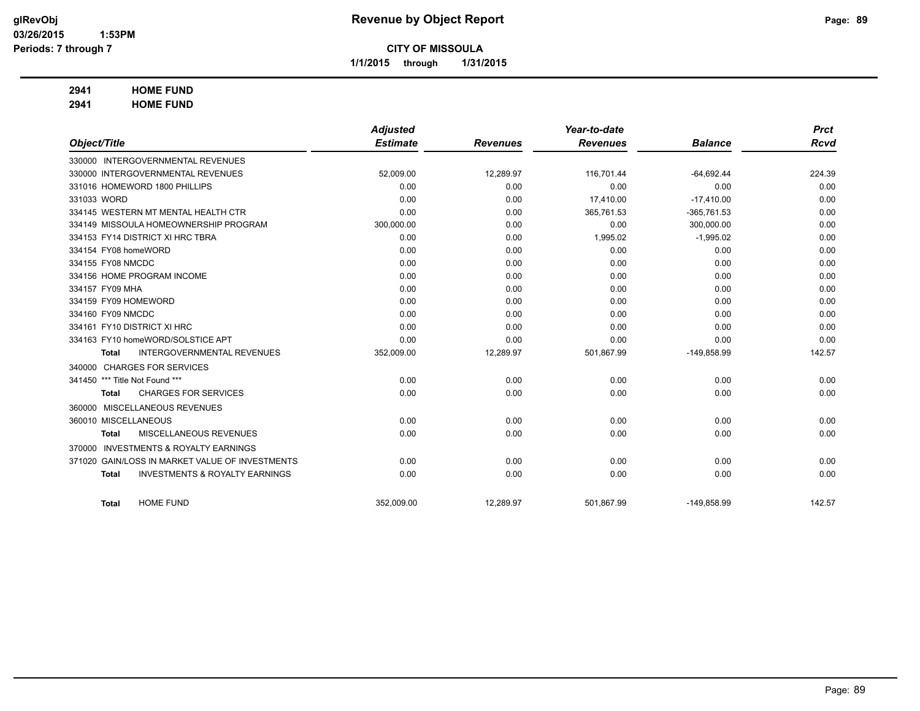**1/1/2015 through 1/31/2015**

## **2941 HOME FUND**

**2941 HOME FUND**

|                                                           | <b>Adjusted</b> |                 | Year-to-date    |                | <b>Prct</b> |
|-----------------------------------------------------------|-----------------|-----------------|-----------------|----------------|-------------|
| Object/Title                                              | <b>Estimate</b> | <b>Revenues</b> | <b>Revenues</b> | <b>Balance</b> | <b>Rcvd</b> |
| 330000 INTERGOVERNMENTAL REVENUES                         |                 |                 |                 |                |             |
| 330000 INTERGOVERNMENTAL REVENUES                         | 52,009.00       | 12,289.97       | 116,701.44      | $-64,692.44$   | 224.39      |
| 331016 HOMEWORD 1800 PHILLIPS                             | 0.00            | 0.00            | 0.00            | 0.00           | 0.00        |
| 331033 WORD                                               | 0.00            | 0.00            | 17.410.00       | $-17,410.00$   | 0.00        |
| 334145 WESTERN MT MENTAL HEALTH CTR                       | 0.00            | 0.00            | 365,761.53      | $-365,761.53$  | 0.00        |
| 334149 MISSOULA HOMEOWNERSHIP PROGRAM                     | 300,000.00      | 0.00            | 0.00            | 300,000.00     | 0.00        |
| 334153 FY14 DISTRICT XI HRC TBRA                          | 0.00            | 0.00            | 1,995.02        | $-1,995.02$    | 0.00        |
| 334154 FY08 homeWORD                                      | 0.00            | 0.00            | 0.00            | 0.00           | 0.00        |
| 334155 FY08 NMCDC                                         | 0.00            | 0.00            | 0.00            | 0.00           | 0.00        |
| 334156 HOME PROGRAM INCOME                                | 0.00            | 0.00            | 0.00            | 0.00           | 0.00        |
| 334157 FY09 MHA                                           | 0.00            | 0.00            | 0.00            | 0.00           | 0.00        |
| 334159 FY09 HOMEWORD                                      | 0.00            | 0.00            | 0.00            | 0.00           | 0.00        |
| 334160 FY09 NMCDC                                         | 0.00            | 0.00            | 0.00            | 0.00           | 0.00        |
| 334161 FY10 DISTRICT XI HRC                               | 0.00            | 0.00            | 0.00            | 0.00           | 0.00        |
| 334163 FY10 homeWORD/SOLSTICE APT                         | 0.00            | 0.00            | 0.00            | 0.00           | 0.00        |
| <b>INTERGOVERNMENTAL REVENUES</b><br><b>Total</b>         | 352,009.00      | 12,289.97       | 501,867.99      | $-149,858.99$  | 142.57      |
| 340000 CHARGES FOR SERVICES                               |                 |                 |                 |                |             |
| 341450 *** Title Not Found ***                            | 0.00            | 0.00            | 0.00            | 0.00           | 0.00        |
| <b>CHARGES FOR SERVICES</b><br><b>Total</b>               | 0.00            | 0.00            | 0.00            | 0.00           | 0.00        |
| 360000 MISCELLANEOUS REVENUES                             |                 |                 |                 |                |             |
| 360010 MISCELLANEOUS                                      | 0.00            | 0.00            | 0.00            | 0.00           | 0.00        |
| MISCELLANEOUS REVENUES<br><b>Total</b>                    | 0.00            | 0.00            | 0.00            | 0.00           | 0.00        |
| <b>INVESTMENTS &amp; ROYALTY EARNINGS</b><br>370000       |                 |                 |                 |                |             |
| 371020 GAIN/LOSS IN MARKET VALUE OF INVESTMENTS           | 0.00            | 0.00            | 0.00            | 0.00           | 0.00        |
| <b>INVESTMENTS &amp; ROYALTY EARNINGS</b><br><b>Total</b> | 0.00            | 0.00            | 0.00            | 0.00           | 0.00        |
| <b>HOME FUND</b><br><b>Total</b>                          | 352,009.00      | 12,289.97       | 501,867.99      | -149,858.99    | 142.57      |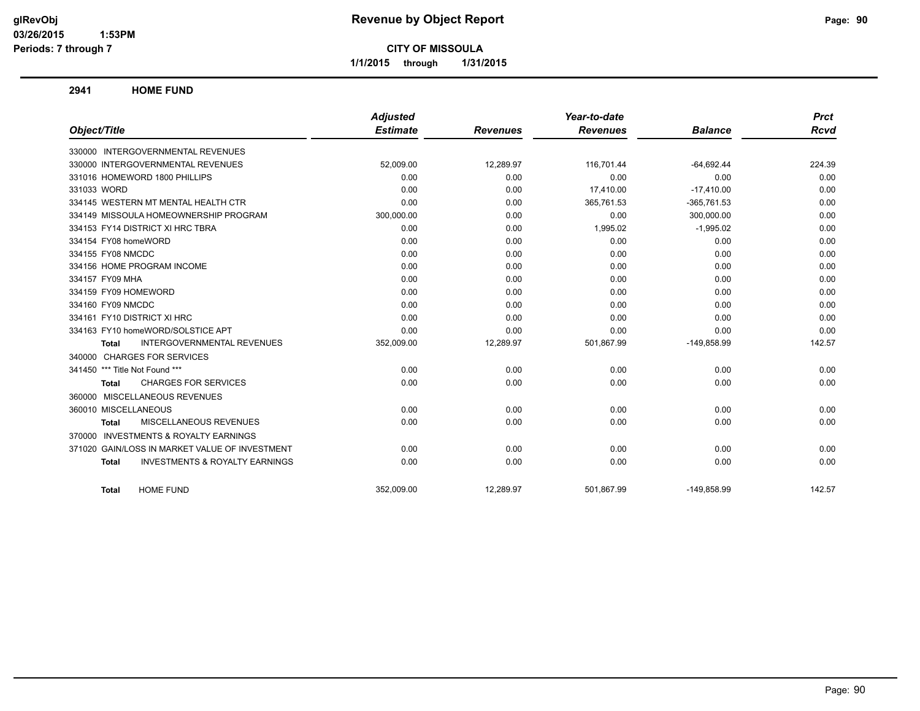**1/1/2015 through 1/31/2015**

**2941 HOME FUND**

|                                                           | <b>Adjusted</b> |                 | Year-to-date    |                | <b>Prct</b> |
|-----------------------------------------------------------|-----------------|-----------------|-----------------|----------------|-------------|
| Object/Title                                              | <b>Estimate</b> | <b>Revenues</b> | <b>Revenues</b> | <b>Balance</b> | Rcvd        |
| 330000 INTERGOVERNMENTAL REVENUES                         |                 |                 |                 |                |             |
| 330000 INTERGOVERNMENTAL REVENUES                         | 52,009.00       | 12,289.97       | 116.701.44      | $-64,692.44$   | 224.39      |
| 331016 HOMEWORD 1800 PHILLIPS                             | 0.00            | 0.00            | 0.00            | 0.00           | 0.00        |
| 331033 WORD                                               | 0.00            | 0.00            | 17,410.00       | $-17,410.00$   | 0.00        |
| 334145 WESTERN MT MENTAL HEALTH CTR                       | 0.00            | 0.00            | 365,761.53      | $-365,761.53$  | 0.00        |
| 334149 MISSOULA HOMEOWNERSHIP PROGRAM                     | 300,000.00      | 0.00            | 0.00            | 300,000.00     | 0.00        |
| 334153 FY14 DISTRICT XI HRC TBRA                          | 0.00            | 0.00            | 1,995.02        | $-1,995.02$    | 0.00        |
| 334154 FY08 homeWORD                                      | 0.00            | 0.00            | 0.00            | 0.00           | 0.00        |
| 334155 FY08 NMCDC                                         | 0.00            | 0.00            | 0.00            | 0.00           | 0.00        |
| 334156 HOME PROGRAM INCOME                                | 0.00            | 0.00            | 0.00            | 0.00           | 0.00        |
| 334157 FY09 MHA                                           | 0.00            | 0.00            | 0.00            | 0.00           | 0.00        |
| 334159 FY09 HOMEWORD                                      | 0.00            | 0.00            | 0.00            | 0.00           | 0.00        |
| 334160 FY09 NMCDC                                         | 0.00            | 0.00            | 0.00            | 0.00           | 0.00        |
| 334161 FY10 DISTRICT XI HRC                               | 0.00            | 0.00            | 0.00            | 0.00           | 0.00        |
| 334163 FY10 homeWORD/SOLSTICE APT                         | 0.00            | 0.00            | 0.00            | 0.00           | 0.00        |
| <b>INTERGOVERNMENTAL REVENUES</b><br><b>Total</b>         | 352,009.00      | 12,289.97       | 501,867.99      | $-149,858.99$  | 142.57      |
| 340000 CHARGES FOR SERVICES                               |                 |                 |                 |                |             |
| 341450 *** Title Not Found ***                            | 0.00            | 0.00            | 0.00            | 0.00           | 0.00        |
| <b>CHARGES FOR SERVICES</b><br>Total                      | 0.00            | 0.00            | 0.00            | 0.00           | 0.00        |
| 360000 MISCELLANEOUS REVENUES                             |                 |                 |                 |                |             |
| 360010 MISCELLANEOUS                                      | 0.00            | 0.00            | 0.00            | 0.00           | 0.00        |
| MISCELLANEOUS REVENUES<br><b>Total</b>                    | 0.00            | 0.00            | 0.00            | 0.00           | 0.00        |
| 370000 INVESTMENTS & ROYALTY EARNINGS                     |                 |                 |                 |                |             |
| 371020 GAIN/LOSS IN MARKET VALUE OF INVESTMENT            | 0.00            | 0.00            | 0.00            | 0.00           | 0.00        |
| <b>INVESTMENTS &amp; ROYALTY EARNINGS</b><br><b>Total</b> | 0.00            | 0.00            | 0.00            | 0.00           | 0.00        |
| <b>HOME FUND</b><br><b>Total</b>                          | 352,009.00      | 12,289.97       | 501,867.99      | $-149,858.99$  | 142.57      |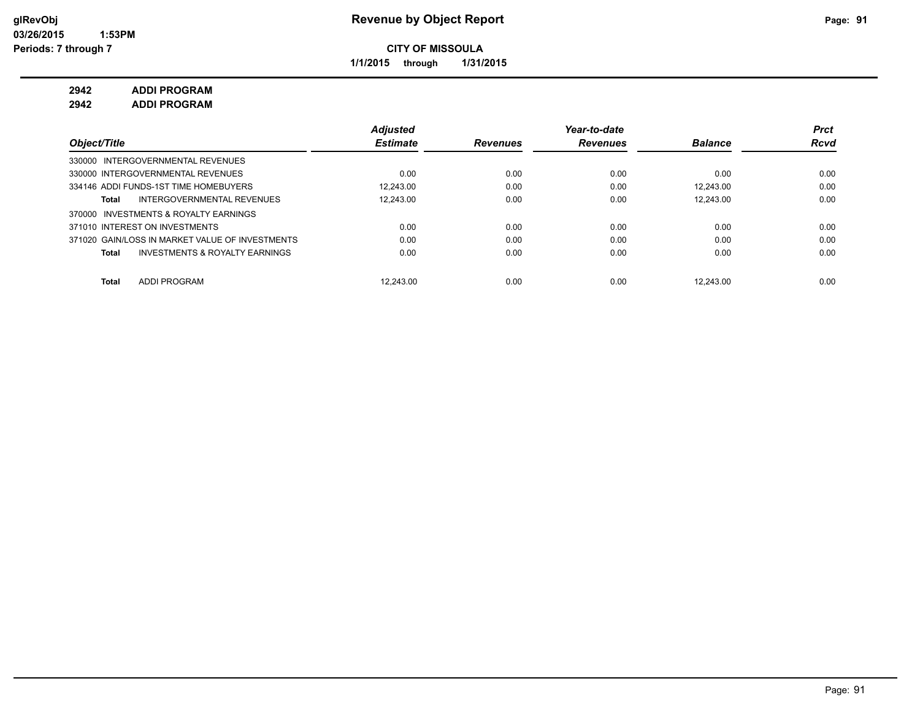**1/1/2015 through 1/31/2015**

**2942 ADDI PROGRAM**

**2942 ADDI PROGRAM**

|                                                    | <b>Adjusted</b> |                 | Year-to-date    |                | <b>Prct</b> |
|----------------------------------------------------|-----------------|-----------------|-----------------|----------------|-------------|
| Object/Title                                       | <b>Estimate</b> | <b>Revenues</b> | <b>Revenues</b> | <b>Balance</b> | <b>Rcvd</b> |
| 330000 INTERGOVERNMENTAL REVENUES                  |                 |                 |                 |                |             |
| 330000 INTERGOVERNMENTAL REVENUES                  | 0.00            | 0.00            | 0.00            | 0.00           | 0.00        |
| 334146 ADDI FUNDS-1ST TIME HOMEBUYERS              | 12.243.00       | 0.00            | 0.00            | 12.243.00      | 0.00        |
| INTERGOVERNMENTAL REVENUES<br>Total                | 12.243.00       | 0.00            | 0.00            | 12.243.00      | 0.00        |
| 370000 INVESTMENTS & ROYALTY EARNINGS              |                 |                 |                 |                |             |
| 371010 INTEREST ON INVESTMENTS                     | 0.00            | 0.00            | 0.00            | 0.00           | 0.00        |
| 371020 GAIN/LOSS IN MARKET VALUE OF INVESTMENTS    | 0.00            | 0.00            | 0.00            | 0.00           | 0.00        |
| <b>INVESTMENTS &amp; ROYALTY EARNINGS</b><br>Total | 0.00            | 0.00            | 0.00            | 0.00           | 0.00        |
|                                                    |                 |                 |                 |                |             |
| <b>ADDI PROGRAM</b><br>Total                       | 12.243.00       | 0.00            | 0.00            | 12.243.00      | 0.00        |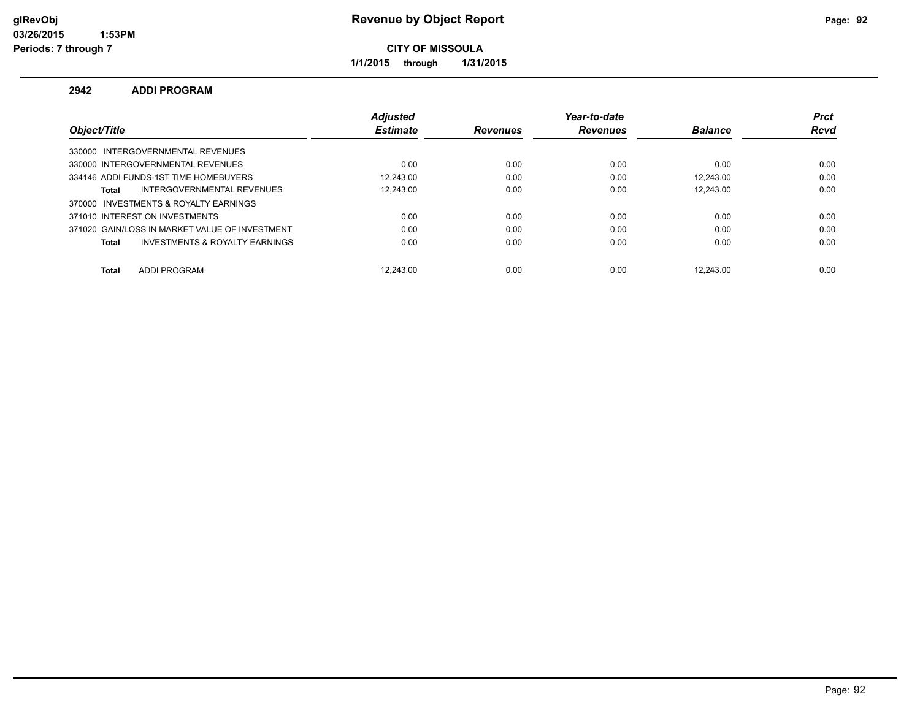# **glRevObj Revenue by Object Report Page: 92**

**CITY OF MISSOULA**

**1/1/2015 through 1/31/2015**

## **2942 ADDI PROGRAM**

|                                                | <b>Adiusted</b> |                 | Year-to-date    |                | <b>Prct</b> |
|------------------------------------------------|-----------------|-----------------|-----------------|----------------|-------------|
| Object/Title                                   | <b>Estimate</b> | <b>Revenues</b> | <b>Revenues</b> | <b>Balance</b> | <b>Rcvd</b> |
| 330000 INTERGOVERNMENTAL REVENUES              |                 |                 |                 |                |             |
| 330000 INTERGOVERNMENTAL REVENUES              | 0.00            | 0.00            | 0.00            | 0.00           | 0.00        |
| 334146 ADDI FUNDS-1ST TIME HOMEBUYERS          | 12.243.00       | 0.00            | 0.00            | 12.243.00      | 0.00        |
| INTERGOVERNMENTAL REVENUES<br>Total            | 12.243.00       | 0.00            | 0.00            | 12.243.00      | 0.00        |
| 370000 INVESTMENTS & ROYALTY EARNINGS          |                 |                 |                 |                |             |
| 371010 INTEREST ON INVESTMENTS                 | 0.00            | 0.00            | 0.00            | 0.00           | 0.00        |
| 371020 GAIN/LOSS IN MARKET VALUE OF INVESTMENT | 0.00            | 0.00            | 0.00            | 0.00           | 0.00        |
| INVESTMENTS & ROYALTY EARNINGS<br>Total        | 0.00            | 0.00            | 0.00            | 0.00           | 0.00        |
|                                                |                 |                 |                 |                |             |
| <b>ADDI PROGRAM</b><br><b>Total</b>            | 12.243.00       | 0.00            | 0.00            | 12.243.00      | 0.00        |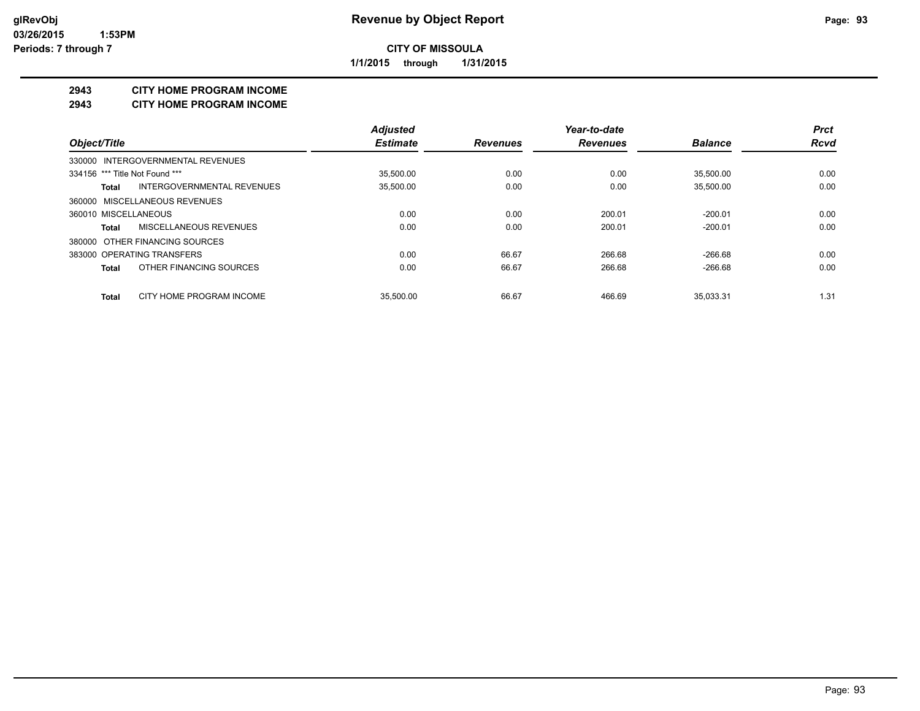**1/1/2015 through 1/31/2015**

#### **2943 CITY HOME PROGRAM INCOME**

#### **2943 CITY HOME PROGRAM INCOME**

|                                     | <b>Adjusted</b> |                 | Year-to-date    |                | <b>Prct</b> |
|-------------------------------------|-----------------|-----------------|-----------------|----------------|-------------|
| Object/Title                        | <b>Estimate</b> | <b>Revenues</b> | <b>Revenues</b> | <b>Balance</b> | <b>Rcvd</b> |
| 330000 INTERGOVERNMENTAL REVENUES   |                 |                 |                 |                |             |
| 334156 *** Title Not Found ***      | 35,500.00       | 0.00            | 0.00            | 35,500.00      | 0.00        |
| INTERGOVERNMENTAL REVENUES<br>Total | 35,500.00       | 0.00            | 0.00            | 35,500.00      | 0.00        |
| 360000 MISCELLANEOUS REVENUES       |                 |                 |                 |                |             |
| 360010 MISCELLANEOUS                | 0.00            | 0.00            | 200.01          | $-200.01$      | 0.00        |
| MISCELLANEOUS REVENUES<br>Total     | 0.00            | 0.00            | 200.01          | $-200.01$      | 0.00        |
| 380000 OTHER FINANCING SOURCES      |                 |                 |                 |                |             |
| 383000 OPERATING TRANSFERS          | 0.00            | 66.67           | 266.68          | $-266.68$      | 0.00        |
| OTHER FINANCING SOURCES<br>Total    | 0.00            | 66.67           | 266.68          | $-266.68$      | 0.00        |
| CITY HOME PROGRAM INCOME<br>Total   | 35.500.00       | 66.67           | 466.69          | 35.033.31      | 1.31        |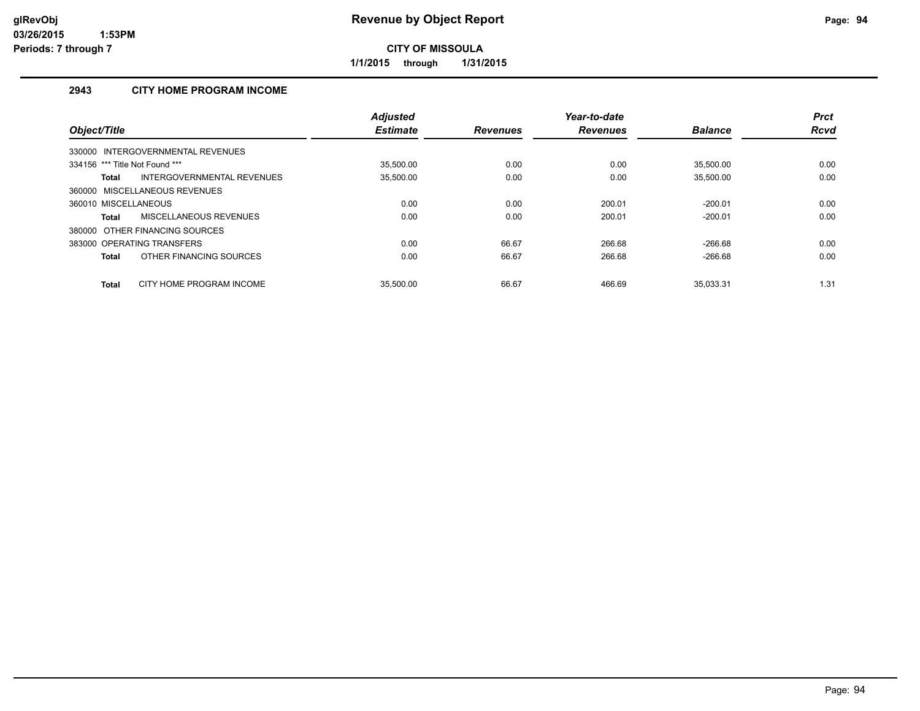**1/1/2015 through 1/31/2015**

# **2943 CITY HOME PROGRAM INCOME**

|                                            | <b>Adjusted</b> |                 | Year-to-date    |                | <b>Prct</b> |
|--------------------------------------------|-----------------|-----------------|-----------------|----------------|-------------|
| Object/Title                               | <b>Estimate</b> | <b>Revenues</b> | <b>Revenues</b> | <b>Balance</b> | <b>Rcvd</b> |
| 330000 INTERGOVERNMENTAL REVENUES          |                 |                 |                 |                |             |
| 334156 *** Title Not Found ***             | 35.500.00       | 0.00            | 0.00            | 35.500.00      | 0.00        |
| INTERGOVERNMENTAL REVENUES<br><b>Total</b> | 35,500.00       | 0.00            | 0.00            | 35,500.00      | 0.00        |
| MISCELLANEOUS REVENUES<br>360000           |                 |                 |                 |                |             |
| 360010 MISCELLANEOUS                       | 0.00            | 0.00            | 200.01          | $-200.01$      | 0.00        |
| MISCELLANEOUS REVENUES<br>Total            | 0.00            | 0.00            | 200.01          | $-200.01$      | 0.00        |
| 380000 OTHER FINANCING SOURCES             |                 |                 |                 |                |             |
| 383000 OPERATING TRANSFERS                 | 0.00            | 66.67           | 266.68          | $-266.68$      | 0.00        |
| OTHER FINANCING SOURCES<br><b>Total</b>    | 0.00            | 66.67           | 266.68          | $-266.68$      | 0.00        |
| CITY HOME PROGRAM INCOME<br><b>Total</b>   | 35.500.00       | 66.67           | 466.69          | 35.033.31      | 1.31        |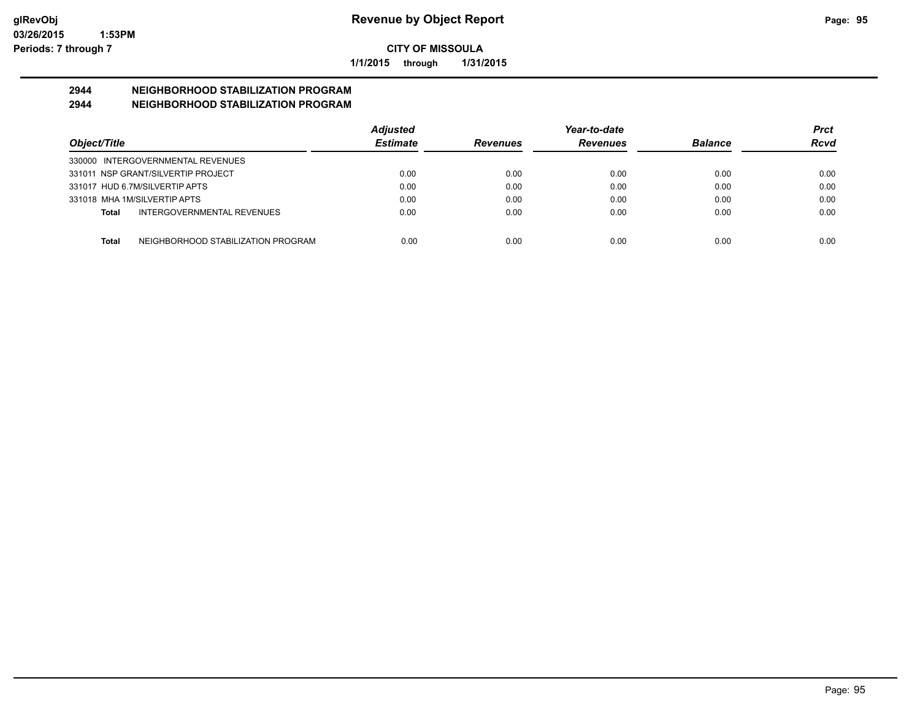**1/1/2015 through 1/31/2015**

# **2944 NEIGHBORHOOD STABILIZATION PROGRAM**

# **2944 NEIGHBORHOOD STABILIZATION PROGRAM**

|                                                    | <b>Adjusted</b> |                 | Year-to-date    |                | <b>Prct</b> |
|----------------------------------------------------|-----------------|-----------------|-----------------|----------------|-------------|
| Object/Title                                       | <b>Estimate</b> | <b>Revenues</b> | <b>Revenues</b> | <b>Balance</b> | Rcvd        |
| 330000 INTERGOVERNMENTAL REVENUES                  |                 |                 |                 |                |             |
| 331011 NSP GRANT/SILVERTIP PROJECT                 | 0.00            | 0.00            | 0.00            | 0.00           | 0.00        |
| 331017 HUD 6.7M/SILVERTIP APTS                     | 0.00            | 0.00            | 0.00            | 0.00           | 0.00        |
| 331018 MHA 1M/SILVERTIP APTS                       | 0.00            | 0.00            | 0.00            | 0.00           | 0.00        |
| <b>INTERGOVERNMENTAL REVENUES</b><br>Total         | 0.00            | 0.00            | 0.00            | 0.00           | 0.00        |
|                                                    |                 |                 |                 |                |             |
| NEIGHBORHOOD STABILIZATION PROGRAM<br><b>Total</b> | 0.00            | 0.00            | 0.00            | 0.00           | 0.00        |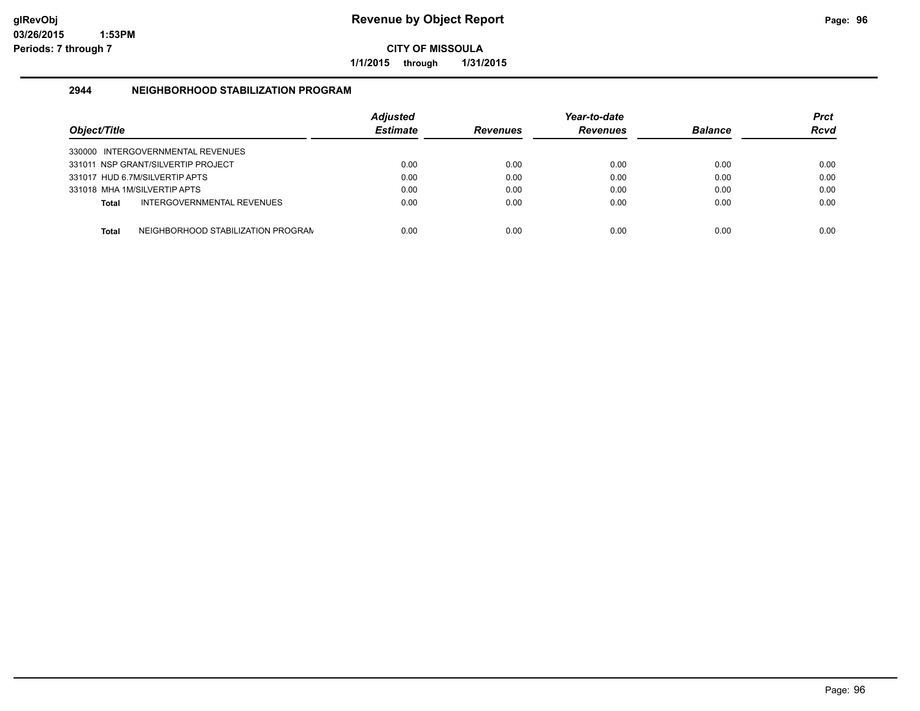**1/1/2015 through 1/31/2015**

## **2944 NEIGHBORHOOD STABILIZATION PROGRAM**

| Object/Title                                | <b>Adiusted</b><br><b>Estimate</b> | <b>Revenues</b> | Year-to-date<br><b>Revenues</b> | <b>Balance</b> | <b>Prct</b><br><b>Rcvd</b> |
|---------------------------------------------|------------------------------------|-----------------|---------------------------------|----------------|----------------------------|
| 330000 INTERGOVERNMENTAL REVENUES           |                                    |                 |                                 |                |                            |
| 331011 NSP GRANT/SILVERTIP PROJECT          | 0.00                               | 0.00            | 0.00                            | 0.00           | 0.00                       |
| 331017 HUD 6.7M/SILVERTIP APTS              | 0.00                               | 0.00            | 0.00                            | 0.00           | 0.00                       |
| 331018 MHA 1M/SILVERTIP APTS                | 0.00                               | 0.00            | 0.00                            | 0.00           | 0.00                       |
| INTERGOVERNMENTAL REVENUES<br>Total         | 0.00                               | 0.00            | 0.00                            | 0.00           | 0.00                       |
|                                             |                                    |                 |                                 |                |                            |
| NEIGHBORHOOD STABILIZATION PROGRAM<br>Total | 0.00                               | 0.00            | 0.00                            | 0.00           | 0.00                       |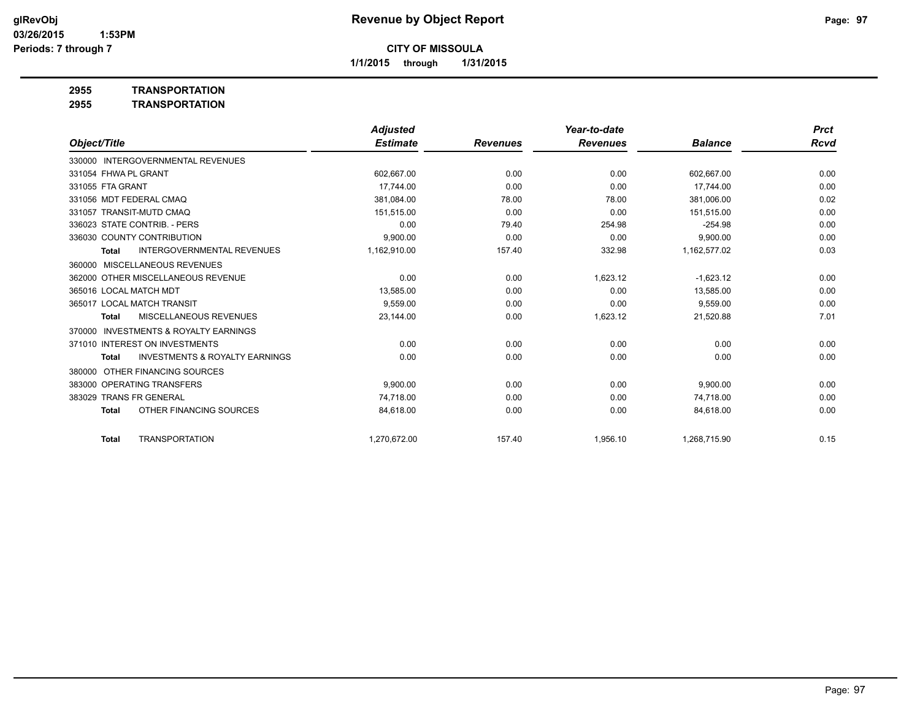**1/1/2015 through 1/31/2015**

**2955 TRANSPORTATION**

**2955 TRANSPORTATION**

|                                                           | <b>Adjusted</b> |                 | Year-to-date    |                | <b>Prct</b> |
|-----------------------------------------------------------|-----------------|-----------------|-----------------|----------------|-------------|
| Object/Title                                              | <b>Estimate</b> | <b>Revenues</b> | <b>Revenues</b> | <b>Balance</b> | Rcvd        |
| 330000 INTERGOVERNMENTAL REVENUES                         |                 |                 |                 |                |             |
| 331054 FHWA PL GRANT                                      | 602,667.00      | 0.00            | 0.00            | 602,667.00     | 0.00        |
| 331055 FTA GRANT                                          | 17.744.00       | 0.00            | 0.00            | 17.744.00      | 0.00        |
| 331056 MDT FEDERAL CMAQ                                   | 381,084.00      | 78.00           | 78.00           | 381,006.00     | 0.02        |
| 331057 TRANSIT-MUTD CMAQ                                  | 151,515.00      | 0.00            | 0.00            | 151,515.00     | 0.00        |
| 336023 STATE CONTRIB. - PERS                              | 0.00            | 79.40           | 254.98          | $-254.98$      | 0.00        |
| 336030 COUNTY CONTRIBUTION                                | 9,900.00        | 0.00            | 0.00            | 9,900.00       | 0.00        |
| <b>INTERGOVERNMENTAL REVENUES</b><br><b>Total</b>         | 1,162,910.00    | 157.40          | 332.98          | 1,162,577.02   | 0.03        |
| 360000 MISCELLANEOUS REVENUES                             |                 |                 |                 |                |             |
| 362000 OTHER MISCELLANEOUS REVENUE                        | 0.00            | 0.00            | 1,623.12        | $-1,623.12$    | 0.00        |
| 365016 LOCAL MATCH MDT                                    | 13,585.00       | 0.00            | 0.00            | 13,585.00      | 0.00        |
| 365017 LOCAL MATCH TRANSIT                                | 9.559.00        | 0.00            | 0.00            | 9,559.00       | 0.00        |
| <b>MISCELLANEOUS REVENUES</b><br><b>Total</b>             | 23,144.00       | 0.00            | 1,623.12        | 21,520.88      | 7.01        |
| INVESTMENTS & ROYALTY EARNINGS<br>370000                  |                 |                 |                 |                |             |
| 371010 INTEREST ON INVESTMENTS                            | 0.00            | 0.00            | 0.00            | 0.00           | 0.00        |
| <b>INVESTMENTS &amp; ROYALTY EARNINGS</b><br><b>Total</b> | 0.00            | 0.00            | 0.00            | 0.00           | 0.00        |
| OTHER FINANCING SOURCES<br>380000                         |                 |                 |                 |                |             |
| 383000 OPERATING TRANSFERS                                | 9.900.00        | 0.00            | 0.00            | 9,900.00       | 0.00        |
| 383029 TRANS FR GENERAL                                   | 74.718.00       | 0.00            | 0.00            | 74.718.00      | 0.00        |
| OTHER FINANCING SOURCES<br><b>Total</b>                   | 84,618.00       | 0.00            | 0.00            | 84,618.00      | 0.00        |
| <b>TRANSPORTATION</b><br><b>Total</b>                     | 1.270.672.00    | 157.40          | 1,956.10        | 1,268,715.90   | 0.15        |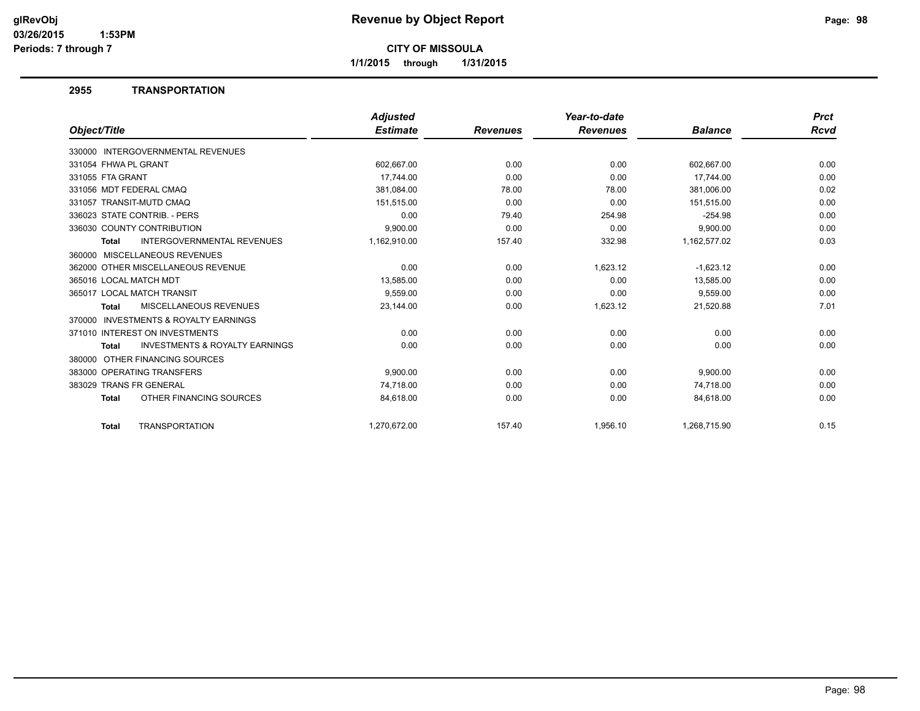**1/1/2015 through 1/31/2015**

## **2955 TRANSPORTATION**

|                         |                                           | <b>Adjusted</b> |                 | Year-to-date    |                | <b>Prct</b> |
|-------------------------|-------------------------------------------|-----------------|-----------------|-----------------|----------------|-------------|
| Object/Title            |                                           | <b>Estimate</b> | <b>Revenues</b> | <b>Revenues</b> | <b>Balance</b> | <b>Rcvd</b> |
|                         | 330000 INTERGOVERNMENTAL REVENUES         |                 |                 |                 |                |             |
| 331054 FHWA PL GRANT    |                                           | 602,667.00      | 0.00            | 0.00            | 602,667.00     | 0.00        |
| 331055 FTA GRANT        |                                           | 17,744.00       | 0.00            | 0.00            | 17,744.00      | 0.00        |
|                         | 331056 MDT FEDERAL CMAQ                   | 381,084.00      | 78.00           | 78.00           | 381,006.00     | 0.02        |
|                         | 331057 TRANSIT-MUTD CMAQ                  | 151,515.00      | 0.00            | 0.00            | 151,515.00     | 0.00        |
|                         | 336023 STATE CONTRIB. - PERS              | 0.00            | 79.40           | 254.98          | $-254.98$      | 0.00        |
|                         | 336030 COUNTY CONTRIBUTION                | 9,900.00        | 0.00            | 0.00            | 9,900.00       | 0.00        |
| <b>Total</b>            | <b>INTERGOVERNMENTAL REVENUES</b>         | 1,162,910.00    | 157.40          | 332.98          | 1,162,577.02   | 0.03        |
|                         | 360000 MISCELLANEOUS REVENUES             |                 |                 |                 |                |             |
|                         | 362000 OTHER MISCELLANEOUS REVENUE        | 0.00            | 0.00            | 1,623.12        | $-1,623.12$    | 0.00        |
| 365016 LOCAL MATCH MDT  |                                           | 13,585.00       | 0.00            | 0.00            | 13,585.00      | 0.00        |
|                         | 365017 LOCAL MATCH TRANSIT                | 9,559.00        | 0.00            | 0.00            | 9,559.00       | 0.00        |
| <b>Total</b>            | MISCELLANEOUS REVENUES                    | 23,144.00       | 0.00            | 1,623.12        | 21,520.88      | 7.01        |
|                         | 370000 INVESTMENTS & ROYALTY EARNINGS     |                 |                 |                 |                |             |
|                         | 371010 INTEREST ON INVESTMENTS            | 0.00            | 0.00            | 0.00            | 0.00           | 0.00        |
| <b>Total</b>            | <b>INVESTMENTS &amp; ROYALTY EARNINGS</b> | 0.00            | 0.00            | 0.00            | 0.00           | 0.00        |
| 380000                  | OTHER FINANCING SOURCES                   |                 |                 |                 |                |             |
|                         | 383000 OPERATING TRANSFERS                | 9,900.00        | 0.00            | 0.00            | 9,900.00       | 0.00        |
| 383029 TRANS FR GENERAL |                                           | 74.718.00       | 0.00            | 0.00            | 74.718.00      | 0.00        |
| <b>Total</b>            | OTHER FINANCING SOURCES                   | 84,618.00       | 0.00            | 0.00            | 84,618.00      | 0.00        |
| <b>Total</b>            | <b>TRANSPORTATION</b>                     | 1.270.672.00    | 157.40          | 1,956.10        | 1,268,715.90   | 0.15        |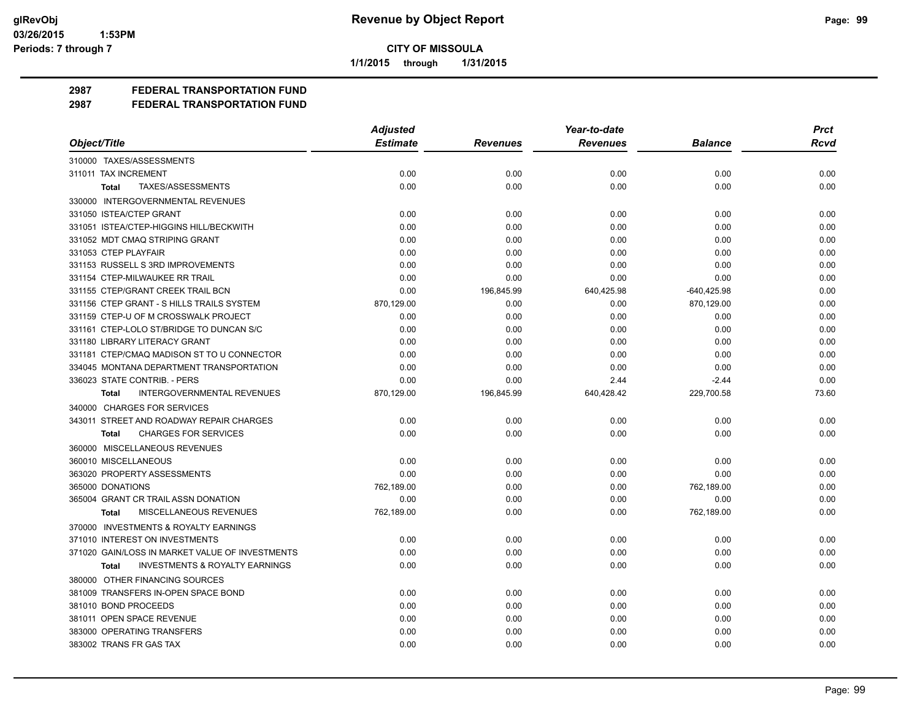**1/1/2015 through 1/31/2015**

**2987 FEDERAL TRANSPORTATION FUND**

|                                                    | <b>Adjusted</b> | Year-to-date    |                 |                | <b>Prct</b> |
|----------------------------------------------------|-----------------|-----------------|-----------------|----------------|-------------|
| Object/Title                                       | <b>Estimate</b> | <b>Revenues</b> | <b>Revenues</b> | <b>Balance</b> | Rcvd        |
| 310000 TAXES/ASSESSMENTS                           |                 |                 |                 |                |             |
| 311011 TAX INCREMENT                               | 0.00            | 0.00            | 0.00            | 0.00           | 0.00        |
| TAXES/ASSESSMENTS<br><b>Total</b>                  | 0.00            | 0.00            | 0.00            | 0.00           | 0.00        |
| 330000 INTERGOVERNMENTAL REVENUES                  |                 |                 |                 |                |             |
| 331050 ISTEA/CTEP GRANT                            | 0.00            | 0.00            | 0.00            | 0.00           | 0.00        |
| 331051 ISTEA/CTEP-HIGGINS HILL/BECKWITH            | 0.00            | 0.00            | 0.00            | 0.00           | 0.00        |
| 331052 MDT CMAQ STRIPING GRANT                     | 0.00            | 0.00            | 0.00            | 0.00           | 0.00        |
| 331053 CTEP PLAYFAIR                               | 0.00            | 0.00            | 0.00            | 0.00           | 0.00        |
| 331153 RUSSELL S 3RD IMPROVEMENTS                  | 0.00            | 0.00            | 0.00            | 0.00           | 0.00        |
| 331154 CTEP-MILWAUKEE RR TRAIL                     | 0.00            | 0.00            | 0.00            | 0.00           | 0.00        |
| 331155 CTEP/GRANT CREEK TRAIL BCN                  | 0.00            | 196,845.99      | 640,425.98      | $-640,425.98$  | 0.00        |
| 331156 CTEP GRANT - S HILLS TRAILS SYSTEM          | 870,129.00      | 0.00            | 0.00            | 870,129.00     | 0.00        |
| 331159 CTEP-U OF M CROSSWALK PROJECT               | 0.00            | 0.00            | 0.00            | 0.00           | 0.00        |
| 331161 CTEP-LOLO ST/BRIDGE TO DUNCAN S/C           | 0.00            | 0.00            | 0.00            | 0.00           | 0.00        |
| 331180 LIBRARY LITERACY GRANT                      | 0.00            | 0.00            | 0.00            | 0.00           | 0.00        |
| 331181 CTEP/CMAQ MADISON ST TO U CONNECTOR         | 0.00            | 0.00            | 0.00            | 0.00           | 0.00        |
| 334045 MONTANA DEPARTMENT TRANSPORTATION           | 0.00            | 0.00            | 0.00            | 0.00           | 0.00        |
| 336023 STATE CONTRIB. - PERS                       | 0.00            | 0.00            | 2.44            | $-2.44$        | 0.00        |
| <b>INTERGOVERNMENTAL REVENUES</b><br>Total         | 870,129.00      | 196,845.99      | 640,428.42      | 229,700.58     | 73.60       |
| 340000 CHARGES FOR SERVICES                        |                 |                 |                 |                |             |
| 343011 STREET AND ROADWAY REPAIR CHARGES           | 0.00            | 0.00            | 0.00            | 0.00           | 0.00        |
| <b>CHARGES FOR SERVICES</b><br><b>Total</b>        | 0.00            | 0.00            | 0.00            | 0.00           | 0.00        |
| 360000 MISCELLANEOUS REVENUES                      |                 |                 |                 |                |             |
| 360010 MISCELLANEOUS                               | 0.00            | 0.00            | 0.00            | 0.00           | 0.00        |
| 363020 PROPERTY ASSESSMENTS                        | 0.00            | 0.00            | 0.00            | 0.00           | 0.00        |
| 365000 DONATIONS                                   | 762,189.00      | 0.00            | 0.00            | 762,189.00     | 0.00        |
| 365004 GRANT CR TRAIL ASSN DONATION                | 0.00            | 0.00            | 0.00            | 0.00           | 0.00        |
| MISCELLANEOUS REVENUES<br>Total                    | 762,189.00      | 0.00            | 0.00            | 762,189.00     | 0.00        |
| 370000 INVESTMENTS & ROYALTY EARNINGS              |                 |                 |                 |                |             |
| 371010 INTEREST ON INVESTMENTS                     | 0.00            | 0.00            | 0.00            | 0.00           | 0.00        |
| 371020 GAIN/LOSS IN MARKET VALUE OF INVESTMENTS    | 0.00            | 0.00            | 0.00            | 0.00           | 0.00        |
| <b>INVESTMENTS &amp; ROYALTY EARNINGS</b><br>Total | 0.00            | 0.00            | 0.00            | 0.00           | 0.00        |
| 380000 OTHER FINANCING SOURCES                     |                 |                 |                 |                |             |
| 381009 TRANSFERS IN-OPEN SPACE BOND                | 0.00            | 0.00            | 0.00            | 0.00           | 0.00        |
| 381010 BOND PROCEEDS                               | 0.00            | 0.00            | 0.00            | 0.00           | 0.00        |
| 381011 OPEN SPACE REVENUE                          | 0.00            | 0.00            | 0.00            | 0.00           | 0.00        |
| 383000 OPERATING TRANSFERS                         | 0.00            | 0.00            | 0.00            | 0.00           | 0.00        |
| 383002 TRANS FR GAS TAX                            | 0.00            | 0.00            | 0.00            | 0.00           | 0.00        |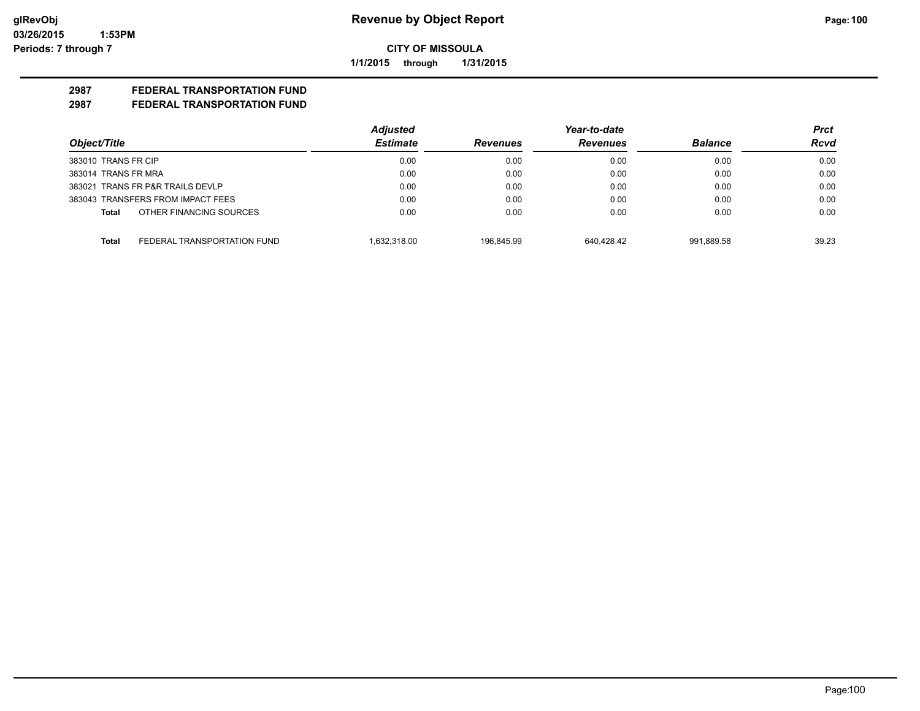**1/1/2015 through 1/31/2015**

# **2987 FEDERAL TRANSPORTATION FUND**

|                                      | <b>Adjusted</b> |                 | Year-to-date    |                | Prct  |
|--------------------------------------|-----------------|-----------------|-----------------|----------------|-------|
| Object/Title                         | <b>Estimate</b> | <b>Revenues</b> | <b>Revenues</b> | <b>Balance</b> | Rcvd  |
| 383010 TRANS FR CIP                  | 0.00            | 0.00            | 0.00            | 0.00           | 0.00  |
| 383014 TRANS FR MRA                  | 0.00            | 0.00            | 0.00            | 0.00           | 0.00  |
| 383021 TRANS FR P&R TRAILS DEVLP     | 0.00            | 0.00            | 0.00            | 0.00           | 0.00  |
| 383043 TRANSFERS FROM IMPACT FEES    | 0.00            | 0.00            | 0.00            | 0.00           | 0.00  |
| OTHER FINANCING SOURCES<br>Total     | 0.00            | 0.00            | 0.00            | 0.00           | 0.00  |
| FEDERAL TRANSPORTATION FUND<br>Total | 1.632.318.00    | 196.845.99      | 640.428.42      | 991.889.58     | 39.23 |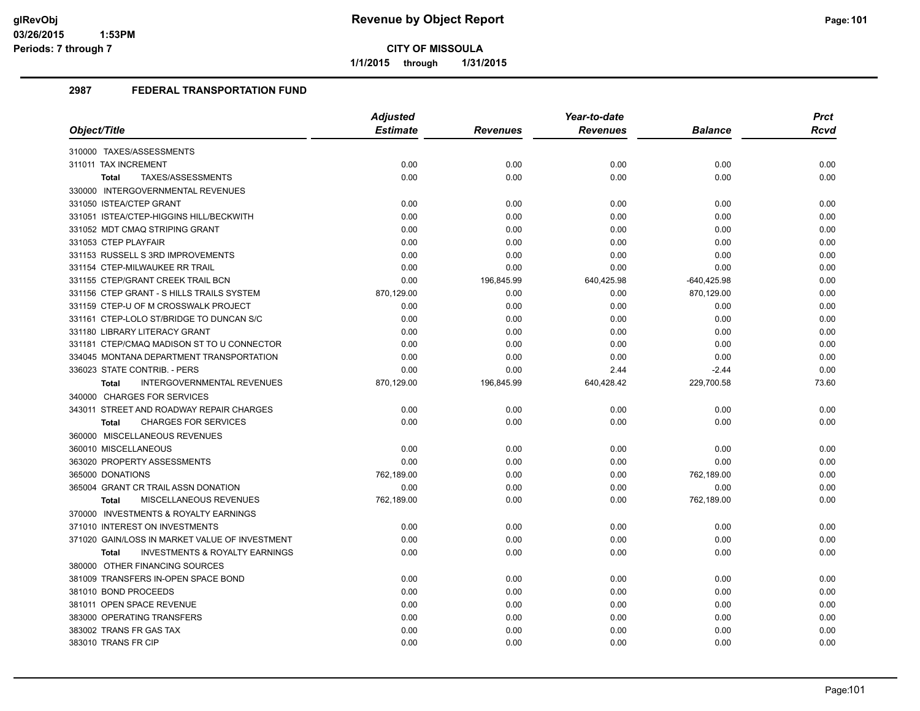**1/1/2015 through 1/31/2015**

|                                                    | <b>Adjusted</b> |                 | Year-to-date    |                | <b>Prct</b> |
|----------------------------------------------------|-----------------|-----------------|-----------------|----------------|-------------|
| Object/Title                                       | <b>Estimate</b> | <b>Revenues</b> | <b>Revenues</b> | <b>Balance</b> | Rcvd        |
| 310000 TAXES/ASSESSMENTS                           |                 |                 |                 |                |             |
| 311011 TAX INCREMENT                               | 0.00            | 0.00            | 0.00            | 0.00           | 0.00        |
| TAXES/ASSESSMENTS<br><b>Total</b>                  | 0.00            | 0.00            | 0.00            | 0.00           | 0.00        |
| 330000 INTERGOVERNMENTAL REVENUES                  |                 |                 |                 |                |             |
| 331050 ISTEA/CTEP GRANT                            | 0.00            | 0.00            | 0.00            | 0.00           | 0.00        |
| 331051 ISTEA/CTEP-HIGGINS HILL/BECKWITH            | 0.00            | 0.00            | 0.00            | 0.00           | 0.00        |
| 331052 MDT CMAQ STRIPING GRANT                     | 0.00            | 0.00            | 0.00            | 0.00           | 0.00        |
| 331053 CTEP PLAYFAIR                               | 0.00            | 0.00            | 0.00            | 0.00           | 0.00        |
| 331153 RUSSELL S 3RD IMPROVEMENTS                  | 0.00            | 0.00            | 0.00            | 0.00           | 0.00        |
| 331154 CTEP-MILWAUKEE RR TRAIL                     | 0.00            | 0.00            | 0.00            | 0.00           | 0.00        |
| 331155 CTEP/GRANT CREEK TRAIL BCN                  | 0.00            | 196,845.99      | 640,425.98      | $-640,425.98$  | 0.00        |
| 331156 CTEP GRANT - S HILLS TRAILS SYSTEM          | 870,129.00      | 0.00            | 0.00            | 870,129.00     | 0.00        |
| 331159 CTEP-U OF M CROSSWALK PROJECT               | 0.00            | 0.00            | 0.00            | 0.00           | 0.00        |
| 331161 CTEP-LOLO ST/BRIDGE TO DUNCAN S/C           | 0.00            | 0.00            | 0.00            | 0.00           | 0.00        |
| 331180 LIBRARY LITERACY GRANT                      | 0.00            | 0.00            | 0.00            | 0.00           | 0.00        |
| 331181 CTEP/CMAQ MADISON ST TO U CONNECTOR         | 0.00            | 0.00            | 0.00            | 0.00           | 0.00        |
| 334045 MONTANA DEPARTMENT TRANSPORTATION           | 0.00            | 0.00            | 0.00            | 0.00           | 0.00        |
| 336023 STATE CONTRIB. - PERS                       | 0.00            | 0.00            | 2.44            | $-2.44$        | 0.00        |
| <b>INTERGOVERNMENTAL REVENUES</b><br><b>Total</b>  | 870,129.00      | 196,845.99      | 640,428.42      | 229,700.58     | 73.60       |
| 340000 CHARGES FOR SERVICES                        |                 |                 |                 |                |             |
| 343011 STREET AND ROADWAY REPAIR CHARGES           | 0.00            | 0.00            | 0.00            | 0.00           | 0.00        |
| <b>CHARGES FOR SERVICES</b><br><b>Total</b>        | 0.00            | 0.00            | 0.00            | 0.00           | 0.00        |
| 360000 MISCELLANEOUS REVENUES                      |                 |                 |                 |                |             |
| 360010 MISCELLANEOUS                               | 0.00            | 0.00            | 0.00            | 0.00           | 0.00        |
| 363020 PROPERTY ASSESSMENTS                        | 0.00            | 0.00            | 0.00            | 0.00           | 0.00        |
| 365000 DONATIONS                                   | 762,189.00      | 0.00            | 0.00            | 762,189.00     | 0.00        |
| 365004 GRANT CR TRAIL ASSN DONATION                | 0.00            | 0.00            | 0.00            | 0.00           | 0.00        |
| MISCELLANEOUS REVENUES<br><b>Total</b>             | 762,189.00      | 0.00            | 0.00            | 762,189.00     | 0.00        |
| 370000 INVESTMENTS & ROYALTY EARNINGS              |                 |                 |                 |                |             |
| 371010 INTEREST ON INVESTMENTS                     | 0.00            | 0.00            | 0.00            | 0.00           | 0.00        |
| 371020 GAIN/LOSS IN MARKET VALUE OF INVESTMENT     | 0.00            | 0.00            | 0.00            | 0.00           | 0.00        |
| <b>INVESTMENTS &amp; ROYALTY EARNINGS</b><br>Total | 0.00            | 0.00            | 0.00            | 0.00           | 0.00        |
| 380000 OTHER FINANCING SOURCES                     |                 |                 |                 |                |             |
| 381009 TRANSFERS IN-OPEN SPACE BOND                | 0.00            | 0.00            | 0.00            | 0.00           | 0.00        |
| 381010 BOND PROCEEDS                               | 0.00            | 0.00            | 0.00            | 0.00           | 0.00        |
| 381011 OPEN SPACE REVENUE                          | 0.00            | 0.00            | 0.00            | 0.00           | 0.00        |
| 383000 OPERATING TRANSFERS                         | 0.00            | 0.00            | 0.00            | 0.00           | 0.00        |
| 383002 TRANS FR GAS TAX                            | 0.00            | 0.00            | 0.00            | 0.00           | 0.00        |
| 383010 TRANS FR CIP                                | 0.00            | 0.00            | 0.00            | 0.00           | 0.00        |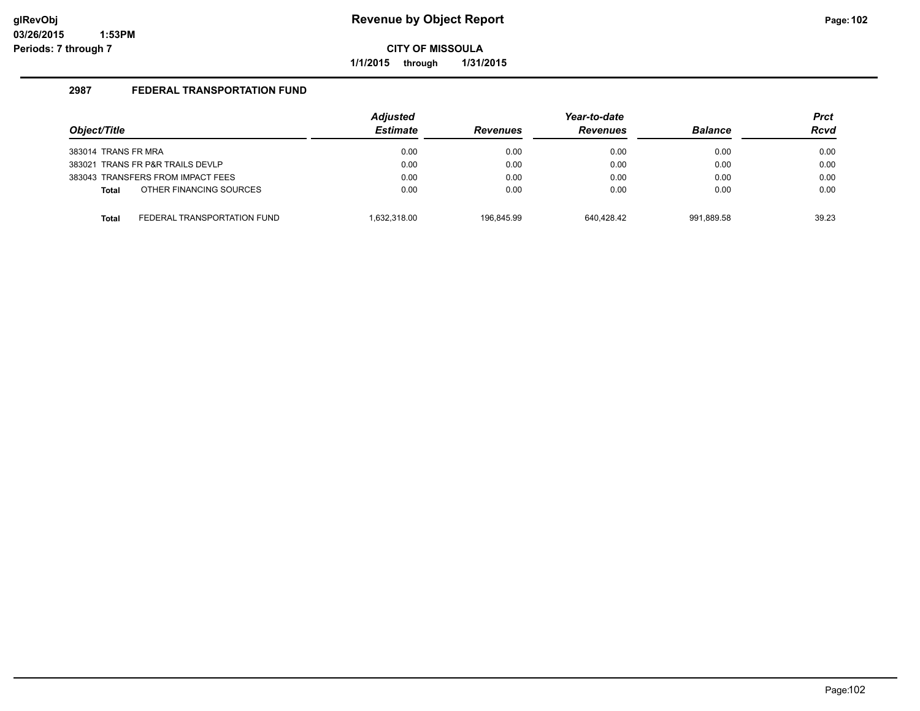**1/1/2015 through 1/31/2015**

| Object/Title        |                                   | <b>Adjusted</b><br><b>Estimate</b> | <b>Revenues</b> | Year-to-date<br><b>Revenues</b> | <b>Balance</b> | <b>Prct</b><br><b>Rcvd</b> |
|---------------------|-----------------------------------|------------------------------------|-----------------|---------------------------------|----------------|----------------------------|
| 383014 TRANS FR MRA |                                   | 0.00                               | 0.00            | 0.00                            | 0.00           | 0.00                       |
|                     | 383021 TRANS FR P&R TRAILS DEVLP  | 0.00                               | 0.00            | 0.00                            | 0.00           | 0.00                       |
|                     | 383043 TRANSFERS FROM IMPACT FEES | 0.00                               | 0.00            | 0.00                            | 0.00           | 0.00                       |
| <b>Total</b>        | OTHER FINANCING SOURCES           | 0.00                               | 0.00            | 0.00                            | 0.00           | 0.00                       |
| <b>Total</b>        | FEDERAL TRANSPORTATION FUND       | 1.632.318.00                       | 196.845.99      | 640.428.42                      | 991.889.58     | 39.23                      |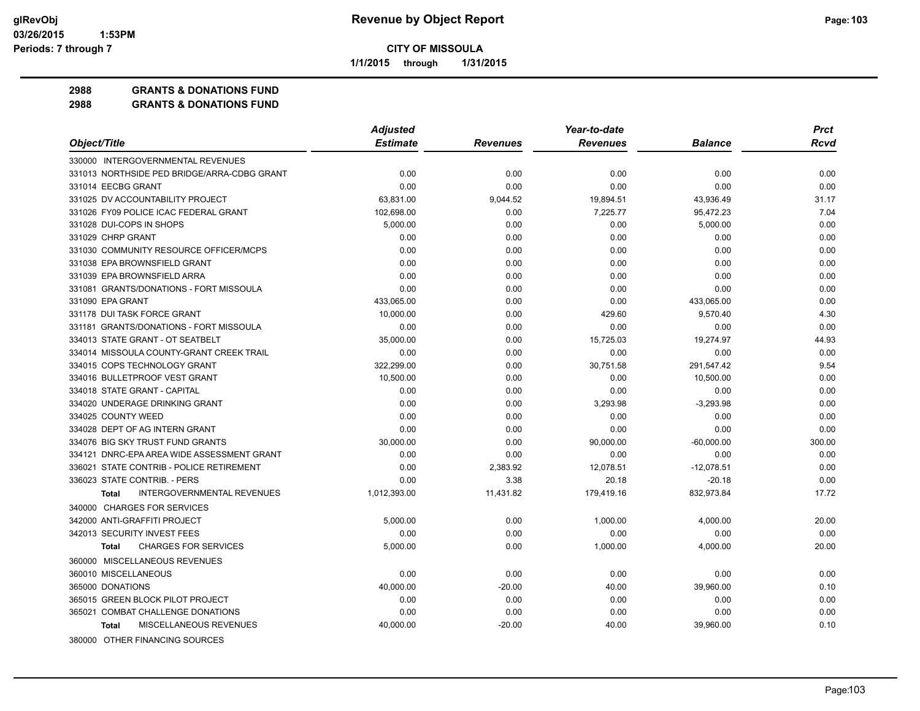**1/1/2015 through 1/31/2015**

**2988 GRANTS & DONATIONS FUND**

|                                                   | <b>Adjusted</b> |                 | Year-to-date    |                |             |
|---------------------------------------------------|-----------------|-----------------|-----------------|----------------|-------------|
| Object/Title                                      | <b>Estimate</b> | <b>Revenues</b> | <b>Revenues</b> | <b>Balance</b> | <b>Rcvd</b> |
| 330000 INTERGOVERNMENTAL REVENUES                 |                 |                 |                 |                |             |
| 331013 NORTHSIDE PED BRIDGE/ARRA-CDBG GRANT       | 0.00            | 0.00            | 0.00            | 0.00           | 0.00        |
| 331014 EECBG GRANT                                | 0.00            | 0.00            | 0.00            | 0.00           | 0.00        |
| 331025 DV ACCOUNTABILITY PROJECT                  | 63,831.00       | 9,044.52        | 19,894.51       | 43,936.49      | 31.17       |
| 331026 FY09 POLICE ICAC FEDERAL GRANT             | 102,698.00      | 0.00            | 7,225.77        | 95,472.23      | 7.04        |
| 331028 DUI-COPS IN SHOPS                          | 5,000.00        | 0.00            | 0.00            | 5,000.00       | 0.00        |
| 331029 CHRP GRANT                                 | 0.00            | 0.00            | 0.00            | 0.00           | 0.00        |
| 331030 COMMUNITY RESOURCE OFFICER/MCPS            | 0.00            | 0.00            | 0.00            | 0.00           | 0.00        |
| 331038 EPA BROWNSFIELD GRANT                      | 0.00            | 0.00            | 0.00            | 0.00           | 0.00        |
| 331039 EPA BROWNSFIELD ARRA                       | 0.00            | 0.00            | 0.00            | 0.00           | 0.00        |
| 331081 GRANTS/DONATIONS - FORT MISSOULA           | 0.00            | 0.00            | 0.00            | 0.00           | 0.00        |
| 331090 EPA GRANT                                  | 433,065.00      | 0.00            | 0.00            | 433,065.00     | 0.00        |
| 331178 DUI TASK FORCE GRANT                       | 10,000.00       | 0.00            | 429.60          | 9,570.40       | 4.30        |
| 331181 GRANTS/DONATIONS - FORT MISSOULA           | 0.00            | 0.00            | 0.00            | 0.00           | 0.00        |
| 334013 STATE GRANT - OT SEATBELT                  | 35,000.00       | 0.00            | 15,725.03       | 19,274.97      | 44.93       |
| 334014 MISSOULA COUNTY-GRANT CREEK TRAIL          | 0.00            | 0.00            | 0.00            | 0.00           | 0.00        |
| 334015 COPS TECHNOLOGY GRANT                      | 322,299.00      | 0.00            | 30,751.58       | 291,547.42     | 9.54        |
| 334016 BULLETPROOF VEST GRANT                     | 10,500.00       | 0.00            | 0.00            | 10,500.00      | 0.00        |
| 334018 STATE GRANT - CAPITAL                      | 0.00            | 0.00            | 0.00            | 0.00           | 0.00        |
| 334020 UNDERAGE DRINKING GRANT                    | 0.00            | 0.00            | 3,293.98        | $-3,293.98$    | 0.00        |
| 334025 COUNTY WEED                                | 0.00            | 0.00            | 0.00            | 0.00           | 0.00        |
| 334028 DEPT OF AG INTERN GRANT                    | 0.00            | 0.00            | 0.00            | 0.00           | 0.00        |
| 334076 BIG SKY TRUST FUND GRANTS                  | 30,000.00       | 0.00            | 90,000.00       | $-60,000.00$   | 300.00      |
| 334121 DNRC-EPA AREA WIDE ASSESSMENT GRANT        | 0.00            | 0.00            | 0.00            | 0.00           | 0.00        |
| 336021 STATE CONTRIB - POLICE RETIREMENT          | 0.00            | 2,383.92        | 12,078.51       | $-12,078.51$   | 0.00        |
| 336023 STATE CONTRIB. - PERS                      | 0.00            | 3.38            | 20.18           | $-20.18$       | 0.00        |
| <b>INTERGOVERNMENTAL REVENUES</b><br><b>Total</b> | 1,012,393.00    | 11,431.82       | 179,419.16      | 832,973.84     | 17.72       |
| 340000 CHARGES FOR SERVICES                       |                 |                 |                 |                |             |
| 342000 ANTI-GRAFFITI PROJECT                      | 5,000.00        | 0.00            | 1,000.00        | 4,000.00       | 20.00       |
| 342013 SECURITY INVEST FEES                       | 0.00            | 0.00            | 0.00            | 0.00           | 0.00        |
| <b>CHARGES FOR SERVICES</b><br><b>Total</b>       | 5.000.00        | 0.00            | 1,000.00        | 4,000.00       | 20.00       |
| 360000 MISCELLANEOUS REVENUES                     |                 |                 |                 |                |             |
| 360010 MISCELLANEOUS                              | 0.00            | 0.00            | 0.00            | 0.00           | 0.00        |
| 365000 DONATIONS                                  | 40,000.00       | $-20.00$        | 40.00           | 39,960.00      | 0.10        |
| 365015 GREEN BLOCK PILOT PROJECT                  | 0.00            | 0.00            | 0.00            | 0.00           | 0.00        |
| 365021 COMBAT CHALLENGE DONATIONS                 | 0.00            | 0.00            | 0.00            | 0.00           | 0.00        |
| MISCELLANEOUS REVENUES<br>Total                   | 40,000.00       | $-20.00$        | 40.00           | 39,960.00      | 0.10        |
| 380000 OTHER FINANCING SOURCES                    |                 |                 |                 |                |             |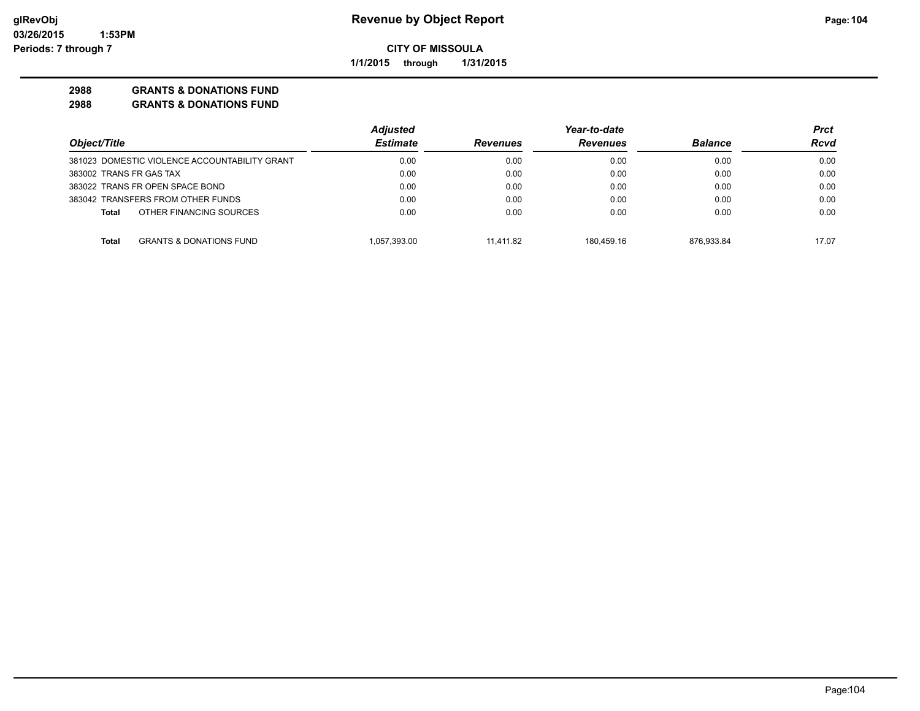# **glRevObj Revenue by Object Report Page:104**

# **CITY OF MISSOULA**

**1/1/2015 through 1/31/2015**

## **2988 GRANTS & DONATIONS FUND**

|                                               | <b>Adjusted</b> |                 | Year-to-date    |                | Prct  |
|-----------------------------------------------|-----------------|-----------------|-----------------|----------------|-------|
| Object/Title                                  | <b>Estimate</b> | <b>Revenues</b> | <b>Revenues</b> | <b>Balance</b> | Rcvd  |
| 381023 DOMESTIC VIOLENCE ACCOUNTABILITY GRANT | 0.00            | 0.00            | 0.00            | 0.00           | 0.00  |
| 383002 TRANS FR GAS TAX                       | 0.00            | 0.00            | 0.00            | 0.00           | 0.00  |
| 383022 TRANS FR OPEN SPACE BOND               | 0.00            | 0.00            | 0.00            | 0.00           | 0.00  |
| 383042 TRANSFERS FROM OTHER FUNDS             | 0.00            | 0.00            | 0.00            | 0.00           | 0.00  |
| OTHER FINANCING SOURCES<br><b>Total</b>       | 0.00            | 0.00            | 0.00            | 0.00           | 0.00  |
| <b>GRANTS &amp; DONATIONS FUND</b><br>Total   | 1.057.393.00    | 11.411.82       | 180.459.16      | 876.933.84     | 17.07 |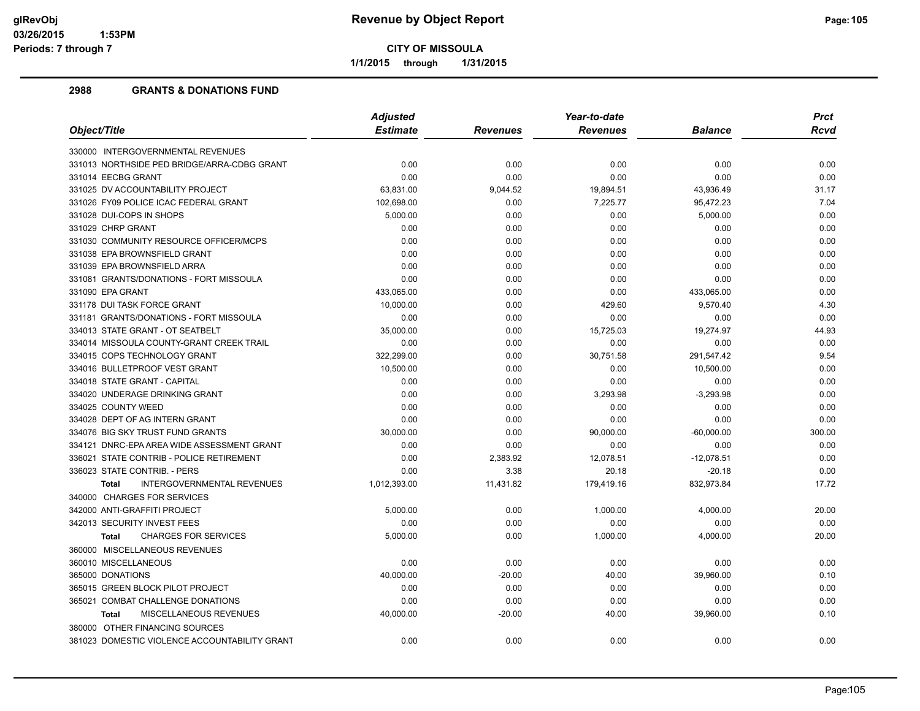**1/1/2015 through 1/31/2015**

|                                                   | <b>Adjusted</b> |                 | Year-to-date    |                | <b>Prct</b> |
|---------------------------------------------------|-----------------|-----------------|-----------------|----------------|-------------|
| Object/Title                                      | <b>Estimate</b> | <b>Revenues</b> | <b>Revenues</b> | <b>Balance</b> | Rcvd        |
| 330000 INTERGOVERNMENTAL REVENUES                 |                 |                 |                 |                |             |
| 331013 NORTHSIDE PED BRIDGE/ARRA-CDBG GRANT       | 0.00            | 0.00            | 0.00            | 0.00           | 0.00        |
| 331014 EECBG GRANT                                | 0.00            | 0.00            | 0.00            | 0.00           | 0.00        |
| 331025 DV ACCOUNTABILITY PROJECT                  | 63.831.00       | 9,044.52        | 19,894.51       | 43,936.49      | 31.17       |
| 331026 FY09 POLICE ICAC FEDERAL GRANT             | 102.698.00      | 0.00            | 7,225.77        | 95,472.23      | 7.04        |
| 331028 DUI-COPS IN SHOPS                          | 5,000.00        | 0.00            | 0.00            | 5,000.00       | 0.00        |
| 331029 CHRP GRANT                                 | 0.00            | 0.00            | 0.00            | 0.00           | 0.00        |
| 331030 COMMUNITY RESOURCE OFFICER/MCPS            | 0.00            | 0.00            | 0.00            | 0.00           | 0.00        |
| 331038 EPA BROWNSFIELD GRANT                      | 0.00            | 0.00            | 0.00            | 0.00           | 0.00        |
| 331039 EPA BROWNSFIELD ARRA                       | 0.00            | 0.00            | 0.00            | 0.00           | 0.00        |
| 331081 GRANTS/DONATIONS - FORT MISSOULA           | 0.00            | 0.00            | 0.00            | 0.00           | 0.00        |
| 331090 EPA GRANT                                  | 433,065.00      | 0.00            | 0.00            | 433,065.00     | 0.00        |
| 331178 DUI TASK FORCE GRANT                       | 10,000.00       | 0.00            | 429.60          | 9,570.40       | 4.30        |
| 331181 GRANTS/DONATIONS - FORT MISSOULA           | 0.00            | 0.00            | 0.00            | 0.00           | 0.00        |
| 334013 STATE GRANT - OT SEATBELT                  | 35,000.00       | 0.00            | 15,725.03       | 19,274.97      | 44.93       |
| 334014 MISSOULA COUNTY-GRANT CREEK TRAIL          | 0.00            | 0.00            | 0.00            | 0.00           | 0.00        |
| 334015 COPS TECHNOLOGY GRANT                      | 322,299.00      | 0.00            | 30,751.58       | 291,547.42     | 9.54        |
| 334016 BULLETPROOF VEST GRANT                     | 10,500.00       | 0.00            | 0.00            | 10,500.00      | 0.00        |
| 334018 STATE GRANT - CAPITAL                      | 0.00            | 0.00            | 0.00            | 0.00           | 0.00        |
| 334020 UNDERAGE DRINKING GRANT                    | 0.00            | 0.00            | 3,293.98        | $-3,293.98$    | 0.00        |
| 334025 COUNTY WEED                                | 0.00            | 0.00            | 0.00            | 0.00           | 0.00        |
| 334028 DEPT OF AG INTERN GRANT                    | 0.00            | 0.00            | 0.00            | 0.00           | 0.00        |
| 334076 BIG SKY TRUST FUND GRANTS                  | 30,000.00       | 0.00            | 90,000.00       | $-60,000.00$   | 300.00      |
| 334121 DNRC-EPA AREA WIDE ASSESSMENT GRANT        | 0.00            | 0.00            | 0.00            | 0.00           | 0.00        |
| 336021 STATE CONTRIB - POLICE RETIREMENT          | 0.00            | 2.383.92        | 12.078.51       | $-12.078.51$   | 0.00        |
| 336023 STATE CONTRIB. - PERS                      | 0.00            | 3.38            | 20.18           | $-20.18$       | 0.00        |
| <b>INTERGOVERNMENTAL REVENUES</b><br><b>Total</b> | 1,012,393.00    | 11,431.82       | 179,419.16      | 832,973.84     | 17.72       |
| 340000 CHARGES FOR SERVICES                       |                 |                 |                 |                |             |
| 342000 ANTI-GRAFFITI PROJECT                      | 5,000.00        | 0.00            | 1,000.00        | 4,000.00       | 20.00       |
| 342013 SECURITY INVEST FEES                       | 0.00            | 0.00            | 0.00            | 0.00           | 0.00        |
| <b>CHARGES FOR SERVICES</b><br><b>Total</b>       | 5,000.00        | 0.00            | 1,000.00        | 4,000.00       | 20.00       |
| 360000 MISCELLANEOUS REVENUES                     |                 |                 |                 |                |             |
| 360010 MISCELLANEOUS                              | 0.00            | 0.00            | 0.00            | 0.00           | 0.00        |
| 365000 DONATIONS                                  | 40,000.00       | $-20.00$        | 40.00           | 39,960.00      | 0.10        |
| 365015 GREEN BLOCK PILOT PROJECT                  | 0.00            | 0.00            | 0.00            | 0.00           | 0.00        |
| 365021 COMBAT CHALLENGE DONATIONS                 | 0.00            | 0.00            | 0.00            | 0.00           | 0.00        |
| MISCELLANEOUS REVENUES<br><b>Total</b>            | 40,000.00       | $-20.00$        | 40.00           | 39,960.00      | 0.10        |
| 380000 OTHER FINANCING SOURCES                    |                 |                 |                 |                |             |
| 381023 DOMESTIC VIOLENCE ACCOUNTABILITY GRANT     | 0.00            | 0.00            | 0.00            | 0.00           | 0.00        |
|                                                   |                 |                 |                 |                |             |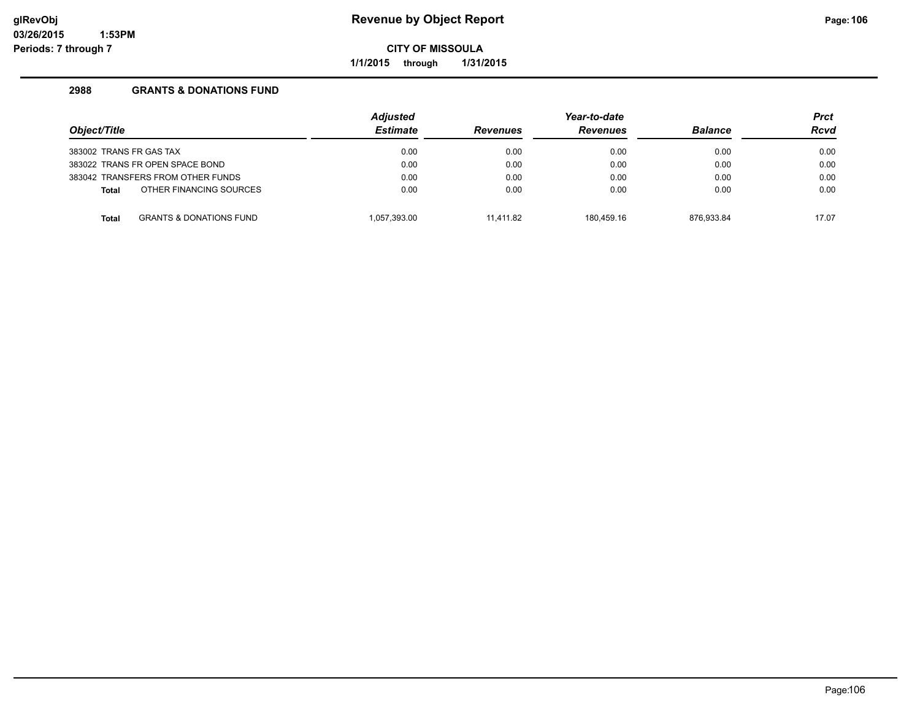# **glRevObj Revenue by Object Report Page:106**

**CITY OF MISSOULA**

**1/1/2015 through 1/31/2015**

| Object/Title                                       | <b>Adjusted</b><br><b>Estimate</b> | <b>Revenues</b> | Year-to-date<br><b>Revenues</b> | <b>Balance</b> | <b>Prct</b><br><b>Rcvd</b> |
|----------------------------------------------------|------------------------------------|-----------------|---------------------------------|----------------|----------------------------|
| 383002 TRANS FR GAS TAX                            | 0.00                               | 0.00            | 0.00                            | 0.00           | 0.00                       |
| 383022 TRANS FR OPEN SPACE BOND                    | 0.00                               | 0.00            | 0.00                            | 0.00           | 0.00                       |
| 383042 TRANSFERS FROM OTHER FUNDS                  | 0.00                               | 0.00            | 0.00                            | 0.00           | 0.00                       |
| OTHER FINANCING SOURCES<br><b>Total</b>            | 0.00                               | 0.00            | 0.00                            | 0.00           | 0.00                       |
| <b>GRANTS &amp; DONATIONS FUND</b><br><b>Total</b> | 1.057.393.00                       | 11.411.82       | 180.459.16                      | 876.933.84     | 17.07                      |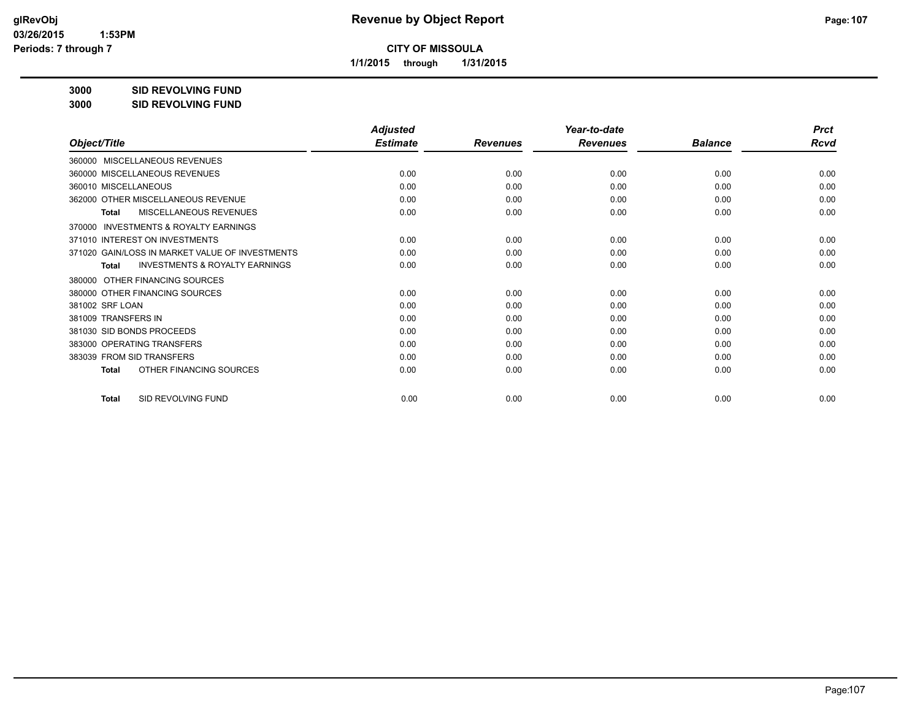**1/1/2015 through 1/31/2015**

**3000 SID REVOLVING FUND**

**3000 SID REVOLVING FUND**

|                                                     | <b>Adjusted</b> |                 | Year-to-date    |                | <b>Prct</b> |
|-----------------------------------------------------|-----------------|-----------------|-----------------|----------------|-------------|
| Object/Title                                        | <b>Estimate</b> | <b>Revenues</b> | <b>Revenues</b> | <b>Balance</b> | <b>Rcvd</b> |
| 360000 MISCELLANEOUS REVENUES                       |                 |                 |                 |                |             |
| 360000 MISCELLANEOUS REVENUES                       | 0.00            | 0.00            | 0.00            | 0.00           | 0.00        |
| 360010 MISCELLANEOUS                                | 0.00            | 0.00            | 0.00            | 0.00           | 0.00        |
| 362000 OTHER MISCELLANEOUS REVENUE                  | 0.00            | 0.00            | 0.00            | 0.00           | 0.00        |
| MISCELLANEOUS REVENUES<br>Total                     | 0.00            | 0.00            | 0.00            | 0.00           | 0.00        |
| <b>INVESTMENTS &amp; ROYALTY EARNINGS</b><br>370000 |                 |                 |                 |                |             |
| 371010 INTEREST ON INVESTMENTS                      | 0.00            | 0.00            | 0.00            | 0.00           | 0.00        |
| 371020 GAIN/LOSS IN MARKET VALUE OF INVESTMENTS     | 0.00            | 0.00            | 0.00            | 0.00           | 0.00        |
| <b>INVESTMENTS &amp; ROYALTY EARNINGS</b><br>Total  | 0.00            | 0.00            | 0.00            | 0.00           | 0.00        |
| OTHER FINANCING SOURCES<br>380000                   |                 |                 |                 |                |             |
| 380000 OTHER FINANCING SOURCES                      | 0.00            | 0.00            | 0.00            | 0.00           | 0.00        |
| 381002 SRF LOAN                                     | 0.00            | 0.00            | 0.00            | 0.00           | 0.00        |
| 381009 TRANSFERS IN                                 | 0.00            | 0.00            | 0.00            | 0.00           | 0.00        |
| 381030 SID BONDS PROCEEDS                           | 0.00            | 0.00            | 0.00            | 0.00           | 0.00        |
| 383000 OPERATING TRANSFERS                          | 0.00            | 0.00            | 0.00            | 0.00           | 0.00        |
| 383039 FROM SID TRANSFERS                           | 0.00            | 0.00            | 0.00            | 0.00           | 0.00        |
| OTHER FINANCING SOURCES<br><b>Total</b>             | 0.00            | 0.00            | 0.00            | 0.00           | 0.00        |
| SID REVOLVING FUND<br><b>Total</b>                  | 0.00            | 0.00            | 0.00            | 0.00           | 0.00        |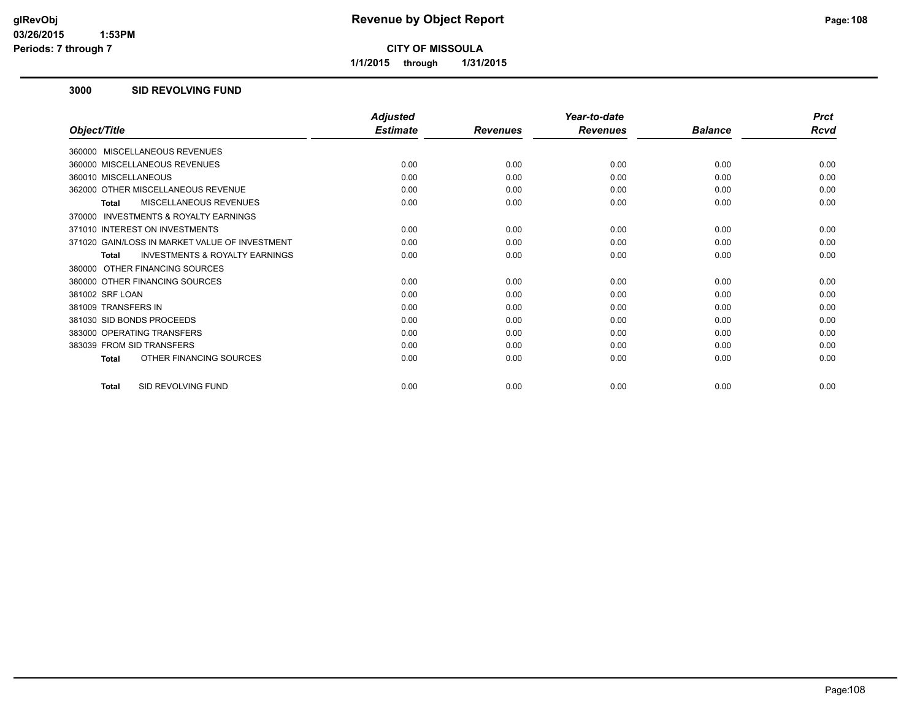**1/1/2015 through 1/31/2015**

## **3000 SID REVOLVING FUND**

|                                                     | <b>Adjusted</b> |                 | Year-to-date    |                | <b>Prct</b> |
|-----------------------------------------------------|-----------------|-----------------|-----------------|----------------|-------------|
| Object/Title                                        | <b>Estimate</b> | <b>Revenues</b> | <b>Revenues</b> | <b>Balance</b> | Rcvd        |
| 360000 MISCELLANEOUS REVENUES                       |                 |                 |                 |                |             |
| 360000 MISCELLANEOUS REVENUES                       | 0.00            | 0.00            | 0.00            | 0.00           | 0.00        |
| 360010 MISCELLANEOUS                                | 0.00            | 0.00            | 0.00            | 0.00           | 0.00        |
| 362000 OTHER MISCELLANEOUS REVENUE                  | 0.00            | 0.00            | 0.00            | 0.00           | 0.00        |
| MISCELLANEOUS REVENUES<br>Total                     | 0.00            | 0.00            | 0.00            | 0.00           | 0.00        |
| <b>INVESTMENTS &amp; ROYALTY EARNINGS</b><br>370000 |                 |                 |                 |                |             |
| 371010 INTEREST ON INVESTMENTS                      | 0.00            | 0.00            | 0.00            | 0.00           | 0.00        |
| 371020 GAIN/LOSS IN MARKET VALUE OF INVESTMENT      | 0.00            | 0.00            | 0.00            | 0.00           | 0.00        |
| <b>INVESTMENTS &amp; ROYALTY EARNINGS</b><br>Total  | 0.00            | 0.00            | 0.00            | 0.00           | 0.00        |
| 380000 OTHER FINANCING SOURCES                      |                 |                 |                 |                |             |
| 380000 OTHER FINANCING SOURCES                      | 0.00            | 0.00            | 0.00            | 0.00           | 0.00        |
| 381002 SRF LOAN                                     | 0.00            | 0.00            | 0.00            | 0.00           | 0.00        |
| 381009 TRANSFERS IN                                 | 0.00            | 0.00            | 0.00            | 0.00           | 0.00        |
| 381030 SID BONDS PROCEEDS                           | 0.00            | 0.00            | 0.00            | 0.00           | 0.00        |
| 383000 OPERATING TRANSFERS                          | 0.00            | 0.00            | 0.00            | 0.00           | 0.00        |
| 383039 FROM SID TRANSFERS                           | 0.00            | 0.00            | 0.00            | 0.00           | 0.00        |
| OTHER FINANCING SOURCES<br><b>Total</b>             | 0.00            | 0.00            | 0.00            | 0.00           | 0.00        |
| SID REVOLVING FUND<br><b>Total</b>                  | 0.00            | 0.00            | 0.00            | 0.00           | 0.00        |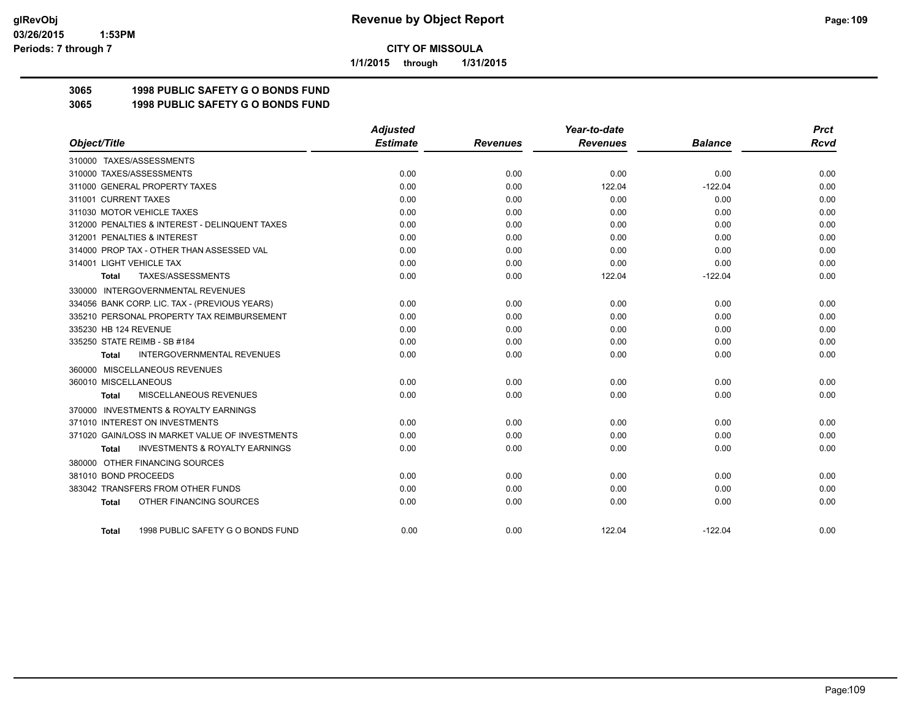**1/1/2015 through 1/31/2015**

## **3065 1998 PUBLIC SAFETY G O BONDS FUND**

**3065 1998 PUBLIC SAFETY G O BONDS FUND**

|                                                     | <b>Adjusted</b> |                 | Year-to-date    |                | <b>Prct</b> |
|-----------------------------------------------------|-----------------|-----------------|-----------------|----------------|-------------|
| Object/Title                                        | <b>Estimate</b> | <b>Revenues</b> | <b>Revenues</b> | <b>Balance</b> | Rcvd        |
| 310000 TAXES/ASSESSMENTS                            |                 |                 |                 |                |             |
| 310000 TAXES/ASSESSMENTS                            | 0.00            | 0.00            | 0.00            | 0.00           | 0.00        |
| 311000 GENERAL PROPERTY TAXES                       | 0.00            | 0.00            | 122.04          | $-122.04$      | 0.00        |
| 311001 CURRENT TAXES                                | 0.00            | 0.00            | 0.00            | 0.00           | 0.00        |
| 311030 MOTOR VEHICLE TAXES                          | 0.00            | 0.00            | 0.00            | 0.00           | 0.00        |
| 312000 PENALTIES & INTEREST - DELINQUENT TAXES      | 0.00            | 0.00            | 0.00            | 0.00           | 0.00        |
| 312001 PENALTIES & INTEREST                         | 0.00            | 0.00            | 0.00            | 0.00           | 0.00        |
| 314000 PROP TAX - OTHER THAN ASSESSED VAL           | 0.00            | 0.00            | 0.00            | 0.00           | 0.00        |
| 314001 LIGHT VEHICLE TAX                            | 0.00            | 0.00            | 0.00            | 0.00           | 0.00        |
| TAXES/ASSESSMENTS<br>Total                          | 0.00            | 0.00            | 122.04          | $-122.04$      | 0.00        |
| 330000 INTERGOVERNMENTAL REVENUES                   |                 |                 |                 |                |             |
| 334056 BANK CORP. LIC. TAX - (PREVIOUS YEARS)       | 0.00            | 0.00            | 0.00            | 0.00           | 0.00        |
| 335210 PERSONAL PROPERTY TAX REIMBURSEMENT          | 0.00            | 0.00            | 0.00            | 0.00           | 0.00        |
| 335230 HB 124 REVENUE                               | 0.00            | 0.00            | 0.00            | 0.00           | 0.00        |
| 335250 STATE REIMB - SB #184                        | 0.00            | 0.00            | 0.00            | 0.00           | 0.00        |
| <b>INTERGOVERNMENTAL REVENUES</b><br><b>Total</b>   | 0.00            | 0.00            | 0.00            | 0.00           | 0.00        |
| 360000 MISCELLANEOUS REVENUES                       |                 |                 |                 |                |             |
| 360010 MISCELLANEOUS                                | 0.00            | 0.00            | 0.00            | 0.00           | 0.00        |
| <b>MISCELLANEOUS REVENUES</b><br>Total              | 0.00            | 0.00            | 0.00            | 0.00           | 0.00        |
| <b>INVESTMENTS &amp; ROYALTY EARNINGS</b><br>370000 |                 |                 |                 |                |             |
| 371010 INTEREST ON INVESTMENTS                      | 0.00            | 0.00            | 0.00            | 0.00           | 0.00        |
| 371020 GAIN/LOSS IN MARKET VALUE OF INVESTMENTS     | 0.00            | 0.00            | 0.00            | 0.00           | 0.00        |
| <b>INVESTMENTS &amp; ROYALTY EARNINGS</b><br>Total  | 0.00            | 0.00            | 0.00            | 0.00           | 0.00        |
| 380000 OTHER FINANCING SOURCES                      |                 |                 |                 |                |             |
| 381010 BOND PROCEEDS                                | 0.00            | 0.00            | 0.00            | 0.00           | 0.00        |
| 383042 TRANSFERS FROM OTHER FUNDS                   | 0.00            | 0.00            | 0.00            | 0.00           | 0.00        |
| OTHER FINANCING SOURCES<br><b>Total</b>             | 0.00            | 0.00            | 0.00            | 0.00           | 0.00        |
| 1998 PUBLIC SAFETY G O BONDS FUND<br>Total          | 0.00            | 0.00            | 122.04          | $-122.04$      | 0.00        |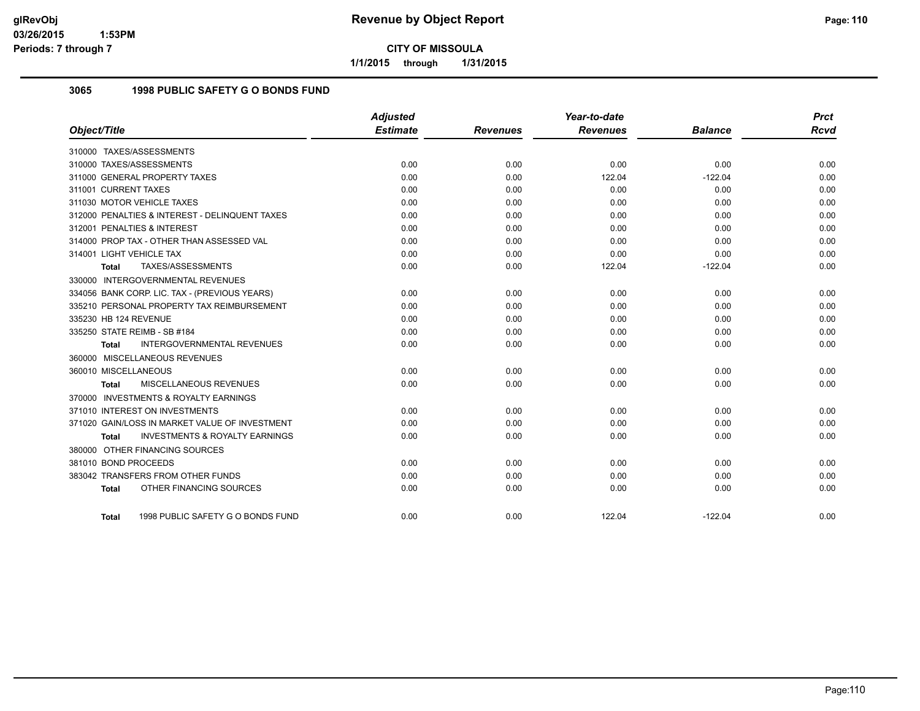**1/1/2015 through 1/31/2015**

## **3065 1998 PUBLIC SAFETY G O BONDS FUND**

|                                                    | <b>Adjusted</b> |                 | Year-to-date    |                | <b>Prct</b> |
|----------------------------------------------------|-----------------|-----------------|-----------------|----------------|-------------|
| Object/Title                                       | <b>Estimate</b> | <b>Revenues</b> | <b>Revenues</b> | <b>Balance</b> | <b>Rcvd</b> |
| 310000 TAXES/ASSESSMENTS                           |                 |                 |                 |                |             |
| 310000 TAXES/ASSESSMENTS                           | 0.00            | 0.00            | 0.00            | 0.00           | 0.00        |
| 311000 GENERAL PROPERTY TAXES                      | 0.00            | 0.00            | 122.04          | $-122.04$      | 0.00        |
| 311001 CURRENT TAXES                               | 0.00            | 0.00            | 0.00            | 0.00           | 0.00        |
| 311030 MOTOR VEHICLE TAXES                         | 0.00            | 0.00            | 0.00            | 0.00           | 0.00        |
| 312000 PENALTIES & INTEREST - DELINQUENT TAXES     | 0.00            | 0.00            | 0.00            | 0.00           | 0.00        |
| 312001 PENALTIES & INTEREST                        | 0.00            | 0.00            | 0.00            | 0.00           | 0.00        |
| 314000 PROP TAX - OTHER THAN ASSESSED VAL          | 0.00            | 0.00            | 0.00            | 0.00           | 0.00        |
| 314001 LIGHT VEHICLE TAX                           | 0.00            | 0.00            | 0.00            | 0.00           | 0.00        |
| TAXES/ASSESSMENTS<br>Total                         | 0.00            | 0.00            | 122.04          | $-122.04$      | 0.00        |
| 330000 INTERGOVERNMENTAL REVENUES                  |                 |                 |                 |                |             |
| 334056 BANK CORP. LIC. TAX - (PREVIOUS YEARS)      | 0.00            | 0.00            | 0.00            | 0.00           | 0.00        |
| 335210 PERSONAL PROPERTY TAX REIMBURSEMENT         | 0.00            | 0.00            | 0.00            | 0.00           | 0.00        |
| 335230 HB 124 REVENUE                              | 0.00            | 0.00            | 0.00            | 0.00           | 0.00        |
| 335250 STATE REIMB - SB #184                       | 0.00            | 0.00            | 0.00            | 0.00           | 0.00        |
| INTERGOVERNMENTAL REVENUES<br><b>Total</b>         | 0.00            | 0.00            | 0.00            | 0.00           | 0.00        |
| 360000 MISCELLANEOUS REVENUES                      |                 |                 |                 |                |             |
| 360010 MISCELLANEOUS                               | 0.00            | 0.00            | 0.00            | 0.00           | 0.00        |
| <b>MISCELLANEOUS REVENUES</b><br>Total             | 0.00            | 0.00            | 0.00            | 0.00           | 0.00        |
| 370000 INVESTMENTS & ROYALTY EARNINGS              |                 |                 |                 |                |             |
| 371010 INTEREST ON INVESTMENTS                     | 0.00            | 0.00            | 0.00            | 0.00           | 0.00        |
| 371020 GAIN/LOSS IN MARKET VALUE OF INVESTMENT     | 0.00            | 0.00            | 0.00            | 0.00           | 0.00        |
| <b>INVESTMENTS &amp; ROYALTY EARNINGS</b><br>Total | 0.00            | 0.00            | 0.00            | 0.00           | 0.00        |
| 380000 OTHER FINANCING SOURCES                     |                 |                 |                 |                |             |
| 381010 BOND PROCEEDS                               | 0.00            | 0.00            | 0.00            | 0.00           | 0.00        |
| 383042 TRANSFERS FROM OTHER FUNDS                  | 0.00            | 0.00            | 0.00            | 0.00           | 0.00        |
| OTHER FINANCING SOURCES<br><b>Total</b>            | 0.00            | 0.00            | 0.00            | 0.00           | 0.00        |
| 1998 PUBLIC SAFETY G O BONDS FUND<br>Total         | 0.00            | 0.00            | 122.04          | $-122.04$      | 0.00        |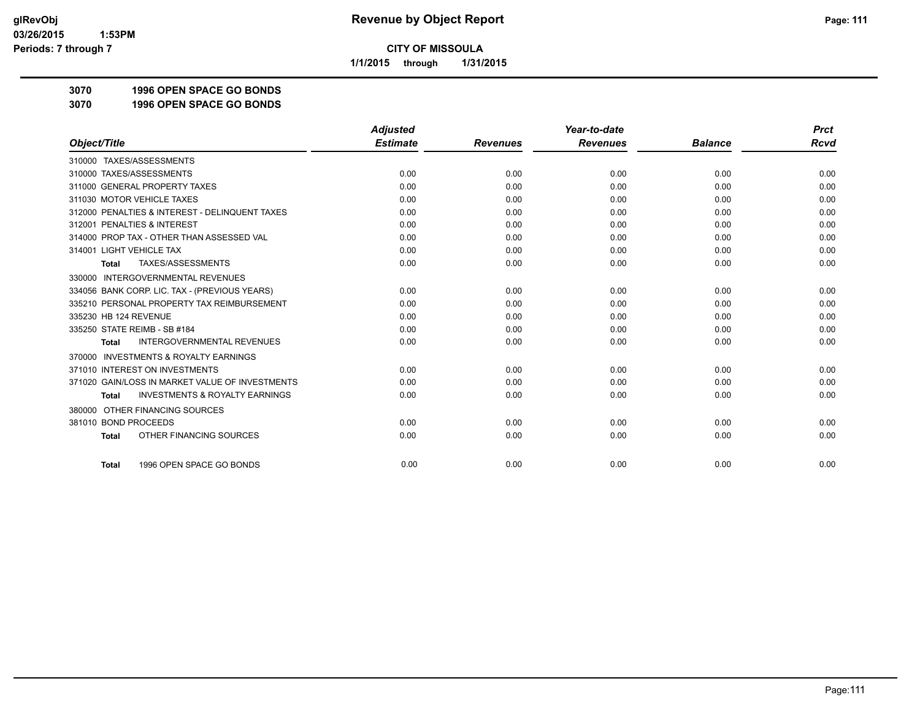**1/1/2015 through 1/31/2015**

**3070 1996 OPEN SPACE GO BONDS**

**3070 1996 OPEN SPACE GO BONDS**

|                                                           | <b>Adjusted</b> |                 | Year-to-date    |                | <b>Prct</b> |
|-----------------------------------------------------------|-----------------|-----------------|-----------------|----------------|-------------|
| Object/Title                                              | <b>Estimate</b> | <b>Revenues</b> | <b>Revenues</b> | <b>Balance</b> | <b>Rcvd</b> |
| 310000 TAXES/ASSESSMENTS                                  |                 |                 |                 |                |             |
| 310000 TAXES/ASSESSMENTS                                  | 0.00            | 0.00            | 0.00            | 0.00           | 0.00        |
| 311000 GENERAL PROPERTY TAXES                             | 0.00            | 0.00            | 0.00            | 0.00           | 0.00        |
| 311030 MOTOR VEHICLE TAXES                                | 0.00            | 0.00            | 0.00            | 0.00           | 0.00        |
| 312000 PENALTIES & INTEREST - DELINQUENT TAXES            | 0.00            | 0.00            | 0.00            | 0.00           | 0.00        |
| 312001 PENALTIES & INTEREST                               | 0.00            | 0.00            | 0.00            | 0.00           | 0.00        |
| 314000 PROP TAX - OTHER THAN ASSESSED VAL                 | 0.00            | 0.00            | 0.00            | 0.00           | 0.00        |
| 314001 LIGHT VEHICLE TAX                                  | 0.00            | 0.00            | 0.00            | 0.00           | 0.00        |
| TAXES/ASSESSMENTS<br><b>Total</b>                         | 0.00            | 0.00            | 0.00            | 0.00           | 0.00        |
| 330000 INTERGOVERNMENTAL REVENUES                         |                 |                 |                 |                |             |
| 334056 BANK CORP. LIC. TAX - (PREVIOUS YEARS)             | 0.00            | 0.00            | 0.00            | 0.00           | 0.00        |
| 335210 PERSONAL PROPERTY TAX REIMBURSEMENT                | 0.00            | 0.00            | 0.00            | 0.00           | 0.00        |
| 335230 HB 124 REVENUE                                     | 0.00            | 0.00            | 0.00            | 0.00           | 0.00        |
| 335250 STATE REIMB - SB #184                              | 0.00            | 0.00            | 0.00            | 0.00           | 0.00        |
| <b>INTERGOVERNMENTAL REVENUES</b><br><b>Total</b>         | 0.00            | 0.00            | 0.00            | 0.00           | 0.00        |
| <b>INVESTMENTS &amp; ROYALTY EARNINGS</b><br>370000       |                 |                 |                 |                |             |
| 371010 INTEREST ON INVESTMENTS                            | 0.00            | 0.00            | 0.00            | 0.00           | 0.00        |
| 371020 GAIN/LOSS IN MARKET VALUE OF INVESTMENTS           | 0.00            | 0.00            | 0.00            | 0.00           | 0.00        |
| <b>INVESTMENTS &amp; ROYALTY EARNINGS</b><br><b>Total</b> | 0.00            | 0.00            | 0.00            | 0.00           | 0.00        |
| OTHER FINANCING SOURCES<br>380000                         |                 |                 |                 |                |             |
| 381010 BOND PROCEEDS                                      | 0.00            | 0.00            | 0.00            | 0.00           | 0.00        |
| OTHER FINANCING SOURCES<br><b>Total</b>                   | 0.00            | 0.00            | 0.00            | 0.00           | 0.00        |
| 1996 OPEN SPACE GO BONDS<br><b>Total</b>                  | 0.00            | 0.00            | 0.00            | 0.00           | 0.00        |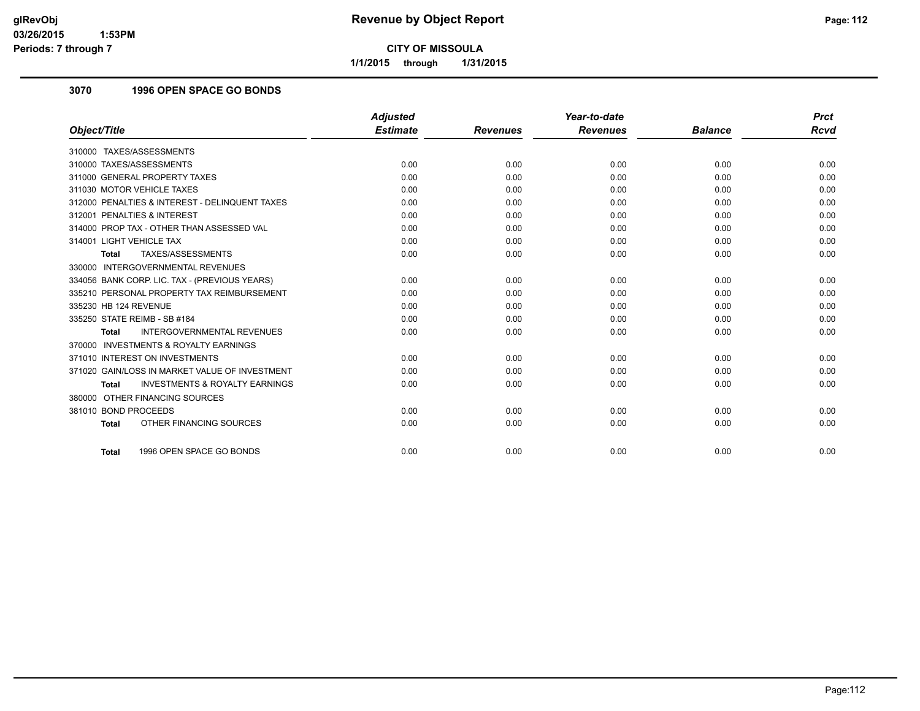**1/1/2015 through 1/31/2015**

## **3070 1996 OPEN SPACE GO BONDS**

|                                                           | <b>Adjusted</b> |                 | Year-to-date    |                | <b>Prct</b> |
|-----------------------------------------------------------|-----------------|-----------------|-----------------|----------------|-------------|
| Object/Title                                              | <b>Estimate</b> | <b>Revenues</b> | <b>Revenues</b> | <b>Balance</b> | <b>Rcvd</b> |
| 310000 TAXES/ASSESSMENTS                                  |                 |                 |                 |                |             |
| 310000 TAXES/ASSESSMENTS                                  | 0.00            | 0.00            | 0.00            | 0.00           | 0.00        |
| 311000 GENERAL PROPERTY TAXES                             | 0.00            | 0.00            | 0.00            | 0.00           | 0.00        |
| 311030 MOTOR VEHICLE TAXES                                | 0.00            | 0.00            | 0.00            | 0.00           | 0.00        |
| 312000 PENALTIES & INTEREST - DELINQUENT TAXES            | 0.00            | 0.00            | 0.00            | 0.00           | 0.00        |
| 312001 PENALTIES & INTEREST                               | 0.00            | 0.00            | 0.00            | 0.00           | 0.00        |
| 314000 PROP TAX - OTHER THAN ASSESSED VAL                 | 0.00            | 0.00            | 0.00            | 0.00           | 0.00        |
| 314001 LIGHT VEHICLE TAX                                  | 0.00            | 0.00            | 0.00            | 0.00           | 0.00        |
| TAXES/ASSESSMENTS<br>Total                                | 0.00            | 0.00            | 0.00            | 0.00           | 0.00        |
| 330000 INTERGOVERNMENTAL REVENUES                         |                 |                 |                 |                |             |
| 334056 BANK CORP. LIC. TAX - (PREVIOUS YEARS)             | 0.00            | 0.00            | 0.00            | 0.00           | 0.00        |
| 335210 PERSONAL PROPERTY TAX REIMBURSEMENT                | 0.00            | 0.00            | 0.00            | 0.00           | 0.00        |
| 335230 HB 124 REVENUE                                     | 0.00            | 0.00            | 0.00            | 0.00           | 0.00        |
| 335250 STATE REIMB - SB #184                              | 0.00            | 0.00            | 0.00            | 0.00           | 0.00        |
| <b>INTERGOVERNMENTAL REVENUES</b><br><b>Total</b>         | 0.00            | 0.00            | 0.00            | 0.00           | 0.00        |
| 370000 INVESTMENTS & ROYALTY EARNINGS                     |                 |                 |                 |                |             |
| 371010 INTEREST ON INVESTMENTS                            | 0.00            | 0.00            | 0.00            | 0.00           | 0.00        |
| 371020 GAIN/LOSS IN MARKET VALUE OF INVESTMENT            | 0.00            | 0.00            | 0.00            | 0.00           | 0.00        |
| <b>INVESTMENTS &amp; ROYALTY EARNINGS</b><br><b>Total</b> | 0.00            | 0.00            | 0.00            | 0.00           | 0.00        |
| 380000 OTHER FINANCING SOURCES                            |                 |                 |                 |                |             |
| 381010 BOND PROCEEDS                                      | 0.00            | 0.00            | 0.00            | 0.00           | 0.00        |
| OTHER FINANCING SOURCES<br><b>Total</b>                   | 0.00            | 0.00            | 0.00            | 0.00           | 0.00        |
|                                                           |                 |                 |                 |                |             |
| 1996 OPEN SPACE GO BONDS<br><b>Total</b>                  | 0.00            | 0.00            | 0.00            | 0.00           | 0.00        |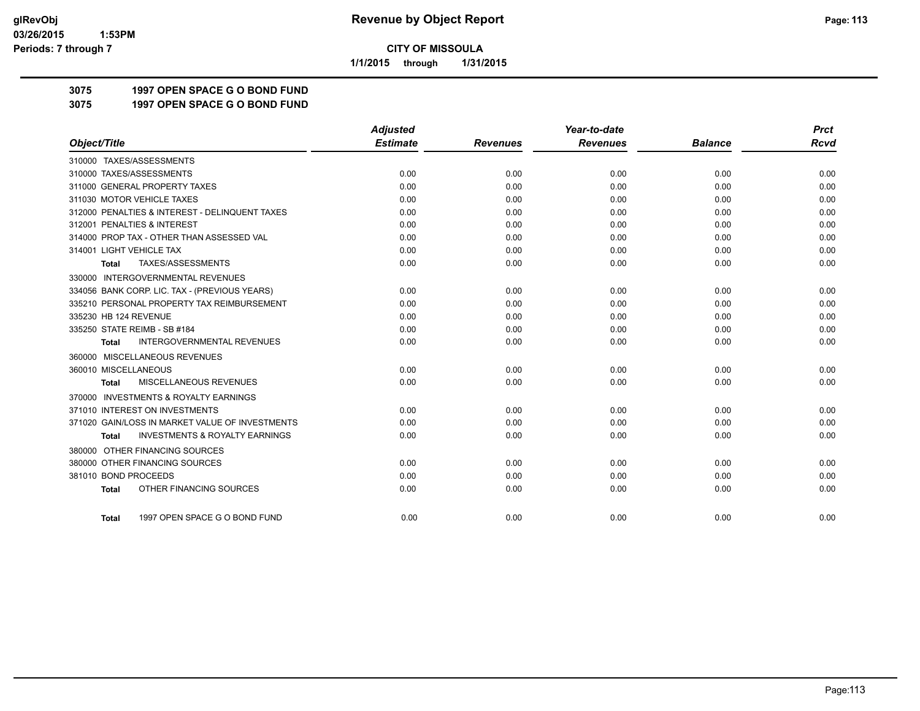**1/1/2015 through 1/31/2015**

## **3075 1997 OPEN SPACE G O BOND FUND**

**3075 1997 OPEN SPACE G O BOND FUND**

|                                                           | <b>Adjusted</b> |                 | Year-to-date    |                | <b>Prct</b> |
|-----------------------------------------------------------|-----------------|-----------------|-----------------|----------------|-------------|
| Object/Title                                              | <b>Estimate</b> | <b>Revenues</b> | <b>Revenues</b> | <b>Balance</b> | Rcvd        |
| 310000 TAXES/ASSESSMENTS                                  |                 |                 |                 |                |             |
| 310000 TAXES/ASSESSMENTS                                  | 0.00            | 0.00            | 0.00            | 0.00           | 0.00        |
| 311000 GENERAL PROPERTY TAXES                             | 0.00            | 0.00            | 0.00            | 0.00           | 0.00        |
| 311030 MOTOR VEHICLE TAXES                                | 0.00            | 0.00            | 0.00            | 0.00           | 0.00        |
| 312000 PENALTIES & INTEREST - DELINQUENT TAXES            | 0.00            | 0.00            | 0.00            | 0.00           | 0.00        |
| 312001 PENALTIES & INTEREST                               | 0.00            | 0.00            | 0.00            | 0.00           | 0.00        |
| 314000 PROP TAX - OTHER THAN ASSESSED VAL                 | 0.00            | 0.00            | 0.00            | 0.00           | 0.00        |
| 314001 LIGHT VEHICLE TAX                                  | 0.00            | 0.00            | 0.00            | 0.00           | 0.00        |
| TAXES/ASSESSMENTS<br>Total                                | 0.00            | 0.00            | 0.00            | 0.00           | 0.00        |
| 330000 INTERGOVERNMENTAL REVENUES                         |                 |                 |                 |                |             |
| 334056 BANK CORP. LIC. TAX - (PREVIOUS YEARS)             | 0.00            | 0.00            | 0.00            | 0.00           | 0.00        |
| 335210 PERSONAL PROPERTY TAX REIMBURSEMENT                | 0.00            | 0.00            | 0.00            | 0.00           | 0.00        |
| 335230 HB 124 REVENUE                                     | 0.00            | 0.00            | 0.00            | 0.00           | 0.00        |
| 335250 STATE REIMB - SB #184                              | 0.00            | 0.00            | 0.00            | 0.00           | 0.00        |
| <b>INTERGOVERNMENTAL REVENUES</b><br>Total                | 0.00            | 0.00            | 0.00            | 0.00           | 0.00        |
| 360000 MISCELLANEOUS REVENUES                             |                 |                 |                 |                |             |
| 360010 MISCELLANEOUS                                      | 0.00            | 0.00            | 0.00            | 0.00           | 0.00        |
| MISCELLANEOUS REVENUES<br><b>Total</b>                    | 0.00            | 0.00            | 0.00            | 0.00           | 0.00        |
| 370000 INVESTMENTS & ROYALTY EARNINGS                     |                 |                 |                 |                |             |
| 371010 INTEREST ON INVESTMENTS                            | 0.00            | 0.00            | 0.00            | 0.00           | 0.00        |
| 371020 GAIN/LOSS IN MARKET VALUE OF INVESTMENTS           | 0.00            | 0.00            | 0.00            | 0.00           | 0.00        |
| <b>INVESTMENTS &amp; ROYALTY EARNINGS</b><br><b>Total</b> | 0.00            | 0.00            | 0.00            | 0.00           | 0.00        |
| 380000 OTHER FINANCING SOURCES                            |                 |                 |                 |                |             |
| 380000 OTHER FINANCING SOURCES                            | 0.00            | 0.00            | 0.00            | 0.00           | 0.00        |
| 381010 BOND PROCEEDS                                      | 0.00            | 0.00            | 0.00            | 0.00           | 0.00        |
| OTHER FINANCING SOURCES<br><b>Total</b>                   | 0.00            | 0.00            | 0.00            | 0.00           | 0.00        |
|                                                           |                 |                 |                 |                |             |
| 1997 OPEN SPACE G O BOND FUND<br>Total                    | 0.00            | 0.00            | 0.00            | 0.00           | 0.00        |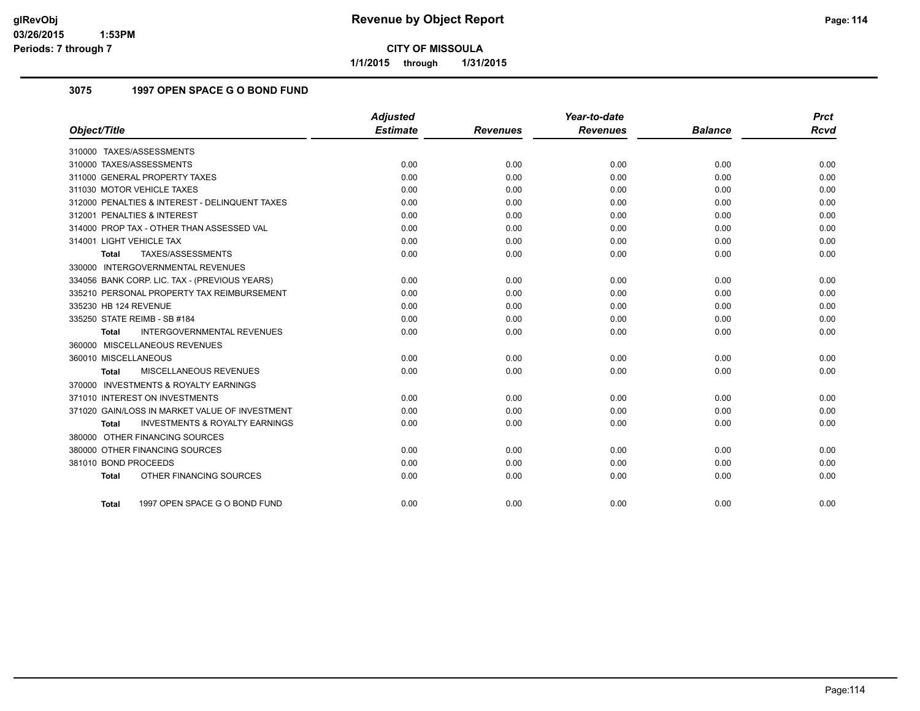**1/1/2015 through 1/31/2015**

## **3075 1997 OPEN SPACE G O BOND FUND**

|                                                           | <b>Adjusted</b> |                 | Year-to-date    |                | <b>Prct</b> |
|-----------------------------------------------------------|-----------------|-----------------|-----------------|----------------|-------------|
| Object/Title                                              | <b>Estimate</b> | <b>Revenues</b> | <b>Revenues</b> | <b>Balance</b> | <b>Rcvd</b> |
| 310000 TAXES/ASSESSMENTS                                  |                 |                 |                 |                |             |
| 310000 TAXES/ASSESSMENTS                                  | 0.00            | 0.00            | 0.00            | 0.00           | 0.00        |
| 311000 GENERAL PROPERTY TAXES                             | 0.00            | 0.00            | 0.00            | 0.00           | 0.00        |
| 311030 MOTOR VEHICLE TAXES                                | 0.00            | 0.00            | 0.00            | 0.00           | 0.00        |
| 312000 PENALTIES & INTEREST - DELINQUENT TAXES            | 0.00            | 0.00            | 0.00            | 0.00           | 0.00        |
| 312001 PENALTIES & INTEREST                               | 0.00            | 0.00            | 0.00            | 0.00           | 0.00        |
| 314000 PROP TAX - OTHER THAN ASSESSED VAL                 | 0.00            | 0.00            | 0.00            | 0.00           | 0.00        |
| 314001 LIGHT VEHICLE TAX                                  | 0.00            | 0.00            | 0.00            | 0.00           | 0.00        |
| TAXES/ASSESSMENTS<br><b>Total</b>                         | 0.00            | 0.00            | 0.00            | 0.00           | 0.00        |
| 330000 INTERGOVERNMENTAL REVENUES                         |                 |                 |                 |                |             |
| 334056 BANK CORP. LIC. TAX - (PREVIOUS YEARS)             | 0.00            | 0.00            | 0.00            | 0.00           | 0.00        |
| 335210 PERSONAL PROPERTY TAX REIMBURSEMENT                | 0.00            | 0.00            | 0.00            | 0.00           | 0.00        |
| 335230 HB 124 REVENUE                                     | 0.00            | 0.00            | 0.00            | 0.00           | 0.00        |
| 335250 STATE REIMB - SB #184                              | 0.00            | 0.00            | 0.00            | 0.00           | 0.00        |
| <b>INTERGOVERNMENTAL REVENUES</b><br><b>Total</b>         | 0.00            | 0.00            | 0.00            | 0.00           | 0.00        |
| 360000 MISCELLANEOUS REVENUES                             |                 |                 |                 |                |             |
| 360010 MISCELLANEOUS                                      | 0.00            | 0.00            | 0.00            | 0.00           | 0.00        |
| <b>MISCELLANEOUS REVENUES</b><br>Total                    | 0.00            | 0.00            | 0.00            | 0.00           | 0.00        |
| 370000 INVESTMENTS & ROYALTY EARNINGS                     |                 |                 |                 |                |             |
| 371010 INTEREST ON INVESTMENTS                            | 0.00            | 0.00            | 0.00            | 0.00           | 0.00        |
| 371020 GAIN/LOSS IN MARKET VALUE OF INVESTMENT            | 0.00            | 0.00            | 0.00            | 0.00           | 0.00        |
| <b>INVESTMENTS &amp; ROYALTY EARNINGS</b><br><b>Total</b> | 0.00            | 0.00            | 0.00            | 0.00           | 0.00        |
| 380000 OTHER FINANCING SOURCES                            |                 |                 |                 |                |             |
| 380000 OTHER FINANCING SOURCES                            | 0.00            | 0.00            | 0.00            | 0.00           | 0.00        |
| 381010 BOND PROCEEDS                                      | 0.00            | 0.00            | 0.00            | 0.00           | 0.00        |
| OTHER FINANCING SOURCES<br><b>Total</b>                   | 0.00            | 0.00            | 0.00            | 0.00           | 0.00        |
|                                                           |                 |                 |                 |                |             |
| 1997 OPEN SPACE G O BOND FUND<br><b>Total</b>             | 0.00            | 0.00            | 0.00            | 0.00           | 0.00        |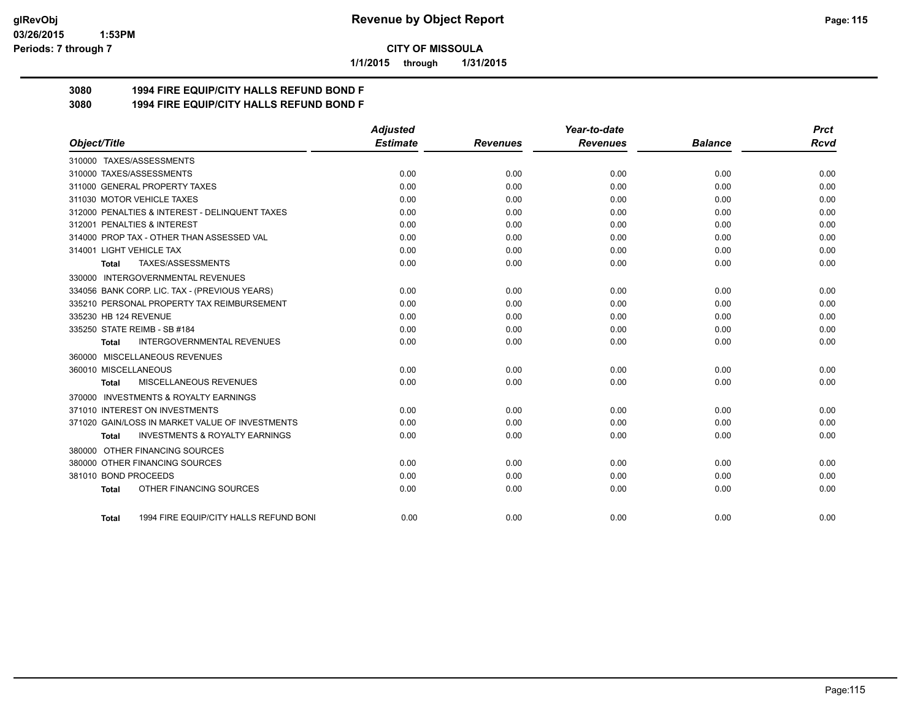#### **03/26/2015 1:53PM Periods: 7 through 7**

**CITY OF MISSOULA**

**1/1/2015 through 1/31/2015**

## **3080 1994 FIRE EQUIP/CITY HALLS REFUND BOND F**

**3080 1994 FIRE EQUIP/CITY HALLS REFUND BOND F**

|                                                           | <b>Adjusted</b> |                 | Year-to-date    |                | <b>Prct</b> |
|-----------------------------------------------------------|-----------------|-----------------|-----------------|----------------|-------------|
| Object/Title                                              | <b>Estimate</b> | <b>Revenues</b> | <b>Revenues</b> | <b>Balance</b> | <b>Rcvd</b> |
| 310000 TAXES/ASSESSMENTS                                  |                 |                 |                 |                |             |
| 310000 TAXES/ASSESSMENTS                                  | 0.00            | 0.00            | 0.00            | 0.00           | 0.00        |
| 311000 GENERAL PROPERTY TAXES                             | 0.00            | 0.00            | 0.00            | 0.00           | 0.00        |
| 311030 MOTOR VEHICLE TAXES                                | 0.00            | 0.00            | 0.00            | 0.00           | 0.00        |
| 312000 PENALTIES & INTEREST - DELINQUENT TAXES            | 0.00            | 0.00            | 0.00            | 0.00           | 0.00        |
| 312001 PENALTIES & INTEREST                               | 0.00            | 0.00            | 0.00            | 0.00           | 0.00        |
| 314000 PROP TAX - OTHER THAN ASSESSED VAL                 | 0.00            | 0.00            | 0.00            | 0.00           | 0.00        |
| 314001 LIGHT VEHICLE TAX                                  | 0.00            | 0.00            | 0.00            | 0.00           | 0.00        |
| TAXES/ASSESSMENTS<br>Total                                | 0.00            | 0.00            | 0.00            | 0.00           | 0.00        |
| 330000 INTERGOVERNMENTAL REVENUES                         |                 |                 |                 |                |             |
| 334056 BANK CORP. LIC. TAX - (PREVIOUS YEARS)             | 0.00            | 0.00            | 0.00            | 0.00           | 0.00        |
| 335210 PERSONAL PROPERTY TAX REIMBURSEMENT                | 0.00            | 0.00            | 0.00            | 0.00           | 0.00        |
| 335230 HB 124 REVENUE                                     | 0.00            | 0.00            | 0.00            | 0.00           | 0.00        |
| 335250 STATE REIMB - SB #184                              | 0.00            | 0.00            | 0.00            | 0.00           | 0.00        |
| <b>INTERGOVERNMENTAL REVENUES</b><br>Total                | 0.00            | 0.00            | 0.00            | 0.00           | 0.00        |
| 360000 MISCELLANEOUS REVENUES                             |                 |                 |                 |                |             |
| 360010 MISCELLANEOUS                                      | 0.00            | 0.00            | 0.00            | 0.00           | 0.00        |
| MISCELLANEOUS REVENUES<br><b>Total</b>                    | 0.00            | 0.00            | 0.00            | 0.00           | 0.00        |
| <b>INVESTMENTS &amp; ROYALTY EARNINGS</b><br>370000       |                 |                 |                 |                |             |
| 371010 INTEREST ON INVESTMENTS                            | 0.00            | 0.00            | 0.00            | 0.00           | 0.00        |
| 371020 GAIN/LOSS IN MARKET VALUE OF INVESTMENTS           | 0.00            | 0.00            | 0.00            | 0.00           | 0.00        |
| <b>INVESTMENTS &amp; ROYALTY EARNINGS</b><br><b>Total</b> | 0.00            | 0.00            | 0.00            | 0.00           | 0.00        |
| 380000 OTHER FINANCING SOURCES                            |                 |                 |                 |                |             |
| 380000 OTHER FINANCING SOURCES                            | 0.00            | 0.00            | 0.00            | 0.00           | 0.00        |
| 381010 BOND PROCEEDS                                      | 0.00            | 0.00            | 0.00            | 0.00           | 0.00        |
| OTHER FINANCING SOURCES<br><b>Total</b>                   | 0.00            | 0.00            | 0.00            | 0.00           | 0.00        |
|                                                           |                 |                 |                 |                |             |
| 1994 FIRE EQUIP/CITY HALLS REFUND BONI<br>Total           | 0.00            | 0.00            | 0.00            | 0.00           | 0.00        |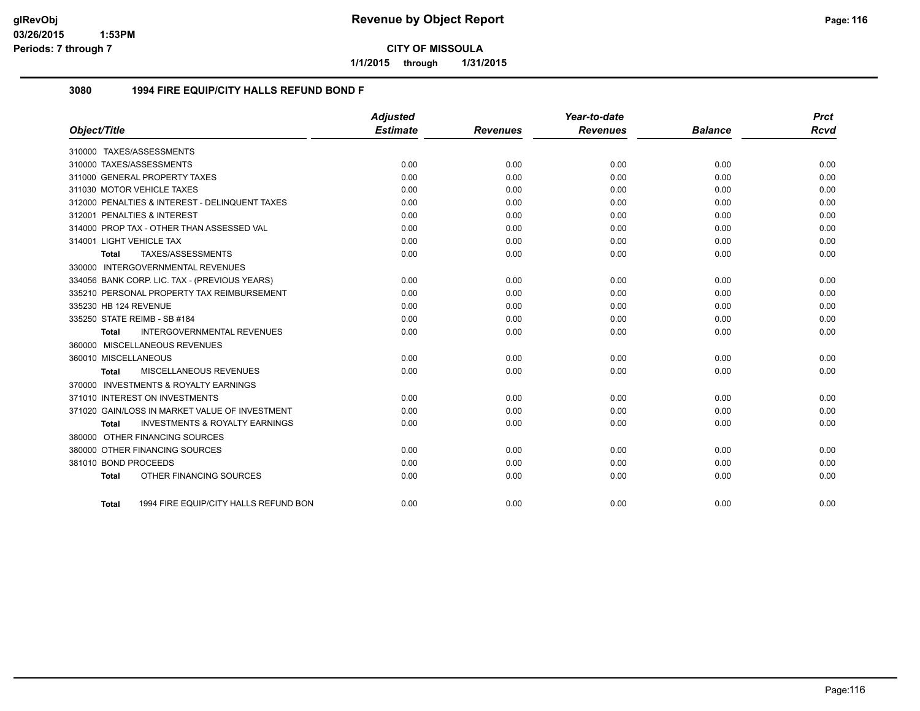**1/1/2015 through 1/31/2015**

#### **3080 1994 FIRE EQUIP/CITY HALLS REFUND BOND F**

|                                |                                                | <b>Adjusted</b> |                 | Year-to-date    |                | <b>Prct</b> |
|--------------------------------|------------------------------------------------|-----------------|-----------------|-----------------|----------------|-------------|
| Object/Title                   |                                                | <b>Estimate</b> | <b>Revenues</b> | <b>Revenues</b> | <b>Balance</b> | <b>Rcvd</b> |
| 310000 TAXES/ASSESSMENTS       |                                                |                 |                 |                 |                |             |
| 310000 TAXES/ASSESSMENTS       |                                                | 0.00            | 0.00            | 0.00            | 0.00           | 0.00        |
| 311000 GENERAL PROPERTY TAXES  |                                                | 0.00            | 0.00            | 0.00            | 0.00           | 0.00        |
| 311030 MOTOR VEHICLE TAXES     |                                                | 0.00            | 0.00            | 0.00            | 0.00           | 0.00        |
|                                | 312000 PENALTIES & INTEREST - DELINQUENT TAXES | 0.00            | 0.00            | 0.00            | 0.00           | 0.00        |
| 312001 PENALTIES & INTEREST    |                                                | 0.00            | 0.00            | 0.00            | 0.00           | 0.00        |
|                                | 314000 PROP TAX - OTHER THAN ASSESSED VAL      | 0.00            | 0.00            | 0.00            | 0.00           | 0.00        |
| 314001 LIGHT VEHICLE TAX       |                                                | 0.00            | 0.00            | 0.00            | 0.00           | 0.00        |
| Total                          | TAXES/ASSESSMENTS                              | 0.00            | 0.00            | 0.00            | 0.00           | 0.00        |
|                                | 330000 INTERGOVERNMENTAL REVENUES              |                 |                 |                 |                |             |
|                                | 334056 BANK CORP. LIC. TAX - (PREVIOUS YEARS)  | 0.00            | 0.00            | 0.00            | 0.00           | 0.00        |
|                                | 335210 PERSONAL PROPERTY TAX REIMBURSEMENT     | 0.00            | 0.00            | 0.00            | 0.00           | 0.00        |
| 335230 HB 124 REVENUE          |                                                | 0.00            | 0.00            | 0.00            | 0.00           | 0.00        |
| 335250 STATE REIMB - SB #184   |                                                | 0.00            | 0.00            | 0.00            | 0.00           | 0.00        |
| <b>Total</b>                   | <b>INTERGOVERNMENTAL REVENUES</b>              | 0.00            | 0.00            | 0.00            | 0.00           | 0.00        |
| 360000 MISCELLANEOUS REVENUES  |                                                |                 |                 |                 |                |             |
| 360010 MISCELLANEOUS           |                                                | 0.00            | 0.00            | 0.00            | 0.00           | 0.00        |
| Total                          | MISCELLANEOUS REVENUES                         | 0.00            | 0.00            | 0.00            | 0.00           | 0.00        |
|                                | 370000 INVESTMENTS & ROYALTY EARNINGS          |                 |                 |                 |                |             |
| 371010 INTEREST ON INVESTMENTS |                                                | 0.00            | 0.00            | 0.00            | 0.00           | 0.00        |
|                                | 371020 GAIN/LOSS IN MARKET VALUE OF INVESTMENT | 0.00            | 0.00            | 0.00            | 0.00           | 0.00        |
| Total                          | <b>INVESTMENTS &amp; ROYALTY EARNINGS</b>      | 0.00            | 0.00            | 0.00            | 0.00           | 0.00        |
| 380000 OTHER FINANCING SOURCES |                                                |                 |                 |                 |                |             |
| 380000 OTHER FINANCING SOURCES |                                                | 0.00            | 0.00            | 0.00            | 0.00           | 0.00        |
| 381010 BOND PROCEEDS           |                                                | 0.00            | 0.00            | 0.00            | 0.00           | 0.00        |
| <b>Total</b>                   | OTHER FINANCING SOURCES                        | 0.00            | 0.00            | 0.00            | 0.00           | 0.00        |
|                                |                                                |                 |                 |                 |                |             |
| Total                          | 1994 FIRE EQUIP/CITY HALLS REFUND BON          | 0.00            | 0.00            | 0.00            | 0.00           | 0.00        |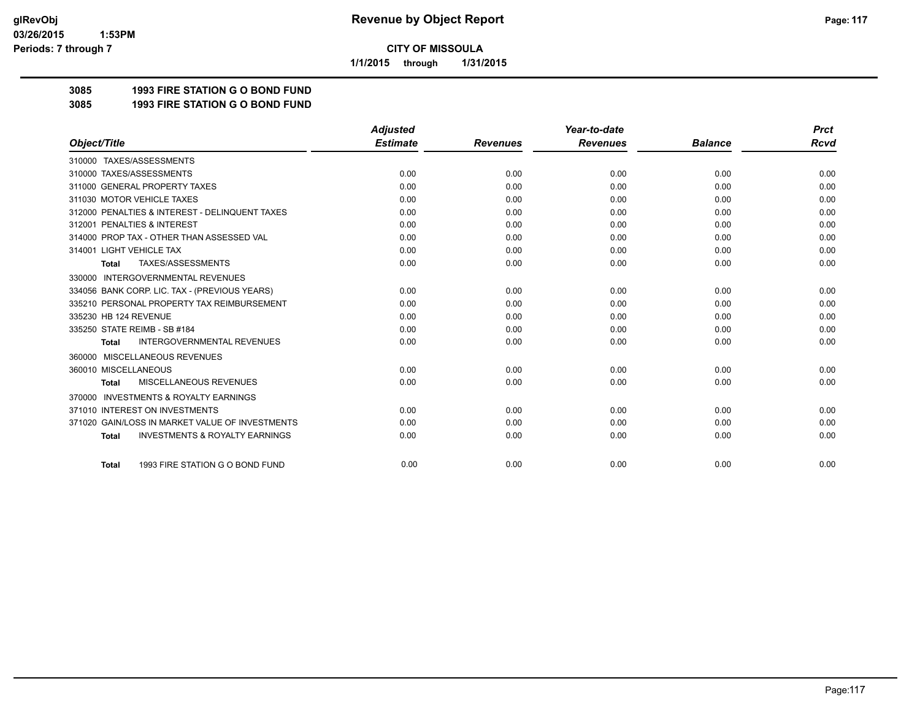**1/1/2015 through 1/31/2015**

## **3085 1993 FIRE STATION G O BOND FUND**

**3085 1993 FIRE STATION G O BOND FUND**

|                                                           | <b>Adjusted</b> |                 | Year-to-date    |                | <b>Prct</b> |
|-----------------------------------------------------------|-----------------|-----------------|-----------------|----------------|-------------|
| Object/Title                                              | <b>Estimate</b> | <b>Revenues</b> | <b>Revenues</b> | <b>Balance</b> | <b>Rcvd</b> |
| 310000 TAXES/ASSESSMENTS                                  |                 |                 |                 |                |             |
| 310000 TAXES/ASSESSMENTS                                  | 0.00            | 0.00            | 0.00            | 0.00           | 0.00        |
| 311000 GENERAL PROPERTY TAXES                             | 0.00            | 0.00            | 0.00            | 0.00           | 0.00        |
| 311030 MOTOR VEHICLE TAXES                                | 0.00            | 0.00            | 0.00            | 0.00           | 0.00        |
| 312000 PENALTIES & INTEREST - DELINQUENT TAXES            | 0.00            | 0.00            | 0.00            | 0.00           | 0.00        |
| 312001 PENALTIES & INTEREST                               | 0.00            | 0.00            | 0.00            | 0.00           | 0.00        |
| 314000 PROP TAX - OTHER THAN ASSESSED VAL                 | 0.00            | 0.00            | 0.00            | 0.00           | 0.00        |
| 314001 LIGHT VEHICLE TAX                                  | 0.00            | 0.00            | 0.00            | 0.00           | 0.00        |
| TAXES/ASSESSMENTS<br><b>Total</b>                         | 0.00            | 0.00            | 0.00            | 0.00           | 0.00        |
| <b>INTERGOVERNMENTAL REVENUES</b><br>330000               |                 |                 |                 |                |             |
| 334056 BANK CORP. LIC. TAX - (PREVIOUS YEARS)             | 0.00            | 0.00            | 0.00            | 0.00           | 0.00        |
| 335210 PERSONAL PROPERTY TAX REIMBURSEMENT                | 0.00            | 0.00            | 0.00            | 0.00           | 0.00        |
| 335230 HB 124 REVENUE                                     | 0.00            | 0.00            | 0.00            | 0.00           | 0.00        |
| 335250 STATE REIMB - SB #184                              | 0.00            | 0.00            | 0.00            | 0.00           | 0.00        |
| <b>INTERGOVERNMENTAL REVENUES</b><br><b>Total</b>         | 0.00            | 0.00            | 0.00            | 0.00           | 0.00        |
| MISCELLANEOUS REVENUES<br>360000                          |                 |                 |                 |                |             |
| 360010 MISCELLANEOUS                                      | 0.00            | 0.00            | 0.00            | 0.00           | 0.00        |
| MISCELLANEOUS REVENUES<br><b>Total</b>                    | 0.00            | 0.00            | 0.00            | 0.00           | 0.00        |
| <b>INVESTMENTS &amp; ROYALTY EARNINGS</b><br>370000       |                 |                 |                 |                |             |
| 371010 INTEREST ON INVESTMENTS                            | 0.00            | 0.00            | 0.00            | 0.00           | 0.00        |
| 371020 GAIN/LOSS IN MARKET VALUE OF INVESTMENTS           | 0.00            | 0.00            | 0.00            | 0.00           | 0.00        |
| <b>INVESTMENTS &amp; ROYALTY EARNINGS</b><br><b>Total</b> | 0.00            | 0.00            | 0.00            | 0.00           | 0.00        |
| 1993 FIRE STATION G O BOND FUND<br><b>Total</b>           | 0.00            | 0.00            | 0.00            | 0.00           | 0.00        |
|                                                           |                 |                 |                 |                |             |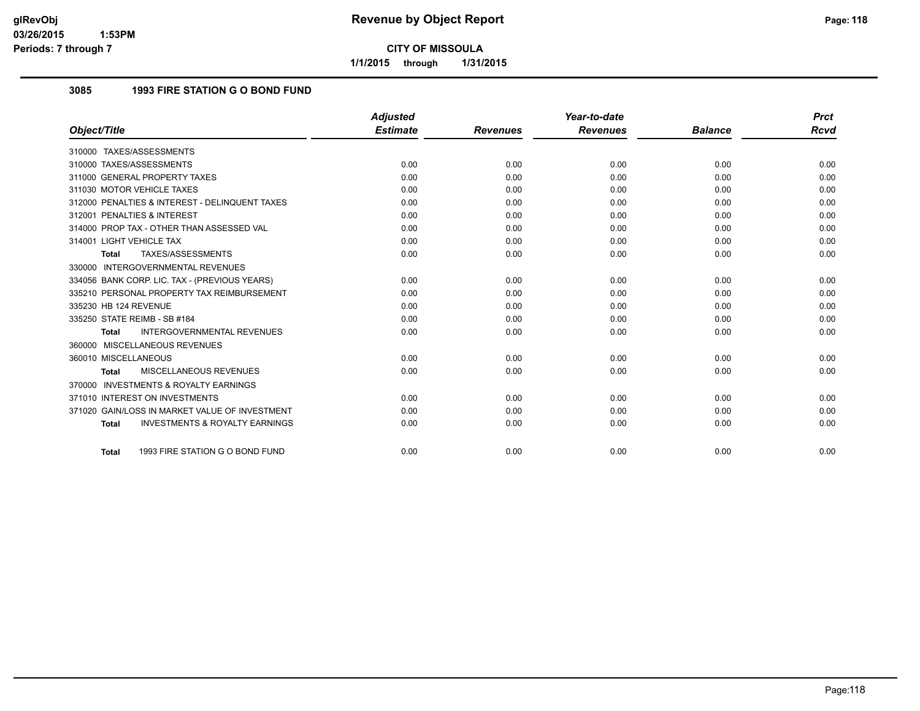**1/1/2015 through 1/31/2015**

## **3085 1993 FIRE STATION G O BOND FUND**

|                                                           | <b>Adjusted</b> |                 | Year-to-date    |                | <b>Prct</b> |
|-----------------------------------------------------------|-----------------|-----------------|-----------------|----------------|-------------|
| Object/Title                                              | <b>Estimate</b> | <b>Revenues</b> | <b>Revenues</b> | <b>Balance</b> | Rcvd        |
| 310000 TAXES/ASSESSMENTS                                  |                 |                 |                 |                |             |
| 310000 TAXES/ASSESSMENTS                                  | 0.00            | 0.00            | 0.00            | 0.00           | 0.00        |
| 311000 GENERAL PROPERTY TAXES                             | 0.00            | 0.00            | 0.00            | 0.00           | 0.00        |
| 311030 MOTOR VEHICLE TAXES                                | 0.00            | 0.00            | 0.00            | 0.00           | 0.00        |
| 312000 PENALTIES & INTEREST - DELINQUENT TAXES            | 0.00            | 0.00            | 0.00            | 0.00           | 0.00        |
| 312001 PENALTIES & INTEREST                               | 0.00            | 0.00            | 0.00            | 0.00           | 0.00        |
| 314000 PROP TAX - OTHER THAN ASSESSED VAL                 | 0.00            | 0.00            | 0.00            | 0.00           | 0.00        |
| 314001 LIGHT VEHICLE TAX                                  | 0.00            | 0.00            | 0.00            | 0.00           | 0.00        |
| TAXES/ASSESSMENTS<br><b>Total</b>                         | 0.00            | 0.00            | 0.00            | 0.00           | 0.00        |
| 330000 INTERGOVERNMENTAL REVENUES                         |                 |                 |                 |                |             |
| 334056 BANK CORP. LIC. TAX - (PREVIOUS YEARS)             | 0.00            | 0.00            | 0.00            | 0.00           | 0.00        |
| 335210 PERSONAL PROPERTY TAX REIMBURSEMENT                | 0.00            | 0.00            | 0.00            | 0.00           | 0.00        |
| 335230 HB 124 REVENUE                                     | 0.00            | 0.00            | 0.00            | 0.00           | 0.00        |
| 335250 STATE REIMB - SB #184                              | 0.00            | 0.00            | 0.00            | 0.00           | 0.00        |
| <b>INTERGOVERNMENTAL REVENUES</b><br><b>Total</b>         | 0.00            | 0.00            | 0.00            | 0.00           | 0.00        |
| 360000 MISCELLANEOUS REVENUES                             |                 |                 |                 |                |             |
| 360010 MISCELLANEOUS                                      | 0.00            | 0.00            | 0.00            | 0.00           | 0.00        |
| <b>MISCELLANEOUS REVENUES</b><br><b>Total</b>             | 0.00            | 0.00            | 0.00            | 0.00           | 0.00        |
| 370000 INVESTMENTS & ROYALTY EARNINGS                     |                 |                 |                 |                |             |
| 371010 INTEREST ON INVESTMENTS                            | 0.00            | 0.00            | 0.00            | 0.00           | 0.00        |
| 371020 GAIN/LOSS IN MARKET VALUE OF INVESTMENT            | 0.00            | 0.00            | 0.00            | 0.00           | 0.00        |
| <b>INVESTMENTS &amp; ROYALTY EARNINGS</b><br><b>Total</b> | 0.00            | 0.00            | 0.00            | 0.00           | 0.00        |
| 1993 FIRE STATION G O BOND FUND<br><b>Total</b>           | 0.00            | 0.00            | 0.00            | 0.00           | 0.00        |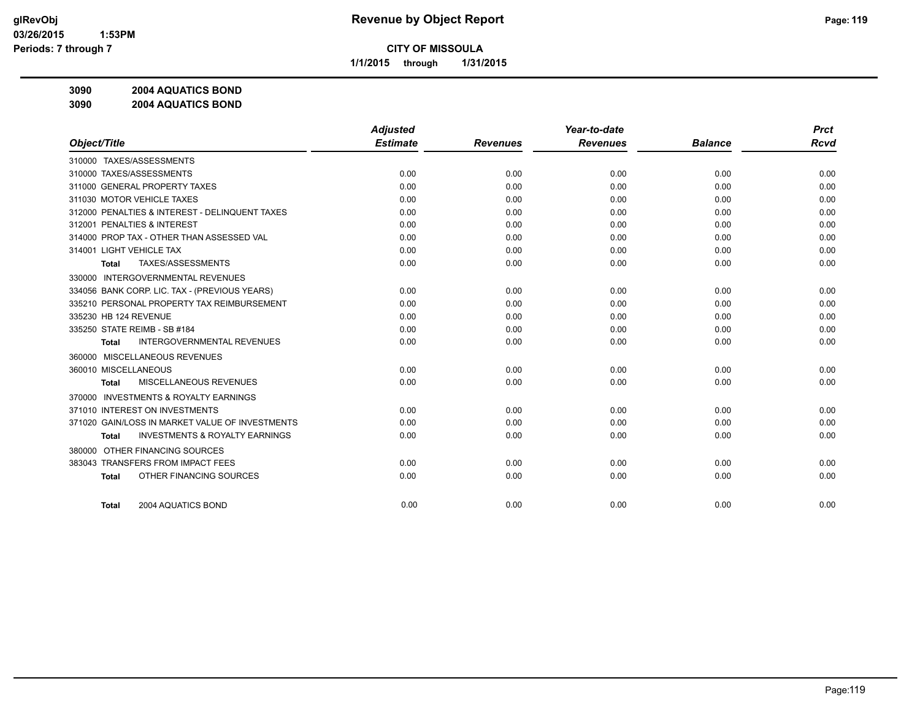**1/1/2015 through 1/31/2015**

**3090 2004 AQUATICS BOND**

**3090 2004 AQUATICS BOND**

|                                                     | <b>Adjusted</b> |                 | Year-to-date    |                | <b>Prct</b> |
|-----------------------------------------------------|-----------------|-----------------|-----------------|----------------|-------------|
| Object/Title                                        | <b>Estimate</b> | <b>Revenues</b> | <b>Revenues</b> | <b>Balance</b> | <b>Rcvd</b> |
| 310000 TAXES/ASSESSMENTS                            |                 |                 |                 |                |             |
| 310000 TAXES/ASSESSMENTS                            | 0.00            | 0.00            | 0.00            | 0.00           | 0.00        |
| 311000 GENERAL PROPERTY TAXES                       | 0.00            | 0.00            | 0.00            | 0.00           | 0.00        |
| 311030 MOTOR VEHICLE TAXES                          | 0.00            | 0.00            | 0.00            | 0.00           | 0.00        |
| 312000 PENALTIES & INTEREST - DELINQUENT TAXES      | 0.00            | 0.00            | 0.00            | 0.00           | 0.00        |
| 312001 PENALTIES & INTEREST                         | 0.00            | 0.00            | 0.00            | 0.00           | 0.00        |
| 314000 PROP TAX - OTHER THAN ASSESSED VAL           | 0.00            | 0.00            | 0.00            | 0.00           | 0.00        |
| 314001 LIGHT VEHICLE TAX                            | 0.00            | 0.00            | 0.00            | 0.00           | 0.00        |
| TAXES/ASSESSMENTS<br>Total                          | 0.00            | 0.00            | 0.00            | 0.00           | 0.00        |
| INTERGOVERNMENTAL REVENUES<br>330000                |                 |                 |                 |                |             |
| 334056 BANK CORP. LIC. TAX - (PREVIOUS YEARS)       | 0.00            | 0.00            | 0.00            | 0.00           | 0.00        |
| 335210 PERSONAL PROPERTY TAX REIMBURSEMENT          | 0.00            | 0.00            | 0.00            | 0.00           | 0.00        |
| 335230 HB 124 REVENUE                               | 0.00            | 0.00            | 0.00            | 0.00           | 0.00        |
| 335250 STATE REIMB - SB #184                        | 0.00            | 0.00            | 0.00            | 0.00           | 0.00        |
| <b>INTERGOVERNMENTAL REVENUES</b><br><b>Total</b>   | 0.00            | 0.00            | 0.00            | 0.00           | 0.00        |
| 360000 MISCELLANEOUS REVENUES                       |                 |                 |                 |                |             |
| 360010 MISCELLANEOUS                                | 0.00            | 0.00            | 0.00            | 0.00           | 0.00        |
| <b>MISCELLANEOUS REVENUES</b><br>Total              | 0.00            | 0.00            | 0.00            | 0.00           | 0.00        |
| <b>INVESTMENTS &amp; ROYALTY EARNINGS</b><br>370000 |                 |                 |                 |                |             |
| 371010 INTEREST ON INVESTMENTS                      | 0.00            | 0.00            | 0.00            | 0.00           | 0.00        |
| 371020 GAIN/LOSS IN MARKET VALUE OF INVESTMENTS     | 0.00            | 0.00            | 0.00            | 0.00           | 0.00        |
| <b>INVESTMENTS &amp; ROYALTY EARNINGS</b><br>Total  | 0.00            | 0.00            | 0.00            | 0.00           | 0.00        |
| OTHER FINANCING SOURCES<br>380000                   |                 |                 |                 |                |             |
| 383043 TRANSFERS FROM IMPACT FEES                   | 0.00            | 0.00            | 0.00            | 0.00           | 0.00        |
| OTHER FINANCING SOURCES<br>Total                    | 0.00            | 0.00            | 0.00            | 0.00           | 0.00        |
|                                                     |                 |                 |                 |                |             |
| 2004 AQUATICS BOND<br><b>Total</b>                  | 0.00            | 0.00            | 0.00            | 0.00           | 0.00        |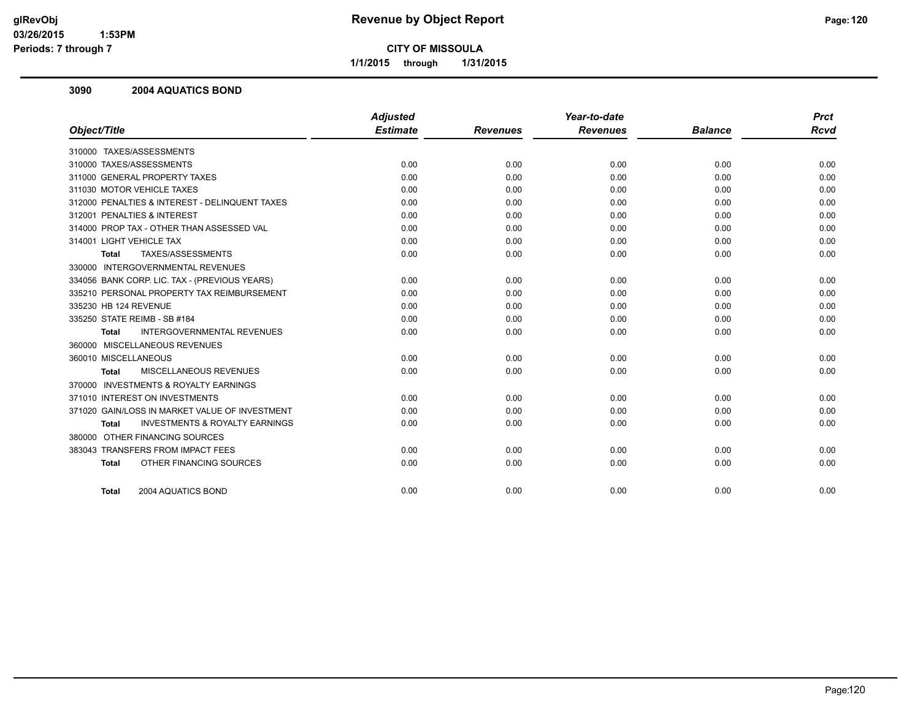**1/1/2015 through 1/31/2015**

#### **3090 2004 AQUATICS BOND**

|                                                    | <b>Adjusted</b> |                 | Year-to-date    |                | <b>Prct</b> |
|----------------------------------------------------|-----------------|-----------------|-----------------|----------------|-------------|
| Object/Title                                       | <b>Estimate</b> | <b>Revenues</b> | <b>Revenues</b> | <b>Balance</b> | <b>Rcvd</b> |
| 310000 TAXES/ASSESSMENTS                           |                 |                 |                 |                |             |
| 310000 TAXES/ASSESSMENTS                           | 0.00            | 0.00            | 0.00            | 0.00           | 0.00        |
| 311000 GENERAL PROPERTY TAXES                      | 0.00            | 0.00            | 0.00            | 0.00           | 0.00        |
| 311030 MOTOR VEHICLE TAXES                         | 0.00            | 0.00            | 0.00            | 0.00           | 0.00        |
| 312000 PENALTIES & INTEREST - DELINQUENT TAXES     | 0.00            | 0.00            | 0.00            | 0.00           | 0.00        |
| 312001 PENALTIES & INTEREST                        | 0.00            | 0.00            | 0.00            | 0.00           | 0.00        |
| 314000 PROP TAX - OTHER THAN ASSESSED VAL          | 0.00            | 0.00            | 0.00            | 0.00           | 0.00        |
| 314001 LIGHT VEHICLE TAX                           | 0.00            | 0.00            | 0.00            | 0.00           | 0.00        |
| TAXES/ASSESSMENTS<br><b>Total</b>                  | 0.00            | 0.00            | 0.00            | 0.00           | 0.00        |
| 330000 INTERGOVERNMENTAL REVENUES                  |                 |                 |                 |                |             |
| 334056 BANK CORP. LIC. TAX - (PREVIOUS YEARS)      | 0.00            | 0.00            | 0.00            | 0.00           | 0.00        |
| 335210 PERSONAL PROPERTY TAX REIMBURSEMENT         | 0.00            | 0.00            | 0.00            | 0.00           | 0.00        |
| 335230 HB 124 REVENUE                              | 0.00            | 0.00            | 0.00            | 0.00           | 0.00        |
| 335250 STATE REIMB - SB #184                       | 0.00            | 0.00            | 0.00            | 0.00           | 0.00        |
| <b>INTERGOVERNMENTAL REVENUES</b><br><b>Total</b>  | 0.00            | 0.00            | 0.00            | 0.00           | 0.00        |
| 360000 MISCELLANEOUS REVENUES                      |                 |                 |                 |                |             |
| 360010 MISCELLANEOUS                               | 0.00            | 0.00            | 0.00            | 0.00           | 0.00        |
| MISCELLANEOUS REVENUES<br>Total                    | 0.00            | 0.00            | 0.00            | 0.00           | 0.00        |
| 370000 INVESTMENTS & ROYALTY EARNINGS              |                 |                 |                 |                |             |
| 371010 INTEREST ON INVESTMENTS                     | 0.00            | 0.00            | 0.00            | 0.00           | 0.00        |
| 371020 GAIN/LOSS IN MARKET VALUE OF INVESTMENT     | 0.00            | 0.00            | 0.00            | 0.00           | 0.00        |
| <b>INVESTMENTS &amp; ROYALTY EARNINGS</b><br>Total | 0.00            | 0.00            | 0.00            | 0.00           | 0.00        |
| 380000 OTHER FINANCING SOURCES                     |                 |                 |                 |                |             |
| 383043 TRANSFERS FROM IMPACT FEES                  | 0.00            | 0.00            | 0.00            | 0.00           | 0.00        |
| OTHER FINANCING SOURCES<br><b>Total</b>            | 0.00            | 0.00            | 0.00            | 0.00           | 0.00        |
| 2004 AQUATICS BOND<br>Total                        | 0.00            | 0.00            | 0.00            | 0.00           | 0.00        |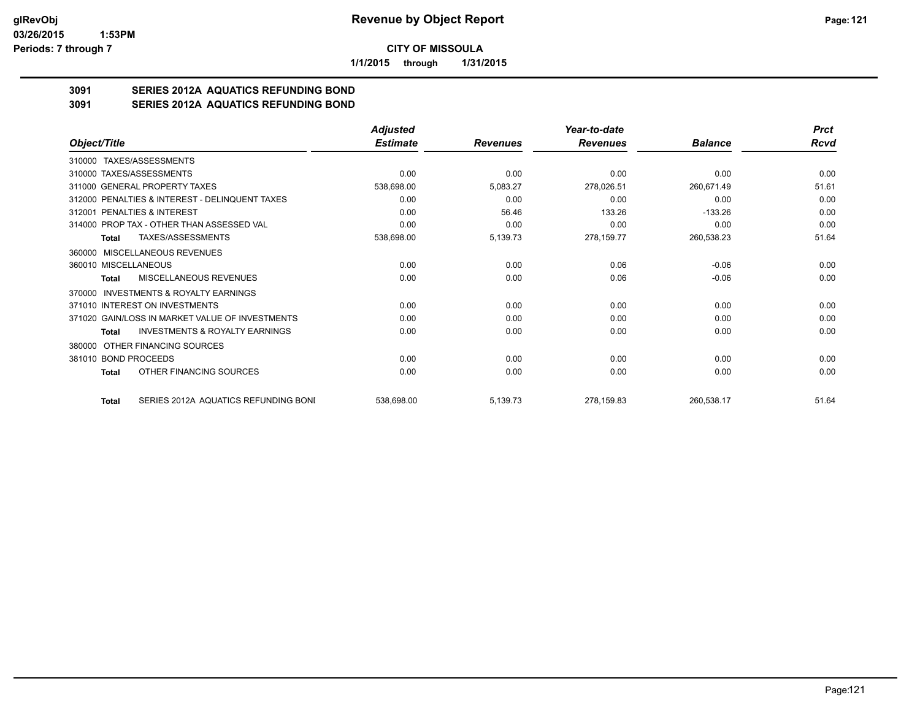**1/1/2015 through 1/31/2015**

# **3091 SERIES 2012A AQUATICS REFUNDING BOND**

**3091 SERIES 2012A AQUATICS REFUNDING BOND**

|                                                    | <b>Adjusted</b> |                 | Year-to-date    |                | <b>Prct</b> |
|----------------------------------------------------|-----------------|-----------------|-----------------|----------------|-------------|
| Object/Title                                       | <b>Estimate</b> | <b>Revenues</b> | <b>Revenues</b> | <b>Balance</b> | Rcvd        |
| 310000 TAXES/ASSESSMENTS                           |                 |                 |                 |                |             |
| 310000 TAXES/ASSESSMENTS                           | 0.00            | 0.00            | 0.00            | 0.00           | 0.00        |
| 311000 GENERAL PROPERTY TAXES                      | 538,698.00      | 5,083.27        | 278,026.51      | 260,671.49     | 51.61       |
| 312000 PENALTIES & INTEREST - DELINQUENT TAXES     | 0.00            | 0.00            | 0.00            | 0.00           | 0.00        |
| 312001 PENALTIES & INTEREST                        | 0.00            | 56.46           | 133.26          | $-133.26$      | 0.00        |
| 314000 PROP TAX - OTHER THAN ASSESSED VAL          | 0.00            | 0.00            | 0.00            | 0.00           | 0.00        |
| <b>TAXES/ASSESSMENTS</b><br>Total                  | 538,698.00      | 5,139.73        | 278,159.77      | 260,538.23     | 51.64       |
| 360000 MISCELLANEOUS REVENUES                      |                 |                 |                 |                |             |
| 360010 MISCELLANEOUS                               | 0.00            | 0.00            | 0.06            | $-0.06$        | 0.00        |
| MISCELLANEOUS REVENUES<br>Total                    | 0.00            | 0.00            | 0.06            | $-0.06$        | 0.00        |
| INVESTMENTS & ROYALTY EARNINGS<br>370000           |                 |                 |                 |                |             |
| 371010 INTEREST ON INVESTMENTS                     | 0.00            | 0.00            | 0.00            | 0.00           | 0.00        |
| 371020 GAIN/LOSS IN MARKET VALUE OF INVESTMENTS    | 0.00            | 0.00            | 0.00            | 0.00           | 0.00        |
| <b>INVESTMENTS &amp; ROYALTY EARNINGS</b><br>Total | 0.00            | 0.00            | 0.00            | 0.00           | 0.00        |
| OTHER FINANCING SOURCES<br>380000                  |                 |                 |                 |                |             |
| 381010 BOND PROCEEDS                               | 0.00            | 0.00            | 0.00            | 0.00           | 0.00        |
| OTHER FINANCING SOURCES<br>Total                   | 0.00            | 0.00            | 0.00            | 0.00           | 0.00        |
| SERIES 2012A AQUATICS REFUNDING BONI<br>Total      | 538,698.00      | 5,139.73        | 278,159.83      | 260,538.17     | 51.64       |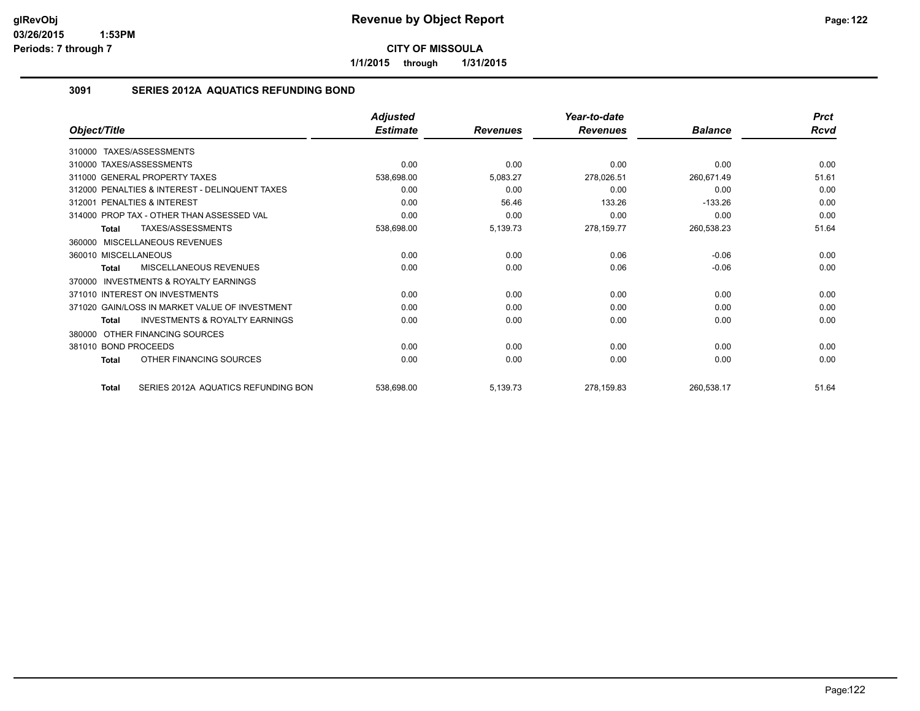**1/1/2015 through 1/31/2015**

## **3091 SERIES 2012A AQUATICS REFUNDING BOND**

|                                                           | <b>Adjusted</b> |                 | Year-to-date    |                | <b>Prct</b> |
|-----------------------------------------------------------|-----------------|-----------------|-----------------|----------------|-------------|
| Object/Title                                              | <b>Estimate</b> | <b>Revenues</b> | <b>Revenues</b> | <b>Balance</b> | Rcvd        |
| TAXES/ASSESSMENTS<br>310000                               |                 |                 |                 |                |             |
| 310000 TAXES/ASSESSMENTS                                  | 0.00            | 0.00            | 0.00            | 0.00           | 0.00        |
| 311000 GENERAL PROPERTY TAXES                             | 538,698.00      | 5,083.27        | 278,026.51      | 260,671.49     | 51.61       |
| 312000 PENALTIES & INTEREST - DELINQUENT TAXES            | 0.00            | 0.00            | 0.00            | 0.00           | 0.00        |
| 312001 PENALTIES & INTEREST                               | 0.00            | 56.46           | 133.26          | $-133.26$      | 0.00        |
| 314000 PROP TAX - OTHER THAN ASSESSED VAL                 | 0.00            | 0.00            | 0.00            | 0.00           | 0.00        |
| TAXES/ASSESSMENTS<br><b>Total</b>                         | 538,698.00      | 5,139.73        | 278,159.77      | 260,538.23     | 51.64       |
| MISCELLANEOUS REVENUES<br>360000                          |                 |                 |                 |                |             |
| 360010 MISCELLANEOUS                                      | 0.00            | 0.00            | 0.06            | $-0.06$        | 0.00        |
| MISCELLANEOUS REVENUES<br><b>Total</b>                    | 0.00            | 0.00            | 0.06            | $-0.06$        | 0.00        |
| <b>INVESTMENTS &amp; ROYALTY EARNINGS</b><br>370000       |                 |                 |                 |                |             |
| 371010 INTEREST ON INVESTMENTS                            | 0.00            | 0.00            | 0.00            | 0.00           | 0.00        |
| 371020 GAIN/LOSS IN MARKET VALUE OF INVESTMENT            | 0.00            | 0.00            | 0.00            | 0.00           | 0.00        |
| <b>INVESTMENTS &amp; ROYALTY EARNINGS</b><br><b>Total</b> | 0.00            | 0.00            | 0.00            | 0.00           | 0.00        |
| OTHER FINANCING SOURCES<br>380000                         |                 |                 |                 |                |             |
| 381010 BOND PROCEEDS                                      | 0.00            | 0.00            | 0.00            | 0.00           | 0.00        |
| OTHER FINANCING SOURCES<br><b>Total</b>                   | 0.00            | 0.00            | 0.00            | 0.00           | 0.00        |
| SERIES 2012A AQUATICS REFUNDING BON<br><b>Total</b>       | 538,698.00      | 5,139.73        | 278,159.83      | 260,538.17     | 51.64       |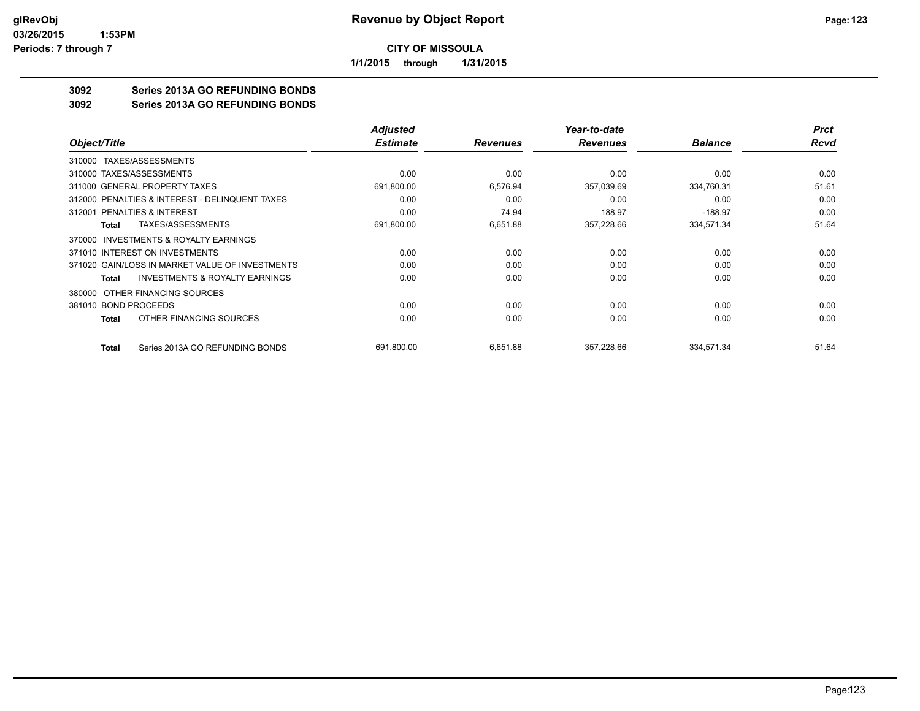**1/1/2015 through 1/31/2015**

## **3092 Series 2013A GO REFUNDING BONDS**

**3092 Series 2013A GO REFUNDING BONDS**

|                                                     | <b>Adjusted</b> |                 | Year-to-date    |                | <b>Prct</b> |
|-----------------------------------------------------|-----------------|-----------------|-----------------|----------------|-------------|
| Object/Title                                        | <b>Estimate</b> | <b>Revenues</b> | <b>Revenues</b> | <b>Balance</b> | <b>Rcvd</b> |
| 310000 TAXES/ASSESSMENTS                            |                 |                 |                 |                |             |
| 310000 TAXES/ASSESSMENTS                            | 0.00            | 0.00            | 0.00            | 0.00           | 0.00        |
| 311000 GENERAL PROPERTY TAXES                       | 691,800.00      | 6,576.94        | 357,039.69      | 334,760.31     | 51.61       |
| 312000 PENALTIES & INTEREST - DELINQUENT TAXES      | 0.00            | 0.00            | 0.00            | 0.00           | 0.00        |
| 312001 PENALTIES & INTEREST                         | 0.00            | 74.94           | 188.97          | $-188.97$      | 0.00        |
| TAXES/ASSESSMENTS<br>Total                          | 691,800.00      | 6,651.88        | 357,228.66      | 334,571.34     | 51.64       |
| <b>INVESTMENTS &amp; ROYALTY EARNINGS</b><br>370000 |                 |                 |                 |                |             |
| 371010 INTEREST ON INVESTMENTS                      | 0.00            | 0.00            | 0.00            | 0.00           | 0.00        |
| 371020 GAIN/LOSS IN MARKET VALUE OF INVESTMENTS     | 0.00            | 0.00            | 0.00            | 0.00           | 0.00        |
| <b>INVESTMENTS &amp; ROYALTY EARNINGS</b><br>Total  | 0.00            | 0.00            | 0.00            | 0.00           | 0.00        |
| OTHER FINANCING SOURCES<br>380000                   |                 |                 |                 |                |             |
| 381010 BOND PROCEEDS                                | 0.00            | 0.00            | 0.00            | 0.00           | 0.00        |
| OTHER FINANCING SOURCES<br>Total                    | 0.00            | 0.00            | 0.00            | 0.00           | 0.00        |
| Series 2013A GO REFUNDING BONDS<br><b>Total</b>     | 691,800.00      | 6,651.88        | 357,228.66      | 334,571.34     | 51.64       |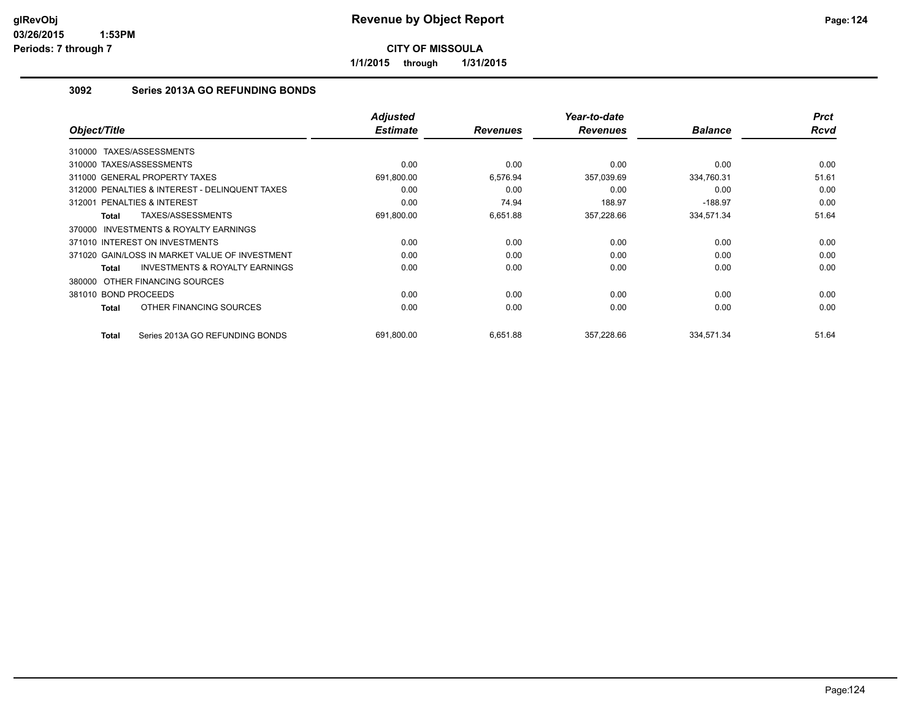**1/1/2015 through 1/31/2015**

## **3092 Series 2013A GO REFUNDING BONDS**

| Object/Title                                        | <b>Adjusted</b><br><b>Estimate</b> | <b>Revenues</b> | Year-to-date<br><b>Revenues</b> | <b>Balance</b> | <b>Prct</b><br><b>Rcvd</b> |
|-----------------------------------------------------|------------------------------------|-----------------|---------------------------------|----------------|----------------------------|
| TAXES/ASSESSMENTS<br>310000                         |                                    |                 |                                 |                |                            |
| 310000 TAXES/ASSESSMENTS                            | 0.00                               | 0.00            | 0.00                            | 0.00           | 0.00                       |
| 311000 GENERAL PROPERTY TAXES                       | 691,800.00                         | 6,576.94        | 357,039.69                      | 334,760.31     | 51.61                      |
| 312000 PENALTIES & INTEREST - DELINQUENT TAXES      | 0.00                               | 0.00            | 0.00                            | 0.00           | 0.00                       |
| PENALTIES & INTEREST<br>312001                      | 0.00                               | 74.94           | 188.97                          | $-188.97$      | 0.00                       |
| TAXES/ASSESSMENTS<br>Total                          | 691,800.00                         | 6,651.88        | 357,228.66                      | 334,571.34     | 51.64                      |
| <b>INVESTMENTS &amp; ROYALTY EARNINGS</b><br>370000 |                                    |                 |                                 |                |                            |
| 371010 INTEREST ON INVESTMENTS                      | 0.00                               | 0.00            | 0.00                            | 0.00           | 0.00                       |
| 371020 GAIN/LOSS IN MARKET VALUE OF INVESTMENT      | 0.00                               | 0.00            | 0.00                            | 0.00           | 0.00                       |
| <b>INVESTMENTS &amp; ROYALTY EARNINGS</b><br>Total  | 0.00                               | 0.00            | 0.00                            | 0.00           | 0.00                       |
| 380000 OTHER FINANCING SOURCES                      |                                    |                 |                                 |                |                            |
| 381010 BOND PROCEEDS                                | 0.00                               | 0.00            | 0.00                            | 0.00           | 0.00                       |
| OTHER FINANCING SOURCES<br>Total                    | 0.00                               | 0.00            | 0.00                            | 0.00           | 0.00                       |
| Series 2013A GO REFUNDING BONDS<br>Total            | 691,800.00                         | 6,651.88        | 357,228.66                      | 334.571.34     | 51.64                      |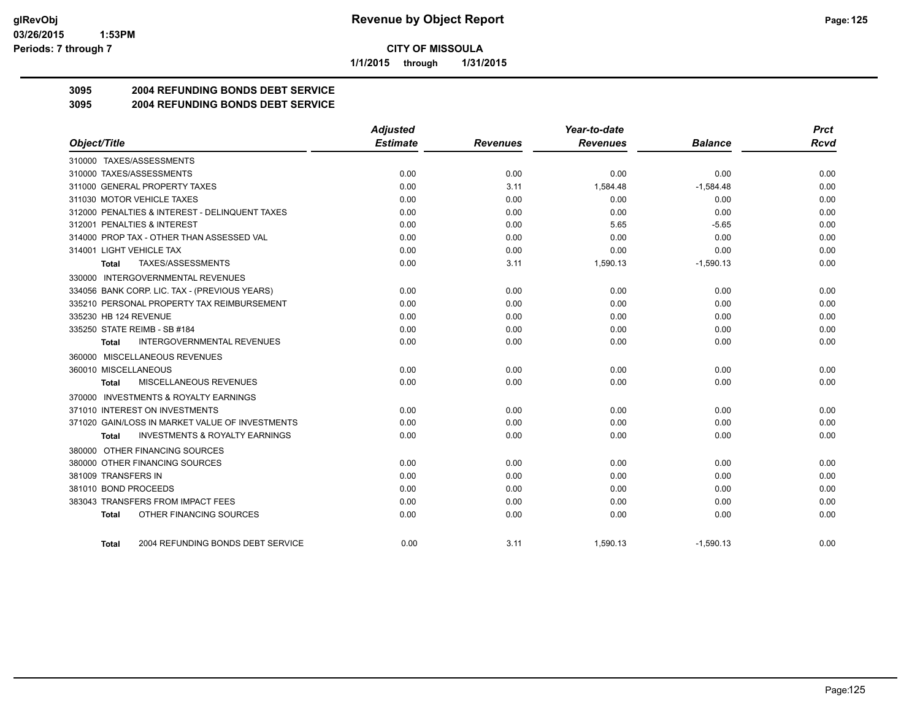**1/1/2015 through 1/31/2015**

# **3095 2004 REFUNDING BONDS DEBT SERVICE**

#### **3095 2004 REFUNDING BONDS DEBT SERVICE**

|                                                           | <b>Adjusted</b> |                 | Year-to-date    |                | <b>Prct</b> |
|-----------------------------------------------------------|-----------------|-----------------|-----------------|----------------|-------------|
| Object/Title                                              | <b>Estimate</b> | <b>Revenues</b> | <b>Revenues</b> | <b>Balance</b> | Rcvd        |
| 310000 TAXES/ASSESSMENTS                                  |                 |                 |                 |                |             |
| 310000 TAXES/ASSESSMENTS                                  | 0.00            | 0.00            | 0.00            | 0.00           | 0.00        |
| 311000 GENERAL PROPERTY TAXES                             | 0.00            | 3.11            | 1,584.48        | $-1,584.48$    | 0.00        |
| 311030 MOTOR VEHICLE TAXES                                | 0.00            | 0.00            | 0.00            | 0.00           | 0.00        |
| 312000 PENALTIES & INTEREST - DELINQUENT TAXES            | 0.00            | 0.00            | 0.00            | 0.00           | 0.00        |
| 312001 PENALTIES & INTEREST                               | 0.00            | 0.00            | 5.65            | $-5.65$        | 0.00        |
| 314000 PROP TAX - OTHER THAN ASSESSED VAL                 | 0.00            | 0.00            | 0.00            | 0.00           | 0.00        |
| 314001 LIGHT VEHICLE TAX                                  | 0.00            | 0.00            | 0.00            | 0.00           | 0.00        |
| TAXES/ASSESSMENTS<br>Total                                | 0.00            | 3.11            | 1,590.13        | $-1,590.13$    | 0.00        |
| 330000 INTERGOVERNMENTAL REVENUES                         |                 |                 |                 |                |             |
| 334056 BANK CORP. LIC. TAX - (PREVIOUS YEARS)             | 0.00            | 0.00            | 0.00            | 0.00           | 0.00        |
| 335210 PERSONAL PROPERTY TAX REIMBURSEMENT                | 0.00            | 0.00            | 0.00            | 0.00           | 0.00        |
| 335230 HB 124 REVENUE                                     | 0.00            | 0.00            | 0.00            | 0.00           | 0.00        |
| 335250 STATE REIMB - SB #184                              | 0.00            | 0.00            | 0.00            | 0.00           | 0.00        |
| <b>INTERGOVERNMENTAL REVENUES</b><br>Total                | 0.00            | 0.00            | 0.00            | 0.00           | 0.00        |
| 360000 MISCELLANEOUS REVENUES                             |                 |                 |                 |                |             |
| 360010 MISCELLANEOUS                                      | 0.00            | 0.00            | 0.00            | 0.00           | 0.00        |
| MISCELLANEOUS REVENUES<br><b>Total</b>                    | 0.00            | 0.00            | 0.00            | 0.00           | 0.00        |
| 370000 INVESTMENTS & ROYALTY EARNINGS                     |                 |                 |                 |                |             |
| 371010 INTEREST ON INVESTMENTS                            | 0.00            | 0.00            | 0.00            | 0.00           | 0.00        |
| 371020 GAIN/LOSS IN MARKET VALUE OF INVESTMENTS           | 0.00            | 0.00            | 0.00            | 0.00           | 0.00        |
| <b>INVESTMENTS &amp; ROYALTY EARNINGS</b><br><b>Total</b> | 0.00            | 0.00            | 0.00            | 0.00           | 0.00        |
| 380000 OTHER FINANCING SOURCES                            |                 |                 |                 |                |             |
| 380000 OTHER FINANCING SOURCES                            | 0.00            | 0.00            | 0.00            | 0.00           | 0.00        |
| 381009 TRANSFERS IN                                       | 0.00            | 0.00            | 0.00            | 0.00           | 0.00        |
| 381010 BOND PROCEEDS                                      | 0.00            | 0.00            | 0.00            | 0.00           | 0.00        |
| 383043 TRANSFERS FROM IMPACT FEES                         | 0.00            | 0.00            | 0.00            | 0.00           | 0.00        |
| OTHER FINANCING SOURCES<br><b>Total</b>                   | 0.00            | 0.00            | 0.00            | 0.00           | 0.00        |
| 2004 REFUNDING BONDS DEBT SERVICE<br>Total                | 0.00            | 3.11            | 1.590.13        | $-1.590.13$    | 0.00        |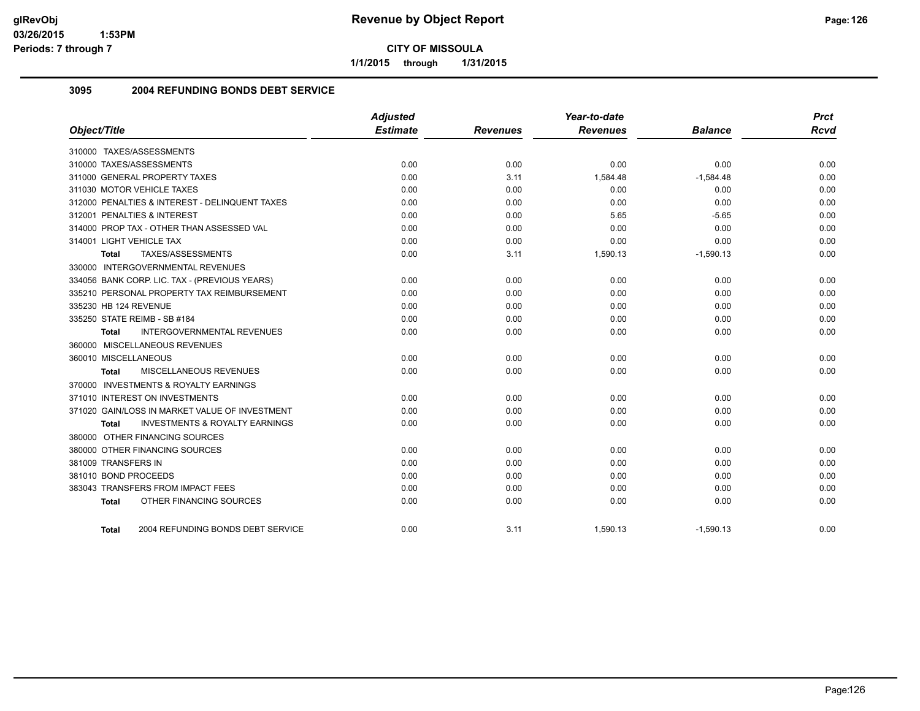**1/1/2015 through 1/31/2015**

## **3095 2004 REFUNDING BONDS DEBT SERVICE**

|                                                    | <b>Adjusted</b> |                 | Year-to-date    |                | <b>Prct</b> |
|----------------------------------------------------|-----------------|-----------------|-----------------|----------------|-------------|
| Object/Title                                       | <b>Estimate</b> | <b>Revenues</b> | <b>Revenues</b> | <b>Balance</b> | <b>Rcvd</b> |
| 310000 TAXES/ASSESSMENTS                           |                 |                 |                 |                |             |
| 310000 TAXES/ASSESSMENTS                           | 0.00            | 0.00            | 0.00            | 0.00           | 0.00        |
| 311000 GENERAL PROPERTY TAXES                      | 0.00            | 3.11            | 1,584.48        | $-1,584.48$    | 0.00        |
| 311030 MOTOR VEHICLE TAXES                         | 0.00            | 0.00            | 0.00            | 0.00           | 0.00        |
| 312000 PENALTIES & INTEREST - DELINQUENT TAXES     | 0.00            | 0.00            | 0.00            | 0.00           | 0.00        |
| 312001 PENALTIES & INTEREST                        | 0.00            | 0.00            | 5.65            | $-5.65$        | 0.00        |
| 314000 PROP TAX - OTHER THAN ASSESSED VAL          | 0.00            | 0.00            | 0.00            | 0.00           | 0.00        |
| 314001 LIGHT VEHICLE TAX                           | 0.00            | 0.00            | 0.00            | 0.00           | 0.00        |
| TAXES/ASSESSMENTS<br>Total                         | 0.00            | 3.11            | 1,590.13        | $-1,590.13$    | 0.00        |
| 330000 INTERGOVERNMENTAL REVENUES                  |                 |                 |                 |                |             |
| 334056 BANK CORP. LIC. TAX - (PREVIOUS YEARS)      | 0.00            | 0.00            | 0.00            | 0.00           | 0.00        |
| 335210 PERSONAL PROPERTY TAX REIMBURSEMENT         | 0.00            | 0.00            | 0.00            | 0.00           | 0.00        |
| 335230 HB 124 REVENUE                              | 0.00            | 0.00            | 0.00            | 0.00           | 0.00        |
| 335250 STATE REIMB - SB #184                       | 0.00            | 0.00            | 0.00            | 0.00           | 0.00        |
| <b>INTERGOVERNMENTAL REVENUES</b><br>Total         | 0.00            | 0.00            | 0.00            | 0.00           | 0.00        |
| 360000 MISCELLANEOUS REVENUES                      |                 |                 |                 |                |             |
| 360010 MISCELLANEOUS                               | 0.00            | 0.00            | 0.00            | 0.00           | 0.00        |
| MISCELLANEOUS REVENUES<br>Total                    | 0.00            | 0.00            | 0.00            | 0.00           | 0.00        |
| 370000 INVESTMENTS & ROYALTY EARNINGS              |                 |                 |                 |                |             |
| 371010 INTEREST ON INVESTMENTS                     | 0.00            | 0.00            | 0.00            | 0.00           | 0.00        |
| 371020 GAIN/LOSS IN MARKET VALUE OF INVESTMENT     | 0.00            | 0.00            | 0.00            | 0.00           | 0.00        |
| <b>INVESTMENTS &amp; ROYALTY EARNINGS</b><br>Total | 0.00            | 0.00            | 0.00            | 0.00           | 0.00        |
| 380000 OTHER FINANCING SOURCES                     |                 |                 |                 |                |             |
| 380000 OTHER FINANCING SOURCES                     | 0.00            | 0.00            | 0.00            | 0.00           | 0.00        |
| 381009 TRANSFERS IN                                | 0.00            | 0.00            | 0.00            | 0.00           | 0.00        |
| 381010 BOND PROCEEDS                               | 0.00            | 0.00            | 0.00            | 0.00           | 0.00        |
| 383043 TRANSFERS FROM IMPACT FEES                  | 0.00            | 0.00            | 0.00            | 0.00           | 0.00        |
| OTHER FINANCING SOURCES<br><b>Total</b>            | 0.00            | 0.00            | 0.00            | 0.00           | 0.00        |
| 2004 REFUNDING BONDS DEBT SERVICE<br><b>Total</b>  | 0.00            | 3.11            | 1,590.13        | $-1,590.13$    | 0.00        |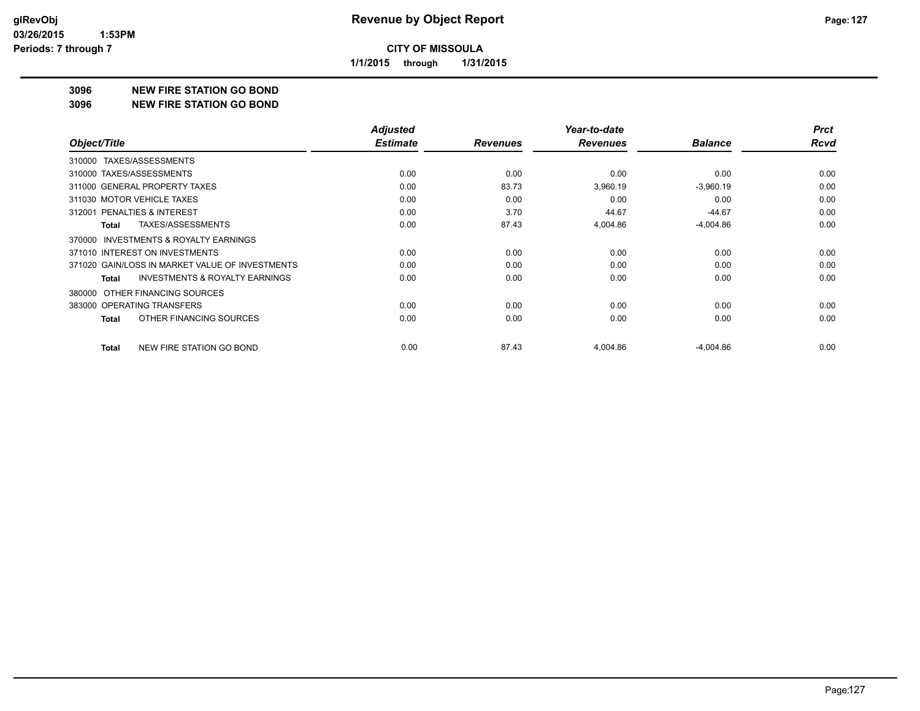**1/1/2015 through 1/31/2015**

#### **3096 NEW FIRE STATION GO BOND**

#### **3096 NEW FIRE STATION GO BOND**

|                                                     | <b>Adjusted</b> |                 | Year-to-date    |                | <b>Prct</b> |
|-----------------------------------------------------|-----------------|-----------------|-----------------|----------------|-------------|
| Object/Title                                        | <b>Estimate</b> | <b>Revenues</b> | <b>Revenues</b> | <b>Balance</b> | <b>Rcvd</b> |
| TAXES/ASSESSMENTS<br>310000                         |                 |                 |                 |                |             |
| 310000 TAXES/ASSESSMENTS                            | 0.00            | 0.00            | 0.00            | 0.00           | 0.00        |
| 311000 GENERAL PROPERTY TAXES                       | 0.00            | 83.73           | 3,960.19        | $-3,960.19$    | 0.00        |
| 311030 MOTOR VEHICLE TAXES                          | 0.00            | 0.00            | 0.00            | 0.00           | 0.00        |
| 312001 PENALTIES & INTEREST                         | 0.00            | 3.70            | 44.67           | $-44.67$       | 0.00        |
| TAXES/ASSESSMENTS<br>Total                          | 0.00            | 87.43           | 4,004.86        | $-4,004.86$    | 0.00        |
| <b>INVESTMENTS &amp; ROYALTY EARNINGS</b><br>370000 |                 |                 |                 |                |             |
| 371010 INTEREST ON INVESTMENTS                      | 0.00            | 0.00            | 0.00            | 0.00           | 0.00        |
| 371020 GAIN/LOSS IN MARKET VALUE OF INVESTMENTS     | 0.00            | 0.00            | 0.00            | 0.00           | 0.00        |
| <b>INVESTMENTS &amp; ROYALTY EARNINGS</b><br>Total  | 0.00            | 0.00            | 0.00            | 0.00           | 0.00        |
| OTHER FINANCING SOURCES<br>380000                   |                 |                 |                 |                |             |
| 383000 OPERATING TRANSFERS                          | 0.00            | 0.00            | 0.00            | 0.00           | 0.00        |
| OTHER FINANCING SOURCES<br>Total                    | 0.00            | 0.00            | 0.00            | 0.00           | 0.00        |
| NEW FIRE STATION GO BOND<br>Total                   | 0.00            | 87.43           | 4,004.86        | $-4,004.86$    | 0.00        |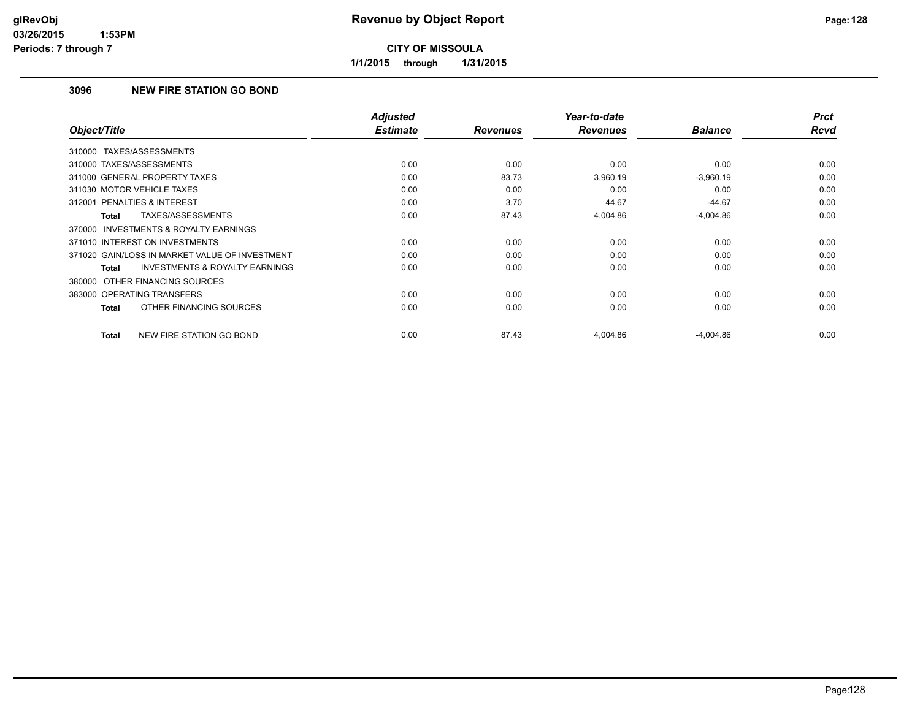**1/1/2015 through 1/31/2015**

## **3096 NEW FIRE STATION GO BOND**

| Object/Title                                        | <b>Adjusted</b><br><b>Estimate</b> | <b>Revenues</b> | Year-to-date<br><b>Revenues</b> | <b>Balance</b> | <b>Prct</b><br><b>Rcvd</b> |
|-----------------------------------------------------|------------------------------------|-----------------|---------------------------------|----------------|----------------------------|
|                                                     |                                    |                 |                                 |                |                            |
| TAXES/ASSESSMENTS<br>310000                         |                                    |                 |                                 |                |                            |
| 310000 TAXES/ASSESSMENTS                            | 0.00                               | 0.00            | 0.00                            | 0.00           | 0.00                       |
| 311000 GENERAL PROPERTY TAXES                       | 0.00                               | 83.73           | 3,960.19                        | $-3,960.19$    | 0.00                       |
| 311030 MOTOR VEHICLE TAXES                          | 0.00                               | 0.00            | 0.00                            | 0.00           | 0.00                       |
| <b>PENALTIES &amp; INTEREST</b><br>312001           | 0.00                               | 3.70            | 44.67                           | $-44.67$       | 0.00                       |
| <b>TAXES/ASSESSMENTS</b><br>Total                   | 0.00                               | 87.43           | 4,004.86                        | $-4,004.86$    | 0.00                       |
| <b>INVESTMENTS &amp; ROYALTY EARNINGS</b><br>370000 |                                    |                 |                                 |                |                            |
| 371010 INTEREST ON INVESTMENTS                      | 0.00                               | 0.00            | 0.00                            | 0.00           | 0.00                       |
| 371020 GAIN/LOSS IN MARKET VALUE OF INVESTMENT      | 0.00                               | 0.00            | 0.00                            | 0.00           | 0.00                       |
| <b>INVESTMENTS &amp; ROYALTY EARNINGS</b><br>Total  | 0.00                               | 0.00            | 0.00                            | 0.00           | 0.00                       |
| 380000 OTHER FINANCING SOURCES                      |                                    |                 |                                 |                |                            |
| 383000 OPERATING TRANSFERS                          | 0.00                               | 0.00            | 0.00                            | 0.00           | 0.00                       |
| OTHER FINANCING SOURCES<br><b>Total</b>             | 0.00                               | 0.00            | 0.00                            | 0.00           | 0.00                       |
| NEW FIRE STATION GO BOND<br><b>Total</b>            | 0.00                               | 87.43           | 4,004.86                        | $-4,004.86$    | 0.00                       |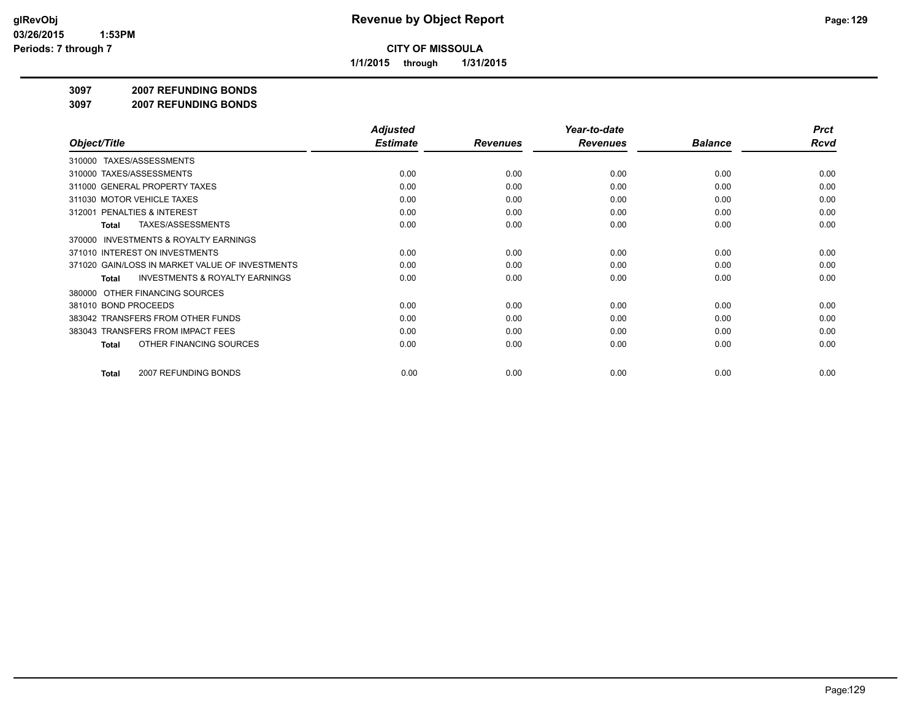**1/1/2015 through 1/31/2015**

#### **3097 2007 REFUNDING BONDS**

**3097 2007 REFUNDING BONDS**

|                                                     | <b>Adjusted</b> |                 | Year-to-date    |                | <b>Prct</b> |
|-----------------------------------------------------|-----------------|-----------------|-----------------|----------------|-------------|
| Object/Title                                        | <b>Estimate</b> | <b>Revenues</b> | <b>Revenues</b> | <b>Balance</b> | <b>Rcvd</b> |
| 310000 TAXES/ASSESSMENTS                            |                 |                 |                 |                |             |
| 310000 TAXES/ASSESSMENTS                            | 0.00            | 0.00            | 0.00            | 0.00           | 0.00        |
| 311000 GENERAL PROPERTY TAXES                       | 0.00            | 0.00            | 0.00            | 0.00           | 0.00        |
| 311030 MOTOR VEHICLE TAXES                          | 0.00            | 0.00            | 0.00            | 0.00           | 0.00        |
| 312001 PENALTIES & INTEREST                         | 0.00            | 0.00            | 0.00            | 0.00           | 0.00        |
| <b>TAXES/ASSESSMENTS</b><br><b>Total</b>            | 0.00            | 0.00            | 0.00            | 0.00           | 0.00        |
| <b>INVESTMENTS &amp; ROYALTY EARNINGS</b><br>370000 |                 |                 |                 |                |             |
| 371010 INTEREST ON INVESTMENTS                      | 0.00            | 0.00            | 0.00            | 0.00           | 0.00        |
| 371020 GAIN/LOSS IN MARKET VALUE OF INVESTMENTS     | 0.00            | 0.00            | 0.00            | 0.00           | 0.00        |
| <b>INVESTMENTS &amp; ROYALTY EARNINGS</b><br>Total  | 0.00            | 0.00            | 0.00            | 0.00           | 0.00        |
| OTHER FINANCING SOURCES<br>380000                   |                 |                 |                 |                |             |
| 381010 BOND PROCEEDS                                | 0.00            | 0.00            | 0.00            | 0.00           | 0.00        |
| 383042 TRANSFERS FROM OTHER FUNDS                   | 0.00            | 0.00            | 0.00            | 0.00           | 0.00        |
| 383043 TRANSFERS FROM IMPACT FEES                   | 0.00            | 0.00            | 0.00            | 0.00           | 0.00        |
| OTHER FINANCING SOURCES<br><b>Total</b>             | 0.00            | 0.00            | 0.00            | 0.00           | 0.00        |
| 2007 REFUNDING BONDS<br><b>Total</b>                | 0.00            | 0.00            | 0.00            | 0.00           | 0.00        |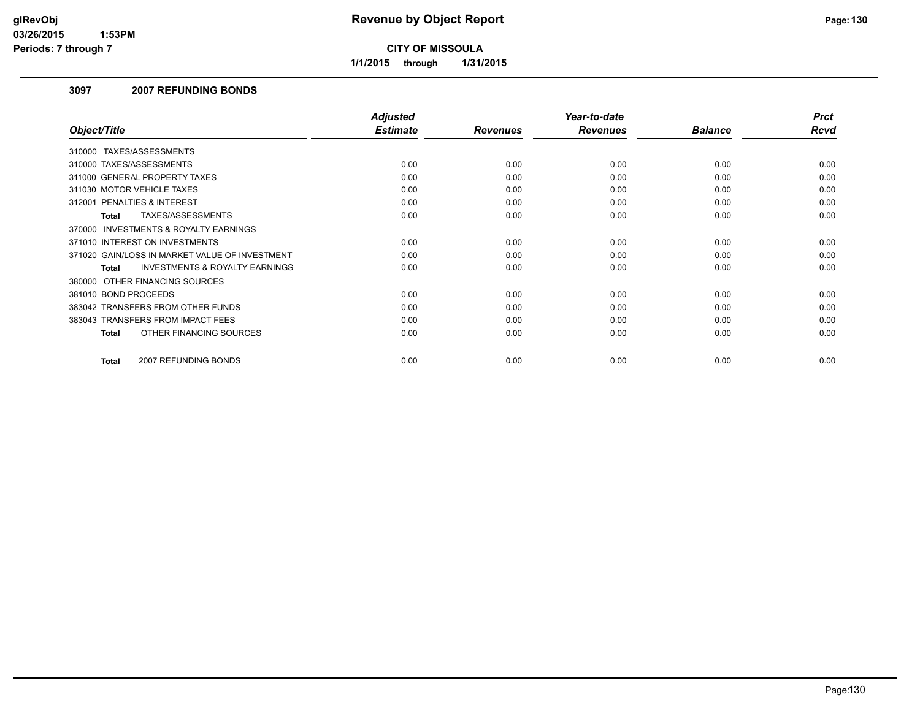**1/1/2015 through 1/31/2015**

#### **3097 2007 REFUNDING BONDS**

|                                                    | <b>Adjusted</b> |                 | Year-to-date    |                | <b>Prct</b> |
|----------------------------------------------------|-----------------|-----------------|-----------------|----------------|-------------|
| Object/Title                                       | <b>Estimate</b> | <b>Revenues</b> | <b>Revenues</b> | <b>Balance</b> | <b>Rcvd</b> |
| 310000 TAXES/ASSESSMENTS                           |                 |                 |                 |                |             |
| 310000 TAXES/ASSESSMENTS                           | 0.00            | 0.00            | 0.00            | 0.00           | 0.00        |
| 311000 GENERAL PROPERTY TAXES                      | 0.00            | 0.00            | 0.00            | 0.00           | 0.00        |
| 311030 MOTOR VEHICLE TAXES                         | 0.00            | 0.00            | 0.00            | 0.00           | 0.00        |
| PENALTIES & INTEREST<br>312001                     | 0.00            | 0.00            | 0.00            | 0.00           | 0.00        |
| TAXES/ASSESSMENTS<br><b>Total</b>                  | 0.00            | 0.00            | 0.00            | 0.00           | 0.00        |
| 370000 INVESTMENTS & ROYALTY EARNINGS              |                 |                 |                 |                |             |
| 371010 INTEREST ON INVESTMENTS                     | 0.00            | 0.00            | 0.00            | 0.00           | 0.00        |
| 371020 GAIN/LOSS IN MARKET VALUE OF INVESTMENT     | 0.00            | 0.00            | 0.00            | 0.00           | 0.00        |
| <b>INVESTMENTS &amp; ROYALTY EARNINGS</b><br>Total | 0.00            | 0.00            | 0.00            | 0.00           | 0.00        |
| 380000 OTHER FINANCING SOURCES                     |                 |                 |                 |                |             |
| 381010 BOND PROCEEDS                               | 0.00            | 0.00            | 0.00            | 0.00           | 0.00        |
| 383042 TRANSFERS FROM OTHER FUNDS                  | 0.00            | 0.00            | 0.00            | 0.00           | 0.00        |
| 383043 TRANSFERS FROM IMPACT FEES                  | 0.00            | 0.00            | 0.00            | 0.00           | 0.00        |
| OTHER FINANCING SOURCES<br><b>Total</b>            | 0.00            | 0.00            | 0.00            | 0.00           | 0.00        |
|                                                    |                 |                 |                 |                |             |
| 2007 REFUNDING BONDS<br><b>Total</b>               | 0.00            | 0.00            | 0.00            | 0.00           | 0.00        |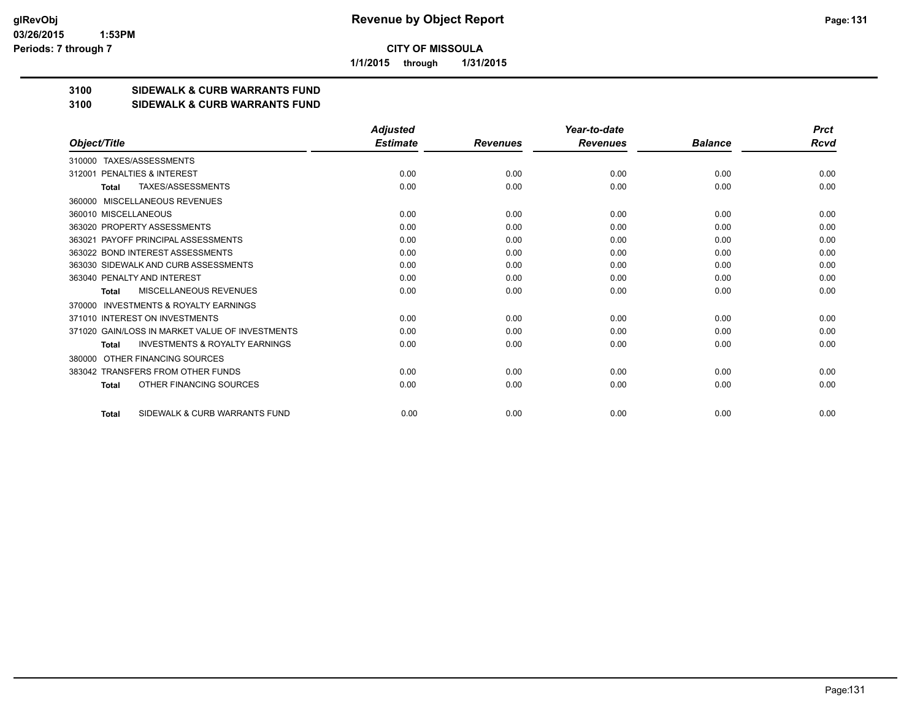**1/1/2015 through 1/31/2015**

## **3100 SIDEWALK & CURB WARRANTS FUND**

#### **3100 SIDEWALK & CURB WARRANTS FUND**

|                                                           | <b>Adjusted</b> |                 | Year-to-date    |                | <b>Prct</b> |
|-----------------------------------------------------------|-----------------|-----------------|-----------------|----------------|-------------|
| Object/Title                                              | <b>Estimate</b> | <b>Revenues</b> | <b>Revenues</b> | <b>Balance</b> | <b>Rcvd</b> |
| TAXES/ASSESSMENTS<br>310000                               |                 |                 |                 |                |             |
| PENALTIES & INTEREST<br>312001                            | 0.00            | 0.00            | 0.00            | 0.00           | 0.00        |
| TAXES/ASSESSMENTS<br><b>Total</b>                         | 0.00            | 0.00            | 0.00            | 0.00           | 0.00        |
| MISCELLANEOUS REVENUES<br>360000                          |                 |                 |                 |                |             |
| 360010 MISCELLANEOUS                                      | 0.00            | 0.00            | 0.00            | 0.00           | 0.00        |
| 363020 PROPERTY ASSESSMENTS                               | 0.00            | 0.00            | 0.00            | 0.00           | 0.00        |
| 363021 PAYOFF PRINCIPAL ASSESSMENTS                       | 0.00            | 0.00            | 0.00            | 0.00           | 0.00        |
| 363022 BOND INTEREST ASSESSMENTS                          | 0.00            | 0.00            | 0.00            | 0.00           | 0.00        |
| 363030 SIDEWALK AND CURB ASSESSMENTS                      | 0.00            | 0.00            | 0.00            | 0.00           | 0.00        |
| 363040 PENALTY AND INTEREST                               | 0.00            | 0.00            | 0.00            | 0.00           | 0.00        |
| MISCELLANEOUS REVENUES<br><b>Total</b>                    | 0.00            | 0.00            | 0.00            | 0.00           | 0.00        |
| <b>INVESTMENTS &amp; ROYALTY EARNINGS</b><br>370000       |                 |                 |                 |                |             |
| 371010 INTEREST ON INVESTMENTS                            | 0.00            | 0.00            | 0.00            | 0.00           | 0.00        |
| 371020 GAIN/LOSS IN MARKET VALUE OF INVESTMENTS           | 0.00            | 0.00            | 0.00            | 0.00           | 0.00        |
| <b>INVESTMENTS &amp; ROYALTY EARNINGS</b><br><b>Total</b> | 0.00            | 0.00            | 0.00            | 0.00           | 0.00        |
| OTHER FINANCING SOURCES<br>380000                         |                 |                 |                 |                |             |
| 383042 TRANSFERS FROM OTHER FUNDS                         | 0.00            | 0.00            | 0.00            | 0.00           | 0.00        |
| OTHER FINANCING SOURCES<br><b>Total</b>                   | 0.00            | 0.00            | 0.00            | 0.00           | 0.00        |
| SIDEWALK & CURB WARRANTS FUND<br><b>Total</b>             | 0.00            | 0.00            | 0.00            | 0.00           | 0.00        |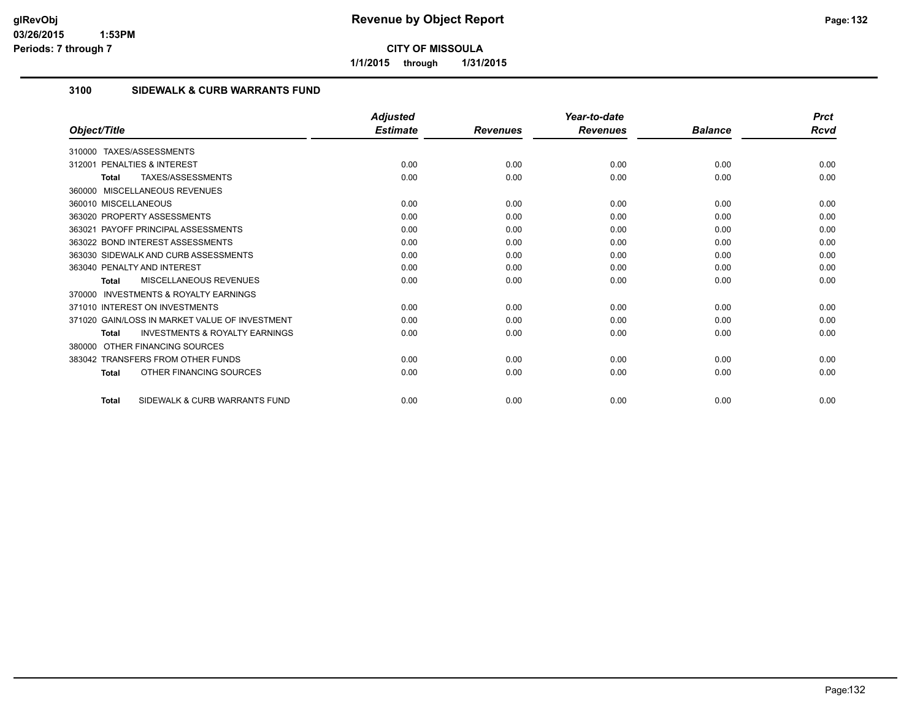**1/1/2015 through 1/31/2015**

## **3100 SIDEWALK & CURB WARRANTS FUND**

|                                                     | <b>Adjusted</b> |                 | Year-to-date    |                | <b>Prct</b> |
|-----------------------------------------------------|-----------------|-----------------|-----------------|----------------|-------------|
| Object/Title                                        | <b>Estimate</b> | <b>Revenues</b> | <b>Revenues</b> | <b>Balance</b> | Rcvd        |
| TAXES/ASSESSMENTS<br>310000                         |                 |                 |                 |                |             |
| PENALTIES & INTEREST<br>312001                      | 0.00            | 0.00            | 0.00            | 0.00           | 0.00        |
| TAXES/ASSESSMENTS<br>Total                          | 0.00            | 0.00            | 0.00            | 0.00           | 0.00        |
| 360000 MISCELLANEOUS REVENUES                       |                 |                 |                 |                |             |
| 360010 MISCELLANEOUS                                | 0.00            | 0.00            | 0.00            | 0.00           | 0.00        |
| 363020 PROPERTY ASSESSMENTS                         | 0.00            | 0.00            | 0.00            | 0.00           | 0.00        |
| 363021 PAYOFF PRINCIPAL ASSESSMENTS                 | 0.00            | 0.00            | 0.00            | 0.00           | 0.00        |
| 363022 BOND INTEREST ASSESSMENTS                    | 0.00            | 0.00            | 0.00            | 0.00           | 0.00        |
| 363030 SIDEWALK AND CURB ASSESSMENTS                | 0.00            | 0.00            | 0.00            | 0.00           | 0.00        |
| 363040 PENALTY AND INTEREST                         | 0.00            | 0.00            | 0.00            | 0.00           | 0.00        |
| MISCELLANEOUS REVENUES<br>Total                     | 0.00            | 0.00            | 0.00            | 0.00           | 0.00        |
| <b>INVESTMENTS &amp; ROYALTY EARNINGS</b><br>370000 |                 |                 |                 |                |             |
| 371010 INTEREST ON INVESTMENTS                      | 0.00            | 0.00            | 0.00            | 0.00           | 0.00        |
| 371020 GAIN/LOSS IN MARKET VALUE OF INVESTMENT      | 0.00            | 0.00            | 0.00            | 0.00           | 0.00        |
| <b>INVESTMENTS &amp; ROYALTY EARNINGS</b><br>Total  | 0.00            | 0.00            | 0.00            | 0.00           | 0.00        |
| OTHER FINANCING SOURCES<br>380000                   |                 |                 |                 |                |             |
| 383042 TRANSFERS FROM OTHER FUNDS                   | 0.00            | 0.00            | 0.00            | 0.00           | 0.00        |
| OTHER FINANCING SOURCES<br><b>Total</b>             | 0.00            | 0.00            | 0.00            | 0.00           | 0.00        |
| SIDEWALK & CURB WARRANTS FUND<br><b>Total</b>       | 0.00            | 0.00            | 0.00            | 0.00           | 0.00        |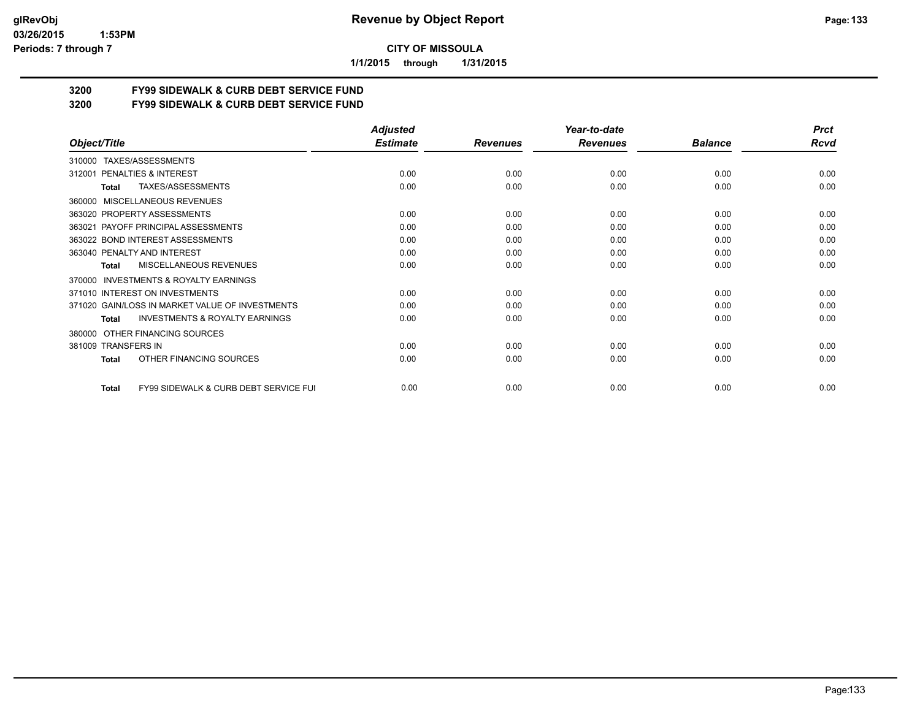#### **03/26/2015 1:53PM Periods: 7 through 7**

**CITY OF MISSOULA**

**1/1/2015 through 1/31/2015**

# **3200 FY99 SIDEWALK & CURB DEBT SERVICE FUND**

**3200 FY99 SIDEWALK & CURB DEBT SERVICE FUND**

|                                                                  | <b>Adjusted</b> |                 | Year-to-date    |                | <b>Prct</b> |
|------------------------------------------------------------------|-----------------|-----------------|-----------------|----------------|-------------|
| Object/Title                                                     | <b>Estimate</b> | <b>Revenues</b> | <b>Revenues</b> | <b>Balance</b> | <b>Rcvd</b> |
| TAXES/ASSESSMENTS<br>310000                                      |                 |                 |                 |                |             |
| PENALTIES & INTEREST<br>312001                                   | 0.00            | 0.00            | 0.00            | 0.00           | 0.00        |
| TAXES/ASSESSMENTS<br>Total                                       | 0.00            | 0.00            | 0.00            | 0.00           | 0.00        |
| <b>MISCELLANEOUS REVENUES</b><br>360000                          |                 |                 |                 |                |             |
| 363020 PROPERTY ASSESSMENTS                                      | 0.00            | 0.00            | 0.00            | 0.00           | 0.00        |
| 363021 PAYOFF PRINCIPAL ASSESSMENTS                              | 0.00            | 0.00            | 0.00            | 0.00           | 0.00        |
| 363022 BOND INTEREST ASSESSMENTS                                 | 0.00            | 0.00            | 0.00            | 0.00           | 0.00        |
| 363040 PENALTY AND INTEREST                                      | 0.00            | 0.00            | 0.00            | 0.00           | 0.00        |
| MISCELLANEOUS REVENUES<br>Total                                  | 0.00            | 0.00            | 0.00            | 0.00           | 0.00        |
| <b>INVESTMENTS &amp; ROYALTY EARNINGS</b><br>370000              |                 |                 |                 |                |             |
| 371010 INTEREST ON INVESTMENTS                                   | 0.00            | 0.00            | 0.00            | 0.00           | 0.00        |
| 371020 GAIN/LOSS IN MARKET VALUE OF INVESTMENTS                  | 0.00            | 0.00            | 0.00            | 0.00           | 0.00        |
| <b>INVESTMENTS &amp; ROYALTY EARNINGS</b><br><b>Total</b>        | 0.00            | 0.00            | 0.00            | 0.00           | 0.00        |
| OTHER FINANCING SOURCES<br>380000                                |                 |                 |                 |                |             |
| 381009 TRANSFERS IN                                              | 0.00            | 0.00            | 0.00            | 0.00           | 0.00        |
| OTHER FINANCING SOURCES<br><b>Total</b>                          | 0.00            | 0.00            | 0.00            | 0.00           | 0.00        |
| <b>FY99 SIDEWALK &amp; CURB DEBT SERVICE FUI</b><br><b>Total</b> | 0.00            | 0.00            | 0.00            | 0.00           | 0.00        |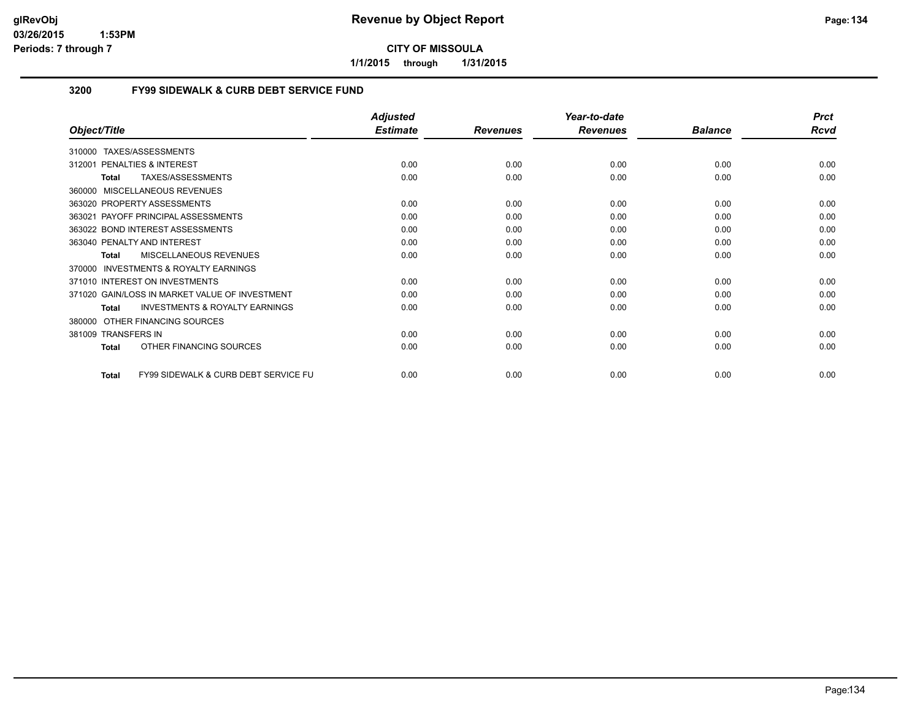**1/1/2015 through 1/31/2015**

## **3200 FY99 SIDEWALK & CURB DEBT SERVICE FUND**

|                                                                 | <b>Adjusted</b> |                 | Year-to-date    |                | <b>Prct</b> |
|-----------------------------------------------------------------|-----------------|-----------------|-----------------|----------------|-------------|
| Object/Title                                                    | <b>Estimate</b> | <b>Revenues</b> | <b>Revenues</b> | <b>Balance</b> | <b>Rcvd</b> |
| TAXES/ASSESSMENTS<br>310000                                     |                 |                 |                 |                |             |
| <b>PENALTIES &amp; INTEREST</b><br>312001                       | 0.00            | 0.00            | 0.00            | 0.00           | 0.00        |
| TAXES/ASSESSMENTS<br>Total                                      | 0.00            | 0.00            | 0.00            | 0.00           | 0.00        |
| <b>MISCELLANEOUS REVENUES</b><br>360000                         |                 |                 |                 |                |             |
| 363020 PROPERTY ASSESSMENTS                                     | 0.00            | 0.00            | 0.00            | 0.00           | 0.00        |
| PAYOFF PRINCIPAL ASSESSMENTS<br>363021                          | 0.00            | 0.00            | 0.00            | 0.00           | 0.00        |
| 363022 BOND INTEREST ASSESSMENTS                                | 0.00            | 0.00            | 0.00            | 0.00           | 0.00        |
| 363040 PENALTY AND INTEREST                                     | 0.00            | 0.00            | 0.00            | 0.00           | 0.00        |
| MISCELLANEOUS REVENUES<br><b>Total</b>                          | 0.00            | 0.00            | 0.00            | 0.00           | 0.00        |
| <b>INVESTMENTS &amp; ROYALTY EARNINGS</b><br>370000             |                 |                 |                 |                |             |
| 371010 INTEREST ON INVESTMENTS                                  | 0.00            | 0.00            | 0.00            | 0.00           | 0.00        |
| 371020 GAIN/LOSS IN MARKET VALUE OF INVESTMENT                  | 0.00            | 0.00            | 0.00            | 0.00           | 0.00        |
| <b>INVESTMENTS &amp; ROYALTY EARNINGS</b><br><b>Total</b>       | 0.00            | 0.00            | 0.00            | 0.00           | 0.00        |
| OTHER FINANCING SOURCES<br>380000                               |                 |                 |                 |                |             |
| 381009 TRANSFERS IN                                             | 0.00            | 0.00            | 0.00            | 0.00           | 0.00        |
| OTHER FINANCING SOURCES<br><b>Total</b>                         | 0.00            | 0.00            | 0.00            | 0.00           | 0.00        |
| <b>FY99 SIDEWALK &amp; CURB DEBT SERVICE FU</b><br><b>Total</b> | 0.00            | 0.00            | 0.00            | 0.00           | 0.00        |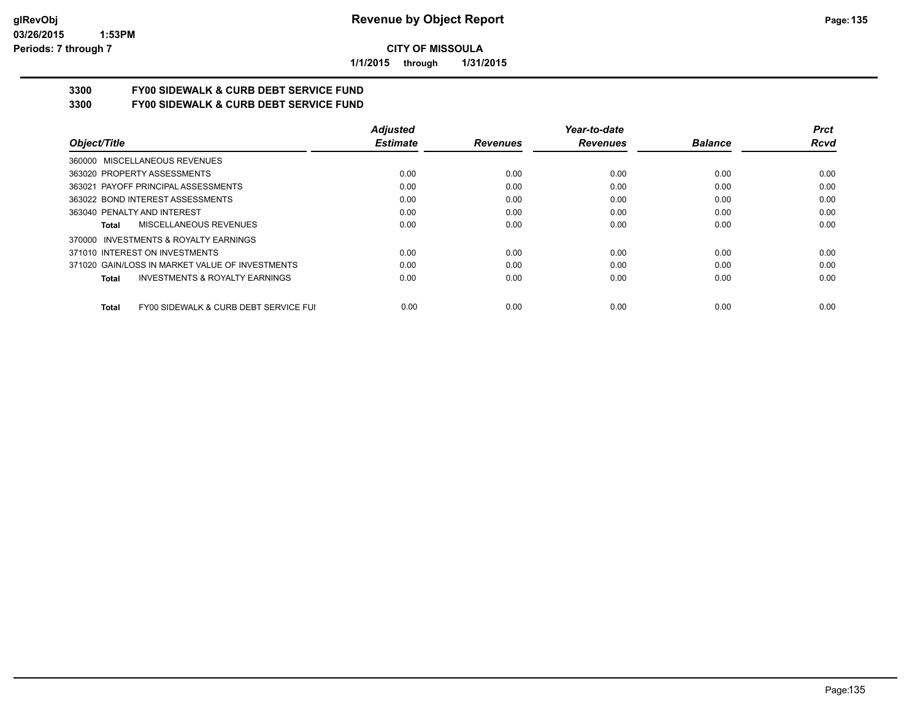**1/1/2015 through 1/31/2015**

# **3300 FY00 SIDEWALK & CURB DEBT SERVICE FUND**

**3300 FY00 SIDEWALK & CURB DEBT SERVICE FUND**

|                                                           | <b>Adjusted</b> |                 | Year-to-date    |                | <b>Prct</b> |
|-----------------------------------------------------------|-----------------|-----------------|-----------------|----------------|-------------|
| Object/Title                                              | <b>Estimate</b> | <b>Revenues</b> | <b>Revenues</b> | <b>Balance</b> | Rcvd        |
| 360000 MISCELLANEOUS REVENUES                             |                 |                 |                 |                |             |
| 363020 PROPERTY ASSESSMENTS                               | 0.00            | 0.00            | 0.00            | 0.00           | 0.00        |
| 363021 PAYOFF PRINCIPAL ASSESSMENTS                       | 0.00            | 0.00            | 0.00            | 0.00           | 0.00        |
| 363022 BOND INTEREST ASSESSMENTS                          | 0.00            | 0.00            | 0.00            | 0.00           | 0.00        |
| 363040 PENALTY AND INTEREST                               | 0.00            | 0.00            | 0.00            | 0.00           | 0.00        |
| MISCELLANEOUS REVENUES<br>Total                           | 0.00            | 0.00            | 0.00            | 0.00           | 0.00        |
| INVESTMENTS & ROYALTY EARNINGS<br>370000                  |                 |                 |                 |                |             |
| 371010 INTEREST ON INVESTMENTS                            | 0.00            | 0.00            | 0.00            | 0.00           | 0.00        |
| 371020 GAIN/LOSS IN MARKET VALUE OF INVESTMENTS           | 0.00            | 0.00            | 0.00            | 0.00           | 0.00        |
| <b>INVESTMENTS &amp; ROYALTY EARNINGS</b><br><b>Total</b> | 0.00            | 0.00            | 0.00            | 0.00           | 0.00        |
| FY00 SIDEWALK & CURB DEBT SERVICE FUI<br><b>Total</b>     | 0.00            | 0.00            | 0.00            | 0.00           | 0.00        |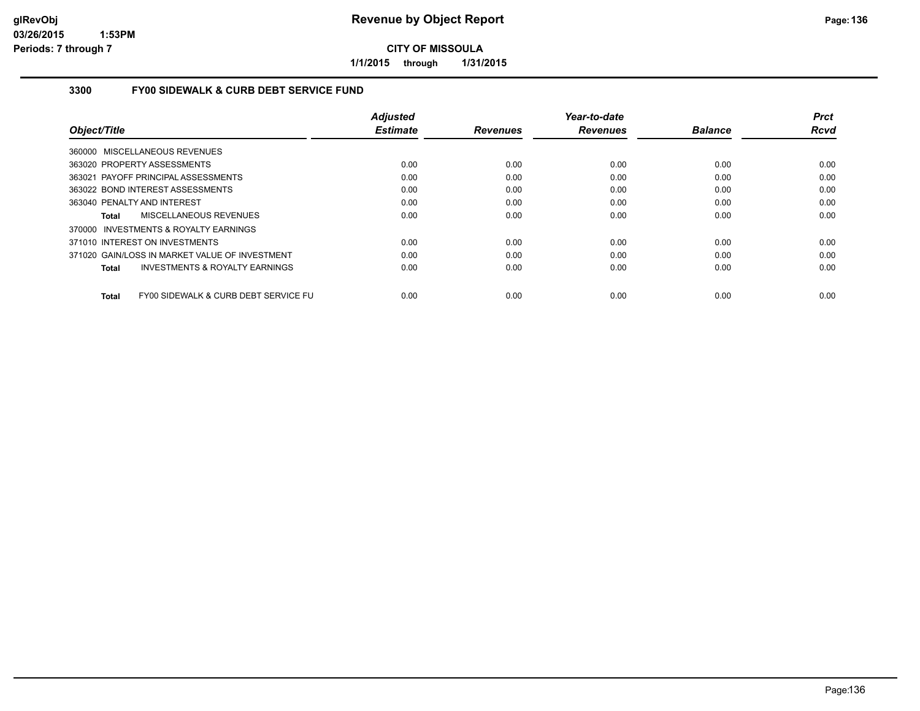**1/1/2015 through 1/31/2015**

## **3300 FY00 SIDEWALK & CURB DEBT SERVICE FUND**

|                                                      | <b>Adjusted</b> |                 | Year-to-date    |                | Prct        |
|------------------------------------------------------|-----------------|-----------------|-----------------|----------------|-------------|
| Object/Title                                         | <b>Estimate</b> | <b>Revenues</b> | <b>Revenues</b> | <b>Balance</b> | <b>Rcvd</b> |
| 360000 MISCELLANEOUS REVENUES                        |                 |                 |                 |                |             |
| 363020 PROPERTY ASSESSMENTS                          | 0.00            | 0.00            | 0.00            | 0.00           | 0.00        |
| 363021 PAYOFF PRINCIPAL ASSESSMENTS                  | 0.00            | 0.00            | 0.00            | 0.00           | 0.00        |
| 363022 BOND INTEREST ASSESSMENTS                     | 0.00            | 0.00            | 0.00            | 0.00           | 0.00        |
| 363040 PENALTY AND INTEREST                          | 0.00            | 0.00            | 0.00            | 0.00           | 0.00        |
| MISCELLANEOUS REVENUES<br>Total                      | 0.00            | 0.00            | 0.00            | 0.00           | 0.00        |
| 370000 INVESTMENTS & ROYALTY EARNINGS                |                 |                 |                 |                |             |
| 371010 INTEREST ON INVESTMENTS                       | 0.00            | 0.00            | 0.00            | 0.00           | 0.00        |
| 371020 GAIN/LOSS IN MARKET VALUE OF INVESTMENT       | 0.00            | 0.00            | 0.00            | 0.00           | 0.00        |
| <b>INVESTMENTS &amp; ROYALTY EARNINGS</b><br>Total   | 0.00            | 0.00            | 0.00            | 0.00           | 0.00        |
| FY00 SIDEWALK & CURB DEBT SERVICE FU<br><b>Total</b> | 0.00            | 0.00            | 0.00            | 0.00           | 0.00        |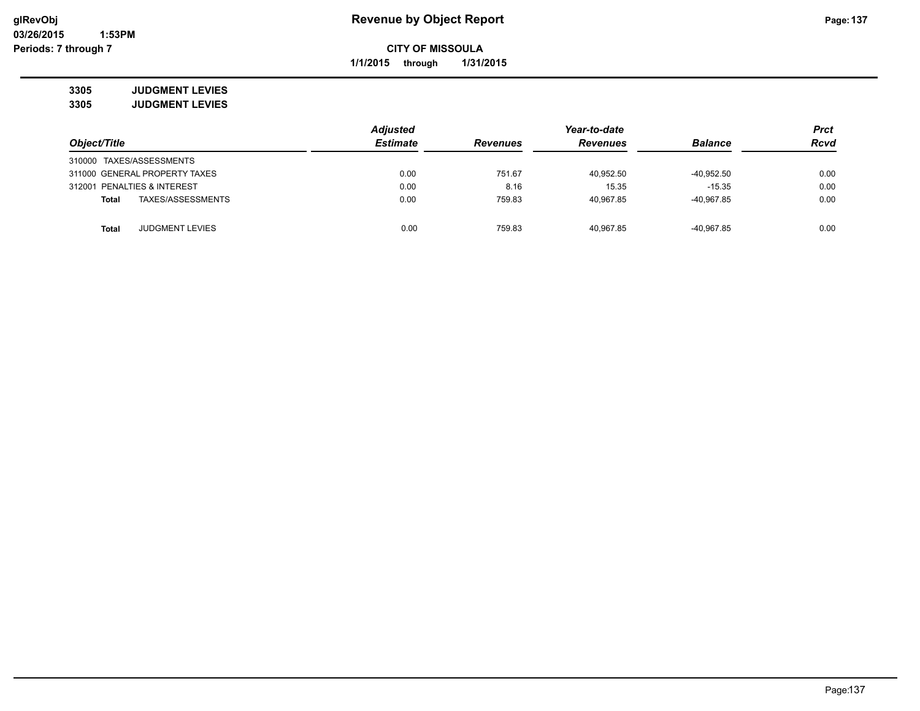**1/1/2015 through 1/31/2015**

**3305 JUDGMENT LEVIES 3305 JUDGMENT LEVIES**

|                               |                        | <b>Adjusted</b> |                 | Year-to-date    |                | <b>Prct</b> |
|-------------------------------|------------------------|-----------------|-----------------|-----------------|----------------|-------------|
| Object/Title                  |                        | <b>Estimate</b> | <b>Revenues</b> | <b>Revenues</b> | <b>Balance</b> | <b>Rcvd</b> |
| 310000 TAXES/ASSESSMENTS      |                        |                 |                 |                 |                |             |
| 311000 GENERAL PROPERTY TAXES |                        | 0.00            | 751.67          | 40.952.50       | -40.952.50     | 0.00        |
| 312001 PENALTIES & INTEREST   |                        | 0.00            | 8.16            | 15.35           | $-15.35$       | 0.00        |
| Total                         | TAXES/ASSESSMENTS      | 0.00            | 759.83          | 40.967.85       | -40.967.85     | 0.00        |
|                               |                        |                 |                 |                 |                |             |
| Total                         | <b>JUDGMENT LEVIES</b> | 0.00            | 759.83          | 40.967.85       | $-40.967.85$   | 0.00        |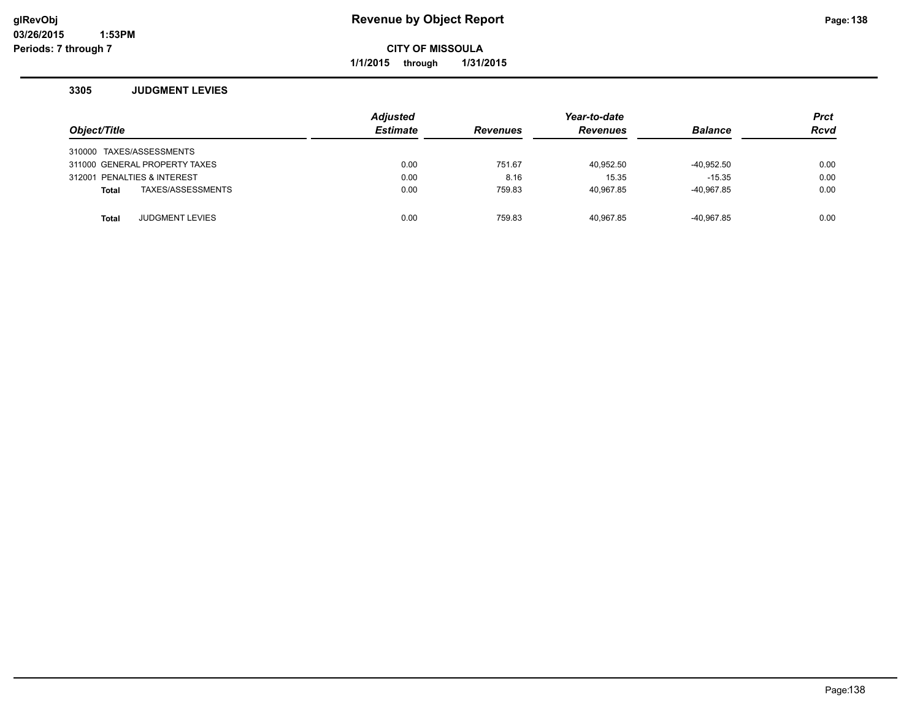## **glRevObj Revenue by Object Report Page:138**

**CITY OF MISSOULA**

**1/1/2015 through 1/31/2015**

#### **3305 JUDGMENT LEVIES**

| Object/Title                           | <b>Adjusted</b><br><b>Estimate</b> | <b>Revenues</b> | Year-to-date<br><b>Revenues</b> | <b>Balance</b> | <b>Prct</b><br><b>Rcvd</b> |
|----------------------------------------|------------------------------------|-----------------|---------------------------------|----------------|----------------------------|
| 310000 TAXES/ASSESSMENTS               |                                    |                 |                                 |                |                            |
| 311000 GENERAL PROPERTY TAXES          | 0.00                               | 751.67          | 40.952.50                       | $-40.952.50$   | 0.00                       |
| 312001 PENALTIES & INTEREST            | 0.00                               | 8.16            | 15.35                           | $-15.35$       | 0.00                       |
| TAXES/ASSESSMENTS<br><b>Total</b>      | 0.00                               | 759.83          | 40.967.85                       | $-40.967.85$   | 0.00                       |
|                                        |                                    |                 |                                 |                |                            |
| <b>JUDGMENT LEVIES</b><br><b>Total</b> | 0.00                               | 759.83          | 40.967.85                       | $-40.967.85$   | 0.00                       |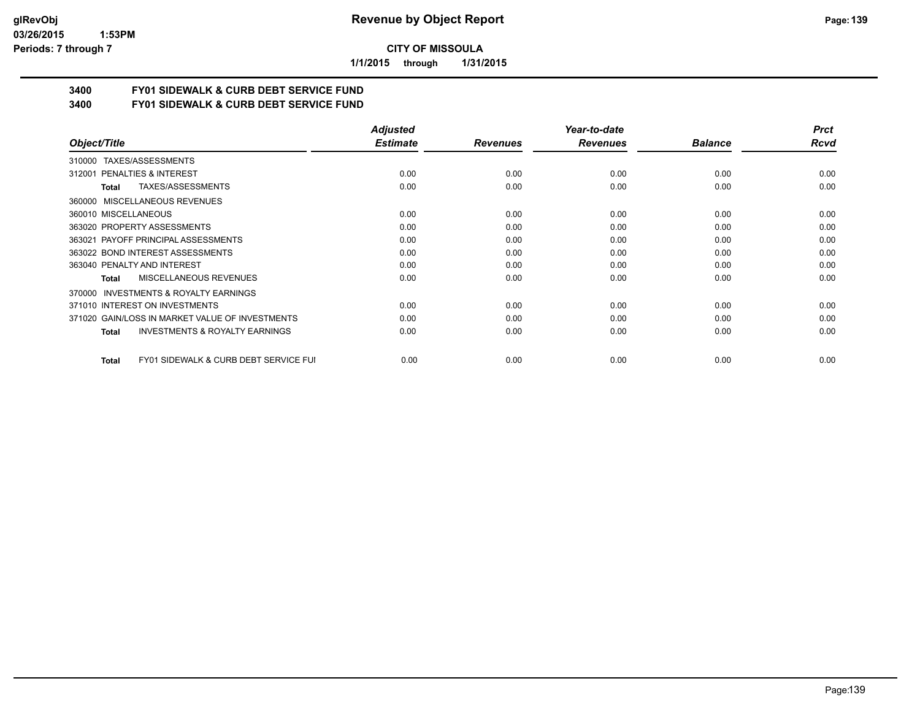#### **03/26/2015 1:53PM Periods: 7 through 7**

**CITY OF MISSOULA**

**1/1/2015 through 1/31/2015**

# **3400 FY01 SIDEWALK & CURB DEBT SERVICE FUND**

**3400 FY01 SIDEWALK & CURB DEBT SERVICE FUND**

|                                                           | <b>Adjusted</b> |                 | Year-to-date    |                | <b>Prct</b> |
|-----------------------------------------------------------|-----------------|-----------------|-----------------|----------------|-------------|
| Object/Title                                              | <b>Estimate</b> | <b>Revenues</b> | <b>Revenues</b> | <b>Balance</b> | Rcvd        |
| TAXES/ASSESSMENTS<br>310000                               |                 |                 |                 |                |             |
| 312001 PENALTIES & INTEREST                               | 0.00            | 0.00            | 0.00            | 0.00           | 0.00        |
| TAXES/ASSESSMENTS<br>Total                                | 0.00            | 0.00            | 0.00            | 0.00           | 0.00        |
| MISCELLANEOUS REVENUES<br>360000                          |                 |                 |                 |                |             |
| 360010 MISCELLANEOUS                                      | 0.00            | 0.00            | 0.00            | 0.00           | 0.00        |
| 363020 PROPERTY ASSESSMENTS                               | 0.00            | 0.00            | 0.00            | 0.00           | 0.00        |
| 363021 PAYOFF PRINCIPAL ASSESSMENTS                       | 0.00            | 0.00            | 0.00            | 0.00           | 0.00        |
| 363022 BOND INTEREST ASSESSMENTS                          | 0.00            | 0.00            | 0.00            | 0.00           | 0.00        |
| 363040 PENALTY AND INTEREST                               | 0.00            | 0.00            | 0.00            | 0.00           | 0.00        |
| MISCELLANEOUS REVENUES<br>Total                           | 0.00            | 0.00            | 0.00            | 0.00           | 0.00        |
| <b>INVESTMENTS &amp; ROYALTY EARNINGS</b><br>370000       |                 |                 |                 |                |             |
| 371010 INTEREST ON INVESTMENTS                            | 0.00            | 0.00            | 0.00            | 0.00           | 0.00        |
| 371020 GAIN/LOSS IN MARKET VALUE OF INVESTMENTS           | 0.00            | 0.00            | 0.00            | 0.00           | 0.00        |
| <b>INVESTMENTS &amp; ROYALTY EARNINGS</b><br><b>Total</b> | 0.00            | 0.00            | 0.00            | 0.00           | 0.00        |
| <b>FY01 SIDEWALK &amp; CURB DEBT SERVICE FUI</b><br>Total | 0.00            | 0.00            | 0.00            | 0.00           | 0.00        |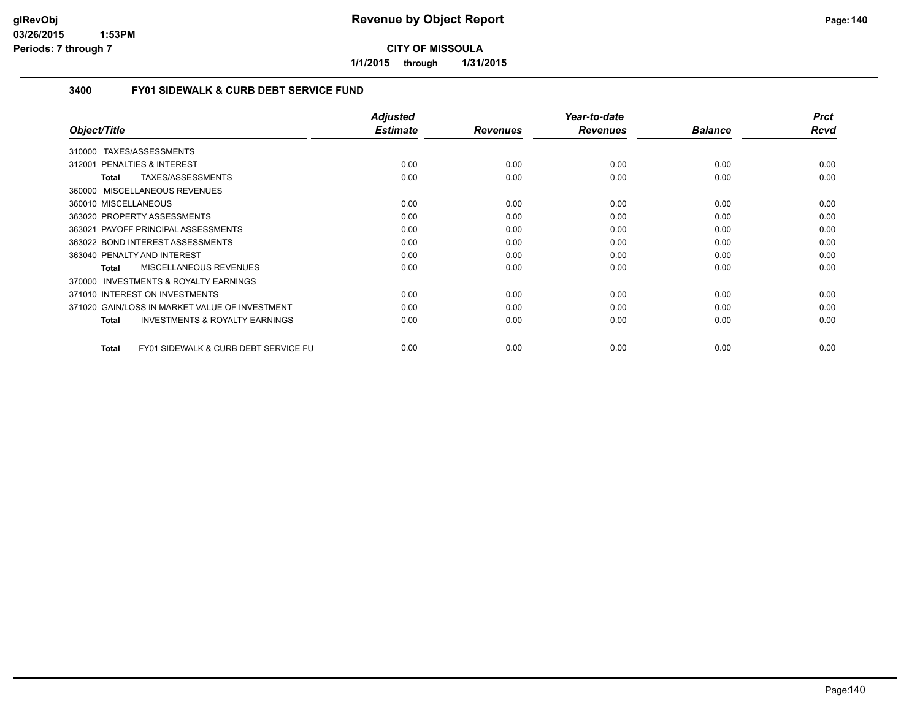**1/1/2015 through 1/31/2015**

## **3400 FY01 SIDEWALK & CURB DEBT SERVICE FUND**

| Object/Title                                                    | <b>Adjusted</b><br><b>Estimate</b> | <b>Revenues</b> | Year-to-date<br><b>Revenues</b> | <b>Balance</b> | <b>Prct</b><br>Rcvd |
|-----------------------------------------------------------------|------------------------------------|-----------------|---------------------------------|----------------|---------------------|
|                                                                 |                                    |                 |                                 |                |                     |
| TAXES/ASSESSMENTS<br>310000                                     |                                    |                 |                                 |                |                     |
| 312001 PENALTIES & INTEREST                                     | 0.00                               | 0.00            | 0.00                            | 0.00           | 0.00                |
| TAXES/ASSESSMENTS<br><b>Total</b>                               | 0.00                               | 0.00            | 0.00                            | 0.00           | 0.00                |
| MISCELLANEOUS REVENUES<br>360000                                |                                    |                 |                                 |                |                     |
| 360010 MISCELLANEOUS                                            | 0.00                               | 0.00            | 0.00                            | 0.00           | 0.00                |
| 363020 PROPERTY ASSESSMENTS                                     | 0.00                               | 0.00            | 0.00                            | 0.00           | 0.00                |
| 363021 PAYOFF PRINCIPAL ASSESSMENTS                             | 0.00                               | 0.00            | 0.00                            | 0.00           | 0.00                |
| 363022 BOND INTEREST ASSESSMENTS                                | 0.00                               | 0.00            | 0.00                            | 0.00           | 0.00                |
| 363040 PENALTY AND INTEREST                                     | 0.00                               | 0.00            | 0.00                            | 0.00           | 0.00                |
| MISCELLANEOUS REVENUES<br><b>Total</b>                          | 0.00                               | 0.00            | 0.00                            | 0.00           | 0.00                |
| INVESTMENTS & ROYALTY EARNINGS<br>370000                        |                                    |                 |                                 |                |                     |
| 371010 INTEREST ON INVESTMENTS                                  | 0.00                               | 0.00            | 0.00                            | 0.00           | 0.00                |
| 371020 GAIN/LOSS IN MARKET VALUE OF INVESTMENT                  | 0.00                               | 0.00            | 0.00                            | 0.00           | 0.00                |
| <b>INVESTMENTS &amp; ROYALTY EARNINGS</b><br><b>Total</b>       | 0.00                               | 0.00            | 0.00                            | 0.00           | 0.00                |
|                                                                 |                                    |                 |                                 |                |                     |
| <b>FY01 SIDEWALK &amp; CURB DEBT SERVICE FU</b><br><b>Total</b> | 0.00                               | 0.00            | 0.00                            | 0.00           | 0.00                |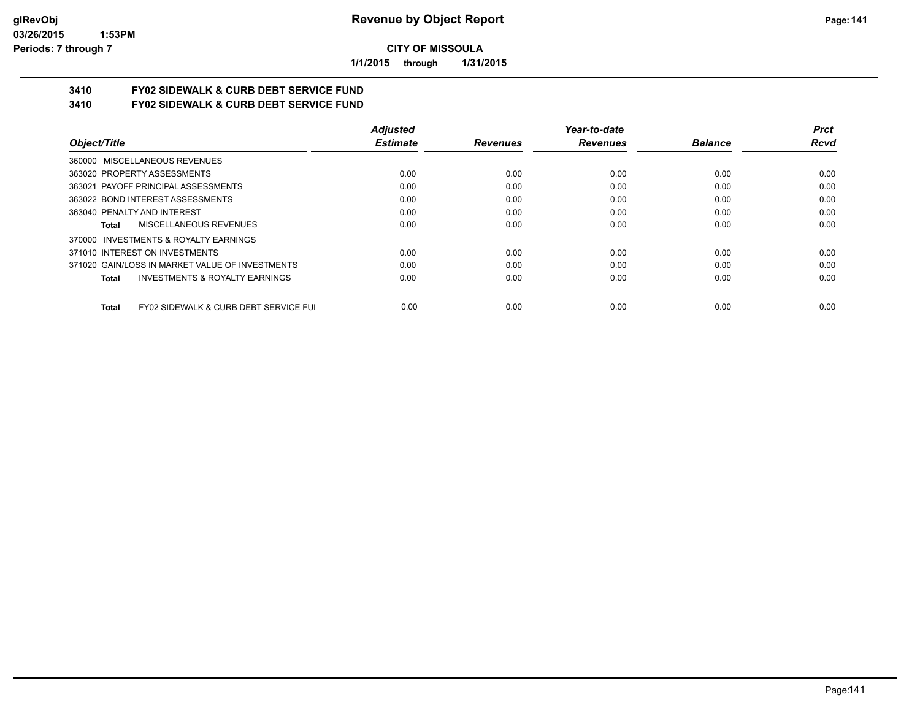**1/1/2015 through 1/31/2015**

# **3410 FY02 SIDEWALK & CURB DEBT SERVICE FUND**

**3410 FY02 SIDEWALK & CURB DEBT SERVICE FUND**

|                                                                  | <b>Adjusted</b> |                 | Year-to-date    |                | <b>Prct</b> |
|------------------------------------------------------------------|-----------------|-----------------|-----------------|----------------|-------------|
| Object/Title                                                     | <b>Estimate</b> | <b>Revenues</b> | <b>Revenues</b> | <b>Balance</b> | Rcvd        |
| 360000 MISCELLANEOUS REVENUES                                    |                 |                 |                 |                |             |
| 363020 PROPERTY ASSESSMENTS                                      | 0.00            | 0.00            | 0.00            | 0.00           | 0.00        |
| 363021 PAYOFF PRINCIPAL ASSESSMENTS                              | 0.00            | 0.00            | 0.00            | 0.00           | 0.00        |
| 363022 BOND INTEREST ASSESSMENTS                                 | 0.00            | 0.00            | 0.00            | 0.00           | 0.00        |
| 363040 PENALTY AND INTEREST                                      | 0.00            | 0.00            | 0.00            | 0.00           | 0.00        |
| MISCELLANEOUS REVENUES<br>Total                                  | 0.00            | 0.00            | 0.00            | 0.00           | 0.00        |
| 370000 INVESTMENTS & ROYALTY EARNINGS                            |                 |                 |                 |                |             |
| 371010 INTEREST ON INVESTMENTS                                   | 0.00            | 0.00            | 0.00            | 0.00           | 0.00        |
| 371020 GAIN/LOSS IN MARKET VALUE OF INVESTMENTS                  | 0.00            | 0.00            | 0.00            | 0.00           | 0.00        |
| <b>INVESTMENTS &amp; ROYALTY EARNINGS</b><br>Total               | 0.00            | 0.00            | 0.00            | 0.00           | 0.00        |
| <b>FY02 SIDEWALK &amp; CURB DEBT SERVICE FUI</b><br><b>Total</b> | 0.00            | 0.00            | 0.00            | 0.00           | 0.00        |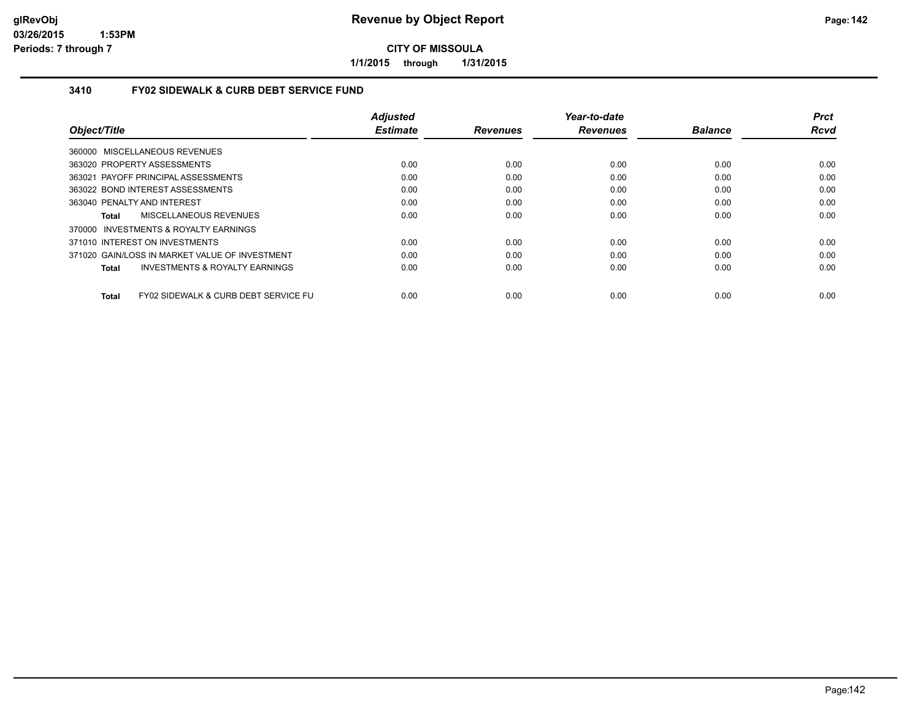**1/1/2015 through 1/31/2015**

## **3410 FY02 SIDEWALK & CURB DEBT SERVICE FUND**

|                                                      | <b>Adjusted</b> |                 | Year-to-date    |                | <b>Prct</b> |
|------------------------------------------------------|-----------------|-----------------|-----------------|----------------|-------------|
| Object/Title                                         | <b>Estimate</b> | <b>Revenues</b> | <b>Revenues</b> | <b>Balance</b> | <b>Rcvd</b> |
| 360000 MISCELLANEOUS REVENUES                        |                 |                 |                 |                |             |
| 363020 PROPERTY ASSESSMENTS                          | 0.00            | 0.00            | 0.00            | 0.00           | 0.00        |
| 363021 PAYOFF PRINCIPAL ASSESSMENTS                  | 0.00            | 0.00            | 0.00            | 0.00           | 0.00        |
| 363022 BOND INTEREST ASSESSMENTS                     | 0.00            | 0.00            | 0.00            | 0.00           | 0.00        |
| 363040 PENALTY AND INTEREST                          | 0.00            | 0.00            | 0.00            | 0.00           | 0.00        |
| MISCELLANEOUS REVENUES<br>Total                      | 0.00            | 0.00            | 0.00            | 0.00           | 0.00        |
| 370000 INVESTMENTS & ROYALTY EARNINGS                |                 |                 |                 |                |             |
| 371010 INTEREST ON INVESTMENTS                       | 0.00            | 0.00            | 0.00            | 0.00           | 0.00        |
| 371020 GAIN/LOSS IN MARKET VALUE OF INVESTMENT       | 0.00            | 0.00            | 0.00            | 0.00           | 0.00        |
| <b>INVESTMENTS &amp; ROYALTY EARNINGS</b><br>Total   | 0.00            | 0.00            | 0.00            | 0.00           | 0.00        |
| FY02 SIDEWALK & CURB DEBT SERVICE FU<br><b>Total</b> | 0.00            | 0.00            | 0.00            | 0.00           | 0.00        |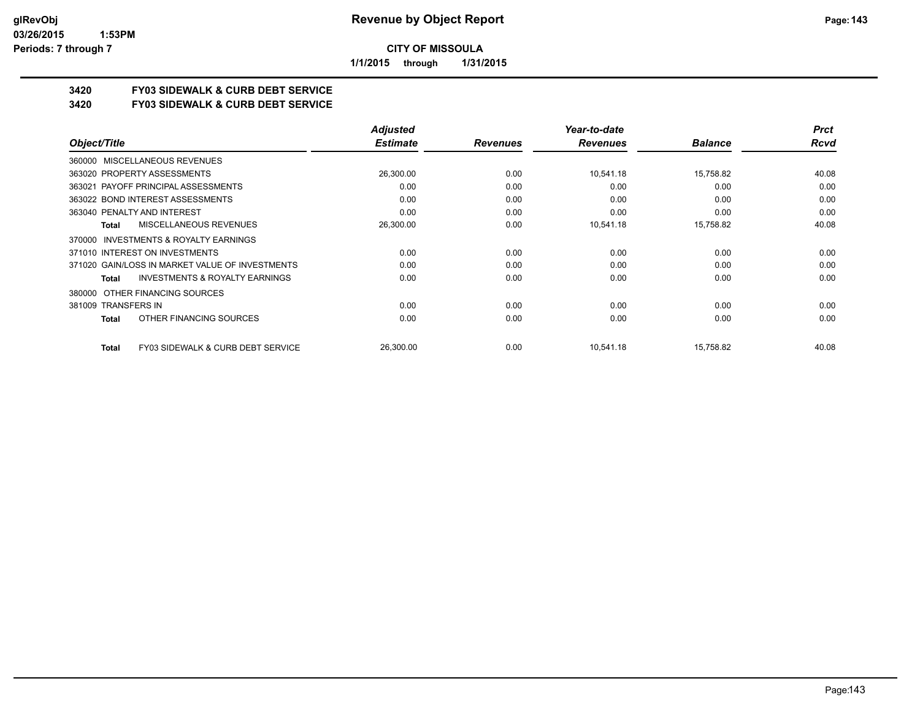**1/1/2015 through 1/31/2015**

# **3420 FY03 SIDEWALK & CURB DEBT SERVICE**

**3420 FY03 SIDEWALK & CURB DEBT SERVICE**

|                                                              | <b>Adjusted</b> |                 | Year-to-date    |                | <b>Prct</b> |
|--------------------------------------------------------------|-----------------|-----------------|-----------------|----------------|-------------|
| Object/Title                                                 | <b>Estimate</b> | <b>Revenues</b> | <b>Revenues</b> | <b>Balance</b> | Rcvd        |
| 360000 MISCELLANEOUS REVENUES                                |                 |                 |                 |                |             |
| 363020 PROPERTY ASSESSMENTS                                  | 26,300.00       | 0.00            | 10,541.18       | 15,758.82      | 40.08       |
| 363021 PAYOFF PRINCIPAL ASSESSMENTS                          | 0.00            | 0.00            | 0.00            | 0.00           | 0.00        |
| 363022 BOND INTEREST ASSESSMENTS                             | 0.00            | 0.00            | 0.00            | 0.00           | 0.00        |
| 363040 PENALTY AND INTEREST                                  | 0.00            | 0.00            | 0.00            | 0.00           | 0.00        |
| MISCELLANEOUS REVENUES<br>Total                              | 26,300.00       | 0.00            | 10,541.18       | 15,758.82      | 40.08       |
| 370000 INVESTMENTS & ROYALTY EARNINGS                        |                 |                 |                 |                |             |
| 371010 INTEREST ON INVESTMENTS                               | 0.00            | 0.00            | 0.00            | 0.00           | 0.00        |
| 371020 GAIN/LOSS IN MARKET VALUE OF INVESTMENTS              | 0.00            | 0.00            | 0.00            | 0.00           | 0.00        |
| <b>INVESTMENTS &amp; ROYALTY EARNINGS</b><br>Total           | 0.00            | 0.00            | 0.00            | 0.00           | 0.00        |
| OTHER FINANCING SOURCES<br>380000                            |                 |                 |                 |                |             |
| 381009 TRANSFERS IN                                          | 0.00            | 0.00            | 0.00            | 0.00           | 0.00        |
| OTHER FINANCING SOURCES<br>Total                             | 0.00            | 0.00            | 0.00            | 0.00           | 0.00        |
| <b>FY03 SIDEWALK &amp; CURB DEBT SERVICE</b><br><b>Total</b> | 26,300.00       | 0.00            | 10,541.18       | 15,758.82      | 40.08       |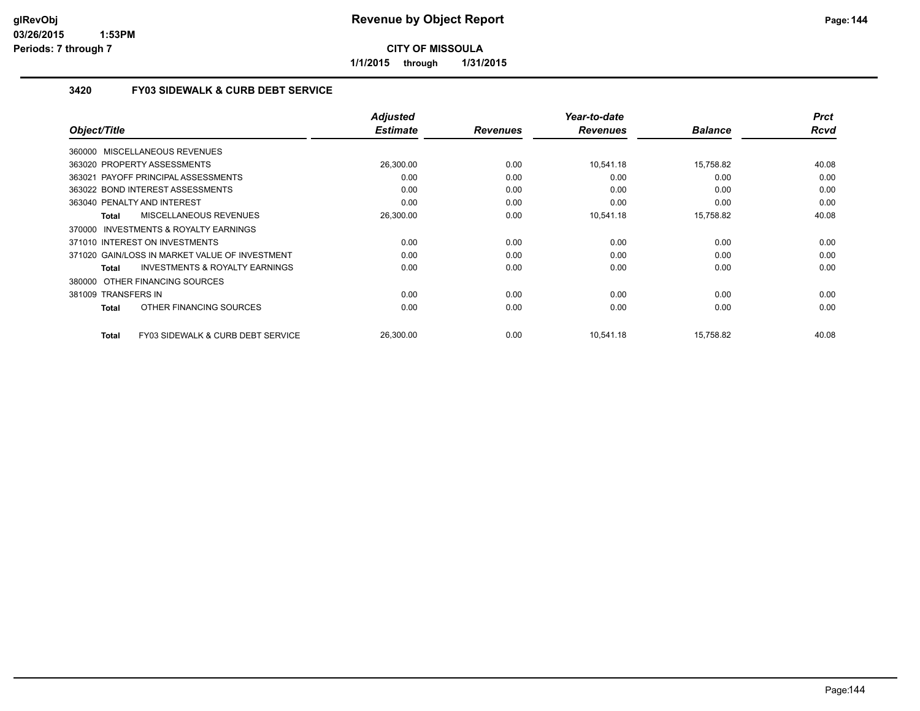**1/1/2015 through 1/31/2015**

## **3420 FY03 SIDEWALK & CURB DEBT SERVICE**

|                                                    | <b>Adjusted</b> |                 | Year-to-date    |                | <b>Prct</b> |
|----------------------------------------------------|-----------------|-----------------|-----------------|----------------|-------------|
| Object/Title                                       | <b>Estimate</b> | <b>Revenues</b> | <b>Revenues</b> | <b>Balance</b> | <b>Rcvd</b> |
| 360000 MISCELLANEOUS REVENUES                      |                 |                 |                 |                |             |
| 363020 PROPERTY ASSESSMENTS                        | 26,300.00       | 0.00            | 10.541.18       | 15,758.82      | 40.08       |
| 363021 PAYOFF PRINCIPAL ASSESSMENTS                | 0.00            | 0.00            | 0.00            | 0.00           | 0.00        |
| 363022 BOND INTEREST ASSESSMENTS                   | 0.00            | 0.00            | 0.00            | 0.00           | 0.00        |
| 363040 PENALTY AND INTEREST                        | 0.00            | 0.00            | 0.00            | 0.00           | 0.00        |
| MISCELLANEOUS REVENUES<br>Total                    | 26,300.00       | 0.00            | 10,541.18       | 15,758.82      | 40.08       |
| 370000 INVESTMENTS & ROYALTY EARNINGS              |                 |                 |                 |                |             |
| 371010 INTEREST ON INVESTMENTS                     | 0.00            | 0.00            | 0.00            | 0.00           | 0.00        |
| 371020 GAIN/LOSS IN MARKET VALUE OF INVESTMENT     | 0.00            | 0.00            | 0.00            | 0.00           | 0.00        |
| <b>INVESTMENTS &amp; ROYALTY EARNINGS</b><br>Total | 0.00            | 0.00            | 0.00            | 0.00           | 0.00        |
| 380000 OTHER FINANCING SOURCES                     |                 |                 |                 |                |             |
| 381009 TRANSFERS IN                                | 0.00            | 0.00            | 0.00            | 0.00           | 0.00        |
| OTHER FINANCING SOURCES<br><b>Total</b>            | 0.00            | 0.00            | 0.00            | 0.00           | 0.00        |
| FY03 SIDEWALK & CURB DEBT SERVICE<br><b>Total</b>  | 26.300.00       | 0.00            | 10,541.18       | 15,758.82      | 40.08       |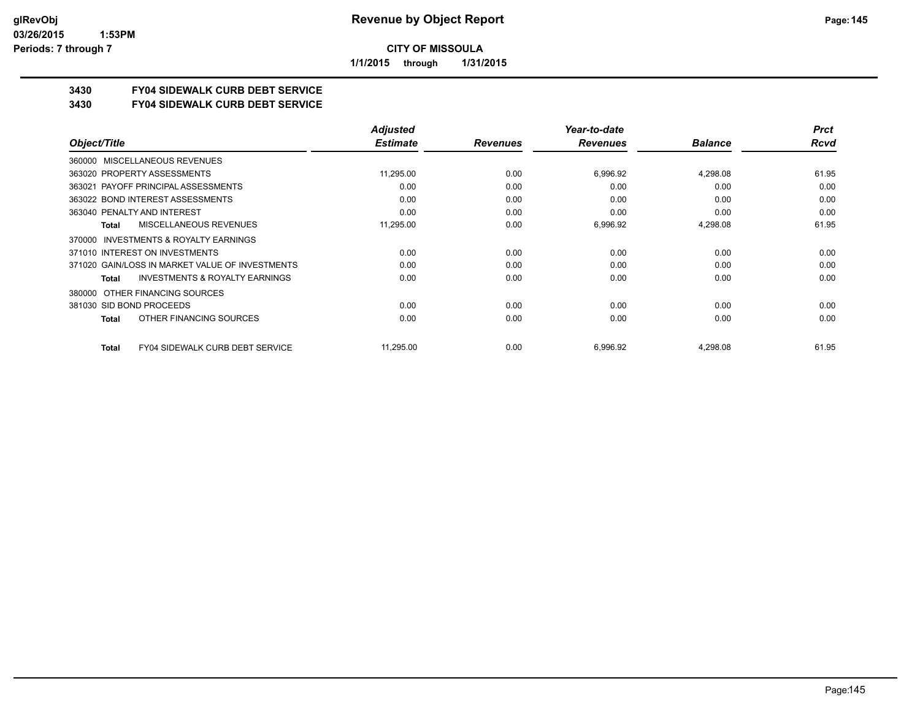**1/1/2015 through 1/31/2015**

# **3430 FY04 SIDEWALK CURB DEBT SERVICE**

#### **3430 FY04 SIDEWALK CURB DEBT SERVICE**

|                                                           | <b>Adjusted</b> |                 | Year-to-date    |                | <b>Prct</b> |
|-----------------------------------------------------------|-----------------|-----------------|-----------------|----------------|-------------|
| Object/Title                                              | <b>Estimate</b> | <b>Revenues</b> | <b>Revenues</b> | <b>Balance</b> | <b>Rcvd</b> |
| MISCELLANEOUS REVENUES<br>360000                          |                 |                 |                 |                |             |
| 363020 PROPERTY ASSESSMENTS                               | 11,295.00       | 0.00            | 6,996.92        | 4,298.08       | 61.95       |
| 363021 PAYOFF PRINCIPAL ASSESSMENTS                       | 0.00            | 0.00            | 0.00            | 0.00           | 0.00        |
| 363022 BOND INTEREST ASSESSMENTS                          | 0.00            | 0.00            | 0.00            | 0.00           | 0.00        |
| 363040 PENALTY AND INTEREST                               | 0.00            | 0.00            | 0.00            | 0.00           | 0.00        |
| MISCELLANEOUS REVENUES<br><b>Total</b>                    | 11,295.00       | 0.00            | 6,996.92        | 4,298.08       | 61.95       |
| <b>INVESTMENTS &amp; ROYALTY EARNINGS</b><br>370000       |                 |                 |                 |                |             |
| 371010 INTEREST ON INVESTMENTS                            | 0.00            | 0.00            | 0.00            | 0.00           | 0.00        |
| 371020 GAIN/LOSS IN MARKET VALUE OF INVESTMENTS           | 0.00            | 0.00            | 0.00            | 0.00           | 0.00        |
| <b>INVESTMENTS &amp; ROYALTY EARNINGS</b><br><b>Total</b> | 0.00            | 0.00            | 0.00            | 0.00           | 0.00        |
| OTHER FINANCING SOURCES<br>380000                         |                 |                 |                 |                |             |
| 381030 SID BOND PROCEEDS                                  | 0.00            | 0.00            | 0.00            | 0.00           | 0.00        |
| OTHER FINANCING SOURCES<br><b>Total</b>                   | 0.00            | 0.00            | 0.00            | 0.00           | 0.00        |
| <b>FY04 SIDEWALK CURB DEBT SERVICE</b><br><b>Total</b>    | 11,295.00       | 0.00            | 6,996.92        | 4,298.08       | 61.95       |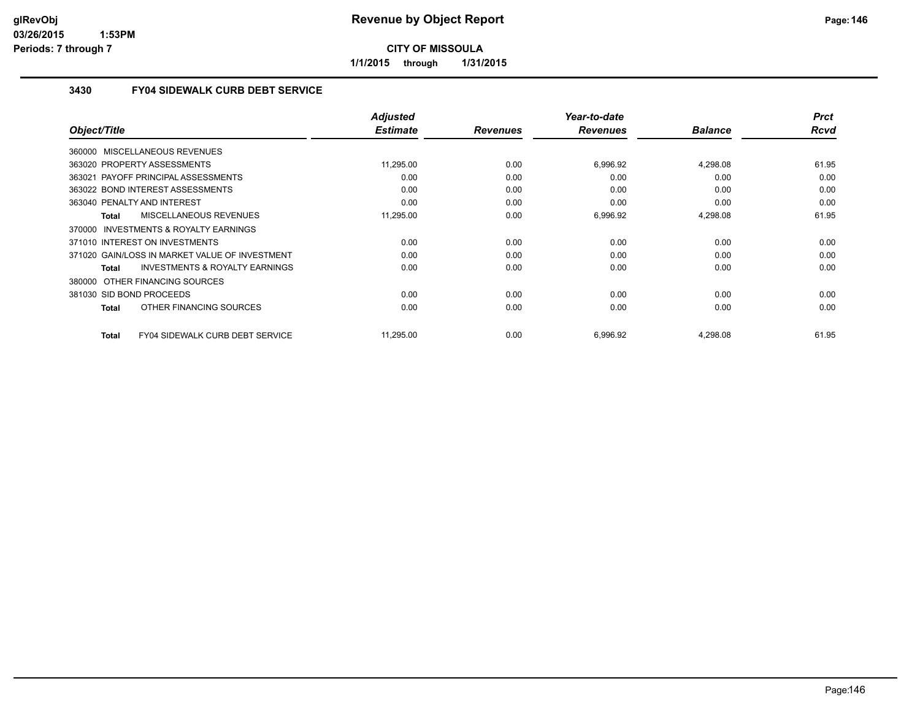**1/1/2015 through 1/31/2015**

# **3430 FY04 SIDEWALK CURB DEBT SERVICE**

|                                                    | <b>Adjusted</b> |                 | Year-to-date    |                | <b>Prct</b> |
|----------------------------------------------------|-----------------|-----------------|-----------------|----------------|-------------|
| Object/Title                                       | <b>Estimate</b> | <b>Revenues</b> | <b>Revenues</b> | <b>Balance</b> | <b>Rcvd</b> |
| 360000 MISCELLANEOUS REVENUES                      |                 |                 |                 |                |             |
| 363020 PROPERTY ASSESSMENTS                        | 11,295.00       | 0.00            | 6,996.92        | 4,298.08       | 61.95       |
| 363021 PAYOFF PRINCIPAL ASSESSMENTS                | 0.00            | 0.00            | 0.00            | 0.00           | 0.00        |
| 363022 BOND INTEREST ASSESSMENTS                   | 0.00            | 0.00            | 0.00            | 0.00           | 0.00        |
| 363040 PENALTY AND INTEREST                        | 0.00            | 0.00            | 0.00            | 0.00           | 0.00        |
| MISCELLANEOUS REVENUES<br>Total                    | 11,295.00       | 0.00            | 6,996.92        | 4,298.08       | 61.95       |
| 370000 INVESTMENTS & ROYALTY EARNINGS              |                 |                 |                 |                |             |
| 371010 INTEREST ON INVESTMENTS                     | 0.00            | 0.00            | 0.00            | 0.00           | 0.00        |
| 371020 GAIN/LOSS IN MARKET VALUE OF INVESTMENT     | 0.00            | 0.00            | 0.00            | 0.00           | 0.00        |
| <b>INVESTMENTS &amp; ROYALTY EARNINGS</b><br>Total | 0.00            | 0.00            | 0.00            | 0.00           | 0.00        |
| 380000 OTHER FINANCING SOURCES                     |                 |                 |                 |                |             |
| 381030 SID BOND PROCEEDS                           | 0.00            | 0.00            | 0.00            | 0.00           | 0.00        |
| OTHER FINANCING SOURCES<br>Total                   | 0.00            | 0.00            | 0.00            | 0.00           | 0.00        |
|                                                    |                 |                 |                 |                |             |
| FY04 SIDEWALK CURB DEBT SERVICE<br><b>Total</b>    | 11,295.00       | 0.00            | 6,996.92        | 4,298.08       | 61.95       |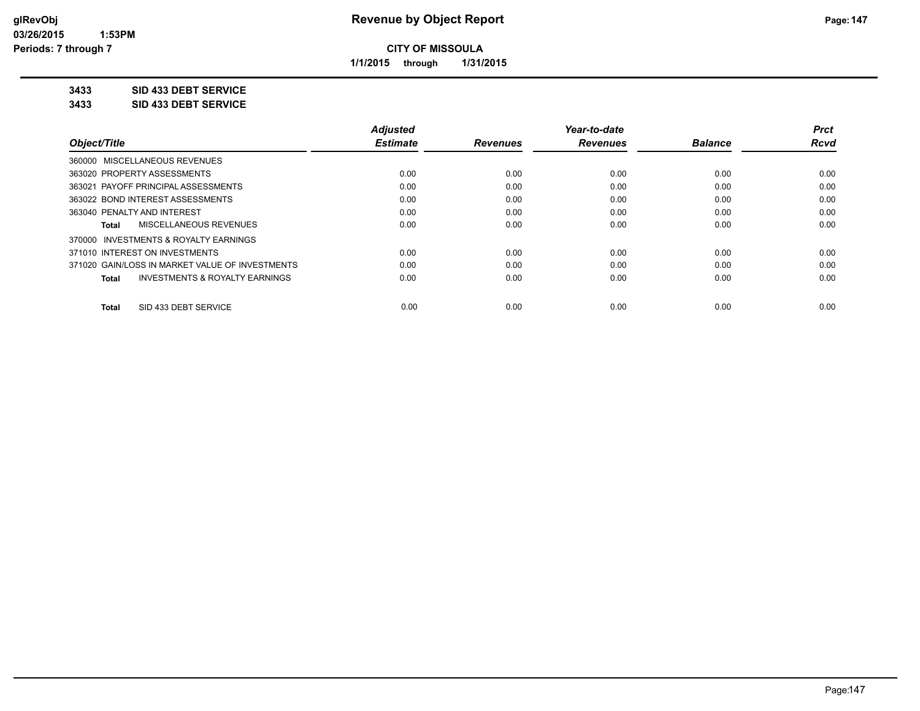**1/1/2015 through 1/31/2015**

**3433 SID 433 DEBT SERVICE**

**3433 SID 433 DEBT SERVICE**

|                                                    | <b>Adjusted</b> |                 | Year-to-date    |                | <b>Prct</b> |
|----------------------------------------------------|-----------------|-----------------|-----------------|----------------|-------------|
| Object/Title                                       | <b>Estimate</b> | <b>Revenues</b> | <b>Revenues</b> | <b>Balance</b> | <b>Rcvd</b> |
| 360000 MISCELLANEOUS REVENUES                      |                 |                 |                 |                |             |
| 363020 PROPERTY ASSESSMENTS                        | 0.00            | 0.00            | 0.00            | 0.00           | 0.00        |
| 363021 PAYOFF PRINCIPAL ASSESSMENTS                | 0.00            | 0.00            | 0.00            | 0.00           | 0.00        |
| 363022 BOND INTEREST ASSESSMENTS                   | 0.00            | 0.00            | 0.00            | 0.00           | 0.00        |
| 363040 PENALTY AND INTEREST                        | 0.00            | 0.00            | 0.00            | 0.00           | 0.00        |
| MISCELLANEOUS REVENUES<br>Total                    | 0.00            | 0.00            | 0.00            | 0.00           | 0.00        |
| INVESTMENTS & ROYALTY EARNINGS<br>370000           |                 |                 |                 |                |             |
| 371010 INTEREST ON INVESTMENTS                     | 0.00            | 0.00            | 0.00            | 0.00           | 0.00        |
| 371020 GAIN/LOSS IN MARKET VALUE OF INVESTMENTS    | 0.00            | 0.00            | 0.00            | 0.00           | 0.00        |
| <b>INVESTMENTS &amp; ROYALTY EARNINGS</b><br>Total | 0.00            | 0.00            | 0.00            | 0.00           | 0.00        |
| SID 433 DEBT SERVICE<br><b>Total</b>               | 0.00            | 0.00            | 0.00            | 0.00           | 0.00        |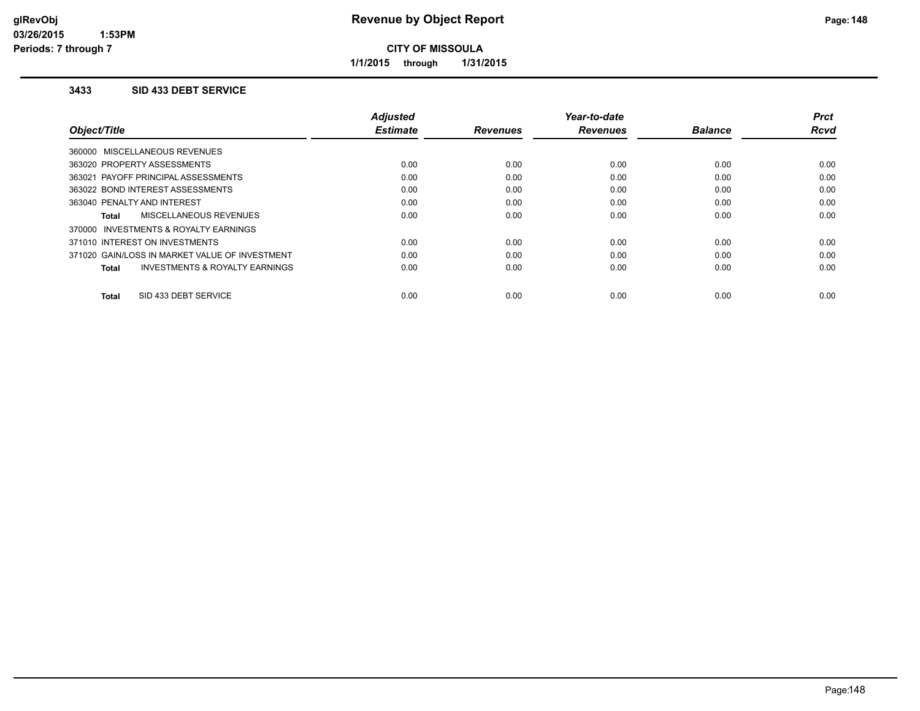**1/1/2015 through 1/31/2015**

#### **3433 SID 433 DEBT SERVICE**

|                                                    | <b>Adjusted</b> |                 | Year-to-date    |                | <b>Prct</b> |
|----------------------------------------------------|-----------------|-----------------|-----------------|----------------|-------------|
| Object/Title                                       | <b>Estimate</b> | <b>Revenues</b> | <b>Revenues</b> | <b>Balance</b> | <b>Rcvd</b> |
| 360000 MISCELLANEOUS REVENUES                      |                 |                 |                 |                |             |
| 363020 PROPERTY ASSESSMENTS                        | 0.00            | 0.00            | 0.00            | 0.00           | 0.00        |
| 363021 PAYOFF PRINCIPAL ASSESSMENTS                | 0.00            | 0.00            | 0.00            | 0.00           | 0.00        |
| 363022 BOND INTEREST ASSESSMENTS                   | 0.00            | 0.00            | 0.00            | 0.00           | 0.00        |
| 363040 PENALTY AND INTEREST                        | 0.00            | 0.00            | 0.00            | 0.00           | 0.00        |
| MISCELLANEOUS REVENUES<br>Total                    | 0.00            | 0.00            | 0.00            | 0.00           | 0.00        |
| 370000 INVESTMENTS & ROYALTY EARNINGS              |                 |                 |                 |                |             |
| 371010 INTEREST ON INVESTMENTS                     | 0.00            | 0.00            | 0.00            | 0.00           | 0.00        |
| 371020 GAIN/LOSS IN MARKET VALUE OF INVESTMENT     | 0.00            | 0.00            | 0.00            | 0.00           | 0.00        |
| <b>INVESTMENTS &amp; ROYALTY EARNINGS</b><br>Total | 0.00            | 0.00            | 0.00            | 0.00           | 0.00        |
|                                                    |                 |                 |                 |                |             |
| SID 433 DEBT SERVICE<br>Total                      | 0.00            | 0.00            | 0.00            | 0.00           | 0.00        |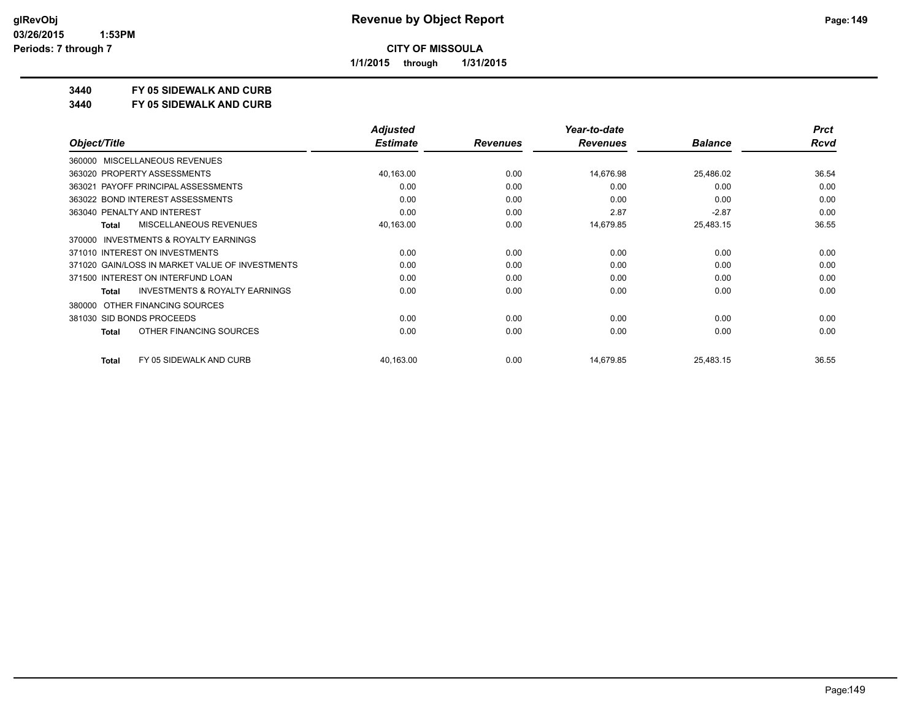**1/1/2015 through 1/31/2015**

# **3440 FY 05 SIDEWALK AND CURB**

**3440 FY 05 SIDEWALK AND CURB**

|                                                           | <b>Adjusted</b> |                 | Year-to-date    |                | <b>Prct</b> |
|-----------------------------------------------------------|-----------------|-----------------|-----------------|----------------|-------------|
| Object/Title                                              | <b>Estimate</b> | <b>Revenues</b> | <b>Revenues</b> | <b>Balance</b> | Rcvd        |
| MISCELLANEOUS REVENUES<br>360000                          |                 |                 |                 |                |             |
| 363020 PROPERTY ASSESSMENTS                               | 40,163.00       | 0.00            | 14,676.98       | 25,486.02      | 36.54       |
| 363021 PAYOFF PRINCIPAL ASSESSMENTS                       | 0.00            | 0.00            | 0.00            | 0.00           | 0.00        |
| 363022 BOND INTEREST ASSESSMENTS                          | 0.00            | 0.00            | 0.00            | 0.00           | 0.00        |
| 363040 PENALTY AND INTEREST                               | 0.00            | 0.00            | 2.87            | $-2.87$        | 0.00        |
| <b>MISCELLANEOUS REVENUES</b><br><b>Total</b>             | 40,163.00       | 0.00            | 14,679.85       | 25,483.15      | 36.55       |
| INVESTMENTS & ROYALTY EARNINGS<br>370000                  |                 |                 |                 |                |             |
| 371010 INTEREST ON INVESTMENTS                            | 0.00            | 0.00            | 0.00            | 0.00           | 0.00        |
| 371020 GAIN/LOSS IN MARKET VALUE OF INVESTMENTS           | 0.00            | 0.00            | 0.00            | 0.00           | 0.00        |
| 371500 INTEREST ON INTERFUND LOAN                         | 0.00            | 0.00            | 0.00            | 0.00           | 0.00        |
| <b>INVESTMENTS &amp; ROYALTY EARNINGS</b><br><b>Total</b> | 0.00            | 0.00            | 0.00            | 0.00           | 0.00        |
| OTHER FINANCING SOURCES<br>380000                         |                 |                 |                 |                |             |
| 381030 SID BONDS PROCEEDS                                 | 0.00            | 0.00            | 0.00            | 0.00           | 0.00        |
| OTHER FINANCING SOURCES<br>Total                          | 0.00            | 0.00            | 0.00            | 0.00           | 0.00        |
| FY 05 SIDEWALK AND CURB<br><b>Total</b>                   | 40,163.00       | 0.00            | 14,679.85       | 25,483.15      | 36.55       |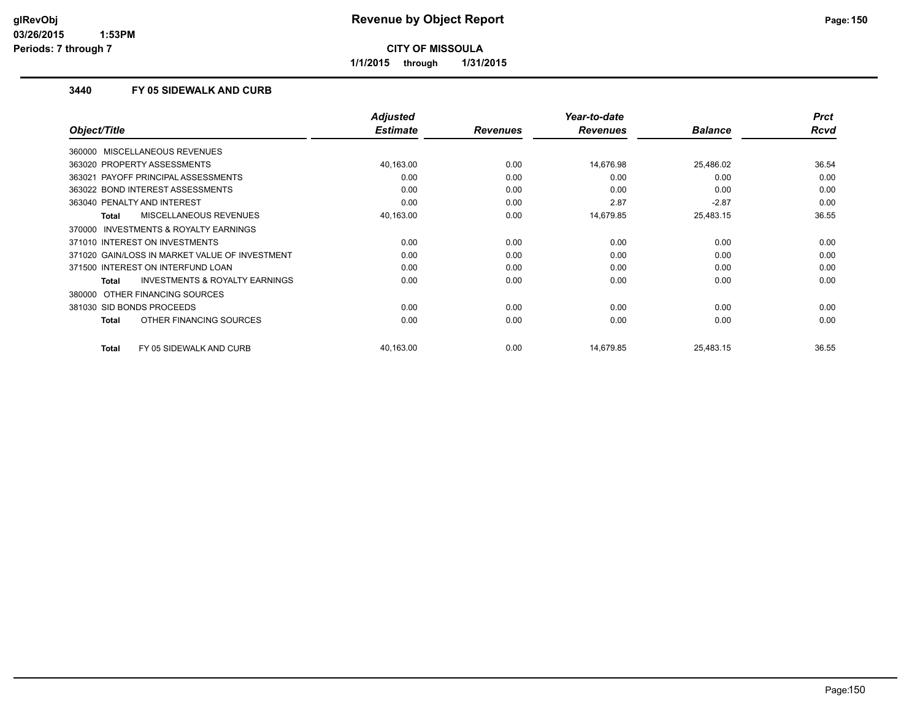**1/1/2015 through 1/31/2015**

### **3440 FY 05 SIDEWALK AND CURB**

|                                                           | <b>Adjusted</b> |                 | Year-to-date    |                | <b>Prct</b> |
|-----------------------------------------------------------|-----------------|-----------------|-----------------|----------------|-------------|
| Object/Title                                              | <b>Estimate</b> | <b>Revenues</b> | <b>Revenues</b> | <b>Balance</b> | <b>Rcvd</b> |
| 360000 MISCELLANEOUS REVENUES                             |                 |                 |                 |                |             |
| 363020 PROPERTY ASSESSMENTS                               | 40,163.00       | 0.00            | 14,676.98       | 25,486.02      | 36.54       |
| 363021 PAYOFF PRINCIPAL ASSESSMENTS                       | 0.00            | 0.00            | 0.00            | 0.00           | 0.00        |
| 363022 BOND INTEREST ASSESSMENTS                          | 0.00            | 0.00            | 0.00            | 0.00           | 0.00        |
| 363040 PENALTY AND INTEREST                               | 0.00            | 0.00            | 2.87            | $-2.87$        | 0.00        |
| MISCELLANEOUS REVENUES<br><b>Total</b>                    | 40,163.00       | 0.00            | 14,679.85       | 25,483.15      | 36.55       |
| 370000 INVESTMENTS & ROYALTY EARNINGS                     |                 |                 |                 |                |             |
| 371010 INTEREST ON INVESTMENTS                            | 0.00            | 0.00            | 0.00            | 0.00           | 0.00        |
| 371020 GAIN/LOSS IN MARKET VALUE OF INVESTMENT            | 0.00            | 0.00            | 0.00            | 0.00           | 0.00        |
| 371500 INTEREST ON INTERFUND LOAN                         | 0.00            | 0.00            | 0.00            | 0.00           | 0.00        |
| <b>INVESTMENTS &amp; ROYALTY EARNINGS</b><br><b>Total</b> | 0.00            | 0.00            | 0.00            | 0.00           | 0.00        |
| 380000 OTHER FINANCING SOURCES                            |                 |                 |                 |                |             |
| 381030 SID BONDS PROCEEDS                                 | 0.00            | 0.00            | 0.00            | 0.00           | 0.00        |
| OTHER FINANCING SOURCES<br><b>Total</b>                   | 0.00            | 0.00            | 0.00            | 0.00           | 0.00        |
| <b>Total</b><br>FY 05 SIDEWALK AND CURB                   | 40,163.00       | 0.00            | 14,679.85       | 25,483.15      | 36.55       |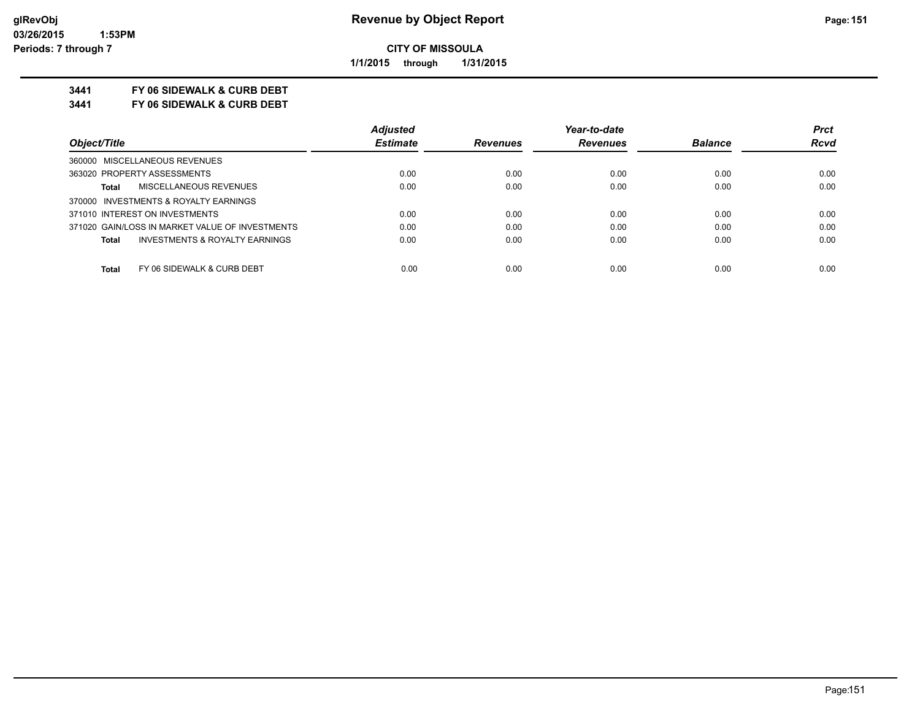**1/1/2015 through 1/31/2015**

# **3441 FY 06 SIDEWALK & CURB DEBT**

**3441 FY 06 SIDEWALK & CURB DEBT**

|                                                 | <b>Adjusted</b> |                 | Year-to-date    |                | <b>Prct</b> |
|-------------------------------------------------|-----------------|-----------------|-----------------|----------------|-------------|
| Object/Title                                    | <b>Estimate</b> | <b>Revenues</b> | <b>Revenues</b> | <b>Balance</b> | <b>Rcvd</b> |
| 360000 MISCELLANEOUS REVENUES                   |                 |                 |                 |                |             |
| 363020 PROPERTY ASSESSMENTS                     | 0.00            | 0.00            | 0.00            | 0.00           | 0.00        |
| MISCELLANEOUS REVENUES<br>Total                 | 0.00            | 0.00            | 0.00            | 0.00           | 0.00        |
| 370000 INVESTMENTS & ROYALTY EARNINGS           |                 |                 |                 |                |             |
| 371010 INTEREST ON INVESTMENTS                  | 0.00            | 0.00            | 0.00            | 0.00           | 0.00        |
| 371020 GAIN/LOSS IN MARKET VALUE OF INVESTMENTS | 0.00            | 0.00            | 0.00            | 0.00           | 0.00        |
| INVESTMENTS & ROYALTY EARNINGS<br>Total         | 0.00            | 0.00            | 0.00            | 0.00           | 0.00        |
| FY 06 SIDEWALK & CURB DEBT<br><b>Total</b>      | 0.00            | 0.00            | 0.00            | 0.00           | 0.00        |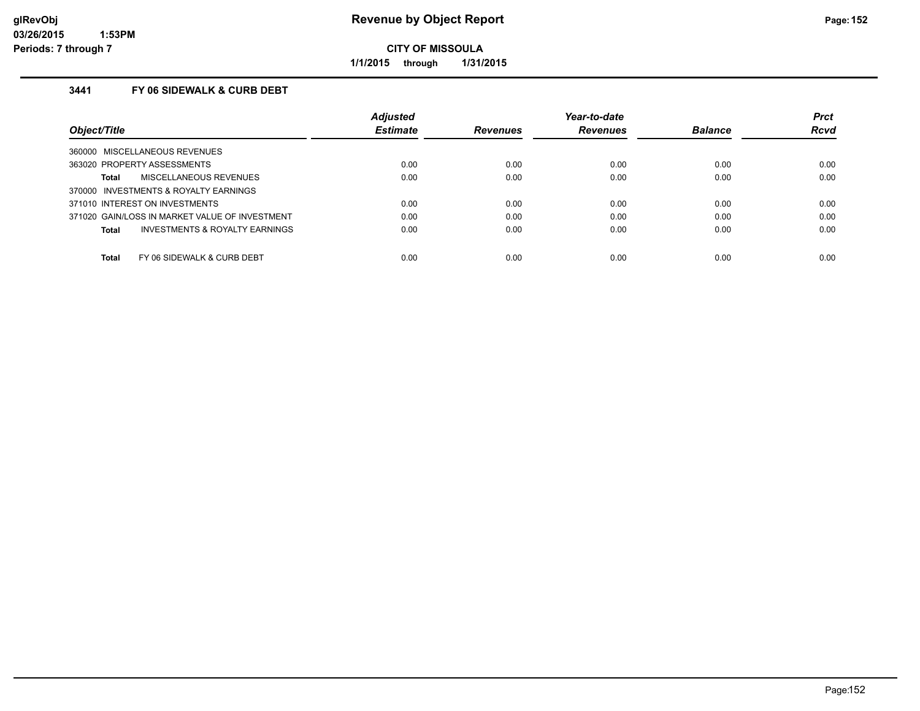**1/1/2015 through 1/31/2015**

# **3441 FY 06 SIDEWALK & CURB DEBT**

|                                                | <b>Adjusted</b> |                 | Year-to-date    |                | <b>Prct</b> |
|------------------------------------------------|-----------------|-----------------|-----------------|----------------|-------------|
| Object/Title                                   | <b>Estimate</b> | <b>Revenues</b> | <b>Revenues</b> | <b>Balance</b> | <b>Rcvd</b> |
| 360000 MISCELLANEOUS REVENUES                  |                 |                 |                 |                |             |
| 363020 PROPERTY ASSESSMENTS                    | 0.00            | 0.00            | 0.00            | 0.00           | 0.00        |
| MISCELLANEOUS REVENUES<br>Total                | 0.00            | 0.00            | 0.00            | 0.00           | 0.00        |
| 370000 INVESTMENTS & ROYALTY EARNINGS          |                 |                 |                 |                |             |
| 371010 INTEREST ON INVESTMENTS                 | 0.00            | 0.00            | 0.00            | 0.00           | 0.00        |
| 371020 GAIN/LOSS IN MARKET VALUE OF INVESTMENT | 0.00            | 0.00            | 0.00            | 0.00           | 0.00        |
| INVESTMENTS & ROYALTY EARNINGS<br>Total        | 0.00            | 0.00            | 0.00            | 0.00           | 0.00        |
|                                                |                 |                 |                 |                |             |
| Total<br>FY 06 SIDEWALK & CURB DEBT            | 0.00            | 0.00            | 0.00            | 0.00           | 0.00        |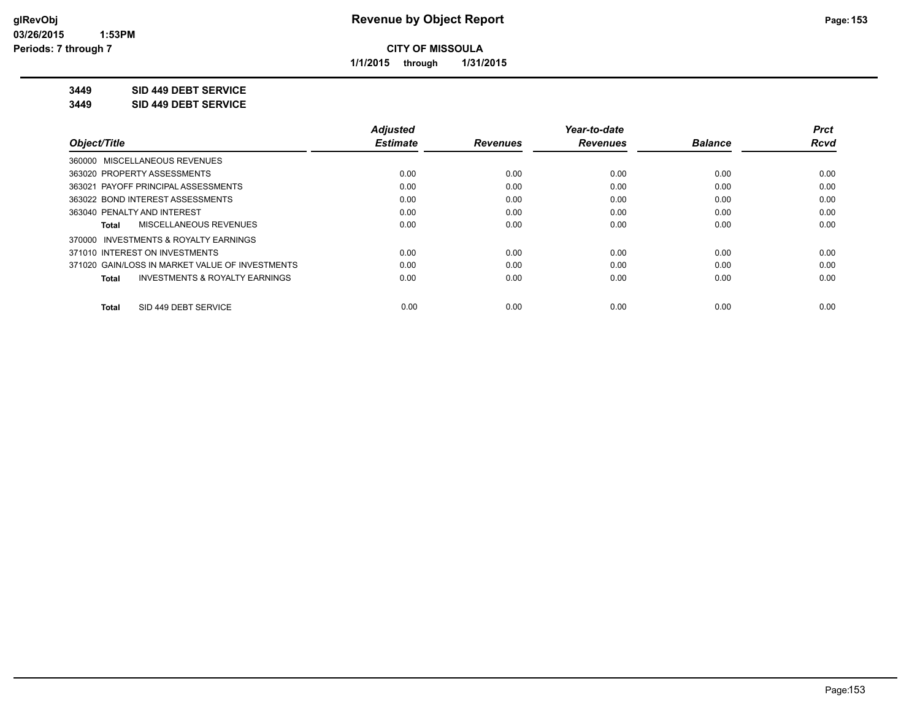**1/1/2015 through 1/31/2015**

**3449 SID 449 DEBT SERVICE**

**3449 SID 449 DEBT SERVICE**

|                                                    | <b>Adjusted</b> |                 | Year-to-date    |                | <b>Prct</b> |
|----------------------------------------------------|-----------------|-----------------|-----------------|----------------|-------------|
| Object/Title                                       | <b>Estimate</b> | <b>Revenues</b> | <b>Revenues</b> | <b>Balance</b> | Rcvd        |
| 360000 MISCELLANEOUS REVENUES                      |                 |                 |                 |                |             |
| 363020 PROPERTY ASSESSMENTS                        | 0.00            | 0.00            | 0.00            | 0.00           | 0.00        |
| 363021 PAYOFF PRINCIPAL ASSESSMENTS                | 0.00            | 0.00            | 0.00            | 0.00           | 0.00        |
| 363022 BOND INTEREST ASSESSMENTS                   | 0.00            | 0.00            | 0.00            | 0.00           | 0.00        |
| 363040 PENALTY AND INTEREST                        | 0.00            | 0.00            | 0.00            | 0.00           | 0.00        |
| MISCELLANEOUS REVENUES<br>Total                    | 0.00            | 0.00            | 0.00            | 0.00           | 0.00        |
| 370000 INVESTMENTS & ROYALTY EARNINGS              |                 |                 |                 |                |             |
| 371010 INTEREST ON INVESTMENTS                     | 0.00            | 0.00            | 0.00            | 0.00           | 0.00        |
| 371020 GAIN/LOSS IN MARKET VALUE OF INVESTMENTS    | 0.00            | 0.00            | 0.00            | 0.00           | 0.00        |
| <b>INVESTMENTS &amp; ROYALTY EARNINGS</b><br>Total | 0.00            | 0.00            | 0.00            | 0.00           | 0.00        |
| SID 449 DEBT SERVICE<br>Total                      | 0.00            | 0.00            | 0.00            | 0.00           | 0.00        |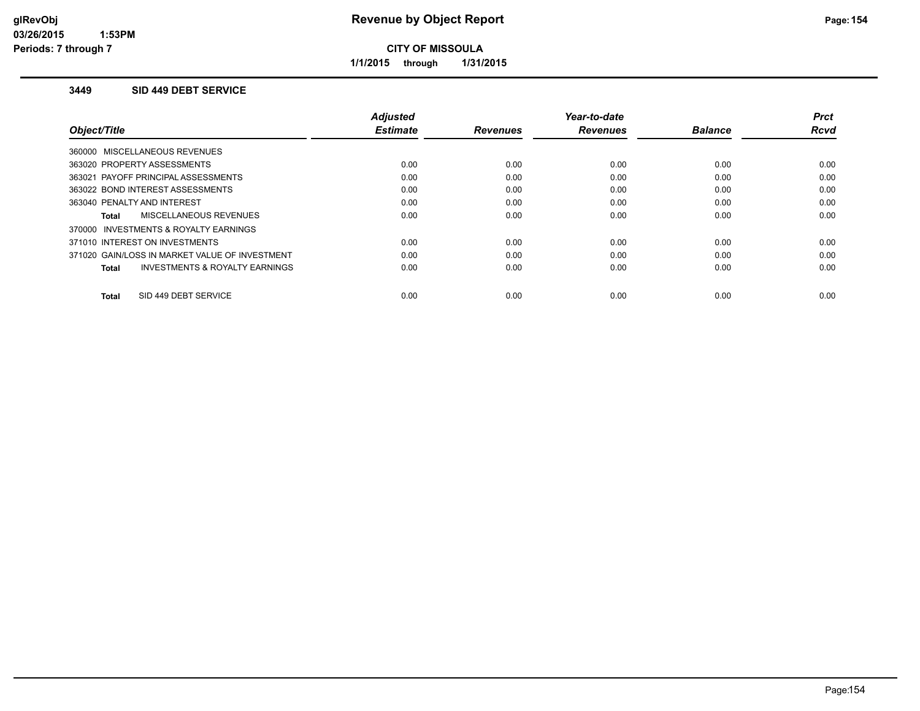**1/1/2015 through 1/31/2015**

#### **3449 SID 449 DEBT SERVICE**

|                                                    | <b>Adjusted</b> |                 | Year-to-date    |                | <b>Prct</b> |
|----------------------------------------------------|-----------------|-----------------|-----------------|----------------|-------------|
| Object/Title                                       | <b>Estimate</b> | <b>Revenues</b> | <b>Revenues</b> | <b>Balance</b> | <b>Rcvd</b> |
| 360000 MISCELLANEOUS REVENUES                      |                 |                 |                 |                |             |
| 363020 PROPERTY ASSESSMENTS                        | 0.00            | 0.00            | 0.00            | 0.00           | 0.00        |
| 363021 PAYOFF PRINCIPAL ASSESSMENTS                | 0.00            | 0.00            | 0.00            | 0.00           | 0.00        |
| 363022 BOND INTEREST ASSESSMENTS                   | 0.00            | 0.00            | 0.00            | 0.00           | 0.00        |
| 363040 PENALTY AND INTEREST                        | 0.00            | 0.00            | 0.00            | 0.00           | 0.00        |
| MISCELLANEOUS REVENUES<br>Total                    | 0.00            | 0.00            | 0.00            | 0.00           | 0.00        |
| 370000 INVESTMENTS & ROYALTY EARNINGS              |                 |                 |                 |                |             |
| 371010 INTEREST ON INVESTMENTS                     | 0.00            | 0.00            | 0.00            | 0.00           | 0.00        |
| 371020 GAIN/LOSS IN MARKET VALUE OF INVESTMENT     | 0.00            | 0.00            | 0.00            | 0.00           | 0.00        |
| <b>INVESTMENTS &amp; ROYALTY EARNINGS</b><br>Total | 0.00            | 0.00            | 0.00            | 0.00           | 0.00        |
|                                                    |                 |                 |                 |                |             |
| SID 449 DEBT SERVICE<br><b>Total</b>               | 0.00            | 0.00            | 0.00            | 0.00           | 0.00        |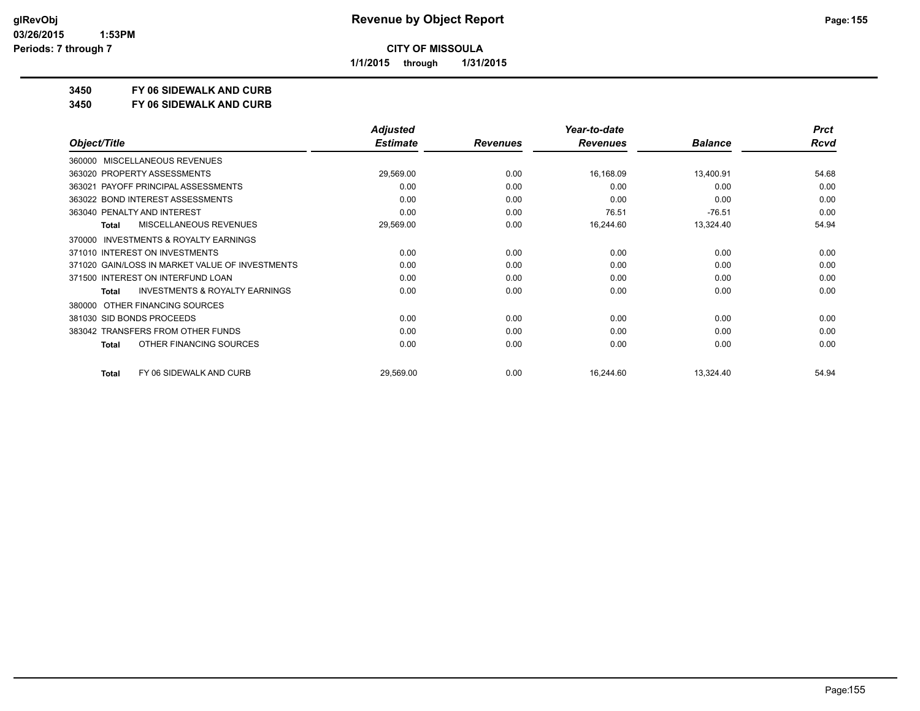**1/1/2015 through 1/31/2015**

**3450 FY 06 SIDEWALK AND CURB**

**3450 FY 06 SIDEWALK AND CURB**

|                                                     | <b>Adjusted</b> |                 | Year-to-date    |                | <b>Prct</b> |
|-----------------------------------------------------|-----------------|-----------------|-----------------|----------------|-------------|
| Object/Title                                        | <b>Estimate</b> | <b>Revenues</b> | <b>Revenues</b> | <b>Balance</b> | <b>Rcvd</b> |
| <b>MISCELLANEOUS REVENUES</b><br>360000             |                 |                 |                 |                |             |
| 363020 PROPERTY ASSESSMENTS                         | 29,569.00       | 0.00            | 16,168.09       | 13,400.91      | 54.68       |
| 363021 PAYOFF PRINCIPAL ASSESSMENTS                 | 0.00            | 0.00            | 0.00            | 0.00           | 0.00        |
| 363022 BOND INTEREST ASSESSMENTS                    | 0.00            | 0.00            | 0.00            | 0.00           | 0.00        |
| 363040 PENALTY AND INTEREST                         | 0.00            | 0.00            | 76.51           | $-76.51$       | 0.00        |
| MISCELLANEOUS REVENUES<br>Total                     | 29,569.00       | 0.00            | 16,244.60       | 13,324.40      | 54.94       |
| <b>INVESTMENTS &amp; ROYALTY EARNINGS</b><br>370000 |                 |                 |                 |                |             |
| 371010 INTEREST ON INVESTMENTS                      | 0.00            | 0.00            | 0.00            | 0.00           | 0.00        |
| 371020 GAIN/LOSS IN MARKET VALUE OF INVESTMENTS     | 0.00            | 0.00            | 0.00            | 0.00           | 0.00        |
| 371500 INTEREST ON INTERFUND LOAN                   | 0.00            | 0.00            | 0.00            | 0.00           | 0.00        |
| <b>INVESTMENTS &amp; ROYALTY EARNINGS</b><br>Total  | 0.00            | 0.00            | 0.00            | 0.00           | 0.00        |
| OTHER FINANCING SOURCES<br>380000                   |                 |                 |                 |                |             |
| 381030 SID BONDS PROCEEDS                           | 0.00            | 0.00            | 0.00            | 0.00           | 0.00        |
| 383042 TRANSFERS FROM OTHER FUNDS                   | 0.00            | 0.00            | 0.00            | 0.00           | 0.00        |
| OTHER FINANCING SOURCES<br><b>Total</b>             | 0.00            | 0.00            | 0.00            | 0.00           | 0.00        |
| FY 06 SIDEWALK AND CURB<br>Total                    | 29,569.00       | 0.00            | 16,244.60       | 13,324.40      | 54.94       |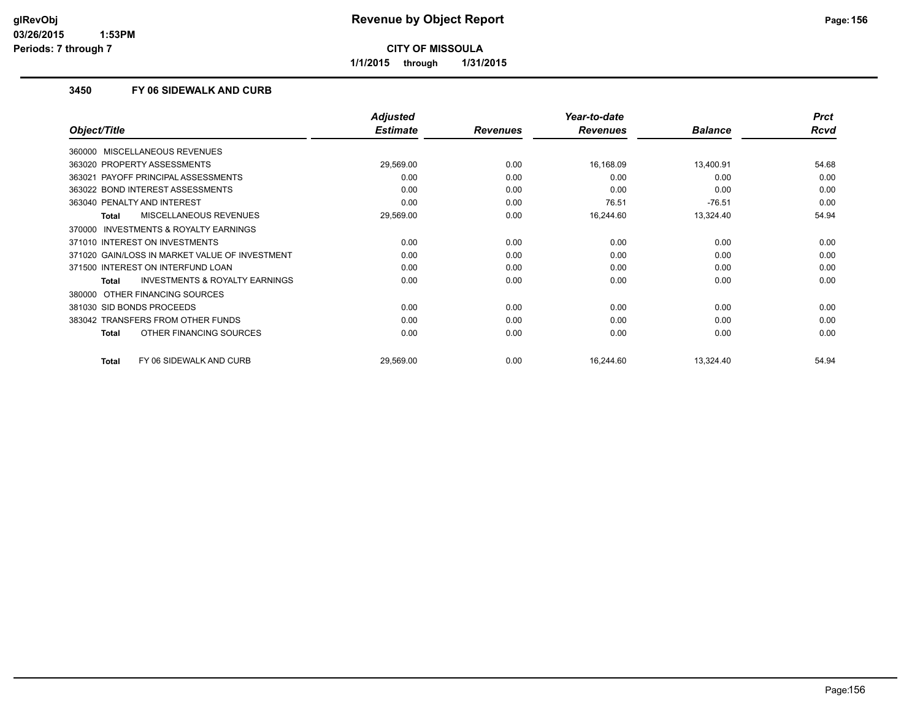**1/1/2015 through 1/31/2015**

### **3450 FY 06 SIDEWALK AND CURB**

|                                                           | <b>Adjusted</b> |                 | Year-to-date    |                | <b>Prct</b> |
|-----------------------------------------------------------|-----------------|-----------------|-----------------|----------------|-------------|
| Object/Title                                              | <b>Estimate</b> | <b>Revenues</b> | <b>Revenues</b> | <b>Balance</b> | <b>Rcvd</b> |
| MISCELLANEOUS REVENUES<br>360000                          |                 |                 |                 |                |             |
| 363020 PROPERTY ASSESSMENTS                               | 29,569.00       | 0.00            | 16,168.09       | 13,400.91      | 54.68       |
| 363021 PAYOFF PRINCIPAL ASSESSMENTS                       | 0.00            | 0.00            | 0.00            | 0.00           | 0.00        |
| 363022 BOND INTEREST ASSESSMENTS                          | 0.00            | 0.00            | 0.00            | 0.00           | 0.00        |
| 363040 PENALTY AND INTEREST                               | 0.00            | 0.00            | 76.51           | $-76.51$       | 0.00        |
| <b>MISCELLANEOUS REVENUES</b><br><b>Total</b>             | 29,569.00       | 0.00            | 16,244.60       | 13,324.40      | 54.94       |
| INVESTMENTS & ROYALTY EARNINGS<br>370000                  |                 |                 |                 |                |             |
| 371010 INTEREST ON INVESTMENTS                            | 0.00            | 0.00            | 0.00            | 0.00           | 0.00        |
| 371020 GAIN/LOSS IN MARKET VALUE OF INVESTMENT            | 0.00            | 0.00            | 0.00            | 0.00           | 0.00        |
| 371500 INTEREST ON INTERFUND LOAN                         | 0.00            | 0.00            | 0.00            | 0.00           | 0.00        |
| <b>INVESTMENTS &amp; ROYALTY EARNINGS</b><br><b>Total</b> | 0.00            | 0.00            | 0.00            | 0.00           | 0.00        |
| OTHER FINANCING SOURCES<br>380000                         |                 |                 |                 |                |             |
| 381030 SID BONDS PROCEEDS                                 | 0.00            | 0.00            | 0.00            | 0.00           | 0.00        |
| 383042 TRANSFERS FROM OTHER FUNDS                         | 0.00            | 0.00            | 0.00            | 0.00           | 0.00        |
| OTHER FINANCING SOURCES<br><b>Total</b>                   | 0.00            | 0.00            | 0.00            | 0.00           | 0.00        |
| FY 06 SIDEWALK AND CURB<br><b>Total</b>                   | 29,569.00       | 0.00            | 16,244.60       | 13,324.40      | 54.94       |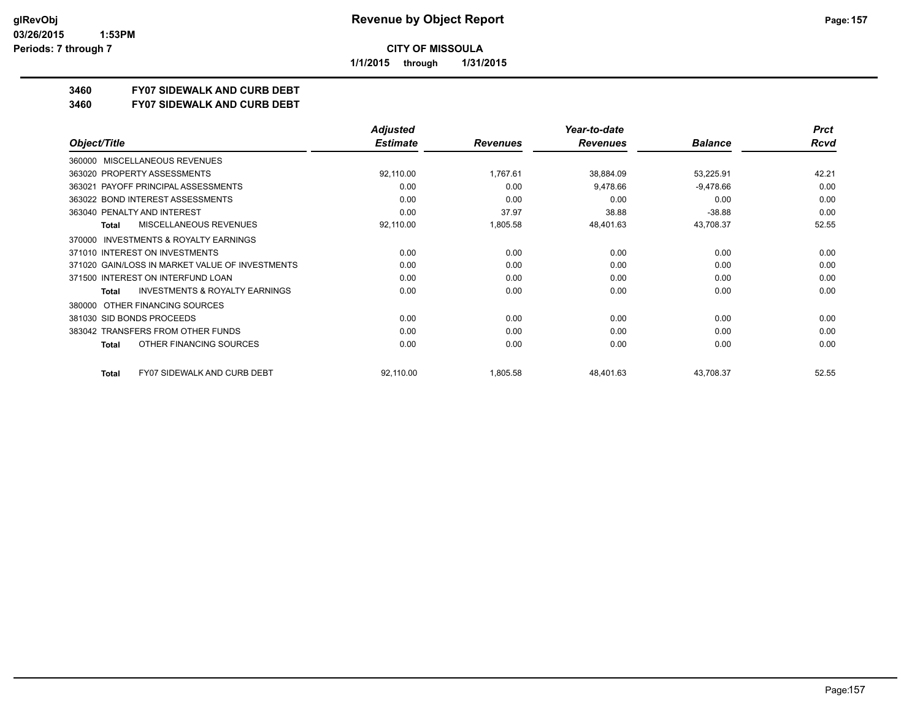**1/1/2015 through 1/31/2015**

# **3460 FY07 SIDEWALK AND CURB DEBT**

#### **3460 FY07 SIDEWALK AND CURB DEBT**

|                                                           | <b>Adjusted</b> |                 | Year-to-date    |                | <b>Prct</b> |
|-----------------------------------------------------------|-----------------|-----------------|-----------------|----------------|-------------|
| Object/Title                                              | <b>Estimate</b> | <b>Revenues</b> | <b>Revenues</b> | <b>Balance</b> | <b>Rcvd</b> |
| <b>MISCELLANEOUS REVENUES</b><br>360000                   |                 |                 |                 |                |             |
| 363020 PROPERTY ASSESSMENTS                               | 92,110.00       | 1,767.61        | 38,884.09       | 53,225.91      | 42.21       |
| 363021 PAYOFF PRINCIPAL ASSESSMENTS                       | 0.00            | 0.00            | 9,478.66        | $-9,478.66$    | 0.00        |
| 363022 BOND INTEREST ASSESSMENTS                          | 0.00            | 0.00            | 0.00            | 0.00           | 0.00        |
| 363040 PENALTY AND INTEREST                               | 0.00            | 37.97           | 38.88           | $-38.88$       | 0.00        |
| <b>MISCELLANEOUS REVENUES</b><br><b>Total</b>             | 92,110.00       | 1,805.58        | 48,401.63       | 43,708.37      | 52.55       |
| <b>INVESTMENTS &amp; ROYALTY EARNINGS</b><br>370000       |                 |                 |                 |                |             |
| 371010 INTEREST ON INVESTMENTS                            | 0.00            | 0.00            | 0.00            | 0.00           | 0.00        |
| 371020 GAIN/LOSS IN MARKET VALUE OF INVESTMENTS           | 0.00            | 0.00            | 0.00            | 0.00           | 0.00        |
| 371500 INTEREST ON INTERFUND LOAN                         | 0.00            | 0.00            | 0.00            | 0.00           | 0.00        |
| <b>INVESTMENTS &amp; ROYALTY EARNINGS</b><br><b>Total</b> | 0.00            | 0.00            | 0.00            | 0.00           | 0.00        |
| OTHER FINANCING SOURCES<br>380000                         |                 |                 |                 |                |             |
| 381030 SID BONDS PROCEEDS                                 | 0.00            | 0.00            | 0.00            | 0.00           | 0.00        |
| 383042 TRANSFERS FROM OTHER FUNDS                         | 0.00            | 0.00            | 0.00            | 0.00           | 0.00        |
| OTHER FINANCING SOURCES<br><b>Total</b>                   | 0.00            | 0.00            | 0.00            | 0.00           | 0.00        |
| <b>FY07 SIDEWALK AND CURB DEBT</b><br>Total               | 92,110.00       | 1,805.58        | 48,401.63       | 43,708.37      | 52.55       |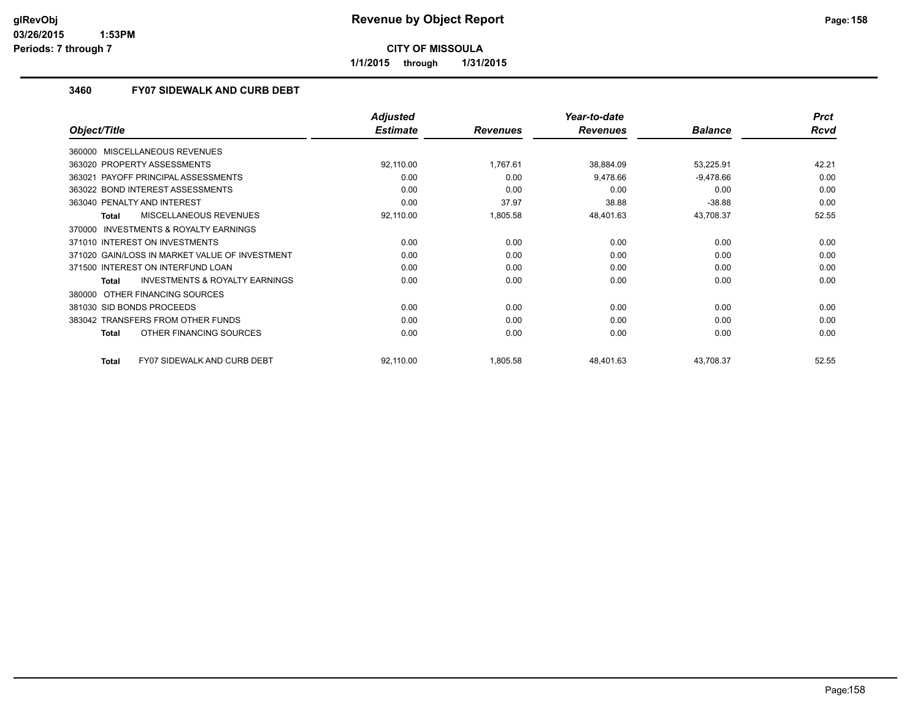**1/1/2015 through 1/31/2015**

# **3460 FY07 SIDEWALK AND CURB DEBT**

|                                                    | <b>Adjusted</b> |                 | Year-to-date    |                | <b>Prct</b> |
|----------------------------------------------------|-----------------|-----------------|-----------------|----------------|-------------|
| Object/Title                                       | <b>Estimate</b> | <b>Revenues</b> | <b>Revenues</b> | <b>Balance</b> | <b>Rcvd</b> |
| 360000 MISCELLANEOUS REVENUES                      |                 |                 |                 |                |             |
| 363020 PROPERTY ASSESSMENTS                        | 92,110.00       | 1,767.61        | 38,884.09       | 53,225.91      | 42.21       |
| PAYOFF PRINCIPAL ASSESSMENTS<br>363021             | 0.00            | 0.00            | 9,478.66        | $-9,478.66$    | 0.00        |
| 363022 BOND INTEREST ASSESSMENTS                   | 0.00            | 0.00            | 0.00            | 0.00           | 0.00        |
| 363040 PENALTY AND INTEREST                        | 0.00            | 37.97           | 38.88           | $-38.88$       | 0.00        |
| <b>MISCELLANEOUS REVENUES</b><br>Total             | 92,110.00       | 1,805.58        | 48,401.63       | 43,708.37      | 52.55       |
| 370000 INVESTMENTS & ROYALTY EARNINGS              |                 |                 |                 |                |             |
| 371010 INTEREST ON INVESTMENTS                     | 0.00            | 0.00            | 0.00            | 0.00           | 0.00        |
| 371020 GAIN/LOSS IN MARKET VALUE OF INVESTMENT     | 0.00            | 0.00            | 0.00            | 0.00           | 0.00        |
| 371500 INTEREST ON INTERFUND LOAN                  | 0.00            | 0.00            | 0.00            | 0.00           | 0.00        |
| <b>INVESTMENTS &amp; ROYALTY EARNINGS</b><br>Total | 0.00            | 0.00            | 0.00            | 0.00           | 0.00        |
| 380000 OTHER FINANCING SOURCES                     |                 |                 |                 |                |             |
| 381030 SID BONDS PROCEEDS                          | 0.00            | 0.00            | 0.00            | 0.00           | 0.00        |
| 383042 TRANSFERS FROM OTHER FUNDS                  | 0.00            | 0.00            | 0.00            | 0.00           | 0.00        |
| OTHER FINANCING SOURCES<br>Total                   | 0.00            | 0.00            | 0.00            | 0.00           | 0.00        |
| <b>FY07 SIDEWALK AND CURB DEBT</b><br><b>Total</b> | 92,110.00       | 1,805.58        | 48,401.63       | 43,708.37      | 52.55       |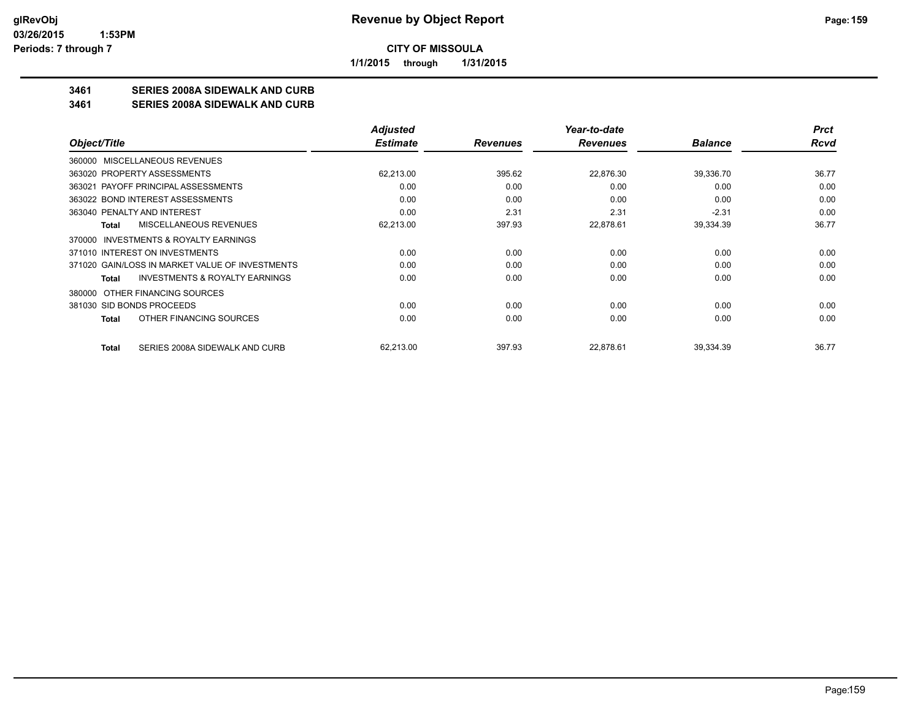**1/1/2015 through 1/31/2015**

# **3461 SERIES 2008A SIDEWALK AND CURB**

**3461 SERIES 2008A SIDEWALK AND CURB**

|                                                    | <b>Adjusted</b> |                 | Year-to-date    |                | <b>Prct</b> |
|----------------------------------------------------|-----------------|-----------------|-----------------|----------------|-------------|
| Object/Title                                       | <b>Estimate</b> | <b>Revenues</b> | <b>Revenues</b> | <b>Balance</b> | Rcvd        |
| MISCELLANEOUS REVENUES<br>360000                   |                 |                 |                 |                |             |
| 363020 PROPERTY ASSESSMENTS                        | 62,213.00       | 395.62          | 22,876.30       | 39,336.70      | 36.77       |
| 363021 PAYOFF PRINCIPAL ASSESSMENTS                | 0.00            | 0.00            | 0.00            | 0.00           | 0.00        |
| 363022 BOND INTEREST ASSESSMENTS                   | 0.00            | 0.00            | 0.00            | 0.00           | 0.00        |
| 363040 PENALTY AND INTEREST                        | 0.00            | 2.31            | 2.31            | $-2.31$        | 0.00        |
| MISCELLANEOUS REVENUES<br><b>Total</b>             | 62,213.00       | 397.93          | 22,878.61       | 39,334.39      | 36.77       |
| INVESTMENTS & ROYALTY EARNINGS<br>370000           |                 |                 |                 |                |             |
| 371010 INTEREST ON INVESTMENTS                     | 0.00            | 0.00            | 0.00            | 0.00           | 0.00        |
| 371020 GAIN/LOSS IN MARKET VALUE OF INVESTMENTS    | 0.00            | 0.00            | 0.00            | 0.00           | 0.00        |
| <b>INVESTMENTS &amp; ROYALTY EARNINGS</b><br>Total | 0.00            | 0.00            | 0.00            | 0.00           | 0.00        |
| OTHER FINANCING SOURCES<br>380000                  |                 |                 |                 |                |             |
| 381030 SID BONDS PROCEEDS                          | 0.00            | 0.00            | 0.00            | 0.00           | 0.00        |
| OTHER FINANCING SOURCES<br><b>Total</b>            | 0.00            | 0.00            | 0.00            | 0.00           | 0.00        |
| SERIES 2008A SIDEWALK AND CURB<br><b>Total</b>     | 62,213.00       | 397.93          | 22,878.61       | 39,334.39      | 36.77       |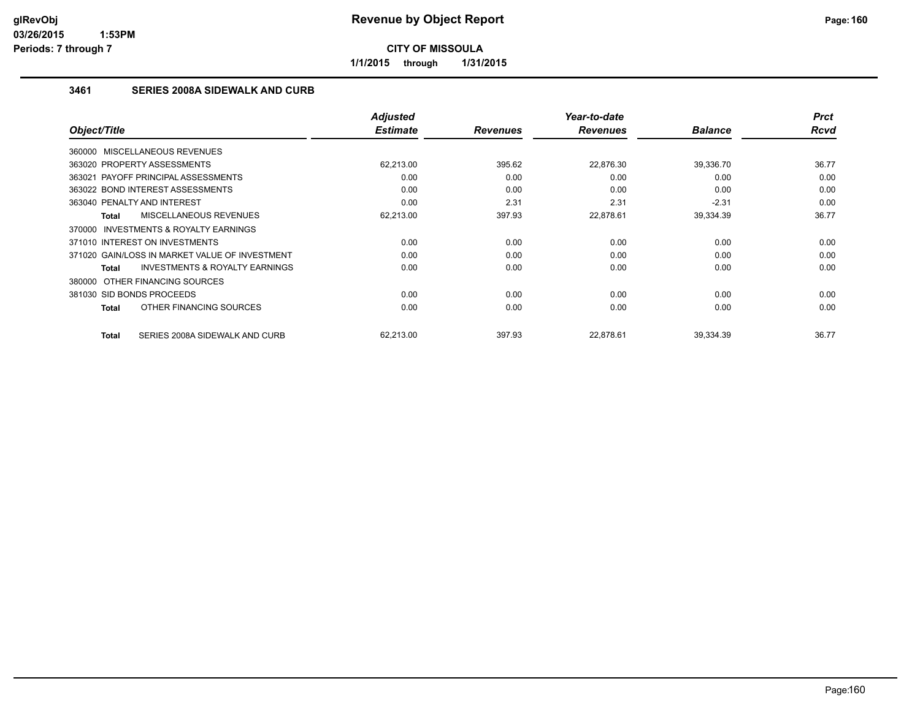**1/1/2015 through 1/31/2015**

# **3461 SERIES 2008A SIDEWALK AND CURB**

|              |                                                | <b>Adjusted</b> |                 | Year-to-date    |                | <b>Prct</b> |
|--------------|------------------------------------------------|-----------------|-----------------|-----------------|----------------|-------------|
| Object/Title |                                                | <b>Estimate</b> | <b>Revenues</b> | <b>Revenues</b> | <b>Balance</b> | Rcvd        |
|              | 360000 MISCELLANEOUS REVENUES                  |                 |                 |                 |                |             |
|              | 363020 PROPERTY ASSESSMENTS                    | 62.213.00       | 395.62          | 22,876.30       | 39,336.70      | 36.77       |
|              | 363021 PAYOFF PRINCIPAL ASSESSMENTS            | 0.00            | 0.00            | 0.00            | 0.00           | 0.00        |
|              | 363022 BOND INTEREST ASSESSMENTS               | 0.00            | 0.00            | 0.00            | 0.00           | 0.00        |
|              | 363040 PENALTY AND INTEREST                    | 0.00            | 2.31            | 2.31            | $-2.31$        | 0.00        |
| Total        | <b>MISCELLANEOUS REVENUES</b>                  | 62,213.00       | 397.93          | 22,878.61       | 39,334.39      | 36.77       |
| 370000       | <b>INVESTMENTS &amp; ROYALTY EARNINGS</b>      |                 |                 |                 |                |             |
|              | 371010 INTEREST ON INVESTMENTS                 | 0.00            | 0.00            | 0.00            | 0.00           | 0.00        |
|              | 371020 GAIN/LOSS IN MARKET VALUE OF INVESTMENT | 0.00            | 0.00            | 0.00            | 0.00           | 0.00        |
| Total        | <b>INVESTMENTS &amp; ROYALTY EARNINGS</b>      | 0.00            | 0.00            | 0.00            | 0.00           | 0.00        |
|              | 380000 OTHER FINANCING SOURCES                 |                 |                 |                 |                |             |
|              | 381030 SID BONDS PROCEEDS                      | 0.00            | 0.00            | 0.00            | 0.00           | 0.00        |
| Total        | OTHER FINANCING SOURCES                        | 0.00            | 0.00            | 0.00            | 0.00           | 0.00        |
| Total        | SERIES 2008A SIDEWALK AND CURB                 | 62,213.00       | 397.93          | 22,878.61       | 39,334.39      | 36.77       |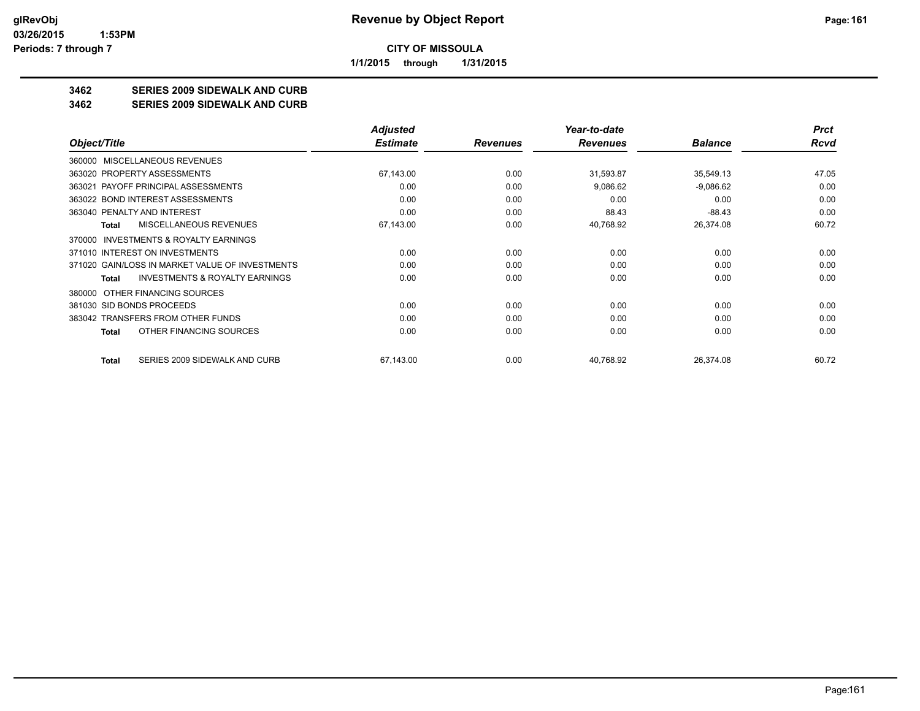**1/1/2015 through 1/31/2015**

# **3462 SERIES 2009 SIDEWALK AND CURB**

#### **3462 SERIES 2009 SIDEWALK AND CURB**

|                                                    | <b>Adjusted</b> |                 | Year-to-date    |                | <b>Prct</b> |
|----------------------------------------------------|-----------------|-----------------|-----------------|----------------|-------------|
| Object/Title                                       | <b>Estimate</b> | <b>Revenues</b> | <b>Revenues</b> | <b>Balance</b> | Rcvd        |
| MISCELLANEOUS REVENUES<br>360000                   |                 |                 |                 |                |             |
| 363020 PROPERTY ASSESSMENTS                        | 67,143.00       | 0.00            | 31,593.87       | 35,549.13      | 47.05       |
| 363021 PAYOFF PRINCIPAL ASSESSMENTS                | 0.00            | 0.00            | 9,086.62        | $-9,086.62$    | 0.00        |
| 363022 BOND INTEREST ASSESSMENTS                   | 0.00            | 0.00            | 0.00            | 0.00           | 0.00        |
| 363040 PENALTY AND INTEREST                        | 0.00            | 0.00            | 88.43           | $-88.43$       | 0.00        |
| MISCELLANEOUS REVENUES<br>Total                    | 67,143.00       | 0.00            | 40,768.92       | 26,374.08      | 60.72       |
| INVESTMENTS & ROYALTY EARNINGS<br>370000           |                 |                 |                 |                |             |
| 371010 INTEREST ON INVESTMENTS                     | 0.00            | 0.00            | 0.00            | 0.00           | 0.00        |
| 371020 GAIN/LOSS IN MARKET VALUE OF INVESTMENTS    | 0.00            | 0.00            | 0.00            | 0.00           | 0.00        |
| <b>INVESTMENTS &amp; ROYALTY EARNINGS</b><br>Total | 0.00            | 0.00            | 0.00            | 0.00           | 0.00        |
| 380000 OTHER FINANCING SOURCES                     |                 |                 |                 |                |             |
| 381030 SID BONDS PROCEEDS                          | 0.00            | 0.00            | 0.00            | 0.00           | 0.00        |
| 383042 TRANSFERS FROM OTHER FUNDS                  | 0.00            | 0.00            | 0.00            | 0.00           | 0.00        |
| OTHER FINANCING SOURCES<br>Total                   | 0.00            | 0.00            | 0.00            | 0.00           | 0.00        |
| SERIES 2009 SIDEWALK AND CURB<br>Total             | 67,143.00       | 0.00            | 40,768.92       | 26,374.08      | 60.72       |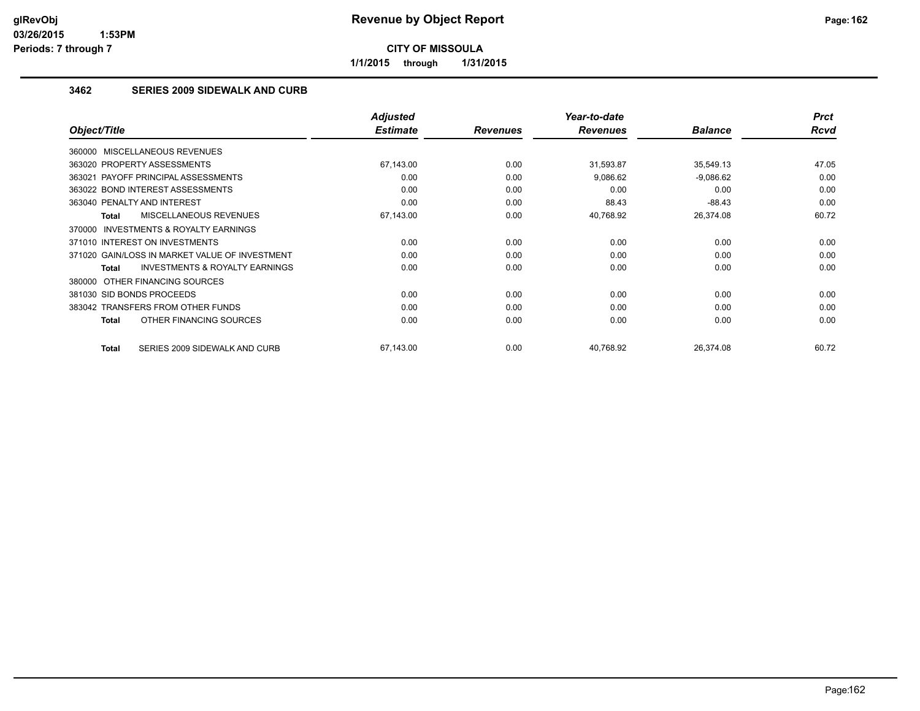**1/1/2015 through 1/31/2015**

# **3462 SERIES 2009 SIDEWALK AND CURB**

|                                                           | <b>Adjusted</b> |                 | Year-to-date    |                | <b>Prct</b> |
|-----------------------------------------------------------|-----------------|-----------------|-----------------|----------------|-------------|
| Object/Title                                              | <b>Estimate</b> | <b>Revenues</b> | <b>Revenues</b> | <b>Balance</b> | <b>Rcvd</b> |
| 360000 MISCELLANEOUS REVENUES                             |                 |                 |                 |                |             |
| 363020 PROPERTY ASSESSMENTS                               | 67,143.00       | 0.00            | 31,593.87       | 35,549.13      | 47.05       |
| 363021 PAYOFF PRINCIPAL ASSESSMENTS                       | 0.00            | 0.00            | 9,086.62        | $-9,086.62$    | 0.00        |
| 363022 BOND INTEREST ASSESSMENTS                          | 0.00            | 0.00            | 0.00            | 0.00           | 0.00        |
| 363040 PENALTY AND INTEREST                               | 0.00            | 0.00            | 88.43           | $-88.43$       | 0.00        |
| <b>MISCELLANEOUS REVENUES</b><br><b>Total</b>             | 67,143.00       | 0.00            | 40,768.92       | 26,374.08      | 60.72       |
| <b>INVESTMENTS &amp; ROYALTY EARNINGS</b><br>370000       |                 |                 |                 |                |             |
| 371010 INTEREST ON INVESTMENTS                            | 0.00            | 0.00            | 0.00            | 0.00           | 0.00        |
| 371020 GAIN/LOSS IN MARKET VALUE OF INVESTMENT            | 0.00            | 0.00            | 0.00            | 0.00           | 0.00        |
| <b>INVESTMENTS &amp; ROYALTY EARNINGS</b><br><b>Total</b> | 0.00            | 0.00            | 0.00            | 0.00           | 0.00        |
| 380000 OTHER FINANCING SOURCES                            |                 |                 |                 |                |             |
| 381030 SID BONDS PROCEEDS                                 | 0.00            | 0.00            | 0.00            | 0.00           | 0.00        |
| 383042 TRANSFERS FROM OTHER FUNDS                         | 0.00            | 0.00            | 0.00            | 0.00           | 0.00        |
| OTHER FINANCING SOURCES<br><b>Total</b>                   | 0.00            | 0.00            | 0.00            | 0.00           | 0.00        |
| <b>Total</b><br>SERIES 2009 SIDEWALK AND CURB             | 67,143.00       | 0.00            | 40,768.92       | 26,374.08      | 60.72       |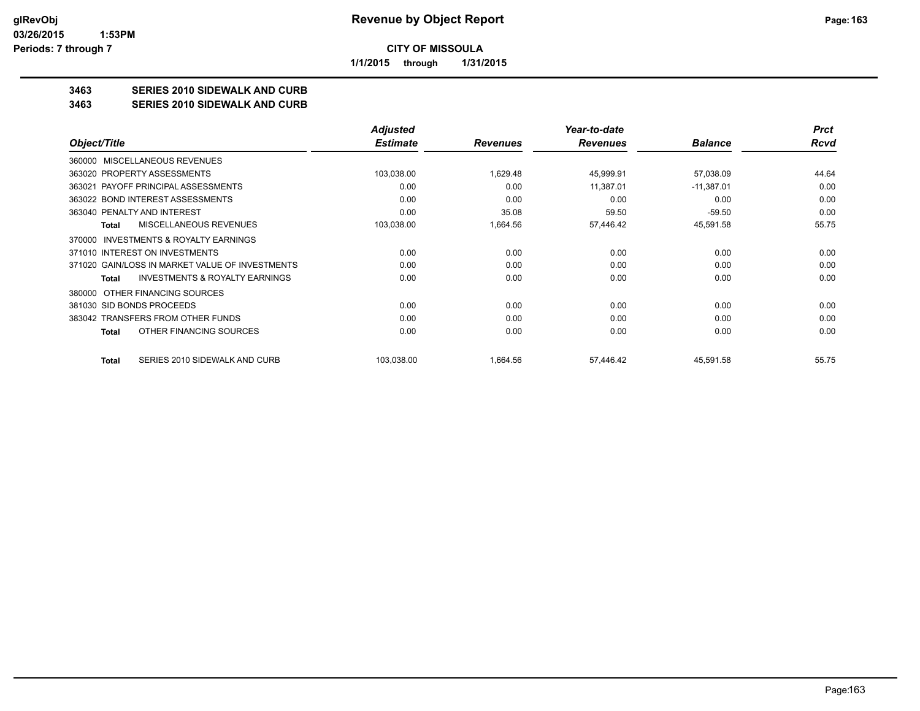**1/1/2015 through 1/31/2015**

# **3463 SERIES 2010 SIDEWALK AND CURB**

**3463 SERIES 2010 SIDEWALK AND CURB**

|                                                     | <b>Adjusted</b> |                 | Year-to-date    |                | <b>Prct</b> |
|-----------------------------------------------------|-----------------|-----------------|-----------------|----------------|-------------|
| Object/Title                                        | <b>Estimate</b> | <b>Revenues</b> | <b>Revenues</b> | <b>Balance</b> | Rcvd        |
| MISCELLANEOUS REVENUES<br>360000                    |                 |                 |                 |                |             |
| 363020 PROPERTY ASSESSMENTS                         | 103,038.00      | 1,629.48        | 45,999.91       | 57,038.09      | 44.64       |
| 363021 PAYOFF PRINCIPAL ASSESSMENTS                 | 0.00            | 0.00            | 11,387.01       | $-11,387.01$   | 0.00        |
| 363022 BOND INTEREST ASSESSMENTS                    | 0.00            | 0.00            | 0.00            | 0.00           | 0.00        |
| 363040 PENALTY AND INTEREST                         | 0.00            | 35.08           | 59.50           | $-59.50$       | 0.00        |
| MISCELLANEOUS REVENUES<br><b>Total</b>              | 103,038.00      | 1,664.56        | 57,446.42       | 45,591.58      | 55.75       |
| <b>INVESTMENTS &amp; ROYALTY EARNINGS</b><br>370000 |                 |                 |                 |                |             |
| 371010 INTEREST ON INVESTMENTS                      | 0.00            | 0.00            | 0.00            | 0.00           | 0.00        |
| 371020 GAIN/LOSS IN MARKET VALUE OF INVESTMENTS     | 0.00            | 0.00            | 0.00            | 0.00           | 0.00        |
| INVESTMENTS & ROYALTY EARNINGS<br>Total             | 0.00            | 0.00            | 0.00            | 0.00           | 0.00        |
| OTHER FINANCING SOURCES<br>380000                   |                 |                 |                 |                |             |
| 381030 SID BONDS PROCEEDS                           | 0.00            | 0.00            | 0.00            | 0.00           | 0.00        |
| 383042 TRANSFERS FROM OTHER FUNDS                   | 0.00            | 0.00            | 0.00            | 0.00           | 0.00        |
| OTHER FINANCING SOURCES<br>Total                    | 0.00            | 0.00            | 0.00            | 0.00           | 0.00        |
| SERIES 2010 SIDEWALK AND CURB<br>Total              | 103,038.00      | 1,664.56        | 57,446.42       | 45,591.58      | 55.75       |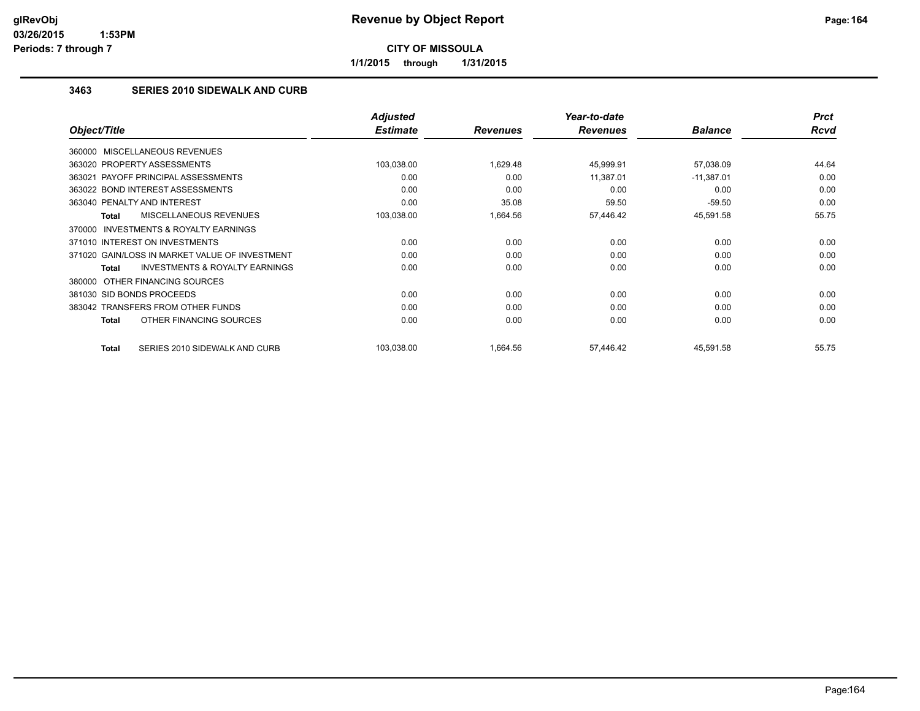**1/1/2015 through 1/31/2015**

# **3463 SERIES 2010 SIDEWALK AND CURB**

|                                                     | <b>Adjusted</b> |                 | Year-to-date    |                | <b>Prct</b> |
|-----------------------------------------------------|-----------------|-----------------|-----------------|----------------|-------------|
| Object/Title                                        | <b>Estimate</b> | <b>Revenues</b> | <b>Revenues</b> | <b>Balance</b> | <b>Rcvd</b> |
| 360000 MISCELLANEOUS REVENUES                       |                 |                 |                 |                |             |
| 363020 PROPERTY ASSESSMENTS                         | 103,038.00      | 1,629.48        | 45,999.91       | 57,038.09      | 44.64       |
| 363021 PAYOFF PRINCIPAL ASSESSMENTS                 | 0.00            | 0.00            | 11,387.01       | $-11,387.01$   | 0.00        |
| 363022 BOND INTEREST ASSESSMENTS                    | 0.00            | 0.00            | 0.00            | 0.00           | 0.00        |
| 363040 PENALTY AND INTEREST                         | 0.00            | 35.08           | 59.50           | $-59.50$       | 0.00        |
| <b>MISCELLANEOUS REVENUES</b><br>Total              | 103,038.00      | 1,664.56        | 57,446.42       | 45,591.58      | 55.75       |
| <b>INVESTMENTS &amp; ROYALTY EARNINGS</b><br>370000 |                 |                 |                 |                |             |
| 371010 INTEREST ON INVESTMENTS                      | 0.00            | 0.00            | 0.00            | 0.00           | 0.00        |
| 371020 GAIN/LOSS IN MARKET VALUE OF INVESTMENT      | 0.00            | 0.00            | 0.00            | 0.00           | 0.00        |
| <b>INVESTMENTS &amp; ROYALTY EARNINGS</b><br>Total  | 0.00            | 0.00            | 0.00            | 0.00           | 0.00        |
| OTHER FINANCING SOURCES<br>380000                   |                 |                 |                 |                |             |
| 381030 SID BONDS PROCEEDS                           | 0.00            | 0.00            | 0.00            | 0.00           | 0.00        |
| 383042 TRANSFERS FROM OTHER FUNDS                   | 0.00            | 0.00            | 0.00            | 0.00           | 0.00        |
| OTHER FINANCING SOURCES<br>Total                    | 0.00            | 0.00            | 0.00            | 0.00           | 0.00        |
| SERIES 2010 SIDEWALK AND CURB<br><b>Total</b>       | 103,038.00      | 1,664.56        | 57,446.42       | 45,591.58      | 55.75       |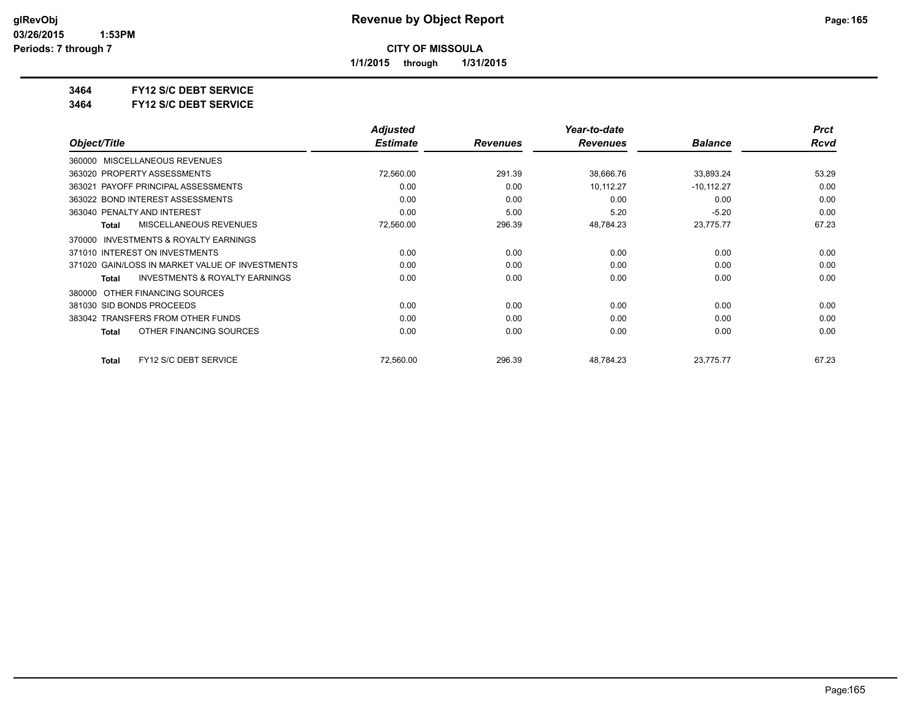**1/1/2015 through 1/31/2015**

**3464 FY12 S/C DEBT SERVICE**

**3464 FY12 S/C DEBT SERVICE**

|                                                    | <b>Adjusted</b> |                 | Year-to-date    |                | <b>Prct</b> |
|----------------------------------------------------|-----------------|-----------------|-----------------|----------------|-------------|
| Object/Title                                       | <b>Estimate</b> | <b>Revenues</b> | <b>Revenues</b> | <b>Balance</b> | <b>Rcvd</b> |
| MISCELLANEOUS REVENUES<br>360000                   |                 |                 |                 |                |             |
| 363020 PROPERTY ASSESSMENTS                        | 72,560.00       | 291.39          | 38,666.76       | 33,893.24      | 53.29       |
| 363021 PAYOFF PRINCIPAL ASSESSMENTS                | 0.00            | 0.00            | 10,112.27       | $-10, 112.27$  | 0.00        |
| 363022 BOND INTEREST ASSESSMENTS                   | 0.00            | 0.00            | 0.00            | 0.00           | 0.00        |
| 363040 PENALTY AND INTEREST                        | 0.00            | 5.00            | 5.20            | $-5.20$        | 0.00        |
| MISCELLANEOUS REVENUES<br>Total                    | 72,560.00       | 296.39          | 48,784.23       | 23,775.77      | 67.23       |
| INVESTMENTS & ROYALTY EARNINGS<br>370000           |                 |                 |                 |                |             |
| 371010 INTEREST ON INVESTMENTS                     | 0.00            | 0.00            | 0.00            | 0.00           | 0.00        |
| 371020 GAIN/LOSS IN MARKET VALUE OF INVESTMENTS    | 0.00            | 0.00            | 0.00            | 0.00           | 0.00        |
| <b>INVESTMENTS &amp; ROYALTY EARNINGS</b><br>Total | 0.00            | 0.00            | 0.00            | 0.00           | 0.00        |
| OTHER FINANCING SOURCES<br>380000                  |                 |                 |                 |                |             |
| 381030 SID BONDS PROCEEDS                          | 0.00            | 0.00            | 0.00            | 0.00           | 0.00        |
| 383042 TRANSFERS FROM OTHER FUNDS                  | 0.00            | 0.00            | 0.00            | 0.00           | 0.00        |
| OTHER FINANCING SOURCES<br>Total                   | 0.00            | 0.00            | 0.00            | 0.00           | 0.00        |
| FY12 S/C DEBT SERVICE<br><b>Total</b>              | 72,560.00       | 296.39          | 48,784.23       | 23,775.77      | 67.23       |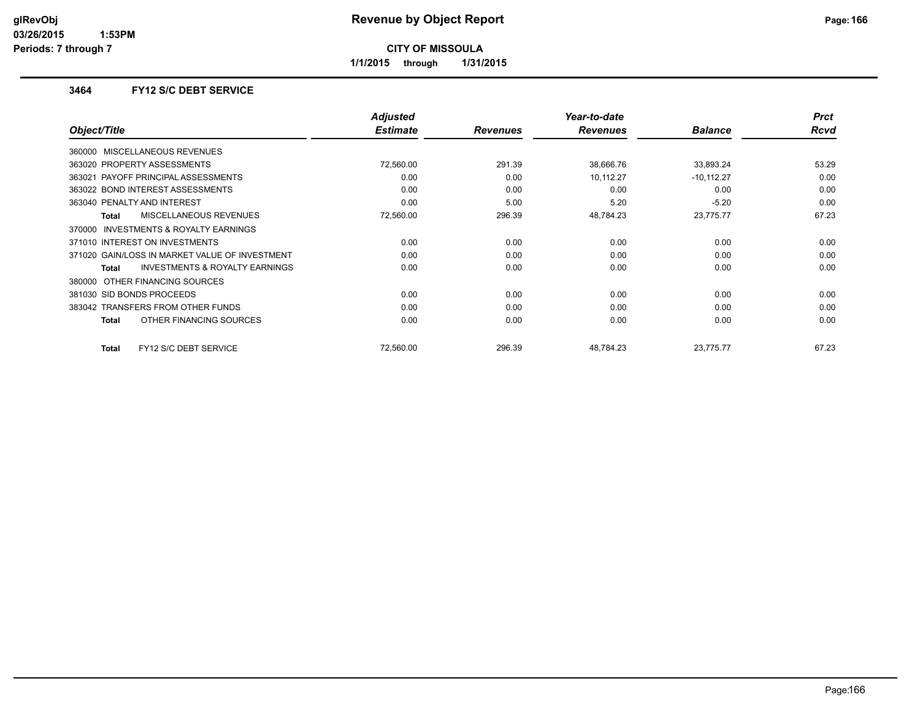**1/1/2015 through 1/31/2015**

### **3464 FY12 S/C DEBT SERVICE**

|                                                           | <b>Adjusted</b> |                 | Year-to-date    |                | <b>Prct</b> |
|-----------------------------------------------------------|-----------------|-----------------|-----------------|----------------|-------------|
| Object/Title                                              | <b>Estimate</b> | <b>Revenues</b> | <b>Revenues</b> | <b>Balance</b> | Rcvd        |
| 360000 MISCELLANEOUS REVENUES                             |                 |                 |                 |                |             |
| 363020 PROPERTY ASSESSMENTS                               | 72,560.00       | 291.39          | 38,666.76       | 33,893.24      | 53.29       |
| 363021 PAYOFF PRINCIPAL ASSESSMENTS                       | 0.00            | 0.00            | 10,112.27       | $-10,112.27$   | 0.00        |
| 363022 BOND INTEREST ASSESSMENTS                          | 0.00            | 0.00            | 0.00            | 0.00           | 0.00        |
| 363040 PENALTY AND INTEREST                               | 0.00            | 5.00            | 5.20            | $-5.20$        | 0.00        |
| <b>MISCELLANEOUS REVENUES</b><br><b>Total</b>             | 72,560.00       | 296.39          | 48,784.23       | 23,775.77      | 67.23       |
| INVESTMENTS & ROYALTY EARNINGS<br>370000                  |                 |                 |                 |                |             |
| 371010 INTEREST ON INVESTMENTS                            | 0.00            | 0.00            | 0.00            | 0.00           | 0.00        |
| 371020 GAIN/LOSS IN MARKET VALUE OF INVESTMENT            | 0.00            | 0.00            | 0.00            | 0.00           | 0.00        |
| <b>INVESTMENTS &amp; ROYALTY EARNINGS</b><br><b>Total</b> | 0.00            | 0.00            | 0.00            | 0.00           | 0.00        |
| 380000 OTHER FINANCING SOURCES                            |                 |                 |                 |                |             |
| 381030 SID BONDS PROCEEDS                                 | 0.00            | 0.00            | 0.00            | 0.00           | 0.00        |
| 383042 TRANSFERS FROM OTHER FUNDS                         | 0.00            | 0.00            | 0.00            | 0.00           | 0.00        |
| OTHER FINANCING SOURCES<br>Total                          | 0.00            | 0.00            | 0.00            | 0.00           | 0.00        |
| FY12 S/C DEBT SERVICE<br><b>Total</b>                     | 72,560.00       | 296.39          | 48,784.23       | 23,775.77      | 67.23       |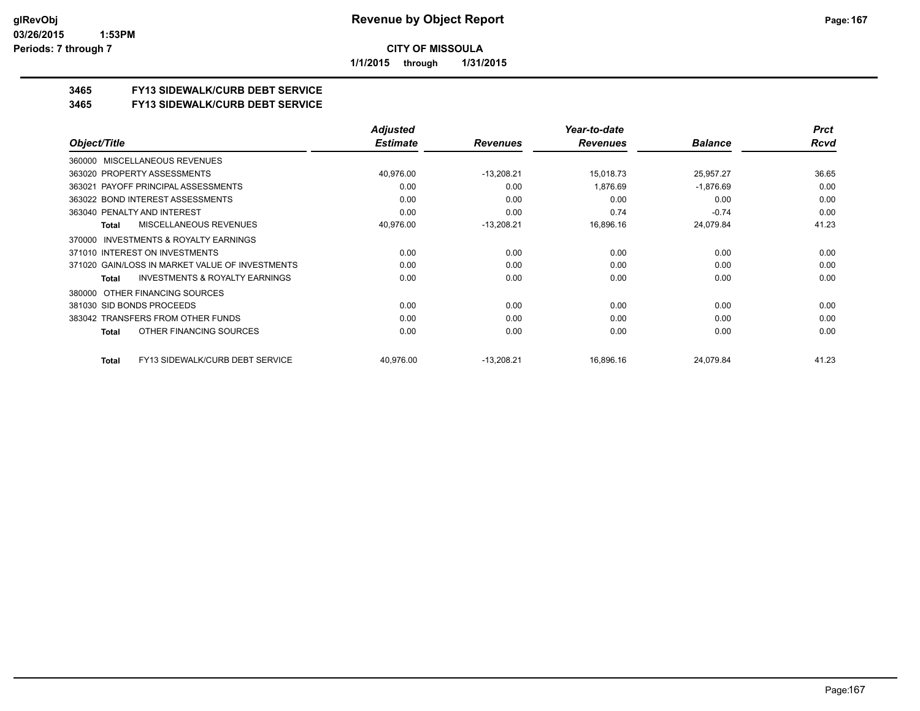**1/1/2015 through 1/31/2015**

# **3465 FY13 SIDEWALK/CURB DEBT SERVICE**

#### **3465 FY13 SIDEWALK/CURB DEBT SERVICE**

|                                                    | <b>Adjusted</b> |                 | Year-to-date    |                | <b>Prct</b> |
|----------------------------------------------------|-----------------|-----------------|-----------------|----------------|-------------|
| Object/Title                                       | <b>Estimate</b> | <b>Revenues</b> | <b>Revenues</b> | <b>Balance</b> | Rcvd        |
| MISCELLANEOUS REVENUES<br>360000                   |                 |                 |                 |                |             |
| 363020 PROPERTY ASSESSMENTS                        | 40,976.00       | $-13,208.21$    | 15,018.73       | 25,957.27      | 36.65       |
| 363021 PAYOFF PRINCIPAL ASSESSMENTS                | 0.00            | 0.00            | 1,876.69        | $-1,876.69$    | 0.00        |
| 363022 BOND INTEREST ASSESSMENTS                   | 0.00            | 0.00            | 0.00            | 0.00           | 0.00        |
| 363040 PENALTY AND INTEREST                        | 0.00            | 0.00            | 0.74            | $-0.74$        | 0.00        |
| <b>MISCELLANEOUS REVENUES</b><br>Total             | 40,976.00       | $-13,208.21$    | 16,896.16       | 24,079.84      | 41.23       |
| INVESTMENTS & ROYALTY EARNINGS<br>370000           |                 |                 |                 |                |             |
| 371010 INTEREST ON INVESTMENTS                     | 0.00            | 0.00            | 0.00            | 0.00           | 0.00        |
| 371020 GAIN/LOSS IN MARKET VALUE OF INVESTMENTS    | 0.00            | 0.00            | 0.00            | 0.00           | 0.00        |
| <b>INVESTMENTS &amp; ROYALTY EARNINGS</b><br>Total | 0.00            | 0.00            | 0.00            | 0.00           | 0.00        |
| 380000 OTHER FINANCING SOURCES                     |                 |                 |                 |                |             |
| 381030 SID BONDS PROCEEDS                          | 0.00            | 0.00            | 0.00            | 0.00           | 0.00        |
| 383042 TRANSFERS FROM OTHER FUNDS                  | 0.00            | 0.00            | 0.00            | 0.00           | 0.00        |
| OTHER FINANCING SOURCES<br>Total                   | 0.00            | 0.00            | 0.00            | 0.00           | 0.00        |
| FY13 SIDEWALK/CURB DEBT SERVICE<br>Total           | 40,976.00       | $-13,208.21$    | 16,896.16       | 24,079.84      | 41.23       |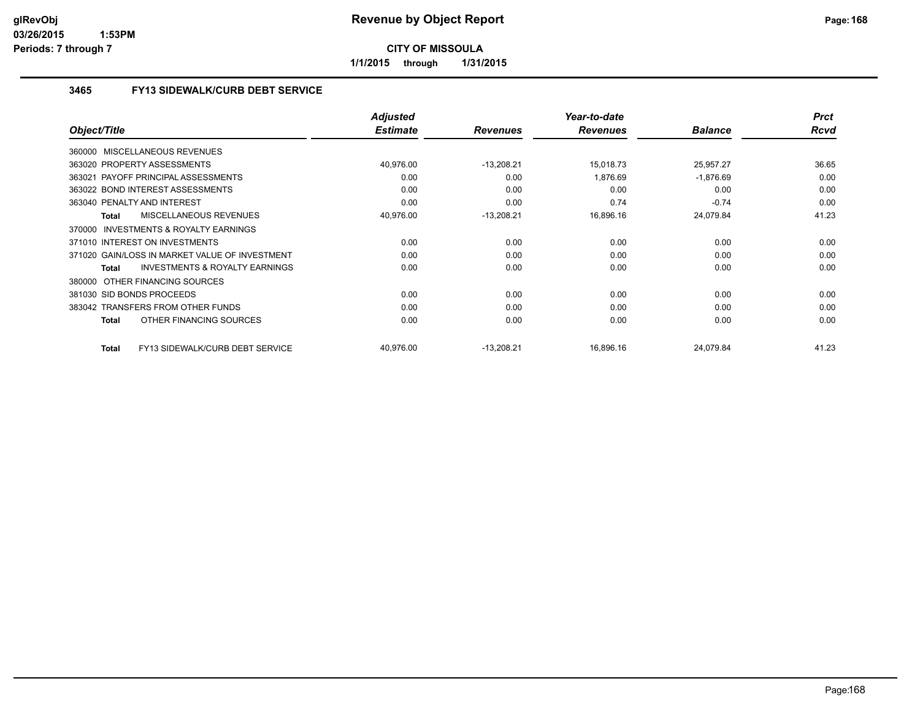**1/1/2015 through 1/31/2015**

# **3465 FY13 SIDEWALK/CURB DEBT SERVICE**

|                                                           | <b>Adjusted</b> |                 | Year-to-date    |                | <b>Prct</b> |
|-----------------------------------------------------------|-----------------|-----------------|-----------------|----------------|-------------|
| Object/Title                                              | <b>Estimate</b> | <b>Revenues</b> | <b>Revenues</b> | <b>Balance</b> | Rcvd        |
| 360000 MISCELLANEOUS REVENUES                             |                 |                 |                 |                |             |
| 363020 PROPERTY ASSESSMENTS                               | 40,976.00       | $-13,208.21$    | 15,018.73       | 25,957.27      | 36.65       |
| 363021 PAYOFF PRINCIPAL ASSESSMENTS                       | 0.00            | 0.00            | 1,876.69        | $-1,876.69$    | 0.00        |
| 363022 BOND INTEREST ASSESSMENTS                          | 0.00            | 0.00            | 0.00            | 0.00           | 0.00        |
| 363040 PENALTY AND INTEREST                               | 0.00            | 0.00            | 0.74            | $-0.74$        | 0.00        |
| MISCELLANEOUS REVENUES<br>Total                           | 40,976.00       | $-13,208.21$    | 16,896.16       | 24,079.84      | 41.23       |
| INVESTMENTS & ROYALTY EARNINGS<br>370000                  |                 |                 |                 |                |             |
| 371010 INTEREST ON INVESTMENTS                            | 0.00            | 0.00            | 0.00            | 0.00           | 0.00        |
| 371020 GAIN/LOSS IN MARKET VALUE OF INVESTMENT            | 0.00            | 0.00            | 0.00            | 0.00           | 0.00        |
| <b>INVESTMENTS &amp; ROYALTY EARNINGS</b><br><b>Total</b> | 0.00            | 0.00            | 0.00            | 0.00           | 0.00        |
| OTHER FINANCING SOURCES<br>380000                         |                 |                 |                 |                |             |
| 381030 SID BONDS PROCEEDS                                 | 0.00            | 0.00            | 0.00            | 0.00           | 0.00        |
| 383042 TRANSFERS FROM OTHER FUNDS                         | 0.00            | 0.00            | 0.00            | 0.00           | 0.00        |
| OTHER FINANCING SOURCES<br><b>Total</b>                   | 0.00            | 0.00            | 0.00            | 0.00           | 0.00        |
| FY13 SIDEWALK/CURB DEBT SERVICE<br>Total                  | 40.976.00       | $-13,208.21$    | 16,896.16       | 24,079.84      | 41.23       |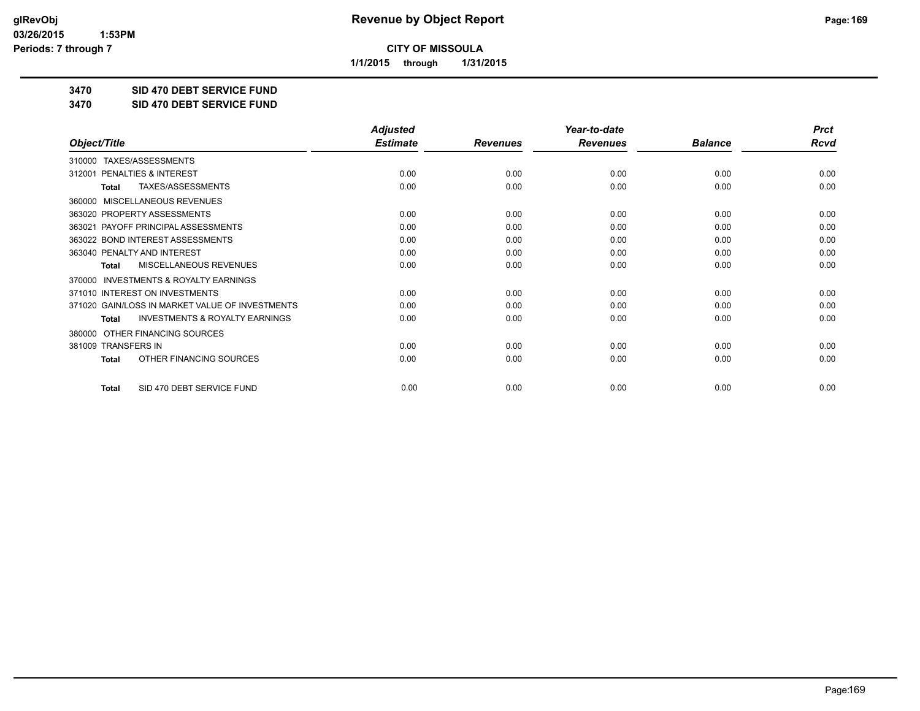**1/1/2015 through 1/31/2015**

**3470 SID 470 DEBT SERVICE FUND**

**3470 SID 470 DEBT SERVICE FUND**

|                                                           | <b>Adjusted</b> |                 | Year-to-date    |                | <b>Prct</b> |
|-----------------------------------------------------------|-----------------|-----------------|-----------------|----------------|-------------|
| Object/Title                                              | <b>Estimate</b> | <b>Revenues</b> | <b>Revenues</b> | <b>Balance</b> | <b>Rcvd</b> |
| TAXES/ASSESSMENTS<br>310000                               |                 |                 |                 |                |             |
| PENALTIES & INTEREST<br>312001                            | 0.00            | 0.00            | 0.00            | 0.00           | 0.00        |
| TAXES/ASSESSMENTS<br>Total                                | 0.00            | 0.00            | 0.00            | 0.00           | 0.00        |
| MISCELLANEOUS REVENUES<br>360000                          |                 |                 |                 |                |             |
| 363020 PROPERTY ASSESSMENTS                               | 0.00            | 0.00            | 0.00            | 0.00           | 0.00        |
| PAYOFF PRINCIPAL ASSESSMENTS<br>363021                    | 0.00            | 0.00            | 0.00            | 0.00           | 0.00        |
| 363022 BOND INTEREST ASSESSMENTS                          | 0.00            | 0.00            | 0.00            | 0.00           | 0.00        |
| 363040 PENALTY AND INTEREST                               | 0.00            | 0.00            | 0.00            | 0.00           | 0.00        |
| MISCELLANEOUS REVENUES<br>Total                           | 0.00            | 0.00            | 0.00            | 0.00           | 0.00        |
| <b>INVESTMENTS &amp; ROYALTY EARNINGS</b><br>370000       |                 |                 |                 |                |             |
| 371010 INTEREST ON INVESTMENTS                            | 0.00            | 0.00            | 0.00            | 0.00           | 0.00        |
| 371020 GAIN/LOSS IN MARKET VALUE OF INVESTMENTS           | 0.00            | 0.00            | 0.00            | 0.00           | 0.00        |
| <b>INVESTMENTS &amp; ROYALTY EARNINGS</b><br><b>Total</b> | 0.00            | 0.00            | 0.00            | 0.00           | 0.00        |
| OTHER FINANCING SOURCES<br>380000                         |                 |                 |                 |                |             |
| 381009 TRANSFERS IN                                       | 0.00            | 0.00            | 0.00            | 0.00           | 0.00        |
| OTHER FINANCING SOURCES<br><b>Total</b>                   | 0.00            | 0.00            | 0.00            | 0.00           | 0.00        |
| SID 470 DEBT SERVICE FUND<br><b>Total</b>                 | 0.00            | 0.00            | 0.00            | 0.00           | 0.00        |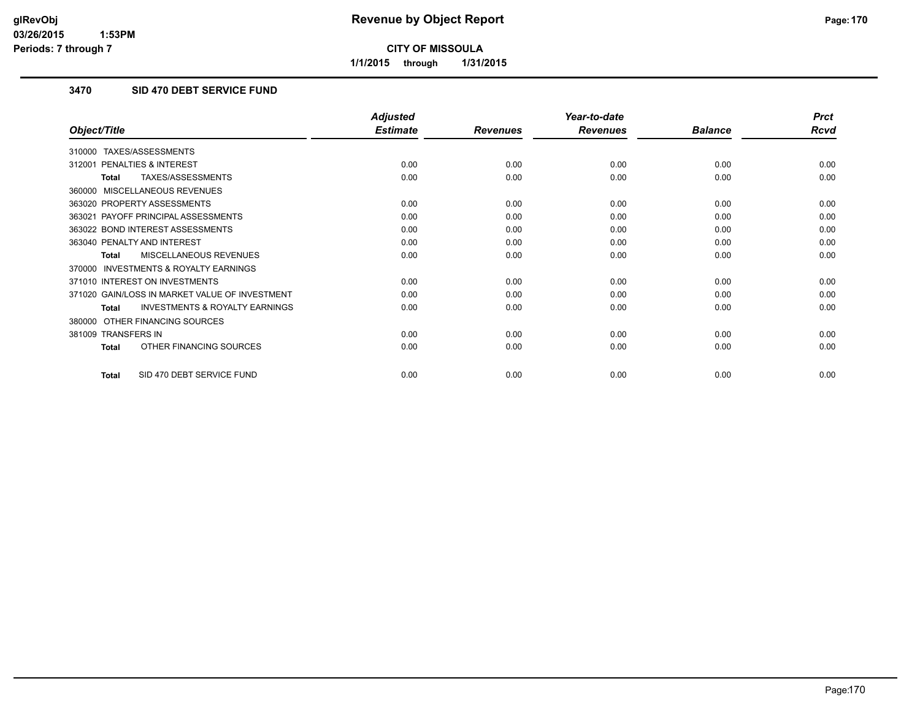**1/1/2015 through 1/31/2015**

# **3470 SID 470 DEBT SERVICE FUND**

|                                                           | <b>Adjusted</b> |                 | Year-to-date    |                | <b>Prct</b> |
|-----------------------------------------------------------|-----------------|-----------------|-----------------|----------------|-------------|
| Object/Title                                              | <b>Estimate</b> | <b>Revenues</b> | <b>Revenues</b> | <b>Balance</b> | <b>Rcvd</b> |
| TAXES/ASSESSMENTS<br>310000                               |                 |                 |                 |                |             |
| <b>PENALTIES &amp; INTEREST</b><br>312001                 | 0.00            | 0.00            | 0.00            | 0.00           | 0.00        |
| TAXES/ASSESSMENTS<br><b>Total</b>                         | 0.00            | 0.00            | 0.00            | 0.00           | 0.00        |
| MISCELLANEOUS REVENUES<br>360000                          |                 |                 |                 |                |             |
| 363020 PROPERTY ASSESSMENTS                               | 0.00            | 0.00            | 0.00            | 0.00           | 0.00        |
| 363021 PAYOFF PRINCIPAL ASSESSMENTS                       | 0.00            | 0.00            | 0.00            | 0.00           | 0.00        |
| 363022 BOND INTEREST ASSESSMENTS                          | 0.00            | 0.00            | 0.00            | 0.00           | 0.00        |
| 363040 PENALTY AND INTEREST                               | 0.00            | 0.00            | 0.00            | 0.00           | 0.00        |
| <b>MISCELLANEOUS REVENUES</b><br><b>Total</b>             | 0.00            | 0.00            | 0.00            | 0.00           | 0.00        |
| <b>INVESTMENTS &amp; ROYALTY EARNINGS</b><br>370000       |                 |                 |                 |                |             |
| 371010 INTEREST ON INVESTMENTS                            | 0.00            | 0.00            | 0.00            | 0.00           | 0.00        |
| 371020 GAIN/LOSS IN MARKET VALUE OF INVESTMENT            | 0.00            | 0.00            | 0.00            | 0.00           | 0.00        |
| <b>INVESTMENTS &amp; ROYALTY EARNINGS</b><br><b>Total</b> | 0.00            | 0.00            | 0.00            | 0.00           | 0.00        |
| OTHER FINANCING SOURCES<br>380000                         |                 |                 |                 |                |             |
| 381009 TRANSFERS IN                                       | 0.00            | 0.00            | 0.00            | 0.00           | 0.00        |
| OTHER FINANCING SOURCES<br><b>Total</b>                   | 0.00            | 0.00            | 0.00            | 0.00           | 0.00        |
| SID 470 DEBT SERVICE FUND<br>Total                        | 0.00            | 0.00            | 0.00            | 0.00           | 0.00        |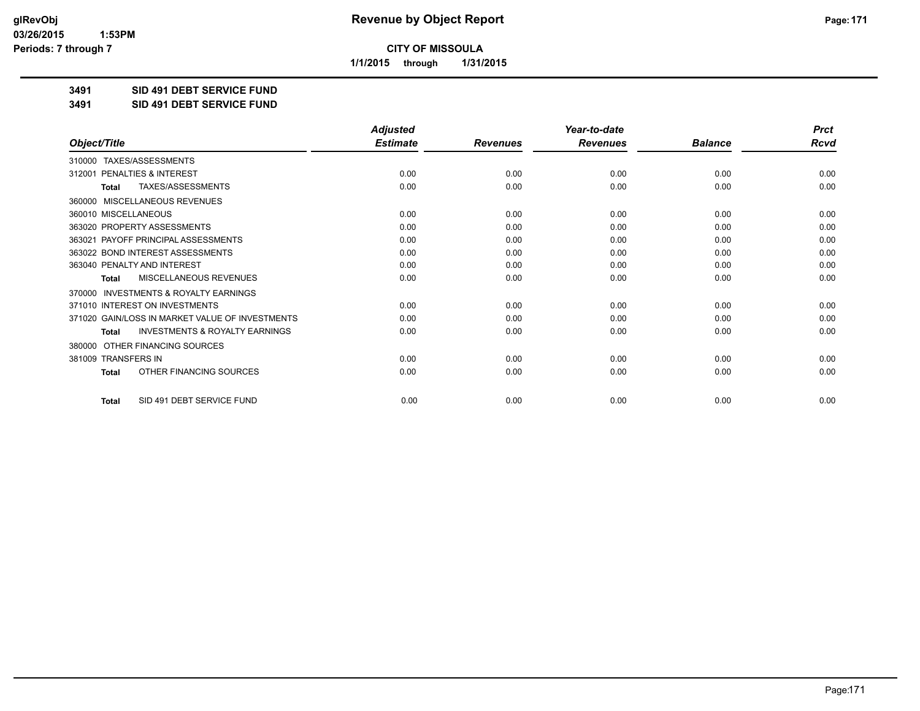**1/1/2015 through 1/31/2015**

**3491 SID 491 DEBT SERVICE FUND**

**3491 SID 491 DEBT SERVICE FUND**

|                                                     | <b>Adjusted</b> |                 | Year-to-date    |                | <b>Prct</b> |
|-----------------------------------------------------|-----------------|-----------------|-----------------|----------------|-------------|
| Object/Title                                        | <b>Estimate</b> | <b>Revenues</b> | <b>Revenues</b> | <b>Balance</b> | <b>Rcvd</b> |
| 310000 TAXES/ASSESSMENTS                            |                 |                 |                 |                |             |
| 312001 PENALTIES & INTEREST                         | 0.00            | 0.00            | 0.00            | 0.00           | 0.00        |
| TAXES/ASSESSMENTS<br><b>Total</b>                   | 0.00            | 0.00            | 0.00            | 0.00           | 0.00        |
| <b>MISCELLANEOUS REVENUES</b><br>360000             |                 |                 |                 |                |             |
| 360010 MISCELLANEOUS                                | 0.00            | 0.00            | 0.00            | 0.00           | 0.00        |
| 363020 PROPERTY ASSESSMENTS                         | 0.00            | 0.00            | 0.00            | 0.00           | 0.00        |
| 363021 PAYOFF PRINCIPAL ASSESSMENTS                 | 0.00            | 0.00            | 0.00            | 0.00           | 0.00        |
| 363022 BOND INTEREST ASSESSMENTS                    | 0.00            | 0.00            | 0.00            | 0.00           | 0.00        |
| 363040 PENALTY AND INTEREST                         | 0.00            | 0.00            | 0.00            | 0.00           | 0.00        |
| MISCELLANEOUS REVENUES<br><b>Total</b>              | 0.00            | 0.00            | 0.00            | 0.00           | 0.00        |
| <b>INVESTMENTS &amp; ROYALTY EARNINGS</b><br>370000 |                 |                 |                 |                |             |
| 371010 INTEREST ON INVESTMENTS                      | 0.00            | 0.00            | 0.00            | 0.00           | 0.00        |
| 371020 GAIN/LOSS IN MARKET VALUE OF INVESTMENTS     | 0.00            | 0.00            | 0.00            | 0.00           | 0.00        |
| <b>INVESTMENTS &amp; ROYALTY EARNINGS</b><br>Total  | 0.00            | 0.00            | 0.00            | 0.00           | 0.00        |
| OTHER FINANCING SOURCES<br>380000                   |                 |                 |                 |                |             |
| 381009 TRANSFERS IN                                 | 0.00            | 0.00            | 0.00            | 0.00           | 0.00        |
| OTHER FINANCING SOURCES<br>Total                    | 0.00            | 0.00            | 0.00            | 0.00           | 0.00        |
| SID 491 DEBT SERVICE FUND<br><b>Total</b>           | 0.00            | 0.00            | 0.00            | 0.00           | 0.00        |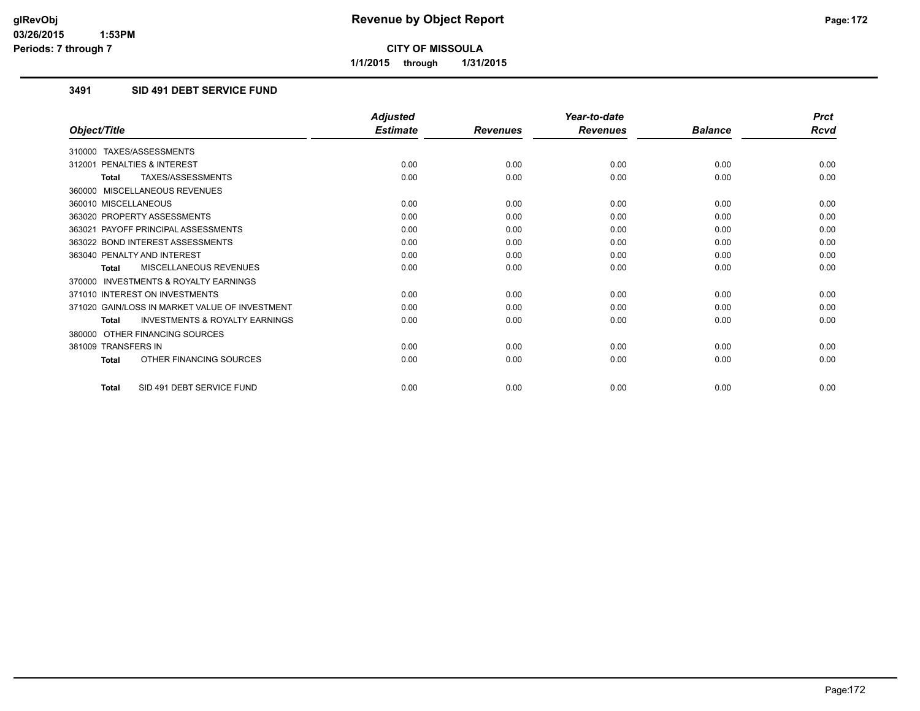**1/1/2015 through 1/31/2015**

# **3491 SID 491 DEBT SERVICE FUND**

|                                                           | <b>Adjusted</b> |                 | Year-to-date    |                | <b>Prct</b> |
|-----------------------------------------------------------|-----------------|-----------------|-----------------|----------------|-------------|
| Object/Title                                              | <b>Estimate</b> | <b>Revenues</b> | <b>Revenues</b> | <b>Balance</b> | <b>Rcvd</b> |
| 310000 TAXES/ASSESSMENTS                                  |                 |                 |                 |                |             |
| PENALTIES & INTEREST<br>312001                            | 0.00            | 0.00            | 0.00            | 0.00           | 0.00        |
| TAXES/ASSESSMENTS<br><b>Total</b>                         | 0.00            | 0.00            | 0.00            | 0.00           | 0.00        |
| 360000 MISCELLANEOUS REVENUES                             |                 |                 |                 |                |             |
| 360010 MISCELLANEOUS                                      | 0.00            | 0.00            | 0.00            | 0.00           | 0.00        |
| 363020 PROPERTY ASSESSMENTS                               | 0.00            | 0.00            | 0.00            | 0.00           | 0.00        |
| 363021 PAYOFF PRINCIPAL ASSESSMENTS                       | 0.00            | 0.00            | 0.00            | 0.00           | 0.00        |
| 363022 BOND INTEREST ASSESSMENTS                          | 0.00            | 0.00            | 0.00            | 0.00           | 0.00        |
| 363040 PENALTY AND INTEREST                               | 0.00            | 0.00            | 0.00            | 0.00           | 0.00        |
| <b>MISCELLANEOUS REVENUES</b><br><b>Total</b>             | 0.00            | 0.00            | 0.00            | 0.00           | 0.00        |
| <b>INVESTMENTS &amp; ROYALTY EARNINGS</b><br>370000       |                 |                 |                 |                |             |
| 371010 INTEREST ON INVESTMENTS                            | 0.00            | 0.00            | 0.00            | 0.00           | 0.00        |
| 371020 GAIN/LOSS IN MARKET VALUE OF INVESTMENT            | 0.00            | 0.00            | 0.00            | 0.00           | 0.00        |
| <b>INVESTMENTS &amp; ROYALTY EARNINGS</b><br><b>Total</b> | 0.00            | 0.00            | 0.00            | 0.00           | 0.00        |
| OTHER FINANCING SOURCES<br>380000                         |                 |                 |                 |                |             |
| 381009 TRANSFERS IN                                       | 0.00            | 0.00            | 0.00            | 0.00           | 0.00        |
| OTHER FINANCING SOURCES<br><b>Total</b>                   | 0.00            | 0.00            | 0.00            | 0.00           | 0.00        |
| SID 491 DEBT SERVICE FUND<br><b>Total</b>                 | 0.00            | 0.00            | 0.00            | 0.00           | 0.00        |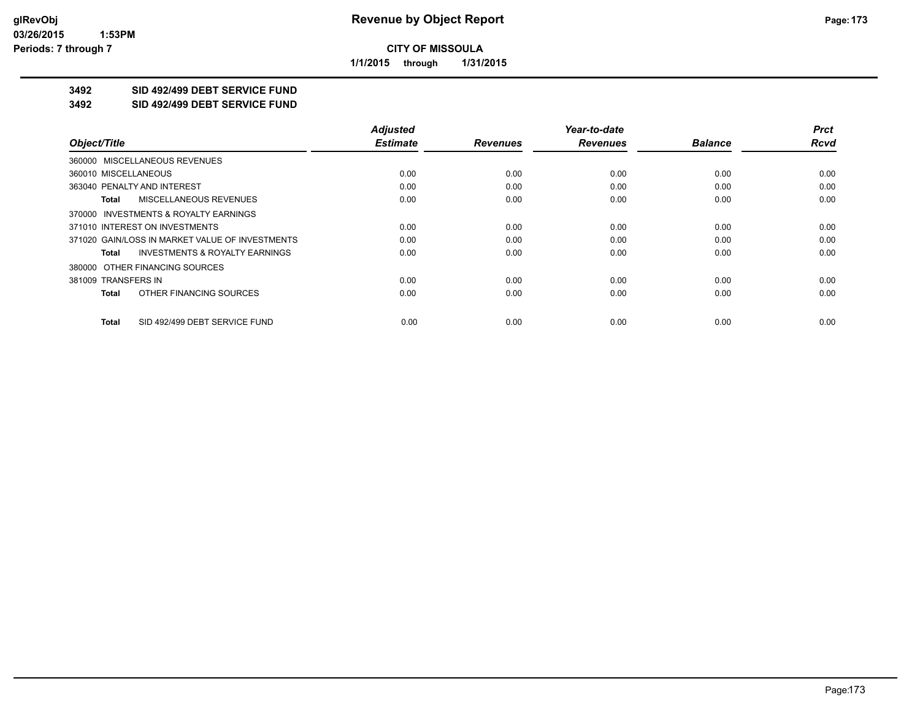**1/1/2015 through 1/31/2015**

# **3492 SID 492/499 DEBT SERVICE FUND**

**3492 SID 492/499 DEBT SERVICE FUND**

|                                                    | <b>Adjusted</b> |                 | Year-to-date    |                | <b>Prct</b> |
|----------------------------------------------------|-----------------|-----------------|-----------------|----------------|-------------|
| Object/Title                                       | <b>Estimate</b> | <b>Revenues</b> | <b>Revenues</b> | <b>Balance</b> | <b>Rcvd</b> |
| 360000 MISCELLANEOUS REVENUES                      |                 |                 |                 |                |             |
| 360010 MISCELLANEOUS                               | 0.00            | 0.00            | 0.00            | 0.00           | 0.00        |
| 363040 PENALTY AND INTEREST                        | 0.00            | 0.00            | 0.00            | 0.00           | 0.00        |
| <b>MISCELLANEOUS REVENUES</b><br>Total             | 0.00            | 0.00            | 0.00            | 0.00           | 0.00        |
| 370000 INVESTMENTS & ROYALTY EARNINGS              |                 |                 |                 |                |             |
| 371010 INTEREST ON INVESTMENTS                     | 0.00            | 0.00            | 0.00            | 0.00           | 0.00        |
| 371020 GAIN/LOSS IN MARKET VALUE OF INVESTMENTS    | 0.00            | 0.00            | 0.00            | 0.00           | 0.00        |
| <b>INVESTMENTS &amp; ROYALTY EARNINGS</b><br>Total | 0.00            | 0.00            | 0.00            | 0.00           | 0.00        |
| 380000 OTHER FINANCING SOURCES                     |                 |                 |                 |                |             |
| 381009 TRANSFERS IN                                | 0.00            | 0.00            | 0.00            | 0.00           | 0.00        |
| OTHER FINANCING SOURCES<br>Total                   | 0.00            | 0.00            | 0.00            | 0.00           | 0.00        |
| SID 492/499 DEBT SERVICE FUND<br>Total             | 0.00            | 0.00            | 0.00            | 0.00           | 0.00        |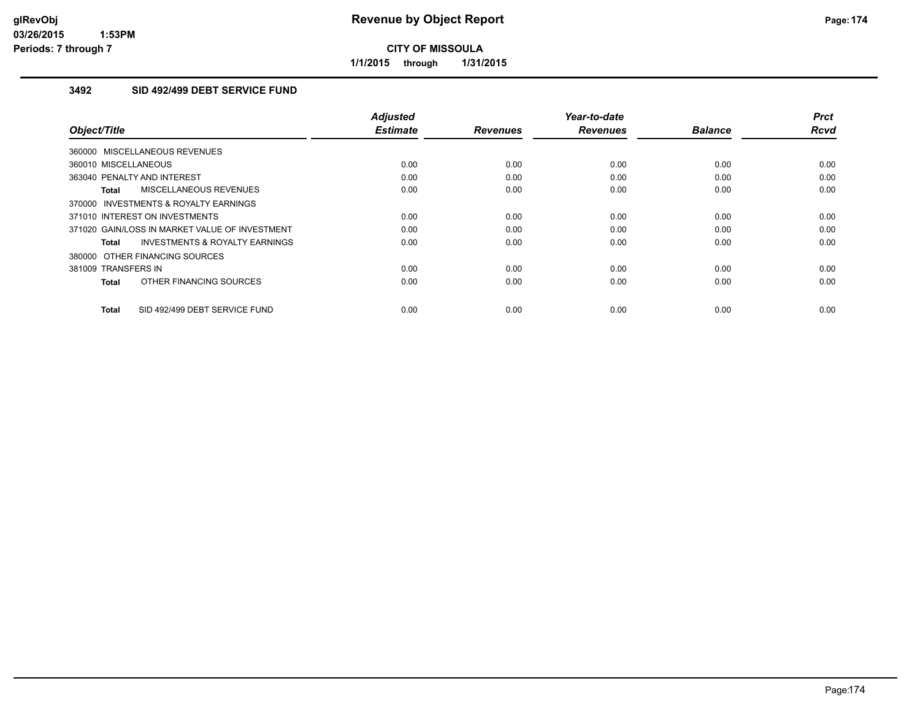**1/1/2015 through 1/31/2015**

# **3492 SID 492/499 DEBT SERVICE FUND**

| Object/Title                                              | <b>Adjusted</b><br><b>Estimate</b> | <b>Revenues</b> | Year-to-date<br><b>Revenues</b> | <b>Balance</b> | <b>Prct</b><br><b>Rcvd</b> |
|-----------------------------------------------------------|------------------------------------|-----------------|---------------------------------|----------------|----------------------------|
| 360000 MISCELLANEOUS REVENUES                             |                                    |                 |                                 |                |                            |
| 360010 MISCELLANEOUS                                      | 0.00                               | 0.00            | 0.00                            | 0.00           | 0.00                       |
| 363040 PENALTY AND INTEREST                               | 0.00                               | 0.00            | 0.00                            | 0.00           | 0.00                       |
| MISCELLANEOUS REVENUES<br>Total                           | 0.00                               | 0.00            | 0.00                            | 0.00           | 0.00                       |
| 370000 INVESTMENTS & ROYALTY EARNINGS                     |                                    |                 |                                 |                |                            |
| 371010 INTEREST ON INVESTMENTS                            | 0.00                               | 0.00            | 0.00                            | 0.00           | 0.00                       |
| 371020 GAIN/LOSS IN MARKET VALUE OF INVESTMENT            | 0.00                               | 0.00            | 0.00                            | 0.00           | 0.00                       |
| <b>INVESTMENTS &amp; ROYALTY EARNINGS</b><br><b>Total</b> | 0.00                               | 0.00            | 0.00                            | 0.00           | 0.00                       |
| 380000 OTHER FINANCING SOURCES                            |                                    |                 |                                 |                |                            |
| 381009 TRANSFERS IN                                       | 0.00                               | 0.00            | 0.00                            | 0.00           | 0.00                       |
| OTHER FINANCING SOURCES<br><b>Total</b>                   | 0.00                               | 0.00            | 0.00                            | 0.00           | 0.00                       |
| SID 492/499 DEBT SERVICE FUND<br><b>Total</b>             | 0.00                               | 0.00            | 0.00                            | 0.00           | 0.00                       |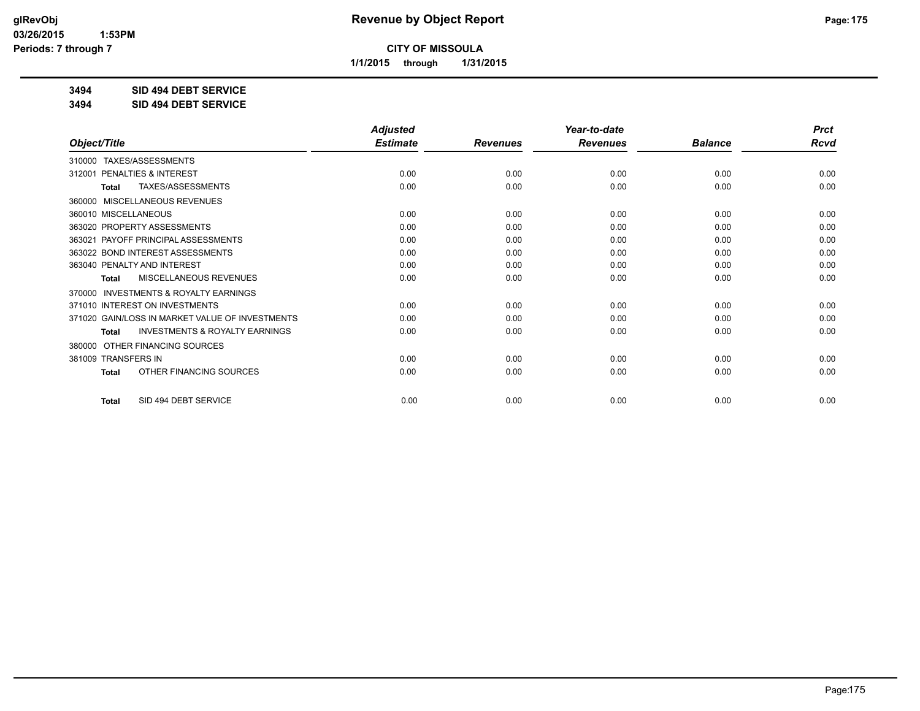**1/1/2015 through 1/31/2015**

**3494 SID 494 DEBT SERVICE**

**3494 SID 494 DEBT SERVICE**

|                                                     | <b>Adjusted</b> |                 | Year-to-date    |                | <b>Prct</b> |
|-----------------------------------------------------|-----------------|-----------------|-----------------|----------------|-------------|
| Object/Title                                        | <b>Estimate</b> | <b>Revenues</b> | <b>Revenues</b> | <b>Balance</b> | <b>Rcvd</b> |
| 310000 TAXES/ASSESSMENTS                            |                 |                 |                 |                |             |
| 312001 PENALTIES & INTEREST                         | 0.00            | 0.00            | 0.00            | 0.00           | 0.00        |
| TAXES/ASSESSMENTS<br><b>Total</b>                   | 0.00            | 0.00            | 0.00            | 0.00           | 0.00        |
| MISCELLANEOUS REVENUES<br>360000                    |                 |                 |                 |                |             |
| 360010 MISCELLANEOUS                                | 0.00            | 0.00            | 0.00            | 0.00           | 0.00        |
| 363020 PROPERTY ASSESSMENTS                         | 0.00            | 0.00            | 0.00            | 0.00           | 0.00        |
| 363021 PAYOFF PRINCIPAL ASSESSMENTS                 | 0.00            | 0.00            | 0.00            | 0.00           | 0.00        |
| 363022 BOND INTEREST ASSESSMENTS                    | 0.00            | 0.00            | 0.00            | 0.00           | 0.00        |
| 363040 PENALTY AND INTEREST                         | 0.00            | 0.00            | 0.00            | 0.00           | 0.00        |
| MISCELLANEOUS REVENUES<br><b>Total</b>              | 0.00            | 0.00            | 0.00            | 0.00           | 0.00        |
| <b>INVESTMENTS &amp; ROYALTY EARNINGS</b><br>370000 |                 |                 |                 |                |             |
| 371010 INTEREST ON INVESTMENTS                      | 0.00            | 0.00            | 0.00            | 0.00           | 0.00        |
| 371020 GAIN/LOSS IN MARKET VALUE OF INVESTMENTS     | 0.00            | 0.00            | 0.00            | 0.00           | 0.00        |
| <b>INVESTMENTS &amp; ROYALTY EARNINGS</b><br>Total  | 0.00            | 0.00            | 0.00            | 0.00           | 0.00        |
| OTHER FINANCING SOURCES<br>380000                   |                 |                 |                 |                |             |
| 381009 TRANSFERS IN                                 | 0.00            | 0.00            | 0.00            | 0.00           | 0.00        |
| OTHER FINANCING SOURCES<br><b>Total</b>             | 0.00            | 0.00            | 0.00            | 0.00           | 0.00        |
| SID 494 DEBT SERVICE<br><b>Total</b>                | 0.00            | 0.00            | 0.00            | 0.00           | 0.00        |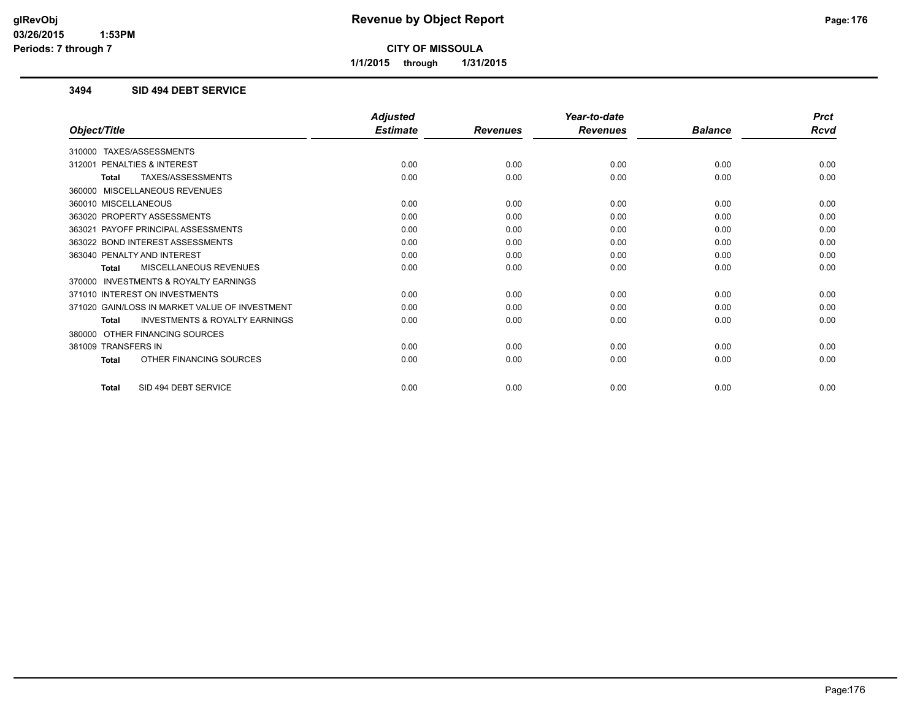**1/1/2015 through 1/31/2015**

### **3494 SID 494 DEBT SERVICE**

|                                                           | <b>Adjusted</b> |                 | Year-to-date    |                | <b>Prct</b> |
|-----------------------------------------------------------|-----------------|-----------------|-----------------|----------------|-------------|
| Object/Title                                              | <b>Estimate</b> | <b>Revenues</b> | <b>Revenues</b> | <b>Balance</b> | <b>Rcvd</b> |
| 310000 TAXES/ASSESSMENTS                                  |                 |                 |                 |                |             |
| PENALTIES & INTEREST<br>312001                            | 0.00            | 0.00            | 0.00            | 0.00           | 0.00        |
| TAXES/ASSESSMENTS<br>Total                                | 0.00            | 0.00            | 0.00            | 0.00           | 0.00        |
| 360000 MISCELLANEOUS REVENUES                             |                 |                 |                 |                |             |
| 360010 MISCELLANEOUS                                      | 0.00            | 0.00            | 0.00            | 0.00           | 0.00        |
| 363020 PROPERTY ASSESSMENTS                               | 0.00            | 0.00            | 0.00            | 0.00           | 0.00        |
| 363021 PAYOFF PRINCIPAL ASSESSMENTS                       | 0.00            | 0.00            | 0.00            | 0.00           | 0.00        |
| 363022 BOND INTEREST ASSESSMENTS                          | 0.00            | 0.00            | 0.00            | 0.00           | 0.00        |
| 363040 PENALTY AND INTEREST                               | 0.00            | 0.00            | 0.00            | 0.00           | 0.00        |
| MISCELLANEOUS REVENUES<br>Total                           | 0.00            | 0.00            | 0.00            | 0.00           | 0.00        |
| 370000 INVESTMENTS & ROYALTY EARNINGS                     |                 |                 |                 |                |             |
| 371010 INTEREST ON INVESTMENTS                            | 0.00            | 0.00            | 0.00            | 0.00           | 0.00        |
| 371020 GAIN/LOSS IN MARKET VALUE OF INVESTMENT            | 0.00            | 0.00            | 0.00            | 0.00           | 0.00        |
| <b>INVESTMENTS &amp; ROYALTY EARNINGS</b><br><b>Total</b> | 0.00            | 0.00            | 0.00            | 0.00           | 0.00        |
| 380000 OTHER FINANCING SOURCES                            |                 |                 |                 |                |             |
| 381009 TRANSFERS IN                                       | 0.00            | 0.00            | 0.00            | 0.00           | 0.00        |
| OTHER FINANCING SOURCES<br>Total                          | 0.00            | 0.00            | 0.00            | 0.00           | 0.00        |
|                                                           |                 |                 |                 |                |             |
| SID 494 DEBT SERVICE<br><b>Total</b>                      | 0.00            | 0.00            | 0.00            | 0.00           | 0.00        |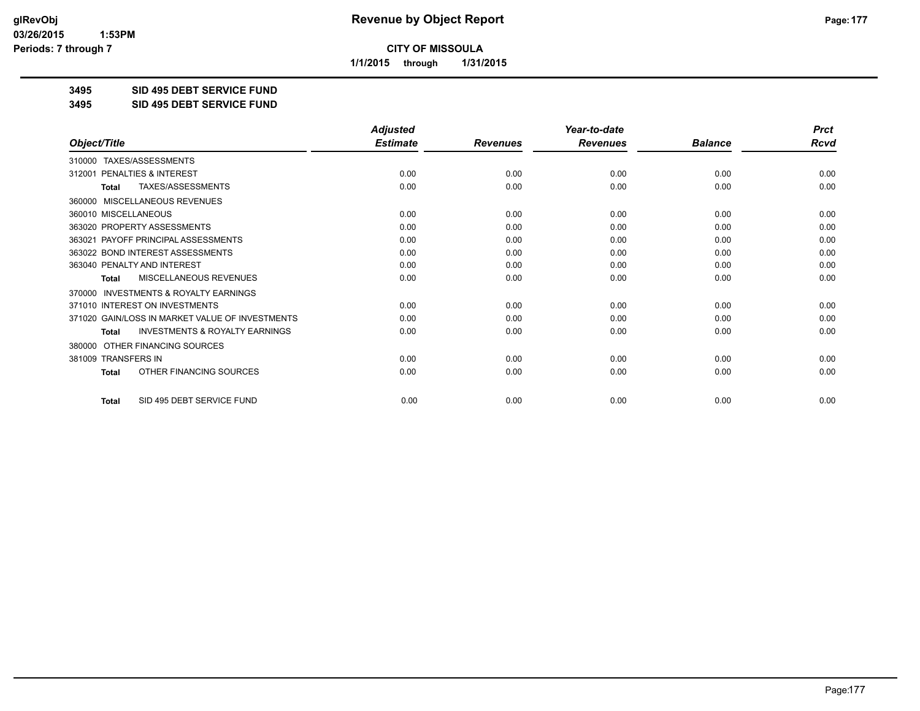**1/1/2015 through 1/31/2015**

**3495 SID 495 DEBT SERVICE FUND**

**3495 SID 495 DEBT SERVICE FUND**

|                                                     | <b>Adjusted</b> |                 | Year-to-date    |                | <b>Prct</b> |
|-----------------------------------------------------|-----------------|-----------------|-----------------|----------------|-------------|
| Object/Title                                        | <b>Estimate</b> | <b>Revenues</b> | <b>Revenues</b> | <b>Balance</b> | <b>Rcvd</b> |
| 310000 TAXES/ASSESSMENTS                            |                 |                 |                 |                |             |
| 312001 PENALTIES & INTEREST                         | 0.00            | 0.00            | 0.00            | 0.00           | 0.00        |
| TAXES/ASSESSMENTS<br><b>Total</b>                   | 0.00            | 0.00            | 0.00            | 0.00           | 0.00        |
| <b>MISCELLANEOUS REVENUES</b><br>360000             |                 |                 |                 |                |             |
| 360010 MISCELLANEOUS                                | 0.00            | 0.00            | 0.00            | 0.00           | 0.00        |
| 363020 PROPERTY ASSESSMENTS                         | 0.00            | 0.00            | 0.00            | 0.00           | 0.00        |
| 363021 PAYOFF PRINCIPAL ASSESSMENTS                 | 0.00            | 0.00            | 0.00            | 0.00           | 0.00        |
| 363022 BOND INTEREST ASSESSMENTS                    | 0.00            | 0.00            | 0.00            | 0.00           | 0.00        |
| 363040 PENALTY AND INTEREST                         | 0.00            | 0.00            | 0.00            | 0.00           | 0.00        |
| MISCELLANEOUS REVENUES<br><b>Total</b>              | 0.00            | 0.00            | 0.00            | 0.00           | 0.00        |
| <b>INVESTMENTS &amp; ROYALTY EARNINGS</b><br>370000 |                 |                 |                 |                |             |
| 371010 INTEREST ON INVESTMENTS                      | 0.00            | 0.00            | 0.00            | 0.00           | 0.00        |
| 371020 GAIN/LOSS IN MARKET VALUE OF INVESTMENTS     | 0.00            | 0.00            | 0.00            | 0.00           | 0.00        |
| <b>INVESTMENTS &amp; ROYALTY EARNINGS</b><br>Total  | 0.00            | 0.00            | 0.00            | 0.00           | 0.00        |
| OTHER FINANCING SOURCES<br>380000                   |                 |                 |                 |                |             |
| 381009 TRANSFERS IN                                 | 0.00            | 0.00            | 0.00            | 0.00           | 0.00        |
| OTHER FINANCING SOURCES<br>Total                    | 0.00            | 0.00            | 0.00            | 0.00           | 0.00        |
| SID 495 DEBT SERVICE FUND<br><b>Total</b>           | 0.00            | 0.00            | 0.00            | 0.00           | 0.00        |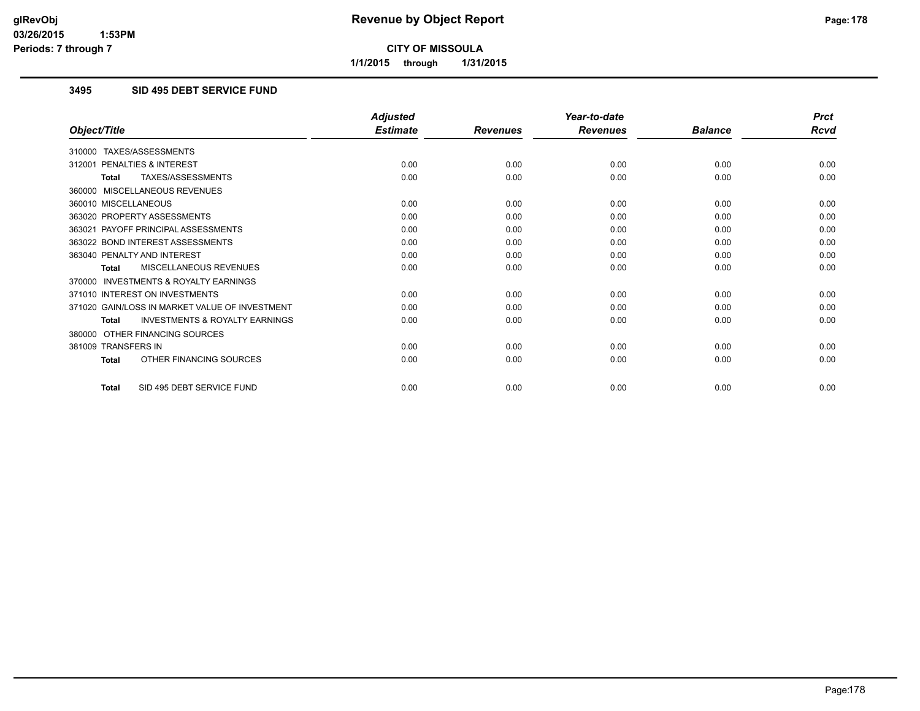**1/1/2015 through 1/31/2015**

# **3495 SID 495 DEBT SERVICE FUND**

|                                                           | <b>Adjusted</b> |                 | Year-to-date    |                | <b>Prct</b> |
|-----------------------------------------------------------|-----------------|-----------------|-----------------|----------------|-------------|
| Object/Title                                              | <b>Estimate</b> | <b>Revenues</b> | <b>Revenues</b> | <b>Balance</b> | <b>Rcvd</b> |
| 310000 TAXES/ASSESSMENTS                                  |                 |                 |                 |                |             |
| PENALTIES & INTEREST<br>312001                            | 0.00            | 0.00            | 0.00            | 0.00           | 0.00        |
| TAXES/ASSESSMENTS<br><b>Total</b>                         | 0.00            | 0.00            | 0.00            | 0.00           | 0.00        |
| 360000 MISCELLANEOUS REVENUES                             |                 |                 |                 |                |             |
| 360010 MISCELLANEOUS                                      | 0.00            | 0.00            | 0.00            | 0.00           | 0.00        |
| 363020 PROPERTY ASSESSMENTS                               | 0.00            | 0.00            | 0.00            | 0.00           | 0.00        |
| 363021 PAYOFF PRINCIPAL ASSESSMENTS                       | 0.00            | 0.00            | 0.00            | 0.00           | 0.00        |
| 363022 BOND INTEREST ASSESSMENTS                          | 0.00            | 0.00            | 0.00            | 0.00           | 0.00        |
| 363040 PENALTY AND INTEREST                               | 0.00            | 0.00            | 0.00            | 0.00           | 0.00        |
| <b>MISCELLANEOUS REVENUES</b><br><b>Total</b>             | 0.00            | 0.00            | 0.00            | 0.00           | 0.00        |
| <b>INVESTMENTS &amp; ROYALTY EARNINGS</b><br>370000       |                 |                 |                 |                |             |
| 371010 INTEREST ON INVESTMENTS                            | 0.00            | 0.00            | 0.00            | 0.00           | 0.00        |
| 371020 GAIN/LOSS IN MARKET VALUE OF INVESTMENT            | 0.00            | 0.00            | 0.00            | 0.00           | 0.00        |
| <b>INVESTMENTS &amp; ROYALTY EARNINGS</b><br><b>Total</b> | 0.00            | 0.00            | 0.00            | 0.00           | 0.00        |
| OTHER FINANCING SOURCES<br>380000                         |                 |                 |                 |                |             |
| 381009 TRANSFERS IN                                       | 0.00            | 0.00            | 0.00            | 0.00           | 0.00        |
| OTHER FINANCING SOURCES<br><b>Total</b>                   | 0.00            | 0.00            | 0.00            | 0.00           | 0.00        |
| SID 495 DEBT SERVICE FUND<br><b>Total</b>                 | 0.00            | 0.00            | 0.00            | 0.00           | 0.00        |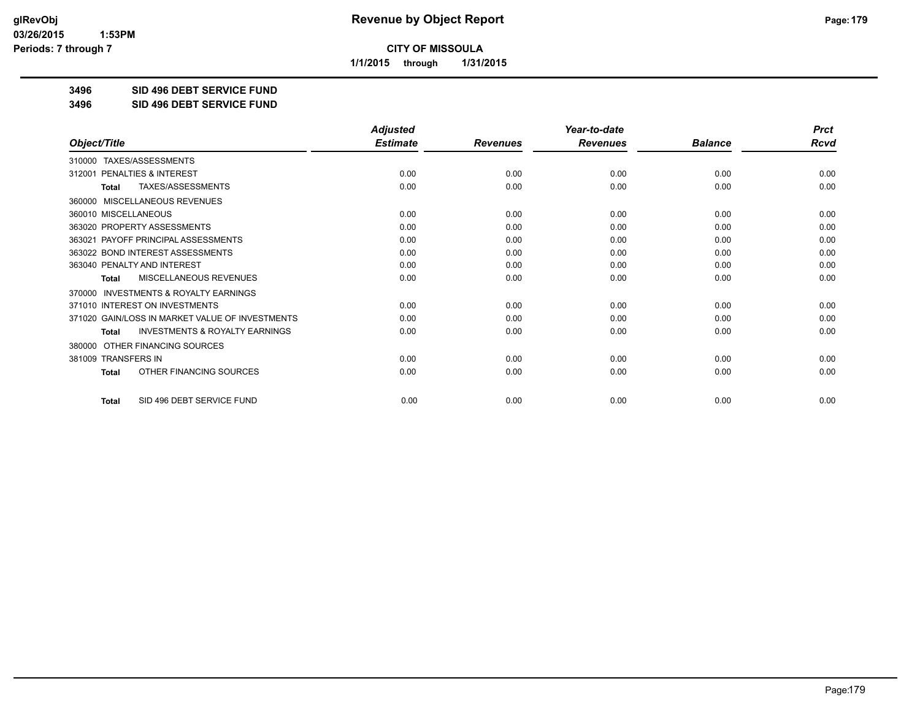**1/1/2015 through 1/31/2015**

**3496 SID 496 DEBT SERVICE FUND**

**3496 SID 496 DEBT SERVICE FUND**

|                                                           | <b>Adjusted</b> |                 | Year-to-date    |                | <b>Prct</b> |
|-----------------------------------------------------------|-----------------|-----------------|-----------------|----------------|-------------|
| Object/Title                                              | <b>Estimate</b> | <b>Revenues</b> | <b>Revenues</b> | <b>Balance</b> | <b>Rcvd</b> |
| 310000 TAXES/ASSESSMENTS                                  |                 |                 |                 |                |             |
| PENALTIES & INTEREST<br>312001                            | 0.00            | 0.00            | 0.00            | 0.00           | 0.00        |
| TAXES/ASSESSMENTS<br><b>Total</b>                         | 0.00            | 0.00            | 0.00            | 0.00           | 0.00        |
| MISCELLANEOUS REVENUES<br>360000                          |                 |                 |                 |                |             |
| 360010 MISCELLANEOUS                                      | 0.00            | 0.00            | 0.00            | 0.00           | 0.00        |
| 363020 PROPERTY ASSESSMENTS                               | 0.00            | 0.00            | 0.00            | 0.00           | 0.00        |
| 363021 PAYOFF PRINCIPAL ASSESSMENTS                       | 0.00            | 0.00            | 0.00            | 0.00           | 0.00        |
| 363022 BOND INTEREST ASSESSMENTS                          | 0.00            | 0.00            | 0.00            | 0.00           | 0.00        |
| 363040 PENALTY AND INTEREST                               | 0.00            | 0.00            | 0.00            | 0.00           | 0.00        |
| MISCELLANEOUS REVENUES<br>Total                           | 0.00            | 0.00            | 0.00            | 0.00           | 0.00        |
| <b>INVESTMENTS &amp; ROYALTY EARNINGS</b><br>370000       |                 |                 |                 |                |             |
| 371010 INTEREST ON INVESTMENTS                            | 0.00            | 0.00            | 0.00            | 0.00           | 0.00        |
| 371020 GAIN/LOSS IN MARKET VALUE OF INVESTMENTS           | 0.00            | 0.00            | 0.00            | 0.00           | 0.00        |
| <b>INVESTMENTS &amp; ROYALTY EARNINGS</b><br><b>Total</b> | 0.00            | 0.00            | 0.00            | 0.00           | 0.00        |
| OTHER FINANCING SOURCES<br>380000                         |                 |                 |                 |                |             |
| 381009 TRANSFERS IN                                       | 0.00            | 0.00            | 0.00            | 0.00           | 0.00        |
| OTHER FINANCING SOURCES<br><b>Total</b>                   | 0.00            | 0.00            | 0.00            | 0.00           | 0.00        |
| SID 496 DEBT SERVICE FUND<br><b>Total</b>                 | 0.00            | 0.00            | 0.00            | 0.00           | 0.00        |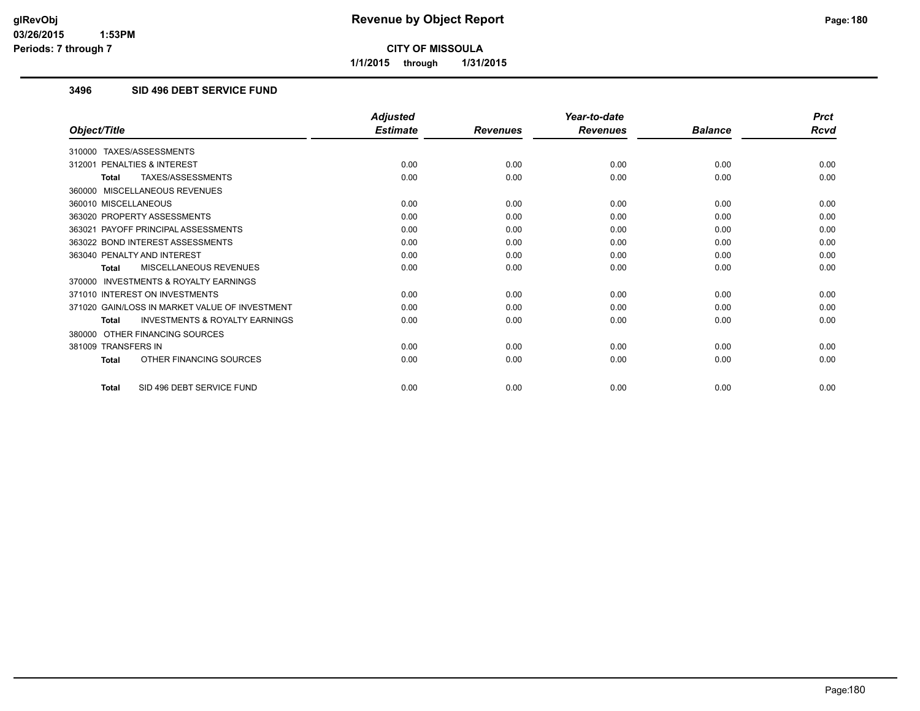**1/1/2015 through 1/31/2015**

# **3496 SID 496 DEBT SERVICE FUND**

|                                                           | <b>Adjusted</b> |                 | Year-to-date    |                | <b>Prct</b> |
|-----------------------------------------------------------|-----------------|-----------------|-----------------|----------------|-------------|
| Object/Title                                              | <b>Estimate</b> | <b>Revenues</b> | <b>Revenues</b> | <b>Balance</b> | <b>Rcvd</b> |
| 310000 TAXES/ASSESSMENTS                                  |                 |                 |                 |                |             |
| PENALTIES & INTEREST<br>312001                            | 0.00            | 0.00            | 0.00            | 0.00           | 0.00        |
| TAXES/ASSESSMENTS<br><b>Total</b>                         | 0.00            | 0.00            | 0.00            | 0.00           | 0.00        |
| 360000 MISCELLANEOUS REVENUES                             |                 |                 |                 |                |             |
| 360010 MISCELLANEOUS                                      | 0.00            | 0.00            | 0.00            | 0.00           | 0.00        |
| 363020 PROPERTY ASSESSMENTS                               | 0.00            | 0.00            | 0.00            | 0.00           | 0.00        |
| 363021 PAYOFF PRINCIPAL ASSESSMENTS                       | 0.00            | 0.00            | 0.00            | 0.00           | 0.00        |
| 363022 BOND INTEREST ASSESSMENTS                          | 0.00            | 0.00            | 0.00            | 0.00           | 0.00        |
| 363040 PENALTY AND INTEREST                               | 0.00            | 0.00            | 0.00            | 0.00           | 0.00        |
| <b>MISCELLANEOUS REVENUES</b><br><b>Total</b>             | 0.00            | 0.00            | 0.00            | 0.00           | 0.00        |
| <b>INVESTMENTS &amp; ROYALTY EARNINGS</b><br>370000       |                 |                 |                 |                |             |
| 371010 INTEREST ON INVESTMENTS                            | 0.00            | 0.00            | 0.00            | 0.00           | 0.00        |
| 371020 GAIN/LOSS IN MARKET VALUE OF INVESTMENT            | 0.00            | 0.00            | 0.00            | 0.00           | 0.00        |
| <b>INVESTMENTS &amp; ROYALTY EARNINGS</b><br><b>Total</b> | 0.00            | 0.00            | 0.00            | 0.00           | 0.00        |
| OTHER FINANCING SOURCES<br>380000                         |                 |                 |                 |                |             |
| 381009 TRANSFERS IN                                       | 0.00            | 0.00            | 0.00            | 0.00           | 0.00        |
| OTHER FINANCING SOURCES<br><b>Total</b>                   | 0.00            | 0.00            | 0.00            | 0.00           | 0.00        |
| SID 496 DEBT SERVICE FUND<br><b>Total</b>                 | 0.00            | 0.00            | 0.00            | 0.00           | 0.00        |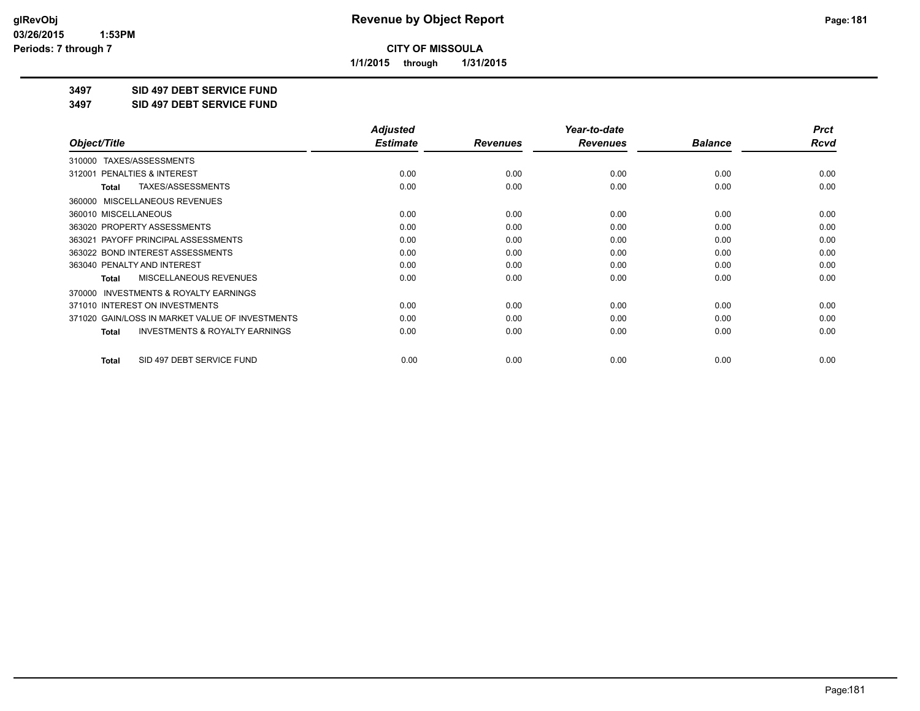**1/1/2015 through 1/31/2015**

**3497 SID 497 DEBT SERVICE FUND**

**3497 SID 497 DEBT SERVICE FUND**

|                                                     | <b>Adjusted</b> |                 | Year-to-date    |                | <b>Prct</b> |
|-----------------------------------------------------|-----------------|-----------------|-----------------|----------------|-------------|
| Object/Title                                        | <b>Estimate</b> | <b>Revenues</b> | <b>Revenues</b> | <b>Balance</b> | Rcvd        |
| TAXES/ASSESSMENTS<br>310000                         |                 |                 |                 |                |             |
| <b>PENALTIES &amp; INTEREST</b><br>312001           | 0.00            | 0.00            | 0.00            | 0.00           | 0.00        |
| TAXES/ASSESSMENTS<br>Total                          | 0.00            | 0.00            | 0.00            | 0.00           | 0.00        |
| 360000 MISCELLANEOUS REVENUES                       |                 |                 |                 |                |             |
| 360010 MISCELLANEOUS                                | 0.00            | 0.00            | 0.00            | 0.00           | 0.00        |
| 363020 PROPERTY ASSESSMENTS                         | 0.00            | 0.00            | 0.00            | 0.00           | 0.00        |
| 363021 PAYOFF PRINCIPAL ASSESSMENTS                 | 0.00            | 0.00            | 0.00            | 0.00           | 0.00        |
| 363022 BOND INTEREST ASSESSMENTS                    | 0.00            | 0.00            | 0.00            | 0.00           | 0.00        |
| 363040 PENALTY AND INTEREST                         | 0.00            | 0.00            | 0.00            | 0.00           | 0.00        |
| <b>MISCELLANEOUS REVENUES</b><br>Total              | 0.00            | 0.00            | 0.00            | 0.00           | 0.00        |
| <b>INVESTMENTS &amp; ROYALTY EARNINGS</b><br>370000 |                 |                 |                 |                |             |
| 371010 INTEREST ON INVESTMENTS                      | 0.00            | 0.00            | 0.00            | 0.00           | 0.00        |
| 371020 GAIN/LOSS IN MARKET VALUE OF INVESTMENTS     | 0.00            | 0.00            | 0.00            | 0.00           | 0.00        |
| <b>INVESTMENTS &amp; ROYALTY EARNINGS</b><br>Total  | 0.00            | 0.00            | 0.00            | 0.00           | 0.00        |
| SID 497 DEBT SERVICE FUND<br><b>Total</b>           | 0.00            | 0.00            | 0.00            | 0.00           | 0.00        |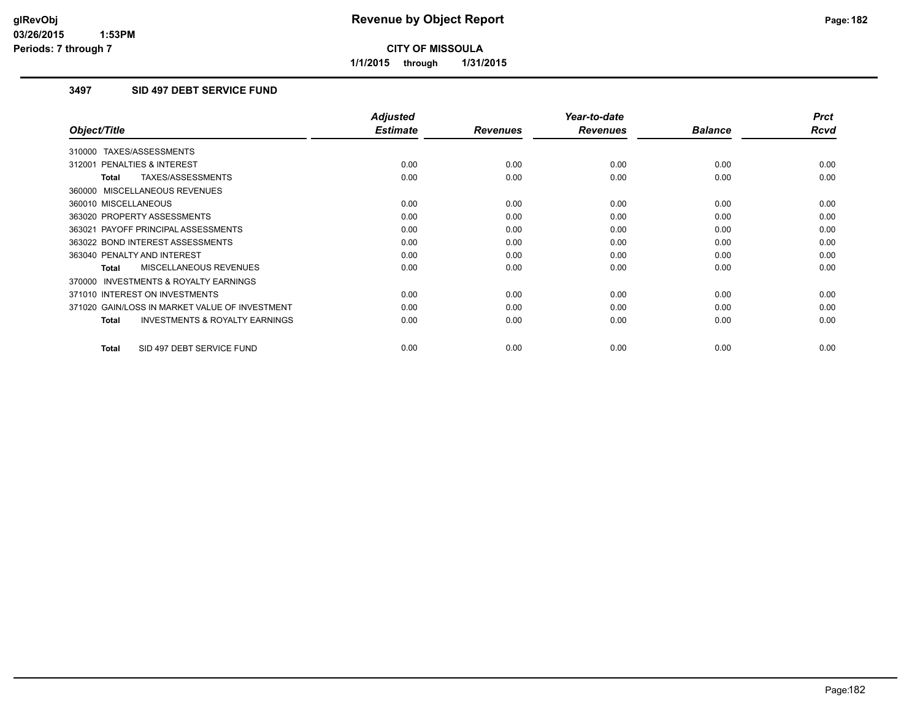**1/1/2015 through 1/31/2015**

# **3497 SID 497 DEBT SERVICE FUND**

|                                                           | <b>Adjusted</b> |                 | Year-to-date    |                | <b>Prct</b> |
|-----------------------------------------------------------|-----------------|-----------------|-----------------|----------------|-------------|
| Object/Title                                              | <b>Estimate</b> | <b>Revenues</b> | <b>Revenues</b> | <b>Balance</b> | <b>Rcvd</b> |
| 310000 TAXES/ASSESSMENTS                                  |                 |                 |                 |                |             |
| 312001 PENALTIES & INTEREST                               | 0.00            | 0.00            | 0.00            | 0.00           | 0.00        |
| TAXES/ASSESSMENTS<br><b>Total</b>                         | 0.00            | 0.00            | 0.00            | 0.00           | 0.00        |
| 360000 MISCELLANEOUS REVENUES                             |                 |                 |                 |                |             |
| 360010 MISCELLANEOUS                                      | 0.00            | 0.00            | 0.00            | 0.00           | 0.00        |
| 363020 PROPERTY ASSESSMENTS                               | 0.00            | 0.00            | 0.00            | 0.00           | 0.00        |
| 363021 PAYOFF PRINCIPAL ASSESSMENTS                       | 0.00            | 0.00            | 0.00            | 0.00           | 0.00        |
| 363022 BOND INTEREST ASSESSMENTS                          | 0.00            | 0.00            | 0.00            | 0.00           | 0.00        |
| 363040 PENALTY AND INTEREST                               | 0.00            | 0.00            | 0.00            | 0.00           | 0.00        |
| <b>MISCELLANEOUS REVENUES</b><br><b>Total</b>             | 0.00            | 0.00            | 0.00            | 0.00           | 0.00        |
| <b>INVESTMENTS &amp; ROYALTY EARNINGS</b><br>370000       |                 |                 |                 |                |             |
| 371010 INTEREST ON INVESTMENTS                            | 0.00            | 0.00            | 0.00            | 0.00           | 0.00        |
| 371020 GAIN/LOSS IN MARKET VALUE OF INVESTMENT            | 0.00            | 0.00            | 0.00            | 0.00           | 0.00        |
| <b>INVESTMENTS &amp; ROYALTY EARNINGS</b><br><b>Total</b> | 0.00            | 0.00            | 0.00            | 0.00           | 0.00        |
| SID 497 DEBT SERVICE FUND<br><b>Total</b>                 | 0.00            | 0.00            | 0.00            | 0.00           | 0.00        |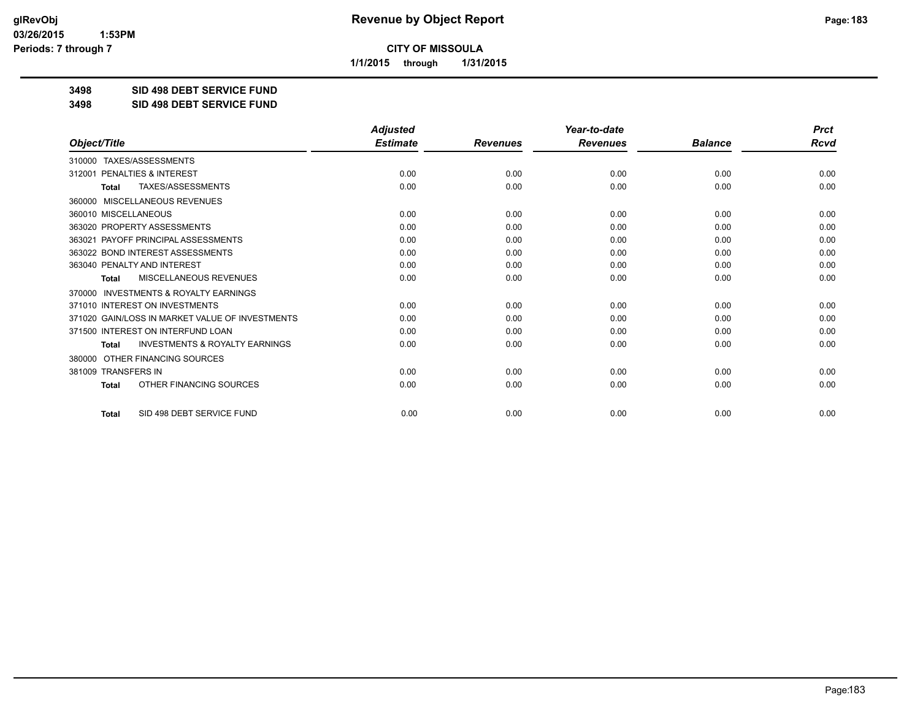**1/1/2015 through 1/31/2015**

**3498 SID 498 DEBT SERVICE FUND**

**3498 SID 498 DEBT SERVICE FUND**

|                                                           | <b>Adjusted</b> |                 | Year-to-date    |                | <b>Prct</b> |
|-----------------------------------------------------------|-----------------|-----------------|-----------------|----------------|-------------|
| Object/Title                                              | <b>Estimate</b> | <b>Revenues</b> | <b>Revenues</b> | <b>Balance</b> | Rcvd        |
| 310000 TAXES/ASSESSMENTS                                  |                 |                 |                 |                |             |
| PENALTIES & INTEREST<br>312001                            | 0.00            | 0.00            | 0.00            | 0.00           | 0.00        |
| TAXES/ASSESSMENTS<br><b>Total</b>                         | 0.00            | 0.00            | 0.00            | 0.00           | 0.00        |
| MISCELLANEOUS REVENUES<br>360000                          |                 |                 |                 |                |             |
| 360010 MISCELLANEOUS                                      | 0.00            | 0.00            | 0.00            | 0.00           | 0.00        |
| 363020 PROPERTY ASSESSMENTS                               | 0.00            | 0.00            | 0.00            | 0.00           | 0.00        |
| 363021 PAYOFF PRINCIPAL ASSESSMENTS                       | 0.00            | 0.00            | 0.00            | 0.00           | 0.00        |
| 363022 BOND INTEREST ASSESSMENTS                          | 0.00            | 0.00            | 0.00            | 0.00           | 0.00        |
| 363040 PENALTY AND INTEREST                               | 0.00            | 0.00            | 0.00            | 0.00           | 0.00        |
| MISCELLANEOUS REVENUES<br><b>Total</b>                    | 0.00            | 0.00            | 0.00            | 0.00           | 0.00        |
| INVESTMENTS & ROYALTY EARNINGS<br>370000                  |                 |                 |                 |                |             |
| 371010 INTEREST ON INVESTMENTS                            | 0.00            | 0.00            | 0.00            | 0.00           | 0.00        |
| 371020 GAIN/LOSS IN MARKET VALUE OF INVESTMENTS           | 0.00            | 0.00            | 0.00            | 0.00           | 0.00        |
| 371500 INTEREST ON INTERFUND LOAN                         | 0.00            | 0.00            | 0.00            | 0.00           | 0.00        |
| <b>INVESTMENTS &amp; ROYALTY EARNINGS</b><br><b>Total</b> | 0.00            | 0.00            | 0.00            | 0.00           | 0.00        |
| OTHER FINANCING SOURCES<br>380000                         |                 |                 |                 |                |             |
| 381009 TRANSFERS IN                                       | 0.00            | 0.00            | 0.00            | 0.00           | 0.00        |
| OTHER FINANCING SOURCES<br><b>Total</b>                   | 0.00            | 0.00            | 0.00            | 0.00           | 0.00        |
| SID 498 DEBT SERVICE FUND<br><b>Total</b>                 | 0.00            | 0.00            | 0.00            | 0.00           | 0.00        |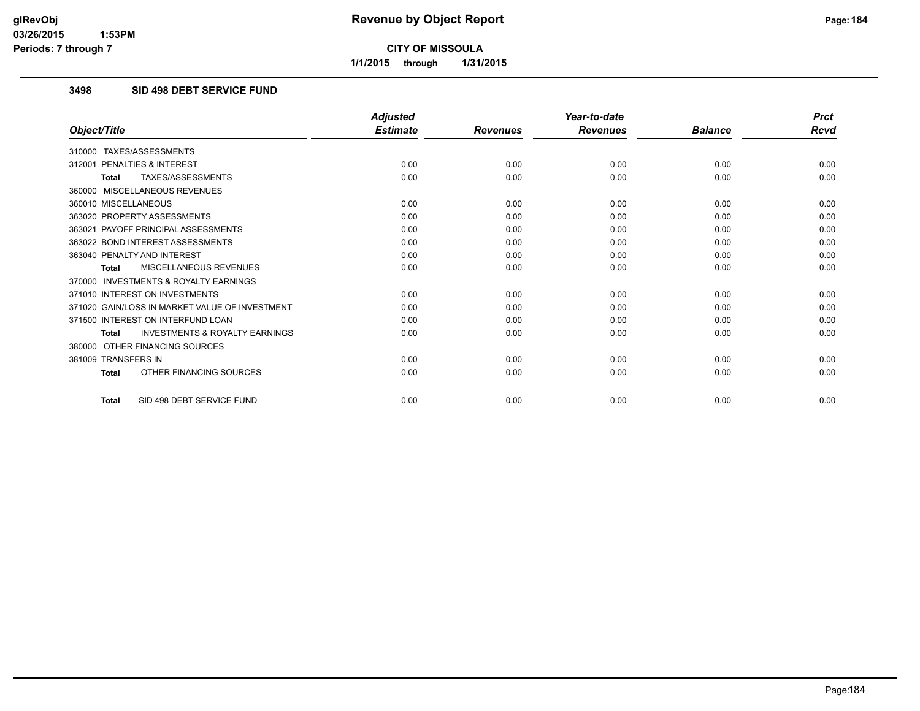**1/1/2015 through 1/31/2015**

# **3498 SID 498 DEBT SERVICE FUND**

|                                                           | <b>Adjusted</b> |                 | Year-to-date    |                | <b>Prct</b> |
|-----------------------------------------------------------|-----------------|-----------------|-----------------|----------------|-------------|
| Object/Title                                              | <b>Estimate</b> | <b>Revenues</b> | <b>Revenues</b> | <b>Balance</b> | <b>Rcvd</b> |
| TAXES/ASSESSMENTS<br>310000                               |                 |                 |                 |                |             |
| 312001 PENALTIES & INTEREST                               | 0.00            | 0.00            | 0.00            | 0.00           | 0.00        |
| TAXES/ASSESSMENTS<br>Total                                | 0.00            | 0.00            | 0.00            | 0.00           | 0.00        |
| 360000 MISCELLANEOUS REVENUES                             |                 |                 |                 |                |             |
| 360010 MISCELLANEOUS                                      | 0.00            | 0.00            | 0.00            | 0.00           | 0.00        |
| 363020 PROPERTY ASSESSMENTS                               | 0.00            | 0.00            | 0.00            | 0.00           | 0.00        |
| 363021 PAYOFF PRINCIPAL ASSESSMENTS                       | 0.00            | 0.00            | 0.00            | 0.00           | 0.00        |
| 363022 BOND INTEREST ASSESSMENTS                          | 0.00            | 0.00            | 0.00            | 0.00           | 0.00        |
| 363040 PENALTY AND INTEREST                               | 0.00            | 0.00            | 0.00            | 0.00           | 0.00        |
| MISCELLANEOUS REVENUES<br><b>Total</b>                    | 0.00            | 0.00            | 0.00            | 0.00           | 0.00        |
| <b>INVESTMENTS &amp; ROYALTY EARNINGS</b><br>370000       |                 |                 |                 |                |             |
| 371010 INTEREST ON INVESTMENTS                            | 0.00            | 0.00            | 0.00            | 0.00           | 0.00        |
| 371020 GAIN/LOSS IN MARKET VALUE OF INVESTMENT            | 0.00            | 0.00            | 0.00            | 0.00           | 0.00        |
| 371500 INTEREST ON INTERFUND LOAN                         | 0.00            | 0.00            | 0.00            | 0.00           | 0.00        |
| <b>INVESTMENTS &amp; ROYALTY EARNINGS</b><br><b>Total</b> | 0.00            | 0.00            | 0.00            | 0.00           | 0.00        |
| OTHER FINANCING SOURCES<br>380000                         |                 |                 |                 |                |             |
| 381009 TRANSFERS IN                                       | 0.00            | 0.00            | 0.00            | 0.00           | 0.00        |
| OTHER FINANCING SOURCES<br><b>Total</b>                   | 0.00            | 0.00            | 0.00            | 0.00           | 0.00        |
| SID 498 DEBT SERVICE FUND<br>Total                        | 0.00            | 0.00            | 0.00            | 0.00           | 0.00        |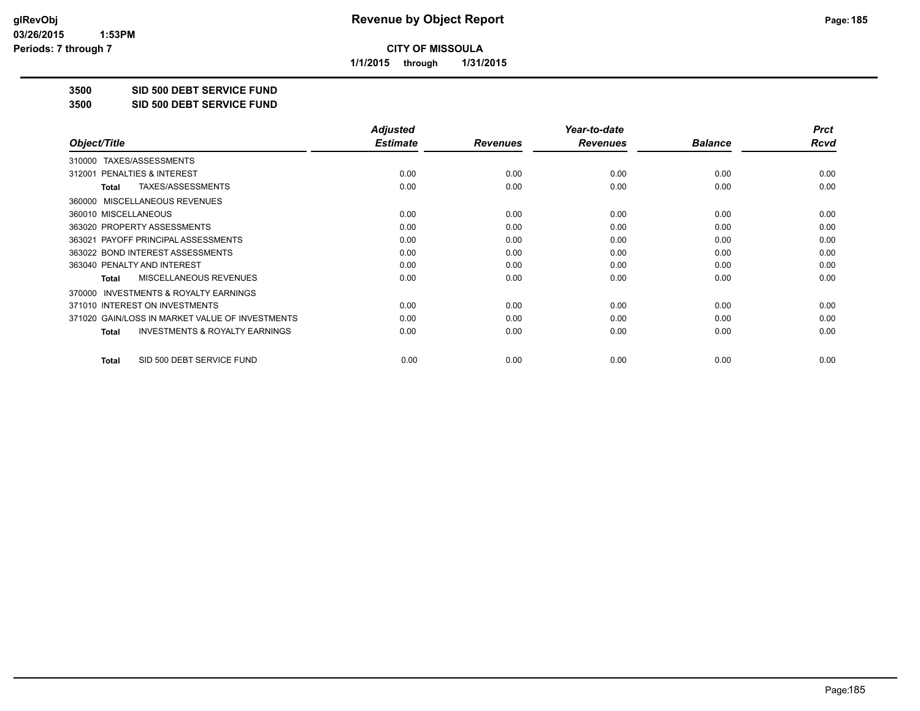**1/1/2015 through 1/31/2015**

**3500 SID 500 DEBT SERVICE FUND**

**3500 SID 500 DEBT SERVICE FUND**

|                                                           | <b>Adjusted</b> |                 | Year-to-date    |                | <b>Prct</b> |
|-----------------------------------------------------------|-----------------|-----------------|-----------------|----------------|-------------|
| Object/Title                                              | <b>Estimate</b> | <b>Revenues</b> | <b>Revenues</b> | <b>Balance</b> | Rcvd        |
| TAXES/ASSESSMENTS<br>310000                               |                 |                 |                 |                |             |
| 312001 PENALTIES & INTEREST                               | 0.00            | 0.00            | 0.00            | 0.00           | 0.00        |
| TAXES/ASSESSMENTS<br><b>Total</b>                         | 0.00            | 0.00            | 0.00            | 0.00           | 0.00        |
| MISCELLANEOUS REVENUES<br>360000                          |                 |                 |                 |                |             |
| 360010 MISCELLANEOUS                                      | 0.00            | 0.00            | 0.00            | 0.00           | 0.00        |
| 363020 PROPERTY ASSESSMENTS                               | 0.00            | 0.00            | 0.00            | 0.00           | 0.00        |
| 363021 PAYOFF PRINCIPAL ASSESSMENTS                       | 0.00            | 0.00            | 0.00            | 0.00           | 0.00        |
| 363022 BOND INTEREST ASSESSMENTS                          | 0.00            | 0.00            | 0.00            | 0.00           | 0.00        |
| 363040 PENALTY AND INTEREST                               | 0.00            | 0.00            | 0.00            | 0.00           | 0.00        |
| MISCELLANEOUS REVENUES<br><b>Total</b>                    | 0.00            | 0.00            | 0.00            | 0.00           | 0.00        |
| <b>INVESTMENTS &amp; ROYALTY EARNINGS</b><br>370000       |                 |                 |                 |                |             |
| 371010 INTEREST ON INVESTMENTS                            | 0.00            | 0.00            | 0.00            | 0.00           | 0.00        |
| 371020 GAIN/LOSS IN MARKET VALUE OF INVESTMENTS           | 0.00            | 0.00            | 0.00            | 0.00           | 0.00        |
| <b>INVESTMENTS &amp; ROYALTY EARNINGS</b><br><b>Total</b> | 0.00            | 0.00            | 0.00            | 0.00           | 0.00        |
| SID 500 DEBT SERVICE FUND<br><b>Total</b>                 | 0.00            | 0.00            | 0.00            | 0.00           | 0.00        |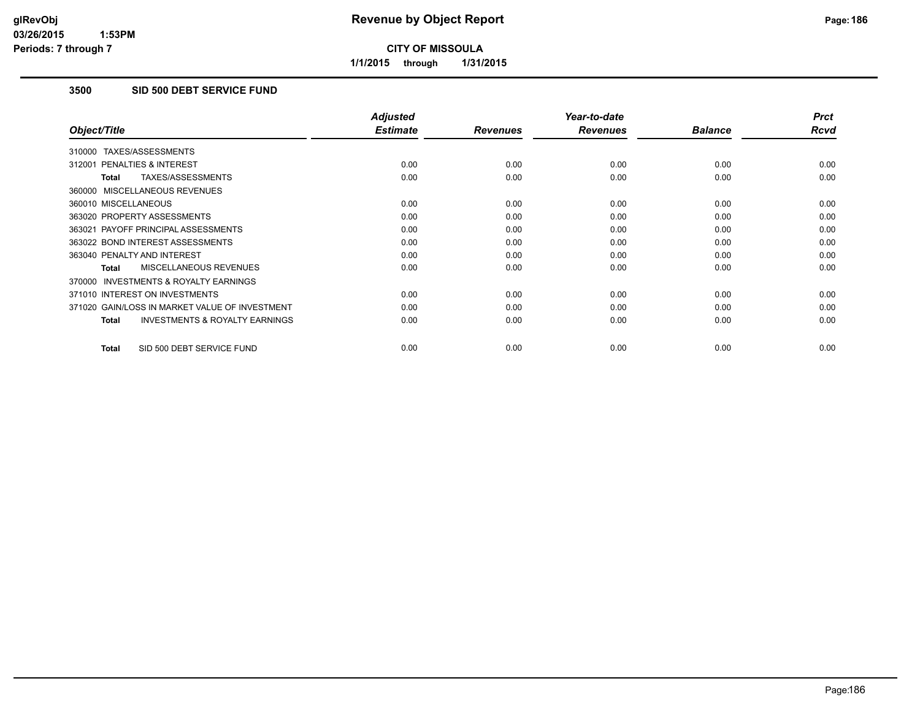**1/1/2015 through 1/31/2015**

# **3500 SID 500 DEBT SERVICE FUND**

|                                                     | <b>Adjusted</b> |                 | Year-to-date    |                | <b>Prct</b> |
|-----------------------------------------------------|-----------------|-----------------|-----------------|----------------|-------------|
| Object/Title                                        | <b>Estimate</b> | <b>Revenues</b> | <b>Revenues</b> | <b>Balance</b> | <b>Rcvd</b> |
| 310000 TAXES/ASSESSMENTS                            |                 |                 |                 |                |             |
| 312001 PENALTIES & INTEREST                         | 0.00            | 0.00            | 0.00            | 0.00           | 0.00        |
| TAXES/ASSESSMENTS<br><b>Total</b>                   | 0.00            | 0.00            | 0.00            | 0.00           | 0.00        |
| 360000 MISCELLANEOUS REVENUES                       |                 |                 |                 |                |             |
| 360010 MISCELLANEOUS                                | 0.00            | 0.00            | 0.00            | 0.00           | 0.00        |
| 363020 PROPERTY ASSESSMENTS                         | 0.00            | 0.00            | 0.00            | 0.00           | 0.00        |
| 363021 PAYOFF PRINCIPAL ASSESSMENTS                 | 0.00            | 0.00            | 0.00            | 0.00           | 0.00        |
| 363022 BOND INTEREST ASSESSMENTS                    | 0.00            | 0.00            | 0.00            | 0.00           | 0.00        |
| 363040 PENALTY AND INTEREST                         | 0.00            | 0.00            | 0.00            | 0.00           | 0.00        |
| <b>MISCELLANEOUS REVENUES</b><br>Total              | 0.00            | 0.00            | 0.00            | 0.00           | 0.00        |
| <b>INVESTMENTS &amp; ROYALTY EARNINGS</b><br>370000 |                 |                 |                 |                |             |
| 371010 INTEREST ON INVESTMENTS                      | 0.00            | 0.00            | 0.00            | 0.00           | 0.00        |
| 371020 GAIN/LOSS IN MARKET VALUE OF INVESTMENT      | 0.00            | 0.00            | 0.00            | 0.00           | 0.00        |
| <b>INVESTMENTS &amp; ROYALTY EARNINGS</b><br>Total  | 0.00            | 0.00            | 0.00            | 0.00           | 0.00        |
| SID 500 DEBT SERVICE FUND<br><b>Total</b>           | 0.00            | 0.00            | 0.00            | 0.00           | 0.00        |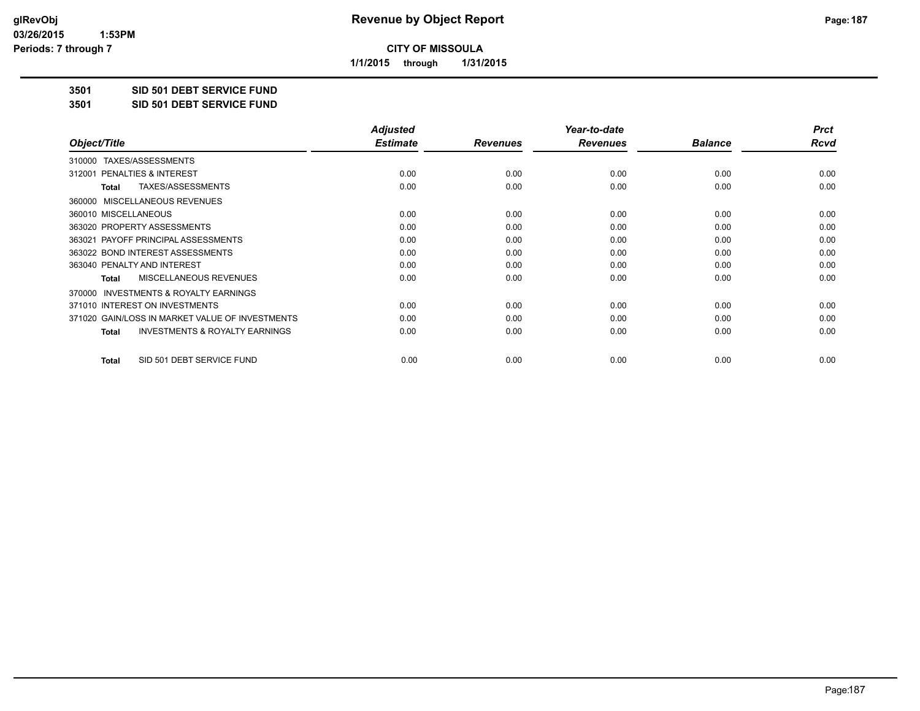**1/1/2015 through 1/31/2015**

**3501 SID 501 DEBT SERVICE FUND**

**3501 SID 501 DEBT SERVICE FUND**

|                                                           | <b>Adjusted</b> |                 | Year-to-date    |                | <b>Prct</b> |
|-----------------------------------------------------------|-----------------|-----------------|-----------------|----------------|-------------|
| Object/Title                                              | <b>Estimate</b> | <b>Revenues</b> | <b>Revenues</b> | <b>Balance</b> | Rcvd        |
| TAXES/ASSESSMENTS<br>310000                               |                 |                 |                 |                |             |
| 312001 PENALTIES & INTEREST                               | 0.00            | 0.00            | 0.00            | 0.00           | 0.00        |
| TAXES/ASSESSMENTS<br><b>Total</b>                         | 0.00            | 0.00            | 0.00            | 0.00           | 0.00        |
| MISCELLANEOUS REVENUES<br>360000                          |                 |                 |                 |                |             |
| 360010 MISCELLANEOUS                                      | 0.00            | 0.00            | 0.00            | 0.00           | 0.00        |
| 363020 PROPERTY ASSESSMENTS                               | 0.00            | 0.00            | 0.00            | 0.00           | 0.00        |
| 363021 PAYOFF PRINCIPAL ASSESSMENTS                       | 0.00            | 0.00            | 0.00            | 0.00           | 0.00        |
| 363022 BOND INTEREST ASSESSMENTS                          | 0.00            | 0.00            | 0.00            | 0.00           | 0.00        |
| 363040 PENALTY AND INTEREST                               | 0.00            | 0.00            | 0.00            | 0.00           | 0.00        |
| <b>MISCELLANEOUS REVENUES</b><br><b>Total</b>             | 0.00            | 0.00            | 0.00            | 0.00           | 0.00        |
| 370000 INVESTMENTS & ROYALTY EARNINGS                     |                 |                 |                 |                |             |
| 371010 INTEREST ON INVESTMENTS                            | 0.00            | 0.00            | 0.00            | 0.00           | 0.00        |
| 371020 GAIN/LOSS IN MARKET VALUE OF INVESTMENTS           | 0.00            | 0.00            | 0.00            | 0.00           | 0.00        |
| <b>INVESTMENTS &amp; ROYALTY EARNINGS</b><br><b>Total</b> | 0.00            | 0.00            | 0.00            | 0.00           | 0.00        |
|                                                           |                 |                 |                 |                |             |
| SID 501 DEBT SERVICE FUND<br><b>Total</b>                 | 0.00            | 0.00            | 0.00            | 0.00           | 0.00        |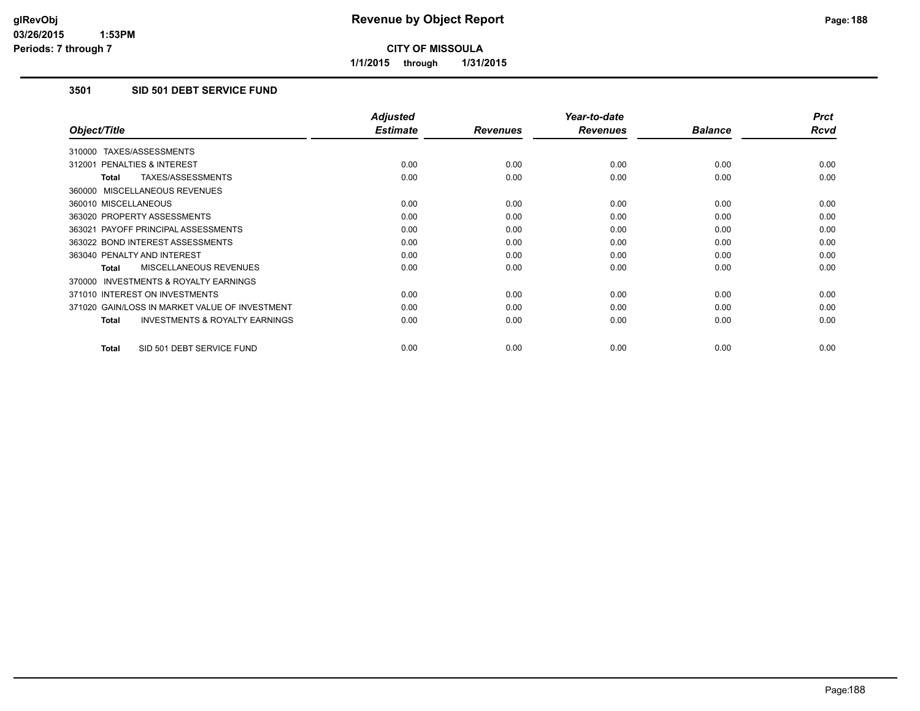**1/1/2015 through 1/31/2015**

# **3501 SID 501 DEBT SERVICE FUND**

|                                                           | <b>Adjusted</b> |                 | Year-to-date    |                | <b>Prct</b> |
|-----------------------------------------------------------|-----------------|-----------------|-----------------|----------------|-------------|
| Object/Title                                              | <b>Estimate</b> | <b>Revenues</b> | <b>Revenues</b> | <b>Balance</b> | <b>Rcvd</b> |
| 310000 TAXES/ASSESSMENTS                                  |                 |                 |                 |                |             |
| 312001 PENALTIES & INTEREST                               | 0.00            | 0.00            | 0.00            | 0.00           | 0.00        |
| TAXES/ASSESSMENTS<br><b>Total</b>                         | 0.00            | 0.00            | 0.00            | 0.00           | 0.00        |
| 360000 MISCELLANEOUS REVENUES                             |                 |                 |                 |                |             |
| 360010 MISCELLANEOUS                                      | 0.00            | 0.00            | 0.00            | 0.00           | 0.00        |
| 363020 PROPERTY ASSESSMENTS                               | 0.00            | 0.00            | 0.00            | 0.00           | 0.00        |
| 363021 PAYOFF PRINCIPAL ASSESSMENTS                       | 0.00            | 0.00            | 0.00            | 0.00           | 0.00        |
| 363022 BOND INTEREST ASSESSMENTS                          | 0.00            | 0.00            | 0.00            | 0.00           | 0.00        |
| 363040 PENALTY AND INTEREST                               | 0.00            | 0.00            | 0.00            | 0.00           | 0.00        |
| <b>MISCELLANEOUS REVENUES</b><br><b>Total</b>             | 0.00            | 0.00            | 0.00            | 0.00           | 0.00        |
| <b>INVESTMENTS &amp; ROYALTY EARNINGS</b><br>370000       |                 |                 |                 |                |             |
| 371010 INTEREST ON INVESTMENTS                            | 0.00            | 0.00            | 0.00            | 0.00           | 0.00        |
| 371020 GAIN/LOSS IN MARKET VALUE OF INVESTMENT            | 0.00            | 0.00            | 0.00            | 0.00           | 0.00        |
| <b>INVESTMENTS &amp; ROYALTY EARNINGS</b><br><b>Total</b> | 0.00            | 0.00            | 0.00            | 0.00           | 0.00        |
| SID 501 DEBT SERVICE FUND<br><b>Total</b>                 | 0.00            | 0.00            | 0.00            | 0.00           | 0.00        |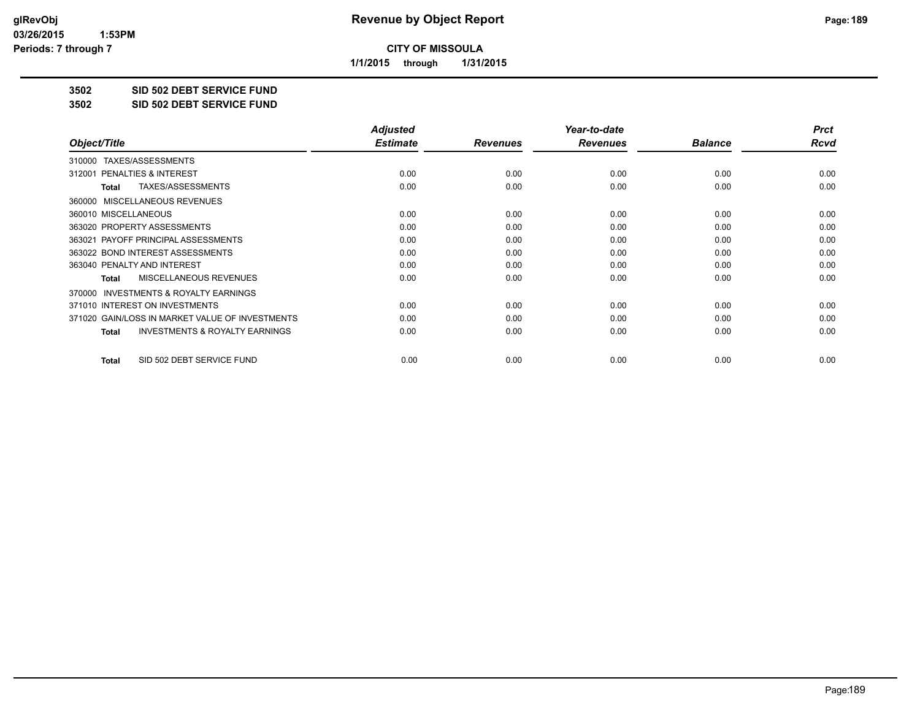**1/1/2015 through 1/31/2015**

**3502 SID 502 DEBT SERVICE FUND**

**3502 SID 502 DEBT SERVICE FUND**

|                                                           | <b>Adjusted</b> |                 | Year-to-date    |                | <b>Prct</b> |
|-----------------------------------------------------------|-----------------|-----------------|-----------------|----------------|-------------|
| Object/Title                                              | <b>Estimate</b> | <b>Revenues</b> | <b>Revenues</b> | <b>Balance</b> | Rcvd        |
| TAXES/ASSESSMENTS<br>310000                               |                 |                 |                 |                |             |
| 312001 PENALTIES & INTEREST                               | 0.00            | 0.00            | 0.00            | 0.00           | 0.00        |
| TAXES/ASSESSMENTS<br>Total                                | 0.00            | 0.00            | 0.00            | 0.00           | 0.00        |
| MISCELLANEOUS REVENUES<br>360000                          |                 |                 |                 |                |             |
| 360010 MISCELLANEOUS                                      | 0.00            | 0.00            | 0.00            | 0.00           | 0.00        |
| 363020 PROPERTY ASSESSMENTS                               | 0.00            | 0.00            | 0.00            | 0.00           | 0.00        |
| 363021 PAYOFF PRINCIPAL ASSESSMENTS                       | 0.00            | 0.00            | 0.00            | 0.00           | 0.00        |
| 363022 BOND INTEREST ASSESSMENTS                          | 0.00            | 0.00            | 0.00            | 0.00           | 0.00        |
| 363040 PENALTY AND INTEREST                               | 0.00            | 0.00            | 0.00            | 0.00           | 0.00        |
| <b>MISCELLANEOUS REVENUES</b><br><b>Total</b>             | 0.00            | 0.00            | 0.00            | 0.00           | 0.00        |
| 370000 INVESTMENTS & ROYALTY EARNINGS                     |                 |                 |                 |                |             |
| 371010 INTEREST ON INVESTMENTS                            | 0.00            | 0.00            | 0.00            | 0.00           | 0.00        |
| 371020 GAIN/LOSS IN MARKET VALUE OF INVESTMENTS           | 0.00            | 0.00            | 0.00            | 0.00           | 0.00        |
| <b>INVESTMENTS &amp; ROYALTY EARNINGS</b><br><b>Total</b> | 0.00            | 0.00            | 0.00            | 0.00           | 0.00        |
| SID 502 DEBT SERVICE FUND<br><b>Total</b>                 | 0.00            | 0.00            | 0.00            | 0.00           | 0.00        |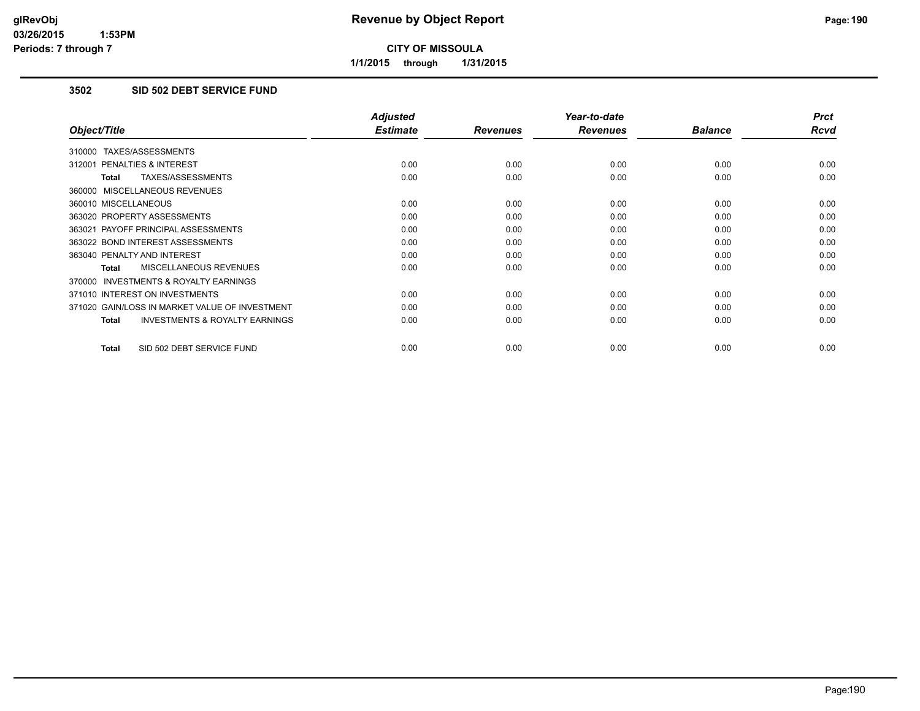**1/1/2015 through 1/31/2015**

# **3502 SID 502 DEBT SERVICE FUND**

|                                                           | <b>Adjusted</b> |                 | Year-to-date    |                | <b>Prct</b> |
|-----------------------------------------------------------|-----------------|-----------------|-----------------|----------------|-------------|
| Object/Title                                              | <b>Estimate</b> | <b>Revenues</b> | <b>Revenues</b> | <b>Balance</b> | <b>Rcvd</b> |
| 310000 TAXES/ASSESSMENTS                                  |                 |                 |                 |                |             |
| 312001 PENALTIES & INTEREST                               | 0.00            | 0.00            | 0.00            | 0.00           | 0.00        |
| TAXES/ASSESSMENTS<br><b>Total</b>                         | 0.00            | 0.00            | 0.00            | 0.00           | 0.00        |
| 360000 MISCELLANEOUS REVENUES                             |                 |                 |                 |                |             |
| 360010 MISCELLANEOUS                                      | 0.00            | 0.00            | 0.00            | 0.00           | 0.00        |
| 363020 PROPERTY ASSESSMENTS                               | 0.00            | 0.00            | 0.00            | 0.00           | 0.00        |
| 363021 PAYOFF PRINCIPAL ASSESSMENTS                       | 0.00            | 0.00            | 0.00            | 0.00           | 0.00        |
| 363022 BOND INTEREST ASSESSMENTS                          | 0.00            | 0.00            | 0.00            | 0.00           | 0.00        |
| 363040 PENALTY AND INTEREST                               | 0.00            | 0.00            | 0.00            | 0.00           | 0.00        |
| MISCELLANEOUS REVENUES<br>Total                           | 0.00            | 0.00            | 0.00            | 0.00           | 0.00        |
| <b>INVESTMENTS &amp; ROYALTY EARNINGS</b><br>370000       |                 |                 |                 |                |             |
| 371010 INTEREST ON INVESTMENTS                            | 0.00            | 0.00            | 0.00            | 0.00           | 0.00        |
| 371020 GAIN/LOSS IN MARKET VALUE OF INVESTMENT            | 0.00            | 0.00            | 0.00            | 0.00           | 0.00        |
| <b>INVESTMENTS &amp; ROYALTY EARNINGS</b><br><b>Total</b> | 0.00            | 0.00            | 0.00            | 0.00           | 0.00        |
|                                                           |                 |                 |                 |                |             |
| SID 502 DEBT SERVICE FUND<br><b>Total</b>                 | 0.00            | 0.00            | 0.00            | 0.00           | 0.00        |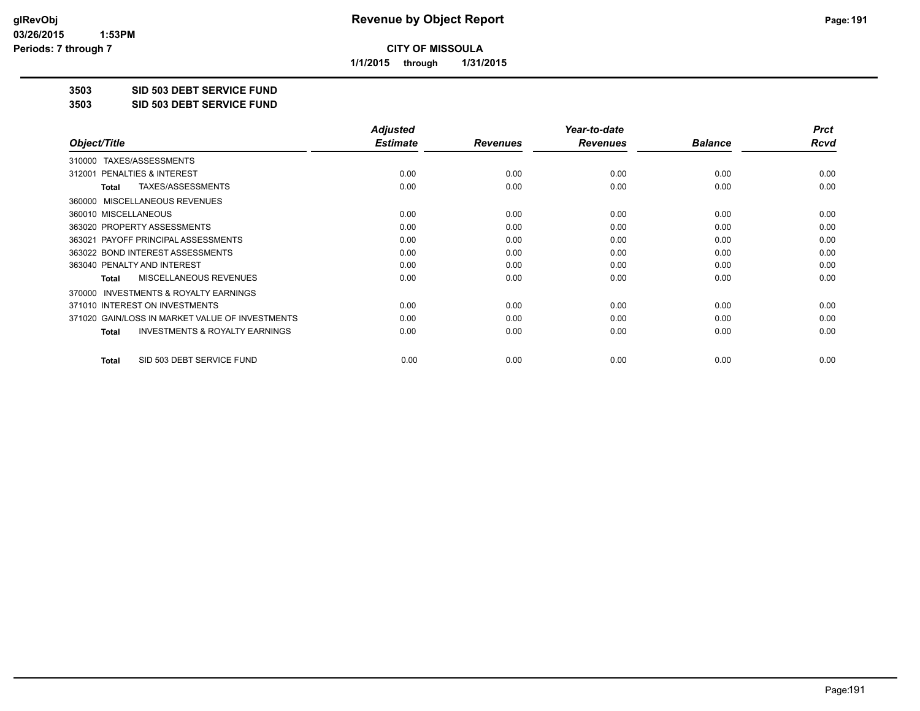**1/1/2015 through 1/31/2015**

**3503 SID 503 DEBT SERVICE FUND**

**3503 SID 503 DEBT SERVICE FUND**

|                                                           | <b>Adjusted</b> |                 | Year-to-date    |                | <b>Prct</b> |
|-----------------------------------------------------------|-----------------|-----------------|-----------------|----------------|-------------|
| Object/Title                                              | <b>Estimate</b> | <b>Revenues</b> | <b>Revenues</b> | <b>Balance</b> | Rcvd        |
| TAXES/ASSESSMENTS<br>310000                               |                 |                 |                 |                |             |
| 312001 PENALTIES & INTEREST                               | 0.00            | 0.00            | 0.00            | 0.00           | 0.00        |
| TAXES/ASSESSMENTS<br>Total                                | 0.00            | 0.00            | 0.00            | 0.00           | 0.00        |
| MISCELLANEOUS REVENUES<br>360000                          |                 |                 |                 |                |             |
| 360010 MISCELLANEOUS                                      | 0.00            | 0.00            | 0.00            | 0.00           | 0.00        |
| 363020 PROPERTY ASSESSMENTS                               | 0.00            | 0.00            | 0.00            | 0.00           | 0.00        |
| 363021 PAYOFF PRINCIPAL ASSESSMENTS                       | 0.00            | 0.00            | 0.00            | 0.00           | 0.00        |
| 363022 BOND INTEREST ASSESSMENTS                          | 0.00            | 0.00            | 0.00            | 0.00           | 0.00        |
| 363040 PENALTY AND INTEREST                               | 0.00            | 0.00            | 0.00            | 0.00           | 0.00        |
| <b>MISCELLANEOUS REVENUES</b><br><b>Total</b>             | 0.00            | 0.00            | 0.00            | 0.00           | 0.00        |
| 370000 INVESTMENTS & ROYALTY EARNINGS                     |                 |                 |                 |                |             |
| 371010 INTEREST ON INVESTMENTS                            | 0.00            | 0.00            | 0.00            | 0.00           | 0.00        |
| 371020 GAIN/LOSS IN MARKET VALUE OF INVESTMENTS           | 0.00            | 0.00            | 0.00            | 0.00           | 0.00        |
| <b>INVESTMENTS &amp; ROYALTY EARNINGS</b><br><b>Total</b> | 0.00            | 0.00            | 0.00            | 0.00           | 0.00        |
| SID 503 DEBT SERVICE FUND<br><b>Total</b>                 | 0.00            | 0.00            | 0.00            | 0.00           | 0.00        |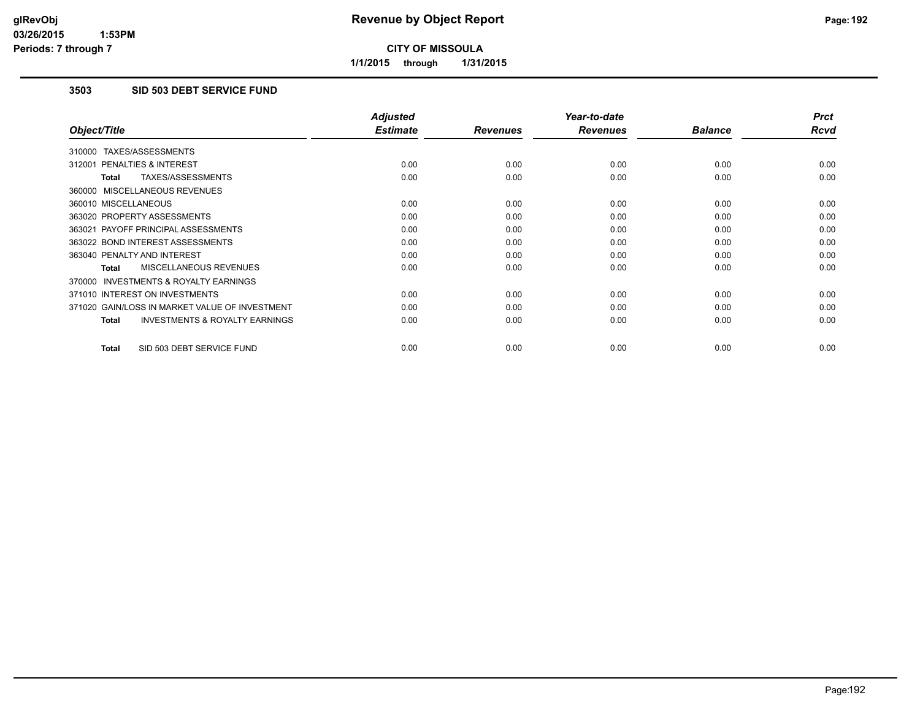**1/1/2015 through 1/31/2015**

# **3503 SID 503 DEBT SERVICE FUND**

|                                                           | <b>Adjusted</b> |                 | Year-to-date    |                | <b>Prct</b> |
|-----------------------------------------------------------|-----------------|-----------------|-----------------|----------------|-------------|
| Object/Title                                              | <b>Estimate</b> | <b>Revenues</b> | <b>Revenues</b> | <b>Balance</b> | <b>Rcvd</b> |
| 310000 TAXES/ASSESSMENTS                                  |                 |                 |                 |                |             |
| 312001 PENALTIES & INTEREST                               | 0.00            | 0.00            | 0.00            | 0.00           | 0.00        |
| TAXES/ASSESSMENTS<br><b>Total</b>                         | 0.00            | 0.00            | 0.00            | 0.00           | 0.00        |
| 360000 MISCELLANEOUS REVENUES                             |                 |                 |                 |                |             |
| 360010 MISCELLANEOUS                                      | 0.00            | 0.00            | 0.00            | 0.00           | 0.00        |
| 363020 PROPERTY ASSESSMENTS                               | 0.00            | 0.00            | 0.00            | 0.00           | 0.00        |
| 363021 PAYOFF PRINCIPAL ASSESSMENTS                       | 0.00            | 0.00            | 0.00            | 0.00           | 0.00        |
| 363022 BOND INTEREST ASSESSMENTS                          | 0.00            | 0.00            | 0.00            | 0.00           | 0.00        |
| 363040 PENALTY AND INTEREST                               | 0.00            | 0.00            | 0.00            | 0.00           | 0.00        |
| <b>MISCELLANEOUS REVENUES</b><br><b>Total</b>             | 0.00            | 0.00            | 0.00            | 0.00           | 0.00        |
| <b>INVESTMENTS &amp; ROYALTY EARNINGS</b><br>370000       |                 |                 |                 |                |             |
| 371010 INTEREST ON INVESTMENTS                            | 0.00            | 0.00            | 0.00            | 0.00           | 0.00        |
| 371020 GAIN/LOSS IN MARKET VALUE OF INVESTMENT            | 0.00            | 0.00            | 0.00            | 0.00           | 0.00        |
| <b>INVESTMENTS &amp; ROYALTY EARNINGS</b><br><b>Total</b> | 0.00            | 0.00            | 0.00            | 0.00           | 0.00        |
| SID 503 DEBT SERVICE FUND<br><b>Total</b>                 | 0.00            | 0.00            | 0.00            | 0.00           | 0.00        |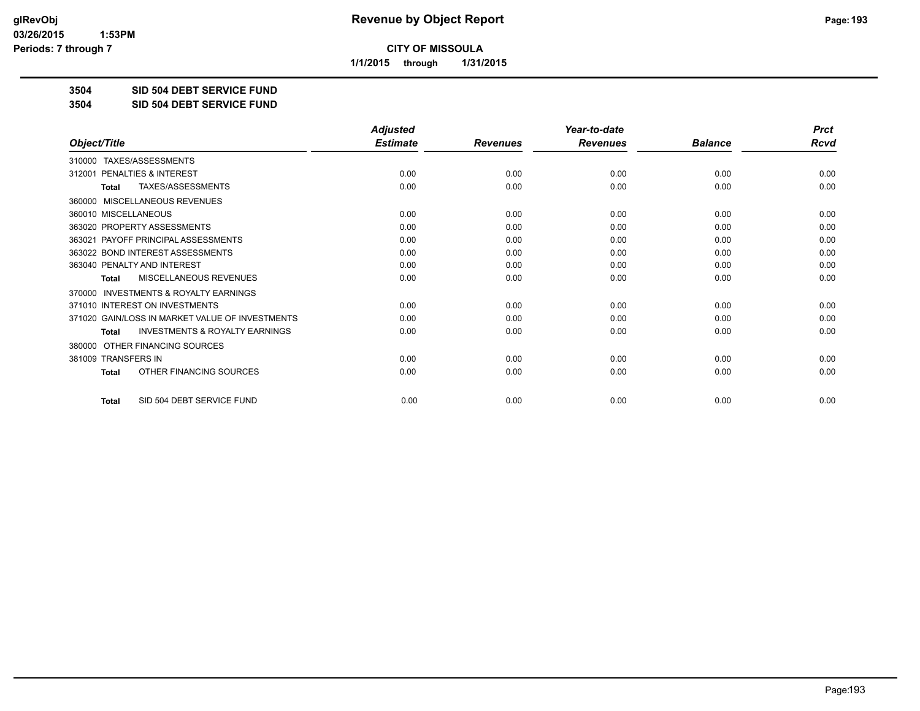**1/1/2015 through 1/31/2015**

**3504 SID 504 DEBT SERVICE FUND**

**3504 SID 504 DEBT SERVICE FUND**

|                                                           | <b>Adjusted</b> |                 | Year-to-date    |                | <b>Prct</b> |
|-----------------------------------------------------------|-----------------|-----------------|-----------------|----------------|-------------|
| Object/Title                                              | <b>Estimate</b> | <b>Revenues</b> | <b>Revenues</b> | <b>Balance</b> | <b>Rcvd</b> |
| 310000 TAXES/ASSESSMENTS                                  |                 |                 |                 |                |             |
| PENALTIES & INTEREST<br>312001                            | 0.00            | 0.00            | 0.00            | 0.00           | 0.00        |
| <b>TAXES/ASSESSMENTS</b><br><b>Total</b>                  | 0.00            | 0.00            | 0.00            | 0.00           | 0.00        |
| <b>MISCELLANEOUS REVENUES</b><br>360000                   |                 |                 |                 |                |             |
| 360010 MISCELLANEOUS                                      | 0.00            | 0.00            | 0.00            | 0.00           | 0.00        |
| 363020 PROPERTY ASSESSMENTS                               | 0.00            | 0.00            | 0.00            | 0.00           | 0.00        |
| 363021 PAYOFF PRINCIPAL ASSESSMENTS                       | 0.00            | 0.00            | 0.00            | 0.00           | 0.00        |
| 363022 BOND INTEREST ASSESSMENTS                          | 0.00            | 0.00            | 0.00            | 0.00           | 0.00        |
| 363040 PENALTY AND INTEREST                               | 0.00            | 0.00            | 0.00            | 0.00           | 0.00        |
| MISCELLANEOUS REVENUES<br>Total                           | 0.00            | 0.00            | 0.00            | 0.00           | 0.00        |
| <b>INVESTMENTS &amp; ROYALTY EARNINGS</b><br>370000       |                 |                 |                 |                |             |
| 371010 INTEREST ON INVESTMENTS                            | 0.00            | 0.00            | 0.00            | 0.00           | 0.00        |
| 371020 GAIN/LOSS IN MARKET VALUE OF INVESTMENTS           | 0.00            | 0.00            | 0.00            | 0.00           | 0.00        |
| <b>INVESTMENTS &amp; ROYALTY EARNINGS</b><br><b>Total</b> | 0.00            | 0.00            | 0.00            | 0.00           | 0.00        |
| OTHER FINANCING SOURCES<br>380000                         |                 |                 |                 |                |             |
| 381009 TRANSFERS IN                                       | 0.00            | 0.00            | 0.00            | 0.00           | 0.00        |
| OTHER FINANCING SOURCES<br><b>Total</b>                   | 0.00            | 0.00            | 0.00            | 0.00           | 0.00        |
| SID 504 DEBT SERVICE FUND<br><b>Total</b>                 | 0.00            | 0.00            | 0.00            | 0.00           | 0.00        |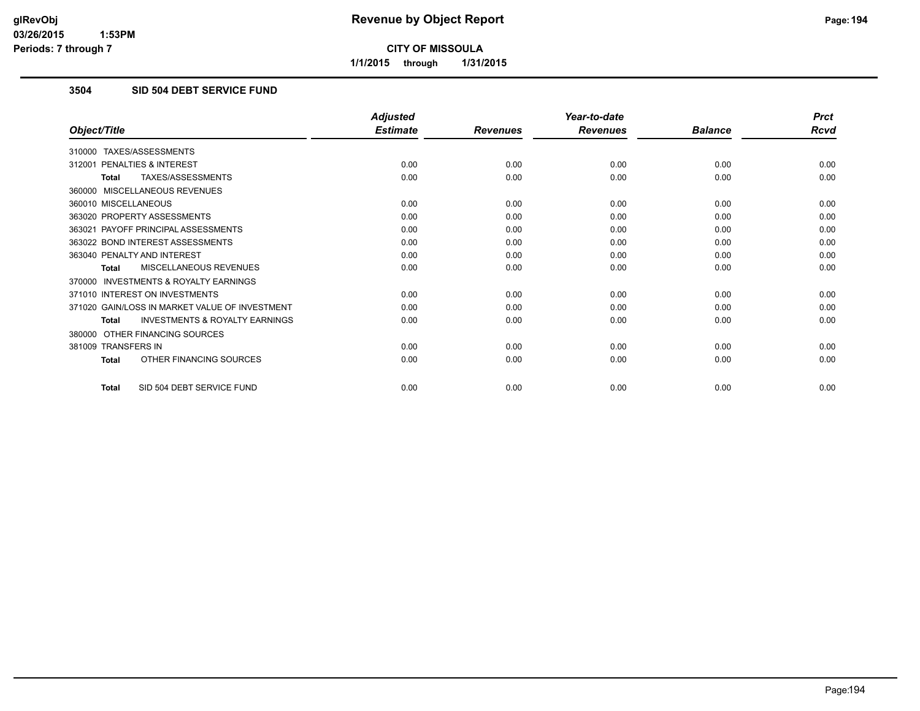**1/1/2015 through 1/31/2015**

# **3504 SID 504 DEBT SERVICE FUND**

|                                                           | <b>Adjusted</b> |                 | Year-to-date    |                | <b>Prct</b> |
|-----------------------------------------------------------|-----------------|-----------------|-----------------|----------------|-------------|
| Object/Title                                              | <b>Estimate</b> | <b>Revenues</b> | <b>Revenues</b> | <b>Balance</b> | <b>Rcvd</b> |
| 310000 TAXES/ASSESSMENTS                                  |                 |                 |                 |                |             |
| PENALTIES & INTEREST<br>312001                            | 0.00            | 0.00            | 0.00            | 0.00           | 0.00        |
| TAXES/ASSESSMENTS<br><b>Total</b>                         | 0.00            | 0.00            | 0.00            | 0.00           | 0.00        |
| 360000 MISCELLANEOUS REVENUES                             |                 |                 |                 |                |             |
| 360010 MISCELLANEOUS                                      | 0.00            | 0.00            | 0.00            | 0.00           | 0.00        |
| 363020 PROPERTY ASSESSMENTS                               | 0.00            | 0.00            | 0.00            | 0.00           | 0.00        |
| 363021 PAYOFF PRINCIPAL ASSESSMENTS                       | 0.00            | 0.00            | 0.00            | 0.00           | 0.00        |
| 363022 BOND INTEREST ASSESSMENTS                          | 0.00            | 0.00            | 0.00            | 0.00           | 0.00        |
| 363040 PENALTY AND INTEREST                               | 0.00            | 0.00            | 0.00            | 0.00           | 0.00        |
| <b>MISCELLANEOUS REVENUES</b><br><b>Total</b>             | 0.00            | 0.00            | 0.00            | 0.00           | 0.00        |
| <b>INVESTMENTS &amp; ROYALTY EARNINGS</b><br>370000       |                 |                 |                 |                |             |
| 371010 INTEREST ON INVESTMENTS                            | 0.00            | 0.00            | 0.00            | 0.00           | 0.00        |
| 371020 GAIN/LOSS IN MARKET VALUE OF INVESTMENT            | 0.00            | 0.00            | 0.00            | 0.00           | 0.00        |
| <b>INVESTMENTS &amp; ROYALTY EARNINGS</b><br><b>Total</b> | 0.00            | 0.00            | 0.00            | 0.00           | 0.00        |
| OTHER FINANCING SOURCES<br>380000                         |                 |                 |                 |                |             |
| 381009 TRANSFERS IN                                       | 0.00            | 0.00            | 0.00            | 0.00           | 0.00        |
| OTHER FINANCING SOURCES<br><b>Total</b>                   | 0.00            | 0.00            | 0.00            | 0.00           | 0.00        |
| SID 504 DEBT SERVICE FUND<br><b>Total</b>                 | 0.00            | 0.00            | 0.00            | 0.00           | 0.00        |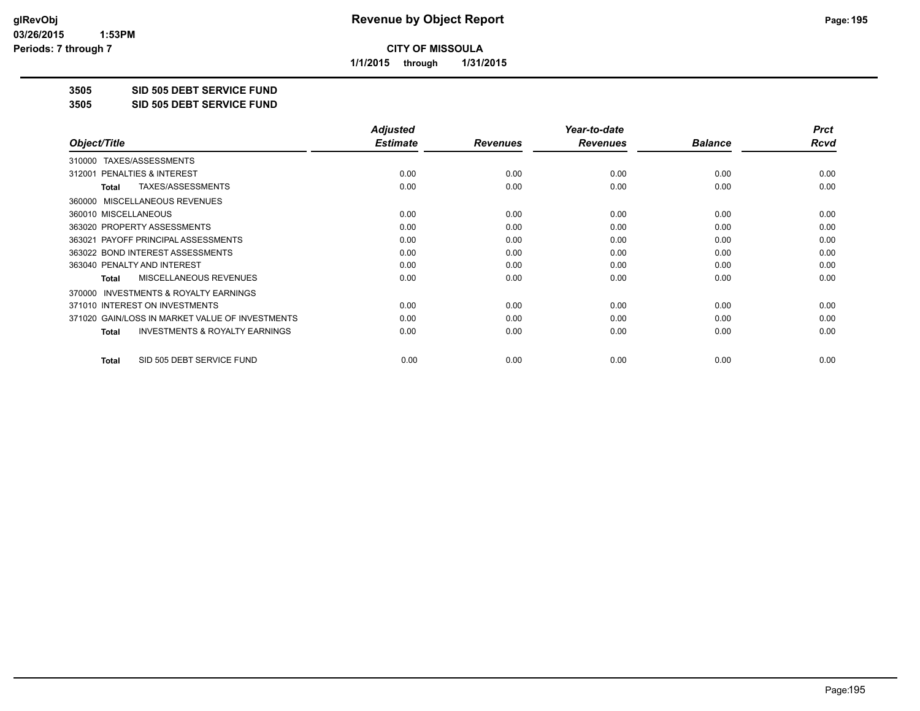**1/1/2015 through 1/31/2015**

**3505 SID 505 DEBT SERVICE FUND**

**3505 SID 505 DEBT SERVICE FUND**

|                                                           | <b>Adjusted</b> |                 | Year-to-date    |                | <b>Prct</b> |
|-----------------------------------------------------------|-----------------|-----------------|-----------------|----------------|-------------|
| Object/Title                                              | <b>Estimate</b> | <b>Revenues</b> | <b>Revenues</b> | <b>Balance</b> | Rcvd        |
| TAXES/ASSESSMENTS<br>310000                               |                 |                 |                 |                |             |
| 312001 PENALTIES & INTEREST                               | 0.00            | 0.00            | 0.00            | 0.00           | 0.00        |
| TAXES/ASSESSMENTS<br><b>Total</b>                         | 0.00            | 0.00            | 0.00            | 0.00           | 0.00        |
| MISCELLANEOUS REVENUES<br>360000                          |                 |                 |                 |                |             |
| 360010 MISCELLANEOUS                                      | 0.00            | 0.00            | 0.00            | 0.00           | 0.00        |
| 363020 PROPERTY ASSESSMENTS                               | 0.00            | 0.00            | 0.00            | 0.00           | 0.00        |
| 363021 PAYOFF PRINCIPAL ASSESSMENTS                       | 0.00            | 0.00            | 0.00            | 0.00           | 0.00        |
| 363022 BOND INTEREST ASSESSMENTS                          | 0.00            | 0.00            | 0.00            | 0.00           | 0.00        |
| 363040 PENALTY AND INTEREST                               | 0.00            | 0.00            | 0.00            | 0.00           | 0.00        |
| <b>MISCELLANEOUS REVENUES</b><br><b>Total</b>             | 0.00            | 0.00            | 0.00            | 0.00           | 0.00        |
| 370000 INVESTMENTS & ROYALTY EARNINGS                     |                 |                 |                 |                |             |
| 371010 INTEREST ON INVESTMENTS                            | 0.00            | 0.00            | 0.00            | 0.00           | 0.00        |
| 371020 GAIN/LOSS IN MARKET VALUE OF INVESTMENTS           | 0.00            | 0.00            | 0.00            | 0.00           | 0.00        |
| <b>INVESTMENTS &amp; ROYALTY EARNINGS</b><br><b>Total</b> | 0.00            | 0.00            | 0.00            | 0.00           | 0.00        |
| SID 505 DEBT SERVICE FUND<br><b>Total</b>                 | 0.00            | 0.00            | 0.00            | 0.00           | 0.00        |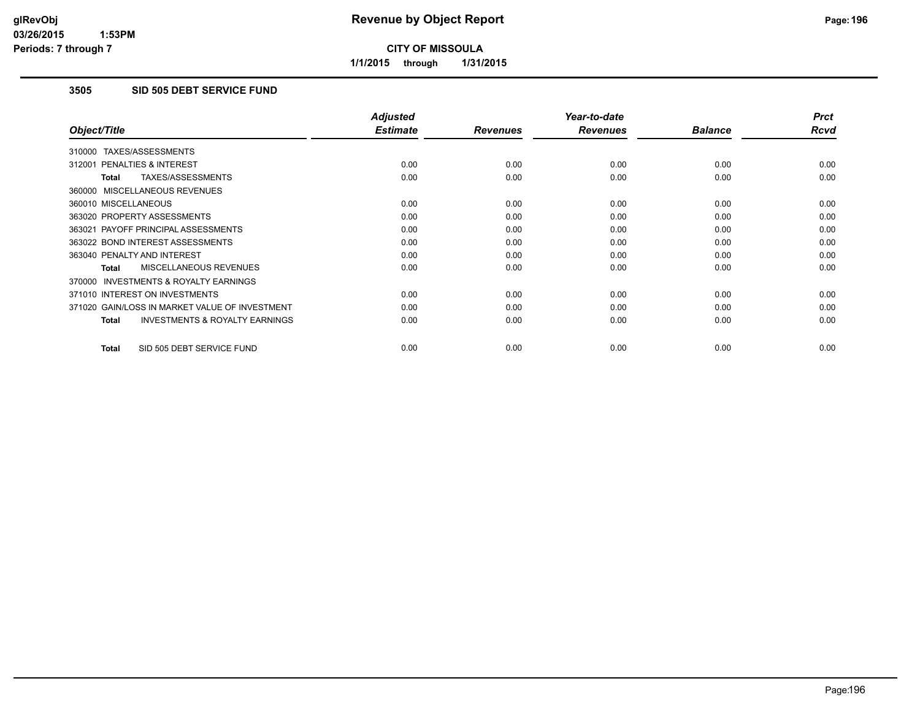**1/1/2015 through 1/31/2015**

# **3505 SID 505 DEBT SERVICE FUND**

|                                                           | <b>Adjusted</b> |                 | Year-to-date    |                | <b>Prct</b> |
|-----------------------------------------------------------|-----------------|-----------------|-----------------|----------------|-------------|
| Object/Title                                              | <b>Estimate</b> | <b>Revenues</b> | <b>Revenues</b> | <b>Balance</b> | <b>Rcvd</b> |
| 310000 TAXES/ASSESSMENTS                                  |                 |                 |                 |                |             |
| 312001 PENALTIES & INTEREST                               | 0.00            | 0.00            | 0.00            | 0.00           | 0.00        |
| TAXES/ASSESSMENTS<br><b>Total</b>                         | 0.00            | 0.00            | 0.00            | 0.00           | 0.00        |
| 360000 MISCELLANEOUS REVENUES                             |                 |                 |                 |                |             |
| 360010 MISCELLANEOUS                                      | 0.00            | 0.00            | 0.00            | 0.00           | 0.00        |
| 363020 PROPERTY ASSESSMENTS                               | 0.00            | 0.00            | 0.00            | 0.00           | 0.00        |
| 363021 PAYOFF PRINCIPAL ASSESSMENTS                       | 0.00            | 0.00            | 0.00            | 0.00           | 0.00        |
| 363022 BOND INTEREST ASSESSMENTS                          | 0.00            | 0.00            | 0.00            | 0.00           | 0.00        |
| 363040 PENALTY AND INTEREST                               | 0.00            | 0.00            | 0.00            | 0.00           | 0.00        |
| <b>MISCELLANEOUS REVENUES</b><br><b>Total</b>             | 0.00            | 0.00            | 0.00            | 0.00           | 0.00        |
| <b>INVESTMENTS &amp; ROYALTY EARNINGS</b><br>370000       |                 |                 |                 |                |             |
| 371010 INTEREST ON INVESTMENTS                            | 0.00            | 0.00            | 0.00            | 0.00           | 0.00        |
| 371020 GAIN/LOSS IN MARKET VALUE OF INVESTMENT            | 0.00            | 0.00            | 0.00            | 0.00           | 0.00        |
| <b>INVESTMENTS &amp; ROYALTY EARNINGS</b><br><b>Total</b> | 0.00            | 0.00            | 0.00            | 0.00           | 0.00        |
| SID 505 DEBT SERVICE FUND<br><b>Total</b>                 | 0.00            | 0.00            | 0.00            | 0.00           | 0.00        |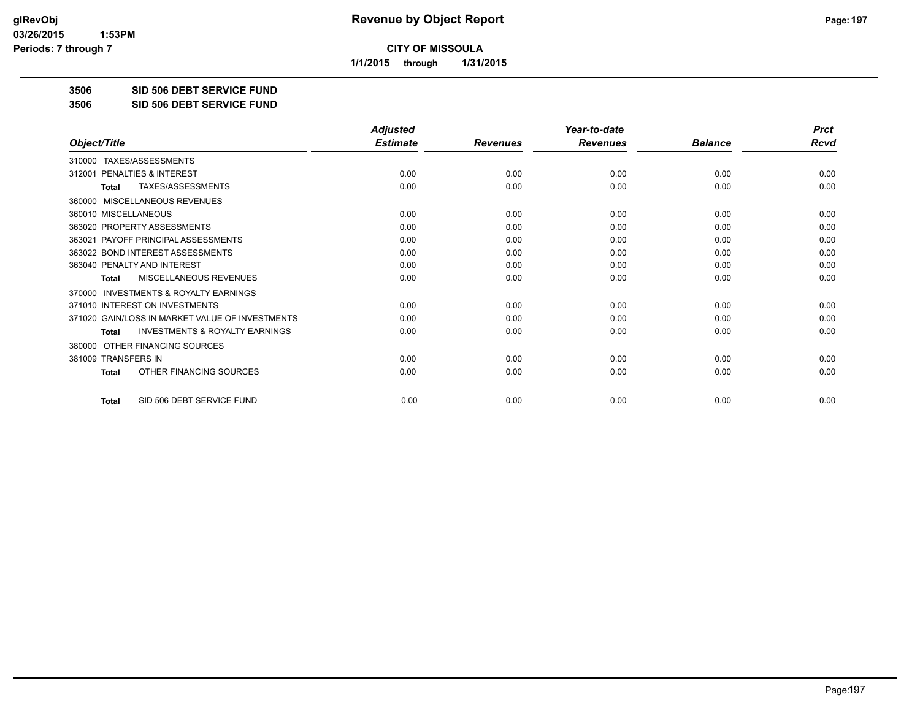**1/1/2015 through 1/31/2015**

**3506 SID 506 DEBT SERVICE FUND**

**3506 SID 506 DEBT SERVICE FUND**

|                                                           | <b>Adjusted</b> |                 | Year-to-date    |                | <b>Prct</b> |
|-----------------------------------------------------------|-----------------|-----------------|-----------------|----------------|-------------|
| Object/Title                                              | <b>Estimate</b> | <b>Revenues</b> | <b>Revenues</b> | <b>Balance</b> | <b>Rcvd</b> |
| TAXES/ASSESSMENTS<br>310000                               |                 |                 |                 |                |             |
| 312001 PENALTIES & INTEREST                               | 0.00            | 0.00            | 0.00            | 0.00           | 0.00        |
| TAXES/ASSESSMENTS<br><b>Total</b>                         | 0.00            | 0.00            | 0.00            | 0.00           | 0.00        |
| MISCELLANEOUS REVENUES<br>360000                          |                 |                 |                 |                |             |
| 360010 MISCELLANEOUS                                      | 0.00            | 0.00            | 0.00            | 0.00           | 0.00        |
| 363020 PROPERTY ASSESSMENTS                               | 0.00            | 0.00            | 0.00            | 0.00           | 0.00        |
| 363021 PAYOFF PRINCIPAL ASSESSMENTS                       | 0.00            | 0.00            | 0.00            | 0.00           | 0.00        |
| 363022 BOND INTEREST ASSESSMENTS                          | 0.00            | 0.00            | 0.00            | 0.00           | 0.00        |
| 363040 PENALTY AND INTEREST                               | 0.00            | 0.00            | 0.00            | 0.00           | 0.00        |
| <b>MISCELLANEOUS REVENUES</b><br><b>Total</b>             | 0.00            | 0.00            | 0.00            | 0.00           | 0.00        |
| <b>INVESTMENTS &amp; ROYALTY EARNINGS</b><br>370000       |                 |                 |                 |                |             |
| 371010 INTEREST ON INVESTMENTS                            | 0.00            | 0.00            | 0.00            | 0.00           | 0.00        |
| 371020 GAIN/LOSS IN MARKET VALUE OF INVESTMENTS           | 0.00            | 0.00            | 0.00            | 0.00           | 0.00        |
| <b>INVESTMENTS &amp; ROYALTY EARNINGS</b><br><b>Total</b> | 0.00            | 0.00            | 0.00            | 0.00           | 0.00        |
| OTHER FINANCING SOURCES<br>380000                         |                 |                 |                 |                |             |
| 381009 TRANSFERS IN                                       | 0.00            | 0.00            | 0.00            | 0.00           | 0.00        |
| OTHER FINANCING SOURCES<br><b>Total</b>                   | 0.00            | 0.00            | 0.00            | 0.00           | 0.00        |
| SID 506 DEBT SERVICE FUND<br><b>Total</b>                 | 0.00            | 0.00            | 0.00            | 0.00           | 0.00        |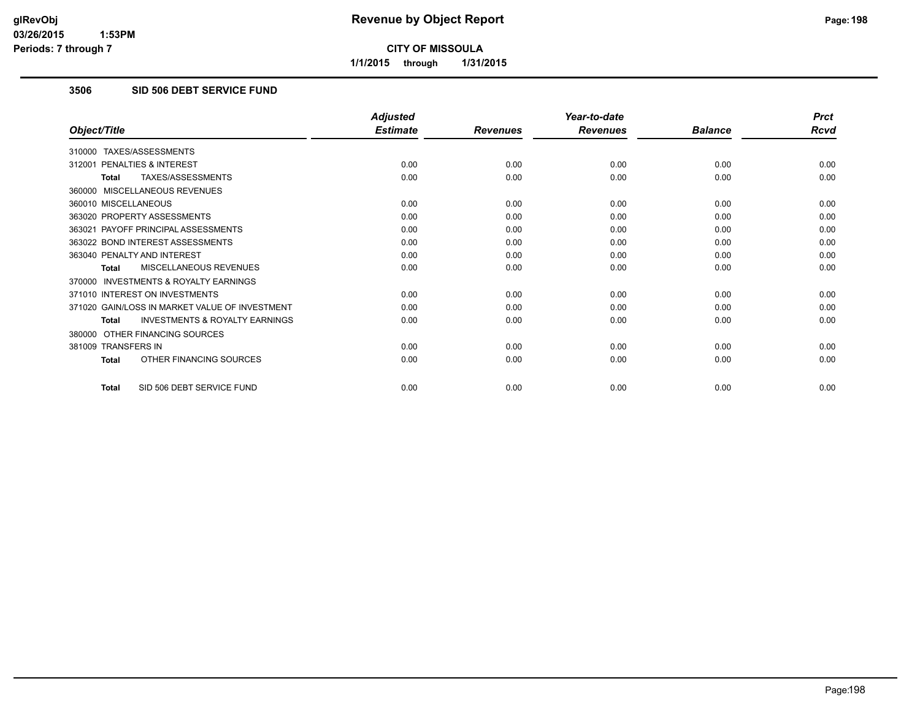**1/1/2015 through 1/31/2015**

# **3506 SID 506 DEBT SERVICE FUND**

|                                                           | <b>Adjusted</b> |                 | Year-to-date    |                | <b>Prct</b> |
|-----------------------------------------------------------|-----------------|-----------------|-----------------|----------------|-------------|
| Object/Title                                              | <b>Estimate</b> | <b>Revenues</b> | <b>Revenues</b> | <b>Balance</b> | <b>Rcvd</b> |
| 310000 TAXES/ASSESSMENTS                                  |                 |                 |                 |                |             |
| 312001 PENALTIES & INTEREST                               | 0.00            | 0.00            | 0.00            | 0.00           | 0.00        |
| TAXES/ASSESSMENTS<br><b>Total</b>                         | 0.00            | 0.00            | 0.00            | 0.00           | 0.00        |
| 360000 MISCELLANEOUS REVENUES                             |                 |                 |                 |                |             |
| 360010 MISCELLANEOUS                                      | 0.00            | 0.00            | 0.00            | 0.00           | 0.00        |
| 363020 PROPERTY ASSESSMENTS                               | 0.00            | 0.00            | 0.00            | 0.00           | 0.00        |
| 363021 PAYOFF PRINCIPAL ASSESSMENTS                       | 0.00            | 0.00            | 0.00            | 0.00           | 0.00        |
| 363022 BOND INTEREST ASSESSMENTS                          | 0.00            | 0.00            | 0.00            | 0.00           | 0.00        |
| 363040 PENALTY AND INTEREST                               | 0.00            | 0.00            | 0.00            | 0.00           | 0.00        |
| MISCELLANEOUS REVENUES<br><b>Total</b>                    | 0.00            | 0.00            | 0.00            | 0.00           | 0.00        |
| <b>INVESTMENTS &amp; ROYALTY EARNINGS</b><br>370000       |                 |                 |                 |                |             |
| 371010 INTEREST ON INVESTMENTS                            | 0.00            | 0.00            | 0.00            | 0.00           | 0.00        |
| 371020 GAIN/LOSS IN MARKET VALUE OF INVESTMENT            | 0.00            | 0.00            | 0.00            | 0.00           | 0.00        |
| <b>INVESTMENTS &amp; ROYALTY EARNINGS</b><br><b>Total</b> | 0.00            | 0.00            | 0.00            | 0.00           | 0.00        |
| 380000 OTHER FINANCING SOURCES                            |                 |                 |                 |                |             |
| 381009 TRANSFERS IN                                       | 0.00            | 0.00            | 0.00            | 0.00           | 0.00        |
| OTHER FINANCING SOURCES<br><b>Total</b>                   | 0.00            | 0.00            | 0.00            | 0.00           | 0.00        |
| SID 506 DEBT SERVICE FUND<br>Total                        | 0.00            | 0.00            | 0.00            | 0.00           | 0.00        |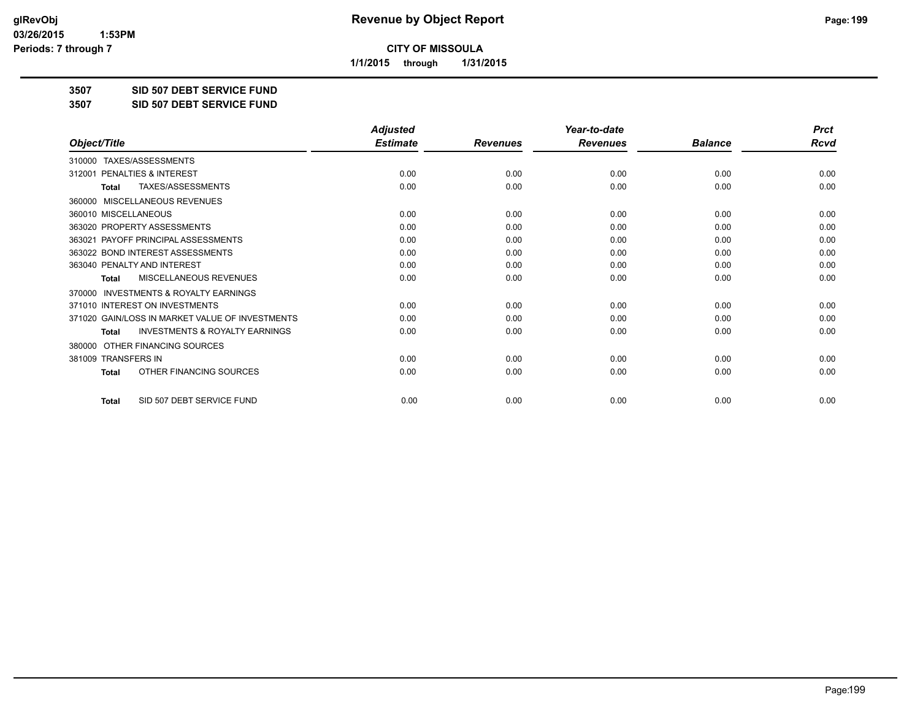**1/1/2015 through 1/31/2015**

**3507 SID 507 DEBT SERVICE FUND**

**3507 SID 507 DEBT SERVICE FUND**

|                                                           | <b>Adjusted</b> |                 | Year-to-date    |                | <b>Prct</b> |
|-----------------------------------------------------------|-----------------|-----------------|-----------------|----------------|-------------|
| Object/Title                                              | <b>Estimate</b> | <b>Revenues</b> | <b>Revenues</b> | <b>Balance</b> | <b>Rcvd</b> |
| TAXES/ASSESSMENTS<br>310000                               |                 |                 |                 |                |             |
| 312001 PENALTIES & INTEREST                               | 0.00            | 0.00            | 0.00            | 0.00           | 0.00        |
| TAXES/ASSESSMENTS<br><b>Total</b>                         | 0.00            | 0.00            | 0.00            | 0.00           | 0.00        |
| MISCELLANEOUS REVENUES<br>360000                          |                 |                 |                 |                |             |
| 360010 MISCELLANEOUS                                      | 0.00            | 0.00            | 0.00            | 0.00           | 0.00        |
| 363020 PROPERTY ASSESSMENTS                               | 0.00            | 0.00            | 0.00            | 0.00           | 0.00        |
| 363021 PAYOFF PRINCIPAL ASSESSMENTS                       | 0.00            | 0.00            | 0.00            | 0.00           | 0.00        |
| 363022 BOND INTEREST ASSESSMENTS                          | 0.00            | 0.00            | 0.00            | 0.00           | 0.00        |
| 363040 PENALTY AND INTEREST                               | 0.00            | 0.00            | 0.00            | 0.00           | 0.00        |
| <b>MISCELLANEOUS REVENUES</b><br><b>Total</b>             | 0.00            | 0.00            | 0.00            | 0.00           | 0.00        |
| <b>INVESTMENTS &amp; ROYALTY EARNINGS</b><br>370000       |                 |                 |                 |                |             |
| 371010 INTEREST ON INVESTMENTS                            | 0.00            | 0.00            | 0.00            | 0.00           | 0.00        |
| 371020 GAIN/LOSS IN MARKET VALUE OF INVESTMENTS           | 0.00            | 0.00            | 0.00            | 0.00           | 0.00        |
| <b>INVESTMENTS &amp; ROYALTY EARNINGS</b><br><b>Total</b> | 0.00            | 0.00            | 0.00            | 0.00           | 0.00        |
| OTHER FINANCING SOURCES<br>380000                         |                 |                 |                 |                |             |
| 381009 TRANSFERS IN                                       | 0.00            | 0.00            | 0.00            | 0.00           | 0.00        |
| OTHER FINANCING SOURCES<br>Total                          | 0.00            | 0.00            | 0.00            | 0.00           | 0.00        |
| SID 507 DEBT SERVICE FUND<br><b>Total</b>                 | 0.00            | 0.00            | 0.00            | 0.00           | 0.00        |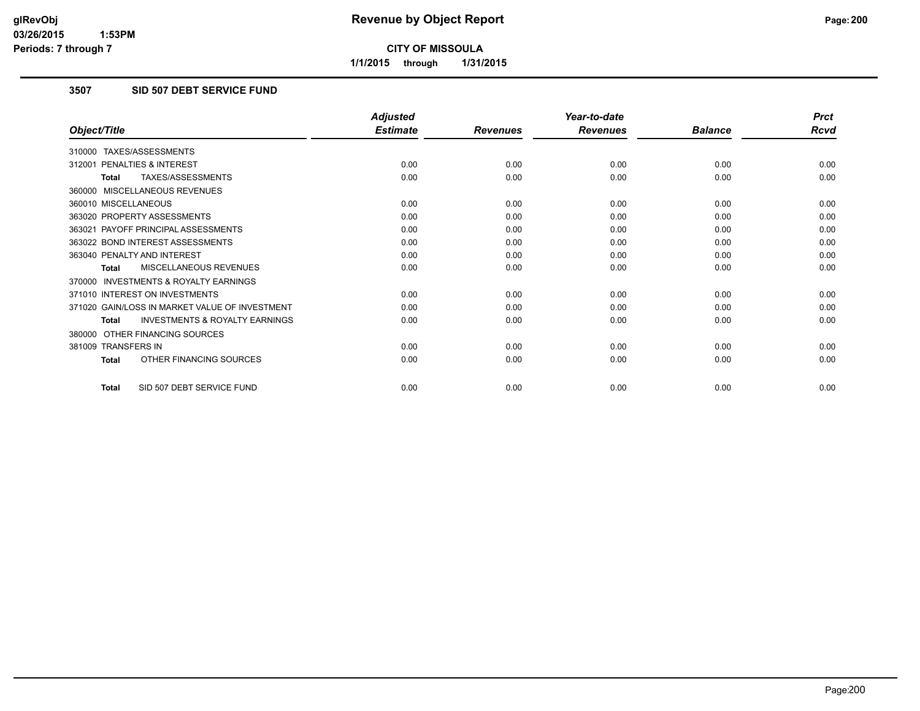**1/1/2015 through 1/31/2015**

# **3507 SID 507 DEBT SERVICE FUND**

|                                                           | <b>Adjusted</b> |                 | Year-to-date    |                | <b>Prct</b> |
|-----------------------------------------------------------|-----------------|-----------------|-----------------|----------------|-------------|
| Object/Title                                              | <b>Estimate</b> | <b>Revenues</b> | <b>Revenues</b> | <b>Balance</b> | <b>Rcvd</b> |
| 310000 TAXES/ASSESSMENTS                                  |                 |                 |                 |                |             |
| 312001 PENALTIES & INTEREST                               | 0.00            | 0.00            | 0.00            | 0.00           | 0.00        |
| TAXES/ASSESSMENTS<br><b>Total</b>                         | 0.00            | 0.00            | 0.00            | 0.00           | 0.00        |
| 360000 MISCELLANEOUS REVENUES                             |                 |                 |                 |                |             |
| 360010 MISCELLANEOUS                                      | 0.00            | 0.00            | 0.00            | 0.00           | 0.00        |
| 363020 PROPERTY ASSESSMENTS                               | 0.00            | 0.00            | 0.00            | 0.00           | 0.00        |
| 363021 PAYOFF PRINCIPAL ASSESSMENTS                       | 0.00            | 0.00            | 0.00            | 0.00           | 0.00        |
| 363022 BOND INTEREST ASSESSMENTS                          | 0.00            | 0.00            | 0.00            | 0.00           | 0.00        |
| 363040 PENALTY AND INTEREST                               | 0.00            | 0.00            | 0.00            | 0.00           | 0.00        |
| MISCELLANEOUS REVENUES<br><b>Total</b>                    | 0.00            | 0.00            | 0.00            | 0.00           | 0.00        |
| <b>INVESTMENTS &amp; ROYALTY EARNINGS</b><br>370000       |                 |                 |                 |                |             |
| 371010 INTEREST ON INVESTMENTS                            | 0.00            | 0.00            | 0.00            | 0.00           | 0.00        |
| 371020 GAIN/LOSS IN MARKET VALUE OF INVESTMENT            | 0.00            | 0.00            | 0.00            | 0.00           | 0.00        |
| <b>INVESTMENTS &amp; ROYALTY EARNINGS</b><br><b>Total</b> | 0.00            | 0.00            | 0.00            | 0.00           | 0.00        |
| 380000 OTHER FINANCING SOURCES                            |                 |                 |                 |                |             |
| 381009 TRANSFERS IN                                       | 0.00            | 0.00            | 0.00            | 0.00           | 0.00        |
| OTHER FINANCING SOURCES<br>Total                          | 0.00            | 0.00            | 0.00            | 0.00           | 0.00        |
| SID 507 DEBT SERVICE FUND<br><b>Total</b>                 | 0.00            | 0.00            | 0.00            | 0.00           | 0.00        |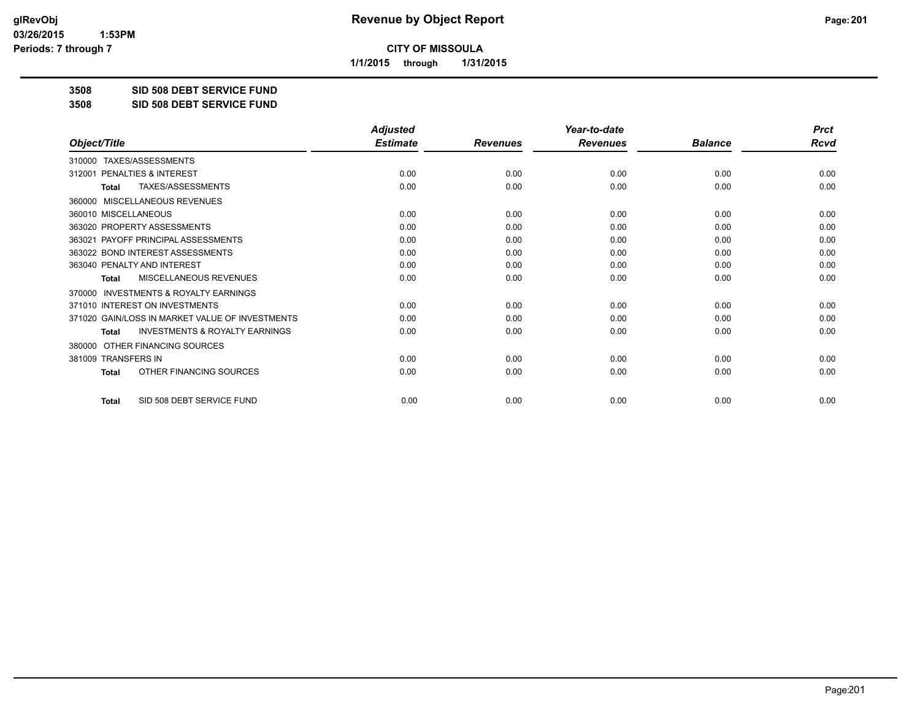**1/1/2015 through 1/31/2015**

**3508 SID 508 DEBT SERVICE FUND**

**3508 SID 508 DEBT SERVICE FUND**

|                                                           | <b>Adjusted</b> |                 | Year-to-date    |                | <b>Prct</b> |
|-----------------------------------------------------------|-----------------|-----------------|-----------------|----------------|-------------|
| Object/Title                                              | <b>Estimate</b> | <b>Revenues</b> | <b>Revenues</b> | <b>Balance</b> | <b>Rcvd</b> |
| TAXES/ASSESSMENTS<br>310000                               |                 |                 |                 |                |             |
| 312001 PENALTIES & INTEREST                               | 0.00            | 0.00            | 0.00            | 0.00           | 0.00        |
| TAXES/ASSESSMENTS<br><b>Total</b>                         | 0.00            | 0.00            | 0.00            | 0.00           | 0.00        |
| MISCELLANEOUS REVENUES<br>360000                          |                 |                 |                 |                |             |
| 360010 MISCELLANEOUS                                      | 0.00            | 0.00            | 0.00            | 0.00           | 0.00        |
| 363020 PROPERTY ASSESSMENTS                               | 0.00            | 0.00            | 0.00            | 0.00           | 0.00        |
| 363021 PAYOFF PRINCIPAL ASSESSMENTS                       | 0.00            | 0.00            | 0.00            | 0.00           | 0.00        |
| 363022 BOND INTEREST ASSESSMENTS                          | 0.00            | 0.00            | 0.00            | 0.00           | 0.00        |
| 363040 PENALTY AND INTEREST                               | 0.00            | 0.00            | 0.00            | 0.00           | 0.00        |
| <b>MISCELLANEOUS REVENUES</b><br><b>Total</b>             | 0.00            | 0.00            | 0.00            | 0.00           | 0.00        |
| <b>INVESTMENTS &amp; ROYALTY EARNINGS</b><br>370000       |                 |                 |                 |                |             |
| 371010 INTEREST ON INVESTMENTS                            | 0.00            | 0.00            | 0.00            | 0.00           | 0.00        |
| 371020 GAIN/LOSS IN MARKET VALUE OF INVESTMENTS           | 0.00            | 0.00            | 0.00            | 0.00           | 0.00        |
| <b>INVESTMENTS &amp; ROYALTY EARNINGS</b><br><b>Total</b> | 0.00            | 0.00            | 0.00            | 0.00           | 0.00        |
| OTHER FINANCING SOURCES<br>380000                         |                 |                 |                 |                |             |
| 381009 TRANSFERS IN                                       | 0.00            | 0.00            | 0.00            | 0.00           | 0.00        |
| OTHER FINANCING SOURCES<br>Total                          | 0.00            | 0.00            | 0.00            | 0.00           | 0.00        |
| SID 508 DEBT SERVICE FUND<br><b>Total</b>                 | 0.00            | 0.00            | 0.00            | 0.00           | 0.00        |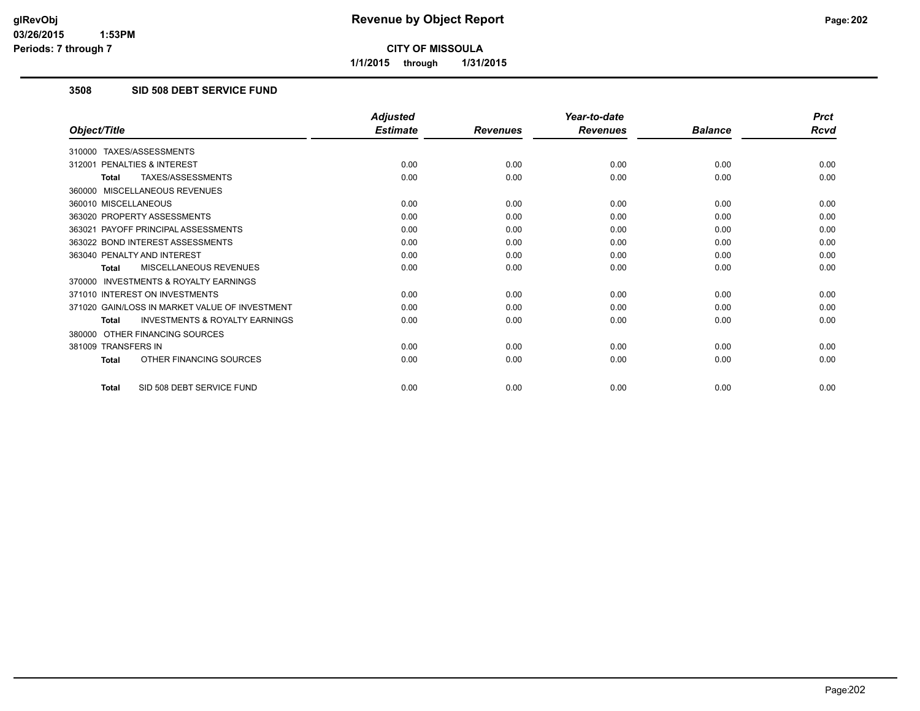**1/1/2015 through 1/31/2015**

# **3508 SID 508 DEBT SERVICE FUND**

|                                                           | <b>Adjusted</b> |                 | Year-to-date    |                | <b>Prct</b> |
|-----------------------------------------------------------|-----------------|-----------------|-----------------|----------------|-------------|
| Object/Title                                              | <b>Estimate</b> | <b>Revenues</b> | <b>Revenues</b> | <b>Balance</b> | <b>Rcvd</b> |
| 310000 TAXES/ASSESSMENTS                                  |                 |                 |                 |                |             |
| PENALTIES & INTEREST<br>312001                            | 0.00            | 0.00            | 0.00            | 0.00           | 0.00        |
| TAXES/ASSESSMENTS<br><b>Total</b>                         | 0.00            | 0.00            | 0.00            | 0.00           | 0.00        |
| 360000 MISCELLANEOUS REVENUES                             |                 |                 |                 |                |             |
| 360010 MISCELLANEOUS                                      | 0.00            | 0.00            | 0.00            | 0.00           | 0.00        |
| 363020 PROPERTY ASSESSMENTS                               | 0.00            | 0.00            | 0.00            | 0.00           | 0.00        |
| 363021 PAYOFF PRINCIPAL ASSESSMENTS                       | 0.00            | 0.00            | 0.00            | 0.00           | 0.00        |
| 363022 BOND INTEREST ASSESSMENTS                          | 0.00            | 0.00            | 0.00            | 0.00           | 0.00        |
| 363040 PENALTY AND INTEREST                               | 0.00            | 0.00            | 0.00            | 0.00           | 0.00        |
| <b>MISCELLANEOUS REVENUES</b><br><b>Total</b>             | 0.00            | 0.00            | 0.00            | 0.00           | 0.00        |
| <b>INVESTMENTS &amp; ROYALTY EARNINGS</b><br>370000       |                 |                 |                 |                |             |
| 371010 INTEREST ON INVESTMENTS                            | 0.00            | 0.00            | 0.00            | 0.00           | 0.00        |
| 371020 GAIN/LOSS IN MARKET VALUE OF INVESTMENT            | 0.00            | 0.00            | 0.00            | 0.00           | 0.00        |
| <b>INVESTMENTS &amp; ROYALTY EARNINGS</b><br><b>Total</b> | 0.00            | 0.00            | 0.00            | 0.00           | 0.00        |
| OTHER FINANCING SOURCES<br>380000                         |                 |                 |                 |                |             |
| 381009 TRANSFERS IN                                       | 0.00            | 0.00            | 0.00            | 0.00           | 0.00        |
| OTHER FINANCING SOURCES<br><b>Total</b>                   | 0.00            | 0.00            | 0.00            | 0.00           | 0.00        |
| SID 508 DEBT SERVICE FUND<br><b>Total</b>                 | 0.00            | 0.00            | 0.00            | 0.00           | 0.00        |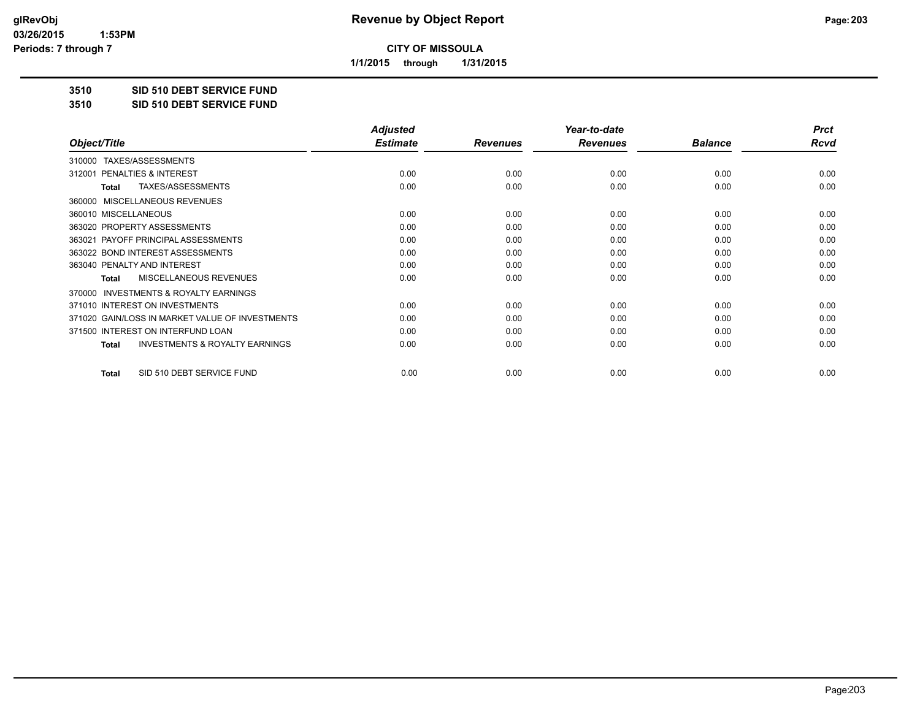**1/1/2015 through 1/31/2015**

**3510 SID 510 DEBT SERVICE FUND**

**3510 SID 510 DEBT SERVICE FUND**

|                                                           | <b>Adjusted</b> |                 | Year-to-date    |                | <b>Prct</b> |
|-----------------------------------------------------------|-----------------|-----------------|-----------------|----------------|-------------|
| Object/Title                                              | <b>Estimate</b> | <b>Revenues</b> | <b>Revenues</b> | <b>Balance</b> | <b>Rcvd</b> |
| 310000 TAXES/ASSESSMENTS                                  |                 |                 |                 |                |             |
| <b>PENALTIES &amp; INTEREST</b><br>312001                 | 0.00            | 0.00            | 0.00            | 0.00           | 0.00        |
| TAXES/ASSESSMENTS<br><b>Total</b>                         | 0.00            | 0.00            | 0.00            | 0.00           | 0.00        |
| MISCELLANEOUS REVENUES<br>360000                          |                 |                 |                 |                |             |
| 360010 MISCELLANEOUS                                      | 0.00            | 0.00            | 0.00            | 0.00           | 0.00        |
| 363020 PROPERTY ASSESSMENTS                               | 0.00            | 0.00            | 0.00            | 0.00           | 0.00        |
| 363021 PAYOFF PRINCIPAL ASSESSMENTS                       | 0.00            | 0.00            | 0.00            | 0.00           | 0.00        |
| 363022 BOND INTEREST ASSESSMENTS                          | 0.00            | 0.00            | 0.00            | 0.00           | 0.00        |
| 363040 PENALTY AND INTEREST                               | 0.00            | 0.00            | 0.00            | 0.00           | 0.00        |
| <b>MISCELLANEOUS REVENUES</b><br><b>Total</b>             | 0.00            | 0.00            | 0.00            | 0.00           | 0.00        |
| <b>INVESTMENTS &amp; ROYALTY EARNINGS</b><br>370000       |                 |                 |                 |                |             |
| 371010 INTEREST ON INVESTMENTS                            | 0.00            | 0.00            | 0.00            | 0.00           | 0.00        |
| 371020 GAIN/LOSS IN MARKET VALUE OF INVESTMENTS           | 0.00            | 0.00            | 0.00            | 0.00           | 0.00        |
| 371500 INTEREST ON INTERFUND LOAN                         | 0.00            | 0.00            | 0.00            | 0.00           | 0.00        |
| <b>INVESTMENTS &amp; ROYALTY EARNINGS</b><br><b>Total</b> | 0.00            | 0.00            | 0.00            | 0.00           | 0.00        |
| SID 510 DEBT SERVICE FUND<br><b>Total</b>                 | 0.00            | 0.00            | 0.00            | 0.00           | 0.00        |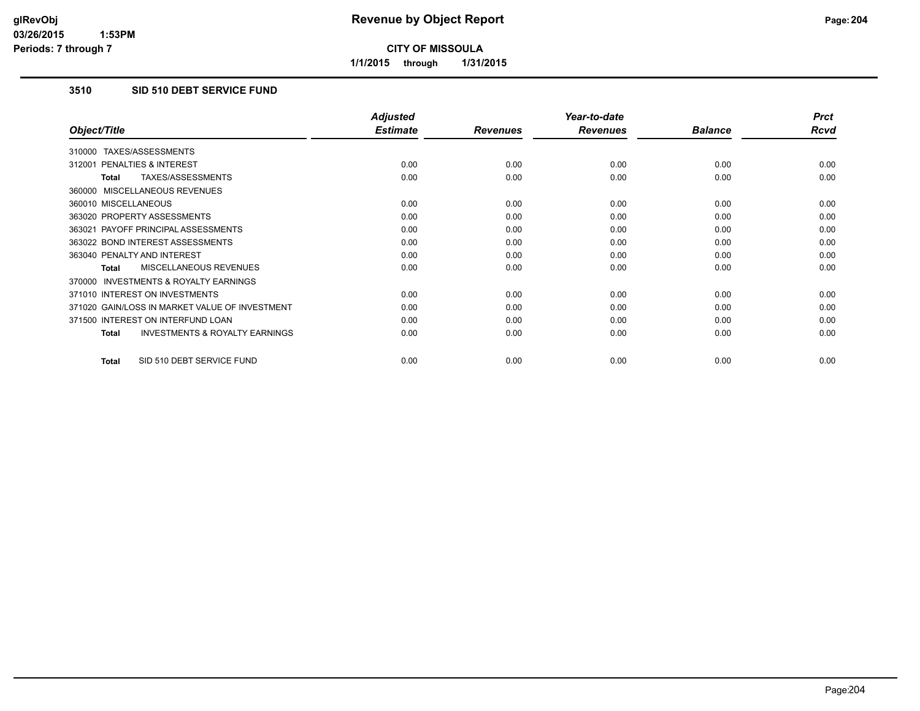**1/1/2015 through 1/31/2015**

# **3510 SID 510 DEBT SERVICE FUND**

|                                                           | <b>Adjusted</b> |                 | Year-to-date    |                | <b>Prct</b> |
|-----------------------------------------------------------|-----------------|-----------------|-----------------|----------------|-------------|
| Object/Title                                              | <b>Estimate</b> | <b>Revenues</b> | <b>Revenues</b> | <b>Balance</b> | Rcvd        |
| TAXES/ASSESSMENTS<br>310000                               |                 |                 |                 |                |             |
| <b>PENALTIES &amp; INTEREST</b><br>312001                 | 0.00            | 0.00            | 0.00            | 0.00           | 0.00        |
| TAXES/ASSESSMENTS<br><b>Total</b>                         | 0.00            | 0.00            | 0.00            | 0.00           | 0.00        |
| 360000 MISCELLANEOUS REVENUES                             |                 |                 |                 |                |             |
| 360010 MISCELLANEOUS                                      | 0.00            | 0.00            | 0.00            | 0.00           | 0.00        |
| 363020 PROPERTY ASSESSMENTS                               | 0.00            | 0.00            | 0.00            | 0.00           | 0.00        |
| 363021 PAYOFF PRINCIPAL ASSESSMENTS                       | 0.00            | 0.00            | 0.00            | 0.00           | 0.00        |
| 363022 BOND INTEREST ASSESSMENTS                          | 0.00            | 0.00            | 0.00            | 0.00           | 0.00        |
| 363040 PENALTY AND INTEREST                               | 0.00            | 0.00            | 0.00            | 0.00           | 0.00        |
| <b>MISCELLANEOUS REVENUES</b><br><b>Total</b>             | 0.00            | 0.00            | 0.00            | 0.00           | 0.00        |
| <b>INVESTMENTS &amp; ROYALTY EARNINGS</b><br>370000       |                 |                 |                 |                |             |
| 371010 INTEREST ON INVESTMENTS                            | 0.00            | 0.00            | 0.00            | 0.00           | 0.00        |
| 371020 GAIN/LOSS IN MARKET VALUE OF INVESTMENT            | 0.00            | 0.00            | 0.00            | 0.00           | 0.00        |
| 371500 INTEREST ON INTERFUND LOAN                         | 0.00            | 0.00            | 0.00            | 0.00           | 0.00        |
| <b>INVESTMENTS &amp; ROYALTY EARNINGS</b><br><b>Total</b> | 0.00            | 0.00            | 0.00            | 0.00           | 0.00        |
| SID 510 DEBT SERVICE FUND<br><b>Total</b>                 | 0.00            | 0.00            | 0.00            | 0.00           | 0.00        |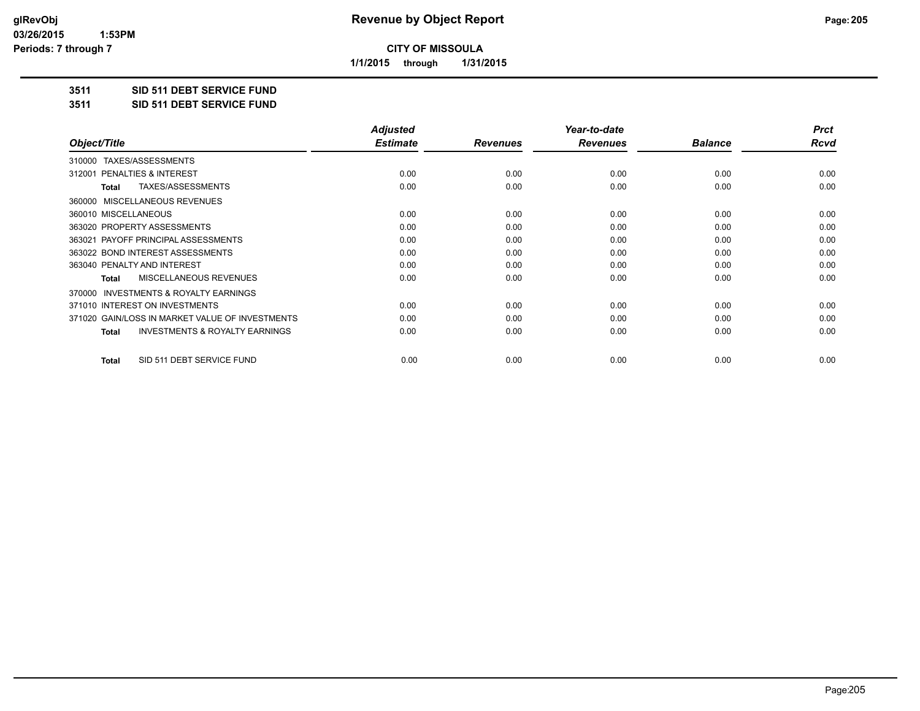**1/1/2015 through 1/31/2015**

**3511 SID 511 DEBT SERVICE FUND**

**3511 SID 511 DEBT SERVICE FUND**

|                                                           | <b>Adjusted</b> |                 | Year-to-date    |                | <b>Prct</b> |
|-----------------------------------------------------------|-----------------|-----------------|-----------------|----------------|-------------|
| Object/Title                                              | <b>Estimate</b> | <b>Revenues</b> | <b>Revenues</b> | <b>Balance</b> | Rcvd        |
| TAXES/ASSESSMENTS<br>310000                               |                 |                 |                 |                |             |
| 312001 PENALTIES & INTEREST                               | 0.00            | 0.00            | 0.00            | 0.00           | 0.00        |
| TAXES/ASSESSMENTS<br>Total                                | 0.00            | 0.00            | 0.00            | 0.00           | 0.00        |
| MISCELLANEOUS REVENUES<br>360000                          |                 |                 |                 |                |             |
| 360010 MISCELLANEOUS                                      | 0.00            | 0.00            | 0.00            | 0.00           | 0.00        |
| 363020 PROPERTY ASSESSMENTS                               | 0.00            | 0.00            | 0.00            | 0.00           | 0.00        |
| 363021 PAYOFF PRINCIPAL ASSESSMENTS                       | 0.00            | 0.00            | 0.00            | 0.00           | 0.00        |
| 363022 BOND INTEREST ASSESSMENTS                          | 0.00            | 0.00            | 0.00            | 0.00           | 0.00        |
| 363040 PENALTY AND INTEREST                               | 0.00            | 0.00            | 0.00            | 0.00           | 0.00        |
| MISCELLANEOUS REVENUES<br><b>Total</b>                    | 0.00            | 0.00            | 0.00            | 0.00           | 0.00        |
| <b>INVESTMENTS &amp; ROYALTY EARNINGS</b><br>370000       |                 |                 |                 |                |             |
| 371010 INTEREST ON INVESTMENTS                            | 0.00            | 0.00            | 0.00            | 0.00           | 0.00        |
| 371020 GAIN/LOSS IN MARKET VALUE OF INVESTMENTS           | 0.00            | 0.00            | 0.00            | 0.00           | 0.00        |
| <b>INVESTMENTS &amp; ROYALTY EARNINGS</b><br><b>Total</b> | 0.00            | 0.00            | 0.00            | 0.00           | 0.00        |
| SID 511 DEBT SERVICE FUND<br>Total                        | 0.00            | 0.00            | 0.00            | 0.00           | 0.00        |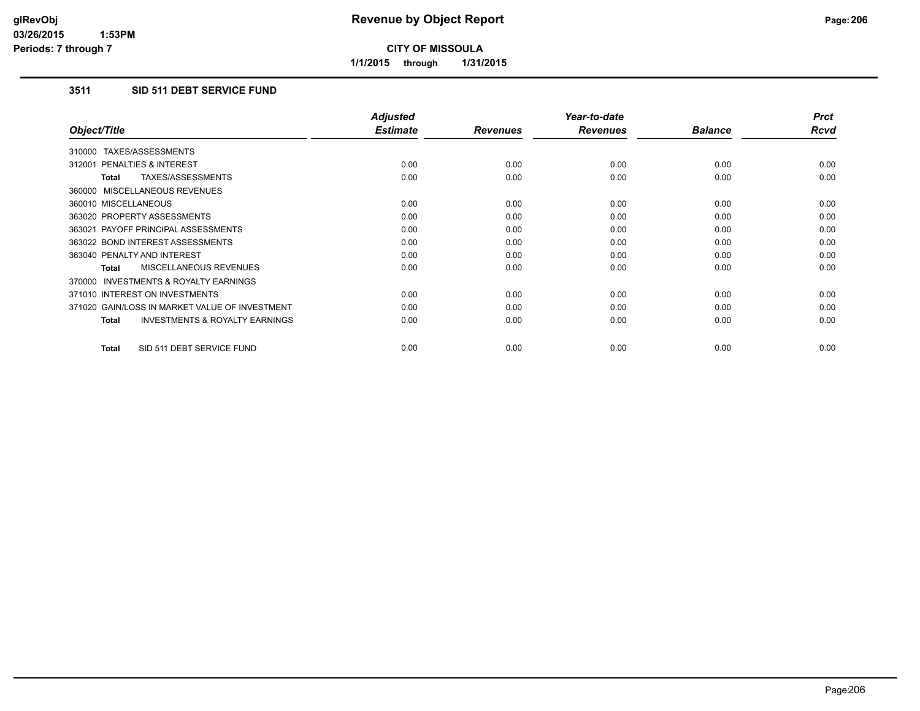**1/1/2015 through 1/31/2015**

# **3511 SID 511 DEBT SERVICE FUND**

|                                                           | <b>Adjusted</b> |                 | Year-to-date    |                | <b>Prct</b> |
|-----------------------------------------------------------|-----------------|-----------------|-----------------|----------------|-------------|
| Object/Title                                              | <b>Estimate</b> | <b>Revenues</b> | <b>Revenues</b> | <b>Balance</b> | <b>Rcvd</b> |
| 310000 TAXES/ASSESSMENTS                                  |                 |                 |                 |                |             |
| 312001 PENALTIES & INTEREST                               | 0.00            | 0.00            | 0.00            | 0.00           | 0.00        |
| TAXES/ASSESSMENTS<br><b>Total</b>                         | 0.00            | 0.00            | 0.00            | 0.00           | 0.00        |
| 360000 MISCELLANEOUS REVENUES                             |                 |                 |                 |                |             |
| 360010 MISCELLANEOUS                                      | 0.00            | 0.00            | 0.00            | 0.00           | 0.00        |
| 363020 PROPERTY ASSESSMENTS                               | 0.00            | 0.00            | 0.00            | 0.00           | 0.00        |
| 363021 PAYOFF PRINCIPAL ASSESSMENTS                       | 0.00            | 0.00            | 0.00            | 0.00           | 0.00        |
| 363022 BOND INTEREST ASSESSMENTS                          | 0.00            | 0.00            | 0.00            | 0.00           | 0.00        |
| 363040 PENALTY AND INTEREST                               | 0.00            | 0.00            | 0.00            | 0.00           | 0.00        |
| <b>MISCELLANEOUS REVENUES</b><br><b>Total</b>             | 0.00            | 0.00            | 0.00            | 0.00           | 0.00        |
| <b>INVESTMENTS &amp; ROYALTY EARNINGS</b><br>370000       |                 |                 |                 |                |             |
| 371010 INTEREST ON INVESTMENTS                            | 0.00            | 0.00            | 0.00            | 0.00           | 0.00        |
| 371020 GAIN/LOSS IN MARKET VALUE OF INVESTMENT            | 0.00            | 0.00            | 0.00            | 0.00           | 0.00        |
| <b>INVESTMENTS &amp; ROYALTY EARNINGS</b><br><b>Total</b> | 0.00            | 0.00            | 0.00            | 0.00           | 0.00        |
| SID 511 DEBT SERVICE FUND<br><b>Total</b>                 | 0.00            | 0.00            | 0.00            | 0.00           | 0.00        |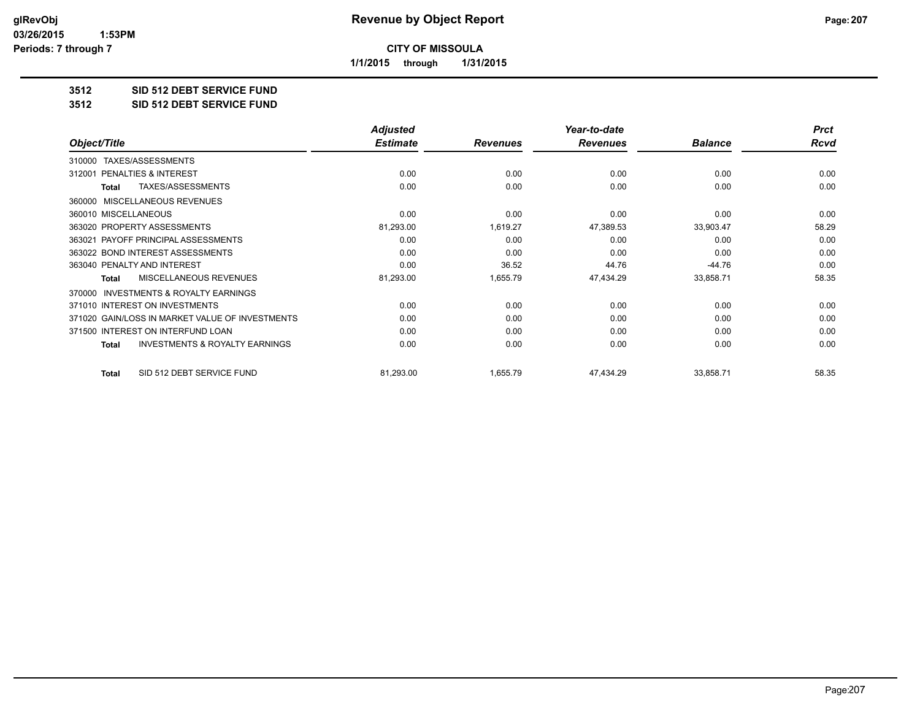**1/1/2015 through 1/31/2015**

#### **3512 SID 512 DEBT SERVICE FUND**

**3512 SID 512 DEBT SERVICE FUND**

|                                                           | <b>Adjusted</b> |                 | Year-to-date    |                | <b>Prct</b> |
|-----------------------------------------------------------|-----------------|-----------------|-----------------|----------------|-------------|
| Object/Title                                              | <b>Estimate</b> | <b>Revenues</b> | <b>Revenues</b> | <b>Balance</b> | Rcvd        |
| TAXES/ASSESSMENTS<br>310000                               |                 |                 |                 |                |             |
| <b>PENALTIES &amp; INTEREST</b><br>312001                 | 0.00            | 0.00            | 0.00            | 0.00           | 0.00        |
| TAXES/ASSESSMENTS<br><b>Total</b>                         | 0.00            | 0.00            | 0.00            | 0.00           | 0.00        |
| MISCELLANEOUS REVENUES<br>360000                          |                 |                 |                 |                |             |
| 360010 MISCELLANEOUS                                      | 0.00            | 0.00            | 0.00            | 0.00           | 0.00        |
| 363020 PROPERTY ASSESSMENTS                               | 81,293.00       | 1,619.27        | 47,389.53       | 33,903.47      | 58.29       |
| 363021 PAYOFF PRINCIPAL ASSESSMENTS                       | 0.00            | 0.00            | 0.00            | 0.00           | 0.00        |
| 363022 BOND INTEREST ASSESSMENTS                          | 0.00            | 0.00            | 0.00            | 0.00           | 0.00        |
| 363040 PENALTY AND INTEREST                               | 0.00            | 36.52           | 44.76           | $-44.76$       | 0.00        |
| <b>MISCELLANEOUS REVENUES</b><br><b>Total</b>             | 81,293.00       | 1,655.79        | 47,434.29       | 33,858.71      | 58.35       |
| <b>INVESTMENTS &amp; ROYALTY EARNINGS</b><br>370000       |                 |                 |                 |                |             |
| 371010 INTEREST ON INVESTMENTS                            | 0.00            | 0.00            | 0.00            | 0.00           | 0.00        |
| 371020 GAIN/LOSS IN MARKET VALUE OF INVESTMENTS           | 0.00            | 0.00            | 0.00            | 0.00           | 0.00        |
| 371500 INTEREST ON INTERFUND LOAN                         | 0.00            | 0.00            | 0.00            | 0.00           | 0.00        |
| <b>INVESTMENTS &amp; ROYALTY EARNINGS</b><br><b>Total</b> | 0.00            | 0.00            | 0.00            | 0.00           | 0.00        |
| SID 512 DEBT SERVICE FUND<br><b>Total</b>                 | 81,293.00       | 1,655.79        | 47,434.29       | 33,858.71      | 58.35       |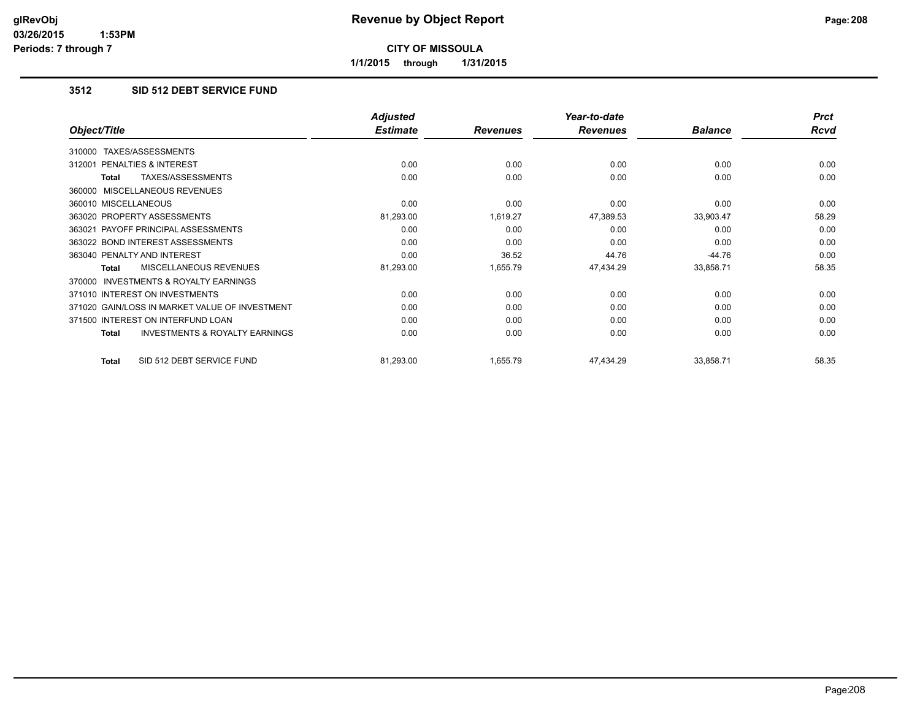**1/1/2015 through 1/31/2015**

# **3512 SID 512 DEBT SERVICE FUND**

|                                                           | <b>Adjusted</b> |                 | Year-to-date    |                | <b>Prct</b> |
|-----------------------------------------------------------|-----------------|-----------------|-----------------|----------------|-------------|
| Object/Title                                              | <b>Estimate</b> | <b>Revenues</b> | <b>Revenues</b> | <b>Balance</b> | Rcvd        |
| TAXES/ASSESSMENTS<br>310000                               |                 |                 |                 |                |             |
| 312001 PENALTIES & INTEREST                               | 0.00            | 0.00            | 0.00            | 0.00           | 0.00        |
| TAXES/ASSESSMENTS<br>Total                                | 0.00            | 0.00            | 0.00            | 0.00           | 0.00        |
| 360000 MISCELLANEOUS REVENUES                             |                 |                 |                 |                |             |
| 360010 MISCELLANEOUS                                      | 0.00            | 0.00            | 0.00            | 0.00           | 0.00        |
| 363020 PROPERTY ASSESSMENTS                               | 81,293.00       | 1,619.27        | 47,389.53       | 33,903.47      | 58.29       |
| 363021 PAYOFF PRINCIPAL ASSESSMENTS                       | 0.00            | 0.00            | 0.00            | 0.00           | 0.00        |
| 363022 BOND INTEREST ASSESSMENTS                          | 0.00            | 0.00            | 0.00            | 0.00           | 0.00        |
| 363040 PENALTY AND INTEREST                               | 0.00            | 36.52           | 44.76           | $-44.76$       | 0.00        |
| MISCELLANEOUS REVENUES<br>Total                           | 81,293.00       | 1,655.79        | 47,434.29       | 33,858.71      | 58.35       |
| <b>INVESTMENTS &amp; ROYALTY EARNINGS</b><br>370000       |                 |                 |                 |                |             |
| 371010 INTEREST ON INVESTMENTS                            | 0.00            | 0.00            | 0.00            | 0.00           | 0.00        |
| 371020 GAIN/LOSS IN MARKET VALUE OF INVESTMENT            | 0.00            | 0.00            | 0.00            | 0.00           | 0.00        |
| 371500 INTEREST ON INTERFUND LOAN                         | 0.00            | 0.00            | 0.00            | 0.00           | 0.00        |
| <b>INVESTMENTS &amp; ROYALTY EARNINGS</b><br><b>Total</b> | 0.00            | 0.00            | 0.00            | 0.00           | 0.00        |
| SID 512 DEBT SERVICE FUND<br><b>Total</b>                 | 81,293.00       | 1,655.79        | 47,434.29       | 33,858.71      | 58.35       |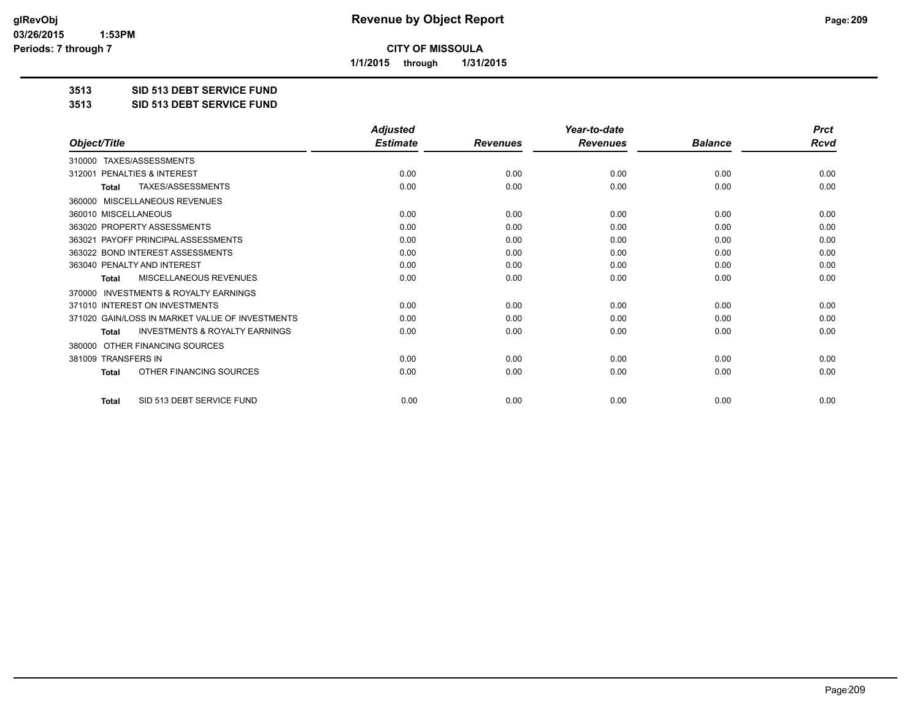**1/1/2015 through 1/31/2015**

**3513 SID 513 DEBT SERVICE FUND**

**3513 SID 513 DEBT SERVICE FUND**

|                                                           | <b>Adjusted</b> |                 | Year-to-date    |                | <b>Prct</b> |
|-----------------------------------------------------------|-----------------|-----------------|-----------------|----------------|-------------|
| Object/Title                                              | <b>Estimate</b> | <b>Revenues</b> | <b>Revenues</b> | <b>Balance</b> | <b>Rcvd</b> |
| TAXES/ASSESSMENTS<br>310000                               |                 |                 |                 |                |             |
| 312001 PENALTIES & INTEREST                               | 0.00            | 0.00            | 0.00            | 0.00           | 0.00        |
| TAXES/ASSESSMENTS<br><b>Total</b>                         | 0.00            | 0.00            | 0.00            | 0.00           | 0.00        |
| MISCELLANEOUS REVENUES<br>360000                          |                 |                 |                 |                |             |
| 360010 MISCELLANEOUS                                      | 0.00            | 0.00            | 0.00            | 0.00           | 0.00        |
| 363020 PROPERTY ASSESSMENTS                               | 0.00            | 0.00            | 0.00            | 0.00           | 0.00        |
| 363021 PAYOFF PRINCIPAL ASSESSMENTS                       | 0.00            | 0.00            | 0.00            | 0.00           | 0.00        |
| 363022 BOND INTEREST ASSESSMENTS                          | 0.00            | 0.00            | 0.00            | 0.00           | 0.00        |
| 363040 PENALTY AND INTEREST                               | 0.00            | 0.00            | 0.00            | 0.00           | 0.00        |
| <b>MISCELLANEOUS REVENUES</b><br><b>Total</b>             | 0.00            | 0.00            | 0.00            | 0.00           | 0.00        |
| <b>INVESTMENTS &amp; ROYALTY EARNINGS</b><br>370000       |                 |                 |                 |                |             |
| 371010 INTEREST ON INVESTMENTS                            | 0.00            | 0.00            | 0.00            | 0.00           | 0.00        |
| 371020 GAIN/LOSS IN MARKET VALUE OF INVESTMENTS           | 0.00            | 0.00            | 0.00            | 0.00           | 0.00        |
| <b>INVESTMENTS &amp; ROYALTY EARNINGS</b><br><b>Total</b> | 0.00            | 0.00            | 0.00            | 0.00           | 0.00        |
| OTHER FINANCING SOURCES<br>380000                         |                 |                 |                 |                |             |
| 381009 TRANSFERS IN                                       | 0.00            | 0.00            | 0.00            | 0.00           | 0.00        |
| OTHER FINANCING SOURCES<br>Total                          | 0.00            | 0.00            | 0.00            | 0.00           | 0.00        |
| SID 513 DEBT SERVICE FUND<br><b>Total</b>                 | 0.00            | 0.00            | 0.00            | 0.00           | 0.00        |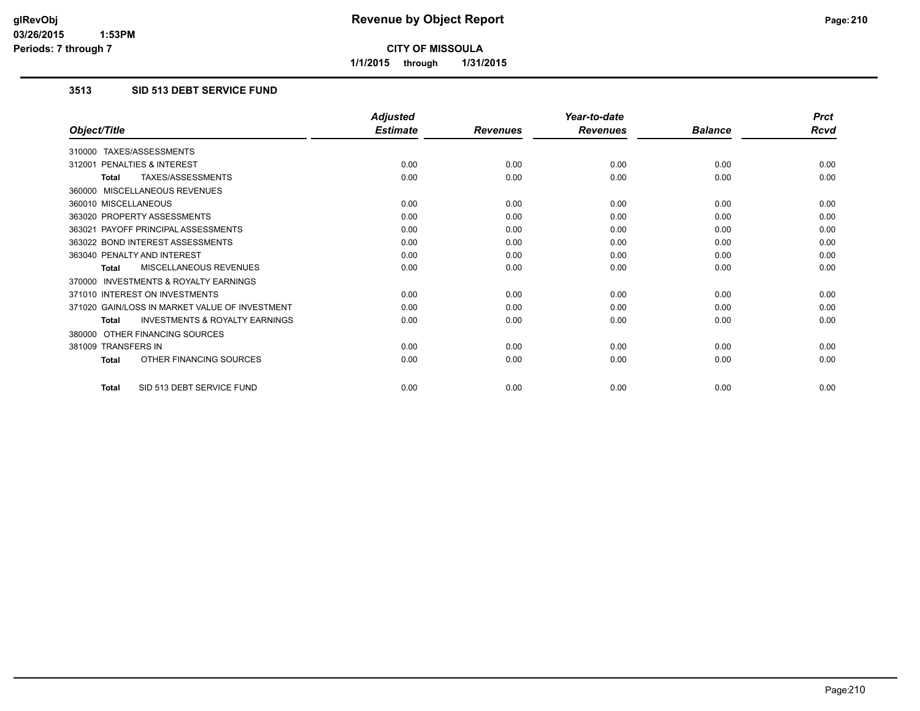**1/1/2015 through 1/31/2015**

# **3513 SID 513 DEBT SERVICE FUND**

|                                                           | <b>Adjusted</b> |                 | Year-to-date    |                | <b>Prct</b> |
|-----------------------------------------------------------|-----------------|-----------------|-----------------|----------------|-------------|
| Object/Title                                              | <b>Estimate</b> | <b>Revenues</b> | <b>Revenues</b> | <b>Balance</b> | <b>Rcvd</b> |
| 310000 TAXES/ASSESSMENTS                                  |                 |                 |                 |                |             |
| 312001 PENALTIES & INTEREST                               | 0.00            | 0.00            | 0.00            | 0.00           | 0.00        |
| TAXES/ASSESSMENTS<br><b>Total</b>                         | 0.00            | 0.00            | 0.00            | 0.00           | 0.00        |
| 360000 MISCELLANEOUS REVENUES                             |                 |                 |                 |                |             |
| 360010 MISCELLANEOUS                                      | 0.00            | 0.00            | 0.00            | 0.00           | 0.00        |
| 363020 PROPERTY ASSESSMENTS                               | 0.00            | 0.00            | 0.00            | 0.00           | 0.00        |
| 363021 PAYOFF PRINCIPAL ASSESSMENTS                       | 0.00            | 0.00            | 0.00            | 0.00           | 0.00        |
| 363022 BOND INTEREST ASSESSMENTS                          | 0.00            | 0.00            | 0.00            | 0.00           | 0.00        |
| 363040 PENALTY AND INTEREST                               | 0.00            | 0.00            | 0.00            | 0.00           | 0.00        |
| MISCELLANEOUS REVENUES<br><b>Total</b>                    | 0.00            | 0.00            | 0.00            | 0.00           | 0.00        |
| <b>INVESTMENTS &amp; ROYALTY EARNINGS</b><br>370000       |                 |                 |                 |                |             |
| 371010 INTEREST ON INVESTMENTS                            | 0.00            | 0.00            | 0.00            | 0.00           | 0.00        |
| 371020 GAIN/LOSS IN MARKET VALUE OF INVESTMENT            | 0.00            | 0.00            | 0.00            | 0.00           | 0.00        |
| <b>INVESTMENTS &amp; ROYALTY EARNINGS</b><br><b>Total</b> | 0.00            | 0.00            | 0.00            | 0.00           | 0.00        |
| 380000 OTHER FINANCING SOURCES                            |                 |                 |                 |                |             |
| 381009 TRANSFERS IN                                       | 0.00            | 0.00            | 0.00            | 0.00           | 0.00        |
| OTHER FINANCING SOURCES<br><b>Total</b>                   | 0.00            | 0.00            | 0.00            | 0.00           | 0.00        |
| SID 513 DEBT SERVICE FUND<br>Total                        | 0.00            | 0.00            | 0.00            | 0.00           | 0.00        |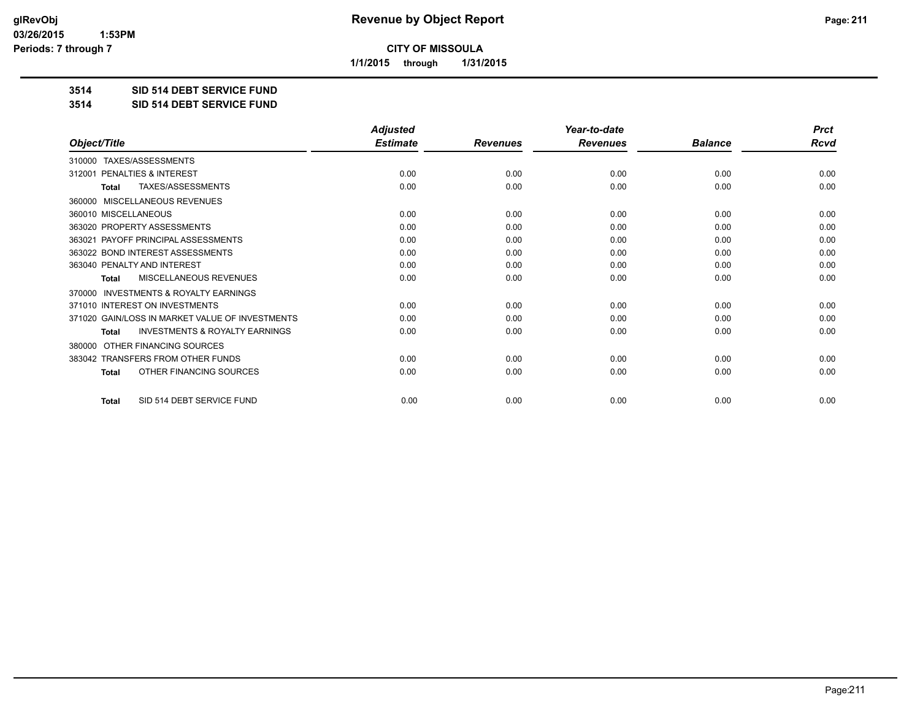**1/1/2015 through 1/31/2015**

**3514 SID 514 DEBT SERVICE FUND**

**3514 SID 514 DEBT SERVICE FUND**

|                                                     | <b>Adjusted</b> |                 | Year-to-date    |                | <b>Prct</b> |
|-----------------------------------------------------|-----------------|-----------------|-----------------|----------------|-------------|
| Object/Title                                        | <b>Estimate</b> | <b>Revenues</b> | <b>Revenues</b> | <b>Balance</b> | <b>Rcvd</b> |
| 310000 TAXES/ASSESSMENTS                            |                 |                 |                 |                |             |
| <b>PENALTIES &amp; INTEREST</b><br>312001           | 0.00            | 0.00            | 0.00            | 0.00           | 0.00        |
| TAXES/ASSESSMENTS<br><b>Total</b>                   | 0.00            | 0.00            | 0.00            | 0.00           | 0.00        |
| MISCELLANEOUS REVENUES<br>360000                    |                 |                 |                 |                |             |
| 360010 MISCELLANEOUS                                | 0.00            | 0.00            | 0.00            | 0.00           | 0.00        |
| 363020 PROPERTY ASSESSMENTS                         | 0.00            | 0.00            | 0.00            | 0.00           | 0.00        |
| 363021 PAYOFF PRINCIPAL ASSESSMENTS                 | 0.00            | 0.00            | 0.00            | 0.00           | 0.00        |
| 363022 BOND INTEREST ASSESSMENTS                    | 0.00            | 0.00            | 0.00            | 0.00           | 0.00        |
| 363040 PENALTY AND INTEREST                         | 0.00            | 0.00            | 0.00            | 0.00           | 0.00        |
| MISCELLANEOUS REVENUES<br><b>Total</b>              | 0.00            | 0.00            | 0.00            | 0.00           | 0.00        |
| <b>INVESTMENTS &amp; ROYALTY EARNINGS</b><br>370000 |                 |                 |                 |                |             |
| 371010 INTEREST ON INVESTMENTS                      | 0.00            | 0.00            | 0.00            | 0.00           | 0.00        |
| 371020 GAIN/LOSS IN MARKET VALUE OF INVESTMENTS     | 0.00            | 0.00            | 0.00            | 0.00           | 0.00        |
| <b>INVESTMENTS &amp; ROYALTY EARNINGS</b><br>Total  | 0.00            | 0.00            | 0.00            | 0.00           | 0.00        |
| OTHER FINANCING SOURCES<br>380000                   |                 |                 |                 |                |             |
| 383042 TRANSFERS FROM OTHER FUNDS                   | 0.00            | 0.00            | 0.00            | 0.00           | 0.00        |
| OTHER FINANCING SOURCES<br>Total                    | 0.00            | 0.00            | 0.00            | 0.00           | 0.00        |
| SID 514 DEBT SERVICE FUND<br><b>Total</b>           | 0.00            | 0.00            | 0.00            | 0.00           | 0.00        |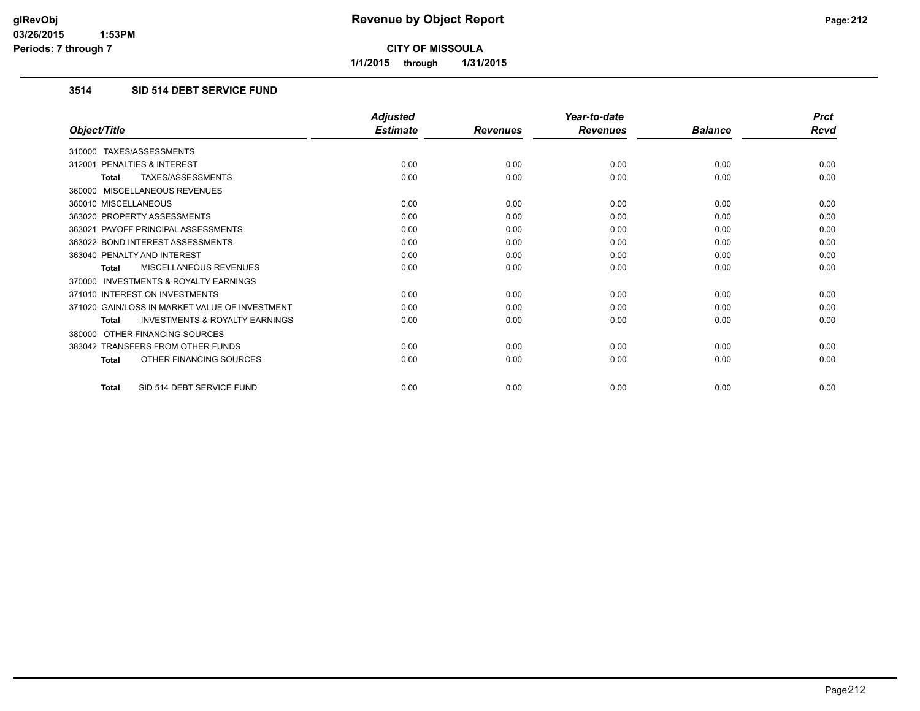**1/1/2015 through 1/31/2015**

# **3514 SID 514 DEBT SERVICE FUND**

|                                                           | <b>Adjusted</b> |                 | Year-to-date    |                | <b>Prct</b> |
|-----------------------------------------------------------|-----------------|-----------------|-----------------|----------------|-------------|
| Object/Title                                              | <b>Estimate</b> | <b>Revenues</b> | <b>Revenues</b> | <b>Balance</b> | Rcvd        |
| 310000 TAXES/ASSESSMENTS                                  |                 |                 |                 |                |             |
| PENALTIES & INTEREST<br>312001                            | 0.00            | 0.00            | 0.00            | 0.00           | 0.00        |
| TAXES/ASSESSMENTS<br><b>Total</b>                         | 0.00            | 0.00            | 0.00            | 0.00           | 0.00        |
| 360000 MISCELLANEOUS REVENUES                             |                 |                 |                 |                |             |
| 360010 MISCELLANEOUS                                      | 0.00            | 0.00            | 0.00            | 0.00           | 0.00        |
| 363020 PROPERTY ASSESSMENTS                               | 0.00            | 0.00            | 0.00            | 0.00           | 0.00        |
| 363021 PAYOFF PRINCIPAL ASSESSMENTS                       | 0.00            | 0.00            | 0.00            | 0.00           | 0.00        |
| 363022 BOND INTEREST ASSESSMENTS                          | 0.00            | 0.00            | 0.00            | 0.00           | 0.00        |
| 363040 PENALTY AND INTEREST                               | 0.00            | 0.00            | 0.00            | 0.00           | 0.00        |
| <b>MISCELLANEOUS REVENUES</b><br><b>Total</b>             | 0.00            | 0.00            | 0.00            | 0.00           | 0.00        |
| <b>INVESTMENTS &amp; ROYALTY EARNINGS</b><br>370000       |                 |                 |                 |                |             |
| 371010 INTEREST ON INVESTMENTS                            | 0.00            | 0.00            | 0.00            | 0.00           | 0.00        |
| 371020 GAIN/LOSS IN MARKET VALUE OF INVESTMENT            | 0.00            | 0.00            | 0.00            | 0.00           | 0.00        |
| <b>INVESTMENTS &amp; ROYALTY EARNINGS</b><br><b>Total</b> | 0.00            | 0.00            | 0.00            | 0.00           | 0.00        |
| OTHER FINANCING SOURCES<br>380000                         |                 |                 |                 |                |             |
| 383042 TRANSFERS FROM OTHER FUNDS                         | 0.00            | 0.00            | 0.00            | 0.00           | 0.00        |
| OTHER FINANCING SOURCES<br><b>Total</b>                   | 0.00            | 0.00            | 0.00            | 0.00           | 0.00        |
| SID 514 DEBT SERVICE FUND<br><b>Total</b>                 | 0.00            | 0.00            | 0.00            | 0.00           | 0.00        |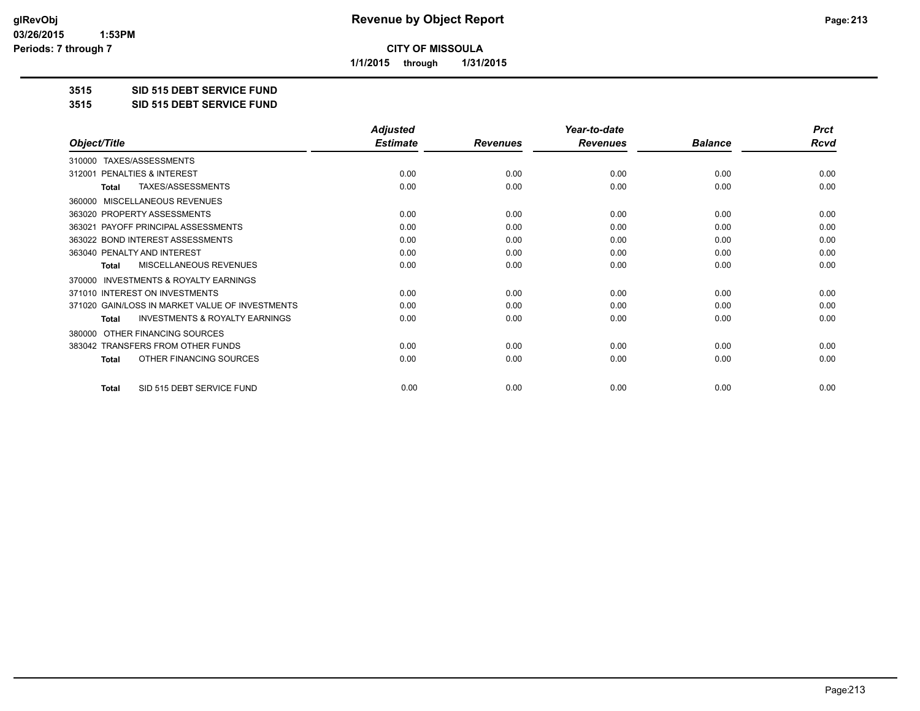**1/1/2015 through 1/31/2015**

**3515 SID 515 DEBT SERVICE FUND**

**3515 SID 515 DEBT SERVICE FUND**

|                                                           | <b>Adjusted</b> |                 | Year-to-date    | <b>Prct</b>    |             |
|-----------------------------------------------------------|-----------------|-----------------|-----------------|----------------|-------------|
| Object/Title                                              | <b>Estimate</b> | <b>Revenues</b> | <b>Revenues</b> | <b>Balance</b> | <b>Rcvd</b> |
| TAXES/ASSESSMENTS<br>310000                               |                 |                 |                 |                |             |
| PENALTIES & INTEREST<br>312001                            | 0.00            | 0.00            | 0.00            | 0.00           | 0.00        |
| TAXES/ASSESSMENTS<br>Total                                | 0.00            | 0.00            | 0.00            | 0.00           | 0.00        |
| MISCELLANEOUS REVENUES<br>360000                          |                 |                 |                 |                |             |
| 363020 PROPERTY ASSESSMENTS                               | 0.00            | 0.00            | 0.00            | 0.00           | 0.00        |
| PAYOFF PRINCIPAL ASSESSMENTS<br>363021                    | 0.00            | 0.00            | 0.00            | 0.00           | 0.00        |
| 363022 BOND INTEREST ASSESSMENTS                          | 0.00            | 0.00            | 0.00            | 0.00           | 0.00        |
| 363040 PENALTY AND INTEREST                               | 0.00            | 0.00            | 0.00            | 0.00           | 0.00        |
| <b>MISCELLANEOUS REVENUES</b><br>Total                    | 0.00            | 0.00            | 0.00            | 0.00           | 0.00        |
| <b>INVESTMENTS &amp; ROYALTY EARNINGS</b><br>370000       |                 |                 |                 |                |             |
| 371010 INTEREST ON INVESTMENTS                            | 0.00            | 0.00            | 0.00            | 0.00           | 0.00        |
| 371020 GAIN/LOSS IN MARKET VALUE OF INVESTMENTS           | 0.00            | 0.00            | 0.00            | 0.00           | 0.00        |
| <b>INVESTMENTS &amp; ROYALTY EARNINGS</b><br><b>Total</b> | 0.00            | 0.00            | 0.00            | 0.00           | 0.00        |
| OTHER FINANCING SOURCES<br>380000                         |                 |                 |                 |                |             |
| 383042 TRANSFERS FROM OTHER FUNDS                         | 0.00            | 0.00            | 0.00            | 0.00           | 0.00        |
| OTHER FINANCING SOURCES<br><b>Total</b>                   | 0.00            | 0.00            | 0.00            | 0.00           | 0.00        |
| SID 515 DEBT SERVICE FUND<br><b>Total</b>                 | 0.00            | 0.00            | 0.00            | 0.00           | 0.00        |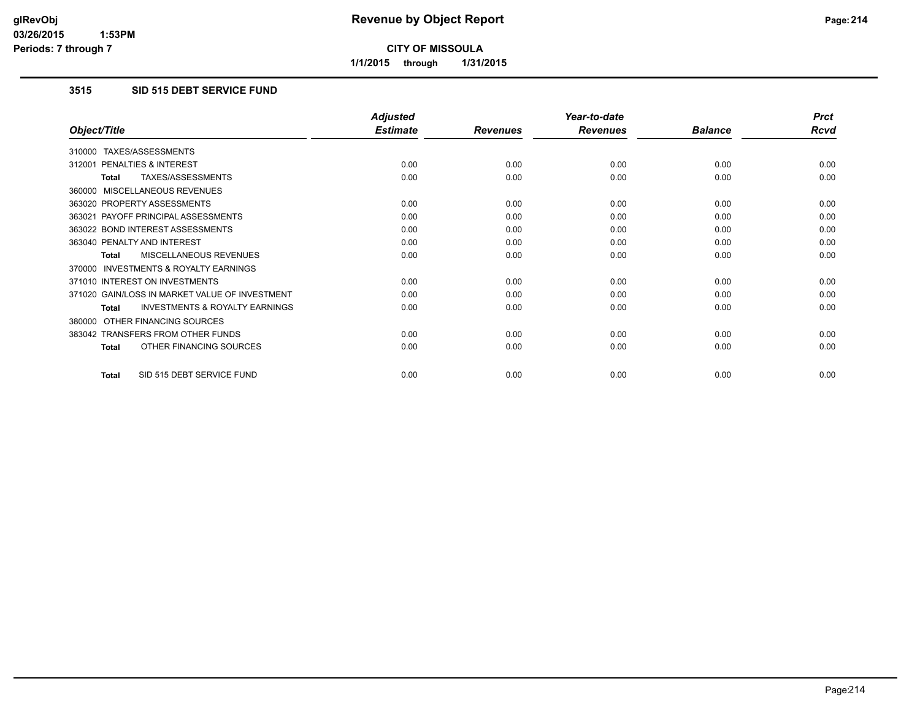**1/1/2015 through 1/31/2015**

# **3515 SID 515 DEBT SERVICE FUND**

|                                                           | <b>Adjusted</b> |                 | Year-to-date    |                | <b>Prct</b> |
|-----------------------------------------------------------|-----------------|-----------------|-----------------|----------------|-------------|
| Object/Title                                              | <b>Estimate</b> | <b>Revenues</b> | <b>Revenues</b> | <b>Balance</b> | <b>Rcvd</b> |
| TAXES/ASSESSMENTS<br>310000                               |                 |                 |                 |                |             |
| 312001 PENALTIES & INTEREST                               | 0.00            | 0.00            | 0.00            | 0.00           | 0.00        |
| TAXES/ASSESSMENTS<br><b>Total</b>                         | 0.00            | 0.00            | 0.00            | 0.00           | 0.00        |
| MISCELLANEOUS REVENUES<br>360000                          |                 |                 |                 |                |             |
| 363020 PROPERTY ASSESSMENTS                               | 0.00            | 0.00            | 0.00            | 0.00           | 0.00        |
| 363021 PAYOFF PRINCIPAL ASSESSMENTS                       | 0.00            | 0.00            | 0.00            | 0.00           | 0.00        |
| 363022 BOND INTEREST ASSESSMENTS                          | 0.00            | 0.00            | 0.00            | 0.00           | 0.00        |
| 363040 PENALTY AND INTEREST                               | 0.00            | 0.00            | 0.00            | 0.00           | 0.00        |
| MISCELLANEOUS REVENUES<br><b>Total</b>                    | 0.00            | 0.00            | 0.00            | 0.00           | 0.00        |
| <b>INVESTMENTS &amp; ROYALTY EARNINGS</b><br>370000       |                 |                 |                 |                |             |
| 371010 INTEREST ON INVESTMENTS                            | 0.00            | 0.00            | 0.00            | 0.00           | 0.00        |
| 371020 GAIN/LOSS IN MARKET VALUE OF INVESTMENT            | 0.00            | 0.00            | 0.00            | 0.00           | 0.00        |
| <b>INVESTMENTS &amp; ROYALTY EARNINGS</b><br><b>Total</b> | 0.00            | 0.00            | 0.00            | 0.00           | 0.00        |
| OTHER FINANCING SOURCES<br>380000                         |                 |                 |                 |                |             |
| 383042 TRANSFERS FROM OTHER FUNDS                         | 0.00            | 0.00            | 0.00            | 0.00           | 0.00        |
| OTHER FINANCING SOURCES<br><b>Total</b>                   | 0.00            | 0.00            | 0.00            | 0.00           | 0.00        |
| SID 515 DEBT SERVICE FUND<br><b>Total</b>                 | 0.00            | 0.00            | 0.00            | 0.00           | 0.00        |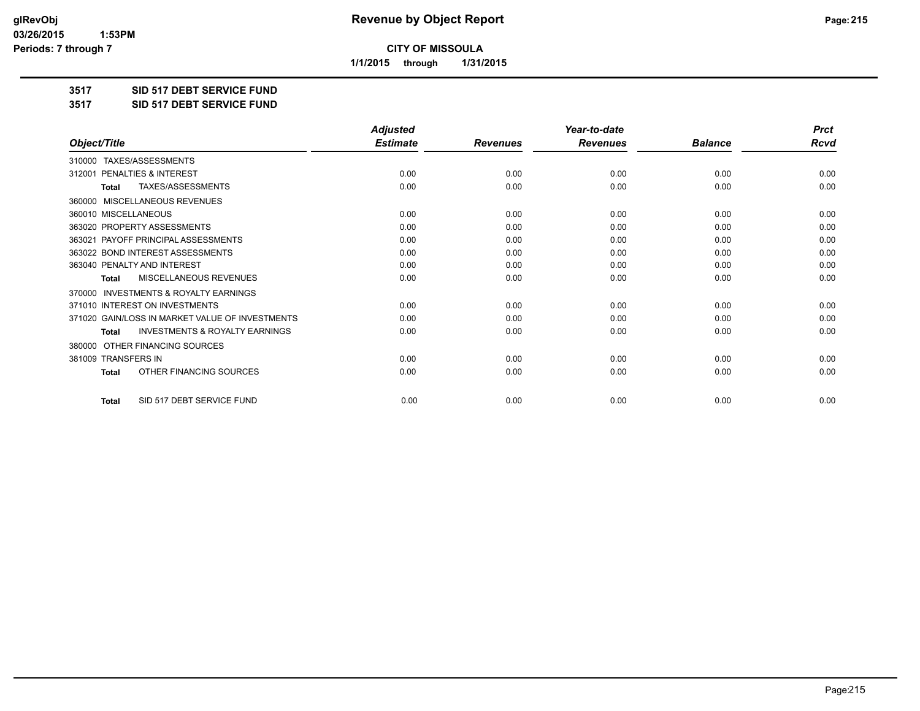**1/1/2015 through 1/31/2015**

**3517 SID 517 DEBT SERVICE FUND**

**3517 SID 517 DEBT SERVICE FUND**

|                                                           | <b>Adjusted</b> |                 | Year-to-date    |                | <b>Prct</b> |
|-----------------------------------------------------------|-----------------|-----------------|-----------------|----------------|-------------|
| Object/Title                                              | <b>Estimate</b> | <b>Revenues</b> | <b>Revenues</b> | <b>Balance</b> | <b>Rcvd</b> |
| TAXES/ASSESSMENTS<br>310000                               |                 |                 |                 |                |             |
| 312001 PENALTIES & INTEREST                               | 0.00            | 0.00            | 0.00            | 0.00           | 0.00        |
| TAXES/ASSESSMENTS<br><b>Total</b>                         | 0.00            | 0.00            | 0.00            | 0.00           | 0.00        |
| MISCELLANEOUS REVENUES<br>360000                          |                 |                 |                 |                |             |
| 360010 MISCELLANEOUS                                      | 0.00            | 0.00            | 0.00            | 0.00           | 0.00        |
| 363020 PROPERTY ASSESSMENTS                               | 0.00            | 0.00            | 0.00            | 0.00           | 0.00        |
| 363021 PAYOFF PRINCIPAL ASSESSMENTS                       | 0.00            | 0.00            | 0.00            | 0.00           | 0.00        |
| 363022 BOND INTEREST ASSESSMENTS                          | 0.00            | 0.00            | 0.00            | 0.00           | 0.00        |
| 363040 PENALTY AND INTEREST                               | 0.00            | 0.00            | 0.00            | 0.00           | 0.00        |
| MISCELLANEOUS REVENUES<br><b>Total</b>                    | 0.00            | 0.00            | 0.00            | 0.00           | 0.00        |
| <b>INVESTMENTS &amp; ROYALTY EARNINGS</b><br>370000       |                 |                 |                 |                |             |
| 371010 INTEREST ON INVESTMENTS                            | 0.00            | 0.00            | 0.00            | 0.00           | 0.00        |
| 371020 GAIN/LOSS IN MARKET VALUE OF INVESTMENTS           | 0.00            | 0.00            | 0.00            | 0.00           | 0.00        |
| <b>INVESTMENTS &amp; ROYALTY EARNINGS</b><br><b>Total</b> | 0.00            | 0.00            | 0.00            | 0.00           | 0.00        |
| OTHER FINANCING SOURCES<br>380000                         |                 |                 |                 |                |             |
| 381009 TRANSFERS IN                                       | 0.00            | 0.00            | 0.00            | 0.00           | 0.00        |
| OTHER FINANCING SOURCES<br><b>Total</b>                   | 0.00            | 0.00            | 0.00            | 0.00           | 0.00        |
| SID 517 DEBT SERVICE FUND<br><b>Total</b>                 | 0.00            | 0.00            | 0.00            | 0.00           | 0.00        |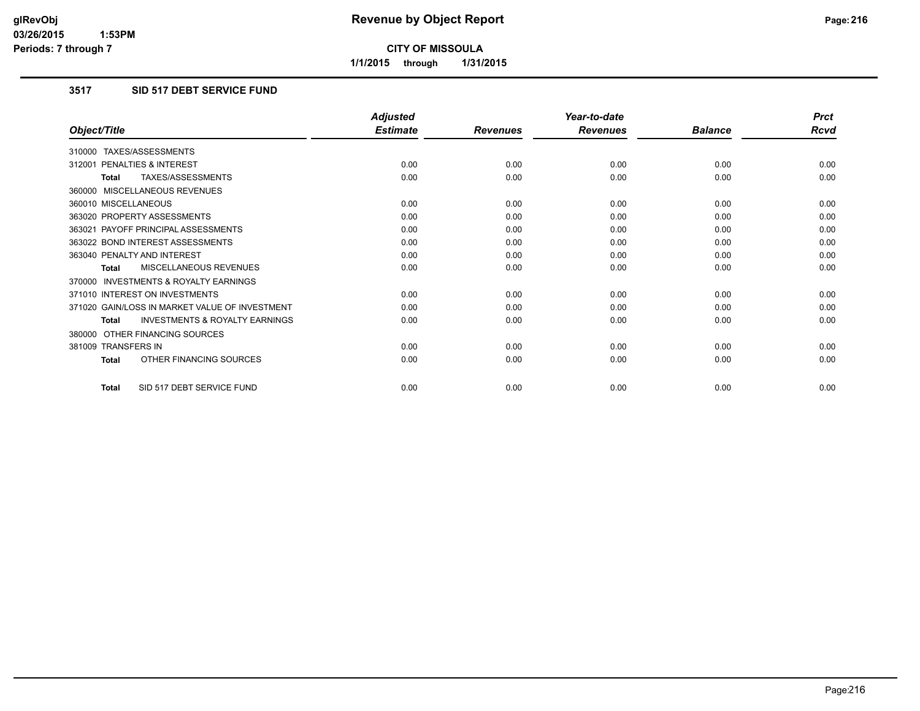**1/1/2015 through 1/31/2015**

# **3517 SID 517 DEBT SERVICE FUND**

|                                                           | <b>Adjusted</b> |                 | Year-to-date    |                | <b>Prct</b> |
|-----------------------------------------------------------|-----------------|-----------------|-----------------|----------------|-------------|
| Object/Title                                              | <b>Estimate</b> | <b>Revenues</b> | <b>Revenues</b> | <b>Balance</b> | <b>Rcvd</b> |
| 310000 TAXES/ASSESSMENTS                                  |                 |                 |                 |                |             |
| 312001 PENALTIES & INTEREST                               | 0.00            | 0.00            | 0.00            | 0.00           | 0.00        |
| TAXES/ASSESSMENTS<br><b>Total</b>                         | 0.00            | 0.00            | 0.00            | 0.00           | 0.00        |
| 360000 MISCELLANEOUS REVENUES                             |                 |                 |                 |                |             |
| 360010 MISCELLANEOUS                                      | 0.00            | 0.00            | 0.00            | 0.00           | 0.00        |
| 363020 PROPERTY ASSESSMENTS                               | 0.00            | 0.00            | 0.00            | 0.00           | 0.00        |
| 363021 PAYOFF PRINCIPAL ASSESSMENTS                       | 0.00            | 0.00            | 0.00            | 0.00           | 0.00        |
| 363022 BOND INTEREST ASSESSMENTS                          | 0.00            | 0.00            | 0.00            | 0.00           | 0.00        |
| 363040 PENALTY AND INTEREST                               | 0.00            | 0.00            | 0.00            | 0.00           | 0.00        |
| MISCELLANEOUS REVENUES<br><b>Total</b>                    | 0.00            | 0.00            | 0.00            | 0.00           | 0.00        |
| <b>INVESTMENTS &amp; ROYALTY EARNINGS</b><br>370000       |                 |                 |                 |                |             |
| 371010 INTEREST ON INVESTMENTS                            | 0.00            | 0.00            | 0.00            | 0.00           | 0.00        |
| 371020 GAIN/LOSS IN MARKET VALUE OF INVESTMENT            | 0.00            | 0.00            | 0.00            | 0.00           | 0.00        |
| <b>INVESTMENTS &amp; ROYALTY EARNINGS</b><br><b>Total</b> | 0.00            | 0.00            | 0.00            | 0.00           | 0.00        |
| 380000 OTHER FINANCING SOURCES                            |                 |                 |                 |                |             |
| 381009 TRANSFERS IN                                       | 0.00            | 0.00            | 0.00            | 0.00           | 0.00        |
| OTHER FINANCING SOURCES<br><b>Total</b>                   | 0.00            | 0.00            | 0.00            | 0.00           | 0.00        |
| SID 517 DEBT SERVICE FUND<br><b>Total</b>                 | 0.00            | 0.00            | 0.00            | 0.00           | 0.00        |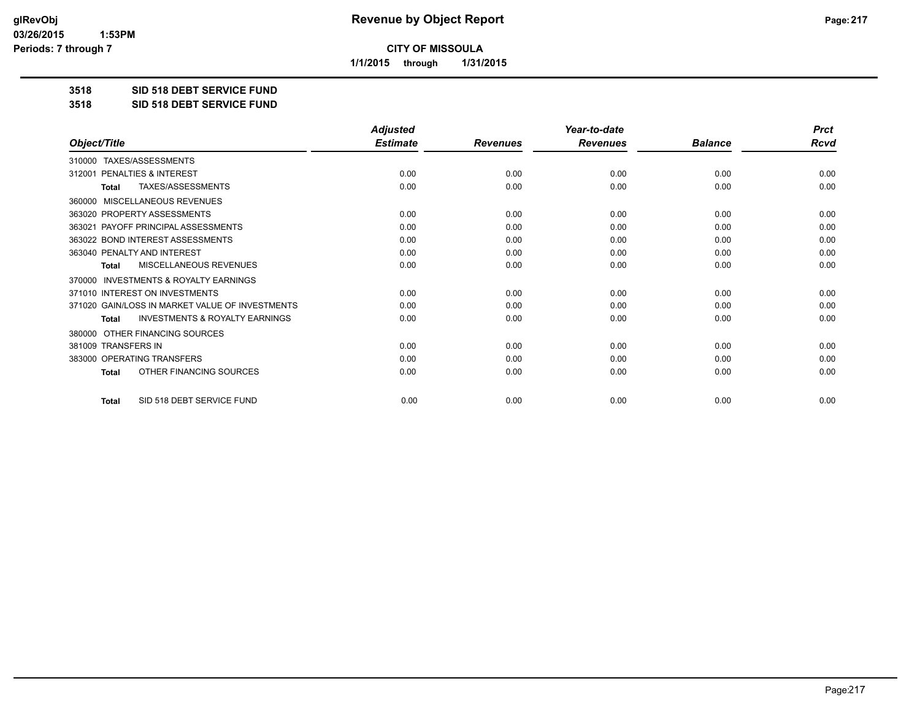**1/1/2015 through 1/31/2015**

**3518 SID 518 DEBT SERVICE FUND**

**3518 SID 518 DEBT SERVICE FUND**

|                                                           | <b>Adjusted</b> |                 | Year-to-date    |                | <b>Prct</b> |
|-----------------------------------------------------------|-----------------|-----------------|-----------------|----------------|-------------|
| Object/Title                                              | <b>Estimate</b> | <b>Revenues</b> | <b>Revenues</b> | <b>Balance</b> | <b>Rcvd</b> |
| 310000 TAXES/ASSESSMENTS                                  |                 |                 |                 |                |             |
| PENALTIES & INTEREST<br>312001                            | 0.00            | 0.00            | 0.00            | 0.00           | 0.00        |
| TAXES/ASSESSMENTS<br><b>Total</b>                         | 0.00            | 0.00            | 0.00            | 0.00           | 0.00        |
| <b>MISCELLANEOUS REVENUES</b><br>360000                   |                 |                 |                 |                |             |
| 363020 PROPERTY ASSESSMENTS                               | 0.00            | 0.00            | 0.00            | 0.00           | 0.00        |
| 363021 PAYOFF PRINCIPAL ASSESSMENTS                       | 0.00            | 0.00            | 0.00            | 0.00           | 0.00        |
| 363022 BOND INTEREST ASSESSMENTS                          | 0.00            | 0.00            | 0.00            | 0.00           | 0.00        |
| 363040 PENALTY AND INTEREST                               | 0.00            | 0.00            | 0.00            | 0.00           | 0.00        |
| MISCELLANEOUS REVENUES<br><b>Total</b>                    | 0.00            | 0.00            | 0.00            | 0.00           | 0.00        |
| <b>INVESTMENTS &amp; ROYALTY EARNINGS</b><br>370000       |                 |                 |                 |                |             |
| 371010 INTEREST ON INVESTMENTS                            | 0.00            | 0.00            | 0.00            | 0.00           | 0.00        |
| 371020 GAIN/LOSS IN MARKET VALUE OF INVESTMENTS           | 0.00            | 0.00            | 0.00            | 0.00           | 0.00        |
| <b>INVESTMENTS &amp; ROYALTY EARNINGS</b><br><b>Total</b> | 0.00            | 0.00            | 0.00            | 0.00           | 0.00        |
| OTHER FINANCING SOURCES<br>380000                         |                 |                 |                 |                |             |
| 381009 TRANSFERS IN                                       | 0.00            | 0.00            | 0.00            | 0.00           | 0.00        |
| 383000 OPERATING TRANSFERS                                | 0.00            | 0.00            | 0.00            | 0.00           | 0.00        |
| OTHER FINANCING SOURCES<br><b>Total</b>                   | 0.00            | 0.00            | 0.00            | 0.00           | 0.00        |
| SID 518 DEBT SERVICE FUND<br><b>Total</b>                 | 0.00            | 0.00            | 0.00            | 0.00           | 0.00        |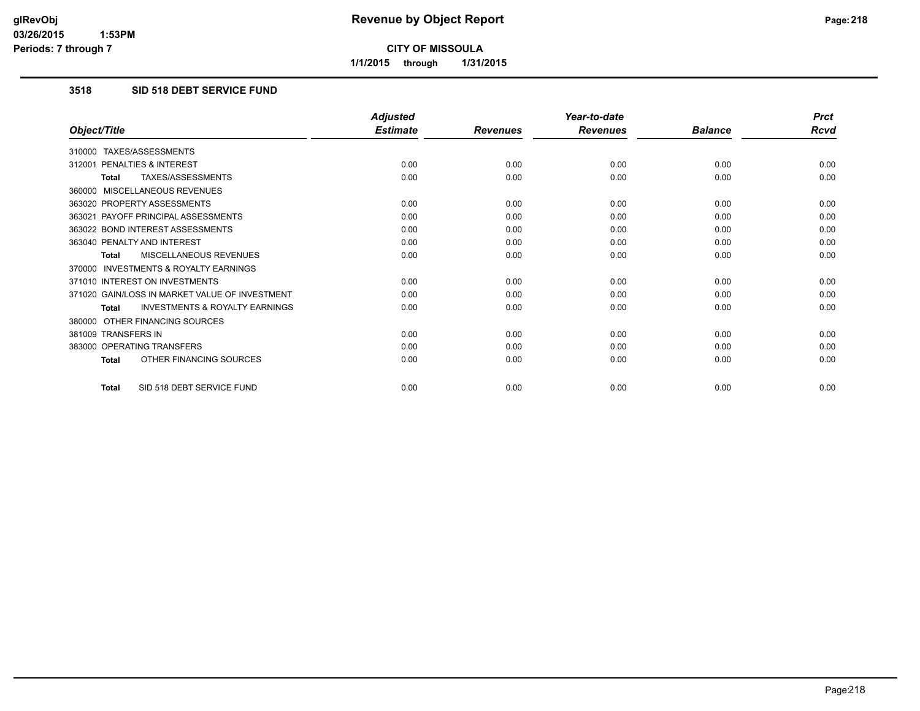**1/1/2015 through 1/31/2015**

# **3518 SID 518 DEBT SERVICE FUND**

|                                                           | <b>Adjusted</b> |                 | Year-to-date    |                | <b>Prct</b> |
|-----------------------------------------------------------|-----------------|-----------------|-----------------|----------------|-------------|
| Object/Title                                              | <b>Estimate</b> | <b>Revenues</b> | <b>Revenues</b> | <b>Balance</b> | <b>Rcvd</b> |
| 310000 TAXES/ASSESSMENTS                                  |                 |                 |                 |                |             |
| PENALTIES & INTEREST<br>312001                            | 0.00            | 0.00            | 0.00            | 0.00           | 0.00        |
| TAXES/ASSESSMENTS<br><b>Total</b>                         | 0.00            | 0.00            | 0.00            | 0.00           | 0.00        |
| 360000 MISCELLANEOUS REVENUES                             |                 |                 |                 |                |             |
| 363020 PROPERTY ASSESSMENTS                               | 0.00            | 0.00            | 0.00            | 0.00           | 0.00        |
| 363021 PAYOFF PRINCIPAL ASSESSMENTS                       | 0.00            | 0.00            | 0.00            | 0.00           | 0.00        |
| 363022 BOND INTEREST ASSESSMENTS                          | 0.00            | 0.00            | 0.00            | 0.00           | 0.00        |
| 363040 PENALTY AND INTEREST                               | 0.00            | 0.00            | 0.00            | 0.00           | 0.00        |
| MISCELLANEOUS REVENUES<br><b>Total</b>                    | 0.00            | 0.00            | 0.00            | 0.00           | 0.00        |
| <b>INVESTMENTS &amp; ROYALTY EARNINGS</b><br>370000       |                 |                 |                 |                |             |
| 371010 INTEREST ON INVESTMENTS                            | 0.00            | 0.00            | 0.00            | 0.00           | 0.00        |
| 371020 GAIN/LOSS IN MARKET VALUE OF INVESTMENT            | 0.00            | 0.00            | 0.00            | 0.00           | 0.00        |
| <b>INVESTMENTS &amp; ROYALTY EARNINGS</b><br><b>Total</b> | 0.00            | 0.00            | 0.00            | 0.00           | 0.00        |
| 380000 OTHER FINANCING SOURCES                            |                 |                 |                 |                |             |
| 381009 TRANSFERS IN                                       | 0.00            | 0.00            | 0.00            | 0.00           | 0.00        |
| 383000 OPERATING TRANSFERS                                | 0.00            | 0.00            | 0.00            | 0.00           | 0.00        |
| OTHER FINANCING SOURCES<br><b>Total</b>                   | 0.00            | 0.00            | 0.00            | 0.00           | 0.00        |
| SID 518 DEBT SERVICE FUND<br><b>Total</b>                 | 0.00            | 0.00            | 0.00            | 0.00           | 0.00        |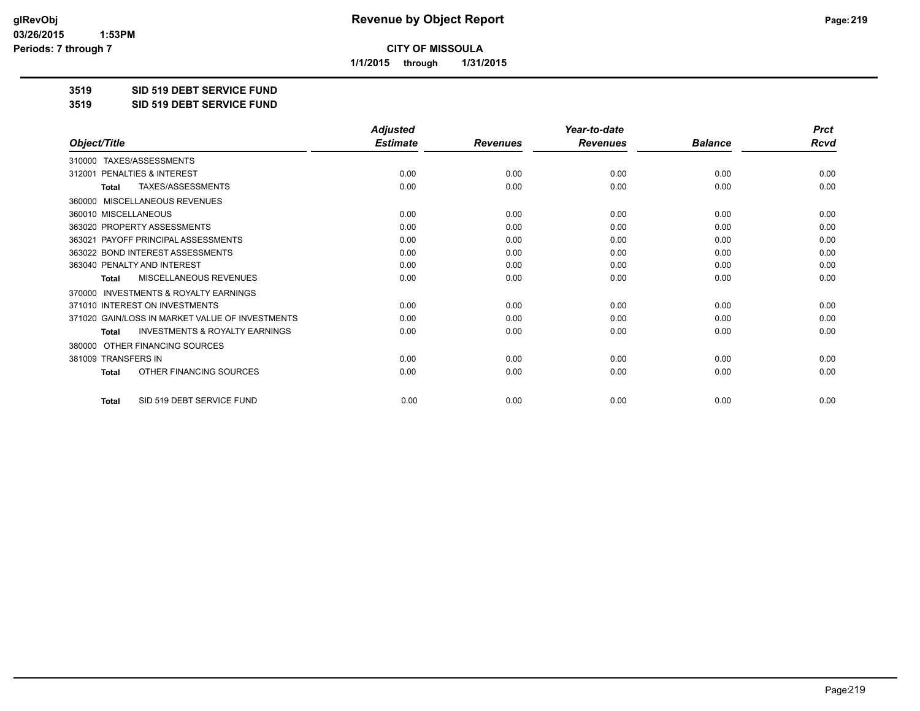**1/1/2015 through 1/31/2015**

**3519 SID 519 DEBT SERVICE FUND**

**3519 SID 519 DEBT SERVICE FUND**

|                                                           | <b>Adjusted</b> |                 | Year-to-date    |                | <b>Prct</b> |
|-----------------------------------------------------------|-----------------|-----------------|-----------------|----------------|-------------|
| Object/Title                                              | <b>Estimate</b> | <b>Revenues</b> | <b>Revenues</b> | <b>Balance</b> | <b>Rcvd</b> |
| TAXES/ASSESSMENTS<br>310000                               |                 |                 |                 |                |             |
| 312001 PENALTIES & INTEREST                               | 0.00            | 0.00            | 0.00            | 0.00           | 0.00        |
| TAXES/ASSESSMENTS<br><b>Total</b>                         | 0.00            | 0.00            | 0.00            | 0.00           | 0.00        |
| MISCELLANEOUS REVENUES<br>360000                          |                 |                 |                 |                |             |
| 360010 MISCELLANEOUS                                      | 0.00            | 0.00            | 0.00            | 0.00           | 0.00        |
| 363020 PROPERTY ASSESSMENTS                               | 0.00            | 0.00            | 0.00            | 0.00           | 0.00        |
| 363021 PAYOFF PRINCIPAL ASSESSMENTS                       | 0.00            | 0.00            | 0.00            | 0.00           | 0.00        |
| 363022 BOND INTEREST ASSESSMENTS                          | 0.00            | 0.00            | 0.00            | 0.00           | 0.00        |
| 363040 PENALTY AND INTEREST                               | 0.00            | 0.00            | 0.00            | 0.00           | 0.00        |
| <b>MISCELLANEOUS REVENUES</b><br><b>Total</b>             | 0.00            | 0.00            | 0.00            | 0.00           | 0.00        |
| <b>INVESTMENTS &amp; ROYALTY EARNINGS</b><br>370000       |                 |                 |                 |                |             |
| 371010 INTEREST ON INVESTMENTS                            | 0.00            | 0.00            | 0.00            | 0.00           | 0.00        |
| 371020 GAIN/LOSS IN MARKET VALUE OF INVESTMENTS           | 0.00            | 0.00            | 0.00            | 0.00           | 0.00        |
| <b>INVESTMENTS &amp; ROYALTY EARNINGS</b><br><b>Total</b> | 0.00            | 0.00            | 0.00            | 0.00           | 0.00        |
| OTHER FINANCING SOURCES<br>380000                         |                 |                 |                 |                |             |
| 381009 TRANSFERS IN                                       | 0.00            | 0.00            | 0.00            | 0.00           | 0.00        |
| OTHER FINANCING SOURCES<br>Total                          | 0.00            | 0.00            | 0.00            | 0.00           | 0.00        |
| SID 519 DEBT SERVICE FUND<br><b>Total</b>                 | 0.00            | 0.00            | 0.00            | 0.00           | 0.00        |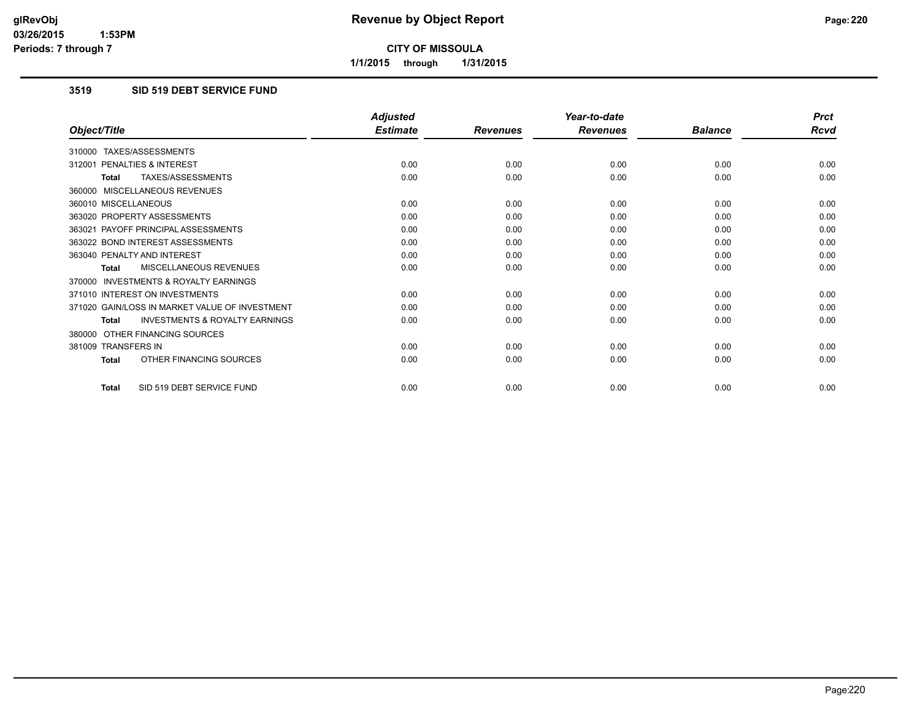**1/1/2015 through 1/31/2015**

# **3519 SID 519 DEBT SERVICE FUND**

|                                                           | <b>Adjusted</b> |                 | Year-to-date    |                | <b>Prct</b> |
|-----------------------------------------------------------|-----------------|-----------------|-----------------|----------------|-------------|
| Object/Title                                              | <b>Estimate</b> | <b>Revenues</b> | <b>Revenues</b> | <b>Balance</b> | <b>Rcvd</b> |
| 310000 TAXES/ASSESSMENTS                                  |                 |                 |                 |                |             |
| 312001 PENALTIES & INTEREST                               | 0.00            | 0.00            | 0.00            | 0.00           | 0.00        |
| TAXES/ASSESSMENTS<br><b>Total</b>                         | 0.00            | 0.00            | 0.00            | 0.00           | 0.00        |
| 360000 MISCELLANEOUS REVENUES                             |                 |                 |                 |                |             |
| 360010 MISCELLANEOUS                                      | 0.00            | 0.00            | 0.00            | 0.00           | 0.00        |
| 363020 PROPERTY ASSESSMENTS                               | 0.00            | 0.00            | 0.00            | 0.00           | 0.00        |
| 363021 PAYOFF PRINCIPAL ASSESSMENTS                       | 0.00            | 0.00            | 0.00            | 0.00           | 0.00        |
| 363022 BOND INTEREST ASSESSMENTS                          | 0.00            | 0.00            | 0.00            | 0.00           | 0.00        |
| 363040 PENALTY AND INTEREST                               | 0.00            | 0.00            | 0.00            | 0.00           | 0.00        |
| MISCELLANEOUS REVENUES<br><b>Total</b>                    | 0.00            | 0.00            | 0.00            | 0.00           | 0.00        |
| <b>INVESTMENTS &amp; ROYALTY EARNINGS</b><br>370000       |                 |                 |                 |                |             |
| 371010 INTEREST ON INVESTMENTS                            | 0.00            | 0.00            | 0.00            | 0.00           | 0.00        |
| 371020 GAIN/LOSS IN MARKET VALUE OF INVESTMENT            | 0.00            | 0.00            | 0.00            | 0.00           | 0.00        |
| <b>INVESTMENTS &amp; ROYALTY EARNINGS</b><br><b>Total</b> | 0.00            | 0.00            | 0.00            | 0.00           | 0.00        |
| 380000 OTHER FINANCING SOURCES                            |                 |                 |                 |                |             |
| 381009 TRANSFERS IN                                       | 0.00            | 0.00            | 0.00            | 0.00           | 0.00        |
| OTHER FINANCING SOURCES<br><b>Total</b>                   | 0.00            | 0.00            | 0.00            | 0.00           | 0.00        |
| SID 519 DEBT SERVICE FUND<br>Total                        | 0.00            | 0.00            | 0.00            | 0.00           | 0.00        |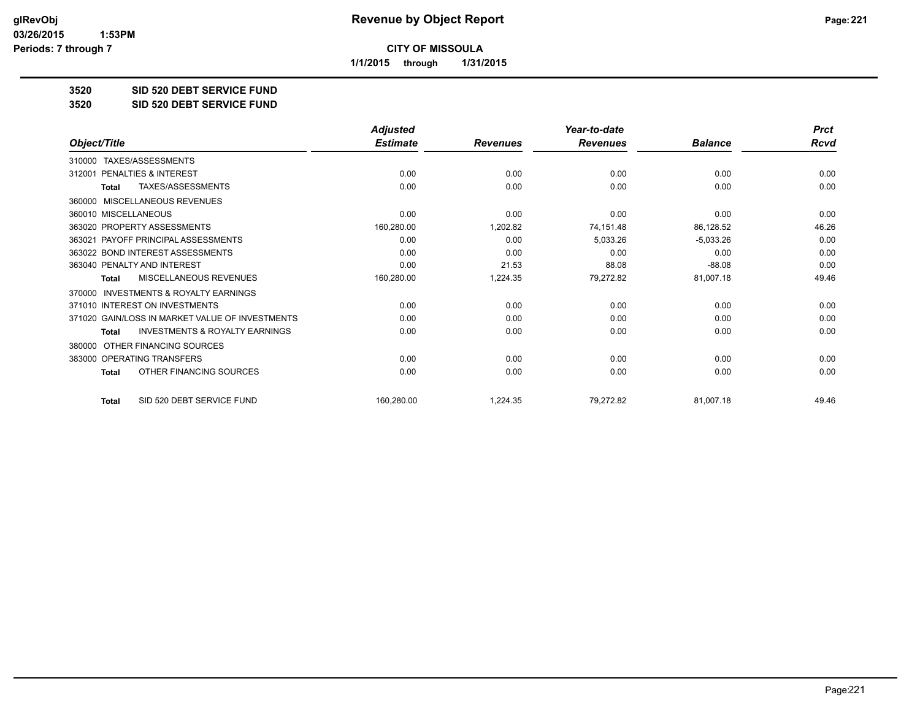**1/1/2015 through 1/31/2015**

**3520 SID 520 DEBT SERVICE FUND**

**3520 SID 520 DEBT SERVICE FUND**

|                                                           | <b>Adjusted</b> |                 | Year-to-date    |                | <b>Prct</b> |
|-----------------------------------------------------------|-----------------|-----------------|-----------------|----------------|-------------|
| Object/Title                                              | <b>Estimate</b> | <b>Revenues</b> | <b>Revenues</b> | <b>Balance</b> | <b>Rcvd</b> |
| TAXES/ASSESSMENTS<br>310000                               |                 |                 |                 |                |             |
| PENALTIES & INTEREST<br>312001                            | 0.00            | 0.00            | 0.00            | 0.00           | 0.00        |
| <b>TAXES/ASSESSMENTS</b><br><b>Total</b>                  | 0.00            | 0.00            | 0.00            | 0.00           | 0.00        |
| <b>MISCELLANEOUS REVENUES</b><br>360000                   |                 |                 |                 |                |             |
| 360010 MISCELLANEOUS                                      | 0.00            | 0.00            | 0.00            | 0.00           | 0.00        |
| 363020 PROPERTY ASSESSMENTS                               | 160,280.00      | 1,202.82        | 74,151.48       | 86,128.52      | 46.26       |
| 363021 PAYOFF PRINCIPAL ASSESSMENTS                       | 0.00            | 0.00            | 5,033.26        | $-5,033.26$    | 0.00        |
| 363022 BOND INTEREST ASSESSMENTS                          | 0.00            | 0.00            | 0.00            | 0.00           | 0.00        |
| 363040 PENALTY AND INTEREST                               | 0.00            | 21.53           | 88.08           | $-88.08$       | 0.00        |
| MISCELLANEOUS REVENUES<br>Total                           | 160,280.00      | 1,224.35        | 79,272.82       | 81,007.18      | 49.46       |
| INVESTMENTS & ROYALTY EARNINGS<br>370000                  |                 |                 |                 |                |             |
| 371010 INTEREST ON INVESTMENTS                            | 0.00            | 0.00            | 0.00            | 0.00           | 0.00        |
| 371020 GAIN/LOSS IN MARKET VALUE OF INVESTMENTS           | 0.00            | 0.00            | 0.00            | 0.00           | 0.00        |
| <b>INVESTMENTS &amp; ROYALTY EARNINGS</b><br><b>Total</b> | 0.00            | 0.00            | 0.00            | 0.00           | 0.00        |
| OTHER FINANCING SOURCES<br>380000                         |                 |                 |                 |                |             |
| 383000 OPERATING TRANSFERS                                | 0.00            | 0.00            | 0.00            | 0.00           | 0.00        |
| OTHER FINANCING SOURCES<br><b>Total</b>                   | 0.00            | 0.00            | 0.00            | 0.00           | 0.00        |
| SID 520 DEBT SERVICE FUND<br><b>Total</b>                 | 160,280.00      | 1,224.35        | 79,272.82       | 81,007.18      | 49.46       |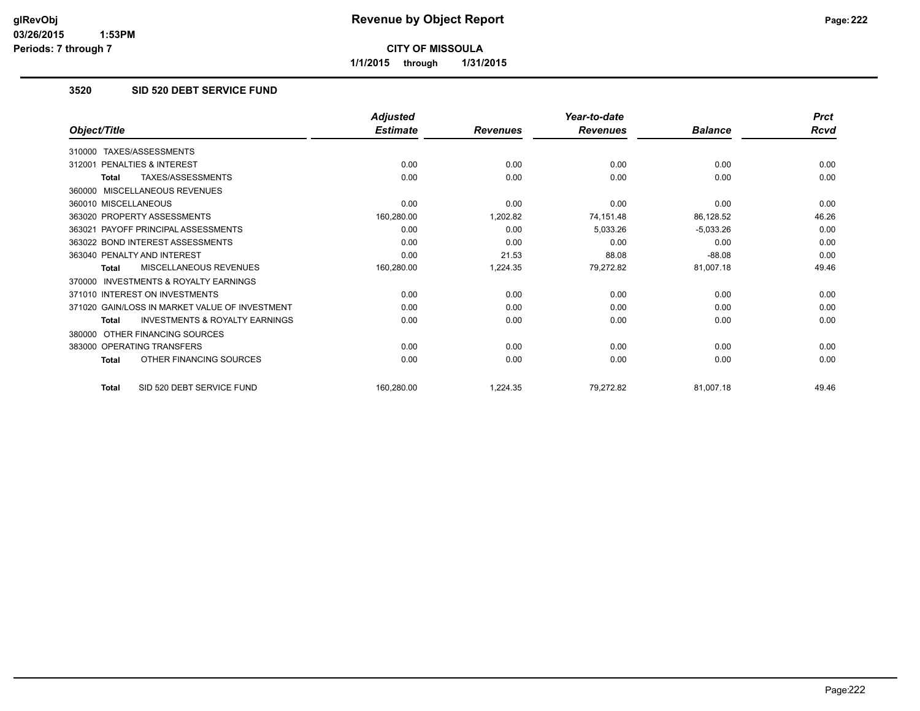**1/1/2015 through 1/31/2015**

# **3520 SID 520 DEBT SERVICE FUND**

|                                                    | <b>Adjusted</b> |                 | Year-to-date    |                | <b>Prct</b> |
|----------------------------------------------------|-----------------|-----------------|-----------------|----------------|-------------|
| Object/Title                                       | <b>Estimate</b> | <b>Revenues</b> | <b>Revenues</b> | <b>Balance</b> | Rcvd        |
| 310000 TAXES/ASSESSMENTS                           |                 |                 |                 |                |             |
| PENALTIES & INTEREST<br>312001                     | 0.00            | 0.00            | 0.00            | 0.00           | 0.00        |
| TAXES/ASSESSMENTS<br><b>Total</b>                  | 0.00            | 0.00            | 0.00            | 0.00           | 0.00        |
| 360000 MISCELLANEOUS REVENUES                      |                 |                 |                 |                |             |
| 360010 MISCELLANEOUS                               | 0.00            | 0.00            | 0.00            | 0.00           | 0.00        |
| 363020 PROPERTY ASSESSMENTS                        | 160,280.00      | 1,202.82        | 74,151.48       | 86,128.52      | 46.26       |
| 363021 PAYOFF PRINCIPAL ASSESSMENTS                | 0.00            | 0.00            | 5,033.26        | $-5,033.26$    | 0.00        |
| 363022 BOND INTEREST ASSESSMENTS                   | 0.00            | 0.00            | 0.00            | 0.00           | 0.00        |
| 363040 PENALTY AND INTEREST                        | 0.00            | 21.53           | 88.08           | $-88.08$       | 0.00        |
| MISCELLANEOUS REVENUES<br><b>Total</b>             | 160,280.00      | 1,224.35        | 79,272.82       | 81,007.18      | 49.46       |
| 370000 INVESTMENTS & ROYALTY EARNINGS              |                 |                 |                 |                |             |
| 371010 INTEREST ON INVESTMENTS                     | 0.00            | 0.00            | 0.00            | 0.00           | 0.00        |
| 371020 GAIN/LOSS IN MARKET VALUE OF INVESTMENT     | 0.00            | 0.00            | 0.00            | 0.00           | 0.00        |
| <b>INVESTMENTS &amp; ROYALTY EARNINGS</b><br>Total | 0.00            | 0.00            | 0.00            | 0.00           | 0.00        |
| 380000 OTHER FINANCING SOURCES                     |                 |                 |                 |                |             |
| 383000 OPERATING TRANSFERS                         | 0.00            | 0.00            | 0.00            | 0.00           | 0.00        |
| OTHER FINANCING SOURCES<br>Total                   | 0.00            | 0.00            | 0.00            | 0.00           | 0.00        |
| SID 520 DEBT SERVICE FUND<br><b>Total</b>          | 160,280.00      | 1,224.35        | 79,272.82       | 81,007.18      | 49.46       |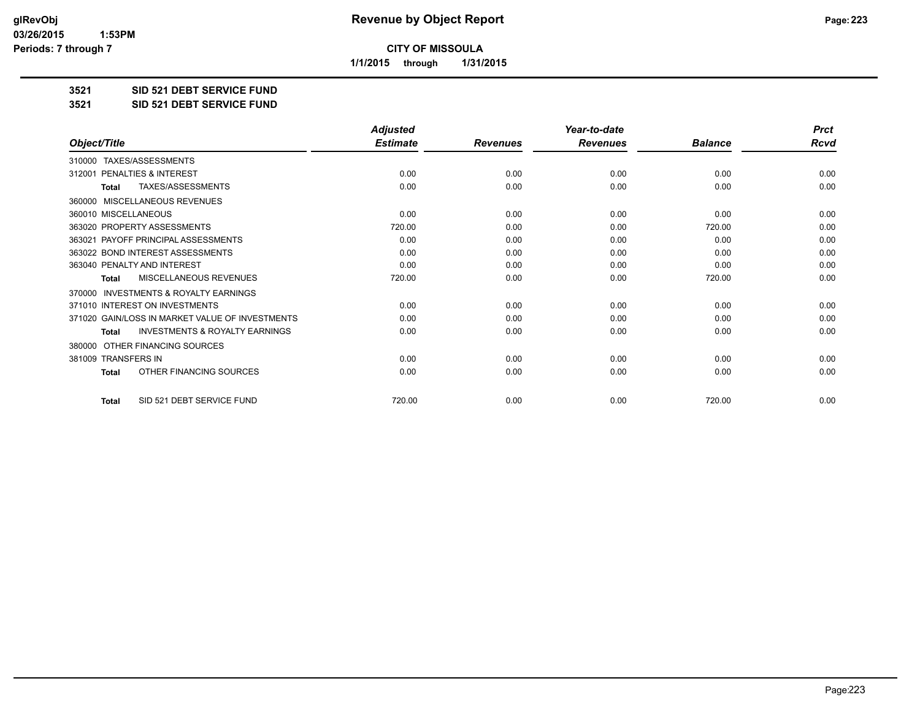**1/1/2015 through 1/31/2015**

**3521 SID 521 DEBT SERVICE FUND**

**3521 SID 521 DEBT SERVICE FUND**

|                                                           | <b>Adjusted</b> |                 | Year-to-date    |                | <b>Prct</b> |
|-----------------------------------------------------------|-----------------|-----------------|-----------------|----------------|-------------|
| Object/Title                                              | <b>Estimate</b> | <b>Revenues</b> | <b>Revenues</b> | <b>Balance</b> | <b>Rcvd</b> |
| TAXES/ASSESSMENTS<br>310000                               |                 |                 |                 |                |             |
| 312001 PENALTIES & INTEREST                               | 0.00            | 0.00            | 0.00            | 0.00           | 0.00        |
| TAXES/ASSESSMENTS<br><b>Total</b>                         | 0.00            | 0.00            | 0.00            | 0.00           | 0.00        |
| MISCELLANEOUS REVENUES<br>360000                          |                 |                 |                 |                |             |
| 360010 MISCELLANEOUS                                      | 0.00            | 0.00            | 0.00            | 0.00           | 0.00        |
| 363020 PROPERTY ASSESSMENTS                               | 720.00          | 0.00            | 0.00            | 720.00         | 0.00        |
| 363021 PAYOFF PRINCIPAL ASSESSMENTS                       | 0.00            | 0.00            | 0.00            | 0.00           | 0.00        |
| 363022 BOND INTEREST ASSESSMENTS                          | 0.00            | 0.00            | 0.00            | 0.00           | 0.00        |
| 363040 PENALTY AND INTEREST                               | 0.00            | 0.00            | 0.00            | 0.00           | 0.00        |
| <b>MISCELLANEOUS REVENUES</b><br><b>Total</b>             | 720.00          | 0.00            | 0.00            | 720.00         | 0.00        |
| <b>INVESTMENTS &amp; ROYALTY EARNINGS</b><br>370000       |                 |                 |                 |                |             |
| 371010 INTEREST ON INVESTMENTS                            | 0.00            | 0.00            | 0.00            | 0.00           | 0.00        |
| 371020 GAIN/LOSS IN MARKET VALUE OF INVESTMENTS           | 0.00            | 0.00            | 0.00            | 0.00           | 0.00        |
| <b>INVESTMENTS &amp; ROYALTY EARNINGS</b><br><b>Total</b> | 0.00            | 0.00            | 0.00            | 0.00           | 0.00        |
| OTHER FINANCING SOURCES<br>380000                         |                 |                 |                 |                |             |
| 381009 TRANSFERS IN                                       | 0.00            | 0.00            | 0.00            | 0.00           | 0.00        |
| OTHER FINANCING SOURCES<br><b>Total</b>                   | 0.00            | 0.00            | 0.00            | 0.00           | 0.00        |
| SID 521 DEBT SERVICE FUND<br><b>Total</b>                 | 720.00          | 0.00            | 0.00            | 720.00         | 0.00        |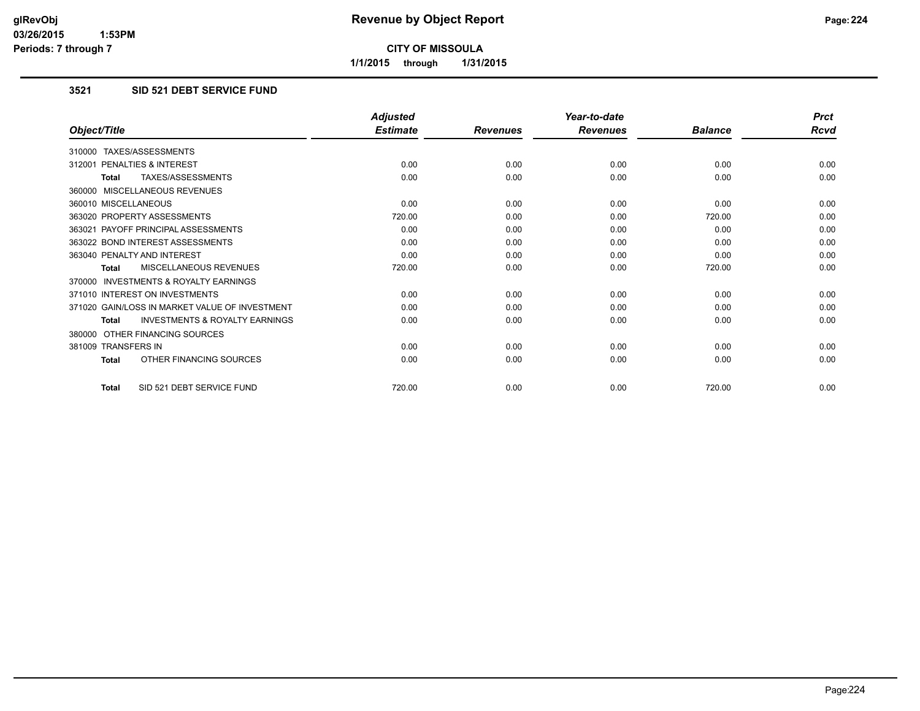**1/1/2015 through 1/31/2015**

# **3521 SID 521 DEBT SERVICE FUND**

|                                                           | <b>Adjusted</b> |                 | Year-to-date    |                | <b>Prct</b> |
|-----------------------------------------------------------|-----------------|-----------------|-----------------|----------------|-------------|
| Object/Title                                              | <b>Estimate</b> | <b>Revenues</b> | <b>Revenues</b> | <b>Balance</b> | Rcvd        |
| 310000 TAXES/ASSESSMENTS                                  |                 |                 |                 |                |             |
| 312001 PENALTIES & INTEREST                               | 0.00            | 0.00            | 0.00            | 0.00           | 0.00        |
| <b>TAXES/ASSESSMENTS</b><br><b>Total</b>                  | 0.00            | 0.00            | 0.00            | 0.00           | 0.00        |
| 360000 MISCELLANEOUS REVENUES                             |                 |                 |                 |                |             |
| 360010 MISCELLANEOUS                                      | 0.00            | 0.00            | 0.00            | 0.00           | 0.00        |
| 363020 PROPERTY ASSESSMENTS                               | 720.00          | 0.00            | 0.00            | 720.00         | 0.00        |
| 363021 PAYOFF PRINCIPAL ASSESSMENTS                       | 0.00            | 0.00            | 0.00            | 0.00           | 0.00        |
| 363022 BOND INTEREST ASSESSMENTS                          | 0.00            | 0.00            | 0.00            | 0.00           | 0.00        |
| 363040 PENALTY AND INTEREST                               | 0.00            | 0.00            | 0.00            | 0.00           | 0.00        |
| <b>MISCELLANEOUS REVENUES</b><br><b>Total</b>             | 720.00          | 0.00            | 0.00            | 720.00         | 0.00        |
| <b>INVESTMENTS &amp; ROYALTY EARNINGS</b><br>370000       |                 |                 |                 |                |             |
| 371010 INTEREST ON INVESTMENTS                            | 0.00            | 0.00            | 0.00            | 0.00           | 0.00        |
| 371020 GAIN/LOSS IN MARKET VALUE OF INVESTMENT            | 0.00            | 0.00            | 0.00            | 0.00           | 0.00        |
| <b>INVESTMENTS &amp; ROYALTY EARNINGS</b><br><b>Total</b> | 0.00            | 0.00            | 0.00            | 0.00           | 0.00        |
| 380000 OTHER FINANCING SOURCES                            |                 |                 |                 |                |             |
| 381009 TRANSFERS IN                                       | 0.00            | 0.00            | 0.00            | 0.00           | 0.00        |
| OTHER FINANCING SOURCES<br><b>Total</b>                   | 0.00            | 0.00            | 0.00            | 0.00           | 0.00        |
| SID 521 DEBT SERVICE FUND<br>Total                        | 720.00          | 0.00            | 0.00            | 720.00         | 0.00        |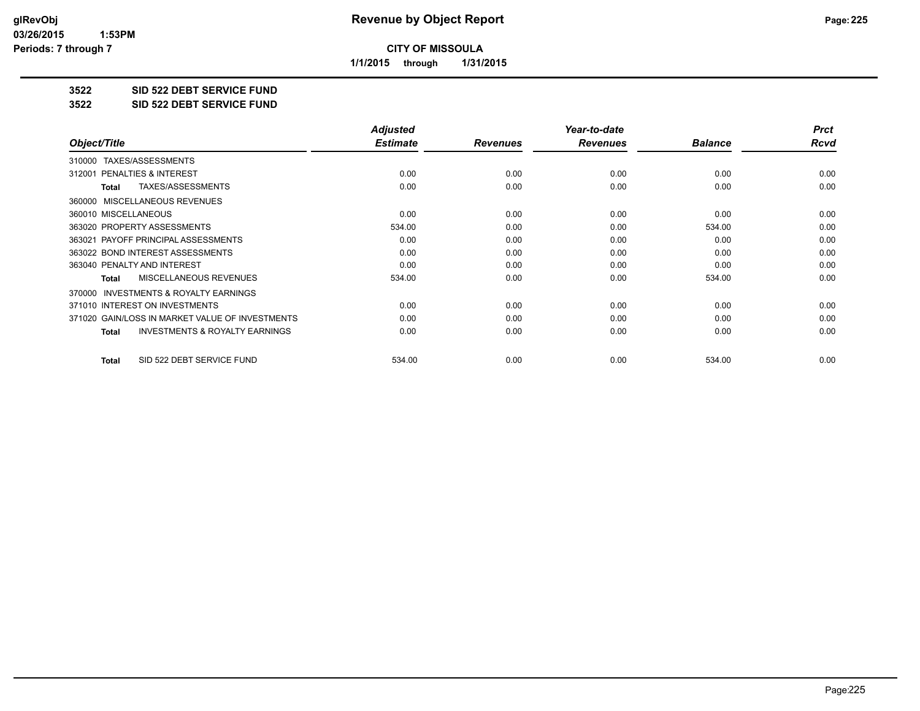**1/1/2015 through 1/31/2015**

## **3522 SID 522 DEBT SERVICE FUND**

**3522 SID 522 DEBT SERVICE FUND**

|                                                    | <b>Adjusted</b> |                 | Year-to-date    |                | <b>Prct</b> |
|----------------------------------------------------|-----------------|-----------------|-----------------|----------------|-------------|
| Object/Title                                       | <b>Estimate</b> | <b>Revenues</b> | <b>Revenues</b> | <b>Balance</b> | Rcvd        |
| TAXES/ASSESSMENTS<br>310000                        |                 |                 |                 |                |             |
| PENALTIES & INTEREST<br>312001                     | 0.00            | 0.00            | 0.00            | 0.00           | 0.00        |
| TAXES/ASSESSMENTS<br>Total                         | 0.00            | 0.00            | 0.00            | 0.00           | 0.00        |
| 360000 MISCELLANEOUS REVENUES                      |                 |                 |                 |                |             |
| 360010 MISCELLANEOUS                               | 0.00            | 0.00            | 0.00            | 0.00           | 0.00        |
| 363020 PROPERTY ASSESSMENTS                        | 534.00          | 0.00            | 0.00            | 534.00         | 0.00        |
| 363021 PAYOFF PRINCIPAL ASSESSMENTS                | 0.00            | 0.00            | 0.00            | 0.00           | 0.00        |
| 363022 BOND INTEREST ASSESSMENTS                   | 0.00            | 0.00            | 0.00            | 0.00           | 0.00        |
| 363040 PENALTY AND INTEREST                        | 0.00            | 0.00            | 0.00            | 0.00           | 0.00        |
| MISCELLANEOUS REVENUES<br>Total                    | 534.00          | 0.00            | 0.00            | 534.00         | 0.00        |
| 370000 INVESTMENTS & ROYALTY EARNINGS              |                 |                 |                 |                |             |
| 371010 INTEREST ON INVESTMENTS                     | 0.00            | 0.00            | 0.00            | 0.00           | 0.00        |
| 371020 GAIN/LOSS IN MARKET VALUE OF INVESTMENTS    | 0.00            | 0.00            | 0.00            | 0.00           | 0.00        |
| <b>INVESTMENTS &amp; ROYALTY EARNINGS</b><br>Total | 0.00            | 0.00            | 0.00            | 0.00           | 0.00        |
| SID 522 DEBT SERVICE FUND<br>Total                 | 534.00          | 0.00            | 0.00            | 534.00         | 0.00        |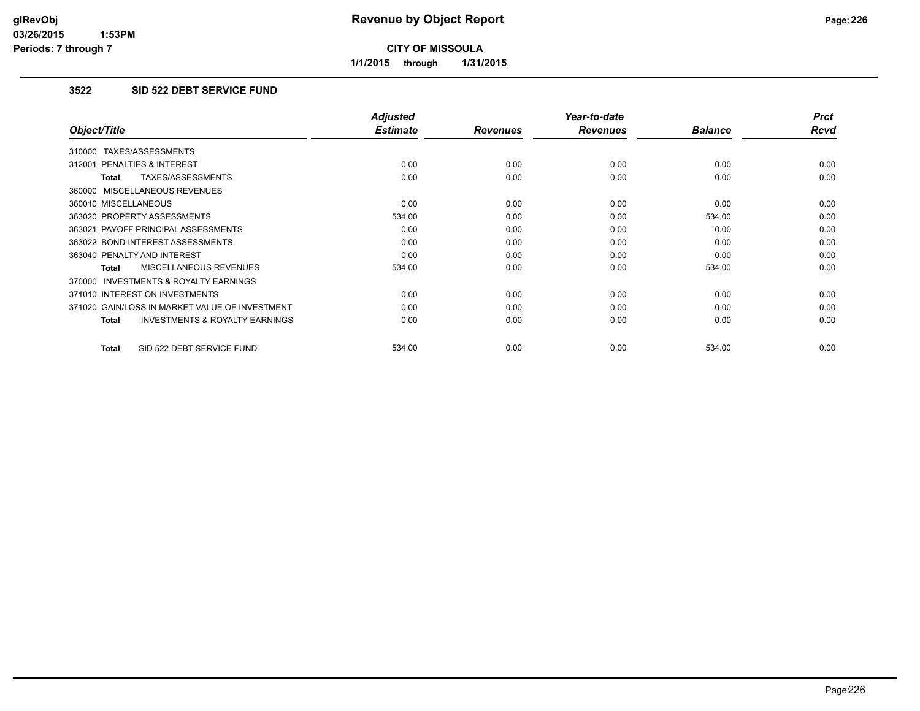**1/1/2015 through 1/31/2015**

# **3522 SID 522 DEBT SERVICE FUND**

|                                                           | <b>Adjusted</b> |                 | Year-to-date    |                | <b>Prct</b> |
|-----------------------------------------------------------|-----------------|-----------------|-----------------|----------------|-------------|
| Object/Title                                              | <b>Estimate</b> | <b>Revenues</b> | <b>Revenues</b> | <b>Balance</b> | <b>Rcvd</b> |
| 310000 TAXES/ASSESSMENTS                                  |                 |                 |                 |                |             |
| 312001 PENALTIES & INTEREST                               | 0.00            | 0.00            | 0.00            | 0.00           | 0.00        |
| TAXES/ASSESSMENTS<br><b>Total</b>                         | 0.00            | 0.00            | 0.00            | 0.00           | 0.00        |
| 360000 MISCELLANEOUS REVENUES                             |                 |                 |                 |                |             |
| 360010 MISCELLANEOUS                                      | 0.00            | 0.00            | 0.00            | 0.00           | 0.00        |
| 363020 PROPERTY ASSESSMENTS                               | 534.00          | 0.00            | 0.00            | 534.00         | 0.00        |
| 363021 PAYOFF PRINCIPAL ASSESSMENTS                       | 0.00            | 0.00            | 0.00            | 0.00           | 0.00        |
| 363022 BOND INTEREST ASSESSMENTS                          | 0.00            | 0.00            | 0.00            | 0.00           | 0.00        |
| 363040 PENALTY AND INTEREST                               | 0.00            | 0.00            | 0.00            | 0.00           | 0.00        |
| MISCELLANEOUS REVENUES<br><b>Total</b>                    | 534.00          | 0.00            | 0.00            | 534.00         | 0.00        |
| <b>INVESTMENTS &amp; ROYALTY EARNINGS</b><br>370000       |                 |                 |                 |                |             |
| 371010 INTEREST ON INVESTMENTS                            | 0.00            | 0.00            | 0.00            | 0.00           | 0.00        |
| 371020 GAIN/LOSS IN MARKET VALUE OF INVESTMENT            | 0.00            | 0.00            | 0.00            | 0.00           | 0.00        |
| <b>INVESTMENTS &amp; ROYALTY EARNINGS</b><br><b>Total</b> | 0.00            | 0.00            | 0.00            | 0.00           | 0.00        |
| SID 522 DEBT SERVICE FUND<br><b>Total</b>                 | 534.00          | 0.00            | 0.00            | 534.00         | 0.00        |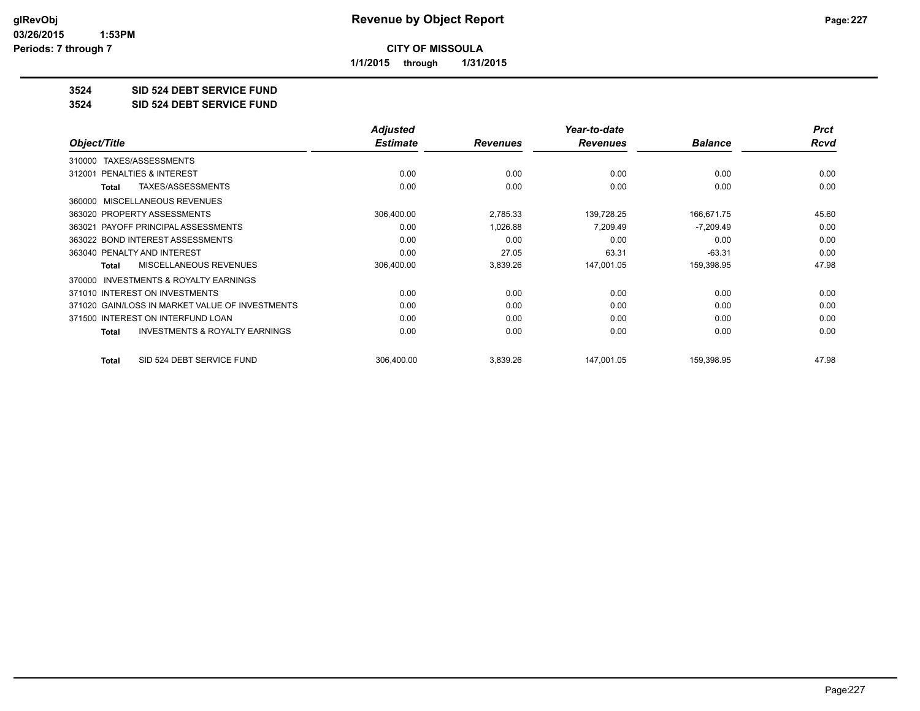**1/1/2015 through 1/31/2015**

### **3524 SID 524 DEBT SERVICE FUND**

**3524 SID 524 DEBT SERVICE FUND**

|                                                     | <b>Adjusted</b> |                 | Year-to-date    |                | <b>Prct</b> |
|-----------------------------------------------------|-----------------|-----------------|-----------------|----------------|-------------|
| Object/Title                                        | <b>Estimate</b> | <b>Revenues</b> | <b>Revenues</b> | <b>Balance</b> | Rcvd        |
| TAXES/ASSESSMENTS<br>310000                         |                 |                 |                 |                |             |
| <b>PENALTIES &amp; INTEREST</b><br>312001           | 0.00            | 0.00            | 0.00            | 0.00           | 0.00        |
| TAXES/ASSESSMENTS<br>Total                          | 0.00            | 0.00            | 0.00            | 0.00           | 0.00        |
| 360000 MISCELLANEOUS REVENUES                       |                 |                 |                 |                |             |
| 363020 PROPERTY ASSESSMENTS                         | 306,400.00      | 2,785.33        | 139,728.25      | 166,671.75     | 45.60       |
| 363021 PAYOFF PRINCIPAL ASSESSMENTS                 | 0.00            | 1,026.88        | 7,209.49        | $-7,209.49$    | 0.00        |
| 363022 BOND INTEREST ASSESSMENTS                    | 0.00            | 0.00            | 0.00            | 0.00           | 0.00        |
| 363040 PENALTY AND INTEREST                         | 0.00            | 27.05           | 63.31           | $-63.31$       | 0.00        |
| <b>MISCELLANEOUS REVENUES</b><br>Total              | 306,400.00      | 3,839.26        | 147,001.05      | 159,398.95     | 47.98       |
| <b>INVESTMENTS &amp; ROYALTY EARNINGS</b><br>370000 |                 |                 |                 |                |             |
| 371010 INTEREST ON INVESTMENTS                      | 0.00            | 0.00            | 0.00            | 0.00           | 0.00        |
| 371020 GAIN/LOSS IN MARKET VALUE OF INVESTMENTS     | 0.00            | 0.00            | 0.00            | 0.00           | 0.00        |
| 371500 INTEREST ON INTERFUND LOAN                   | 0.00            | 0.00            | 0.00            | 0.00           | 0.00        |
| <b>INVESTMENTS &amp; ROYALTY EARNINGS</b><br>Total  | 0.00            | 0.00            | 0.00            | 0.00           | 0.00        |
| SID 524 DEBT SERVICE FUND<br><b>Total</b>           | 306,400.00      | 3,839.26        | 147,001.05      | 159,398.95     | 47.98       |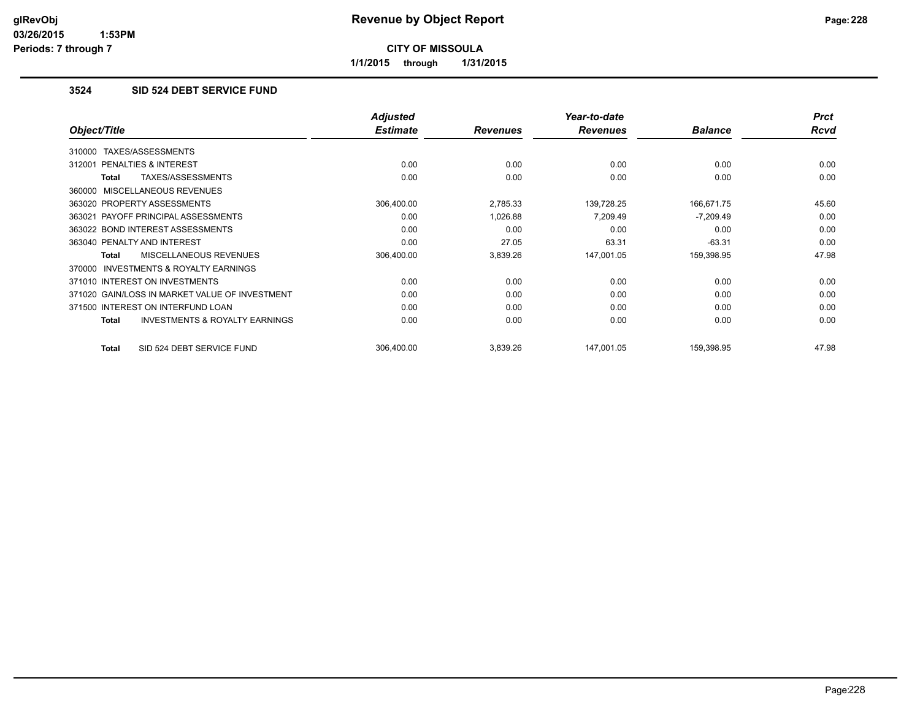**1/1/2015 through 1/31/2015**

# **3524 SID 524 DEBT SERVICE FUND**

|                                                     | <b>Adjusted</b> |                 | Year-to-date    |                | <b>Prct</b> |
|-----------------------------------------------------|-----------------|-----------------|-----------------|----------------|-------------|
| Object/Title                                        | <b>Estimate</b> | <b>Revenues</b> | <b>Revenues</b> | <b>Balance</b> | <b>Rcvd</b> |
| TAXES/ASSESSMENTS<br>310000                         |                 |                 |                 |                |             |
| 312001 PENALTIES & INTEREST                         | 0.00            | 0.00            | 0.00            | 0.00           | 0.00        |
| TAXES/ASSESSMENTS<br>Total                          | 0.00            | 0.00            | 0.00            | 0.00           | 0.00        |
| 360000 MISCELLANEOUS REVENUES                       |                 |                 |                 |                |             |
| 363020 PROPERTY ASSESSMENTS                         | 306,400.00      | 2,785.33        | 139,728.25      | 166,671.75     | 45.60       |
| 363021 PAYOFF PRINCIPAL ASSESSMENTS                 | 0.00            | 1,026.88        | 7,209.49        | $-7,209.49$    | 0.00        |
| 363022 BOND INTEREST ASSESSMENTS                    | 0.00            | 0.00            | 0.00            | 0.00           | 0.00        |
| 363040 PENALTY AND INTEREST                         | 0.00            | 27.05           | 63.31           | $-63.31$       | 0.00        |
| <b>MISCELLANEOUS REVENUES</b><br><b>Total</b>       | 306,400.00      | 3,839.26        | 147,001.05      | 159,398.95     | 47.98       |
| <b>INVESTMENTS &amp; ROYALTY EARNINGS</b><br>370000 |                 |                 |                 |                |             |
| 371010 INTEREST ON INVESTMENTS                      | 0.00            | 0.00            | 0.00            | 0.00           | 0.00        |
| 371020 GAIN/LOSS IN MARKET VALUE OF INVESTMENT      | 0.00            | 0.00            | 0.00            | 0.00           | 0.00        |
| 371500 INTEREST ON INTERFUND LOAN                   | 0.00            | 0.00            | 0.00            | 0.00           | 0.00        |
| <b>INVESTMENTS &amp; ROYALTY EARNINGS</b><br>Total  | 0.00            | 0.00            | 0.00            | 0.00           | 0.00        |
| SID 524 DEBT SERVICE FUND<br>Total                  | 306.400.00      | 3,839.26        | 147,001.05      | 159,398.95     | 47.98       |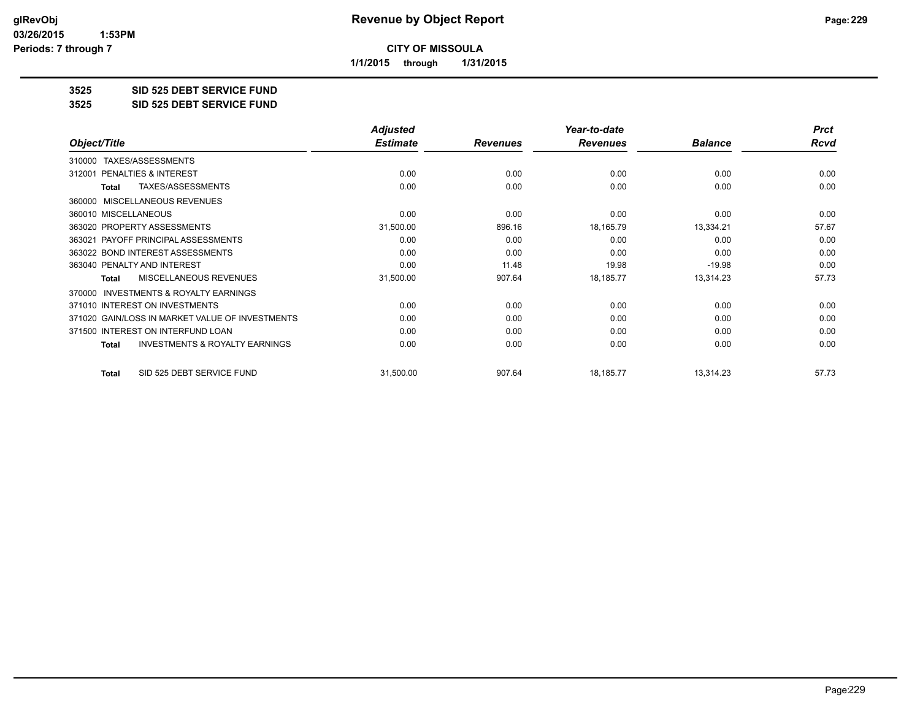**1/1/2015 through 1/31/2015**

### **3525 SID 525 DEBT SERVICE FUND**

**3525 SID 525 DEBT SERVICE FUND**

|                                                           | <b>Adjusted</b> |                 | Year-to-date    |                | <b>Prct</b> |
|-----------------------------------------------------------|-----------------|-----------------|-----------------|----------------|-------------|
| Object/Title                                              | <b>Estimate</b> | <b>Revenues</b> | <b>Revenues</b> | <b>Balance</b> | Rcvd        |
| TAXES/ASSESSMENTS<br>310000                               |                 |                 |                 |                |             |
| PENALTIES & INTEREST<br>312001                            | 0.00            | 0.00            | 0.00            | 0.00           | 0.00        |
| TAXES/ASSESSMENTS<br><b>Total</b>                         | 0.00            | 0.00            | 0.00            | 0.00           | 0.00        |
| MISCELLANEOUS REVENUES<br>360000                          |                 |                 |                 |                |             |
| 360010 MISCELLANEOUS                                      | 0.00            | 0.00            | 0.00            | 0.00           | 0.00        |
| 363020 PROPERTY ASSESSMENTS                               | 31,500.00       | 896.16          | 18,165.79       | 13,334.21      | 57.67       |
| 363021 PAYOFF PRINCIPAL ASSESSMENTS                       | 0.00            | 0.00            | 0.00            | 0.00           | 0.00        |
| 363022 BOND INTEREST ASSESSMENTS                          | 0.00            | 0.00            | 0.00            | 0.00           | 0.00        |
| 363040 PENALTY AND INTEREST                               | 0.00            | 11.48           | 19.98           | $-19.98$       | 0.00        |
| <b>MISCELLANEOUS REVENUES</b><br><b>Total</b>             | 31,500.00       | 907.64          | 18,185.77       | 13,314.23      | 57.73       |
| <b>INVESTMENTS &amp; ROYALTY EARNINGS</b><br>370000       |                 |                 |                 |                |             |
| 371010 INTEREST ON INVESTMENTS                            | 0.00            | 0.00            | 0.00            | 0.00           | 0.00        |
| 371020 GAIN/LOSS IN MARKET VALUE OF INVESTMENTS           | 0.00            | 0.00            | 0.00            | 0.00           | 0.00        |
| 371500 INTEREST ON INTERFUND LOAN                         | 0.00            | 0.00            | 0.00            | 0.00           | 0.00        |
| <b>INVESTMENTS &amp; ROYALTY EARNINGS</b><br><b>Total</b> | 0.00            | 0.00            | 0.00            | 0.00           | 0.00        |
| SID 525 DEBT SERVICE FUND<br><b>Total</b>                 | 31,500.00       | 907.64          | 18,185.77       | 13,314.23      | 57.73       |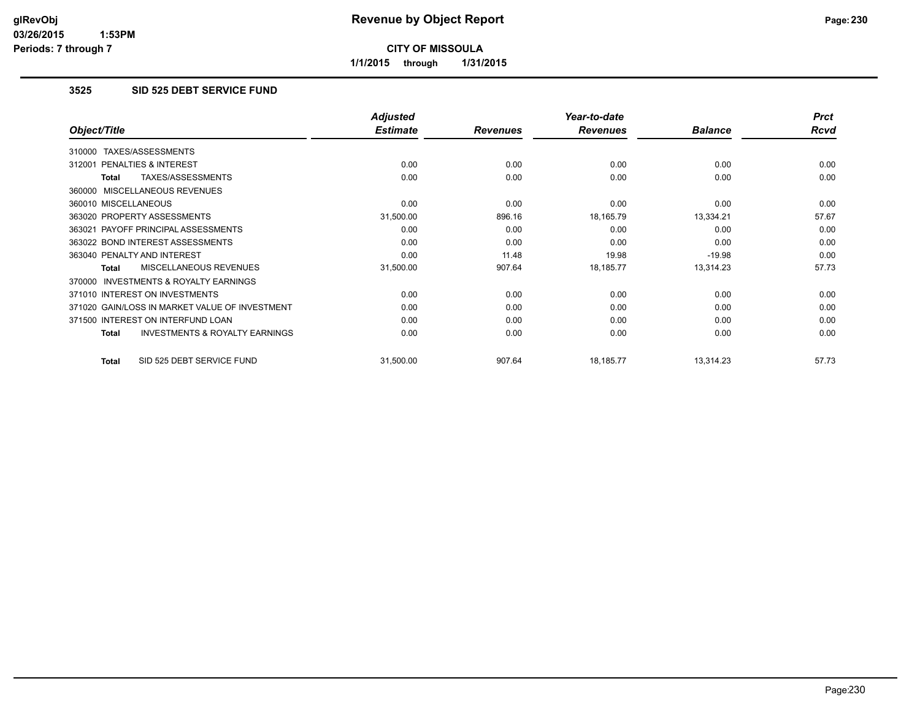**1/1/2015 through 1/31/2015**

# **3525 SID 525 DEBT SERVICE FUND**

|                                                           | <b>Adjusted</b> |                 | Year-to-date    |                | <b>Prct</b> |
|-----------------------------------------------------------|-----------------|-----------------|-----------------|----------------|-------------|
| Object/Title                                              | <b>Estimate</b> | <b>Revenues</b> | <b>Revenues</b> | <b>Balance</b> | <b>Rcvd</b> |
| TAXES/ASSESSMENTS<br>310000                               |                 |                 |                 |                |             |
| PENALTIES & INTEREST<br>312001                            | 0.00            | 0.00            | 0.00            | 0.00           | 0.00        |
| TAXES/ASSESSMENTS<br><b>Total</b>                         | 0.00            | 0.00            | 0.00            | 0.00           | 0.00        |
| 360000 MISCELLANEOUS REVENUES                             |                 |                 |                 |                |             |
| 360010 MISCELLANEOUS                                      | 0.00            | 0.00            | 0.00            | 0.00           | 0.00        |
| 363020 PROPERTY ASSESSMENTS                               | 31,500.00       | 896.16          | 18,165.79       | 13,334.21      | 57.67       |
| 363021 PAYOFF PRINCIPAL ASSESSMENTS                       | 0.00            | 0.00            | 0.00            | 0.00           | 0.00        |
| 363022 BOND INTEREST ASSESSMENTS                          | 0.00            | 0.00            | 0.00            | 0.00           | 0.00        |
| 363040 PENALTY AND INTEREST                               | 0.00            | 11.48           | 19.98           | $-19.98$       | 0.00        |
| <b>MISCELLANEOUS REVENUES</b><br>Total                    | 31,500.00       | 907.64          | 18,185.77       | 13,314.23      | 57.73       |
| <b>INVESTMENTS &amp; ROYALTY EARNINGS</b><br>370000       |                 |                 |                 |                |             |
| 371010 INTEREST ON INVESTMENTS                            | 0.00            | 0.00            | 0.00            | 0.00           | 0.00        |
| 371020 GAIN/LOSS IN MARKET VALUE OF INVESTMENT            | 0.00            | 0.00            | 0.00            | 0.00           | 0.00        |
| 371500 INTEREST ON INTERFUND LOAN                         | 0.00            | 0.00            | 0.00            | 0.00           | 0.00        |
| <b>INVESTMENTS &amp; ROYALTY EARNINGS</b><br><b>Total</b> | 0.00            | 0.00            | 0.00            | 0.00           | 0.00        |
| SID 525 DEBT SERVICE FUND<br>Total                        | 31,500.00       | 907.64          | 18,185.77       | 13,314.23      | 57.73       |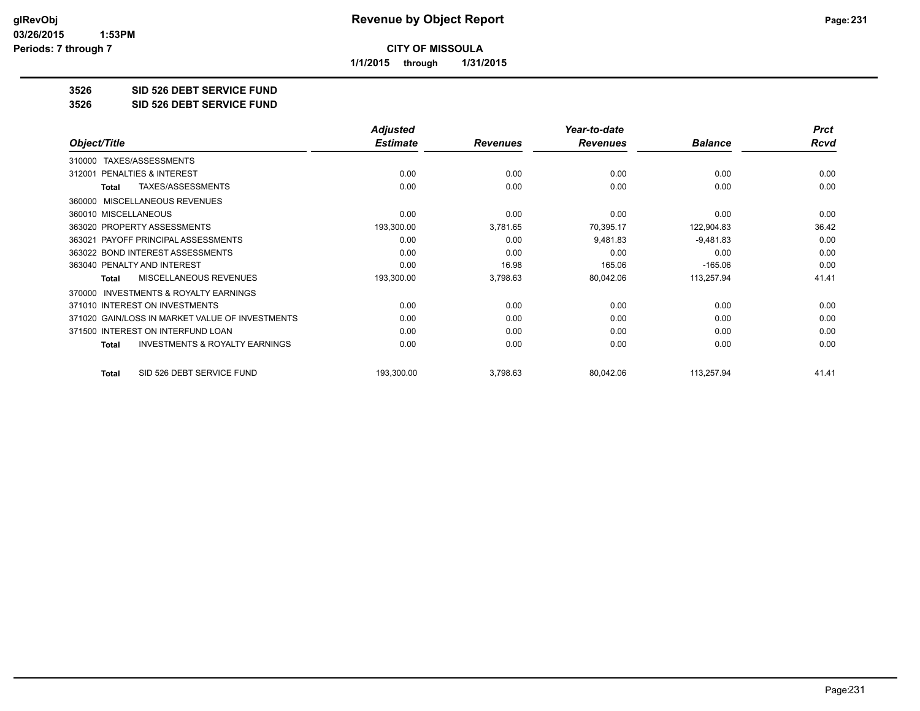**1/1/2015 through 1/31/2015**

### **3526 SID 526 DEBT SERVICE FUND**

**3526 SID 526 DEBT SERVICE FUND**

|                                                     | <b>Adjusted</b> |                 | Year-to-date    |                | <b>Prct</b> |
|-----------------------------------------------------|-----------------|-----------------|-----------------|----------------|-------------|
| Object/Title                                        | <b>Estimate</b> | <b>Revenues</b> | <b>Revenues</b> | <b>Balance</b> | <b>Rcvd</b> |
| TAXES/ASSESSMENTS<br>310000                         |                 |                 |                 |                |             |
| PENALTIES & INTEREST<br>312001                      | 0.00            | 0.00            | 0.00            | 0.00           | 0.00        |
| TAXES/ASSESSMENTS<br>Total                          | 0.00            | 0.00            | 0.00            | 0.00           | 0.00        |
| <b>MISCELLANEOUS REVENUES</b><br>360000             |                 |                 |                 |                |             |
| 360010 MISCELLANEOUS                                | 0.00            | 0.00            | 0.00            | 0.00           | 0.00        |
| 363020 PROPERTY ASSESSMENTS                         | 193,300.00      | 3,781.65        | 70,395.17       | 122,904.83     | 36.42       |
| 363021 PAYOFF PRINCIPAL ASSESSMENTS                 | 0.00            | 0.00            | 9,481.83        | $-9,481.83$    | 0.00        |
| 363022 BOND INTEREST ASSESSMENTS                    | 0.00            | 0.00            | 0.00            | 0.00           | 0.00        |
| 363040 PENALTY AND INTEREST                         | 0.00            | 16.98           | 165.06          | $-165.06$      | 0.00        |
| MISCELLANEOUS REVENUES<br>Total                     | 193,300.00      | 3,798.63        | 80,042.06       | 113,257.94     | 41.41       |
| <b>INVESTMENTS &amp; ROYALTY EARNINGS</b><br>370000 |                 |                 |                 |                |             |
| 371010 INTEREST ON INVESTMENTS                      | 0.00            | 0.00            | 0.00            | 0.00           | 0.00        |
| 371020 GAIN/LOSS IN MARKET VALUE OF INVESTMENTS     | 0.00            | 0.00            | 0.00            | 0.00           | 0.00        |
| 371500 INTEREST ON INTERFUND LOAN                   | 0.00            | 0.00            | 0.00            | 0.00           | 0.00        |
| <b>INVESTMENTS &amp; ROYALTY EARNINGS</b><br>Total  | 0.00            | 0.00            | 0.00            | 0.00           | 0.00        |
| SID 526 DEBT SERVICE FUND<br><b>Total</b>           | 193,300.00      | 3,798.63        | 80,042.06       | 113,257.94     | 41.41       |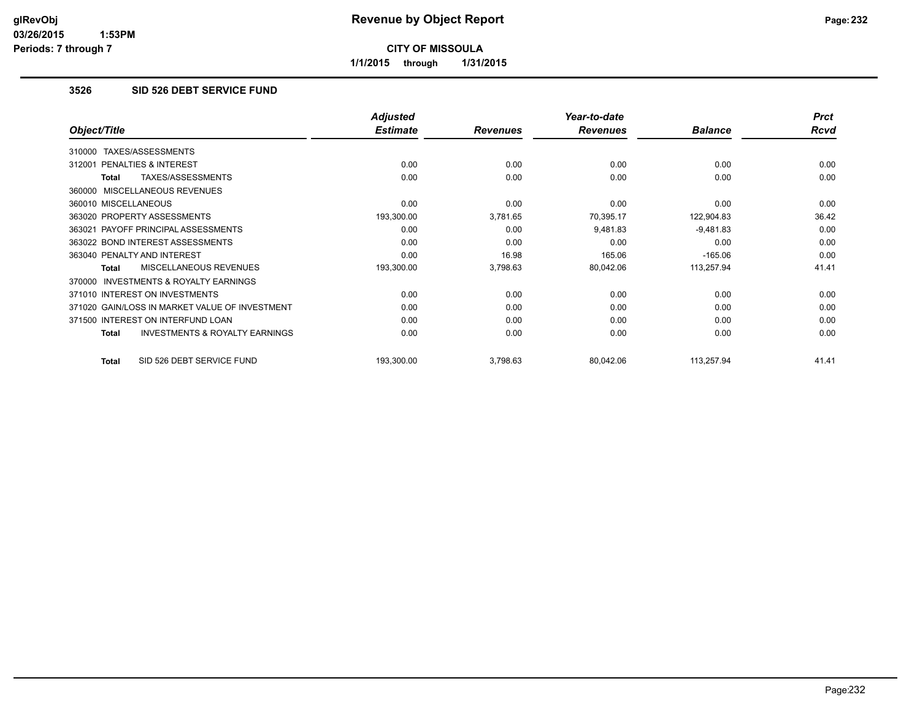**1/1/2015 through 1/31/2015**

# **3526 SID 526 DEBT SERVICE FUND**

|                                                           | <b>Adjusted</b> |                 | Year-to-date    |                | <b>Prct</b> |
|-----------------------------------------------------------|-----------------|-----------------|-----------------|----------------|-------------|
| Object/Title                                              | <b>Estimate</b> | <b>Revenues</b> | <b>Revenues</b> | <b>Balance</b> | <b>Rcvd</b> |
| TAXES/ASSESSMENTS<br>310000                               |                 |                 |                 |                |             |
| <b>PENALTIES &amp; INTEREST</b><br>312001                 | 0.00            | 0.00            | 0.00            | 0.00           | 0.00        |
| TAXES/ASSESSMENTS<br><b>Total</b>                         | 0.00            | 0.00            | 0.00            | 0.00           | 0.00        |
| 360000 MISCELLANEOUS REVENUES                             |                 |                 |                 |                |             |
| 360010 MISCELLANEOUS                                      | 0.00            | 0.00            | 0.00            | 0.00           | 0.00        |
| 363020 PROPERTY ASSESSMENTS                               | 193,300.00      | 3,781.65        | 70,395.17       | 122,904.83     | 36.42       |
| 363021 PAYOFF PRINCIPAL ASSESSMENTS                       | 0.00            | 0.00            | 9,481.83        | $-9,481.83$    | 0.00        |
| 363022 BOND INTEREST ASSESSMENTS                          | 0.00            | 0.00            | 0.00            | 0.00           | 0.00        |
| 363040 PENALTY AND INTEREST                               | 0.00            | 16.98           | 165.06          | $-165.06$      | 0.00        |
| <b>MISCELLANEOUS REVENUES</b><br>Total                    | 193,300.00      | 3,798.63        | 80,042.06       | 113,257.94     | 41.41       |
| <b>INVESTMENTS &amp; ROYALTY EARNINGS</b><br>370000       |                 |                 |                 |                |             |
| 371010 INTEREST ON INVESTMENTS                            | 0.00            | 0.00            | 0.00            | 0.00           | 0.00        |
| 371020 GAIN/LOSS IN MARKET VALUE OF INVESTMENT            | 0.00            | 0.00            | 0.00            | 0.00           | 0.00        |
| 371500 INTEREST ON INTERFUND LOAN                         | 0.00            | 0.00            | 0.00            | 0.00           | 0.00        |
| <b>INVESTMENTS &amp; ROYALTY EARNINGS</b><br><b>Total</b> | 0.00            | 0.00            | 0.00            | 0.00           | 0.00        |
| SID 526 DEBT SERVICE FUND<br>Total                        | 193,300.00      | 3,798.63        | 80,042.06       | 113,257.94     | 41.41       |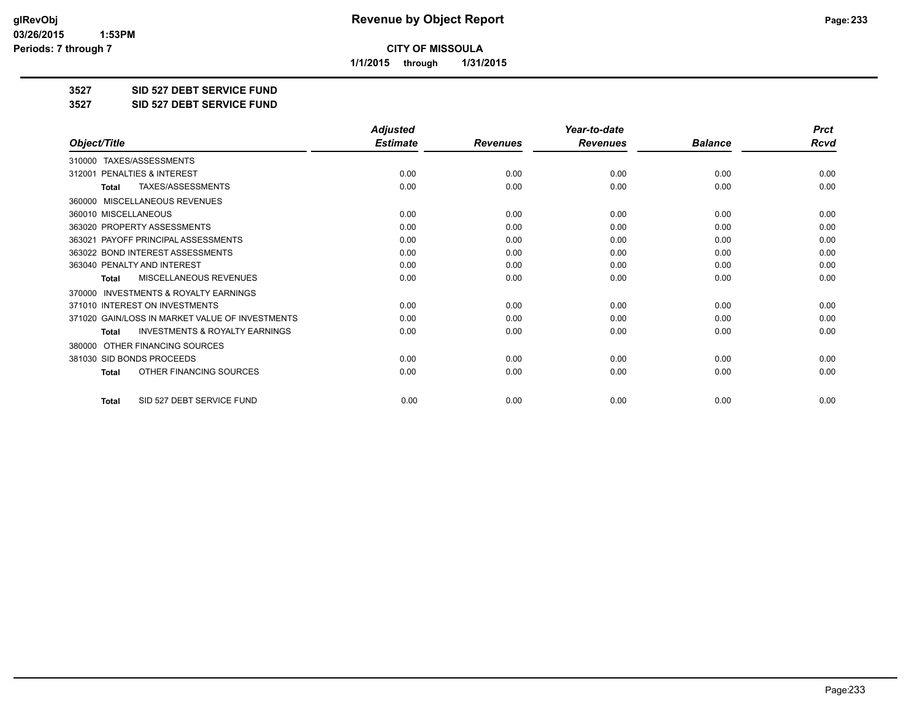**1/1/2015 through 1/31/2015**

**3527 SID 527 DEBT SERVICE FUND**

**3527 SID 527 DEBT SERVICE FUND**

|                                                           | <b>Adjusted</b> |                 | Year-to-date    |                | <b>Prct</b> |
|-----------------------------------------------------------|-----------------|-----------------|-----------------|----------------|-------------|
| Object/Title                                              | <b>Estimate</b> | <b>Revenues</b> | <b>Revenues</b> | <b>Balance</b> | <b>Rcvd</b> |
| TAXES/ASSESSMENTS<br>310000                               |                 |                 |                 |                |             |
| 312001 PENALTIES & INTEREST                               | 0.00            | 0.00            | 0.00            | 0.00           | 0.00        |
| TAXES/ASSESSMENTS<br><b>Total</b>                         | 0.00            | 0.00            | 0.00            | 0.00           | 0.00        |
| MISCELLANEOUS REVENUES<br>360000                          |                 |                 |                 |                |             |
| 360010 MISCELLANEOUS                                      | 0.00            | 0.00            | 0.00            | 0.00           | 0.00        |
| 363020 PROPERTY ASSESSMENTS                               | 0.00            | 0.00            | 0.00            | 0.00           | 0.00        |
| 363021 PAYOFF PRINCIPAL ASSESSMENTS                       | 0.00            | 0.00            | 0.00            | 0.00           | 0.00        |
| 363022 BOND INTEREST ASSESSMENTS                          | 0.00            | 0.00            | 0.00            | 0.00           | 0.00        |
| 363040 PENALTY AND INTEREST                               | 0.00            | 0.00            | 0.00            | 0.00           | 0.00        |
| <b>MISCELLANEOUS REVENUES</b><br><b>Total</b>             | 0.00            | 0.00            | 0.00            | 0.00           | 0.00        |
| <b>INVESTMENTS &amp; ROYALTY EARNINGS</b><br>370000       |                 |                 |                 |                |             |
| 371010 INTEREST ON INVESTMENTS                            | 0.00            | 0.00            | 0.00            | 0.00           | 0.00        |
| 371020 GAIN/LOSS IN MARKET VALUE OF INVESTMENTS           | 0.00            | 0.00            | 0.00            | 0.00           | 0.00        |
| <b>INVESTMENTS &amp; ROYALTY EARNINGS</b><br><b>Total</b> | 0.00            | 0.00            | 0.00            | 0.00           | 0.00        |
| OTHER FINANCING SOURCES<br>380000                         |                 |                 |                 |                |             |
| 381030 SID BONDS PROCEEDS                                 | 0.00            | 0.00            | 0.00            | 0.00           | 0.00        |
| OTHER FINANCING SOURCES<br><b>Total</b>                   | 0.00            | 0.00            | 0.00            | 0.00           | 0.00        |
| SID 527 DEBT SERVICE FUND<br><b>Total</b>                 | 0.00            | 0.00            | 0.00            | 0.00           | 0.00        |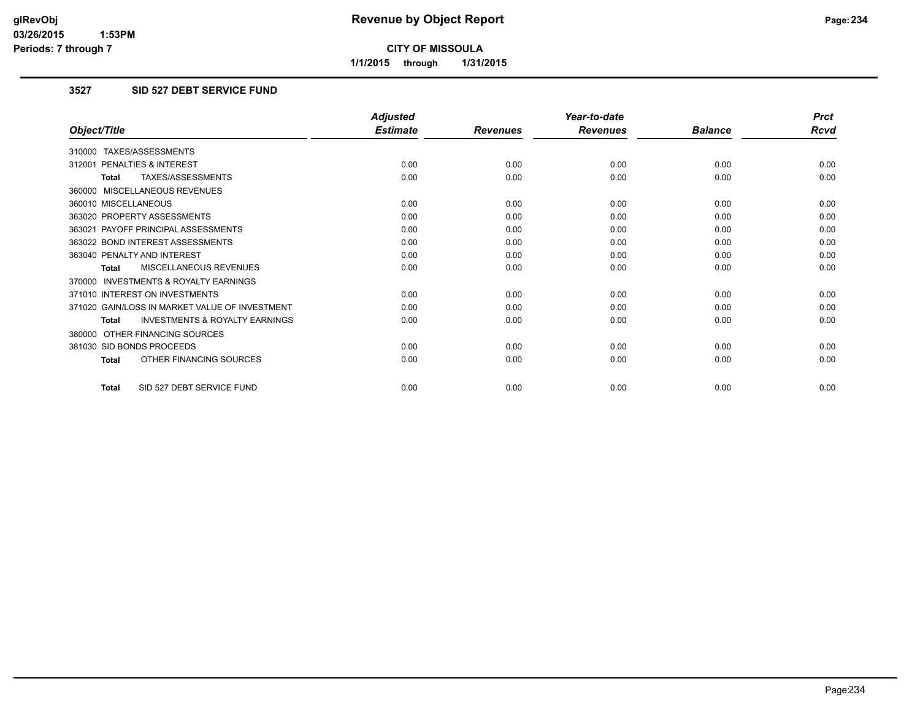**1/1/2015 through 1/31/2015**

# **3527 SID 527 DEBT SERVICE FUND**

|                                                           | <b>Adjusted</b> |                 | Year-to-date    |                | <b>Prct</b> |
|-----------------------------------------------------------|-----------------|-----------------|-----------------|----------------|-------------|
| Object/Title                                              | <b>Estimate</b> | <b>Revenues</b> | <b>Revenues</b> | <b>Balance</b> | Rcvd        |
| 310000 TAXES/ASSESSMENTS                                  |                 |                 |                 |                |             |
| 312001 PENALTIES & INTEREST                               | 0.00            | 0.00            | 0.00            | 0.00           | 0.00        |
| <b>TAXES/ASSESSMENTS</b><br><b>Total</b>                  | 0.00            | 0.00            | 0.00            | 0.00           | 0.00        |
| 360000 MISCELLANEOUS REVENUES                             |                 |                 |                 |                |             |
| 360010 MISCELLANEOUS                                      | 0.00            | 0.00            | 0.00            | 0.00           | 0.00        |
| 363020 PROPERTY ASSESSMENTS                               | 0.00            | 0.00            | 0.00            | 0.00           | 0.00        |
| 363021 PAYOFF PRINCIPAL ASSESSMENTS                       | 0.00            | 0.00            | 0.00            | 0.00           | 0.00        |
| 363022 BOND INTEREST ASSESSMENTS                          | 0.00            | 0.00            | 0.00            | 0.00           | 0.00        |
| 363040 PENALTY AND INTEREST                               | 0.00            | 0.00            | 0.00            | 0.00           | 0.00        |
| <b>MISCELLANEOUS REVENUES</b><br><b>Total</b>             | 0.00            | 0.00            | 0.00            | 0.00           | 0.00        |
| <b>INVESTMENTS &amp; ROYALTY EARNINGS</b><br>370000       |                 |                 |                 |                |             |
| 371010 INTEREST ON INVESTMENTS                            | 0.00            | 0.00            | 0.00            | 0.00           | 0.00        |
| 371020 GAIN/LOSS IN MARKET VALUE OF INVESTMENT            | 0.00            | 0.00            | 0.00            | 0.00           | 0.00        |
| <b>INVESTMENTS &amp; ROYALTY EARNINGS</b><br><b>Total</b> | 0.00            | 0.00            | 0.00            | 0.00           | 0.00        |
| 380000 OTHER FINANCING SOURCES                            |                 |                 |                 |                |             |
| 381030 SID BONDS PROCEEDS                                 | 0.00            | 0.00            | 0.00            | 0.00           | 0.00        |
| OTHER FINANCING SOURCES<br><b>Total</b>                   | 0.00            | 0.00            | 0.00            | 0.00           | 0.00        |
| SID 527 DEBT SERVICE FUND<br>Total                        | 0.00            | 0.00            | 0.00            | 0.00           | 0.00        |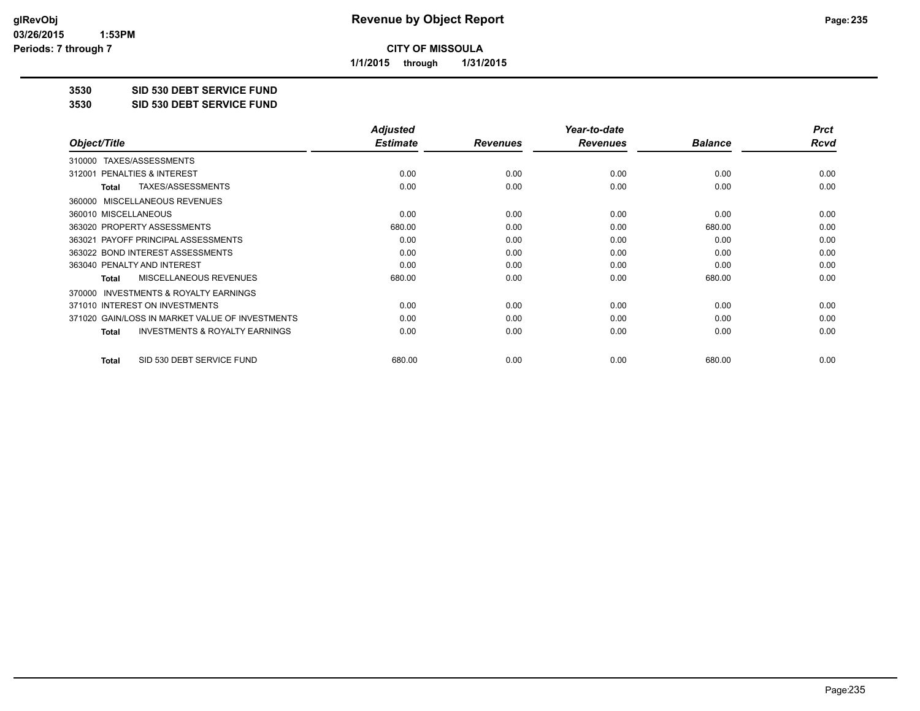**1/1/2015 through 1/31/2015**

**3530 SID 530 DEBT SERVICE FUND**

**3530 SID 530 DEBT SERVICE FUND**

|                                                           | <b>Adjusted</b> |                 | Year-to-date    |                | <b>Prct</b> |
|-----------------------------------------------------------|-----------------|-----------------|-----------------|----------------|-------------|
| Object/Title                                              | <b>Estimate</b> | <b>Revenues</b> | <b>Revenues</b> | <b>Balance</b> | Rcvd        |
| TAXES/ASSESSMENTS<br>310000                               |                 |                 |                 |                |             |
| 312001 PENALTIES & INTEREST                               | 0.00            | 0.00            | 0.00            | 0.00           | 0.00        |
| TAXES/ASSESSMENTS<br>Total                                | 0.00            | 0.00            | 0.00            | 0.00           | 0.00        |
| MISCELLANEOUS REVENUES<br>360000                          |                 |                 |                 |                |             |
| 360010 MISCELLANEOUS                                      | 0.00            | 0.00            | 0.00            | 0.00           | 0.00        |
| 363020 PROPERTY ASSESSMENTS                               | 680.00          | 0.00            | 0.00            | 680.00         | 0.00        |
| 363021 PAYOFF PRINCIPAL ASSESSMENTS                       | 0.00            | 0.00            | 0.00            | 0.00           | 0.00        |
| 363022 BOND INTEREST ASSESSMENTS                          | 0.00            | 0.00            | 0.00            | 0.00           | 0.00        |
| 363040 PENALTY AND INTEREST                               | 0.00            | 0.00            | 0.00            | 0.00           | 0.00        |
| <b>MISCELLANEOUS REVENUES</b><br>Total                    | 680.00          | 0.00            | 0.00            | 680.00         | 0.00        |
| <b>INVESTMENTS &amp; ROYALTY EARNINGS</b><br>370000       |                 |                 |                 |                |             |
| 371010 INTEREST ON INVESTMENTS                            | 0.00            | 0.00            | 0.00            | 0.00           | 0.00        |
| 371020 GAIN/LOSS IN MARKET VALUE OF INVESTMENTS           | 0.00            | 0.00            | 0.00            | 0.00           | 0.00        |
| <b>INVESTMENTS &amp; ROYALTY EARNINGS</b><br><b>Total</b> | 0.00            | 0.00            | 0.00            | 0.00           | 0.00        |
| SID 530 DEBT SERVICE FUND<br>Total                        | 680.00          | 0.00            | 0.00            | 680.00         | 0.00        |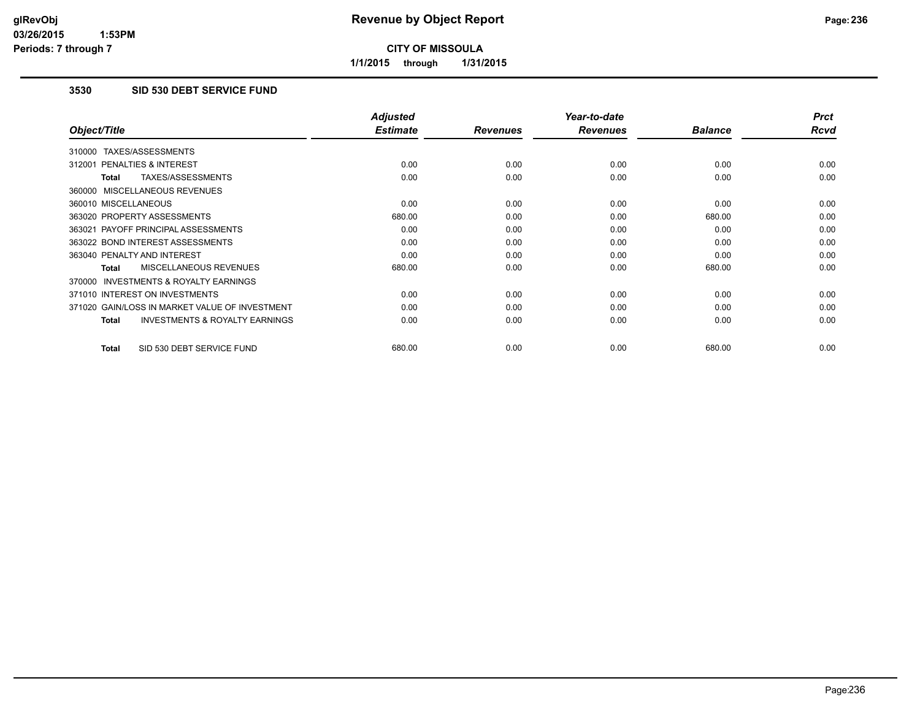**1/1/2015 through 1/31/2015**

# **3530 SID 530 DEBT SERVICE FUND**

|                                                           | <b>Adjusted</b> |                 | Year-to-date    |                | <b>Prct</b> |
|-----------------------------------------------------------|-----------------|-----------------|-----------------|----------------|-------------|
| Object/Title                                              | <b>Estimate</b> | <b>Revenues</b> | <b>Revenues</b> | <b>Balance</b> | <b>Rcvd</b> |
| 310000 TAXES/ASSESSMENTS                                  |                 |                 |                 |                |             |
| 312001 PENALTIES & INTEREST                               | 0.00            | 0.00            | 0.00            | 0.00           | 0.00        |
| TAXES/ASSESSMENTS<br><b>Total</b>                         | 0.00            | 0.00            | 0.00            | 0.00           | 0.00        |
| 360000 MISCELLANEOUS REVENUES                             |                 |                 |                 |                |             |
| 360010 MISCELLANEOUS                                      | 0.00            | 0.00            | 0.00            | 0.00           | 0.00        |
| 363020 PROPERTY ASSESSMENTS                               | 680.00          | 0.00            | 0.00            | 680.00         | 0.00        |
| 363021 PAYOFF PRINCIPAL ASSESSMENTS                       | 0.00            | 0.00            | 0.00            | 0.00           | 0.00        |
| 363022 BOND INTEREST ASSESSMENTS                          | 0.00            | 0.00            | 0.00            | 0.00           | 0.00        |
| 363040 PENALTY AND INTEREST                               | 0.00            | 0.00            | 0.00            | 0.00           | 0.00        |
| MISCELLANEOUS REVENUES<br><b>Total</b>                    | 680.00          | 0.00            | 0.00            | 680.00         | 0.00        |
| <b>INVESTMENTS &amp; ROYALTY EARNINGS</b><br>370000       |                 |                 |                 |                |             |
| 371010 INTEREST ON INVESTMENTS                            | 0.00            | 0.00            | 0.00            | 0.00           | 0.00        |
| 371020 GAIN/LOSS IN MARKET VALUE OF INVESTMENT            | 0.00            | 0.00            | 0.00            | 0.00           | 0.00        |
| <b>INVESTMENTS &amp; ROYALTY EARNINGS</b><br><b>Total</b> | 0.00            | 0.00            | 0.00            | 0.00           | 0.00        |
| SID 530 DEBT SERVICE FUND<br><b>Total</b>                 | 680.00          | 0.00            | 0.00            | 680.00         | 0.00        |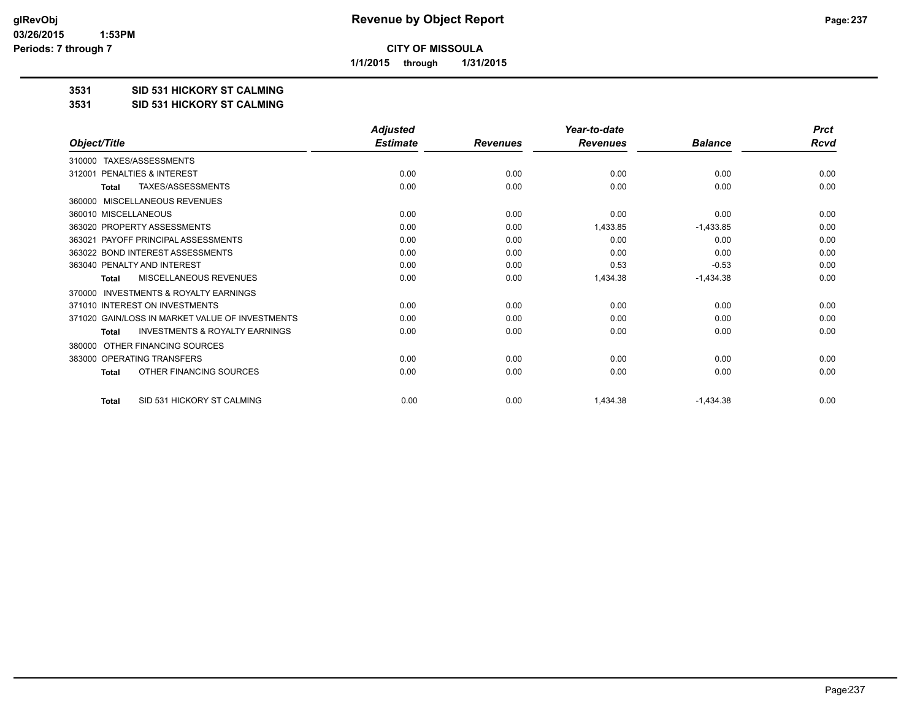**1/1/2015 through 1/31/2015**

### **3531 SID 531 HICKORY ST CALMING**

#### **3531 SID 531 HICKORY ST CALMING**

|                                                     | <b>Adjusted</b> |                 | Year-to-date    |                | <b>Prct</b> |
|-----------------------------------------------------|-----------------|-----------------|-----------------|----------------|-------------|
| Object/Title                                        | <b>Estimate</b> | <b>Revenues</b> | <b>Revenues</b> | <b>Balance</b> | Rcvd        |
| TAXES/ASSESSMENTS<br>310000                         |                 |                 |                 |                |             |
| PENALTIES & INTEREST<br>312001                      | 0.00            | 0.00            | 0.00            | 0.00           | 0.00        |
| TAXES/ASSESSMENTS<br><b>Total</b>                   | 0.00            | 0.00            | 0.00            | 0.00           | 0.00        |
| MISCELLANEOUS REVENUES<br>360000                    |                 |                 |                 |                |             |
| 360010 MISCELLANEOUS                                | 0.00            | 0.00            | 0.00            | 0.00           | 0.00        |
| 363020 PROPERTY ASSESSMENTS                         | 0.00            | 0.00            | 1,433.85        | $-1,433.85$    | 0.00        |
| PAYOFF PRINCIPAL ASSESSMENTS<br>363021              | 0.00            | 0.00            | 0.00            | 0.00           | 0.00        |
| 363022 BOND INTEREST ASSESSMENTS                    | 0.00            | 0.00            | 0.00            | 0.00           | 0.00        |
| 363040 PENALTY AND INTEREST                         | 0.00            | 0.00            | 0.53            | $-0.53$        | 0.00        |
| MISCELLANEOUS REVENUES<br>Total                     | 0.00            | 0.00            | 1,434.38        | $-1,434.38$    | 0.00        |
| <b>INVESTMENTS &amp; ROYALTY EARNINGS</b><br>370000 |                 |                 |                 |                |             |
| 371010 INTEREST ON INVESTMENTS                      | 0.00            | 0.00            | 0.00            | 0.00           | 0.00        |
| 371020 GAIN/LOSS IN MARKET VALUE OF INVESTMENTS     | 0.00            | 0.00            | 0.00            | 0.00           | 0.00        |
| <b>INVESTMENTS &amp; ROYALTY EARNINGS</b><br>Total  | 0.00            | 0.00            | 0.00            | 0.00           | 0.00        |
| OTHER FINANCING SOURCES<br>380000                   |                 |                 |                 |                |             |
| 383000 OPERATING TRANSFERS                          | 0.00            | 0.00            | 0.00            | 0.00           | 0.00        |
| OTHER FINANCING SOURCES<br><b>Total</b>             | 0.00            | 0.00            | 0.00            | 0.00           | 0.00        |
| SID 531 HICKORY ST CALMING<br><b>Total</b>          | 0.00            | 0.00            | 1,434.38        | $-1,434.38$    | 0.00        |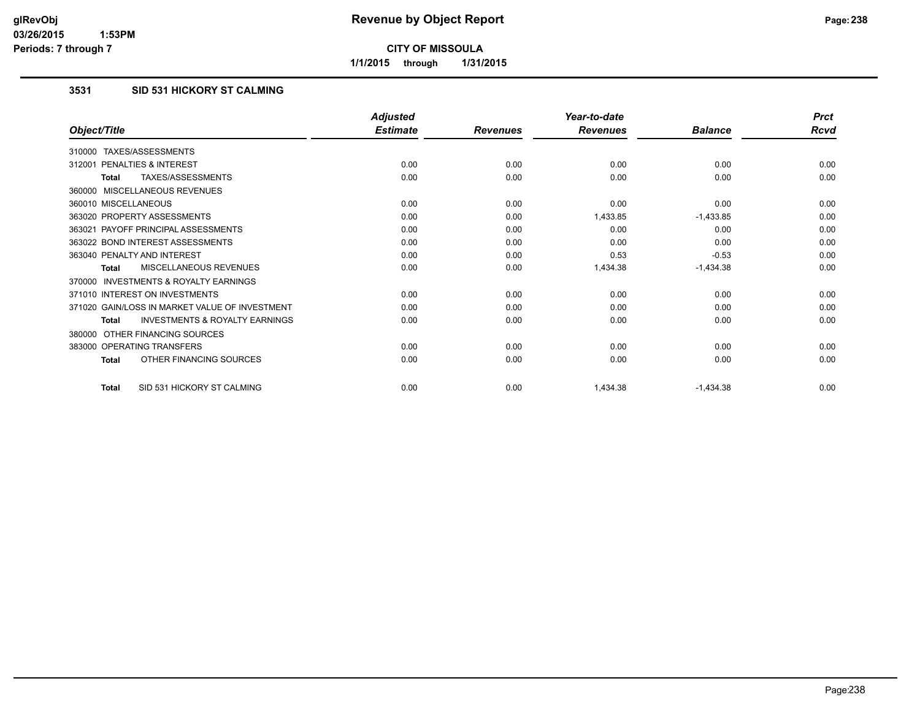**1/1/2015 through 1/31/2015**

# **3531 SID 531 HICKORY ST CALMING**

|                                                           | <b>Adjusted</b> |                 | Year-to-date    |                | <b>Prct</b> |
|-----------------------------------------------------------|-----------------|-----------------|-----------------|----------------|-------------|
| Object/Title                                              | <b>Estimate</b> | <b>Revenues</b> | <b>Revenues</b> | <b>Balance</b> | <b>Rcvd</b> |
| 310000 TAXES/ASSESSMENTS                                  |                 |                 |                 |                |             |
| PENALTIES & INTEREST<br>312001                            | 0.00            | 0.00            | 0.00            | 0.00           | 0.00        |
| TAXES/ASSESSMENTS<br><b>Total</b>                         | 0.00            | 0.00            | 0.00            | 0.00           | 0.00        |
| 360000 MISCELLANEOUS REVENUES                             |                 |                 |                 |                |             |
| 360010 MISCELLANEOUS                                      | 0.00            | 0.00            | 0.00            | 0.00           | 0.00        |
| 363020 PROPERTY ASSESSMENTS                               | 0.00            | 0.00            | 1,433.85        | $-1,433.85$    | 0.00        |
| 363021 PAYOFF PRINCIPAL ASSESSMENTS                       | 0.00            | 0.00            | 0.00            | 0.00           | 0.00        |
| 363022 BOND INTEREST ASSESSMENTS                          | 0.00            | 0.00            | 0.00            | 0.00           | 0.00        |
| 363040 PENALTY AND INTEREST                               | 0.00            | 0.00            | 0.53            | $-0.53$        | 0.00        |
| MISCELLANEOUS REVENUES<br><b>Total</b>                    | 0.00            | 0.00            | 1,434.38        | $-1,434.38$    | 0.00        |
| <b>INVESTMENTS &amp; ROYALTY EARNINGS</b><br>370000       |                 |                 |                 |                |             |
| 371010 INTEREST ON INVESTMENTS                            | 0.00            | 0.00            | 0.00            | 0.00           | 0.00        |
| 371020 GAIN/LOSS IN MARKET VALUE OF INVESTMENT            | 0.00            | 0.00            | 0.00            | 0.00           | 0.00        |
| <b>INVESTMENTS &amp; ROYALTY EARNINGS</b><br><b>Total</b> | 0.00            | 0.00            | 0.00            | 0.00           | 0.00        |
| OTHER FINANCING SOURCES<br>380000                         |                 |                 |                 |                |             |
| 383000 OPERATING TRANSFERS                                | 0.00            | 0.00            | 0.00            | 0.00           | 0.00        |
| OTHER FINANCING SOURCES<br><b>Total</b>                   | 0.00            | 0.00            | 0.00            | 0.00           | 0.00        |
| SID 531 HICKORY ST CALMING<br><b>Total</b>                | 0.00            | 0.00            | 1,434.38        | $-1,434.38$    | 0.00        |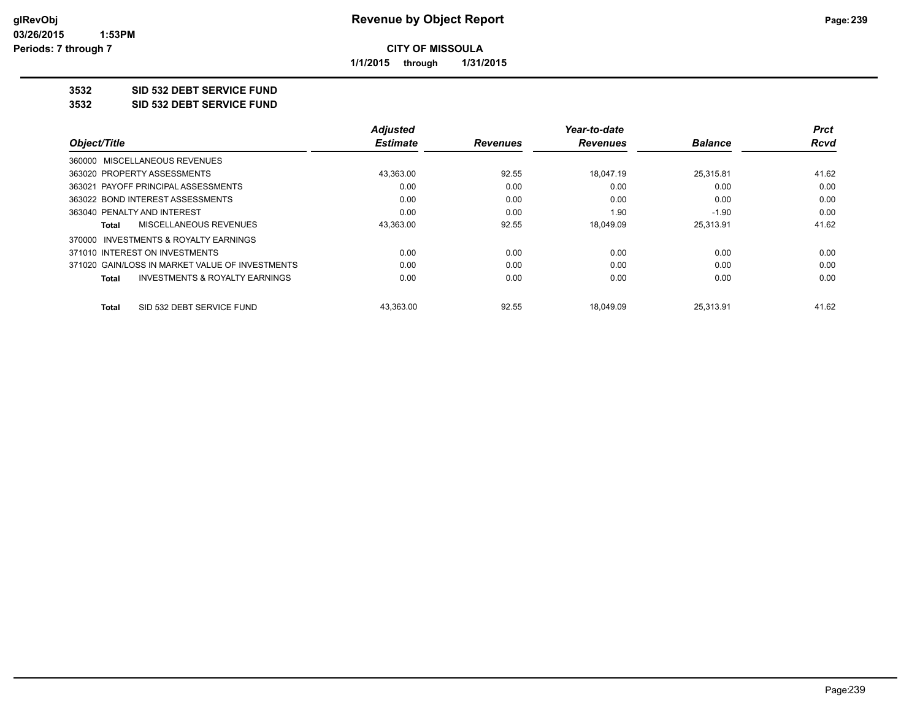**1/1/2015 through 1/31/2015**

### **3532 SID 532 DEBT SERVICE FUND**

**3532 SID 532 DEBT SERVICE FUND**

|                                                           | <b>Adjusted</b> |                 | Year-to-date    |                | Prct  |
|-----------------------------------------------------------|-----------------|-----------------|-----------------|----------------|-------|
| Object/Title                                              | <b>Estimate</b> | <b>Revenues</b> | <b>Revenues</b> | <b>Balance</b> | Rcvd  |
| 360000 MISCELLANEOUS REVENUES                             |                 |                 |                 |                |       |
| 363020 PROPERTY ASSESSMENTS                               | 43,363.00       | 92.55           | 18,047.19       | 25,315.81      | 41.62 |
| 363021 PAYOFF PRINCIPAL ASSESSMENTS                       | 0.00            | 0.00            | 0.00            | 0.00           | 0.00  |
| 363022 BOND INTEREST ASSESSMENTS                          | 0.00            | 0.00            | 0.00            | 0.00           | 0.00  |
| 363040 PENALTY AND INTEREST                               | 0.00            | 0.00            | 1.90            | $-1.90$        | 0.00  |
| MISCELLANEOUS REVENUES<br>Total                           | 43,363.00       | 92.55           | 18.049.09       | 25.313.91      | 41.62 |
| 370000 INVESTMENTS & ROYALTY EARNINGS                     |                 |                 |                 |                |       |
| 371010 INTEREST ON INVESTMENTS                            | 0.00            | 0.00            | 0.00            | 0.00           | 0.00  |
| 371020 GAIN/LOSS IN MARKET VALUE OF INVESTMENTS           | 0.00            | 0.00            | 0.00            | 0.00           | 0.00  |
| <b>INVESTMENTS &amp; ROYALTY EARNINGS</b><br><b>Total</b> | 0.00            | 0.00            | 0.00            | 0.00           | 0.00  |
| SID 532 DEBT SERVICE FUND<br>Total                        | 43,363.00       | 92.55           | 18.049.09       | 25.313.91      | 41.62 |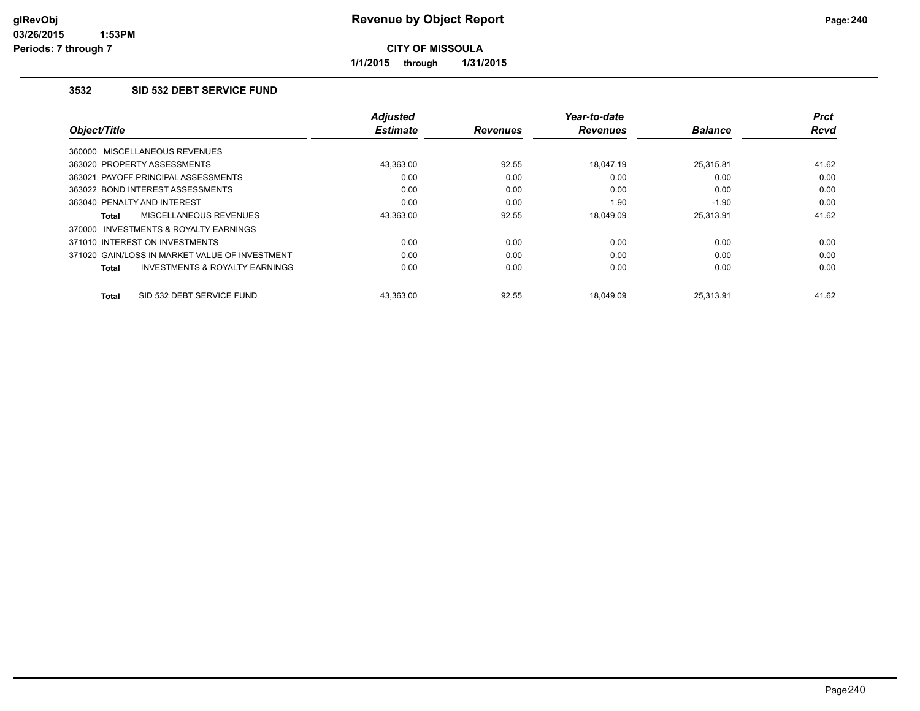**1/1/2015 through 1/31/2015**

### **3532 SID 532 DEBT SERVICE FUND**

|                                                           | <b>Adjusted</b> |                 | Year-to-date    |                | Prct        |
|-----------------------------------------------------------|-----------------|-----------------|-----------------|----------------|-------------|
| Object/Title                                              | <b>Estimate</b> | <b>Revenues</b> | <b>Revenues</b> | <b>Balance</b> | <b>Rcvd</b> |
| 360000 MISCELLANEOUS REVENUES                             |                 |                 |                 |                |             |
| 363020 PROPERTY ASSESSMENTS                               | 43.363.00       | 92.55           | 18.047.19       | 25.315.81      | 41.62       |
| 363021 PAYOFF PRINCIPAL ASSESSMENTS                       | 0.00            | 0.00            | 0.00            | 0.00           | 0.00        |
| 363022 BOND INTEREST ASSESSMENTS                          | 0.00            | 0.00            | 0.00            | 0.00           | 0.00        |
| 363040 PENALTY AND INTEREST                               | 0.00            | 0.00            | 1.90            | $-1.90$        | 0.00        |
| MISCELLANEOUS REVENUES<br><b>Total</b>                    | 43,363.00       | 92.55           | 18,049.09       | 25,313.91      | 41.62       |
| <b>INVESTMENTS &amp; ROYALTY EARNINGS</b><br>370000       |                 |                 |                 |                |             |
| 371010 INTEREST ON INVESTMENTS                            | 0.00            | 0.00            | 0.00            | 0.00           | 0.00        |
| 371020 GAIN/LOSS IN MARKET VALUE OF INVESTMENT            | 0.00            | 0.00            | 0.00            | 0.00           | 0.00        |
| <b>INVESTMENTS &amp; ROYALTY EARNINGS</b><br><b>Total</b> | 0.00            | 0.00            | 0.00            | 0.00           | 0.00        |
| SID 532 DEBT SERVICE FUND<br><b>Total</b>                 | 43.363.00       | 92.55           | 18.049.09       | 25.313.91      | 41.62       |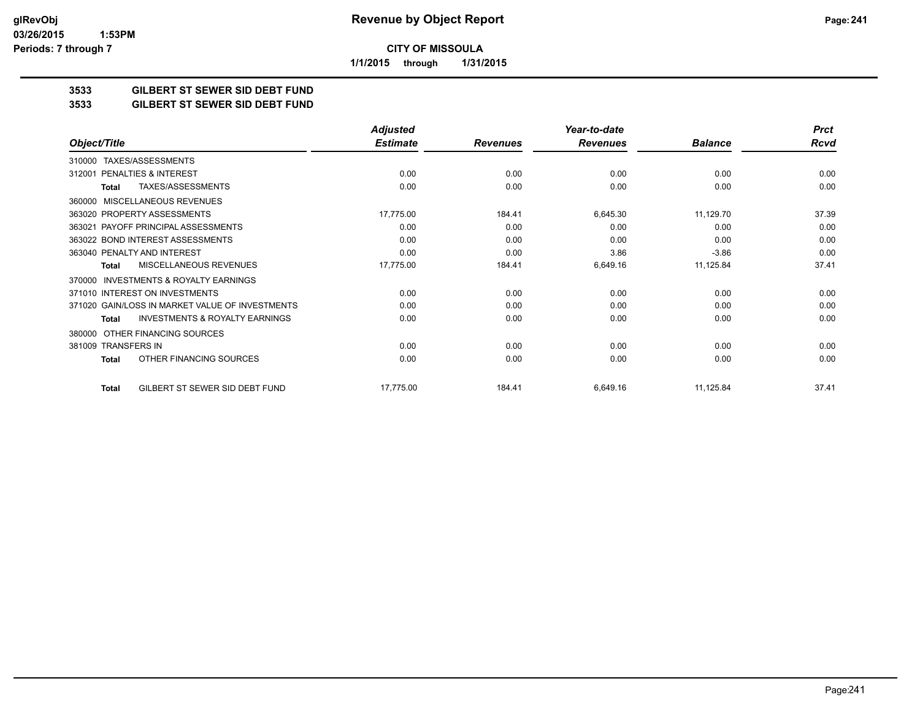**1/1/2015 through 1/31/2015**

### **3533 GILBERT ST SEWER SID DEBT FUND**

#### **3533 GILBERT ST SEWER SID DEBT FUND**

|                                                           | <b>Adjusted</b> |                 | Year-to-date    |                | <b>Prct</b> |
|-----------------------------------------------------------|-----------------|-----------------|-----------------|----------------|-------------|
| Object/Title                                              | <b>Estimate</b> | <b>Revenues</b> | <b>Revenues</b> | <b>Balance</b> | <b>Rcvd</b> |
| TAXES/ASSESSMENTS<br>310000                               |                 |                 |                 |                |             |
| PENALTIES & INTEREST<br>312001                            | 0.00            | 0.00            | 0.00            | 0.00           | 0.00        |
| TAXES/ASSESSMENTS<br>Total                                | 0.00            | 0.00            | 0.00            | 0.00           | 0.00        |
| <b>MISCELLANEOUS REVENUES</b><br>360000                   |                 |                 |                 |                |             |
| 363020 PROPERTY ASSESSMENTS                               | 17,775.00       | 184.41          | 6,645.30        | 11,129.70      | 37.39       |
| 363021 PAYOFF PRINCIPAL ASSESSMENTS                       | 0.00            | 0.00            | 0.00            | 0.00           | 0.00        |
| 363022 BOND INTEREST ASSESSMENTS                          | 0.00            | 0.00            | 0.00            | 0.00           | 0.00        |
| 363040 PENALTY AND INTEREST                               | 0.00            | 0.00            | 3.86            | $-3.86$        | 0.00        |
| MISCELLANEOUS REVENUES<br>Total                           | 17,775.00       | 184.41          | 6,649.16        | 11,125.84      | 37.41       |
| <b>INVESTMENTS &amp; ROYALTY EARNINGS</b><br>370000       |                 |                 |                 |                |             |
| 371010 INTEREST ON INVESTMENTS                            | 0.00            | 0.00            | 0.00            | 0.00           | 0.00        |
| 371020 GAIN/LOSS IN MARKET VALUE OF INVESTMENTS           | 0.00            | 0.00            | 0.00            | 0.00           | 0.00        |
| <b>INVESTMENTS &amp; ROYALTY EARNINGS</b><br><b>Total</b> | 0.00            | 0.00            | 0.00            | 0.00           | 0.00        |
| OTHER FINANCING SOURCES<br>380000                         |                 |                 |                 |                |             |
| 381009 TRANSFERS IN                                       | 0.00            | 0.00            | 0.00            | 0.00           | 0.00        |
| OTHER FINANCING SOURCES<br><b>Total</b>                   | 0.00            | 0.00            | 0.00            | 0.00           | 0.00        |
| GILBERT ST SEWER SID DEBT FUND<br><b>Total</b>            | 17,775.00       | 184.41          | 6,649.16        | 11,125.84      | 37.41       |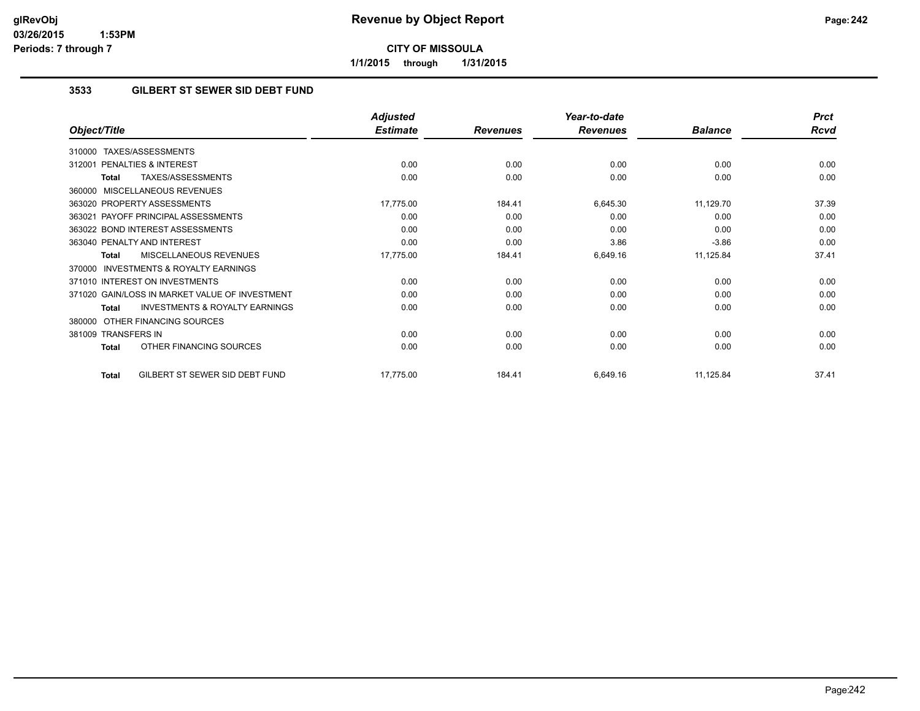**1/1/2015 through 1/31/2015**

## **3533 GILBERT ST SEWER SID DEBT FUND**

|                                                           | <b>Adjusted</b> |                 | Year-to-date    |                | <b>Prct</b> |
|-----------------------------------------------------------|-----------------|-----------------|-----------------|----------------|-------------|
| Object/Title                                              | <b>Estimate</b> | <b>Revenues</b> | <b>Revenues</b> | <b>Balance</b> | <b>Rcvd</b> |
| TAXES/ASSESSMENTS<br>310000                               |                 |                 |                 |                |             |
| 312001 PENALTIES & INTEREST                               | 0.00            | 0.00            | 0.00            | 0.00           | 0.00        |
| TAXES/ASSESSMENTS<br><b>Total</b>                         | 0.00            | 0.00            | 0.00            | 0.00           | 0.00        |
| 360000 MISCELLANEOUS REVENUES                             |                 |                 |                 |                |             |
| 363020 PROPERTY ASSESSMENTS                               | 17,775.00       | 184.41          | 6,645.30        | 11,129.70      | 37.39       |
| 363021 PAYOFF PRINCIPAL ASSESSMENTS                       | 0.00            | 0.00            | 0.00            | 0.00           | 0.00        |
| 363022 BOND INTEREST ASSESSMENTS                          | 0.00            | 0.00            | 0.00            | 0.00           | 0.00        |
| 363040 PENALTY AND INTEREST                               | 0.00            | 0.00            | 3.86            | $-3.86$        | 0.00        |
| MISCELLANEOUS REVENUES<br>Total                           | 17,775.00       | 184.41          | 6,649.16        | 11,125.84      | 37.41       |
| <b>INVESTMENTS &amp; ROYALTY EARNINGS</b><br>370000       |                 |                 |                 |                |             |
| 371010 INTEREST ON INVESTMENTS                            | 0.00            | 0.00            | 0.00            | 0.00           | 0.00        |
| 371020 GAIN/LOSS IN MARKET VALUE OF INVESTMENT            | 0.00            | 0.00            | 0.00            | 0.00           | 0.00        |
| <b>INVESTMENTS &amp; ROYALTY EARNINGS</b><br><b>Total</b> | 0.00            | 0.00            | 0.00            | 0.00           | 0.00        |
| OTHER FINANCING SOURCES<br>380000                         |                 |                 |                 |                |             |
| 381009 TRANSFERS IN                                       | 0.00            | 0.00            | 0.00            | 0.00           | 0.00        |
| OTHER FINANCING SOURCES<br><b>Total</b>                   | 0.00            | 0.00            | 0.00            | 0.00           | 0.00        |
| GILBERT ST SEWER SID DEBT FUND<br><b>Total</b>            | 17,775.00       | 184.41          | 6,649.16        | 11,125.84      | 37.41       |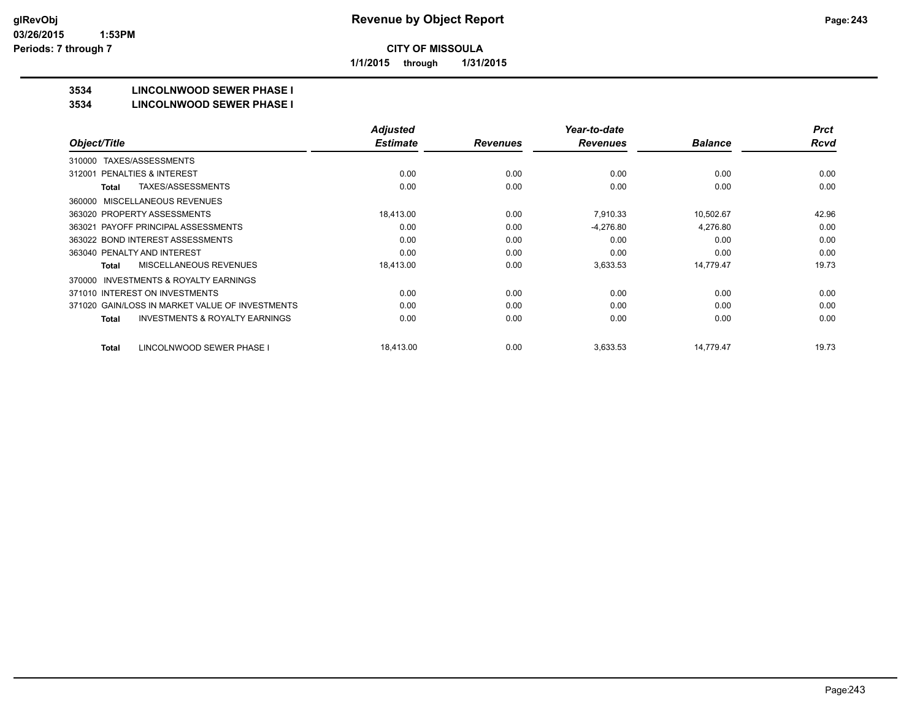**1/1/2015 through 1/31/2015**

# **3534 LINCOLNWOOD SEWER PHASE I**

#### **3534 LINCOLNWOOD SEWER PHASE I**

|                                                    | <b>Adjusted</b> |                 | Year-to-date    |                | <b>Prct</b> |
|----------------------------------------------------|-----------------|-----------------|-----------------|----------------|-------------|
| Object/Title                                       | <b>Estimate</b> | <b>Revenues</b> | <b>Revenues</b> | <b>Balance</b> | <b>Rcvd</b> |
| TAXES/ASSESSMENTS<br>310000                        |                 |                 |                 |                |             |
| PENALTIES & INTEREST<br>312001                     | 0.00            | 0.00            | 0.00            | 0.00           | 0.00        |
| TAXES/ASSESSMENTS<br>Total                         | 0.00            | 0.00            | 0.00            | 0.00           | 0.00        |
| MISCELLANEOUS REVENUES<br>360000                   |                 |                 |                 |                |             |
| 363020 PROPERTY ASSESSMENTS                        | 18,413.00       | 0.00            | 7,910.33        | 10,502.67      | 42.96       |
| 363021 PAYOFF PRINCIPAL ASSESSMENTS                | 0.00            | 0.00            | $-4,276.80$     | 4,276.80       | 0.00        |
| 363022 BOND INTEREST ASSESSMENTS                   | 0.00            | 0.00            | 0.00            | 0.00           | 0.00        |
| 363040 PENALTY AND INTEREST                        | 0.00            | 0.00            | 0.00            | 0.00           | 0.00        |
| MISCELLANEOUS REVENUES<br>Total                    | 18,413.00       | 0.00            | 3,633.53        | 14.779.47      | 19.73       |
| INVESTMENTS & ROYALTY EARNINGS<br>370000           |                 |                 |                 |                |             |
| 371010 INTEREST ON INVESTMENTS                     | 0.00            | 0.00            | 0.00            | 0.00           | 0.00        |
| 371020 GAIN/LOSS IN MARKET VALUE OF INVESTMENTS    | 0.00            | 0.00            | 0.00            | 0.00           | 0.00        |
| <b>INVESTMENTS &amp; ROYALTY EARNINGS</b><br>Total | 0.00            | 0.00            | 0.00            | 0.00           | 0.00        |
|                                                    |                 |                 |                 |                |             |
| LINCOLNWOOD SEWER PHASE I<br>Total                 | 18,413.00       | 0.00            | 3,633.53        | 14,779.47      | 19.73       |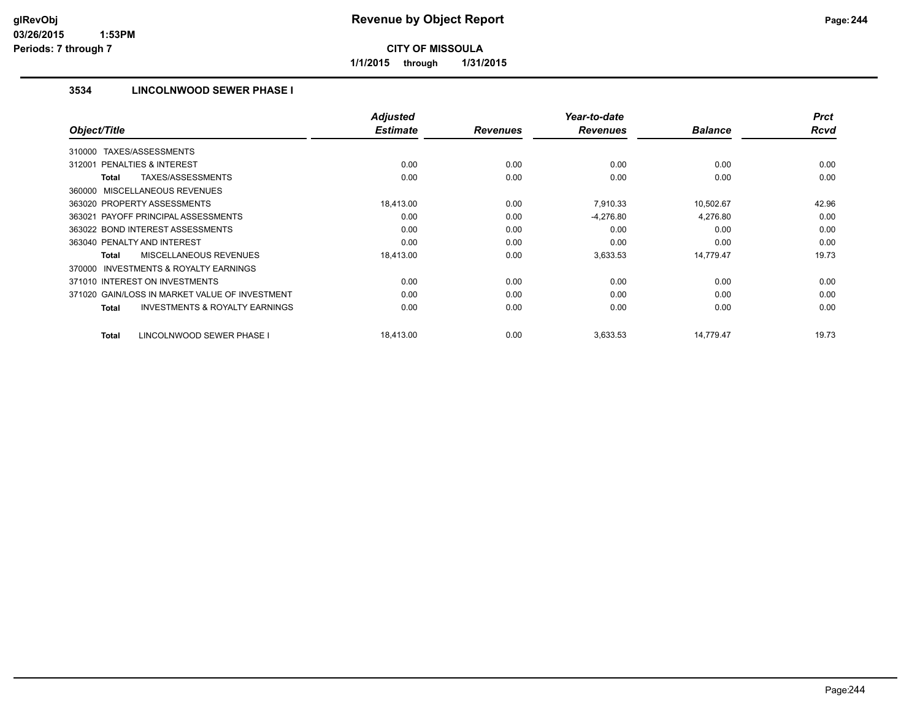**1/1/2015 through 1/31/2015**

# **3534 LINCOLNWOOD SEWER PHASE I**

|                                                           | <b>Adjusted</b> |                 | Year-to-date    |                | <b>Prct</b> |
|-----------------------------------------------------------|-----------------|-----------------|-----------------|----------------|-------------|
| Object/Title                                              | <b>Estimate</b> | <b>Revenues</b> | <b>Revenues</b> | <b>Balance</b> | <b>Rcvd</b> |
| TAXES/ASSESSMENTS<br>310000                               |                 |                 |                 |                |             |
| PENALTIES & INTEREST<br>312001                            | 0.00            | 0.00            | 0.00            | 0.00           | 0.00        |
| TAXES/ASSESSMENTS<br>Total                                | 0.00            | 0.00            | 0.00            | 0.00           | 0.00        |
| 360000 MISCELLANEOUS REVENUES                             |                 |                 |                 |                |             |
| 363020 PROPERTY ASSESSMENTS                               | 18,413.00       | 0.00            | 7.910.33        | 10,502.67      | 42.96       |
| 363021 PAYOFF PRINCIPAL ASSESSMENTS                       | 0.00            | 0.00            | $-4,276.80$     | 4,276.80       | 0.00        |
| 363022 BOND INTEREST ASSESSMENTS                          | 0.00            | 0.00            | 0.00            | 0.00           | 0.00        |
| 363040 PENALTY AND INTEREST                               | 0.00            | 0.00            | 0.00            | 0.00           | 0.00        |
| <b>MISCELLANEOUS REVENUES</b><br>Total                    | 18,413.00       | 0.00            | 3,633.53        | 14,779.47      | 19.73       |
| <b>INVESTMENTS &amp; ROYALTY EARNINGS</b><br>370000       |                 |                 |                 |                |             |
| 371010 INTEREST ON INVESTMENTS                            | 0.00            | 0.00            | 0.00            | 0.00           | 0.00        |
| 371020 GAIN/LOSS IN MARKET VALUE OF INVESTMENT            | 0.00            | 0.00            | 0.00            | 0.00           | 0.00        |
| <b>INVESTMENTS &amp; ROYALTY EARNINGS</b><br><b>Total</b> | 0.00            | 0.00            | 0.00            | 0.00           | 0.00        |
| LINCOLNWOOD SEWER PHASE I<br>Total                        | 18,413.00       | 0.00            | 3,633.53        | 14,779.47      | 19.73       |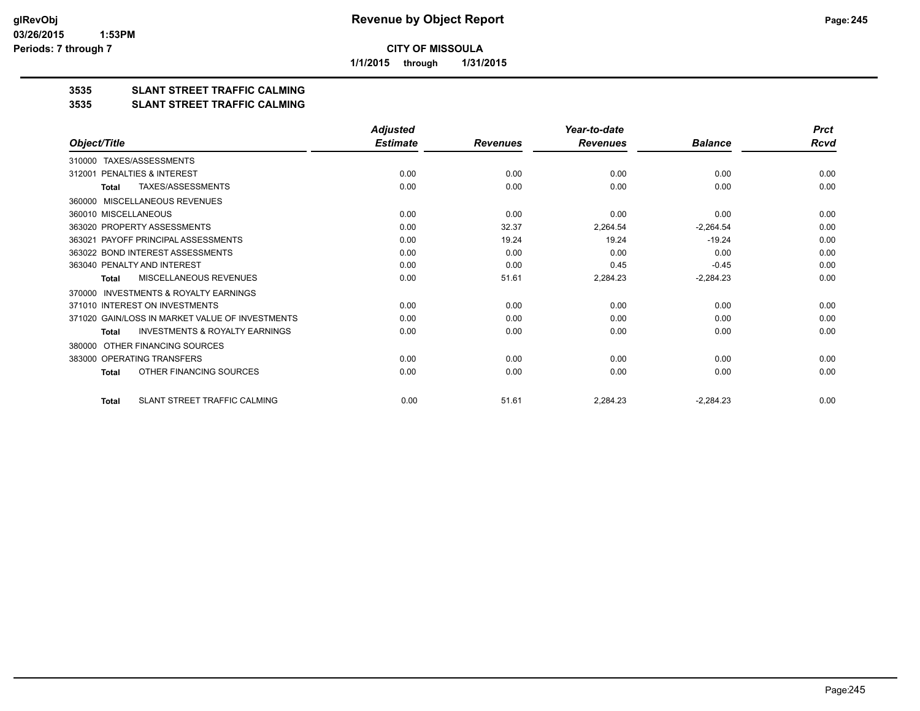**1/1/2015 through 1/31/2015**

# **3535 SLANT STREET TRAFFIC CALMING**

#### **3535 SLANT STREET TRAFFIC CALMING**

|                                                           | <b>Adjusted</b> |                 | Year-to-date    |                | <b>Prct</b> |
|-----------------------------------------------------------|-----------------|-----------------|-----------------|----------------|-------------|
| Object/Title                                              | <b>Estimate</b> | <b>Revenues</b> | <b>Revenues</b> | <b>Balance</b> | Rcvd        |
| TAXES/ASSESSMENTS<br>310000                               |                 |                 |                 |                |             |
| PENALTIES & INTEREST<br>312001                            | 0.00            | 0.00            | 0.00            | 0.00           | 0.00        |
| <b>TAXES/ASSESSMENTS</b><br><b>Total</b>                  | 0.00            | 0.00            | 0.00            | 0.00           | 0.00        |
| <b>MISCELLANEOUS REVENUES</b><br>360000                   |                 |                 |                 |                |             |
| 360010 MISCELLANEOUS                                      | 0.00            | 0.00            | 0.00            | 0.00           | 0.00        |
| 363020 PROPERTY ASSESSMENTS                               | 0.00            | 32.37           | 2,264.54        | $-2,264.54$    | 0.00        |
| PAYOFF PRINCIPAL ASSESSMENTS<br>363021                    | 0.00            | 19.24           | 19.24           | $-19.24$       | 0.00        |
| 363022 BOND INTEREST ASSESSMENTS                          | 0.00            | 0.00            | 0.00            | 0.00           | 0.00        |
| 363040 PENALTY AND INTEREST                               | 0.00            | 0.00            | 0.45            | $-0.45$        | 0.00        |
| MISCELLANEOUS REVENUES<br><b>Total</b>                    | 0.00            | 51.61           | 2,284.23        | $-2,284.23$    | 0.00        |
| INVESTMENTS & ROYALTY EARNINGS<br>370000                  |                 |                 |                 |                |             |
| 371010 INTEREST ON INVESTMENTS                            | 0.00            | 0.00            | 0.00            | 0.00           | 0.00        |
| 371020 GAIN/LOSS IN MARKET VALUE OF INVESTMENTS           | 0.00            | 0.00            | 0.00            | 0.00           | 0.00        |
| <b>INVESTMENTS &amp; ROYALTY EARNINGS</b><br><b>Total</b> | 0.00            | 0.00            | 0.00            | 0.00           | 0.00        |
| OTHER FINANCING SOURCES<br>380000                         |                 |                 |                 |                |             |
| 383000 OPERATING TRANSFERS                                | 0.00            | 0.00            | 0.00            | 0.00           | 0.00        |
| OTHER FINANCING SOURCES<br><b>Total</b>                   | 0.00            | 0.00            | 0.00            | 0.00           | 0.00        |
| SLANT STREET TRAFFIC CALMING<br><b>Total</b>              | 0.00            | 51.61           | 2,284.23        | $-2,284.23$    | 0.00        |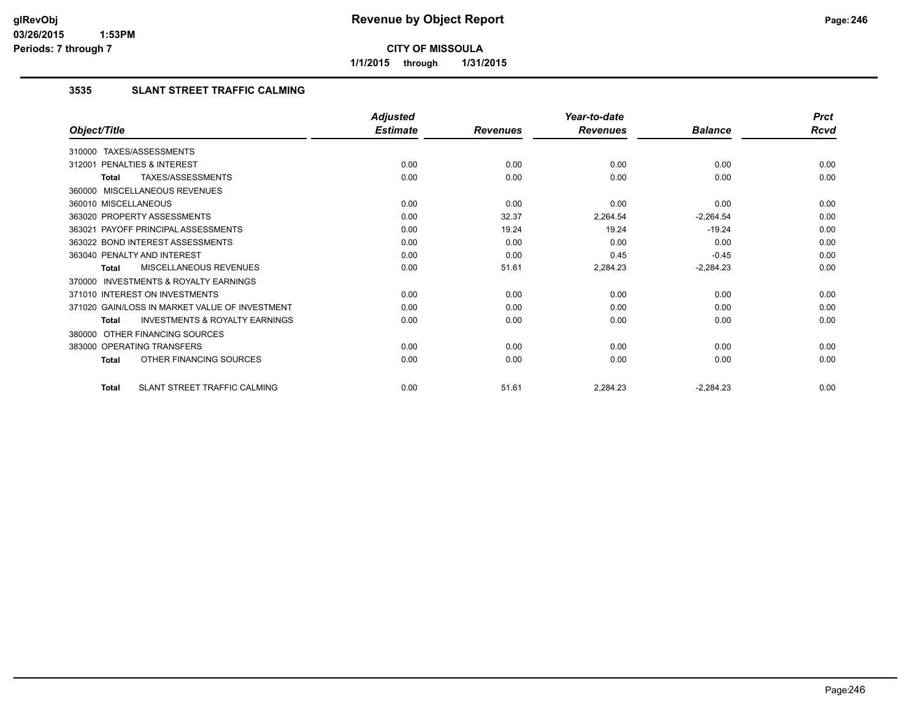**1/1/2015 through 1/31/2015**

# **3535 SLANT STREET TRAFFIC CALMING**

|                                                           | <b>Adjusted</b> |                 | Year-to-date    |                | <b>Prct</b> |
|-----------------------------------------------------------|-----------------|-----------------|-----------------|----------------|-------------|
| Object/Title                                              | <b>Estimate</b> | <b>Revenues</b> | <b>Revenues</b> | <b>Balance</b> | <b>Rcvd</b> |
| 310000 TAXES/ASSESSMENTS                                  |                 |                 |                 |                |             |
| PENALTIES & INTEREST<br>312001                            | 0.00            | 0.00            | 0.00            | 0.00           | 0.00        |
| TAXES/ASSESSMENTS<br><b>Total</b>                         | 0.00            | 0.00            | 0.00            | 0.00           | 0.00        |
| 360000 MISCELLANEOUS REVENUES                             |                 |                 |                 |                |             |
| 360010 MISCELLANEOUS                                      | 0.00            | 0.00            | 0.00            | 0.00           | 0.00        |
| 363020 PROPERTY ASSESSMENTS                               | 0.00            | 32.37           | 2,264.54        | $-2,264.54$    | 0.00        |
| 363021 PAYOFF PRINCIPAL ASSESSMENTS                       | 0.00            | 19.24           | 19.24           | $-19.24$       | 0.00        |
| 363022 BOND INTEREST ASSESSMENTS                          | 0.00            | 0.00            | 0.00            | 0.00           | 0.00        |
| 363040 PENALTY AND INTEREST                               | 0.00            | 0.00            | 0.45            | $-0.45$        | 0.00        |
| MISCELLANEOUS REVENUES<br><b>Total</b>                    | 0.00            | 51.61           | 2,284.23        | $-2,284.23$    | 0.00        |
| <b>INVESTMENTS &amp; ROYALTY EARNINGS</b><br>370000       |                 |                 |                 |                |             |
| 371010 INTEREST ON INVESTMENTS                            | 0.00            | 0.00            | 0.00            | 0.00           | 0.00        |
| 371020 GAIN/LOSS IN MARKET VALUE OF INVESTMENT            | 0.00            | 0.00            | 0.00            | 0.00           | 0.00        |
| <b>INVESTMENTS &amp; ROYALTY EARNINGS</b><br><b>Total</b> | 0.00            | 0.00            | 0.00            | 0.00           | 0.00        |
| OTHER FINANCING SOURCES<br>380000                         |                 |                 |                 |                |             |
| 383000 OPERATING TRANSFERS                                | 0.00            | 0.00            | 0.00            | 0.00           | 0.00        |
| OTHER FINANCING SOURCES<br><b>Total</b>                   | 0.00            | 0.00            | 0.00            | 0.00           | 0.00        |
| SLANT STREET TRAFFIC CALMING<br><b>Total</b>              | 0.00            | 51.61           | 2,284.23        | $-2,284.23$    | 0.00        |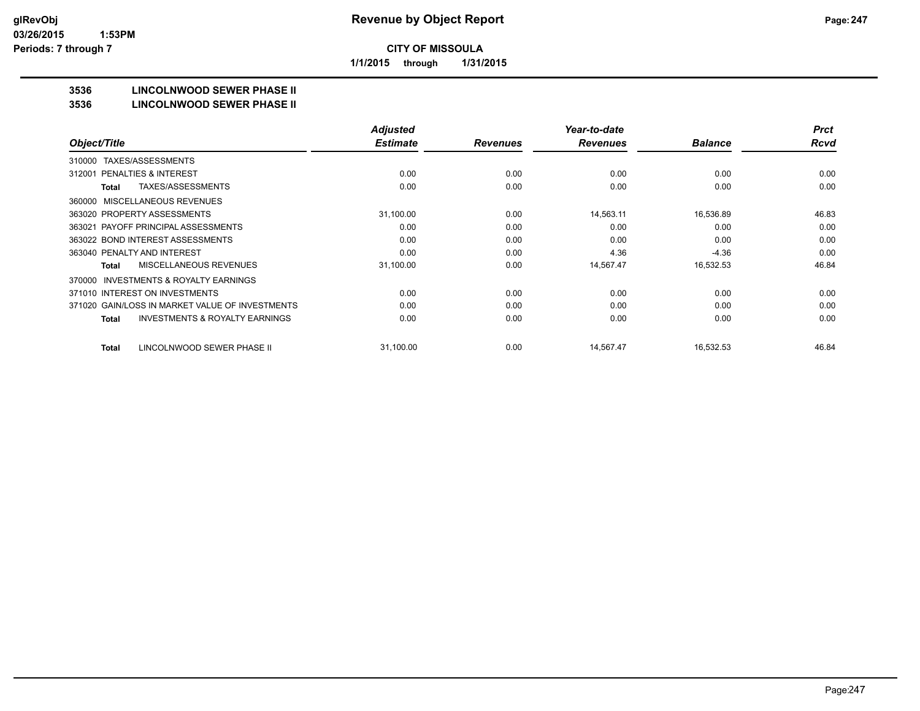**1/1/2015 through 1/31/2015**

# **3536 LINCOLNWOOD SEWER PHASE II**

#### **3536 LINCOLNWOOD SEWER PHASE II**

|                                                    | <b>Adjusted</b> |                 | Year-to-date    |                | <b>Prct</b> |
|----------------------------------------------------|-----------------|-----------------|-----------------|----------------|-------------|
| Object/Title                                       | <b>Estimate</b> | <b>Revenues</b> | <b>Revenues</b> | <b>Balance</b> | <b>Rcvd</b> |
| TAXES/ASSESSMENTS<br>310000                        |                 |                 |                 |                |             |
| PENALTIES & INTEREST<br>312001                     | 0.00            | 0.00            | 0.00            | 0.00           | 0.00        |
| TAXES/ASSESSMENTS<br>Total                         | 0.00            | 0.00            | 0.00            | 0.00           | 0.00        |
| MISCELLANEOUS REVENUES<br>360000                   |                 |                 |                 |                |             |
| 363020 PROPERTY ASSESSMENTS                        | 31,100.00       | 0.00            | 14,563.11       | 16,536.89      | 46.83       |
| 363021 PAYOFF PRINCIPAL ASSESSMENTS                | 0.00            | 0.00            | 0.00            | 0.00           | 0.00        |
| 363022 BOND INTEREST ASSESSMENTS                   | 0.00            | 0.00            | 0.00            | 0.00           | 0.00        |
| 363040 PENALTY AND INTEREST                        | 0.00            | 0.00            | 4.36            | $-4.36$        | 0.00        |
| MISCELLANEOUS REVENUES<br>Total                    | 31,100.00       | 0.00            | 14,567.47       | 16,532.53      | 46.84       |
| INVESTMENTS & ROYALTY EARNINGS<br>370000           |                 |                 |                 |                |             |
| 371010 INTEREST ON INVESTMENTS                     | 0.00            | 0.00            | 0.00            | 0.00           | 0.00        |
| 371020 GAIN/LOSS IN MARKET VALUE OF INVESTMENTS    | 0.00            | 0.00            | 0.00            | 0.00           | 0.00        |
| <b>INVESTMENTS &amp; ROYALTY EARNINGS</b><br>Total | 0.00            | 0.00            | 0.00            | 0.00           | 0.00        |
|                                                    |                 |                 |                 |                |             |
| LINCOLNWOOD SEWER PHASE II<br><b>Total</b>         | 31,100.00       | 0.00            | 14,567.47       | 16,532.53      | 46.84       |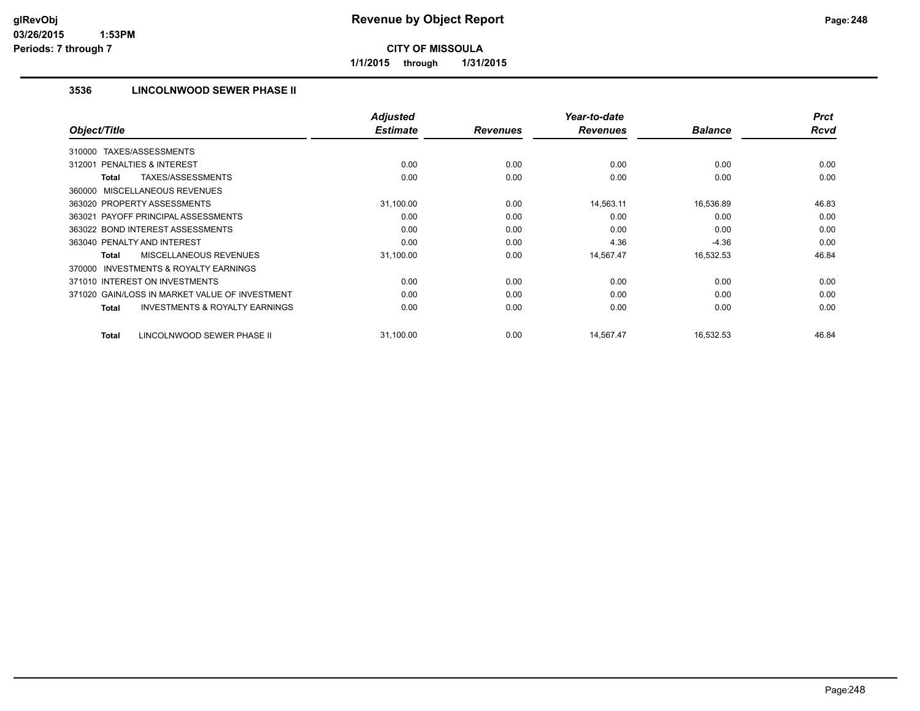**1/1/2015 through 1/31/2015**

# **3536 LINCOLNWOOD SEWER PHASE II**

|                                                           | <b>Adjusted</b> |                 | Year-to-date    |                | <b>Prct</b> |
|-----------------------------------------------------------|-----------------|-----------------|-----------------|----------------|-------------|
| Object/Title                                              | <b>Estimate</b> | <b>Revenues</b> | <b>Revenues</b> | <b>Balance</b> | <b>Rcvd</b> |
| TAXES/ASSESSMENTS<br>310000                               |                 |                 |                 |                |             |
| PENALTIES & INTEREST<br>312001                            | 0.00            | 0.00            | 0.00            | 0.00           | 0.00        |
| TAXES/ASSESSMENTS<br>Total                                | 0.00            | 0.00            | 0.00            | 0.00           | 0.00        |
| 360000 MISCELLANEOUS REVENUES                             |                 |                 |                 |                |             |
| 363020 PROPERTY ASSESSMENTS                               | 31,100.00       | 0.00            | 14,563.11       | 16,536.89      | 46.83       |
| 363021 PAYOFF PRINCIPAL ASSESSMENTS                       | 0.00            | 0.00            | 0.00            | 0.00           | 0.00        |
| 363022 BOND INTEREST ASSESSMENTS                          | 0.00            | 0.00            | 0.00            | 0.00           | 0.00        |
| 363040 PENALTY AND INTEREST                               | 0.00            | 0.00            | 4.36            | $-4.36$        | 0.00        |
| MISCELLANEOUS REVENUES<br>Total                           | 31,100.00       | 0.00            | 14,567.47       | 16,532.53      | 46.84       |
| <b>INVESTMENTS &amp; ROYALTY EARNINGS</b><br>370000       |                 |                 |                 |                |             |
| 371010 INTEREST ON INVESTMENTS                            | 0.00            | 0.00            | 0.00            | 0.00           | 0.00        |
| 371020 GAIN/LOSS IN MARKET VALUE OF INVESTMENT            | 0.00            | 0.00            | 0.00            | 0.00           | 0.00        |
| <b>INVESTMENTS &amp; ROYALTY EARNINGS</b><br><b>Total</b> | 0.00            | 0.00            | 0.00            | 0.00           | 0.00        |
| LINCOLNWOOD SEWER PHASE II<br><b>Total</b>                | 31,100.00       | 0.00            | 14,567.47       | 16,532.53      | 46.84       |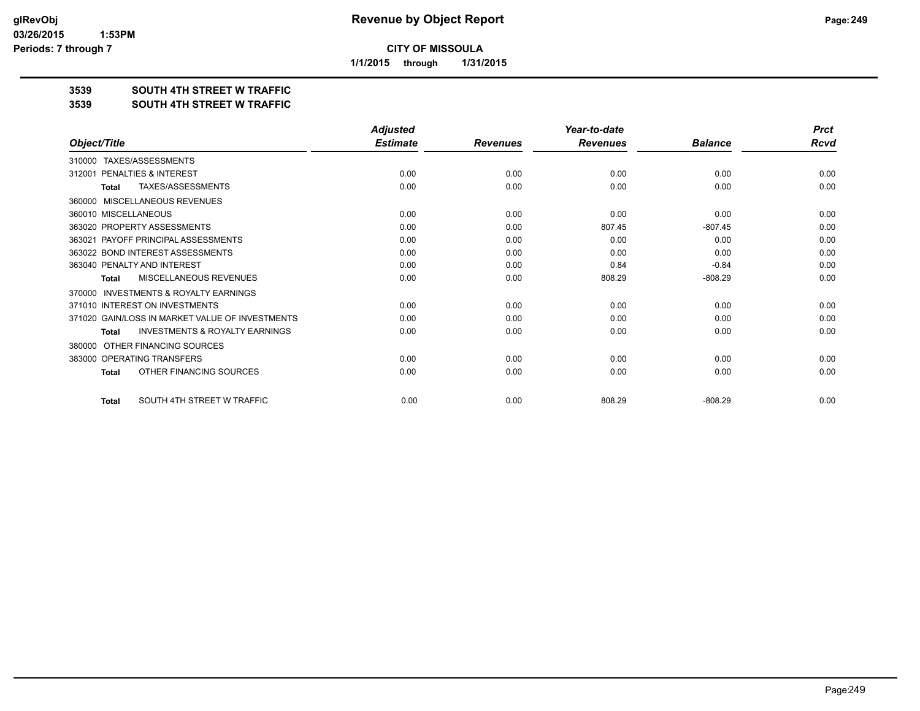**1/1/2015 through 1/31/2015**

### **3539 SOUTH 4TH STREET W TRAFFIC**

#### **3539 SOUTH 4TH STREET W TRAFFIC**

|                                                           | <b>Adjusted</b> |                 | Year-to-date    |                | <b>Prct</b> |
|-----------------------------------------------------------|-----------------|-----------------|-----------------|----------------|-------------|
| Object/Title                                              | <b>Estimate</b> | <b>Revenues</b> | <b>Revenues</b> | <b>Balance</b> | Rcvd        |
| TAXES/ASSESSMENTS<br>310000                               |                 |                 |                 |                |             |
| PENALTIES & INTEREST<br>312001                            | 0.00            | 0.00            | 0.00            | 0.00           | 0.00        |
| <b>TAXES/ASSESSMENTS</b><br><b>Total</b>                  | 0.00            | 0.00            | 0.00            | 0.00           | 0.00        |
| <b>MISCELLANEOUS REVENUES</b><br>360000                   |                 |                 |                 |                |             |
| 360010 MISCELLANEOUS                                      | 0.00            | 0.00            | 0.00            | 0.00           | 0.00        |
| 363020 PROPERTY ASSESSMENTS                               | 0.00            | 0.00            | 807.45          | $-807.45$      | 0.00        |
| 363021 PAYOFF PRINCIPAL ASSESSMENTS                       | 0.00            | 0.00            | 0.00            | 0.00           | 0.00        |
| 363022 BOND INTEREST ASSESSMENTS                          | 0.00            | 0.00            | 0.00            | 0.00           | 0.00        |
| 363040 PENALTY AND INTEREST                               | 0.00            | 0.00            | 0.84            | $-0.84$        | 0.00        |
| MISCELLANEOUS REVENUES<br><b>Total</b>                    | 0.00            | 0.00            | 808.29          | $-808.29$      | 0.00        |
| <b>INVESTMENTS &amp; ROYALTY EARNINGS</b><br>370000       |                 |                 |                 |                |             |
| 371010 INTEREST ON INVESTMENTS                            | 0.00            | 0.00            | 0.00            | 0.00           | 0.00        |
| 371020 GAIN/LOSS IN MARKET VALUE OF INVESTMENTS           | 0.00            | 0.00            | 0.00            | 0.00           | 0.00        |
| <b>INVESTMENTS &amp; ROYALTY EARNINGS</b><br><b>Total</b> | 0.00            | 0.00            | 0.00            | 0.00           | 0.00        |
| OTHER FINANCING SOURCES<br>380000                         |                 |                 |                 |                |             |
| 383000 OPERATING TRANSFERS                                | 0.00            | 0.00            | 0.00            | 0.00           | 0.00        |
| OTHER FINANCING SOURCES<br><b>Total</b>                   | 0.00            | 0.00            | 0.00            | 0.00           | 0.00        |
| SOUTH 4TH STREET W TRAFFIC<br><b>Total</b>                | 0.00            | 0.00            | 808.29          | $-808.29$      | 0.00        |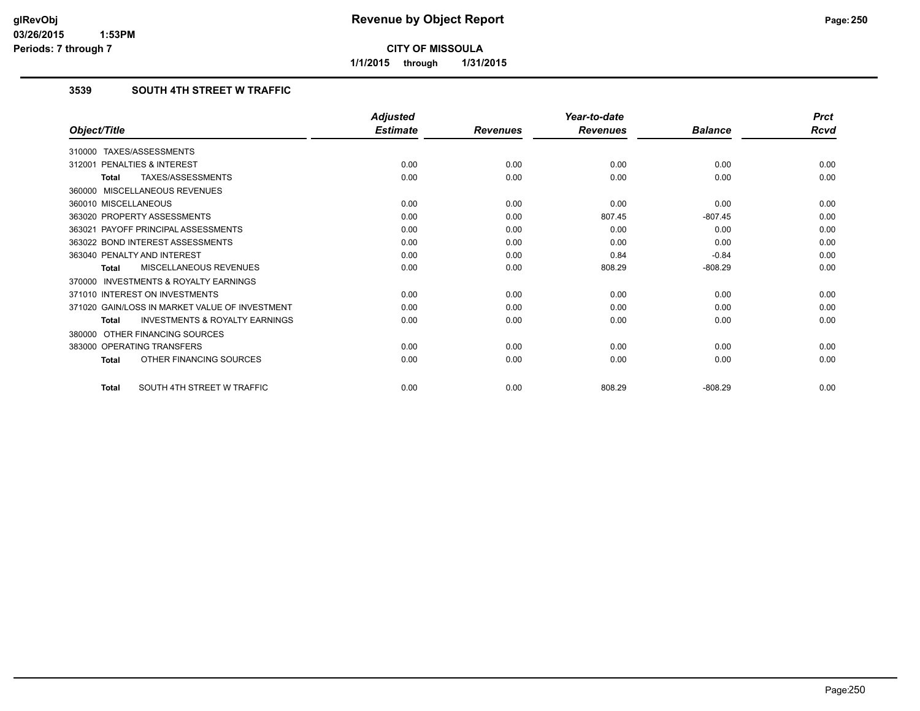**1/1/2015 through 1/31/2015**

# **3539 SOUTH 4TH STREET W TRAFFIC**

|                                                           | <b>Adjusted</b> |                 | Year-to-date    |                | <b>Prct</b> |
|-----------------------------------------------------------|-----------------|-----------------|-----------------|----------------|-------------|
| Object/Title                                              | <b>Estimate</b> | <b>Revenues</b> | <b>Revenues</b> | <b>Balance</b> | Rcvd        |
| 310000 TAXES/ASSESSMENTS                                  |                 |                 |                 |                |             |
| PENALTIES & INTEREST<br>312001                            | 0.00            | 0.00            | 0.00            | 0.00           | 0.00        |
| TAXES/ASSESSMENTS<br><b>Total</b>                         | 0.00            | 0.00            | 0.00            | 0.00           | 0.00        |
| 360000 MISCELLANEOUS REVENUES                             |                 |                 |                 |                |             |
| 360010 MISCELLANEOUS                                      | 0.00            | 0.00            | 0.00            | 0.00           | 0.00        |
| 363020 PROPERTY ASSESSMENTS                               | 0.00            | 0.00            | 807.45          | $-807.45$      | 0.00        |
| 363021 PAYOFF PRINCIPAL ASSESSMENTS                       | 0.00            | 0.00            | 0.00            | 0.00           | 0.00        |
| 363022 BOND INTEREST ASSESSMENTS                          | 0.00            | 0.00            | 0.00            | 0.00           | 0.00        |
| 363040 PENALTY AND INTEREST                               | 0.00            | 0.00            | 0.84            | $-0.84$        | 0.00        |
| MISCELLANEOUS REVENUES<br><b>Total</b>                    | 0.00            | 0.00            | 808.29          | $-808.29$      | 0.00        |
| <b>INVESTMENTS &amp; ROYALTY EARNINGS</b><br>370000       |                 |                 |                 |                |             |
| 371010 INTEREST ON INVESTMENTS                            | 0.00            | 0.00            | 0.00            | 0.00           | 0.00        |
| 371020 GAIN/LOSS IN MARKET VALUE OF INVESTMENT            | 0.00            | 0.00            | 0.00            | 0.00           | 0.00        |
| <b>INVESTMENTS &amp; ROYALTY EARNINGS</b><br><b>Total</b> | 0.00            | 0.00            | 0.00            | 0.00           | 0.00        |
| OTHER FINANCING SOURCES<br>380000                         |                 |                 |                 |                |             |
| 383000 OPERATING TRANSFERS                                | 0.00            | 0.00            | 0.00            | 0.00           | 0.00        |
| OTHER FINANCING SOURCES<br><b>Total</b>                   | 0.00            | 0.00            | 0.00            | 0.00           | 0.00        |
| SOUTH 4TH STREET W TRAFFIC<br><b>Total</b>                | 0.00            | 0.00            | 808.29          | $-808.29$      | 0.00        |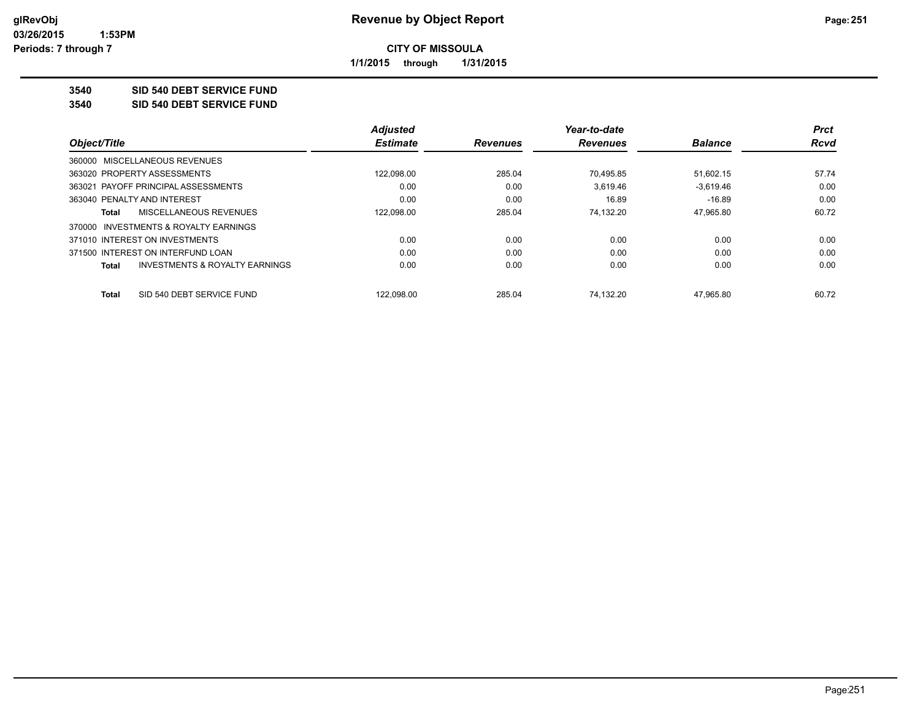**1/1/2015 through 1/31/2015**

**3540 SID 540 DEBT SERVICE FUND**

**3540 SID 540 DEBT SERVICE FUND**

|                                                    | <b>Adjusted</b> |                 | Year-to-date    |                | <b>Prct</b> |
|----------------------------------------------------|-----------------|-----------------|-----------------|----------------|-------------|
| Object/Title                                       | <b>Estimate</b> | <b>Revenues</b> | <b>Revenues</b> | <b>Balance</b> | <b>Rcvd</b> |
| 360000 MISCELLANEOUS REVENUES                      |                 |                 |                 |                |             |
| 363020 PROPERTY ASSESSMENTS                        | 122.098.00      | 285.04          | 70.495.85       | 51.602.15      | 57.74       |
| 363021 PAYOFF PRINCIPAL ASSESSMENTS                | 0.00            | 0.00            | 3.619.46        | $-3.619.46$    | 0.00        |
| 363040 PENALTY AND INTEREST                        | 0.00            | 0.00            | 16.89           | $-16.89$       | 0.00        |
| MISCELLANEOUS REVENUES<br>Total                    | 122,098.00      | 285.04          | 74.132.20       | 47,965.80      | 60.72       |
| 370000 INVESTMENTS & ROYALTY EARNINGS              |                 |                 |                 |                |             |
| 371010 INTEREST ON INVESTMENTS                     | 0.00            | 0.00            | 0.00            | 0.00           | 0.00        |
| 371500 INTEREST ON INTERFUND LOAN                  | 0.00            | 0.00            | 0.00            | 0.00           | 0.00        |
| <b>INVESTMENTS &amp; ROYALTY EARNINGS</b><br>Total | 0.00            | 0.00            | 0.00            | 0.00           | 0.00        |
| SID 540 DEBT SERVICE FUND<br><b>Total</b>          | 122.098.00      | 285.04          | 74.132.20       | 47.965.80      | 60.72       |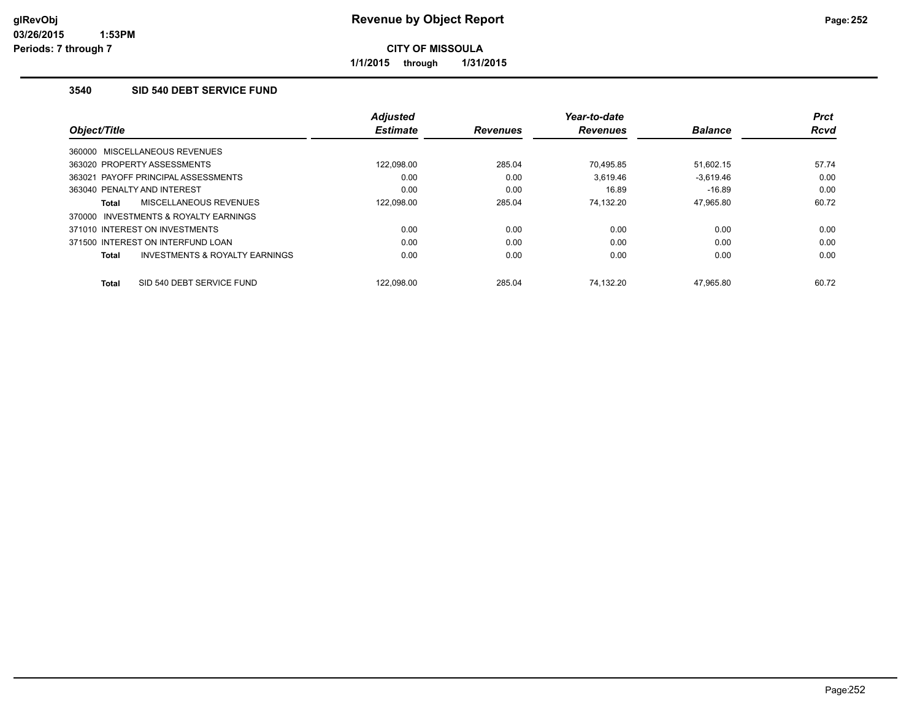**1/1/2015 through 1/31/2015**

# **3540 SID 540 DEBT SERVICE FUND**

| Object/Title                                        | <b>Adjusted</b><br><b>Estimate</b> | <b>Revenues</b> | Year-to-date<br><b>Revenues</b> | <b>Balance</b> | <b>Prct</b><br><b>Rcvd</b> |
|-----------------------------------------------------|------------------------------------|-----------------|---------------------------------|----------------|----------------------------|
| 360000 MISCELLANEOUS REVENUES                       |                                    |                 |                                 |                |                            |
| 363020 PROPERTY ASSESSMENTS                         | 122.098.00                         | 285.04          | 70.495.85                       | 51.602.15      | 57.74                      |
| 363021 PAYOFF PRINCIPAL ASSESSMENTS                 | 0.00                               | 0.00            | 3.619.46                        | $-3.619.46$    | 0.00                       |
| 363040 PENALTY AND INTEREST                         | 0.00                               | 0.00            | 16.89                           | $-16.89$       | 0.00                       |
| MISCELLANEOUS REVENUES<br>Total                     | 122,098.00                         | 285.04          | 74.132.20                       | 47,965.80      | 60.72                      |
| <b>INVESTMENTS &amp; ROYALTY EARNINGS</b><br>370000 |                                    |                 |                                 |                |                            |
| 371010 INTEREST ON INVESTMENTS                      | 0.00                               | 0.00            | 0.00                            | 0.00           | 0.00                       |
| 371500 INTEREST ON INTERFUND LOAN                   | 0.00                               | 0.00            | 0.00                            | 0.00           | 0.00                       |
| INVESTMENTS & ROYALTY EARNINGS<br><b>Total</b>      | 0.00                               | 0.00            | 0.00                            | 0.00           | 0.00                       |
| SID 540 DEBT SERVICE FUND<br><b>Total</b>           | 122.098.00                         | 285.04          | 74.132.20                       | 47.965.80      | 60.72                      |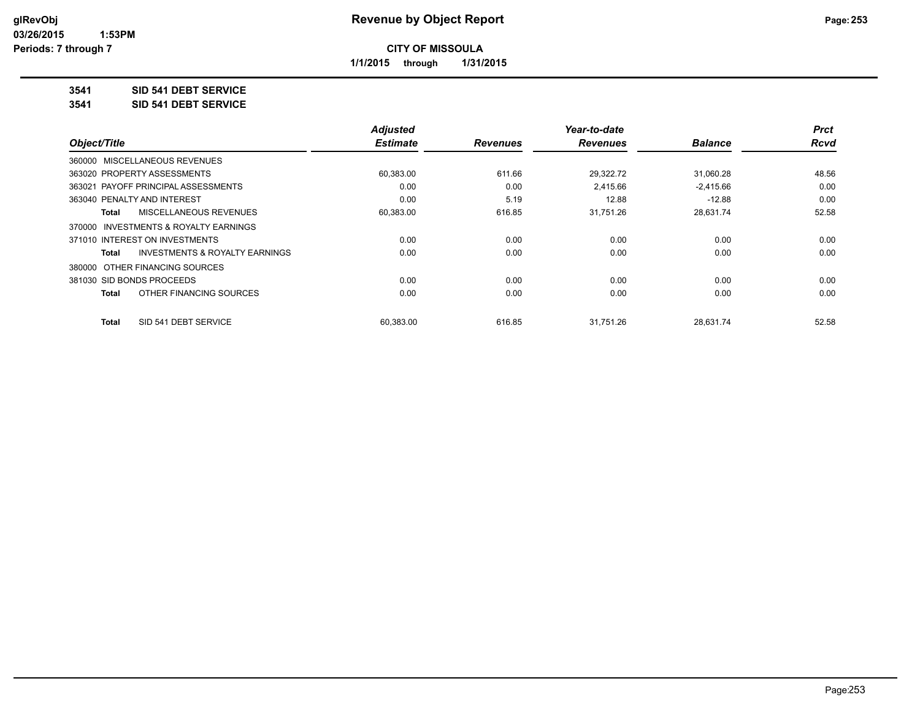**1/1/2015 through 1/31/2015**

# **3541 SID 541 DEBT SERVICE**

**3541 SID 541 DEBT SERVICE**

|                                         | <b>Adjusted</b> |                 | Year-to-date    |                | <b>Prct</b> |
|-----------------------------------------|-----------------|-----------------|-----------------|----------------|-------------|
| Object/Title                            | <b>Estimate</b> | <b>Revenues</b> | <b>Revenues</b> | <b>Balance</b> | <b>Rcvd</b> |
| 360000 MISCELLANEOUS REVENUES           |                 |                 |                 |                |             |
| 363020 PROPERTY ASSESSMENTS             | 60,383.00       | 611.66          | 29,322.72       | 31,060.28      | 48.56       |
| 363021 PAYOFF PRINCIPAL ASSESSMENTS     | 0.00            | 0.00            | 2,415.66        | $-2,415.66$    | 0.00        |
| 363040 PENALTY AND INTEREST             | 0.00            | 5.19            | 12.88           | $-12.88$       | 0.00        |
| MISCELLANEOUS REVENUES<br>Total         | 60,383.00       | 616.85          | 31,751.26       | 28,631.74      | 52.58       |
| 370000 INVESTMENTS & ROYALTY EARNINGS   |                 |                 |                 |                |             |
| 371010 INTEREST ON INVESTMENTS          | 0.00            | 0.00            | 0.00            | 0.00           | 0.00        |
| INVESTMENTS & ROYALTY EARNINGS<br>Total | 0.00            | 0.00            | 0.00            | 0.00           | 0.00        |
| 380000 OTHER FINANCING SOURCES          |                 |                 |                 |                |             |
| 381030 SID BONDS PROCEEDS               | 0.00            | 0.00            | 0.00            | 0.00           | 0.00        |
| OTHER FINANCING SOURCES<br>Total        | 0.00            | 0.00            | 0.00            | 0.00           | 0.00        |
| SID 541 DEBT SERVICE<br>Total           | 60.383.00       | 616.85          | 31.751.26       | 28.631.74      | 52.58       |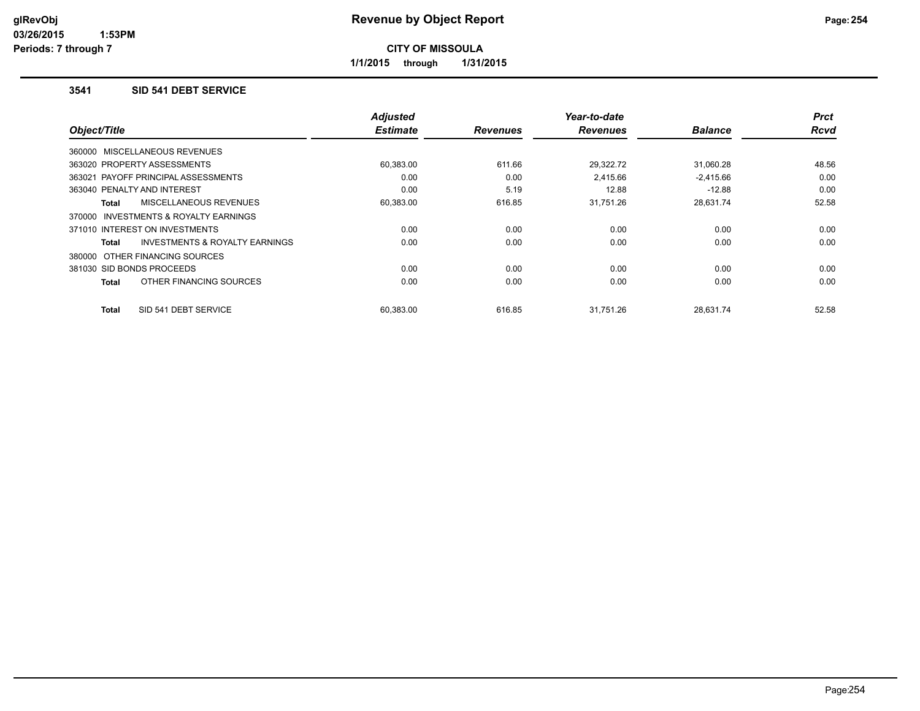**1/1/2015 through 1/31/2015**

#### **3541 SID 541 DEBT SERVICE**

| Object/Title                                              | <b>Adjusted</b><br><b>Estimate</b> | <b>Revenues</b> | Year-to-date<br><b>Revenues</b> | <b>Balance</b> | <b>Prct</b><br><b>Rcvd</b> |
|-----------------------------------------------------------|------------------------------------|-----------------|---------------------------------|----------------|----------------------------|
|                                                           |                                    |                 |                                 |                |                            |
| 360000 MISCELLANEOUS REVENUES                             |                                    |                 |                                 |                |                            |
| 363020 PROPERTY ASSESSMENTS                               | 60,383.00                          | 611.66          | 29.322.72                       | 31,060.28      | 48.56                      |
| 363021 PAYOFF PRINCIPAL ASSESSMENTS                       | 0.00                               | 0.00            | 2,415.66                        | $-2,415.66$    | 0.00                       |
| 363040 PENALTY AND INTEREST                               | 0.00                               | 5.19            | 12.88                           | $-12.88$       | 0.00                       |
| MISCELLANEOUS REVENUES<br><b>Total</b>                    | 60,383.00                          | 616.85          | 31.751.26                       | 28.631.74      | 52.58                      |
| INVESTMENTS & ROYALTY EARNINGS<br>370000                  |                                    |                 |                                 |                |                            |
| 371010 INTEREST ON INVESTMENTS                            | 0.00                               | 0.00            | 0.00                            | 0.00           | 0.00                       |
| <b>INVESTMENTS &amp; ROYALTY EARNINGS</b><br><b>Total</b> | 0.00                               | 0.00            | 0.00                            | 0.00           | 0.00                       |
| 380000 OTHER FINANCING SOURCES                            |                                    |                 |                                 |                |                            |
| 381030 SID BONDS PROCEEDS                                 | 0.00                               | 0.00            | 0.00                            | 0.00           | 0.00                       |
| OTHER FINANCING SOURCES<br><b>Total</b>                   | 0.00                               | 0.00            | 0.00                            | 0.00           | 0.00                       |
| SID 541 DEBT SERVICE<br><b>Total</b>                      | 60,383.00                          | 616.85          | 31,751.26                       | 28,631.74      | 52.58                      |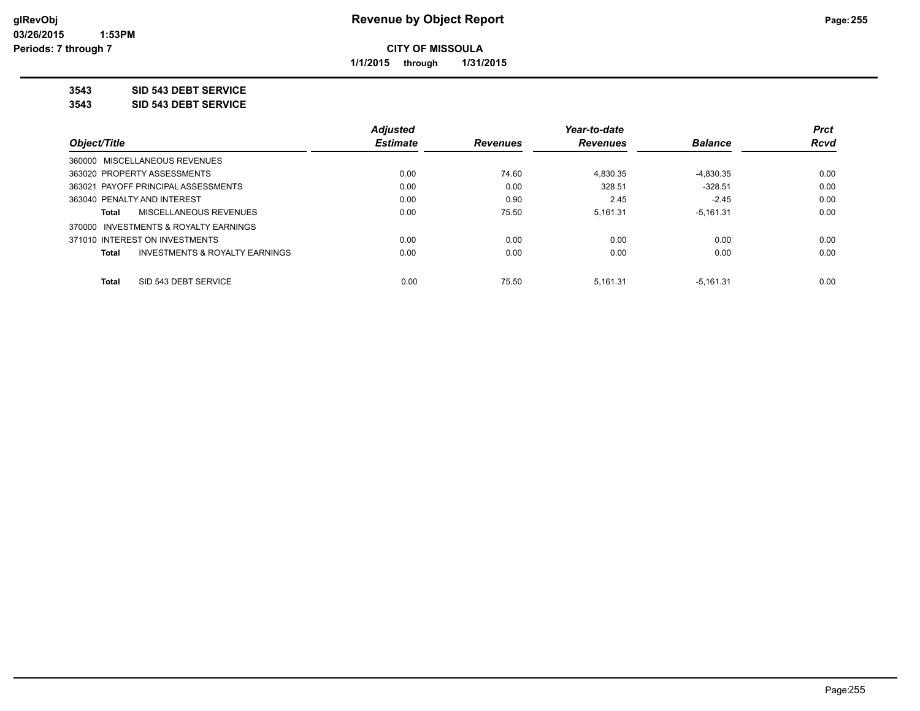**1/1/2015 through 1/31/2015**

**3543 SID 543 DEBT SERVICE**

**3543 SID 543 DEBT SERVICE**

|                                                           | <b>Adjusted</b> |                 | Year-to-date    |                | <b>Prct</b> |
|-----------------------------------------------------------|-----------------|-----------------|-----------------|----------------|-------------|
| Object/Title                                              | <b>Estimate</b> | <b>Revenues</b> | <b>Revenues</b> | <b>Balance</b> | Rcvd        |
| 360000 MISCELLANEOUS REVENUES                             |                 |                 |                 |                |             |
| 363020 PROPERTY ASSESSMENTS                               | 0.00            | 74.60           | 4,830.35        | $-4,830.35$    | 0.00        |
| 363021 PAYOFF PRINCIPAL ASSESSMENTS                       | 0.00            | 0.00            | 328.51          | $-328.51$      | 0.00        |
| 363040 PENALTY AND INTEREST                               | 0.00            | 0.90            | 2.45            | $-2.45$        | 0.00        |
| MISCELLANEOUS REVENUES<br>Total                           | 0.00            | 75.50           | 5.161.31        | $-5.161.31$    | 0.00        |
| 370000 INVESTMENTS & ROYALTY EARNINGS                     |                 |                 |                 |                |             |
| 371010 INTEREST ON INVESTMENTS                            | 0.00            | 0.00            | 0.00            | 0.00           | 0.00        |
| <b>INVESTMENTS &amp; ROYALTY EARNINGS</b><br><b>Total</b> | 0.00            | 0.00            | 0.00            | 0.00           | 0.00        |
| SID 543 DEBT SERVICE<br><b>Total</b>                      | 0.00            | 75.50           | 5.161.31        | $-5.161.31$    | 0.00        |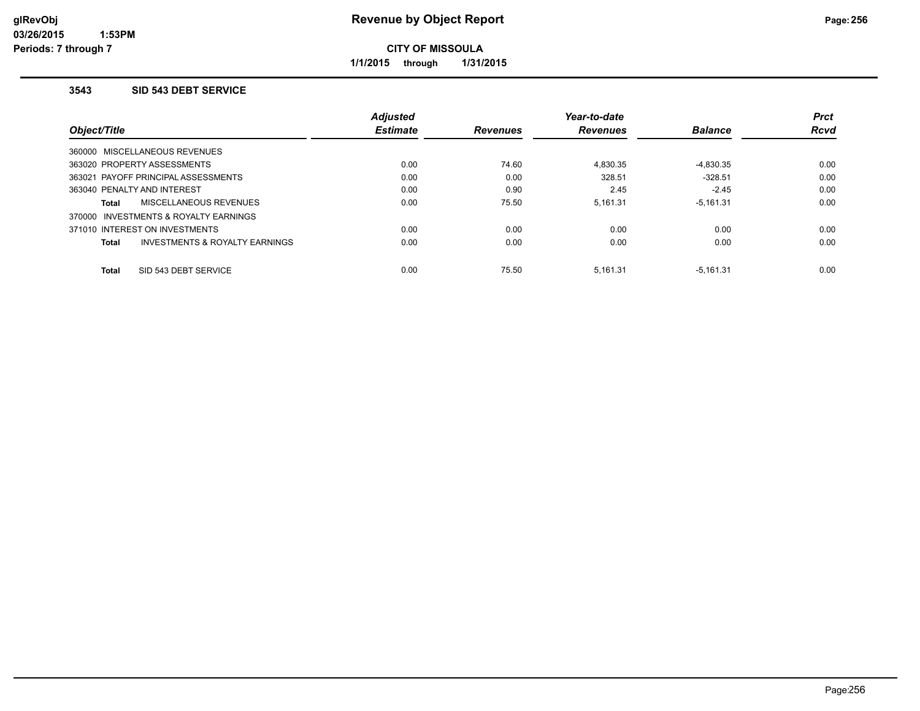**1/1/2015 through 1/31/2015**

### **3543 SID 543 DEBT SERVICE**

|                                                    | <b>Adjusted</b> |                 | Year-to-date    |                | <b>Prct</b> |
|----------------------------------------------------|-----------------|-----------------|-----------------|----------------|-------------|
| Object/Title                                       | <b>Estimate</b> | <b>Revenues</b> | <b>Revenues</b> | <b>Balance</b> | <b>Rcvd</b> |
| 360000 MISCELLANEOUS REVENUES                      |                 |                 |                 |                |             |
| 363020 PROPERTY ASSESSMENTS                        | 0.00            | 74.60           | 4.830.35        | $-4,830.35$    | 0.00        |
| 363021 PAYOFF PRINCIPAL ASSESSMENTS                | 0.00            | 0.00            | 328.51          | $-328.51$      | 0.00        |
| 363040 PENALTY AND INTEREST                        | 0.00            | 0.90            | 2.45            | $-2.45$        | 0.00        |
| <b>MISCELLANEOUS REVENUES</b><br>Total             | 0.00            | 75.50           | 5.161.31        | $-5.161.31$    | 0.00        |
| 370000 INVESTMENTS & ROYALTY EARNINGS              |                 |                 |                 |                |             |
| 371010 INTEREST ON INVESTMENTS                     | 0.00            | 0.00            | 0.00            | 0.00           | 0.00        |
| <b>INVESTMENTS &amp; ROYALTY EARNINGS</b><br>Total | 0.00            | 0.00            | 0.00            | 0.00           | 0.00        |
| SID 543 DEBT SERVICE<br><b>Total</b>               | 0.00            | 75.50           | 5.161.31        | $-5.161.31$    | 0.00        |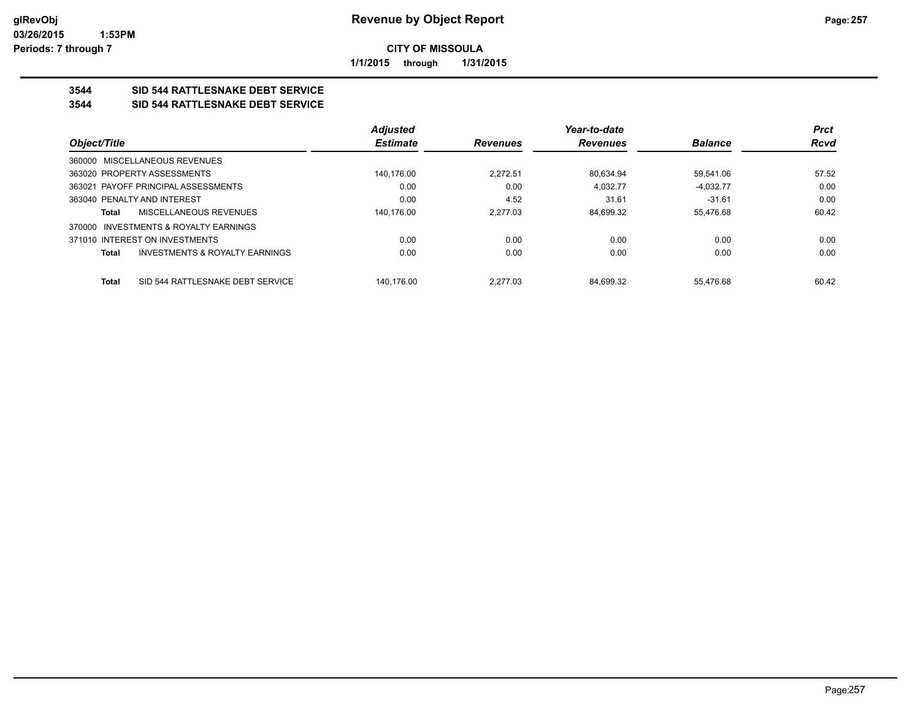**1/1/2015 through 1/31/2015**

# **3544 SID 544 RATTLESNAKE DEBT SERVICE**

### **3544 SID 544 RATTLESNAKE DEBT SERVICE**

|              |                                           | <b>Adjusted</b> |                 | Year-to-date    |                | <b>Prct</b> |
|--------------|-------------------------------------------|-----------------|-----------------|-----------------|----------------|-------------|
| Object/Title |                                           | <b>Estimate</b> | <b>Revenues</b> | <b>Revenues</b> | <b>Balance</b> | <b>Rcvd</b> |
|              | 360000 MISCELLANEOUS REVENUES             |                 |                 |                 |                |             |
|              | 363020 PROPERTY ASSESSMENTS               | 140,176.00      | 2.272.51        | 80,634.94       | 59,541.06      | 57.52       |
|              | 363021 PAYOFF PRINCIPAL ASSESSMENTS       | 0.00            | 0.00            | 4.032.77        | $-4.032.77$    | 0.00        |
|              | 363040 PENALTY AND INTEREST               | 0.00            | 4.52            | 31.61           | $-31.61$       | 0.00        |
| Total        | MISCELLANEOUS REVENUES                    | 140.176.00      | 2.277.03        | 84.699.32       | 55.476.68      | 60.42       |
|              | 370000 INVESTMENTS & ROYALTY EARNINGS     |                 |                 |                 |                |             |
|              | 371010 INTEREST ON INVESTMENTS            | 0.00            | 0.00            | 0.00            | 0.00           | 0.00        |
| <b>Total</b> | <b>INVESTMENTS &amp; ROYALTY EARNINGS</b> | 0.00            | 0.00            | 0.00            | 0.00           | 0.00        |
| <b>Total</b> | SID 544 RATTLESNAKE DEBT SERVICE          | 140.176.00      | 2.277.03        | 84.699.32       | 55.476.68      | 60.42       |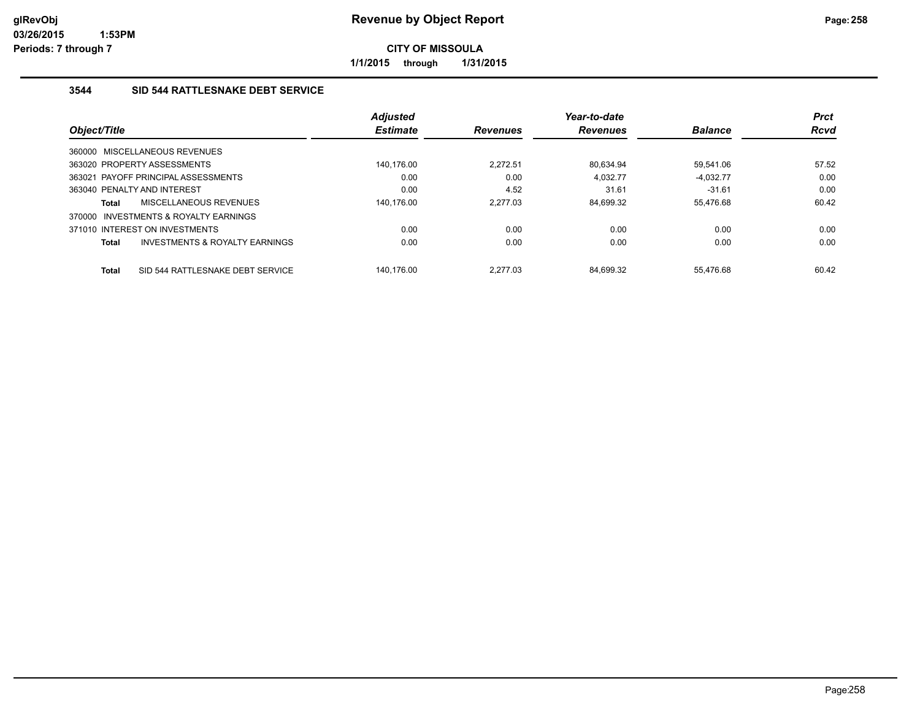**1/1/2015 through 1/31/2015**

# **3544 SID 544 RATTLESNAKE DEBT SERVICE**

|              |                                     | <b>Adjusted</b> |                 | Year-to-date    |                | <b>Prct</b> |
|--------------|-------------------------------------|-----------------|-----------------|-----------------|----------------|-------------|
| Object/Title |                                     | <b>Estimate</b> | <b>Revenues</b> | <b>Revenues</b> | <b>Balance</b> | <b>Rcvd</b> |
|              | 360000 MISCELLANEOUS REVENUES       |                 |                 |                 |                |             |
|              | 363020 PROPERTY ASSESSMENTS         | 140.176.00      | 2.272.51        | 80,634.94       | 59,541.06      | 57.52       |
|              | 363021 PAYOFF PRINCIPAL ASSESSMENTS | 0.00            | 0.00            | 4.032.77        | $-4.032.77$    | 0.00        |
|              | 363040 PENALTY AND INTEREST         | 0.00            | 4.52            | 31.61           | $-31.61$       | 0.00        |
| <b>Total</b> | MISCELLANEOUS REVENUES              | 140.176.00      | 2.277.03        | 84.699.32       | 55.476.68      | 60.42       |
| 370000       | INVESTMENTS & ROYALTY EARNINGS      |                 |                 |                 |                |             |
|              | 371010 INTEREST ON INVESTMENTS      | 0.00            | 0.00            | 0.00            | 0.00           | 0.00        |
| <b>Total</b> | INVESTMENTS & ROYALTY EARNINGS      | 0.00            | 0.00            | 0.00            | 0.00           | 0.00        |
| <b>Total</b> | SID 544 RATTLESNAKE DEBT SERVICE    | 140.176.00      | 2.277.03        | 84.699.32       | 55.476.68      | 60.42       |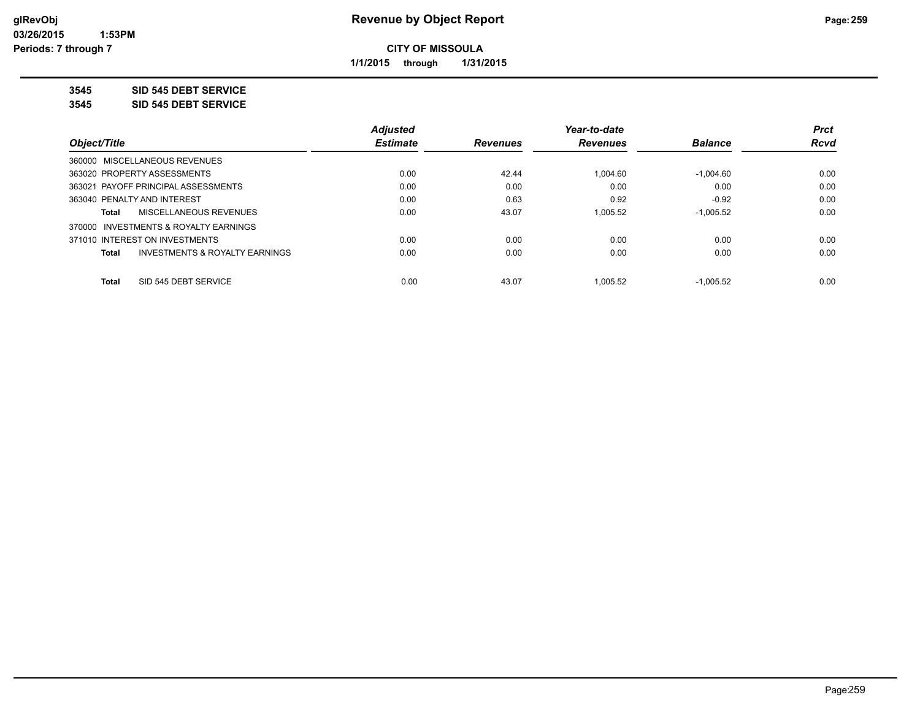**1/1/2015 through 1/31/2015**

**3545 SID 545 DEBT SERVICE**

**3545 SID 545 DEBT SERVICE**

|                                                           | <b>Adjusted</b> |                 | Year-to-date    |                | <b>Prct</b> |
|-----------------------------------------------------------|-----------------|-----------------|-----------------|----------------|-------------|
| Object/Title                                              | <b>Estimate</b> | <b>Revenues</b> | <b>Revenues</b> | <b>Balance</b> | Rcvd        |
| 360000 MISCELLANEOUS REVENUES                             |                 |                 |                 |                |             |
| 363020 PROPERTY ASSESSMENTS                               | 0.00            | 42.44           | 1.004.60        | $-1.004.60$    | 0.00        |
| 363021 PAYOFF PRINCIPAL ASSESSMENTS                       | 0.00            | 0.00            | 0.00            | 0.00           | 0.00        |
| 363040 PENALTY AND INTEREST                               | 0.00            | 0.63            | 0.92            | $-0.92$        | 0.00        |
| <b>MISCELLANEOUS REVENUES</b><br>Total                    | 0.00            | 43.07           | 1.005.52        | $-1.005.52$    | 0.00        |
| 370000 INVESTMENTS & ROYALTY EARNINGS                     |                 |                 |                 |                |             |
| 371010 INTEREST ON INVESTMENTS                            | 0.00            | 0.00            | 0.00            | 0.00           | 0.00        |
| <b>INVESTMENTS &amp; ROYALTY EARNINGS</b><br><b>Total</b> | 0.00            | 0.00            | 0.00            | 0.00           | 0.00        |
| SID 545 DEBT SERVICE<br><b>Total</b>                      | 0.00            | 43.07           | 1.005.52        | $-1.005.52$    | 0.00        |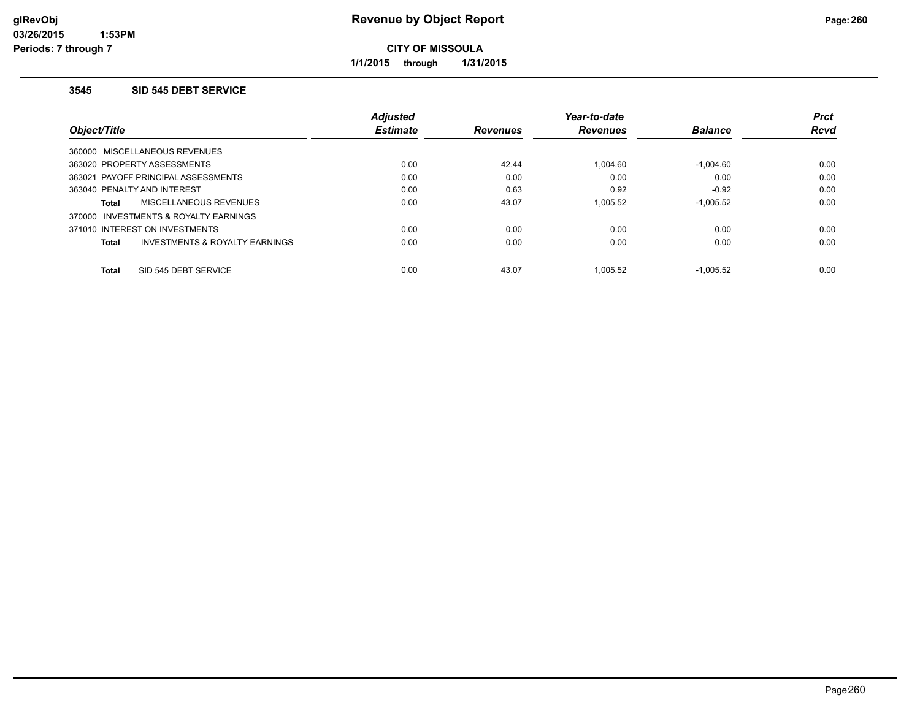**1/1/2015 through 1/31/2015**

### **3545 SID 545 DEBT SERVICE**

|                                         | <b>Adjusted</b> |                 | Year-to-date    |                | <b>Prct</b> |
|-----------------------------------------|-----------------|-----------------|-----------------|----------------|-------------|
| Object/Title                            | <b>Estimate</b> | <b>Revenues</b> | <b>Revenues</b> | <b>Balance</b> | <b>Rcvd</b> |
| 360000 MISCELLANEOUS REVENUES           |                 |                 |                 |                |             |
| 363020 PROPERTY ASSESSMENTS             | 0.00            | 42.44           | 1.004.60        | $-1.004.60$    | 0.00        |
| 363021 PAYOFF PRINCIPAL ASSESSMENTS     | 0.00            | 0.00            | 0.00            | 0.00           | 0.00        |
| 363040 PENALTY AND INTEREST             | 0.00            | 0.63            | 0.92            | $-0.92$        | 0.00        |
| MISCELLANEOUS REVENUES<br>Total         | 0.00            | 43.07           | 1.005.52        | $-1.005.52$    | 0.00        |
| 370000 INVESTMENTS & ROYALTY EARNINGS   |                 |                 |                 |                |             |
| 371010 INTEREST ON INVESTMENTS          | 0.00            | 0.00            | 0.00            | 0.00           | 0.00        |
| INVESTMENTS & ROYALTY EARNINGS<br>Total | 0.00            | 0.00            | 0.00            | 0.00           | 0.00        |
| SID 545 DEBT SERVICE<br><b>Total</b>    | 0.00            | 43.07           | 1.005.52        | $-1.005.52$    | 0.00        |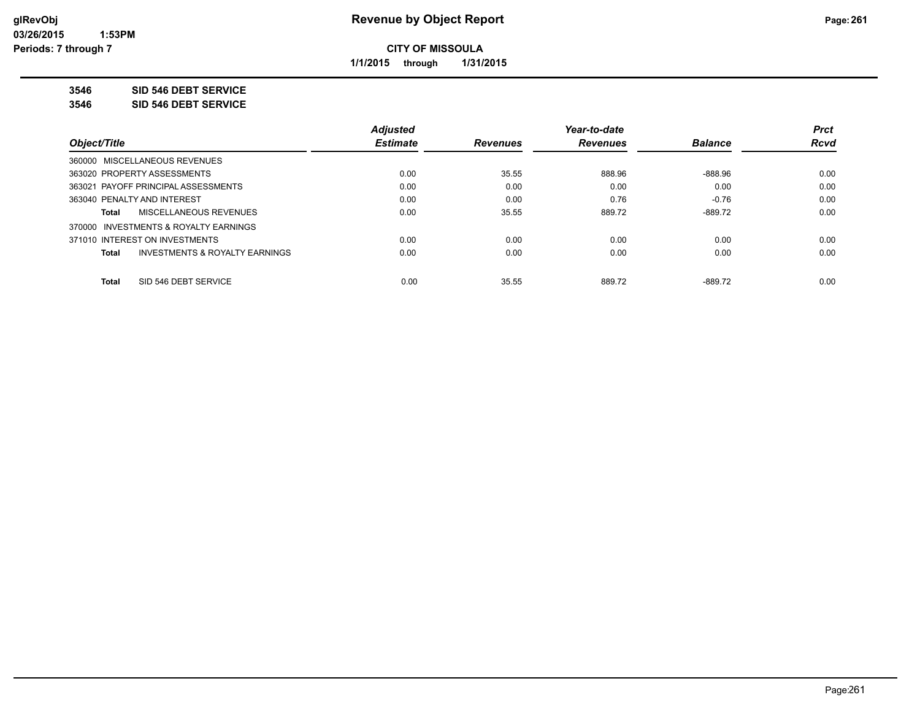**1/1/2015 through 1/31/2015**

**3546 SID 546 DEBT SERVICE**

**3546 SID 546 DEBT SERVICE**

|                                                    | <b>Adjusted</b> |                 | Year-to-date    |                | <b>Prct</b> |
|----------------------------------------------------|-----------------|-----------------|-----------------|----------------|-------------|
| Object/Title                                       | <b>Estimate</b> | <b>Revenues</b> | <b>Revenues</b> | <b>Balance</b> | <b>Rcvd</b> |
| 360000 MISCELLANEOUS REVENUES                      |                 |                 |                 |                |             |
| 363020 PROPERTY ASSESSMENTS                        | 0.00            | 35.55           | 888.96          | $-888.96$      | 0.00        |
| 363021 PAYOFF PRINCIPAL ASSESSMENTS                | 0.00            | 0.00            | 0.00            | 0.00           | 0.00        |
| 363040 PENALTY AND INTEREST                        | 0.00            | 0.00            | 0.76            | $-0.76$        | 0.00        |
| MISCELLANEOUS REVENUES<br>Total                    | 0.00            | 35.55           | 889.72          | $-889.72$      | 0.00        |
| 370000 INVESTMENTS & ROYALTY EARNINGS              |                 |                 |                 |                |             |
| 371010 INTEREST ON INVESTMENTS                     | 0.00            | 0.00            | 0.00            | 0.00           | 0.00        |
| <b>INVESTMENTS &amp; ROYALTY EARNINGS</b><br>Total | 0.00            | 0.00            | 0.00            | 0.00           | 0.00        |
| SID 546 DEBT SERVICE<br><b>Total</b>               | 0.00            | 35.55           | 889.72          | $-889.72$      | 0.00        |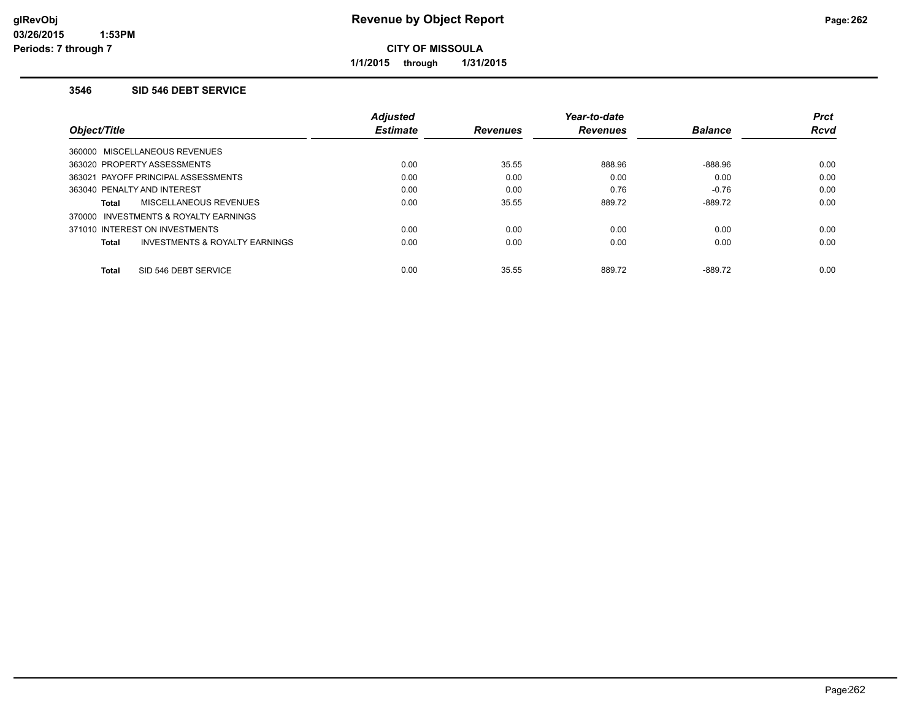**1/1/2015 through 1/31/2015**

#### **3546 SID 546 DEBT SERVICE**

|                                         | <b>Adjusted</b> |                 | Year-to-date    |                | <b>Prct</b> |
|-----------------------------------------|-----------------|-----------------|-----------------|----------------|-------------|
| Object/Title                            | <b>Estimate</b> | <b>Revenues</b> | <b>Revenues</b> | <b>Balance</b> | <b>Rcvd</b> |
| 360000 MISCELLANEOUS REVENUES           |                 |                 |                 |                |             |
| 363020 PROPERTY ASSESSMENTS             | 0.00            | 35.55           | 888.96          | $-888.96$      | 0.00        |
| 363021 PAYOFF PRINCIPAL ASSESSMENTS     | 0.00            | 0.00            | 0.00            | 0.00           | 0.00        |
| 363040 PENALTY AND INTEREST             | 0.00            | 0.00            | 0.76            | $-0.76$        | 0.00        |
| MISCELLANEOUS REVENUES<br>Total         | 0.00            | 35.55           | 889.72          | -889.72        | 0.00        |
| 370000 INVESTMENTS & ROYALTY EARNINGS   |                 |                 |                 |                |             |
| 371010 INTEREST ON INVESTMENTS          | 0.00            | 0.00            | 0.00            | 0.00           | 0.00        |
| INVESTMENTS & ROYALTY EARNINGS<br>Total | 0.00            | 0.00            | 0.00            | 0.00           | 0.00        |
|                                         |                 |                 |                 |                |             |
| SID 546 DEBT SERVICE<br><b>Total</b>    | 0.00            | 35.55           | 889.72          | $-889.72$      | 0.00        |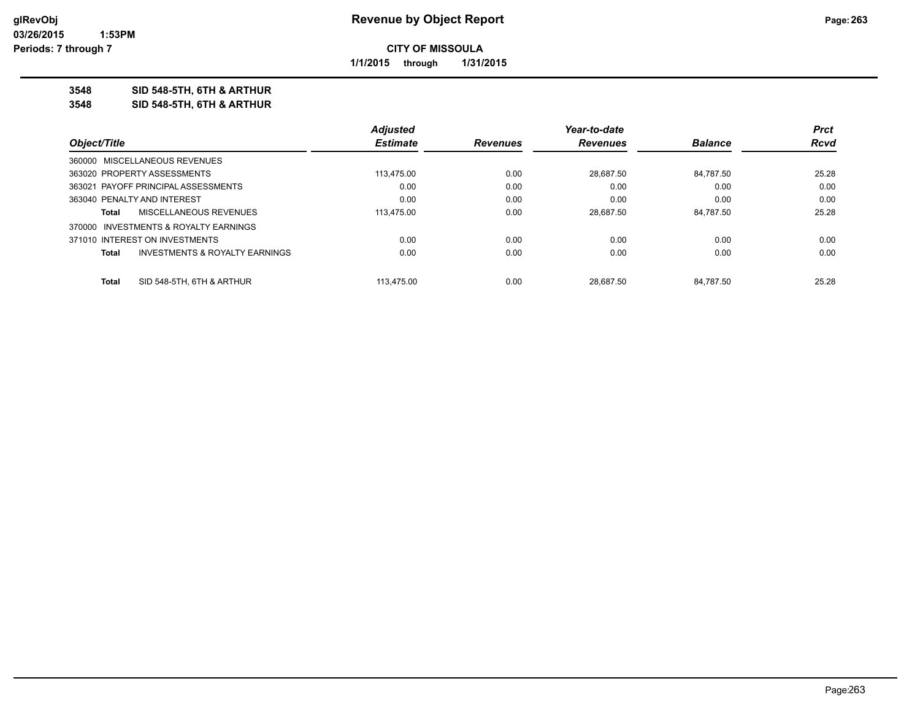**1/1/2015 through 1/31/2015**

**3548 SID 548-5TH, 6TH & ARTHUR**

**3548 SID 548-5TH, 6TH & ARTHUR**

|                                                           | <b>Adjusted</b> |                 | Year-to-date    |                | <b>Prct</b> |
|-----------------------------------------------------------|-----------------|-----------------|-----------------|----------------|-------------|
| Object/Title                                              | <b>Estimate</b> | <b>Revenues</b> | <b>Revenues</b> | <b>Balance</b> | Rcvd        |
| 360000 MISCELLANEOUS REVENUES                             |                 |                 |                 |                |             |
| 363020 PROPERTY ASSESSMENTS                               | 113.475.00      | 0.00            | 28.687.50       | 84.787.50      | 25.28       |
| 363021 PAYOFF PRINCIPAL ASSESSMENTS                       | 0.00            | 0.00            | 0.00            | 0.00           | 0.00        |
| 363040 PENALTY AND INTEREST                               | 0.00            | 0.00            | 0.00            | 0.00           | 0.00        |
| MISCELLANEOUS REVENUES<br>Total                           | 113.475.00      | 0.00            | 28.687.50       | 84.787.50      | 25.28       |
| 370000 INVESTMENTS & ROYALTY EARNINGS                     |                 |                 |                 |                |             |
| 371010 INTEREST ON INVESTMENTS                            | 0.00            | 0.00            | 0.00            | 0.00           | 0.00        |
| <b>INVESTMENTS &amp; ROYALTY EARNINGS</b><br><b>Total</b> | 0.00            | 0.00            | 0.00            | 0.00           | 0.00        |
|                                                           |                 |                 |                 |                |             |
| SID 548-5TH, 6TH & ARTHUR<br>Total                        | 113.475.00      | 0.00            | 28.687.50       | 84.787.50      | 25.28       |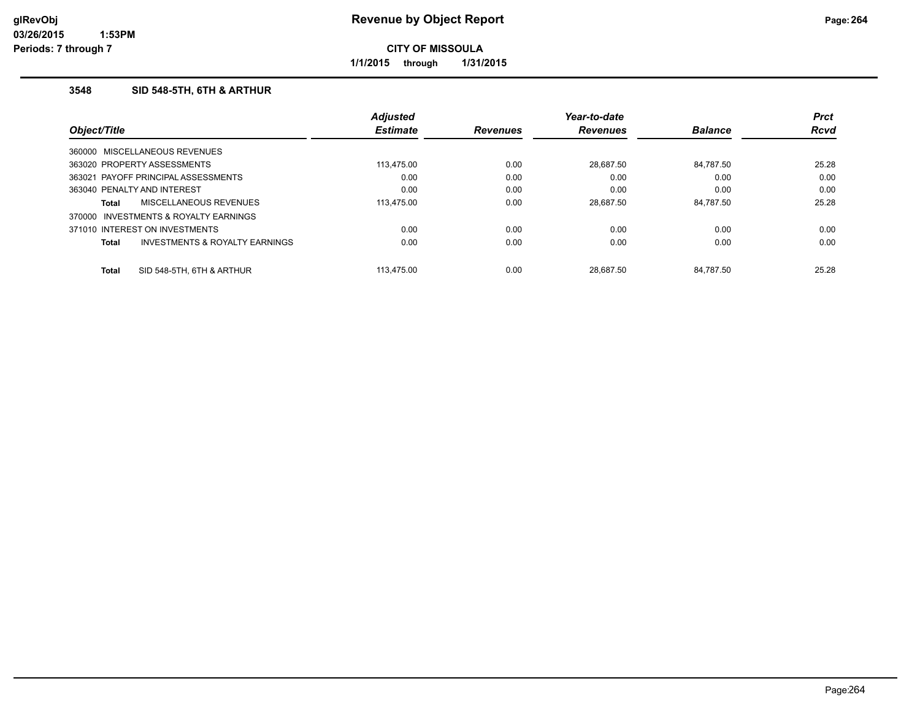**1/1/2015 through 1/31/2015**

# **3548 SID 548-5TH, 6TH & ARTHUR**

|              |                                     | <b>Adjusted</b> |                 | Year-to-date    |                | <b>Prct</b> |
|--------------|-------------------------------------|-----------------|-----------------|-----------------|----------------|-------------|
| Object/Title |                                     | <b>Estimate</b> | <b>Revenues</b> | <b>Revenues</b> | <b>Balance</b> | <b>Rcvd</b> |
|              | 360000 MISCELLANEOUS REVENUES       |                 |                 |                 |                |             |
|              | 363020 PROPERTY ASSESSMENTS         | 113.475.00      | 0.00            | 28.687.50       | 84.787.50      | 25.28       |
|              | 363021 PAYOFF PRINCIPAL ASSESSMENTS | 0.00            | 0.00            | 0.00            | 0.00           | 0.00        |
|              | 363040 PENALTY AND INTEREST         | 0.00            | 0.00            | 0.00            | 0.00           | 0.00        |
| Total        | MISCELLANEOUS REVENUES              | 113.475.00      | 0.00            | 28.687.50       | 84.787.50      | 25.28       |
| 370000       | INVESTMENTS & ROYALTY EARNINGS      |                 |                 |                 |                |             |
|              | 371010 INTEREST ON INVESTMENTS      | 0.00            | 0.00            | 0.00            | 0.00           | 0.00        |
| Total        | INVESTMENTS & ROYALTY EARNINGS      | 0.00            | 0.00            | 0.00            | 0.00           | 0.00        |
| <b>Total</b> | SID 548-5TH, 6TH & ARTHUR           | 113.475.00      | 0.00            | 28.687.50       | 84.787.50      | 25.28       |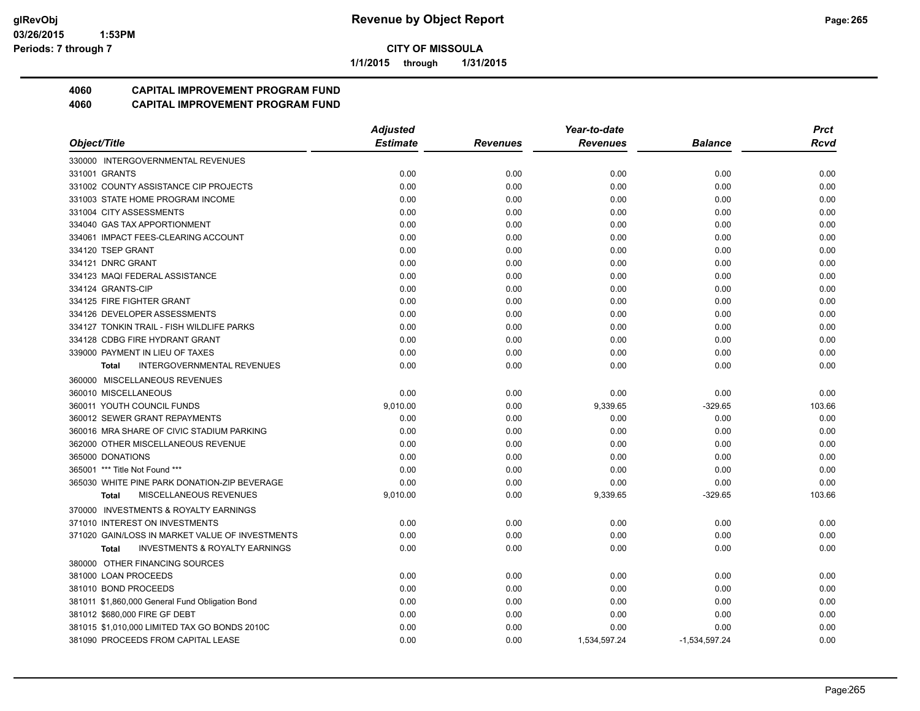**1/1/2015 through 1/31/2015**

# **4060 CAPITAL IMPROVEMENT PROGRAM FUND**

|                                                           | <b>Adjusted</b> |                 | Year-to-date    |                 | <b>Prct</b> |
|-----------------------------------------------------------|-----------------|-----------------|-----------------|-----------------|-------------|
| Object/Title                                              | <b>Estimate</b> | <b>Revenues</b> | <b>Revenues</b> | Balance         | Rcvd        |
| 330000 INTERGOVERNMENTAL REVENUES                         |                 |                 |                 |                 |             |
| 331001 GRANTS                                             | 0.00            | 0.00            | 0.00            | 0.00            | 0.00        |
| 331002 COUNTY ASSISTANCE CIP PROJECTS                     | 0.00            | 0.00            | 0.00            | 0.00            | 0.00        |
| 331003 STATE HOME PROGRAM INCOME                          | 0.00            | 0.00            | 0.00            | 0.00            | 0.00        |
| 331004 CITY ASSESSMENTS                                   | 0.00            | 0.00            | 0.00            | 0.00            | 0.00        |
| 334040 GAS TAX APPORTIONMENT                              | 0.00            | 0.00            | 0.00            | 0.00            | 0.00        |
| 334061 IMPACT FEES-CLEARING ACCOUNT                       | 0.00            | 0.00            | 0.00            | 0.00            | 0.00        |
| 334120 TSEP GRANT                                         | 0.00            | 0.00            | 0.00            | 0.00            | 0.00        |
| 334121 DNRC GRANT                                         | 0.00            | 0.00            | 0.00            | 0.00            | 0.00        |
| 334123 MAQI FEDERAL ASSISTANCE                            | 0.00            | 0.00            | 0.00            | 0.00            | 0.00        |
| 334124 GRANTS-CIP                                         | 0.00            | 0.00            | 0.00            | 0.00            | 0.00        |
| 334125 FIRE FIGHTER GRANT                                 | 0.00            | 0.00            | 0.00            | 0.00            | 0.00        |
| 334126 DEVELOPER ASSESSMENTS                              | 0.00            | 0.00            | 0.00            | 0.00            | 0.00        |
| 334127 TONKIN TRAIL - FISH WILDLIFE PARKS                 | 0.00            | 0.00            | 0.00            | 0.00            | 0.00        |
| 334128 CDBG FIRE HYDRANT GRANT                            | 0.00            | 0.00            | 0.00            | 0.00            | 0.00        |
| 339000 PAYMENT IN LIEU OF TAXES                           | 0.00            | 0.00            | 0.00            | 0.00            | 0.00        |
| <b>INTERGOVERNMENTAL REVENUES</b><br><b>Total</b>         | 0.00            | 0.00            | 0.00            | 0.00            | 0.00        |
| 360000 MISCELLANEOUS REVENUES                             |                 |                 |                 |                 |             |
| 360010 MISCELLANEOUS                                      | 0.00            | 0.00            | 0.00            | 0.00            | 0.00        |
| 360011 YOUTH COUNCIL FUNDS                                | 9,010.00        | 0.00            | 9,339.65        | $-329.65$       | 103.66      |
| 360012 SEWER GRANT REPAYMENTS                             | 0.00            | 0.00            | 0.00            | 0.00            | 0.00        |
| 360016 MRA SHARE OF CIVIC STADIUM PARKING                 | 0.00            | 0.00            | 0.00            | 0.00            | 0.00        |
| 362000 OTHER MISCELLANEOUS REVENUE                        | 0.00            | 0.00            | 0.00            | 0.00            | 0.00        |
| 365000 DONATIONS                                          | 0.00            | 0.00            | 0.00            | 0.00            | 0.00        |
| 365001 *** Title Not Found ***                            | 0.00            | 0.00            | 0.00            | 0.00            | 0.00        |
| 365030 WHITE PINE PARK DONATION-ZIP BEVERAGE              | 0.00            | 0.00            | 0.00            | 0.00            | 0.00        |
| MISCELLANEOUS REVENUES<br><b>Total</b>                    | 9,010.00        | 0.00            | 9,339.65        | $-329.65$       | 103.66      |
| 370000 INVESTMENTS & ROYALTY EARNINGS                     |                 |                 |                 |                 |             |
| 371010 INTEREST ON INVESTMENTS                            | 0.00            | 0.00            | 0.00            | 0.00            | 0.00        |
| 371020 GAIN/LOSS IN MARKET VALUE OF INVESTMENTS           | 0.00            | 0.00            | 0.00            | 0.00            | 0.00        |
| <b>INVESTMENTS &amp; ROYALTY EARNINGS</b><br><b>Total</b> | 0.00            | 0.00            | 0.00            | 0.00            | 0.00        |
| 380000 OTHER FINANCING SOURCES                            |                 |                 |                 |                 |             |
| 381000 LOAN PROCEEDS                                      | 0.00            | 0.00            | 0.00            | 0.00            | 0.00        |
| 381010 BOND PROCEEDS                                      | 0.00            | 0.00            | 0.00            | 0.00            | 0.00        |
| 381011 \$1,860,000 General Fund Obligation Bond           | 0.00            | 0.00            | 0.00            | 0.00            | 0.00        |
| 381012 \$680,000 FIRE GF DEBT                             | 0.00            | 0.00            | 0.00            | 0.00            | 0.00        |
| 381015 \$1,010,000 LIMITED TAX GO BONDS 2010C             | 0.00            | 0.00            | 0.00            | 0.00            | 0.00        |
| 381090 PROCEEDS FROM CAPITAL LEASE                        | 0.00            | 0.00            | 1,534,597.24    | $-1,534,597.24$ | 0.00        |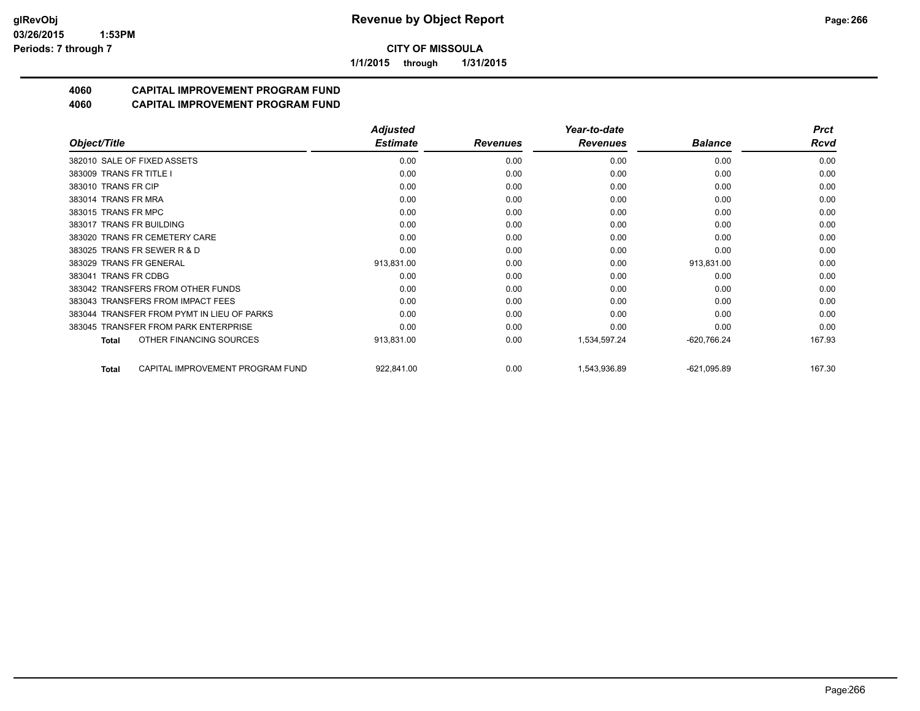**1/1/2015 through 1/31/2015**

# **4060 CAPITAL IMPROVEMENT PROGRAM FUND**

|                                                  | <b>Adjusted</b> |                 | Year-to-date    | <b>Prct</b>    |             |
|--------------------------------------------------|-----------------|-----------------|-----------------|----------------|-------------|
| Object/Title                                     | <b>Estimate</b> | <b>Revenues</b> | <b>Revenues</b> | <b>Balance</b> | <b>Rcvd</b> |
| 382010 SALE OF FIXED ASSETS                      | 0.00            | 0.00            | 0.00            | 0.00           | 0.00        |
| 383009 TRANS FR TITLE I                          | 0.00            | 0.00            | 0.00            | 0.00           | 0.00        |
| 383010 TRANS FR CIP                              | 0.00            | 0.00            | 0.00            | 0.00           | 0.00        |
| 383014 TRANS FR MRA                              | 0.00            | 0.00            | 0.00            | 0.00           | 0.00        |
| 383015 TRANS FR MPC                              | 0.00            | 0.00            | 0.00            | 0.00           | 0.00        |
| 383017 TRANS FR BUILDING                         | 0.00            | 0.00            | 0.00            | 0.00           | 0.00        |
| 383020 TRANS FR CEMETERY CARE                    | 0.00            | 0.00            | 0.00            | 0.00           | 0.00        |
| 383025 TRANS FR SEWER R & D                      | 0.00            | 0.00            | 0.00            | 0.00           | 0.00        |
| 383029 TRANS FR GENERAL                          | 913,831.00      | 0.00            | 0.00            | 913,831.00     | 0.00        |
| 383041 TRANS FR CDBG                             | 0.00            | 0.00            | 0.00            | 0.00           | 0.00        |
| 383042 TRANSFERS FROM OTHER FUNDS                | 0.00            | 0.00            | 0.00            | 0.00           | 0.00        |
| 383043 TRANSFERS FROM IMPACT FEES                | 0.00            | 0.00            | 0.00            | 0.00           | 0.00        |
| 383044 TRANSFER FROM PYMT IN LIEU OF PARKS       | 0.00            | 0.00            | 0.00            | 0.00           | 0.00        |
| 383045 TRANSFER FROM PARK ENTERPRISE             | 0.00            | 0.00            | 0.00            | 0.00           | 0.00        |
| OTHER FINANCING SOURCES<br>Total                 | 913,831.00      | 0.00            | 1,534,597.24    | $-620,766.24$  | 167.93      |
| CAPITAL IMPROVEMENT PROGRAM FUND<br><b>Total</b> | 922,841.00      | 0.00            | 1,543,936.89    | $-621,095.89$  | 167.30      |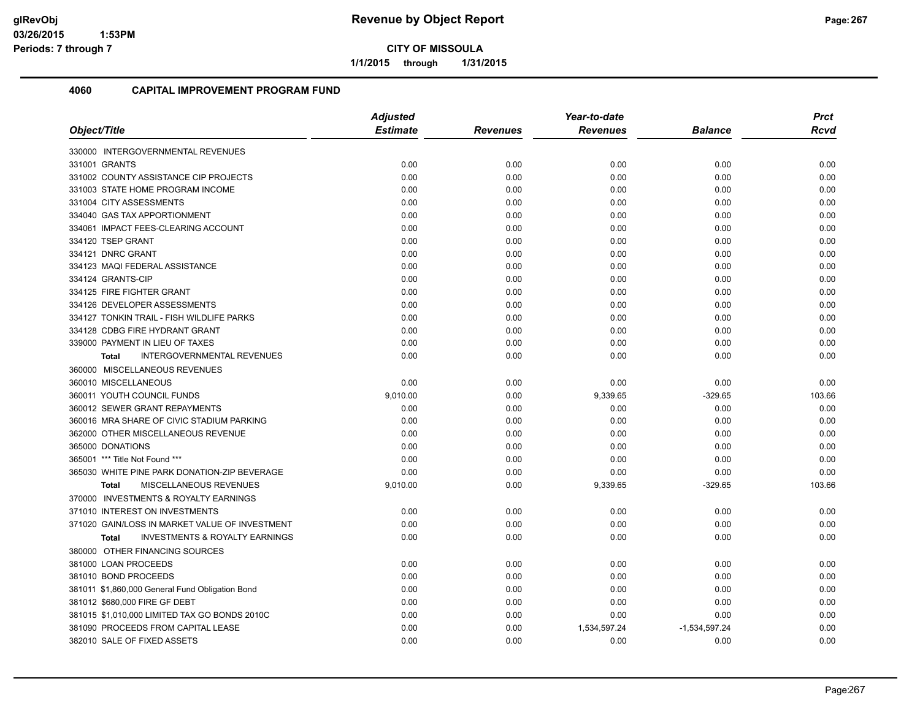**1/1/2015 through 1/31/2015**

|                                                    | <b>Adjusted</b> |                 | Year-to-date    |                 | <b>Prct</b> |
|----------------------------------------------------|-----------------|-----------------|-----------------|-----------------|-------------|
| Object/Title                                       | <b>Estimate</b> | <b>Revenues</b> | <b>Revenues</b> | <b>Balance</b>  | <b>Rcvd</b> |
| 330000 INTERGOVERNMENTAL REVENUES                  |                 |                 |                 |                 |             |
| 331001 GRANTS                                      | 0.00            | 0.00            | 0.00            | 0.00            | 0.00        |
| 331002 COUNTY ASSISTANCE CIP PROJECTS              | 0.00            | 0.00            | 0.00            | 0.00            | 0.00        |
| 331003 STATE HOME PROGRAM INCOME                   | 0.00            | 0.00            | 0.00            | 0.00            | 0.00        |
| 331004 CITY ASSESSMENTS                            | 0.00            | 0.00            | 0.00            | 0.00            | 0.00        |
| 334040 GAS TAX APPORTIONMENT                       | 0.00            | 0.00            | 0.00            | 0.00            | 0.00        |
| 334061 IMPACT FEES-CLEARING ACCOUNT                | 0.00            | 0.00            | 0.00            | 0.00            | 0.00        |
| 334120 TSEP GRANT                                  | 0.00            | 0.00            | 0.00            | 0.00            | 0.00        |
| 334121 DNRC GRANT                                  | 0.00            | 0.00            | 0.00            | 0.00            | 0.00        |
| 334123 MAQI FEDERAL ASSISTANCE                     | 0.00            | 0.00            | 0.00            | 0.00            | 0.00        |
| 334124 GRANTS-CIP                                  | 0.00            | 0.00            | 0.00            | 0.00            | 0.00        |
| 334125 FIRE FIGHTER GRANT                          | 0.00            | 0.00            | 0.00            | 0.00            | 0.00        |
| 334126 DEVELOPER ASSESSMENTS                       | 0.00            | 0.00            | 0.00            | 0.00            | 0.00        |
| 334127 TONKIN TRAIL - FISH WILDLIFE PARKS          | 0.00            | 0.00            | 0.00            | 0.00            | 0.00        |
| 334128 CDBG FIRE HYDRANT GRANT                     | 0.00            | 0.00            | 0.00            | 0.00            | 0.00        |
| 339000 PAYMENT IN LIEU OF TAXES                    | 0.00            | 0.00            | 0.00            | 0.00            | 0.00        |
| INTERGOVERNMENTAL REVENUES<br><b>Total</b>         | 0.00            | 0.00            | 0.00            | 0.00            | 0.00        |
| 360000 MISCELLANEOUS REVENUES                      |                 |                 |                 |                 |             |
| 360010 MISCELLANEOUS                               | 0.00            | 0.00            | 0.00            | 0.00            | 0.00        |
| 360011 YOUTH COUNCIL FUNDS                         | 9,010.00        | 0.00            | 9,339.65        | $-329.65$       | 103.66      |
| 360012 SEWER GRANT REPAYMENTS                      | 0.00            | 0.00            | 0.00            | 0.00            | 0.00        |
| 360016 MRA SHARE OF CIVIC STADIUM PARKING          | 0.00            | 0.00            | 0.00            | 0.00            | 0.00        |
| 362000 OTHER MISCELLANEOUS REVENUE                 | 0.00            | 0.00            | 0.00            | 0.00            | 0.00        |
| 365000 DONATIONS                                   | 0.00            | 0.00            | 0.00            | 0.00            | 0.00        |
| 365001 *** Title Not Found ***                     | 0.00            | 0.00            | 0.00            | 0.00            | 0.00        |
| 365030 WHITE PINE PARK DONATION-ZIP BEVERAGE       | 0.00            | 0.00            | 0.00            | 0.00            | 0.00        |
| <b>MISCELLANEOUS REVENUES</b><br><b>Total</b>      | 9,010.00        | 0.00            | 9,339.65        | $-329.65$       | 103.66      |
| 370000 INVESTMENTS & ROYALTY EARNINGS              |                 |                 |                 |                 |             |
| 371010 INTEREST ON INVESTMENTS                     | 0.00            | 0.00            | 0.00            | 0.00            | 0.00        |
| 371020 GAIN/LOSS IN MARKET VALUE OF INVESTMENT     | 0.00            | 0.00            | 0.00            | 0.00            | 0.00        |
| <b>INVESTMENTS &amp; ROYALTY EARNINGS</b><br>Total | 0.00            | 0.00            | 0.00            | 0.00            | 0.00        |
| 380000 OTHER FINANCING SOURCES                     |                 |                 |                 |                 |             |
| 381000 LOAN PROCEEDS                               | 0.00            | 0.00            | 0.00            | 0.00            | 0.00        |
| 381010 BOND PROCEEDS                               | 0.00            | 0.00            | 0.00            | 0.00            | 0.00        |
| 381011 \$1,860,000 General Fund Obligation Bond    | 0.00            | 0.00            | 0.00            | 0.00            | 0.00        |
| 381012 \$680,000 FIRE GF DEBT                      | 0.00            | 0.00            | 0.00            | 0.00            | 0.00        |
| 381015 \$1,010,000 LIMITED TAX GO BONDS 2010C      | 0.00            | 0.00            | 0.00            | 0.00            | 0.00        |
| 381090 PROCEEDS FROM CAPITAL LEASE                 | 0.00            | 0.00            | 1,534,597.24    | $-1,534,597.24$ | 0.00        |
| 382010 SALE OF FIXED ASSETS                        | 0.00            | 0.00            | 0.00            | 0.00            | 0.00        |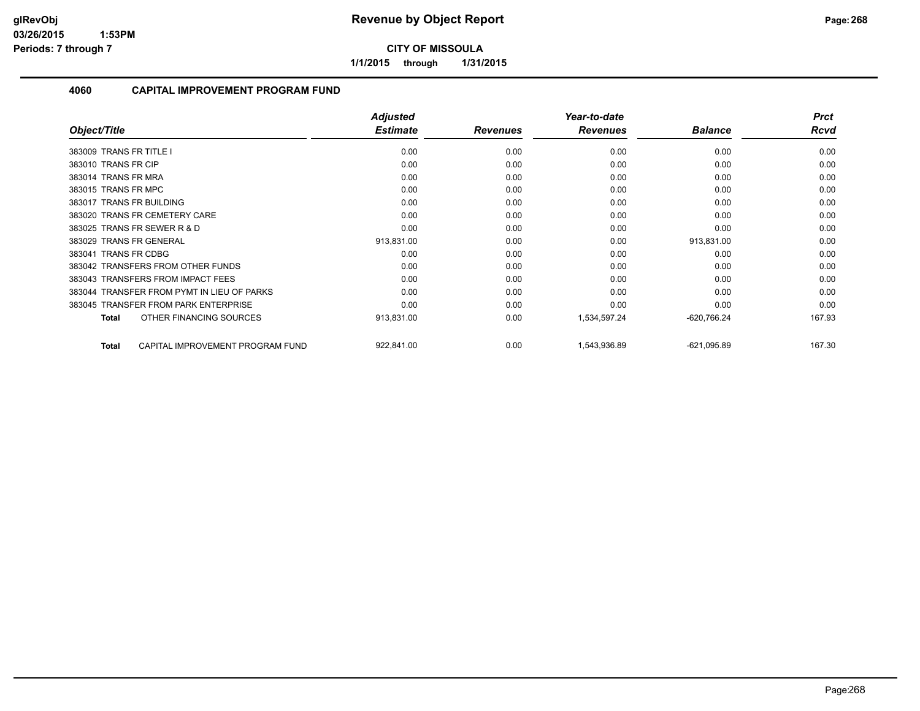**1/1/2015 through 1/31/2015**

|                                                  | <b>Adjusted</b> |                 | Year-to-date    |                | <b>Prct</b> |
|--------------------------------------------------|-----------------|-----------------|-----------------|----------------|-------------|
| Object/Title                                     | <b>Estimate</b> | <b>Revenues</b> | <b>Revenues</b> | <b>Balance</b> | <b>Rcvd</b> |
| 383009 TRANS FR TITLE I                          | 0.00            | 0.00            | 0.00            | 0.00           | 0.00        |
| 383010 TRANS FR CIP                              | 0.00            | 0.00            | 0.00            | 0.00           | 0.00        |
| 383014 TRANS FR MRA                              | 0.00            | 0.00            | 0.00            | 0.00           | 0.00        |
| 383015 TRANS FR MPC                              | 0.00            | 0.00            | 0.00            | 0.00           | 0.00        |
| 383017 TRANS FR BUILDING                         | 0.00            | 0.00            | 0.00            | 0.00           | 0.00        |
| 383020 TRANS FR CEMETERY CARE                    | 0.00            | 0.00            | 0.00            | 0.00           | 0.00        |
| 383025 TRANS FR SEWER R & D                      | 0.00            | 0.00            | 0.00            | 0.00           | 0.00        |
| 383029 TRANS FR GENERAL                          | 913,831.00      | 0.00            | 0.00            | 913,831.00     | 0.00        |
| <b>TRANS FR CDBG</b><br>383041                   | 0.00            | 0.00            | 0.00            | 0.00           | 0.00        |
| 383042 TRANSFERS FROM OTHER FUNDS                | 0.00            | 0.00            | 0.00            | 0.00           | 0.00        |
| 383043 TRANSFERS FROM IMPACT FEES                | 0.00            | 0.00            | 0.00            | 0.00           | 0.00        |
| 383044 TRANSFER FROM PYMT IN LIEU OF PARKS       | 0.00            | 0.00            | 0.00            | 0.00           | 0.00        |
| 383045 TRANSFER FROM PARK ENTERPRISE             | 0.00            | 0.00            | 0.00            | 0.00           | 0.00        |
| OTHER FINANCING SOURCES<br><b>Total</b>          | 913,831.00      | 0.00            | 1,534,597.24    | $-620,766.24$  | 167.93      |
| CAPITAL IMPROVEMENT PROGRAM FUND<br><b>Total</b> | 922,841.00      | 0.00            | 1,543,936.89    | $-621,095.89$  | 167.30      |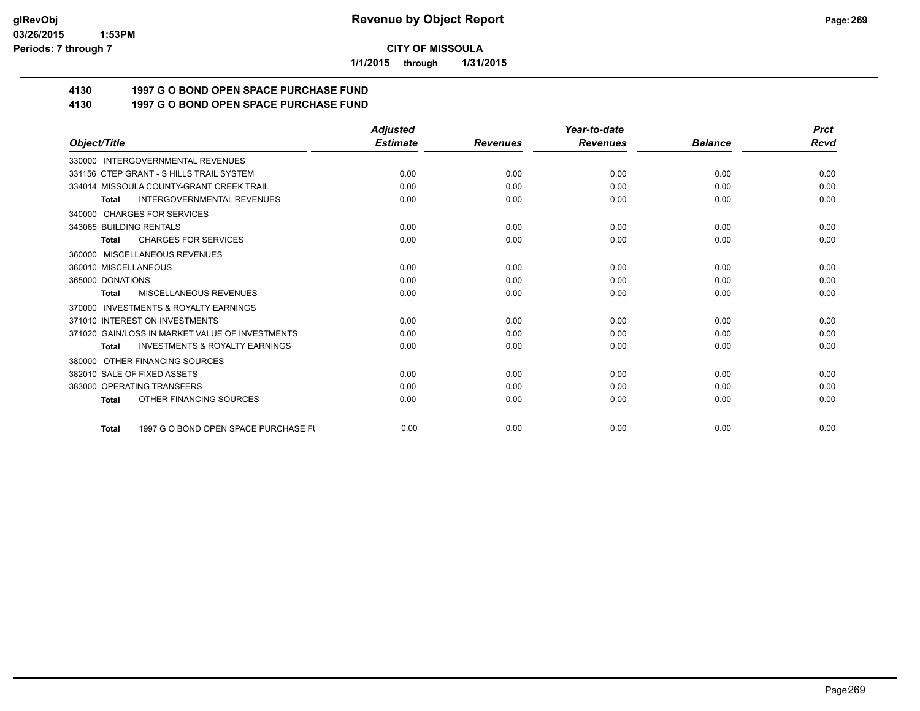**1/1/2015 through 1/31/2015**

# **4130 1997 G O BOND OPEN SPACE PURCHASE FUND**

# **4130 1997 G O BOND OPEN SPACE PURCHASE FUND**

|                                                           | <b>Adjusted</b> |                 | Year-to-date    |                | <b>Prct</b> |
|-----------------------------------------------------------|-----------------|-----------------|-----------------|----------------|-------------|
| Object/Title                                              | <b>Estimate</b> | <b>Revenues</b> | <b>Revenues</b> | <b>Balance</b> | Rcvd        |
| 330000 INTERGOVERNMENTAL REVENUES                         |                 |                 |                 |                |             |
| 331156 CTEP GRANT - S HILLS TRAIL SYSTEM                  | 0.00            | 0.00            | 0.00            | 0.00           | 0.00        |
| 334014 MISSOULA COUNTY-GRANT CREEK TRAIL                  | 0.00            | 0.00            | 0.00            | 0.00           | 0.00        |
| <b>INTERGOVERNMENTAL REVENUES</b><br><b>Total</b>         | 0.00            | 0.00            | 0.00            | 0.00           | 0.00        |
| 340000 CHARGES FOR SERVICES                               |                 |                 |                 |                |             |
| 343065 BUILDING RENTALS                                   | 0.00            | 0.00            | 0.00            | 0.00           | 0.00        |
| <b>CHARGES FOR SERVICES</b><br><b>Total</b>               | 0.00            | 0.00            | 0.00            | 0.00           | 0.00        |
| MISCELLANEOUS REVENUES<br>360000                          |                 |                 |                 |                |             |
| 360010 MISCELLANEOUS                                      | 0.00            | 0.00            | 0.00            | 0.00           | 0.00        |
| 365000 DONATIONS                                          | 0.00            | 0.00            | 0.00            | 0.00           | 0.00        |
| MISCELLANEOUS REVENUES<br><b>Total</b>                    | 0.00            | 0.00            | 0.00            | 0.00           | 0.00        |
| INVESTMENTS & ROYALTY EARNINGS<br>370000                  |                 |                 |                 |                |             |
| 371010 INTEREST ON INVESTMENTS                            | 0.00            | 0.00            | 0.00            | 0.00           | 0.00        |
| 371020 GAIN/LOSS IN MARKET VALUE OF INVESTMENTS           | 0.00            | 0.00            | 0.00            | 0.00           | 0.00        |
| <b>INVESTMENTS &amp; ROYALTY EARNINGS</b><br><b>Total</b> | 0.00            | 0.00            | 0.00            | 0.00           | 0.00        |
| 380000 OTHER FINANCING SOURCES                            |                 |                 |                 |                |             |
| 382010 SALE OF FIXED ASSETS                               | 0.00            | 0.00            | 0.00            | 0.00           | 0.00        |
| 383000 OPERATING TRANSFERS                                | 0.00            | 0.00            | 0.00            | 0.00           | 0.00        |
| OTHER FINANCING SOURCES<br><b>Total</b>                   | 0.00            | 0.00            | 0.00            | 0.00           | 0.00        |
| 1997 G O BOND OPEN SPACE PURCHASE FU<br><b>Total</b>      | 0.00            | 0.00            | 0.00            | 0.00           | 0.00        |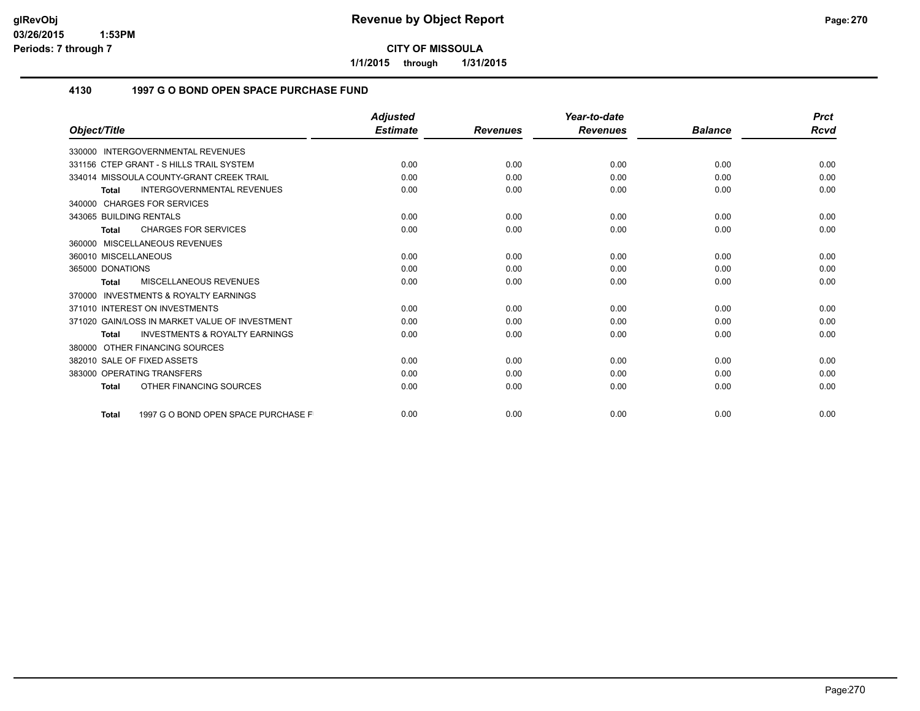**1/1/2015 through 1/31/2015**

### **4130 1997 G O BOND OPEN SPACE PURCHASE FUND**

|                                                           | <b>Adjusted</b> |                 | Year-to-date    |                | <b>Prct</b> |
|-----------------------------------------------------------|-----------------|-----------------|-----------------|----------------|-------------|
| Object/Title                                              | <b>Estimate</b> | <b>Revenues</b> | <b>Revenues</b> | <b>Balance</b> | <b>Rcvd</b> |
| <b>INTERGOVERNMENTAL REVENUES</b><br>330000               |                 |                 |                 |                |             |
| 331156 CTEP GRANT - S HILLS TRAIL SYSTEM                  | 0.00            | 0.00            | 0.00            | 0.00           | 0.00        |
| 334014 MISSOULA COUNTY-GRANT CREEK TRAIL                  | 0.00            | 0.00            | 0.00            | 0.00           | 0.00        |
| <b>INTERGOVERNMENTAL REVENUES</b><br><b>Total</b>         | 0.00            | 0.00            | 0.00            | 0.00           | 0.00        |
| 340000 CHARGES FOR SERVICES                               |                 |                 |                 |                |             |
| 343065 BUILDING RENTALS                                   | 0.00            | 0.00            | 0.00            | 0.00           | 0.00        |
| <b>CHARGES FOR SERVICES</b><br><b>Total</b>               | 0.00            | 0.00            | 0.00            | 0.00           | 0.00        |
| 360000 MISCELLANEOUS REVENUES                             |                 |                 |                 |                |             |
| 360010 MISCELLANEOUS                                      | 0.00            | 0.00            | 0.00            | 0.00           | 0.00        |
| 365000 DONATIONS                                          | 0.00            | 0.00            | 0.00            | 0.00           | 0.00        |
| <b>MISCELLANEOUS REVENUES</b><br><b>Total</b>             | 0.00            | 0.00            | 0.00            | 0.00           | 0.00        |
| <b>INVESTMENTS &amp; ROYALTY EARNINGS</b><br>370000       |                 |                 |                 |                |             |
| 371010 INTEREST ON INVESTMENTS                            | 0.00            | 0.00            | 0.00            | 0.00           | 0.00        |
| 371020 GAIN/LOSS IN MARKET VALUE OF INVESTMENT            | 0.00            | 0.00            | 0.00            | 0.00           | 0.00        |
| <b>INVESTMENTS &amp; ROYALTY EARNINGS</b><br><b>Total</b> | 0.00            | 0.00            | 0.00            | 0.00           | 0.00        |
| OTHER FINANCING SOURCES<br>380000                         |                 |                 |                 |                |             |
| 382010 SALE OF FIXED ASSETS                               | 0.00            | 0.00            | 0.00            | 0.00           | 0.00        |
| 383000 OPERATING TRANSFERS                                | 0.00            | 0.00            | 0.00            | 0.00           | 0.00        |
| OTHER FINANCING SOURCES<br><b>Total</b>                   | 0.00            | 0.00            | 0.00            | 0.00           | 0.00        |
| 1997 G O BOND OPEN SPACE PURCHASE F<br><b>Total</b>       | 0.00            | 0.00            | 0.00            | 0.00           | 0.00        |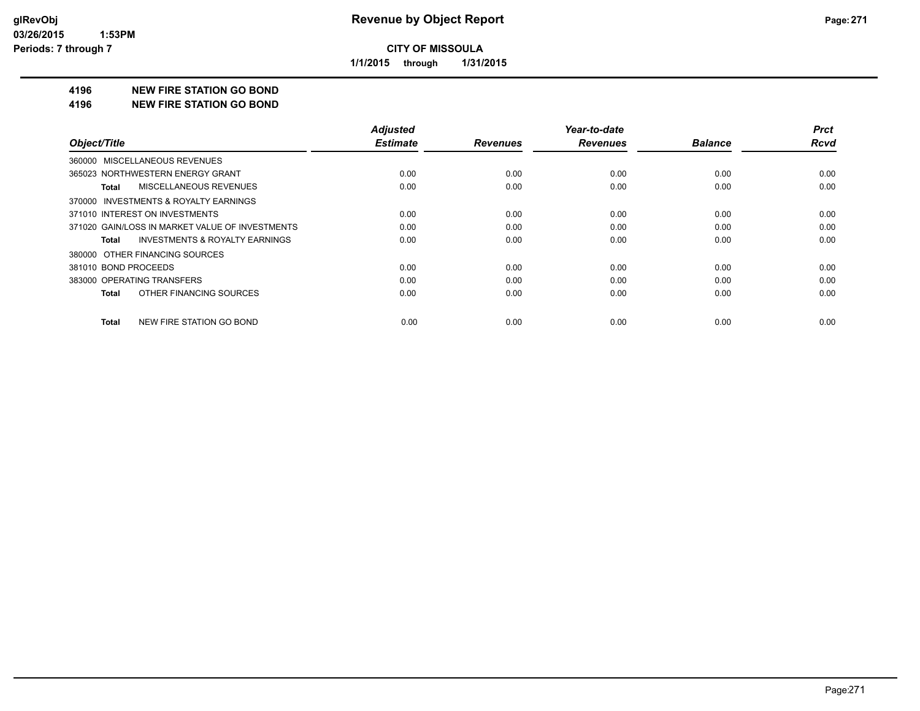**1/1/2015 through 1/31/2015**

#### **4196 NEW FIRE STATION GO BOND**

#### **4196 NEW FIRE STATION GO BOND**

| Object/Title                                       | <b>Adjusted</b><br><b>Estimate</b> | <b>Revenues</b> | Year-to-date<br><b>Revenues</b> | <b>Balance</b> | <b>Prct</b><br><b>Rcvd</b> |
|----------------------------------------------------|------------------------------------|-----------------|---------------------------------|----------------|----------------------------|
|                                                    |                                    |                 |                                 |                |                            |
| 360000 MISCELLANEOUS REVENUES                      |                                    |                 |                                 |                |                            |
| 365023 NORTHWESTERN ENERGY GRANT                   | 0.00                               | 0.00            | 0.00                            | 0.00           | 0.00                       |
| <b>MISCELLANEOUS REVENUES</b><br>Total             | 0.00                               | 0.00            | 0.00                            | 0.00           | 0.00                       |
| 370000 INVESTMENTS & ROYALTY EARNINGS              |                                    |                 |                                 |                |                            |
| 371010 INTEREST ON INVESTMENTS                     | 0.00                               | 0.00            | 0.00                            | 0.00           | 0.00                       |
| 371020 GAIN/LOSS IN MARKET VALUE OF INVESTMENTS    | 0.00                               | 0.00            | 0.00                            | 0.00           | 0.00                       |
| <b>INVESTMENTS &amp; ROYALTY EARNINGS</b><br>Total | 0.00                               | 0.00            | 0.00                            | 0.00           | 0.00                       |
| 380000 OTHER FINANCING SOURCES                     |                                    |                 |                                 |                |                            |
| 381010 BOND PROCEEDS                               | 0.00                               | 0.00            | 0.00                            | 0.00           | 0.00                       |
| 383000 OPERATING TRANSFERS                         | 0.00                               | 0.00            | 0.00                            | 0.00           | 0.00                       |
| OTHER FINANCING SOURCES<br>Total                   | 0.00                               | 0.00            | 0.00                            | 0.00           | 0.00                       |
| NEW FIRE STATION GO BOND<br>Total                  | 0.00                               | 0.00            | 0.00                            | 0.00           | 0.00                       |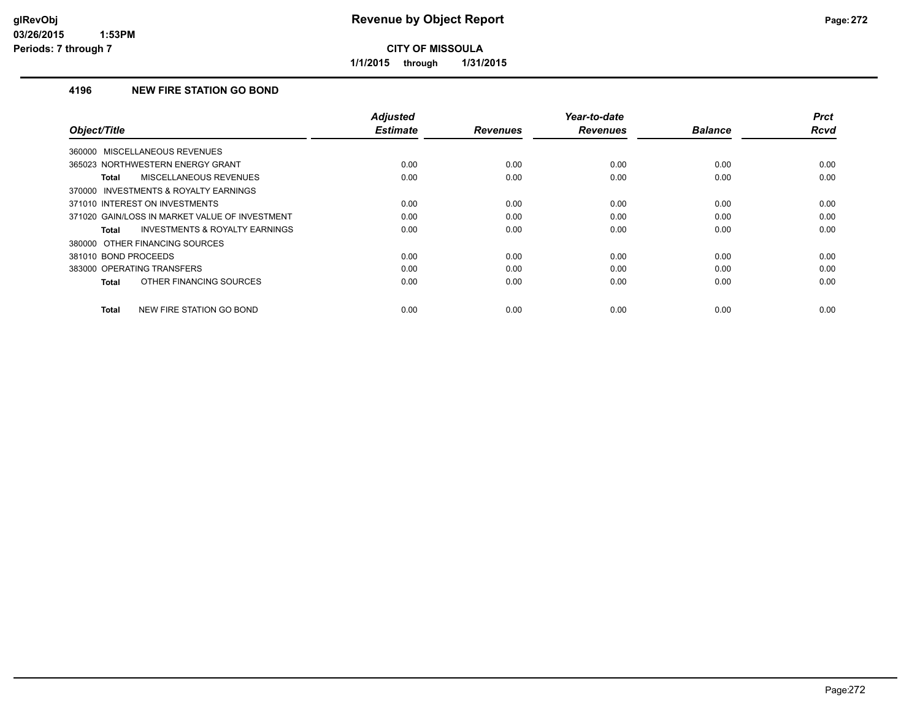**1/1/2015 through 1/31/2015**

## **4196 NEW FIRE STATION GO BOND**

| Object/Title                                              | <b>Adjusted</b><br><b>Estimate</b> | <b>Revenues</b> | Year-to-date<br><b>Revenues</b> | <b>Balance</b> | <b>Prct</b><br>Rcvd |
|-----------------------------------------------------------|------------------------------------|-----------------|---------------------------------|----------------|---------------------|
|                                                           |                                    |                 |                                 |                |                     |
| 360000 MISCELLANEOUS REVENUES                             |                                    |                 |                                 |                |                     |
| 365023 NORTHWESTERN ENERGY GRANT                          | 0.00                               | 0.00            | 0.00                            | 0.00           | 0.00                |
| MISCELLANEOUS REVENUES<br><b>Total</b>                    | 0.00                               | 0.00            | 0.00                            | 0.00           | 0.00                |
| 370000 INVESTMENTS & ROYALTY EARNINGS                     |                                    |                 |                                 |                |                     |
| 371010 INTEREST ON INVESTMENTS                            | 0.00                               | 0.00            | 0.00                            | 0.00           | 0.00                |
| 371020 GAIN/LOSS IN MARKET VALUE OF INVESTMENT            | 0.00                               | 0.00            | 0.00                            | 0.00           | 0.00                |
| <b>INVESTMENTS &amp; ROYALTY EARNINGS</b><br><b>Total</b> | 0.00                               | 0.00            | 0.00                            | 0.00           | 0.00                |
| 380000 OTHER FINANCING SOURCES                            |                                    |                 |                                 |                |                     |
| 381010 BOND PROCEEDS                                      | 0.00                               | 0.00            | 0.00                            | 0.00           | 0.00                |
| 383000 OPERATING TRANSFERS                                | 0.00                               | 0.00            | 0.00                            | 0.00           | 0.00                |
| OTHER FINANCING SOURCES<br><b>Total</b>                   | 0.00                               | 0.00            | 0.00                            | 0.00           | 0.00                |
| NEW FIRE STATION GO BOND<br><b>Total</b>                  | 0.00                               | 0.00            | 0.00                            | 0.00           | 0.00                |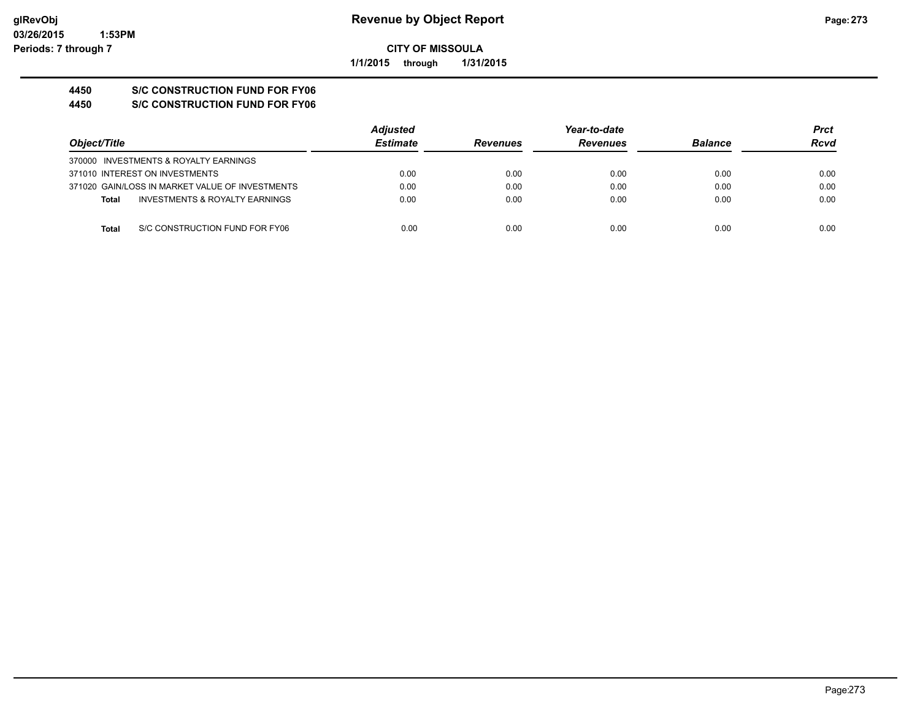**1/1/2015 through 1/31/2015**

# **4450 S/C CONSTRUCTION FUND FOR FY06**

**4450 S/C CONSTRUCTION FUND FOR FY06**

|                                                           | <b>Adjusted</b> |                 | Year-to-date    |                | <b>Prct</b> |
|-----------------------------------------------------------|-----------------|-----------------|-----------------|----------------|-------------|
| Object/Title                                              | <b>Estimate</b> | <b>Revenues</b> | <b>Revenues</b> | <b>Balance</b> | Rcvd        |
| 370000 INVESTMENTS & ROYALTY EARNINGS                     |                 |                 |                 |                |             |
| 371010 INTEREST ON INVESTMENTS                            | 0.00            | 0.00            | 0.00            | 0.00           | 0.00        |
| 371020 GAIN/LOSS IN MARKET VALUE OF INVESTMENTS           | 0.00            | 0.00            | 0.00            | 0.00           | 0.00        |
| <b>INVESTMENTS &amp; ROYALTY EARNINGS</b><br><b>Total</b> | 0.00            | 0.00            | 0.00            | 0.00           | 0.00        |
| S/C CONSTRUCTION FUND FOR FY06<br><b>Total</b>            | 0.00            | 0.00            | 0.00            | 0.00           | 0.00        |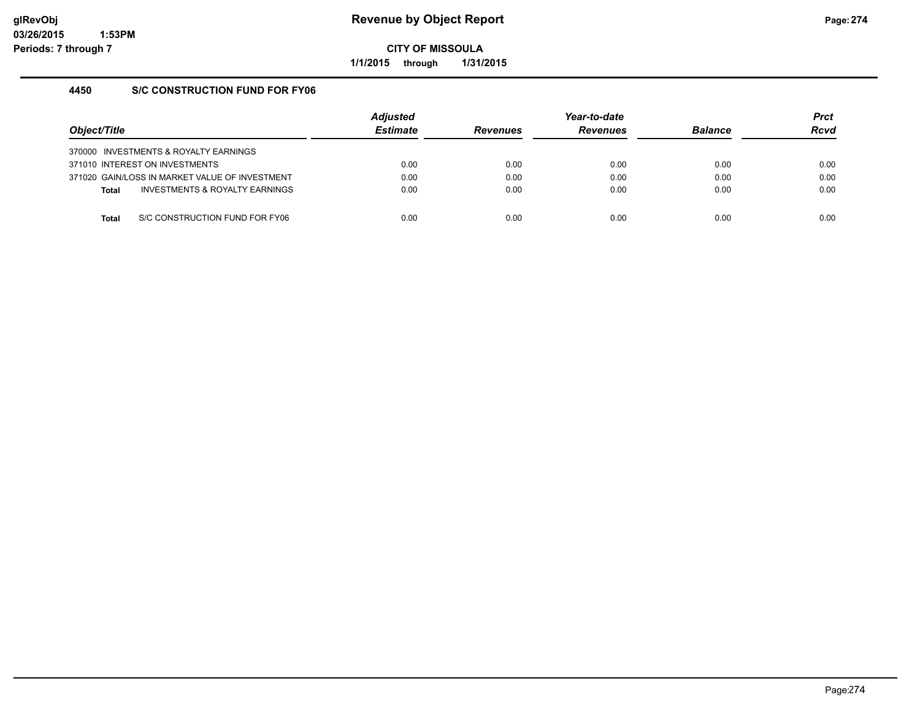**1/1/2015 through 1/31/2015**

# **4450 S/C CONSTRUCTION FUND FOR FY06**

| Object/Title                   |                                                | <b>Adjusted</b><br><b>Estimate</b> | <b>Revenues</b> | Year-to-date<br><b>Revenues</b> | <b>Balance</b> | <b>Prct</b><br><b>Rcvd</b> |
|--------------------------------|------------------------------------------------|------------------------------------|-----------------|---------------------------------|----------------|----------------------------|
|                                | 370000 INVESTMENTS & ROYALTY EARNINGS          |                                    |                 |                                 |                |                            |
| 371010 INTEREST ON INVESTMENTS |                                                | 0.00                               | 0.00            | 0.00                            | 0.00           | 0.00                       |
|                                | 371020 GAIN/LOSS IN MARKET VALUE OF INVESTMENT | 0.00                               | 0.00            | 0.00                            | 0.00           | 0.00                       |
| <b>Total</b>                   | <b>INVESTMENTS &amp; ROYALTY EARNINGS</b>      | 0.00                               | 0.00            | 0.00                            | 0.00           | 0.00                       |
|                                |                                                |                                    |                 |                                 |                |                            |
| Total                          | S/C CONSTRUCTION FUND FOR FY06                 | 0.00                               | 0.00            | 0.00                            | 0.00           | 0.00                       |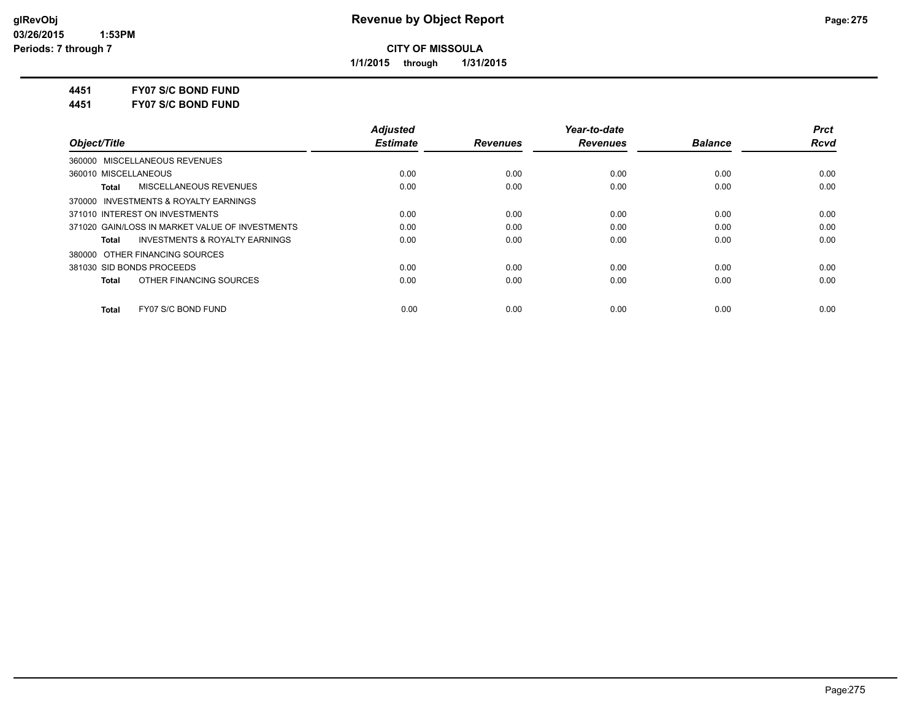**1/1/2015 through 1/31/2015**

**4451 FY07 S/C BOND FUND**

**4451 FY07 S/C BOND FUND**

| <b>Adjusted</b> |                 | Year-to-date    |                | <b>Prct</b> |
|-----------------|-----------------|-----------------|----------------|-------------|
| <b>Estimate</b> | <b>Revenues</b> | <b>Revenues</b> | <b>Balance</b> | <b>Rcvd</b> |
|                 |                 |                 |                |             |
| 0.00            | 0.00            | 0.00            | 0.00           | 0.00        |
| 0.00            | 0.00            | 0.00            | 0.00           | 0.00        |
|                 |                 |                 |                |             |
| 0.00            | 0.00            | 0.00            | 0.00           | 0.00        |
| 0.00            | 0.00            | 0.00            | 0.00           | 0.00        |
| 0.00            | 0.00            | 0.00            | 0.00           | 0.00        |
|                 |                 |                 |                |             |
| 0.00            | 0.00            | 0.00            | 0.00           | 0.00        |
| 0.00            | 0.00            | 0.00            | 0.00           | 0.00        |
|                 |                 |                 |                | 0.00        |
|                 | 0.00            | 0.00            | 0.00           | 0.00        |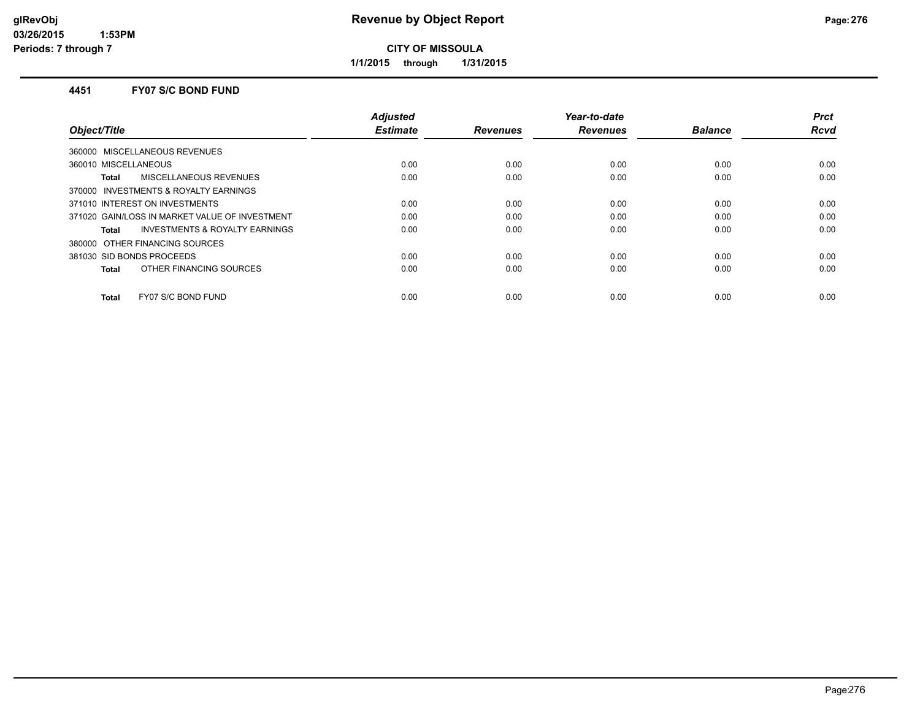**1/1/2015 through 1/31/2015**

#### **4451 FY07 S/C BOND FUND**

|                                                | <b>Adjusted</b> |                 | Year-to-date    |                | <b>Prct</b> |
|------------------------------------------------|-----------------|-----------------|-----------------|----------------|-------------|
| Object/Title                                   | <b>Estimate</b> | <b>Revenues</b> | <b>Revenues</b> | <b>Balance</b> | Rcvd        |
| 360000 MISCELLANEOUS REVENUES                  |                 |                 |                 |                |             |
| 360010 MISCELLANEOUS                           | 0.00            | 0.00            | 0.00            | 0.00           | 0.00        |
| <b>MISCELLANEOUS REVENUES</b><br>Total         | 0.00            | 0.00            | 0.00            | 0.00           | 0.00        |
| 370000 INVESTMENTS & ROYALTY EARNINGS          |                 |                 |                 |                |             |
| 371010 INTEREST ON INVESTMENTS                 | 0.00            | 0.00            | 0.00            | 0.00           | 0.00        |
| 371020 GAIN/LOSS IN MARKET VALUE OF INVESTMENT | 0.00            | 0.00            | 0.00            | 0.00           | 0.00        |
| INVESTMENTS & ROYALTY EARNINGS<br><b>Total</b> | 0.00            | 0.00            | 0.00            | 0.00           | 0.00        |
| 380000 OTHER FINANCING SOURCES                 |                 |                 |                 |                |             |
| 381030 SID BONDS PROCEEDS                      | 0.00            | 0.00            | 0.00            | 0.00           | 0.00        |
| OTHER FINANCING SOURCES<br>Total               | 0.00            | 0.00            | 0.00            | 0.00           | 0.00        |
| FY07 S/C BOND FUND<br><b>Total</b>             | 0.00            | 0.00            | 0.00            | 0.00           | 0.00        |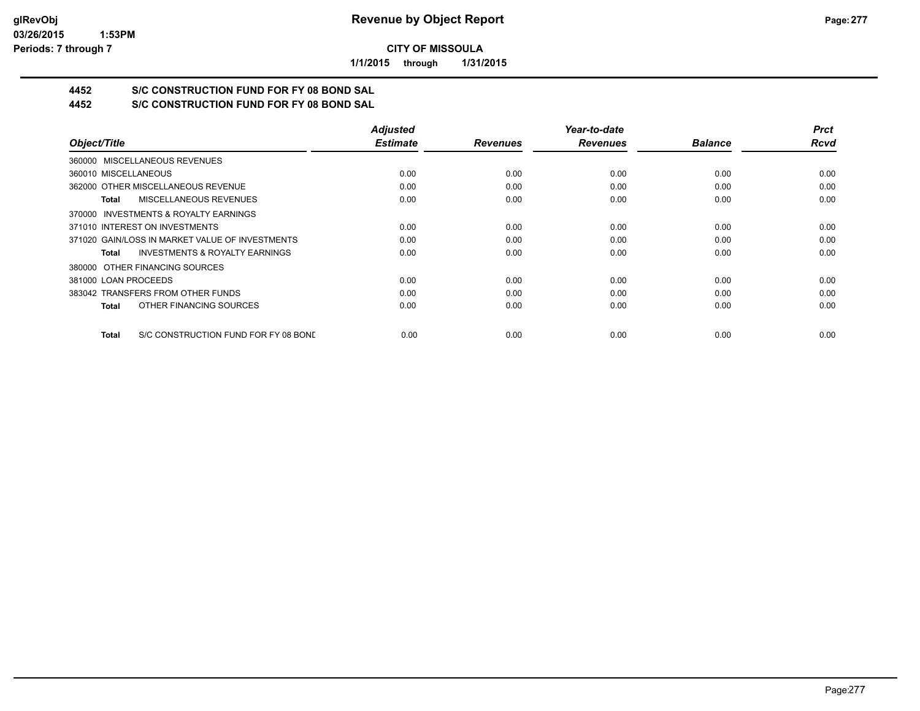**1/1/2015 through 1/31/2015**

# **4452 S/C CONSTRUCTION FUND FOR FY 08 BOND SAL**

**4452 S/C CONSTRUCTION FUND FOR FY 08 BOND SAL**

|                                                      | <b>Adjusted</b> |                 | Year-to-date    |                | <b>Prct</b> |
|------------------------------------------------------|-----------------|-----------------|-----------------|----------------|-------------|
| Object/Title                                         | <b>Estimate</b> | <b>Revenues</b> | <b>Revenues</b> | <b>Balance</b> | <b>Rcvd</b> |
| 360000 MISCELLANEOUS REVENUES                        |                 |                 |                 |                |             |
| 360010 MISCELLANEOUS                                 | 0.00            | 0.00            | 0.00            | 0.00           | 0.00        |
| 362000 OTHER MISCELLANEOUS REVENUE                   | 0.00            | 0.00            | 0.00            | 0.00           | 0.00        |
| <b>MISCELLANEOUS REVENUES</b><br>Total               | 0.00            | 0.00            | 0.00            | 0.00           | 0.00        |
| 370000 INVESTMENTS & ROYALTY EARNINGS                |                 |                 |                 |                |             |
| 371010 INTEREST ON INVESTMENTS                       | 0.00            | 0.00            | 0.00            | 0.00           | 0.00        |
| 371020 GAIN/LOSS IN MARKET VALUE OF INVESTMENTS      | 0.00            | 0.00            | 0.00            | 0.00           | 0.00        |
| <b>INVESTMENTS &amp; ROYALTY EARNINGS</b><br>Total   | 0.00            | 0.00            | 0.00            | 0.00           | 0.00        |
| 380000 OTHER FINANCING SOURCES                       |                 |                 |                 |                |             |
| 381000 LOAN PROCEEDS                                 | 0.00            | 0.00            | 0.00            | 0.00           | 0.00        |
| 383042 TRANSFERS FROM OTHER FUNDS                    | 0.00            | 0.00            | 0.00            | 0.00           | 0.00        |
| OTHER FINANCING SOURCES<br><b>Total</b>              | 0.00            | 0.00            | 0.00            | 0.00           | 0.00        |
| S/C CONSTRUCTION FUND FOR FY 08 BOND<br><b>Total</b> | 0.00            | 0.00            | 0.00            | 0.00           | 0.00        |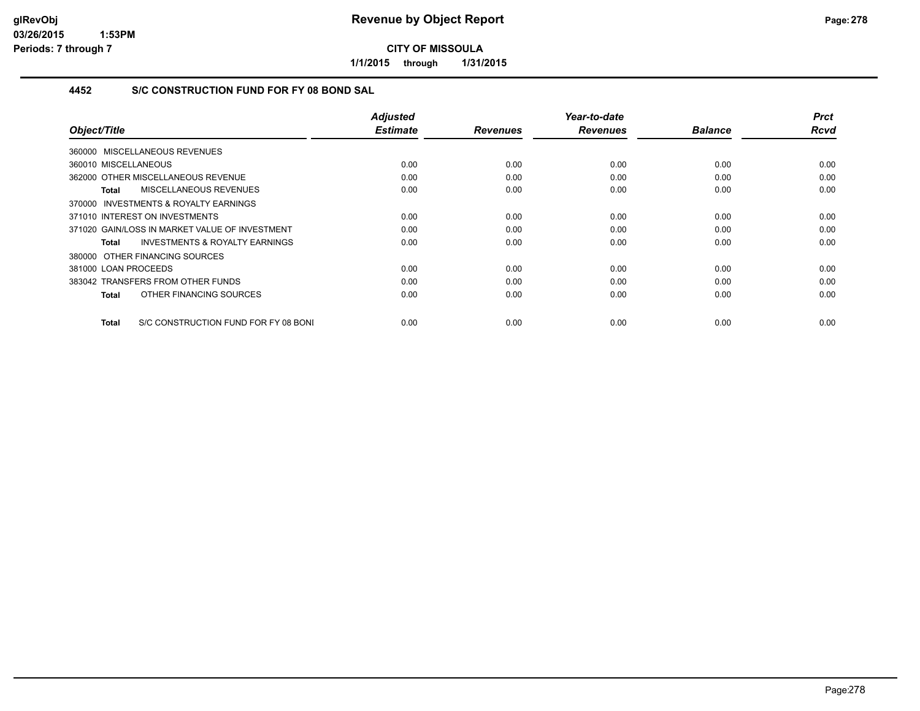**1/1/2015 through 1/31/2015**

## **4452 S/C CONSTRUCTION FUND FOR FY 08 BOND SAL**

| Object/Title                                        | <b>Adjusted</b><br><b>Estimate</b> | <b>Revenues</b> | Year-to-date<br><b>Revenues</b> | <b>Balance</b> | <b>Prct</b><br><b>Rcvd</b> |
|-----------------------------------------------------|------------------------------------|-----------------|---------------------------------|----------------|----------------------------|
|                                                     |                                    |                 |                                 |                |                            |
| 360000 MISCELLANEOUS REVENUES                       |                                    |                 |                                 |                |                            |
| 360010 MISCELLANEOUS                                | 0.00                               | 0.00            | 0.00                            | 0.00           | 0.00                       |
| 362000 OTHER MISCELLANEOUS REVENUE                  | 0.00                               | 0.00            | 0.00                            | 0.00           | 0.00                       |
| MISCELLANEOUS REVENUES<br>Total                     | 0.00                               | 0.00            | 0.00                            | 0.00           | 0.00                       |
| <b>INVESTMENTS &amp; ROYALTY EARNINGS</b><br>370000 |                                    |                 |                                 |                |                            |
| 371010 INTEREST ON INVESTMENTS                      | 0.00                               | 0.00            | 0.00                            | 0.00           | 0.00                       |
| 371020 GAIN/LOSS IN MARKET VALUE OF INVESTMENT      | 0.00                               | 0.00            | 0.00                            | 0.00           | 0.00                       |
| <b>INVESTMENTS &amp; ROYALTY EARNINGS</b><br>Total  | 0.00                               | 0.00            | 0.00                            | 0.00           | 0.00                       |
| 380000 OTHER FINANCING SOURCES                      |                                    |                 |                                 |                |                            |
| 381000 LOAN PROCEEDS                                | 0.00                               | 0.00            | 0.00                            | 0.00           | 0.00                       |
| 383042 TRANSFERS FROM OTHER FUNDS                   | 0.00                               | 0.00            | 0.00                            | 0.00           | 0.00                       |
| OTHER FINANCING SOURCES<br>Total                    | 0.00                               | 0.00            | 0.00                            | 0.00           | 0.00                       |
|                                                     |                                    |                 |                                 |                |                            |
| S/C CONSTRUCTION FUND FOR FY 08 BONI<br>Total       | 0.00                               | 0.00            | 0.00                            | 0.00           | 0.00                       |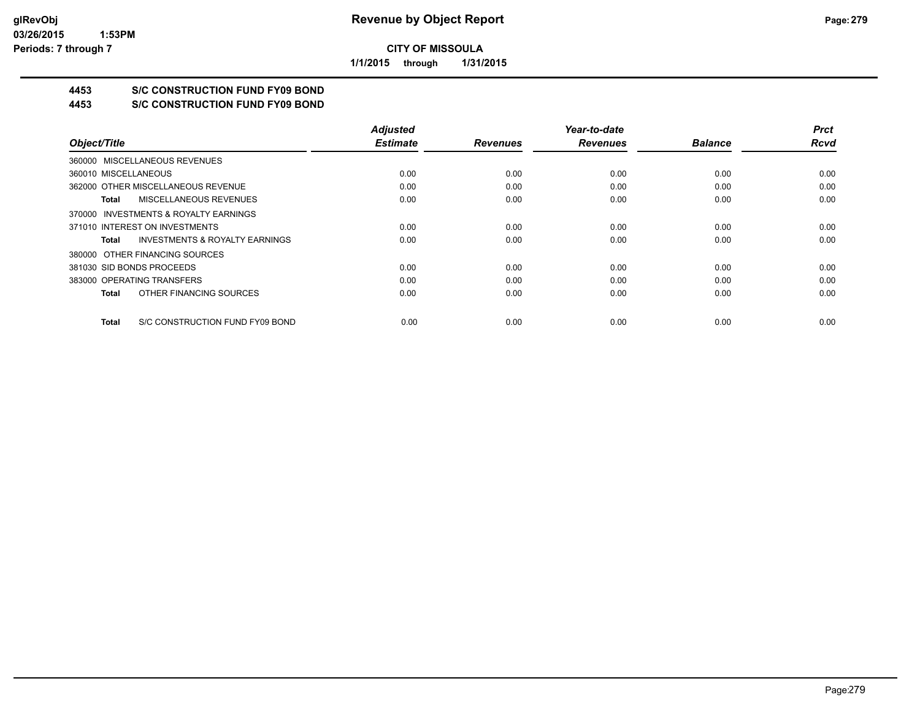**1/1/2015 through 1/31/2015**

# **4453 S/C CONSTRUCTION FUND FY09 BOND**

**4453 S/C CONSTRUCTION FUND FY09 BOND**

|                                                    | <b>Adjusted</b> |                 | Year-to-date    |                | <b>Prct</b> |
|----------------------------------------------------|-----------------|-----------------|-----------------|----------------|-------------|
| Object/Title                                       | <b>Estimate</b> | <b>Revenues</b> | <b>Revenues</b> | <b>Balance</b> | <b>Rcvd</b> |
| 360000 MISCELLANEOUS REVENUES                      |                 |                 |                 |                |             |
| 360010 MISCELLANEOUS                               | 0.00            | 0.00            | 0.00            | 0.00           | 0.00        |
| 362000 OTHER MISCELLANEOUS REVENUE                 | 0.00            | 0.00            | 0.00            | 0.00           | 0.00        |
| MISCELLANEOUS REVENUES<br>Total                    | 0.00            | 0.00            | 0.00            | 0.00           | 0.00        |
| 370000 INVESTMENTS & ROYALTY EARNINGS              |                 |                 |                 |                |             |
| 371010 INTEREST ON INVESTMENTS                     | 0.00            | 0.00            | 0.00            | 0.00           | 0.00        |
| <b>INVESTMENTS &amp; ROYALTY EARNINGS</b><br>Total | 0.00            | 0.00            | 0.00            | 0.00           | 0.00        |
| 380000 OTHER FINANCING SOURCES                     |                 |                 |                 |                |             |
| 381030 SID BONDS PROCEEDS                          | 0.00            | 0.00            | 0.00            | 0.00           | 0.00        |
| 383000 OPERATING TRANSFERS                         | 0.00            | 0.00            | 0.00            | 0.00           | 0.00        |
| OTHER FINANCING SOURCES<br>Total                   | 0.00            | 0.00            | 0.00            | 0.00           | 0.00        |
| S/C CONSTRUCTION FUND FY09 BOND<br>Total           | 0.00            | 0.00            | 0.00            | 0.00           | 0.00        |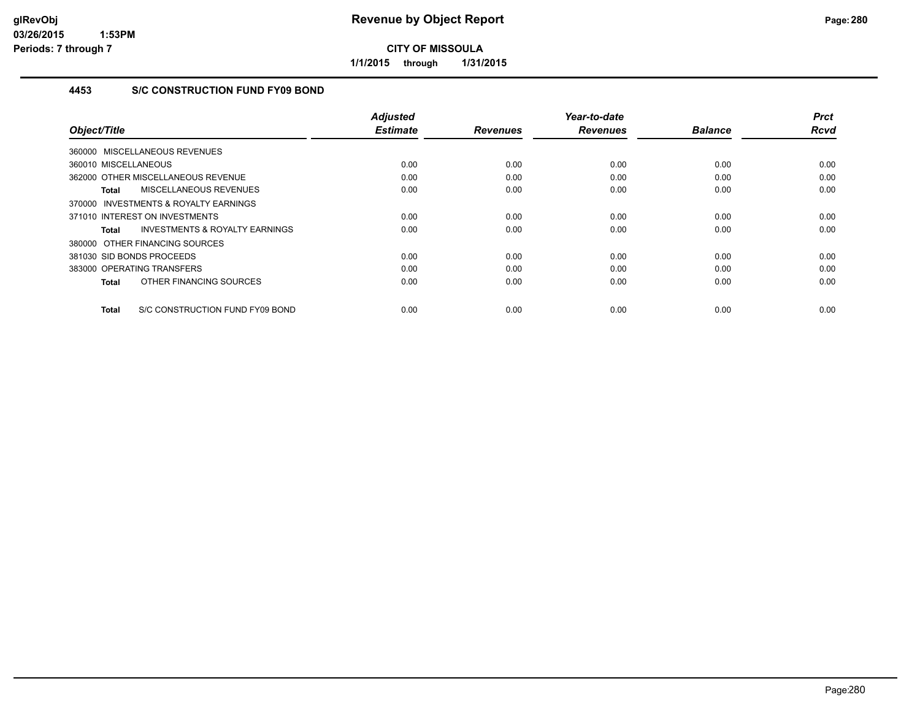**1/1/2015 through 1/31/2015**

# **4453 S/C CONSTRUCTION FUND FY09 BOND**

| Object/Title                                        | <b>Adjusted</b><br><b>Estimate</b> | <b>Revenues</b> | Year-to-date<br><b>Revenues</b> | <b>Balance</b> | <b>Prct</b><br><b>Rcvd</b> |
|-----------------------------------------------------|------------------------------------|-----------------|---------------------------------|----------------|----------------------------|
|                                                     |                                    |                 |                                 |                |                            |
| 360000 MISCELLANEOUS REVENUES                       |                                    |                 |                                 |                |                            |
| 360010 MISCELLANEOUS                                | 0.00                               | 0.00            | 0.00                            | 0.00           | 0.00                       |
| 362000 OTHER MISCELLANEOUS REVENUE                  | 0.00                               | 0.00            | 0.00                            | 0.00           | 0.00                       |
| MISCELLANEOUS REVENUES<br>Total                     | 0.00                               | 0.00            | 0.00                            | 0.00           | 0.00                       |
| <b>INVESTMENTS &amp; ROYALTY EARNINGS</b><br>370000 |                                    |                 |                                 |                |                            |
| 371010 INTEREST ON INVESTMENTS                      | 0.00                               | 0.00            | 0.00                            | 0.00           | 0.00                       |
| <b>INVESTMENTS &amp; ROYALTY EARNINGS</b><br>Total  | 0.00                               | 0.00            | 0.00                            | 0.00           | 0.00                       |
| 380000 OTHER FINANCING SOURCES                      |                                    |                 |                                 |                |                            |
| 381030 SID BONDS PROCEEDS                           | 0.00                               | 0.00            | 0.00                            | 0.00           | 0.00                       |
| 383000 OPERATING TRANSFERS                          | 0.00                               | 0.00            | 0.00                            | 0.00           | 0.00                       |
| OTHER FINANCING SOURCES<br>Total                    | 0.00                               | 0.00            | 0.00                            | 0.00           | 0.00                       |
|                                                     |                                    |                 |                                 |                |                            |
| S/C CONSTRUCTION FUND FY09 BOND<br>Total            | 0.00                               | 0.00            | 0.00                            | 0.00           | 0.00                       |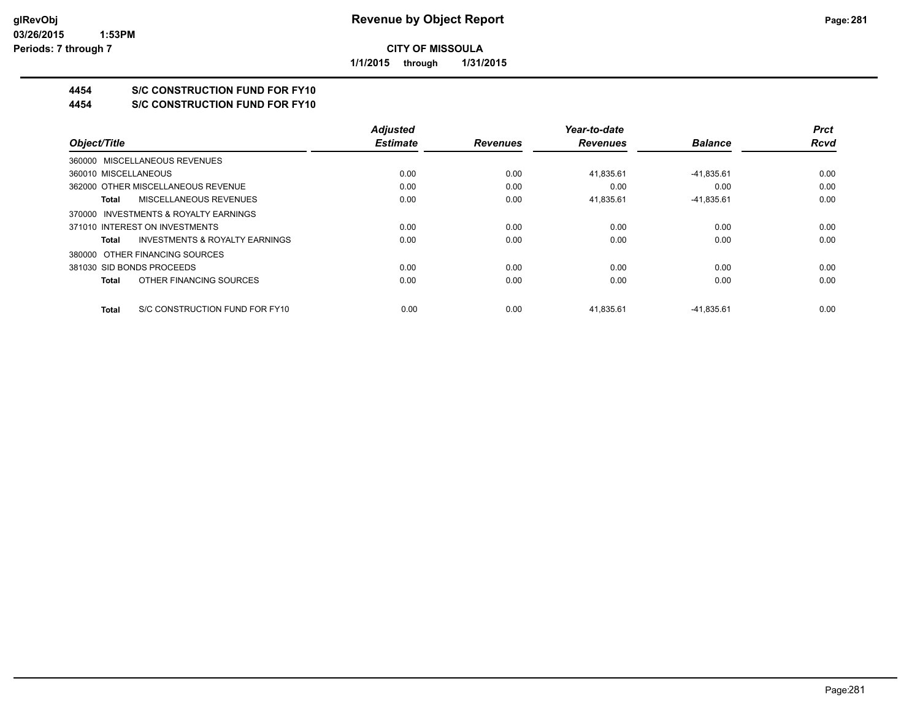**1/1/2015 through 1/31/2015**

# **4454 S/C CONSTRUCTION FUND FOR FY10**

**4454 S/C CONSTRUCTION FUND FOR FY10**

|                                                    | <b>Adjusted</b> |                 | Year-to-date    |                | <b>Prct</b> |
|----------------------------------------------------|-----------------|-----------------|-----------------|----------------|-------------|
| Object/Title                                       | <b>Estimate</b> | <b>Revenues</b> | <b>Revenues</b> | <b>Balance</b> | Rcvd        |
| 360000 MISCELLANEOUS REVENUES                      |                 |                 |                 |                |             |
| 360010 MISCELLANEOUS                               | 0.00            | 0.00            | 41,835.61       | $-41,835.61$   | 0.00        |
| 362000 OTHER MISCELLANEOUS REVENUE                 | 0.00            | 0.00            | 0.00            | 0.00           | 0.00        |
| MISCELLANEOUS REVENUES<br>Total                    | 0.00            | 0.00            | 41,835.61       | $-41,835.61$   | 0.00        |
| 370000 INVESTMENTS & ROYALTY EARNINGS              |                 |                 |                 |                |             |
| 371010 INTEREST ON INVESTMENTS                     | 0.00            | 0.00            | 0.00            | 0.00           | 0.00        |
| <b>INVESTMENTS &amp; ROYALTY EARNINGS</b><br>Total | 0.00            | 0.00            | 0.00            | 0.00           | 0.00        |
| 380000 OTHER FINANCING SOURCES                     |                 |                 |                 |                |             |
| 381030 SID BONDS PROCEEDS                          | 0.00            | 0.00            | 0.00            | 0.00           | 0.00        |
| OTHER FINANCING SOURCES<br>Total                   | 0.00            | 0.00            | 0.00            | 0.00           | 0.00        |
| S/C CONSTRUCTION FUND FOR FY10<br>Total            | 0.00            | 0.00            | 41,835.61       | $-41,835.61$   | 0.00        |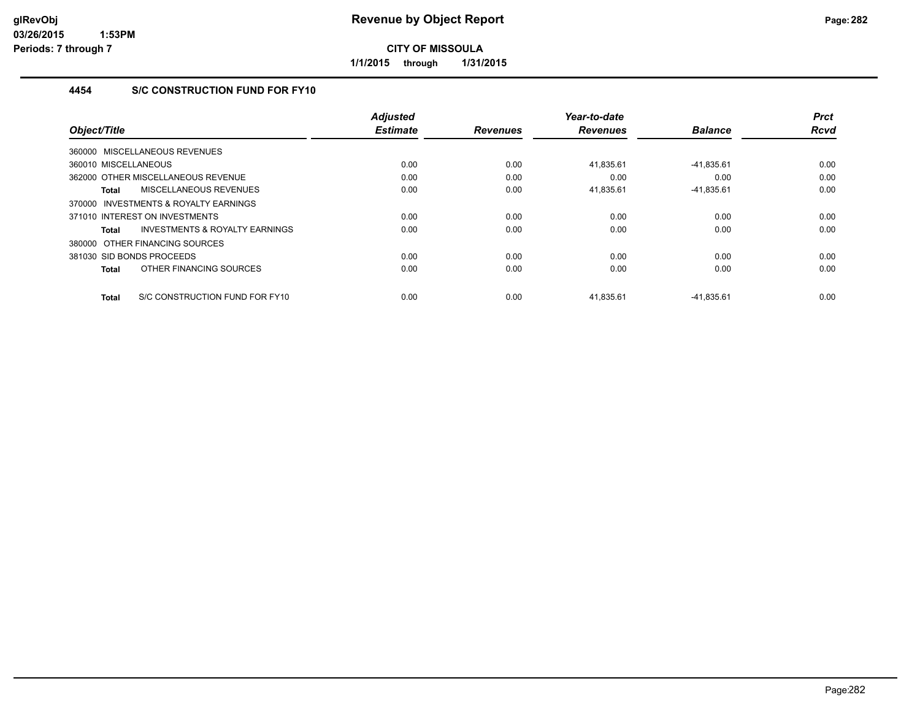**1/1/2015 through 1/31/2015**

# **4454 S/C CONSTRUCTION FUND FOR FY10**

|                                                | <b>Adjusted</b> |                 | Year-to-date    |                | <b>Prct</b> |
|------------------------------------------------|-----------------|-----------------|-----------------|----------------|-------------|
| Object/Title                                   | <b>Estimate</b> | <b>Revenues</b> | <b>Revenues</b> | <b>Balance</b> | <b>Rcvd</b> |
| 360000 MISCELLANEOUS REVENUES                  |                 |                 |                 |                |             |
| 360010 MISCELLANEOUS                           | 0.00            | 0.00            | 41.835.61       | $-41,835.61$   | 0.00        |
| 362000 OTHER MISCELLANEOUS REVENUE             | 0.00            | 0.00            | 0.00            | 0.00           | 0.00        |
| MISCELLANEOUS REVENUES<br><b>Total</b>         | 0.00            | 0.00            | 41,835.61       | $-41,835.61$   | 0.00        |
| INVESTMENTS & ROYALTY EARNINGS<br>370000       |                 |                 |                 |                |             |
| 371010 INTEREST ON INVESTMENTS                 | 0.00            | 0.00            | 0.00            | 0.00           | 0.00        |
| INVESTMENTS & ROYALTY EARNINGS<br><b>Total</b> | 0.00            | 0.00            | 0.00            | 0.00           | 0.00        |
| 380000 OTHER FINANCING SOURCES                 |                 |                 |                 |                |             |
| 381030 SID BONDS PROCEEDS                      | 0.00            | 0.00            | 0.00            | 0.00           | 0.00        |
| OTHER FINANCING SOURCES<br><b>Total</b>        | 0.00            | 0.00            | 0.00            | 0.00           | 0.00        |
| S/C CONSTRUCTION FUND FOR FY10<br><b>Total</b> | 0.00            | 0.00            | 41.835.61       | -41.835.61     | 0.00        |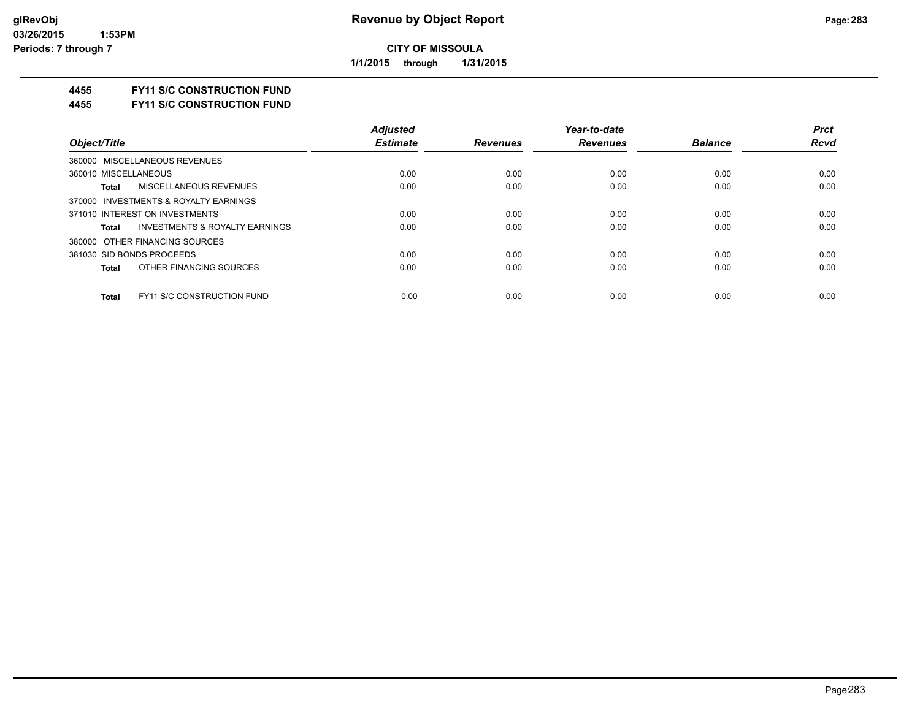**1/1/2015 through 1/31/2015**

### **4455 FY11 S/C CONSTRUCTION FUND**

**4455 FY11 S/C CONSTRUCTION FUND**

|                                                    | <b>Adjusted</b> |                 | Year-to-date    |                | <b>Prct</b> |
|----------------------------------------------------|-----------------|-----------------|-----------------|----------------|-------------|
| Object/Title                                       | <b>Estimate</b> | <b>Revenues</b> | <b>Revenues</b> | <b>Balance</b> | <b>Rcvd</b> |
| 360000 MISCELLANEOUS REVENUES                      |                 |                 |                 |                |             |
| 360010 MISCELLANEOUS                               | 0.00            | 0.00            | 0.00            | 0.00           | 0.00        |
| <b>MISCELLANEOUS REVENUES</b><br>Total             | 0.00            | 0.00            | 0.00            | 0.00           | 0.00        |
| 370000 INVESTMENTS & ROYALTY EARNINGS              |                 |                 |                 |                |             |
| 371010 INTEREST ON INVESTMENTS                     | 0.00            | 0.00            | 0.00            | 0.00           | 0.00        |
| <b>INVESTMENTS &amp; ROYALTY EARNINGS</b><br>Total | 0.00            | 0.00            | 0.00            | 0.00           | 0.00        |
| 380000 OTHER FINANCING SOURCES                     |                 |                 |                 |                |             |
| 381030 SID BONDS PROCEEDS                          | 0.00            | 0.00            | 0.00            | 0.00           | 0.00        |
| OTHER FINANCING SOURCES<br>Total                   | 0.00            | 0.00            | 0.00            | 0.00           | 0.00        |
| <b>FY11 S/C CONSTRUCTION FUND</b><br><b>Total</b>  | 0.00            | 0.00            | 0.00            | 0.00           | 0.00        |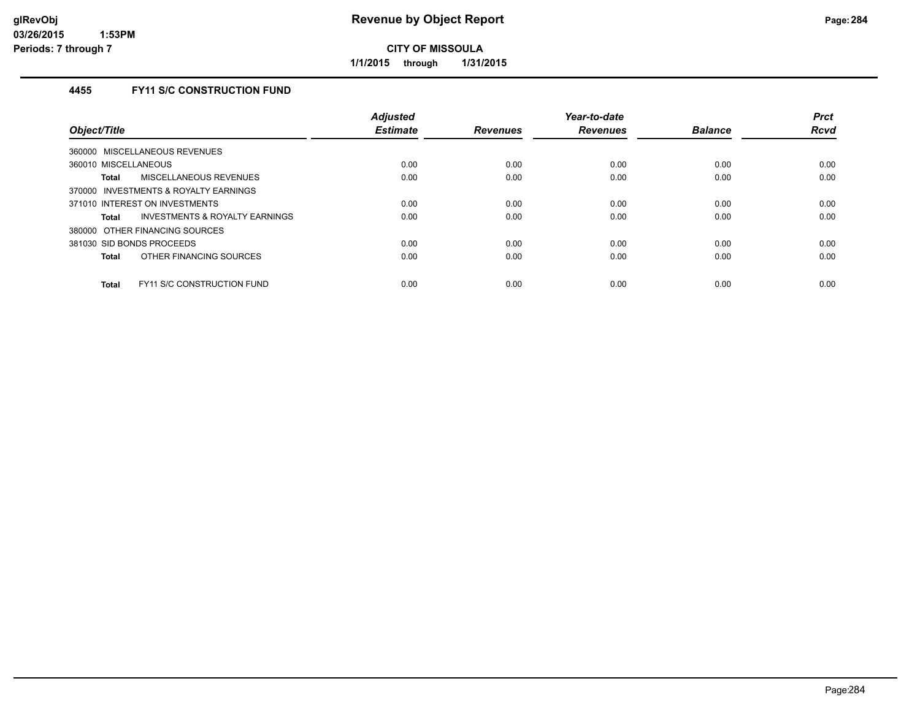**1/1/2015 through 1/31/2015**

# **4455 FY11 S/C CONSTRUCTION FUND**

| Object/Title                                       | <b>Adjusted</b><br><b>Estimate</b> | <b>Revenues</b> | Year-to-date<br><b>Revenues</b> | <b>Balance</b> | <b>Prct</b><br><b>Rcvd</b> |
|----------------------------------------------------|------------------------------------|-----------------|---------------------------------|----------------|----------------------------|
| 360000 MISCELLANEOUS REVENUES                      |                                    |                 |                                 |                |                            |
| 360010 MISCELLANEOUS                               | 0.00                               | 0.00            | 0.00                            | 0.00           | 0.00                       |
| MISCELLANEOUS REVENUES<br>Total                    | 0.00                               | 0.00            | 0.00                            | 0.00           | 0.00                       |
| 370000 INVESTMENTS & ROYALTY EARNINGS              |                                    |                 |                                 |                |                            |
| 371010 INTEREST ON INVESTMENTS                     | 0.00                               | 0.00            | 0.00                            | 0.00           | 0.00                       |
| <b>INVESTMENTS &amp; ROYALTY EARNINGS</b><br>Total | 0.00                               | 0.00            | 0.00                            | 0.00           | 0.00                       |
| 380000 OTHER FINANCING SOURCES                     |                                    |                 |                                 |                |                            |
| 381030 SID BONDS PROCEEDS                          | 0.00                               | 0.00            | 0.00                            | 0.00           | 0.00                       |
| OTHER FINANCING SOURCES<br><b>Total</b>            | 0.00                               | 0.00            | 0.00                            | 0.00           | 0.00                       |
| <b>FY11 S/C CONSTRUCTION FUND</b><br><b>Total</b>  | 0.00                               | 0.00            | 0.00                            | 0.00           | 0.00                       |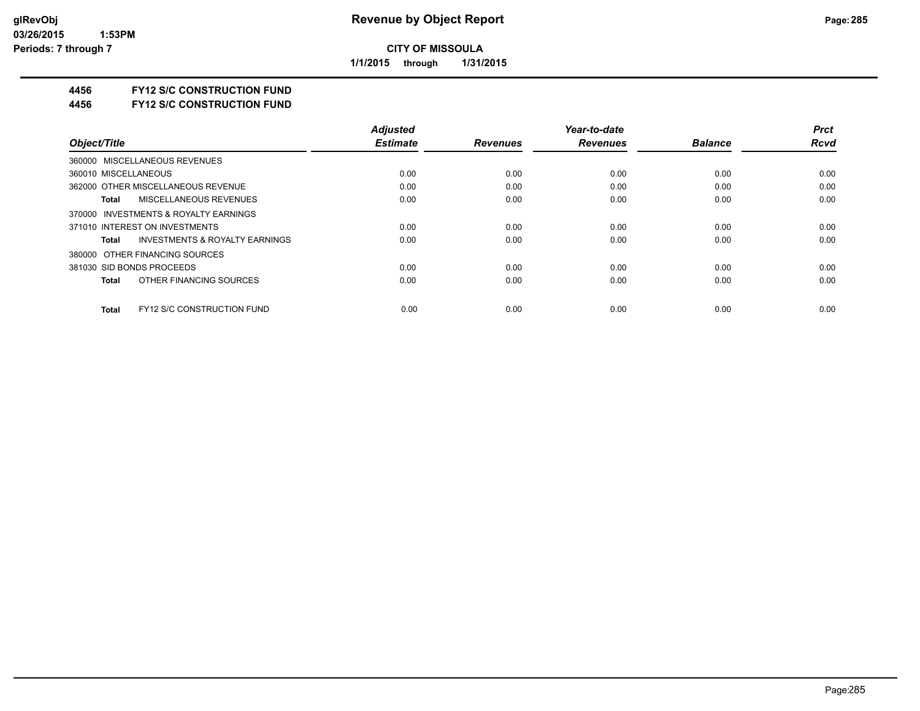**1/1/2015 through 1/31/2015**

### **4456 FY12 S/C CONSTRUCTION FUND**

**4456 FY12 S/C CONSTRUCTION FUND**

|                                                    | <b>Adjusted</b> |                 | Year-to-date    |                | <b>Prct</b> |
|----------------------------------------------------|-----------------|-----------------|-----------------|----------------|-------------|
| Object/Title                                       | <b>Estimate</b> | <b>Revenues</b> | <b>Revenues</b> | <b>Balance</b> | <b>Rcvd</b> |
| 360000 MISCELLANEOUS REVENUES                      |                 |                 |                 |                |             |
| 360010 MISCELLANEOUS                               | 0.00            | 0.00            | 0.00            | 0.00           | 0.00        |
| 362000 OTHER MISCELLANEOUS REVENUE                 | 0.00            | 0.00            | 0.00            | 0.00           | 0.00        |
| <b>MISCELLANEOUS REVENUES</b><br>Total             | 0.00            | 0.00            | 0.00            | 0.00           | 0.00        |
| 370000 INVESTMENTS & ROYALTY EARNINGS              |                 |                 |                 |                |             |
| 371010 INTEREST ON INVESTMENTS                     | 0.00            | 0.00            | 0.00            | 0.00           | 0.00        |
| <b>INVESTMENTS &amp; ROYALTY EARNINGS</b><br>Total | 0.00            | 0.00            | 0.00            | 0.00           | 0.00        |
| 380000 OTHER FINANCING SOURCES                     |                 |                 |                 |                |             |
| 381030 SID BONDS PROCEEDS                          | 0.00            | 0.00            | 0.00            | 0.00           | 0.00        |
| OTHER FINANCING SOURCES<br>Total                   | 0.00            | 0.00            | 0.00            | 0.00           | 0.00        |
| <b>FY12 S/C CONSTRUCTION FUND</b><br><b>Total</b>  | 0.00            | 0.00            | 0.00            | 0.00           | 0.00        |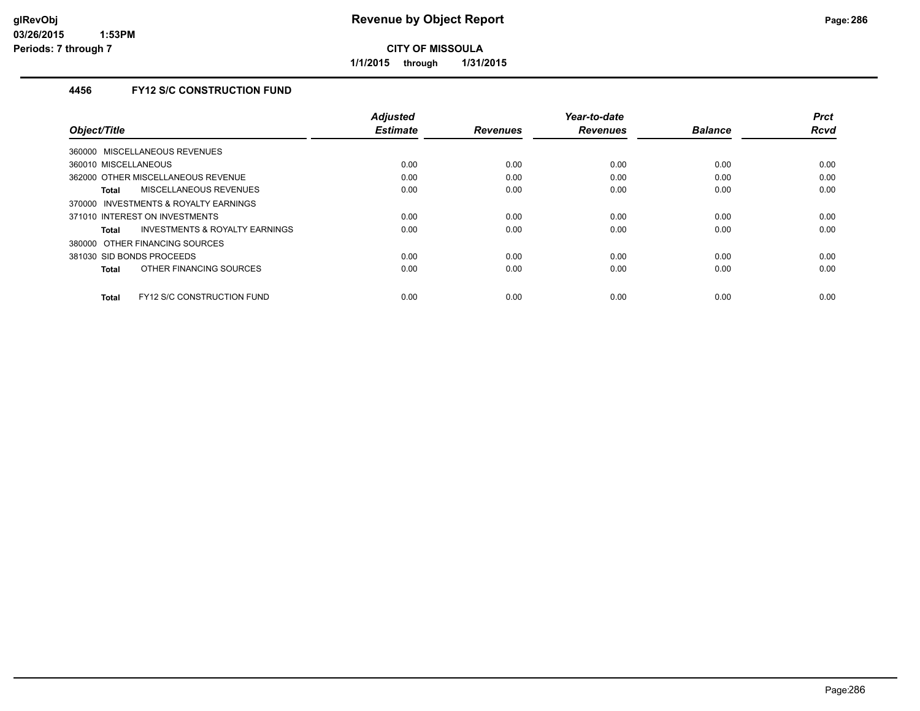**1/1/2015 through 1/31/2015**

# **4456 FY12 S/C CONSTRUCTION FUND**

|                                                   | <b>Adjusted</b> |                 | Year-to-date    |                | <b>Prct</b> |
|---------------------------------------------------|-----------------|-----------------|-----------------|----------------|-------------|
| Object/Title                                      | <b>Estimate</b> | <b>Revenues</b> | <b>Revenues</b> | <b>Balance</b> | <b>Rcvd</b> |
| 360000 MISCELLANEOUS REVENUES                     |                 |                 |                 |                |             |
| 360010 MISCELLANEOUS                              | 0.00            | 0.00            | 0.00            | 0.00           | 0.00        |
| 362000 OTHER MISCELLANEOUS REVENUE                | 0.00            | 0.00            | 0.00            | 0.00           | 0.00        |
| MISCELLANEOUS REVENUES<br>Total                   | 0.00            | 0.00            | 0.00            | 0.00           | 0.00        |
| INVESTMENTS & ROYALTY EARNINGS<br>370000          |                 |                 |                 |                |             |
| 371010 INTEREST ON INVESTMENTS                    | 0.00            | 0.00            | 0.00            | 0.00           | 0.00        |
| INVESTMENTS & ROYALTY EARNINGS<br>Total           | 0.00            | 0.00            | 0.00            | 0.00           | 0.00        |
| 380000 OTHER FINANCING SOURCES                    |                 |                 |                 |                |             |
| 381030 SID BONDS PROCEEDS                         | 0.00            | 0.00            | 0.00            | 0.00           | 0.00        |
| OTHER FINANCING SOURCES<br><b>Total</b>           | 0.00            | 0.00            | 0.00            | 0.00           | 0.00        |
|                                                   |                 |                 |                 |                |             |
| <b>FY12 S/C CONSTRUCTION FUND</b><br><b>Total</b> | 0.00            | 0.00            | 0.00            | 0.00           | 0.00        |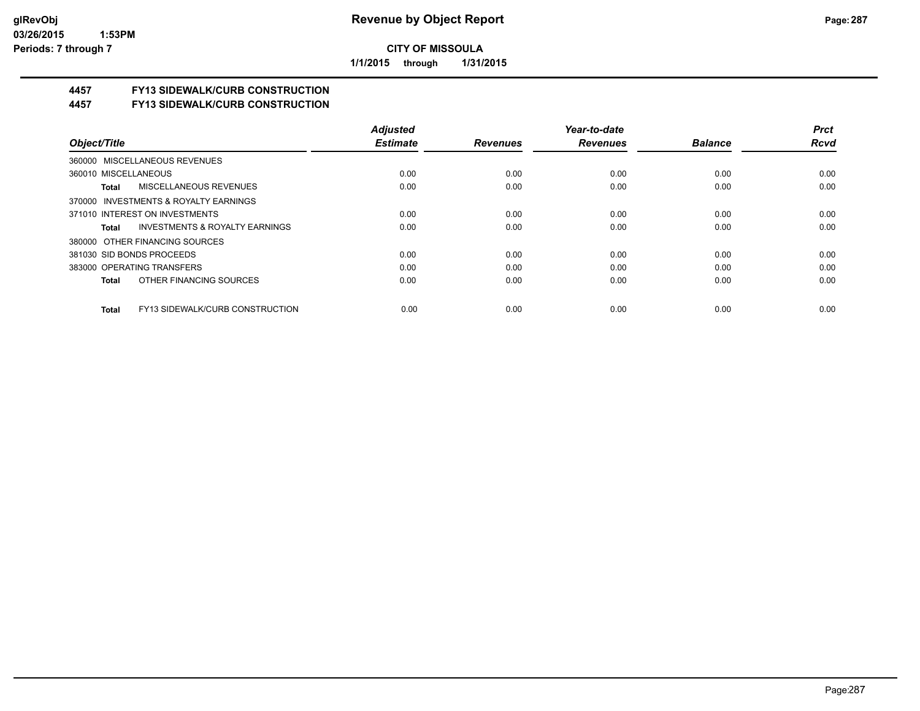**1/1/2015 through 1/31/2015**

# **4457 FY13 SIDEWALK/CURB CONSTRUCTION**

**4457 FY13 SIDEWALK/CURB CONSTRUCTION**

|                                                    | <b>Adjusted</b> |                 | Year-to-date    |                | <b>Prct</b> |
|----------------------------------------------------|-----------------|-----------------|-----------------|----------------|-------------|
| Object/Title                                       | <b>Estimate</b> | <b>Revenues</b> | <b>Revenues</b> | <b>Balance</b> | <b>Rcvd</b> |
| 360000 MISCELLANEOUS REVENUES                      |                 |                 |                 |                |             |
| 360010 MISCELLANEOUS                               | 0.00            | 0.00            | 0.00            | 0.00           | 0.00        |
| MISCELLANEOUS REVENUES<br>Total                    | 0.00            | 0.00            | 0.00            | 0.00           | 0.00        |
| 370000 INVESTMENTS & ROYALTY EARNINGS              |                 |                 |                 |                |             |
| 371010 INTEREST ON INVESTMENTS                     | 0.00            | 0.00            | 0.00            | 0.00           | 0.00        |
| <b>INVESTMENTS &amp; ROYALTY EARNINGS</b><br>Total | 0.00            | 0.00            | 0.00            | 0.00           | 0.00        |
| 380000 OTHER FINANCING SOURCES                     |                 |                 |                 |                |             |
| 381030 SID BONDS PROCEEDS                          | 0.00            | 0.00            | 0.00            | 0.00           | 0.00        |
| 383000 OPERATING TRANSFERS                         | 0.00            | 0.00            | 0.00            | 0.00           | 0.00        |
| OTHER FINANCING SOURCES<br>Total                   | 0.00            | 0.00            | 0.00            | 0.00           | 0.00        |
| FY13 SIDEWALK/CURB CONSTRUCTION<br>Total           | 0.00            | 0.00            | 0.00            | 0.00           | 0.00        |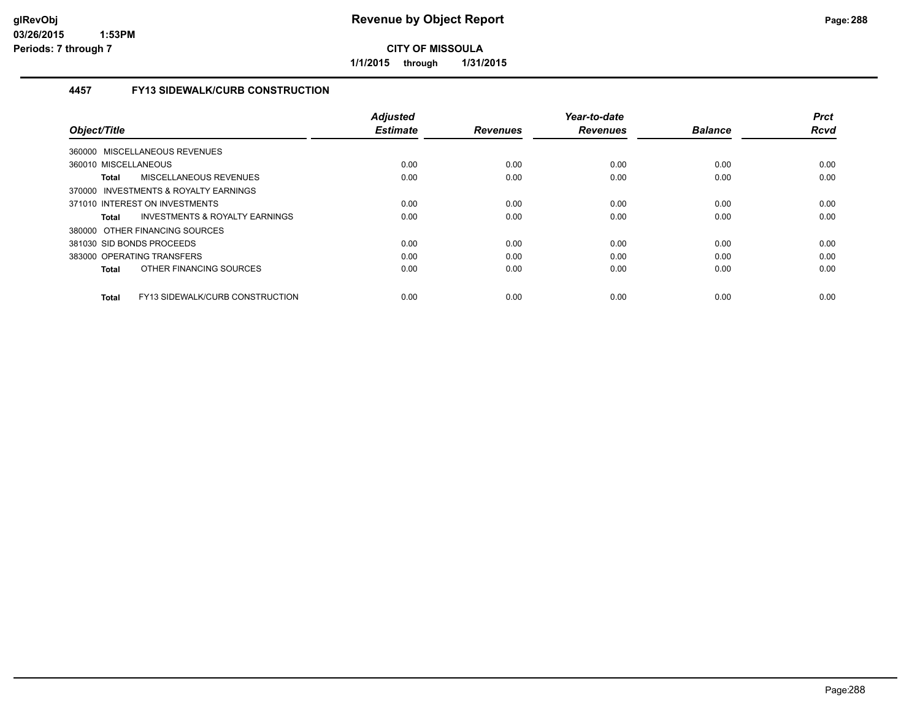**1/1/2015 through 1/31/2015**

## **4457 FY13 SIDEWALK/CURB CONSTRUCTION**

|                                                 | <b>Adjusted</b> |                 | Year-to-date    |                | <b>Prct</b> |
|-------------------------------------------------|-----------------|-----------------|-----------------|----------------|-------------|
| Object/Title                                    | <b>Estimate</b> | <b>Revenues</b> | <b>Revenues</b> | <b>Balance</b> | <b>Rcvd</b> |
| 360000 MISCELLANEOUS REVENUES                   |                 |                 |                 |                |             |
| 360010 MISCELLANEOUS                            | 0.00            | 0.00            | 0.00            | 0.00           | 0.00        |
| MISCELLANEOUS REVENUES<br><b>Total</b>          | 0.00            | 0.00            | 0.00            | 0.00           | 0.00        |
| 370000 INVESTMENTS & ROYALTY EARNINGS           |                 |                 |                 |                |             |
| 371010 INTEREST ON INVESTMENTS                  | 0.00            | 0.00            | 0.00            | 0.00           | 0.00        |
| INVESTMENTS & ROYALTY EARNINGS<br><b>Total</b>  | 0.00            | 0.00            | 0.00            | 0.00           | 0.00        |
| 380000 OTHER FINANCING SOURCES                  |                 |                 |                 |                |             |
| 381030 SID BONDS PROCEEDS                       | 0.00            | 0.00            | 0.00            | 0.00           | 0.00        |
| 383000 OPERATING TRANSFERS                      | 0.00            | 0.00            | 0.00            | 0.00           | 0.00        |
| OTHER FINANCING SOURCES<br>Total                | 0.00            | 0.00            | 0.00            | 0.00           | 0.00        |
| FY13 SIDEWALK/CURB CONSTRUCTION<br><b>Total</b> | 0.00            | 0.00            | 0.00            | 0.00           | 0.00        |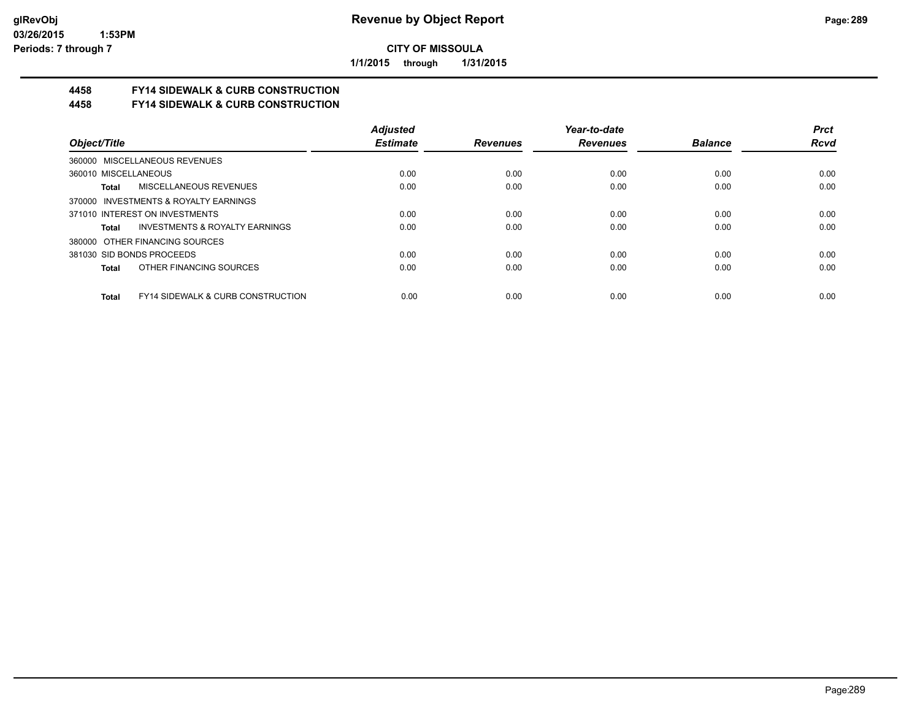**1/1/2015 through 1/31/2015**

# **4458 FY14 SIDEWALK & CURB CONSTRUCTION**

**4458 FY14 SIDEWALK & CURB CONSTRUCTION**

|                                                              | <b>Adjusted</b> |                 | Year-to-date    |                | <b>Prct</b> |
|--------------------------------------------------------------|-----------------|-----------------|-----------------|----------------|-------------|
| Object/Title                                                 | <b>Estimate</b> | <b>Revenues</b> | <b>Revenues</b> | <b>Balance</b> | <b>Rcvd</b> |
| 360000 MISCELLANEOUS REVENUES                                |                 |                 |                 |                |             |
| 360010 MISCELLANEOUS                                         | 0.00            | 0.00            | 0.00            | 0.00           | 0.00        |
| MISCELLANEOUS REVENUES<br>Total                              | 0.00            | 0.00            | 0.00            | 0.00           | 0.00        |
| 370000 INVESTMENTS & ROYALTY EARNINGS                        |                 |                 |                 |                |             |
| 371010 INTEREST ON INVESTMENTS                               | 0.00            | 0.00            | 0.00            | 0.00           | 0.00        |
| INVESTMENTS & ROYALTY EARNINGS<br>Total                      | 0.00            | 0.00            | 0.00            | 0.00           | 0.00        |
| 380000 OTHER FINANCING SOURCES                               |                 |                 |                 |                |             |
| 381030 SID BONDS PROCEEDS                                    | 0.00            | 0.00            | 0.00            | 0.00           | 0.00        |
| OTHER FINANCING SOURCES<br><b>Total</b>                      | 0.00            | 0.00            | 0.00            | 0.00           | 0.00        |
|                                                              |                 |                 |                 |                |             |
| <b>FY14 SIDEWALK &amp; CURB CONSTRUCTION</b><br><b>Total</b> | 0.00            | 0.00            | 0.00            | 0.00           | 0.00        |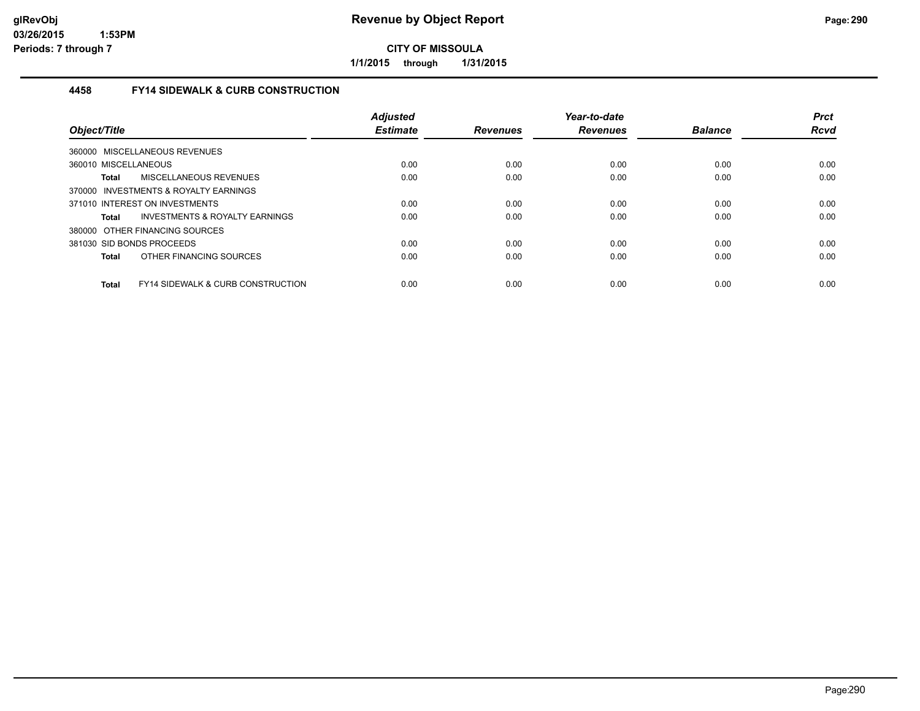**1/1/2015 through 1/31/2015**

## **4458 FY14 SIDEWALK & CURB CONSTRUCTION**

| Object/Title                                                 | <b>Adjusted</b><br><b>Estimate</b> | <b>Revenues</b> | Year-to-date<br><b>Revenues</b> | <b>Balance</b> | <b>Prct</b><br><b>Rcvd</b> |
|--------------------------------------------------------------|------------------------------------|-----------------|---------------------------------|----------------|----------------------------|
| 360000 MISCELLANEOUS REVENUES                                |                                    |                 |                                 |                |                            |
| 360010 MISCELLANEOUS                                         | 0.00                               | 0.00            | 0.00                            | 0.00           | 0.00                       |
| MISCELLANEOUS REVENUES<br>Total                              | 0.00                               | 0.00            | 0.00                            | 0.00           | 0.00                       |
| 370000 INVESTMENTS & ROYALTY EARNINGS                        |                                    |                 |                                 |                |                            |
| 371010 INTEREST ON INVESTMENTS                               | 0.00                               | 0.00            | 0.00                            | 0.00           | 0.00                       |
| INVESTMENTS & ROYALTY EARNINGS<br>Total                      | 0.00                               | 0.00            | 0.00                            | 0.00           | 0.00                       |
| 380000 OTHER FINANCING SOURCES                               |                                    |                 |                                 |                |                            |
| 381030 SID BONDS PROCEEDS                                    | 0.00                               | 0.00            | 0.00                            | 0.00           | 0.00                       |
| OTHER FINANCING SOURCES<br><b>Total</b>                      | 0.00                               | 0.00            | 0.00                            | 0.00           | 0.00                       |
| <b>FY14 SIDEWALK &amp; CURB CONSTRUCTION</b><br><b>Total</b> | 0.00                               | 0.00            | 0.00                            | 0.00           | 0.00                       |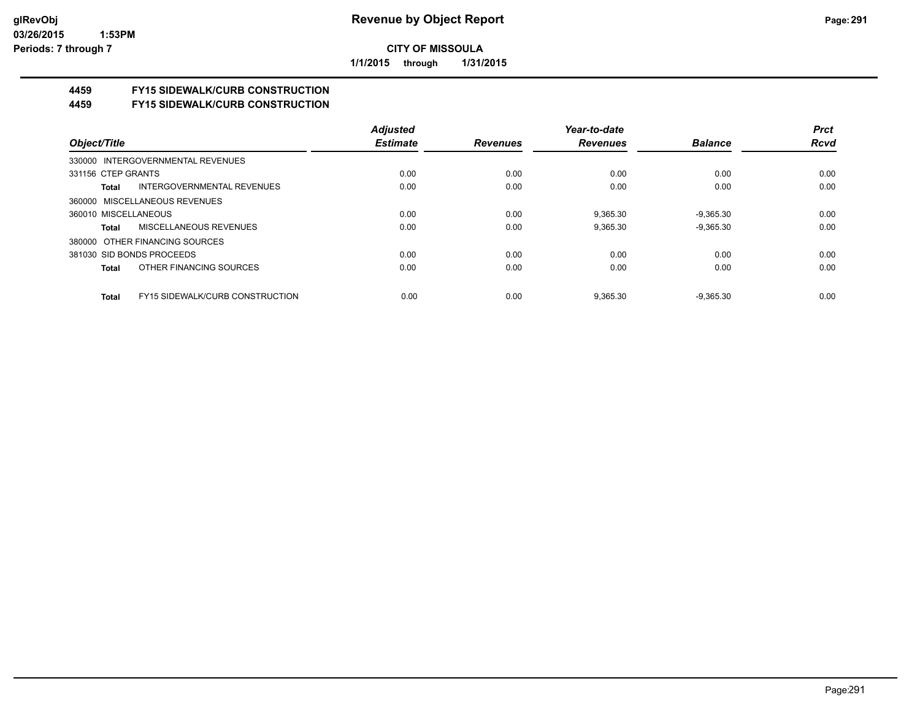**1/1/2015 through 1/31/2015**

# **4459 FY15 SIDEWALK/CURB CONSTRUCTION**

**4459 FY15 SIDEWALK/CURB CONSTRUCTION**

|                                                 | <b>Adjusted</b> |                 | Year-to-date    |                | <b>Prct</b> |
|-------------------------------------------------|-----------------|-----------------|-----------------|----------------|-------------|
| Object/Title                                    | <b>Estimate</b> | <b>Revenues</b> | <b>Revenues</b> | <b>Balance</b> | <b>Rcvd</b> |
| 330000 INTERGOVERNMENTAL REVENUES               |                 |                 |                 |                |             |
| 331156 CTEP GRANTS                              | 0.00            | 0.00            | 0.00            | 0.00           | 0.00        |
| INTERGOVERNMENTAL REVENUES<br>Total             | 0.00            | 0.00            | 0.00            | 0.00           | 0.00        |
| 360000 MISCELLANEOUS REVENUES                   |                 |                 |                 |                |             |
| 360010 MISCELLANEOUS                            | 0.00            | 0.00            | 9.365.30        | $-9.365.30$    | 0.00        |
| MISCELLANEOUS REVENUES<br>Total                 | 0.00            | 0.00            | 9,365.30        | $-9.365.30$    | 0.00        |
| 380000 OTHER FINANCING SOURCES                  |                 |                 |                 |                |             |
| 381030 SID BONDS PROCEEDS                       | 0.00            | 0.00            | 0.00            | 0.00           | 0.00        |
| OTHER FINANCING SOURCES<br>Total                | 0.00            | 0.00            | 0.00            | 0.00           | 0.00        |
| <b>FY15 SIDEWALK/CURB CONSTRUCTION</b><br>Total | 0.00            | 0.00            | 9.365.30        | $-9.365.30$    | 0.00        |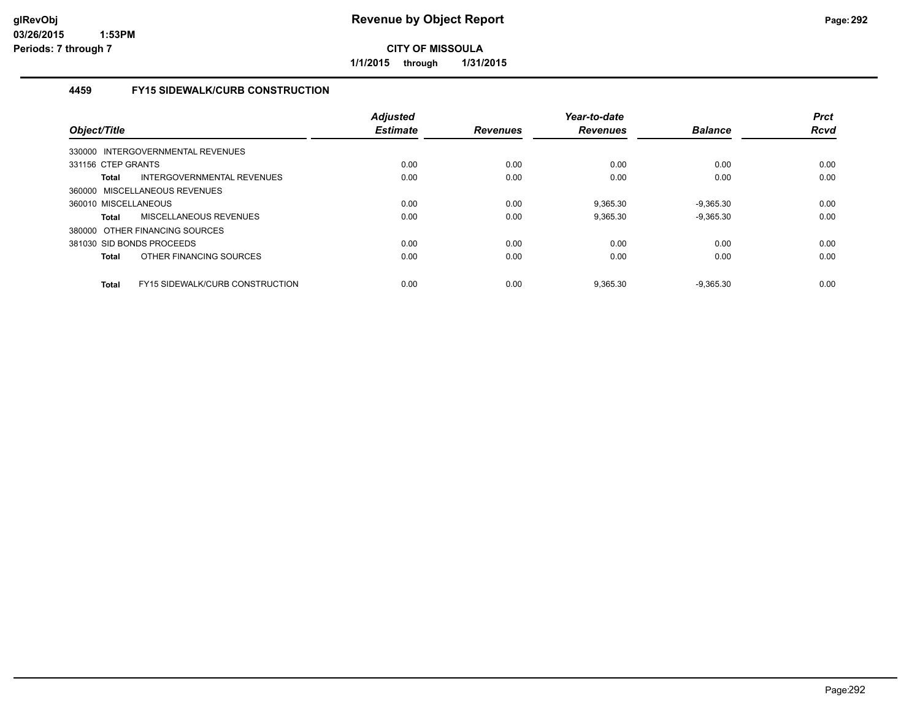**1/1/2015 through 1/31/2015**

## **4459 FY15 SIDEWALK/CURB CONSTRUCTION**

| Object/Title                            |                                 | <b>Adjusted</b><br><b>Estimate</b> | <b>Revenues</b> | Year-to-date<br><b>Revenues</b> | <b>Balance</b> | <b>Prct</b><br><b>Rcvd</b> |
|-----------------------------------------|---------------------------------|------------------------------------|-----------------|---------------------------------|----------------|----------------------------|
| 330000 INTERGOVERNMENTAL REVENUES       |                                 |                                    |                 |                                 |                |                            |
| 331156 CTEP GRANTS                      |                                 | 0.00                               | 0.00            | 0.00                            | 0.00           | 0.00                       |
| <b>Total</b>                            | INTERGOVERNMENTAL REVENUES      | 0.00                               | 0.00            | 0.00                            | 0.00           | 0.00                       |
| 360000 MISCELLANEOUS REVENUES           |                                 |                                    |                 |                                 |                |                            |
| 360010 MISCELLANEOUS                    |                                 | 0.00                               | 0.00            | 9.365.30                        | $-9.365.30$    | 0.00                       |
| MISCELLANEOUS REVENUES<br><b>Total</b>  |                                 | 0.00                               | 0.00            | 9,365.30                        | $-9,365.30$    | 0.00                       |
| 380000 OTHER FINANCING SOURCES          |                                 |                                    |                 |                                 |                |                            |
| 381030 SID BONDS PROCEEDS               |                                 | 0.00                               | 0.00            | 0.00                            | 0.00           | 0.00                       |
| OTHER FINANCING SOURCES<br><b>Total</b> |                                 | 0.00                               | 0.00            | 0.00                            | 0.00           | 0.00                       |
| <b>Total</b>                            | FY15 SIDEWALK/CURB CONSTRUCTION | 0.00                               | 0.00            | 9.365.30                        | $-9.365.30$    | 0.00                       |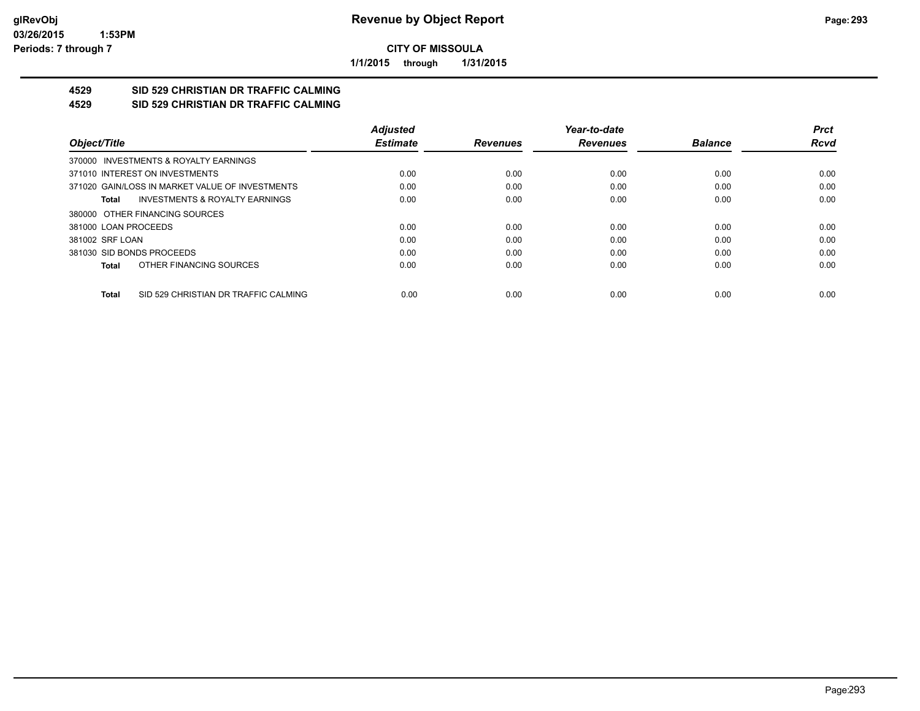**1/1/2015 through 1/31/2015**

#### **4529 SID 529 CHRISTIAN DR TRAFFIC CALMING 4529 SID 529 CHRISTIAN DR TRAFFIC CALMING**

|                                                      | <b>Adjusted</b> |                 | Year-to-date    |                | <b>Prct</b> |
|------------------------------------------------------|-----------------|-----------------|-----------------|----------------|-------------|
| Object/Title                                         | <b>Estimate</b> | <b>Revenues</b> | <b>Revenues</b> | <b>Balance</b> | <b>Rcvd</b> |
| 370000 INVESTMENTS & ROYALTY EARNINGS                |                 |                 |                 |                |             |
| 371010 INTEREST ON INVESTMENTS                       | 0.00            | 0.00            | 0.00            | 0.00           | 0.00        |
| 371020 GAIN/LOSS IN MARKET VALUE OF INVESTMENTS      | 0.00            | 0.00            | 0.00            | 0.00           | 0.00        |
| <b>INVESTMENTS &amp; ROYALTY EARNINGS</b><br>Total   | 0.00            | 0.00            | 0.00            | 0.00           | 0.00        |
| 380000 OTHER FINANCING SOURCES                       |                 |                 |                 |                |             |
| 381000 LOAN PROCEEDS                                 | 0.00            | 0.00            | 0.00            | 0.00           | 0.00        |
| 381002 SRF LOAN                                      | 0.00            | 0.00            | 0.00            | 0.00           | 0.00        |
| 381030 SID BONDS PROCEEDS                            | 0.00            | 0.00            | 0.00            | 0.00           | 0.00        |
| OTHER FINANCING SOURCES<br><b>Total</b>              | 0.00            | 0.00            | 0.00            | 0.00           | 0.00        |
|                                                      |                 |                 |                 |                |             |
| SID 529 CHRISTIAN DR TRAFFIC CALMING<br><b>Total</b> | 0.00            | 0.00            | 0.00            | 0.00           | 0.00        |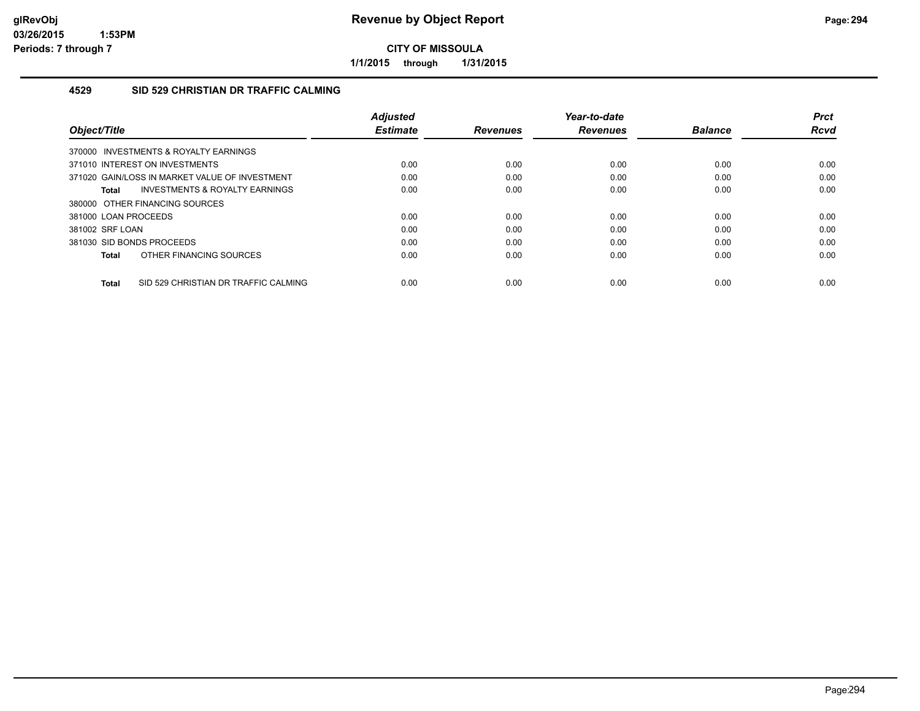**1/1/2015 through 1/31/2015**

## **4529 SID 529 CHRISTIAN DR TRAFFIC CALMING**

| Object/Title                                         | <b>Adjusted</b><br><b>Estimate</b> | <b>Revenues</b> | Year-to-date<br><b>Revenues</b> | <b>Balance</b> | <b>Prct</b><br><b>Rcvd</b> |
|------------------------------------------------------|------------------------------------|-----------------|---------------------------------|----------------|----------------------------|
| 370000 INVESTMENTS & ROYALTY EARNINGS                |                                    |                 |                                 |                |                            |
| 371010 INTEREST ON INVESTMENTS                       | 0.00                               | 0.00            | 0.00                            | 0.00           | 0.00                       |
| 371020 GAIN/LOSS IN MARKET VALUE OF INVESTMENT       | 0.00                               | 0.00            | 0.00                            | 0.00           | 0.00                       |
| INVESTMENTS & ROYALTY EARNINGS<br>Total              | 0.00                               | 0.00            | 0.00                            | 0.00           | 0.00                       |
| 380000 OTHER FINANCING SOURCES                       |                                    |                 |                                 |                |                            |
| 381000 LOAN PROCEEDS                                 | 0.00                               | 0.00            | 0.00                            | 0.00           | 0.00                       |
| 381002 SRF LOAN                                      | 0.00                               | 0.00            | 0.00                            | 0.00           | 0.00                       |
| 381030 SID BONDS PROCEEDS                            | 0.00                               | 0.00            | 0.00                            | 0.00           | 0.00                       |
| OTHER FINANCING SOURCES<br>Total                     | 0.00                               | 0.00            | 0.00                            | 0.00           | 0.00                       |
| SID 529 CHRISTIAN DR TRAFFIC CALMING<br><b>Total</b> | 0.00                               | 0.00            | 0.00                            | 0.00           | 0.00                       |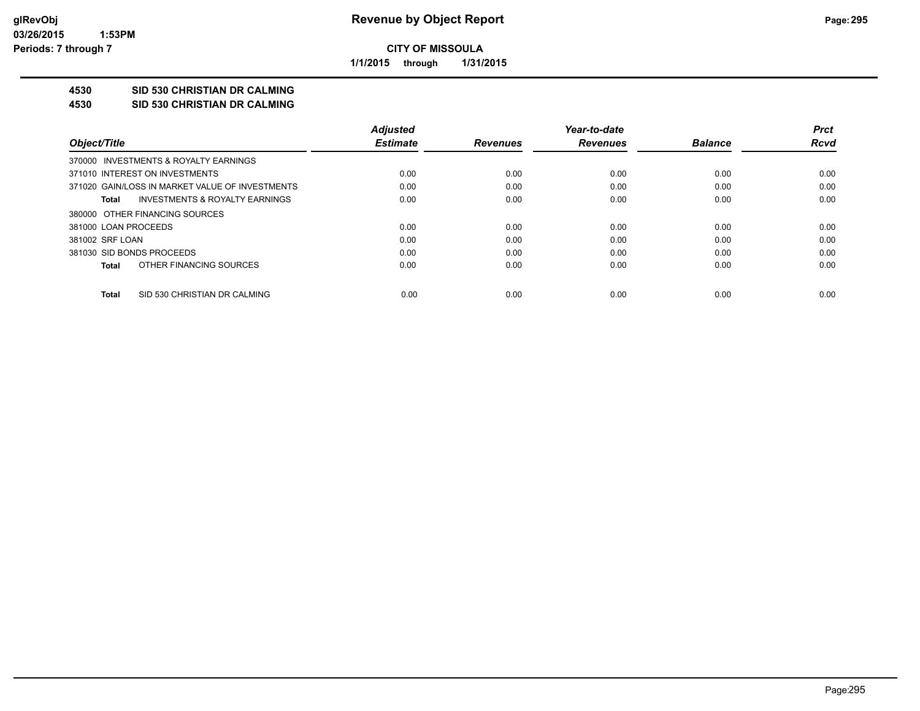**1/1/2015 through 1/31/2015**

# **4530 SID 530 CHRISTIAN DR CALMING**

**4530 SID 530 CHRISTIAN DR CALMING**

|                                                 | <b>Adjusted</b> |                 | Year-to-date    |                | <b>Prct</b> |
|-------------------------------------------------|-----------------|-----------------|-----------------|----------------|-------------|
| Object/Title                                    | <b>Estimate</b> | <b>Revenues</b> | <b>Revenues</b> | <b>Balance</b> | Rcvd        |
| 370000 INVESTMENTS & ROYALTY EARNINGS           |                 |                 |                 |                |             |
| 371010 INTEREST ON INVESTMENTS                  | 0.00            | 0.00            | 0.00            | 0.00           | 0.00        |
| 371020 GAIN/LOSS IN MARKET VALUE OF INVESTMENTS | 0.00            | 0.00            | 0.00            | 0.00           | 0.00        |
| INVESTMENTS & ROYALTY EARNINGS<br>Total         | 0.00            | 0.00            | 0.00            | 0.00           | 0.00        |
| 380000 OTHER FINANCING SOURCES                  |                 |                 |                 |                |             |
| 381000 LOAN PROCEEDS                            | 0.00            | 0.00            | 0.00            | 0.00           | 0.00        |
| 381002 SRF LOAN                                 | 0.00            | 0.00            | 0.00            | 0.00           | 0.00        |
| 381030 SID BONDS PROCEEDS                       | 0.00            | 0.00            | 0.00            | 0.00           | 0.00        |
| OTHER FINANCING SOURCES<br>Total                | 0.00            | 0.00            | 0.00            | 0.00           | 0.00        |
| SID 530 CHRISTIAN DR CALMING<br>Total           | 0.00            | 0.00            | 0.00            | 0.00           | 0.00        |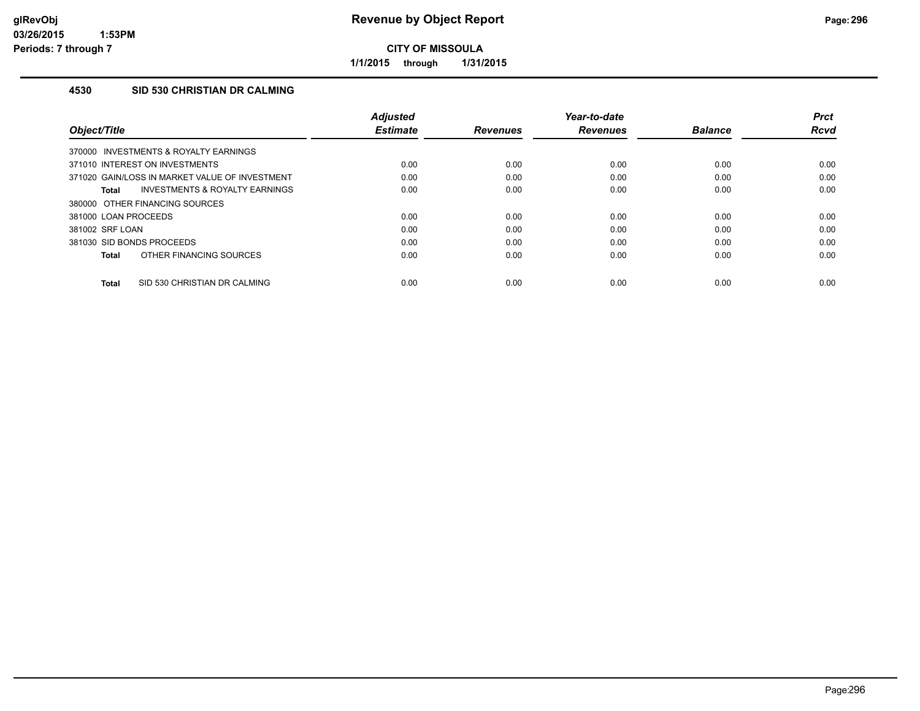**1/1/2015 through 1/31/2015**

## **4530 SID 530 CHRISTIAN DR CALMING**

| Object/Title                                       | <b>Adjusted</b><br><b>Estimate</b> | <b>Revenues</b> | Year-to-date<br><b>Revenues</b> | <b>Balance</b> | <b>Prct</b><br><b>Rcvd</b> |
|----------------------------------------------------|------------------------------------|-----------------|---------------------------------|----------------|----------------------------|
| 370000 INVESTMENTS & ROYALTY EARNINGS              |                                    |                 |                                 |                |                            |
| 371010 INTEREST ON INVESTMENTS                     | 0.00                               | 0.00            | 0.00                            | 0.00           | 0.00                       |
| 371020 GAIN/LOSS IN MARKET VALUE OF INVESTMENT     | 0.00                               | 0.00            | 0.00                            | 0.00           | 0.00                       |
| <b>INVESTMENTS &amp; ROYALTY EARNINGS</b><br>Total | 0.00                               | 0.00            | 0.00                            | 0.00           | 0.00                       |
| 380000 OTHER FINANCING SOURCES                     |                                    |                 |                                 |                |                            |
| 381000 LOAN PROCEEDS                               | 0.00                               | 0.00            | 0.00                            | 0.00           | 0.00                       |
| 381002 SRF LOAN                                    | 0.00                               | 0.00            | 0.00                            | 0.00           | 0.00                       |
| 381030 SID BONDS PROCEEDS                          | 0.00                               | 0.00            | 0.00                            | 0.00           | 0.00                       |
| OTHER FINANCING SOURCES<br><b>Total</b>            | 0.00                               | 0.00            | 0.00                            | 0.00           | 0.00                       |
| SID 530 CHRISTIAN DR CALMING<br><b>Total</b>       | 0.00                               | 0.00            | 0.00                            | 0.00           | 0.00                       |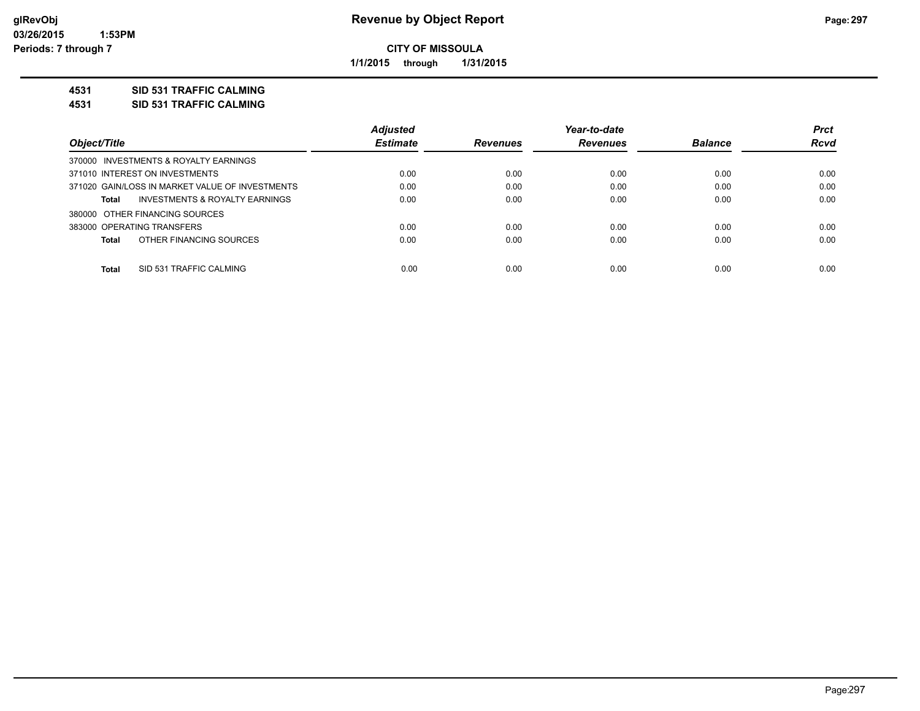**1/1/2015 through 1/31/2015**

## **4531 SID 531 TRAFFIC CALMING**

**4531 SID 531 TRAFFIC CALMING**

|                                                 | <b>Adjusted</b> |                 | Year-to-date    |                | <b>Prct</b> |
|-------------------------------------------------|-----------------|-----------------|-----------------|----------------|-------------|
| Object/Title                                    | <b>Estimate</b> | <b>Revenues</b> | <b>Revenues</b> | <b>Balance</b> | <b>Rcvd</b> |
| 370000 INVESTMENTS & ROYALTY EARNINGS           |                 |                 |                 |                |             |
| 371010 INTEREST ON INVESTMENTS                  | 0.00            | 0.00            | 0.00            | 0.00           | 0.00        |
| 371020 GAIN/LOSS IN MARKET VALUE OF INVESTMENTS | 0.00            | 0.00            | 0.00            | 0.00           | 0.00        |
| INVESTMENTS & ROYALTY EARNINGS<br>Total         | 0.00            | 0.00            | 0.00            | 0.00           | 0.00        |
| 380000 OTHER FINANCING SOURCES                  |                 |                 |                 |                |             |
| 383000 OPERATING TRANSFERS                      | 0.00            | 0.00            | 0.00            | 0.00           | 0.00        |
| OTHER FINANCING SOURCES<br>Total                | 0.00            | 0.00            | 0.00            | 0.00           | 0.00        |
|                                                 |                 |                 |                 |                |             |
| Total<br>SID 531 TRAFFIC CALMING                | 0.00            | 0.00            | 0.00            | 0.00           | 0.00        |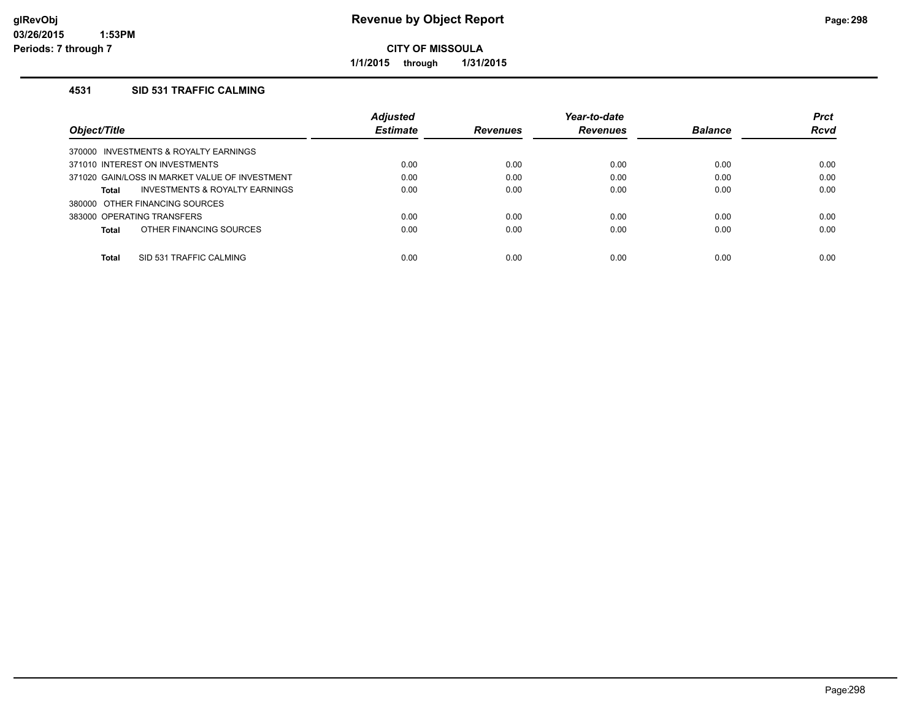**1/1/2015 through 1/31/2015**

## **4531 SID 531 TRAFFIC CALMING**

|                                                | <b>Adjusted</b> |                 | Year-to-date    |                | <b>Prct</b> |
|------------------------------------------------|-----------------|-----------------|-----------------|----------------|-------------|
| Object/Title                                   | <b>Estimate</b> | <b>Revenues</b> | <b>Revenues</b> | <b>Balance</b> | <b>Rcvd</b> |
| 370000 INVESTMENTS & ROYALTY EARNINGS          |                 |                 |                 |                |             |
| 371010 INTEREST ON INVESTMENTS                 | 0.00            | 0.00            | 0.00            | 0.00           | 0.00        |
| 371020 GAIN/LOSS IN MARKET VALUE OF INVESTMENT | 0.00            | 0.00            | 0.00            | 0.00           | 0.00        |
| INVESTMENTS & ROYALTY EARNINGS<br>Total        | 0.00            | 0.00            | 0.00            | 0.00           | 0.00        |
| 380000 OTHER FINANCING SOURCES                 |                 |                 |                 |                |             |
| 383000 OPERATING TRANSFERS                     | 0.00            | 0.00            | 0.00            | 0.00           | 0.00        |
| OTHER FINANCING SOURCES<br>Total               | 0.00            | 0.00            | 0.00            | 0.00           | 0.00        |
| Total<br>SID 531 TRAFFIC CALMING               | 0.00            | 0.00            | 0.00            | 0.00           | 0.00        |
|                                                |                 |                 |                 |                |             |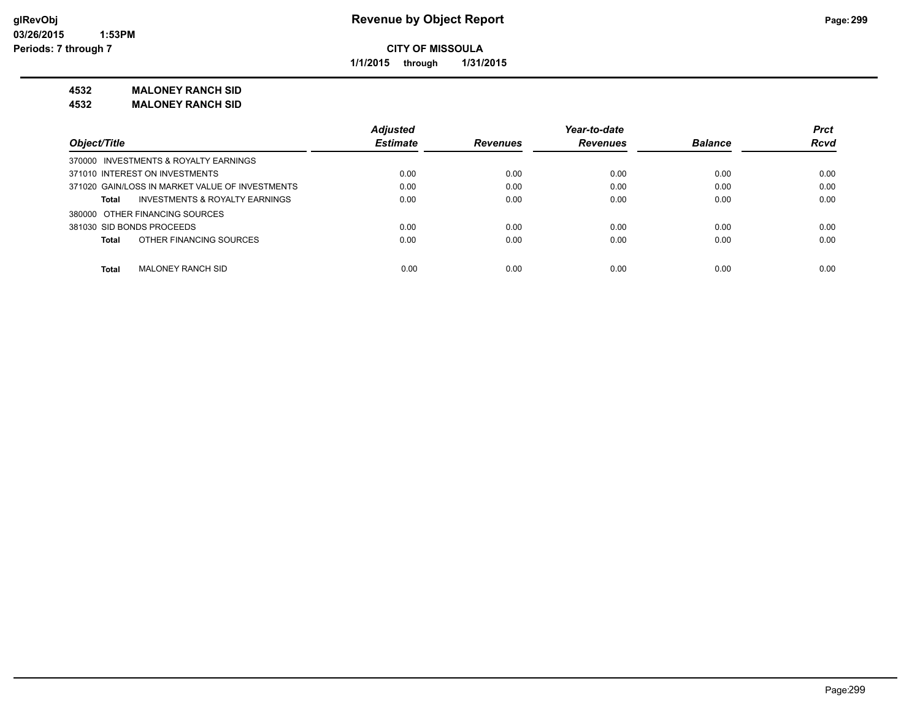**1/1/2015 through 1/31/2015**

## **4532 MALONEY RANCH SID**

**4532 MALONEY RANCH SID**

|                                                    | <b>Adjusted</b> |                 | Year-to-date    |                | <b>Prct</b> |
|----------------------------------------------------|-----------------|-----------------|-----------------|----------------|-------------|
| Object/Title                                       | <b>Estimate</b> | <b>Revenues</b> | <b>Revenues</b> | <b>Balance</b> | <b>Rcvd</b> |
| 370000 INVESTMENTS & ROYALTY EARNINGS              |                 |                 |                 |                |             |
| 371010 INTEREST ON INVESTMENTS                     | 0.00            | 0.00            | 0.00            | 0.00           | 0.00        |
| 371020 GAIN/LOSS IN MARKET VALUE OF INVESTMENTS    | 0.00            | 0.00            | 0.00            | 0.00           | 0.00        |
| <b>INVESTMENTS &amp; ROYALTY EARNINGS</b><br>Total | 0.00            | 0.00            | 0.00            | 0.00           | 0.00        |
| 380000 OTHER FINANCING SOURCES                     |                 |                 |                 |                |             |
| 381030 SID BONDS PROCEEDS                          | 0.00            | 0.00            | 0.00            | 0.00           | 0.00        |
| OTHER FINANCING SOURCES<br><b>Total</b>            | 0.00            | 0.00            | 0.00            | 0.00           | 0.00        |
| <b>Total</b><br>MALONEY RANCH SID                  | 0.00            | 0.00            | 0.00            | 0.00           | 0.00        |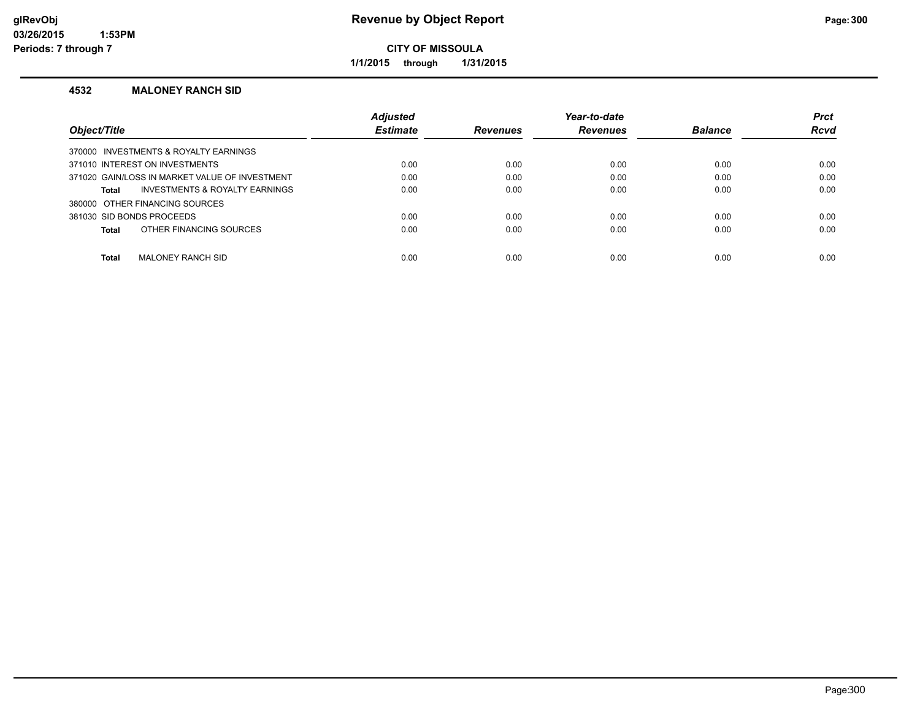## **glRevObj Revenue by Object Report Page:300**

**CITY OF MISSOULA**

**1/1/2015 through 1/31/2015**

### **4532 MALONEY RANCH SID**

|                                                | <b>Adjusted</b> |                 | Year-to-date    |                | <b>Prct</b> |
|------------------------------------------------|-----------------|-----------------|-----------------|----------------|-------------|
| Object/Title                                   | <b>Estimate</b> | <b>Revenues</b> | <b>Revenues</b> | <b>Balance</b> | <b>Rcvd</b> |
| 370000 INVESTMENTS & ROYALTY EARNINGS          |                 |                 |                 |                |             |
| 371010 INTEREST ON INVESTMENTS                 | 0.00            | 0.00            | 0.00            | 0.00           | 0.00        |
| 371020 GAIN/LOSS IN MARKET VALUE OF INVESTMENT | 0.00            | 0.00            | 0.00            | 0.00           | 0.00        |
| INVESTMENTS & ROYALTY EARNINGS<br>Total        | 0.00            | 0.00            | 0.00            | 0.00           | 0.00        |
| 380000 OTHER FINANCING SOURCES                 |                 |                 |                 |                |             |
| 381030 SID BONDS PROCEEDS                      | 0.00            | 0.00            | 0.00            | 0.00           | 0.00        |
| OTHER FINANCING SOURCES<br>Total               | 0.00            | 0.00            | 0.00            | 0.00           | 0.00        |
|                                                |                 |                 |                 |                |             |
| <b>Total</b><br>MALONEY RANCH SID              | 0.00            | 0.00            | 0.00            | 0.00           | 0.00        |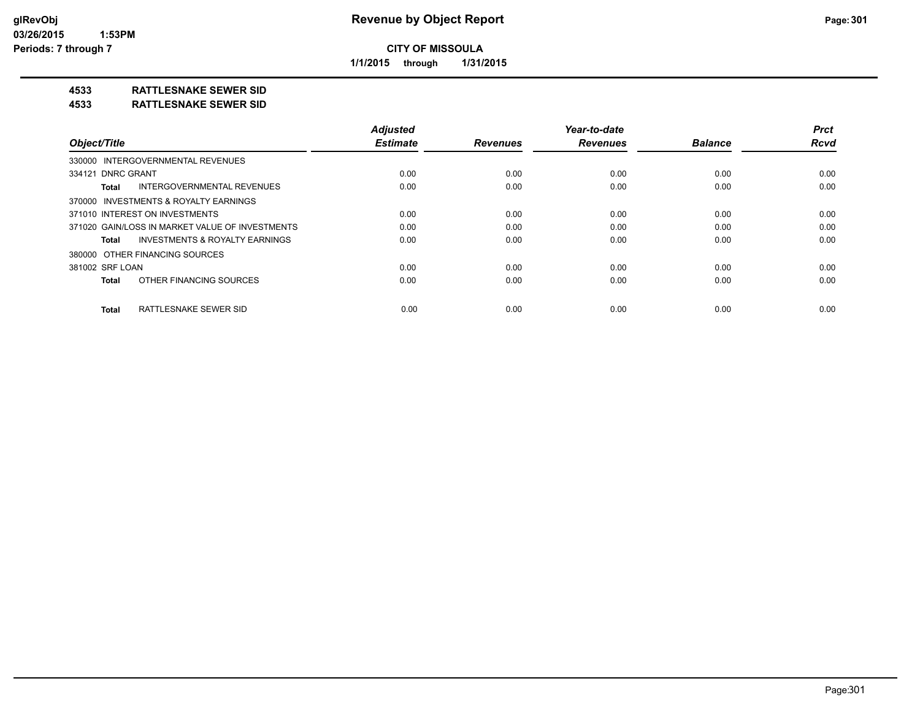**1/1/2015 through 1/31/2015**

## **4533 RATTLESNAKE SEWER SID**

#### **4533 RATTLESNAKE SEWER SID**

|                                                    | <b>Adjusted</b> |                 | Year-to-date    |                | <b>Prct</b> |
|----------------------------------------------------|-----------------|-----------------|-----------------|----------------|-------------|
| Object/Title                                       | <b>Estimate</b> | <b>Revenues</b> | <b>Revenues</b> | <b>Balance</b> | <b>Rcvd</b> |
| 330000 INTERGOVERNMENTAL REVENUES                  |                 |                 |                 |                |             |
| 334121 DNRC GRANT                                  | 0.00            | 0.00            | 0.00            | 0.00           | 0.00        |
| INTERGOVERNMENTAL REVENUES<br>Total                | 0.00            | 0.00            | 0.00            | 0.00           | 0.00        |
| 370000 INVESTMENTS & ROYALTY EARNINGS              |                 |                 |                 |                |             |
| 371010 INTEREST ON INVESTMENTS                     | 0.00            | 0.00            | 0.00            | 0.00           | 0.00        |
| 371020 GAIN/LOSS IN MARKET VALUE OF INVESTMENTS    | 0.00            | 0.00            | 0.00            | 0.00           | 0.00        |
| <b>INVESTMENTS &amp; ROYALTY EARNINGS</b><br>Total | 0.00            | 0.00            | 0.00            | 0.00           | 0.00        |
| 380000 OTHER FINANCING SOURCES                     |                 |                 |                 |                |             |
| 381002 SRF LOAN                                    | 0.00            | 0.00            | 0.00            | 0.00           | 0.00        |
| OTHER FINANCING SOURCES<br><b>Total</b>            | 0.00            | 0.00            | 0.00            | 0.00           | 0.00        |
| RATTLESNAKE SEWER SID<br><b>Total</b>              | 0.00            | 0.00            | 0.00            | 0.00           | 0.00        |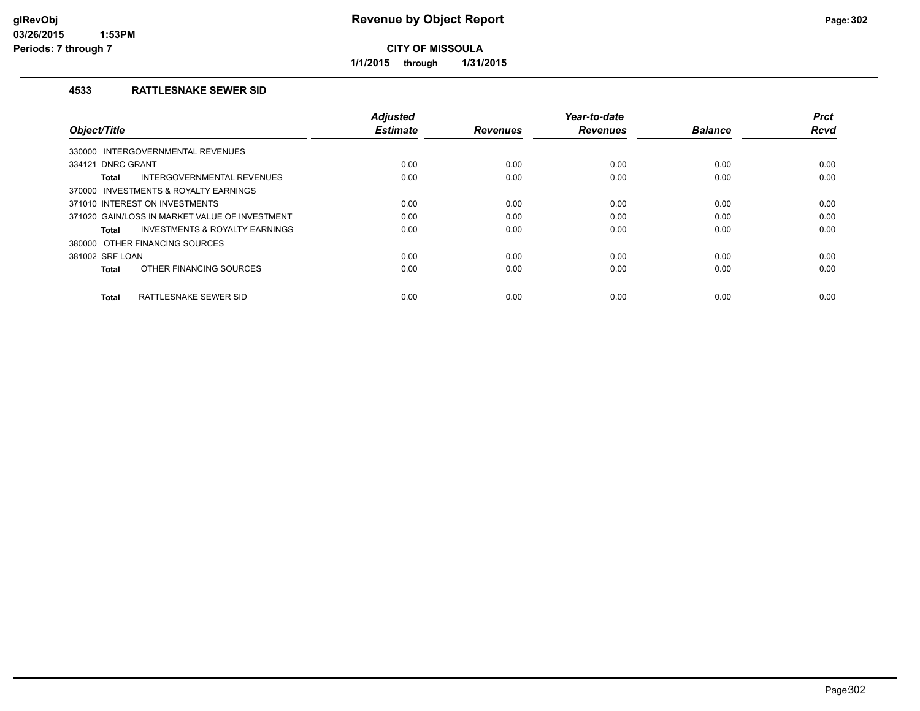**1/1/2015 through 1/31/2015**

## **4533 RATTLESNAKE SEWER SID**

| Object/Title                                   | <b>Adjusted</b><br><b>Estimate</b> | <b>Revenues</b> | Year-to-date<br><b>Revenues</b> | <b>Balance</b> | <b>Prct</b><br><b>Rcvd</b> |
|------------------------------------------------|------------------------------------|-----------------|---------------------------------|----------------|----------------------------|
| INTERGOVERNMENTAL REVENUES<br>330000           |                                    |                 |                                 |                |                            |
| 334121 DNRC GRANT                              | 0.00                               | 0.00            | 0.00                            | 0.00           | 0.00                       |
| INTERGOVERNMENTAL REVENUES<br>Total            | 0.00                               | 0.00            | 0.00                            | 0.00           | 0.00                       |
| 370000 INVESTMENTS & ROYALTY EARNINGS          |                                    |                 |                                 |                |                            |
| 371010 INTEREST ON INVESTMENTS                 | 0.00                               | 0.00            | 0.00                            | 0.00           | 0.00                       |
| 371020 GAIN/LOSS IN MARKET VALUE OF INVESTMENT | 0.00                               | 0.00            | 0.00                            | 0.00           | 0.00                       |
| INVESTMENTS & ROYALTY EARNINGS<br>Total        | 0.00                               | 0.00            | 0.00                            | 0.00           | 0.00                       |
| 380000 OTHER FINANCING SOURCES                 |                                    |                 |                                 |                |                            |
| 381002 SRF LOAN                                | 0.00                               | 0.00            | 0.00                            | 0.00           | 0.00                       |
| OTHER FINANCING SOURCES<br><b>Total</b>        | 0.00                               | 0.00            | 0.00                            | 0.00           | 0.00                       |
| RATTLESNAKE SEWER SID<br><b>Total</b>          | 0.00                               | 0.00            | 0.00                            | 0.00           | 0.00                       |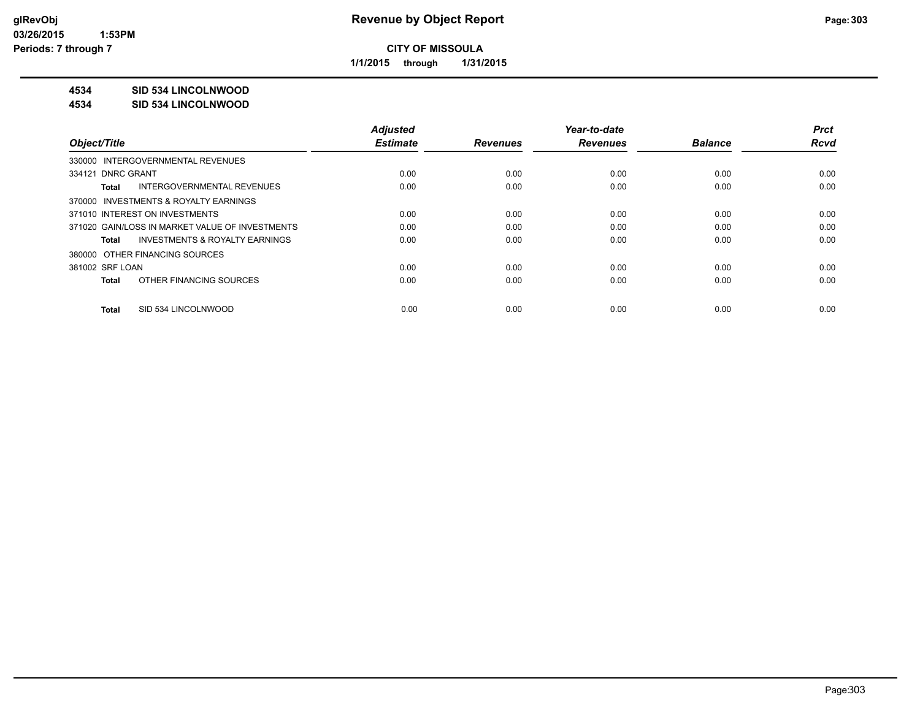**1/1/2015 through 1/31/2015**

## **4534 SID 534 LINCOLNWOOD**

#### **4534 SID 534 LINCOLNWOOD**

|                                                    | <b>Adjusted</b> |                 | Year-to-date    |                | <b>Prct</b> |
|----------------------------------------------------|-----------------|-----------------|-----------------|----------------|-------------|
| Object/Title                                       | <b>Estimate</b> | <b>Revenues</b> | <b>Revenues</b> | <b>Balance</b> | <b>Rcvd</b> |
| 330000 INTERGOVERNMENTAL REVENUES                  |                 |                 |                 |                |             |
| 334121 DNRC GRANT                                  | 0.00            | 0.00            | 0.00            | 0.00           | 0.00        |
| INTERGOVERNMENTAL REVENUES<br>Total                | 0.00            | 0.00            | 0.00            | 0.00           | 0.00        |
| 370000 INVESTMENTS & ROYALTY EARNINGS              |                 |                 |                 |                |             |
| 371010 INTEREST ON INVESTMENTS                     | 0.00            | 0.00            | 0.00            | 0.00           | 0.00        |
| 371020 GAIN/LOSS IN MARKET VALUE OF INVESTMENTS    | 0.00            | 0.00            | 0.00            | 0.00           | 0.00        |
| <b>INVESTMENTS &amp; ROYALTY EARNINGS</b><br>Total | 0.00            | 0.00            | 0.00            | 0.00           | 0.00        |
| 380000 OTHER FINANCING SOURCES                     |                 |                 |                 |                |             |
| 381002 SRF LOAN                                    | 0.00            | 0.00            | 0.00            | 0.00           | 0.00        |
| OTHER FINANCING SOURCES<br>Total                   | 0.00            | 0.00            | 0.00            | 0.00           | 0.00        |
|                                                    |                 |                 |                 |                |             |
| SID 534 LINCOLNWOOD<br><b>Total</b>                | 0.00            | 0.00            | 0.00            | 0.00           | 0.00        |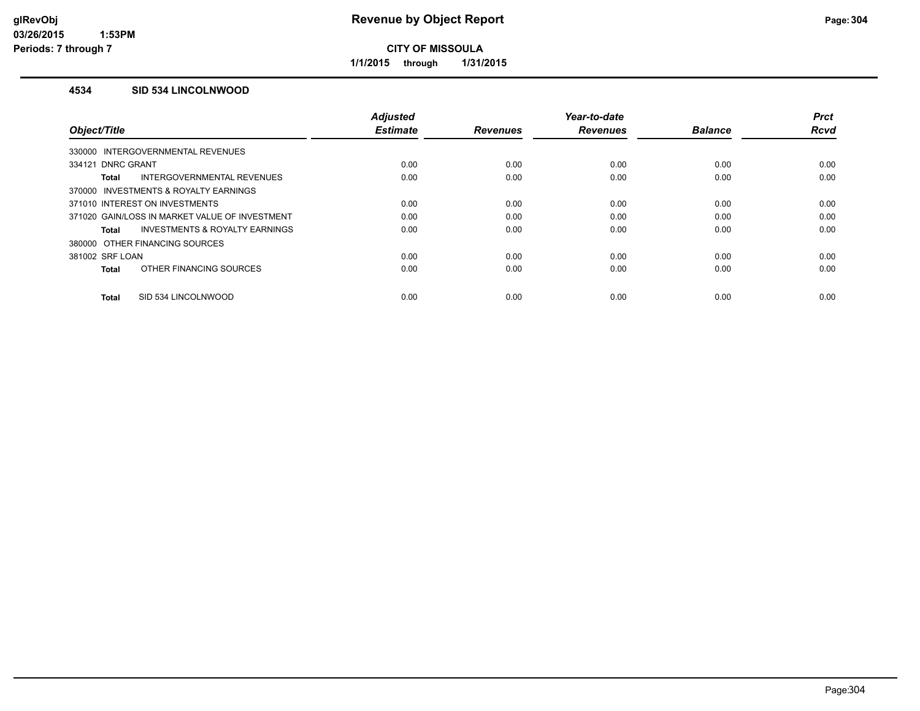**1/1/2015 through 1/31/2015**

### **4534 SID 534 LINCOLNWOOD**

|                                                | <b>Adjusted</b> |                 | Year-to-date    |                | <b>Prct</b> |
|------------------------------------------------|-----------------|-----------------|-----------------|----------------|-------------|
| Object/Title                                   | <b>Estimate</b> | <b>Revenues</b> | <b>Revenues</b> | <b>Balance</b> | <b>Rcvd</b> |
| 330000 INTERGOVERNMENTAL REVENUES              |                 |                 |                 |                |             |
| 334121 DNRC GRANT                              | 0.00            | 0.00            | 0.00            | 0.00           | 0.00        |
| INTERGOVERNMENTAL REVENUES<br><b>Total</b>     | 0.00            | 0.00            | 0.00            | 0.00           | 0.00        |
| 370000 INVESTMENTS & ROYALTY EARNINGS          |                 |                 |                 |                |             |
| 371010 INTEREST ON INVESTMENTS                 | 0.00            | 0.00            | 0.00            | 0.00           | 0.00        |
| 371020 GAIN/LOSS IN MARKET VALUE OF INVESTMENT | 0.00            | 0.00            | 0.00            | 0.00           | 0.00        |
| INVESTMENTS & ROYALTY EARNINGS<br>Total        | 0.00            | 0.00            | 0.00            | 0.00           | 0.00        |
| 380000 OTHER FINANCING SOURCES                 |                 |                 |                 |                |             |
| 381002 SRF LOAN                                | 0.00            | 0.00            | 0.00            | 0.00           | 0.00        |
| OTHER FINANCING SOURCES<br><b>Total</b>        | 0.00            | 0.00            | 0.00            | 0.00           | 0.00        |
| SID 534 LINCOLNWOOD<br><b>Total</b>            | 0.00            | 0.00            | 0.00            | 0.00           | 0.00        |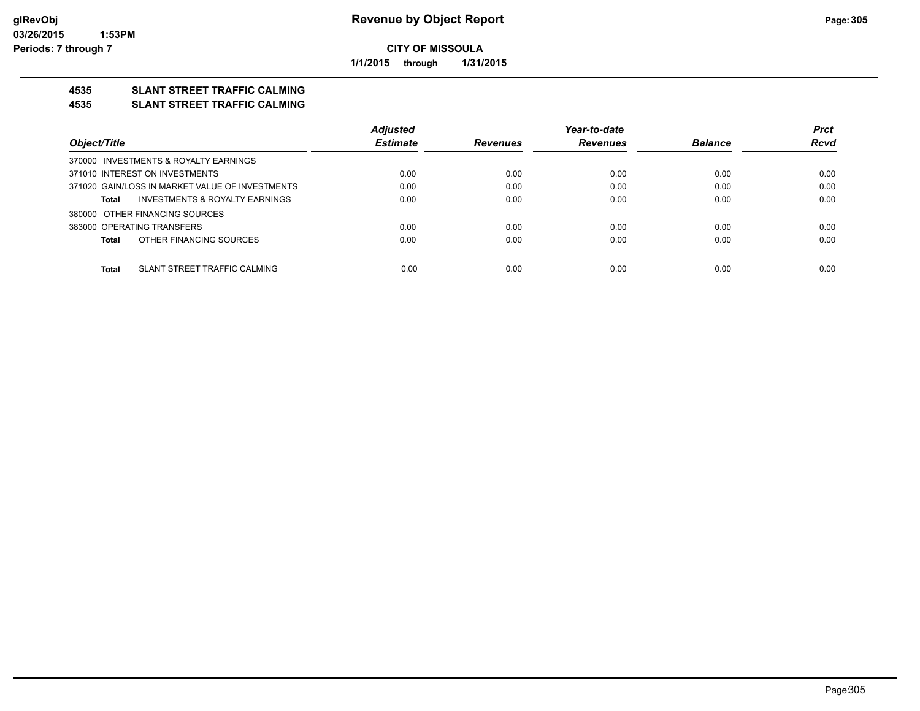**1/1/2015 through 1/31/2015**

# **4535 SLANT STREET TRAFFIC CALMING**

### **4535 SLANT STREET TRAFFIC CALMING**

|                                                 | <b>Adjusted</b> |                 | Year-to-date    |                | <b>Prct</b> |
|-------------------------------------------------|-----------------|-----------------|-----------------|----------------|-------------|
| Object/Title                                    | <b>Estimate</b> | <b>Revenues</b> | <b>Revenues</b> | <b>Balance</b> | <b>Rcvd</b> |
| 370000 INVESTMENTS & ROYALTY EARNINGS           |                 |                 |                 |                |             |
| 371010 INTEREST ON INVESTMENTS                  | 0.00            | 0.00            | 0.00            | 0.00           | 0.00        |
| 371020 GAIN/LOSS IN MARKET VALUE OF INVESTMENTS | 0.00            | 0.00            | 0.00            | 0.00           | 0.00        |
| INVESTMENTS & ROYALTY EARNINGS<br>Total         | 0.00            | 0.00            | 0.00            | 0.00           | 0.00        |
| 380000 OTHER FINANCING SOURCES                  |                 |                 |                 |                |             |
| 383000 OPERATING TRANSFERS                      | 0.00            | 0.00            | 0.00            | 0.00           | 0.00        |
| OTHER FINANCING SOURCES<br>Total                | 0.00            | 0.00            | 0.00            | 0.00           | 0.00        |
|                                                 |                 |                 |                 |                |             |
| SLANT STREET TRAFFIC CALMING<br>Total           | 0.00            | 0.00            | 0.00            | 0.00           | 0.00        |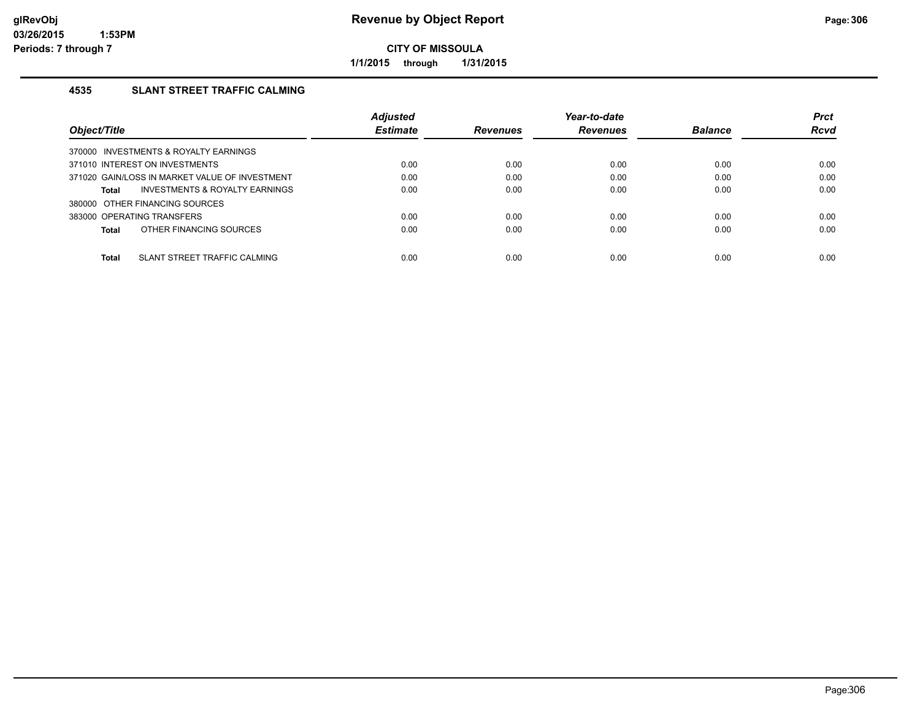**1/1/2015 through 1/31/2015**

## **4535 SLANT STREET TRAFFIC CALMING**

|                                                    | <b>Adjusted</b> |                 | Year-to-date    |                | <b>Prct</b> |
|----------------------------------------------------|-----------------|-----------------|-----------------|----------------|-------------|
| Object/Title                                       | <b>Estimate</b> | <b>Revenues</b> | <b>Revenues</b> | <b>Balance</b> | Rcvd        |
| 370000 INVESTMENTS & ROYALTY EARNINGS              |                 |                 |                 |                |             |
| 371010 INTEREST ON INVESTMENTS                     | 0.00            | 0.00            | 0.00            | 0.00           | 0.00        |
| 371020 GAIN/LOSS IN MARKET VALUE OF INVESTMENT     | 0.00            | 0.00            | 0.00            | 0.00           | 0.00        |
| <b>INVESTMENTS &amp; ROYALTY EARNINGS</b><br>Total | 0.00            | 0.00            | 0.00            | 0.00           | 0.00        |
| 380000 OTHER FINANCING SOURCES                     |                 |                 |                 |                |             |
| 383000 OPERATING TRANSFERS                         | 0.00            | 0.00            | 0.00            | 0.00           | 0.00        |
| OTHER FINANCING SOURCES<br>Total                   | 0.00            | 0.00            | 0.00            | 0.00           | 0.00        |
|                                                    |                 |                 |                 |                |             |
| <b>Total</b><br>SLANT STREET TRAFFIC CALMING       | 0.00            | 0.00            | 0.00            | 0.00           | 0.00        |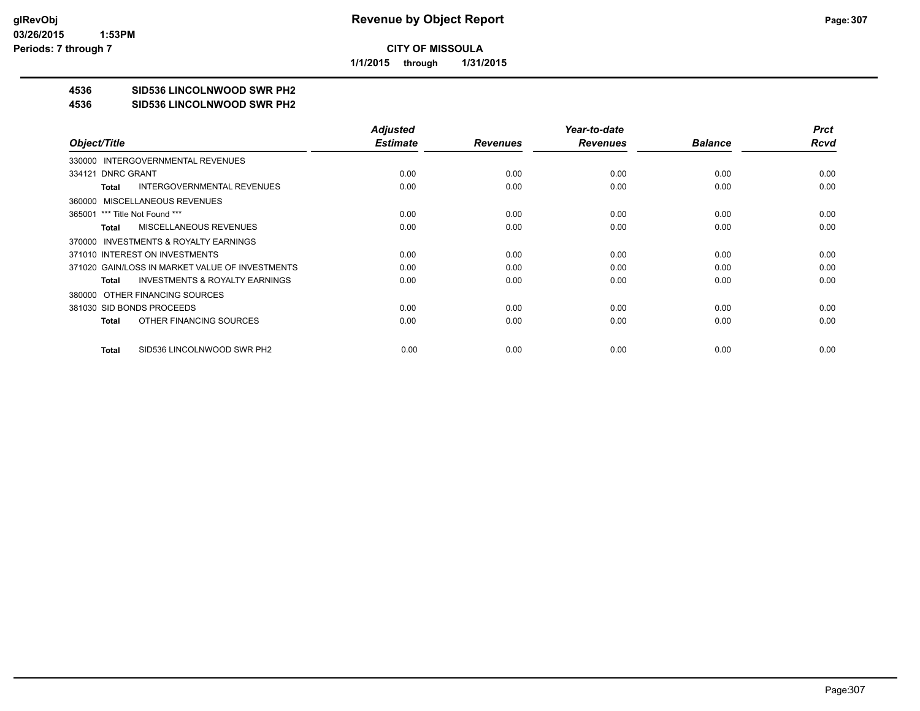**1/1/2015 through 1/31/2015**

# **4536 SID536 LINCOLNWOOD SWR PH2**

#### **4536 SID536 LINCOLNWOOD SWR PH2**

|                                                    | <b>Adjusted</b> |                 | Year-to-date    |                | <b>Prct</b> |
|----------------------------------------------------|-----------------|-----------------|-----------------|----------------|-------------|
| Object/Title                                       | <b>Estimate</b> | <b>Revenues</b> | <b>Revenues</b> | <b>Balance</b> | <b>Rcvd</b> |
| 330000 INTERGOVERNMENTAL REVENUES                  |                 |                 |                 |                |             |
| 334121 DNRC GRANT                                  | 0.00            | 0.00            | 0.00            | 0.00           | 0.00        |
| <b>INTERGOVERNMENTAL REVENUES</b><br>Total         | 0.00            | 0.00            | 0.00            | 0.00           | 0.00        |
| 360000 MISCELLANEOUS REVENUES                      |                 |                 |                 |                |             |
| 365001 *** Title Not Found ***                     | 0.00            | 0.00            | 0.00            | 0.00           | 0.00        |
| <b>MISCELLANEOUS REVENUES</b><br>Total             | 0.00            | 0.00            | 0.00            | 0.00           | 0.00        |
| 370000 INVESTMENTS & ROYALTY EARNINGS              |                 |                 |                 |                |             |
| 371010 INTEREST ON INVESTMENTS                     | 0.00            | 0.00            | 0.00            | 0.00           | 0.00        |
| 371020 GAIN/LOSS IN MARKET VALUE OF INVESTMENTS    | 0.00            | 0.00            | 0.00            | 0.00           | 0.00        |
| <b>INVESTMENTS &amp; ROYALTY EARNINGS</b><br>Total | 0.00            | 0.00            | 0.00            | 0.00           | 0.00        |
| 380000 OTHER FINANCING SOURCES                     |                 |                 |                 |                |             |
| 381030 SID BONDS PROCEEDS                          | 0.00            | 0.00            | 0.00            | 0.00           | 0.00        |
| OTHER FINANCING SOURCES<br>Total                   | 0.00            | 0.00            | 0.00            | 0.00           | 0.00        |
|                                                    |                 |                 |                 |                |             |
| SID536 LINCOLNWOOD SWR PH2<br>Total                | 0.00            | 0.00            | 0.00            | 0.00           | 0.00        |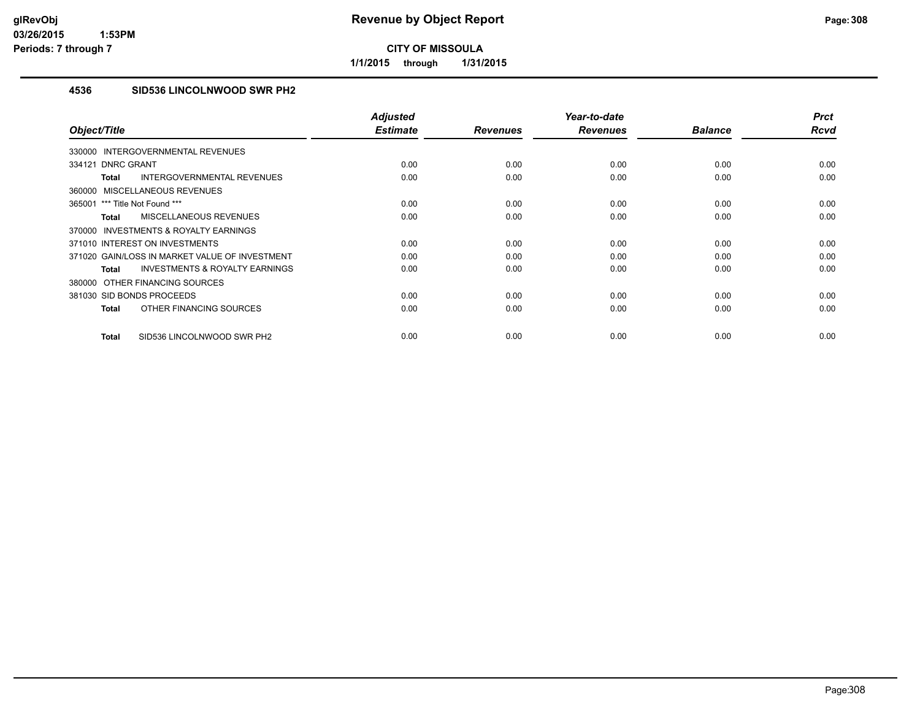**1/1/2015 through 1/31/2015**

## **4536 SID536 LINCOLNWOOD SWR PH2**

| Object/Title                                              | <b>Adjusted</b><br><b>Estimate</b> | <b>Revenues</b> | Year-to-date<br><b>Revenues</b> | <b>Balance</b> | <b>Prct</b><br><b>Rcvd</b> |
|-----------------------------------------------------------|------------------------------------|-----------------|---------------------------------|----------------|----------------------------|
| INTERGOVERNMENTAL REVENUES<br>330000                      |                                    |                 |                                 |                |                            |
| 334121 DNRC GRANT                                         | 0.00                               | 0.00            | 0.00                            | 0.00           | 0.00                       |
|                                                           |                                    |                 |                                 |                |                            |
| INTERGOVERNMENTAL REVENUES<br><b>Total</b>                | 0.00                               | 0.00            | 0.00                            | 0.00           | 0.00                       |
| MISCELLANEOUS REVENUES<br>360000                          |                                    |                 |                                 |                |                            |
| 365001 *** Title Not Found ***                            | 0.00                               | 0.00            | 0.00                            | 0.00           | 0.00                       |
| MISCELLANEOUS REVENUES<br><b>Total</b>                    | 0.00                               | 0.00            | 0.00                            | 0.00           | 0.00                       |
| <b>INVESTMENTS &amp; ROYALTY EARNINGS</b><br>370000       |                                    |                 |                                 |                |                            |
| 371010 INTEREST ON INVESTMENTS                            | 0.00                               | 0.00            | 0.00                            | 0.00           | 0.00                       |
| 371020 GAIN/LOSS IN MARKET VALUE OF INVESTMENT            | 0.00                               | 0.00            | 0.00                            | 0.00           | 0.00                       |
| <b>INVESTMENTS &amp; ROYALTY EARNINGS</b><br><b>Total</b> | 0.00                               | 0.00            | 0.00                            | 0.00           | 0.00                       |
| 380000 OTHER FINANCING SOURCES                            |                                    |                 |                                 |                |                            |
| 381030 SID BONDS PROCEEDS                                 | 0.00                               | 0.00            | 0.00                            | 0.00           | 0.00                       |
| OTHER FINANCING SOURCES<br><b>Total</b>                   | 0.00                               | 0.00            | 0.00                            | 0.00           | 0.00                       |
| SID536 LINCOLNWOOD SWR PH2<br><b>Total</b>                | 0.00                               | 0.00            | 0.00                            | 0.00           | 0.00                       |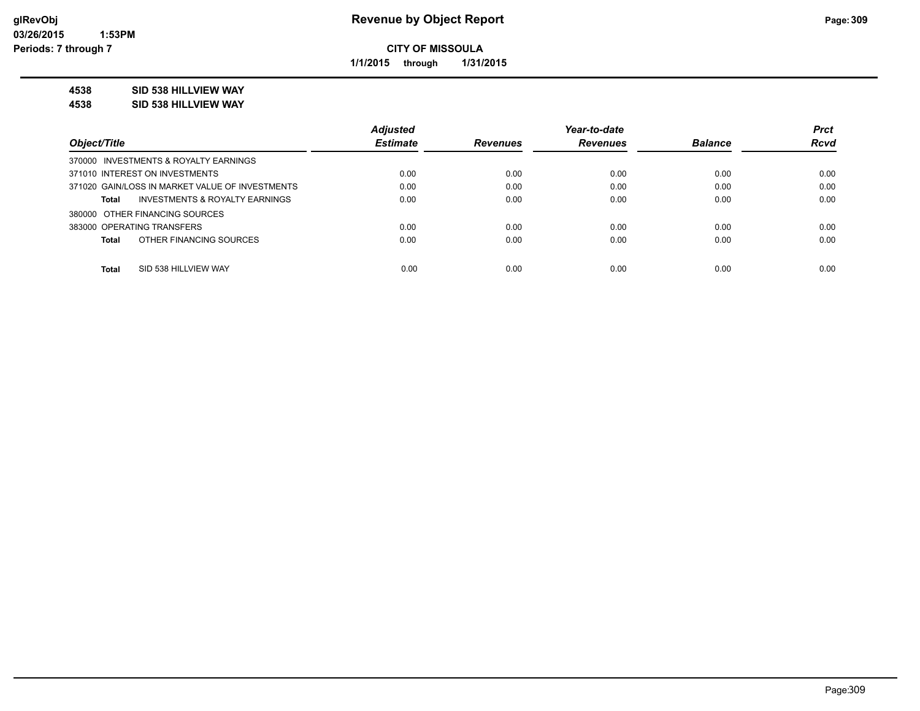**1/1/2015 through 1/31/2015**

## **4538 SID 538 HILLVIEW WAY**

**4538 SID 538 HILLVIEW WAY**

|                                                    | <b>Adjusted</b> |                 | Year-to-date    |                | <b>Prct</b> |
|----------------------------------------------------|-----------------|-----------------|-----------------|----------------|-------------|
| Object/Title                                       | <b>Estimate</b> | <b>Revenues</b> | <b>Revenues</b> | <b>Balance</b> | <b>Rcvd</b> |
| 370000 INVESTMENTS & ROYALTY EARNINGS              |                 |                 |                 |                |             |
| 371010 INTEREST ON INVESTMENTS                     | 0.00            | 0.00            | 0.00            | 0.00           | 0.00        |
| 371020 GAIN/LOSS IN MARKET VALUE OF INVESTMENTS    | 0.00            | 0.00            | 0.00            | 0.00           | 0.00        |
| <b>INVESTMENTS &amp; ROYALTY EARNINGS</b><br>Total | 0.00            | 0.00            | 0.00            | 0.00           | 0.00        |
| 380000 OTHER FINANCING SOURCES                     |                 |                 |                 |                |             |
| 383000 OPERATING TRANSFERS                         | 0.00            | 0.00            | 0.00            | 0.00           | 0.00        |
| OTHER FINANCING SOURCES<br><b>Total</b>            | 0.00            | 0.00            | 0.00            | 0.00           | 0.00        |
|                                                    |                 |                 |                 |                |             |
| <b>Total</b><br>SID 538 HILLVIEW WAY               | 0.00            | 0.00            | 0.00            | 0.00           | 0.00        |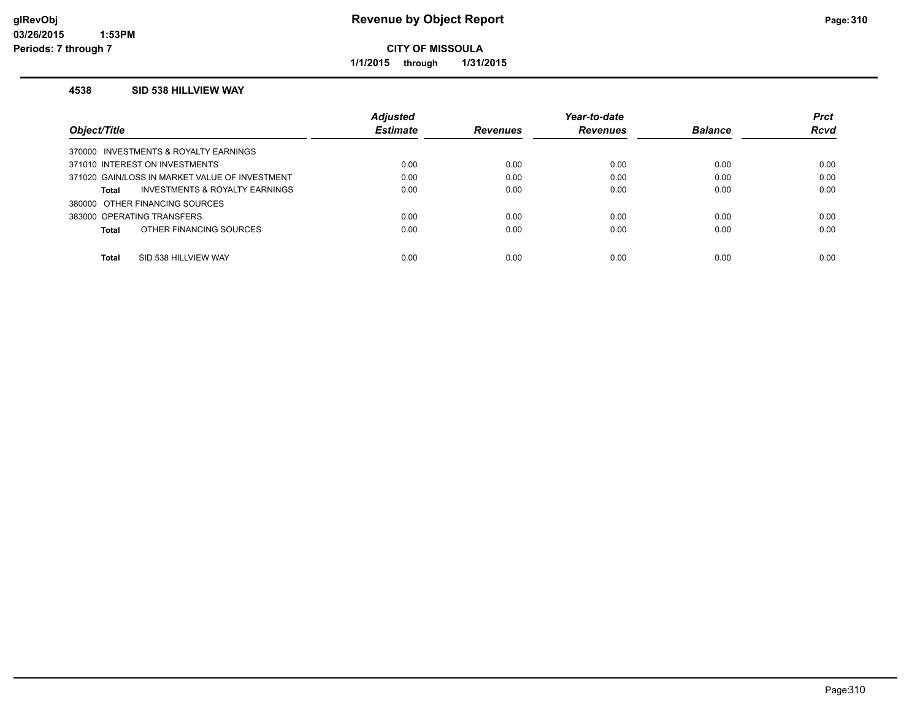**1/1/2015 through 1/31/2015**

### **4538 SID 538 HILLVIEW WAY**

|                                                    | <b>Adjusted</b> |                 | Year-to-date    |                | <b>Prct</b> |
|----------------------------------------------------|-----------------|-----------------|-----------------|----------------|-------------|
| Object/Title                                       | <b>Estimate</b> | <b>Revenues</b> | <b>Revenues</b> | <b>Balance</b> | <b>Rcvd</b> |
| 370000 INVESTMENTS & ROYALTY EARNINGS              |                 |                 |                 |                |             |
| 371010 INTEREST ON INVESTMENTS                     | 0.00            | 0.00            | 0.00            | 0.00           | 0.00        |
| 371020 GAIN/LOSS IN MARKET VALUE OF INVESTMENT     | 0.00            | 0.00            | 0.00            | 0.00           | 0.00        |
| <b>INVESTMENTS &amp; ROYALTY EARNINGS</b><br>Total | 0.00            | 0.00            | 0.00            | 0.00           | 0.00        |
| 380000 OTHER FINANCING SOURCES                     |                 |                 |                 |                |             |
| 383000 OPERATING TRANSFERS                         | 0.00            | 0.00            | 0.00            | 0.00           | 0.00        |
| OTHER FINANCING SOURCES<br>Total                   | 0.00            | 0.00            | 0.00            | 0.00           | 0.00        |
|                                                    |                 |                 |                 |                |             |
| <b>Total</b><br>SID 538 HILLVIEW WAY               | 0.00            | 0.00            | 0.00            | 0.00           | 0.00        |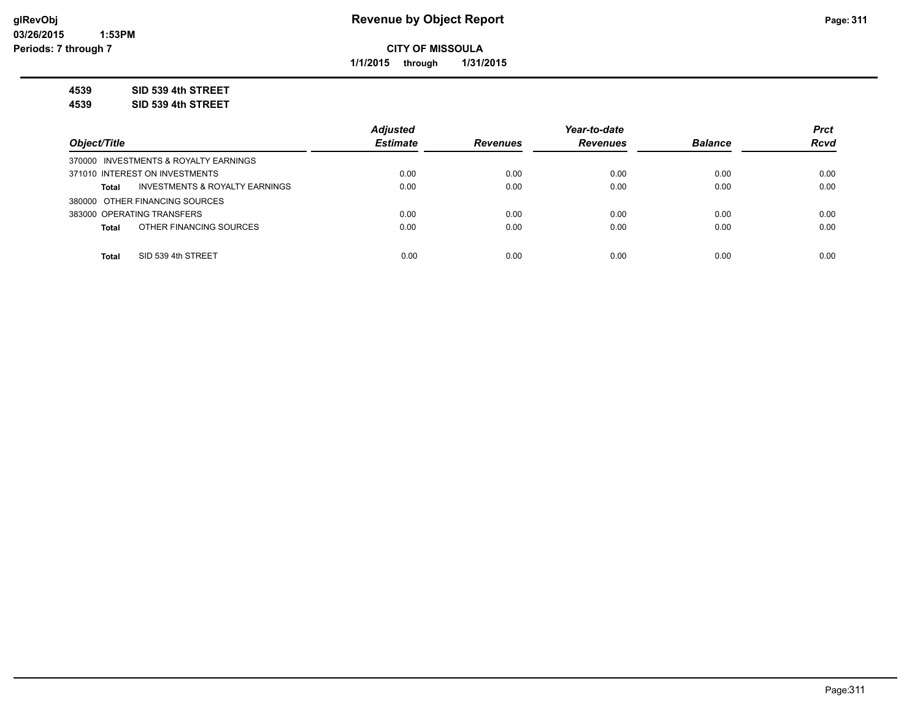**1/1/2015 through 1/31/2015**

**4539 SID 539 4th STREET**

**4539 SID 539 4th STREET**

|                                                | <b>Adiusted</b> |                 | Year-to-date    |                | <b>Prct</b> |
|------------------------------------------------|-----------------|-----------------|-----------------|----------------|-------------|
| Object/Title                                   | <b>Estimate</b> | <b>Revenues</b> | <b>Revenues</b> | <b>Balance</b> | <b>Rcvd</b> |
| 370000 INVESTMENTS & ROYALTY EARNINGS          |                 |                 |                 |                |             |
| 371010 INTEREST ON INVESTMENTS                 | 0.00            | 0.00            | 0.00            | 0.00           | 0.00        |
| INVESTMENTS & ROYALTY EARNINGS<br><b>Total</b> | 0.00            | 0.00            | 0.00            | 0.00           | 0.00        |
| 380000 OTHER FINANCING SOURCES                 |                 |                 |                 |                |             |
| 383000 OPERATING TRANSFERS                     | 0.00            | 0.00            | 0.00            | 0.00           | 0.00        |
| OTHER FINANCING SOURCES<br><b>Total</b>        | 0.00            | 0.00            | 0.00            | 0.00           | 0.00        |
|                                                |                 |                 |                 |                |             |
| SID 539 4th STREET<br><b>Total</b>             | 0.00            | 0.00            | 0.00            | 0.00           | 0.00        |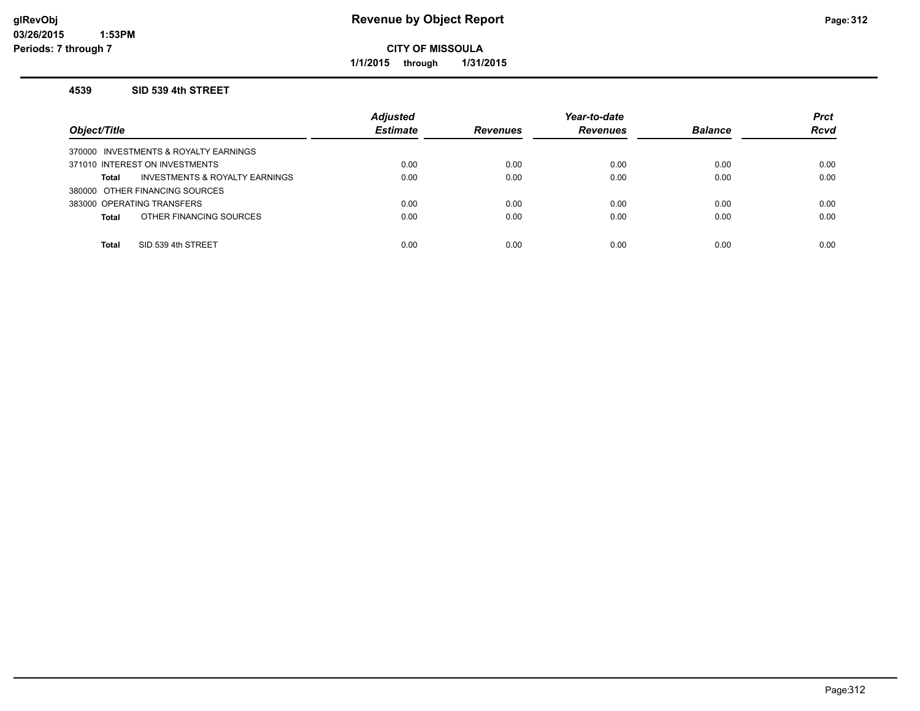## **glRevObj Revenue by Object Report Page:312**

**CITY OF MISSOULA**

**1/1/2015 through 1/31/2015**

### **4539 SID 539 4th STREET**

| Object/Title                                   | <b>Adjusted</b><br><b>Estimate</b> | <b>Revenues</b> | Year-to-date<br><b>Revenues</b> | <b>Balance</b> | <b>Prct</b><br><b>Rcvd</b> |
|------------------------------------------------|------------------------------------|-----------------|---------------------------------|----------------|----------------------------|
| 370000 INVESTMENTS & ROYALTY EARNINGS          |                                    |                 |                                 |                |                            |
| 371010 INTEREST ON INVESTMENTS                 | 0.00                               | 0.00            | 0.00                            | 0.00           | 0.00                       |
| INVESTMENTS & ROYALTY EARNINGS<br><b>Total</b> | 0.00                               | 0.00            | 0.00                            | 0.00           | 0.00                       |
| 380000 OTHER FINANCING SOURCES                 |                                    |                 |                                 |                |                            |
| 383000 OPERATING TRANSFERS                     | 0.00                               | 0.00            | 0.00                            | 0.00           | 0.00                       |
| OTHER FINANCING SOURCES<br><b>Total</b>        | 0.00                               | 0.00            | 0.00                            | 0.00           | 0.00                       |
|                                                |                                    |                 |                                 |                |                            |
| SID 539 4th STREET<br><b>Total</b>             | 0.00                               | 0.00            | 0.00                            | 0.00           | 0.00                       |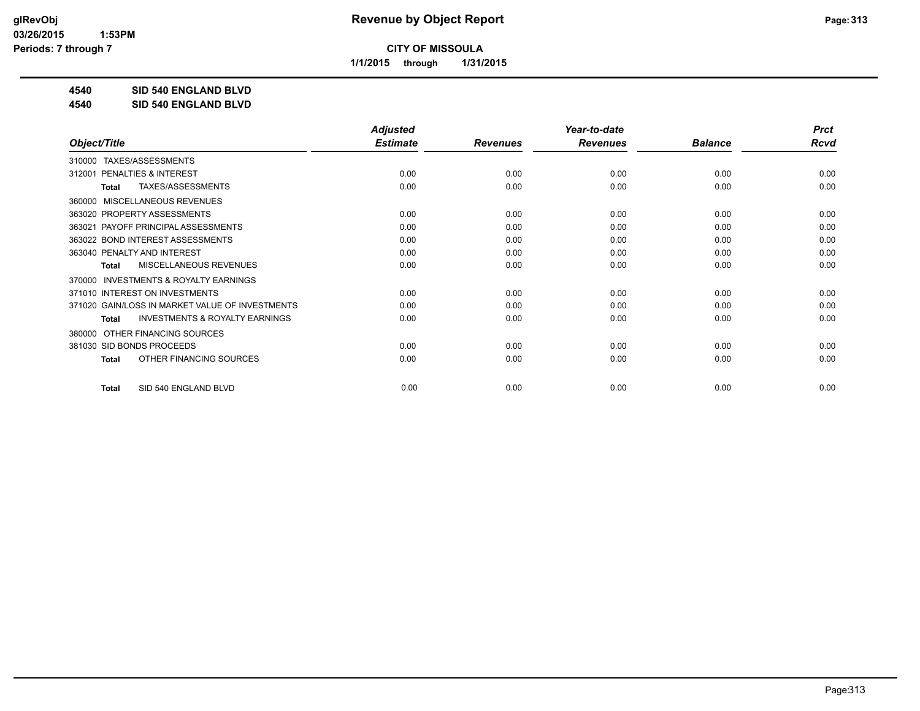**1/1/2015 through 1/31/2015**

**4540 SID 540 ENGLAND BLVD**

**4540 SID 540 ENGLAND BLVD**

|                                                           | <b>Adjusted</b> |                 | Year-to-date    |                | <b>Prct</b> |
|-----------------------------------------------------------|-----------------|-----------------|-----------------|----------------|-------------|
| Object/Title                                              | <b>Estimate</b> | <b>Revenues</b> | <b>Revenues</b> | <b>Balance</b> | <b>Rcvd</b> |
| TAXES/ASSESSMENTS<br>310000                               |                 |                 |                 |                |             |
| <b>PENALTIES &amp; INTEREST</b><br>312001                 | 0.00            | 0.00            | 0.00            | 0.00           | 0.00        |
| TAXES/ASSESSMENTS<br><b>Total</b>                         | 0.00            | 0.00            | 0.00            | 0.00           | 0.00        |
| MISCELLANEOUS REVENUES<br>360000                          |                 |                 |                 |                |             |
| 363020 PROPERTY ASSESSMENTS                               | 0.00            | 0.00            | 0.00            | 0.00           | 0.00        |
| PAYOFF PRINCIPAL ASSESSMENTS<br>363021                    | 0.00            | 0.00            | 0.00            | 0.00           | 0.00        |
| 363022 BOND INTEREST ASSESSMENTS                          | 0.00            | 0.00            | 0.00            | 0.00           | 0.00        |
| 363040 PENALTY AND INTEREST                               | 0.00            | 0.00            | 0.00            | 0.00           | 0.00        |
| <b>MISCELLANEOUS REVENUES</b><br><b>Total</b>             | 0.00            | 0.00            | 0.00            | 0.00           | 0.00        |
| <b>INVESTMENTS &amp; ROYALTY EARNINGS</b><br>370000       |                 |                 |                 |                |             |
| 371010 INTEREST ON INVESTMENTS                            | 0.00            | 0.00            | 0.00            | 0.00           | 0.00        |
| 371020 GAIN/LOSS IN MARKET VALUE OF INVESTMENTS           | 0.00            | 0.00            | 0.00            | 0.00           | 0.00        |
| <b>INVESTMENTS &amp; ROYALTY EARNINGS</b><br><b>Total</b> | 0.00            | 0.00            | 0.00            | 0.00           | 0.00        |
| OTHER FINANCING SOURCES<br>380000                         |                 |                 |                 |                |             |
| 381030 SID BONDS PROCEEDS                                 | 0.00            | 0.00            | 0.00            | 0.00           | 0.00        |
| OTHER FINANCING SOURCES<br><b>Total</b>                   | 0.00            | 0.00            | 0.00            | 0.00           | 0.00        |
|                                                           |                 |                 |                 |                |             |
| SID 540 ENGLAND BLVD<br><b>Total</b>                      | 0.00            | 0.00            | 0.00            | 0.00           | 0.00        |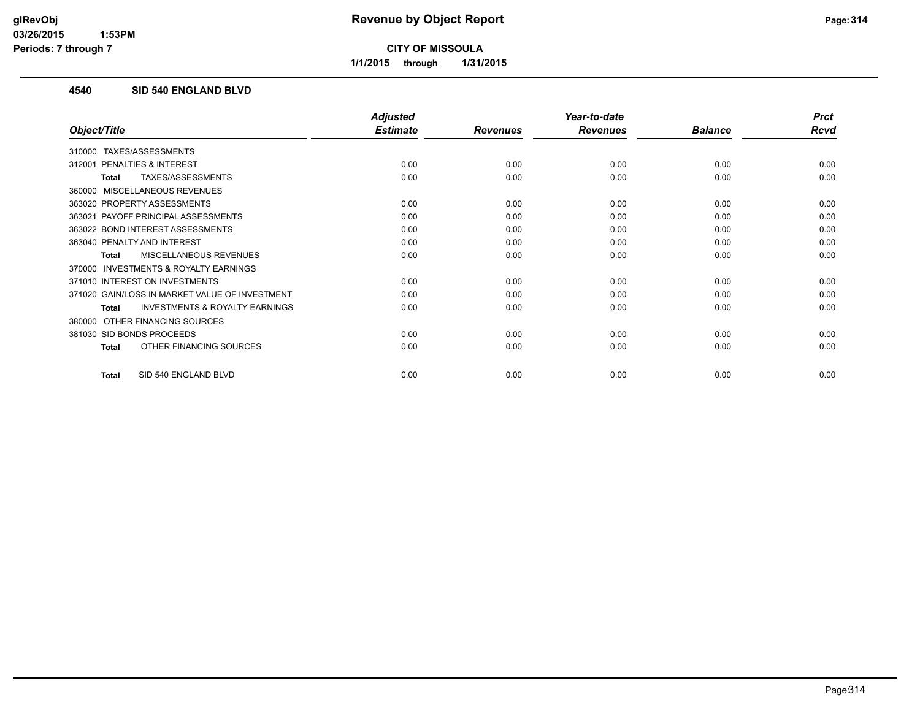**1/1/2015 through 1/31/2015**

## **4540 SID 540 ENGLAND BLVD**

|                                                           | <b>Adjusted</b> |                 | Year-to-date    |                | <b>Prct</b> |
|-----------------------------------------------------------|-----------------|-----------------|-----------------|----------------|-------------|
| Object/Title                                              | <b>Estimate</b> | <b>Revenues</b> | <b>Revenues</b> | <b>Balance</b> | <b>Rcvd</b> |
| <b>TAXES/ASSESSMENTS</b><br>310000                        |                 |                 |                 |                |             |
| 312001 PENALTIES & INTEREST                               | 0.00            | 0.00            | 0.00            | 0.00           | 0.00        |
| TAXES/ASSESSMENTS<br><b>Total</b>                         | 0.00            | 0.00            | 0.00            | 0.00           | 0.00        |
| 360000 MISCELLANEOUS REVENUES                             |                 |                 |                 |                |             |
| 363020 PROPERTY ASSESSMENTS                               | 0.00            | 0.00            | 0.00            | 0.00           | 0.00        |
| 363021 PAYOFF PRINCIPAL ASSESSMENTS                       | 0.00            | 0.00            | 0.00            | 0.00           | 0.00        |
| 363022 BOND INTEREST ASSESSMENTS                          | 0.00            | 0.00            | 0.00            | 0.00           | 0.00        |
| 363040 PENALTY AND INTEREST                               | 0.00            | 0.00            | 0.00            | 0.00           | 0.00        |
| <b>MISCELLANEOUS REVENUES</b><br><b>Total</b>             | 0.00            | 0.00            | 0.00            | 0.00           | 0.00        |
| <b>INVESTMENTS &amp; ROYALTY EARNINGS</b><br>370000       |                 |                 |                 |                |             |
| 371010 INTEREST ON INVESTMENTS                            | 0.00            | 0.00            | 0.00            | 0.00           | 0.00        |
| 371020 GAIN/LOSS IN MARKET VALUE OF INVESTMENT            | 0.00            | 0.00            | 0.00            | 0.00           | 0.00        |
| <b>INVESTMENTS &amp; ROYALTY EARNINGS</b><br><b>Total</b> | 0.00            | 0.00            | 0.00            | 0.00           | 0.00        |
| OTHER FINANCING SOURCES<br>380000                         |                 |                 |                 |                |             |
| 381030 SID BONDS PROCEEDS                                 | 0.00            | 0.00            | 0.00            | 0.00           | 0.00        |
| OTHER FINANCING SOURCES<br><b>Total</b>                   | 0.00            | 0.00            | 0.00            | 0.00           | 0.00        |
| SID 540 ENGLAND BLVD<br><b>Total</b>                      | 0.00            | 0.00            | 0.00            | 0.00           | 0.00        |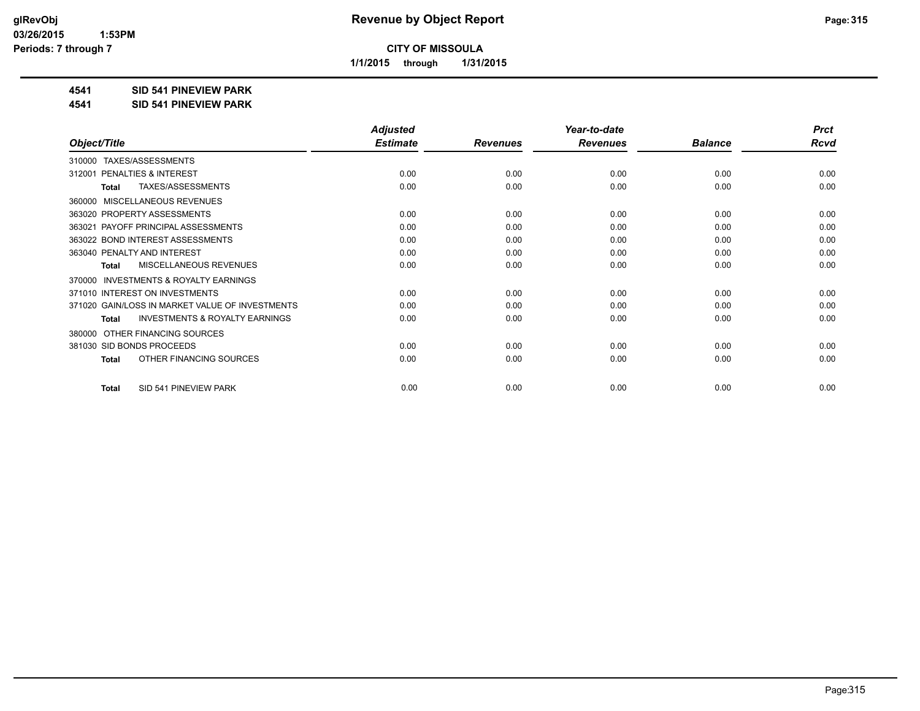**1/1/2015 through 1/31/2015**

## **4541 SID 541 PINEVIEW PARK**

**4541 SID 541 PINEVIEW PARK**

|                                                           | <b>Adjusted</b> |                 | Year-to-date    |                | <b>Prct</b> |
|-----------------------------------------------------------|-----------------|-----------------|-----------------|----------------|-------------|
| Object/Title                                              | <b>Estimate</b> | <b>Revenues</b> | <b>Revenues</b> | <b>Balance</b> | <b>Rcvd</b> |
| TAXES/ASSESSMENTS<br>310000                               |                 |                 |                 |                |             |
| PENALTIES & INTEREST<br>312001                            | 0.00            | 0.00            | 0.00            | 0.00           | 0.00        |
| TAXES/ASSESSMENTS<br><b>Total</b>                         | 0.00            | 0.00            | 0.00            | 0.00           | 0.00        |
| MISCELLANEOUS REVENUES<br>360000                          |                 |                 |                 |                |             |
| 363020 PROPERTY ASSESSMENTS                               | 0.00            | 0.00            | 0.00            | 0.00           | 0.00        |
| PAYOFF PRINCIPAL ASSESSMENTS<br>363021                    | 0.00            | 0.00            | 0.00            | 0.00           | 0.00        |
| 363022 BOND INTEREST ASSESSMENTS                          | 0.00            | 0.00            | 0.00            | 0.00           | 0.00        |
| 363040 PENALTY AND INTEREST                               | 0.00            | 0.00            | 0.00            | 0.00           | 0.00        |
| <b>MISCELLANEOUS REVENUES</b><br><b>Total</b>             | 0.00            | 0.00            | 0.00            | 0.00           | 0.00        |
| <b>INVESTMENTS &amp; ROYALTY EARNINGS</b><br>370000       |                 |                 |                 |                |             |
| 371010 INTEREST ON INVESTMENTS                            | 0.00            | 0.00            | 0.00            | 0.00           | 0.00        |
| 371020 GAIN/LOSS IN MARKET VALUE OF INVESTMENTS           | 0.00            | 0.00            | 0.00            | 0.00           | 0.00        |
| <b>INVESTMENTS &amp; ROYALTY EARNINGS</b><br><b>Total</b> | 0.00            | 0.00            | 0.00            | 0.00           | 0.00        |
| OTHER FINANCING SOURCES<br>380000                         |                 |                 |                 |                |             |
| 381030 SID BONDS PROCEEDS                                 | 0.00            | 0.00            | 0.00            | 0.00           | 0.00        |
| OTHER FINANCING SOURCES<br><b>Total</b>                   | 0.00            | 0.00            | 0.00            | 0.00           | 0.00        |
|                                                           |                 |                 |                 |                |             |
| SID 541 PINEVIEW PARK<br><b>Total</b>                     | 0.00            | 0.00            | 0.00            | 0.00           | 0.00        |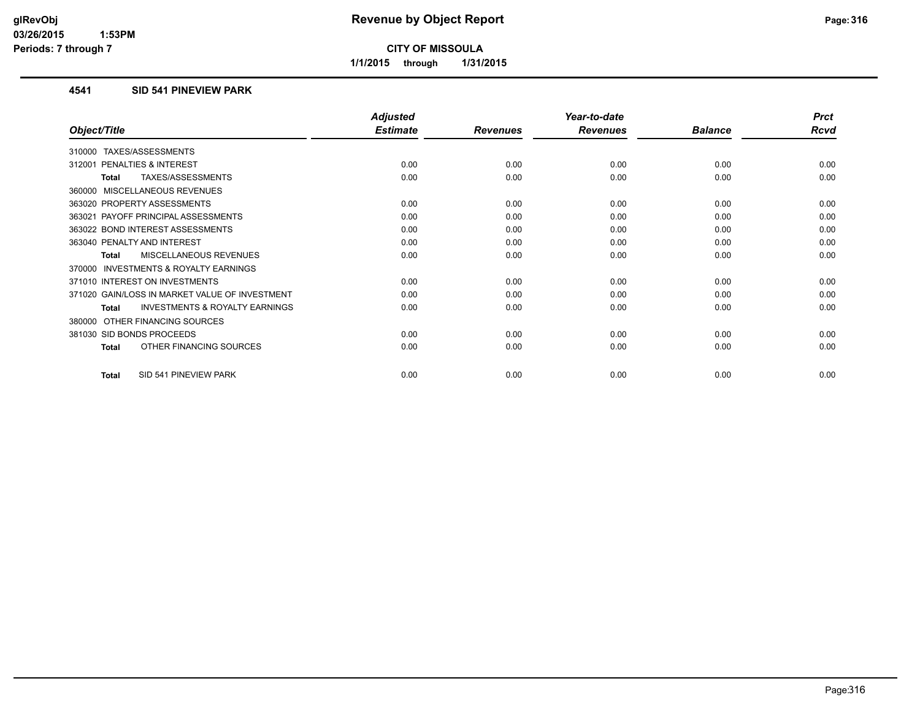**1/1/2015 through 1/31/2015**

## **4541 SID 541 PINEVIEW PARK**

|                                                           | <b>Adjusted</b> |                 | Year-to-date    |                | <b>Prct</b> |
|-----------------------------------------------------------|-----------------|-----------------|-----------------|----------------|-------------|
| Object/Title                                              | <b>Estimate</b> | <b>Revenues</b> | <b>Revenues</b> | <b>Balance</b> | <b>Rcvd</b> |
| <b>TAXES/ASSESSMENTS</b><br>310000                        |                 |                 |                 |                |             |
| 312001 PENALTIES & INTEREST                               | 0.00            | 0.00            | 0.00            | 0.00           | 0.00        |
| TAXES/ASSESSMENTS<br><b>Total</b>                         | 0.00            | 0.00            | 0.00            | 0.00           | 0.00        |
| 360000 MISCELLANEOUS REVENUES                             |                 |                 |                 |                |             |
| 363020 PROPERTY ASSESSMENTS                               | 0.00            | 0.00            | 0.00            | 0.00           | 0.00        |
| 363021 PAYOFF PRINCIPAL ASSESSMENTS                       | 0.00            | 0.00            | 0.00            | 0.00           | 0.00        |
| 363022 BOND INTEREST ASSESSMENTS                          | 0.00            | 0.00            | 0.00            | 0.00           | 0.00        |
| 363040 PENALTY AND INTEREST                               | 0.00            | 0.00            | 0.00            | 0.00           | 0.00        |
| <b>MISCELLANEOUS REVENUES</b><br><b>Total</b>             | 0.00            | 0.00            | 0.00            | 0.00           | 0.00        |
| <b>INVESTMENTS &amp; ROYALTY EARNINGS</b><br>370000       |                 |                 |                 |                |             |
| 371010 INTEREST ON INVESTMENTS                            | 0.00            | 0.00            | 0.00            | 0.00           | 0.00        |
| 371020 GAIN/LOSS IN MARKET VALUE OF INVESTMENT            | 0.00            | 0.00            | 0.00            | 0.00           | 0.00        |
| <b>INVESTMENTS &amp; ROYALTY EARNINGS</b><br><b>Total</b> | 0.00            | 0.00            | 0.00            | 0.00           | 0.00        |
| OTHER FINANCING SOURCES<br>380000                         |                 |                 |                 |                |             |
| 381030 SID BONDS PROCEEDS                                 | 0.00            | 0.00            | 0.00            | 0.00           | 0.00        |
| OTHER FINANCING SOURCES<br><b>Total</b>                   | 0.00            | 0.00            | 0.00            | 0.00           | 0.00        |
| SID 541 PINEVIEW PARK<br><b>Total</b>                     | 0.00            | 0.00            | 0.00            | 0.00           | 0.00        |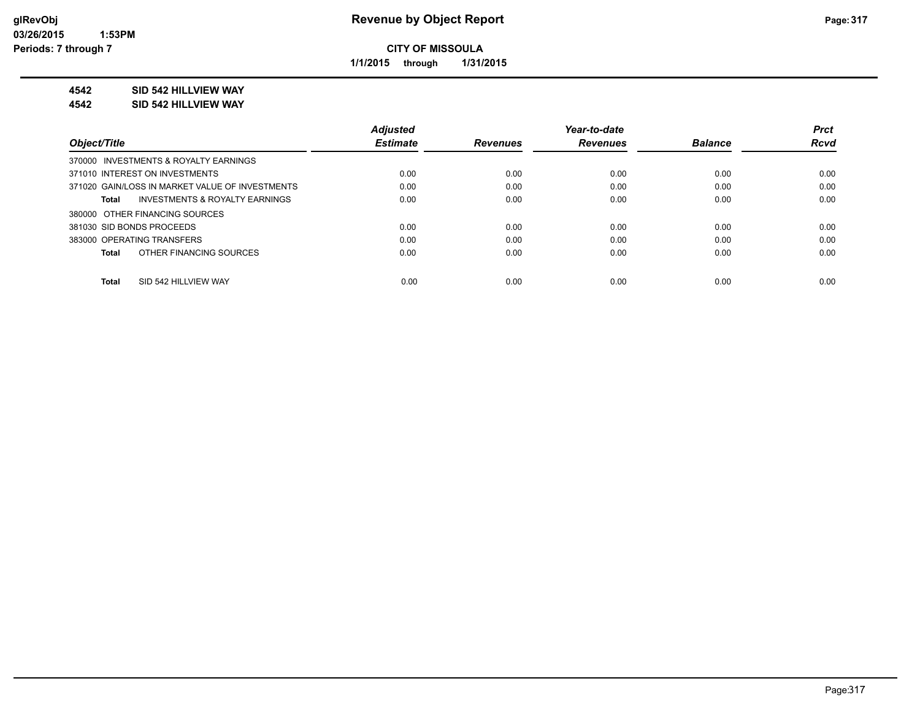**1/1/2015 through 1/31/2015**

## **4542 SID 542 HILLVIEW WAY**

#### **4542 SID 542 HILLVIEW WAY**

|                                                    | <b>Adjusted</b> |                 | Year-to-date    |                | <b>Prct</b> |
|----------------------------------------------------|-----------------|-----------------|-----------------|----------------|-------------|
| Object/Title                                       | <b>Estimate</b> | <b>Revenues</b> | <b>Revenues</b> | <b>Balance</b> | <b>Rcvd</b> |
| 370000 INVESTMENTS & ROYALTY EARNINGS              |                 |                 |                 |                |             |
| 371010 INTEREST ON INVESTMENTS                     | 0.00            | 0.00            | 0.00            | 0.00           | 0.00        |
| 371020 GAIN/LOSS IN MARKET VALUE OF INVESTMENTS    | 0.00            | 0.00            | 0.00            | 0.00           | 0.00        |
| <b>INVESTMENTS &amp; ROYALTY EARNINGS</b><br>Total | 0.00            | 0.00            | 0.00            | 0.00           | 0.00        |
| 380000 OTHER FINANCING SOURCES                     |                 |                 |                 |                |             |
| 381030 SID BONDS PROCEEDS                          | 0.00            | 0.00            | 0.00            | 0.00           | 0.00        |
| 383000 OPERATING TRANSFERS                         | 0.00            | 0.00            | 0.00            | 0.00           | 0.00        |
| OTHER FINANCING SOURCES<br><b>Total</b>            | 0.00            | 0.00            | 0.00            | 0.00           | 0.00        |
|                                                    |                 |                 |                 |                |             |
| SID 542 HILLVIEW WAY<br><b>Total</b>               | 0.00            | 0.00            | 0.00            | 0.00           | 0.00        |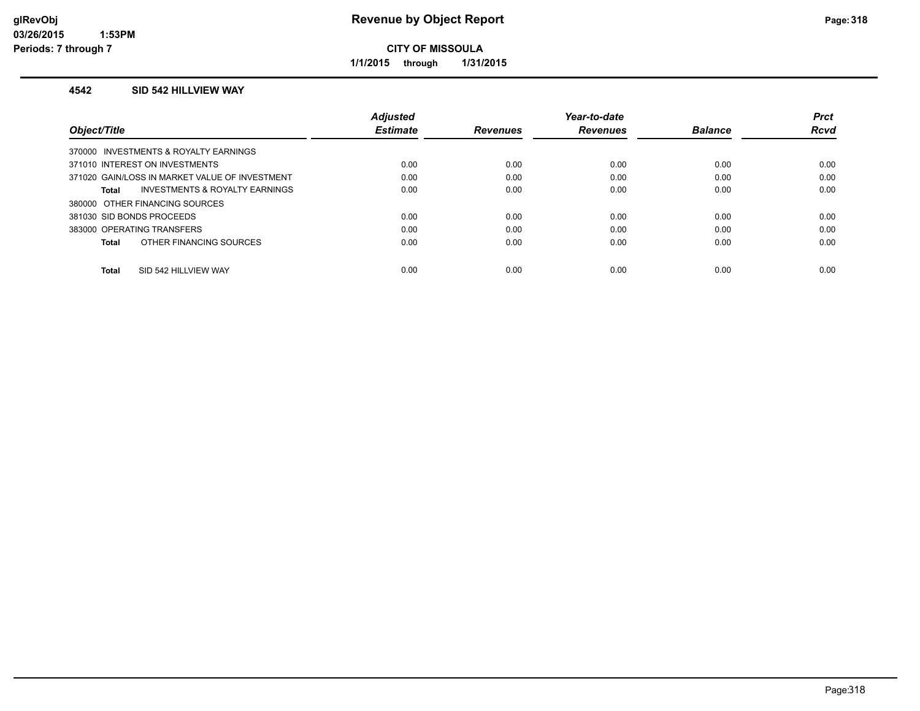**1/1/2015 through 1/31/2015**

### **4542 SID 542 HILLVIEW WAY**

|                                                           | <b>Adjusted</b> |                 | Year-to-date    |                | <b>Prct</b> |
|-----------------------------------------------------------|-----------------|-----------------|-----------------|----------------|-------------|
| Object/Title                                              | <b>Estimate</b> | <b>Revenues</b> | <b>Revenues</b> | <b>Balance</b> | <b>Rcvd</b> |
| 370000 INVESTMENTS & ROYALTY EARNINGS                     |                 |                 |                 |                |             |
| 371010 INTEREST ON INVESTMENTS                            | 0.00            | 0.00            | 0.00            | 0.00           | 0.00        |
| 371020 GAIN/LOSS IN MARKET VALUE OF INVESTMENT            | 0.00            | 0.00            | 0.00            | 0.00           | 0.00        |
| <b>INVESTMENTS &amp; ROYALTY EARNINGS</b><br><b>Total</b> | 0.00            | 0.00            | 0.00            | 0.00           | 0.00        |
| 380000 OTHER FINANCING SOURCES                            |                 |                 |                 |                |             |
| 381030 SID BONDS PROCEEDS                                 | 0.00            | 0.00            | 0.00            | 0.00           | 0.00        |
| 383000 OPERATING TRANSFERS                                | 0.00            | 0.00            | 0.00            | 0.00           | 0.00        |
| OTHER FINANCING SOURCES<br><b>Total</b>                   | 0.00            | 0.00            | 0.00            | 0.00           | 0.00        |
|                                                           |                 |                 |                 |                |             |
| SID 542 HILLVIEW WAY<br><b>Total</b>                      | 0.00            | 0.00            | 0.00            | 0.00           | 0.00        |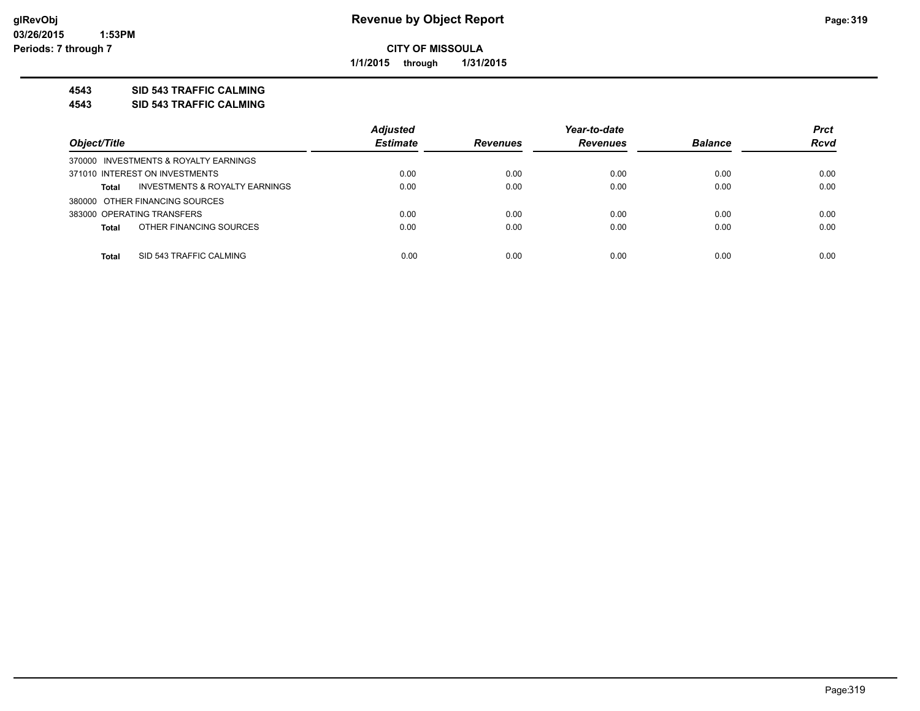**1/1/2015 through 1/31/2015**

## **4543 SID 543 TRAFFIC CALMING**

**4543 SID 543 TRAFFIC CALMING**

|                                                | <b>Adjusted</b> |                 | Year-to-date    |                | <b>Prct</b> |
|------------------------------------------------|-----------------|-----------------|-----------------|----------------|-------------|
| Object/Title                                   | <b>Estimate</b> | <b>Revenues</b> | <b>Revenues</b> | <b>Balance</b> | <b>Rcvd</b> |
| 370000 INVESTMENTS & ROYALTY EARNINGS          |                 |                 |                 |                |             |
| 371010 INTEREST ON INVESTMENTS                 | 0.00            | 0.00            | 0.00            | 0.00           | 0.00        |
| INVESTMENTS & ROYALTY EARNINGS<br><b>Total</b> | 0.00            | 0.00            | 0.00            | 0.00           | 0.00        |
| 380000 OTHER FINANCING SOURCES                 |                 |                 |                 |                |             |
| 383000 OPERATING TRANSFERS                     | 0.00            | 0.00            | 0.00            | 0.00           | 0.00        |
| OTHER FINANCING SOURCES<br><b>Total</b>        | 0.00            | 0.00            | 0.00            | 0.00           | 0.00        |
|                                                |                 |                 |                 |                |             |
| SID 543 TRAFFIC CALMING<br><b>Total</b>        | 0.00            | 0.00            | 0.00            | 0.00           | 0.00        |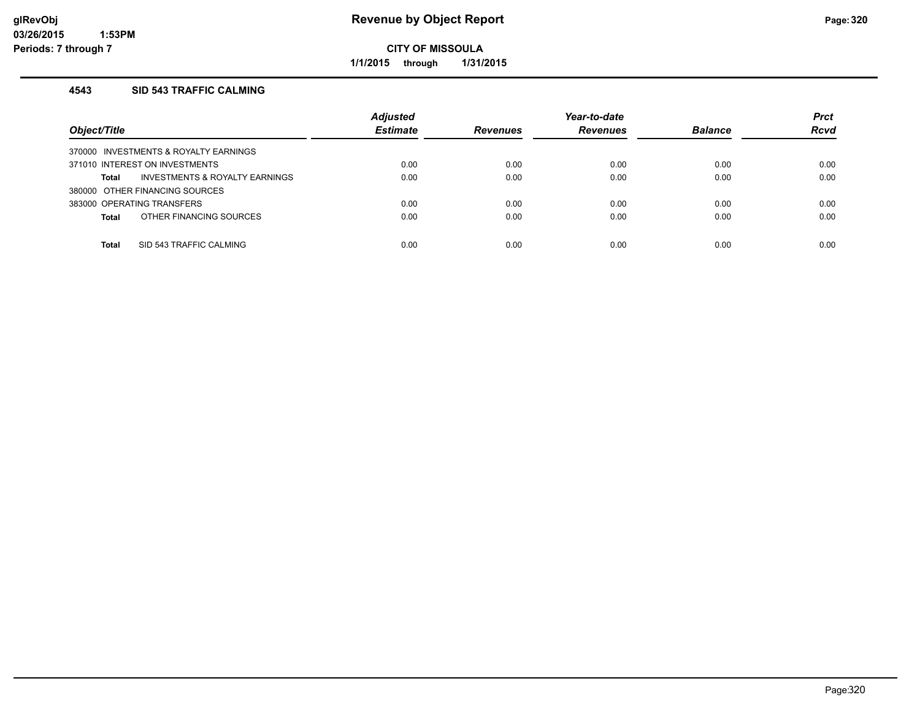**1/1/2015 through 1/31/2015**

## **4543 SID 543 TRAFFIC CALMING**

| Object/Title                            | <b>Adjusted</b><br><b>Estimate</b> | <b>Revenues</b> | Year-to-date<br><b>Revenues</b> | <b>Balance</b> | <b>Prct</b><br><b>Rcvd</b> |
|-----------------------------------------|------------------------------------|-----------------|---------------------------------|----------------|----------------------------|
| 370000 INVESTMENTS & ROYALTY EARNINGS   |                                    |                 |                                 |                |                            |
| 371010 INTEREST ON INVESTMENTS          | 0.00                               | 0.00            | 0.00                            | 0.00           | 0.00                       |
| INVESTMENTS & ROYALTY EARNINGS<br>Total | 0.00                               | 0.00            | 0.00                            | 0.00           | 0.00                       |
| 380000 OTHER FINANCING SOURCES          |                                    |                 |                                 |                |                            |
| 383000 OPERATING TRANSFERS              | 0.00                               | 0.00            | 0.00                            | 0.00           | 0.00                       |
| OTHER FINANCING SOURCES<br><b>Total</b> | 0.00                               | 0.00            | 0.00                            | 0.00           | 0.00                       |
|                                         |                                    |                 |                                 |                |                            |
| SID 543 TRAFFIC CALMING<br>Total        | 0.00                               | 0.00            | 0.00                            | 0.00           | 0.00                       |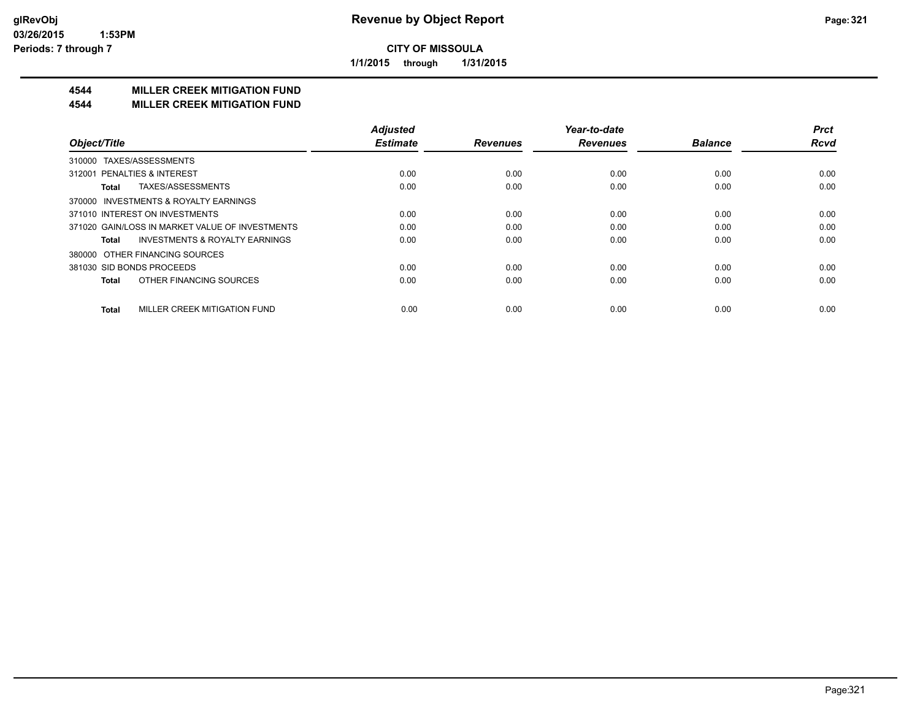**1/1/2015 through 1/31/2015**

# **4544 MILLER CREEK MITIGATION FUND**

#### **4544 MILLER CREEK MITIGATION FUND**

|                                                    | <b>Adjusted</b> |                 | Year-to-date    |                | <b>Prct</b> |
|----------------------------------------------------|-----------------|-----------------|-----------------|----------------|-------------|
| Object/Title                                       | <b>Estimate</b> | <b>Revenues</b> | <b>Revenues</b> | <b>Balance</b> | <b>Rcvd</b> |
| TAXES/ASSESSMENTS<br>310000                        |                 |                 |                 |                |             |
| 312001 PENALTIES & INTEREST                        | 0.00            | 0.00            | 0.00            | 0.00           | 0.00        |
| TAXES/ASSESSMENTS<br>Total                         | 0.00            | 0.00            | 0.00            | 0.00           | 0.00        |
| 370000 INVESTMENTS & ROYALTY EARNINGS              |                 |                 |                 |                |             |
| 371010 INTEREST ON INVESTMENTS                     | 0.00            | 0.00            | 0.00            | 0.00           | 0.00        |
| 371020 GAIN/LOSS IN MARKET VALUE OF INVESTMENTS    | 0.00            | 0.00            | 0.00            | 0.00           | 0.00        |
| <b>INVESTMENTS &amp; ROYALTY EARNINGS</b><br>Total | 0.00            | 0.00            | 0.00            | 0.00           | 0.00        |
| OTHER FINANCING SOURCES<br>380000                  |                 |                 |                 |                |             |
| 381030 SID BONDS PROCEEDS                          | 0.00            | 0.00            | 0.00            | 0.00           | 0.00        |
| OTHER FINANCING SOURCES<br><b>Total</b>            | 0.00            | 0.00            | 0.00            | 0.00           | 0.00        |
| MILLER CREEK MITIGATION FUND<br><b>Total</b>       | 0.00            | 0.00            | 0.00            | 0.00           | 0.00        |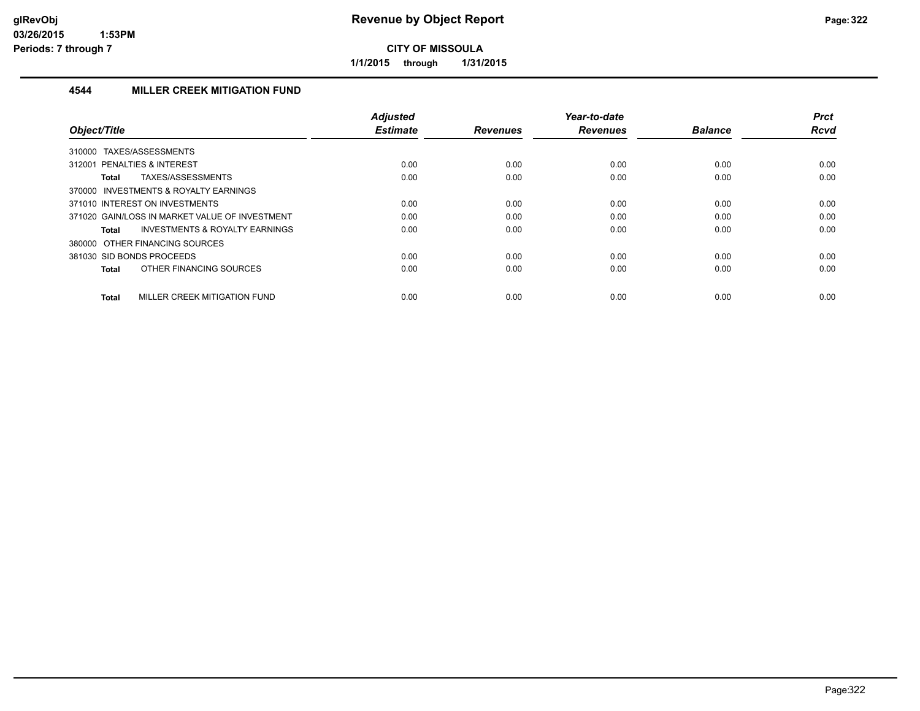**1/1/2015 through 1/31/2015**

## **4544 MILLER CREEK MITIGATION FUND**

|                                                    | <b>Adjusted</b> |                 | Year-to-date    |                | <b>Prct</b> |
|----------------------------------------------------|-----------------|-----------------|-----------------|----------------|-------------|
| Object/Title                                       | <b>Estimate</b> | <b>Revenues</b> | <b>Revenues</b> | <b>Balance</b> | <b>Rcvd</b> |
| TAXES/ASSESSMENTS<br>310000                        |                 |                 |                 |                |             |
| 312001 PENALTIES & INTEREST                        | 0.00            | 0.00            | 0.00            | 0.00           | 0.00        |
| TAXES/ASSESSMENTS<br><b>Total</b>                  | 0.00            | 0.00            | 0.00            | 0.00           | 0.00        |
| 370000 INVESTMENTS & ROYALTY EARNINGS              |                 |                 |                 |                |             |
| 371010 INTEREST ON INVESTMENTS                     | 0.00            | 0.00            | 0.00            | 0.00           | 0.00        |
| 371020 GAIN/LOSS IN MARKET VALUE OF INVESTMENT     | 0.00            | 0.00            | 0.00            | 0.00           | 0.00        |
| <b>INVESTMENTS &amp; ROYALTY EARNINGS</b><br>Total | 0.00            | 0.00            | 0.00            | 0.00           | 0.00        |
| 380000 OTHER FINANCING SOURCES                     |                 |                 |                 |                |             |
| 381030 SID BONDS PROCEEDS                          | 0.00            | 0.00            | 0.00            | 0.00           | 0.00        |
| OTHER FINANCING SOURCES<br><b>Total</b>            | 0.00            | 0.00            | 0.00            | 0.00           | 0.00        |
|                                                    |                 |                 |                 |                |             |
| MILLER CREEK MITIGATION FUND<br><b>Total</b>       | 0.00            | 0.00            | 0.00            | 0.00           | 0.00        |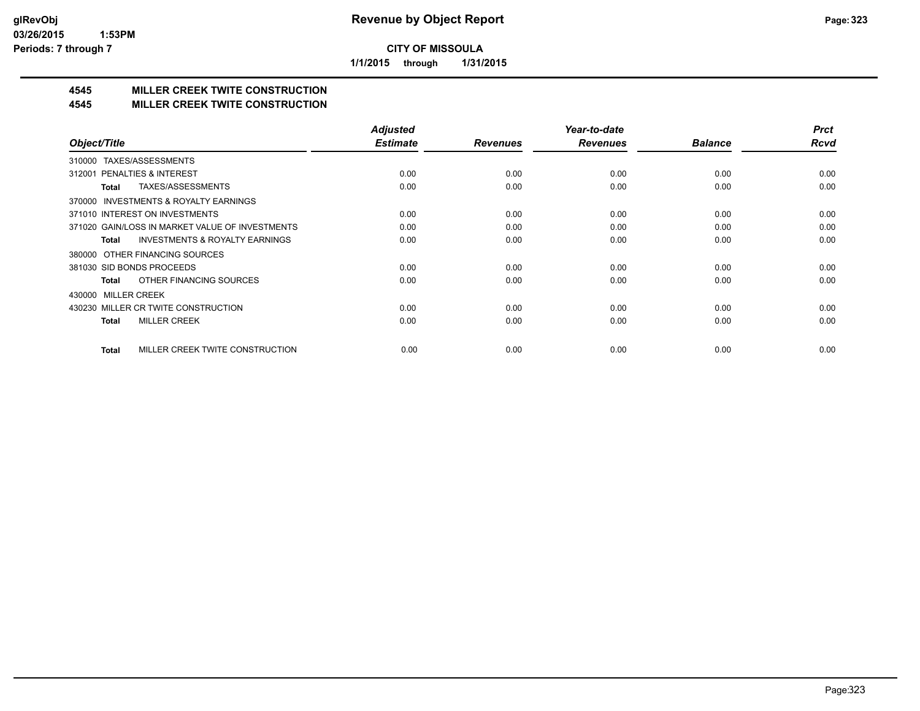**1/1/2015 through 1/31/2015**

# **4545 MILLER CREEK TWITE CONSTRUCTION**

### **4545 MILLER CREEK TWITE CONSTRUCTION**

|                                                     | <b>Adjusted</b> |                 | Year-to-date    |                | <b>Prct</b> |
|-----------------------------------------------------|-----------------|-----------------|-----------------|----------------|-------------|
| Object/Title                                        | <b>Estimate</b> | <b>Revenues</b> | <b>Revenues</b> | <b>Balance</b> | <b>Rcvd</b> |
| TAXES/ASSESSMENTS<br>310000                         |                 |                 |                 |                |             |
| 312001 PENALTIES & INTEREST                         | 0.00            | 0.00            | 0.00            | 0.00           | 0.00        |
| TAXES/ASSESSMENTS<br>Total                          | 0.00            | 0.00            | 0.00            | 0.00           | 0.00        |
| <b>INVESTMENTS &amp; ROYALTY EARNINGS</b><br>370000 |                 |                 |                 |                |             |
| 371010 INTEREST ON INVESTMENTS                      | 0.00            | 0.00            | 0.00            | 0.00           | 0.00        |
| 371020 GAIN/LOSS IN MARKET VALUE OF INVESTMENTS     | 0.00            | 0.00            | 0.00            | 0.00           | 0.00        |
| <b>INVESTMENTS &amp; ROYALTY EARNINGS</b><br>Total  | 0.00            | 0.00            | 0.00            | 0.00           | 0.00        |
| 380000 OTHER FINANCING SOURCES                      |                 |                 |                 |                |             |
| 381030 SID BONDS PROCEEDS                           | 0.00            | 0.00            | 0.00            | 0.00           | 0.00        |
| OTHER FINANCING SOURCES<br>Total                    | 0.00            | 0.00            | 0.00            | 0.00           | 0.00        |
| 430000 MILLER CREEK                                 |                 |                 |                 |                |             |
| 430230 MILLER CR TWITE CONSTRUCTION                 | 0.00            | 0.00            | 0.00            | 0.00           | 0.00        |
| <b>MILLER CREEK</b><br><b>Total</b>                 | 0.00            | 0.00            | 0.00            | 0.00           | 0.00        |
|                                                     |                 |                 |                 |                |             |
| MILLER CREEK TWITE CONSTRUCTION<br>Total            | 0.00            | 0.00            | 0.00            | 0.00           | 0.00        |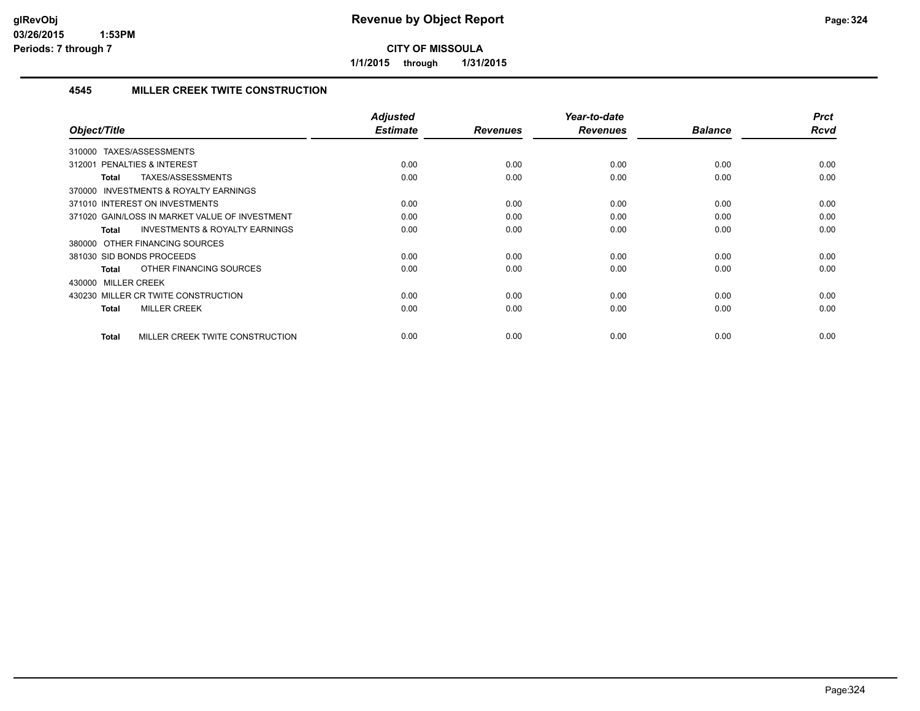**1/1/2015 through 1/31/2015**

## **4545 MILLER CREEK TWITE CONSTRUCTION**

| Object/Title                                              | <b>Adjusted</b><br><b>Estimate</b> | <b>Revenues</b> | Year-to-date<br><b>Revenues</b> | <b>Balance</b> | <b>Prct</b><br><b>Rcvd</b> |
|-----------------------------------------------------------|------------------------------------|-----------------|---------------------------------|----------------|----------------------------|
| TAXES/ASSESSMENTS<br>310000                               |                                    |                 |                                 |                |                            |
| PENALTIES & INTEREST<br>312001                            | 0.00                               | 0.00            | 0.00                            | 0.00           | 0.00                       |
| TAXES/ASSESSMENTS<br><b>Total</b>                         | 0.00                               | 0.00            | 0.00                            | 0.00           | 0.00                       |
| INVESTMENTS & ROYALTY EARNINGS<br>370000                  |                                    |                 |                                 |                |                            |
| 371010 INTEREST ON INVESTMENTS                            | 0.00                               | 0.00            | 0.00                            | 0.00           | 0.00                       |
| 371020 GAIN/LOSS IN MARKET VALUE OF INVESTMENT            | 0.00                               | 0.00            | 0.00                            | 0.00           | 0.00                       |
| <b>INVESTMENTS &amp; ROYALTY EARNINGS</b><br><b>Total</b> | 0.00                               | 0.00            | 0.00                            | 0.00           | 0.00                       |
| 380000 OTHER FINANCING SOURCES                            |                                    |                 |                                 |                |                            |
| 381030 SID BONDS PROCEEDS                                 | 0.00                               | 0.00            | 0.00                            | 0.00           | 0.00                       |
| OTHER FINANCING SOURCES<br>Total                          | 0.00                               | 0.00            | 0.00                            | 0.00           | 0.00                       |
| 430000 MILLER CREEK                                       |                                    |                 |                                 |                |                            |
| 430230 MILLER CR TWITE CONSTRUCTION                       | 0.00                               | 0.00            | 0.00                            | 0.00           | 0.00                       |
| <b>MILLER CREEK</b><br><b>Total</b>                       | 0.00                               | 0.00            | 0.00                            | 0.00           | 0.00                       |
| MILLER CREEK TWITE CONSTRUCTION<br><b>Total</b>           | 0.00                               | 0.00            | 0.00                            | 0.00           | 0.00                       |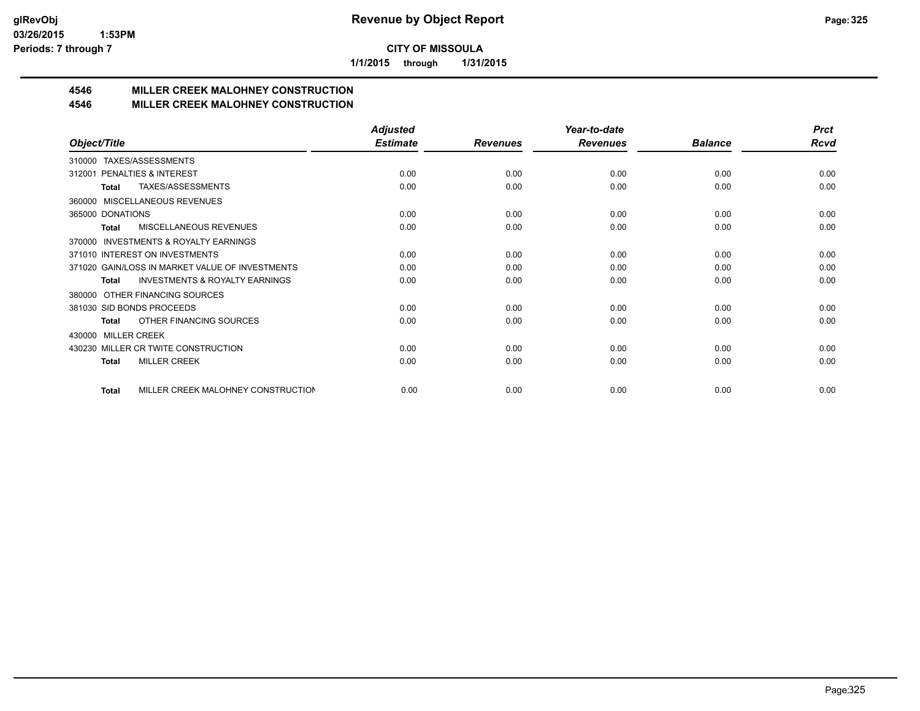**1/1/2015 through 1/31/2015**

# **4546 MILLER CREEK MALOHNEY CONSTRUCTION**

## **4546 MILLER CREEK MALOHNEY CONSTRUCTION**

|                                                           | <b>Adjusted</b> |                 | Year-to-date    |                | <b>Prct</b> |
|-----------------------------------------------------------|-----------------|-----------------|-----------------|----------------|-------------|
| Object/Title                                              | <b>Estimate</b> | <b>Revenues</b> | <b>Revenues</b> | <b>Balance</b> | <b>Rcvd</b> |
| TAXES/ASSESSMENTS<br>310000                               |                 |                 |                 |                |             |
| PENALTIES & INTEREST<br>312001                            | 0.00            | 0.00            | 0.00            | 0.00           | 0.00        |
| TAXES/ASSESSMENTS<br><b>Total</b>                         | 0.00            | 0.00            | 0.00            | 0.00           | 0.00        |
| MISCELLANEOUS REVENUES<br>360000                          |                 |                 |                 |                |             |
| 365000 DONATIONS                                          | 0.00            | 0.00            | 0.00            | 0.00           | 0.00        |
| MISCELLANEOUS REVENUES<br><b>Total</b>                    | 0.00            | 0.00            | 0.00            | 0.00           | 0.00        |
| <b>INVESTMENTS &amp; ROYALTY EARNINGS</b><br>370000       |                 |                 |                 |                |             |
| 371010 INTEREST ON INVESTMENTS                            | 0.00            | 0.00            | 0.00            | 0.00           | 0.00        |
| 371020 GAIN/LOSS IN MARKET VALUE OF INVESTMENTS           | 0.00            | 0.00            | 0.00            | 0.00           | 0.00        |
| <b>INVESTMENTS &amp; ROYALTY EARNINGS</b><br><b>Total</b> | 0.00            | 0.00            | 0.00            | 0.00           | 0.00        |
| OTHER FINANCING SOURCES<br>380000                         |                 |                 |                 |                |             |
| 381030 SID BONDS PROCEEDS                                 | 0.00            | 0.00            | 0.00            | 0.00           | 0.00        |
| OTHER FINANCING SOURCES<br><b>Total</b>                   | 0.00            | 0.00            | 0.00            | 0.00           | 0.00        |
| <b>MILLER CREEK</b><br>430000                             |                 |                 |                 |                |             |
| 430230 MILLER CR TWITE CONSTRUCTION                       | 0.00            | 0.00            | 0.00            | 0.00           | 0.00        |
| <b>MILLER CREEK</b><br><b>Total</b>                       | 0.00            | 0.00            | 0.00            | 0.00           | 0.00        |
|                                                           |                 |                 |                 |                |             |
| MILLER CREEK MALOHNEY CONSTRUCTION<br><b>Total</b>        | 0.00            | 0.00            | 0.00            | 0.00           | 0.00        |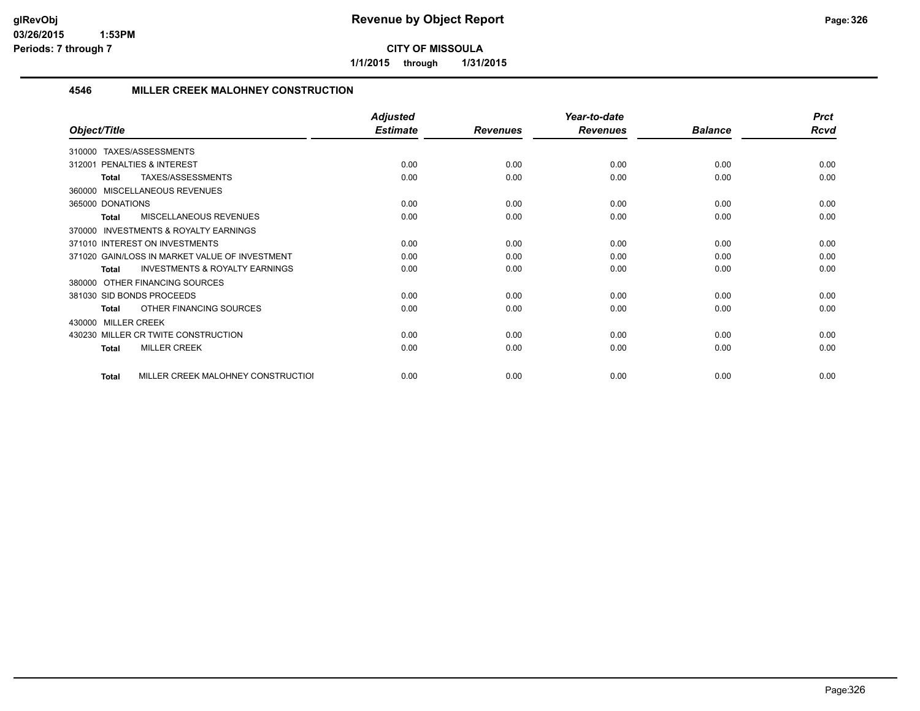**1/1/2015 through 1/31/2015**

### **4546 MILLER CREEK MALOHNEY CONSTRUCTION**

|                                                    | <b>Adjusted</b> |                 | Year-to-date    |                | <b>Prct</b> |
|----------------------------------------------------|-----------------|-----------------|-----------------|----------------|-------------|
| Object/Title                                       | <b>Estimate</b> | <b>Revenues</b> | <b>Revenues</b> | <b>Balance</b> | <b>Rcvd</b> |
| TAXES/ASSESSMENTS<br>310000                        |                 |                 |                 |                |             |
| <b>PENALTIES &amp; INTEREST</b><br>312001          | 0.00            | 0.00            | 0.00            | 0.00           | 0.00        |
| TAXES/ASSESSMENTS<br><b>Total</b>                  | 0.00            | 0.00            | 0.00            | 0.00           | 0.00        |
| 360000 MISCELLANEOUS REVENUES                      |                 |                 |                 |                |             |
| 365000 DONATIONS                                   | 0.00            | 0.00            | 0.00            | 0.00           | 0.00        |
| <b>MISCELLANEOUS REVENUES</b><br>Total             | 0.00            | 0.00            | 0.00            | 0.00           | 0.00        |
| INVESTMENTS & ROYALTY EARNINGS<br>370000           |                 |                 |                 |                |             |
| 371010 INTEREST ON INVESTMENTS                     | 0.00            | 0.00            | 0.00            | 0.00           | 0.00        |
| 371020 GAIN/LOSS IN MARKET VALUE OF INVESTMENT     | 0.00            | 0.00            | 0.00            | 0.00           | 0.00        |
| <b>INVESTMENTS &amp; ROYALTY EARNINGS</b><br>Total | 0.00            | 0.00            | 0.00            | 0.00           | 0.00        |
| OTHER FINANCING SOURCES<br>380000                  |                 |                 |                 |                |             |
| 381030 SID BONDS PROCEEDS                          | 0.00            | 0.00            | 0.00            | 0.00           | 0.00        |
| OTHER FINANCING SOURCES<br><b>Total</b>            | 0.00            | 0.00            | 0.00            | 0.00           | 0.00        |
| 430000 MILLER CREEK                                |                 |                 |                 |                |             |
| 430230 MILLER CR TWITE CONSTRUCTION                | 0.00            | 0.00            | 0.00            | 0.00           | 0.00        |
| <b>MILLER CREEK</b><br><b>Total</b>                | 0.00            | 0.00            | 0.00            | 0.00           | 0.00        |
| MILLER CREEK MALOHNEY CONSTRUCTIOI<br>Total        | 0.00            | 0.00            | 0.00            | 0.00           | 0.00        |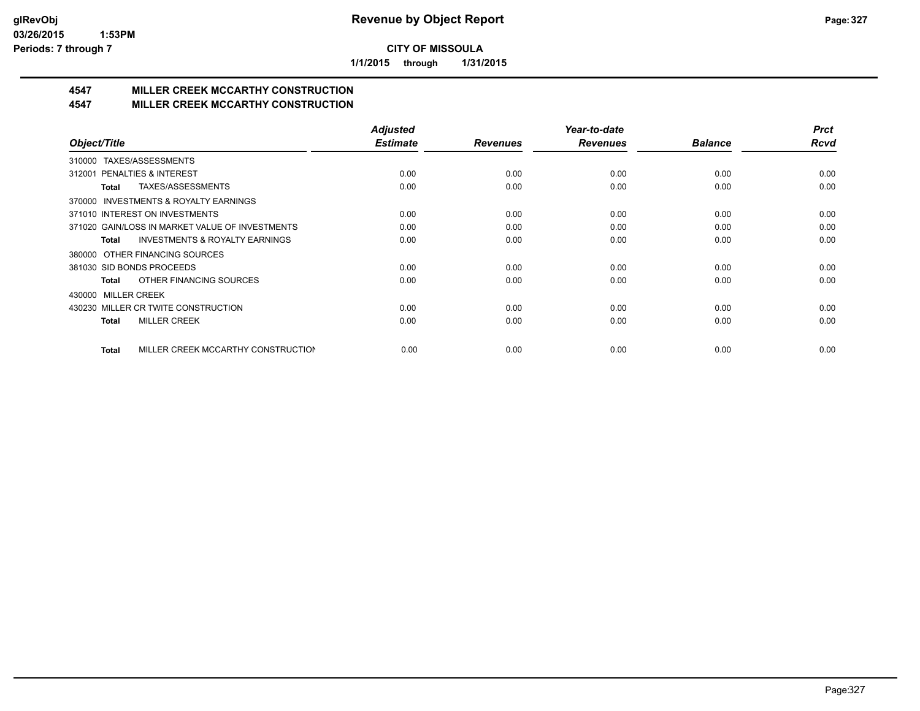**1/1/2015 through 1/31/2015**

# **4547 MILLER CREEK MCCARTHY CONSTRUCTION**

## **4547 MILLER CREEK MCCARTHY CONSTRUCTION**

|                                                     | <b>Adjusted</b> |                 | Year-to-date    |                | <b>Prct</b> |
|-----------------------------------------------------|-----------------|-----------------|-----------------|----------------|-------------|
| Object/Title                                        | <b>Estimate</b> | <b>Revenues</b> | <b>Revenues</b> | <b>Balance</b> | <b>Rcvd</b> |
| TAXES/ASSESSMENTS<br>310000                         |                 |                 |                 |                |             |
| PENALTIES & INTEREST<br>312001                      | 0.00            | 0.00            | 0.00            | 0.00           | 0.00        |
| TAXES/ASSESSMENTS<br>Total                          | 0.00            | 0.00            | 0.00            | 0.00           | 0.00        |
| <b>INVESTMENTS &amp; ROYALTY EARNINGS</b><br>370000 |                 |                 |                 |                |             |
| 371010 INTEREST ON INVESTMENTS                      | 0.00            | 0.00            | 0.00            | 0.00           | 0.00        |
| 371020 GAIN/LOSS IN MARKET VALUE OF INVESTMENTS     | 0.00            | 0.00            | 0.00            | 0.00           | 0.00        |
| <b>INVESTMENTS &amp; ROYALTY EARNINGS</b><br>Total  | 0.00            | 0.00            | 0.00            | 0.00           | 0.00        |
| OTHER FINANCING SOURCES<br>380000                   |                 |                 |                 |                |             |
| 381030 SID BONDS PROCEEDS                           | 0.00            | 0.00            | 0.00            | 0.00           | 0.00        |
| OTHER FINANCING SOURCES<br>Total                    | 0.00            | 0.00            | 0.00            | 0.00           | 0.00        |
| <b>MILLER CREEK</b><br>430000                       |                 |                 |                 |                |             |
| 430230 MILLER CR TWITE CONSTRUCTION                 | 0.00            | 0.00            | 0.00            | 0.00           | 0.00        |
| <b>MILLER CREEK</b><br><b>Total</b>                 | 0.00            | 0.00            | 0.00            | 0.00           | 0.00        |
|                                                     |                 |                 |                 |                |             |
| MILLER CREEK MCCARTHY CONSTRUCTION<br><b>Total</b>  | 0.00            | 0.00            | 0.00            | 0.00           | 0.00        |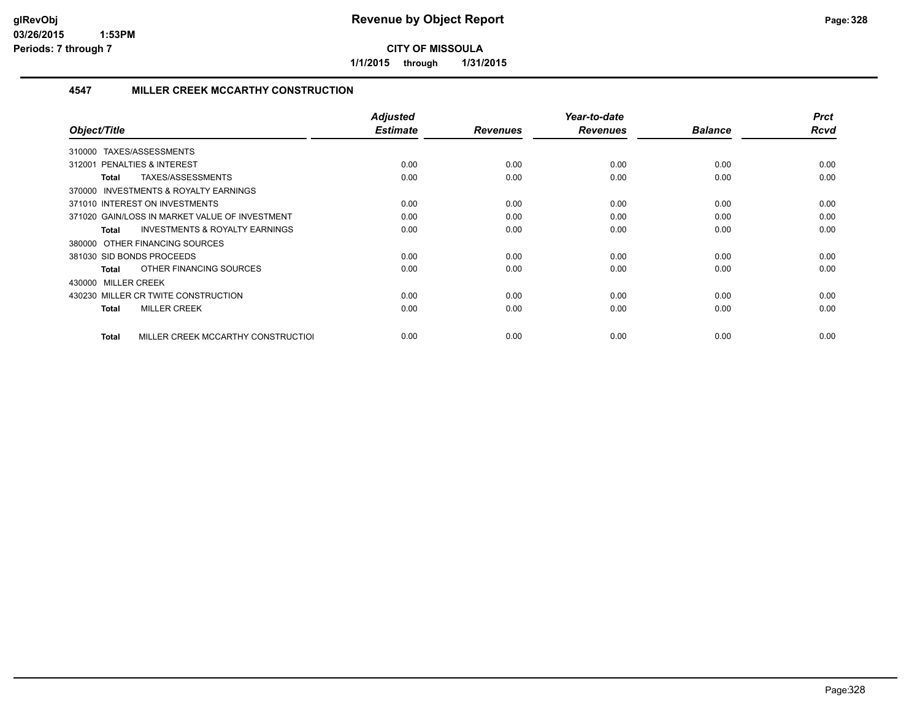**1/1/2015 through 1/31/2015**

### **4547 MILLER CREEK MCCARTHY CONSTRUCTION**

| Object/Title                                              | <b>Adjusted</b><br><b>Estimate</b> | <b>Revenues</b> | Year-to-date<br><b>Revenues</b> | <b>Balance</b> | <b>Prct</b><br>Rcvd |
|-----------------------------------------------------------|------------------------------------|-----------------|---------------------------------|----------------|---------------------|
| TAXES/ASSESSMENTS<br>310000                               |                                    |                 |                                 |                |                     |
| 312001 PENALTIES & INTEREST                               | 0.00                               | 0.00            | 0.00                            | 0.00           | 0.00                |
| TAXES/ASSESSMENTS<br>Total                                | 0.00                               | 0.00            | 0.00                            | 0.00           | 0.00                |
| INVESTMENTS & ROYALTY EARNINGS<br>370000                  |                                    |                 |                                 |                |                     |
| 371010 INTEREST ON INVESTMENTS                            | 0.00                               | 0.00            | 0.00                            | 0.00           | 0.00                |
| 371020 GAIN/LOSS IN MARKET VALUE OF INVESTMENT            | 0.00                               | 0.00            | 0.00                            | 0.00           | 0.00                |
| <b>INVESTMENTS &amp; ROYALTY EARNINGS</b><br><b>Total</b> | 0.00                               | 0.00            | 0.00                            | 0.00           | 0.00                |
| 380000 OTHER FINANCING SOURCES                            |                                    |                 |                                 |                |                     |
| 381030 SID BONDS PROCEEDS                                 | 0.00                               | 0.00            | 0.00                            | 0.00           | 0.00                |
| OTHER FINANCING SOURCES<br><b>Total</b>                   | 0.00                               | 0.00            | 0.00                            | 0.00           | 0.00                |
| 430000 MILLER CREEK                                       |                                    |                 |                                 |                |                     |
| 430230 MILLER CR TWITE CONSTRUCTION                       | 0.00                               | 0.00            | 0.00                            | 0.00           | 0.00                |
| <b>MILLER CREEK</b><br><b>Total</b>                       | 0.00                               | 0.00            | 0.00                            | 0.00           | 0.00                |
|                                                           |                                    |                 |                                 |                |                     |
| MILLER CREEK MCCARTHY CONSTRUCTIOL<br><b>Total</b>        | 0.00                               | 0.00            | 0.00                            | 0.00           | 0.00                |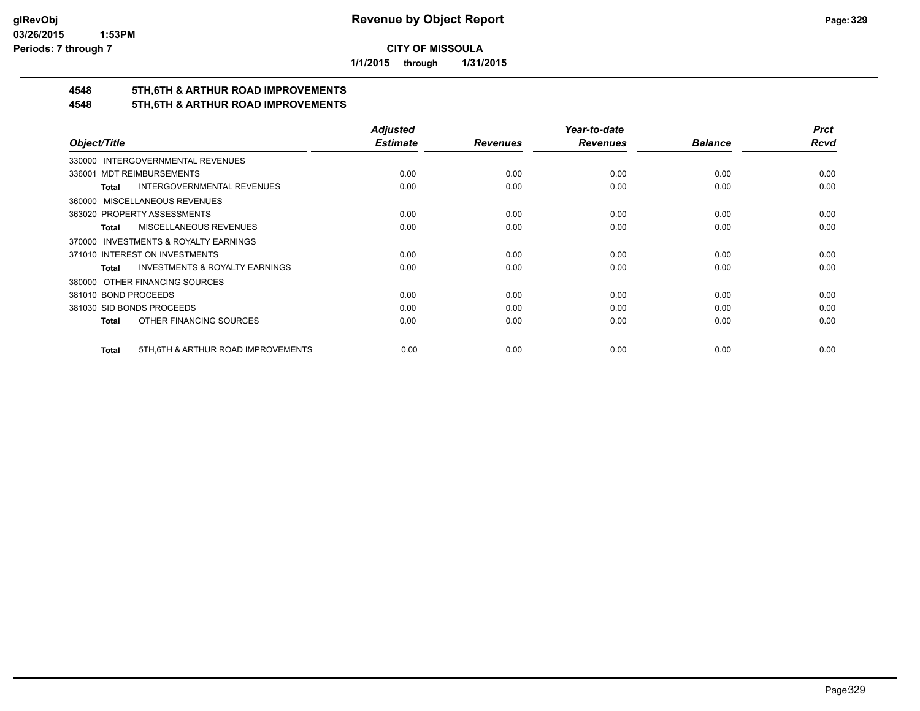**1/1/2015 through 1/31/2015**

# **4548 5TH,6TH & ARTHUR ROAD IMPROVEMENTS**

# **4548 5TH,6TH & ARTHUR ROAD IMPROVEMENTS**

|                                                    | <b>Adjusted</b> |                 | Year-to-date    |                | <b>Prct</b> |
|----------------------------------------------------|-----------------|-----------------|-----------------|----------------|-------------|
| Object/Title                                       | <b>Estimate</b> | <b>Revenues</b> | <b>Revenues</b> | <b>Balance</b> | <b>Rcvd</b> |
| 330000 INTERGOVERNMENTAL REVENUES                  |                 |                 |                 |                |             |
| <b>MDT REIMBURSEMENTS</b><br>336001                | 0.00            | 0.00            | 0.00            | 0.00           | 0.00        |
| <b>INTERGOVERNMENTAL REVENUES</b><br><b>Total</b>  | 0.00            | 0.00            | 0.00            | 0.00           | 0.00        |
| 360000 MISCELLANEOUS REVENUES                      |                 |                 |                 |                |             |
| 363020 PROPERTY ASSESSMENTS                        | 0.00            | 0.00            | 0.00            | 0.00           | 0.00        |
| MISCELLANEOUS REVENUES<br>Total                    | 0.00            | 0.00            | 0.00            | 0.00           | 0.00        |
| 370000 INVESTMENTS & ROYALTY EARNINGS              |                 |                 |                 |                |             |
| 371010 INTEREST ON INVESTMENTS                     | 0.00            | 0.00            | 0.00            | 0.00           | 0.00        |
| <b>INVESTMENTS &amp; ROYALTY EARNINGS</b><br>Total | 0.00            | 0.00            | 0.00            | 0.00           | 0.00        |
| 380000 OTHER FINANCING SOURCES                     |                 |                 |                 |                |             |
| 381010 BOND PROCEEDS                               | 0.00            | 0.00            | 0.00            | 0.00           | 0.00        |
| 381030 SID BONDS PROCEEDS                          | 0.00            | 0.00            | 0.00            | 0.00           | 0.00        |
| OTHER FINANCING SOURCES<br>Total                   | 0.00            | 0.00            | 0.00            | 0.00           | 0.00        |
| 5TH, 6TH & ARTHUR ROAD IMPROVEMENTS<br>Total       | 0.00            | 0.00            | 0.00            | 0.00           | 0.00        |
|                                                    |                 |                 |                 |                |             |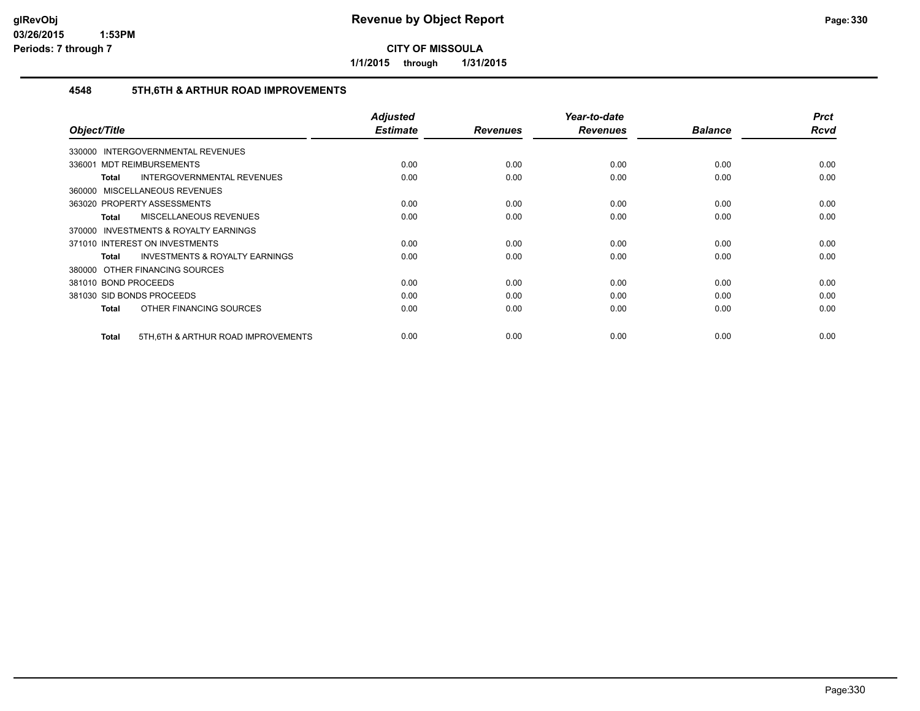**1/1/2015 through 1/31/2015**

### **4548 5TH,6TH & ARTHUR ROAD IMPROVEMENTS**

| Object/Title                                              | <b>Adjusted</b><br><b>Estimate</b> | <b>Revenues</b> | Year-to-date<br><b>Revenues</b> | <b>Balance</b> | <b>Prct</b><br><b>Rcvd</b> |
|-----------------------------------------------------------|------------------------------------|-----------------|---------------------------------|----------------|----------------------------|
| INTERGOVERNMENTAL REVENUES<br>330000                      |                                    |                 |                                 |                |                            |
| 336001 MDT REIMBURSEMENTS                                 | 0.00                               | 0.00            | 0.00                            | 0.00           | 0.00                       |
| <b>INTERGOVERNMENTAL REVENUES</b><br><b>Total</b>         | 0.00                               | 0.00            | 0.00                            | 0.00           | 0.00                       |
| 360000 MISCELLANEOUS REVENUES                             |                                    |                 |                                 |                |                            |
| 363020 PROPERTY ASSESSMENTS                               | 0.00                               | 0.00            | 0.00                            | 0.00           | 0.00                       |
| <b>MISCELLANEOUS REVENUES</b><br><b>Total</b>             | 0.00                               | 0.00            | 0.00                            | 0.00           | 0.00                       |
| 370000 INVESTMENTS & ROYALTY EARNINGS                     |                                    |                 |                                 |                |                            |
| 371010 INTEREST ON INVESTMENTS                            | 0.00                               | 0.00            | 0.00                            | 0.00           | 0.00                       |
| <b>INVESTMENTS &amp; ROYALTY EARNINGS</b><br><b>Total</b> | 0.00                               | 0.00            | 0.00                            | 0.00           | 0.00                       |
| 380000 OTHER FINANCING SOURCES                            |                                    |                 |                                 |                |                            |
| 381010 BOND PROCEEDS                                      | 0.00                               | 0.00            | 0.00                            | 0.00           | 0.00                       |
| 381030 SID BONDS PROCEEDS                                 | 0.00                               | 0.00            | 0.00                            | 0.00           | 0.00                       |
| OTHER FINANCING SOURCES<br><b>Total</b>                   | 0.00                               | 0.00            | 0.00                            | 0.00           | 0.00                       |
| 5TH, 6TH & ARTHUR ROAD IMPROVEMENTS<br>Total              | 0.00                               | 0.00            | 0.00                            | 0.00           | 0.00                       |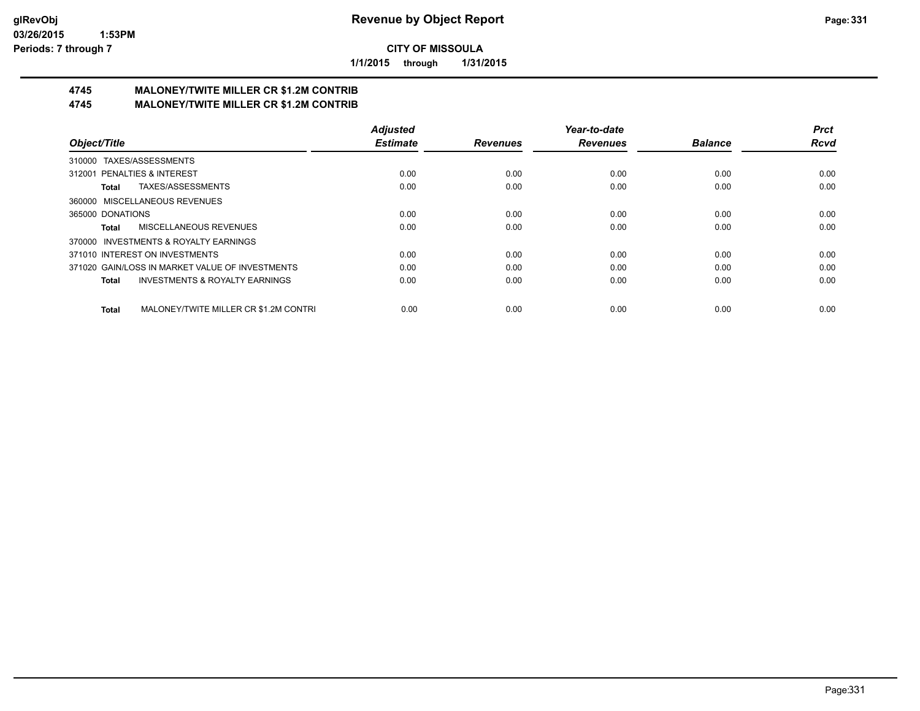**1/1/2015 through 1/31/2015**

# **4745 MALONEY/TWITE MILLER CR \$1.2M CONTRIB**

**4745 MALONEY/TWITE MILLER CR \$1.2M CONTRIB**

|                                                    | <b>Adjusted</b> |                 | Year-to-date    |                | <b>Prct</b> |
|----------------------------------------------------|-----------------|-----------------|-----------------|----------------|-------------|
| Object/Title                                       | <b>Estimate</b> | <b>Revenues</b> | <b>Revenues</b> | <b>Balance</b> | <b>Rcvd</b> |
| 310000 TAXES/ASSESSMENTS                           |                 |                 |                 |                |             |
| 312001 PENALTIES & INTEREST                        | 0.00            | 0.00            | 0.00            | 0.00           | 0.00        |
| TAXES/ASSESSMENTS<br>Total                         | 0.00            | 0.00            | 0.00            | 0.00           | 0.00        |
| 360000 MISCELLANEOUS REVENUES                      |                 |                 |                 |                |             |
| 365000 DONATIONS                                   | 0.00            | 0.00            | 0.00            | 0.00           | 0.00        |
| MISCELLANEOUS REVENUES<br>Total                    | 0.00            | 0.00            | 0.00            | 0.00           | 0.00        |
| 370000 INVESTMENTS & ROYALTY EARNINGS              |                 |                 |                 |                |             |
| 371010 INTEREST ON INVESTMENTS                     | 0.00            | 0.00            | 0.00            | 0.00           | 0.00        |
| 371020 GAIN/LOSS IN MARKET VALUE OF INVESTMENTS    | 0.00            | 0.00            | 0.00            | 0.00           | 0.00        |
| <b>INVESTMENTS &amp; ROYALTY EARNINGS</b><br>Total | 0.00            | 0.00            | 0.00            | 0.00           | 0.00        |
| MALONEY/TWITE MILLER CR \$1.2M CONTRI<br>Total     | 0.00            | 0.00            | 0.00            | 0.00           | 0.00        |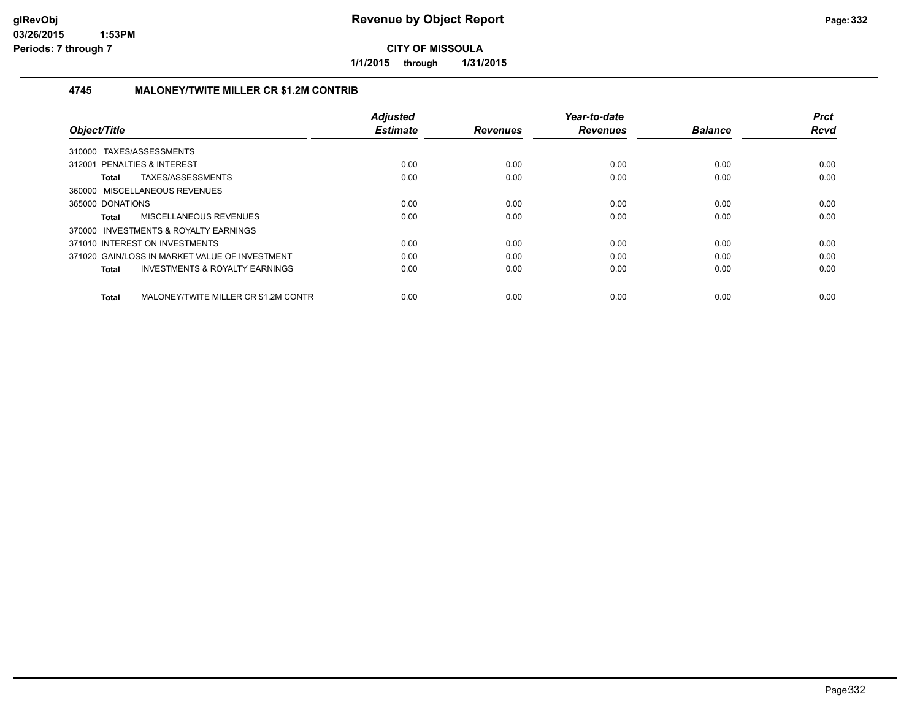**1/1/2015 through 1/31/2015**

#### **4745 MALONEY/TWITE MILLER CR \$1.2M CONTRIB**

| Object/Title                                         | <b>Adjusted</b><br><b>Estimate</b> | <b>Revenues</b> | Year-to-date<br><b>Revenues</b> | <b>Balance</b> | <b>Prct</b><br><b>Rcvd</b> |
|------------------------------------------------------|------------------------------------|-----------------|---------------------------------|----------------|----------------------------|
| 310000 TAXES/ASSESSMENTS                             |                                    |                 |                                 |                |                            |
| 312001 PENALTIES & INTEREST                          | 0.00                               | 0.00            | 0.00                            | 0.00           | 0.00                       |
| TAXES/ASSESSMENTS<br>Total                           | 0.00                               | 0.00            | 0.00                            | 0.00           | 0.00                       |
| 360000 MISCELLANEOUS REVENUES                        |                                    |                 |                                 |                |                            |
| 365000 DONATIONS                                     | 0.00                               | 0.00            | 0.00                            | 0.00           | 0.00                       |
| MISCELLANEOUS REVENUES<br>Total                      | 0.00                               | 0.00            | 0.00                            | 0.00           | 0.00                       |
| 370000 INVESTMENTS & ROYALTY EARNINGS                |                                    |                 |                                 |                |                            |
| 371010 INTEREST ON INVESTMENTS                       | 0.00                               | 0.00            | 0.00                            | 0.00           | 0.00                       |
| 371020 GAIN/LOSS IN MARKET VALUE OF INVESTMENT       | 0.00                               | 0.00            | 0.00                            | 0.00           | 0.00                       |
| <b>INVESTMENTS &amp; ROYALTY EARNINGS</b><br>Total   | 0.00                               | 0.00            | 0.00                            | 0.00           | 0.00                       |
| MALONEY/TWITE MILLER CR \$1.2M CONTR<br><b>Total</b> | 0.00                               | 0.00            | 0.00                            | 0.00           | 0.00                       |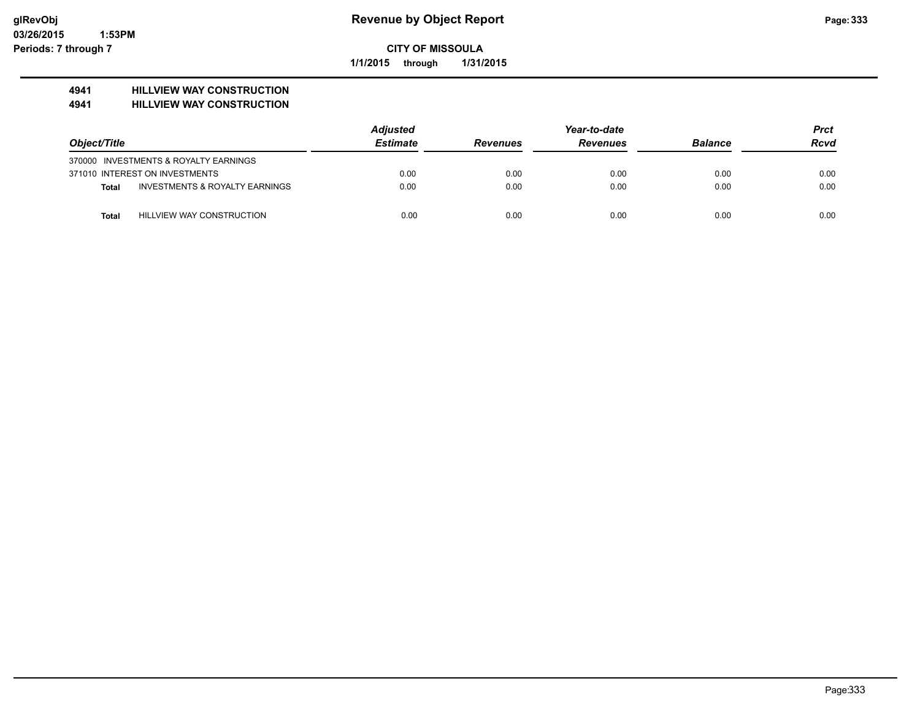**1/1/2015 through 1/31/2015**

# **4941 HILLVIEW WAY CONSTRUCTION**

#### **4941 HILLVIEW WAY CONSTRUCTION**

|              |                                           | <b>Adjusted</b> |                 | <b>Prct</b>     |                |             |
|--------------|-------------------------------------------|-----------------|-----------------|-----------------|----------------|-------------|
| Object/Title |                                           | <b>Estimate</b> | <b>Revenues</b> | <b>Revenues</b> | <b>Balance</b> | <b>Rcvd</b> |
|              | 370000 INVESTMENTS & ROYALTY EARNINGS     |                 |                 |                 |                |             |
|              | 371010 INTEREST ON INVESTMENTS            | 0.00            | 0.00            | 0.00            | 0.00           | 0.00        |
| Total        | <b>INVESTMENTS &amp; ROYALTY EARNINGS</b> | 0.00            | 0.00            | 0.00            | 0.00           | 0.00        |
| <b>Total</b> | HILLVIEW WAY CONSTRUCTION                 | 0.00            | 0.00            | 0.00            | 0.00           | 0.00        |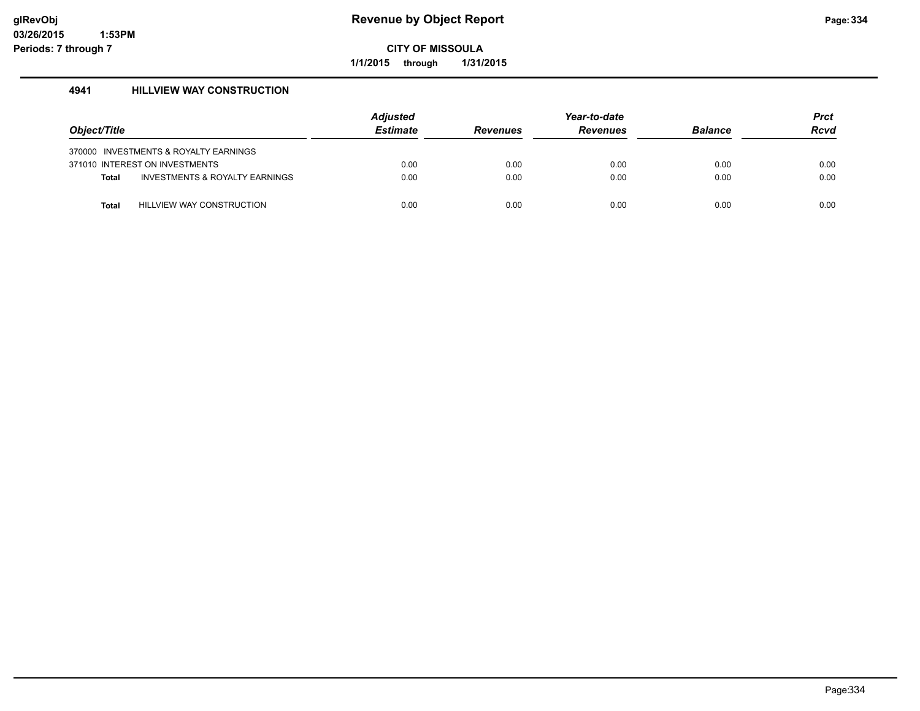**1/1/2015 through 1/31/2015**

## **4941 HILLVIEW WAY CONSTRUCTION**

| Object/Title |                                       | Adjusted<br><b>Estimate</b> | <b>Revenues</b> | Year-to-date<br><b>Revenues</b> | <b>Balance</b> | <b>Prct</b><br><b>Rcvd</b> |
|--------------|---------------------------------------|-----------------------------|-----------------|---------------------------------|----------------|----------------------------|
|              | 370000 INVESTMENTS & ROYALTY EARNINGS |                             |                 |                                 |                |                            |
|              | 371010 INTEREST ON INVESTMENTS        | 0.00                        | 0.00            | 0.00                            | 0.00           | 0.00                       |
| <b>Total</b> | INVESTMENTS & ROYALTY EARNINGS        | 0.00                        | 0.00            | 0.00                            | 0.00           | 0.00                       |
| Total        | <b>HILLVIEW WAY CONSTRUCTION</b>      | 0.00                        | 0.00            | 0.00                            | 0.00           | 0.00                       |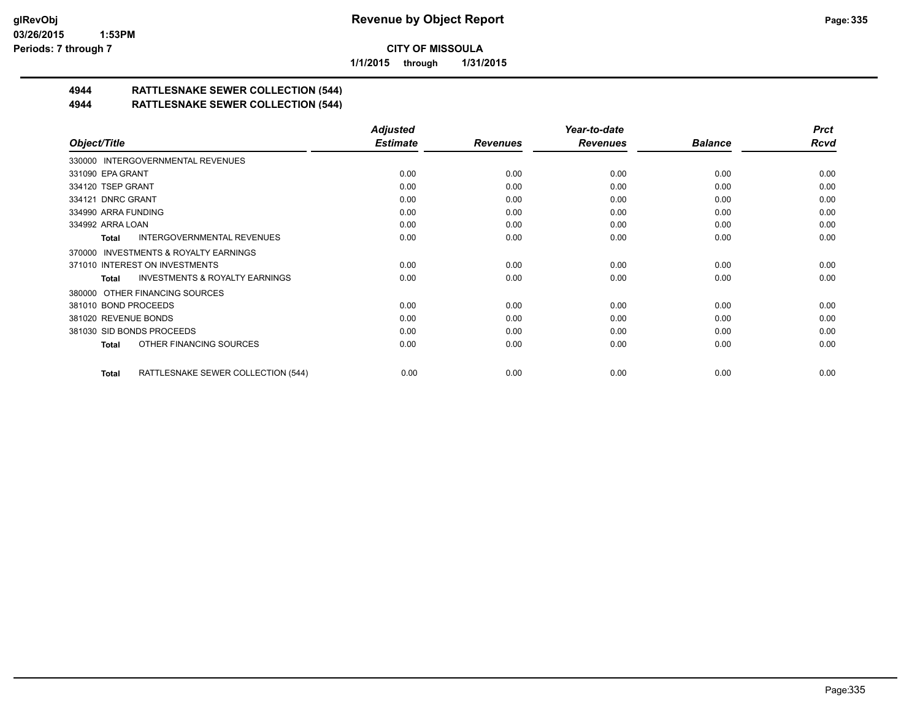**1/1/2015 through 1/31/2015**

# **4944 RATTLESNAKE SEWER COLLECTION (544)**

## **4944 RATTLESNAKE SEWER COLLECTION (544)**

|                                                    | <b>Adjusted</b> |                 | Year-to-date    |                | <b>Prct</b> |
|----------------------------------------------------|-----------------|-----------------|-----------------|----------------|-------------|
| Object/Title                                       | <b>Estimate</b> | <b>Revenues</b> | <b>Revenues</b> | <b>Balance</b> | <b>Rcvd</b> |
| 330000 INTERGOVERNMENTAL REVENUES                  |                 |                 |                 |                |             |
| 331090 EPA GRANT                                   | 0.00            | 0.00            | 0.00            | 0.00           | 0.00        |
| 334120 TSEP GRANT                                  | 0.00            | 0.00            | 0.00            | 0.00           | 0.00        |
| 334121 DNRC GRANT                                  | 0.00            | 0.00            | 0.00            | 0.00           | 0.00        |
| 334990 ARRA FUNDING                                | 0.00            | 0.00            | 0.00            | 0.00           | 0.00        |
| 334992 ARRA LOAN                                   | 0.00            | 0.00            | 0.00            | 0.00           | 0.00        |
| <b>INTERGOVERNMENTAL REVENUES</b><br>Total         | 0.00            | 0.00            | 0.00            | 0.00           | 0.00        |
| 370000 INVESTMENTS & ROYALTY EARNINGS              |                 |                 |                 |                |             |
| 371010 INTEREST ON INVESTMENTS                     | 0.00            | 0.00            | 0.00            | 0.00           | 0.00        |
| <b>INVESTMENTS &amp; ROYALTY EARNINGS</b><br>Total | 0.00            | 0.00            | 0.00            | 0.00           | 0.00        |
| 380000 OTHER FINANCING SOURCES                     |                 |                 |                 |                |             |
| 381010 BOND PROCEEDS                               | 0.00            | 0.00            | 0.00            | 0.00           | 0.00        |
| 381020 REVENUE BONDS                               | 0.00            | 0.00            | 0.00            | 0.00           | 0.00        |
| 381030 SID BONDS PROCEEDS                          | 0.00            | 0.00            | 0.00            | 0.00           | 0.00        |
| OTHER FINANCING SOURCES<br>Total                   | 0.00            | 0.00            | 0.00            | 0.00           | 0.00        |
| RATTLESNAKE SEWER COLLECTION (544)<br>Total        | 0.00            | 0.00            | 0.00            | 0.00           | 0.00        |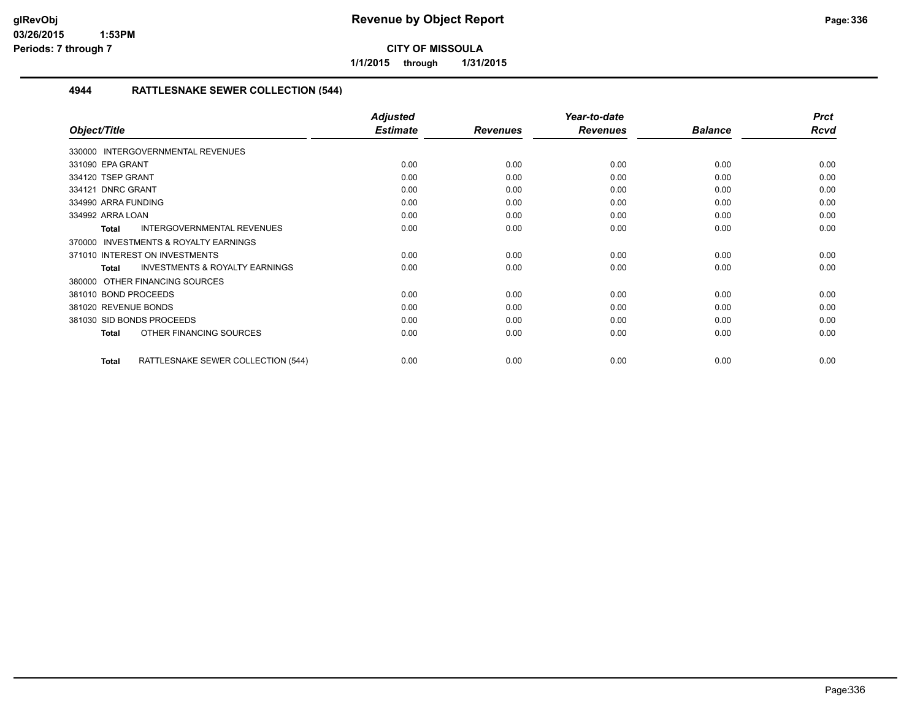**1/1/2015 through 1/31/2015**

## **4944 RATTLESNAKE SEWER COLLECTION (544)**

|                                                           | <b>Adjusted</b> |                 | Year-to-date    |                | <b>Prct</b> |
|-----------------------------------------------------------|-----------------|-----------------|-----------------|----------------|-------------|
| Object/Title                                              | <b>Estimate</b> | <b>Revenues</b> | <b>Revenues</b> | <b>Balance</b> | <b>Rcvd</b> |
| 330000 INTERGOVERNMENTAL REVENUES                         |                 |                 |                 |                |             |
| 331090 EPA GRANT                                          | 0.00            | 0.00            | 0.00            | 0.00           | 0.00        |
| 334120 TSEP GRANT                                         | 0.00            | 0.00            | 0.00            | 0.00           | 0.00        |
| 334121 DNRC GRANT                                         | 0.00            | 0.00            | 0.00            | 0.00           | 0.00        |
| 334990 ARRA FUNDING                                       | 0.00            | 0.00            | 0.00            | 0.00           | 0.00        |
| 334992 ARRA LOAN                                          | 0.00            | 0.00            | 0.00            | 0.00           | 0.00        |
| INTERGOVERNMENTAL REVENUES<br><b>Total</b>                | 0.00            | 0.00            | 0.00            | 0.00           | 0.00        |
| INVESTMENTS & ROYALTY EARNINGS<br>370000                  |                 |                 |                 |                |             |
| 371010 INTEREST ON INVESTMENTS                            | 0.00            | 0.00            | 0.00            | 0.00           | 0.00        |
| <b>INVESTMENTS &amp; ROYALTY EARNINGS</b><br><b>Total</b> | 0.00            | 0.00            | 0.00            | 0.00           | 0.00        |
| OTHER FINANCING SOURCES<br>380000                         |                 |                 |                 |                |             |
| 381010 BOND PROCEEDS                                      | 0.00            | 0.00            | 0.00            | 0.00           | 0.00        |
| 381020 REVENUE BONDS                                      | 0.00            | 0.00            | 0.00            | 0.00           | 0.00        |
| 381030 SID BONDS PROCEEDS                                 | 0.00            | 0.00            | 0.00            | 0.00           | 0.00        |
| OTHER FINANCING SOURCES<br><b>Total</b>                   | 0.00            | 0.00            | 0.00            | 0.00           | 0.00        |
| RATTLESNAKE SEWER COLLECTION (544)<br><b>Total</b>        | 0.00            | 0.00            | 0.00            | 0.00           | 0.00        |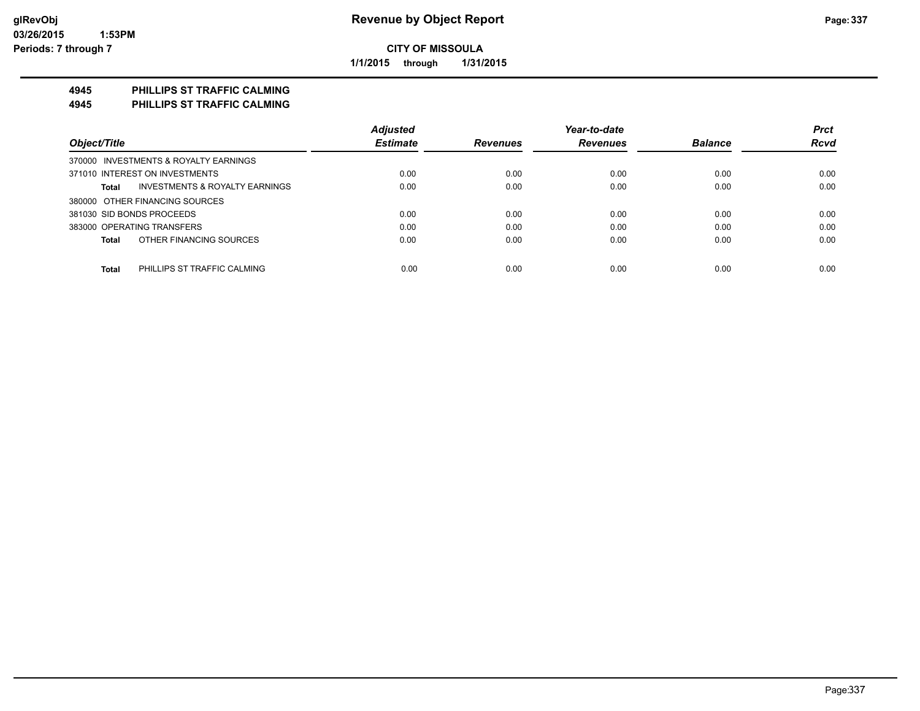**1/1/2015 through 1/31/2015**

#### **4945 PHILLIPS ST TRAFFIC CALMING**

**4945 PHILLIPS ST TRAFFIC CALMING**

|                                         | <b>Adjusted</b> |                 | Year-to-date    |                | <b>Prct</b> |
|-----------------------------------------|-----------------|-----------------|-----------------|----------------|-------------|
| Object/Title                            | <b>Estimate</b> | <b>Revenues</b> | <b>Revenues</b> | <b>Balance</b> | <b>Rcvd</b> |
| 370000 INVESTMENTS & ROYALTY EARNINGS   |                 |                 |                 |                |             |
| 371010 INTEREST ON INVESTMENTS          | 0.00            | 0.00            | 0.00            | 0.00           | 0.00        |
| INVESTMENTS & ROYALTY EARNINGS<br>Total | 0.00            | 0.00            | 0.00            | 0.00           | 0.00        |
| 380000 OTHER FINANCING SOURCES          |                 |                 |                 |                |             |
| 381030 SID BONDS PROCEEDS               | 0.00            | 0.00            | 0.00            | 0.00           | 0.00        |
| 383000 OPERATING TRANSFERS              | 0.00            | 0.00            | 0.00            | 0.00           | 0.00        |
| OTHER FINANCING SOURCES<br>Total        | 0.00            | 0.00            | 0.00            | 0.00           | 0.00        |
|                                         |                 |                 |                 |                |             |
| PHILLIPS ST TRAFFIC CALMING<br>Total    | 0.00            | 0.00            | 0.00            | 0.00           | 0.00        |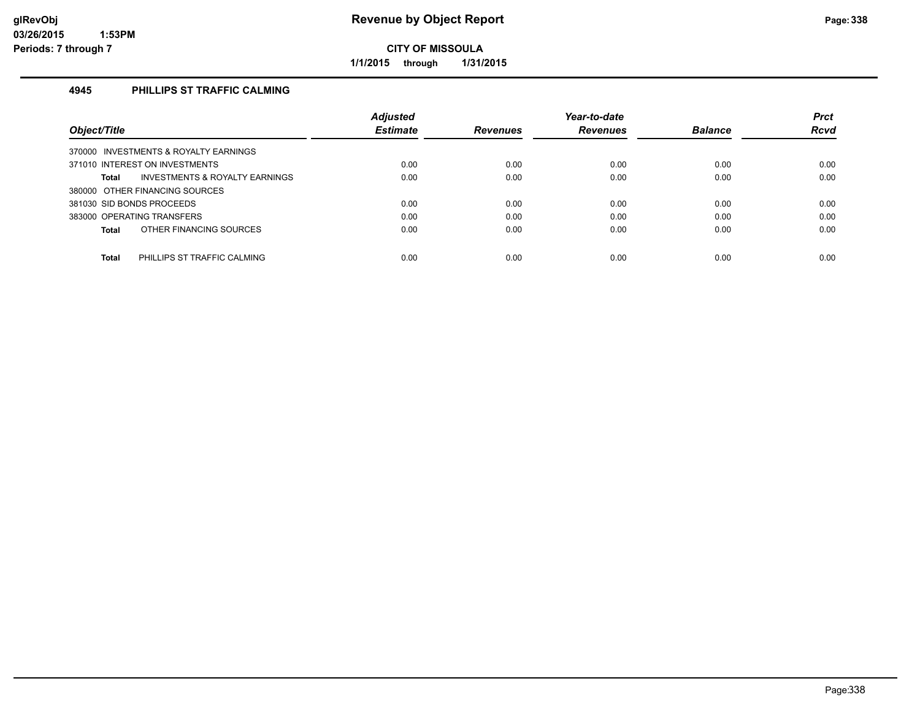**1/1/2015 through 1/31/2015**

## **4945 PHILLIPS ST TRAFFIC CALMING**

|                                             | <b>Adjusted</b> |                 | Year-to-date    |                | <b>Prct</b> |
|---------------------------------------------|-----------------|-----------------|-----------------|----------------|-------------|
| Object/Title                                | <b>Estimate</b> | <b>Revenues</b> | <b>Revenues</b> | <b>Balance</b> | <b>Rcvd</b> |
| 370000 INVESTMENTS & ROYALTY EARNINGS       |                 |                 |                 |                |             |
| 371010 INTEREST ON INVESTMENTS              | 0.00            | 0.00            | 0.00            | 0.00           | 0.00        |
| INVESTMENTS & ROYALTY EARNINGS<br>Total     | 0.00            | 0.00            | 0.00            | 0.00           | 0.00        |
| 380000 OTHER FINANCING SOURCES              |                 |                 |                 |                |             |
| 381030 SID BONDS PROCEEDS                   | 0.00            | 0.00            | 0.00            | 0.00           | 0.00        |
| 383000 OPERATING TRANSFERS                  | 0.00            | 0.00            | 0.00            | 0.00           | 0.00        |
| OTHER FINANCING SOURCES<br>Total            | 0.00            | 0.00            | 0.00            | 0.00           | 0.00        |
|                                             |                 |                 |                 |                |             |
| <b>Total</b><br>PHILLIPS ST TRAFFIC CALMING | 0.00            | 0.00            | 0.00            | 0.00           | 0.00        |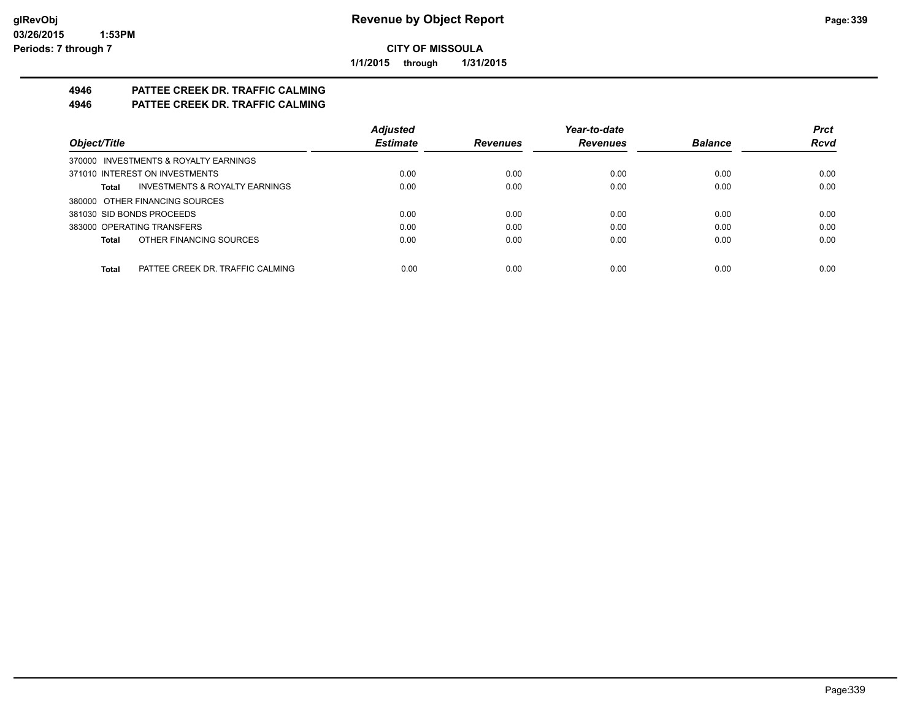**1/1/2015 through 1/31/2015**

# **4946 PATTEE CREEK DR. TRAFFIC CALMING**

**4946 PATTEE CREEK DR. TRAFFIC CALMING**

|                                                    | <b>Adjusted</b> |                 | Year-to-date    |                | <b>Prct</b> |
|----------------------------------------------------|-----------------|-----------------|-----------------|----------------|-------------|
| Object/Title                                       | <b>Estimate</b> | <b>Revenues</b> | <b>Revenues</b> | <b>Balance</b> | <b>Rcvd</b> |
| 370000 INVESTMENTS & ROYALTY EARNINGS              |                 |                 |                 |                |             |
| 371010 INTEREST ON INVESTMENTS                     | 0.00            | 0.00            | 0.00            | 0.00           | 0.00        |
| <b>INVESTMENTS &amp; ROYALTY EARNINGS</b><br>Total | 0.00            | 0.00            | 0.00            | 0.00           | 0.00        |
| 380000 OTHER FINANCING SOURCES                     |                 |                 |                 |                |             |
| 381030 SID BONDS PROCEEDS                          | 0.00            | 0.00            | 0.00            | 0.00           | 0.00        |
| 383000 OPERATING TRANSFERS                         | 0.00            | 0.00            | 0.00            | 0.00           | 0.00        |
| OTHER FINANCING SOURCES<br>Total                   | 0.00            | 0.00            | 0.00            | 0.00           | 0.00        |
|                                                    |                 |                 |                 |                |             |
| PATTEE CREEK DR. TRAFFIC CALMING<br><b>Total</b>   | 0.00            | 0.00            | 0.00            | 0.00           | 0.00        |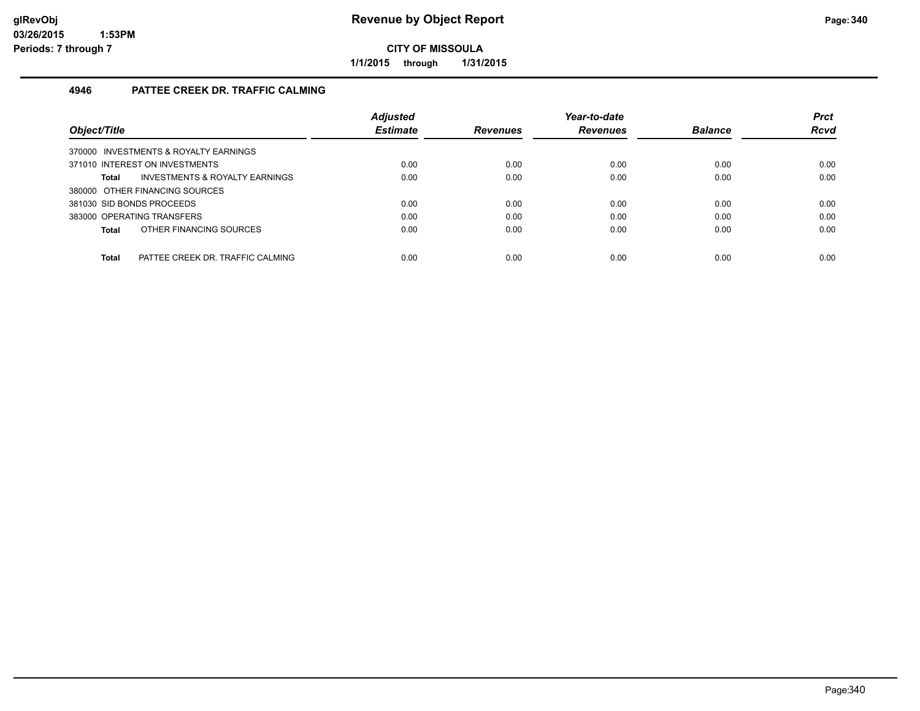**1/1/2015 through 1/31/2015**

## **4946 PATTEE CREEK DR. TRAFFIC CALMING**

| Object/Title                                     | <b>Adjusted</b><br><b>Estimate</b> | <b>Revenues</b> | Year-to-date<br><b>Revenues</b> | <b>Balance</b> | <b>Prct</b><br><b>Rcvd</b> |
|--------------------------------------------------|------------------------------------|-----------------|---------------------------------|----------------|----------------------------|
|                                                  |                                    |                 |                                 |                |                            |
| 370000 INVESTMENTS & ROYALTY EARNINGS            |                                    |                 |                                 |                |                            |
| 371010 INTEREST ON INVESTMENTS                   | 0.00                               | 0.00            | 0.00                            | 0.00           | 0.00                       |
| INVESTMENTS & ROYALTY EARNINGS<br>Total          | 0.00                               | 0.00            | 0.00                            | 0.00           | 0.00                       |
| 380000 OTHER FINANCING SOURCES                   |                                    |                 |                                 |                |                            |
| 381030 SID BONDS PROCEEDS                        | 0.00                               | 0.00            | 0.00                            | 0.00           | 0.00                       |
| 383000 OPERATING TRANSFERS                       | 0.00                               | 0.00            | 0.00                            | 0.00           | 0.00                       |
| OTHER FINANCING SOURCES<br>Total                 | 0.00                               | 0.00            | 0.00                            | 0.00           | 0.00                       |
|                                                  |                                    |                 |                                 |                |                            |
| <b>Total</b><br>PATTEE CREEK DR. TRAFFIC CALMING | 0.00                               | 0.00            | 0.00                            | 0.00           | 0.00                       |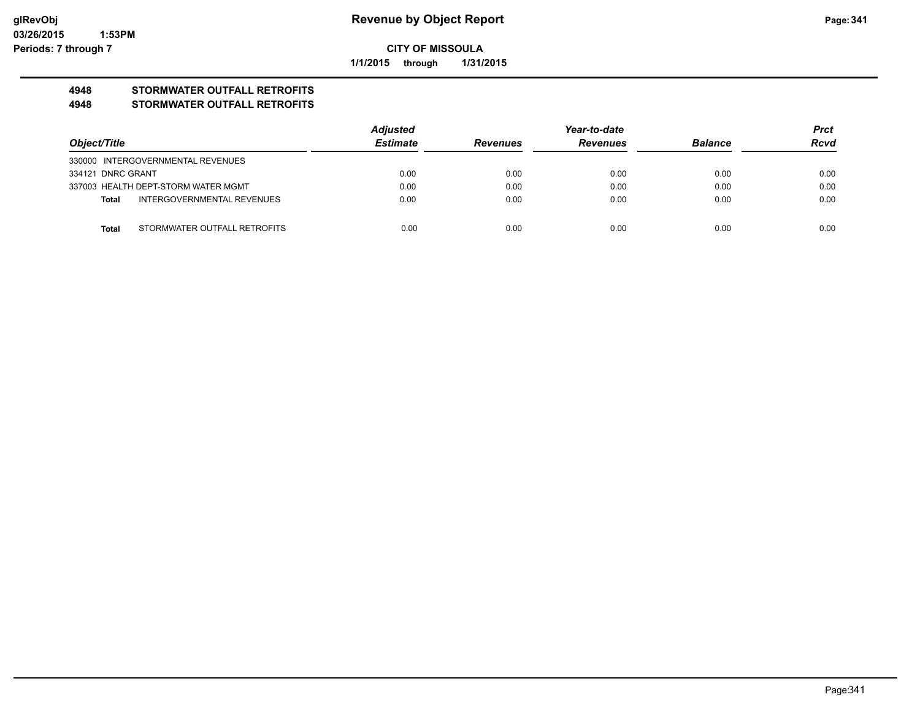**1/1/2015 through 1/31/2015**

# **4948 STORMWATER OUTFALL RETROFITS**

#### **4948 STORMWATER OUTFALL RETROFITS**

|                   |                                     | <b>Adjusted</b> | Year-to-date    |                 |                | <b>Prct</b> |
|-------------------|-------------------------------------|-----------------|-----------------|-----------------|----------------|-------------|
| Object/Title      |                                     | <b>Estimate</b> | <b>Revenues</b> | <b>Revenues</b> | <b>Balance</b> | <b>Rcvd</b> |
|                   | 330000 INTERGOVERNMENTAL REVENUES   |                 |                 |                 |                |             |
| 334121 DNRC GRANT |                                     | 0.00            | 0.00            | 0.00            | 0.00           | 0.00        |
|                   | 337003 HEALTH DEPT-STORM WATER MGMT | 0.00            | 0.00            | 0.00            | 0.00           | 0.00        |
| Total             | INTERGOVERNMENTAL REVENUES          | 0.00            | 0.00            | 0.00            | 0.00           | 0.00        |
|                   |                                     |                 |                 |                 |                |             |
| <b>Total</b>      | STORMWATER OUTFALL RETROFITS        | 0.00            | 0.00            | 0.00            | 0.00           | 0.00        |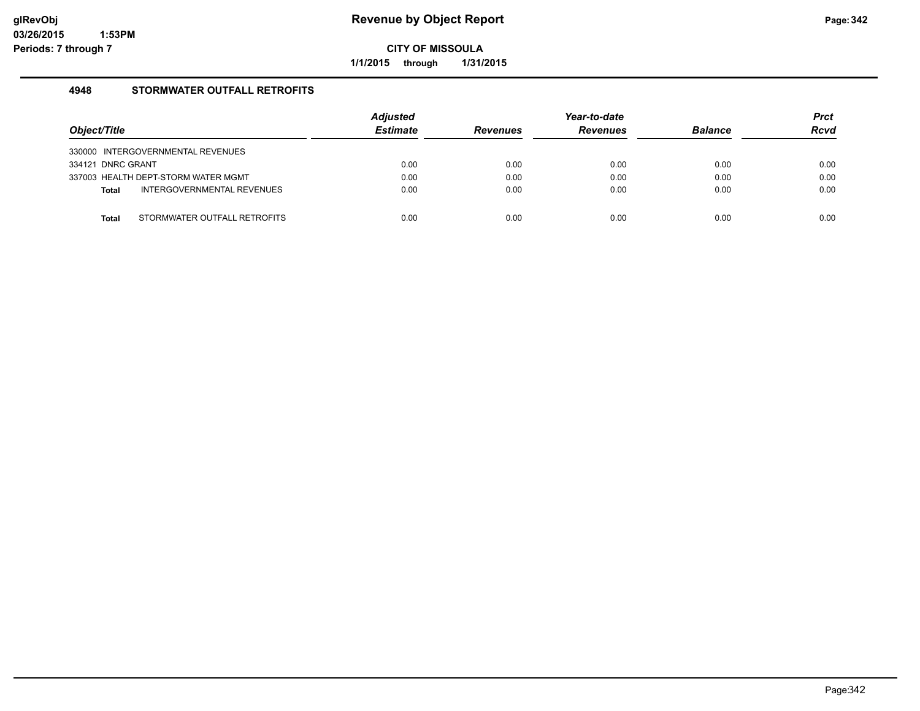**1/1/2015 through 1/31/2015**

## **4948 STORMWATER OUTFALL RETROFITS**

| Object/Title                               | <b>Adjusted</b><br><b>Estimate</b> | <b>Revenues</b> | Year-to-date<br><b>Revenues</b> | <b>Balance</b> | <b>Prct</b><br><b>Rcvd</b> |
|--------------------------------------------|------------------------------------|-----------------|---------------------------------|----------------|----------------------------|
| 330000 INTERGOVERNMENTAL REVENUES          |                                    |                 |                                 |                |                            |
| 334121 DNRC GRANT                          | 0.00                               | 0.00            | 0.00                            | 0.00           | 0.00                       |
| 337003 HEALTH DEPT-STORM WATER MGMT        | 0.00                               | 0.00            | 0.00                            | 0.00           | 0.00                       |
| INTERGOVERNMENTAL REVENUES<br><b>Total</b> | 0.00                               | 0.00            | 0.00                            | 0.00           | 0.00                       |
|                                            |                                    |                 |                                 |                |                            |
| STORMWATER OUTFALL RETROFITS<br>Total      | 0.00                               | 0.00            | 0.00                            | 0.00           | 0.00                       |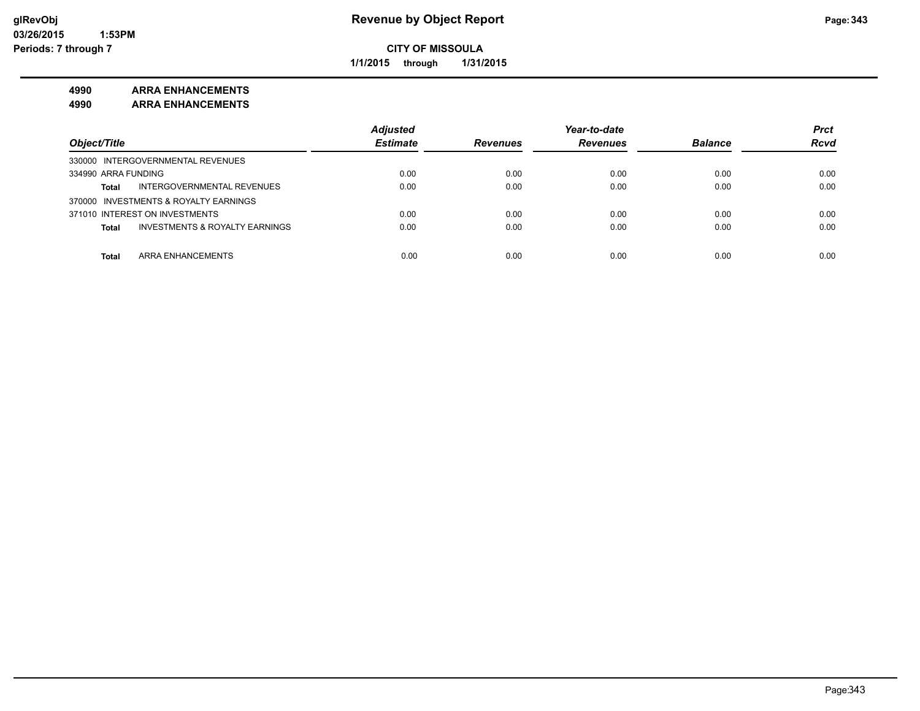**1/1/2015 through 1/31/2015**

### **4990 ARRA ENHANCEMENTS**

**4990 ARRA ENHANCEMENTS**

|                                                           | <b>Adjusted</b> |                 | Year-to-date    |                | <b>Prct</b> |
|-----------------------------------------------------------|-----------------|-----------------|-----------------|----------------|-------------|
| Object/Title                                              | <b>Estimate</b> | <b>Revenues</b> | <b>Revenues</b> | <b>Balance</b> | <b>Rcvd</b> |
| 330000 INTERGOVERNMENTAL REVENUES                         |                 |                 |                 |                |             |
| 334990 ARRA FUNDING                                       | 0.00            | 0.00            | 0.00            | 0.00           | 0.00        |
| INTERGOVERNMENTAL REVENUES<br><b>Total</b>                | 0.00            | 0.00            | 0.00            | 0.00           | 0.00        |
| 370000 INVESTMENTS & ROYALTY EARNINGS                     |                 |                 |                 |                |             |
| 371010 INTEREST ON INVESTMENTS                            | 0.00            | 0.00            | 0.00            | 0.00           | 0.00        |
| <b>INVESTMENTS &amp; ROYALTY EARNINGS</b><br><b>Total</b> | 0.00            | 0.00            | 0.00            | 0.00           | 0.00        |
|                                                           |                 |                 |                 |                |             |
| ARRA ENHANCEMENTS<br><b>Total</b>                         | 0.00            | 0.00            | 0.00            | 0.00           | 0.00        |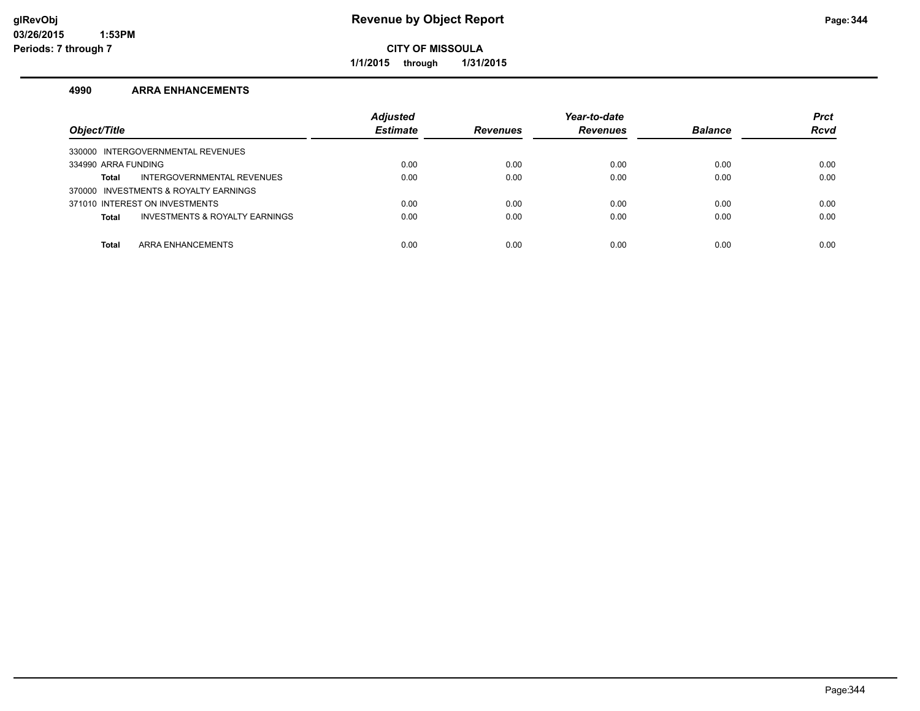## **glRevObj Revenue by Object Report Page:344**

**CITY OF MISSOULA**

**1/1/2015 through 1/31/2015**

#### **4990 ARRA ENHANCEMENTS**

| Object/Title                                   | <b>Adjusted</b><br><b>Estimate</b> | <b>Revenues</b> | Year-to-date<br><b>Revenues</b> | <b>Balance</b> | <b>Prct</b><br><b>Rcvd</b> |
|------------------------------------------------|------------------------------------|-----------------|---------------------------------|----------------|----------------------------|
| 330000 INTERGOVERNMENTAL REVENUES              |                                    |                 |                                 |                |                            |
| 334990 ARRA FUNDING                            | 0.00                               | 0.00            | 0.00                            | 0.00           | 0.00                       |
| INTERGOVERNMENTAL REVENUES<br>Total            | 0.00                               | 0.00            | 0.00                            | 0.00           | 0.00                       |
| 370000 INVESTMENTS & ROYALTY EARNINGS          |                                    |                 |                                 |                |                            |
| 371010 INTEREST ON INVESTMENTS                 | 0.00                               | 0.00            | 0.00                            | 0.00           | 0.00                       |
| INVESTMENTS & ROYALTY EARNINGS<br><b>Total</b> | 0.00                               | 0.00            | 0.00                            | 0.00           | 0.00                       |
|                                                |                                    |                 |                                 |                |                            |
| ARRA ENHANCEMENTS<br><b>Total</b>              | 0.00                               | 0.00            | 0.00                            | 0.00           | 0.00                       |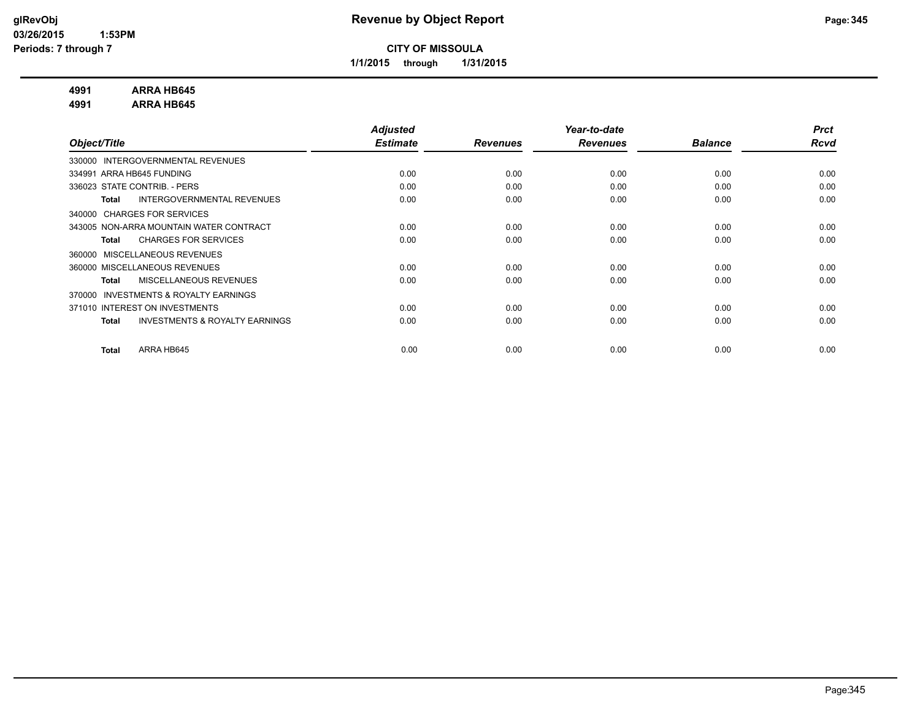**1/1/2015 through 1/31/2015**

#### **4991 ARRA HB645**

**4991 ARRA HB645**

|                                                           | <b>Adjusted</b> |                 | Year-to-date    |                | <b>Prct</b> |
|-----------------------------------------------------------|-----------------|-----------------|-----------------|----------------|-------------|
| Object/Title                                              | <b>Estimate</b> | <b>Revenues</b> | <b>Revenues</b> | <b>Balance</b> | <b>Rcvd</b> |
| 330000 INTERGOVERNMENTAL REVENUES                         |                 |                 |                 |                |             |
| 334991 ARRA HB645 FUNDING                                 | 0.00            | 0.00            | 0.00            | 0.00           | 0.00        |
| 336023 STATE CONTRIB. - PERS                              | 0.00            | 0.00            | 0.00            | 0.00           | 0.00        |
| <b>INTERGOVERNMENTAL REVENUES</b><br>Total                | 0.00            | 0.00            | 0.00            | 0.00           | 0.00        |
| 340000 CHARGES FOR SERVICES                               |                 |                 |                 |                |             |
| 343005 NON-ARRA MOUNTAIN WATER CONTRACT                   | 0.00            | 0.00            | 0.00            | 0.00           | 0.00        |
| <b>CHARGES FOR SERVICES</b><br>Total                      | 0.00            | 0.00            | 0.00            | 0.00           | 0.00        |
| MISCELLANEOUS REVENUES<br>360000                          |                 |                 |                 |                |             |
| 360000 MISCELLANEOUS REVENUES                             | 0.00            | 0.00            | 0.00            | 0.00           | 0.00        |
| <b>MISCELLANEOUS REVENUES</b><br><b>Total</b>             | 0.00            | 0.00            | 0.00            | 0.00           | 0.00        |
| <b>INVESTMENTS &amp; ROYALTY EARNINGS</b><br>370000       |                 |                 |                 |                |             |
| 371010 INTEREST ON INVESTMENTS                            | 0.00            | 0.00            | 0.00            | 0.00           | 0.00        |
| <b>INVESTMENTS &amp; ROYALTY EARNINGS</b><br><b>Total</b> | 0.00            | 0.00            | 0.00            | 0.00           | 0.00        |
|                                                           |                 |                 |                 |                |             |
| ARRA HB645<br><b>Total</b>                                | 0.00            | 0.00            | 0.00            | 0.00           | 0.00        |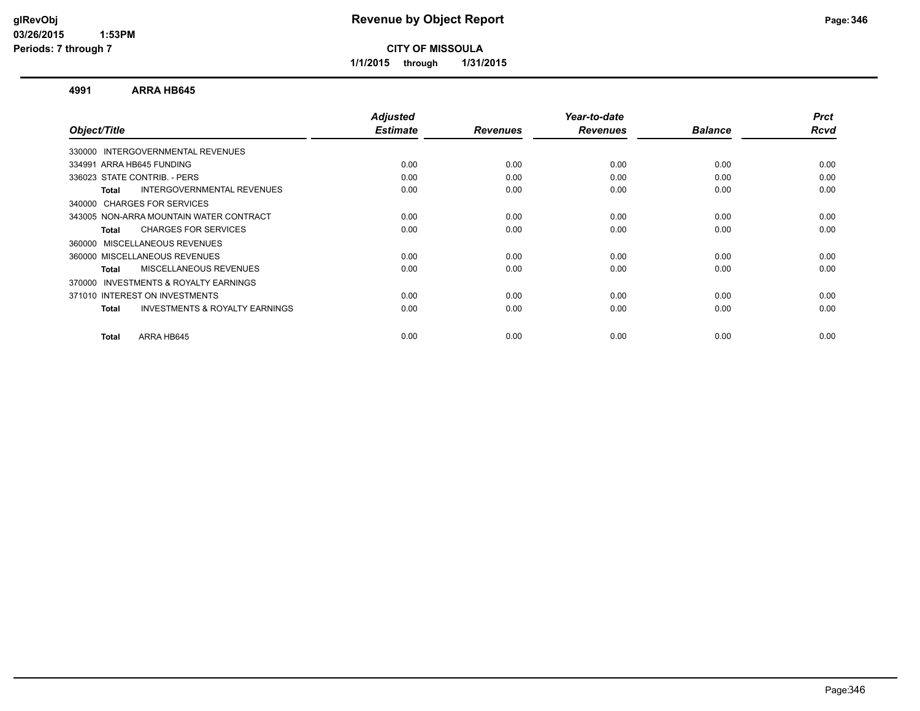**1/1/2015 through 1/31/2015**

#### **4991 ARRA HB645**

| Object/Title                                              | <b>Adjusted</b><br><b>Estimate</b> | <b>Revenues</b> | Year-to-date<br><b>Revenues</b> | <b>Balance</b> | <b>Prct</b><br>Rcvd |
|-----------------------------------------------------------|------------------------------------|-----------------|---------------------------------|----------------|---------------------|
|                                                           |                                    |                 |                                 |                |                     |
| 330000 INTERGOVERNMENTAL REVENUES                         |                                    |                 |                                 |                |                     |
| 334991 ARRA HB645 FUNDING                                 | 0.00                               | 0.00            | 0.00                            | 0.00           | 0.00                |
| 336023 STATE CONTRIB. - PERS                              | 0.00                               | 0.00            | 0.00                            | 0.00           | 0.00                |
| <b>INTERGOVERNMENTAL REVENUES</b><br>Total                | 0.00                               | 0.00            | 0.00                            | 0.00           | 0.00                |
| 340000 CHARGES FOR SERVICES                               |                                    |                 |                                 |                |                     |
| 343005 NON-ARRA MOUNTAIN WATER CONTRACT                   | 0.00                               | 0.00            | 0.00                            | 0.00           | 0.00                |
| <b>CHARGES FOR SERVICES</b><br>Total                      | 0.00                               | 0.00            | 0.00                            | 0.00           | 0.00                |
| 360000 MISCELLANEOUS REVENUES                             |                                    |                 |                                 |                |                     |
| 360000 MISCELLANEOUS REVENUES                             | 0.00                               | 0.00            | 0.00                            | 0.00           | 0.00                |
| MISCELLANEOUS REVENUES<br>Total                           | 0.00                               | 0.00            | 0.00                            | 0.00           | 0.00                |
| 370000 INVESTMENTS & ROYALTY EARNINGS                     |                                    |                 |                                 |                |                     |
| 371010 INTEREST ON INVESTMENTS                            | 0.00                               | 0.00            | 0.00                            | 0.00           | 0.00                |
| <b>INVESTMENTS &amp; ROYALTY EARNINGS</b><br><b>Total</b> | 0.00                               | 0.00            | 0.00                            | 0.00           | 0.00                |
|                                                           |                                    |                 |                                 |                |                     |
| ARRA HB645<br><b>Total</b>                                | 0.00                               | 0.00            | 0.00                            | 0.00           | 0.00                |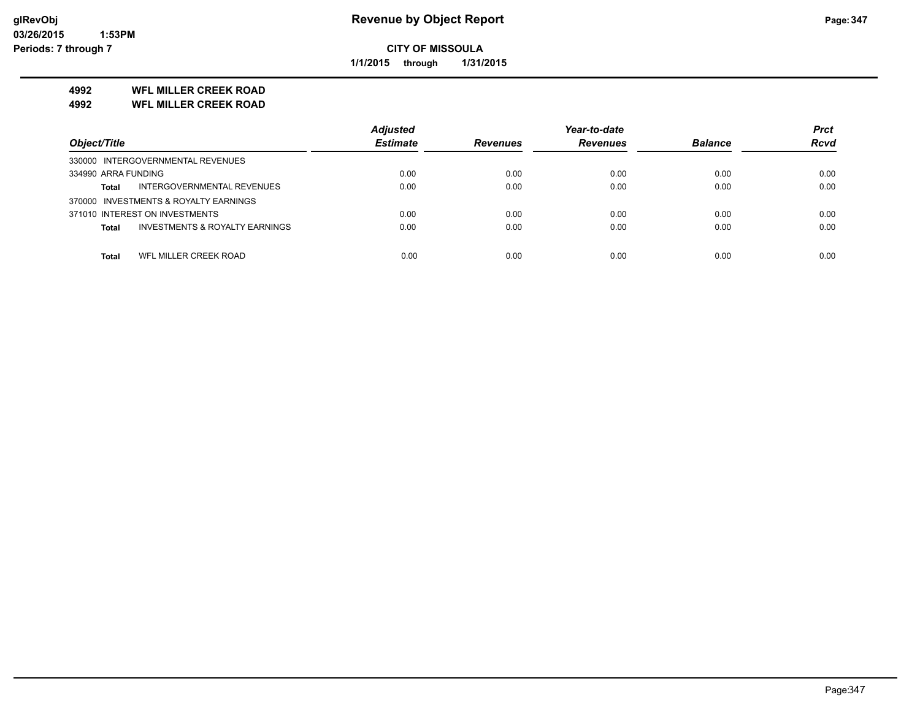**1/1/2015 through 1/31/2015**

## **4992 WFL MILLER CREEK ROAD**

**4992 WFL MILLER CREEK ROAD**

|                                                    | <b>Adiusted</b> |                 | Year-to-date    |                | <b>Prct</b> |
|----------------------------------------------------|-----------------|-----------------|-----------------|----------------|-------------|
| Object/Title                                       | <b>Estimate</b> | <b>Revenues</b> | <b>Revenues</b> | <b>Balance</b> | <b>Rcvd</b> |
| 330000 INTERGOVERNMENTAL REVENUES                  |                 |                 |                 |                |             |
| 334990 ARRA FUNDING                                | 0.00            | 0.00            | 0.00            | 0.00           | 0.00        |
| INTERGOVERNMENTAL REVENUES<br>Total                | 0.00            | 0.00            | 0.00            | 0.00           | 0.00        |
| 370000 INVESTMENTS & ROYALTY EARNINGS              |                 |                 |                 |                |             |
| 371010 INTEREST ON INVESTMENTS                     | 0.00            | 0.00            | 0.00            | 0.00           | 0.00        |
| <b>INVESTMENTS &amp; ROYALTY EARNINGS</b><br>Total | 0.00            | 0.00            | 0.00            | 0.00           | 0.00        |
|                                                    |                 |                 |                 |                |             |
| WFL MILLER CREEK ROAD<br>Total                     | 0.00            | 0.00            | 0.00            | 0.00           | 0.00        |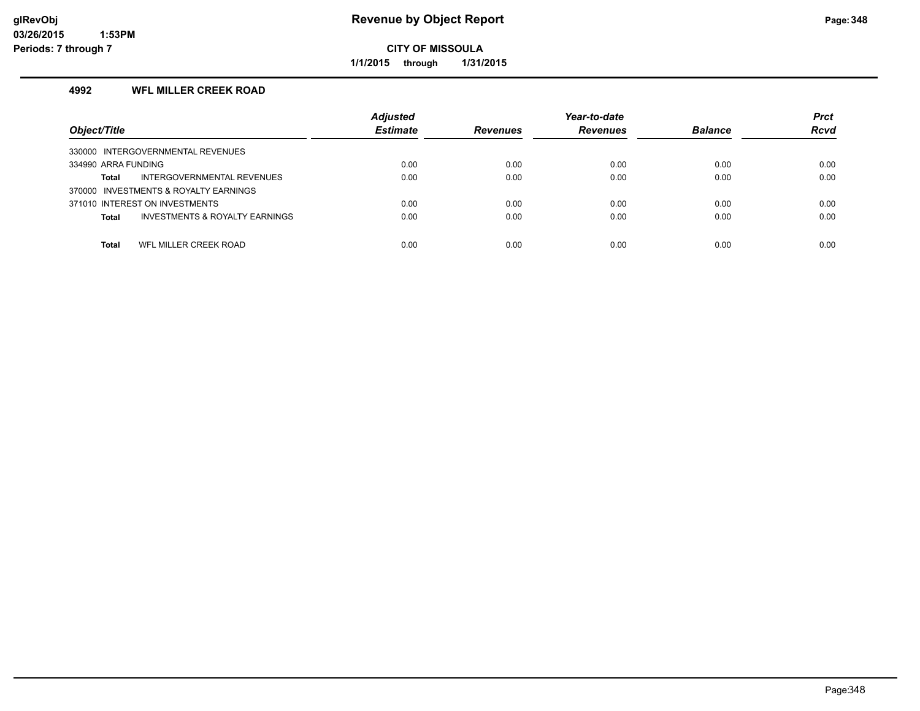**1/1/2015 through 1/31/2015**

### **4992 WFL MILLER CREEK ROAD**

| Object/Title                                              | <b>Adjusted</b><br><b>Estimate</b> | <b>Revenues</b> | Year-to-date<br><b>Revenues</b> | <b>Balance</b> | <b>Prct</b><br><b>Rcvd</b> |
|-----------------------------------------------------------|------------------------------------|-----------------|---------------------------------|----------------|----------------------------|
| 330000 INTERGOVERNMENTAL REVENUES                         |                                    |                 |                                 |                |                            |
| 334990 ARRA FUNDING                                       | 0.00                               | 0.00            | 0.00                            | 0.00           | 0.00                       |
| INTERGOVERNMENTAL REVENUES<br>Total                       | 0.00                               | 0.00            | 0.00                            | 0.00           | 0.00                       |
| 370000 INVESTMENTS & ROYALTY EARNINGS                     |                                    |                 |                                 |                |                            |
| 371010 INTEREST ON INVESTMENTS                            | 0.00                               | 0.00            | 0.00                            | 0.00           | 0.00                       |
| <b>INVESTMENTS &amp; ROYALTY EARNINGS</b><br><b>Total</b> | 0.00                               | 0.00            | 0.00                            | 0.00           | 0.00                       |
|                                                           |                                    |                 |                                 |                |                            |
| WFL MILLER CREEK ROAD<br><b>Total</b>                     | 0.00                               | 0.00            | 0.00                            | 0.00           | 0.00                       |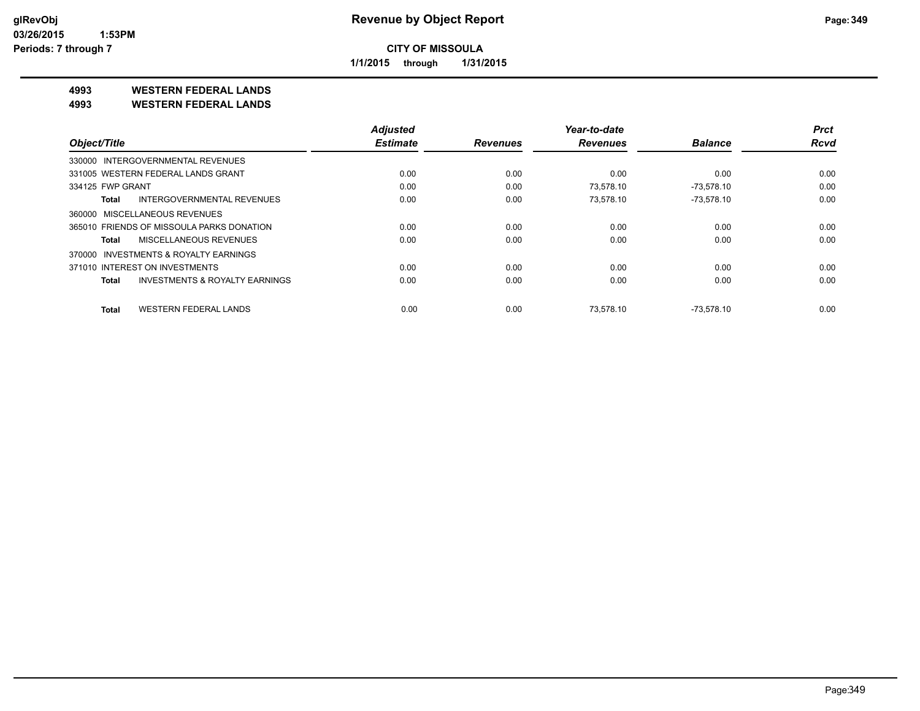**1/1/2015 through 1/31/2015**

**4993 WESTERN FEDERAL LANDS**

**4993 WESTERN FEDERAL LANDS**

|                                            | <b>Adjusted</b> |                 | Year-to-date    |                | <b>Prct</b> |
|--------------------------------------------|-----------------|-----------------|-----------------|----------------|-------------|
| Object/Title                               | <b>Estimate</b> | <b>Revenues</b> | <b>Revenues</b> | <b>Balance</b> | <b>Rcvd</b> |
| 330000 INTERGOVERNMENTAL REVENUES          |                 |                 |                 |                |             |
| 331005 WESTERN FEDERAL LANDS GRANT         | 0.00            | 0.00            | 0.00            | 0.00           | 0.00        |
| 334125 FWP GRANT                           | 0.00            | 0.00            | 73.578.10       | $-73.578.10$   | 0.00        |
| <b>INTERGOVERNMENTAL REVENUES</b><br>Total | 0.00            | 0.00            | 73,578.10       | $-73,578.10$   | 0.00        |
| 360000 MISCELLANEOUS REVENUES              |                 |                 |                 |                |             |
| 365010 FRIENDS OF MISSOULA PARKS DONATION  | 0.00            | 0.00            | 0.00            | 0.00           | 0.00        |
| MISCELLANEOUS REVENUES<br>Total            | 0.00            | 0.00            | 0.00            | 0.00           | 0.00        |
| INVESTMENTS & ROYALTY EARNINGS<br>370000   |                 |                 |                 |                |             |
| 371010 INTEREST ON INVESTMENTS             | 0.00            | 0.00            | 0.00            | 0.00           | 0.00        |
| INVESTMENTS & ROYALTY EARNINGS<br>Total    | 0.00            | 0.00            | 0.00            | 0.00           | 0.00        |
| <b>WESTERN FEDERAL LANDS</b><br>Total      | 0.00            | 0.00            | 73.578.10       | $-73.578.10$   | 0.00        |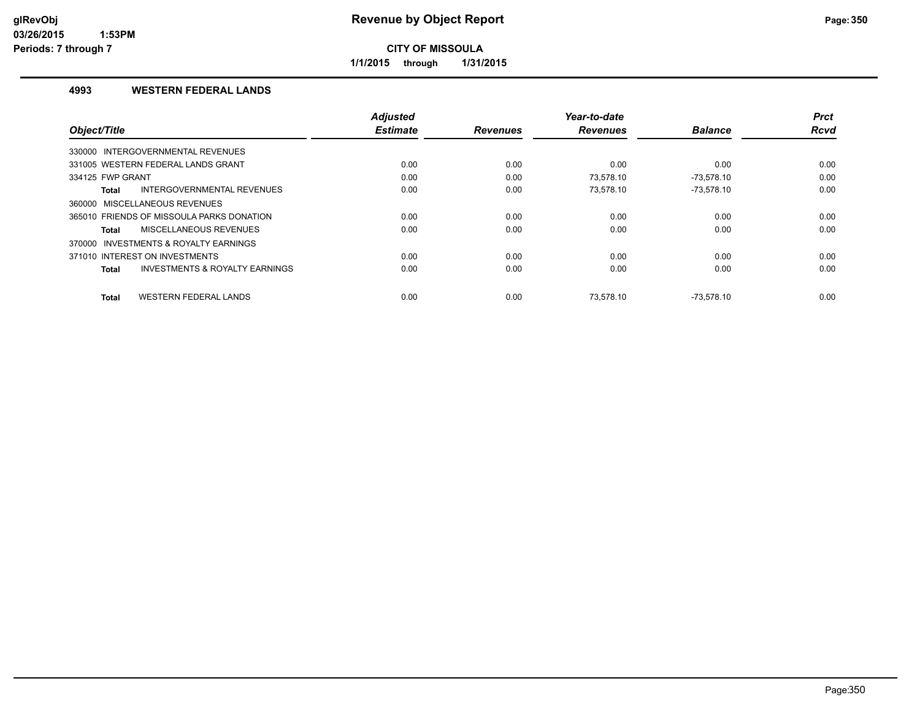**1/1/2015 through 1/31/2015**

### **4993 WESTERN FEDERAL LANDS**

|                                                    | <b>Adjusted</b> |                 | Year-to-date    |                | <b>Prct</b> |
|----------------------------------------------------|-----------------|-----------------|-----------------|----------------|-------------|
| Object/Title                                       | <b>Estimate</b> | <b>Revenues</b> | <b>Revenues</b> | <b>Balance</b> | <b>Rcvd</b> |
| 330000 INTERGOVERNMENTAL REVENUES                  |                 |                 |                 |                |             |
| 331005 WESTERN FEDERAL LANDS GRANT                 | 0.00            | 0.00            | 0.00            | 0.00           | 0.00        |
| 334125 FWP GRANT                                   | 0.00            | 0.00            | 73.578.10       | $-73,578.10$   | 0.00        |
| INTERGOVERNMENTAL REVENUES<br>Total                | 0.00            | 0.00            | 73,578.10       | $-73,578.10$   | 0.00        |
| 360000 MISCELLANEOUS REVENUES                      |                 |                 |                 |                |             |
| 365010 FRIENDS OF MISSOULA PARKS DONATION          | 0.00            | 0.00            | 0.00            | 0.00           | 0.00        |
| MISCELLANEOUS REVENUES<br>Total                    | 0.00            | 0.00            | 0.00            | 0.00           | 0.00        |
| INVESTMENTS & ROYALTY EARNINGS<br>370000           |                 |                 |                 |                |             |
| 371010 INTEREST ON INVESTMENTS                     | 0.00            | 0.00            | 0.00            | 0.00           | 0.00        |
| <b>INVESTMENTS &amp; ROYALTY EARNINGS</b><br>Total | 0.00            | 0.00            | 0.00            | 0.00           | 0.00        |
|                                                    |                 |                 |                 |                |             |
| <b>WESTERN FEDERAL LANDS</b><br><b>Total</b>       | 0.00            | 0.00            | 73.578.10       | $-73.578.10$   | 0.00        |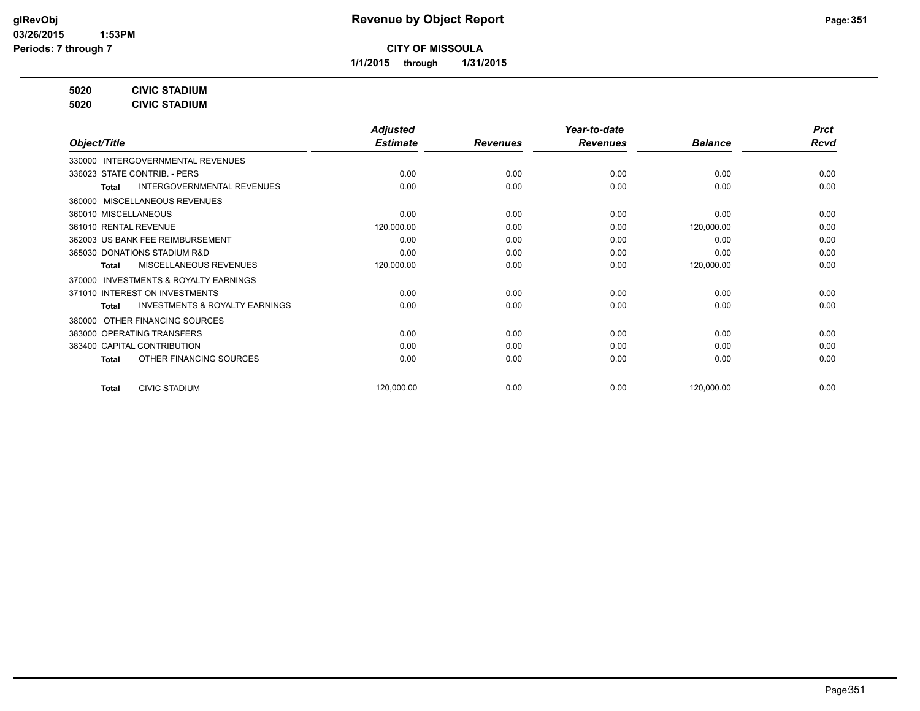**1/1/2015 through 1/31/2015**

**5020 CIVIC STADIUM**

**5020 CIVIC STADIUM**

|                                                           | <b>Adjusted</b> |                 | Year-to-date    |                | <b>Prct</b> |
|-----------------------------------------------------------|-----------------|-----------------|-----------------|----------------|-------------|
| Object/Title                                              | <b>Estimate</b> | <b>Revenues</b> | <b>Revenues</b> | <b>Balance</b> | <b>Rcvd</b> |
| INTERGOVERNMENTAL REVENUES<br>330000                      |                 |                 |                 |                |             |
| 336023 STATE CONTRIB. - PERS                              | 0.00            | 0.00            | 0.00            | 0.00           | 0.00        |
| <b>INTERGOVERNMENTAL REVENUES</b><br><b>Total</b>         | 0.00            | 0.00            | 0.00            | 0.00           | 0.00        |
| 360000 MISCELLANEOUS REVENUES                             |                 |                 |                 |                |             |
| 360010 MISCELLANEOUS                                      | 0.00            | 0.00            | 0.00            | 0.00           | 0.00        |
| 361010 RENTAL REVENUE                                     | 120,000.00      | 0.00            | 0.00            | 120,000.00     | 0.00        |
| 362003 US BANK FEE REIMBURSEMENT                          | 0.00            | 0.00            | 0.00            | 0.00           | 0.00        |
| 365030 DONATIONS STADIUM R&D                              | 0.00            | 0.00            | 0.00            | 0.00           | 0.00        |
| MISCELLANEOUS REVENUES<br><b>Total</b>                    | 120,000.00      | 0.00            | 0.00            | 120,000.00     | 0.00        |
| 370000 INVESTMENTS & ROYALTY EARNINGS                     |                 |                 |                 |                |             |
| 371010 INTEREST ON INVESTMENTS                            | 0.00            | 0.00            | 0.00            | 0.00           | 0.00        |
| <b>INVESTMENTS &amp; ROYALTY EARNINGS</b><br><b>Total</b> | 0.00            | 0.00            | 0.00            | 0.00           | 0.00        |
| 380000 OTHER FINANCING SOURCES                            |                 |                 |                 |                |             |
| 383000 OPERATING TRANSFERS                                | 0.00            | 0.00            | 0.00            | 0.00           | 0.00        |
| 383400 CAPITAL CONTRIBUTION                               | 0.00            | 0.00            | 0.00            | 0.00           | 0.00        |
| OTHER FINANCING SOURCES<br><b>Total</b>                   | 0.00            | 0.00            | 0.00            | 0.00           | 0.00        |
|                                                           |                 |                 |                 |                |             |
| <b>CIVIC STADIUM</b><br><b>Total</b>                      | 120,000.00      | 0.00            | 0.00            | 120,000.00     | 0.00        |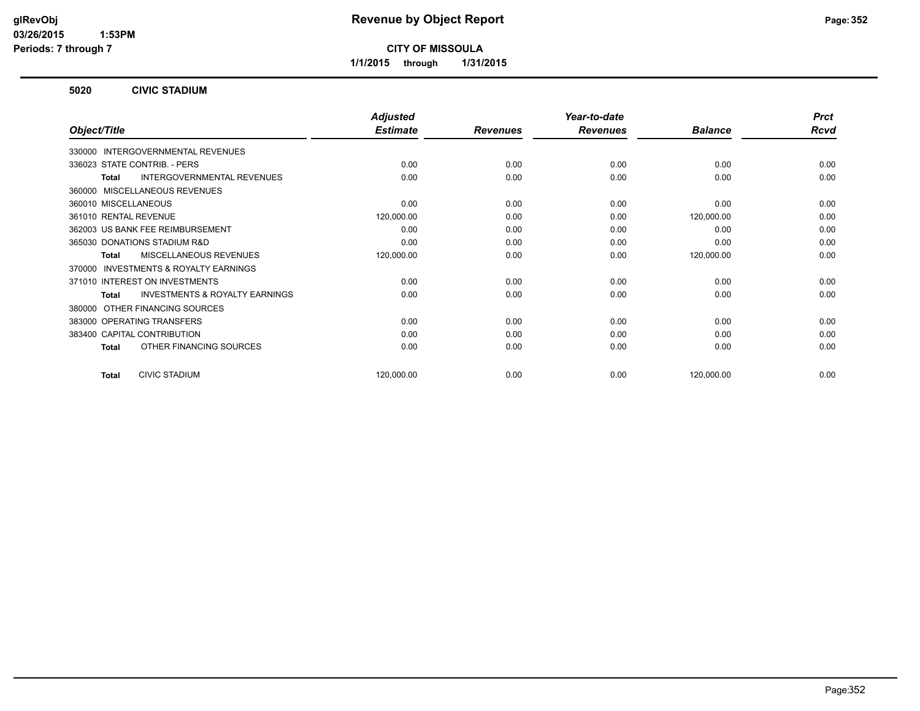**1/1/2015 through 1/31/2015**

#### **5020 CIVIC STADIUM**

|                                                     | <b>Adjusted</b> |                 | Year-to-date    |                | <b>Prct</b> |
|-----------------------------------------------------|-----------------|-----------------|-----------------|----------------|-------------|
| Object/Title                                        | <b>Estimate</b> | <b>Revenues</b> | <b>Revenues</b> | <b>Balance</b> | <b>Rcvd</b> |
| 330000 INTERGOVERNMENTAL REVENUES                   |                 |                 |                 |                |             |
| 336023 STATE CONTRIB. - PERS                        | 0.00            | 0.00            | 0.00            | 0.00           | 0.00        |
| INTERGOVERNMENTAL REVENUES<br><b>Total</b>          | 0.00            | 0.00            | 0.00            | 0.00           | 0.00        |
| 360000 MISCELLANEOUS REVENUES                       |                 |                 |                 |                |             |
| 360010 MISCELLANEOUS                                | 0.00            | 0.00            | 0.00            | 0.00           | 0.00        |
| 361010 RENTAL REVENUE                               | 120,000.00      | 0.00            | 0.00            | 120,000.00     | 0.00        |
| 362003 US BANK FEE REIMBURSEMENT                    | 0.00            | 0.00            | 0.00            | 0.00           | 0.00        |
| 365030 DONATIONS STADIUM R&D                        | 0.00            | 0.00            | 0.00            | 0.00           | 0.00        |
| MISCELLANEOUS REVENUES<br><b>Total</b>              | 120,000.00      | 0.00            | 0.00            | 120,000.00     | 0.00        |
| <b>INVESTMENTS &amp; ROYALTY EARNINGS</b><br>370000 |                 |                 |                 |                |             |
| 371010 INTEREST ON INVESTMENTS                      | 0.00            | 0.00            | 0.00            | 0.00           | 0.00        |
| <b>INVESTMENTS &amp; ROYALTY EARNINGS</b><br>Total  | 0.00            | 0.00            | 0.00            | 0.00           | 0.00        |
| OTHER FINANCING SOURCES<br>380000                   |                 |                 |                 |                |             |
| 383000 OPERATING TRANSFERS                          | 0.00            | 0.00            | 0.00            | 0.00           | 0.00        |
| 383400 CAPITAL CONTRIBUTION                         | 0.00            | 0.00            | 0.00            | 0.00           | 0.00        |
| OTHER FINANCING SOURCES<br><b>Total</b>             | 0.00            | 0.00            | 0.00            | 0.00           | 0.00        |
| <b>CIVIC STADIUM</b><br><b>Total</b>                | 120,000.00      | 0.00            | 0.00            | 120,000.00     | 0.00        |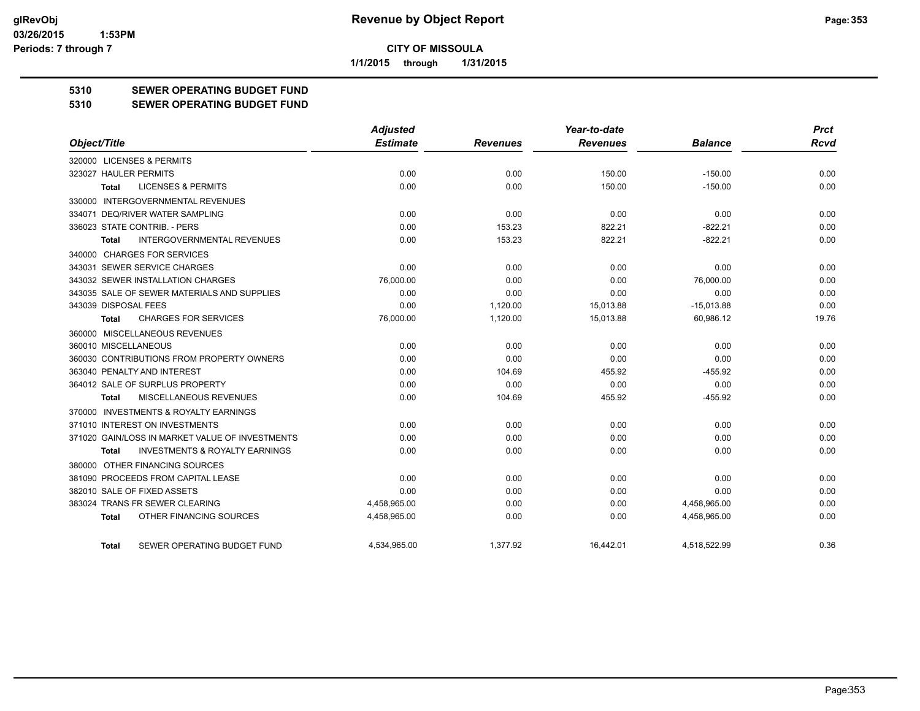**1/1/2015 through 1/31/2015**

# **5310 SEWER OPERATING BUDGET FUND**

#### **5310 SEWER OPERATING BUDGET FUND**

|                                                    | <b>Adjusted</b> |                 | Year-to-date    |                | <b>Prct</b> |
|----------------------------------------------------|-----------------|-----------------|-----------------|----------------|-------------|
| Object/Title                                       | <b>Estimate</b> | <b>Revenues</b> | <b>Revenues</b> | <b>Balance</b> | <b>Rcvd</b> |
| 320000 LICENSES & PERMITS                          |                 |                 |                 |                |             |
| 323027 HAULER PERMITS                              | 0.00            | 0.00            | 150.00          | $-150.00$      | 0.00        |
| <b>LICENSES &amp; PERMITS</b><br>Total             | 0.00            | 0.00            | 150.00          | $-150.00$      | 0.00        |
| 330000 INTERGOVERNMENTAL REVENUES                  |                 |                 |                 |                |             |
| 334071 DEQ/RIVER WATER SAMPLING                    | 0.00            | 0.00            | 0.00            | 0.00           | 0.00        |
| 336023 STATE CONTRIB. - PERS                       | 0.00            | 153.23          | 822.21          | $-822.21$      | 0.00        |
| <b>INTERGOVERNMENTAL REVENUES</b><br>Total         | 0.00            | 153.23          | 822.21          | $-822.21$      | 0.00        |
| 340000 CHARGES FOR SERVICES                        |                 |                 |                 |                |             |
| 343031 SEWER SERVICE CHARGES                       | 0.00            | 0.00            | 0.00            | 0.00           | 0.00        |
| 343032 SEWER INSTALLATION CHARGES                  | 76.000.00       | 0.00            | 0.00            | 76.000.00      | 0.00        |
| 343035 SALE OF SEWER MATERIALS AND SUPPLIES        | 0.00            | 0.00            | 0.00            | 0.00           | 0.00        |
| 343039 DISPOSAL FEES                               | 0.00            | 1,120.00        | 15,013.88       | $-15,013.88$   | 0.00        |
| <b>CHARGES FOR SERVICES</b><br>Total               | 76,000.00       | 1,120.00        | 15,013.88       | 60,986.12      | 19.76       |
| 360000 MISCELLANEOUS REVENUES                      |                 |                 |                 |                |             |
| 360010 MISCELLANEOUS                               | 0.00            | 0.00            | 0.00            | 0.00           | 0.00        |
| 360030 CONTRIBUTIONS FROM PROPERTY OWNERS          | 0.00            | 0.00            | 0.00            | 0.00           | 0.00        |
| 363040 PENALTY AND INTEREST                        | 0.00            | 104.69          | 455.92          | $-455.92$      | 0.00        |
| 364012 SALE OF SURPLUS PROPERTY                    | 0.00            | 0.00            | 0.00            | 0.00           | 0.00        |
| <b>MISCELLANEOUS REVENUES</b><br>Total             | 0.00            | 104.69          | 455.92          | $-455.92$      | 0.00        |
| 370000 INVESTMENTS & ROYALTY EARNINGS              |                 |                 |                 |                |             |
| 371010 INTEREST ON INVESTMENTS                     | 0.00            | 0.00            | 0.00            | 0.00           | 0.00        |
| 371020 GAIN/LOSS IN MARKET VALUE OF INVESTMENTS    | 0.00            | 0.00            | 0.00            | 0.00           | 0.00        |
| <b>INVESTMENTS &amp; ROYALTY EARNINGS</b><br>Total | 0.00            | 0.00            | 0.00            | 0.00           | 0.00        |
| 380000 OTHER FINANCING SOURCES                     |                 |                 |                 |                |             |
| 381090 PROCEEDS FROM CAPITAL LEASE                 | 0.00            | 0.00            | 0.00            | 0.00           | 0.00        |
| 382010 SALE OF FIXED ASSETS                        | 0.00            | 0.00            | 0.00            | 0.00           | 0.00        |
| 383024 TRANS FR SEWER CLEARING                     | 4,458,965.00    | 0.00            | 0.00            | 4,458,965.00   | 0.00        |
| OTHER FINANCING SOURCES<br>Total                   | 4,458,965.00    | 0.00            | 0.00            | 4,458,965.00   | 0.00        |
| SEWER OPERATING BUDGET FUND<br><b>Total</b>        | 4.534.965.00    | 1.377.92        | 16.442.01       | 4.518.522.99   | 0.36        |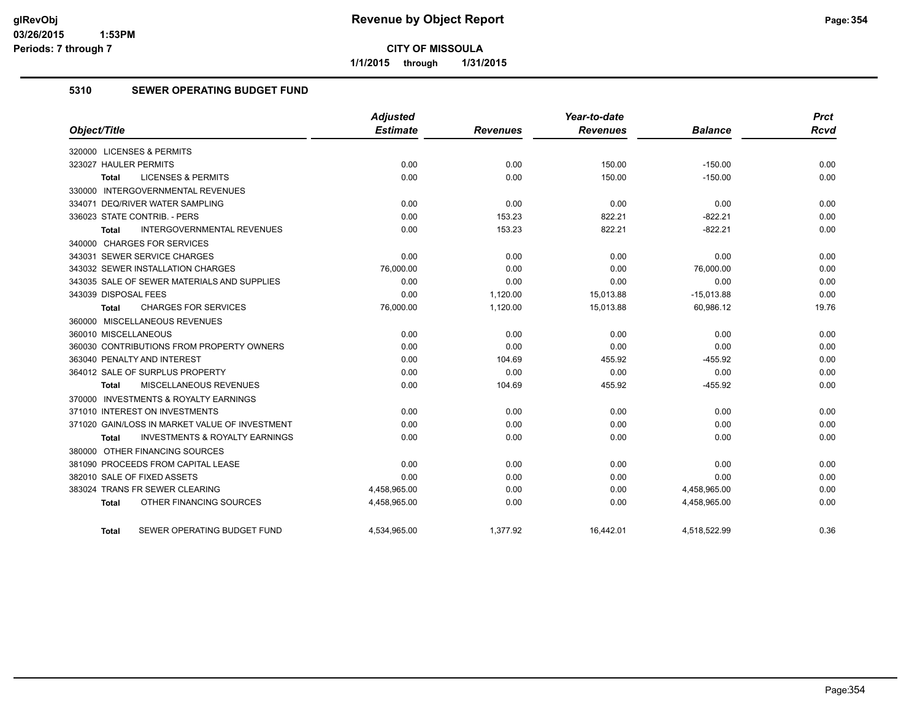**1/1/2015 through 1/31/2015**

## **5310 SEWER OPERATING BUDGET FUND**

| Object/Title                                       | <b>Adjusted</b><br><b>Estimate</b> | <b>Revenues</b> | Year-to-date<br><b>Revenues</b> | <b>Balance</b> | <b>Prct</b><br><b>Rcvd</b> |
|----------------------------------------------------|------------------------------------|-----------------|---------------------------------|----------------|----------------------------|
|                                                    |                                    |                 |                                 |                |                            |
| 320000 LICENSES & PERMITS                          |                                    |                 |                                 |                |                            |
| 323027 HAULER PERMITS                              | 0.00                               | 0.00            | 150.00                          | $-150.00$      | 0.00                       |
| <b>LICENSES &amp; PERMITS</b><br><b>Total</b>      | 0.00                               | 0.00            | 150.00                          | $-150.00$      | 0.00                       |
| 330000 INTERGOVERNMENTAL REVENUES                  |                                    |                 |                                 |                |                            |
| 334071 DEQ/RIVER WATER SAMPLING                    | 0.00                               | 0.00            | 0.00                            | 0.00           | 0.00                       |
| 336023 STATE CONTRIB. - PERS                       | 0.00                               | 153.23          | 822.21                          | $-822.21$      | 0.00                       |
| INTERGOVERNMENTAL REVENUES<br>Total                | 0.00                               | 153.23          | 822.21                          | $-822.21$      | 0.00                       |
| 340000 CHARGES FOR SERVICES                        |                                    |                 |                                 |                |                            |
| 343031 SEWER SERVICE CHARGES                       | 0.00                               | 0.00            | 0.00                            | 0.00           | 0.00                       |
| 343032 SEWER INSTALLATION CHARGES                  | 76,000.00                          | 0.00            | 0.00                            | 76,000.00      | 0.00                       |
| 343035 SALE OF SEWER MATERIALS AND SUPPLIES        | 0.00                               | 0.00            | 0.00                            | 0.00           | 0.00                       |
| 343039 DISPOSAL FEES                               | 0.00                               | 1,120.00        | 15,013.88                       | $-15,013.88$   | 0.00                       |
| <b>CHARGES FOR SERVICES</b><br>Total               | 76,000.00                          | 1,120.00        | 15,013.88                       | 60,986.12      | 19.76                      |
| 360000 MISCELLANEOUS REVENUES                      |                                    |                 |                                 |                |                            |
| 360010 MISCELLANEOUS                               | 0.00                               | 0.00            | 0.00                            | 0.00           | 0.00                       |
| 360030 CONTRIBUTIONS FROM PROPERTY OWNERS          | 0.00                               | 0.00            | 0.00                            | 0.00           | 0.00                       |
| 363040 PENALTY AND INTEREST                        | 0.00                               | 104.69          | 455.92                          | $-455.92$      | 0.00                       |
| 364012 SALE OF SURPLUS PROPERTY                    | 0.00                               | 0.00            | 0.00                            | 0.00           | 0.00                       |
| MISCELLANEOUS REVENUES<br><b>Total</b>             | 0.00                               | 104.69          | 455.92                          | $-455.92$      | 0.00                       |
| 370000 INVESTMENTS & ROYALTY EARNINGS              |                                    |                 |                                 |                |                            |
| 371010 INTEREST ON INVESTMENTS                     | 0.00                               | 0.00            | 0.00                            | 0.00           | 0.00                       |
| 371020 GAIN/LOSS IN MARKET VALUE OF INVESTMENT     | 0.00                               | 0.00            | 0.00                            | 0.00           | 0.00                       |
| <b>INVESTMENTS &amp; ROYALTY EARNINGS</b><br>Total | 0.00                               | 0.00            | 0.00                            | 0.00           | 0.00                       |
| 380000 OTHER FINANCING SOURCES                     |                                    |                 |                                 |                |                            |
| 381090 PROCEEDS FROM CAPITAL LEASE                 | 0.00                               | 0.00            | 0.00                            | 0.00           | 0.00                       |
| 382010 SALE OF FIXED ASSETS                        | 0.00                               | 0.00            | 0.00                            | 0.00           | 0.00                       |
| 383024 TRANS FR SEWER CLEARING                     | 4,458,965.00                       | 0.00            | 0.00                            | 4,458,965.00   | 0.00                       |
| OTHER FINANCING SOURCES<br><b>Total</b>            | 4,458,965.00                       | 0.00            | 0.00                            | 4,458,965.00   | 0.00                       |
|                                                    |                                    |                 |                                 |                |                            |
| SEWER OPERATING BUDGET FUND<br>Total               | 4,534,965.00                       | 1,377.92        | 16.442.01                       | 4,518,522.99   | 0.36                       |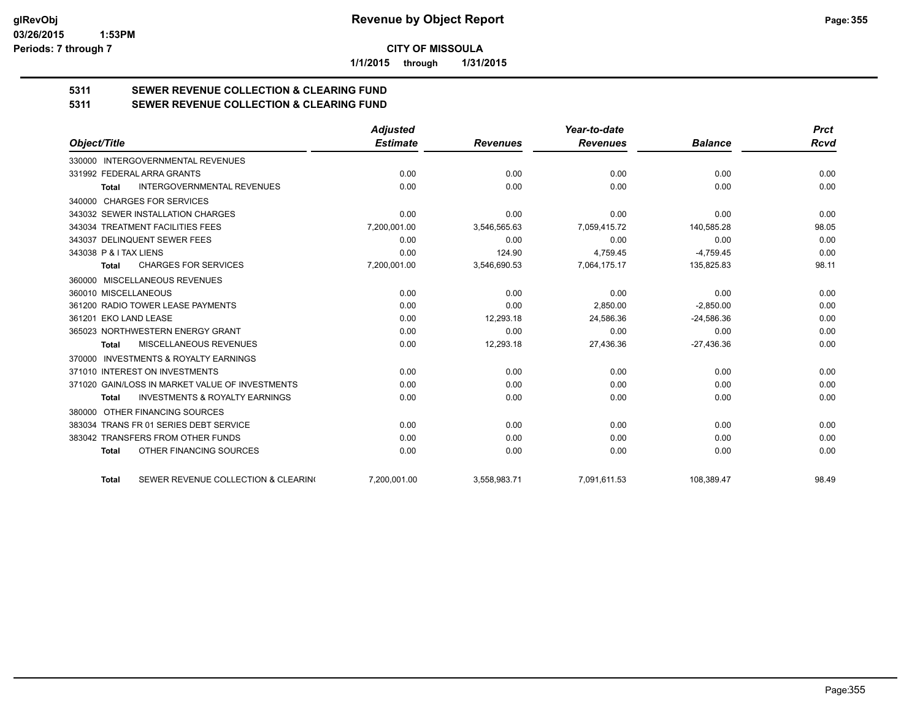**1/1/2015 through 1/31/2015**

# **5311 SEWER REVENUE COLLECTION & CLEARING FUND**

| 5311 | SEWER REVENUE COLLECTION & CLEARING FUND |
|------|------------------------------------------|
|------|------------------------------------------|

|                                                           | <b>Adjusted</b> |                 | Year-to-date    |                | <b>Prct</b> |
|-----------------------------------------------------------|-----------------|-----------------|-----------------|----------------|-------------|
| Object/Title                                              | <b>Estimate</b> | <b>Revenues</b> | <b>Revenues</b> | <b>Balance</b> | <b>Rcvd</b> |
| 330000 INTERGOVERNMENTAL REVENUES                         |                 |                 |                 |                |             |
| 331992 FEDERAL ARRA GRANTS                                | 0.00            | 0.00            | 0.00            | 0.00           | 0.00        |
| <b>INTERGOVERNMENTAL REVENUES</b><br>Total                | 0.00            | 0.00            | 0.00            | 0.00           | 0.00        |
| 340000 CHARGES FOR SERVICES                               |                 |                 |                 |                |             |
| 343032 SEWER INSTALLATION CHARGES                         | 0.00            | 0.00            | 0.00            | 0.00           | 0.00        |
| 343034 TREATMENT FACILITIES FEES                          | 7,200,001.00    | 3,546,565.63    | 7,059,415.72    | 140.585.28     | 98.05       |
| 343037 DELINQUENT SEWER FEES                              | 0.00            | 0.00            | 0.00            | 0.00           | 0.00        |
| 343038 P & I TAX LIENS                                    | 0.00            | 124.90          | 4,759.45        | $-4,759.45$    | 0.00        |
| <b>CHARGES FOR SERVICES</b><br><b>Total</b>               | 7,200,001.00    | 3,546,690.53    | 7,064,175.17    | 135,825.83     | 98.11       |
| MISCELLANEOUS REVENUES<br>360000                          |                 |                 |                 |                |             |
| 360010 MISCELLANEOUS                                      | 0.00            | 0.00            | 0.00            | 0.00           | 0.00        |
| 361200 RADIO TOWER LEASE PAYMENTS                         | 0.00            | 0.00            | 2,850.00        | $-2,850.00$    | 0.00        |
| 361201 EKO LAND LEASE                                     | 0.00            | 12,293.18       | 24,586.36       | $-24,586.36$   | 0.00        |
| 365023 NORTHWESTERN ENERGY GRANT                          | 0.00            | 0.00            | 0.00            | 0.00           | 0.00        |
| MISCELLANEOUS REVENUES<br>Total                           | 0.00            | 12,293.18       | 27,436.36       | $-27,436.36$   | 0.00        |
| <b>INVESTMENTS &amp; ROYALTY EARNINGS</b><br>370000       |                 |                 |                 |                |             |
| 371010 INTEREST ON INVESTMENTS                            | 0.00            | 0.00            | 0.00            | 0.00           | 0.00        |
| 371020 GAIN/LOSS IN MARKET VALUE OF INVESTMENTS           | 0.00            | 0.00            | 0.00            | 0.00           | 0.00        |
| <b>INVESTMENTS &amp; ROYALTY EARNINGS</b><br><b>Total</b> | 0.00            | 0.00            | 0.00            | 0.00           | 0.00        |
| OTHER FINANCING SOURCES<br>380000                         |                 |                 |                 |                |             |
| 383034 TRANS FR 01 SERIES DEBT SERVICE                    | 0.00            | 0.00            | 0.00            | 0.00           | 0.00        |
| 383042 TRANSFERS FROM OTHER FUNDS                         | 0.00            | 0.00            | 0.00            | 0.00           | 0.00        |
| OTHER FINANCING SOURCES<br><b>Total</b>                   | 0.00            | 0.00            | 0.00            | 0.00           | 0.00        |
| SEWER REVENUE COLLECTION & CLEARING<br><b>Total</b>       | 7,200,001.00    | 3,558,983.71    | 7,091,611.53    | 108,389.47     | 98.49       |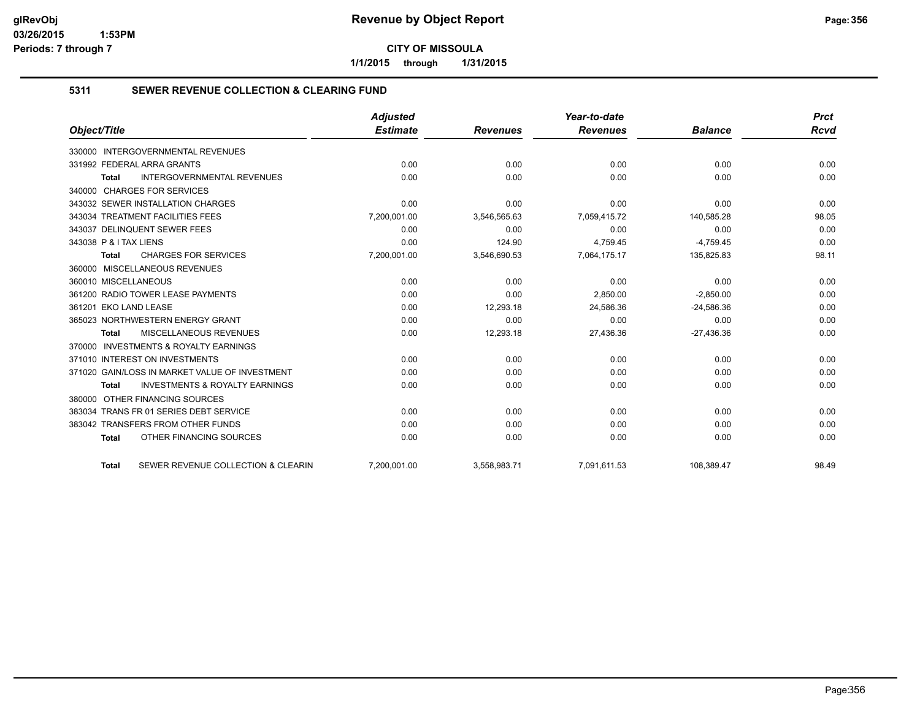**1/1/2015 through 1/31/2015**

## **5311 SEWER REVENUE COLLECTION & CLEARING FUND**

|                                                    | <b>Adjusted</b> |                 | Year-to-date    |                | <b>Prct</b> |
|----------------------------------------------------|-----------------|-----------------|-----------------|----------------|-------------|
| Object/Title                                       | <b>Estimate</b> | <b>Revenues</b> | <b>Revenues</b> | <b>Balance</b> | Rcvd        |
| 330000 INTERGOVERNMENTAL REVENUES                  |                 |                 |                 |                |             |
| 331992 FEDERAL ARRA GRANTS                         | 0.00            | 0.00            | 0.00            | 0.00           | 0.00        |
| <b>INTERGOVERNMENTAL REVENUES</b><br>Total         | 0.00            | 0.00            | 0.00            | 0.00           | 0.00        |
| 340000 CHARGES FOR SERVICES                        |                 |                 |                 |                |             |
| 343032 SEWER INSTALLATION CHARGES                  | 0.00            | 0.00            | 0.00            | 0.00           | 0.00        |
| 343034 TREATMENT FACILITIES FEES                   | 7,200,001.00    | 3,546,565.63    | 7,059,415.72    | 140,585.28     | 98.05       |
| 343037 DELINQUENT SEWER FEES                       | 0.00            | 0.00            | 0.00            | 0.00           | 0.00        |
| 343038 P & I TAX LIENS                             | 0.00            | 124.90          | 4,759.45        | $-4,759.45$    | 0.00        |
| <b>CHARGES FOR SERVICES</b><br><b>Total</b>        | 7,200,001.00    | 3,546,690.53    | 7,064,175.17    | 135,825.83     | 98.11       |
| 360000 MISCELLANEOUS REVENUES                      |                 |                 |                 |                |             |
| 360010 MISCELLANEOUS                               | 0.00            | 0.00            | 0.00            | 0.00           | 0.00        |
| 361200 RADIO TOWER LEASE PAYMENTS                  | 0.00            | 0.00            | 2.850.00        | $-2.850.00$    | 0.00        |
| 361201 EKO LAND LEASE                              | 0.00            | 12,293.18       | 24,586.36       | $-24,586.36$   | 0.00        |
| 365023 NORTHWESTERN ENERGY GRANT                   | 0.00            | 0.00            | 0.00            | 0.00           | 0.00        |
| <b>MISCELLANEOUS REVENUES</b><br>Total             | 0.00            | 12,293.18       | 27,436.36       | $-27,436.36$   | 0.00        |
| 370000 INVESTMENTS & ROYALTY EARNINGS              |                 |                 |                 |                |             |
| 371010 INTEREST ON INVESTMENTS                     | 0.00            | 0.00            | 0.00            | 0.00           | 0.00        |
| 371020 GAIN/LOSS IN MARKET VALUE OF INVESTMENT     | 0.00            | 0.00            | 0.00            | 0.00           | 0.00        |
| <b>INVESTMENTS &amp; ROYALTY EARNINGS</b><br>Total | 0.00            | 0.00            | 0.00            | 0.00           | 0.00        |
| OTHER FINANCING SOURCES<br>380000                  |                 |                 |                 |                |             |
| 383034 TRANS FR 01 SERIES DEBT SERVICE             | 0.00            | 0.00            | 0.00            | 0.00           | 0.00        |
| 383042 TRANSFERS FROM OTHER FUNDS                  | 0.00            | 0.00            | 0.00            | 0.00           | 0.00        |
| OTHER FINANCING SOURCES<br><b>Total</b>            | 0.00            | 0.00            | 0.00            | 0.00           | 0.00        |
| SEWER REVENUE COLLECTION & CLEARIN<br><b>Total</b> | 7,200,001.00    | 3,558,983.71    | 7,091,611.53    | 108,389.47     | 98.49       |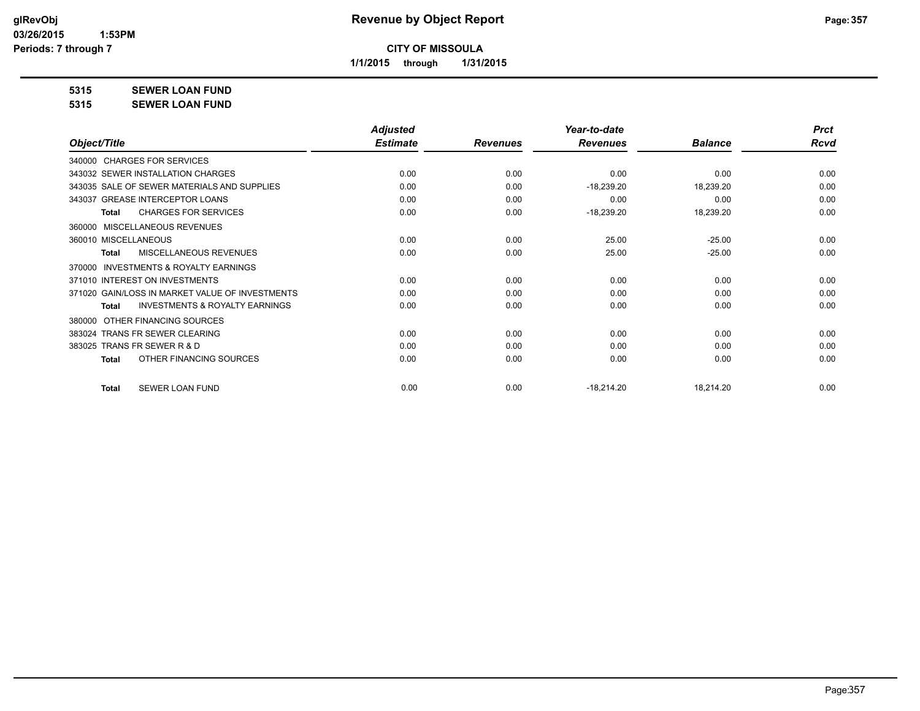**1/1/2015 through 1/31/2015**

**5315 SEWER LOAN FUND**

**5315 SEWER LOAN FUND**

|                                                           | <b>Adjusted</b> |                 | Year-to-date    |                | <b>Prct</b> |
|-----------------------------------------------------------|-----------------|-----------------|-----------------|----------------|-------------|
| Object/Title                                              | <b>Estimate</b> | <b>Revenues</b> | <b>Revenues</b> | <b>Balance</b> | Rcvd        |
| 340000 CHARGES FOR SERVICES                               |                 |                 |                 |                |             |
| 343032 SEWER INSTALLATION CHARGES                         | 0.00            | 0.00            | 0.00            | 0.00           | 0.00        |
| 343035 SALE OF SEWER MATERIALS AND SUPPLIES               | 0.00            | 0.00            | $-18,239.20$    | 18,239.20      | 0.00        |
| 343037 GREASE INTERCEPTOR LOANS                           | 0.00            | 0.00            | 0.00            | 0.00           | 0.00        |
| <b>CHARGES FOR SERVICES</b><br><b>Total</b>               | 0.00            | 0.00            | $-18,239.20$    | 18,239.20      | 0.00        |
| MISCELLANEOUS REVENUES<br>360000                          |                 |                 |                 |                |             |
| 360010 MISCELLANEOUS                                      | 0.00            | 0.00            | 25.00           | $-25.00$       | 0.00        |
| <b>MISCELLANEOUS REVENUES</b><br><b>Total</b>             | 0.00            | 0.00            | 25.00           | $-25.00$       | 0.00        |
| <b>INVESTMENTS &amp; ROYALTY EARNINGS</b><br>370000       |                 |                 |                 |                |             |
| 371010 INTEREST ON INVESTMENTS                            | 0.00            | 0.00            | 0.00            | 0.00           | 0.00        |
| 371020 GAIN/LOSS IN MARKET VALUE OF INVESTMENTS           | 0.00            | 0.00            | 0.00            | 0.00           | 0.00        |
| <b>INVESTMENTS &amp; ROYALTY EARNINGS</b><br><b>Total</b> | 0.00            | 0.00            | 0.00            | 0.00           | 0.00        |
| OTHER FINANCING SOURCES<br>380000                         |                 |                 |                 |                |             |
| 383024 TRANS FR SEWER CLEARING                            | 0.00            | 0.00            | 0.00            | 0.00           | 0.00        |
| 383025 TRANS FR SEWER R & D                               | 0.00            | 0.00            | 0.00            | 0.00           | 0.00        |
| OTHER FINANCING SOURCES<br><b>Total</b>                   | 0.00            | 0.00            | 0.00            | 0.00           | 0.00        |
| <b>SEWER LOAN FUND</b><br><b>Total</b>                    | 0.00            | 0.00            | $-18,214.20$    | 18,214.20      | 0.00        |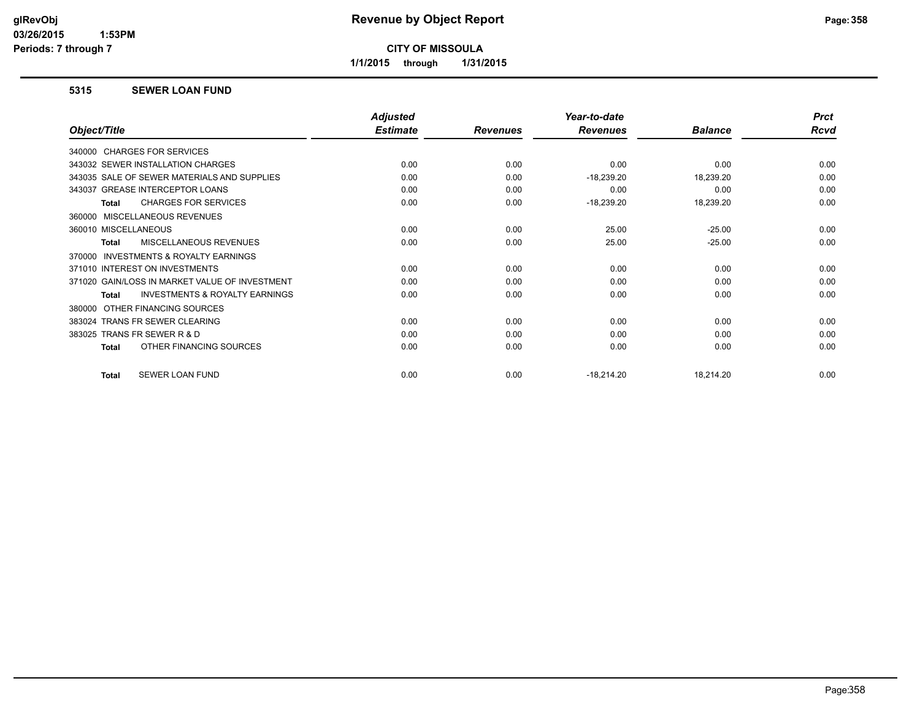**1/1/2015 through 1/31/2015**

#### **5315 SEWER LOAN FUND**

|                                                    | <b>Adjusted</b> |                 | Year-to-date    |                | <b>Prct</b> |
|----------------------------------------------------|-----------------|-----------------|-----------------|----------------|-------------|
| Object/Title                                       | <b>Estimate</b> | <b>Revenues</b> | <b>Revenues</b> | <b>Balance</b> | <b>Rcvd</b> |
| 340000 CHARGES FOR SERVICES                        |                 |                 |                 |                |             |
| 343032 SEWER INSTALLATION CHARGES                  | 0.00            | 0.00            | 0.00            | 0.00           | 0.00        |
| 343035 SALE OF SEWER MATERIALS AND SUPPLIES        | 0.00            | 0.00            | $-18,239.20$    | 18,239.20      | 0.00        |
| 343037 GREASE INTERCEPTOR LOANS                    | 0.00            | 0.00            | 0.00            | 0.00           | 0.00        |
| <b>CHARGES FOR SERVICES</b><br><b>Total</b>        | 0.00            | 0.00            | $-18,239.20$    | 18,239.20      | 0.00        |
| 360000 MISCELLANEOUS REVENUES                      |                 |                 |                 |                |             |
| 360010 MISCELLANEOUS                               | 0.00            | 0.00            | 25.00           | $-25.00$       | 0.00        |
| <b>MISCELLANEOUS REVENUES</b><br><b>Total</b>      | 0.00            | 0.00            | 25.00           | $-25.00$       | 0.00        |
| INVESTMENTS & ROYALTY EARNINGS<br>370000           |                 |                 |                 |                |             |
| 371010 INTEREST ON INVESTMENTS                     | 0.00            | 0.00            | 0.00            | 0.00           | 0.00        |
| 371020 GAIN/LOSS IN MARKET VALUE OF INVESTMENT     | 0.00            | 0.00            | 0.00            | 0.00           | 0.00        |
| <b>INVESTMENTS &amp; ROYALTY EARNINGS</b><br>Total | 0.00            | 0.00            | 0.00            | 0.00           | 0.00        |
| OTHER FINANCING SOURCES<br>380000                  |                 |                 |                 |                |             |
| 383024 TRANS FR SEWER CLEARING                     | 0.00            | 0.00            | 0.00            | 0.00           | 0.00        |
| 383025 TRANS FR SEWER R & D                        | 0.00            | 0.00            | 0.00            | 0.00           | 0.00        |
| OTHER FINANCING SOURCES<br>Total                   | 0.00            | 0.00            | 0.00            | 0.00           | 0.00        |
| SEWER LOAN FUND<br><b>Total</b>                    | 0.00            | 0.00            | $-18,214.20$    | 18,214.20      | 0.00        |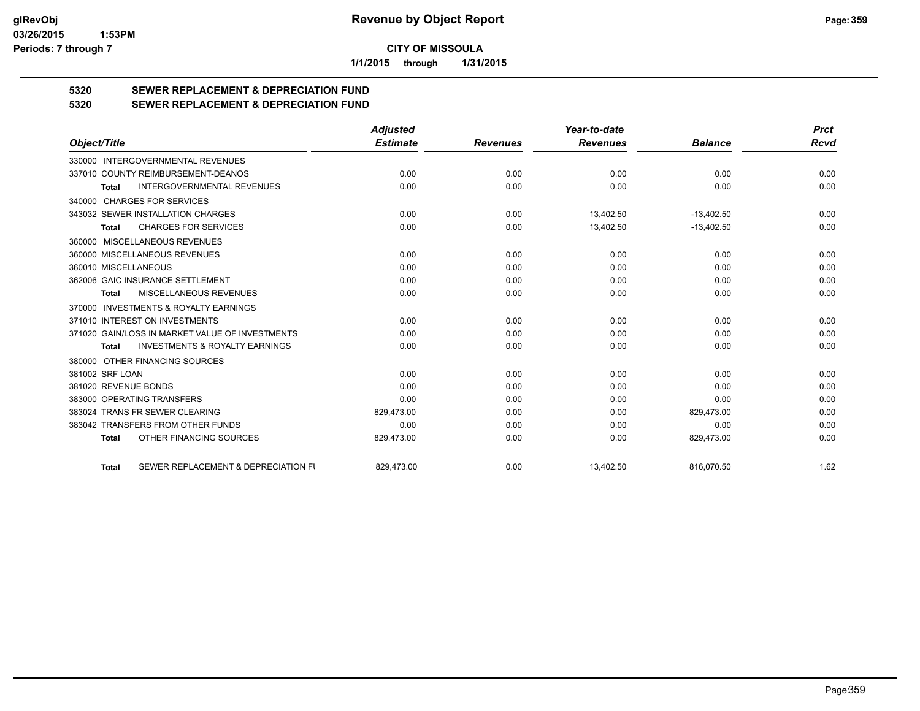**1/1/2015 through 1/31/2015**

# **5320 SEWER REPLACEMENT & DEPRECIATION FUND**

| 5320 | <b>SEWER REPLACEMENT &amp; DEPRECIATION FUND</b> |
|------|--------------------------------------------------|
|      |                                                  |

|                                                     | <b>Adjusted</b> |                 | Year-to-date    |                | <b>Prct</b> |
|-----------------------------------------------------|-----------------|-----------------|-----------------|----------------|-------------|
| Object/Title                                        | <b>Estimate</b> | <b>Revenues</b> | <b>Revenues</b> | <b>Balance</b> | <b>Rcvd</b> |
| 330000 INTERGOVERNMENTAL REVENUES                   |                 |                 |                 |                |             |
| 337010 COUNTY REIMBURSEMENT-DEANOS                  | 0.00            | 0.00            | 0.00            | 0.00           | 0.00        |
| <b>INTERGOVERNMENTAL REVENUES</b><br><b>Total</b>   | 0.00            | 0.00            | 0.00            | 0.00           | 0.00        |
| 340000 CHARGES FOR SERVICES                         |                 |                 |                 |                |             |
| 343032 SEWER INSTALLATION CHARGES                   | 0.00            | 0.00            | 13,402.50       | $-13,402.50$   | 0.00        |
| <b>CHARGES FOR SERVICES</b><br><b>Total</b>         | 0.00            | 0.00            | 13,402.50       | $-13,402.50$   | 0.00        |
| 360000 MISCELLANEOUS REVENUES                       |                 |                 |                 |                |             |
| 360000 MISCELLANEOUS REVENUES                       | 0.00            | 0.00            | 0.00            | 0.00           | 0.00        |
| 360010 MISCELLANEOUS                                | 0.00            | 0.00            | 0.00            | 0.00           | 0.00        |
| 362006 GAIC INSURANCE SETTLEMENT                    | 0.00            | 0.00            | 0.00            | 0.00           | 0.00        |
| MISCELLANEOUS REVENUES<br><b>Total</b>              | 0.00            | 0.00            | 0.00            | 0.00           | 0.00        |
| 370000 INVESTMENTS & ROYALTY EARNINGS               |                 |                 |                 |                |             |
| 371010 INTEREST ON INVESTMENTS                      | 0.00            | 0.00            | 0.00            | 0.00           | 0.00        |
| 371020 GAIN/LOSS IN MARKET VALUE OF INVESTMENTS     | 0.00            | 0.00            | 0.00            | 0.00           | 0.00        |
| <b>INVESTMENTS &amp; ROYALTY EARNINGS</b><br>Total  | 0.00            | 0.00            | 0.00            | 0.00           | 0.00        |
| 380000 OTHER FINANCING SOURCES                      |                 |                 |                 |                |             |
| 381002 SRF LOAN                                     | 0.00            | 0.00            | 0.00            | 0.00           | 0.00        |
| 381020 REVENUE BONDS                                | 0.00            | 0.00            | 0.00            | 0.00           | 0.00        |
| 383000 OPERATING TRANSFERS                          | 0.00            | 0.00            | 0.00            | 0.00           | 0.00        |
| 383024 TRANS FR SEWER CLEARING                      | 829,473.00      | 0.00            | 0.00            | 829,473.00     | 0.00        |
| 383042 TRANSFERS FROM OTHER FUNDS                   | 0.00            | 0.00            | 0.00            | 0.00           | 0.00        |
| OTHER FINANCING SOURCES<br><b>Total</b>             | 829,473.00      | 0.00            | 0.00            | 829,473.00     | 0.00        |
| SEWER REPLACEMENT & DEPRECIATION FU<br><b>Total</b> | 829.473.00      | 0.00            | 13.402.50       | 816.070.50     | 1.62        |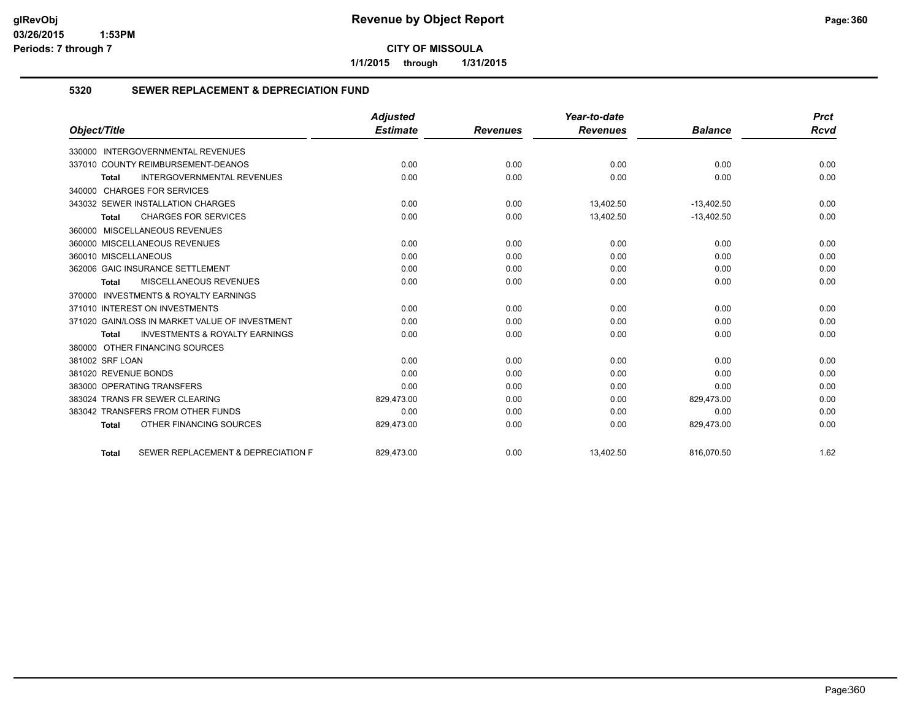**1/1/2015 through 1/31/2015**

## **5320 SEWER REPLACEMENT & DEPRECIATION FUND**

| Object/Title                                       | <b>Adjusted</b><br><b>Estimate</b> |                 | Year-to-date<br><b>Revenues</b> | <b>Balance</b> | <b>Prct</b><br><b>Rcvd</b> |
|----------------------------------------------------|------------------------------------|-----------------|---------------------------------|----------------|----------------------------|
|                                                    |                                    | <b>Revenues</b> |                                 |                |                            |
| 330000 INTERGOVERNMENTAL REVENUES                  |                                    |                 |                                 |                |                            |
| 337010 COUNTY REIMBURSEMENT-DEANOS                 | 0.00                               | 0.00            | 0.00                            | 0.00           | 0.00                       |
| <b>INTERGOVERNMENTAL REVENUES</b><br><b>Total</b>  | 0.00                               | 0.00            | 0.00                            | 0.00           | 0.00                       |
| 340000 CHARGES FOR SERVICES                        |                                    |                 |                                 |                |                            |
| 343032 SEWER INSTALLATION CHARGES                  | 0.00                               | 0.00            | 13,402.50                       | $-13,402.50$   | 0.00                       |
| <b>CHARGES FOR SERVICES</b><br><b>Total</b>        | 0.00                               | 0.00            | 13,402.50                       | $-13,402.50$   | 0.00                       |
| 360000 MISCELLANEOUS REVENUES                      |                                    |                 |                                 |                |                            |
| 360000 MISCELLANEOUS REVENUES                      | 0.00                               | 0.00            | 0.00                            | 0.00           | 0.00                       |
| 360010 MISCELLANEOUS                               | 0.00                               | 0.00            | 0.00                            | 0.00           | 0.00                       |
| 362006 GAIC INSURANCE SETTLEMENT                   | 0.00                               | 0.00            | 0.00                            | 0.00           | 0.00                       |
| <b>MISCELLANEOUS REVENUES</b><br>Total             | 0.00                               | 0.00            | 0.00                            | 0.00           | 0.00                       |
| 370000 INVESTMENTS & ROYALTY EARNINGS              |                                    |                 |                                 |                |                            |
| 371010 INTEREST ON INVESTMENTS                     | 0.00                               | 0.00            | 0.00                            | 0.00           | 0.00                       |
| 371020 GAIN/LOSS IN MARKET VALUE OF INVESTMENT     | 0.00                               | 0.00            | 0.00                            | 0.00           | 0.00                       |
| <b>INVESTMENTS &amp; ROYALTY EARNINGS</b><br>Total | 0.00                               | 0.00            | 0.00                            | 0.00           | 0.00                       |
| 380000 OTHER FINANCING SOURCES                     |                                    |                 |                                 |                |                            |
| 381002 SRF LOAN                                    | 0.00                               | 0.00            | 0.00                            | 0.00           | 0.00                       |
| 381020 REVENUE BONDS                               | 0.00                               | 0.00            | 0.00                            | 0.00           | 0.00                       |
| 383000 OPERATING TRANSFERS                         | 0.00                               | 0.00            | 0.00                            | 0.00           | 0.00                       |
| 383024 TRANS FR SEWER CLEARING                     | 829,473.00                         | 0.00            | 0.00                            | 829,473.00     | 0.00                       |
| 383042 TRANSFERS FROM OTHER FUNDS                  | 0.00                               | 0.00            | 0.00                            | 0.00           | 0.00                       |
| OTHER FINANCING SOURCES<br><b>Total</b>            | 829,473.00                         | 0.00            | 0.00                            | 829,473.00     | 0.00                       |
| SEWER REPLACEMENT & DEPRECIATION F<br><b>Total</b> | 829.473.00                         | 0.00            | 13.402.50                       | 816.070.50     | 1.62                       |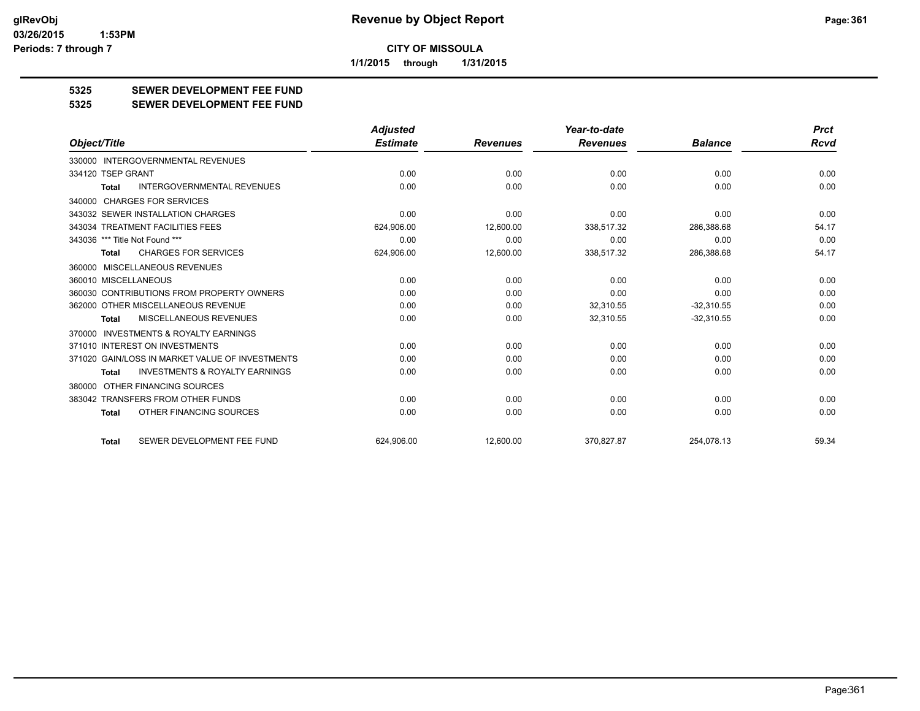**1/1/2015 through 1/31/2015**

# **5325 SEWER DEVELOPMENT FEE FUND**

#### **5325 SEWER DEVELOPMENT FEE FUND**

|                                                           | <b>Adjusted</b> |                 | Year-to-date    |                | <b>Prct</b> |
|-----------------------------------------------------------|-----------------|-----------------|-----------------|----------------|-------------|
| Object/Title                                              | <b>Estimate</b> | <b>Revenues</b> | <b>Revenues</b> | <b>Balance</b> | <b>Rcvd</b> |
| <b>INTERGOVERNMENTAL REVENUES</b><br>330000               |                 |                 |                 |                |             |
| 334120 TSEP GRANT                                         | 0.00            | 0.00            | 0.00            | 0.00           | 0.00        |
| <b>INTERGOVERNMENTAL REVENUES</b><br><b>Total</b>         | 0.00            | 0.00            | 0.00            | 0.00           | 0.00        |
| 340000 CHARGES FOR SERVICES                               |                 |                 |                 |                |             |
| 343032 SEWER INSTALLATION CHARGES                         | 0.00            | 0.00            | 0.00            | 0.00           | 0.00        |
| 343034 TREATMENT FACILITIES FEES                          | 624,906.00      | 12,600.00       | 338,517.32      | 286,388.68     | 54.17       |
| 343036 *** Title Not Found ***                            | 0.00            | 0.00            | 0.00            | 0.00           | 0.00        |
| <b>CHARGES FOR SERVICES</b><br><b>Total</b>               | 624,906.00      | 12,600.00       | 338,517.32      | 286,388.68     | 54.17       |
| 360000 MISCELLANEOUS REVENUES                             |                 |                 |                 |                |             |
| 360010 MISCELLANEOUS                                      | 0.00            | 0.00            | 0.00            | 0.00           | 0.00        |
| 360030 CONTRIBUTIONS FROM PROPERTY OWNERS                 | 0.00            | 0.00            | 0.00            | 0.00           | 0.00        |
| 362000 OTHER MISCELLANEOUS REVENUE                        | 0.00            | 0.00            | 32,310.55       | $-32,310.55$   | 0.00        |
| MISCELLANEOUS REVENUES<br><b>Total</b>                    | 0.00            | 0.00            | 32,310.55       | $-32,310.55$   | 0.00        |
| <b>INVESTMENTS &amp; ROYALTY EARNINGS</b><br>370000       |                 |                 |                 |                |             |
| 371010 INTEREST ON INVESTMENTS                            | 0.00            | 0.00            | 0.00            | 0.00           | 0.00        |
| 371020 GAIN/LOSS IN MARKET VALUE OF INVESTMENTS           | 0.00            | 0.00            | 0.00            | 0.00           | 0.00        |
| <b>INVESTMENTS &amp; ROYALTY EARNINGS</b><br><b>Total</b> | 0.00            | 0.00            | 0.00            | 0.00           | 0.00        |
| 380000 OTHER FINANCING SOURCES                            |                 |                 |                 |                |             |
| 383042 TRANSFERS FROM OTHER FUNDS                         | 0.00            | 0.00            | 0.00            | 0.00           | 0.00        |
| OTHER FINANCING SOURCES<br><b>Total</b>                   | 0.00            | 0.00            | 0.00            | 0.00           | 0.00        |
| SEWER DEVELOPMENT FEE FUND<br><b>Total</b>                | 624.906.00      | 12,600.00       | 370.827.87      | 254.078.13     | 59.34       |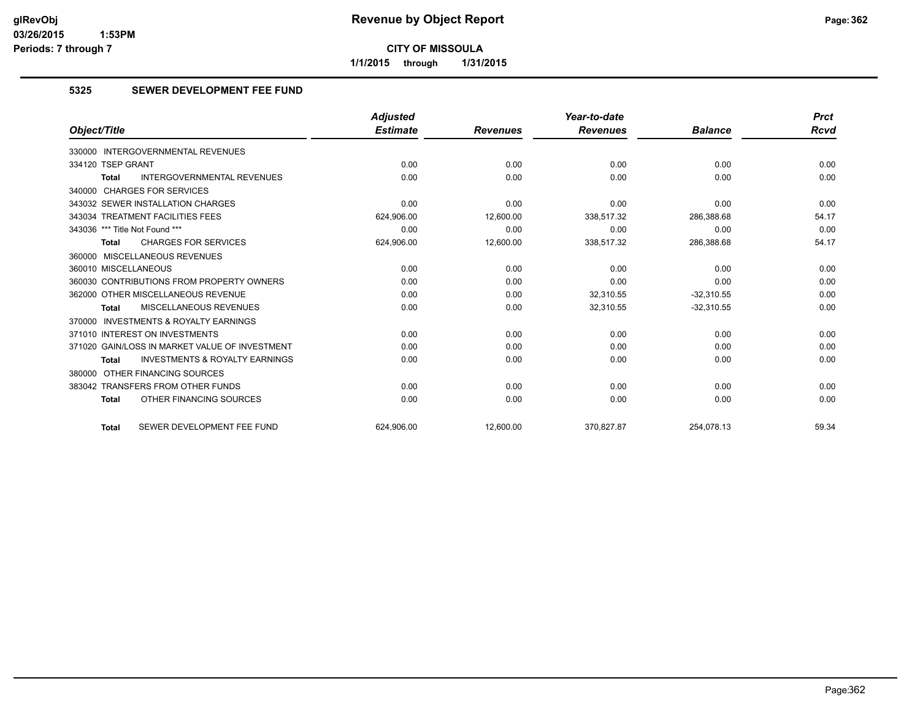**1/1/2015 through 1/31/2015**

# **5325 SEWER DEVELOPMENT FEE FUND**

|                                                    | <b>Adjusted</b> |                 | Year-to-date    |                | <b>Prct</b> |
|----------------------------------------------------|-----------------|-----------------|-----------------|----------------|-------------|
| Object/Title                                       | <b>Estimate</b> | <b>Revenues</b> | <b>Revenues</b> | <b>Balance</b> | Rcvd        |
| 330000 INTERGOVERNMENTAL REVENUES                  |                 |                 |                 |                |             |
| 334120 TSEP GRANT                                  | 0.00            | 0.00            | 0.00            | 0.00           | 0.00        |
| <b>INTERGOVERNMENTAL REVENUES</b><br><b>Total</b>  | 0.00            | 0.00            | 0.00            | 0.00           | 0.00        |
| 340000 CHARGES FOR SERVICES                        |                 |                 |                 |                |             |
| 343032 SEWER INSTALLATION CHARGES                  | 0.00            | 0.00            | 0.00            | 0.00           | 0.00        |
| 343034 TREATMENT FACILITIES FEES                   | 624,906.00      | 12,600.00       | 338,517.32      | 286,388.68     | 54.17       |
| 343036 *** Title Not Found ***                     | 0.00            | 0.00            | 0.00            | 0.00           | 0.00        |
| <b>CHARGES FOR SERVICES</b><br><b>Total</b>        | 624,906.00      | 12,600.00       | 338,517.32      | 286,388.68     | 54.17       |
| 360000 MISCELLANEOUS REVENUES                      |                 |                 |                 |                |             |
| 360010 MISCELLANEOUS                               | 0.00            | 0.00            | 0.00            | 0.00           | 0.00        |
| 360030 CONTRIBUTIONS FROM PROPERTY OWNERS          | 0.00            | 0.00            | 0.00            | 0.00           | 0.00        |
| 362000 OTHER MISCELLANEOUS REVENUE                 | 0.00            | 0.00            | 32,310.55       | $-32,310.55$   | 0.00        |
| MISCELLANEOUS REVENUES<br><b>Total</b>             | 0.00            | 0.00            | 32,310.55       | $-32,310.55$   | 0.00        |
| 370000 INVESTMENTS & ROYALTY EARNINGS              |                 |                 |                 |                |             |
| 371010 INTEREST ON INVESTMENTS                     | 0.00            | 0.00            | 0.00            | 0.00           | 0.00        |
| 371020 GAIN/LOSS IN MARKET VALUE OF INVESTMENT     | 0.00            | 0.00            | 0.00            | 0.00           | 0.00        |
| <b>INVESTMENTS &amp; ROYALTY EARNINGS</b><br>Total | 0.00            | 0.00            | 0.00            | 0.00           | 0.00        |
| 380000 OTHER FINANCING SOURCES                     |                 |                 |                 |                |             |
| 383042 TRANSFERS FROM OTHER FUNDS                  | 0.00            | 0.00            | 0.00            | 0.00           | 0.00        |
| OTHER FINANCING SOURCES<br><b>Total</b>            | 0.00            | 0.00            | 0.00            | 0.00           | 0.00        |
| SEWER DEVELOPMENT FEE FUND<br><b>Total</b>         | 624.906.00      | 12,600.00       | 370,827.87      | 254.078.13     | 59.34       |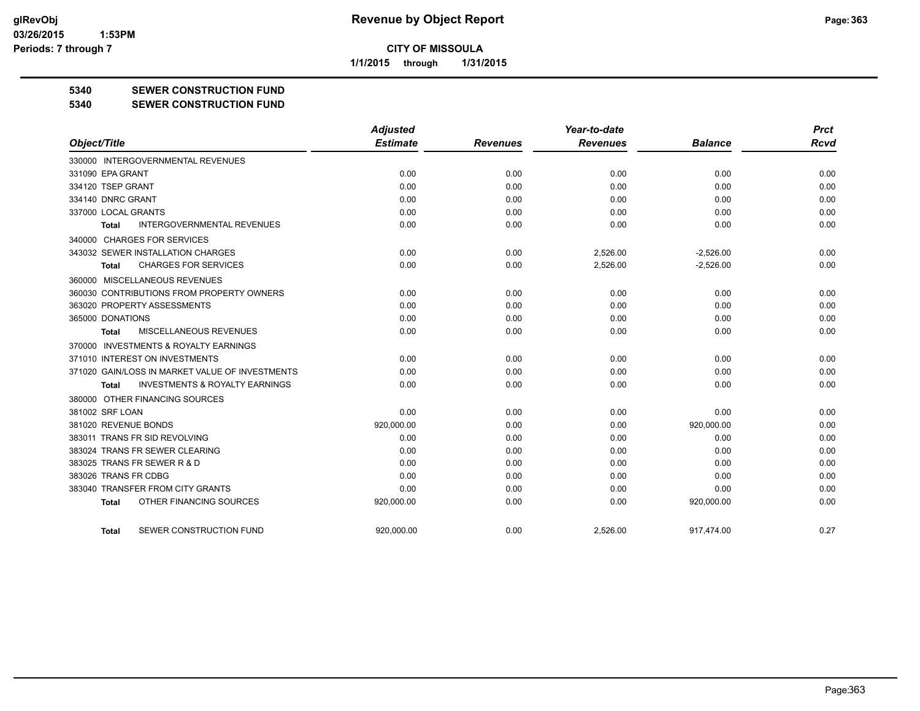**1/1/2015 through 1/31/2015**

#### **5340 SEWER CONSTRUCTION FUND**

**5340 SEWER CONSTRUCTION FUND**

|                                                     | <b>Adjusted</b> |                 | Year-to-date    |                | <b>Prct</b> |
|-----------------------------------------------------|-----------------|-----------------|-----------------|----------------|-------------|
| Object/Title                                        | <b>Estimate</b> | <b>Revenues</b> | <b>Revenues</b> | <b>Balance</b> | <b>Rcvd</b> |
| 330000 INTERGOVERNMENTAL REVENUES                   |                 |                 |                 |                |             |
| 331090 EPA GRANT                                    | 0.00            | 0.00            | 0.00            | 0.00           | 0.00        |
| 334120 TSEP GRANT                                   | 0.00            | 0.00            | 0.00            | 0.00           | 0.00        |
| 334140 DNRC GRANT                                   | 0.00            | 0.00            | 0.00            | 0.00           | 0.00        |
| 337000 LOCAL GRANTS                                 | 0.00            | 0.00            | 0.00            | 0.00           | 0.00        |
| <b>INTERGOVERNMENTAL REVENUES</b><br><b>Total</b>   | 0.00            | 0.00            | 0.00            | 0.00           | 0.00        |
| 340000 CHARGES FOR SERVICES                         |                 |                 |                 |                |             |
| 343032 SEWER INSTALLATION CHARGES                   | 0.00            | 0.00            | 2,526.00        | $-2,526.00$    | 0.00        |
| <b>CHARGES FOR SERVICES</b><br>Total                | 0.00            | 0.00            | 2,526.00        | $-2,526.00$    | 0.00        |
| 360000 MISCELLANEOUS REVENUES                       |                 |                 |                 |                |             |
| 360030 CONTRIBUTIONS FROM PROPERTY OWNERS           | 0.00            | 0.00            | 0.00            | 0.00           | 0.00        |
| 363020 PROPERTY ASSESSMENTS                         | 0.00            | 0.00            | 0.00            | 0.00           | 0.00        |
| 365000 DONATIONS                                    | 0.00            | 0.00            | 0.00            | 0.00           | 0.00        |
| <b>MISCELLANEOUS REVENUES</b><br>Total              | 0.00            | 0.00            | 0.00            | 0.00           | 0.00        |
| <b>INVESTMENTS &amp; ROYALTY EARNINGS</b><br>370000 |                 |                 |                 |                |             |
| 371010 INTEREST ON INVESTMENTS                      | 0.00            | 0.00            | 0.00            | 0.00           | 0.00        |
| 371020 GAIN/LOSS IN MARKET VALUE OF INVESTMENTS     | 0.00            | 0.00            | 0.00            | 0.00           | 0.00        |
| <b>INVESTMENTS &amp; ROYALTY EARNINGS</b><br>Total  | 0.00            | 0.00            | 0.00            | 0.00           | 0.00        |
| 380000 OTHER FINANCING SOURCES                      |                 |                 |                 |                |             |
| 381002 SRF LOAN                                     | 0.00            | 0.00            | 0.00            | 0.00           | 0.00        |
| 381020 REVENUE BONDS                                | 920,000.00      | 0.00            | 0.00            | 920,000.00     | 0.00        |
| 383011 TRANS FR SID REVOLVING                       | 0.00            | 0.00            | 0.00            | 0.00           | 0.00        |
| 383024 TRANS FR SEWER CLEARING                      | 0.00            | 0.00            | 0.00            | 0.00           | 0.00        |
| 383025 TRANS FR SEWER R & D                         | 0.00            | 0.00            | 0.00            | 0.00           | 0.00        |
| 383026 TRANS FR CDBG                                | 0.00            | 0.00            | 0.00            | 0.00           | 0.00        |
| 383040 TRANSFER FROM CITY GRANTS                    | 0.00            | 0.00            | 0.00            | 0.00           | 0.00        |
| OTHER FINANCING SOURCES<br><b>Total</b>             | 920,000.00      | 0.00            | 0.00            | 920,000.00     | 0.00        |
| SEWER CONSTRUCTION FUND<br>Total                    | 920.000.00      | 0.00            | 2,526.00        | 917.474.00     | 0.27        |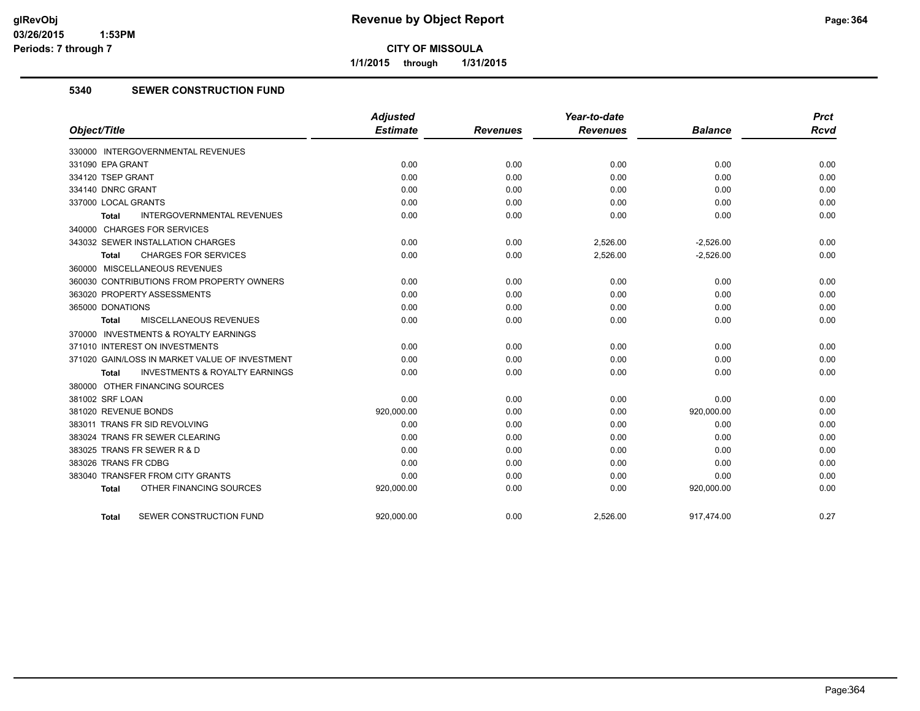**1/1/2015 through 1/31/2015**

# **5340 SEWER CONSTRUCTION FUND**

|                                                    | <b>Adjusted</b> |                 | Year-to-date    |                | <b>Prct</b> |
|----------------------------------------------------|-----------------|-----------------|-----------------|----------------|-------------|
| Object/Title                                       | <b>Estimate</b> | <b>Revenues</b> | <b>Revenues</b> | <b>Balance</b> | <b>Rcvd</b> |
| 330000 INTERGOVERNMENTAL REVENUES                  |                 |                 |                 |                |             |
| 331090 EPA GRANT                                   | 0.00            | 0.00            | 0.00            | 0.00           | 0.00        |
| 334120 TSEP GRANT                                  | 0.00            | 0.00            | 0.00            | 0.00           | 0.00        |
| 334140 DNRC GRANT                                  | 0.00            | 0.00            | 0.00            | 0.00           | 0.00        |
| 337000 LOCAL GRANTS                                | 0.00            | 0.00            | 0.00            | 0.00           | 0.00        |
| <b>INTERGOVERNMENTAL REVENUES</b><br>Total         | 0.00            | 0.00            | 0.00            | 0.00           | 0.00        |
| 340000 CHARGES FOR SERVICES                        |                 |                 |                 |                |             |
| 343032 SEWER INSTALLATION CHARGES                  | 0.00            | 0.00            | 2,526.00        | $-2,526.00$    | 0.00        |
| <b>CHARGES FOR SERVICES</b><br>Total               | 0.00            | 0.00            | 2,526.00        | $-2,526.00$    | 0.00        |
| 360000 MISCELLANEOUS REVENUES                      |                 |                 |                 |                |             |
| 360030 CONTRIBUTIONS FROM PROPERTY OWNERS          | 0.00            | 0.00            | 0.00            | 0.00           | 0.00        |
| 363020 PROPERTY ASSESSMENTS                        | 0.00            | 0.00            | 0.00            | 0.00           | 0.00        |
| 365000 DONATIONS                                   | 0.00            | 0.00            | 0.00            | 0.00           | 0.00        |
| <b>MISCELLANEOUS REVENUES</b><br>Total             | 0.00            | 0.00            | 0.00            | 0.00           | 0.00        |
| 370000 INVESTMENTS & ROYALTY EARNINGS              |                 |                 |                 |                |             |
| 371010 INTEREST ON INVESTMENTS                     | 0.00            | 0.00            | 0.00            | 0.00           | 0.00        |
| 371020 GAIN/LOSS IN MARKET VALUE OF INVESTMENT     | 0.00            | 0.00            | 0.00            | 0.00           | 0.00        |
| <b>INVESTMENTS &amp; ROYALTY EARNINGS</b><br>Total | 0.00            | 0.00            | 0.00            | 0.00           | 0.00        |
| 380000 OTHER FINANCING SOURCES                     |                 |                 |                 |                |             |
| 381002 SRF LOAN                                    | 0.00            | 0.00            | 0.00            | 0.00           | 0.00        |
| 381020 REVENUE BONDS                               | 920,000.00      | 0.00            | 0.00            | 920,000.00     | 0.00        |
| 383011 TRANS FR SID REVOLVING                      | 0.00            | 0.00            | 0.00            | 0.00           | 0.00        |
| 383024 TRANS FR SEWER CLEARING                     | 0.00            | 0.00            | 0.00            | 0.00           | 0.00        |
| 383025 TRANS FR SEWER R & D                        | 0.00            | 0.00            | 0.00            | 0.00           | 0.00        |
| 383026 TRANS FR CDBG                               | 0.00            | 0.00            | 0.00            | 0.00           | 0.00        |
| 383040 TRANSFER FROM CITY GRANTS                   | 0.00            | 0.00            | 0.00            | 0.00           | 0.00        |
| OTHER FINANCING SOURCES<br><b>Total</b>            | 920,000.00      | 0.00            | 0.00            | 920,000.00     | 0.00        |
| SEWER CONSTRUCTION FUND<br><b>Total</b>            | 920,000.00      | 0.00            | 2,526.00        | 917,474.00     | 0.27        |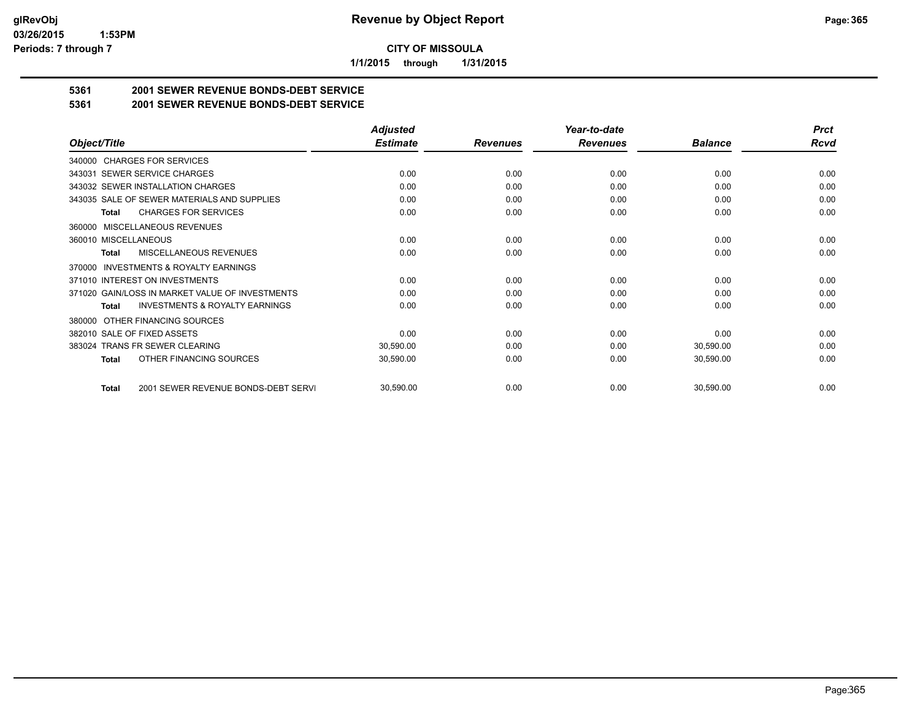**1/1/2015 through 1/31/2015**

# **5361 2001 SEWER REVENUE BONDS-DEBT SERVICE**

# **5361 2001 SEWER REVENUE BONDS-DEBT SERVICE**

|                                                     | <b>Adjusted</b> |                 | Year-to-date    |                | <b>Prct</b> |
|-----------------------------------------------------|-----------------|-----------------|-----------------|----------------|-------------|
| Object/Title                                        | <b>Estimate</b> | <b>Revenues</b> | <b>Revenues</b> | <b>Balance</b> | Rcvd        |
| 340000 CHARGES FOR SERVICES                         |                 |                 |                 |                |             |
| <b>SEWER SERVICE CHARGES</b><br>343031              | 0.00            | 0.00            | 0.00            | 0.00           | 0.00        |
| 343032 SEWER INSTALLATION CHARGES                   | 0.00            | 0.00            | 0.00            | 0.00           | 0.00        |
| 343035 SALE OF SEWER MATERIALS AND SUPPLIES         | 0.00            | 0.00            | 0.00            | 0.00           | 0.00        |
| <b>CHARGES FOR SERVICES</b><br><b>Total</b>         | 0.00            | 0.00            | 0.00            | 0.00           | 0.00        |
| <b>MISCELLANEOUS REVENUES</b><br>360000             |                 |                 |                 |                |             |
| 360010 MISCELLANEOUS                                | 0.00            | 0.00            | 0.00            | 0.00           | 0.00        |
| <b>MISCELLANEOUS REVENUES</b><br><b>Total</b>       | 0.00            | 0.00            | 0.00            | 0.00           | 0.00        |
| <b>INVESTMENTS &amp; ROYALTY EARNINGS</b><br>370000 |                 |                 |                 |                |             |
| 371010 INTEREST ON INVESTMENTS                      | 0.00            | 0.00            | 0.00            | 0.00           | 0.00        |
| 371020 GAIN/LOSS IN MARKET VALUE OF INVESTMENTS     | 0.00            | 0.00            | 0.00            | 0.00           | 0.00        |
| <b>INVESTMENTS &amp; ROYALTY EARNINGS</b><br>Total  | 0.00            | 0.00            | 0.00            | 0.00           | 0.00        |
| OTHER FINANCING SOURCES<br>380000                   |                 |                 |                 |                |             |
| 382010 SALE OF FIXED ASSETS                         | 0.00            | 0.00            | 0.00            | 0.00           | 0.00        |
| 383024 TRANS FR SEWER CLEARING                      | 30,590.00       | 0.00            | 0.00            | 30,590.00      | 0.00        |
| OTHER FINANCING SOURCES<br>Total                    | 30,590.00       | 0.00            | 0.00            | 30,590.00      | 0.00        |
|                                                     |                 |                 |                 |                |             |
| 2001 SEWER REVENUE BONDS-DEBT SERVI<br>Total        | 30,590.00       | 0.00            | 0.00            | 30,590.00      | 0.00        |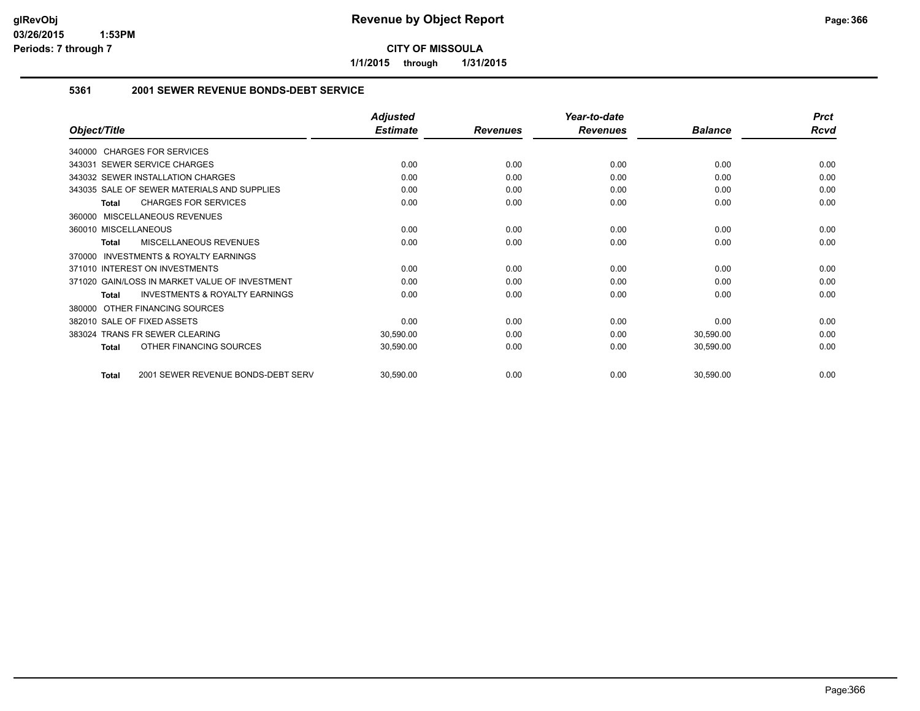**1/1/2015 through 1/31/2015**

#### **5361 2001 SEWER REVENUE BONDS-DEBT SERVICE**

|                                                           | <b>Adjusted</b> |                 | Year-to-date    |                | <b>Prct</b> |
|-----------------------------------------------------------|-----------------|-----------------|-----------------|----------------|-------------|
| Object/Title                                              | <b>Estimate</b> | <b>Revenues</b> | <b>Revenues</b> | <b>Balance</b> | <b>Rcvd</b> |
| 340000 CHARGES FOR SERVICES                               |                 |                 |                 |                |             |
| 343031 SEWER SERVICE CHARGES                              | 0.00            | 0.00            | 0.00            | 0.00           | 0.00        |
| 343032 SEWER INSTALLATION CHARGES                         | 0.00            | 0.00            | 0.00            | 0.00           | 0.00        |
| 343035 SALE OF SEWER MATERIALS AND SUPPLIES               | 0.00            | 0.00            | 0.00            | 0.00           | 0.00        |
| <b>CHARGES FOR SERVICES</b><br><b>Total</b>               | 0.00            | 0.00            | 0.00            | 0.00           | 0.00        |
| MISCELLANEOUS REVENUES<br>360000                          |                 |                 |                 |                |             |
| 360010 MISCELLANEOUS                                      | 0.00            | 0.00            | 0.00            | 0.00           | 0.00        |
| MISCELLANEOUS REVENUES<br><b>Total</b>                    | 0.00            | 0.00            | 0.00            | 0.00           | 0.00        |
| <b>INVESTMENTS &amp; ROYALTY EARNINGS</b><br>370000       |                 |                 |                 |                |             |
| 371010 INTEREST ON INVESTMENTS                            | 0.00            | 0.00            | 0.00            | 0.00           | 0.00        |
| 371020 GAIN/LOSS IN MARKET VALUE OF INVESTMENT            | 0.00            | 0.00            | 0.00            | 0.00           | 0.00        |
| <b>INVESTMENTS &amp; ROYALTY EARNINGS</b><br><b>Total</b> | 0.00            | 0.00            | 0.00            | 0.00           | 0.00        |
| OTHER FINANCING SOURCES<br>380000                         |                 |                 |                 |                |             |
| 382010 SALE OF FIXED ASSETS                               | 0.00            | 0.00            | 0.00            | 0.00           | 0.00        |
| <b>TRANS FR SEWER CLEARING</b><br>383024                  | 30,590.00       | 0.00            | 0.00            | 30,590.00      | 0.00        |
| OTHER FINANCING SOURCES<br><b>Total</b>                   | 30,590.00       | 0.00            | 0.00            | 30,590.00      | 0.00        |
| 2001 SEWER REVENUE BONDS-DEBT SERV<br><b>Total</b>        | 30,590.00       | 0.00            | 0.00            | 30,590.00      | 0.00        |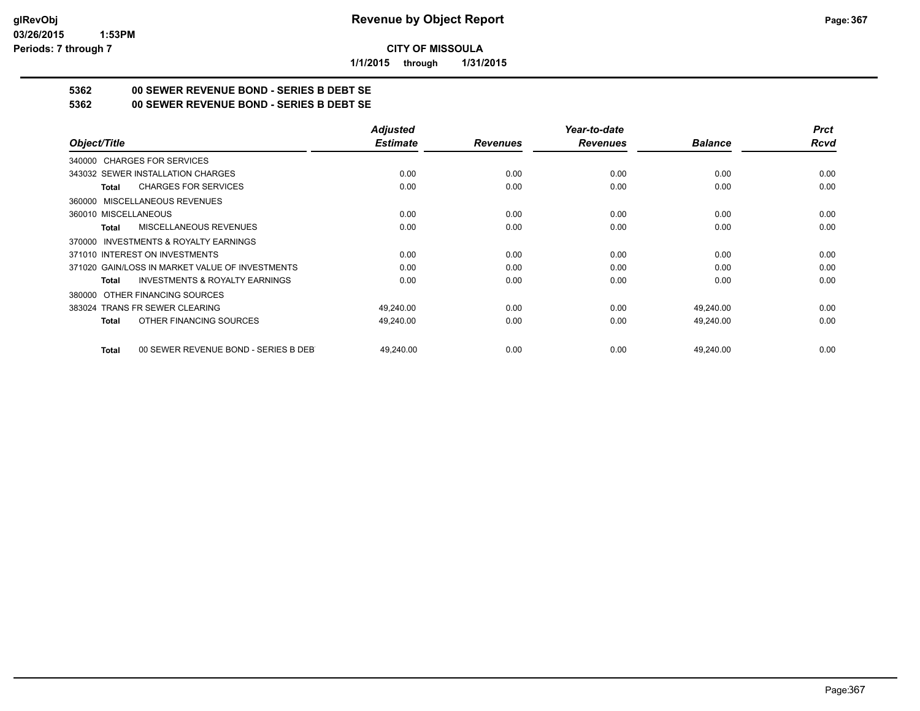**1/1/2015 through 1/31/2015**

# **5362 00 SEWER REVENUE BOND - SERIES B DEBT SE**

**5362 00 SEWER REVENUE BOND - SERIES B DEBT SE**

|                                                           | <b>Adjusted</b> |                 | Year-to-date    |                | <b>Prct</b> |
|-----------------------------------------------------------|-----------------|-----------------|-----------------|----------------|-------------|
| Object/Title                                              | <b>Estimate</b> | <b>Revenues</b> | <b>Revenues</b> | <b>Balance</b> | Rcvd        |
| 340000 CHARGES FOR SERVICES                               |                 |                 |                 |                |             |
| 343032 SEWER INSTALLATION CHARGES                         | 0.00            | 0.00            | 0.00            | 0.00           | 0.00        |
| <b>CHARGES FOR SERVICES</b><br><b>Total</b>               | 0.00            | 0.00            | 0.00            | 0.00           | 0.00        |
| MISCELLANEOUS REVENUES<br>360000                          |                 |                 |                 |                |             |
| 360010 MISCELLANEOUS                                      | 0.00            | 0.00            | 0.00            | 0.00           | 0.00        |
| MISCELLANEOUS REVENUES<br>Total                           | 0.00            | 0.00            | 0.00            | 0.00           | 0.00        |
| <b>INVESTMENTS &amp; ROYALTY EARNINGS</b><br>370000       |                 |                 |                 |                |             |
| 371010 INTEREST ON INVESTMENTS                            | 0.00            | 0.00            | 0.00            | 0.00           | 0.00        |
| 371020 GAIN/LOSS IN MARKET VALUE OF INVESTMENTS           | 0.00            | 0.00            | 0.00            | 0.00           | 0.00        |
| <b>INVESTMENTS &amp; ROYALTY EARNINGS</b><br><b>Total</b> | 0.00            | 0.00            | 0.00            | 0.00           | 0.00        |
| OTHER FINANCING SOURCES<br>380000                         |                 |                 |                 |                |             |
| 383024 TRANS FR SEWER CLEARING                            | 49,240.00       | 0.00            | 0.00            | 49,240.00      | 0.00        |
| OTHER FINANCING SOURCES<br><b>Total</b>                   | 49,240.00       | 0.00            | 0.00            | 49,240.00      | 0.00        |
| 00 SEWER REVENUE BOND - SERIES B DEB<br><b>Total</b>      | 49.240.00       | 0.00            | 0.00            | 49,240.00      | 0.00        |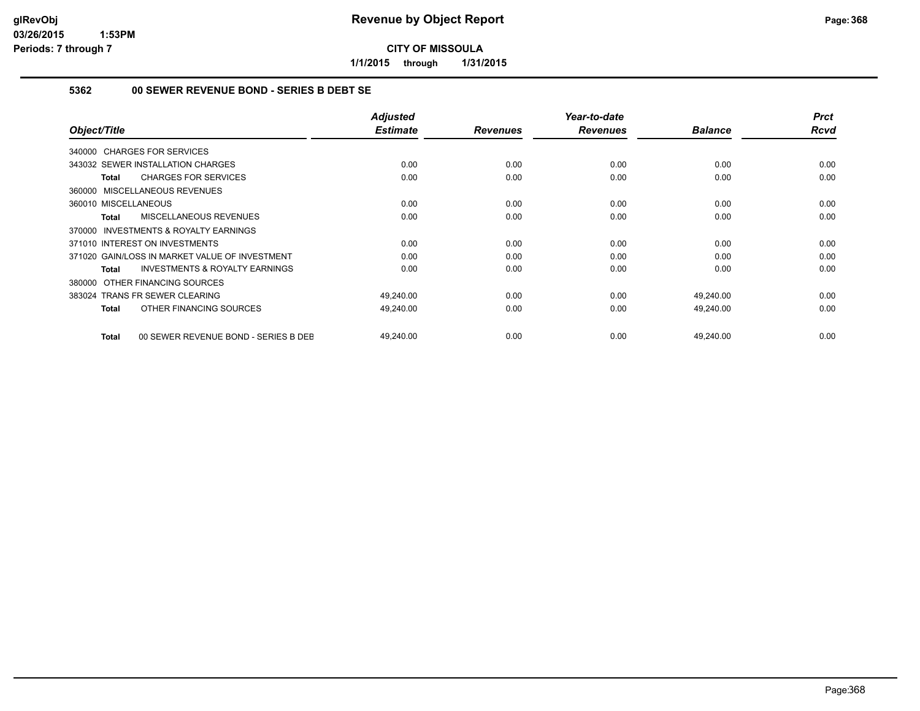**1/1/2015 through 1/31/2015**

# **5362 00 SEWER REVENUE BOND - SERIES B DEBT SE**

| Object/Title                                        | <b>Adjusted</b><br><b>Estimate</b> | <b>Revenues</b> | Year-to-date<br><b>Revenues</b> | <b>Balance</b> | <b>Prct</b><br><b>Rcvd</b> |
|-----------------------------------------------------|------------------------------------|-----------------|---------------------------------|----------------|----------------------------|
| 340000 CHARGES FOR SERVICES                         |                                    |                 |                                 |                |                            |
| 343032 SEWER INSTALLATION CHARGES                   | 0.00                               | 0.00            | 0.00                            | 0.00           | 0.00                       |
|                                                     |                                    |                 |                                 |                |                            |
| <b>CHARGES FOR SERVICES</b><br>Total                | 0.00                               | 0.00            | 0.00                            | 0.00           | 0.00                       |
| 360000 MISCELLANEOUS REVENUES                       |                                    |                 |                                 |                |                            |
| 360010 MISCELLANEOUS                                | 0.00                               | 0.00            | 0.00                            | 0.00           | 0.00                       |
| <b>MISCELLANEOUS REVENUES</b><br>Total              | 0.00                               | 0.00            | 0.00                            | 0.00           | 0.00                       |
| <b>INVESTMENTS &amp; ROYALTY EARNINGS</b><br>370000 |                                    |                 |                                 |                |                            |
| 371010 INTEREST ON INVESTMENTS                      | 0.00                               | 0.00            | 0.00                            | 0.00           | 0.00                       |
| 371020 GAIN/LOSS IN MARKET VALUE OF INVESTMENT      | 0.00                               | 0.00            | 0.00                            | 0.00           | 0.00                       |
| <b>INVESTMENTS &amp; ROYALTY EARNINGS</b><br>Total  | 0.00                               | 0.00            | 0.00                            | 0.00           | 0.00                       |
| 380000 OTHER FINANCING SOURCES                      |                                    |                 |                                 |                |                            |
| 383024 TRANS FR SEWER CLEARING                      | 49,240.00                          | 0.00            | 0.00                            | 49,240.00      | 0.00                       |
| OTHER FINANCING SOURCES<br>Total                    | 49,240.00                          | 0.00            | 0.00                            | 49,240.00      | 0.00                       |
| 00 SEWER REVENUE BOND - SERIES B DEE<br>Total       | 49,240.00                          | 0.00            | 0.00                            | 49,240.00      | 0.00                       |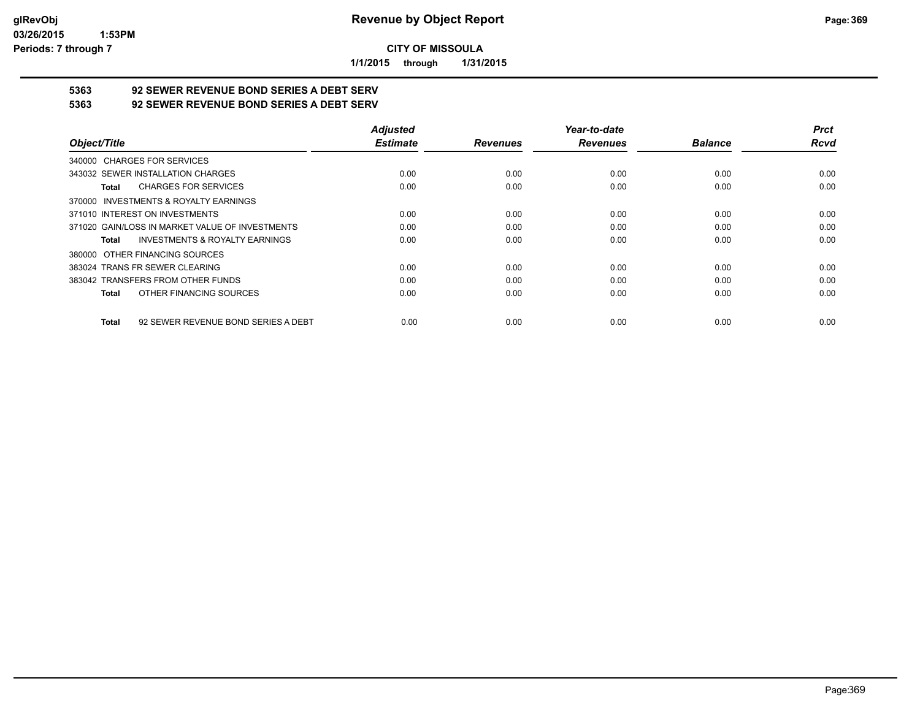**1/1/2015 through 1/31/2015**

# **5363 92 SEWER REVENUE BOND SERIES A DEBT SERV**

**5363 92 SEWER REVENUE BOND SERIES A DEBT SERV**

|                                                     | <b>Adjusted</b> |                 | Year-to-date    |                | <b>Prct</b> |
|-----------------------------------------------------|-----------------|-----------------|-----------------|----------------|-------------|
| Object/Title                                        | <b>Estimate</b> | <b>Revenues</b> | <b>Revenues</b> | <b>Balance</b> | <b>Rcvd</b> |
| 340000 CHARGES FOR SERVICES                         |                 |                 |                 |                |             |
| 343032 SEWER INSTALLATION CHARGES                   | 0.00            | 0.00            | 0.00            | 0.00           | 0.00        |
| <b>CHARGES FOR SERVICES</b><br>Total                | 0.00            | 0.00            | 0.00            | 0.00           | 0.00        |
| 370000 INVESTMENTS & ROYALTY EARNINGS               |                 |                 |                 |                |             |
| 371010 INTEREST ON INVESTMENTS                      | 0.00            | 0.00            | 0.00            | 0.00           | 0.00        |
| 371020 GAIN/LOSS IN MARKET VALUE OF INVESTMENTS     | 0.00            | 0.00            | 0.00            | 0.00           | 0.00        |
| <b>INVESTMENTS &amp; ROYALTY EARNINGS</b><br>Total  | 0.00            | 0.00            | 0.00            | 0.00           | 0.00        |
| 380000 OTHER FINANCING SOURCES                      |                 |                 |                 |                |             |
| 383024 TRANS FR SEWER CLEARING                      | 0.00            | 0.00            | 0.00            | 0.00           | 0.00        |
| 383042 TRANSFERS FROM OTHER FUNDS                   | 0.00            | 0.00            | 0.00            | 0.00           | 0.00        |
| OTHER FINANCING SOURCES<br><b>Total</b>             | 0.00            | 0.00            | 0.00            | 0.00           | 0.00        |
| 92 SEWER REVENUE BOND SERIES A DEBT<br><b>Total</b> | 0.00            | 0.00            | 0.00            | 0.00           | 0.00        |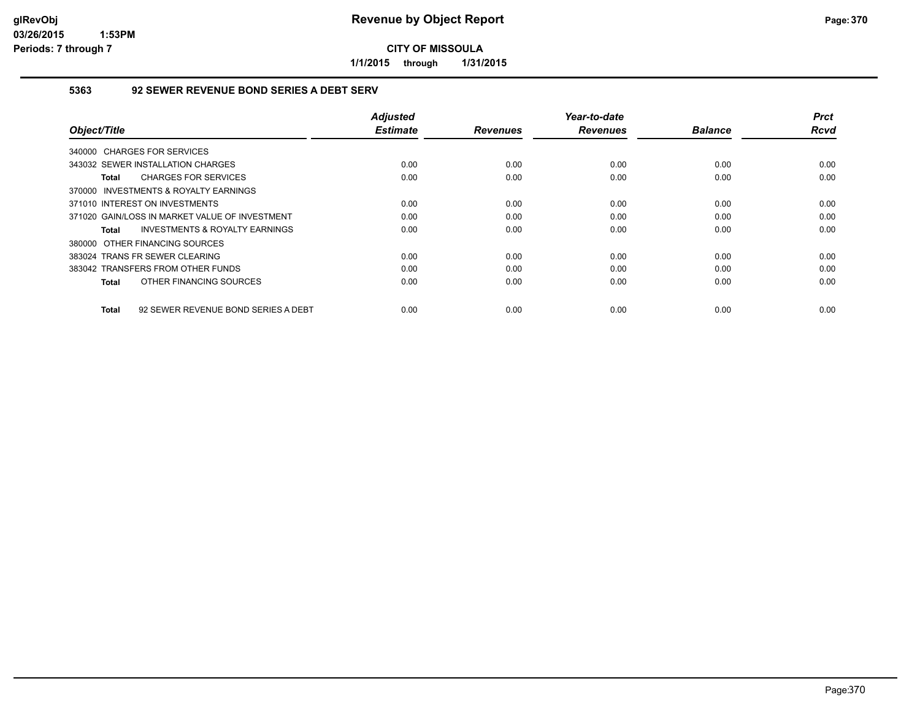**1/1/2015 through 1/31/2015**

# **5363 92 SEWER REVENUE BOND SERIES A DEBT SERV**

| Object/Title                                        | <b>Adjusted</b><br><b>Estimate</b> | <b>Revenues</b> | Year-to-date<br><b>Revenues</b> | <b>Balance</b> | <b>Prct</b><br>Rcvd |
|-----------------------------------------------------|------------------------------------|-----------------|---------------------------------|----------------|---------------------|
| 340000 CHARGES FOR SERVICES                         |                                    |                 |                                 |                |                     |
| 343032 SEWER INSTALLATION CHARGES                   | 0.00                               | 0.00            | 0.00                            | 0.00           | 0.00                |
| <b>CHARGES FOR SERVICES</b><br>Total                | 0.00                               | 0.00            | 0.00                            | 0.00           | 0.00                |
| 370000 INVESTMENTS & ROYALTY EARNINGS               |                                    |                 |                                 |                |                     |
| 371010 INTEREST ON INVESTMENTS                      | 0.00                               | 0.00            | 0.00                            | 0.00           | 0.00                |
| 371020 GAIN/LOSS IN MARKET VALUE OF INVESTMENT      | 0.00                               | 0.00            | 0.00                            | 0.00           | 0.00                |
| <b>INVESTMENTS &amp; ROYALTY EARNINGS</b><br>Total  | 0.00                               | 0.00            | 0.00                            | 0.00           | 0.00                |
| 380000 OTHER FINANCING SOURCES                      |                                    |                 |                                 |                |                     |
| 383024 TRANS FR SEWER CLEARING                      | 0.00                               | 0.00            | 0.00                            | 0.00           | 0.00                |
| 383042 TRANSFERS FROM OTHER FUNDS                   | 0.00                               | 0.00            | 0.00                            | 0.00           | 0.00                |
| OTHER FINANCING SOURCES<br>Total                    | 0.00                               | 0.00            | 0.00                            | 0.00           | 0.00                |
| 92 SEWER REVENUE BOND SERIES A DEBT<br><b>Total</b> | 0.00                               | 0.00            | 0.00                            | 0.00           | 0.00                |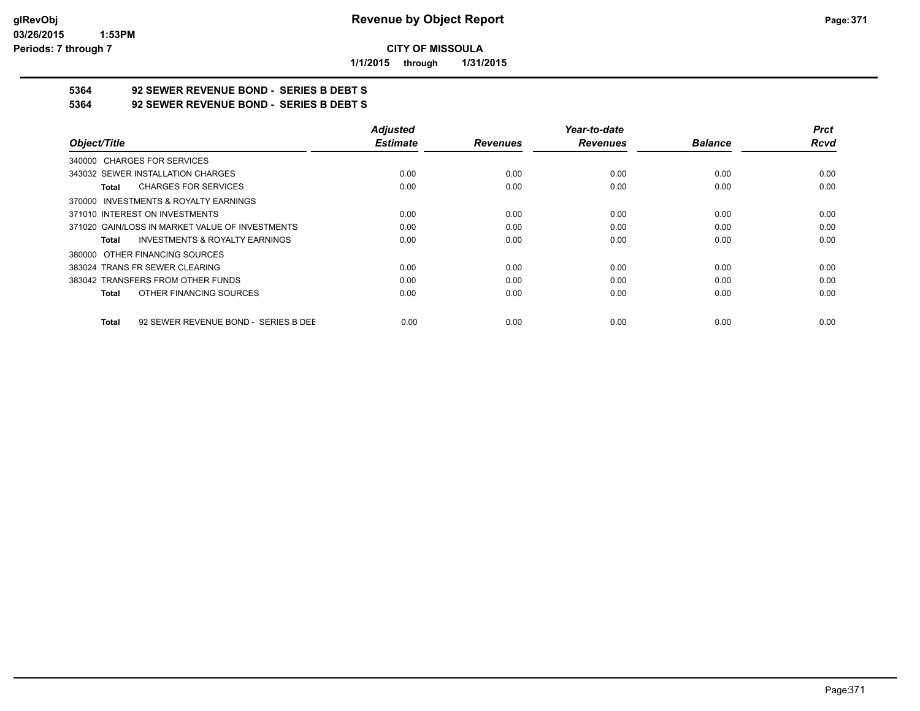**1/1/2015 through 1/31/2015**

# **5364 92 SEWER REVENUE BOND - SERIES B DEBT S**

**5364 92 SEWER REVENUE BOND - SERIES B DEBT S**

|                                                           | <b>Adjusted</b> |                 | Year-to-date    |                | <b>Prct</b> |
|-----------------------------------------------------------|-----------------|-----------------|-----------------|----------------|-------------|
| Object/Title                                              | <b>Estimate</b> | <b>Revenues</b> | <b>Revenues</b> | <b>Balance</b> | <b>Rcvd</b> |
| 340000 CHARGES FOR SERVICES                               |                 |                 |                 |                |             |
| 343032 SEWER INSTALLATION CHARGES                         | 0.00            | 0.00            | 0.00            | 0.00           | 0.00        |
| <b>CHARGES FOR SERVICES</b><br>Total                      | 0.00            | 0.00            | 0.00            | 0.00           | 0.00        |
| 370000 INVESTMENTS & ROYALTY EARNINGS                     |                 |                 |                 |                |             |
| 371010 INTEREST ON INVESTMENTS                            | 0.00            | 0.00            | 0.00            | 0.00           | 0.00        |
| 371020 GAIN/LOSS IN MARKET VALUE OF INVESTMENTS           | 0.00            | 0.00            | 0.00            | 0.00           | 0.00        |
| <b>INVESTMENTS &amp; ROYALTY EARNINGS</b><br><b>Total</b> | 0.00            | 0.00            | 0.00            | 0.00           | 0.00        |
| 380000 OTHER FINANCING SOURCES                            |                 |                 |                 |                |             |
| 383024 TRANS FR SEWER CLEARING                            | 0.00            | 0.00            | 0.00            | 0.00           | 0.00        |
| 383042 TRANSFERS FROM OTHER FUNDS                         | 0.00            | 0.00            | 0.00            | 0.00           | 0.00        |
| OTHER FINANCING SOURCES<br><b>Total</b>                   | 0.00            | 0.00            | 0.00            | 0.00           | 0.00        |
| 92 SEWER REVENUE BOND - SERIES B DEE<br><b>Total</b>      | 0.00            | 0.00            | 0.00            | 0.00           | 0.00        |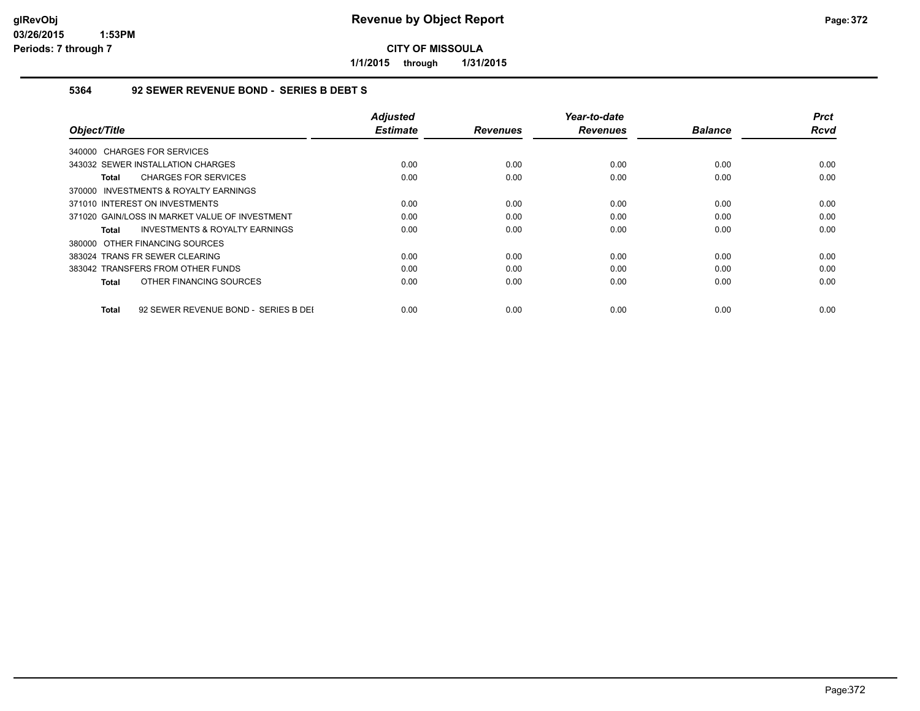**1/1/2015 through 1/31/2015**

### **5364 92 SEWER REVENUE BOND - SERIES B DEBT S**

| Object/Title                                       | <b>Adjusted</b><br><b>Estimate</b> | <b>Revenues</b> | Year-to-date<br><b>Revenues</b> | <b>Balance</b> | <b>Prct</b><br>Rcvd |
|----------------------------------------------------|------------------------------------|-----------------|---------------------------------|----------------|---------------------|
| 340000 CHARGES FOR SERVICES                        |                                    |                 |                                 |                |                     |
| 343032 SEWER INSTALLATION CHARGES                  | 0.00                               | 0.00            | 0.00                            | 0.00           | 0.00                |
| <b>CHARGES FOR SERVICES</b><br>Total               | 0.00                               | 0.00            | 0.00                            | 0.00           | 0.00                |
| 370000 INVESTMENTS & ROYALTY EARNINGS              |                                    |                 |                                 |                |                     |
| 371010 INTEREST ON INVESTMENTS                     | 0.00                               | 0.00            | 0.00                            | 0.00           | 0.00                |
| 371020 GAIN/LOSS IN MARKET VALUE OF INVESTMENT     | 0.00                               | 0.00            | 0.00                            | 0.00           | 0.00                |
| <b>INVESTMENTS &amp; ROYALTY EARNINGS</b><br>Total | 0.00                               | 0.00            | 0.00                            | 0.00           | 0.00                |
| 380000 OTHER FINANCING SOURCES                     |                                    |                 |                                 |                |                     |
| 383024 TRANS FR SEWER CLEARING                     | 0.00                               | 0.00            | 0.00                            | 0.00           | 0.00                |
| 383042 TRANSFERS FROM OTHER FUNDS                  | 0.00                               | 0.00            | 0.00                            | 0.00           | 0.00                |
| OTHER FINANCING SOURCES<br>Total                   | 0.00                               | 0.00            | 0.00                            | 0.00           | 0.00                |
|                                                    |                                    |                 |                                 |                |                     |
| 92 SEWER REVENUE BOND - SERIES B DEI<br>Total      | 0.00                               | 0.00            | 0.00                            | 0.00           | 0.00                |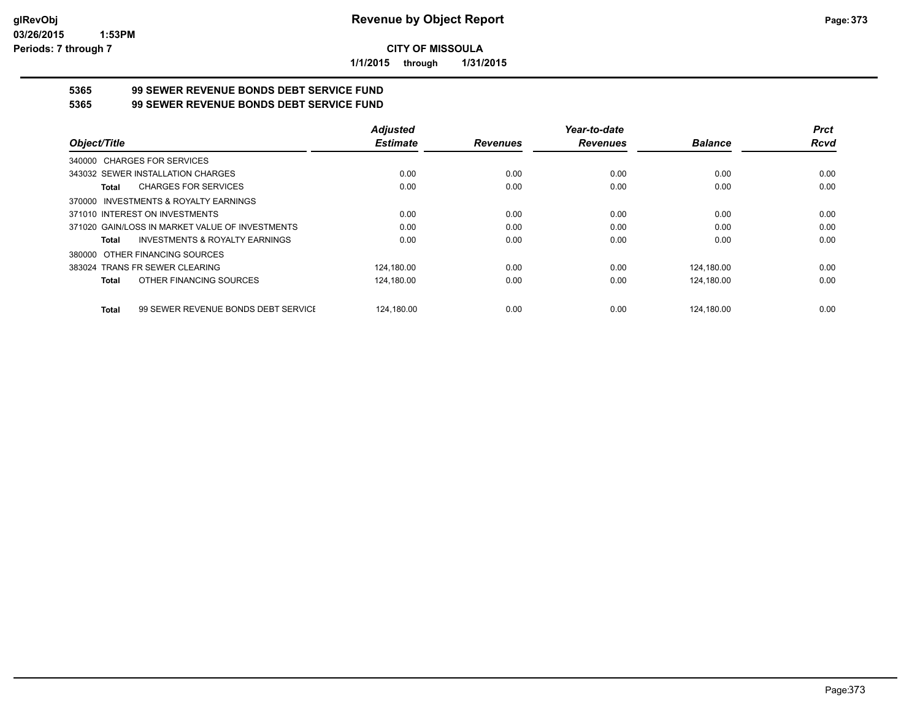**1/1/2015 through 1/31/2015**

# **5365 99 SEWER REVENUE BONDS DEBT SERVICE FUND**

| 5365 | 99 SEWER REVENUE BONDS DEBT SERVICE FUND |
|------|------------------------------------------|
|      |                                          |

|                                                           | <b>Adjusted</b> |                 | Year-to-date    |                | <b>Prct</b> |
|-----------------------------------------------------------|-----------------|-----------------|-----------------|----------------|-------------|
| Object/Title                                              | <b>Estimate</b> | <b>Revenues</b> | <b>Revenues</b> | <b>Balance</b> | <b>Rcvd</b> |
| 340000 CHARGES FOR SERVICES                               |                 |                 |                 |                |             |
| 343032 SEWER INSTALLATION CHARGES                         | 0.00            | 0.00            | 0.00            | 0.00           | 0.00        |
| <b>CHARGES FOR SERVICES</b><br>Total                      | 0.00            | 0.00            | 0.00            | 0.00           | 0.00        |
| 370000 INVESTMENTS & ROYALTY EARNINGS                     |                 |                 |                 |                |             |
| 371010 INTEREST ON INVESTMENTS                            | 0.00            | 0.00            | 0.00            | 0.00           | 0.00        |
| 371020 GAIN/LOSS IN MARKET VALUE OF INVESTMENTS           | 0.00            | 0.00            | 0.00            | 0.00           | 0.00        |
| <b>INVESTMENTS &amp; ROYALTY EARNINGS</b><br><b>Total</b> | 0.00            | 0.00            | 0.00            | 0.00           | 0.00        |
| 380000 OTHER FINANCING SOURCES                            |                 |                 |                 |                |             |
| 383024 TRANS FR SEWER CLEARING                            | 124.180.00      | 0.00            | 0.00            | 124,180.00     | 0.00        |
| OTHER FINANCING SOURCES<br>Total                          | 124,180.00      | 0.00            | 0.00            | 124.180.00     | 0.00        |
| 99 SEWER REVENUE BONDS DEBT SERVICE<br><b>Total</b>       | 124.180.00      | 0.00            | 0.00            | 124.180.00     | 0.00        |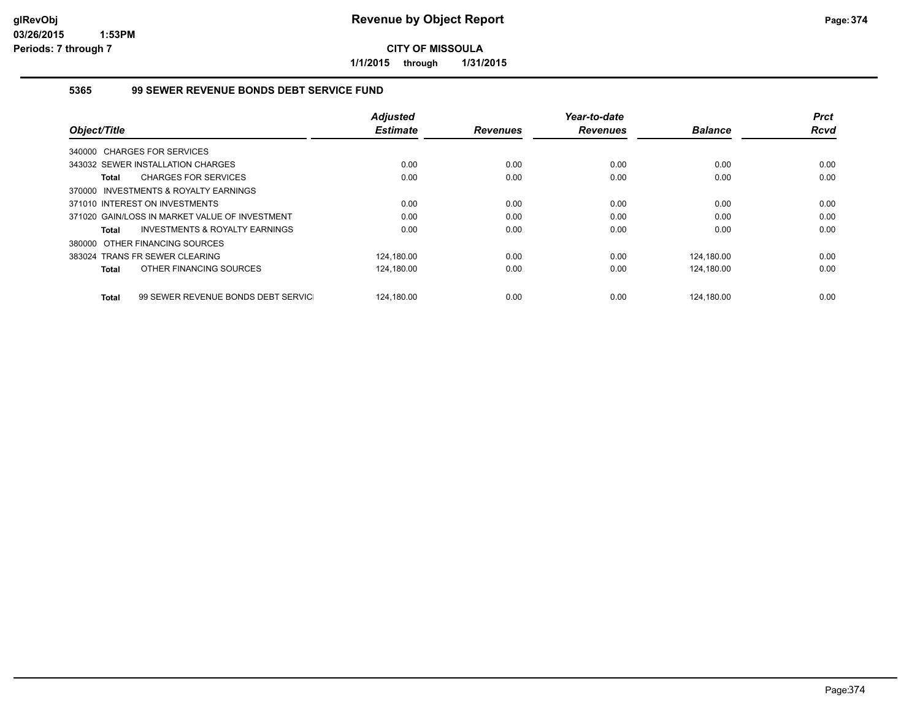**1/1/2015 through 1/31/2015**

#### **5365 99 SEWER REVENUE BONDS DEBT SERVICE FUND**

| Object/Title                                       |                                    | <b>Adjusted</b><br><b>Estimate</b> | <b>Revenues</b> | Year-to-date<br><b>Revenues</b> | <b>Balance</b> | <b>Prct</b><br><b>Rcvd</b> |
|----------------------------------------------------|------------------------------------|------------------------------------|-----------------|---------------------------------|----------------|----------------------------|
|                                                    |                                    |                                    |                 |                                 |                |                            |
| 340000 CHARGES FOR SERVICES                        |                                    |                                    |                 |                                 |                |                            |
| 343032 SEWER INSTALLATION CHARGES                  |                                    | 0.00                               | 0.00            | 0.00                            | 0.00           | 0.00                       |
| <b>CHARGES FOR SERVICES</b><br>Total               |                                    | 0.00                               | 0.00            | 0.00                            | 0.00           | 0.00                       |
| 370000 INVESTMENTS & ROYALTY EARNINGS              |                                    |                                    |                 |                                 |                |                            |
| 371010 INTEREST ON INVESTMENTS                     |                                    | 0.00                               | 0.00            | 0.00                            | 0.00           | 0.00                       |
| 371020 GAIN/LOSS IN MARKET VALUE OF INVESTMENT     |                                    | 0.00                               | 0.00            | 0.00                            | 0.00           | 0.00                       |
| <b>INVESTMENTS &amp; ROYALTY EARNINGS</b><br>Total |                                    | 0.00                               | 0.00            | 0.00                            | 0.00           | 0.00                       |
| 380000 OTHER FINANCING SOURCES                     |                                    |                                    |                 |                                 |                |                            |
| 383024 TRANS FR SEWER CLEARING                     |                                    | 124.180.00                         | 0.00            | 0.00                            | 124.180.00     | 0.00                       |
| OTHER FINANCING SOURCES<br>Total                   |                                    | 124,180.00                         | 0.00            | 0.00                            | 124,180.00     | 0.00                       |
| Total                                              | 99 SEWER REVENUE BONDS DEBT SERVIC | 124.180.00                         | 0.00            | 0.00                            | 124.180.00     | 0.00                       |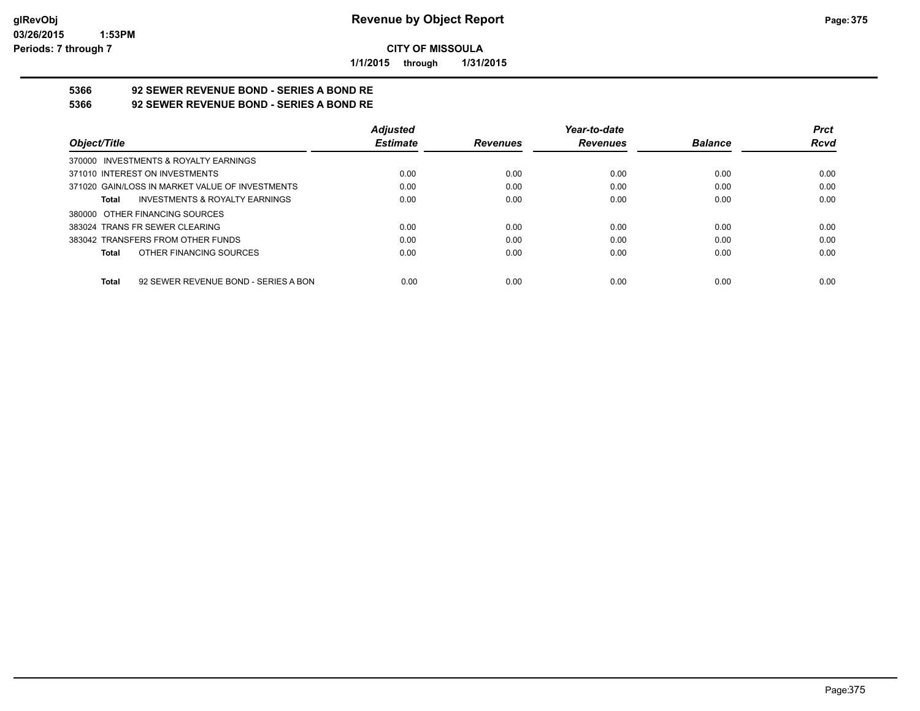**1/1/2015 through 1/31/2015**

# **5366 92 SEWER REVENUE BOND - SERIES A BOND RE**

**5366 92 SEWER REVENUE BOND - SERIES A BOND RE**

|                                                      | <b>Adjusted</b> |                 | Year-to-date    |                | <b>Prct</b> |
|------------------------------------------------------|-----------------|-----------------|-----------------|----------------|-------------|
| Object/Title                                         | <b>Estimate</b> | <b>Revenues</b> | <b>Revenues</b> | <b>Balance</b> | <b>Rcvd</b> |
| 370000 INVESTMENTS & ROYALTY EARNINGS                |                 |                 |                 |                |             |
| 371010 INTEREST ON INVESTMENTS                       | 0.00            | 0.00            | 0.00            | 0.00           | 0.00        |
| 371020 GAIN/LOSS IN MARKET VALUE OF INVESTMENTS      | 0.00            | 0.00            | 0.00            | 0.00           | 0.00        |
| INVESTMENTS & ROYALTY EARNINGS<br>Total              | 0.00            | 0.00            | 0.00            | 0.00           | 0.00        |
| 380000 OTHER FINANCING SOURCES                       |                 |                 |                 |                |             |
| 383024 TRANS FR SEWER CLEARING                       | 0.00            | 0.00            | 0.00            | 0.00           | 0.00        |
| 383042 TRANSFERS FROM OTHER FUNDS                    | 0.00            | 0.00            | 0.00            | 0.00           | 0.00        |
| OTHER FINANCING SOURCES<br>Total                     | 0.00            | 0.00            | 0.00            | 0.00           | 0.00        |
| 92 SEWER REVENUE BOND - SERIES A BON<br><b>Total</b> | 0.00            | 0.00            | 0.00            | 0.00           | 0.00        |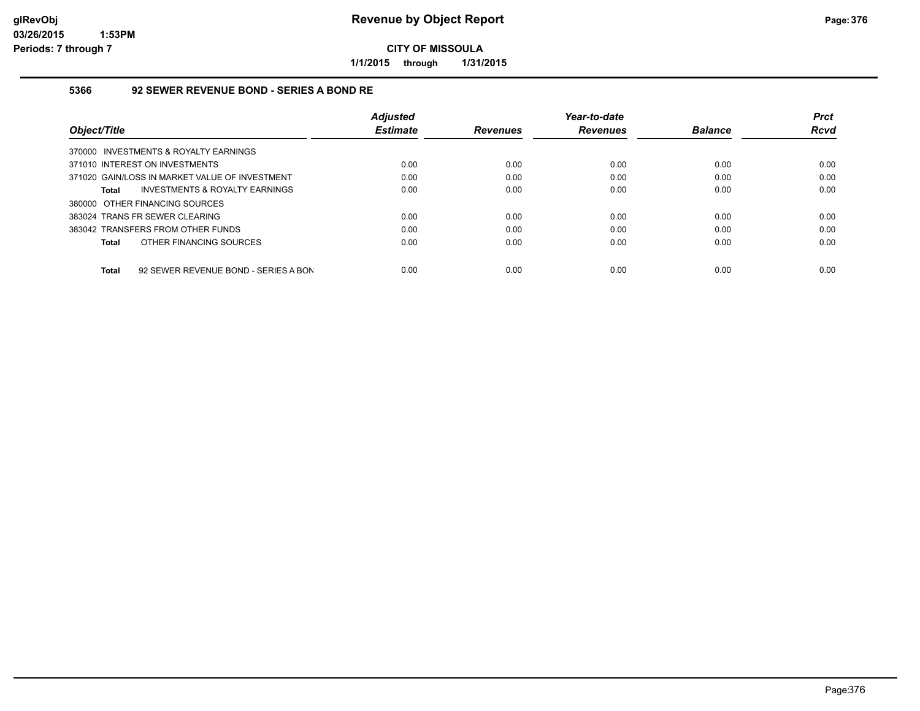**1/1/2015 through 1/31/2015**

#### **5366 92 SEWER REVENUE BOND - SERIES A BOND RE**

|                                                      | <b>Adiusted</b> |                 | Year-to-date    |                | <b>Prct</b> |
|------------------------------------------------------|-----------------|-----------------|-----------------|----------------|-------------|
| Object/Title                                         | <b>Estimate</b> | <b>Revenues</b> | <b>Revenues</b> | <b>Balance</b> | Rcvd        |
| 370000 INVESTMENTS & ROYALTY EARNINGS                |                 |                 |                 |                |             |
| 371010 INTEREST ON INVESTMENTS                       | 0.00            | 0.00            | 0.00            | 0.00           | 0.00        |
| 371020 GAIN/LOSS IN MARKET VALUE OF INVESTMENT       | 0.00            | 0.00            | 0.00            | 0.00           | 0.00        |
| <b>INVESTMENTS &amp; ROYALTY EARNINGS</b><br>Total   | 0.00            | 0.00            | 0.00            | 0.00           | 0.00        |
| 380000 OTHER FINANCING SOURCES                       |                 |                 |                 |                |             |
| 383024 TRANS FR SEWER CLEARING                       | 0.00            | 0.00            | 0.00            | 0.00           | 0.00        |
| 383042 TRANSFERS FROM OTHER FUNDS                    | 0.00            | 0.00            | 0.00            | 0.00           | 0.00        |
| OTHER FINANCING SOURCES<br><b>Total</b>              | 0.00            | 0.00            | 0.00            | 0.00           | 0.00        |
|                                                      |                 |                 |                 |                |             |
| 92 SEWER REVENUE BOND - SERIES A BON<br><b>Total</b> | 0.00            | 0.00            | 0.00            | 0.00           | 0.00        |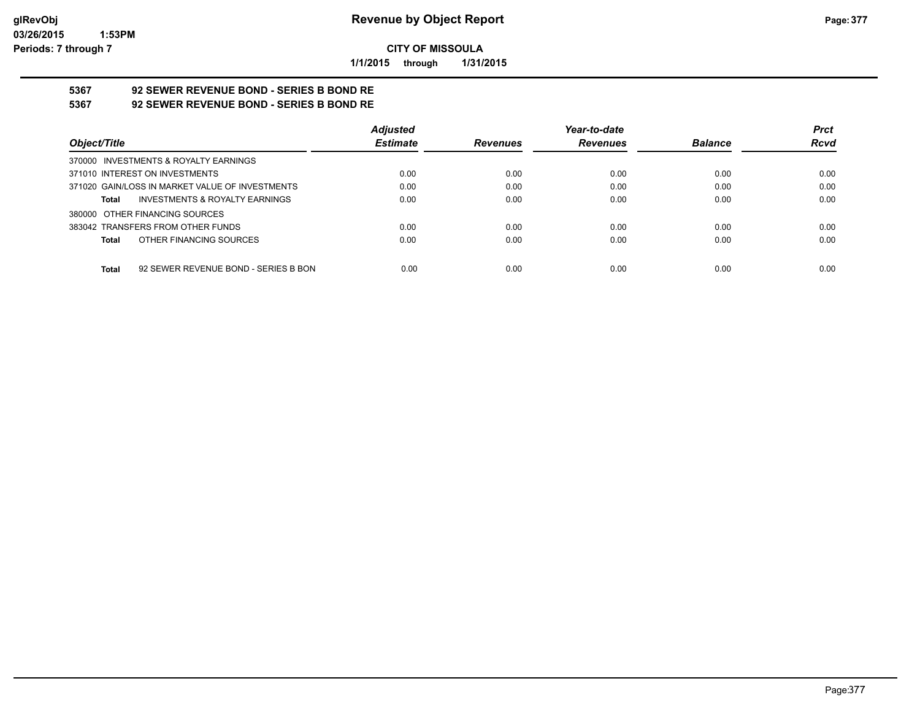**1/1/2015 through 1/31/2015**

# **5367 92 SEWER REVENUE BOND - SERIES B BOND RE**

**5367 92 SEWER REVENUE BOND - SERIES B BOND RE**

|                                                    | <b>Adjusted</b> |                 | Year-to-date    |                | <b>Prct</b> |
|----------------------------------------------------|-----------------|-----------------|-----------------|----------------|-------------|
| Object/Title                                       | <b>Estimate</b> | <b>Revenues</b> | <b>Revenues</b> | <b>Balance</b> | <b>Rcvd</b> |
| 370000 INVESTMENTS & ROYALTY EARNINGS              |                 |                 |                 |                |             |
| 371010 INTEREST ON INVESTMENTS                     | 0.00            | 0.00            | 0.00            | 0.00           | 0.00        |
| 371020 GAIN/LOSS IN MARKET VALUE OF INVESTMENTS    | 0.00            | 0.00            | 0.00            | 0.00           | 0.00        |
| <b>INVESTMENTS &amp; ROYALTY EARNINGS</b><br>Total | 0.00            | 0.00            | 0.00            | 0.00           | 0.00        |
| 380000 OTHER FINANCING SOURCES                     |                 |                 |                 |                |             |
| 383042 TRANSFERS FROM OTHER FUNDS                  | 0.00            | 0.00            | 0.00            | 0.00           | 0.00        |
| OTHER FINANCING SOURCES<br>Total                   | 0.00            | 0.00            | 0.00            | 0.00           | 0.00        |
|                                                    |                 |                 |                 |                |             |
| 92 SEWER REVENUE BOND - SERIES B BON<br>Total      | 0.00            | 0.00            | 0.00            | 0.00           | 0.00        |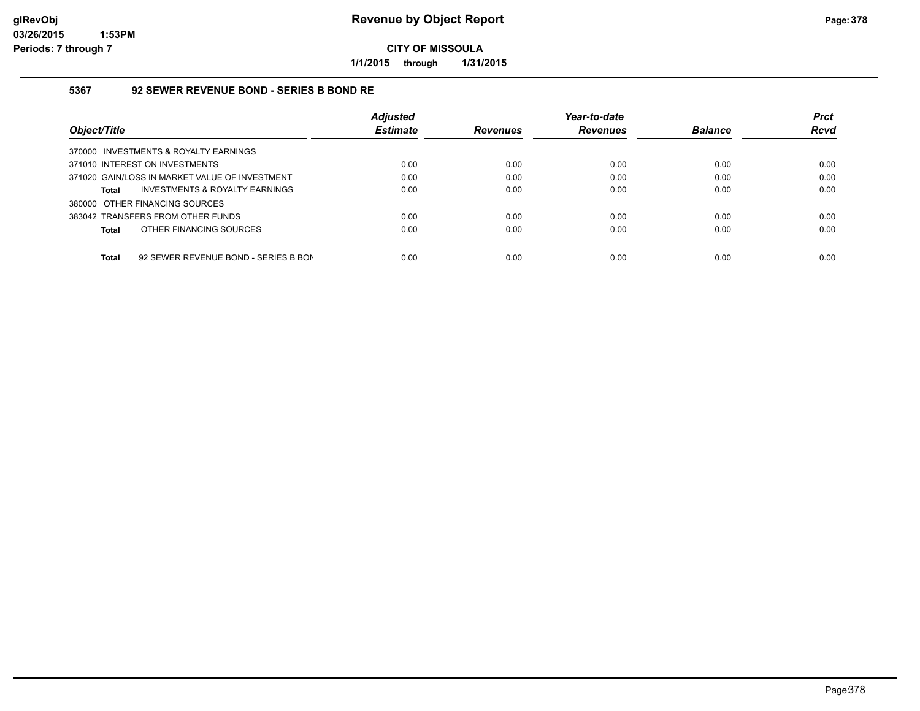**1/1/2015 through 1/31/2015**

#### **5367 92 SEWER REVENUE BOND - SERIES B BOND RE**

| Object/Title                                         | <b>Adjusted</b><br><b>Estimate</b> | <b>Revenues</b> | Year-to-date<br><b>Revenues</b> | <b>Balance</b> | <b>Prct</b><br><b>Rcvd</b> |
|------------------------------------------------------|------------------------------------|-----------------|---------------------------------|----------------|----------------------------|
| 370000 INVESTMENTS & ROYALTY EARNINGS                |                                    |                 |                                 |                |                            |
| 371010 INTEREST ON INVESTMENTS                       | 0.00                               | 0.00            | 0.00                            | 0.00           | 0.00                       |
| 371020 GAIN/LOSS IN MARKET VALUE OF INVESTMENT       | 0.00                               | 0.00            | 0.00                            | 0.00           | 0.00                       |
| <b>INVESTMENTS &amp; ROYALTY EARNINGS</b><br>Total   | 0.00                               | 0.00            | 0.00                            | 0.00           | 0.00                       |
| 380000 OTHER FINANCING SOURCES                       |                                    |                 |                                 |                |                            |
| 383042 TRANSFERS FROM OTHER FUNDS                    | 0.00                               | 0.00            | 0.00                            | 0.00           | 0.00                       |
| OTHER FINANCING SOURCES<br>Total                     | 0.00                               | 0.00            | 0.00                            | 0.00           | 0.00                       |
| 92 SEWER REVENUE BOND - SERIES B BON<br><b>Total</b> | 0.00                               | 0.00            | 0.00                            | 0.00           | 0.00                       |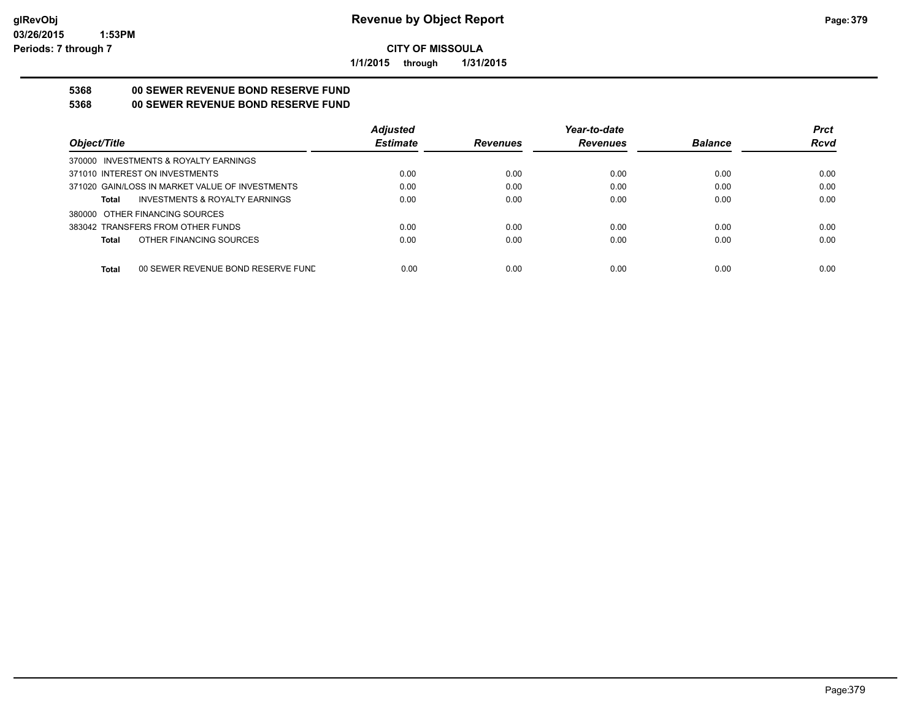**1/1/2015 through 1/31/2015**

# **5368 00 SEWER REVENUE BOND RESERVE FUND**

# **5368 00 SEWER REVENUE BOND RESERVE FUND**

|                                                    | <b>Adjusted</b> |                 | Year-to-date    |                | <b>Prct</b> |
|----------------------------------------------------|-----------------|-----------------|-----------------|----------------|-------------|
| Object/Title                                       | <b>Estimate</b> | <b>Revenues</b> | <b>Revenues</b> | <b>Balance</b> | <b>Rcvd</b> |
| 370000 INVESTMENTS & ROYALTY EARNINGS              |                 |                 |                 |                |             |
| 371010 INTEREST ON INVESTMENTS                     | 0.00            | 0.00            | 0.00            | 0.00           | 0.00        |
| 371020 GAIN/LOSS IN MARKET VALUE OF INVESTMENTS    | 0.00            | 0.00            | 0.00            | 0.00           | 0.00        |
| INVESTMENTS & ROYALTY EARNINGS<br>Total            | 0.00            | 0.00            | 0.00            | 0.00           | 0.00        |
| 380000 OTHER FINANCING SOURCES                     |                 |                 |                 |                |             |
| 383042 TRANSFERS FROM OTHER FUNDS                  | 0.00            | 0.00            | 0.00            | 0.00           | 0.00        |
| OTHER FINANCING SOURCES<br>Total                   | 0.00            | 0.00            | 0.00            | 0.00           | 0.00        |
|                                                    |                 |                 |                 |                |             |
| <b>Total</b><br>00 SEWER REVENUE BOND RESERVE FUND | 0.00            | 0.00            | 0.00            | 0.00           | 0.00        |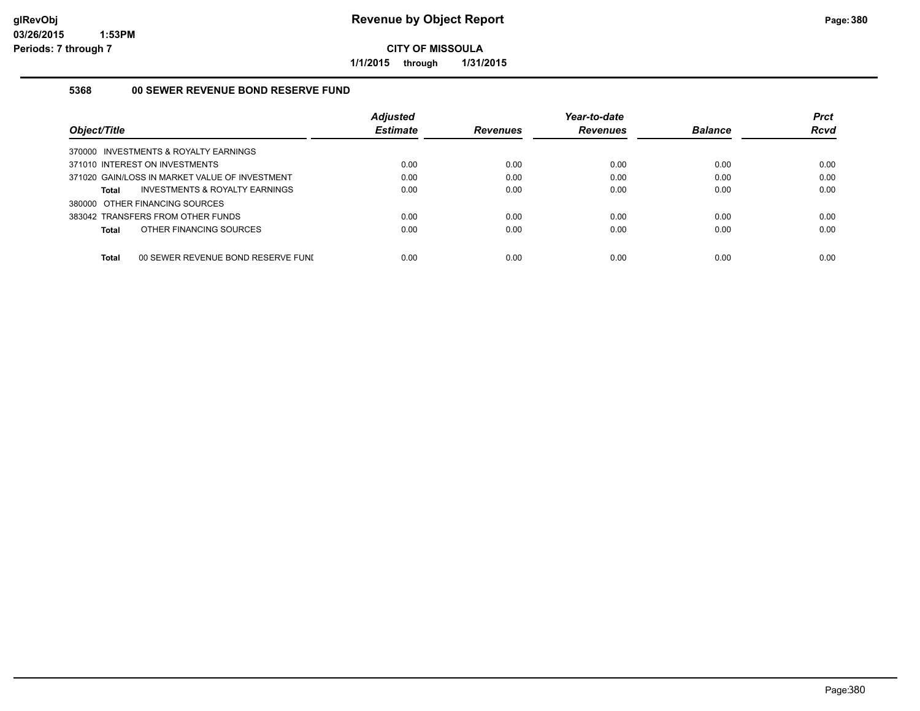**1/1/2015 through 1/31/2015**

# **5368 00 SEWER REVENUE BOND RESERVE FUND**

|                                                    | <b>Adjusted</b> |                 | Year-to-date    |                | <b>Prct</b> |
|----------------------------------------------------|-----------------|-----------------|-----------------|----------------|-------------|
| Object/Title                                       | <b>Estimate</b> | <b>Revenues</b> | <b>Revenues</b> | <b>Balance</b> | Rcvd        |
| 370000 INVESTMENTS & ROYALTY EARNINGS              |                 |                 |                 |                |             |
| 371010 INTEREST ON INVESTMENTS                     | 0.00            | 0.00            | 0.00            | 0.00           | 0.00        |
| 371020 GAIN/LOSS IN MARKET VALUE OF INVESTMENT     | 0.00            | 0.00            | 0.00            | 0.00           | 0.00        |
| INVESTMENTS & ROYALTY EARNINGS<br>Total            | 0.00            | 0.00            | 0.00            | 0.00           | 0.00        |
| 380000 OTHER FINANCING SOURCES                     |                 |                 |                 |                |             |
| 383042 TRANSFERS FROM OTHER FUNDS                  | 0.00            | 0.00            | 0.00            | 0.00           | 0.00        |
| OTHER FINANCING SOURCES<br>Total                   | 0.00            | 0.00            | 0.00            | 0.00           | 0.00        |
|                                                    |                 |                 |                 |                |             |
| <b>Total</b><br>00 SEWER REVENUE BOND RESERVE FUNI | 0.00            | 0.00            | 0.00            | 0.00           | 0.00        |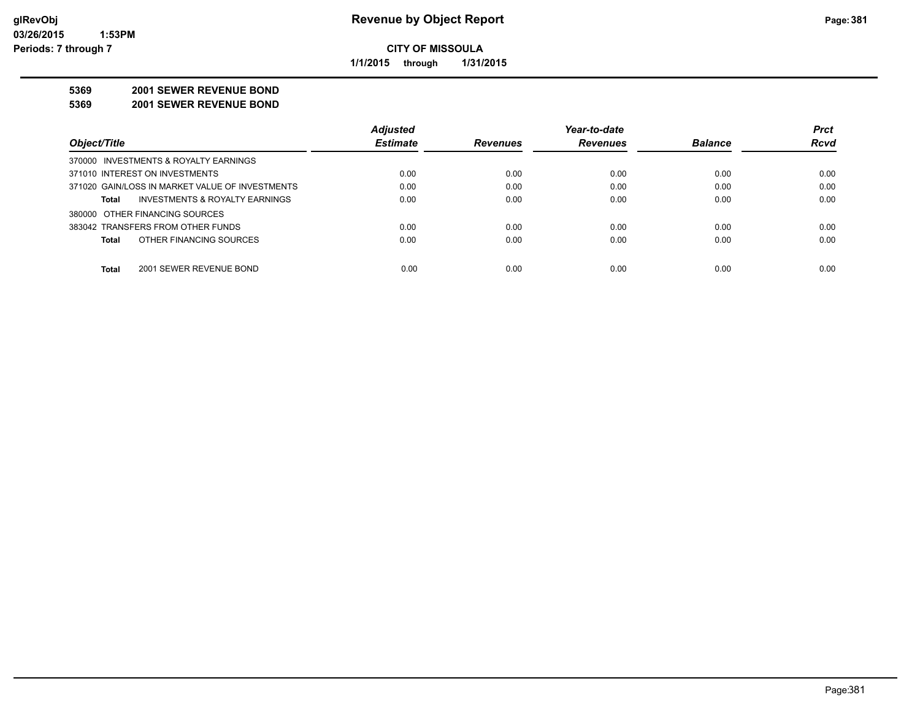**1/1/2015 through 1/31/2015**

#### **5369 2001 SEWER REVENUE BOND**

**5369 2001 SEWER REVENUE BOND**

|                                                 | <b>Adjusted</b> |                 | Year-to-date    |                | <b>Prct</b> |
|-------------------------------------------------|-----------------|-----------------|-----------------|----------------|-------------|
| Object/Title                                    | <b>Estimate</b> | <b>Revenues</b> | <b>Revenues</b> | <b>Balance</b> | <b>Rcvd</b> |
| 370000 INVESTMENTS & ROYALTY EARNINGS           |                 |                 |                 |                |             |
| 371010 INTEREST ON INVESTMENTS                  | 0.00            | 0.00            | 0.00            | 0.00           | 0.00        |
| 371020 GAIN/LOSS IN MARKET VALUE OF INVESTMENTS | 0.00            | 0.00            | 0.00            | 0.00           | 0.00        |
| INVESTMENTS & ROYALTY EARNINGS<br>Total         | 0.00            | 0.00            | 0.00            | 0.00           | 0.00        |
| 380000 OTHER FINANCING SOURCES                  |                 |                 |                 |                |             |
| 383042 TRANSFERS FROM OTHER FUNDS               | 0.00            | 0.00            | 0.00            | 0.00           | 0.00        |
| OTHER FINANCING SOURCES<br><b>Total</b>         | 0.00            | 0.00            | 0.00            | 0.00           | 0.00        |
|                                                 |                 |                 |                 |                |             |
| <b>Total</b><br>2001 SEWER REVENUE BOND         | 0.00            | 0.00            | 0.00            | 0.00           | 0.00        |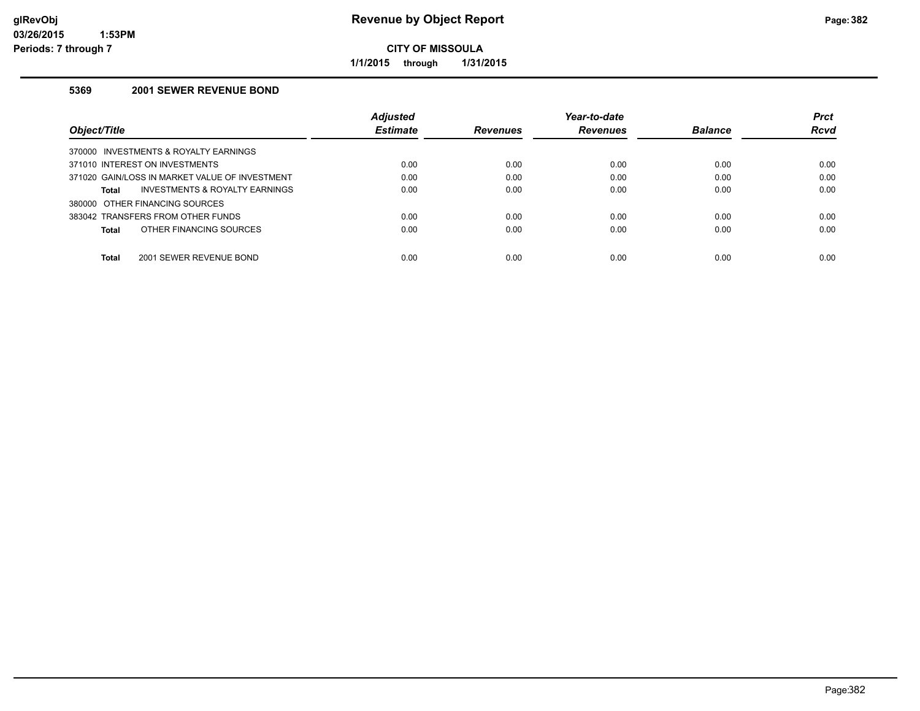**1/1/2015 through 1/31/2015**

# **5369 2001 SEWER REVENUE BOND**

|                                                    | <b>Adjusted</b> |                 | Year-to-date    |                | <b>Prct</b> |
|----------------------------------------------------|-----------------|-----------------|-----------------|----------------|-------------|
| Object/Title                                       | <b>Estimate</b> | <b>Revenues</b> | <b>Revenues</b> | <b>Balance</b> | <b>Rcvd</b> |
| 370000 INVESTMENTS & ROYALTY EARNINGS              |                 |                 |                 |                |             |
| 371010 INTEREST ON INVESTMENTS                     | 0.00            | 0.00            | 0.00            | 0.00           | 0.00        |
| 371020 GAIN/LOSS IN MARKET VALUE OF INVESTMENT     | 0.00            | 0.00            | 0.00            | 0.00           | 0.00        |
| <b>INVESTMENTS &amp; ROYALTY EARNINGS</b><br>Total | 0.00            | 0.00            | 0.00            | 0.00           | 0.00        |
| 380000 OTHER FINANCING SOURCES                     |                 |                 |                 |                |             |
| 383042 TRANSFERS FROM OTHER FUNDS                  | 0.00            | 0.00            | 0.00            | 0.00           | 0.00        |
| OTHER FINANCING SOURCES<br>Total                   | 0.00            | 0.00            | 0.00            | 0.00           | 0.00        |
| <b>Total</b><br>2001 SEWER REVENUE BOND            | 0.00            | 0.00            | 0.00            | 0.00           | 0.00        |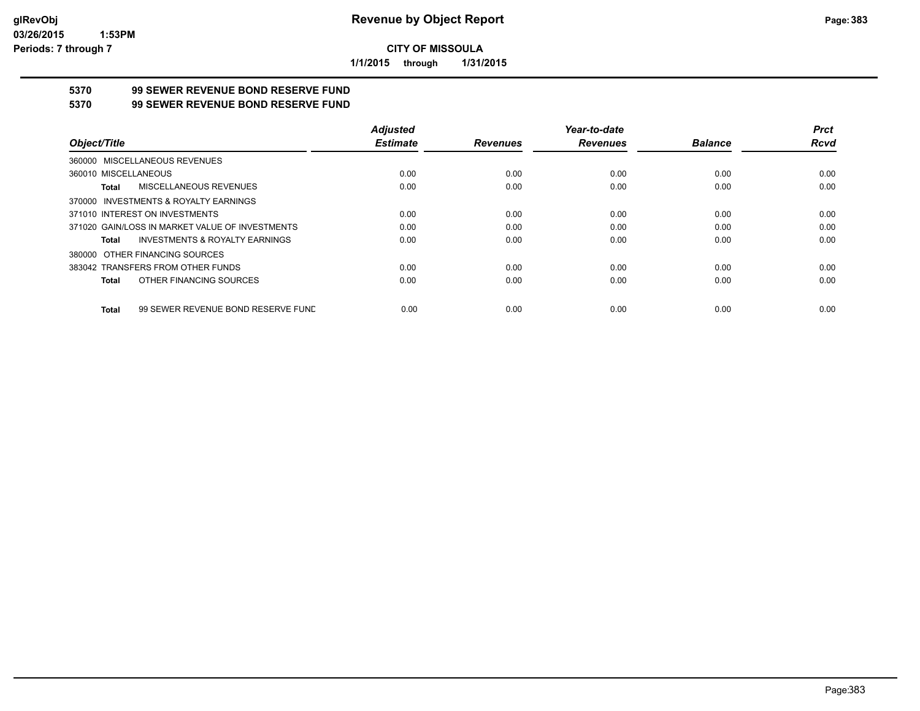**1/1/2015 through 1/31/2015**

# **5370 99 SEWER REVENUE BOND RESERVE FUND**

#### **5370 99 SEWER REVENUE BOND RESERVE FUND**

|                                                    | <b>Adjusted</b> |                 | Year-to-date    |                | <b>Prct</b> |
|----------------------------------------------------|-----------------|-----------------|-----------------|----------------|-------------|
| Object/Title                                       | <b>Estimate</b> | <b>Revenues</b> | <b>Revenues</b> | <b>Balance</b> | <b>Rcvd</b> |
| 360000 MISCELLANEOUS REVENUES                      |                 |                 |                 |                |             |
| 360010 MISCELLANEOUS                               | 0.00            | 0.00            | 0.00            | 0.00           | 0.00        |
| MISCELLANEOUS REVENUES<br>Total                    | 0.00            | 0.00            | 0.00            | 0.00           | 0.00        |
| 370000 INVESTMENTS & ROYALTY EARNINGS              |                 |                 |                 |                |             |
| 371010 INTEREST ON INVESTMENTS                     | 0.00            | 0.00            | 0.00            | 0.00           | 0.00        |
| 371020 GAIN/LOSS IN MARKET VALUE OF INVESTMENTS    | 0.00            | 0.00            | 0.00            | 0.00           | 0.00        |
| <b>INVESTMENTS &amp; ROYALTY EARNINGS</b><br>Total | 0.00            | 0.00            | 0.00            | 0.00           | 0.00        |
| 380000 OTHER FINANCING SOURCES                     |                 |                 |                 |                |             |
| 383042 TRANSFERS FROM OTHER FUNDS                  | 0.00            | 0.00            | 0.00            | 0.00           | 0.00        |
| OTHER FINANCING SOURCES<br>Total                   | 0.00            | 0.00            | 0.00            | 0.00           | 0.00        |
| 99 SEWER REVENUE BOND RESERVE FUND<br><b>Total</b> | 0.00            | 0.00            | 0.00            | 0.00           | 0.00        |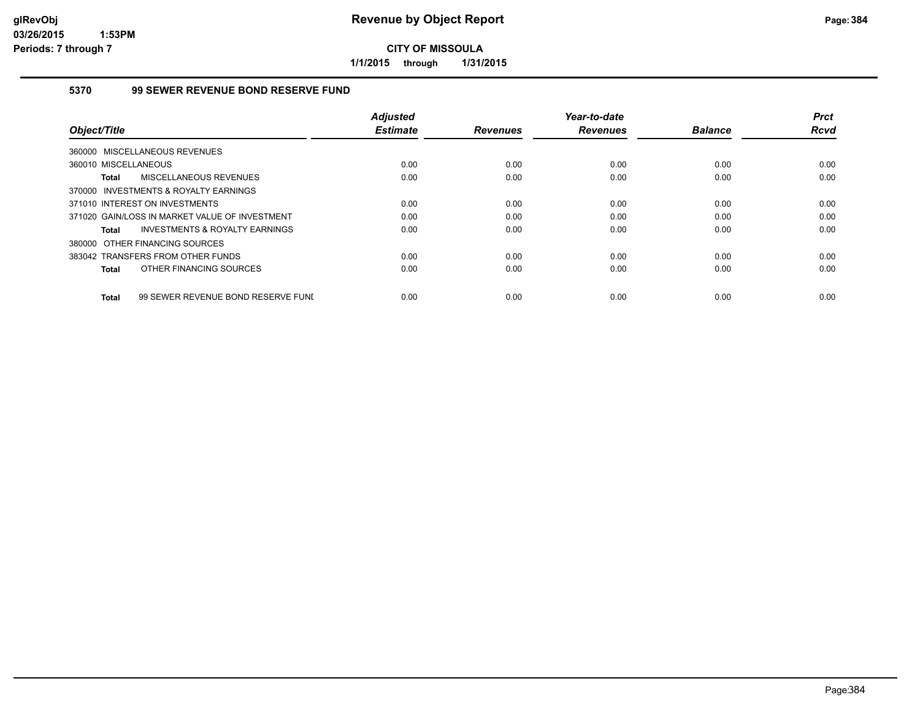**1/1/2015 through 1/31/2015**

### **5370 99 SEWER REVENUE BOND RESERVE FUND**

|                                                    | <b>Adiusted</b> |                 | Year-to-date    |                | <b>Prct</b> |
|----------------------------------------------------|-----------------|-----------------|-----------------|----------------|-------------|
| Object/Title                                       | <b>Estimate</b> | <b>Revenues</b> | <b>Revenues</b> | <b>Balance</b> | <b>Rcvd</b> |
| 360000 MISCELLANEOUS REVENUES                      |                 |                 |                 |                |             |
| 360010 MISCELLANEOUS                               | 0.00            | 0.00            | 0.00            | 0.00           | 0.00        |
| MISCELLANEOUS REVENUES<br><b>Total</b>             | 0.00            | 0.00            | 0.00            | 0.00           | 0.00        |
| 370000 INVESTMENTS & ROYALTY EARNINGS              |                 |                 |                 |                |             |
| 371010 INTEREST ON INVESTMENTS                     | 0.00            | 0.00            | 0.00            | 0.00           | 0.00        |
| 371020 GAIN/LOSS IN MARKET VALUE OF INVESTMENT     | 0.00            | 0.00            | 0.00            | 0.00           | 0.00        |
| <b>INVESTMENTS &amp; ROYALTY EARNINGS</b><br>Total | 0.00            | 0.00            | 0.00            | 0.00           | 0.00        |
| 380000 OTHER FINANCING SOURCES                     |                 |                 |                 |                |             |
| 383042 TRANSFERS FROM OTHER FUNDS                  | 0.00            | 0.00            | 0.00            | 0.00           | 0.00        |
| OTHER FINANCING SOURCES<br><b>Total</b>            | 0.00            | 0.00            | 0.00            | 0.00           | 0.00        |
|                                                    |                 |                 |                 |                |             |
| 99 SEWER REVENUE BOND RESERVE FUNI<br><b>Total</b> | 0.00            | 0.00            | 0.00            | 0.00           | 0.00        |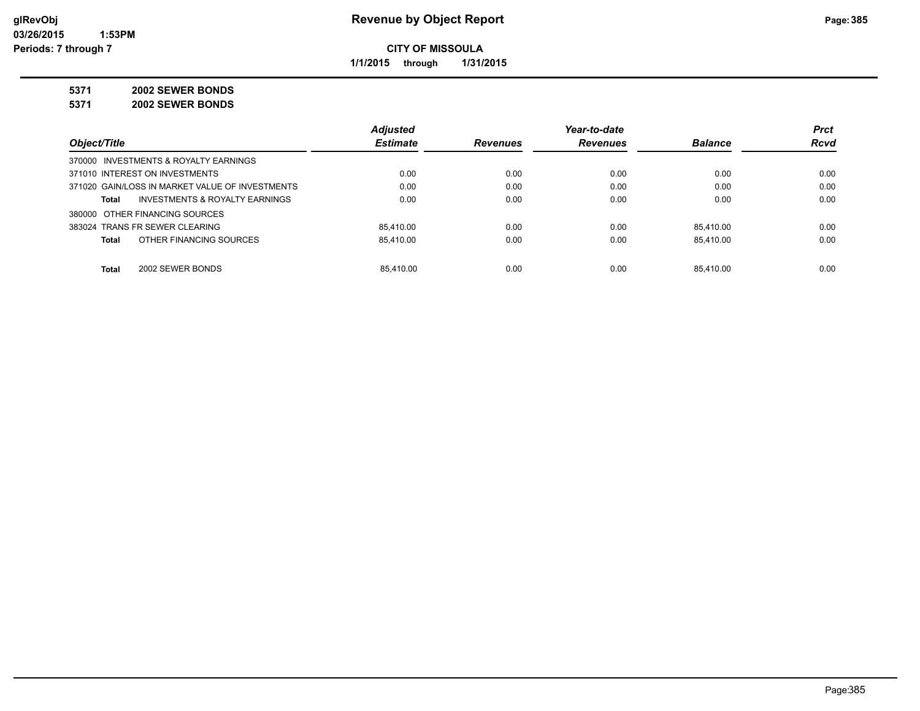**1/1/2015 through 1/31/2015**

**5371 2002 SEWER BONDS**

**5371 2002 SEWER BONDS**

|                                                 | <b>Adjusted</b> |                 | Year-to-date    |                | <b>Prct</b> |
|-------------------------------------------------|-----------------|-----------------|-----------------|----------------|-------------|
| Object/Title                                    | <b>Estimate</b> | <b>Revenues</b> | <b>Revenues</b> | <b>Balance</b> | <b>Rcvd</b> |
| 370000 INVESTMENTS & ROYALTY EARNINGS           |                 |                 |                 |                |             |
| 371010 INTEREST ON INVESTMENTS                  | 0.00            | 0.00            | 0.00            | 0.00           | 0.00        |
| 371020 GAIN/LOSS IN MARKET VALUE OF INVESTMENTS | 0.00            | 0.00            | 0.00            | 0.00           | 0.00        |
| INVESTMENTS & ROYALTY EARNINGS<br>Total         | 0.00            | 0.00            | 0.00            | 0.00           | 0.00        |
| 380000 OTHER FINANCING SOURCES                  |                 |                 |                 |                |             |
| 383024 TRANS FR SEWER CLEARING                  | 85.410.00       | 0.00            | 0.00            | 85.410.00      | 0.00        |
| OTHER FINANCING SOURCES<br>Total                | 85.410.00       | 0.00            | 0.00            | 85.410.00      | 0.00        |
|                                                 |                 |                 |                 |                |             |
| 2002 SEWER BONDS<br><b>Total</b>                | 85.410.00       | 0.00            | 0.00            | 85.410.00      | 0.00        |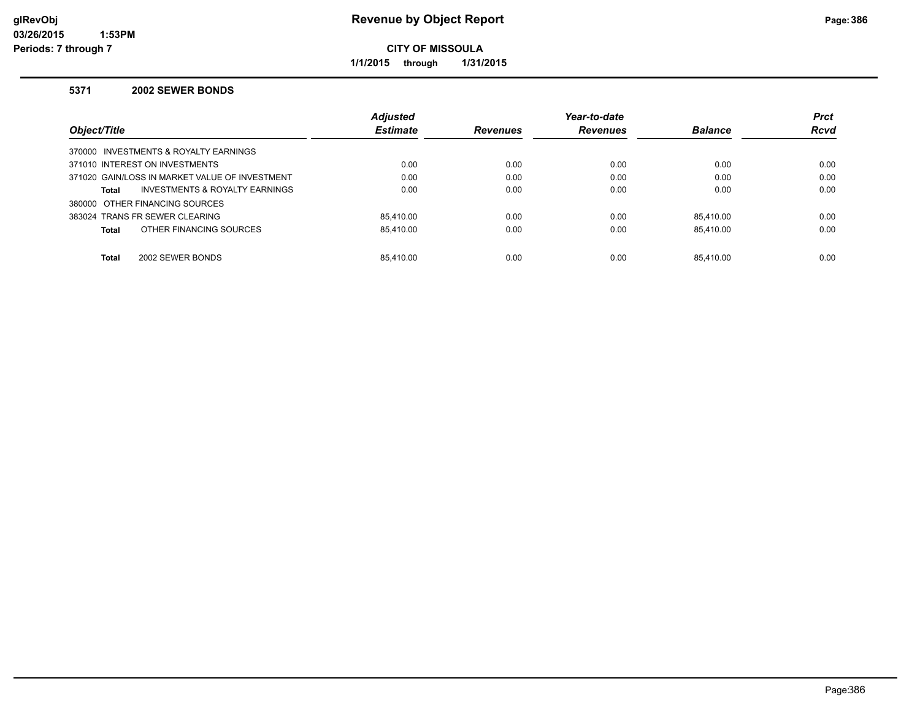# **glRevObj Revenue by Object Report Page:386**

**CITY OF MISSOULA**

**1/1/2015 through 1/31/2015**

#### **5371 2002 SEWER BONDS**

|                                                    | <b>Adjusted</b> |                 | Year-to-date    |                | <b>Prct</b> |
|----------------------------------------------------|-----------------|-----------------|-----------------|----------------|-------------|
| Object/Title                                       | <b>Estimate</b> | <b>Revenues</b> | <b>Revenues</b> | <b>Balance</b> | Rcvd        |
| 370000 INVESTMENTS & ROYALTY EARNINGS              |                 |                 |                 |                |             |
| 371010 INTEREST ON INVESTMENTS                     | 0.00            | 0.00            | 0.00            | 0.00           | 0.00        |
| 371020 GAIN/LOSS IN MARKET VALUE OF INVESTMENT     | 0.00            | 0.00            | 0.00            | 0.00           | 0.00        |
| <b>INVESTMENTS &amp; ROYALTY EARNINGS</b><br>Total | 0.00            | 0.00            | 0.00            | 0.00           | 0.00        |
| 380000 OTHER FINANCING SOURCES                     |                 |                 |                 |                |             |
| 383024 TRANS FR SEWER CLEARING                     | 85.410.00       | 0.00            | 0.00            | 85.410.00      | 0.00        |
| OTHER FINANCING SOURCES<br>Total                   | 85.410.00       | 0.00            | 0.00            | 85.410.00      | 0.00        |
|                                                    |                 |                 |                 |                |             |
| <b>Total</b><br>2002 SEWER BONDS                   | 85.410.00       | 0.00            | 0.00            | 85.410.00      | 0.00        |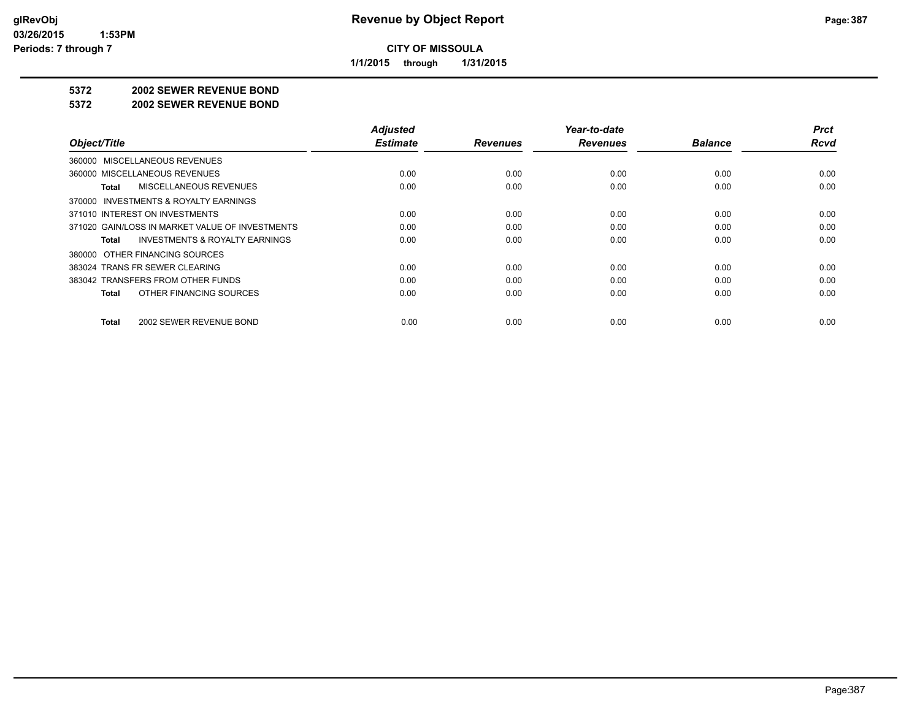**1/1/2015 through 1/31/2015**

#### **5372 2002 SEWER REVENUE BOND**

#### **5372 2002 SEWER REVENUE BOND**

|                                                    | <b>Adjusted</b> |                 | Year-to-date    |                | <b>Prct</b> |
|----------------------------------------------------|-----------------|-----------------|-----------------|----------------|-------------|
| Object/Title                                       | <b>Estimate</b> | <b>Revenues</b> | <b>Revenues</b> | <b>Balance</b> | <b>Rcvd</b> |
| 360000 MISCELLANEOUS REVENUES                      |                 |                 |                 |                |             |
| 360000 MISCELLANEOUS REVENUES                      | 0.00            | 0.00            | 0.00            | 0.00           | 0.00        |
| MISCELLANEOUS REVENUES<br>Total                    | 0.00            | 0.00            | 0.00            | 0.00           | 0.00        |
| 370000 INVESTMENTS & ROYALTY EARNINGS              |                 |                 |                 |                |             |
| 371010 INTEREST ON INVESTMENTS                     | 0.00            | 0.00            | 0.00            | 0.00           | 0.00        |
| 371020 GAIN/LOSS IN MARKET VALUE OF INVESTMENTS    | 0.00            | 0.00            | 0.00            | 0.00           | 0.00        |
| <b>INVESTMENTS &amp; ROYALTY EARNINGS</b><br>Total | 0.00            | 0.00            | 0.00            | 0.00           | 0.00        |
| 380000 OTHER FINANCING SOURCES                     |                 |                 |                 |                |             |
| 383024 TRANS FR SEWER CLEARING                     | 0.00            | 0.00            | 0.00            | 0.00           | 0.00        |
| 383042 TRANSFERS FROM OTHER FUNDS                  | 0.00            | 0.00            | 0.00            | 0.00           | 0.00        |
| OTHER FINANCING SOURCES<br>Total                   | 0.00            | 0.00            | 0.00            | 0.00           | 0.00        |
| 2002 SEWER REVENUE BOND<br>Total                   | 0.00            | 0.00            | 0.00            | 0.00           | 0.00        |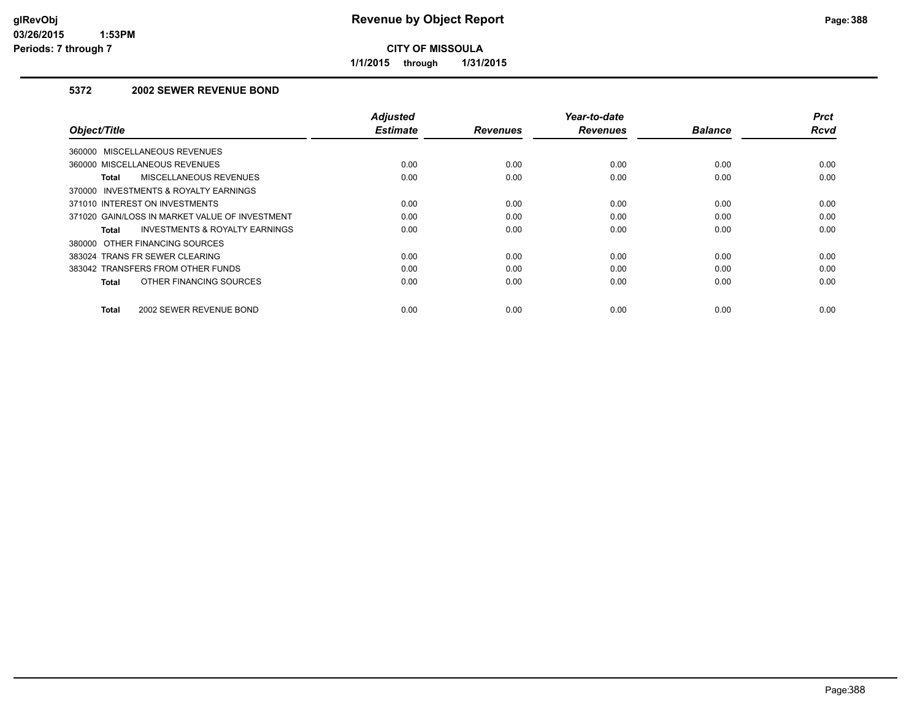**1/1/2015 through 1/31/2015**

# **5372 2002 SEWER REVENUE BOND**

| Object/Title                                       | <b>Adjusted</b><br><b>Estimate</b> | <b>Revenues</b> | Year-to-date<br><b>Revenues</b> | <b>Balance</b> | <b>Prct</b><br><b>Rcvd</b> |
|----------------------------------------------------|------------------------------------|-----------------|---------------------------------|----------------|----------------------------|
| 360000 MISCELLANEOUS REVENUES                      |                                    |                 |                                 |                |                            |
| 360000 MISCELLANEOUS REVENUES                      | 0.00                               | 0.00            | 0.00                            | 0.00           | 0.00                       |
| MISCELLANEOUS REVENUES<br>Total                    | 0.00                               | 0.00            | 0.00                            | 0.00           | 0.00                       |
| 370000 INVESTMENTS & ROYALTY EARNINGS              |                                    |                 |                                 |                |                            |
| 371010 INTEREST ON INVESTMENTS                     | 0.00                               | 0.00            | 0.00                            | 0.00           | 0.00                       |
| 371020 GAIN/LOSS IN MARKET VALUE OF INVESTMENT     | 0.00                               | 0.00            | 0.00                            | 0.00           | 0.00                       |
| <b>INVESTMENTS &amp; ROYALTY EARNINGS</b><br>Total | 0.00                               | 0.00            | 0.00                            | 0.00           | 0.00                       |
| 380000 OTHER FINANCING SOURCES                     |                                    |                 |                                 |                |                            |
| 383024 TRANS FR SEWER CLEARING                     | 0.00                               | 0.00            | 0.00                            | 0.00           | 0.00                       |
| 383042 TRANSFERS FROM OTHER FUNDS                  | 0.00                               | 0.00            | 0.00                            | 0.00           | 0.00                       |
| OTHER FINANCING SOURCES<br><b>Total</b>            | 0.00                               | 0.00            | 0.00                            | 0.00           | 0.00                       |
| 2002 SEWER REVENUE BOND<br><b>Total</b>            | 0.00                               | 0.00            | 0.00                            | 0.00           | 0.00                       |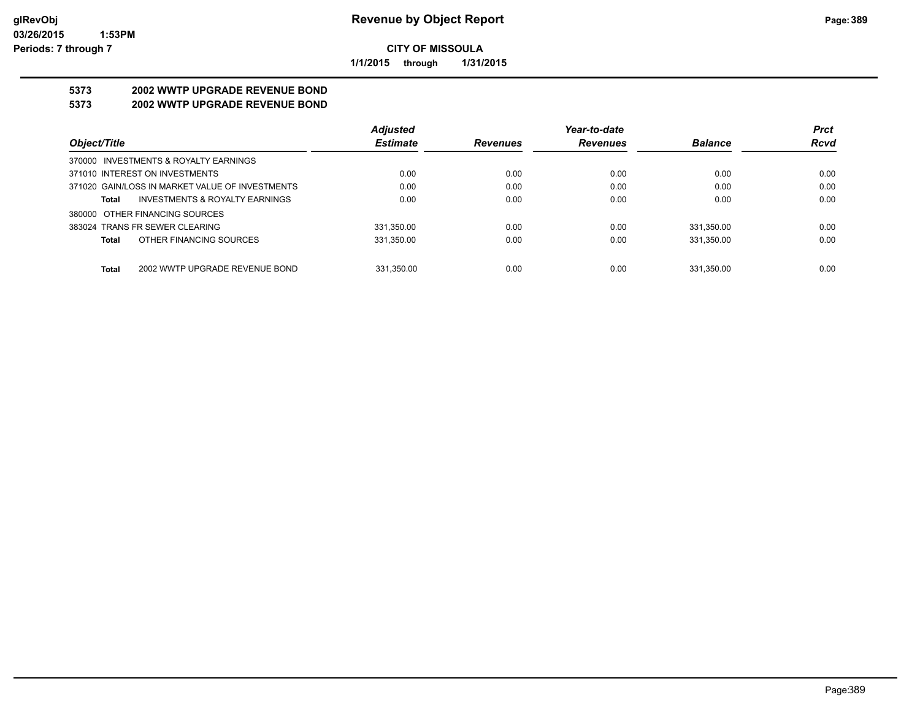**1/1/2015 through 1/31/2015**

# **5373 2002 WWTP UPGRADE REVENUE BOND**

# **5373 2002 WWTP UPGRADE REVENUE BOND**

|                                                 | <b>Adjusted</b> |                 | Year-to-date    |                | <b>Prct</b> |
|-------------------------------------------------|-----------------|-----------------|-----------------|----------------|-------------|
| Object/Title                                    | <b>Estimate</b> | <b>Revenues</b> | <b>Revenues</b> | <b>Balance</b> | <b>Rcvd</b> |
| 370000 INVESTMENTS & ROYALTY EARNINGS           |                 |                 |                 |                |             |
| 371010 INTEREST ON INVESTMENTS                  | 0.00            | 0.00            | 0.00            | 0.00           | 0.00        |
| 371020 GAIN/LOSS IN MARKET VALUE OF INVESTMENTS | 0.00            | 0.00            | 0.00            | 0.00           | 0.00        |
| INVESTMENTS & ROYALTY EARNINGS<br>Total         | 0.00            | 0.00            | 0.00            | 0.00           | 0.00        |
| 380000 OTHER FINANCING SOURCES                  |                 |                 |                 |                |             |
| 383024 TRANS FR SEWER CLEARING                  | 331.350.00      | 0.00            | 0.00            | 331.350.00     | 0.00        |
| OTHER FINANCING SOURCES<br>Total                | 331,350.00      | 0.00            | 0.00            | 331,350.00     | 0.00        |
|                                                 |                 |                 |                 |                |             |
| 2002 WWTP UPGRADE REVENUE BOND<br><b>Total</b>  | 331.350.00      | 0.00            | 0.00            | 331.350.00     | 0.00        |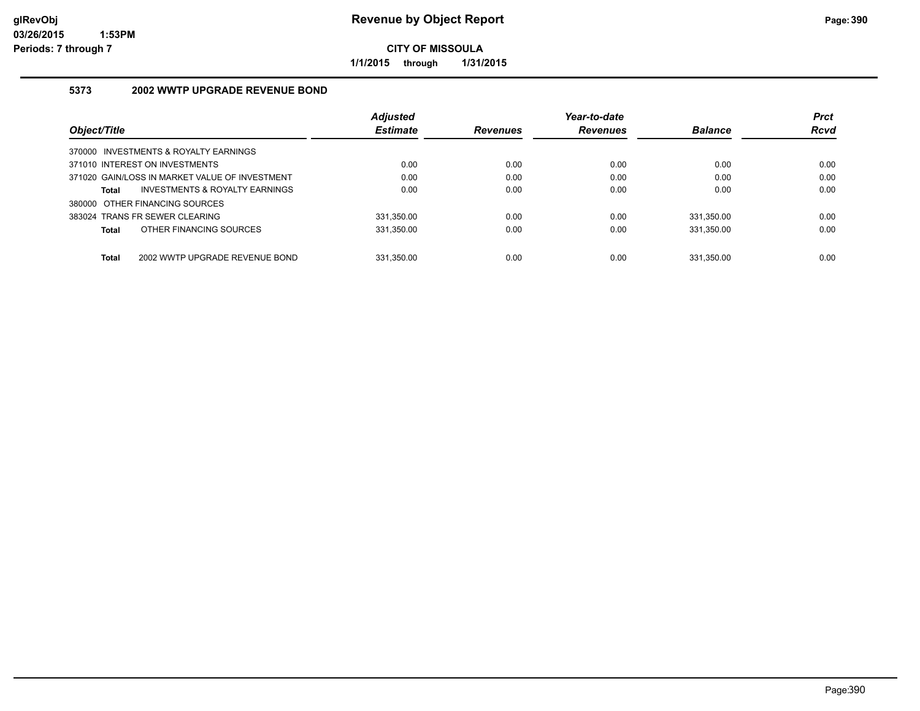**1/1/2015 through 1/31/2015**

# **5373 2002 WWTP UPGRADE REVENUE BOND**

|                                                | <b>Adjusted</b> |                 | Year-to-date    |                | <b>Prct</b> |
|------------------------------------------------|-----------------|-----------------|-----------------|----------------|-------------|
| Object/Title                                   | <b>Estimate</b> | <b>Revenues</b> | <b>Revenues</b> | <b>Balance</b> | <b>Rcvd</b> |
| 370000 INVESTMENTS & ROYALTY EARNINGS          |                 |                 |                 |                |             |
| 371010 INTEREST ON INVESTMENTS                 | 0.00            | 0.00            | 0.00            | 0.00           | 0.00        |
| 371020 GAIN/LOSS IN MARKET VALUE OF INVESTMENT | 0.00            | 0.00            | 0.00            | 0.00           | 0.00        |
| INVESTMENTS & ROYALTY EARNINGS<br><b>Total</b> | 0.00            | 0.00            | 0.00            | 0.00           | 0.00        |
| 380000 OTHER FINANCING SOURCES                 |                 |                 |                 |                |             |
| 383024 TRANS FR SEWER CLEARING                 | 331.350.00      | 0.00            | 0.00            | 331.350.00     | 0.00        |
| OTHER FINANCING SOURCES<br><b>Total</b>        | 331,350.00      | 0.00            | 0.00            | 331,350.00     | 0.00        |
|                                                |                 |                 |                 |                |             |
| 2002 WWTP UPGRADE REVENUE BOND<br><b>Total</b> | 331.350.00      | 0.00            | 0.00            | 331.350.00     | 0.00        |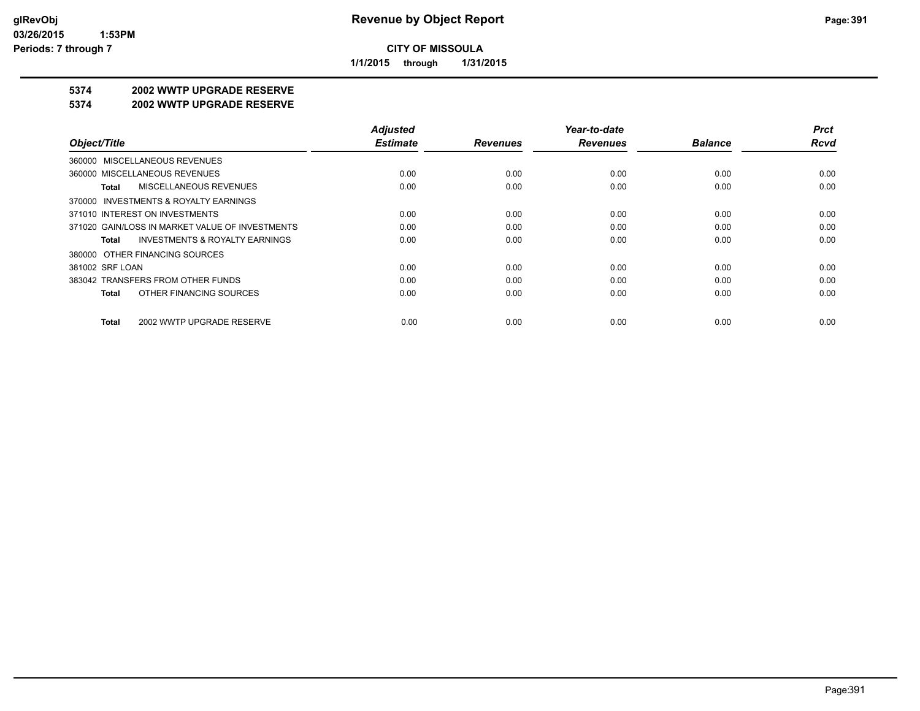**1/1/2015 through 1/31/2015**

#### **5374 2002 WWTP UPGRADE RESERVE**

#### **5374 2002 WWTP UPGRADE RESERVE**

|                                                    | <b>Adjusted</b> |                 | Year-to-date    |                | <b>Prct</b> |
|----------------------------------------------------|-----------------|-----------------|-----------------|----------------|-------------|
| Object/Title                                       | <b>Estimate</b> | <b>Revenues</b> | <b>Revenues</b> | <b>Balance</b> | Rcvd        |
| 360000 MISCELLANEOUS REVENUES                      |                 |                 |                 |                |             |
| 360000 MISCELLANEOUS REVENUES                      | 0.00            | 0.00            | 0.00            | 0.00           | 0.00        |
| MISCELLANEOUS REVENUES<br>Total                    | 0.00            | 0.00            | 0.00            | 0.00           | 0.00        |
| 370000 INVESTMENTS & ROYALTY EARNINGS              |                 |                 |                 |                |             |
| 371010 INTEREST ON INVESTMENTS                     | 0.00            | 0.00            | 0.00            | 0.00           | 0.00        |
| 371020 GAIN/LOSS IN MARKET VALUE OF INVESTMENTS    | 0.00            | 0.00            | 0.00            | 0.00           | 0.00        |
| <b>INVESTMENTS &amp; ROYALTY EARNINGS</b><br>Total | 0.00            | 0.00            | 0.00            | 0.00           | 0.00        |
| 380000 OTHER FINANCING SOURCES                     |                 |                 |                 |                |             |
| 381002 SRF LOAN                                    | 0.00            | 0.00            | 0.00            | 0.00           | 0.00        |
| 383042 TRANSFERS FROM OTHER FUNDS                  | 0.00            | 0.00            | 0.00            | 0.00           | 0.00        |
| OTHER FINANCING SOURCES<br>Total                   | 0.00            | 0.00            | 0.00            | 0.00           | 0.00        |
| 2002 WWTP UPGRADE RESERVE<br>Total                 | 0.00            | 0.00            | 0.00            | 0.00           | 0.00        |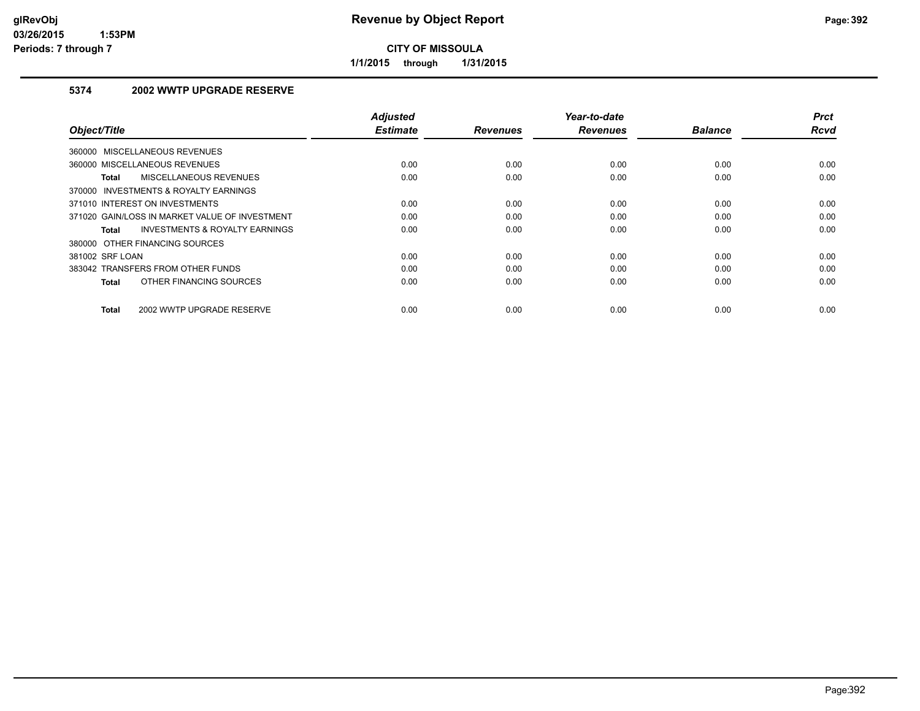**1/1/2015 through 1/31/2015**

# **5374 2002 WWTP UPGRADE RESERVE**

| Object/Title                                   | <b>Adjusted</b><br><b>Estimate</b> | <b>Revenues</b> | Year-to-date<br><b>Revenues</b> | <b>Balance</b> | <b>Prct</b><br><b>Rcvd</b> |
|------------------------------------------------|------------------------------------|-----------------|---------------------------------|----------------|----------------------------|
| 360000 MISCELLANEOUS REVENUES                  |                                    |                 |                                 |                |                            |
| 360000 MISCELLANEOUS REVENUES                  | 0.00                               | 0.00            | 0.00                            | 0.00           | 0.00                       |
| MISCELLANEOUS REVENUES<br>Total                | 0.00                               | 0.00            | 0.00                            | 0.00           | 0.00                       |
| 370000 INVESTMENTS & ROYALTY EARNINGS          |                                    |                 |                                 |                |                            |
| 371010 INTEREST ON INVESTMENTS                 | 0.00                               | 0.00            | 0.00                            | 0.00           | 0.00                       |
| 371020 GAIN/LOSS IN MARKET VALUE OF INVESTMENT | 0.00                               | 0.00            | 0.00                            | 0.00           | 0.00                       |
| INVESTMENTS & ROYALTY EARNINGS<br>Total        | 0.00                               | 0.00            | 0.00                            | 0.00           | 0.00                       |
| 380000 OTHER FINANCING SOURCES                 |                                    |                 |                                 |                |                            |
| 381002 SRF LOAN                                | 0.00                               | 0.00            | 0.00                            | 0.00           | 0.00                       |
| 383042 TRANSFERS FROM OTHER FUNDS              | 0.00                               | 0.00            | 0.00                            | 0.00           | 0.00                       |
| OTHER FINANCING SOURCES<br><b>Total</b>        | 0.00                               | 0.00            | 0.00                            | 0.00           | 0.00                       |
| 2002 WWTP UPGRADE RESERVE<br><b>Total</b>      | 0.00                               | 0.00            | 0.00                            | 0.00           | 0.00                       |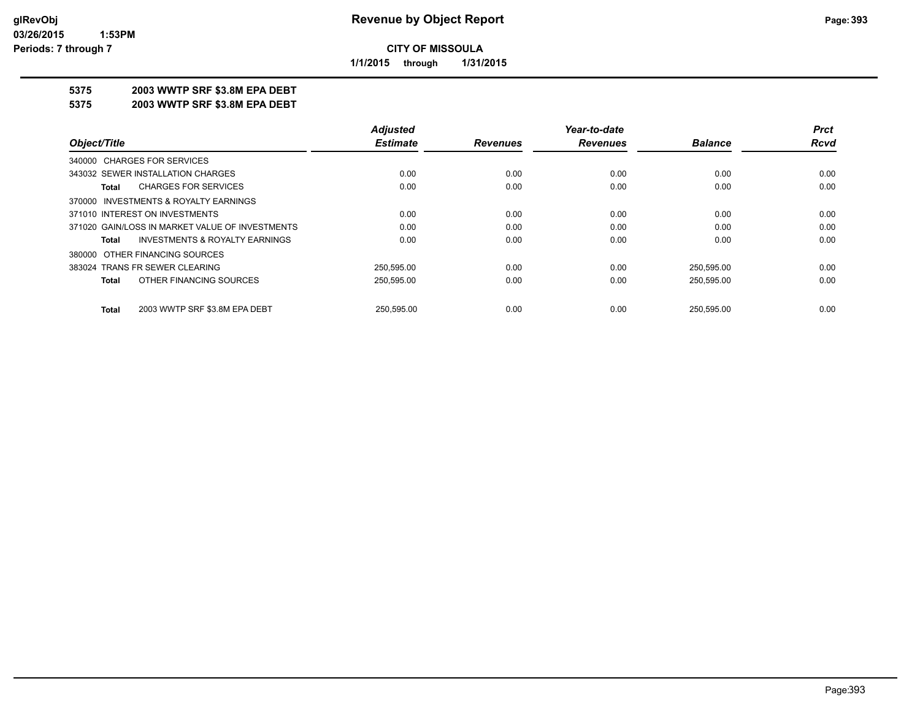**1/1/2015 through 1/31/2015**

# **5375 2003 WWTP SRF \$3.8M EPA DEBT**

**5375 2003 WWTP SRF \$3.8M EPA DEBT**

|                                                    | <b>Adjusted</b> |                 | Year-to-date    |                | <b>Prct</b> |
|----------------------------------------------------|-----------------|-----------------|-----------------|----------------|-------------|
| Object/Title                                       | <b>Estimate</b> | <b>Revenues</b> | <b>Revenues</b> | <b>Balance</b> | Rcvd        |
| 340000 CHARGES FOR SERVICES                        |                 |                 |                 |                |             |
| 343032 SEWER INSTALLATION CHARGES                  | 0.00            | 0.00            | 0.00            | 0.00           | 0.00        |
| <b>CHARGES FOR SERVICES</b><br>Total               | 0.00            | 0.00            | 0.00            | 0.00           | 0.00        |
| 370000 INVESTMENTS & ROYALTY EARNINGS              |                 |                 |                 |                |             |
| 371010 INTEREST ON INVESTMENTS                     | 0.00            | 0.00            | 0.00            | 0.00           | 0.00        |
| 371020 GAIN/LOSS IN MARKET VALUE OF INVESTMENTS    | 0.00            | 0.00            | 0.00            | 0.00           | 0.00        |
| <b>INVESTMENTS &amp; ROYALTY EARNINGS</b><br>Total | 0.00            | 0.00            | 0.00            | 0.00           | 0.00        |
| 380000 OTHER FINANCING SOURCES                     |                 |                 |                 |                |             |
| 383024 TRANS FR SEWER CLEARING                     | 250,595.00      | 0.00            | 0.00            | 250,595.00     | 0.00        |
| OTHER FINANCING SOURCES<br>Total                   | 250,595.00      | 0.00            | 0.00            | 250,595.00     | 0.00        |
| 2003 WWTP SRF \$3.8M EPA DEBT<br>Total             | 250.595.00      | 0.00            | 0.00            | 250.595.00     | 0.00        |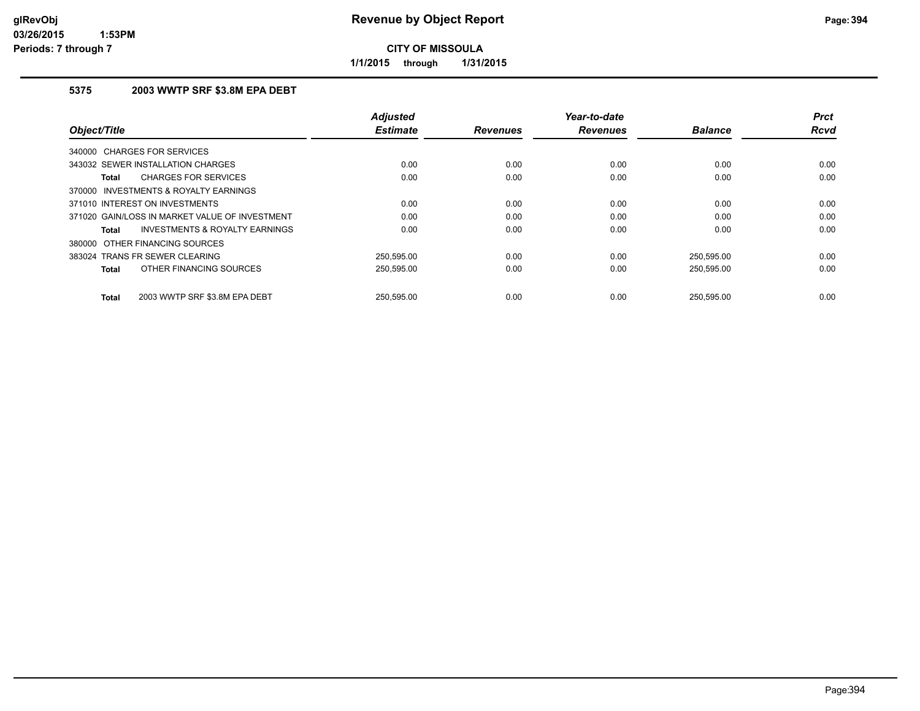**1/1/2015 through 1/31/2015**

# **5375 2003 WWTP SRF \$3.8M EPA DEBT**

| Object/Title                                       | <b>Adjusted</b><br><b>Estimate</b> | <b>Revenues</b> | Year-to-date<br><b>Revenues</b> | <b>Balance</b> | <b>Prct</b><br><b>Rcvd</b> |
|----------------------------------------------------|------------------------------------|-----------------|---------------------------------|----------------|----------------------------|
| 340000 CHARGES FOR SERVICES                        |                                    |                 |                                 |                |                            |
| 343032 SEWER INSTALLATION CHARGES                  | 0.00                               | 0.00            | 0.00                            | 0.00           | 0.00                       |
| <b>CHARGES FOR SERVICES</b><br>Total               | 0.00                               | 0.00            | 0.00                            | 0.00           | 0.00                       |
| 370000 INVESTMENTS & ROYALTY EARNINGS              |                                    |                 |                                 |                |                            |
| 371010 INTEREST ON INVESTMENTS                     | 0.00                               | 0.00            | 0.00                            | 0.00           | 0.00                       |
| 371020 GAIN/LOSS IN MARKET VALUE OF INVESTMENT     | 0.00                               | 0.00            | 0.00                            | 0.00           | 0.00                       |
| <b>INVESTMENTS &amp; ROYALTY EARNINGS</b><br>Total | 0.00                               | 0.00            | 0.00                            | 0.00           | 0.00                       |
| 380000 OTHER FINANCING SOURCES                     |                                    |                 |                                 |                |                            |
| 383024 TRANS FR SEWER CLEARING                     | 250,595.00                         | 0.00            | 0.00                            | 250,595.00     | 0.00                       |
| OTHER FINANCING SOURCES<br>Total                   | 250,595.00                         | 0.00            | 0.00                            | 250,595.00     | 0.00                       |
| 2003 WWTP SRF \$3.8M EPA DEBT<br>Total             | 250.595.00                         | 0.00            | 0.00                            | 250.595.00     | 0.00                       |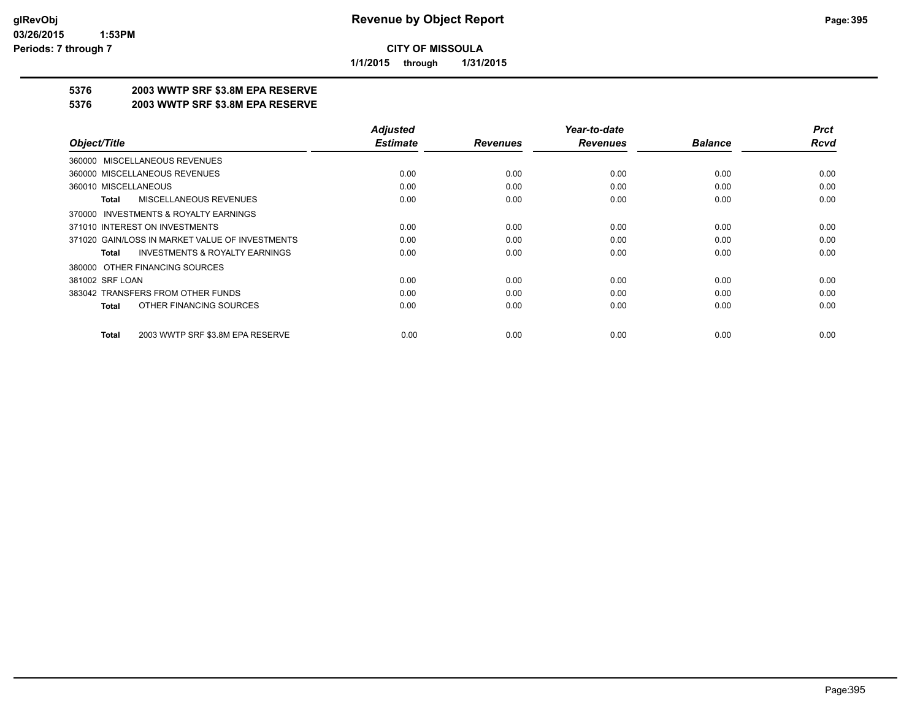**1/1/2015 through 1/31/2015**

# **5376 2003 WWTP SRF \$3.8M EPA RESERVE**

#### **5376 2003 WWTP SRF \$3.8M EPA RESERVE**

|                                                    | <b>Adjusted</b> |                 | Year-to-date    |                | <b>Prct</b> |
|----------------------------------------------------|-----------------|-----------------|-----------------|----------------|-------------|
| Object/Title                                       | <b>Estimate</b> | <b>Revenues</b> | <b>Revenues</b> | <b>Balance</b> | <b>Rcvd</b> |
| 360000 MISCELLANEOUS REVENUES                      |                 |                 |                 |                |             |
| 360000 MISCELLANEOUS REVENUES                      | 0.00            | 0.00            | 0.00            | 0.00           | 0.00        |
| 360010 MISCELLANEOUS                               | 0.00            | 0.00            | 0.00            | 0.00           | 0.00        |
| MISCELLANEOUS REVENUES<br><b>Total</b>             | 0.00            | 0.00            | 0.00            | 0.00           | 0.00        |
| INVESTMENTS & ROYALTY EARNINGS<br>370000           |                 |                 |                 |                |             |
| 371010 INTEREST ON INVESTMENTS                     | 0.00            | 0.00            | 0.00            | 0.00           | 0.00        |
| 371020 GAIN/LOSS IN MARKET VALUE OF INVESTMENTS    | 0.00            | 0.00            | 0.00            | 0.00           | 0.00        |
| <b>INVESTMENTS &amp; ROYALTY EARNINGS</b><br>Total | 0.00            | 0.00            | 0.00            | 0.00           | 0.00        |
| 380000 OTHER FINANCING SOURCES                     |                 |                 |                 |                |             |
| 381002 SRF LOAN                                    | 0.00            | 0.00            | 0.00            | 0.00           | 0.00        |
| 383042 TRANSFERS FROM OTHER FUNDS                  | 0.00            | 0.00            | 0.00            | 0.00           | 0.00        |
| OTHER FINANCING SOURCES<br><b>Total</b>            | 0.00            | 0.00            | 0.00            | 0.00           | 0.00        |
| 2003 WWTP SRF \$3.8M EPA RESERVE<br><b>Total</b>   | 0.00            | 0.00            | 0.00            | 0.00           | 0.00        |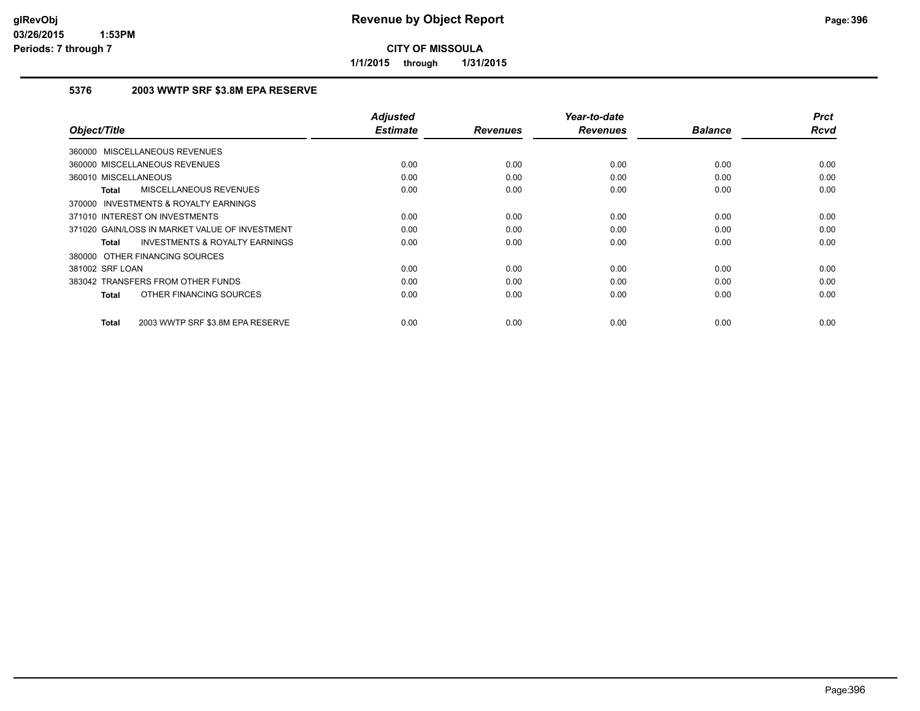**1/1/2015 through 1/31/2015**

# **5376 2003 WWTP SRF \$3.8M EPA RESERVE**

|                                                           | <b>Adjusted</b> |                 | Year-to-date    |                | <b>Prct</b> |
|-----------------------------------------------------------|-----------------|-----------------|-----------------|----------------|-------------|
| Object/Title                                              | <b>Estimate</b> | <b>Revenues</b> | <b>Revenues</b> | <b>Balance</b> | <b>Rcvd</b> |
| 360000 MISCELLANEOUS REVENUES                             |                 |                 |                 |                |             |
| 360000 MISCELLANEOUS REVENUES                             | 0.00            | 0.00            | 0.00            | 0.00           | 0.00        |
| 360010 MISCELLANEOUS                                      | 0.00            | 0.00            | 0.00            | 0.00           | 0.00        |
| MISCELLANEOUS REVENUES<br><b>Total</b>                    | 0.00            | 0.00            | 0.00            | 0.00           | 0.00        |
| <b>INVESTMENTS &amp; ROYALTY EARNINGS</b><br>370000       |                 |                 |                 |                |             |
| 371010 INTEREST ON INVESTMENTS                            | 0.00            | 0.00            | 0.00            | 0.00           | 0.00        |
| 371020 GAIN/LOSS IN MARKET VALUE OF INVESTMENT            | 0.00            | 0.00            | 0.00            | 0.00           | 0.00        |
| <b>INVESTMENTS &amp; ROYALTY EARNINGS</b><br><b>Total</b> | 0.00            | 0.00            | 0.00            | 0.00           | 0.00        |
| 380000 OTHER FINANCING SOURCES                            |                 |                 |                 |                |             |
| 381002 SRF LOAN                                           | 0.00            | 0.00            | 0.00            | 0.00           | 0.00        |
| 383042 TRANSFERS FROM OTHER FUNDS                         | 0.00            | 0.00            | 0.00            | 0.00           | 0.00        |
| OTHER FINANCING SOURCES<br><b>Total</b>                   | 0.00            | 0.00            | 0.00            | 0.00           | 0.00        |
|                                                           |                 |                 |                 |                |             |
| 2003 WWTP SRF \$3.8M EPA RESERVE<br><b>Total</b>          | 0.00            | 0.00            | 0.00            | 0.00           | 0.00        |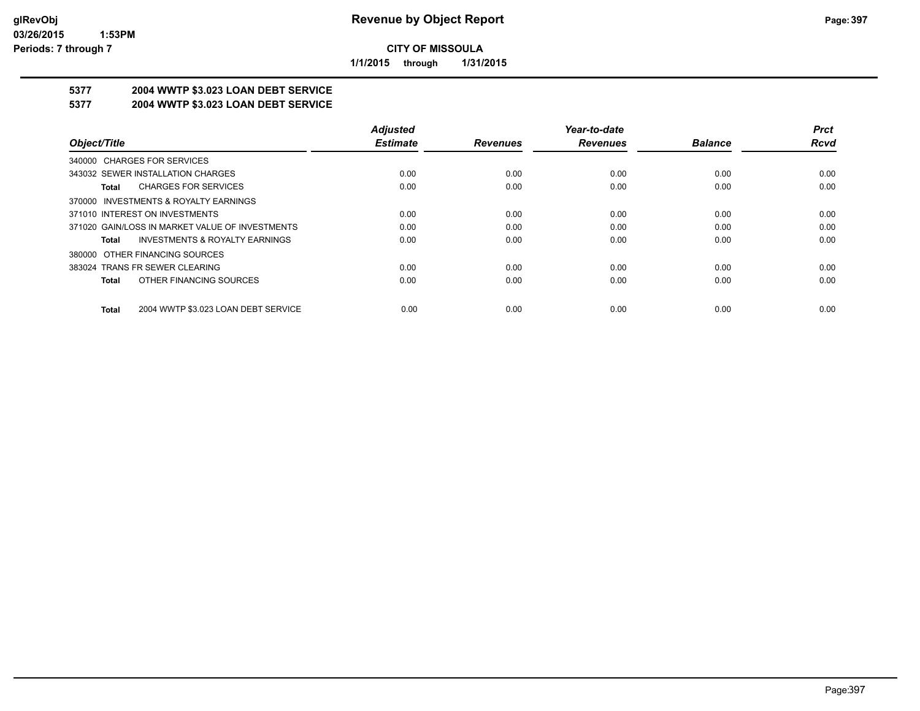**1/1/2015 through 1/31/2015**

# **5377 2004 WWTP \$3.023 LOAN DEBT SERVICE**

## **5377 2004 WWTP \$3.023 LOAN DEBT SERVICE**

|                                                     | <b>Adjusted</b> |                 | Year-to-date    |                | <b>Prct</b> |
|-----------------------------------------------------|-----------------|-----------------|-----------------|----------------|-------------|
| Object/Title                                        | <b>Estimate</b> | <b>Revenues</b> | <b>Revenues</b> | <b>Balance</b> | <b>Rcvd</b> |
| 340000 CHARGES FOR SERVICES                         |                 |                 |                 |                |             |
| 343032 SEWER INSTALLATION CHARGES                   | 0.00            | 0.00            | 0.00            | 0.00           | 0.00        |
| <b>CHARGES FOR SERVICES</b><br>Total                | 0.00            | 0.00            | 0.00            | 0.00           | 0.00        |
| 370000 INVESTMENTS & ROYALTY EARNINGS               |                 |                 |                 |                |             |
| 371010 INTEREST ON INVESTMENTS                      | 0.00            | 0.00            | 0.00            | 0.00           | 0.00        |
| 371020 GAIN/LOSS IN MARKET VALUE OF INVESTMENTS     | 0.00            | 0.00            | 0.00            | 0.00           | 0.00        |
| <b>INVESTMENTS &amp; ROYALTY EARNINGS</b><br>Total  | 0.00            | 0.00            | 0.00            | 0.00           | 0.00        |
| OTHER FINANCING SOURCES<br>380000                   |                 |                 |                 |                |             |
| 383024 TRANS FR SEWER CLEARING                      | 0.00            | 0.00            | 0.00            | 0.00           | 0.00        |
| OTHER FINANCING SOURCES<br><b>Total</b>             | 0.00            | 0.00            | 0.00            | 0.00           | 0.00        |
| 2004 WWTP \$3.023 LOAN DEBT SERVICE<br><b>Total</b> | 0.00            | 0.00            | 0.00            | 0.00           | 0.00        |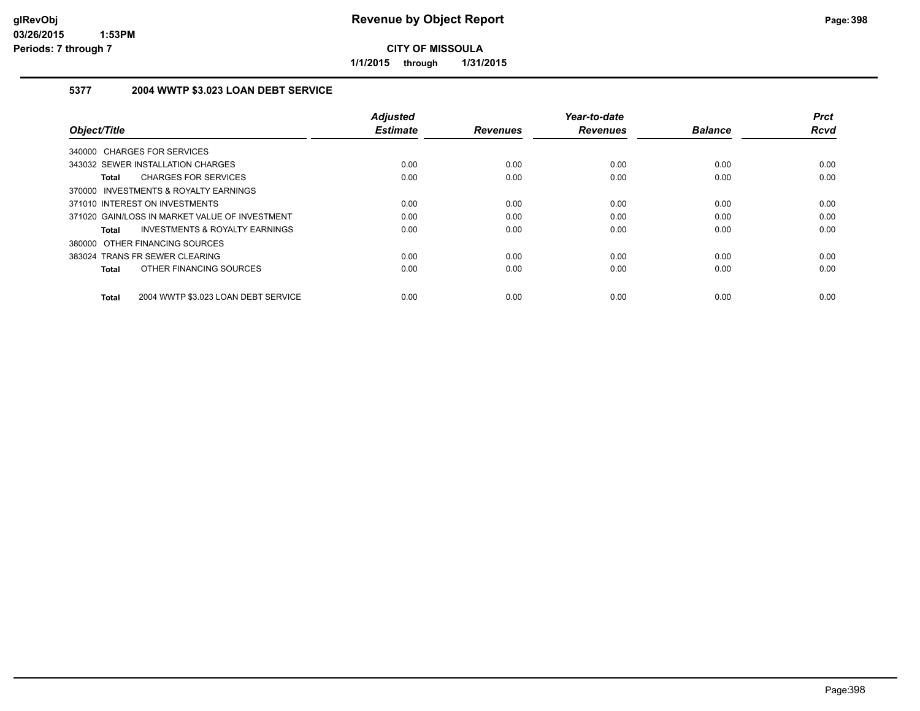**1/1/2015 through 1/31/2015**

#### **5377 2004 WWTP \$3.023 LOAN DEBT SERVICE**

| Object/Title                                        | <b>Adjusted</b><br><b>Estimate</b> | <b>Revenues</b> | Year-to-date<br><b>Revenues</b> | <b>Balance</b> | <b>Prct</b><br><b>Rcvd</b> |
|-----------------------------------------------------|------------------------------------|-----------------|---------------------------------|----------------|----------------------------|
| 340000 CHARGES FOR SERVICES                         |                                    |                 |                                 |                |                            |
| 343032 SEWER INSTALLATION CHARGES                   | 0.00                               | 0.00            | 0.00                            | 0.00           | 0.00                       |
| <b>CHARGES FOR SERVICES</b><br>Total                | 0.00                               | 0.00            | 0.00                            | 0.00           | 0.00                       |
| 370000 INVESTMENTS & ROYALTY EARNINGS               |                                    |                 |                                 |                |                            |
| 371010 INTEREST ON INVESTMENTS                      | 0.00                               | 0.00            | 0.00                            | 0.00           | 0.00                       |
| 371020 GAIN/LOSS IN MARKET VALUE OF INVESTMENT      | 0.00                               | 0.00            | 0.00                            | 0.00           | 0.00                       |
| <b>INVESTMENTS &amp; ROYALTY EARNINGS</b><br>Total  | 0.00                               | 0.00            | 0.00                            | 0.00           | 0.00                       |
| 380000 OTHER FINANCING SOURCES                      |                                    |                 |                                 |                |                            |
| 383024 TRANS FR SEWER CLEARING                      | 0.00                               | 0.00            | 0.00                            | 0.00           | 0.00                       |
| OTHER FINANCING SOURCES<br>Total                    | 0.00                               | 0.00            | 0.00                            | 0.00           | 0.00                       |
| 2004 WWTP \$3.023 LOAN DEBT SERVICE<br><b>Total</b> | 0.00                               | 0.00            | 0.00                            | 0.00           | 0.00                       |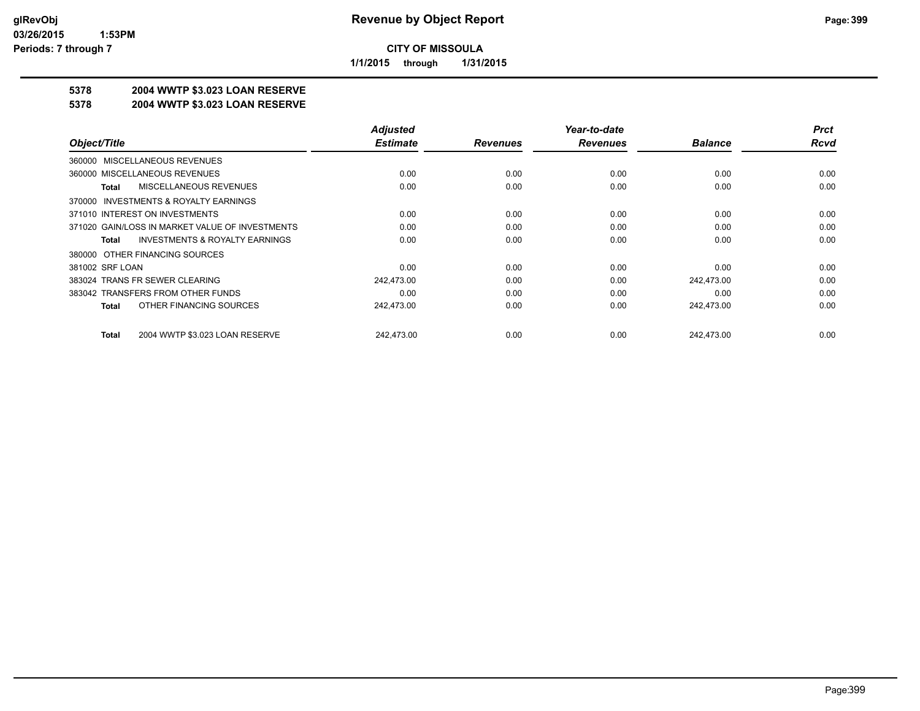**1/1/2015 through 1/31/2015**

# **5378 2004 WWTP \$3.023 LOAN RESERVE**

#### **5378 2004 WWTP \$3.023 LOAN RESERVE**

|                                                    | <b>Adjusted</b> |                 | Year-to-date    |                | <b>Prct</b> |
|----------------------------------------------------|-----------------|-----------------|-----------------|----------------|-------------|
| Object/Title                                       | <b>Estimate</b> | <b>Revenues</b> | <b>Revenues</b> | <b>Balance</b> | <b>Rcvd</b> |
| 360000 MISCELLANEOUS REVENUES                      |                 |                 |                 |                |             |
| 360000 MISCELLANEOUS REVENUES                      | 0.00            | 0.00            | 0.00            | 0.00           | 0.00        |
| MISCELLANEOUS REVENUES<br>Total                    | 0.00            | 0.00            | 0.00            | 0.00           | 0.00        |
| 370000 INVESTMENTS & ROYALTY EARNINGS              |                 |                 |                 |                |             |
| 371010 INTEREST ON INVESTMENTS                     | 0.00            | 0.00            | 0.00            | 0.00           | 0.00        |
| 371020 GAIN/LOSS IN MARKET VALUE OF INVESTMENTS    | 0.00            | 0.00            | 0.00            | 0.00           | 0.00        |
| <b>INVESTMENTS &amp; ROYALTY EARNINGS</b><br>Total | 0.00            | 0.00            | 0.00            | 0.00           | 0.00        |
| 380000 OTHER FINANCING SOURCES                     |                 |                 |                 |                |             |
| 381002 SRF LOAN                                    | 0.00            | 0.00            | 0.00            | 0.00           | 0.00        |
| 383024 TRANS FR SEWER CLEARING                     | 242,473.00      | 0.00            | 0.00            | 242.473.00     | 0.00        |
| 383042 TRANSFERS FROM OTHER FUNDS                  | 0.00            | 0.00            | 0.00            | 0.00           | 0.00        |
| OTHER FINANCING SOURCES<br>Total                   | 242,473.00      | 0.00            | 0.00            | 242,473.00     | 0.00        |
| 2004 WWTP \$3.023 LOAN RESERVE<br>Total            | 242.473.00      | 0.00            | 0.00            | 242.473.00     | 0.00        |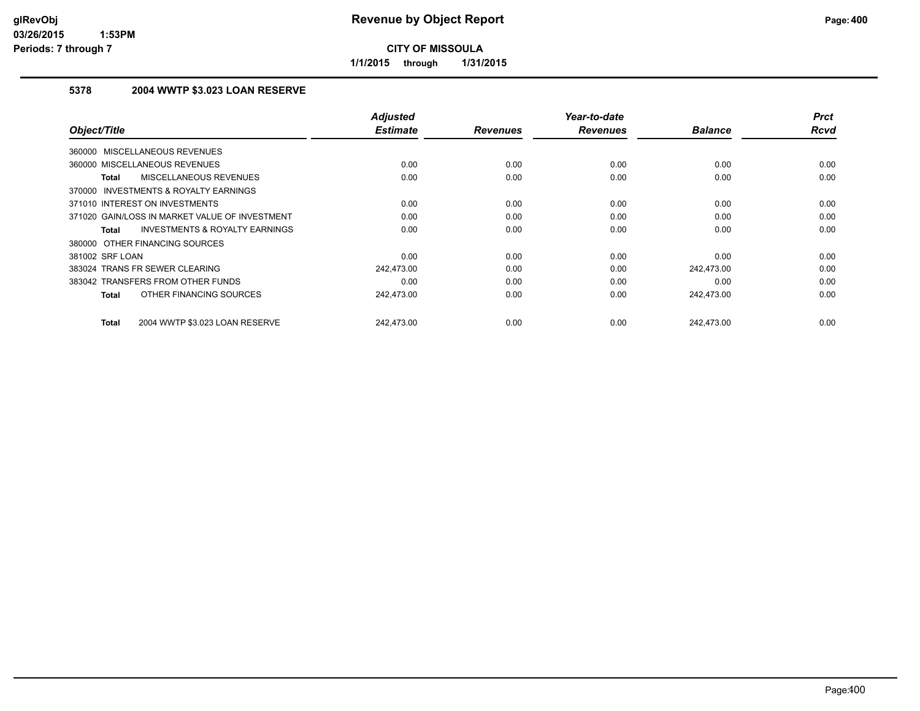**1/1/2015 through 1/31/2015**

## **5378 2004 WWTP \$3.023 LOAN RESERVE**

| Object/Title                                              | <b>Adjusted</b><br><b>Estimate</b> | <b>Revenues</b> | Year-to-date<br><b>Revenues</b> | <b>Balance</b> | <b>Prct</b><br>Rcvd |
|-----------------------------------------------------------|------------------------------------|-----------------|---------------------------------|----------------|---------------------|
| 360000 MISCELLANEOUS REVENUES                             |                                    |                 |                                 |                |                     |
| 360000 MISCELLANEOUS REVENUES                             | 0.00                               | 0.00            | 0.00                            | 0.00           | 0.00                |
| MISCELLANEOUS REVENUES<br><b>Total</b>                    | 0.00                               | 0.00            | 0.00                            | 0.00           | 0.00                |
| 370000 INVESTMENTS & ROYALTY EARNINGS                     |                                    |                 |                                 |                |                     |
| 371010 INTEREST ON INVESTMENTS                            | 0.00                               | 0.00            | 0.00                            | 0.00           | 0.00                |
| 371020 GAIN/LOSS IN MARKET VALUE OF INVESTMENT            | 0.00                               | 0.00            | 0.00                            | 0.00           | 0.00                |
| <b>INVESTMENTS &amp; ROYALTY EARNINGS</b><br><b>Total</b> | 0.00                               | 0.00            | 0.00                            | 0.00           | 0.00                |
| 380000 OTHER FINANCING SOURCES                            |                                    |                 |                                 |                |                     |
| 381002 SRF LOAN                                           | 0.00                               | 0.00            | 0.00                            | 0.00           | 0.00                |
| 383024 TRANS FR SEWER CLEARING                            | 242,473.00                         | 0.00            | 0.00                            | 242,473.00     | 0.00                |
| 383042 TRANSFERS FROM OTHER FUNDS                         | 0.00                               | 0.00            | 0.00                            | 0.00           | 0.00                |
| OTHER FINANCING SOURCES<br><b>Total</b>                   | 242,473.00                         | 0.00            | 0.00                            | 242,473.00     | 0.00                |
| 2004 WWTP \$3.023 LOAN RESERVE<br><b>Total</b>            | 242.473.00                         | 0.00            | 0.00                            | 242.473.00     | 0.00                |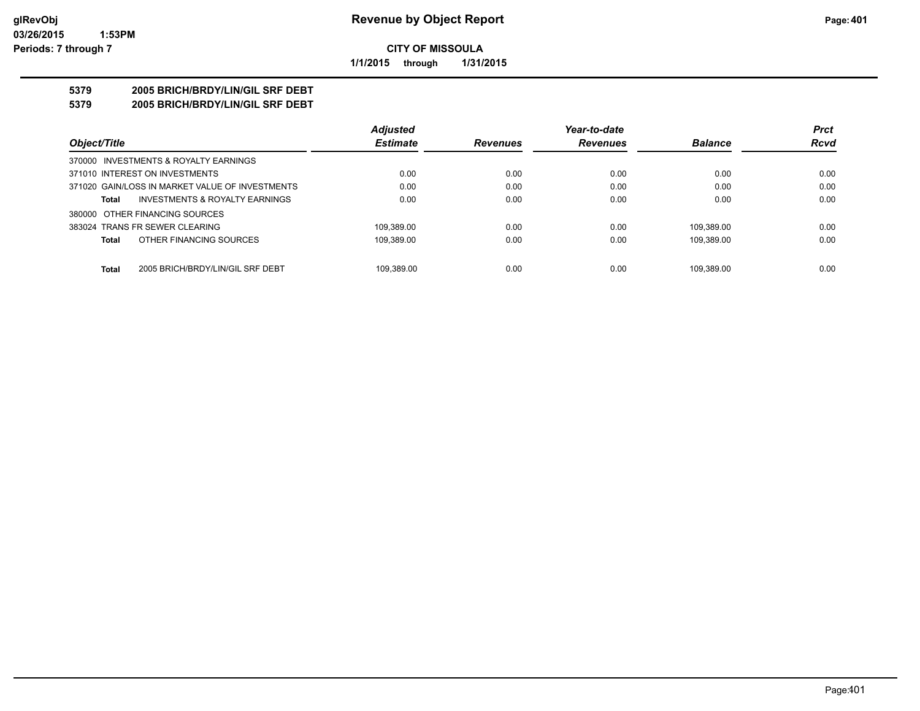**1/1/2015 through 1/31/2015**

# **5379 2005 BRICH/BRDY/LIN/GIL SRF DEBT**

**5379 2005 BRICH/BRDY/LIN/GIL SRF DEBT**

|                                                  | <b>Adjusted</b> |                 | Year-to-date    |                | <b>Prct</b> |
|--------------------------------------------------|-----------------|-----------------|-----------------|----------------|-------------|
| Object/Title                                     | <b>Estimate</b> | <b>Revenues</b> | <b>Revenues</b> | <b>Balance</b> | <b>Rcvd</b> |
| 370000 INVESTMENTS & ROYALTY EARNINGS            |                 |                 |                 |                |             |
| 371010 INTEREST ON INVESTMENTS                   | 0.00            | 0.00            | 0.00            | 0.00           | 0.00        |
| 371020 GAIN/LOSS IN MARKET VALUE OF INVESTMENTS  | 0.00            | 0.00            | 0.00            | 0.00           | 0.00        |
| INVESTMENTS & ROYALTY EARNINGS<br><b>Total</b>   | 0.00            | 0.00            | 0.00            | 0.00           | 0.00        |
| 380000 OTHER FINANCING SOURCES                   |                 |                 |                 |                |             |
| 383024 TRANS FR SEWER CLEARING                   | 109.389.00      | 0.00            | 0.00            | 109.389.00     | 0.00        |
| OTHER FINANCING SOURCES<br><b>Total</b>          | 109.389.00      | 0.00            | 0.00            | 109.389.00     | 0.00        |
| <b>Total</b><br>2005 BRICH/BRDY/LIN/GIL SRF DEBT | 109.389.00      | 0.00            | 0.00            | 109.389.00     | 0.00        |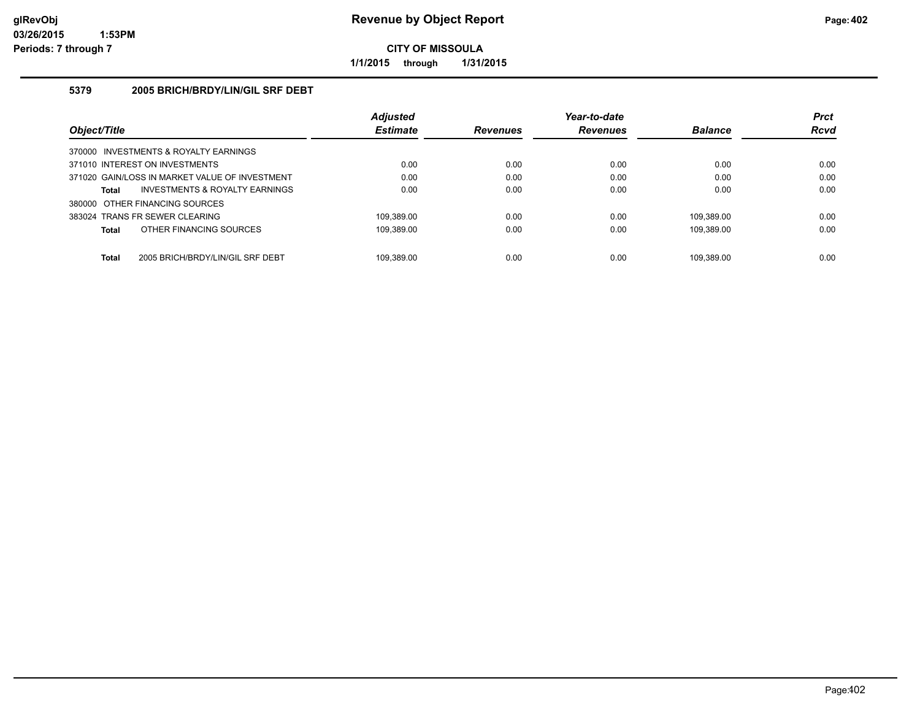**1/1/2015 through 1/31/2015**

### **5379 2005 BRICH/BRDY/LIN/GIL SRF DEBT**

|                                                  | <b>Adjusted</b> |                 | Year-to-date    |                | <b>Prct</b> |
|--------------------------------------------------|-----------------|-----------------|-----------------|----------------|-------------|
| Object/Title                                     | <b>Estimate</b> | <b>Revenues</b> | <b>Revenues</b> | <b>Balance</b> | <b>Rcvd</b> |
| 370000 INVESTMENTS & ROYALTY EARNINGS            |                 |                 |                 |                |             |
| 371010 INTEREST ON INVESTMENTS                   | 0.00            | 0.00            | 0.00            | 0.00           | 0.00        |
| 371020 GAIN/LOSS IN MARKET VALUE OF INVESTMENT   | 0.00            | 0.00            | 0.00            | 0.00           | 0.00        |
| INVESTMENTS & ROYALTY EARNINGS<br>Total          | 0.00            | 0.00            | 0.00            | 0.00           | 0.00        |
| 380000 OTHER FINANCING SOURCES                   |                 |                 |                 |                |             |
| 383024 TRANS FR SEWER CLEARING                   | 109.389.00      | 0.00            | 0.00            | 109.389.00     | 0.00        |
| OTHER FINANCING SOURCES<br>Total                 | 109.389.00      | 0.00            | 0.00            | 109.389.00     | 0.00        |
|                                                  |                 |                 |                 |                |             |
| <b>Total</b><br>2005 BRICH/BRDY/LIN/GIL SRF DEBT | 109.389.00      | 0.00            | 0.00            | 109.389.00     | 0.00        |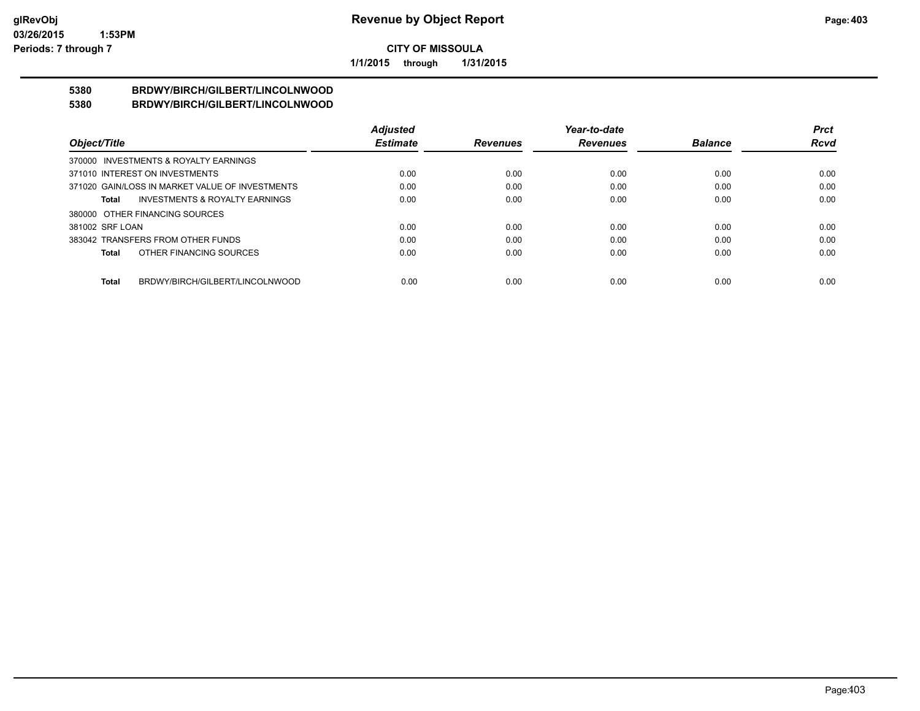**1/1/2015 through 1/31/2015**

#### **5380 BRDWY/BIRCH/GILBERT/LINCOLNWOOD 5380 BRDWY/BIRCH/GILBERT/LINCOLNWOOD**

|                                                    | <b>Adjusted</b> |                 | Year-to-date    |                | <b>Prct</b> |
|----------------------------------------------------|-----------------|-----------------|-----------------|----------------|-------------|
| Object/Title                                       | <b>Estimate</b> | <b>Revenues</b> | <b>Revenues</b> | <b>Balance</b> | <b>Rcvd</b> |
| 370000 INVESTMENTS & ROYALTY EARNINGS              |                 |                 |                 |                |             |
| 371010 INTEREST ON INVESTMENTS                     | 0.00            | 0.00            | 0.00            | 0.00           | 0.00        |
| 371020 GAIN/LOSS IN MARKET VALUE OF INVESTMENTS    | 0.00            | 0.00            | 0.00            | 0.00           | 0.00        |
| <b>INVESTMENTS &amp; ROYALTY EARNINGS</b><br>Total | 0.00            | 0.00            | 0.00            | 0.00           | 0.00        |
| 380000 OTHER FINANCING SOURCES                     |                 |                 |                 |                |             |
| 381002 SRF LOAN                                    | 0.00            | 0.00            | 0.00            | 0.00           | 0.00        |
| 383042 TRANSFERS FROM OTHER FUNDS                  | 0.00            | 0.00            | 0.00            | 0.00           | 0.00        |
| OTHER FINANCING SOURCES<br>Total                   | 0.00            | 0.00            | 0.00            | 0.00           | 0.00        |
|                                                    |                 |                 |                 |                |             |
| BRDWY/BIRCH/GILBERT/LINCOLNWOOD<br>Total           | 0.00            | 0.00            | 0.00            | 0.00           | 0.00        |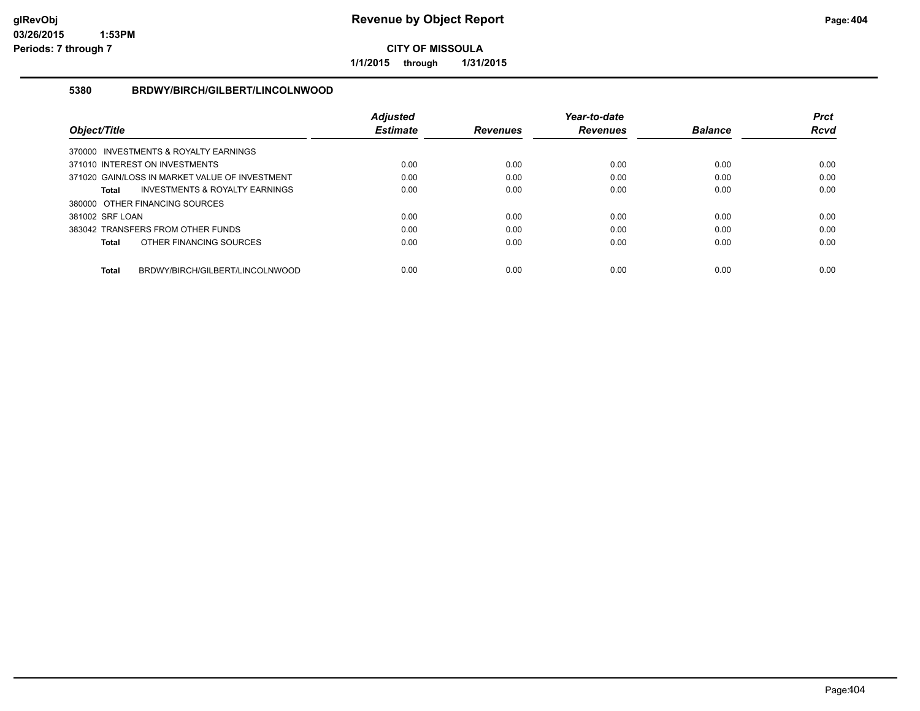**1/1/2015 through 1/31/2015**

### **5380 BRDWY/BIRCH/GILBERT/LINCOLNWOOD**

|                 |                                                | <b>Adjusted</b> |                 | Year-to-date    |                | <b>Prct</b> |
|-----------------|------------------------------------------------|-----------------|-----------------|-----------------|----------------|-------------|
| Object/Title    |                                                | <b>Estimate</b> | <b>Revenues</b> | <b>Revenues</b> | <b>Balance</b> | Rcvd        |
|                 | 370000 INVESTMENTS & ROYALTY EARNINGS          |                 |                 |                 |                |             |
|                 | 371010 INTEREST ON INVESTMENTS                 | 0.00            | 0.00            | 0.00            | 0.00           | 0.00        |
|                 | 371020 GAIN/LOSS IN MARKET VALUE OF INVESTMENT | 0.00            | 0.00            | 0.00            | 0.00           | 0.00        |
| Total           | INVESTMENTS & ROYALTY EARNINGS                 | 0.00            | 0.00            | 0.00            | 0.00           | 0.00        |
|                 | 380000 OTHER FINANCING SOURCES                 |                 |                 |                 |                |             |
| 381002 SRF LOAN |                                                | 0.00            | 0.00            | 0.00            | 0.00           | 0.00        |
|                 | 383042 TRANSFERS FROM OTHER FUNDS              | 0.00            | 0.00            | 0.00            | 0.00           | 0.00        |
| <b>Total</b>    | OTHER FINANCING SOURCES                        | 0.00            | 0.00            | 0.00            | 0.00           | 0.00        |
| <b>Total</b>    | BRDWY/BIRCH/GILBERT/LINCOLNWOOD                | 0.00            | 0.00            | 0.00            | 0.00           | 0.00        |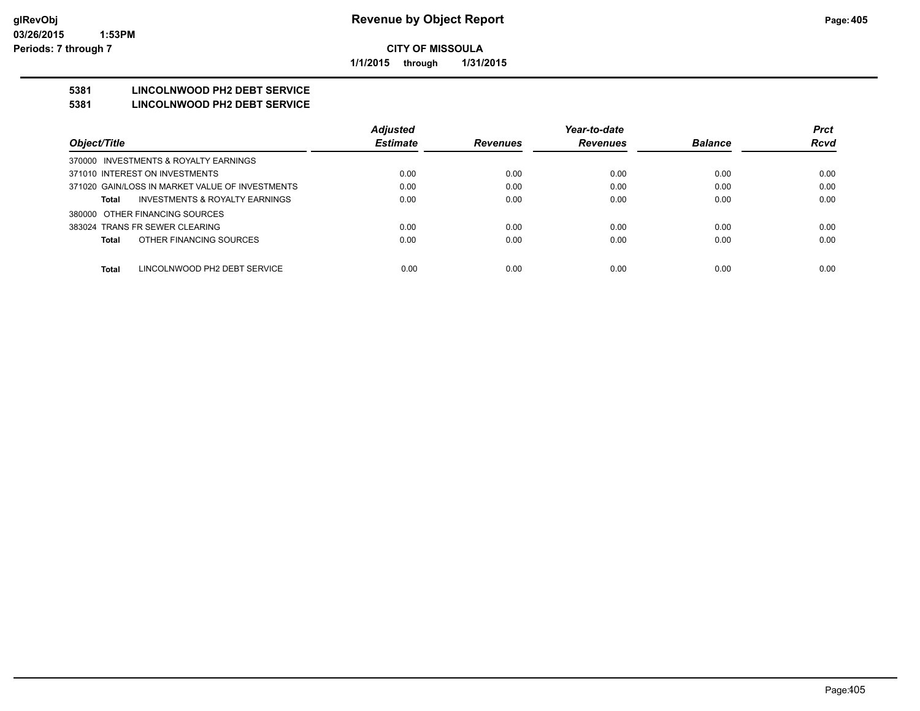**1/1/2015 through 1/31/2015**

# **5381 LINCOLNWOOD PH2 DEBT SERVICE**

#### **5381 LINCOLNWOOD PH2 DEBT SERVICE**

|                                                 | <b>Adjusted</b> |                 | Year-to-date    |                | <b>Prct</b> |
|-------------------------------------------------|-----------------|-----------------|-----------------|----------------|-------------|
| Object/Title                                    | <b>Estimate</b> | <b>Revenues</b> | <b>Revenues</b> | <b>Balance</b> | <b>Rcvd</b> |
| 370000 INVESTMENTS & ROYALTY EARNINGS           |                 |                 |                 |                |             |
| 371010 INTEREST ON INVESTMENTS                  | 0.00            | 0.00            | 0.00            | 0.00           | 0.00        |
| 371020 GAIN/LOSS IN MARKET VALUE OF INVESTMENTS | 0.00            | 0.00            | 0.00            | 0.00           | 0.00        |
| INVESTMENTS & ROYALTY EARNINGS<br>Total         | 0.00            | 0.00            | 0.00            | 0.00           | 0.00        |
| 380000 OTHER FINANCING SOURCES                  |                 |                 |                 |                |             |
| 383024 TRANS FR SEWER CLEARING                  | 0.00            | 0.00            | 0.00            | 0.00           | 0.00        |
| OTHER FINANCING SOURCES<br>Total                | 0.00            | 0.00            | 0.00            | 0.00           | 0.00        |
|                                                 |                 |                 |                 |                |             |
| Total<br>LINCOLNWOOD PH2 DEBT SERVICE           | 0.00            | 0.00            | 0.00            | 0.00           | 0.00        |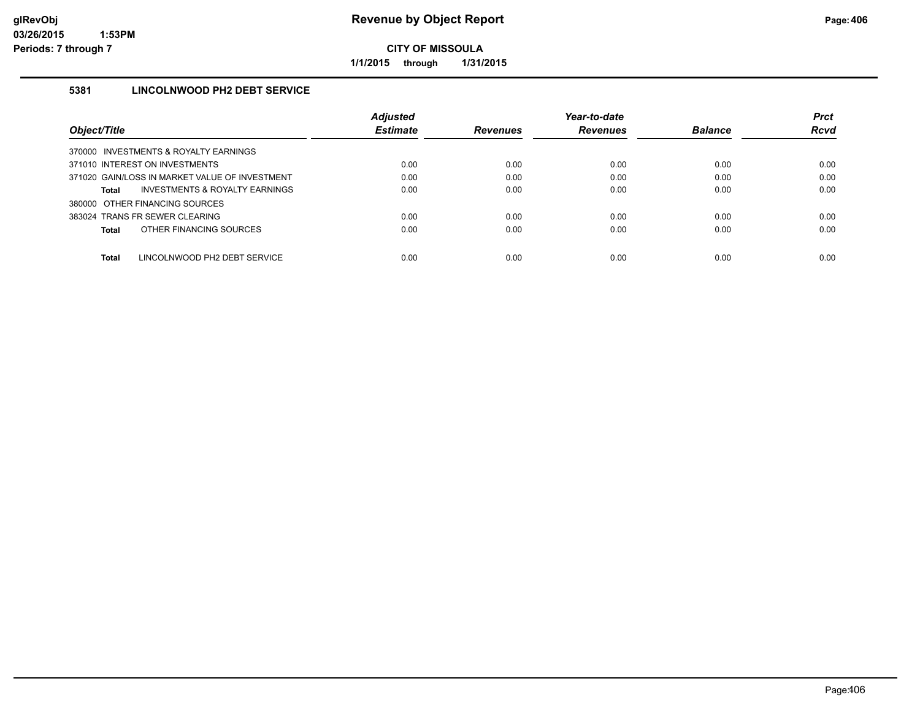**1/1/2015 through 1/31/2015**

## **5381 LINCOLNWOOD PH2 DEBT SERVICE**

|                                                | <b>Adjusted</b> |                 | Year-to-date    |                | <b>Prct</b> |
|------------------------------------------------|-----------------|-----------------|-----------------|----------------|-------------|
| Object/Title                                   | <b>Estimate</b> | <b>Revenues</b> | <b>Revenues</b> | <b>Balance</b> | <b>Rcvd</b> |
| 370000 INVESTMENTS & ROYALTY EARNINGS          |                 |                 |                 |                |             |
| 371010 INTEREST ON INVESTMENTS                 | 0.00            | 0.00            | 0.00            | 0.00           | 0.00        |
| 371020 GAIN/LOSS IN MARKET VALUE OF INVESTMENT | 0.00            | 0.00            | 0.00            | 0.00           | 0.00        |
| INVESTMENTS & ROYALTY EARNINGS<br><b>Total</b> | 0.00            | 0.00            | 0.00            | 0.00           | 0.00        |
| 380000 OTHER FINANCING SOURCES                 |                 |                 |                 |                |             |
| 383024 TRANS FR SEWER CLEARING                 | 0.00            | 0.00            | 0.00            | 0.00           | 0.00        |
| OTHER FINANCING SOURCES<br><b>Total</b>        | 0.00            | 0.00            | 0.00            | 0.00           | 0.00        |
|                                                |                 |                 |                 |                |             |
| <b>Total</b><br>LINCOLNWOOD PH2 DEBT SERVICE   | 0.00            | 0.00            | 0.00            | 0.00           | 0.00        |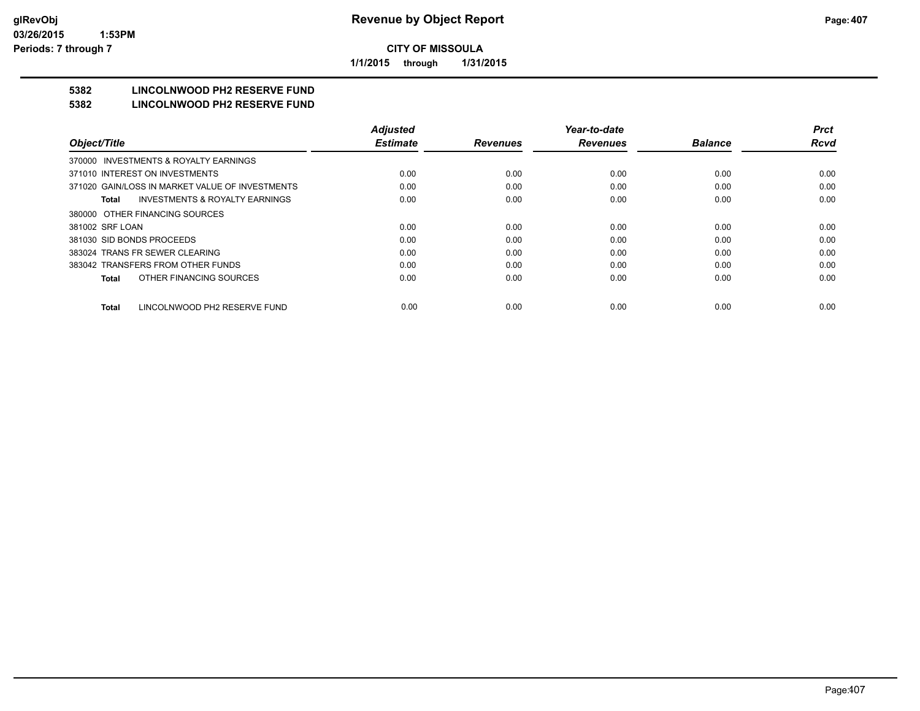**1/1/2015 through 1/31/2015**

# **5382 LINCOLNWOOD PH2 RESERVE FUND**

#### **5382 LINCOLNWOOD PH2 RESERVE FUND**

|                                                    | <b>Adjusted</b> |                 | Year-to-date    |                | <b>Prct</b> |
|----------------------------------------------------|-----------------|-----------------|-----------------|----------------|-------------|
| Object/Title                                       | <b>Estimate</b> | <b>Revenues</b> | <b>Revenues</b> | <b>Balance</b> | <b>Rcvd</b> |
| INVESTMENTS & ROYALTY EARNINGS<br>370000           |                 |                 |                 |                |             |
| 371010 INTEREST ON INVESTMENTS                     | 0.00            | 0.00            | 0.00            | 0.00           | 0.00        |
| 371020 GAIN/LOSS IN MARKET VALUE OF INVESTMENTS    | 0.00            | 0.00            | 0.00            | 0.00           | 0.00        |
| <b>INVESTMENTS &amp; ROYALTY EARNINGS</b><br>Total | 0.00            | 0.00            | 0.00            | 0.00           | 0.00        |
| 380000 OTHER FINANCING SOURCES                     |                 |                 |                 |                |             |
| 381002 SRF LOAN                                    | 0.00            | 0.00            | 0.00            | 0.00           | 0.00        |
| 381030 SID BONDS PROCEEDS                          | 0.00            | 0.00            | 0.00            | 0.00           | 0.00        |
| 383024 TRANS FR SEWER CLEARING                     | 0.00            | 0.00            | 0.00            | 0.00           | 0.00        |
| 383042 TRANSFERS FROM OTHER FUNDS                  | 0.00            | 0.00            | 0.00            | 0.00           | 0.00        |
| OTHER FINANCING SOURCES<br>Total                   | 0.00            | 0.00            | 0.00            | 0.00           | 0.00        |
| LINCOLNWOOD PH2 RESERVE FUND<br><b>Total</b>       | 0.00            | 0.00            | 0.00            | 0.00           | 0.00        |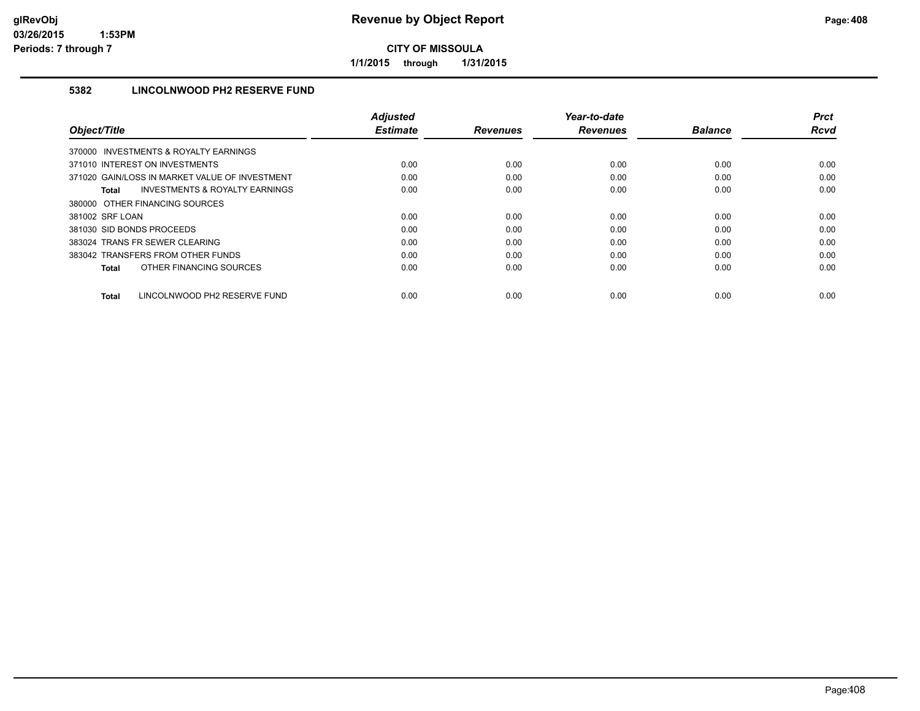**1/1/2015 through 1/31/2015**

## **5382 LINCOLNWOOD PH2 RESERVE FUND**

|                                                           | <b>Adiusted</b> |                 | Year-to-date    |                | <b>Prct</b> |
|-----------------------------------------------------------|-----------------|-----------------|-----------------|----------------|-------------|
| Object/Title                                              | <b>Estimate</b> | <b>Revenues</b> | <b>Revenues</b> | <b>Balance</b> | <b>Rcvd</b> |
| 370000 INVESTMENTS & ROYALTY EARNINGS                     |                 |                 |                 |                |             |
| 371010 INTEREST ON INVESTMENTS                            | 0.00            | 0.00            | 0.00            | 0.00           | 0.00        |
| 371020 GAIN/LOSS IN MARKET VALUE OF INVESTMENT            | 0.00            | 0.00            | 0.00            | 0.00           | 0.00        |
| <b>INVESTMENTS &amp; ROYALTY EARNINGS</b><br><b>Total</b> | 0.00            | 0.00            | 0.00            | 0.00           | 0.00        |
| 380000 OTHER FINANCING SOURCES                            |                 |                 |                 |                |             |
| 381002 SRF LOAN                                           | 0.00            | 0.00            | 0.00            | 0.00           | 0.00        |
| 381030 SID BONDS PROCEEDS                                 | 0.00            | 0.00            | 0.00            | 0.00           | 0.00        |
| 383024 TRANS FR SEWER CLEARING                            | 0.00            | 0.00            | 0.00            | 0.00           | 0.00        |
| 383042 TRANSFERS FROM OTHER FUNDS                         | 0.00            | 0.00            | 0.00            | 0.00           | 0.00        |
| OTHER FINANCING SOURCES<br><b>Total</b>                   | 0.00            | 0.00            | 0.00            | 0.00           | 0.00        |
|                                                           |                 |                 |                 |                |             |
| LINCOLNWOOD PH2 RESERVE FUND<br><b>Total</b>              | 0.00            | 0.00            | 0.00            | 0.00           | 0.00        |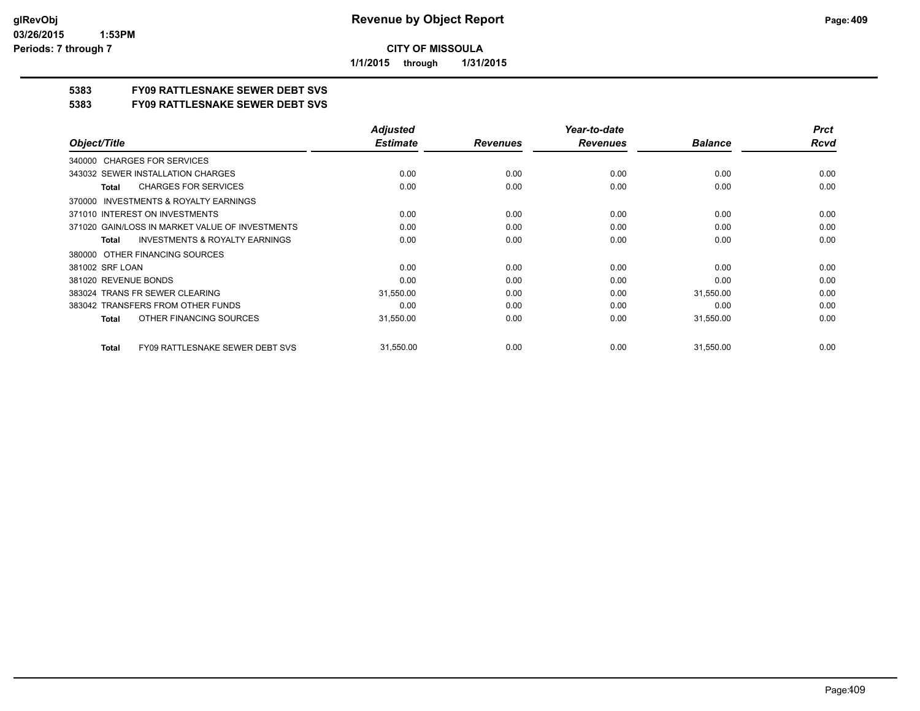**1/1/2015 through 1/31/2015**

# **5383 FY09 RATTLESNAKE SEWER DEBT SVS**

**5383 FY09 RATTLESNAKE SEWER DEBT SVS**

|                                                           | <b>Adjusted</b> |                 | Year-to-date    |                | <b>Prct</b> |
|-----------------------------------------------------------|-----------------|-----------------|-----------------|----------------|-------------|
| Object/Title                                              | <b>Estimate</b> | <b>Revenues</b> | <b>Revenues</b> | <b>Balance</b> | <b>Rcvd</b> |
| 340000 CHARGES FOR SERVICES                               |                 |                 |                 |                |             |
| 343032 SEWER INSTALLATION CHARGES                         | 0.00            | 0.00            | 0.00            | 0.00           | 0.00        |
| <b>CHARGES FOR SERVICES</b><br><b>Total</b>               | 0.00            | 0.00            | 0.00            | 0.00           | 0.00        |
| <b>INVESTMENTS &amp; ROYALTY EARNINGS</b><br>370000       |                 |                 |                 |                |             |
| 371010 INTEREST ON INVESTMENTS                            | 0.00            | 0.00            | 0.00            | 0.00           | 0.00        |
| 371020 GAIN/LOSS IN MARKET VALUE OF INVESTMENTS           | 0.00            | 0.00            | 0.00            | 0.00           | 0.00        |
| <b>INVESTMENTS &amp; ROYALTY EARNINGS</b><br><b>Total</b> | 0.00            | 0.00            | 0.00            | 0.00           | 0.00        |
| OTHER FINANCING SOURCES<br>380000                         |                 |                 |                 |                |             |
| 381002 SRF LOAN                                           | 0.00            | 0.00            | 0.00            | 0.00           | 0.00        |
| 381020 REVENUE BONDS                                      | 0.00            | 0.00            | 0.00            | 0.00           | 0.00        |
| 383024 TRANS FR SEWER CLEARING                            | 31,550.00       | 0.00            | 0.00            | 31,550.00      | 0.00        |
| 383042 TRANSFERS FROM OTHER FUNDS                         | 0.00            | 0.00            | 0.00            | 0.00           | 0.00        |
| OTHER FINANCING SOURCES<br><b>Total</b>                   | 31,550.00       | 0.00            | 0.00            | 31,550.00      | 0.00        |
| <b>FY09 RATTLESNAKE SEWER DEBT SVS</b><br><b>Total</b>    | 31,550.00       | 0.00            | 0.00            | 31,550.00      | 0.00        |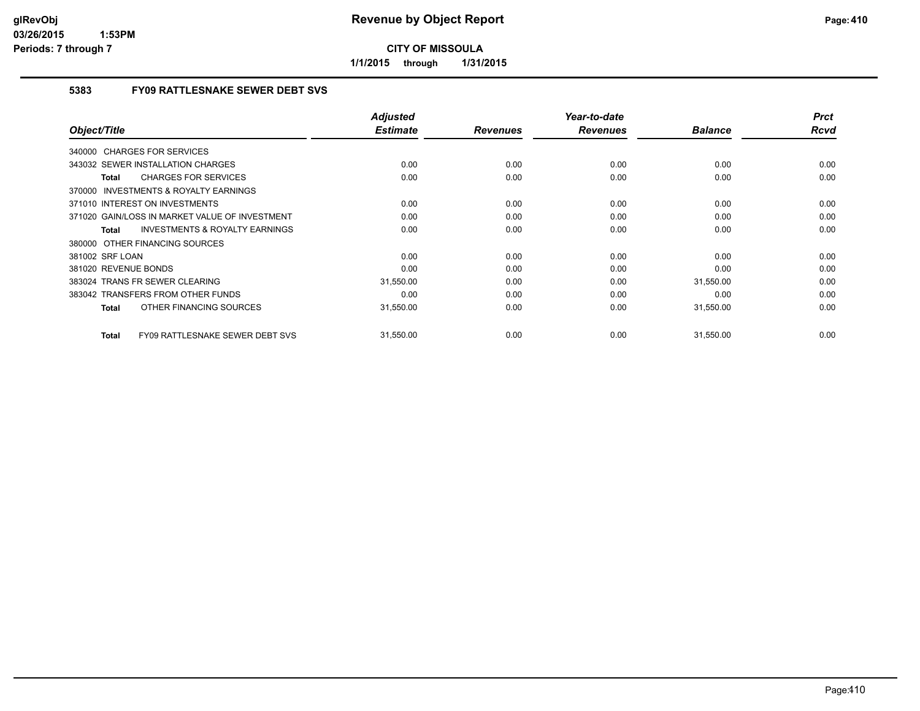**1/1/2015 through 1/31/2015**

### **5383 FY09 RATTLESNAKE SEWER DEBT SVS**

| Object/Title                                              | <b>Adjusted</b><br><b>Estimate</b> | <b>Revenues</b> | Year-to-date<br><b>Revenues</b> | <b>Balance</b> | <b>Prct</b><br>Rcvd |
|-----------------------------------------------------------|------------------------------------|-----------------|---------------------------------|----------------|---------------------|
|                                                           |                                    |                 |                                 |                |                     |
| 340000 CHARGES FOR SERVICES                               |                                    |                 |                                 |                |                     |
| 343032 SEWER INSTALLATION CHARGES                         | 0.00                               | 0.00            | 0.00                            | 0.00           | 0.00                |
| <b>CHARGES FOR SERVICES</b><br>Total                      | 0.00                               | 0.00            | 0.00                            | 0.00           | 0.00                |
| <b>INVESTMENTS &amp; ROYALTY EARNINGS</b><br>370000       |                                    |                 |                                 |                |                     |
| 371010 INTEREST ON INVESTMENTS                            | 0.00                               | 0.00            | 0.00                            | 0.00           | 0.00                |
| 371020 GAIN/LOSS IN MARKET VALUE OF INVESTMENT            | 0.00                               | 0.00            | 0.00                            | 0.00           | 0.00                |
| <b>INVESTMENTS &amp; ROYALTY EARNINGS</b><br><b>Total</b> | 0.00                               | 0.00            | 0.00                            | 0.00           | 0.00                |
| 380000 OTHER FINANCING SOURCES                            |                                    |                 |                                 |                |                     |
| 381002 SRF LOAN                                           | 0.00                               | 0.00            | 0.00                            | 0.00           | 0.00                |
| 381020 REVENUE BONDS                                      | 0.00                               | 0.00            | 0.00                            | 0.00           | 0.00                |
| 383024 TRANS FR SEWER CLEARING                            | 31,550.00                          | 0.00            | 0.00                            | 31,550.00      | 0.00                |
| 383042 TRANSFERS FROM OTHER FUNDS                         | 0.00                               | 0.00            | 0.00                            | 0.00           | 0.00                |
| OTHER FINANCING SOURCES<br><b>Total</b>                   | 31,550.00                          | 0.00            | 0.00                            | 31,550.00      | 0.00                |
| <b>FY09 RATTLESNAKE SEWER DEBT SVS</b><br><b>Total</b>    | 31,550.00                          | 0.00            | 0.00                            | 31,550.00      | 0.00                |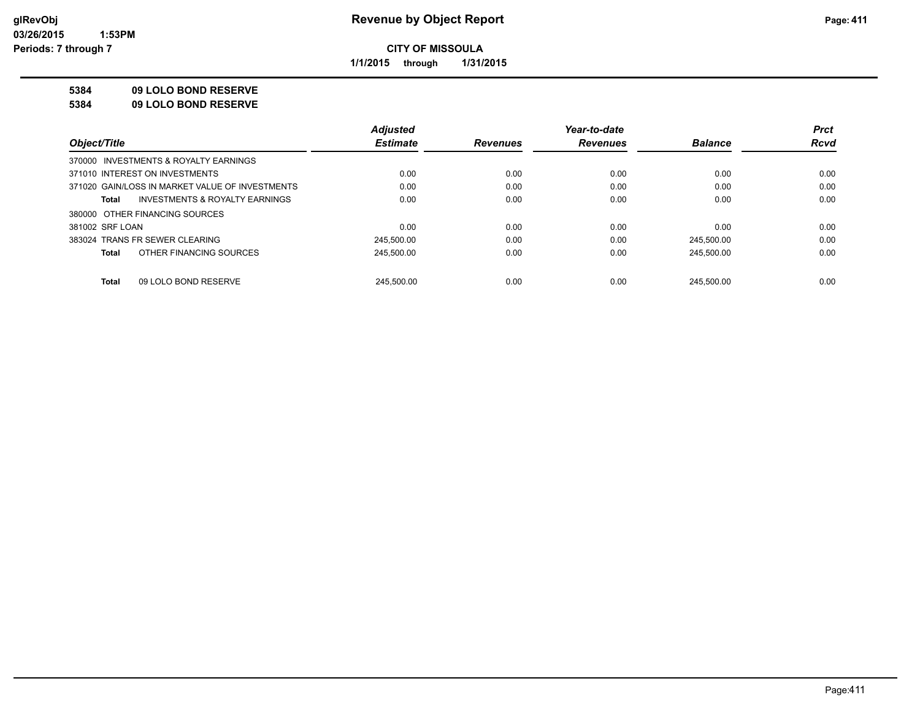**1/1/2015 through 1/31/2015**

#### **5384 09 LOLO BOND RESERVE**

**5384 09 LOLO BOND RESERVE**

|                                                 | <b>Adjusted</b> |                 | Year-to-date    |                | <b>Prct</b> |
|-------------------------------------------------|-----------------|-----------------|-----------------|----------------|-------------|
| Object/Title                                    | <b>Estimate</b> | <b>Revenues</b> | <b>Revenues</b> | <b>Balance</b> | <b>Rcvd</b> |
| 370000 INVESTMENTS & ROYALTY EARNINGS           |                 |                 |                 |                |             |
| 371010 INTEREST ON INVESTMENTS                  | 0.00            | 0.00            | 0.00            | 0.00           | 0.00        |
| 371020 GAIN/LOSS IN MARKET VALUE OF INVESTMENTS | 0.00            | 0.00            | 0.00            | 0.00           | 0.00        |
| INVESTMENTS & ROYALTY EARNINGS<br>Total         | 0.00            | 0.00            | 0.00            | 0.00           | 0.00        |
| 380000 OTHER FINANCING SOURCES                  |                 |                 |                 |                |             |
| 381002 SRF LOAN                                 | 0.00            | 0.00            | 0.00            | 0.00           | 0.00        |
| 383024 TRANS FR SEWER CLEARING                  | 245.500.00      | 0.00            | 0.00            | 245.500.00     | 0.00        |
| OTHER FINANCING SOURCES<br>Total                | 245.500.00      | 0.00            | 0.00            | 245.500.00     | 0.00        |
|                                                 |                 |                 |                 |                |             |
| 09 LOLO BOND RESERVE<br>Total                   | 245.500.00      | 0.00            | 0.00            | 245.500.00     | 0.00        |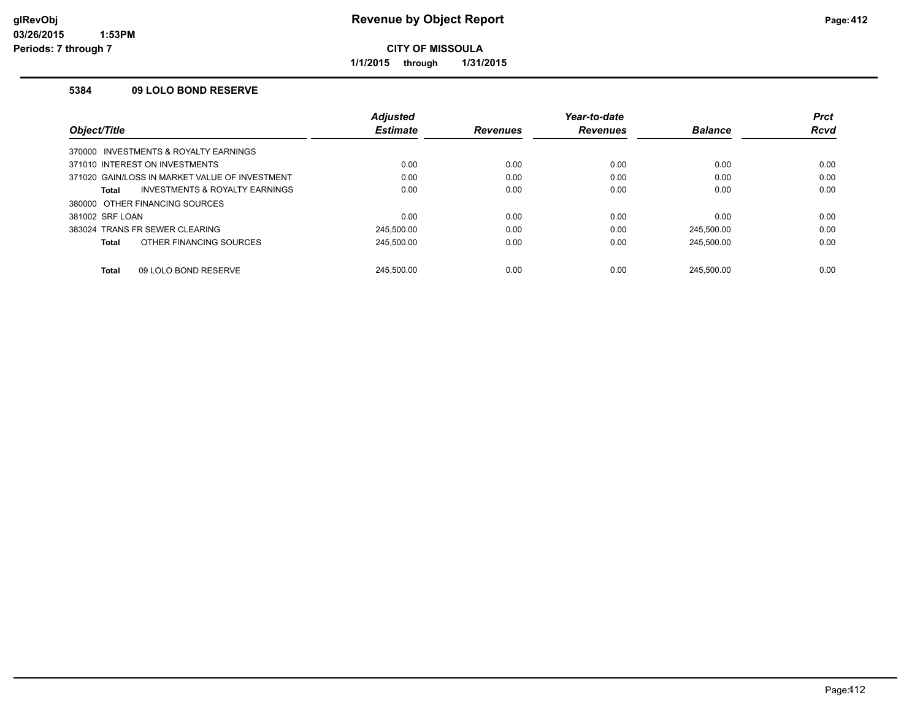**1/1/2015 through 1/31/2015**

### **5384 09 LOLO BOND RESERVE**

|                                                    | <b>Adjusted</b> |                 | Year-to-date    |                | <b>Prct</b> |
|----------------------------------------------------|-----------------|-----------------|-----------------|----------------|-------------|
| Object/Title                                       | <b>Estimate</b> | <b>Revenues</b> | <b>Revenues</b> | <b>Balance</b> | <b>Rcvd</b> |
| 370000 INVESTMENTS & ROYALTY EARNINGS              |                 |                 |                 |                |             |
| 371010 INTEREST ON INVESTMENTS                     | 0.00            | 0.00            | 0.00            | 0.00           | 0.00        |
| 371020 GAIN/LOSS IN MARKET VALUE OF INVESTMENT     | 0.00            | 0.00            | 0.00            | 0.00           | 0.00        |
| <b>INVESTMENTS &amp; ROYALTY EARNINGS</b><br>Total | 0.00            | 0.00            | 0.00            | 0.00           | 0.00        |
| 380000 OTHER FINANCING SOURCES                     |                 |                 |                 |                |             |
| 381002 SRF LOAN                                    | 0.00            | 0.00            | 0.00            | 0.00           | 0.00        |
| 383024 TRANS FR SEWER CLEARING                     | 245.500.00      | 0.00            | 0.00            | 245.500.00     | 0.00        |
| OTHER FINANCING SOURCES<br><b>Total</b>            | 245.500.00      | 0.00            | 0.00            | 245.500.00     | 0.00        |
| 09 LOLO BOND RESERVE<br><b>Total</b>               | 245.500.00      | 0.00            | 0.00            | 245.500.00     | 0.00        |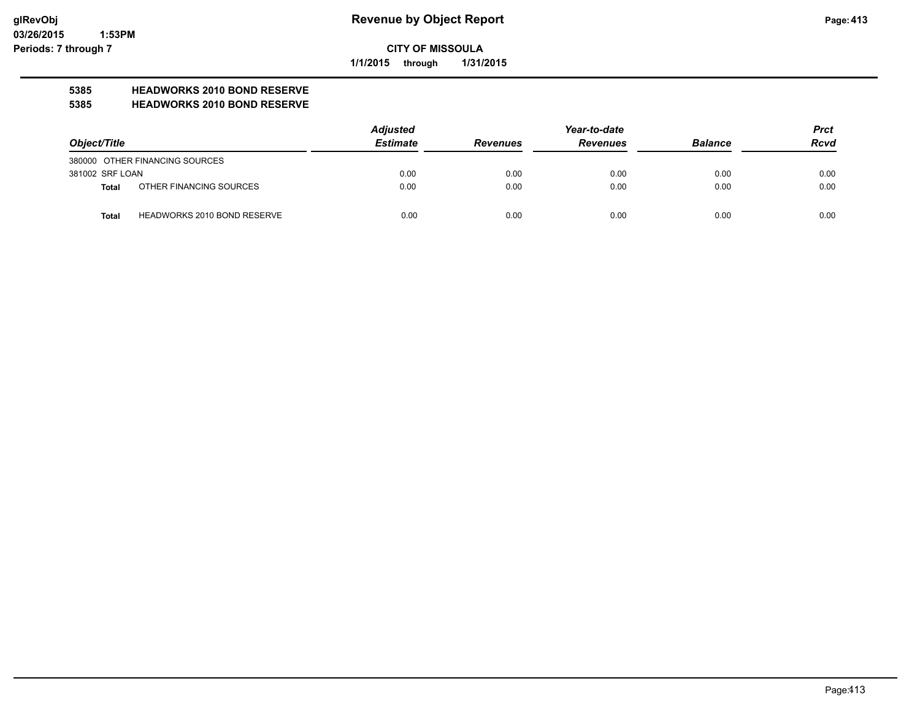**1/1/2015 through 1/31/2015**

# **5385 HEADWORKS 2010 BOND RESERVE**

#### **5385 HEADWORKS 2010 BOND RESERVE**

|                 |                                    | <b>Adjusted</b> |                 | <b>Prct</b>     |                |             |
|-----------------|------------------------------------|-----------------|-----------------|-----------------|----------------|-------------|
| Object/Title    |                                    | <b>Estimate</b> | <b>Revenues</b> | <b>Revenues</b> | <b>Balance</b> | <b>Rcvd</b> |
|                 | 380000 OTHER FINANCING SOURCES     |                 |                 |                 |                |             |
| 381002 SRF LOAN |                                    | 0.00            | 0.00            | 0.00            | 0.00           | 0.00        |
| <b>Total</b>    | OTHER FINANCING SOURCES            | 0.00            | 0.00            | 0.00            | 0.00           | 0.00        |
| <b>Total</b>    | <b>HEADWORKS 2010 BOND RESERVE</b> | 0.00            | 0.00            | 0.00            | 0.00           | 0.00        |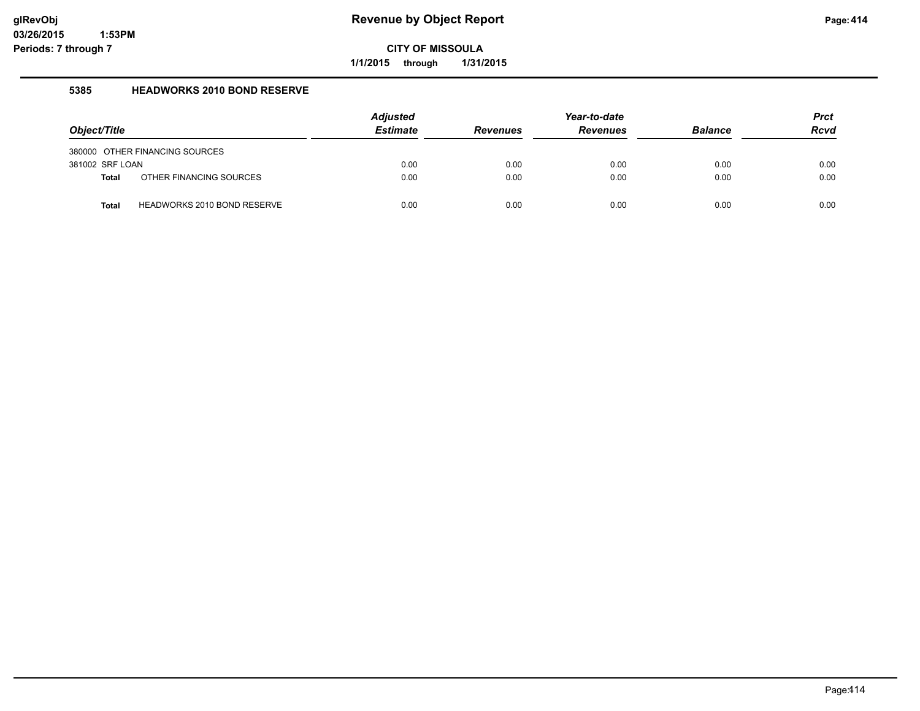**1/1/2015 through 1/31/2015**

### **5385 HEADWORKS 2010 BOND RESERVE**

| Object/Title                    |                                | <b>Adjusted</b><br><b>Estimate</b> | <b>Revenues</b> | Year-to-date<br><b>Revenues</b> | <b>Balance</b> | <b>Prct</b><br><b>Rcvd</b> |
|---------------------------------|--------------------------------|------------------------------------|-----------------|---------------------------------|----------------|----------------------------|
|                                 | 380000 OTHER FINANCING SOURCES |                                    |                 |                                 |                |                            |
| 381002 SRF LOAN<br><b>Total</b> | OTHER FINANCING SOURCES        | 0.00<br>0.00                       | 0.00<br>0.00    | 0.00<br>0.00                    | 0.00<br>0.00   | 0.00<br>0.00               |
| <b>Total</b>                    | HEADWORKS 2010 BOND RESERVE    | 0.00                               | 0.00            | 0.00                            | 0.00           | 0.00                       |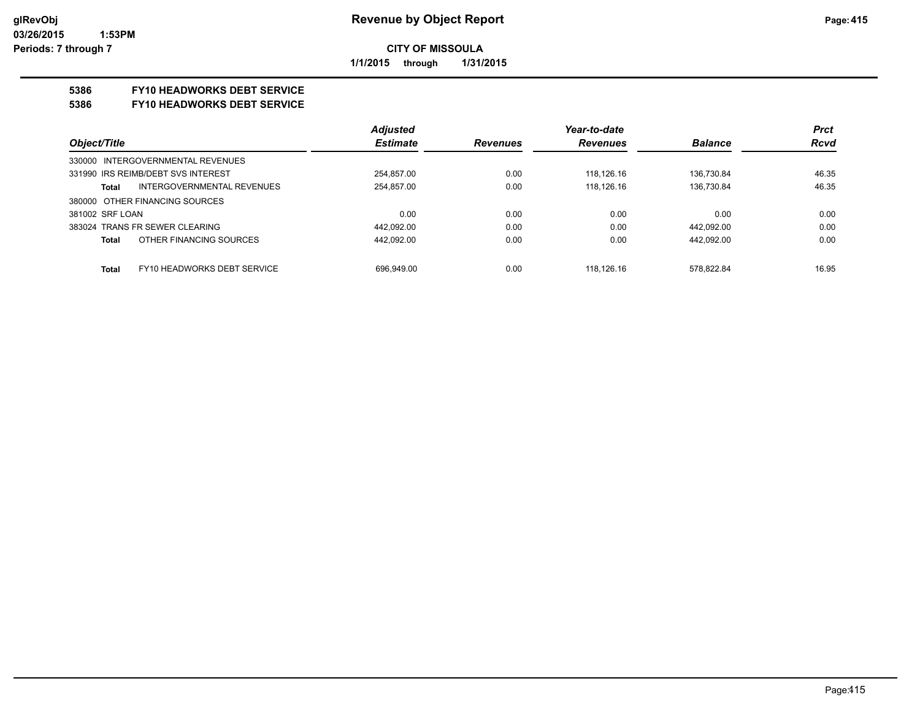**1/1/2015 through 1/31/2015**

### **5386 FY10 HEADWORKS DEBT SERVICE**

#### **5386 FY10 HEADWORKS DEBT SERVICE**

|                                             | <b>Adjusted</b> |                 | Year-to-date    |                | <b>Prct</b> |
|---------------------------------------------|-----------------|-----------------|-----------------|----------------|-------------|
| Object/Title                                | <b>Estimate</b> | <b>Revenues</b> | <b>Revenues</b> | <b>Balance</b> | <b>Rcvd</b> |
| 330000 INTERGOVERNMENTAL REVENUES           |                 |                 |                 |                |             |
| 331990 IRS REIMB/DEBT SVS INTEREST          | 254.857.00      | 0.00            | 118.126.16      | 136.730.84     | 46.35       |
| <b>INTERGOVERNMENTAL REVENUES</b><br>Total  | 254.857.00      | 0.00            | 118.126.16      | 136.730.84     | 46.35       |
| 380000 OTHER FINANCING SOURCES              |                 |                 |                 |                |             |
| 381002 SRF LOAN                             | 0.00            | 0.00            | 0.00            | 0.00           | 0.00        |
| 383024 TRANS FR SEWER CLEARING              | 442,092.00      | 0.00            | 0.00            | 442,092.00     | 0.00        |
| OTHER FINANCING SOURCES<br>Total            | 442.092.00      | 0.00            | 0.00            | 442.092.00     | 0.00        |
|                                             |                 |                 |                 |                |             |
| FY10 HEADWORKS DEBT SERVICE<br><b>Total</b> | 696.949.00      | 0.00            | 118.126.16      | 578.822.84     | 16.95       |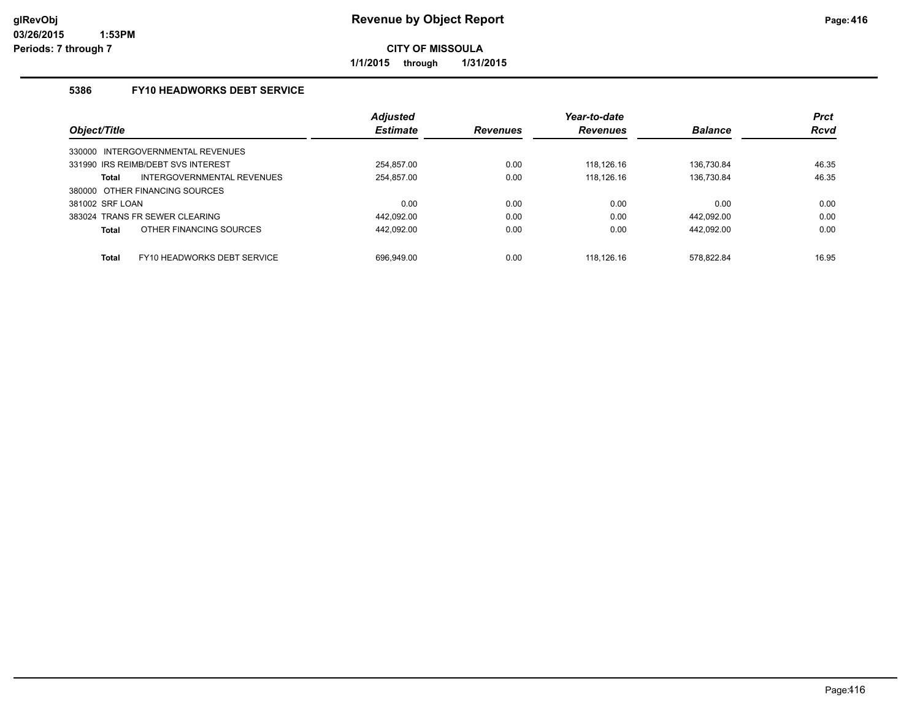**1/1/2015 through 1/31/2015**

### **5386 FY10 HEADWORKS DEBT SERVICE**

|                                    |                             | <b>Adjusted</b> |                 | Year-to-date    |                | <b>Prct</b> |
|------------------------------------|-----------------------------|-----------------|-----------------|-----------------|----------------|-------------|
| Object/Title                       |                             | <b>Estimate</b> | <b>Revenues</b> | <b>Revenues</b> | <b>Balance</b> | <b>Rcvd</b> |
| 330000 INTERGOVERNMENTAL REVENUES  |                             |                 |                 |                 |                |             |
| 331990 IRS REIMB/DEBT SVS INTEREST |                             | 254.857.00      | 0.00            | 118.126.16      | 136.730.84     | 46.35       |
| <b>Total</b>                       | INTERGOVERNMENTAL REVENUES  | 254.857.00      | 0.00            | 118.126.16      | 136.730.84     | 46.35       |
| 380000 OTHER FINANCING SOURCES     |                             |                 |                 |                 |                |             |
| 381002 SRF LOAN                    |                             | 0.00            | 0.00            | 0.00            | 0.00           | 0.00        |
| 383024 TRANS FR SEWER CLEARING     |                             | 442.092.00      | 0.00            | 0.00            | 442.092.00     | 0.00        |
| <b>Total</b>                       | OTHER FINANCING SOURCES     | 442.092.00      | 0.00            | 0.00            | 442.092.00     | 0.00        |
|                                    |                             |                 |                 |                 |                |             |
| <b>Total</b>                       | FY10 HEADWORKS DEBT SERVICE | 696.949.00      | 0.00            | 118.126.16      | 578.822.84     | 16.95       |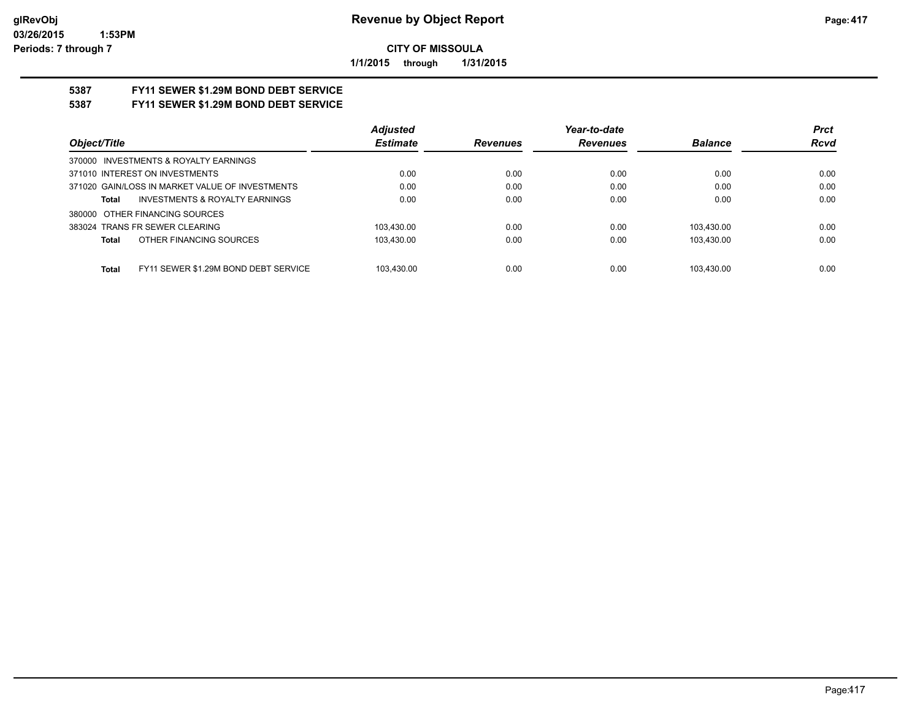**1/1/2015 through 1/31/2015**

# **5387 FY11 SEWER \$1.29M BOND DEBT SERVICE**

# **5387 FY11 SEWER \$1.29M BOND DEBT SERVICE**

|                                                      | <b>Adjusted</b> |                 | Year-to-date    |                | <b>Prct</b> |
|------------------------------------------------------|-----------------|-----------------|-----------------|----------------|-------------|
| Object/Title                                         | <b>Estimate</b> | <b>Revenues</b> | <b>Revenues</b> | <b>Balance</b> | <b>Rcvd</b> |
| 370000 INVESTMENTS & ROYALTY EARNINGS                |                 |                 |                 |                |             |
| 371010 INTEREST ON INVESTMENTS                       | 0.00            | 0.00            | 0.00            | 0.00           | 0.00        |
| 371020 GAIN/LOSS IN MARKET VALUE OF INVESTMENTS      | 0.00            | 0.00            | 0.00            | 0.00           | 0.00        |
| <b>INVESTMENTS &amp; ROYALTY EARNINGS</b><br>Total   | 0.00            | 0.00            | 0.00            | 0.00           | 0.00        |
| 380000 OTHER FINANCING SOURCES                       |                 |                 |                 |                |             |
| 383024 TRANS FR SEWER CLEARING                       | 103.430.00      | 0.00            | 0.00            | 103.430.00     | 0.00        |
| OTHER FINANCING SOURCES<br>Total                     | 103.430.00      | 0.00            | 0.00            | 103.430.00     | 0.00        |
|                                                      |                 |                 |                 |                |             |
| FY11 SEWER \$1.29M BOND DEBT SERVICE<br><b>Total</b> | 103.430.00      | 0.00            | 0.00            | 103.430.00     | 0.00        |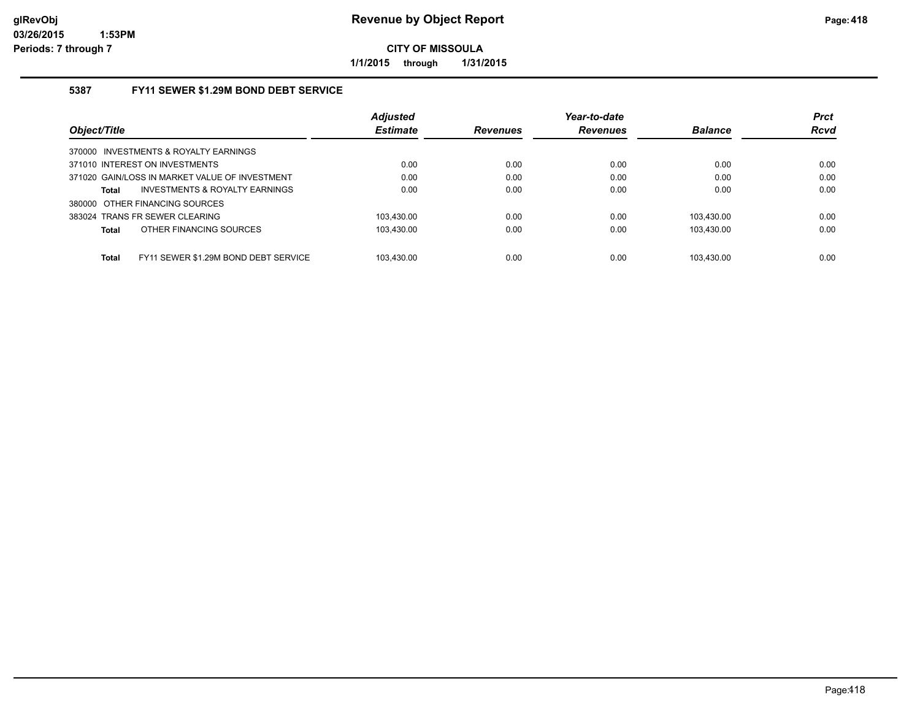**1/1/2015 through 1/31/2015**

### **5387 FY11 SEWER \$1.29M BOND DEBT SERVICE**

|                                                      | <b>Adjusted</b> |                 | Year-to-date    |                | <b>Prct</b> |
|------------------------------------------------------|-----------------|-----------------|-----------------|----------------|-------------|
| Object/Title                                         | <b>Estimate</b> | <b>Revenues</b> | <b>Revenues</b> | <b>Balance</b> | <b>Rcvd</b> |
| 370000 INVESTMENTS & ROYALTY EARNINGS                |                 |                 |                 |                |             |
| 371010 INTEREST ON INVESTMENTS                       | 0.00            | 0.00            | 0.00            | 0.00           | 0.00        |
| 371020 GAIN/LOSS IN MARKET VALUE OF INVESTMENT       | 0.00            | 0.00            | 0.00            | 0.00           | 0.00        |
| INVESTMENTS & ROYALTY EARNINGS<br><b>Total</b>       | 0.00            | 0.00            | 0.00            | 0.00           | 0.00        |
| 380000 OTHER FINANCING SOURCES                       |                 |                 |                 |                |             |
| 383024 TRANS FR SEWER CLEARING                       | 103.430.00      | 0.00            | 0.00            | 103.430.00     | 0.00        |
| OTHER FINANCING SOURCES<br><b>Total</b>              | 103.430.00      | 0.00            | 0.00            | 103.430.00     | 0.00        |
|                                                      |                 |                 |                 |                |             |
| FY11 SEWER \$1.29M BOND DEBT SERVICE<br><b>Total</b> | 103.430.00      | 0.00            | 0.00            | 103.430.00     | 0.00        |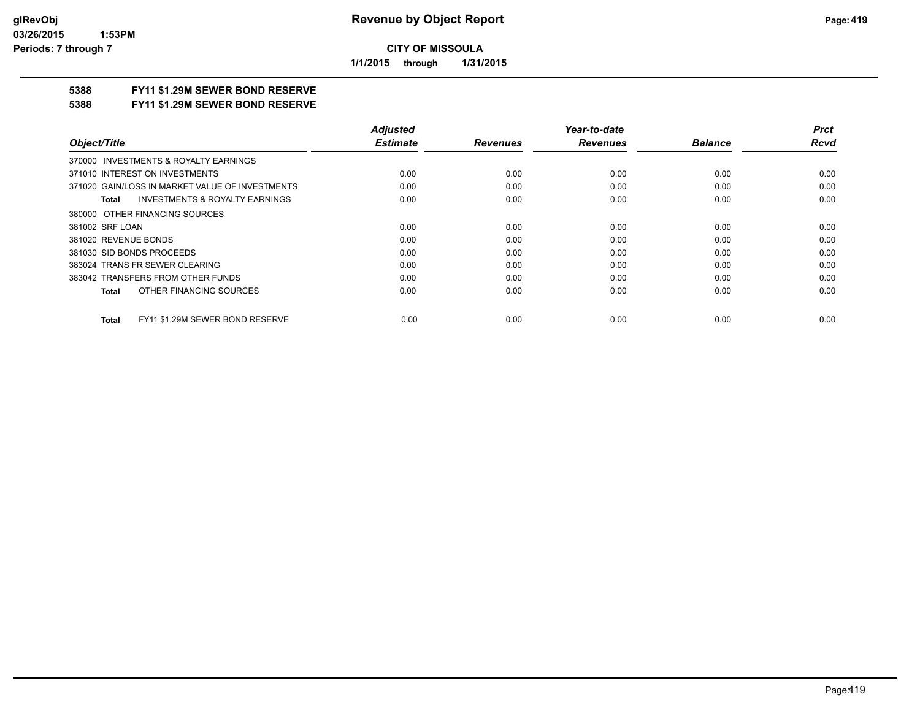**1/1/2015 through 1/31/2015**

## **5388 FY11 \$1.29M SEWER BOND RESERVE**

#### **5388 FY11 \$1.29M SEWER BOND RESERVE**

|                                                    | <b>Adjusted</b> |                 | Year-to-date    |                | <b>Prct</b> |
|----------------------------------------------------|-----------------|-----------------|-----------------|----------------|-------------|
| Object/Title                                       | <b>Estimate</b> | <b>Revenues</b> | <b>Revenues</b> | <b>Balance</b> | <b>Rcvd</b> |
| 370000 INVESTMENTS & ROYALTY EARNINGS              |                 |                 |                 |                |             |
| 371010 INTEREST ON INVESTMENTS                     | 0.00            | 0.00            | 0.00            | 0.00           | 0.00        |
| 371020 GAIN/LOSS IN MARKET VALUE OF INVESTMENTS    | 0.00            | 0.00            | 0.00            | 0.00           | 0.00        |
| <b>INVESTMENTS &amp; ROYALTY EARNINGS</b><br>Total | 0.00            | 0.00            | 0.00            | 0.00           | 0.00        |
| 380000 OTHER FINANCING SOURCES                     |                 |                 |                 |                |             |
| 381002 SRF LOAN                                    | 0.00            | 0.00            | 0.00            | 0.00           | 0.00        |
| 381020 REVENUE BONDS                               | 0.00            | 0.00            | 0.00            | 0.00           | 0.00        |
| 381030 SID BONDS PROCEEDS                          | 0.00            | 0.00            | 0.00            | 0.00           | 0.00        |
| 383024 TRANS FR SEWER CLEARING                     | 0.00            | 0.00            | 0.00            | 0.00           | 0.00        |
| 383042 TRANSFERS FROM OTHER FUNDS                  | 0.00            | 0.00            | 0.00            | 0.00           | 0.00        |
| OTHER FINANCING SOURCES<br><b>Total</b>            | 0.00            | 0.00            | 0.00            | 0.00           | 0.00        |
| FY11 \$1.29M SEWER BOND RESERVE<br>Total           | 0.00            | 0.00            | 0.00            | 0.00           | 0.00        |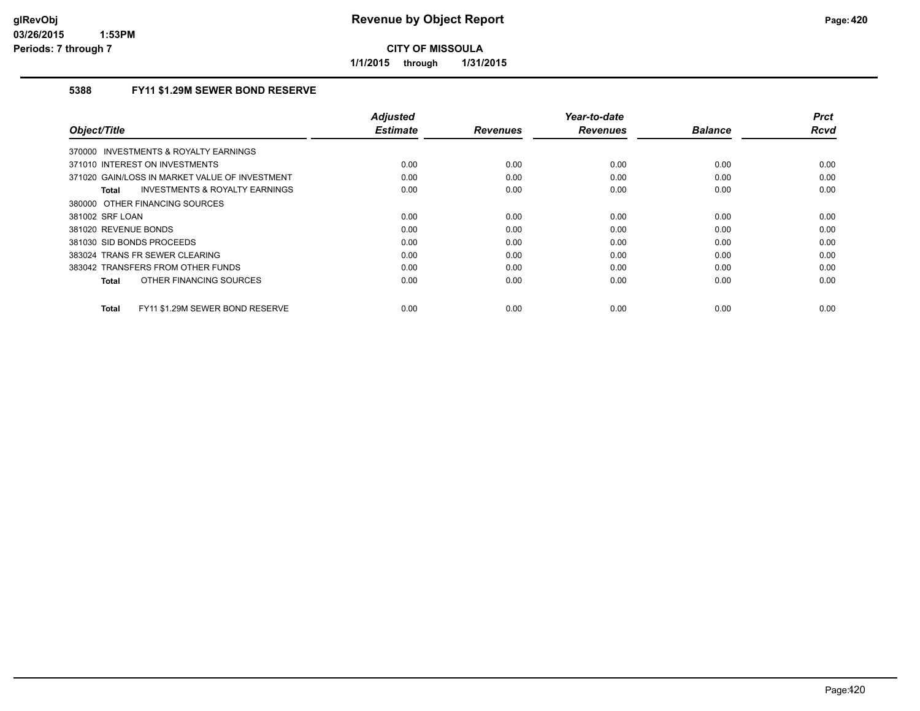**1/1/2015 through 1/31/2015**

## **5388 FY11 \$1.29M SEWER BOND RESERVE**

| Object/Title                                    | <b>Adjusted</b><br><b>Estimate</b> | <b>Revenues</b> | Year-to-date<br><b>Revenues</b> | <b>Balance</b> | <b>Prct</b><br><b>Rcvd</b> |
|-------------------------------------------------|------------------------------------|-----------------|---------------------------------|----------------|----------------------------|
|                                                 |                                    |                 |                                 |                |                            |
| 370000 INVESTMENTS & ROYALTY EARNINGS           |                                    |                 |                                 |                |                            |
| 371010 INTEREST ON INVESTMENTS                  | 0.00                               | 0.00            | 0.00                            | 0.00           | 0.00                       |
| 371020 GAIN/LOSS IN MARKET VALUE OF INVESTMENT  | 0.00                               | 0.00            | 0.00                            | 0.00           | 0.00                       |
| INVESTMENTS & ROYALTY EARNINGS<br>Total         | 0.00                               | 0.00            | 0.00                            | 0.00           | 0.00                       |
| 380000 OTHER FINANCING SOURCES                  |                                    |                 |                                 |                |                            |
| 381002 SRF LOAN                                 | 0.00                               | 0.00            | 0.00                            | 0.00           | 0.00                       |
| 381020 REVENUE BONDS                            | 0.00                               | 0.00            | 0.00                            | 0.00           | 0.00                       |
| 381030 SID BONDS PROCEEDS                       | 0.00                               | 0.00            | 0.00                            | 0.00           | 0.00                       |
| 383024 TRANS FR SEWER CLEARING                  | 0.00                               | 0.00            | 0.00                            | 0.00           | 0.00                       |
| 383042 TRANSFERS FROM OTHER FUNDS               | 0.00                               | 0.00            | 0.00                            | 0.00           | 0.00                       |
| OTHER FINANCING SOURCES<br><b>Total</b>         | 0.00                               | 0.00            | 0.00                            | 0.00           | 0.00                       |
| FY11 \$1.29M SEWER BOND RESERVE<br><b>Total</b> | 0.00                               | 0.00            | 0.00                            | 0.00           | 0.00                       |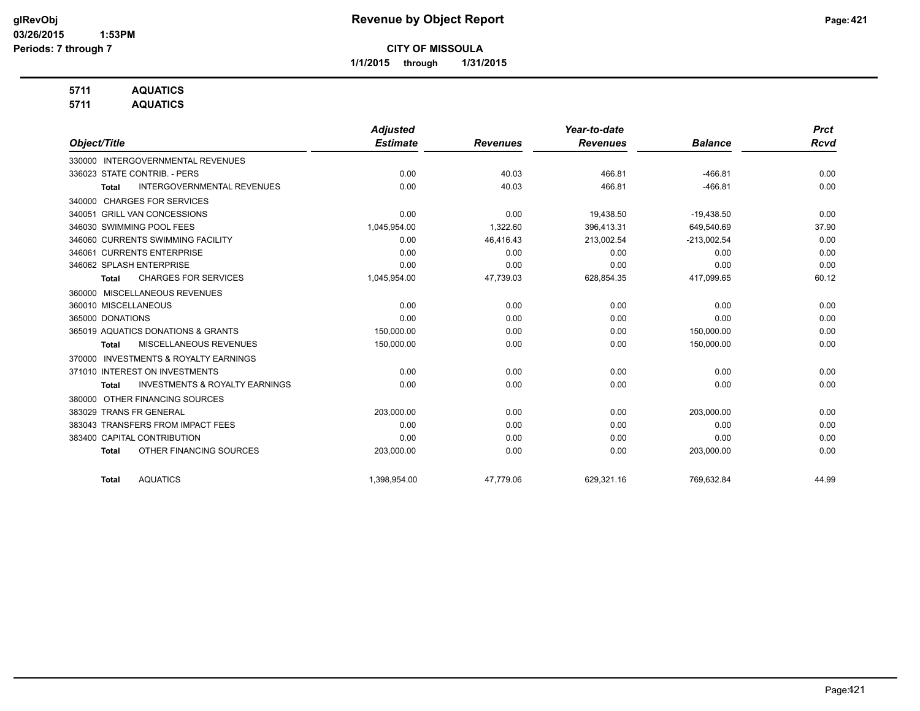**1/1/2015 through 1/31/2015**

## **5711 AQUATICS**

**5711 AQUATICS**

|                                                           | <b>Adjusted</b> |                 | Year-to-date    |                | <b>Prct</b> |
|-----------------------------------------------------------|-----------------|-----------------|-----------------|----------------|-------------|
| Object/Title                                              | <b>Estimate</b> | <b>Revenues</b> | <b>Revenues</b> | <b>Balance</b> | <b>Rcvd</b> |
| <b>INTERGOVERNMENTAL REVENUES</b><br>330000               |                 |                 |                 |                |             |
| 336023 STATE CONTRIB. - PERS                              | 0.00            | 40.03           | 466.81          | $-466.81$      | 0.00        |
| <b>INTERGOVERNMENTAL REVENUES</b><br><b>Total</b>         | 0.00            | 40.03           | 466.81          | $-466.81$      | 0.00        |
| <b>CHARGES FOR SERVICES</b><br>340000                     |                 |                 |                 |                |             |
| 340051 GRILL VAN CONCESSIONS                              | 0.00            | 0.00            | 19,438.50       | $-19,438.50$   | 0.00        |
| 346030 SWIMMING POOL FEES                                 | 1,045,954.00    | 1.322.60        | 396.413.31      | 649.540.69     | 37.90       |
| 346060 CURRENTS SWIMMING FACILITY                         | 0.00            | 46,416.43       | 213,002.54      | $-213,002.54$  | 0.00        |
| 346061 CURRENTS ENTERPRISE                                | 0.00            | 0.00            | 0.00            | 0.00           | 0.00        |
| 346062 SPLASH ENTERPRISE                                  | 0.00            | 0.00            | 0.00            | 0.00           | 0.00        |
| <b>CHARGES FOR SERVICES</b><br><b>Total</b>               | 1,045,954.00    | 47,739.03       | 628,854.35      | 417,099.65     | 60.12       |
| MISCELLANEOUS REVENUES<br>360000                          |                 |                 |                 |                |             |
| 360010 MISCELLANEOUS                                      | 0.00            | 0.00            | 0.00            | 0.00           | 0.00        |
| 365000 DONATIONS                                          | 0.00            | 0.00            | 0.00            | 0.00           | 0.00        |
| 365019 AQUATICS DONATIONS & GRANTS                        | 150,000.00      | 0.00            | 0.00            | 150,000.00     | 0.00        |
| <b>MISCELLANEOUS REVENUES</b><br><b>Total</b>             | 150,000.00      | 0.00            | 0.00            | 150,000.00     | 0.00        |
| <b>INVESTMENTS &amp; ROYALTY EARNINGS</b><br>370000       |                 |                 |                 |                |             |
| 371010 INTEREST ON INVESTMENTS                            | 0.00            | 0.00            | 0.00            | 0.00           | 0.00        |
| <b>INVESTMENTS &amp; ROYALTY EARNINGS</b><br><b>Total</b> | 0.00            | 0.00            | 0.00            | 0.00           | 0.00        |
| OTHER FINANCING SOURCES<br>380000                         |                 |                 |                 |                |             |
| 383029 TRANS FR GENERAL                                   | 203.000.00      | 0.00            | 0.00            | 203.000.00     | 0.00        |
| 383043 TRANSFERS FROM IMPACT FEES                         | 0.00            | 0.00            | 0.00            | 0.00           | 0.00        |
| 383400 CAPITAL CONTRIBUTION                               | 0.00            | 0.00            | 0.00            | 0.00           | 0.00        |
| OTHER FINANCING SOURCES<br><b>Total</b>                   | 203,000.00      | 0.00            | 0.00            | 203,000.00     | 0.00        |
| <b>AQUATICS</b><br><b>Total</b>                           | 1,398,954.00    | 47,779.06       | 629,321.16      | 769,632.84     | 44.99       |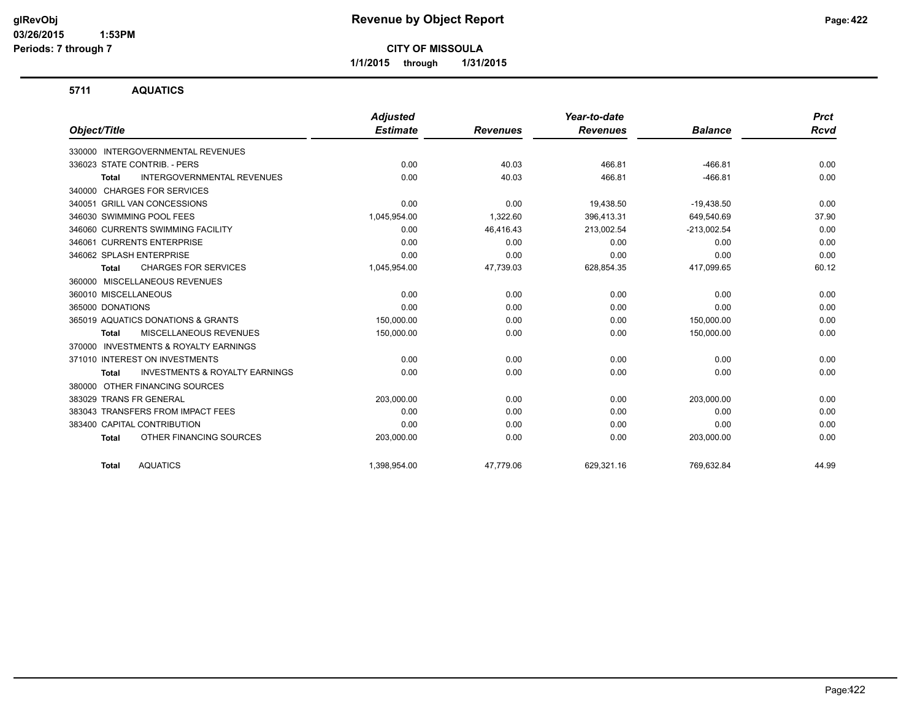**1/1/2015 through 1/31/2015**

#### **5711 AQUATICS**

|                                                           | <b>Adjusted</b> |                 | Year-to-date    |                | <b>Prct</b> |
|-----------------------------------------------------------|-----------------|-----------------|-----------------|----------------|-------------|
| Object/Title                                              | <b>Estimate</b> | <b>Revenues</b> | <b>Revenues</b> | <b>Balance</b> | <b>Rcvd</b> |
| 330000 INTERGOVERNMENTAL REVENUES                         |                 |                 |                 |                |             |
| 336023 STATE CONTRIB. - PERS                              | 0.00            | 40.03           | 466.81          | $-466.81$      | 0.00        |
| <b>INTERGOVERNMENTAL REVENUES</b><br><b>Total</b>         | 0.00            | 40.03           | 466.81          | $-466.81$      | 0.00        |
| 340000 CHARGES FOR SERVICES                               |                 |                 |                 |                |             |
| 340051 GRILL VAN CONCESSIONS                              | 0.00            | 0.00            | 19.438.50       | $-19.438.50$   | 0.00        |
| 346030 SWIMMING POOL FEES                                 | 1.045.954.00    | 1,322.60        | 396.413.31      | 649.540.69     | 37.90       |
| 346060 CURRENTS SWIMMING FACILITY                         | 0.00            | 46,416.43       | 213,002.54      | $-213,002.54$  | 0.00        |
| 346061 CURRENTS ENTERPRISE                                | 0.00            | 0.00            | 0.00            | 0.00           | 0.00        |
| 346062 SPLASH ENTERPRISE                                  | 0.00            | 0.00            | 0.00            | 0.00           | 0.00        |
| <b>CHARGES FOR SERVICES</b><br><b>Total</b>               | 1,045,954.00    | 47,739.03       | 628,854.35      | 417,099.65     | 60.12       |
| 360000 MISCELLANEOUS REVENUES                             |                 |                 |                 |                |             |
| 360010 MISCELLANEOUS                                      | 0.00            | 0.00            | 0.00            | 0.00           | 0.00        |
| 365000 DONATIONS                                          | 0.00            | 0.00            | 0.00            | 0.00           | 0.00        |
| 365019 AQUATICS DONATIONS & GRANTS                        | 150,000.00      | 0.00            | 0.00            | 150,000.00     | 0.00        |
| <b>MISCELLANEOUS REVENUES</b><br><b>Total</b>             | 150,000.00      | 0.00            | 0.00            | 150,000.00     | 0.00        |
| 370000 INVESTMENTS & ROYALTY EARNINGS                     |                 |                 |                 |                |             |
| 371010 INTEREST ON INVESTMENTS                            | 0.00            | 0.00            | 0.00            | 0.00           | 0.00        |
| <b>INVESTMENTS &amp; ROYALTY EARNINGS</b><br><b>Total</b> | 0.00            | 0.00            | 0.00            | 0.00           | 0.00        |
| 380000 OTHER FINANCING SOURCES                            |                 |                 |                 |                |             |
| 383029 TRANS FR GENERAL                                   | 203,000.00      | 0.00            | 0.00            | 203,000.00     | 0.00        |
| 383043 TRANSFERS FROM IMPACT FEES                         | 0.00            | 0.00            | 0.00            | 0.00           | 0.00        |
| 383400 CAPITAL CONTRIBUTION                               | 0.00            | 0.00            | 0.00            | 0.00           | 0.00        |
| OTHER FINANCING SOURCES<br><b>Total</b>                   | 203,000.00      | 0.00            | 0.00            | 203,000.00     | 0.00        |
| <b>AQUATICS</b><br><b>Total</b>                           | 1,398,954.00    | 47,779.06       | 629,321.16      | 769,632.84     | 44.99       |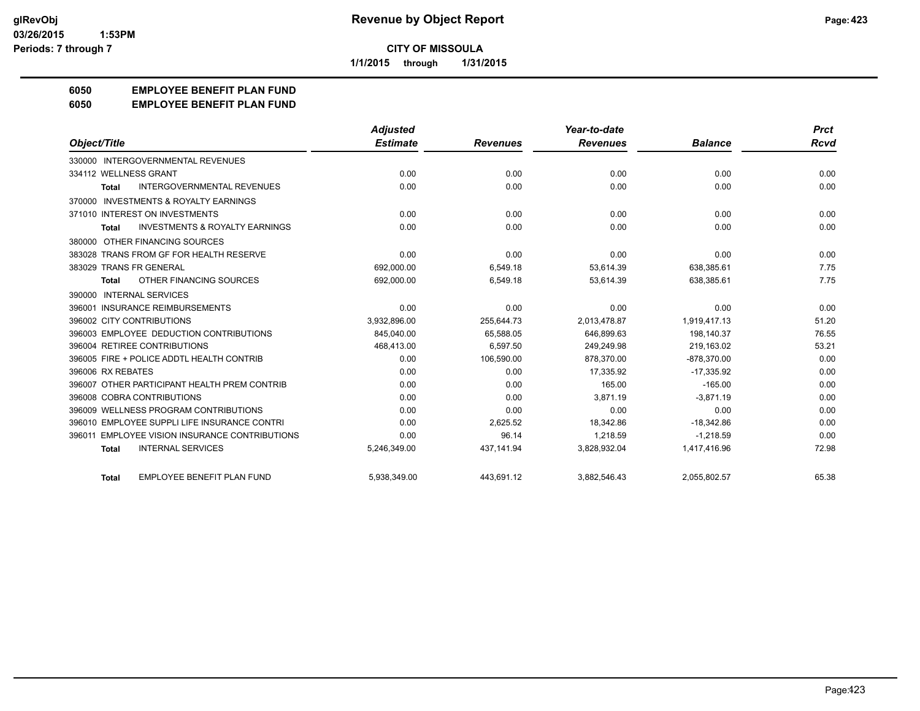**1/1/2015 through 1/31/2015**

# **6050 EMPLOYEE BENEFIT PLAN FUND**

#### **6050 EMPLOYEE BENEFIT PLAN FUND**

|                                                           | <b>Adjusted</b> |                 | Year-to-date    |                | <b>Prct</b> |
|-----------------------------------------------------------|-----------------|-----------------|-----------------|----------------|-------------|
| Object/Title                                              | <b>Estimate</b> | <b>Revenues</b> | <b>Revenues</b> | <b>Balance</b> | <b>Rcvd</b> |
| 330000 INTERGOVERNMENTAL REVENUES                         |                 |                 |                 |                |             |
| 334112 WELLNESS GRANT                                     | 0.00            | 0.00            | 0.00            | 0.00           | 0.00        |
| <b>INTERGOVERNMENTAL REVENUES</b><br>Total                | 0.00            | 0.00            | 0.00            | 0.00           | 0.00        |
| 370000 INVESTMENTS & ROYALTY EARNINGS                     |                 |                 |                 |                |             |
| 371010 INTEREST ON INVESTMENTS                            | 0.00            | 0.00            | 0.00            | 0.00           | 0.00        |
| <b>INVESTMENTS &amp; ROYALTY EARNINGS</b><br><b>Total</b> | 0.00            | 0.00            | 0.00            | 0.00           | 0.00        |
| 380000 OTHER FINANCING SOURCES                            |                 |                 |                 |                |             |
| 383028 TRANS FROM GF FOR HEALTH RESERVE                   | 0.00            | 0.00            | 0.00            | 0.00           | 0.00        |
| 383029 TRANS FR GENERAL                                   | 692,000.00      | 6,549.18        | 53,614.39       | 638,385.61     | 7.75        |
| OTHER FINANCING SOURCES<br><b>Total</b>                   | 692,000.00      | 6,549.18        | 53,614.39       | 638,385.61     | 7.75        |
| 390000 INTERNAL SERVICES                                  |                 |                 |                 |                |             |
| <b>INSURANCE REIMBURSEMENTS</b><br>396001                 | 0.00            | 0.00            | 0.00            | 0.00           | 0.00        |
| 396002 CITY CONTRIBUTIONS                                 | 3.932.896.00    | 255.644.73      | 2.013.478.87    | 1.919.417.13   | 51.20       |
| 396003 EMPLOYEE DEDUCTION CONTRIBUTIONS                   | 845,040.00      | 65,588.05       | 646,899.63      | 198,140.37     | 76.55       |
| 396004 RETIREE CONTRIBUTIONS                              | 468,413.00      | 6,597.50        | 249,249.98      | 219,163.02     | 53.21       |
| 396005 FIRE + POLICE ADDTL HEALTH CONTRIB                 | 0.00            | 106,590.00      | 878.370.00      | $-878,370.00$  | 0.00        |
| 396006 RX REBATES                                         | 0.00            | 0.00            | 17,335.92       | $-17,335.92$   | 0.00        |
| 396007 OTHER PARTICIPANT HEALTH PREM CONTRIB              | 0.00            | 0.00            | 165.00          | $-165.00$      | 0.00        |
| 396008 COBRA CONTRIBUTIONS                                | 0.00            | 0.00            | 3.871.19        | $-3.871.19$    | 0.00        |
| 396009 WELLNESS PROGRAM CONTRIBUTIONS                     | 0.00            | 0.00            | 0.00            | 0.00           | 0.00        |
| 396010 EMPLOYEE SUPPLI LIFE INSURANCE CONTRI              | 0.00            | 2,625.52        | 18,342.86       | $-18,342.86$   | 0.00        |
| <b>EMPLOYEE VISION INSURANCE CONTRIBUTIONS</b><br>396011  | 0.00            | 96.14           | 1.218.59        | $-1.218.59$    | 0.00        |
| <b>INTERNAL SERVICES</b><br><b>Total</b>                  | 5,246,349.00    | 437,141.94      | 3,828,932.04    | 1,417,416.96   | 72.98       |
| <b>EMPLOYEE BENEFIT PLAN FUND</b><br><b>Total</b>         | 5,938,349.00    | 443,691.12      | 3,882,546.43    | 2,055,802.57   | 65.38       |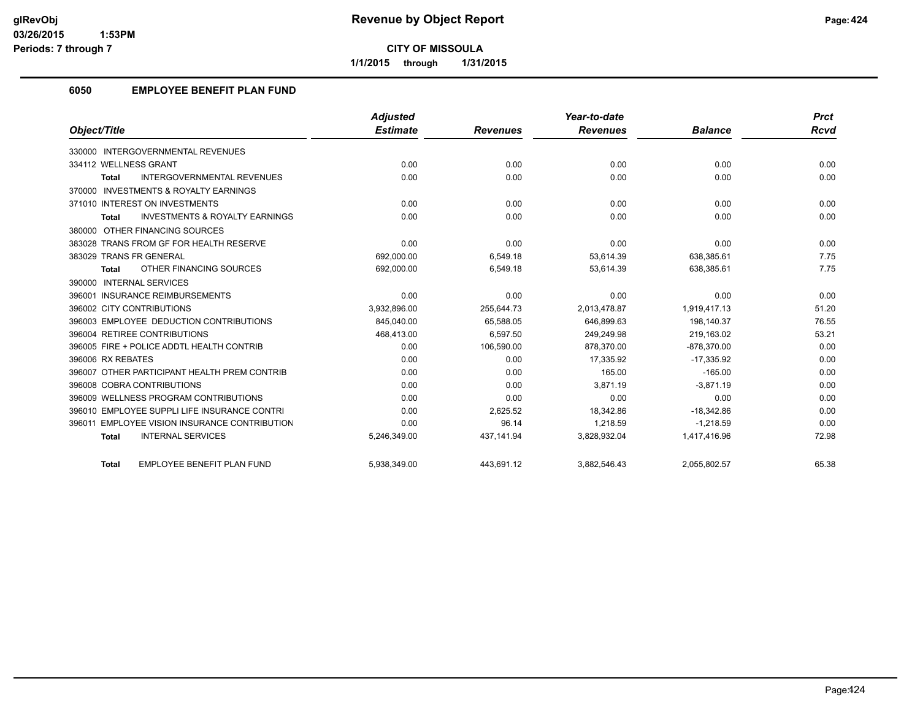**1/1/2015 through 1/31/2015**

## **6050 EMPLOYEE BENEFIT PLAN FUND**

|                                                           | <b>Adjusted</b> |                 | Year-to-date    |                | <b>Prct</b> |
|-----------------------------------------------------------|-----------------|-----------------|-----------------|----------------|-------------|
| Object/Title                                              | <b>Estimate</b> | <b>Revenues</b> | <b>Revenues</b> | <b>Balance</b> | <b>Rcvd</b> |
| <b>INTERGOVERNMENTAL REVENUES</b><br>330000               |                 |                 |                 |                |             |
| 334112 WELLNESS GRANT                                     | 0.00            | 0.00            | 0.00            | 0.00           | 0.00        |
| <b>INTERGOVERNMENTAL REVENUES</b><br><b>Total</b>         | 0.00            | 0.00            | 0.00            | 0.00           | 0.00        |
| 370000 INVESTMENTS & ROYALTY EARNINGS                     |                 |                 |                 |                |             |
| 371010 INTEREST ON INVESTMENTS                            | 0.00            | 0.00            | 0.00            | 0.00           | 0.00        |
| <b>INVESTMENTS &amp; ROYALTY EARNINGS</b><br><b>Total</b> | 0.00            | 0.00            | 0.00            | 0.00           | 0.00        |
| 380000 OTHER FINANCING SOURCES                            |                 |                 |                 |                |             |
| 383028 TRANS FROM GF FOR HEALTH RESERVE                   | 0.00            | 0.00            | 0.00            | 0.00           | 0.00        |
| 383029 TRANS FR GENERAL                                   | 692,000.00      | 6,549.18        | 53,614.39       | 638,385.61     | 7.75        |
| OTHER FINANCING SOURCES<br><b>Total</b>                   | 692,000.00      | 6,549.18        | 53,614.39       | 638,385.61     | 7.75        |
| <b>INTERNAL SERVICES</b><br>390000                        |                 |                 |                 |                |             |
| 396001 INSURANCE REIMBURSEMENTS                           | 0.00            | 0.00            | 0.00            | 0.00           | 0.00        |
| 396002 CITY CONTRIBUTIONS                                 | 3,932,896.00    | 255,644.73      | 2,013,478.87    | 1,919,417.13   | 51.20       |
| 396003 EMPLOYEE DEDUCTION CONTRIBUTIONS                   | 845.040.00      | 65.588.05       | 646.899.63      | 198.140.37     | 76.55       |
| 396004 RETIREE CONTRIBUTIONS                              | 468,413.00      | 6,597.50        | 249,249.98      | 219,163.02     | 53.21       |
| 396005 FIRE + POLICE ADDTL HEALTH CONTRIB                 | 0.00            | 106,590.00      | 878,370.00      | $-878,370.00$  | 0.00        |
| 396006 RX REBATES                                         | 0.00            | 0.00            | 17.335.92       | $-17.335.92$   | 0.00        |
| 396007 OTHER PARTICIPANT HEALTH PREM CONTRIB              | 0.00            | 0.00            | 165.00          | $-165.00$      | 0.00        |
| 396008 COBRA CONTRIBUTIONS                                | 0.00            | 0.00            | 3,871.19        | $-3.871.19$    | 0.00        |
| 396009 WELLNESS PROGRAM CONTRIBUTIONS                     | 0.00            | 0.00            | 0.00            | 0.00           | 0.00        |
| 396010 EMPLOYEE SUPPLI LIFE INSURANCE CONTRI              | 0.00            | 2,625.52        | 18,342.86       | $-18,342.86$   | 0.00        |
| 396011 EMPLOYEE VISION INSURANCE CONTRIBUTION             | 0.00            | 96.14           | 1.218.59        | $-1.218.59$    | 0.00        |
| <b>INTERNAL SERVICES</b><br><b>Total</b>                  | 5,246,349.00    | 437,141.94      | 3,828,932.04    | 1,417,416.96   | 72.98       |
| EMPLOYEE BENEFIT PLAN FUND<br><b>Total</b>                | 5,938,349.00    | 443,691.12      | 3,882,546.43    | 2,055,802.57   | 65.38       |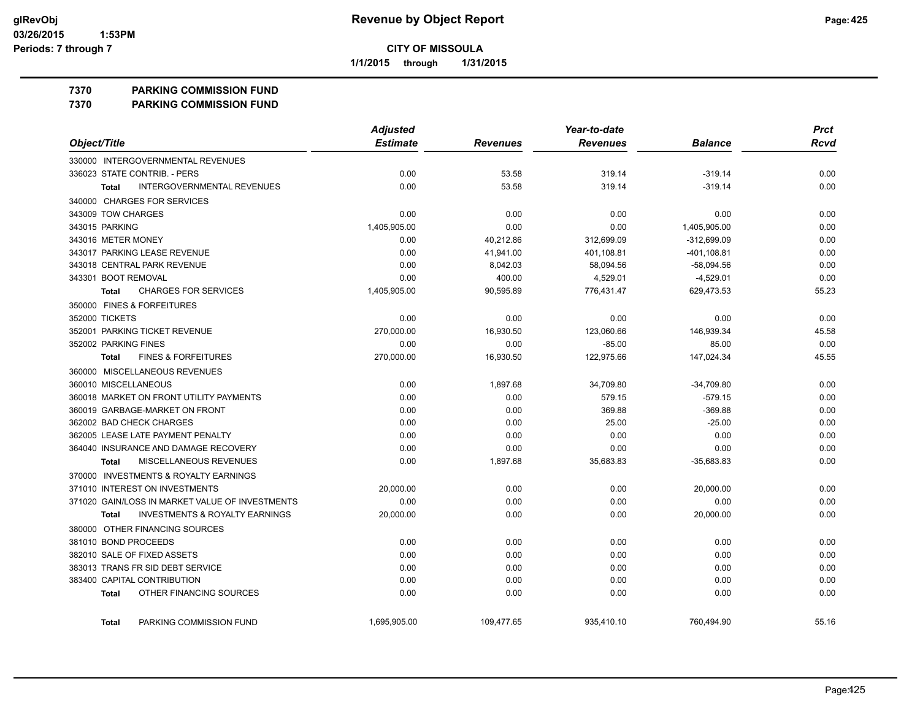**1/1/2015 through 1/31/2015**

#### **7370 PARKING COMMISSION FUND**

**7370 PARKING COMMISSION FUND**

|                                                    | <b>Adjusted</b> |                 | Year-to-date    |                | <b>Prct</b> |
|----------------------------------------------------|-----------------|-----------------|-----------------|----------------|-------------|
| Object/Title                                       | <b>Estimate</b> | <b>Revenues</b> | <b>Revenues</b> | <b>Balance</b> | <b>Rcvd</b> |
| 330000 INTERGOVERNMENTAL REVENUES                  |                 |                 |                 |                |             |
| 336023 STATE CONTRIB. - PERS                       | 0.00            | 53.58           | 319.14          | $-319.14$      | 0.00        |
| <b>INTERGOVERNMENTAL REVENUES</b><br><b>Total</b>  | 0.00            | 53.58           | 319.14          | $-319.14$      | 0.00        |
| 340000 CHARGES FOR SERVICES                        |                 |                 |                 |                |             |
| 343009 TOW CHARGES                                 | 0.00            | 0.00            | 0.00            | 0.00           | 0.00        |
| 343015 PARKING                                     | 1,405,905.00    | 0.00            | 0.00            | 1,405,905.00   | 0.00        |
| 343016 METER MONEY                                 | 0.00            | 40,212.86       | 312,699.09      | $-312,699.09$  | 0.00        |
| 343017 PARKING LEASE REVENUE                       | 0.00            | 41,941.00       | 401,108.81      | $-401, 108.81$ | 0.00        |
| 343018 CENTRAL PARK REVENUE                        | 0.00            | 8,042.03        | 58,094.56       | -58,094.56     | 0.00        |
| 343301 BOOT REMOVAL                                | 0.00            | 400.00          | 4,529.01        | $-4,529.01$    | 0.00        |
| <b>CHARGES FOR SERVICES</b><br><b>Total</b>        | 1,405,905.00    | 90,595.89       | 776,431.47      | 629,473.53     | 55.23       |
| 350000 FINES & FORFEITURES                         |                 |                 |                 |                |             |
| 352000 TICKETS                                     | 0.00            | 0.00            | 0.00            | 0.00           | 0.00        |
| 352001 PARKING TICKET REVENUE                      | 270,000.00      | 16,930.50       | 123,060.66      | 146,939.34     | 45.58       |
| 352002 PARKING FINES                               | 0.00            | 0.00            | $-85.00$        | 85.00          | 0.00        |
| <b>FINES &amp; FORFEITURES</b><br><b>Total</b>     | 270,000.00      | 16,930.50       | 122,975.66      | 147,024.34     | 45.55       |
| 360000 MISCELLANEOUS REVENUES                      |                 |                 |                 |                |             |
| 360010 MISCELLANEOUS                               | 0.00            | 1,897.68        | 34,709.80       | $-34,709.80$   | 0.00        |
| 360018 MARKET ON FRONT UTILITY PAYMENTS            | 0.00            | 0.00            | 579.15          | $-579.15$      | 0.00        |
| 360019 GARBAGE-MARKET ON FRONT                     | 0.00            | 0.00            | 369.88          | $-369.88$      | 0.00        |
| 362002 BAD CHECK CHARGES                           | 0.00            | 0.00            | 25.00           | $-25.00$       | 0.00        |
| 362005 LEASE LATE PAYMENT PENALTY                  | 0.00            | 0.00            | 0.00            | 0.00           | 0.00        |
| 364040 INSURANCE AND DAMAGE RECOVERY               | 0.00            | 0.00            | 0.00            | 0.00           | 0.00        |
| MISCELLANEOUS REVENUES<br><b>Total</b>             | 0.00            | 1,897.68        | 35,683.83       | $-35,683.83$   | 0.00        |
| 370000 INVESTMENTS & ROYALTY EARNINGS              |                 |                 |                 |                |             |
| 371010 INTEREST ON INVESTMENTS                     | 20,000.00       | 0.00            | 0.00            | 20,000.00      | 0.00        |
| 371020 GAIN/LOSS IN MARKET VALUE OF INVESTMENTS    | 0.00            | 0.00            | 0.00            | 0.00           | 0.00        |
| <b>INVESTMENTS &amp; ROYALTY EARNINGS</b><br>Total | 20,000.00       | 0.00            | 0.00            | 20,000.00      | 0.00        |
| 380000 OTHER FINANCING SOURCES                     |                 |                 |                 |                |             |
| 381010 BOND PROCEEDS                               | 0.00            | 0.00            | 0.00            | 0.00           | 0.00        |
| 382010 SALE OF FIXED ASSETS                        | 0.00            | 0.00            | 0.00            | 0.00           | 0.00        |
| 383013 TRANS FR SID DEBT SERVICE                   | 0.00            | 0.00            | 0.00            | 0.00           | 0.00        |
| 383400 CAPITAL CONTRIBUTION                        | 0.00            | 0.00            | 0.00            | 0.00           | 0.00        |
| OTHER FINANCING SOURCES<br><b>Total</b>            | 0.00            | 0.00            | 0.00            | 0.00           | 0.00        |
| PARKING COMMISSION FUND<br><b>Total</b>            | 1,695,905.00    | 109,477.65      | 935,410.10      | 760,494.90     | 55.16       |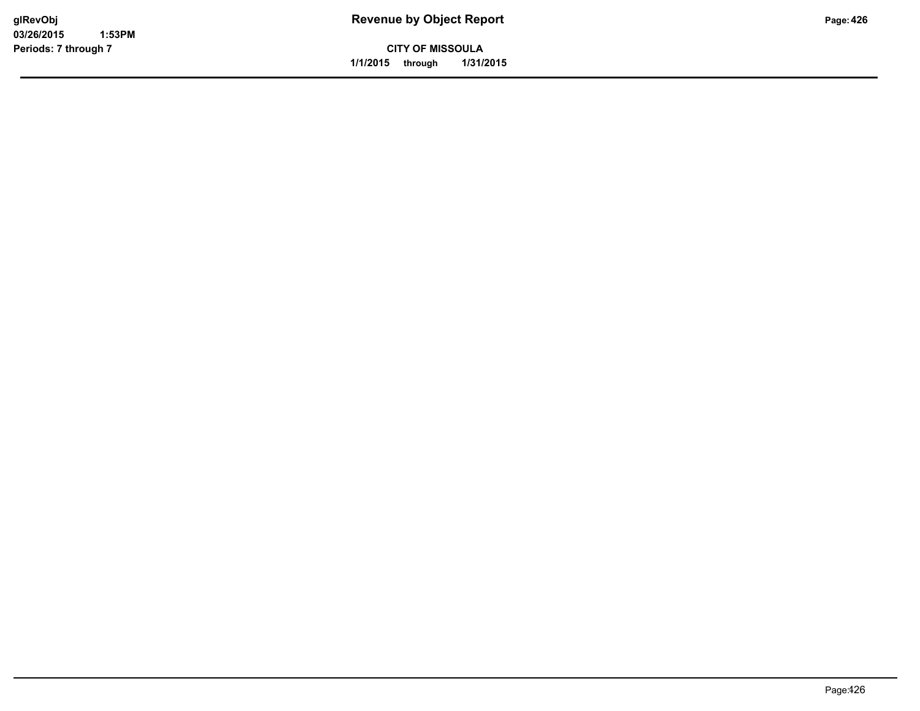**CITY OF MISSOULA 1/1/2015 through 1/31/2015**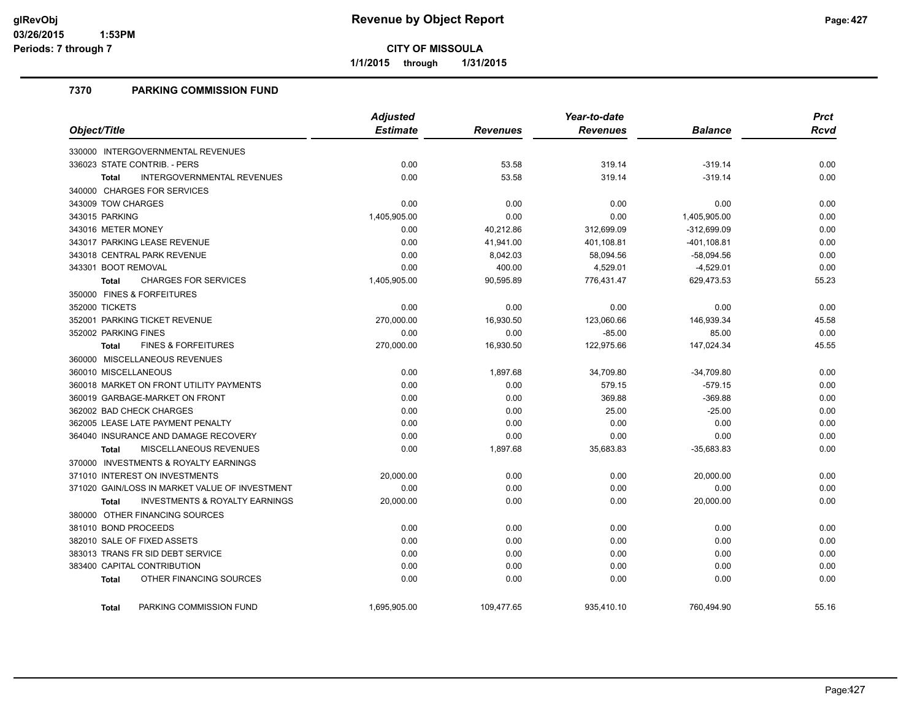**1/1/2015 through 1/31/2015**

## **7370 PARKING COMMISSION FUND**

|                                                           | <b>Adjusted</b> |                 | Year-to-date    |                | <b>Prct</b> |
|-----------------------------------------------------------|-----------------|-----------------|-----------------|----------------|-------------|
| Object/Title                                              | <b>Estimate</b> | <b>Revenues</b> | <b>Revenues</b> | <b>Balance</b> | <b>Rcvd</b> |
| 330000 INTERGOVERNMENTAL REVENUES                         |                 |                 |                 |                |             |
| 336023 STATE CONTRIB. - PERS                              | 0.00            | 53.58           | 319.14          | $-319.14$      | 0.00        |
| <b>INTERGOVERNMENTAL REVENUES</b><br><b>Total</b>         | 0.00            | 53.58           | 319.14          | $-319.14$      | 0.00        |
| 340000 CHARGES FOR SERVICES                               |                 |                 |                 |                |             |
| 343009 TOW CHARGES                                        | 0.00            | 0.00            | 0.00            | 0.00           | 0.00        |
| 343015 PARKING                                            | 1,405,905.00    | 0.00            | 0.00            | 1,405,905.00   | 0.00        |
| 343016 METER MONEY                                        | 0.00            | 40,212.86       | 312,699.09      | -312,699.09    | 0.00        |
| 343017 PARKING LEASE REVENUE                              | 0.00            | 41,941.00       | 401,108.81      | -401,108.81    | 0.00        |
| 343018 CENTRAL PARK REVENUE                               | 0.00            | 8,042.03        | 58,094.56       | $-58,094.56$   | 0.00        |
| 343301 BOOT REMOVAL                                       | 0.00            | 400.00          | 4,529.01        | $-4,529.01$    | 0.00        |
| <b>CHARGES FOR SERVICES</b><br><b>Total</b>               | 1,405,905.00    | 90,595.89       | 776,431.47      | 629,473.53     | 55.23       |
| 350000 FINES & FORFEITURES                                |                 |                 |                 |                |             |
| 352000 TICKETS                                            | 0.00            | 0.00            | 0.00            | 0.00           | 0.00        |
| 352001 PARKING TICKET REVENUE                             | 270,000.00      | 16,930.50       | 123,060.66      | 146,939.34     | 45.58       |
| 352002 PARKING FINES                                      | 0.00            | 0.00            | $-85.00$        | 85.00          | 0.00        |
| <b>FINES &amp; FORFEITURES</b><br><b>Total</b>            | 270,000.00      | 16,930.50       | 122,975.66      | 147,024.34     | 45.55       |
| 360000 MISCELLANEOUS REVENUES                             |                 |                 |                 |                |             |
| 360010 MISCELLANEOUS                                      | 0.00            | 1,897.68        | 34,709.80       | $-34,709.80$   | 0.00        |
| 360018 MARKET ON FRONT UTILITY PAYMENTS                   | 0.00            | 0.00            | 579.15          | $-579.15$      | 0.00        |
| 360019 GARBAGE-MARKET ON FRONT                            | 0.00            | 0.00            | 369.88          | $-369.88$      | 0.00        |
| 362002 BAD CHECK CHARGES                                  | 0.00            | 0.00            | 25.00           | $-25.00$       | 0.00        |
| 362005 LEASE LATE PAYMENT PENALTY                         | 0.00            | 0.00            | 0.00            | 0.00           | 0.00        |
| 364040 INSURANCE AND DAMAGE RECOVERY                      | 0.00            | 0.00            | 0.00            | 0.00           | 0.00        |
| MISCELLANEOUS REVENUES<br><b>Total</b>                    | 0.00            | 1,897.68        | 35,683.83       | $-35,683.83$   | 0.00        |
| 370000 INVESTMENTS & ROYALTY EARNINGS                     |                 |                 |                 |                |             |
| 371010 INTEREST ON INVESTMENTS                            | 20,000.00       | 0.00            | 0.00            | 20,000.00      | 0.00        |
| 371020 GAIN/LOSS IN MARKET VALUE OF INVESTMENT            | 0.00            | 0.00            | 0.00            | 0.00           | 0.00        |
| <b>INVESTMENTS &amp; ROYALTY EARNINGS</b><br><b>Total</b> | 20,000.00       | 0.00            | 0.00            | 20,000.00      | 0.00        |
| 380000 OTHER FINANCING SOURCES                            |                 |                 |                 |                |             |
| 381010 BOND PROCEEDS                                      | 0.00            | 0.00            | 0.00            | 0.00           | 0.00        |
| 382010 SALE OF FIXED ASSETS                               | 0.00            | 0.00            | 0.00            | 0.00           | 0.00        |
| 383013 TRANS FR SID DEBT SERVICE                          | 0.00            | 0.00            | 0.00            | 0.00           | 0.00        |
| 383400 CAPITAL CONTRIBUTION                               | 0.00            | 0.00            | 0.00            | 0.00           | 0.00        |
| OTHER FINANCING SOURCES<br><b>Total</b>                   | 0.00            | 0.00            | 0.00            | 0.00           | 0.00        |
| PARKING COMMISSION FUND<br><b>Total</b>                   | 1,695,905.00    | 109,477.65      | 935,410.10      | 760,494.90     | 55.16       |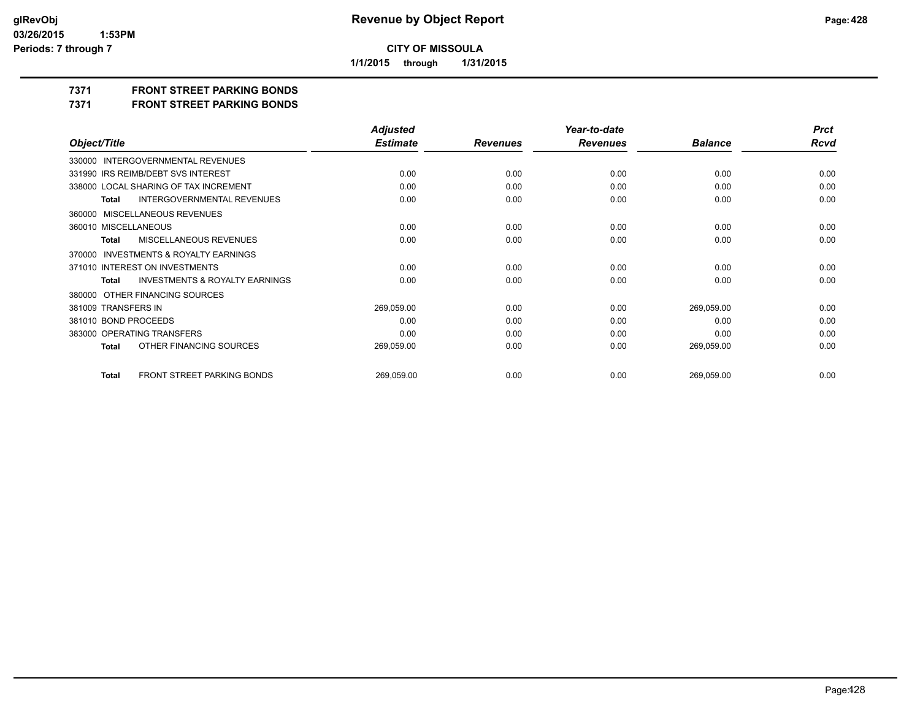**1/1/2015 through 1/31/2015**

### **7371 FRONT STREET PARKING BONDS**

**7371 FRONT STREET PARKING BONDS**

|                                                           | <b>Adjusted</b> |                 | Year-to-date    |                | <b>Prct</b> |
|-----------------------------------------------------------|-----------------|-----------------|-----------------|----------------|-------------|
| Object/Title                                              | <b>Estimate</b> | <b>Revenues</b> | <b>Revenues</b> | <b>Balance</b> | Rcvd        |
| 330000 INTERGOVERNMENTAL REVENUES                         |                 |                 |                 |                |             |
| 331990 IRS REIMB/DEBT SVS INTEREST                        | 0.00            | 0.00            | 0.00            | 0.00           | 0.00        |
| 338000 LOCAL SHARING OF TAX INCREMENT                     | 0.00            | 0.00            | 0.00            | 0.00           | 0.00        |
| <b>INTERGOVERNMENTAL REVENUES</b><br>Total                | 0.00            | 0.00            | 0.00            | 0.00           | 0.00        |
| 360000 MISCELLANEOUS REVENUES                             |                 |                 |                 |                |             |
| 360010 MISCELLANEOUS                                      | 0.00            | 0.00            | 0.00            | 0.00           | 0.00        |
| MISCELLANEOUS REVENUES<br>Total                           | 0.00            | 0.00            | 0.00            | 0.00           | 0.00        |
| 370000 INVESTMENTS & ROYALTY EARNINGS                     |                 |                 |                 |                |             |
| 371010 INTEREST ON INVESTMENTS                            | 0.00            | 0.00            | 0.00            | 0.00           | 0.00        |
| <b>INVESTMENTS &amp; ROYALTY EARNINGS</b><br><b>Total</b> | 0.00            | 0.00            | 0.00            | 0.00           | 0.00        |
| 380000 OTHER FINANCING SOURCES                            |                 |                 |                 |                |             |
| 381009 TRANSFERS IN                                       | 269,059.00      | 0.00            | 0.00            | 269,059.00     | 0.00        |
| 381010 BOND PROCEEDS                                      | 0.00            | 0.00            | 0.00            | 0.00           | 0.00        |
| 383000 OPERATING TRANSFERS                                | 0.00            | 0.00            | 0.00            | 0.00           | 0.00        |
| OTHER FINANCING SOURCES<br>Total                          | 269,059.00      | 0.00            | 0.00            | 269,059.00     | 0.00        |
|                                                           |                 |                 |                 |                |             |
| FRONT STREET PARKING BONDS<br><b>Total</b>                | 269,059.00      | 0.00            | 0.00            | 269,059.00     | 0.00        |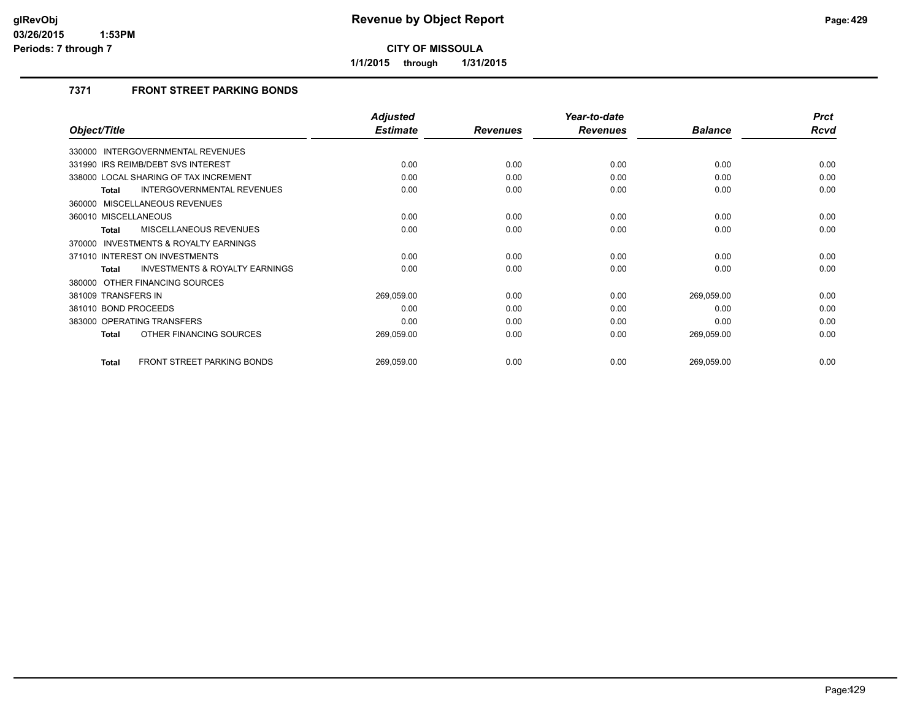**1/1/2015 through 1/31/2015**

## **7371 FRONT STREET PARKING BONDS**

|                                                     | <b>Adjusted</b> |                 | Year-to-date    |                | <b>Prct</b> |
|-----------------------------------------------------|-----------------|-----------------|-----------------|----------------|-------------|
| Object/Title                                        | <b>Estimate</b> | <b>Revenues</b> | <b>Revenues</b> | <b>Balance</b> | Rcvd        |
| INTERGOVERNMENTAL REVENUES<br>330000                |                 |                 |                 |                |             |
| 331990 IRS REIMB/DEBT SVS INTEREST                  | 0.00            | 0.00            | 0.00            | 0.00           | 0.00        |
| 338000 LOCAL SHARING OF TAX INCREMENT               | 0.00            | 0.00            | 0.00            | 0.00           | 0.00        |
| <b>INTERGOVERNMENTAL REVENUES</b><br><b>Total</b>   | 0.00            | 0.00            | 0.00            | 0.00           | 0.00        |
| 360000 MISCELLANEOUS REVENUES                       |                 |                 |                 |                |             |
| 360010 MISCELLANEOUS                                | 0.00            | 0.00            | 0.00            | 0.00           | 0.00        |
| MISCELLANEOUS REVENUES<br><b>Total</b>              | 0.00            | 0.00            | 0.00            | 0.00           | 0.00        |
| <b>INVESTMENTS &amp; ROYALTY EARNINGS</b><br>370000 |                 |                 |                 |                |             |
| 371010 INTEREST ON INVESTMENTS                      | 0.00            | 0.00            | 0.00            | 0.00           | 0.00        |
| INVESTMENTS & ROYALTY EARNINGS<br><b>Total</b>      | 0.00            | 0.00            | 0.00            | 0.00           | 0.00        |
| 380000 OTHER FINANCING SOURCES                      |                 |                 |                 |                |             |
| 381009 TRANSFERS IN                                 | 269,059.00      | 0.00            | 0.00            | 269,059.00     | 0.00        |
| 381010 BOND PROCEEDS                                | 0.00            | 0.00            | 0.00            | 0.00           | 0.00        |
| 383000 OPERATING TRANSFERS                          | 0.00            | 0.00            | 0.00            | 0.00           | 0.00        |
| OTHER FINANCING SOURCES<br><b>Total</b>             | 269,059.00      | 0.00            | 0.00            | 269,059.00     | 0.00        |
| FRONT STREET PARKING BONDS<br><b>Total</b>          | 269,059.00      | 0.00            | 0.00            | 269,059.00     | 0.00        |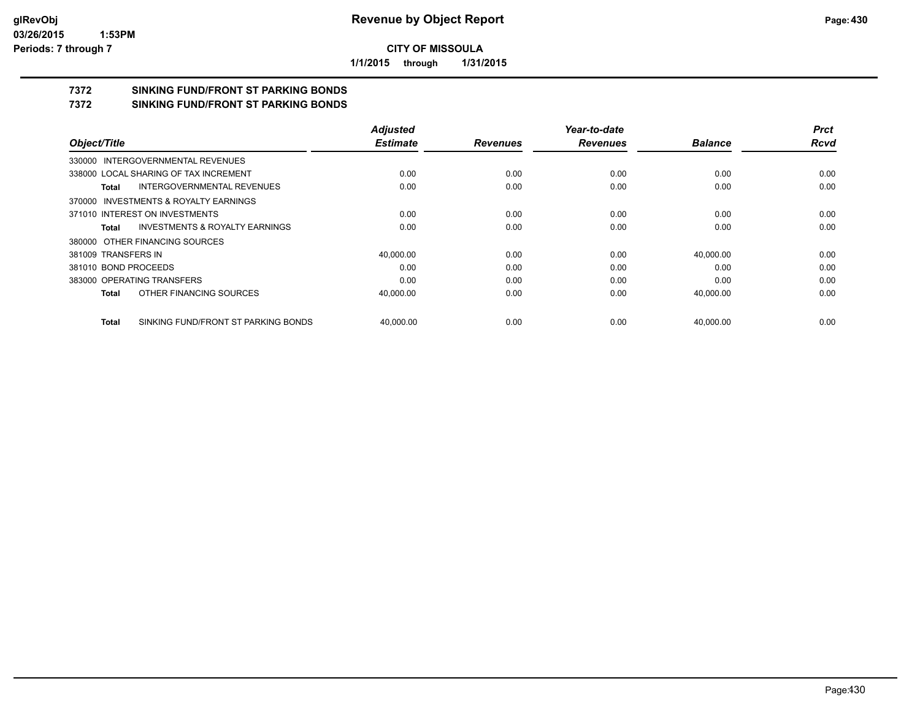**1/1/2015 through 1/31/2015**

# **7372 SINKING FUND/FRONT ST PARKING BONDS**

**7372 SINKING FUND/FRONT ST PARKING BONDS**

|                                              | <b>Adjusted</b> |                 | Year-to-date    |                | <b>Prct</b> |
|----------------------------------------------|-----------------|-----------------|-----------------|----------------|-------------|
| Object/Title                                 | <b>Estimate</b> | <b>Revenues</b> | <b>Revenues</b> | <b>Balance</b> | <b>Rcvd</b> |
| 330000 INTERGOVERNMENTAL REVENUES            |                 |                 |                 |                |             |
| 338000 LOCAL SHARING OF TAX INCREMENT        | 0.00            | 0.00            | 0.00            | 0.00           | 0.00        |
| INTERGOVERNMENTAL REVENUES<br>Total          | 0.00            | 0.00            | 0.00            | 0.00           | 0.00        |
| 370000 INVESTMENTS & ROYALTY EARNINGS        |                 |                 |                 |                |             |
| 371010 INTEREST ON INVESTMENTS               | 0.00            | 0.00            | 0.00            | 0.00           | 0.00        |
| INVESTMENTS & ROYALTY EARNINGS<br>Total      | 0.00            | 0.00            | 0.00            | 0.00           | 0.00        |
| 380000 OTHER FINANCING SOURCES               |                 |                 |                 |                |             |
| 381009 TRANSFERS IN                          | 40,000.00       | 0.00            | 0.00            | 40,000.00      | 0.00        |
| 381010 BOND PROCEEDS                         | 0.00            | 0.00            | 0.00            | 0.00           | 0.00        |
| 383000 OPERATING TRANSFERS                   | 0.00            | 0.00            | 0.00            | 0.00           | 0.00        |
| OTHER FINANCING SOURCES<br>Total             | 40,000.00       | 0.00            | 0.00            | 40,000.00      | 0.00        |
| SINKING FUND/FRONT ST PARKING BONDS<br>Total | 40.000.00       | 0.00            | 0.00            | 40.000.00      | 0.00        |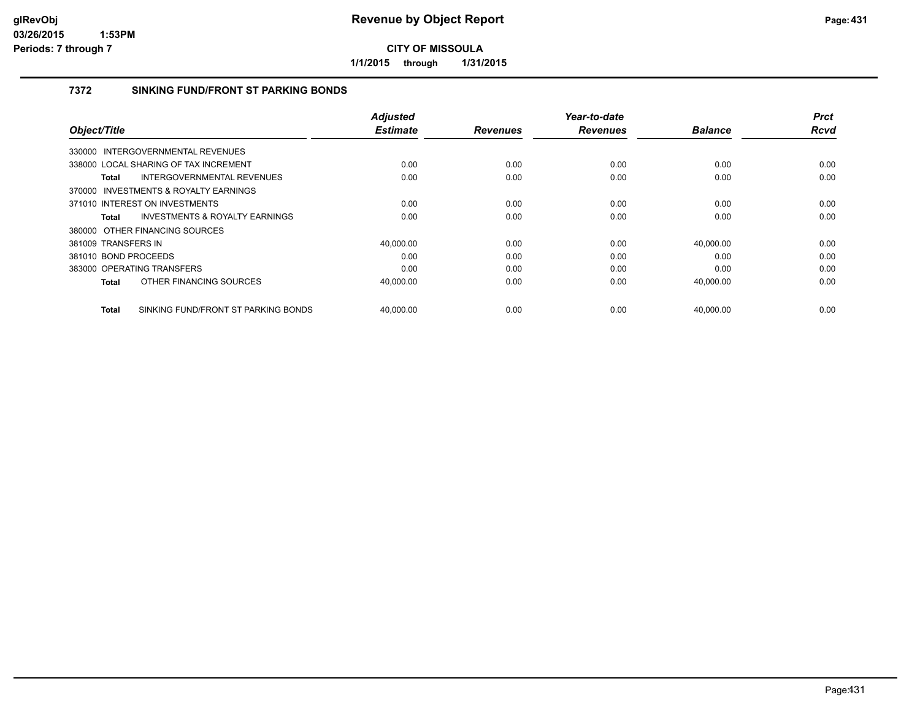**1/1/2015 through 1/31/2015**

### **7372 SINKING FUND/FRONT ST PARKING BONDS**

| Object/Title                                        | <b>Adjusted</b><br><b>Estimate</b> | <b>Revenues</b> | Year-to-date<br><b>Revenues</b> | <b>Balance</b> | <b>Prct</b><br><b>Rcvd</b> |
|-----------------------------------------------------|------------------------------------|-----------------|---------------------------------|----------------|----------------------------|
|                                                     |                                    |                 |                                 |                |                            |
| 330000 INTERGOVERNMENTAL REVENUES                   |                                    |                 |                                 |                |                            |
| 338000 LOCAL SHARING OF TAX INCREMENT               | 0.00                               | 0.00            | 0.00                            | 0.00           | 0.00                       |
| <b>INTERGOVERNMENTAL REVENUES</b><br><b>Total</b>   | 0.00                               | 0.00            | 0.00                            | 0.00           | 0.00                       |
| INVESTMENTS & ROYALTY EARNINGS<br>370000            |                                    |                 |                                 |                |                            |
| 371010 INTEREST ON INVESTMENTS                      | 0.00                               | 0.00            | 0.00                            | 0.00           | 0.00                       |
| <b>INVESTMENTS &amp; ROYALTY EARNINGS</b><br>Total  | 0.00                               | 0.00            | 0.00                            | 0.00           | 0.00                       |
| 380000 OTHER FINANCING SOURCES                      |                                    |                 |                                 |                |                            |
| 381009 TRANSFERS IN                                 | 40,000.00                          | 0.00            | 0.00                            | 40,000.00      | 0.00                       |
| 381010 BOND PROCEEDS                                | 0.00                               | 0.00            | 0.00                            | 0.00           | 0.00                       |
| 383000 OPERATING TRANSFERS                          | 0.00                               | 0.00            | 0.00                            | 0.00           | 0.00                       |
| OTHER FINANCING SOURCES<br><b>Total</b>             | 40,000.00                          | 0.00            | 0.00                            | 40,000.00      | 0.00                       |
| SINKING FUND/FRONT ST PARKING BONDS<br><b>Total</b> | 40,000.00                          | 0.00            | 0.00                            | 40,000.00      | 0.00                       |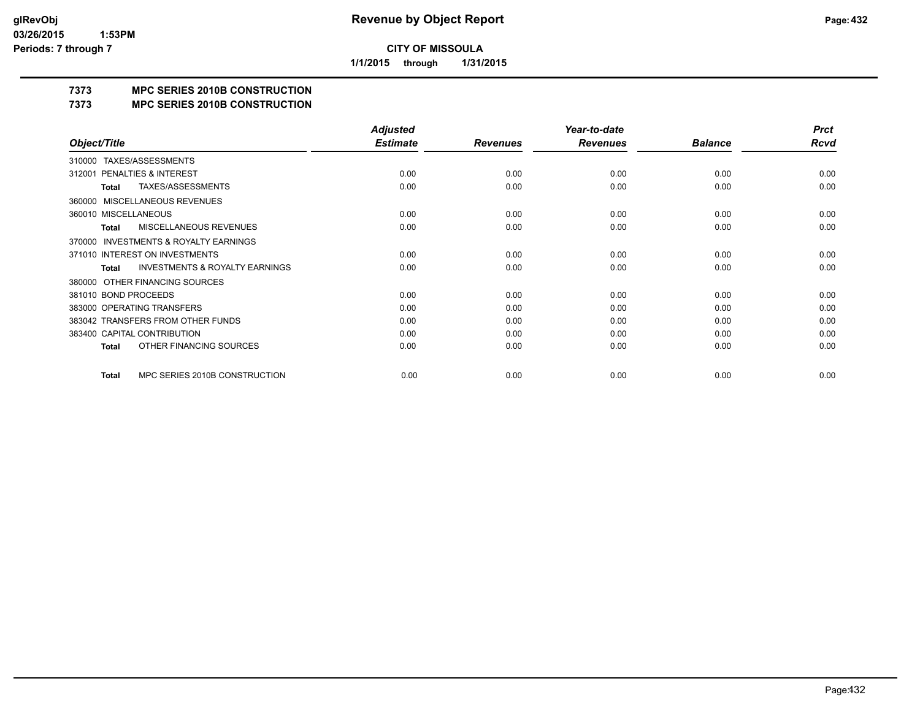**1/1/2015 through 1/31/2015**

## **7373 MPC SERIES 2010B CONSTRUCTION**

#### **7373 MPC SERIES 2010B CONSTRUCTION**

|                                                     | <b>Adjusted</b> |                 | Year-to-date    |                | <b>Prct</b> |
|-----------------------------------------------------|-----------------|-----------------|-----------------|----------------|-------------|
| Object/Title                                        | <b>Estimate</b> | <b>Revenues</b> | <b>Revenues</b> | <b>Balance</b> | <b>Rcvd</b> |
| TAXES/ASSESSMENTS<br>310000                         |                 |                 |                 |                |             |
| <b>PENALTIES &amp; INTEREST</b><br>312001           | 0.00            | 0.00            | 0.00            | 0.00           | 0.00        |
| <b>TAXES/ASSESSMENTS</b><br>Total                   | 0.00            | 0.00            | 0.00            | 0.00           | 0.00        |
| <b>MISCELLANEOUS REVENUES</b><br>360000             |                 |                 |                 |                |             |
| 360010 MISCELLANEOUS                                | 0.00            | 0.00            | 0.00            | 0.00           | 0.00        |
| MISCELLANEOUS REVENUES<br>Total                     | 0.00            | 0.00            | 0.00            | 0.00           | 0.00        |
| <b>INVESTMENTS &amp; ROYALTY EARNINGS</b><br>370000 |                 |                 |                 |                |             |
| 371010 INTEREST ON INVESTMENTS                      | 0.00            | 0.00            | 0.00            | 0.00           | 0.00        |
| <b>INVESTMENTS &amp; ROYALTY EARNINGS</b><br>Total  | 0.00            | 0.00            | 0.00            | 0.00           | 0.00        |
| OTHER FINANCING SOURCES<br>380000                   |                 |                 |                 |                |             |
| 381010 BOND PROCEEDS                                | 0.00            | 0.00            | 0.00            | 0.00           | 0.00        |
| 383000 OPERATING TRANSFERS                          | 0.00            | 0.00            | 0.00            | 0.00           | 0.00        |
| 383042 TRANSFERS FROM OTHER FUNDS                   | 0.00            | 0.00            | 0.00            | 0.00           | 0.00        |
| 383400 CAPITAL CONTRIBUTION                         | 0.00            | 0.00            | 0.00            | 0.00           | 0.00        |
| OTHER FINANCING SOURCES<br>Total                    | 0.00            | 0.00            | 0.00            | 0.00           | 0.00        |
| MPC SERIES 2010B CONSTRUCTION<br>Total              | 0.00            | 0.00            | 0.00            | 0.00           | 0.00        |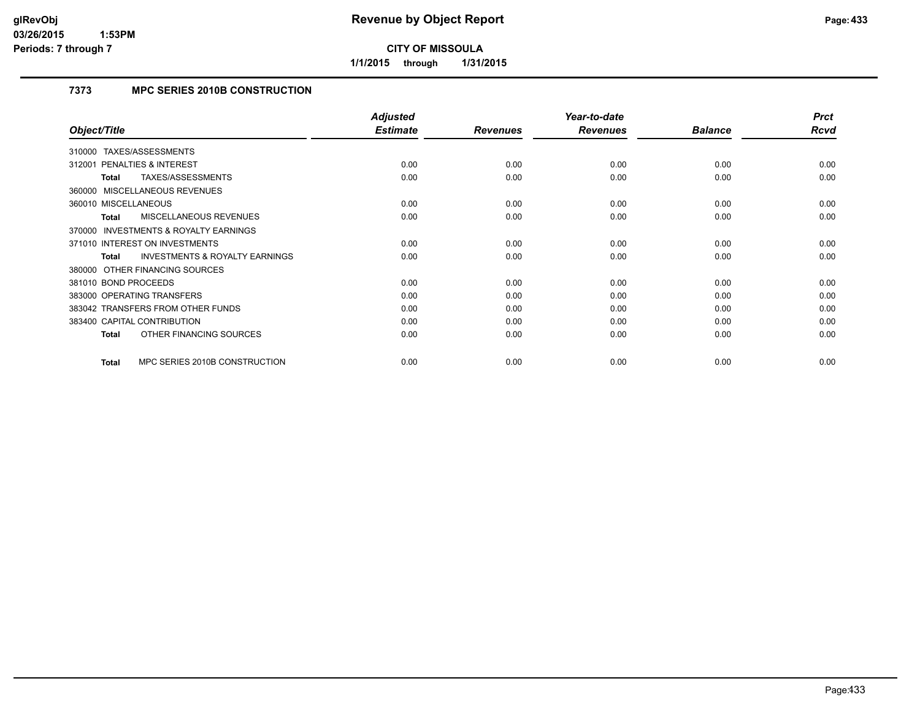**1/1/2015 through 1/31/2015**

## **7373 MPC SERIES 2010B CONSTRUCTION**

|                                                    | <b>Adjusted</b> |                 | Year-to-date    |                | <b>Prct</b> |
|----------------------------------------------------|-----------------|-----------------|-----------------|----------------|-------------|
| Object/Title                                       | <b>Estimate</b> | <b>Revenues</b> | <b>Revenues</b> | <b>Balance</b> | Rcvd        |
| TAXES/ASSESSMENTS<br>310000                        |                 |                 |                 |                |             |
| <b>PENALTIES &amp; INTEREST</b><br>312001          | 0.00            | 0.00            | 0.00            | 0.00           | 0.00        |
| TAXES/ASSESSMENTS<br>Total                         | 0.00            | 0.00            | 0.00            | 0.00           | 0.00        |
| 360000 MISCELLANEOUS REVENUES                      |                 |                 |                 |                |             |
| 360010 MISCELLANEOUS                               | 0.00            | 0.00            | 0.00            | 0.00           | 0.00        |
| MISCELLANEOUS REVENUES<br>Total                    | 0.00            | 0.00            | 0.00            | 0.00           | 0.00        |
| 370000 INVESTMENTS & ROYALTY EARNINGS              |                 |                 |                 |                |             |
| 371010 INTEREST ON INVESTMENTS                     | 0.00            | 0.00            | 0.00            | 0.00           | 0.00        |
| <b>INVESTMENTS &amp; ROYALTY EARNINGS</b><br>Total | 0.00            | 0.00            | 0.00            | 0.00           | 0.00        |
| 380000 OTHER FINANCING SOURCES                     |                 |                 |                 |                |             |
| 381010 BOND PROCEEDS                               | 0.00            | 0.00            | 0.00            | 0.00           | 0.00        |
| 383000 OPERATING TRANSFERS                         | 0.00            | 0.00            | 0.00            | 0.00           | 0.00        |
| 383042 TRANSFERS FROM OTHER FUNDS                  | 0.00            | 0.00            | 0.00            | 0.00           | 0.00        |
| 383400 CAPITAL CONTRIBUTION                        | 0.00            | 0.00            | 0.00            | 0.00           | 0.00        |
| OTHER FINANCING SOURCES<br><b>Total</b>            | 0.00            | 0.00            | 0.00            | 0.00           | 0.00        |
| MPC SERIES 2010B CONSTRUCTION<br><b>Total</b>      | 0.00            | 0.00            | 0.00            | 0.00           | 0.00        |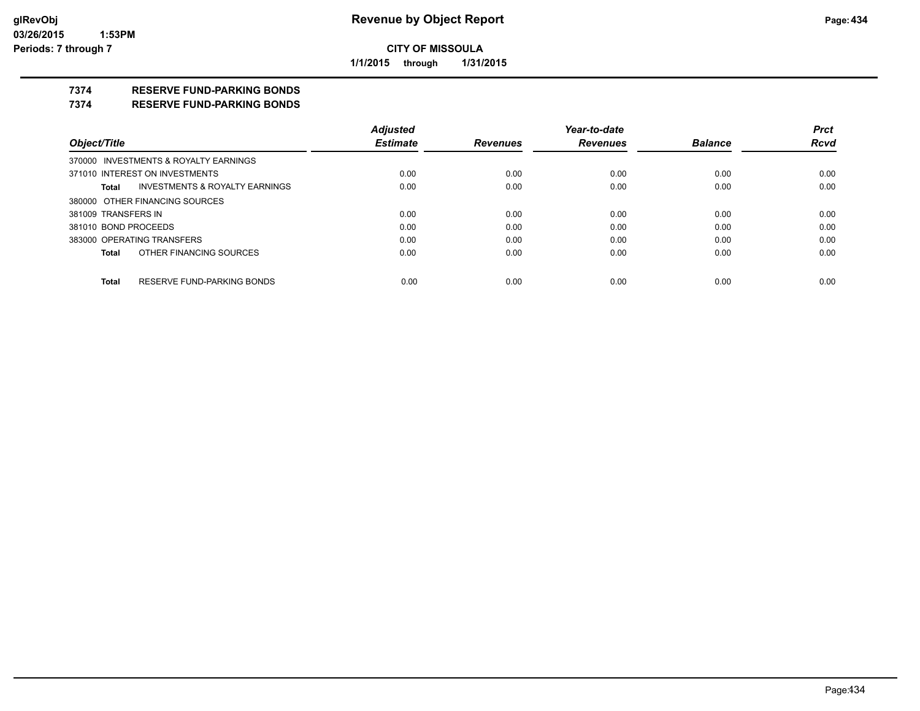**1/1/2015 through 1/31/2015**

## **7374 RESERVE FUND-PARKING BONDS**

#### **7374 RESERVE FUND-PARKING BONDS**

|                                                    | <b>Adjusted</b> |                 | Year-to-date    |                | <b>Prct</b> |
|----------------------------------------------------|-----------------|-----------------|-----------------|----------------|-------------|
| Object/Title                                       | <b>Estimate</b> | <b>Revenues</b> | <b>Revenues</b> | <b>Balance</b> | <b>Rcvd</b> |
| 370000 INVESTMENTS & ROYALTY EARNINGS              |                 |                 |                 |                |             |
| 371010 INTEREST ON INVESTMENTS                     | 0.00            | 0.00            | 0.00            | 0.00           | 0.00        |
| <b>INVESTMENTS &amp; ROYALTY EARNINGS</b><br>Total | 0.00            | 0.00            | 0.00            | 0.00           | 0.00        |
| 380000 OTHER FINANCING SOURCES                     |                 |                 |                 |                |             |
| 381009 TRANSFERS IN                                | 0.00            | 0.00            | 0.00            | 0.00           | 0.00        |
| 381010 BOND PROCEEDS                               | 0.00            | 0.00            | 0.00            | 0.00           | 0.00        |
| 383000 OPERATING TRANSFERS                         | 0.00            | 0.00            | 0.00            | 0.00           | 0.00        |
| OTHER FINANCING SOURCES<br>Total                   | 0.00            | 0.00            | 0.00            | 0.00           | 0.00        |
| RESERVE FUND-PARKING BONDS                         |                 |                 |                 |                |             |
| Total                                              | 0.00            | 0.00            | 0.00            | 0.00           | 0.00        |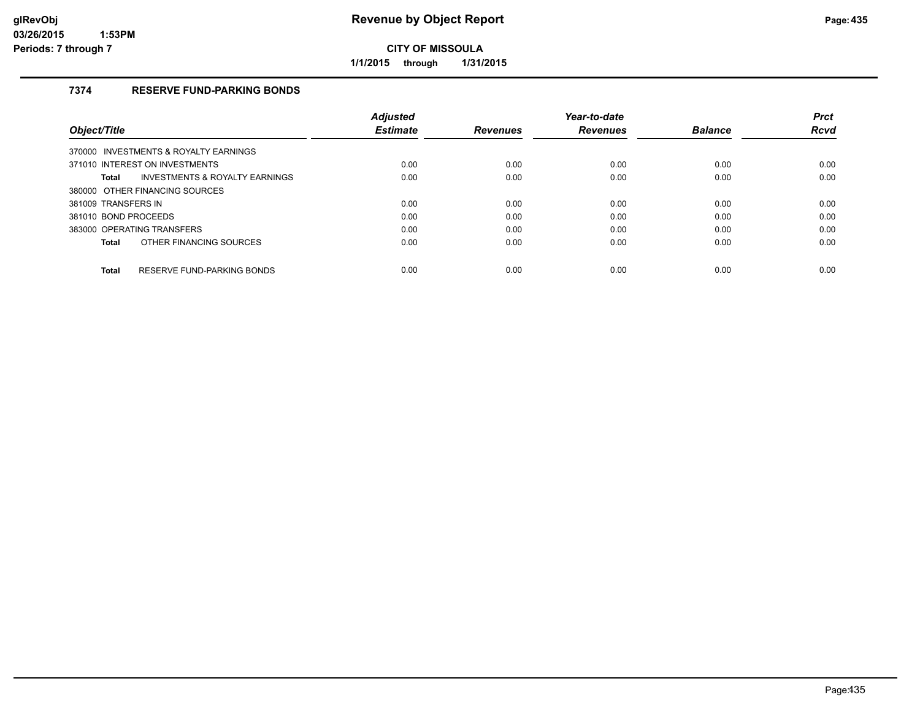**1/1/2015 through 1/31/2015**

## **7374 RESERVE FUND-PARKING BONDS**

|                                                           | <b>Adiusted</b> |                 | Year-to-date    |                | <b>Prct</b> |
|-----------------------------------------------------------|-----------------|-----------------|-----------------|----------------|-------------|
| Object/Title                                              | <b>Estimate</b> | <b>Revenues</b> | <b>Revenues</b> | <b>Balance</b> | <b>Rcvd</b> |
| 370000 INVESTMENTS & ROYALTY EARNINGS                     |                 |                 |                 |                |             |
| 371010 INTEREST ON INVESTMENTS                            | 0.00            | 0.00            | 0.00            | 0.00           | 0.00        |
| <b>INVESTMENTS &amp; ROYALTY EARNINGS</b><br><b>Total</b> | 0.00            | 0.00            | 0.00            | 0.00           | 0.00        |
| 380000 OTHER FINANCING SOURCES                            |                 |                 |                 |                |             |
| 381009 TRANSFERS IN                                       | 0.00            | 0.00            | 0.00            | 0.00           | 0.00        |
| 381010 BOND PROCEEDS                                      | 0.00            | 0.00            | 0.00            | 0.00           | 0.00        |
| 383000 OPERATING TRANSFERS                                | 0.00            | 0.00            | 0.00            | 0.00           | 0.00        |
| OTHER FINANCING SOURCES<br><b>Total</b>                   | 0.00            | 0.00            | 0.00            | 0.00           | 0.00        |
| RESERVE FUND-PARKING BONDS<br><b>Total</b>                | 0.00            | 0.00            | 0.00            | 0.00           | 0.00        |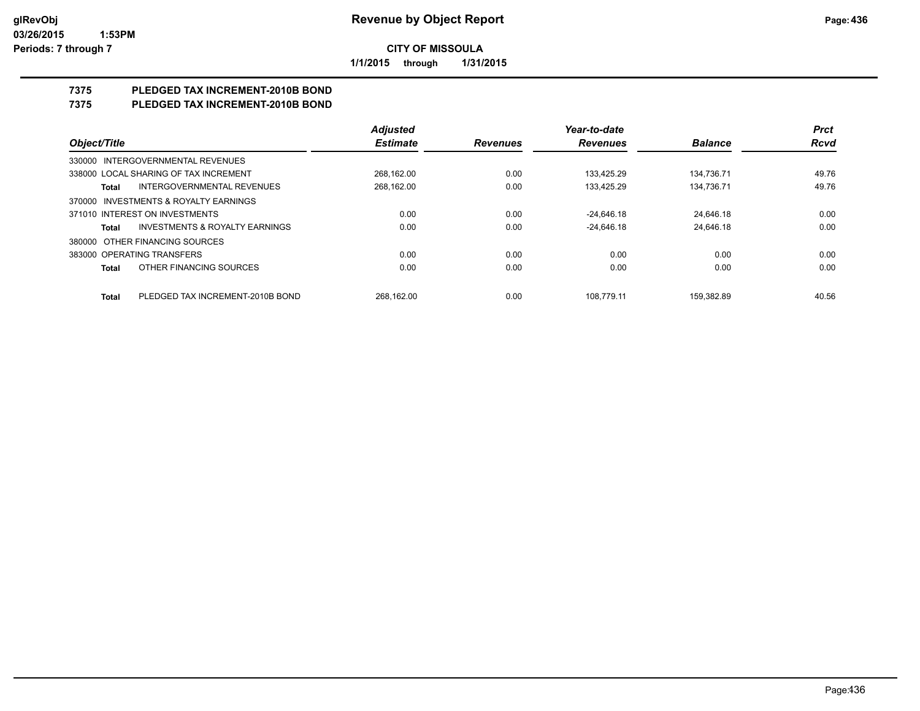**1/1/2015 through 1/31/2015**

# **7375 PLEDGED TAX INCREMENT-2010B BOND**

## **7375 PLEDGED TAX INCREMENT-2010B BOND**

|                                                    | <b>Adjusted</b> |                 | Year-to-date    |                | <b>Prct</b> |
|----------------------------------------------------|-----------------|-----------------|-----------------|----------------|-------------|
| Object/Title                                       | <b>Estimate</b> | <b>Revenues</b> | <b>Revenues</b> | <b>Balance</b> | <b>Rcvd</b> |
| INTERGOVERNMENTAL REVENUES<br>330000               |                 |                 |                 |                |             |
| 338000 LOCAL SHARING OF TAX INCREMENT              | 268,162.00      | 0.00            | 133,425.29      | 134,736.71     | 49.76       |
| <b>INTERGOVERNMENTAL REVENUES</b><br>Total         | 268.162.00      | 0.00            | 133.425.29      | 134.736.71     | 49.76       |
| INVESTMENTS & ROYALTY EARNINGS<br>370000           |                 |                 |                 |                |             |
| 371010 INTEREST ON INVESTMENTS                     | 0.00            | 0.00            | $-24.646.18$    | 24.646.18      | 0.00        |
| <b>INVESTMENTS &amp; ROYALTY EARNINGS</b><br>Total | 0.00            | 0.00            | $-24.646.18$    | 24.646.18      | 0.00        |
| OTHER FINANCING SOURCES<br>380000                  |                 |                 |                 |                |             |
| 383000 OPERATING TRANSFERS                         | 0.00            | 0.00            | 0.00            | 0.00           | 0.00        |
| OTHER FINANCING SOURCES<br>Total                   | 0.00            | 0.00            | 0.00            | 0.00           | 0.00        |
| PLEDGED TAX INCREMENT-2010B BOND<br><b>Total</b>   | 268.162.00      | 0.00            | 108.779.11      | 159.382.89     | 40.56       |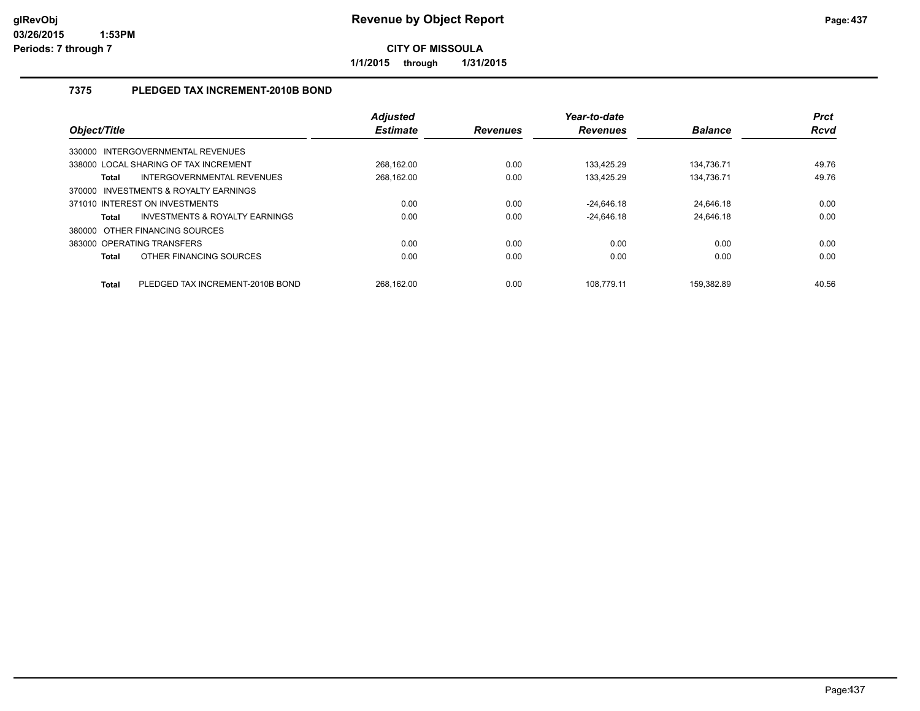**1/1/2015 through 1/31/2015**

## **7375 PLEDGED TAX INCREMENT-2010B BOND**

| Object/Title |                                       | <b>Adjusted</b><br><b>Estimate</b> | <b>Revenues</b> | Year-to-date<br><b>Revenues</b> | <b>Balance</b> | <b>Prct</b><br><b>Rcvd</b> |
|--------------|---------------------------------------|------------------------------------|-----------------|---------------------------------|----------------|----------------------------|
| 330000       | INTERGOVERNMENTAL REVENUES            |                                    |                 |                                 |                |                            |
|              | 338000 LOCAL SHARING OF TAX INCREMENT | 268.162.00                         | 0.00            | 133.425.29                      | 134.736.71     | 49.76                      |
| Total        | INTERGOVERNMENTAL REVENUES            | 268,162.00                         | 0.00            | 133.425.29                      | 134.736.71     | 49.76                      |
| 370000       | INVESTMENTS & ROYALTY EARNINGS        |                                    |                 |                                 |                |                            |
|              | 371010 INTEREST ON INVESTMENTS        | 0.00                               | 0.00            | $-24.646.18$                    | 24.646.18      | 0.00                       |
| <b>Total</b> | INVESTMENTS & ROYALTY EARNINGS        | 0.00                               | 0.00            | $-24.646.18$                    | 24.646.18      | 0.00                       |
|              | 380000 OTHER FINANCING SOURCES        |                                    |                 |                                 |                |                            |
|              | 383000 OPERATING TRANSFERS            | 0.00                               | 0.00            | 0.00                            | 0.00           | 0.00                       |
| <b>Total</b> | OTHER FINANCING SOURCES               | 0.00                               | 0.00            | 0.00                            | 0.00           | 0.00                       |
| <b>Total</b> | PLEDGED TAX INCREMENT-2010B BOND      | 268.162.00                         | 0.00            | 108.779.11                      | 159.382.89     | 40.56                      |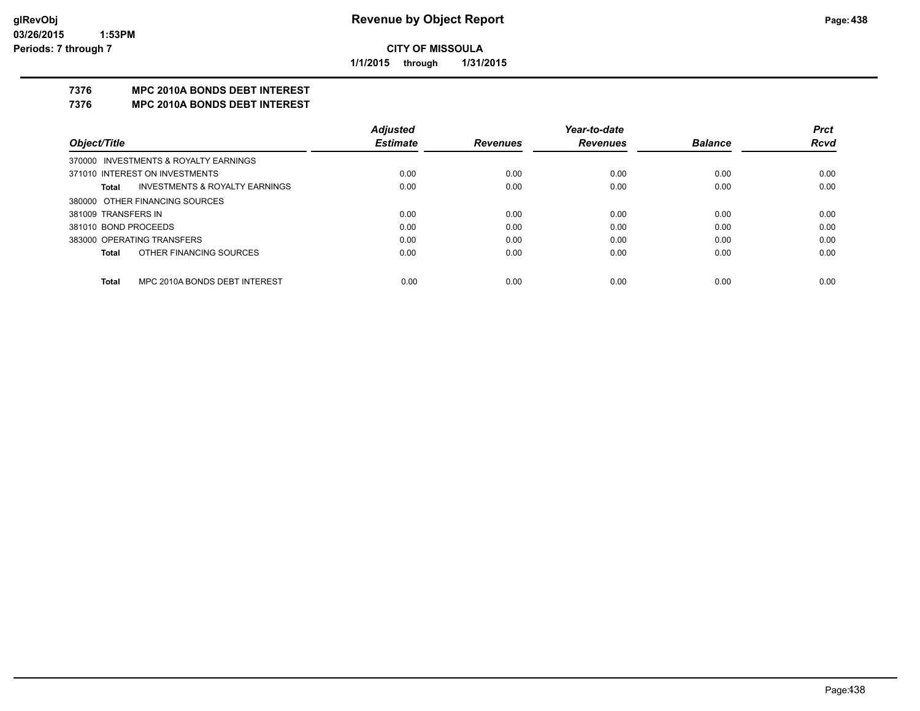**1/1/2015 through 1/31/2015**

## **7376 MPC 2010A BONDS DEBT INTEREST**

#### **7376 MPC 2010A BONDS DEBT INTEREST**

|                            |                                           | <b>Adjusted</b> |                 | Year-to-date    |                | <b>Prct</b> |
|----------------------------|-------------------------------------------|-----------------|-----------------|-----------------|----------------|-------------|
| Object/Title               |                                           | <b>Estimate</b> | <b>Revenues</b> | <b>Revenues</b> | <b>Balance</b> | <b>Rcvd</b> |
|                            | 370000 INVESTMENTS & ROYALTY EARNINGS     |                 |                 |                 |                |             |
|                            | 371010 INTEREST ON INVESTMENTS            | 0.00            | 0.00            | 0.00            | 0.00           | 0.00        |
| Total                      | <b>INVESTMENTS &amp; ROYALTY EARNINGS</b> | 0.00            | 0.00            | 0.00            | 0.00           | 0.00        |
|                            | 380000 OTHER FINANCING SOURCES            |                 |                 |                 |                |             |
| 381009 TRANSFERS IN        |                                           | 0.00            | 0.00            | 0.00            | 0.00           | 0.00        |
| 381010 BOND PROCEEDS       |                                           | 0.00            | 0.00            | 0.00            | 0.00           | 0.00        |
| 383000 OPERATING TRANSFERS |                                           | 0.00            | 0.00            | 0.00            | 0.00           | 0.00        |
| Total                      | OTHER FINANCING SOURCES                   | 0.00            | 0.00            | 0.00            | 0.00           | 0.00        |
|                            |                                           |                 |                 |                 |                |             |
| Total                      | MPC 2010A BONDS DEBT INTEREST             | 0.00            | 0.00            | 0.00            | 0.00           | 0.00        |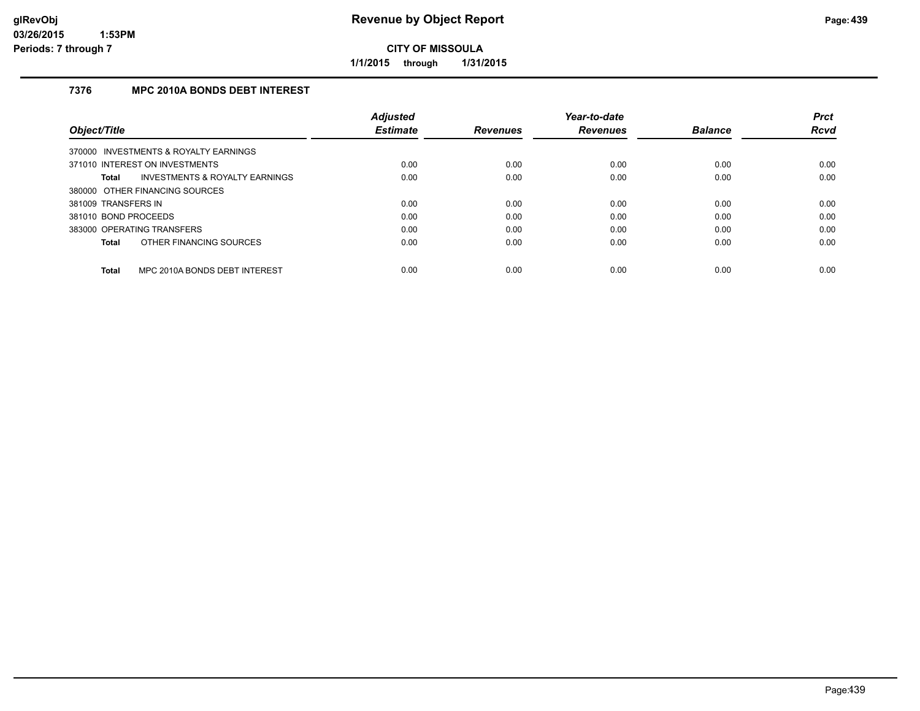**1/1/2015 through 1/31/2015**

## **7376 MPC 2010A BONDS DEBT INTEREST**

|                                                | <b>Adjusted</b> |                 | Year-to-date    |                | <b>Prct</b> |
|------------------------------------------------|-----------------|-----------------|-----------------|----------------|-------------|
| Object/Title                                   | <b>Estimate</b> | <b>Revenues</b> | <b>Revenues</b> | <b>Balance</b> | <b>Rcvd</b> |
| 370000 INVESTMENTS & ROYALTY EARNINGS          |                 |                 |                 |                |             |
| 371010 INTEREST ON INVESTMENTS                 | 0.00            | 0.00            | 0.00            | 0.00           | 0.00        |
| INVESTMENTS & ROYALTY EARNINGS<br><b>Total</b> | 0.00            | 0.00            | 0.00            | 0.00           | 0.00        |
| 380000 OTHER FINANCING SOURCES                 |                 |                 |                 |                |             |
| 381009 TRANSFERS IN                            | 0.00            | 0.00            | 0.00            | 0.00           | 0.00        |
| 381010 BOND PROCEEDS                           | 0.00            | 0.00            | 0.00            | 0.00           | 0.00        |
| 383000 OPERATING TRANSFERS                     | 0.00            | 0.00            | 0.00            | 0.00           | 0.00        |
| OTHER FINANCING SOURCES<br><b>Total</b>        | 0.00            | 0.00            | 0.00            | 0.00           | 0.00        |
| MPC 2010A BONDS DEBT INTEREST<br><b>Total</b>  | 0.00            | 0.00            | 0.00            | 0.00           | 0.00        |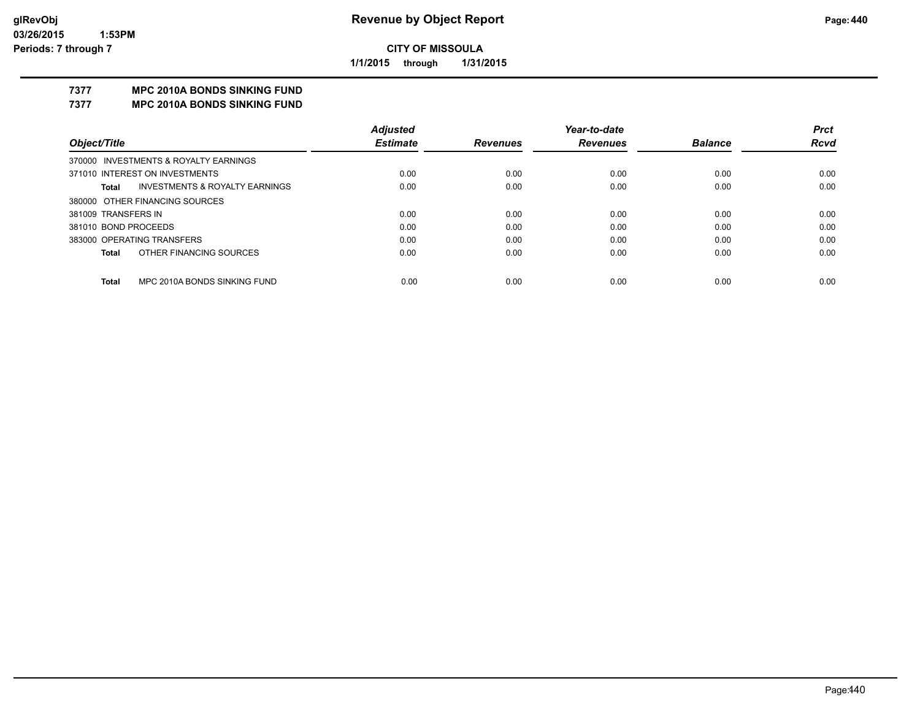**1/1/2015 through 1/31/2015**

## **7377 MPC 2010A BONDS SINKING FUND**

**7377 MPC 2010A BONDS SINKING FUND**

|                                                    | <b>Adjusted</b> |                 | Year-to-date    |                | <b>Prct</b> |
|----------------------------------------------------|-----------------|-----------------|-----------------|----------------|-------------|
| Object/Title                                       | <b>Estimate</b> | <b>Revenues</b> | <b>Revenues</b> | <b>Balance</b> | <b>Rcvd</b> |
| 370000 INVESTMENTS & ROYALTY EARNINGS              |                 |                 |                 |                |             |
| 371010 INTEREST ON INVESTMENTS                     | 0.00            | 0.00            | 0.00            | 0.00           | 0.00        |
| <b>INVESTMENTS &amp; ROYALTY EARNINGS</b><br>Total | 0.00            | 0.00            | 0.00            | 0.00           | 0.00        |
| 380000 OTHER FINANCING SOURCES                     |                 |                 |                 |                |             |
| 381009 TRANSFERS IN                                | 0.00            | 0.00            | 0.00            | 0.00           | 0.00        |
| 381010 BOND PROCEEDS                               | 0.00            | 0.00            | 0.00            | 0.00           | 0.00        |
| 383000 OPERATING TRANSFERS                         | 0.00            | 0.00            | 0.00            | 0.00           | 0.00        |
| OTHER FINANCING SOURCES<br><b>Total</b>            | 0.00            | 0.00            | 0.00            | 0.00           | 0.00        |
|                                                    |                 |                 |                 |                |             |
| MPC 2010A BONDS SINKING FUND<br><b>Total</b>       | 0.00            | 0.00            | 0.00            | 0.00           | 0.00        |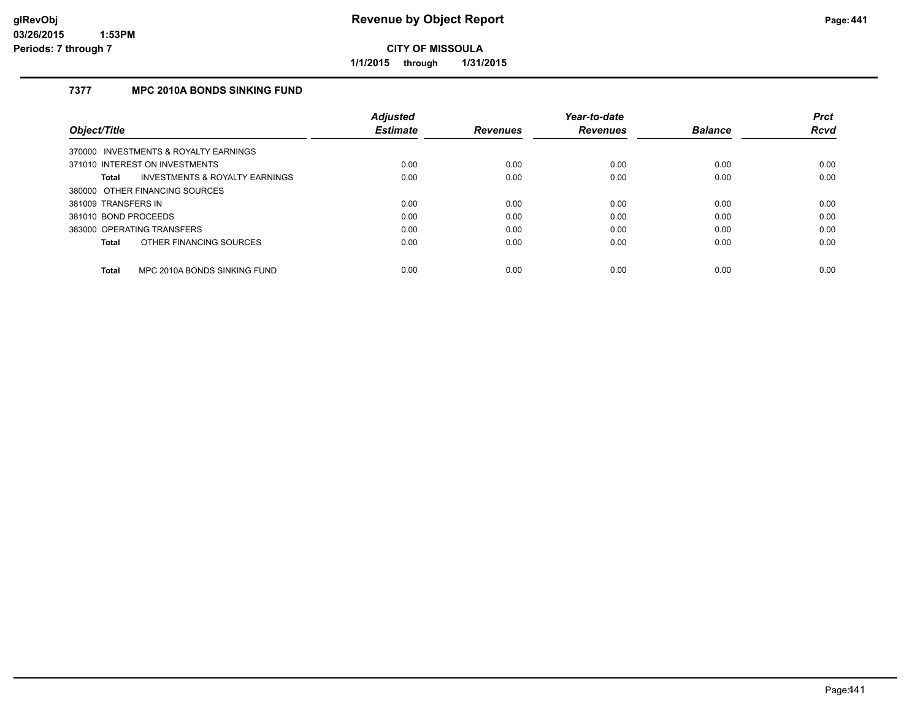**1/1/2015 through 1/31/2015**

## **7377 MPC 2010A BONDS SINKING FUND**

|                                              | <b>Adjusted</b> |                 | Year-to-date    |                | <b>Prct</b> |
|----------------------------------------------|-----------------|-----------------|-----------------|----------------|-------------|
| Object/Title                                 | <b>Estimate</b> | <b>Revenues</b> | <b>Revenues</b> | <b>Balance</b> | <b>Rcvd</b> |
| 370000 INVESTMENTS & ROYALTY EARNINGS        |                 |                 |                 |                |             |
| 371010 INTEREST ON INVESTMENTS               | 0.00            | 0.00            | 0.00            | 0.00           | 0.00        |
| INVESTMENTS & ROYALTY EARNINGS<br>Total      | 0.00            | 0.00            | 0.00            | 0.00           | 0.00        |
| 380000 OTHER FINANCING SOURCES               |                 |                 |                 |                |             |
| 381009 TRANSFERS IN                          | 0.00            | 0.00            | 0.00            | 0.00           | 0.00        |
| 381010 BOND PROCEEDS                         | 0.00            | 0.00            | 0.00            | 0.00           | 0.00        |
| 383000 OPERATING TRANSFERS                   | 0.00            | 0.00            | 0.00            | 0.00           | 0.00        |
| OTHER FINANCING SOURCES<br>Total             | 0.00            | 0.00            | 0.00            | 0.00           | 0.00        |
| MPC 2010A BONDS SINKING FUND<br><b>Total</b> | 0.00            | 0.00            | 0.00            | 0.00           | 0.00        |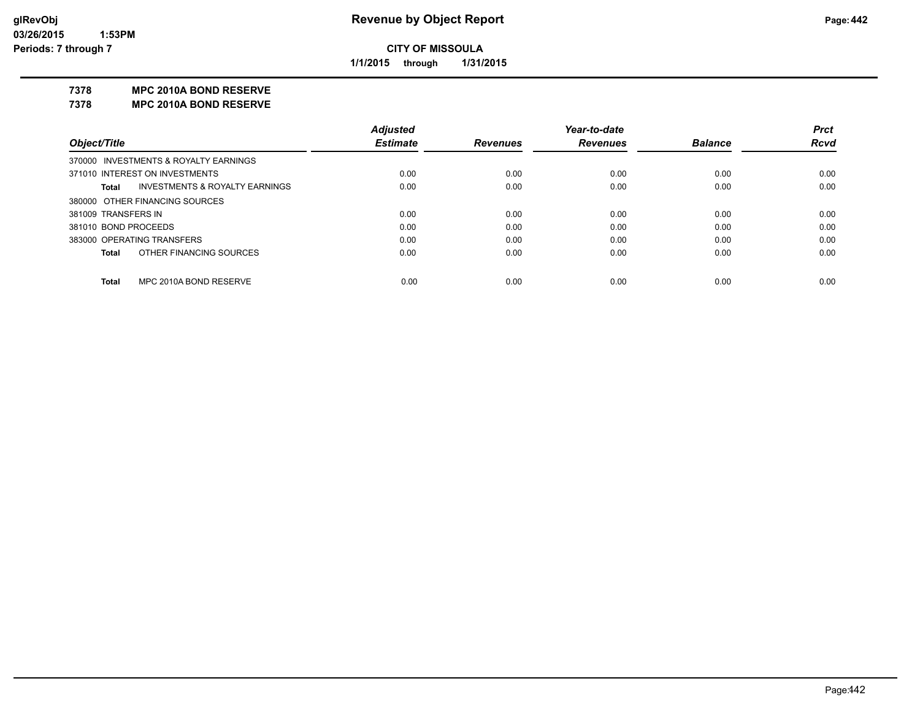**1/1/2015 through 1/31/2015**

#### **7378 MPC 2010A BOND RESERVE**

**7378 MPC 2010A BOND RESERVE**

|                                       | <b>Adjusted</b>        |                 | Year-to-date    |                | <b>Prct</b> |
|---------------------------------------|------------------------|-----------------|-----------------|----------------|-------------|
|                                       | <b>Estimate</b>        | <b>Revenues</b> | <b>Revenues</b> | <b>Balance</b> | <b>Rcvd</b> |
| 370000 INVESTMENTS & ROYALTY EARNINGS |                        |                 |                 |                |             |
| 371010 INTEREST ON INVESTMENTS        | 0.00                   | 0.00            | 0.00            | 0.00           | 0.00        |
| INVESTMENTS & ROYALTY EARNINGS        | 0.00                   | 0.00            | 0.00            | 0.00           | 0.00        |
| 380000 OTHER FINANCING SOURCES        |                        |                 |                 |                |             |
| 381009 TRANSFERS IN                   | 0.00                   | 0.00            | 0.00            | 0.00           | 0.00        |
| 381010 BOND PROCEEDS                  | 0.00                   | 0.00            | 0.00            | 0.00           | 0.00        |
| 383000 OPERATING TRANSFERS            | 0.00                   | 0.00            | 0.00            | 0.00           | 0.00        |
| OTHER FINANCING SOURCES               | 0.00                   | 0.00            | 0.00            | 0.00           | 0.00        |
|                                       |                        |                 |                 |                | 0.00        |
|                                       | MPC 2010A BOND RESERVE | 0.00            | 0.00            | 0.00           | 0.00        |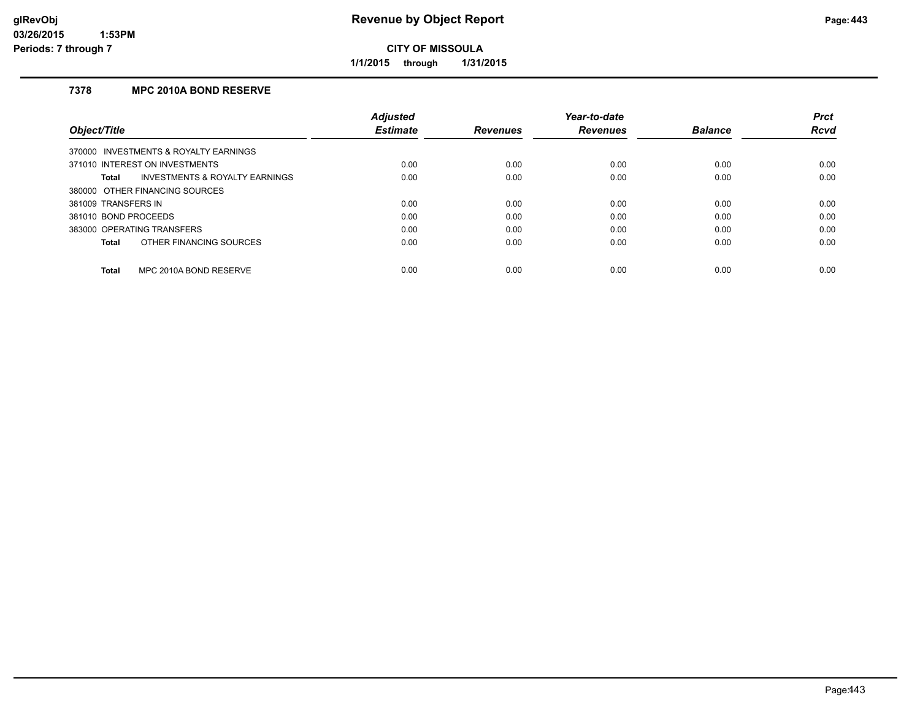**1/1/2015 through 1/31/2015**

## **7378 MPC 2010A BOND RESERVE**

|                                         | <b>Adjusted</b> |                 | Year-to-date    |                | <b>Prct</b> |
|-----------------------------------------|-----------------|-----------------|-----------------|----------------|-------------|
| Object/Title                            | <b>Estimate</b> | <b>Revenues</b> | <b>Revenues</b> | <b>Balance</b> | <b>Rcvd</b> |
| 370000 INVESTMENTS & ROYALTY EARNINGS   |                 |                 |                 |                |             |
| 371010 INTEREST ON INVESTMENTS          | 0.00            | 0.00            | 0.00            | 0.00           | 0.00        |
| INVESTMENTS & ROYALTY EARNINGS<br>Total | 0.00            | 0.00            | 0.00            | 0.00           | 0.00        |
| 380000 OTHER FINANCING SOURCES          |                 |                 |                 |                |             |
| 381009 TRANSFERS IN                     | 0.00            | 0.00            | 0.00            | 0.00           | 0.00        |
| 381010 BOND PROCEEDS                    | 0.00            | 0.00            | 0.00            | 0.00           | 0.00        |
| 383000 OPERATING TRANSFERS              | 0.00            | 0.00            | 0.00            | 0.00           | 0.00        |
| OTHER FINANCING SOURCES<br>Total        | 0.00            | 0.00            | 0.00            | 0.00           | 0.00        |
| MPC 2010A BOND RESERVE<br><b>Total</b>  | 0.00            | 0.00            | 0.00            | 0.00           | 0.00        |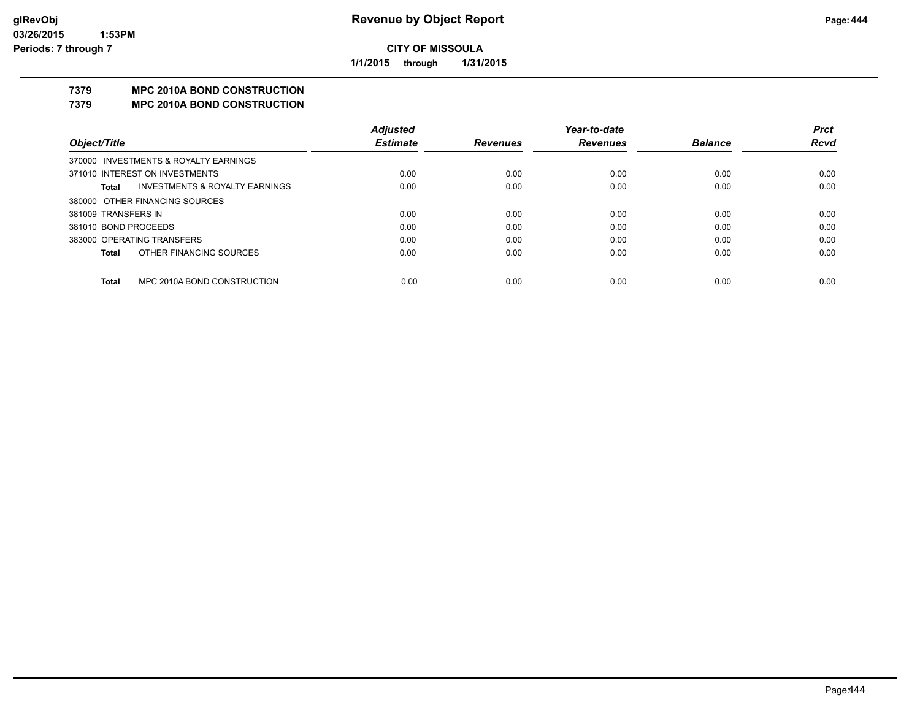**1/1/2015 through 1/31/2015**

## **7379 MPC 2010A BOND CONSTRUCTION**

#### **7379 MPC 2010A BOND CONSTRUCTION**

|                      |                                           | <b>Adjusted</b> |                 | Year-to-date    |                | <b>Prct</b> |
|----------------------|-------------------------------------------|-----------------|-----------------|-----------------|----------------|-------------|
| Object/Title         |                                           | <b>Estimate</b> | <b>Revenues</b> | <b>Revenues</b> | <b>Balance</b> | <b>Rcvd</b> |
|                      | 370000 INVESTMENTS & ROYALTY EARNINGS     |                 |                 |                 |                |             |
|                      | 371010 INTEREST ON INVESTMENTS            | 0.00            | 0.00            | 0.00            | 0.00           | 0.00        |
| Total                | <b>INVESTMENTS &amp; ROYALTY EARNINGS</b> | 0.00            | 0.00            | 0.00            | 0.00           | 0.00        |
|                      | 380000 OTHER FINANCING SOURCES            |                 |                 |                 |                |             |
| 381009 TRANSFERS IN  |                                           | 0.00            | 0.00            | 0.00            | 0.00           | 0.00        |
| 381010 BOND PROCEEDS |                                           | 0.00            | 0.00            | 0.00            | 0.00           | 0.00        |
|                      | 383000 OPERATING TRANSFERS                | 0.00            | 0.00            | 0.00            | 0.00           | 0.00        |
| Total                | OTHER FINANCING SOURCES                   | 0.00            | 0.00            | 0.00            | 0.00           | 0.00        |
|                      |                                           |                 |                 |                 |                |             |
| Total                | MPC 2010A BOND CONSTRUCTION               | 0.00            | 0.00            | 0.00            | 0.00           | 0.00        |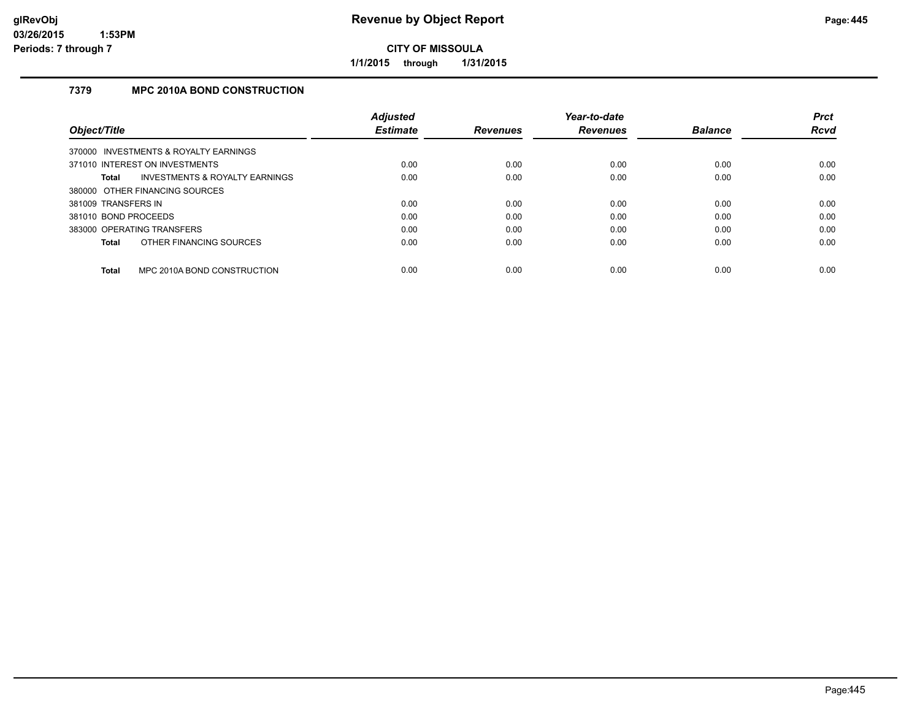**1/1/2015 through 1/31/2015**

## **7379 MPC 2010A BOND CONSTRUCTION**

|                                                | <b>Adjusted</b> |                 | Year-to-date    |                | <b>Prct</b> |
|------------------------------------------------|-----------------|-----------------|-----------------|----------------|-------------|
| Object/Title                                   | <b>Estimate</b> | <b>Revenues</b> | <b>Revenues</b> | <b>Balance</b> | <b>Rcvd</b> |
| 370000 INVESTMENTS & ROYALTY EARNINGS          |                 |                 |                 |                |             |
| 371010 INTEREST ON INVESTMENTS                 | 0.00            | 0.00            | 0.00            | 0.00           | 0.00        |
| INVESTMENTS & ROYALTY EARNINGS<br><b>Total</b> | 0.00            | 0.00            | 0.00            | 0.00           | 0.00        |
| 380000 OTHER FINANCING SOURCES                 |                 |                 |                 |                |             |
| 381009 TRANSFERS IN                            | 0.00            | 0.00            | 0.00            | 0.00           | 0.00        |
| 381010 BOND PROCEEDS                           | 0.00            | 0.00            | 0.00            | 0.00           | 0.00        |
| 383000 OPERATING TRANSFERS                     | 0.00            | 0.00            | 0.00            | 0.00           | 0.00        |
| OTHER FINANCING SOURCES<br><b>Total</b>        | 0.00            | 0.00            | 0.00            | 0.00           | 0.00        |
| MPC 2010A BOND CONSTRUCTION<br><b>Total</b>    | 0.00            | 0.00            | 0.00            | 0.00           | 0.00        |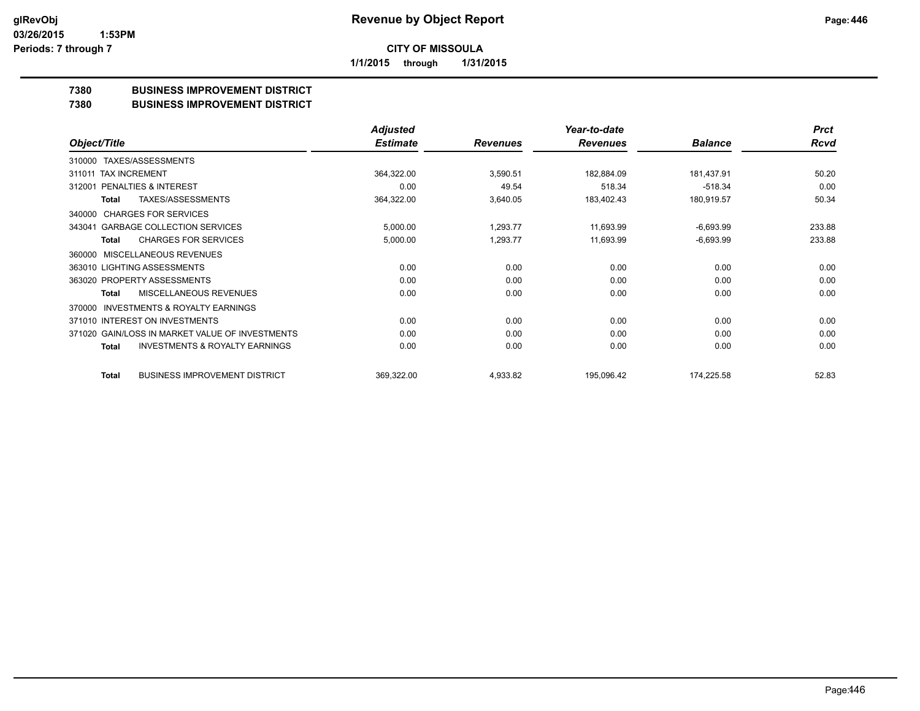**1/1/2015 through 1/31/2015**

## **7380 BUSINESS IMPROVEMENT DISTRICT**

#### **7380 BUSINESS IMPROVEMENT DISTRICT**

|                                                     | <b>Adjusted</b> |                 | Year-to-date    |                | <b>Prct</b> |
|-----------------------------------------------------|-----------------|-----------------|-----------------|----------------|-------------|
| Object/Title                                        | <b>Estimate</b> | <b>Revenues</b> | <b>Revenues</b> | <b>Balance</b> | <b>Rcvd</b> |
| TAXES/ASSESSMENTS<br>310000                         |                 |                 |                 |                |             |
| 311011 TAX INCREMENT                                | 364,322.00      | 3,590.51        | 182,884.09      | 181,437.91     | 50.20       |
| PENALTIES & INTEREST<br>312001                      | 0.00            | 49.54           | 518.34          | $-518.34$      | 0.00        |
| TAXES/ASSESSMENTS<br>Total                          | 364,322.00      | 3,640.05        | 183,402.43      | 180,919.57     | 50.34       |
| <b>CHARGES FOR SERVICES</b><br>340000               |                 |                 |                 |                |             |
| <b>GARBAGE COLLECTION SERVICES</b><br>343041        | 5,000.00        | 1,293.77        | 11,693.99       | $-6,693.99$    | 233.88      |
| <b>CHARGES FOR SERVICES</b><br>Total                | 5,000.00        | 1,293.77        | 11,693.99       | $-6,693.99$    | 233.88      |
| MISCELLANEOUS REVENUES<br>360000                    |                 |                 |                 |                |             |
| 363010 LIGHTING ASSESSMENTS                         | 0.00            | 0.00            | 0.00            | 0.00           | 0.00        |
| 363020 PROPERTY ASSESSMENTS                         | 0.00            | 0.00            | 0.00            | 0.00           | 0.00        |
| MISCELLANEOUS REVENUES<br><b>Total</b>              | 0.00            | 0.00            | 0.00            | 0.00           | 0.00        |
| <b>INVESTMENTS &amp; ROYALTY EARNINGS</b><br>370000 |                 |                 |                 |                |             |
| 371010 INTEREST ON INVESTMENTS                      | 0.00            | 0.00            | 0.00            | 0.00           | 0.00        |
| 371020 GAIN/LOSS IN MARKET VALUE OF INVESTMENTS     | 0.00            | 0.00            | 0.00            | 0.00           | 0.00        |
| <b>INVESTMENTS &amp; ROYALTY EARNINGS</b><br>Total  | 0.00            | 0.00            | 0.00            | 0.00           | 0.00        |
| <b>BUSINESS IMPROVEMENT DISTRICT</b><br>Total       | 369,322.00      | 4,933.82        | 195,096.42      | 174,225.58     | 52.83       |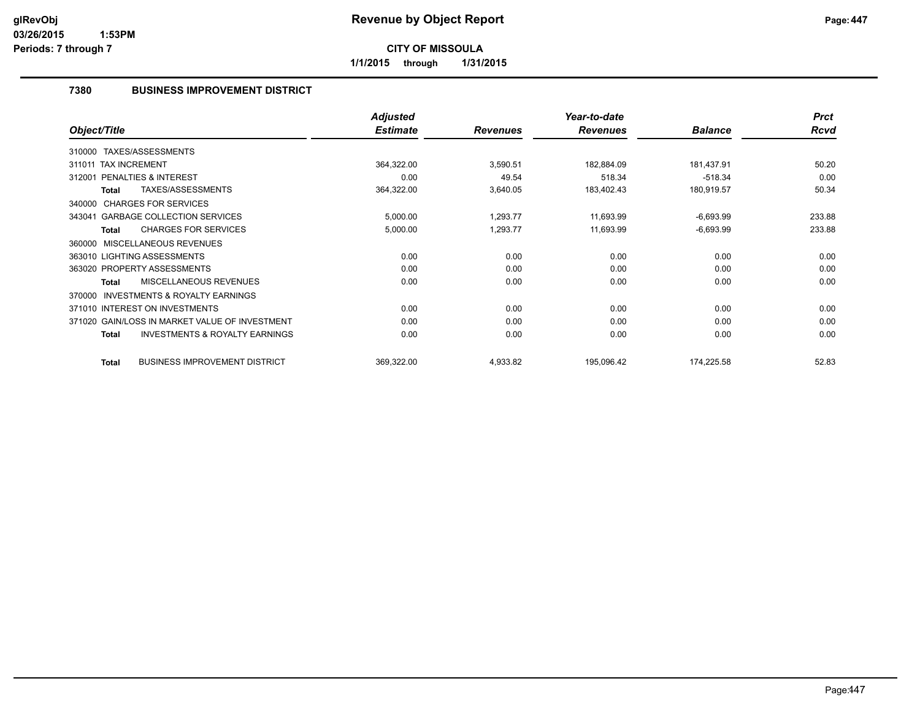**1/1/2015 through 1/31/2015**

## **7380 BUSINESS IMPROVEMENT DISTRICT**

|                                                           | <b>Adjusted</b> |                 | Year-to-date    |                | <b>Prct</b> |
|-----------------------------------------------------------|-----------------|-----------------|-----------------|----------------|-------------|
| Object/Title                                              | <b>Estimate</b> | <b>Revenues</b> | <b>Revenues</b> | <b>Balance</b> | <b>Rcvd</b> |
| 310000 TAXES/ASSESSMENTS                                  |                 |                 |                 |                |             |
| <b>TAX INCREMENT</b><br>311011                            | 364,322.00      | 3,590.51        | 182,884.09      | 181,437.91     | 50.20       |
| PENALTIES & INTEREST<br>312001                            | 0.00            | 49.54           | 518.34          | $-518.34$      | 0.00        |
| TAXES/ASSESSMENTS<br>Total                                | 364,322.00      | 3,640.05        | 183,402.43      | 180,919.57     | 50.34       |
| <b>CHARGES FOR SERVICES</b><br>340000                     |                 |                 |                 |                |             |
| <b>GARBAGE COLLECTION SERVICES</b><br>343041              | 5,000.00        | 1,293.77        | 11,693.99       | $-6,693.99$    | 233.88      |
| <b>CHARGES FOR SERVICES</b><br><b>Total</b>               | 5,000.00        | 1,293.77        | 11,693.99       | $-6,693.99$    | 233.88      |
| MISCELLANEOUS REVENUES<br>360000                          |                 |                 |                 |                |             |
| 363010 LIGHTING ASSESSMENTS                               | 0.00            | 0.00            | 0.00            | 0.00           | 0.00        |
| 363020 PROPERTY ASSESSMENTS                               | 0.00            | 0.00            | 0.00            | 0.00           | 0.00        |
| <b>MISCELLANEOUS REVENUES</b><br>Total                    | 0.00            | 0.00            | 0.00            | 0.00           | 0.00        |
| <b>INVESTMENTS &amp; ROYALTY EARNINGS</b><br>370000       |                 |                 |                 |                |             |
| 371010 INTEREST ON INVESTMENTS                            | 0.00            | 0.00            | 0.00            | 0.00           | 0.00        |
| 371020 GAIN/LOSS IN MARKET VALUE OF INVESTMENT            | 0.00            | 0.00            | 0.00            | 0.00           | 0.00        |
| <b>INVESTMENTS &amp; ROYALTY EARNINGS</b><br><b>Total</b> | 0.00            | 0.00            | 0.00            | 0.00           | 0.00        |
| <b>BUSINESS IMPROVEMENT DISTRICT</b><br><b>Total</b>      | 369,322.00      | 4,933.82        | 195,096.42      | 174,225.58     | 52.83       |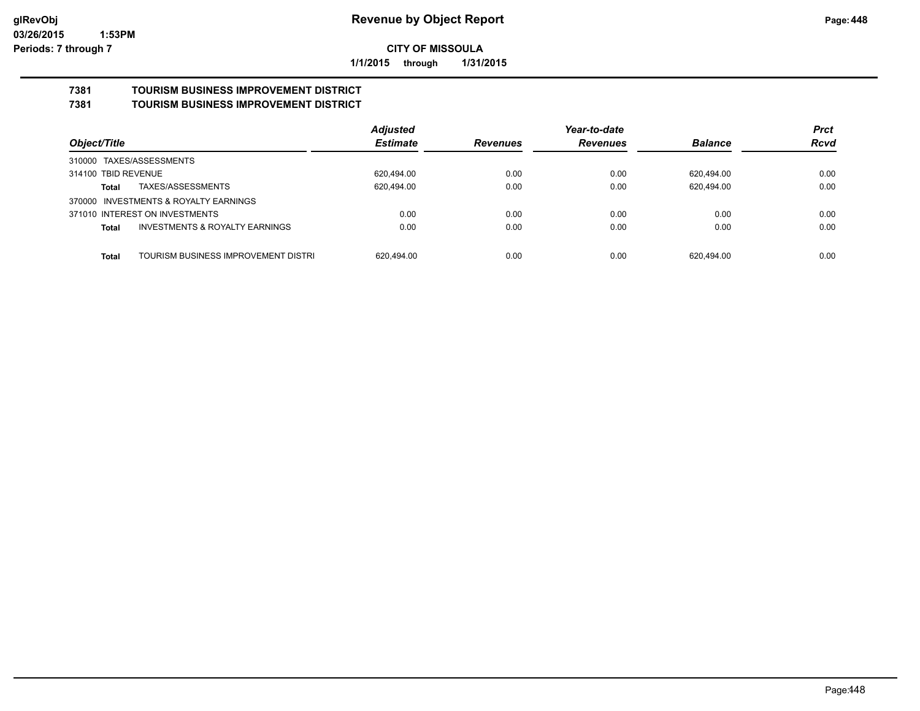**1/1/2015 through 1/31/2015**

#### **7381 TOURISM BUSINESS IMPROVEMENT DISTRICT 7381 TOURISM BUSINESS IMPROVEMENT DISTRICT**

|                                                     | <b>Adjusted</b> |                 | Year-to-date    |                | <b>Prct</b> |
|-----------------------------------------------------|-----------------|-----------------|-----------------|----------------|-------------|
| Object/Title                                        | <b>Estimate</b> | <b>Revenues</b> | <b>Revenues</b> | <b>Balance</b> | <b>Rcvd</b> |
| 310000 TAXES/ASSESSMENTS                            |                 |                 |                 |                |             |
| 314100 TBID REVENUE                                 | 620.494.00      | 0.00            | 0.00            | 620.494.00     | 0.00        |
| TAXES/ASSESSMENTS<br>Total                          | 620,494.00      | 0.00            | 0.00            | 620.494.00     | 0.00        |
| 370000 INVESTMENTS & ROYALTY EARNINGS               |                 |                 |                 |                |             |
| 371010 INTEREST ON INVESTMENTS                      | 0.00            | 0.00            | 0.00            | 0.00           | 0.00        |
| <b>INVESTMENTS &amp; ROYALTY EARNINGS</b><br>Total  | 0.00            | 0.00            | 0.00            | 0.00           | 0.00        |
|                                                     |                 |                 |                 |                |             |
| TOURISM BUSINESS IMPROVEMENT DISTRI<br><b>Total</b> | 620.494.00      | 0.00            | 0.00            | 620.494.00     | 0.00        |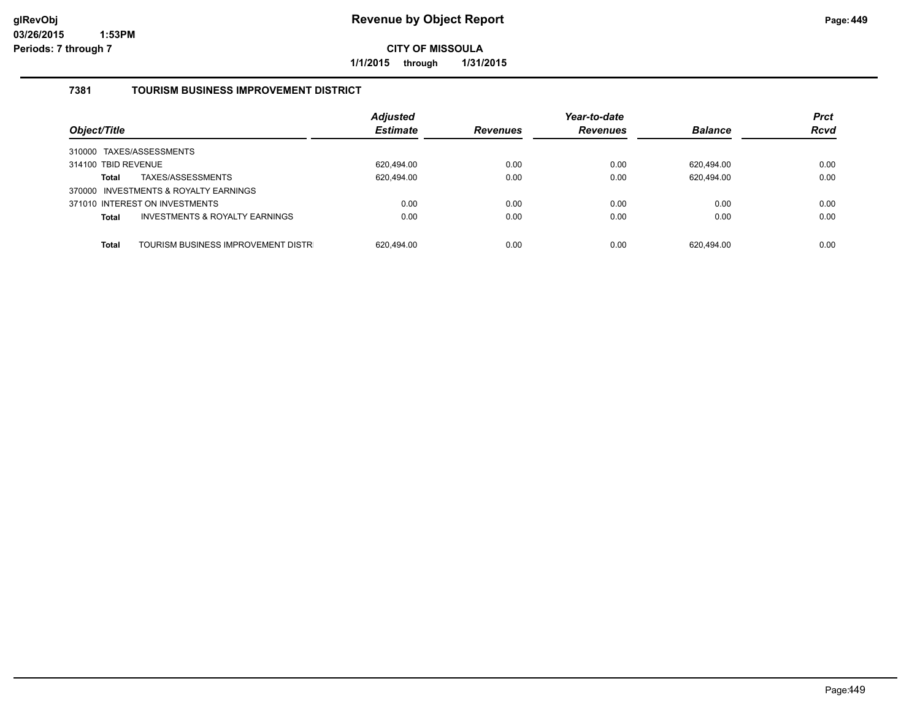**1/1/2015 through 1/31/2015**

## **7381 TOURISM BUSINESS IMPROVEMENT DISTRICT**

| Object/Title                                              | <b>Adjusted</b><br><b>Estimate</b> | <b>Revenues</b> | Year-to-date<br><b>Revenues</b> | <b>Balance</b> | <b>Prct</b><br><b>Rcvd</b> |
|-----------------------------------------------------------|------------------------------------|-----------------|---------------------------------|----------------|----------------------------|
| 310000 TAXES/ASSESSMENTS                                  |                                    |                 |                                 |                |                            |
| 314100 TBID REVENUE                                       | 620.494.00                         | 0.00            | 0.00                            | 620.494.00     | 0.00                       |
| TAXES/ASSESSMENTS<br><b>Total</b>                         | 620,494.00                         | 0.00            | 0.00                            | 620,494.00     | 0.00                       |
| 370000 INVESTMENTS & ROYALTY EARNINGS                     |                                    |                 |                                 |                |                            |
| 371010 INTEREST ON INVESTMENTS                            | 0.00                               | 0.00            | 0.00                            | 0.00           | 0.00                       |
| <b>INVESTMENTS &amp; ROYALTY EARNINGS</b><br><b>Total</b> | 0.00                               | 0.00            | 0.00                            | 0.00           | 0.00                       |
|                                                           |                                    |                 |                                 |                |                            |
| TOURISM BUSINESS IMPROVEMENT DISTR<br><b>Total</b>        | 620.494.00                         | 0.00            | 0.00                            | 620.494.00     | 0.00                       |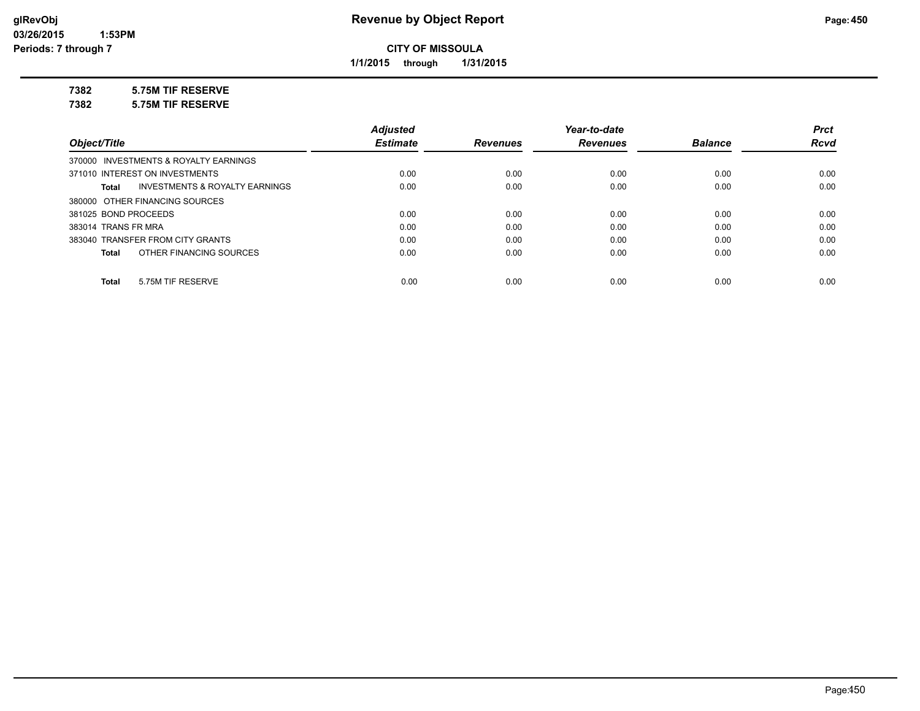**1/1/2015 through 1/31/2015**

## **7382 5.75M TIF RESERVE**

**7382 5.75M TIF RESERVE**

|                                                    | <b>Adjusted</b> |                 | Year-to-date    |                | <b>Prct</b> |
|----------------------------------------------------|-----------------|-----------------|-----------------|----------------|-------------|
| Object/Title                                       | <b>Estimate</b> | <b>Revenues</b> | <b>Revenues</b> | <b>Balance</b> | <b>Rcvd</b> |
| 370000 INVESTMENTS & ROYALTY EARNINGS              |                 |                 |                 |                |             |
| 371010 INTEREST ON INVESTMENTS                     | 0.00            | 0.00            | 0.00            | 0.00           | 0.00        |
| <b>INVESTMENTS &amp; ROYALTY EARNINGS</b><br>Total | 0.00            | 0.00            | 0.00            | 0.00           | 0.00        |
| 380000 OTHER FINANCING SOURCES                     |                 |                 |                 |                |             |
| 381025 BOND PROCEEDS                               | 0.00            | 0.00            | 0.00            | 0.00           | 0.00        |
| 383014 TRANS FR MRA                                | 0.00            | 0.00            | 0.00            | 0.00           | 0.00        |
| 383040 TRANSFER FROM CITY GRANTS                   | 0.00            | 0.00            | 0.00            | 0.00           | 0.00        |
| OTHER FINANCING SOURCES<br>Total                   | 0.00            | 0.00            | 0.00            | 0.00           | 0.00        |
|                                                    |                 |                 |                 |                |             |
| 5.75M TIF RESERVE<br>Total                         | 0.00            | 0.00            | 0.00            | 0.00           | 0.00        |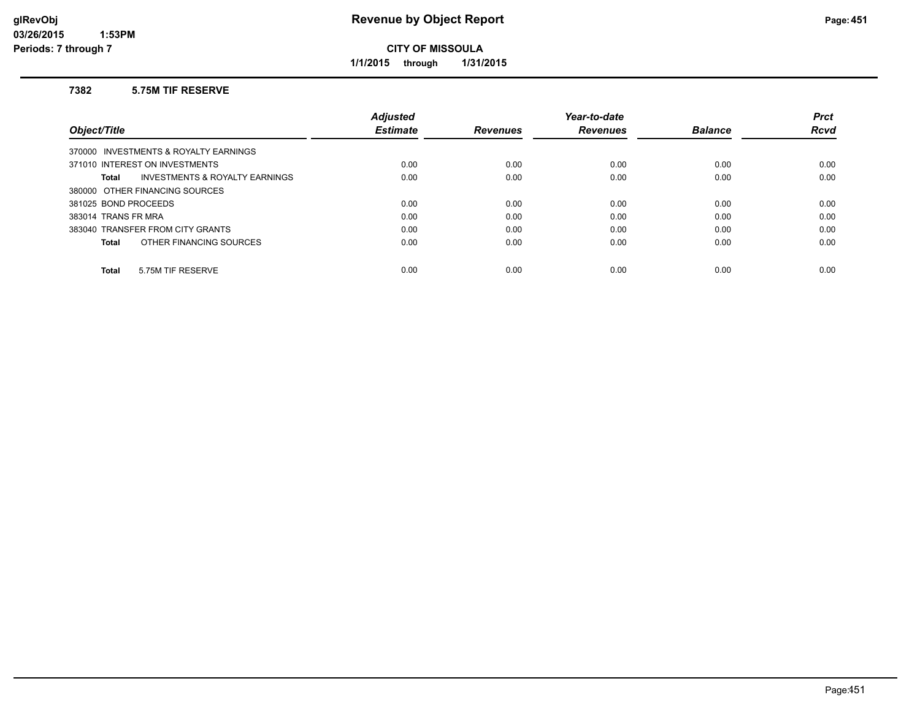**1/1/2015 through 1/31/2015**

## **7382 5.75M TIF RESERVE**

|                                         | <b>Adjusted</b> |                 | Year-to-date    |                | <b>Prct</b> |
|-----------------------------------------|-----------------|-----------------|-----------------|----------------|-------------|
| Object/Title                            | <b>Estimate</b> | <b>Revenues</b> | <b>Revenues</b> | <b>Balance</b> | <b>Rcvd</b> |
| 370000 INVESTMENTS & ROYALTY EARNINGS   |                 |                 |                 |                |             |
| 371010 INTEREST ON INVESTMENTS          | 0.00            | 0.00            | 0.00            | 0.00           | 0.00        |
| INVESTMENTS & ROYALTY EARNINGS<br>Total | 0.00            | 0.00            | 0.00            | 0.00           | 0.00        |
| 380000 OTHER FINANCING SOURCES          |                 |                 |                 |                |             |
| 381025 BOND PROCEEDS                    | 0.00            | 0.00            | 0.00            | 0.00           | 0.00        |
| 383014 TRANS FR MRA                     | 0.00            | 0.00            | 0.00            | 0.00           | 0.00        |
| 383040 TRANSFER FROM CITY GRANTS        | 0.00            | 0.00            | 0.00            | 0.00           | 0.00        |
| OTHER FINANCING SOURCES<br>Total        | 0.00            | 0.00            | 0.00            | 0.00           | 0.00        |
| 5.75M TIF RESERVE                       |                 |                 |                 |                |             |
| <b>Total</b>                            | 0.00            | 0.00            | 0.00            | 0.00           | 0.00        |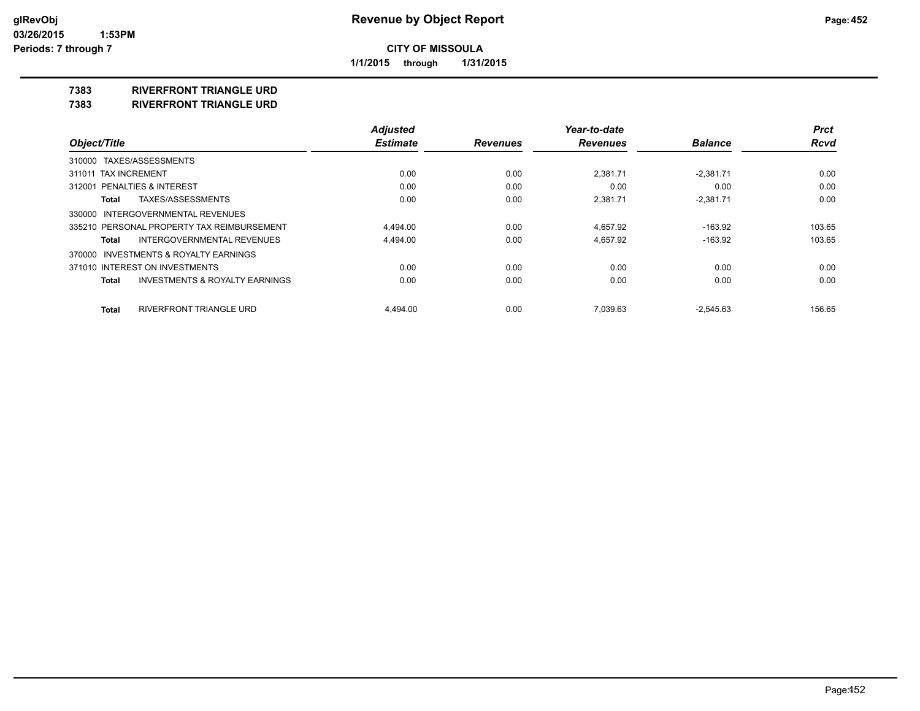**1/1/2015 through 1/31/2015**

## **7383 RIVERFRONT TRIANGLE URD**

**7383 RIVERFRONT TRIANGLE URD**

|                                                    | <b>Adjusted</b> |                 | Year-to-date    |                | <b>Prct</b> |
|----------------------------------------------------|-----------------|-----------------|-----------------|----------------|-------------|
| Object/Title                                       | <b>Estimate</b> | <b>Revenues</b> | <b>Revenues</b> | <b>Balance</b> | <b>Rcvd</b> |
| 310000 TAXES/ASSESSMENTS                           |                 |                 |                 |                |             |
| 311011 TAX INCREMENT                               | 0.00            | 0.00            | 2.381.71        | $-2.381.71$    | 0.00        |
| 312001 PENALTIES & INTEREST                        | 0.00            | 0.00            | 0.00            | 0.00           | 0.00        |
| TAXES/ASSESSMENTS<br>Total                         | 0.00            | 0.00            | 2.381.71        | $-2,381.71$    | 0.00        |
| 330000 INTERGOVERNMENTAL REVENUES                  |                 |                 |                 |                |             |
| 335210 PERSONAL PROPERTY TAX REIMBURSEMENT         | 4.494.00        | 0.00            | 4.657.92        | -163.92        | 103.65      |
| <b>INTERGOVERNMENTAL REVENUES</b><br>Total         | 4,494.00        | 0.00            | 4,657.92        | $-163.92$      | 103.65      |
| 370000 INVESTMENTS & ROYALTY EARNINGS              |                 |                 |                 |                |             |
| 371010 INTEREST ON INVESTMENTS                     | 0.00            | 0.00            | 0.00            | 0.00           | 0.00        |
| <b>INVESTMENTS &amp; ROYALTY EARNINGS</b><br>Total | 0.00            | 0.00            | 0.00            | 0.00           | 0.00        |
| RIVERFRONT TRIANGLE URD<br>Total                   | 4.494.00        | 0.00            | 7.039.63        | $-2.545.63$    | 156.65      |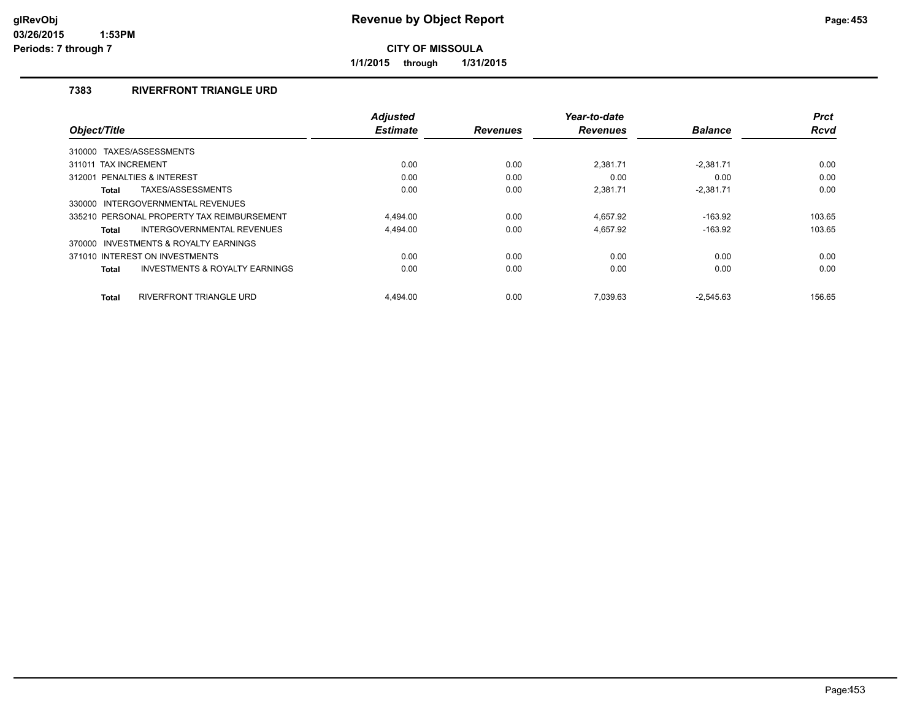**1/1/2015 through 1/31/2015**

## **7383 RIVERFRONT TRIANGLE URD**

|                                                           | <b>Adjusted</b> |                 | Year-to-date    |                | <b>Prct</b> |
|-----------------------------------------------------------|-----------------|-----------------|-----------------|----------------|-------------|
| Object/Title                                              | <b>Estimate</b> | <b>Revenues</b> | <b>Revenues</b> | <b>Balance</b> | <b>Rcvd</b> |
| TAXES/ASSESSMENTS<br>310000                               |                 |                 |                 |                |             |
| 311011 TAX INCREMENT                                      | 0.00            | 0.00            | 2.381.71        | $-2,381.71$    | 0.00        |
| 312001 PENALTIES & INTEREST                               | 0.00            | 0.00            | 0.00            | 0.00           | 0.00        |
| TAXES/ASSESSMENTS<br><b>Total</b>                         | 0.00            | 0.00            | 2,381.71        | $-2,381.71$    | 0.00        |
| INTERGOVERNMENTAL REVENUES<br>330000                      |                 |                 |                 |                |             |
| 335210 PERSONAL PROPERTY TAX REIMBURSEMENT                | 4.494.00        | 0.00            | 4.657.92        | $-163.92$      | 103.65      |
| <b>INTERGOVERNMENTAL REVENUES</b><br>Total                | 4.494.00        | 0.00            | 4.657.92        | $-163.92$      | 103.65      |
| 370000 INVESTMENTS & ROYALTY EARNINGS                     |                 |                 |                 |                |             |
| 371010 INTEREST ON INVESTMENTS                            | 0.00            | 0.00            | 0.00            | 0.00           | 0.00        |
| <b>INVESTMENTS &amp; ROYALTY EARNINGS</b><br><b>Total</b> | 0.00            | 0.00            | 0.00            | 0.00           | 0.00        |
| RIVERFRONT TRIANGLE URD<br><b>Total</b>                   | 4.494.00        | 0.00            | 7.039.63        | $-2.545.63$    | 156.65      |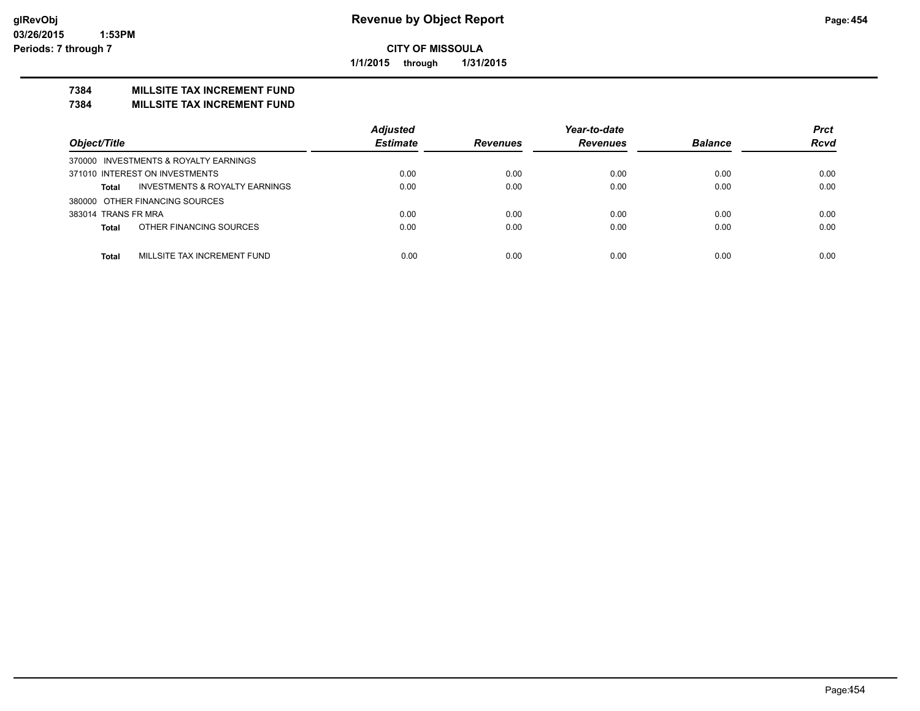**1/1/2015 through 1/31/2015**

## **7384 MILLSITE TAX INCREMENT FUND**

#### **7384 MILLSITE TAX INCREMENT FUND**

|                                                           | <b>Adjusted</b> |                 | Year-to-date    |                | <b>Prct</b> |
|-----------------------------------------------------------|-----------------|-----------------|-----------------|----------------|-------------|
| Object/Title                                              | <b>Estimate</b> | <b>Revenues</b> | <b>Revenues</b> | <b>Balance</b> | <b>Rcvd</b> |
| 370000 INVESTMENTS & ROYALTY EARNINGS                     |                 |                 |                 |                |             |
| 371010 INTEREST ON INVESTMENTS                            | 0.00            | 0.00            | 0.00            | 0.00           | 0.00        |
| <b>INVESTMENTS &amp; ROYALTY EARNINGS</b><br><b>Total</b> | 0.00            | 0.00            | 0.00            | 0.00           | 0.00        |
| 380000 OTHER FINANCING SOURCES                            |                 |                 |                 |                |             |
| 383014 TRANS FR MRA                                       | 0.00            | 0.00            | 0.00            | 0.00           | 0.00        |
| OTHER FINANCING SOURCES<br><b>Total</b>                   | 0.00            | 0.00            | 0.00            | 0.00           | 0.00        |
|                                                           |                 |                 |                 |                |             |
| MILLSITE TAX INCREMENT FUND<br><b>Total</b>               | 0.00            | 0.00            | 0.00            | 0.00           | 0.00        |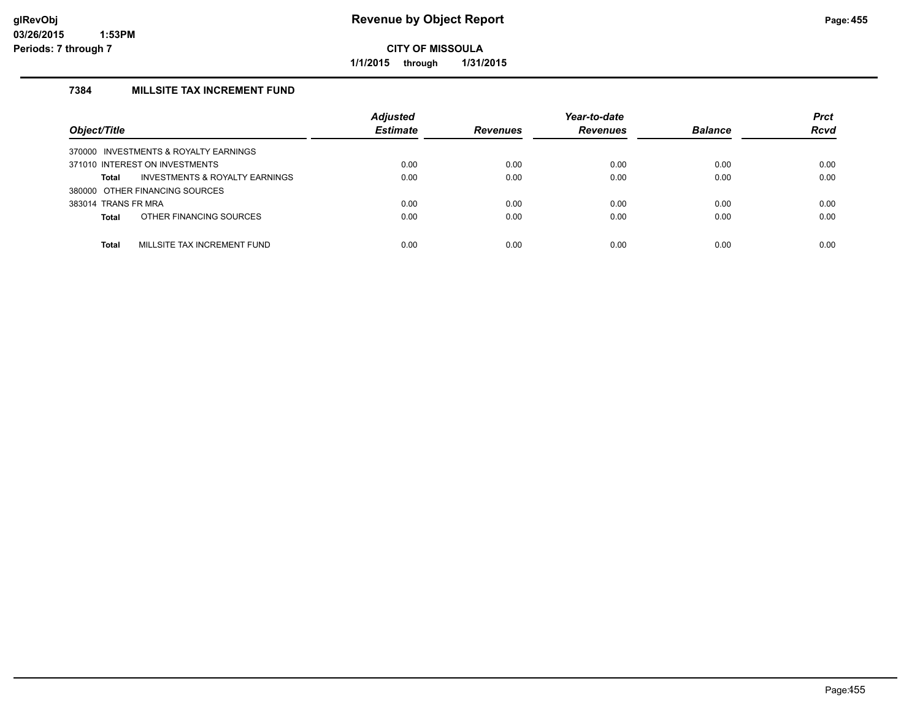**1/1/2015 through 1/31/2015**

## **7384 MILLSITE TAX INCREMENT FUND**

| Object/Title                                       | <b>Adjusted</b><br><b>Estimate</b> | <b>Revenues</b> | Year-to-date<br><b>Revenues</b> | <b>Balance</b> | <b>Prct</b><br><b>Rcvd</b> |
|----------------------------------------------------|------------------------------------|-----------------|---------------------------------|----------------|----------------------------|
| 370000 INVESTMENTS & ROYALTY EARNINGS              |                                    |                 |                                 |                |                            |
| 371010 INTEREST ON INVESTMENTS                     | 0.00                               | 0.00            | 0.00                            | 0.00           | 0.00                       |
| <b>INVESTMENTS &amp; ROYALTY EARNINGS</b><br>Total | 0.00                               | 0.00            | 0.00                            | 0.00           | 0.00                       |
| 380000 OTHER FINANCING SOURCES                     |                                    |                 |                                 |                |                            |
| 383014 TRANS FR MRA                                | 0.00                               | 0.00            | 0.00                            | 0.00           | 0.00                       |
| OTHER FINANCING SOURCES<br><b>Total</b>            | 0.00                               | 0.00            | 0.00                            | 0.00           | 0.00                       |
|                                                    |                                    |                 |                                 |                |                            |
| MILLSITE TAX INCREMENT FUND<br><b>Total</b>        | 0.00                               | 0.00            | 0.00                            | 0.00           | 0.00                       |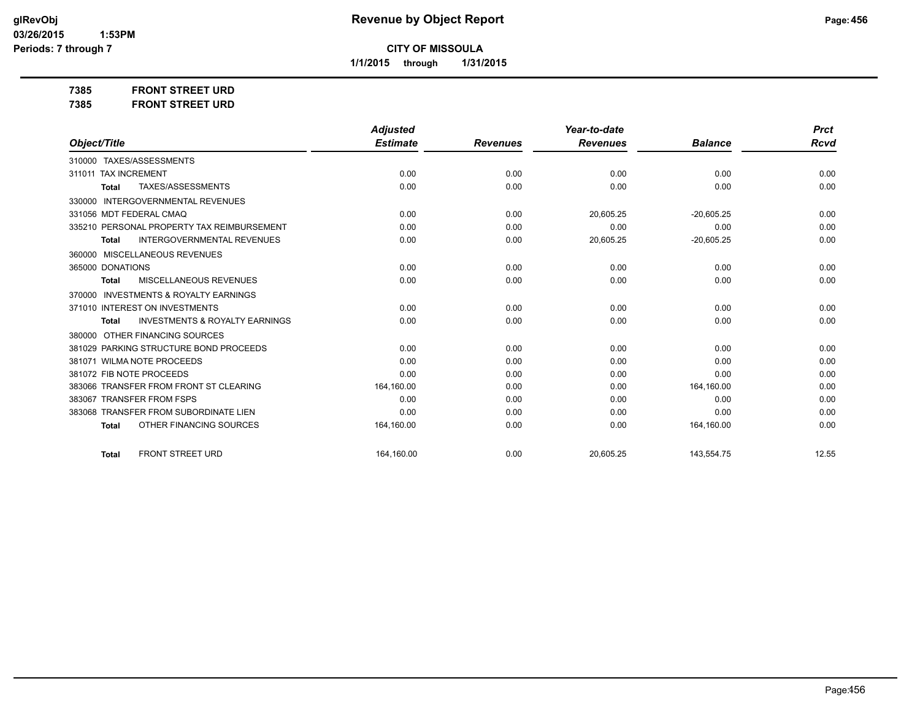**1/1/2015 through 1/31/2015**

**7385 FRONT STREET URD**

|                                                           | <b>Adjusted</b> |                 | Year-to-date    |                | <b>Prct</b> |
|-----------------------------------------------------------|-----------------|-----------------|-----------------|----------------|-------------|
| Object/Title                                              | <b>Estimate</b> | <b>Revenues</b> | <b>Revenues</b> | <b>Balance</b> | <b>Rcvd</b> |
| 310000 TAXES/ASSESSMENTS                                  |                 |                 |                 |                |             |
| 311011 TAX INCREMENT                                      | 0.00            | 0.00            | 0.00            | 0.00           | 0.00        |
| TAXES/ASSESSMENTS<br><b>Total</b>                         | 0.00            | 0.00            | 0.00            | 0.00           | 0.00        |
| INTERGOVERNMENTAL REVENUES<br>330000                      |                 |                 |                 |                |             |
| 331056 MDT FEDERAL CMAQ                                   | 0.00            | 0.00            | 20,605.25       | $-20,605.25$   | 0.00        |
| 335210 PERSONAL PROPERTY TAX REIMBURSEMENT                | 0.00            | 0.00            | 0.00            | 0.00           | 0.00        |
| <b>INTERGOVERNMENTAL REVENUES</b><br><b>Total</b>         | 0.00            | 0.00            | 20,605.25       | $-20,605.25$   | 0.00        |
| 360000 MISCELLANEOUS REVENUES                             |                 |                 |                 |                |             |
| 365000 DONATIONS                                          | 0.00            | 0.00            | 0.00            | 0.00           | 0.00        |
| <b>MISCELLANEOUS REVENUES</b><br>Total                    | 0.00            | 0.00            | 0.00            | 0.00           | 0.00        |
| INVESTMENTS & ROYALTY EARNINGS<br>370000                  |                 |                 |                 |                |             |
| 371010 INTEREST ON INVESTMENTS                            | 0.00            | 0.00            | 0.00            | 0.00           | 0.00        |
| <b>INVESTMENTS &amp; ROYALTY EARNINGS</b><br><b>Total</b> | 0.00            | 0.00            | 0.00            | 0.00           | 0.00        |
| OTHER FINANCING SOURCES<br>380000                         |                 |                 |                 |                |             |
| 381029 PARKING STRUCTURE BOND PROCEEDS                    | 0.00            | 0.00            | 0.00            | 0.00           | 0.00        |
| 381071 WILMA NOTE PROCEEDS                                | 0.00            | 0.00            | 0.00            | 0.00           | 0.00        |
| 381072 FIB NOTE PROCEEDS                                  | 0.00            | 0.00            | 0.00            | 0.00           | 0.00        |
| 383066 TRANSFER FROM FRONT ST CLEARING                    | 164,160.00      | 0.00            | 0.00            | 164,160.00     | 0.00        |
| 383067 TRANSFER FROM FSPS                                 | 0.00            | 0.00            | 0.00            | 0.00           | 0.00        |
| 383068 TRANSFER FROM SUBORDINATE LIEN                     | 0.00            | 0.00            | 0.00            | 0.00           | 0.00        |
| OTHER FINANCING SOURCES<br>Total                          | 164,160.00      | 0.00            | 0.00            | 164,160.00     | 0.00        |
| <b>FRONT STREET URD</b><br><b>Total</b>                   | 164.160.00      | 0.00            | 20.605.25       | 143,554.75     | 12.55       |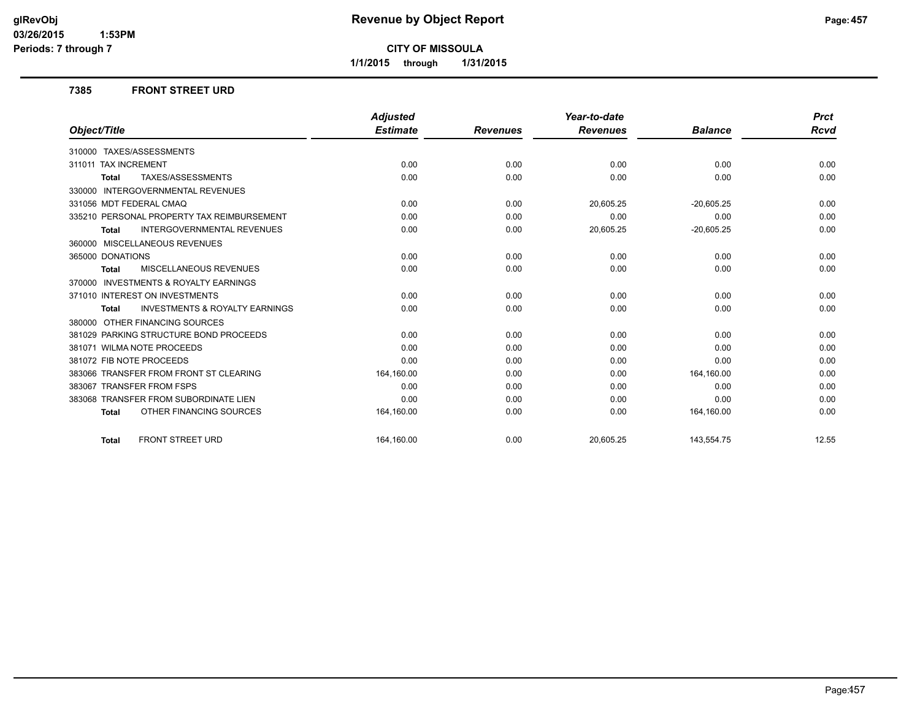**1/1/2015 through 1/31/2015**

## **7385 FRONT STREET URD**

|                                                           | <b>Adjusted</b> |                 | Year-to-date    |                | <b>Prct</b> |
|-----------------------------------------------------------|-----------------|-----------------|-----------------|----------------|-------------|
| Object/Title                                              | <b>Estimate</b> | <b>Revenues</b> | <b>Revenues</b> | <b>Balance</b> | <b>Rcvd</b> |
| 310000 TAXES/ASSESSMENTS                                  |                 |                 |                 |                |             |
| 311011 TAX INCREMENT                                      | 0.00            | 0.00            | 0.00            | 0.00           | 0.00        |
| TAXES/ASSESSMENTS<br><b>Total</b>                         | 0.00            | 0.00            | 0.00            | 0.00           | 0.00        |
| <b>INTERGOVERNMENTAL REVENUES</b><br>330000               |                 |                 |                 |                |             |
| 331056 MDT FEDERAL CMAQ                                   | 0.00            | 0.00            | 20,605.25       | $-20,605.25$   | 0.00        |
| 335210 PERSONAL PROPERTY TAX REIMBURSEMENT                | 0.00            | 0.00            | 0.00            | 0.00           | 0.00        |
| <b>INTERGOVERNMENTAL REVENUES</b><br><b>Total</b>         | 0.00            | 0.00            | 20,605.25       | $-20,605.25$   | 0.00        |
| 360000 MISCELLANEOUS REVENUES                             |                 |                 |                 |                |             |
| 365000 DONATIONS                                          | 0.00            | 0.00            | 0.00            | 0.00           | 0.00        |
| MISCELLANEOUS REVENUES<br><b>Total</b>                    | 0.00            | 0.00            | 0.00            | 0.00           | 0.00        |
| <b>INVESTMENTS &amp; ROYALTY EARNINGS</b><br>370000       |                 |                 |                 |                |             |
| 371010 INTEREST ON INVESTMENTS                            | 0.00            | 0.00            | 0.00            | 0.00           | 0.00        |
| <b>INVESTMENTS &amp; ROYALTY EARNINGS</b><br><b>Total</b> | 0.00            | 0.00            | 0.00            | 0.00           | 0.00        |
| 380000 OTHER FINANCING SOURCES                            |                 |                 |                 |                |             |
| 381029 PARKING STRUCTURE BOND PROCEEDS                    | 0.00            | 0.00            | 0.00            | 0.00           | 0.00        |
| 381071 WILMA NOTE PROCEEDS                                | 0.00            | 0.00            | 0.00            | 0.00           | 0.00        |
| 381072 FIB NOTE PROCEEDS                                  | 0.00            | 0.00            | 0.00            | 0.00           | 0.00        |
| 383066 TRANSFER FROM FRONT ST CLEARING                    | 164,160.00      | 0.00            | 0.00            | 164,160.00     | 0.00        |
| 383067 TRANSFER FROM FSPS                                 | 0.00            | 0.00            | 0.00            | 0.00           | 0.00        |
| 383068 TRANSFER FROM SUBORDINATE LIEN                     | 0.00            | 0.00            | 0.00            | 0.00           | 0.00        |
| OTHER FINANCING SOURCES<br><b>Total</b>                   | 164,160.00      | 0.00            | 0.00            | 164,160.00     | 0.00        |
| <b>FRONT STREET URD</b><br><b>Total</b>                   | 164.160.00      | 0.00            | 20,605.25       | 143,554.75     | 12.55       |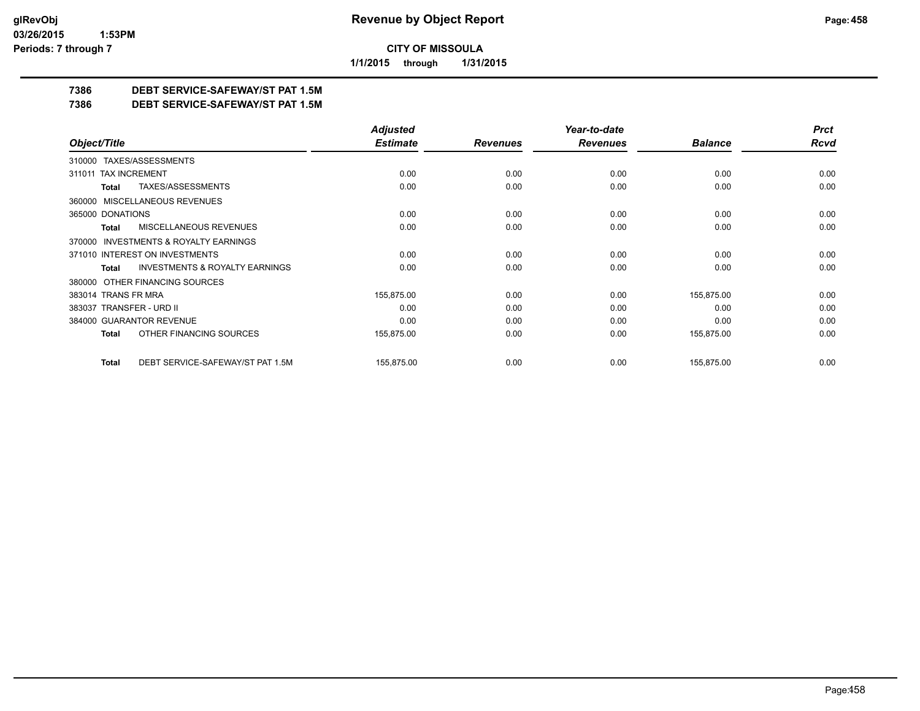**1/1/2015 through 1/31/2015**

## **7386 DEBT SERVICE-SAFEWAY/ST PAT 1.5M**

**7386 DEBT SERVICE-SAFEWAY/ST PAT 1.5M**

|                                                     | <b>Adjusted</b> |                 | Year-to-date    |                | <b>Prct</b> |
|-----------------------------------------------------|-----------------|-----------------|-----------------|----------------|-------------|
| Object/Title                                        | <b>Estimate</b> | <b>Revenues</b> | <b>Revenues</b> | <b>Balance</b> | <b>Rcvd</b> |
| TAXES/ASSESSMENTS<br>310000                         |                 |                 |                 |                |             |
| 311011 TAX INCREMENT                                | 0.00            | 0.00            | 0.00            | 0.00           | 0.00        |
| TAXES/ASSESSMENTS<br>Total                          | 0.00            | 0.00            | 0.00            | 0.00           | 0.00        |
| 360000 MISCELLANEOUS REVENUES                       |                 |                 |                 |                |             |
| 365000 DONATIONS                                    | 0.00            | 0.00            | 0.00            | 0.00           | 0.00        |
| MISCELLANEOUS REVENUES<br>Total                     | 0.00            | 0.00            | 0.00            | 0.00           | 0.00        |
| <b>INVESTMENTS &amp; ROYALTY EARNINGS</b><br>370000 |                 |                 |                 |                |             |
| 371010 INTEREST ON INVESTMENTS                      | 0.00            | 0.00            | 0.00            | 0.00           | 0.00        |
| <b>INVESTMENTS &amp; ROYALTY EARNINGS</b><br>Total  | 0.00            | 0.00            | 0.00            | 0.00           | 0.00        |
| OTHER FINANCING SOURCES<br>380000                   |                 |                 |                 |                |             |
| 383014 TRANS FR MRA                                 | 155,875.00      | 0.00            | 0.00            | 155,875.00     | 0.00        |
| 383037 TRANSFER - URD II                            | 0.00            | 0.00            | 0.00            | 0.00           | 0.00        |
| 384000 GUARANTOR REVENUE                            | 0.00            | 0.00            | 0.00            | 0.00           | 0.00        |
| OTHER FINANCING SOURCES<br><b>Total</b>             | 155,875.00      | 0.00            | 0.00            | 155,875.00     | 0.00        |
| DEBT SERVICE-SAFEWAY/ST PAT 1.5M<br><b>Total</b>    | 155,875.00      | 0.00            | 0.00            | 155,875.00     | 0.00        |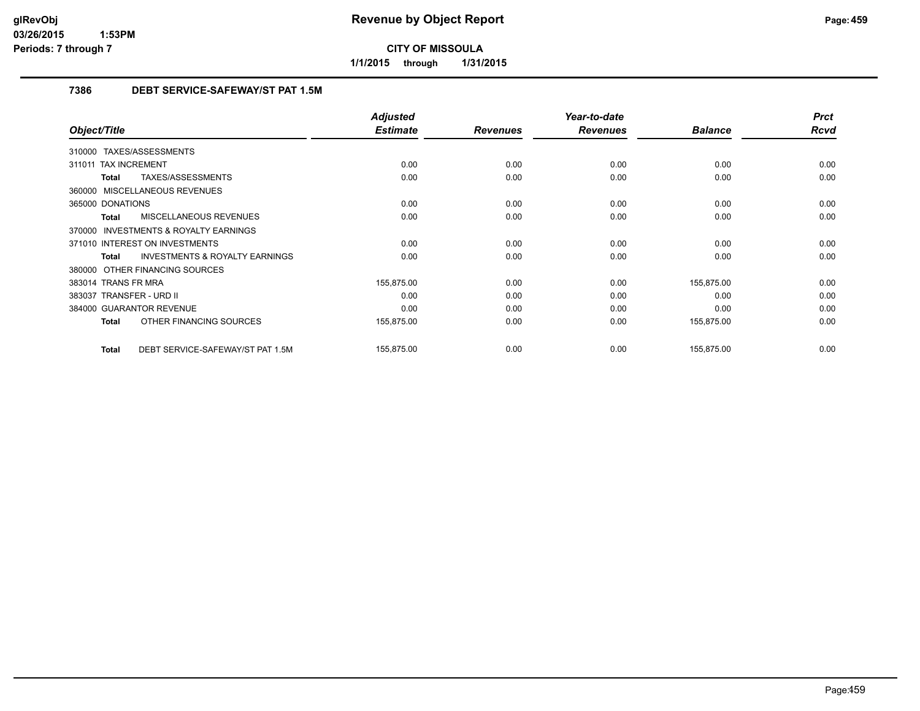**1/1/2015 through 1/31/2015**

## **7386 DEBT SERVICE-SAFEWAY/ST PAT 1.5M**

|                                                           | <b>Adjusted</b> |                 | Year-to-date    |                | <b>Prct</b> |
|-----------------------------------------------------------|-----------------|-----------------|-----------------|----------------|-------------|
| Object/Title                                              | <b>Estimate</b> | <b>Revenues</b> | <b>Revenues</b> | <b>Balance</b> | <b>Rcvd</b> |
| 310000 TAXES/ASSESSMENTS                                  |                 |                 |                 |                |             |
| 311011 TAX INCREMENT                                      | 0.00            | 0.00            | 0.00            | 0.00           | 0.00        |
| <b>TAXES/ASSESSMENTS</b><br><b>Total</b>                  | 0.00            | 0.00            | 0.00            | 0.00           | 0.00        |
| 360000 MISCELLANEOUS REVENUES                             |                 |                 |                 |                |             |
| 365000 DONATIONS                                          | 0.00            | 0.00            | 0.00            | 0.00           | 0.00        |
| MISCELLANEOUS REVENUES<br><b>Total</b>                    | 0.00            | 0.00            | 0.00            | 0.00           | 0.00        |
| <b>INVESTMENTS &amp; ROYALTY EARNINGS</b><br>370000       |                 |                 |                 |                |             |
| 371010 INTEREST ON INVESTMENTS                            | 0.00            | 0.00            | 0.00            | 0.00           | 0.00        |
| <b>INVESTMENTS &amp; ROYALTY EARNINGS</b><br><b>Total</b> | 0.00            | 0.00            | 0.00            | 0.00           | 0.00        |
| 380000 OTHER FINANCING SOURCES                            |                 |                 |                 |                |             |
| 383014 TRANS FR MRA                                       | 155,875.00      | 0.00            | 0.00            | 155,875.00     | 0.00        |
| 383037 TRANSFER - URD II                                  | 0.00            | 0.00            | 0.00            | 0.00           | 0.00        |
| 384000 GUARANTOR REVENUE                                  | 0.00            | 0.00            | 0.00            | 0.00           | 0.00        |
| OTHER FINANCING SOURCES<br><b>Total</b>                   | 155,875.00      | 0.00            | 0.00            | 155,875.00     | 0.00        |
| DEBT SERVICE-SAFEWAY/ST PAT 1.5M<br><b>Total</b>          | 155,875.00      | 0.00            | 0.00            | 155,875.00     | 0.00        |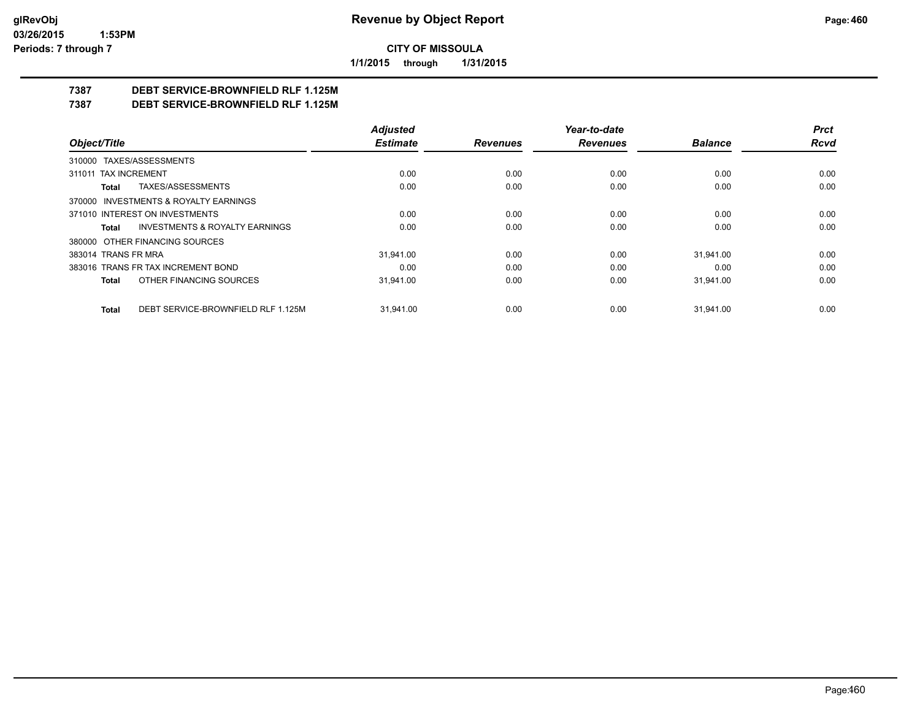**1/1/2015 through 1/31/2015**

## **7387 DEBT SERVICE-BROWNFIELD RLF 1.125M**

**7387 DEBT SERVICE-BROWNFIELD RLF 1.125M**

|                                                    | <b>Adjusted</b> |                 | Year-to-date    |                | <b>Prct</b> |
|----------------------------------------------------|-----------------|-----------------|-----------------|----------------|-------------|
| Object/Title                                       | <b>Estimate</b> | <b>Revenues</b> | <b>Revenues</b> | <b>Balance</b> | Rcvd        |
| 310000 TAXES/ASSESSMENTS                           |                 |                 |                 |                |             |
| 311011 TAX INCREMENT                               | 0.00            | 0.00            | 0.00            | 0.00           | 0.00        |
| TAXES/ASSESSMENTS<br>Total                         | 0.00            | 0.00            | 0.00            | 0.00           | 0.00        |
| 370000 INVESTMENTS & ROYALTY EARNINGS              |                 |                 |                 |                |             |
| 371010 INTEREST ON INVESTMENTS                     | 0.00            | 0.00            | 0.00            | 0.00           | 0.00        |
| <b>INVESTMENTS &amp; ROYALTY EARNINGS</b><br>Total | 0.00            | 0.00            | 0.00            | 0.00           | 0.00        |
| 380000 OTHER FINANCING SOURCES                     |                 |                 |                 |                |             |
| 383014 TRANS FR MRA                                | 31.941.00       | 0.00            | 0.00            | 31.941.00      | 0.00        |
| 383016 TRANS FR TAX INCREMENT BOND                 | 0.00            | 0.00            | 0.00            | 0.00           | 0.00        |
| OTHER FINANCING SOURCES<br>Total                   | 31.941.00       | 0.00            | 0.00            | 31,941.00      | 0.00        |
| DEBT SERVICE-BROWNFIELD RLF 1.125M<br>Total        | 31.941.00       | 0.00            | 0.00            | 31.941.00      | 0.00        |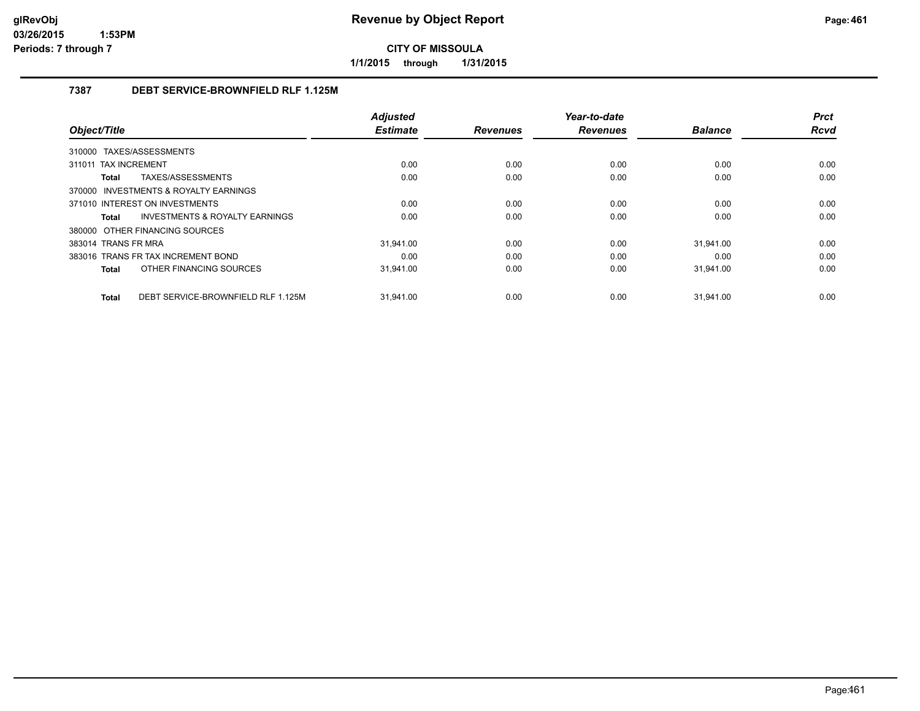**1/1/2015 through 1/31/2015**

## **7387 DEBT SERVICE-BROWNFIELD RLF 1.125M**

|                                                    | <b>Adjusted</b> |                 | Year-to-date    |                | <b>Prct</b> |
|----------------------------------------------------|-----------------|-----------------|-----------------|----------------|-------------|
| Object/Title                                       | <b>Estimate</b> | <b>Revenues</b> | <b>Revenues</b> | <b>Balance</b> | <b>Rcvd</b> |
| TAXES/ASSESSMENTS<br>310000                        |                 |                 |                 |                |             |
| 311011 TAX INCREMENT                               | 0.00            | 0.00            | 0.00            | 0.00           | 0.00        |
| TAXES/ASSESSMENTS<br>Total                         | 0.00            | 0.00            | 0.00            | 0.00           | 0.00        |
| 370000 INVESTMENTS & ROYALTY EARNINGS              |                 |                 |                 |                |             |
| 371010 INTEREST ON INVESTMENTS                     | 0.00            | 0.00            | 0.00            | 0.00           | 0.00        |
| <b>INVESTMENTS &amp; ROYALTY EARNINGS</b><br>Total | 0.00            | 0.00            | 0.00            | 0.00           | 0.00        |
| 380000 OTHER FINANCING SOURCES                     |                 |                 |                 |                |             |
| 383014 TRANS FR MRA                                | 31.941.00       | 0.00            | 0.00            | 31.941.00      | 0.00        |
| 383016 TRANS FR TAX INCREMENT BOND                 | 0.00            | 0.00            | 0.00            | 0.00           | 0.00        |
| OTHER FINANCING SOURCES<br>Total                   | 31,941.00       | 0.00            | 0.00            | 31,941.00      | 0.00        |
|                                                    |                 |                 |                 |                |             |
| DEBT SERVICE-BROWNFIELD RLF 1.125M<br>Total        | 31.941.00       | 0.00            | 0.00            | 31.941.00      | 0.00        |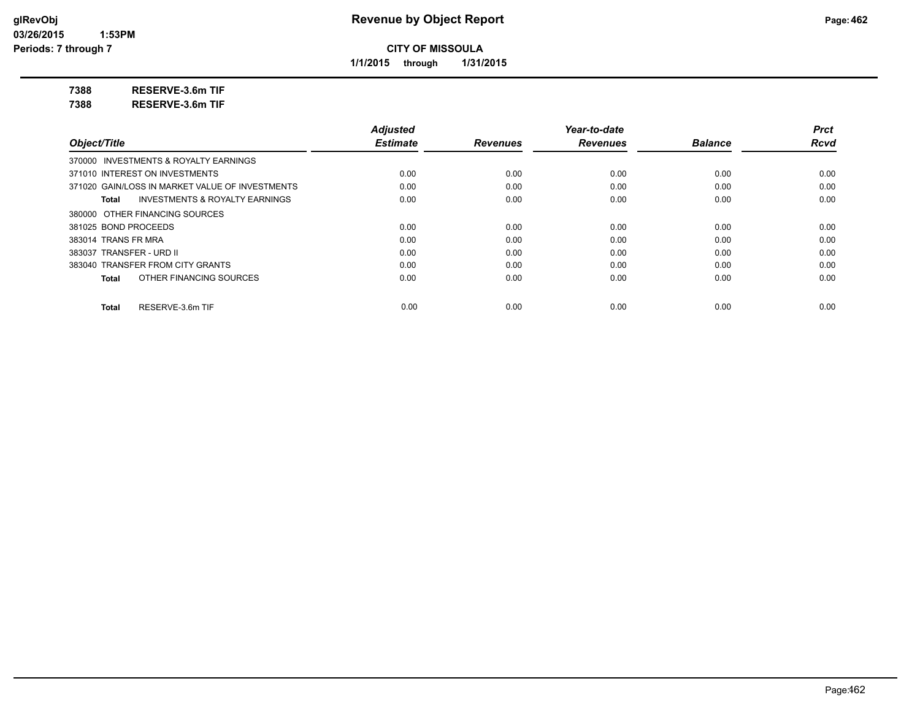**1/1/2015 through 1/31/2015**

**7388 RESERVE-3.6m TIF**

**7388 RESERVE-3.6m TIF**

|                                                    | <b>Adjusted</b> |                 | Year-to-date    |                | <b>Prct</b> |
|----------------------------------------------------|-----------------|-----------------|-----------------|----------------|-------------|
| Object/Title                                       | <b>Estimate</b> | <b>Revenues</b> | <b>Revenues</b> | <b>Balance</b> | <b>Rcvd</b> |
| 370000 INVESTMENTS & ROYALTY EARNINGS              |                 |                 |                 |                |             |
| 371010 INTEREST ON INVESTMENTS                     | 0.00            | 0.00            | 0.00            | 0.00           | 0.00        |
| 371020 GAIN/LOSS IN MARKET VALUE OF INVESTMENTS    | 0.00            | 0.00            | 0.00            | 0.00           | 0.00        |
| <b>INVESTMENTS &amp; ROYALTY EARNINGS</b><br>Total | 0.00            | 0.00            | 0.00            | 0.00           | 0.00        |
| 380000 OTHER FINANCING SOURCES                     |                 |                 |                 |                |             |
| 381025 BOND PROCEEDS                               | 0.00            | 0.00            | 0.00            | 0.00           | 0.00        |
| 383014 TRANS FR MRA                                | 0.00            | 0.00            | 0.00            | 0.00           | 0.00        |
| 383037 TRANSFER - URD II                           | 0.00            | 0.00            | 0.00            | 0.00           | 0.00        |
| 383040 TRANSFER FROM CITY GRANTS                   | 0.00            | 0.00            | 0.00            | 0.00           | 0.00        |
| OTHER FINANCING SOURCES<br>Total                   | 0.00            | 0.00            | 0.00            | 0.00           | 0.00        |
| RESERVE-3.6m TIF<br>Total                          | 0.00            | 0.00            | 0.00            | 0.00           | 0.00        |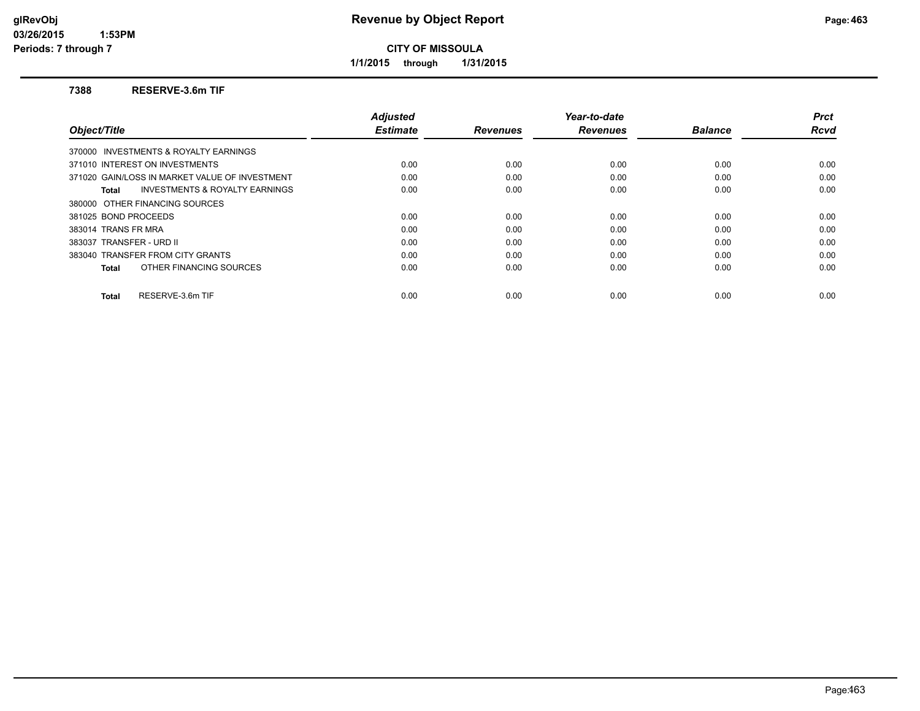**1/1/2015 through 1/31/2015**

## **7388 RESERVE-3.6m TIF**

|                                                    | <b>Adjusted</b> |                 | Year-to-date    |                | <b>Prct</b> |
|----------------------------------------------------|-----------------|-----------------|-----------------|----------------|-------------|
| Object/Title                                       | <b>Estimate</b> | <b>Revenues</b> | <b>Revenues</b> | <b>Balance</b> | Rcvd        |
| 370000 INVESTMENTS & ROYALTY EARNINGS              |                 |                 |                 |                |             |
| 371010 INTEREST ON INVESTMENTS                     | 0.00            | 0.00            | 0.00            | 0.00           | 0.00        |
| 371020 GAIN/LOSS IN MARKET VALUE OF INVESTMENT     | 0.00            | 0.00            | 0.00            | 0.00           | 0.00        |
| <b>INVESTMENTS &amp; ROYALTY EARNINGS</b><br>Total | 0.00            | 0.00            | 0.00            | 0.00           | 0.00        |
| 380000 OTHER FINANCING SOURCES                     |                 |                 |                 |                |             |
| 381025 BOND PROCEEDS                               | 0.00            | 0.00            | 0.00            | 0.00           | 0.00        |
| 383014 TRANS FR MRA                                | 0.00            | 0.00            | 0.00            | 0.00           | 0.00        |
| 383037 TRANSFER - URD II                           | 0.00            | 0.00            | 0.00            | 0.00           | 0.00        |
| 383040 TRANSFER FROM CITY GRANTS                   | 0.00            | 0.00            | 0.00            | 0.00           | 0.00        |
| OTHER FINANCING SOURCES<br>Total                   | 0.00            | 0.00            | 0.00            | 0.00           | 0.00        |
| RESERVE-3.6m TIF<br><b>Total</b>                   | 0.00            | 0.00            | 0.00            | 0.00           | 0.00        |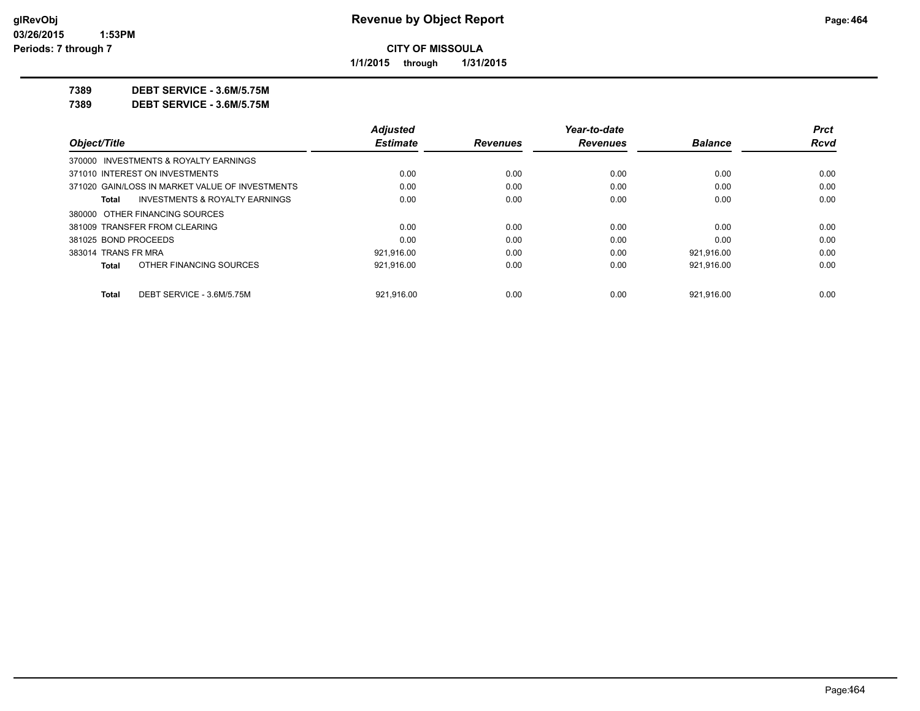**1/1/2015 through 1/31/2015**

**7389 DEBT SERVICE - 3.6M/5.75M**

**7389 DEBT SERVICE - 3.6M/5.75M**

|                      |                                                 | <b>Adjusted</b> |                 | Year-to-date    |                | <b>Prct</b> |
|----------------------|-------------------------------------------------|-----------------|-----------------|-----------------|----------------|-------------|
| Object/Title         |                                                 | <b>Estimate</b> | <b>Revenues</b> | <b>Revenues</b> | <b>Balance</b> | Rcvd        |
|                      | 370000 INVESTMENTS & ROYALTY EARNINGS           |                 |                 |                 |                |             |
|                      | 371010 INTEREST ON INVESTMENTS                  | 0.00            | 0.00            | 0.00            | 0.00           | 0.00        |
|                      | 371020 GAIN/LOSS IN MARKET VALUE OF INVESTMENTS | 0.00            | 0.00            | 0.00            | 0.00           | 0.00        |
| Total                | <b>INVESTMENTS &amp; ROYALTY EARNINGS</b>       | 0.00            | 0.00            | 0.00            | 0.00           | 0.00        |
|                      | 380000 OTHER FINANCING SOURCES                  |                 |                 |                 |                |             |
|                      | 381009 TRANSFER FROM CLEARING                   | 0.00            | 0.00            | 0.00            | 0.00           | 0.00        |
| 381025 BOND PROCEEDS |                                                 | 0.00            | 0.00            | 0.00            | 0.00           | 0.00        |
| 383014 TRANS FR MRA  |                                                 | 921,916.00      | 0.00            | 0.00            | 921.916.00     | 0.00        |
| Total                | OTHER FINANCING SOURCES                         | 921,916.00      | 0.00            | 0.00            | 921,916.00     | 0.00        |
| Total                | DEBT SERVICE - 3.6M/5.75M                       | 921.916.00      | 0.00            | 0.00            | 921.916.00     | 0.00        |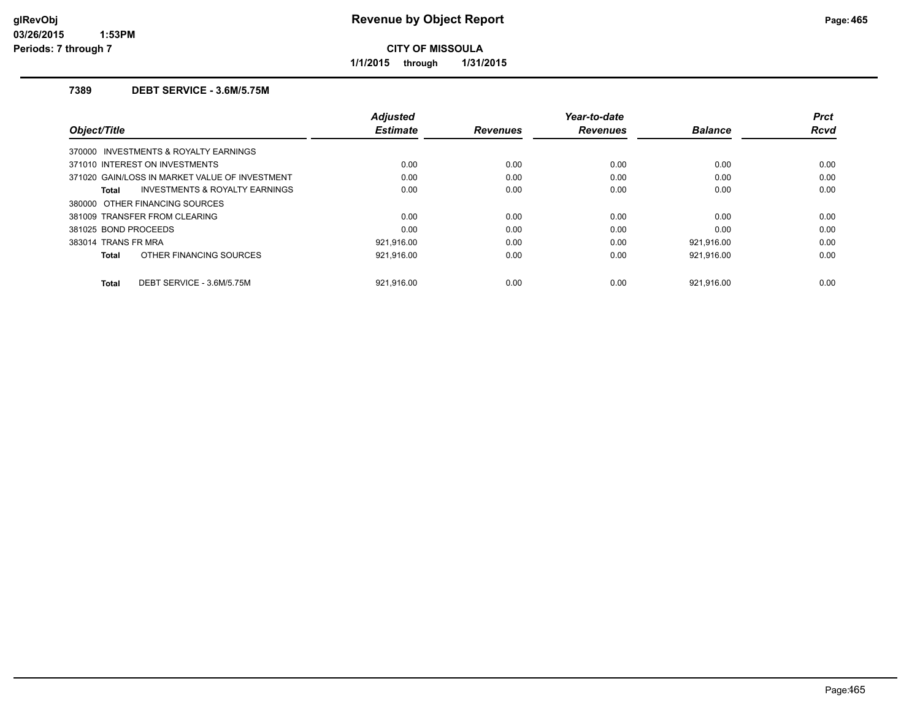**1/1/2015 through 1/31/2015**

## **7389 DEBT SERVICE - 3.6M/5.75M**

| Object/Title                   |                                                | <b>Adjusted</b><br><b>Estimate</b> | <b>Revenues</b> | Year-to-date<br><b>Revenues</b> | <b>Balance</b> | <b>Prct</b><br><b>Rcvd</b> |
|--------------------------------|------------------------------------------------|------------------------------------|-----------------|---------------------------------|----------------|----------------------------|
|                                | 370000 INVESTMENTS & ROYALTY EARNINGS          |                                    |                 |                                 |                |                            |
| 371010 INTEREST ON INVESTMENTS |                                                | 0.00                               | 0.00            | 0.00                            | 0.00           | 0.00                       |
|                                | 371020 GAIN/LOSS IN MARKET VALUE OF INVESTMENT | 0.00                               | 0.00            | 0.00                            | 0.00           | 0.00                       |
| Total                          | <b>INVESTMENTS &amp; ROYALTY EARNINGS</b>      | 0.00                               | 0.00            | 0.00                            | 0.00           | 0.00                       |
| 380000 OTHER FINANCING SOURCES |                                                |                                    |                 |                                 |                |                            |
| 381009 TRANSFER FROM CLEARING  |                                                | 0.00                               | 0.00            | 0.00                            | 0.00           | 0.00                       |
| 381025 BOND PROCEEDS           |                                                | 0.00                               | 0.00            | 0.00                            | 0.00           | 0.00                       |
| 383014 TRANS FR MRA            |                                                | 921,916.00                         | 0.00            | 0.00                            | 921.916.00     | 0.00                       |
| Total                          | OTHER FINANCING SOURCES                        | 921,916.00                         | 0.00            | 0.00                            | 921,916.00     | 0.00                       |
| Total                          | DEBT SERVICE - 3.6M/5.75M                      | 921.916.00                         | 0.00            | 0.00                            | 921.916.00     | 0.00                       |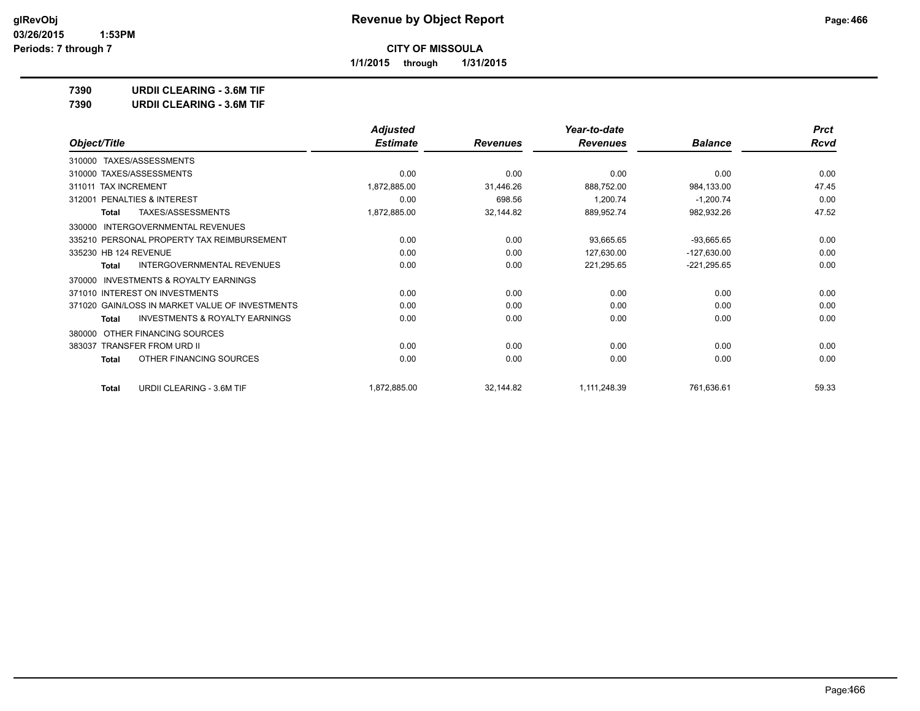**1/1/2015 through 1/31/2015**

**7390 URDII CLEARING - 3.6M TIF**

**7390 URDII CLEARING - 3.6M TIF**

|                                                           | <b>Adjusted</b> |                 | Year-to-date    |                | <b>Prct</b> |
|-----------------------------------------------------------|-----------------|-----------------|-----------------|----------------|-------------|
| Object/Title                                              | <b>Estimate</b> | <b>Revenues</b> | <b>Revenues</b> | <b>Balance</b> | <b>Rcvd</b> |
| 310000 TAXES/ASSESSMENTS                                  |                 |                 |                 |                |             |
| 310000 TAXES/ASSESSMENTS                                  | 0.00            | 0.00            | 0.00            | 0.00           | 0.00        |
| 311011 TAX INCREMENT                                      | 1,872,885.00    | 31,446.26       | 888,752.00      | 984,133.00     | 47.45       |
| PENALTIES & INTEREST<br>312001                            | 0.00            | 698.56          | 1,200.74        | $-1,200.74$    | 0.00        |
| TAXES/ASSESSMENTS<br><b>Total</b>                         | 1,872,885.00    | 32,144.82       | 889,952.74      | 982,932.26     | 47.52       |
| INTERGOVERNMENTAL REVENUES<br>330000                      |                 |                 |                 |                |             |
| 335210 PERSONAL PROPERTY TAX REIMBURSEMENT                | 0.00            | 0.00            | 93,665.65       | $-93,665.65$   | 0.00        |
| 335230 HB 124 REVENUE                                     | 0.00            | 0.00            | 127,630.00      | $-127,630.00$  | 0.00        |
| <b>INTERGOVERNMENTAL REVENUES</b><br>Total                | 0.00            | 0.00            | 221,295.65      | $-221, 295.65$ | 0.00        |
| <b>INVESTMENTS &amp; ROYALTY EARNINGS</b><br>370000       |                 |                 |                 |                |             |
| 371010 INTEREST ON INVESTMENTS                            | 0.00            | 0.00            | 0.00            | 0.00           | 0.00        |
| 371020 GAIN/LOSS IN MARKET VALUE OF INVESTMENTS           | 0.00            | 0.00            | 0.00            | 0.00           | 0.00        |
| <b>INVESTMENTS &amp; ROYALTY EARNINGS</b><br><b>Total</b> | 0.00            | 0.00            | 0.00            | 0.00           | 0.00        |
| OTHER FINANCING SOURCES<br>380000                         |                 |                 |                 |                |             |
| 383037 TRANSFER FROM URD II                               | 0.00            | 0.00            | 0.00            | 0.00           | 0.00        |
| OTHER FINANCING SOURCES<br><b>Total</b>                   | 0.00            | 0.00            | 0.00            | 0.00           | 0.00        |
| URDII CLEARING - 3.6M TIF<br>Total                        | 1,872,885.00    | 32,144.82       | 1,111,248.39    | 761,636.61     | 59.33       |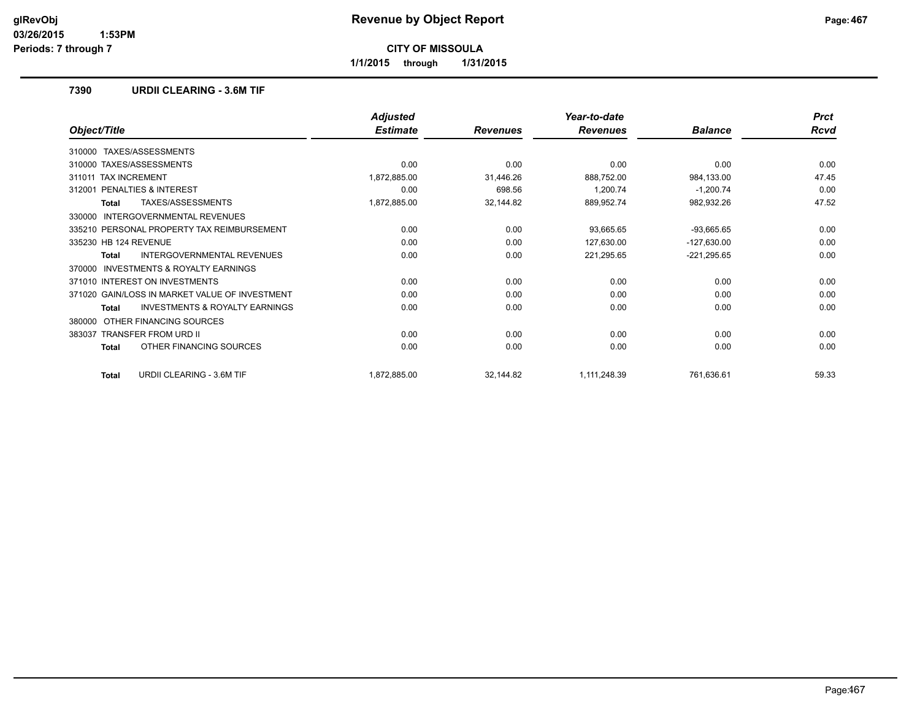**1/1/2015 through 1/31/2015**

## **7390 URDII CLEARING - 3.6M TIF**

|                                                           | <b>Adjusted</b> |                 | Year-to-date    |                | <b>Prct</b> |
|-----------------------------------------------------------|-----------------|-----------------|-----------------|----------------|-------------|
| Object/Title                                              | <b>Estimate</b> | <b>Revenues</b> | <b>Revenues</b> | <b>Balance</b> | <b>Rcvd</b> |
| TAXES/ASSESSMENTS<br>310000                               |                 |                 |                 |                |             |
| 310000 TAXES/ASSESSMENTS                                  | 0.00            | 0.00            | 0.00            | 0.00           | 0.00        |
| 311011 TAX INCREMENT                                      | 1,872,885.00    | 31,446.26       | 888,752.00      | 984,133.00     | 47.45       |
| 312001 PENALTIES & INTEREST                               | 0.00            | 698.56          | 1,200.74        | $-1,200.74$    | 0.00        |
| TAXES/ASSESSMENTS<br><b>Total</b>                         | 1,872,885.00    | 32,144.82       | 889,952.74      | 982,932.26     | 47.52       |
| <b>INTERGOVERNMENTAL REVENUES</b><br>330000               |                 |                 |                 |                |             |
| 335210 PERSONAL PROPERTY TAX REIMBURSEMENT                | 0.00            | 0.00            | 93,665.65       | $-93,665.65$   | 0.00        |
| 335230 HB 124 REVENUE                                     | 0.00            | 0.00            | 127,630.00      | $-127,630.00$  | 0.00        |
| <b>INTERGOVERNMENTAL REVENUES</b><br><b>Total</b>         | 0.00            | 0.00            | 221,295.65      | $-221, 295.65$ | 0.00        |
| INVESTMENTS & ROYALTY EARNINGS<br>370000                  |                 |                 |                 |                |             |
| 371010 INTEREST ON INVESTMENTS                            | 0.00            | 0.00            | 0.00            | 0.00           | 0.00        |
| 371020 GAIN/LOSS IN MARKET VALUE OF INVESTMENT            | 0.00            | 0.00            | 0.00            | 0.00           | 0.00        |
| <b>INVESTMENTS &amp; ROYALTY EARNINGS</b><br><b>Total</b> | 0.00            | 0.00            | 0.00            | 0.00           | 0.00        |
| OTHER FINANCING SOURCES<br>380000                         |                 |                 |                 |                |             |
| <b>TRANSFER FROM URD II</b><br>383037                     | 0.00            | 0.00            | 0.00            | 0.00           | 0.00        |
| OTHER FINANCING SOURCES<br><b>Total</b>                   | 0.00            | 0.00            | 0.00            | 0.00           | 0.00        |
| <b>URDII CLEARING - 3.6M TIF</b><br><b>Total</b>          | 1,872,885.00    | 32,144.82       | 1,111,248.39    | 761,636.61     | 59.33       |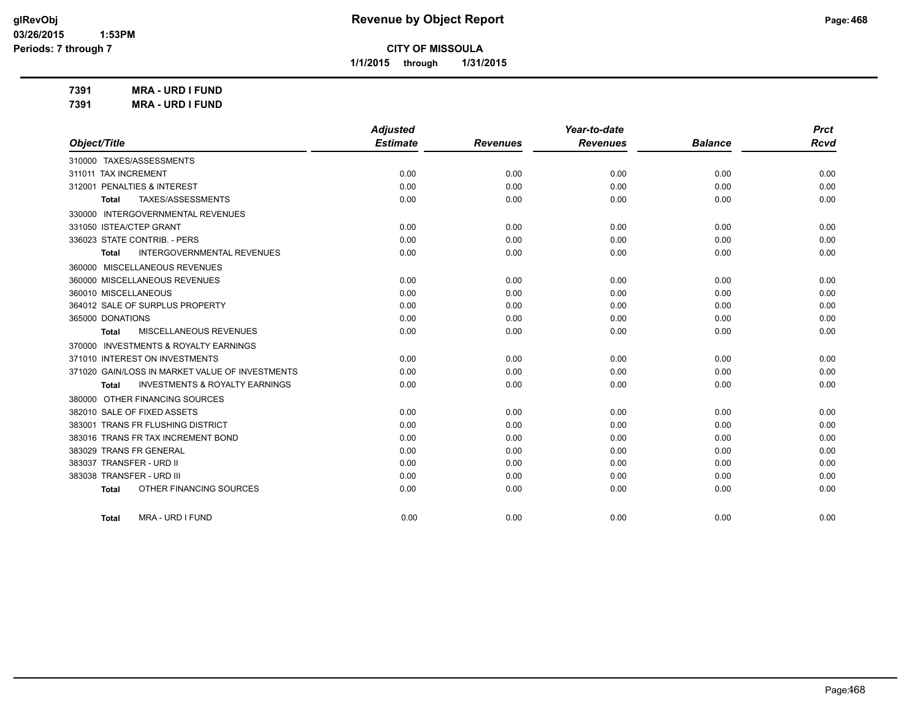**1/1/2015 through 1/31/2015**

**7391 MRA - URD I FUND**

| <b>MRA - URD I FUND</b><br>7391 |
|---------------------------------|
|---------------------------------|

|                                                           | <b>Adjusted</b> |                 | Year-to-date    |                | <b>Prct</b> |
|-----------------------------------------------------------|-----------------|-----------------|-----------------|----------------|-------------|
| Object/Title                                              | <b>Estimate</b> | <b>Revenues</b> | <b>Revenues</b> | <b>Balance</b> | <b>Rcvd</b> |
| 310000 TAXES/ASSESSMENTS                                  |                 |                 |                 |                |             |
| 311011 TAX INCREMENT                                      | 0.00            | 0.00            | 0.00            | 0.00           | 0.00        |
| 312001 PENALTIES & INTEREST                               | 0.00            | 0.00            | 0.00            | 0.00           | 0.00        |
| TAXES/ASSESSMENTS<br><b>Total</b>                         | 0.00            | 0.00            | 0.00            | 0.00           | 0.00        |
| 330000 INTERGOVERNMENTAL REVENUES                         |                 |                 |                 |                |             |
| 331050 ISTEA/CTEP GRANT                                   | 0.00            | 0.00            | 0.00            | 0.00           | 0.00        |
| 336023 STATE CONTRIB. - PERS                              | 0.00            | 0.00            | 0.00            | 0.00           | 0.00        |
| <b>INTERGOVERNMENTAL REVENUES</b><br>Total                | 0.00            | 0.00            | 0.00            | 0.00           | 0.00        |
| 360000 MISCELLANEOUS REVENUES                             |                 |                 |                 |                |             |
| 360000 MISCELLANEOUS REVENUES                             | 0.00            | 0.00            | 0.00            | 0.00           | 0.00        |
| 360010 MISCELLANEOUS                                      | 0.00            | 0.00            | 0.00            | 0.00           | 0.00        |
| 364012 SALE OF SURPLUS PROPERTY                           | 0.00            | 0.00            | 0.00            | 0.00           | 0.00        |
| 365000 DONATIONS                                          | 0.00            | 0.00            | 0.00            | 0.00           | 0.00        |
| MISCELLANEOUS REVENUES<br><b>Total</b>                    | 0.00            | 0.00            | 0.00            | 0.00           | 0.00        |
| 370000 INVESTMENTS & ROYALTY EARNINGS                     |                 |                 |                 |                |             |
| 371010 INTEREST ON INVESTMENTS                            | 0.00            | 0.00            | 0.00            | 0.00           | 0.00        |
| 371020 GAIN/LOSS IN MARKET VALUE OF INVESTMENTS           | 0.00            | 0.00            | 0.00            | 0.00           | 0.00        |
| <b>INVESTMENTS &amp; ROYALTY EARNINGS</b><br><b>Total</b> | 0.00            | 0.00            | 0.00            | 0.00           | 0.00        |
| 380000 OTHER FINANCING SOURCES                            |                 |                 |                 |                |             |
| 382010 SALE OF FIXED ASSETS                               | 0.00            | 0.00            | 0.00            | 0.00           | 0.00        |
| 383001 TRANS FR FLUSHING DISTRICT                         | 0.00            | 0.00            | 0.00            | 0.00           | 0.00        |
| 383016 TRANS FR TAX INCREMENT BOND                        | 0.00            | 0.00            | 0.00            | 0.00           | 0.00        |
| 383029 TRANS FR GENERAL                                   | 0.00            | 0.00            | 0.00            | 0.00           | 0.00        |
| 383037 TRANSFER - URD II                                  | 0.00            | 0.00            | 0.00            | 0.00           | 0.00        |
| 383038 TRANSFER - URD III                                 | 0.00            | 0.00            | 0.00            | 0.00           | 0.00        |
| OTHER FINANCING SOURCES<br><b>Total</b>                   | 0.00            | 0.00            | 0.00            | 0.00           | 0.00        |
|                                                           |                 |                 |                 |                |             |
| <b>MRA - URD I FUND</b><br><b>Total</b>                   | 0.00            | 0.00            | 0.00            | 0.00           | 0.00        |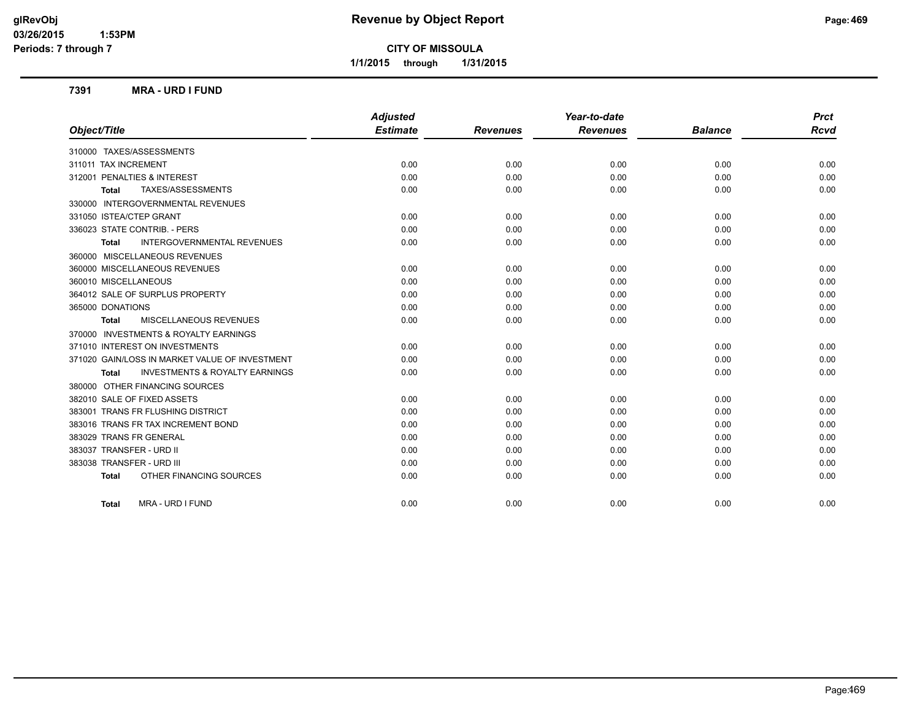**1/1/2015 through 1/31/2015**

## **7391 MRA - URD I FUND**

|                                                    | <b>Adjusted</b> |                 | Year-to-date    |                | <b>Prct</b> |
|----------------------------------------------------|-----------------|-----------------|-----------------|----------------|-------------|
| Object/Title                                       | <b>Estimate</b> | <b>Revenues</b> | <b>Revenues</b> | <b>Balance</b> | <b>Rcvd</b> |
| 310000 TAXES/ASSESSMENTS                           |                 |                 |                 |                |             |
| 311011 TAX INCREMENT                               | 0.00            | 0.00            | 0.00            | 0.00           | 0.00        |
| 312001 PENALTIES & INTEREST                        | 0.00            | 0.00            | 0.00            | 0.00           | 0.00        |
| TAXES/ASSESSMENTS<br><b>Total</b>                  | 0.00            | 0.00            | 0.00            | 0.00           | 0.00        |
| 330000 INTERGOVERNMENTAL REVENUES                  |                 |                 |                 |                |             |
| 331050 ISTEA/CTEP GRANT                            | 0.00            | 0.00            | 0.00            | 0.00           | 0.00        |
| 336023 STATE CONTRIB. - PERS                       | 0.00            | 0.00            | 0.00            | 0.00           | 0.00        |
| INTERGOVERNMENTAL REVENUES<br><b>Total</b>         | 0.00            | 0.00            | 0.00            | 0.00           | 0.00        |
| 360000 MISCELLANEOUS REVENUES                      |                 |                 |                 |                |             |
| 360000 MISCELLANEOUS REVENUES                      | 0.00            | 0.00            | 0.00            | 0.00           | 0.00        |
| 360010 MISCELLANEOUS                               | 0.00            | 0.00            | 0.00            | 0.00           | 0.00        |
| 364012 SALE OF SURPLUS PROPERTY                    | 0.00            | 0.00            | 0.00            | 0.00           | 0.00        |
| 365000 DONATIONS                                   | 0.00            | 0.00            | 0.00            | 0.00           | 0.00        |
| <b>MISCELLANEOUS REVENUES</b><br><b>Total</b>      | 0.00            | 0.00            | 0.00            | 0.00           | 0.00        |
| 370000 INVESTMENTS & ROYALTY EARNINGS              |                 |                 |                 |                |             |
| 371010 INTEREST ON INVESTMENTS                     | 0.00            | 0.00            | 0.00            | 0.00           | 0.00        |
| 371020 GAIN/LOSS IN MARKET VALUE OF INVESTMENT     | 0.00            | 0.00            | 0.00            | 0.00           | 0.00        |
| <b>INVESTMENTS &amp; ROYALTY EARNINGS</b><br>Total | 0.00            | 0.00            | 0.00            | 0.00           | 0.00        |
| 380000 OTHER FINANCING SOURCES                     |                 |                 |                 |                |             |
| 382010 SALE OF FIXED ASSETS                        | 0.00            | 0.00            | 0.00            | 0.00           | 0.00        |
| 383001 TRANS FR FLUSHING DISTRICT                  | 0.00            | 0.00            | 0.00            | 0.00           | 0.00        |
| 383016 TRANS FR TAX INCREMENT BOND                 | 0.00            | 0.00            | 0.00            | 0.00           | 0.00        |
| 383029 TRANS FR GENERAL                            | 0.00            | 0.00            | 0.00            | 0.00           | 0.00        |
| 383037 TRANSFER - URD II                           | 0.00            | 0.00            | 0.00            | 0.00           | 0.00        |
| 383038 TRANSFER - URD III                          | 0.00            | 0.00            | 0.00            | 0.00           | 0.00        |
| OTHER FINANCING SOURCES<br><b>Total</b>            | 0.00            | 0.00            | 0.00            | 0.00           | 0.00        |
| MRA - URD I FUND<br><b>Total</b>                   | 0.00            | 0.00            | 0.00            | 0.00           | 0.00        |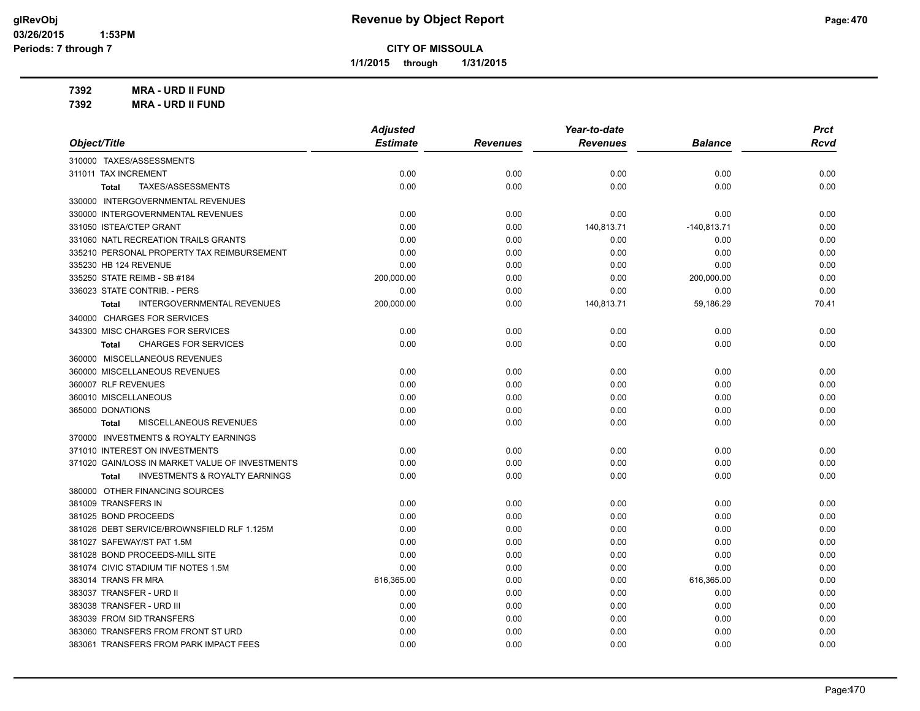**1/1/2015 through 1/31/2015**

**7392 MRA - URD II FUND 7392 MRA - URD II FUND**

| 7392 | MKA - UKD II FUNI |  |
|------|-------------------|--|
|      |                   |  |

|                                                    | <b>Adjusted</b> |                 | Year-to-date    |                | <b>Prct</b> |
|----------------------------------------------------|-----------------|-----------------|-----------------|----------------|-------------|
| Object/Title                                       | <b>Estimate</b> | <b>Revenues</b> | <b>Revenues</b> | <b>Balance</b> | <b>Rcvd</b> |
| 310000 TAXES/ASSESSMENTS                           |                 |                 |                 |                |             |
| 311011 TAX INCREMENT                               | 0.00            | 0.00            | 0.00            | 0.00           | 0.00        |
| TAXES/ASSESSMENTS<br><b>Total</b>                  | 0.00            | 0.00            | 0.00            | 0.00           | 0.00        |
| 330000 INTERGOVERNMENTAL REVENUES                  |                 |                 |                 |                |             |
| 330000 INTERGOVERNMENTAL REVENUES                  | 0.00            | 0.00            | 0.00            | 0.00           | 0.00        |
| 331050 ISTEA/CTEP GRANT                            | 0.00            | 0.00            | 140,813.71      | $-140,813.71$  | 0.00        |
| 331060 NATL RECREATION TRAILS GRANTS               | 0.00            | 0.00            | 0.00            | 0.00           | 0.00        |
| 335210 PERSONAL PROPERTY TAX REIMBURSEMENT         | 0.00            | 0.00            | 0.00            | 0.00           | 0.00        |
| 335230 HB 124 REVENUE                              | 0.00            | 0.00            | 0.00            | 0.00           | 0.00        |
| 335250 STATE REIMB - SB #184                       | 200,000.00      | 0.00            | 0.00            | 200,000.00     | 0.00        |
| 336023 STATE CONTRIB. - PERS                       | 0.00            | 0.00            | 0.00            | 0.00           | 0.00        |
| INTERGOVERNMENTAL REVENUES<br>Total                | 200,000.00      | 0.00            | 140,813.71      | 59,186.29      | 70.41       |
| 340000 CHARGES FOR SERVICES                        |                 |                 |                 |                |             |
| 343300 MISC CHARGES FOR SERVICES                   | 0.00            | 0.00            | 0.00            | 0.00           | 0.00        |
| <b>CHARGES FOR SERVICES</b><br><b>Total</b>        | 0.00            | 0.00            | 0.00            | 0.00           | 0.00        |
| 360000 MISCELLANEOUS REVENUES                      |                 |                 |                 |                |             |
| 360000 MISCELLANEOUS REVENUES                      | 0.00            | 0.00            | 0.00            | 0.00           | 0.00        |
| 360007 RLF REVENUES                                | 0.00            | 0.00            | 0.00            | 0.00           | 0.00        |
| 360010 MISCELLANEOUS                               | 0.00            | 0.00            | 0.00            | 0.00           | 0.00        |
| 365000 DONATIONS                                   | 0.00            | 0.00            | 0.00            | 0.00           | 0.00        |
| MISCELLANEOUS REVENUES<br><b>Total</b>             | 0.00            | 0.00            | 0.00            | 0.00           | 0.00        |
| 370000 INVESTMENTS & ROYALTY EARNINGS              |                 |                 |                 |                |             |
| 371010 INTEREST ON INVESTMENTS                     | 0.00            | 0.00            | 0.00            | 0.00           | 0.00        |
| 371020 GAIN/LOSS IN MARKET VALUE OF INVESTMENTS    | 0.00            | 0.00            | 0.00            | 0.00           | 0.00        |
| <b>INVESTMENTS &amp; ROYALTY EARNINGS</b><br>Total | 0.00            | 0.00            | 0.00            | 0.00           | 0.00        |
| 380000 OTHER FINANCING SOURCES                     |                 |                 |                 |                |             |
| 381009 TRANSFERS IN                                | 0.00            | 0.00            | 0.00            | 0.00           | 0.00        |
| 381025 BOND PROCEEDS                               | 0.00            | 0.00            | 0.00            | 0.00           | 0.00        |
| 381026 DEBT SERVICE/BROWNSFIELD RLF 1.125M         | 0.00            | 0.00            | 0.00            | 0.00           | 0.00        |
| 381027 SAFEWAY/ST PAT 1.5M                         | 0.00            | 0.00            | 0.00            | 0.00           | 0.00        |
| 381028 BOND PROCEEDS-MILL SITE                     | 0.00            | 0.00            | 0.00            | 0.00           | 0.00        |
| 381074 CIVIC STADIUM TIF NOTES 1.5M                | 0.00            | 0.00            | 0.00            | 0.00           | 0.00        |
| 383014 TRANS FR MRA                                | 616,365.00      | 0.00            | 0.00            | 616,365.00     | 0.00        |
| 383037 TRANSFER - URD II                           | 0.00            | 0.00            | 0.00            | 0.00           | 0.00        |
| 383038 TRANSFER - URD III                          | 0.00            | 0.00            | 0.00            | 0.00           | 0.00        |
| 383039 FROM SID TRANSFERS                          | 0.00            | 0.00            | 0.00            | 0.00           | 0.00        |
| 383060 TRANSFERS FROM FRONT ST URD                 | 0.00            | 0.00            | 0.00            | 0.00           | 0.00        |
| 383061 TRANSFERS FROM PARK IMPACT FEES             | 0.00            | 0.00            | 0.00            | 0.00           | 0.00        |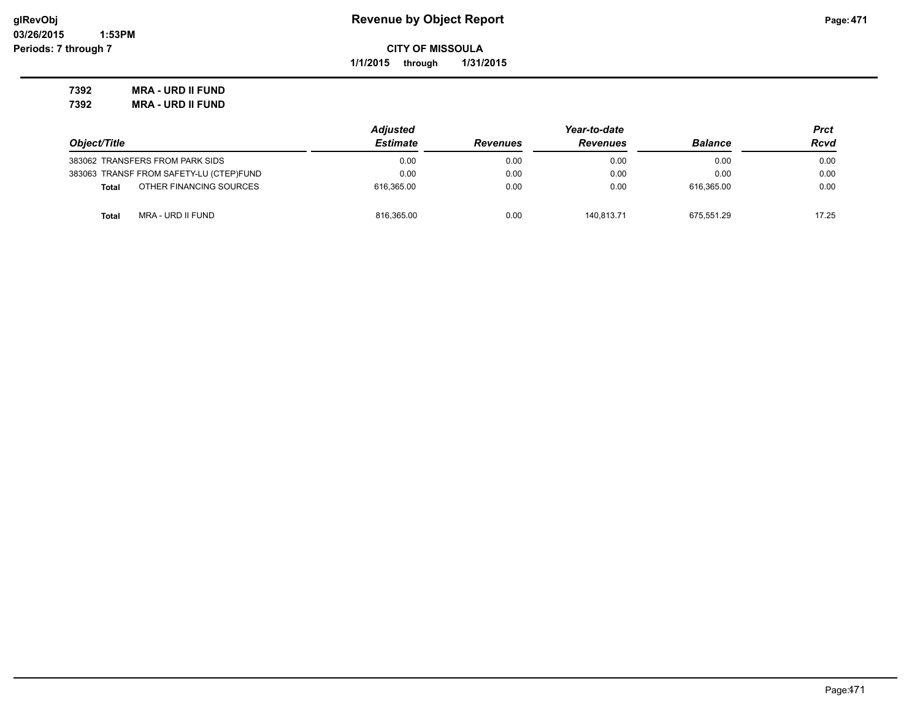# **glRevObj Revenue by Object Report Page:471**

**CITY OF MISSOULA**

**1/1/2015 through 1/31/2015**

**7392 MRA - URD II FUND 7392 MRA - URD II FUND**

|                                         | <b>Adjusted</b> |                 | Year-to-date    |                | Prct  |
|-----------------------------------------|-----------------|-----------------|-----------------|----------------|-------|
| Object/Title                            | <b>Estimate</b> | <b>Revenues</b> | <b>Revenues</b> | <b>Balance</b> | Rcvd  |
| 383062 TRANSFERS FROM PARK SIDS         | 0.00            | 0.00            | 0.00            | 0.00           | 0.00  |
| 383063 TRANSF FROM SAFETY-LU (CTEP)FUND | 0.00            | 0.00            | 0.00            | 0.00           | 0.00  |
| OTHER FINANCING SOURCES<br><b>Total</b> | 616.365.00      | 0.00            | 0.00            | 616.365.00     | 0.00  |
| MRA - URD II FUND<br><b>Total</b>       | 816,365.00      | 0.00            | 140.813.71      | 675.551.29     | 17.25 |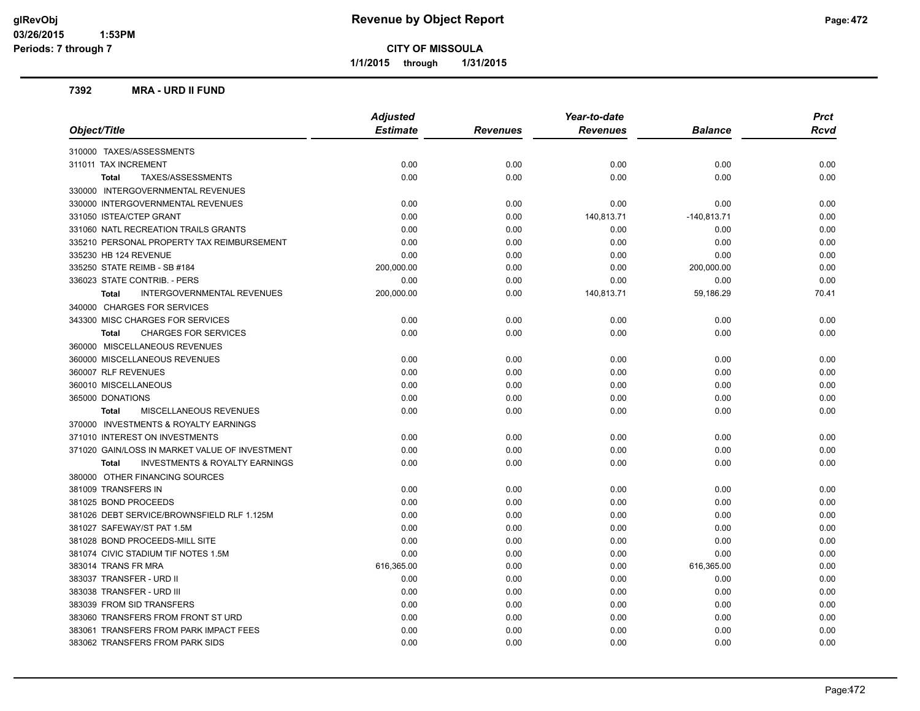# **glRevObj Revenue by Object Report Page:472**

## **CITY OF MISSOULA**

**1/1/2015 through 1/31/2015**

## **7392 MRA - URD II FUND**

|                                                           | <b>Adjusted</b> |                 | Year-to-date    |                | <b>Prct</b> |
|-----------------------------------------------------------|-----------------|-----------------|-----------------|----------------|-------------|
| Object/Title                                              | <b>Estimate</b> | <b>Revenues</b> | <b>Revenues</b> | <b>Balance</b> | Rcvd        |
| 310000 TAXES/ASSESSMENTS                                  |                 |                 |                 |                |             |
| 311011 TAX INCREMENT                                      | 0.00            | 0.00            | 0.00            | 0.00           | 0.00        |
| TAXES/ASSESSMENTS<br>Total                                | 0.00            | 0.00            | 0.00            | 0.00           | 0.00        |
| 330000 INTERGOVERNMENTAL REVENUES                         |                 |                 |                 |                |             |
| 330000 INTERGOVERNMENTAL REVENUES                         | 0.00            | 0.00            | 0.00            | 0.00           | 0.00        |
| 331050 ISTEA/CTEP GRANT                                   | 0.00            | 0.00            | 140,813.71      | $-140,813.71$  | 0.00        |
| 331060 NATL RECREATION TRAILS GRANTS                      | 0.00            | 0.00            | 0.00            | 0.00           | 0.00        |
| 335210 PERSONAL PROPERTY TAX REIMBURSEMENT                | 0.00            | 0.00            | 0.00            | 0.00           | 0.00        |
| 335230 HB 124 REVENUE                                     | 0.00            | 0.00            | 0.00            | 0.00           | 0.00        |
| 335250 STATE REIMB - SB #184                              | 200,000.00      | 0.00            | 0.00            | 200,000.00     | 0.00        |
| 336023 STATE CONTRIB. - PERS                              | 0.00            | 0.00            | 0.00            | 0.00           | 0.00        |
| <b>INTERGOVERNMENTAL REVENUES</b><br><b>Total</b>         | 200,000.00      | 0.00            | 140,813.71      | 59,186.29      | 70.41       |
| 340000 CHARGES FOR SERVICES                               |                 |                 |                 |                |             |
| 343300 MISC CHARGES FOR SERVICES                          | 0.00            | 0.00            | 0.00            | 0.00           | 0.00        |
| <b>CHARGES FOR SERVICES</b><br><b>Total</b>               | 0.00            | 0.00            | 0.00            | 0.00           | 0.00        |
| 360000 MISCELLANEOUS REVENUES                             |                 |                 |                 |                |             |
| 360000 MISCELLANEOUS REVENUES                             | 0.00            | 0.00            | 0.00            | 0.00           | 0.00        |
| 360007 RLF REVENUES                                       | 0.00            | 0.00            | 0.00            | 0.00           | 0.00        |
| 360010 MISCELLANEOUS                                      | 0.00            | 0.00            | 0.00            | 0.00           | 0.00        |
| 365000 DONATIONS                                          | 0.00            | 0.00            | 0.00            | 0.00           | 0.00        |
| MISCELLANEOUS REVENUES<br><b>Total</b>                    | 0.00            | 0.00            | 0.00            | 0.00           | 0.00        |
| 370000 INVESTMENTS & ROYALTY EARNINGS                     |                 |                 |                 |                |             |
| 371010 INTEREST ON INVESTMENTS                            | 0.00            | 0.00            | 0.00            | 0.00           | 0.00        |
| 371020 GAIN/LOSS IN MARKET VALUE OF INVESTMENT            | 0.00            | 0.00            | 0.00            | 0.00           | 0.00        |
| <b>INVESTMENTS &amp; ROYALTY EARNINGS</b><br><b>Total</b> | 0.00            | 0.00            | 0.00            | 0.00           | 0.00        |
| 380000 OTHER FINANCING SOURCES                            |                 |                 |                 |                |             |
| 381009 TRANSFERS IN                                       | 0.00            | 0.00            | 0.00            | 0.00           | 0.00        |
| 381025 BOND PROCEEDS                                      | 0.00            | 0.00            | 0.00            | 0.00           | 0.00        |
| 381026 DEBT SERVICE/BROWNSFIELD RLF 1.125M                | 0.00            | 0.00            | 0.00            | 0.00           | 0.00        |
| 381027 SAFEWAY/ST PAT 1.5M                                | 0.00            | 0.00            | 0.00            | 0.00           | 0.00        |
| 381028 BOND PROCEEDS-MILL SITE                            | 0.00            | 0.00            | 0.00            | 0.00           | 0.00        |
| 381074 CIVIC STADIUM TIF NOTES 1.5M                       | 0.00            | 0.00            | 0.00            | 0.00           | 0.00        |
| 383014 TRANS FR MRA                                       | 616,365.00      | 0.00            | 0.00            | 616,365.00     | 0.00        |
| 383037 TRANSFER - URD II                                  | 0.00            | 0.00            | 0.00            | 0.00           | 0.00        |
| 383038 TRANSFER - URD III                                 | 0.00            | 0.00            | 0.00            | 0.00           | 0.00        |
| 383039 FROM SID TRANSFERS                                 | 0.00            | 0.00            | 0.00            | 0.00           | 0.00        |
| 383060 TRANSFERS FROM FRONT ST URD                        | 0.00            | 0.00            | 0.00            | 0.00           | 0.00        |
| 383061 TRANSFERS FROM PARK IMPACT FEES                    | 0.00            | 0.00            | 0.00            | 0.00           | 0.00        |
| 383062 TRANSFERS FROM PARK SIDS                           | 0.00            | 0.00            | 0.00            | 0.00           | 0.00        |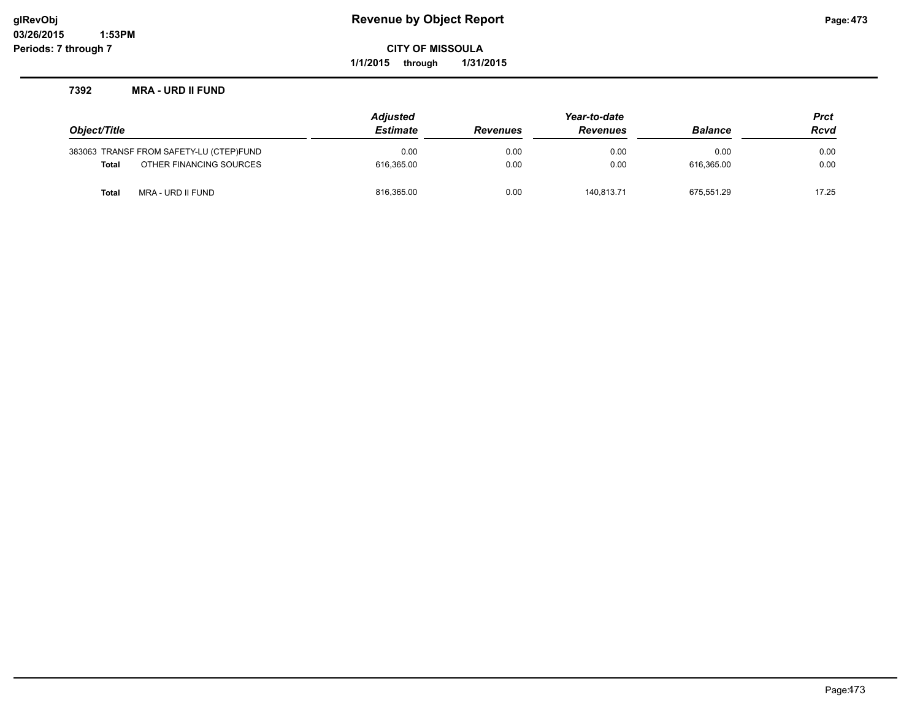**1/1/2015 through 1/31/2015**

## **7392 MRA - URD II FUND**

|              |                                         | <b>Adjusted</b> | Year-to-date    |                 |                | <b>Prct</b> |
|--------------|-----------------------------------------|-----------------|-----------------|-----------------|----------------|-------------|
| Object/Title |                                         | <b>Estimate</b> | <b>Revenues</b> | <b>Revenues</b> | <b>Balance</b> | <b>Rcvd</b> |
|              | 383063 TRANSF FROM SAFETY-LU (CTEP)FUND | 0.00            | 0.00            | 0.00            | 0.00           | 0.00        |
| <b>Total</b> | OTHER FINANCING SOURCES                 | 616.365.00      | 0.00            | 0.00            | 616.365.00     | 0.00        |
| Total        | MRA - URD II FUND                       | 816,365.00      | 0.00            | 140.813.71      | 675.551.29     | 17.25       |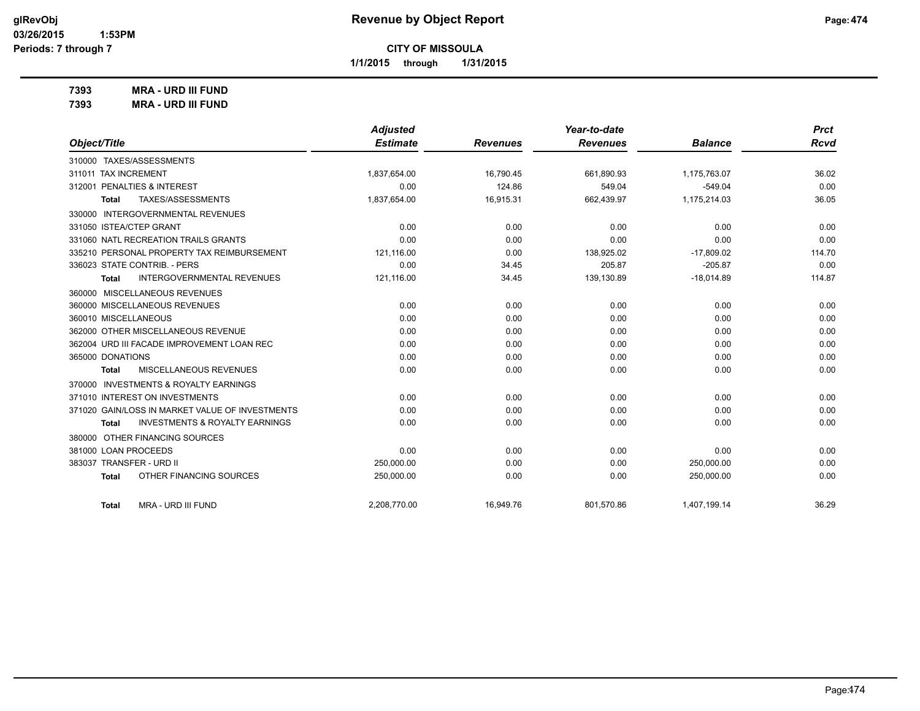**1/1/2015 through 1/31/2015**

**7393 MRA - URD III FUND**

| 7393 | <b>MRA - URD III FUND</b> |  |
|------|---------------------------|--|
|      |                           |  |

|                                                           | <b>Adjusted</b> |                 | Year-to-date    |                | <b>Prct</b> |
|-----------------------------------------------------------|-----------------|-----------------|-----------------|----------------|-------------|
| Object/Title                                              | <b>Estimate</b> | <b>Revenues</b> | <b>Revenues</b> | <b>Balance</b> | Rcvd        |
| 310000 TAXES/ASSESSMENTS                                  |                 |                 |                 |                |             |
| 311011 TAX INCREMENT                                      | 1.837.654.00    | 16.790.45       | 661,890.93      | 1,175,763.07   | 36.02       |
| 312001 PENALTIES & INTEREST                               | 0.00            | 124.86          | 549.04          | $-549.04$      | 0.00        |
| TAXES/ASSESSMENTS<br><b>Total</b>                         | 1,837,654.00    | 16,915.31       | 662,439.97      | 1,175,214.03   | 36.05       |
| 330000 INTERGOVERNMENTAL REVENUES                         |                 |                 |                 |                |             |
| 331050 ISTEA/CTEP GRANT                                   | 0.00            | 0.00            | 0.00            | 0.00           | 0.00        |
| 331060 NATL RECREATION TRAILS GRANTS                      | 0.00            | 0.00            | 0.00            | 0.00           | 0.00        |
| 335210 PERSONAL PROPERTY TAX REIMBURSEMENT                | 121,116.00      | 0.00            | 138,925.02      | $-17,809.02$   | 114.70      |
| 336023 STATE CONTRIB. - PERS                              | 0.00            | 34.45           | 205.87          | $-205.87$      | 0.00        |
| <b>INTERGOVERNMENTAL REVENUES</b><br><b>Total</b>         | 121.116.00      | 34.45           | 139,130.89      | $-18,014.89$   | 114.87      |
| 360000 MISCELLANEOUS REVENUES                             |                 |                 |                 |                |             |
| 360000 MISCELLANEOUS REVENUES                             | 0.00            | 0.00            | 0.00            | 0.00           | 0.00        |
| 360010 MISCELLANEOUS                                      | 0.00            | 0.00            | 0.00            | 0.00           | 0.00        |
| 362000 OTHER MISCELLANEOUS REVENUE                        | 0.00            | 0.00            | 0.00            | 0.00           | 0.00        |
| 362004 URD III FACADE IMPROVEMENT LOAN REC                | 0.00            | 0.00            | 0.00            | 0.00           | 0.00        |
| 365000 DONATIONS                                          | 0.00            | 0.00            | 0.00            | 0.00           | 0.00        |
| MISCELLANEOUS REVENUES<br>Total                           | 0.00            | 0.00            | 0.00            | 0.00           | 0.00        |
| <b>INVESTMENTS &amp; ROYALTY EARNINGS</b><br>370000       |                 |                 |                 |                |             |
| 371010 INTEREST ON INVESTMENTS                            | 0.00            | 0.00            | 0.00            | 0.00           | 0.00        |
| 371020 GAIN/LOSS IN MARKET VALUE OF INVESTMENTS           | 0.00            | 0.00            | 0.00            | 0.00           | 0.00        |
| <b>INVESTMENTS &amp; ROYALTY EARNINGS</b><br><b>Total</b> | 0.00            | 0.00            | 0.00            | 0.00           | 0.00        |
| OTHER FINANCING SOURCES<br>380000                         |                 |                 |                 |                |             |
| 381000 LOAN PROCEEDS                                      | 0.00            | 0.00            | 0.00            | 0.00           | 0.00        |
| 383037 TRANSFER - URD II                                  | 250,000.00      | 0.00            | 0.00            | 250,000.00     | 0.00        |
| OTHER FINANCING SOURCES<br><b>Total</b>                   | 250,000.00      | 0.00            | 0.00            | 250,000.00     | 0.00        |
| MRA - URD III FUND<br><b>Total</b>                        | 2,208,770.00    | 16,949.76       | 801,570.86      | 1,407,199.14   | 36.29       |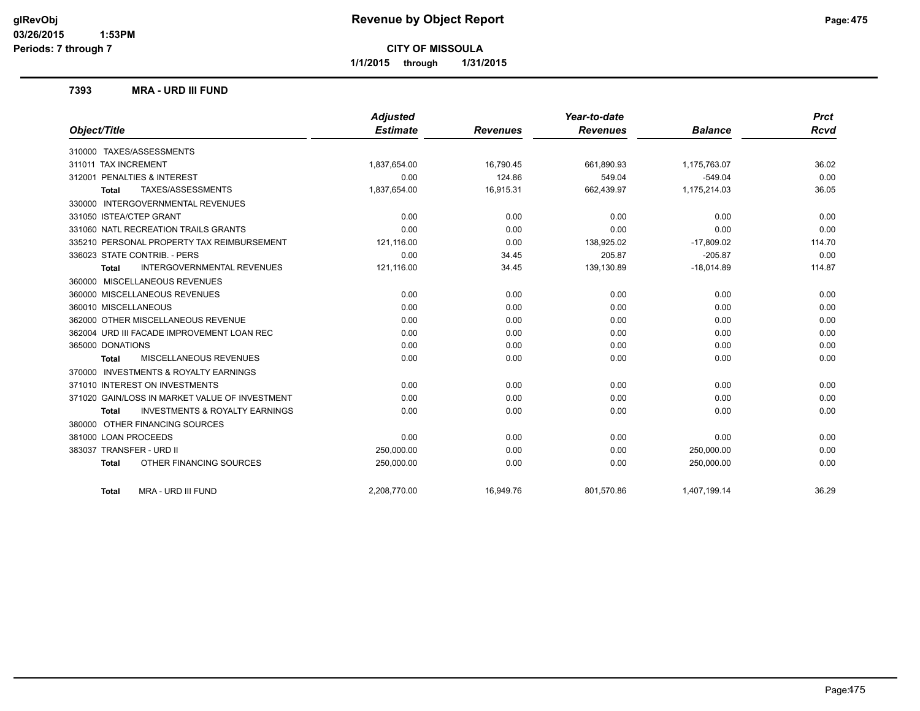**1/1/2015 through 1/31/2015**

## **7393 MRA - URD III FUND**

|                                                    | <b>Adjusted</b> |                 | Year-to-date    |                | <b>Prct</b> |
|----------------------------------------------------|-----------------|-----------------|-----------------|----------------|-------------|
| Object/Title                                       | <b>Estimate</b> | <b>Revenues</b> | <b>Revenues</b> | <b>Balance</b> | <b>Rcvd</b> |
| 310000 TAXES/ASSESSMENTS                           |                 |                 |                 |                |             |
| 311011 TAX INCREMENT                               | 1,837,654.00    | 16,790.45       | 661,890.93      | 1,175,763.07   | 36.02       |
| 312001 PENALTIES & INTEREST                        | 0.00            | 124.86          | 549.04          | $-549.04$      | 0.00        |
| TAXES/ASSESSMENTS<br>Total                         | 1,837,654.00    | 16,915.31       | 662,439.97      | 1,175,214.03   | 36.05       |
| 330000 INTERGOVERNMENTAL REVENUES                  |                 |                 |                 |                |             |
| 331050 ISTEA/CTEP GRANT                            | 0.00            | 0.00            | 0.00            | 0.00           | 0.00        |
| 331060 NATL RECREATION TRAILS GRANTS               | 0.00            | 0.00            | 0.00            | 0.00           | 0.00        |
| 335210 PERSONAL PROPERTY TAX REIMBURSEMENT         | 121.116.00      | 0.00            | 138,925.02      | $-17,809.02$   | 114.70      |
| 336023 STATE CONTRIB. - PERS                       | 0.00            | 34.45           | 205.87          | $-205.87$      | 0.00        |
| <b>INTERGOVERNMENTAL REVENUES</b><br><b>Total</b>  | 121,116.00      | 34.45           | 139,130.89      | $-18,014.89$   | 114.87      |
| 360000 MISCELLANEOUS REVENUES                      |                 |                 |                 |                |             |
| 360000 MISCELLANEOUS REVENUES                      | 0.00            | 0.00            | 0.00            | 0.00           | 0.00        |
| 360010 MISCELLANEOUS                               | 0.00            | 0.00            | 0.00            | 0.00           | 0.00        |
| 362000 OTHER MISCELLANEOUS REVENUE                 | 0.00            | 0.00            | 0.00            | 0.00           | 0.00        |
| 362004 URD III FACADE IMPROVEMENT LOAN REC         | 0.00            | 0.00            | 0.00            | 0.00           | 0.00        |
| 365000 DONATIONS                                   | 0.00            | 0.00            | 0.00            | 0.00           | 0.00        |
| MISCELLANEOUS REVENUES<br><b>Total</b>             | 0.00            | 0.00            | 0.00            | 0.00           | 0.00        |
| 370000 INVESTMENTS & ROYALTY EARNINGS              |                 |                 |                 |                |             |
| 371010 INTEREST ON INVESTMENTS                     | 0.00            | 0.00            | 0.00            | 0.00           | 0.00        |
| 371020 GAIN/LOSS IN MARKET VALUE OF INVESTMENT     | 0.00            | 0.00            | 0.00            | 0.00           | 0.00        |
| <b>INVESTMENTS &amp; ROYALTY EARNINGS</b><br>Total | 0.00            | 0.00            | 0.00            | 0.00           | 0.00        |
| 380000 OTHER FINANCING SOURCES                     |                 |                 |                 |                |             |
| 381000 LOAN PROCEEDS                               | 0.00            | 0.00            | 0.00            | 0.00           | 0.00        |
| 383037 TRANSFER - URD II                           | 250,000.00      | 0.00            | 0.00            | 250,000.00     | 0.00        |
| OTHER FINANCING SOURCES<br><b>Total</b>            | 250,000.00      | 0.00            | 0.00            | 250,000.00     | 0.00        |
| MRA - URD III FUND<br>Total                        | 2,208,770.00    | 16,949.76       | 801,570.86      | 1,407,199.14   | 36.29       |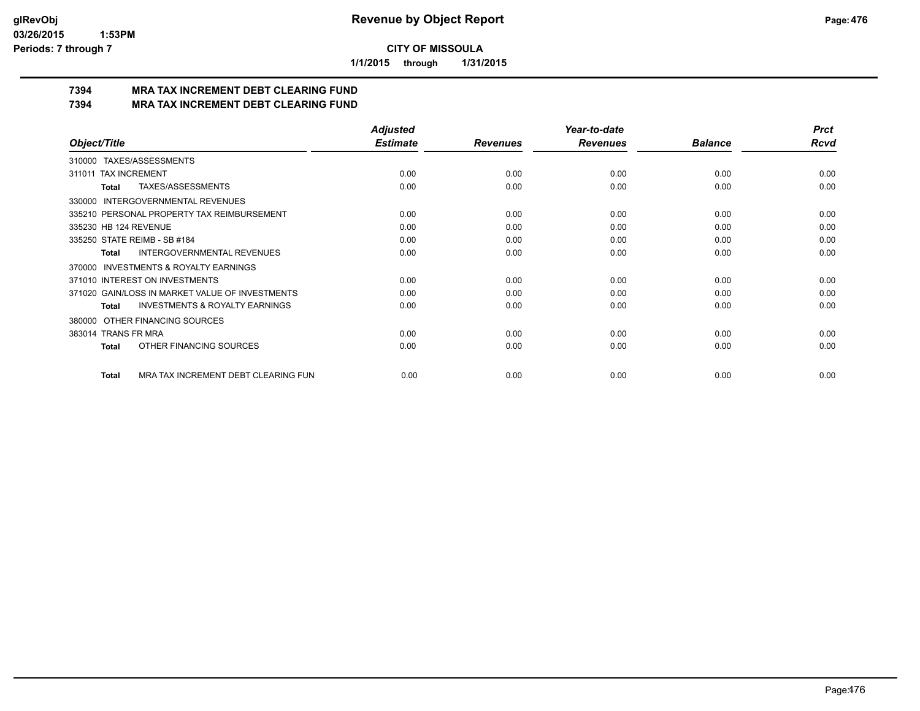**1/1/2015 through 1/31/2015**

# **7394 MRA TAX INCREMENT DEBT CLEARING FUND**

**7394 MRA TAX INCREMENT DEBT CLEARING FUND**

|                                                     | <b>Adjusted</b> |                 | Year-to-date    |                | <b>Prct</b> |
|-----------------------------------------------------|-----------------|-----------------|-----------------|----------------|-------------|
| Object/Title                                        | <b>Estimate</b> | <b>Revenues</b> | <b>Revenues</b> | <b>Balance</b> | <b>Rcvd</b> |
| 310000 TAXES/ASSESSMENTS                            |                 |                 |                 |                |             |
| <b>TAX INCREMENT</b><br>311011                      | 0.00            | 0.00            | 0.00            | 0.00           | 0.00        |
| TAXES/ASSESSMENTS<br>Total                          | 0.00            | 0.00            | 0.00            | 0.00           | 0.00        |
| <b>INTERGOVERNMENTAL REVENUES</b><br>330000         |                 |                 |                 |                |             |
| 335210 PERSONAL PROPERTY TAX REIMBURSEMENT          | 0.00            | 0.00            | 0.00            | 0.00           | 0.00        |
| 335230 HB 124 REVENUE                               | 0.00            | 0.00            | 0.00            | 0.00           | 0.00        |
| 335250 STATE REIMB - SB #184                        | 0.00            | 0.00            | 0.00            | 0.00           | 0.00        |
| INTERGOVERNMENTAL REVENUES<br>Total                 | 0.00            | 0.00            | 0.00            | 0.00           | 0.00        |
| <b>INVESTMENTS &amp; ROYALTY EARNINGS</b><br>370000 |                 |                 |                 |                |             |
| 371010 INTEREST ON INVESTMENTS                      | 0.00            | 0.00            | 0.00            | 0.00           | 0.00        |
| 371020 GAIN/LOSS IN MARKET VALUE OF INVESTMENTS     | 0.00            | 0.00            | 0.00            | 0.00           | 0.00        |
| <b>INVESTMENTS &amp; ROYALTY EARNINGS</b><br>Total  | 0.00            | 0.00            | 0.00            | 0.00           | 0.00        |
| OTHER FINANCING SOURCES<br>380000                   |                 |                 |                 |                |             |
| 383014 TRANS FR MRA                                 | 0.00            | 0.00            | 0.00            | 0.00           | 0.00        |
| OTHER FINANCING SOURCES<br>Total                    | 0.00            | 0.00            | 0.00            | 0.00           | 0.00        |
| MRA TAX INCREMENT DEBT CLEARING FUN<br>Total        | 0.00            | 0.00            | 0.00            | 0.00           | 0.00        |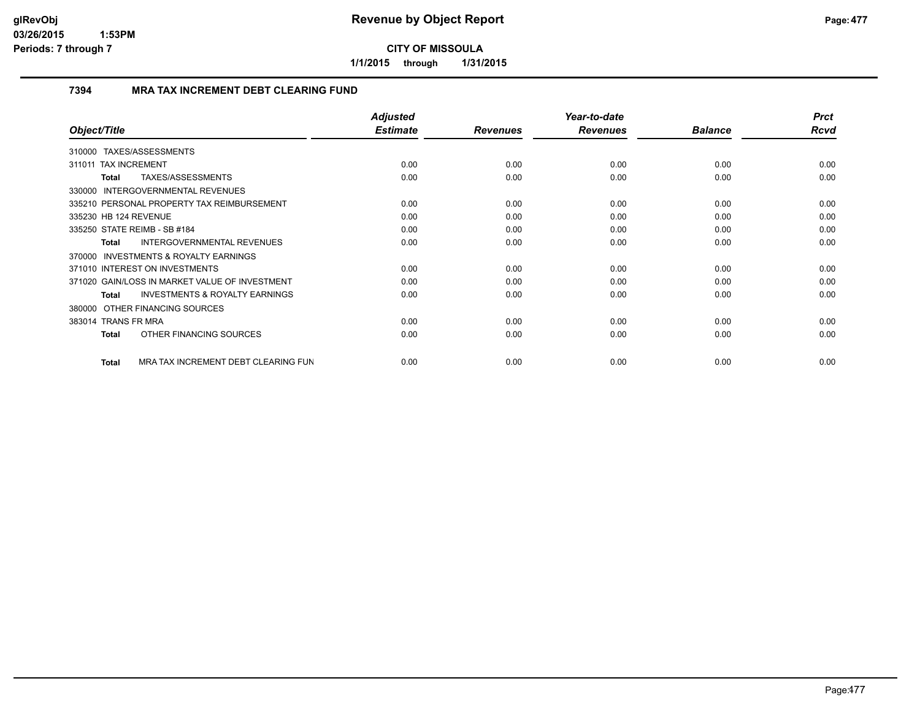**1/1/2015 through 1/31/2015**

# **7394 MRA TAX INCREMENT DEBT CLEARING FUND**

|                                                     | <b>Adjusted</b> |                 | Year-to-date    |                | <b>Prct</b> |
|-----------------------------------------------------|-----------------|-----------------|-----------------|----------------|-------------|
| Object/Title                                        | <b>Estimate</b> | <b>Revenues</b> | <b>Revenues</b> | <b>Balance</b> | Rcvd        |
| TAXES/ASSESSMENTS<br>310000                         |                 |                 |                 |                |             |
| 311011 TAX INCREMENT                                | 0.00            | 0.00            | 0.00            | 0.00           | 0.00        |
| TAXES/ASSESSMENTS<br><b>Total</b>                   | 0.00            | 0.00            | 0.00            | 0.00           | 0.00        |
| 330000 INTERGOVERNMENTAL REVENUES                   |                 |                 |                 |                |             |
| 335210 PERSONAL PROPERTY TAX REIMBURSEMENT          | 0.00            | 0.00            | 0.00            | 0.00           | 0.00        |
| 335230 HB 124 REVENUE                               | 0.00            | 0.00            | 0.00            | 0.00           | 0.00        |
| 335250 STATE REIMB - SB #184                        | 0.00            | 0.00            | 0.00            | 0.00           | 0.00        |
| <b>INTERGOVERNMENTAL REVENUES</b><br><b>Total</b>   | 0.00            | 0.00            | 0.00            | 0.00           | 0.00        |
| <b>INVESTMENTS &amp; ROYALTY EARNINGS</b><br>370000 |                 |                 |                 |                |             |
| 371010 INTEREST ON INVESTMENTS                      | 0.00            | 0.00            | 0.00            | 0.00           | 0.00        |
| 371020 GAIN/LOSS IN MARKET VALUE OF INVESTMENT      | 0.00            | 0.00            | 0.00            | 0.00           | 0.00        |
| <b>INVESTMENTS &amp; ROYALTY EARNINGS</b><br>Total  | 0.00            | 0.00            | 0.00            | 0.00           | 0.00        |
| 380000 OTHER FINANCING SOURCES                      |                 |                 |                 |                |             |
| 383014 TRANS FR MRA                                 | 0.00            | 0.00            | 0.00            | 0.00           | 0.00        |
| OTHER FINANCING SOURCES<br><b>Total</b>             | 0.00            | 0.00            | 0.00            | 0.00           | 0.00        |
| MRA TAX INCREMENT DEBT CLEARING FUN<br><b>Total</b> | 0.00            | 0.00            | 0.00            | 0.00           | 0.00        |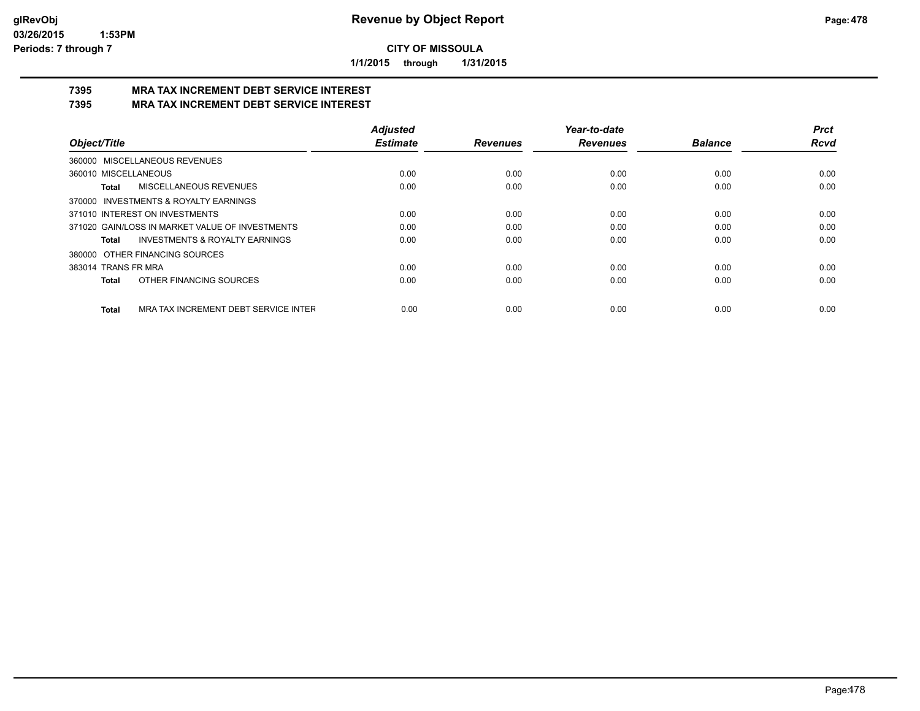**1/1/2015 through 1/31/2015**

#### **7395 MRA TAX INCREMENT DEBT SERVICE INTEREST 7395 MRA TAX INCREMENT DEBT SERVICE INTEREST**

|                                                      | <b>Adjusted</b> |                 | Year-to-date    |                | Prct        |
|------------------------------------------------------|-----------------|-----------------|-----------------|----------------|-------------|
| Object/Title                                         | <b>Estimate</b> | <b>Revenues</b> | <b>Revenues</b> | <b>Balance</b> | <b>Rcvd</b> |
| 360000 MISCELLANEOUS REVENUES                        |                 |                 |                 |                |             |
| 360010 MISCELLANEOUS                                 | 0.00            | 0.00            | 0.00            | 0.00           | 0.00        |
| MISCELLANEOUS REVENUES<br>Total                      | 0.00            | 0.00            | 0.00            | 0.00           | 0.00        |
| 370000 INVESTMENTS & ROYALTY EARNINGS                |                 |                 |                 |                |             |
| 371010 INTEREST ON INVESTMENTS                       | 0.00            | 0.00            | 0.00            | 0.00           | 0.00        |
| 371020 GAIN/LOSS IN MARKET VALUE OF INVESTMENTS      | 0.00            | 0.00            | 0.00            | 0.00           | 0.00        |
| <b>INVESTMENTS &amp; ROYALTY EARNINGS</b><br>Total   | 0.00            | 0.00            | 0.00            | 0.00           | 0.00        |
| OTHER FINANCING SOURCES<br>380000                    |                 |                 |                 |                |             |
| 383014 TRANS FR MRA                                  | 0.00            | 0.00            | 0.00            | 0.00           | 0.00        |
| OTHER FINANCING SOURCES<br>Total                     | 0.00            | 0.00            | 0.00            | 0.00           | 0.00        |
| MRA TAX INCREMENT DEBT SERVICE INTER<br><b>Total</b> | 0.00            | 0.00            | 0.00            | 0.00           | 0.00        |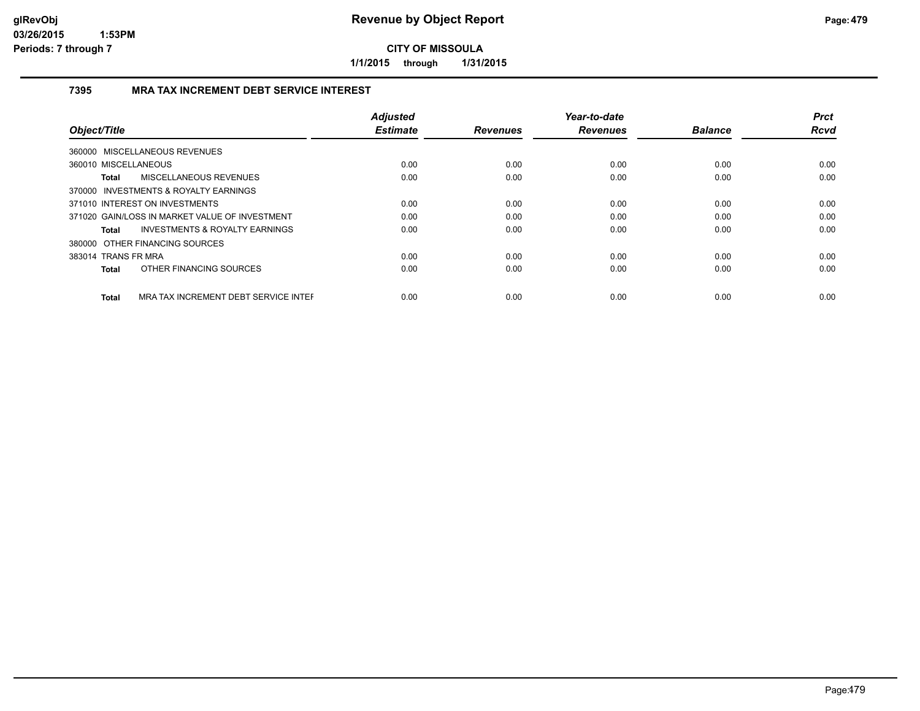**1/1/2015 through 1/31/2015**

# **7395 MRA TAX INCREMENT DEBT SERVICE INTEREST**

|                                                      | <b>Adjusted</b> |                 | Year-to-date    |                | <b>Prct</b> |
|------------------------------------------------------|-----------------|-----------------|-----------------|----------------|-------------|
| Object/Title                                         | <b>Estimate</b> | <b>Revenues</b> | <b>Revenues</b> | <b>Balance</b> | <b>Rcvd</b> |
| 360000 MISCELLANEOUS REVENUES                        |                 |                 |                 |                |             |
| 360010 MISCELLANEOUS                                 | 0.00            | 0.00            | 0.00            | 0.00           | 0.00        |
| MISCELLANEOUS REVENUES<br><b>Total</b>               | 0.00            | 0.00            | 0.00            | 0.00           | 0.00        |
| 370000 INVESTMENTS & ROYALTY EARNINGS                |                 |                 |                 |                |             |
| 371010 INTEREST ON INVESTMENTS                       | 0.00            | 0.00            | 0.00            | 0.00           | 0.00        |
| 371020 GAIN/LOSS IN MARKET VALUE OF INVESTMENT       | 0.00            | 0.00            | 0.00            | 0.00           | 0.00        |
| <b>INVESTMENTS &amp; ROYALTY EARNINGS</b><br>Total   | 0.00            | 0.00            | 0.00            | 0.00           | 0.00        |
| 380000 OTHER FINANCING SOURCES                       |                 |                 |                 |                |             |
| 383014 TRANS FR MRA                                  | 0.00            | 0.00            | 0.00            | 0.00           | 0.00        |
| OTHER FINANCING SOURCES<br>Total                     | 0.00            | 0.00            | 0.00            | 0.00           | 0.00        |
| MRA TAX INCREMENT DEBT SERVICE INTER<br><b>Total</b> | 0.00            | 0.00            | 0.00            | 0.00           | 0.00        |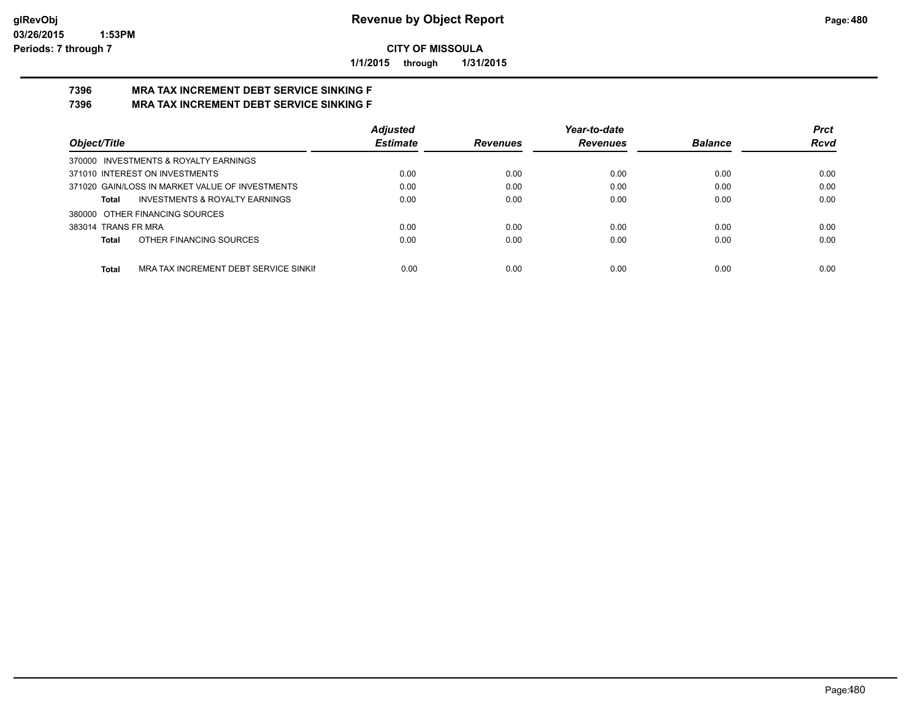**1/1/2015 through 1/31/2015**

#### **7396 MRA TAX INCREMENT DEBT SERVICE SINKING F 7396 MRA TAX INCREMENT DEBT SERVICE SINKING F**

|                                                       | <b>Adjusted</b> |                 | Year-to-date    |                | <b>Prct</b> |
|-------------------------------------------------------|-----------------|-----------------|-----------------|----------------|-------------|
| Object/Title                                          | <b>Estimate</b> | <b>Revenues</b> | <b>Revenues</b> | <b>Balance</b> | <b>Rcvd</b> |
| 370000 INVESTMENTS & ROYALTY EARNINGS                 |                 |                 |                 |                |             |
| 371010 INTEREST ON INVESTMENTS                        | 0.00            | 0.00            | 0.00            | 0.00           | 0.00        |
| 371020 GAIN/LOSS IN MARKET VALUE OF INVESTMENTS       | 0.00            | 0.00            | 0.00            | 0.00           | 0.00        |
| INVESTMENTS & ROYALTY EARNINGS<br>Total               | 0.00            | 0.00            | 0.00            | 0.00           | 0.00        |
| 380000 OTHER FINANCING SOURCES                        |                 |                 |                 |                |             |
| 383014 TRANS FR MRA                                   | 0.00            | 0.00            | 0.00            | 0.00           | 0.00        |
| OTHER FINANCING SOURCES<br>Total                      | 0.00            | 0.00            | 0.00            | 0.00           | 0.00        |
|                                                       |                 |                 |                 |                |             |
| <b>Total</b><br>MRA TAX INCREMENT DEBT SERVICE SINKII | 0.00            | 0.00            | 0.00            | 0.00           | 0.00        |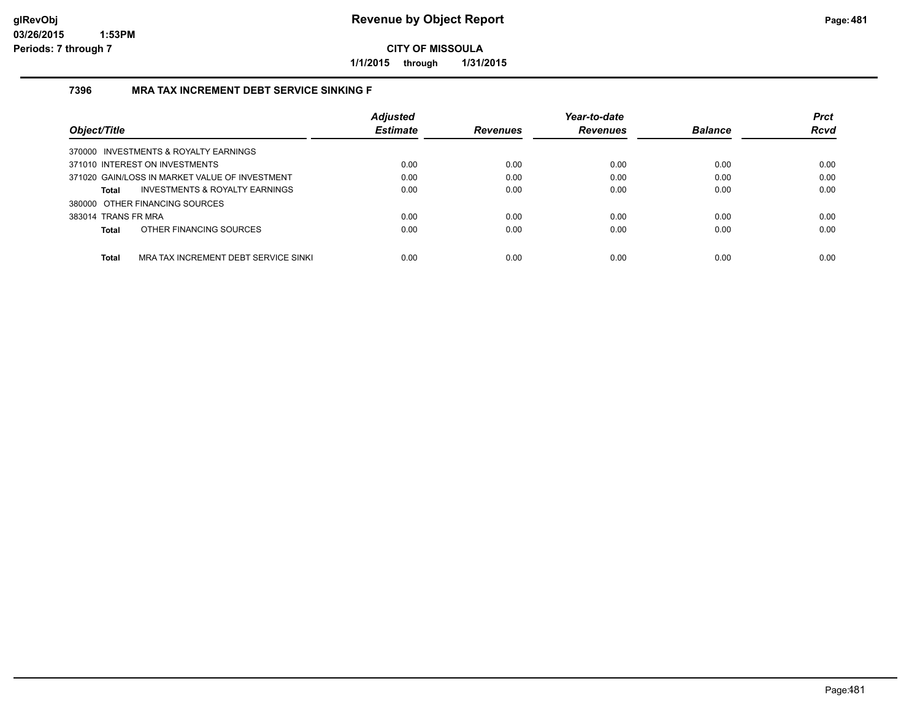**1/1/2015 through 1/31/2015**

# **7396 MRA TAX INCREMENT DEBT SERVICE SINKING F**

|                                                      | <b>Adjusted</b> |                 | Year-to-date    |                | <b>Prct</b> |
|------------------------------------------------------|-----------------|-----------------|-----------------|----------------|-------------|
| Object/Title                                         | <b>Estimate</b> | <b>Revenues</b> | <b>Revenues</b> | <b>Balance</b> | <b>Rcvd</b> |
| 370000 INVESTMENTS & ROYALTY EARNINGS                |                 |                 |                 |                |             |
| 371010 INTEREST ON INVESTMENTS                       | 0.00            | 0.00            | 0.00            | 0.00           | 0.00        |
| 371020 GAIN/LOSS IN MARKET VALUE OF INVESTMENT       | 0.00            | 0.00            | 0.00            | 0.00           | 0.00        |
| INVESTMENTS & ROYALTY EARNINGS<br><b>Total</b>       | 0.00            | 0.00            | 0.00            | 0.00           | 0.00        |
| 380000 OTHER FINANCING SOURCES                       |                 |                 |                 |                |             |
| 383014 TRANS FR MRA                                  | 0.00            | 0.00            | 0.00            | 0.00           | 0.00        |
| OTHER FINANCING SOURCES<br><b>Total</b>              | 0.00            | 0.00            | 0.00            | 0.00           | 0.00        |
|                                                      |                 |                 |                 |                |             |
| <b>Total</b><br>MRA TAX INCREMENT DEBT SERVICE SINKI | 0.00            | 0.00            | 0.00            | 0.00           | 0.00        |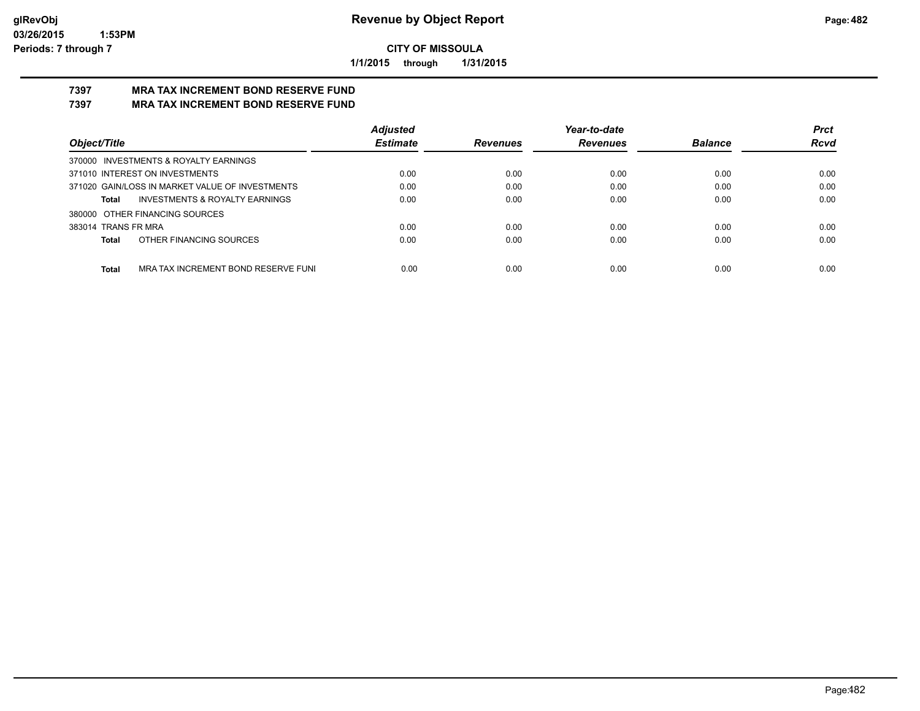**1/1/2015 through 1/31/2015**

#### **7397 MRA TAX INCREMENT BOND RESERVE FUND 7397 MRA TAX INCREMENT BOND RESERVE FUND**

|                                                 | <b>Adjusted</b> |                 | Year-to-date    |                | <b>Prct</b> |
|-------------------------------------------------|-----------------|-----------------|-----------------|----------------|-------------|
| Object/Title                                    | <b>Estimate</b> | <b>Revenues</b> | <b>Revenues</b> | <b>Balance</b> | <b>Rcvd</b> |
| 370000 INVESTMENTS & ROYALTY EARNINGS           |                 |                 |                 |                |             |
| 371010 INTEREST ON INVESTMENTS                  | 0.00            | 0.00            | 0.00            | 0.00           | 0.00        |
| 371020 GAIN/LOSS IN MARKET VALUE OF INVESTMENTS | 0.00            | 0.00            | 0.00            | 0.00           | 0.00        |
| INVESTMENTS & ROYALTY EARNINGS<br>Total         | 0.00            | 0.00            | 0.00            | 0.00           | 0.00        |
| 380000 OTHER FINANCING SOURCES                  |                 |                 |                 |                |             |
| 383014 TRANS FR MRA                             | 0.00            | 0.00            | 0.00            | 0.00           | 0.00        |
| OTHER FINANCING SOURCES<br>Total                | 0.00            | 0.00            | 0.00            | 0.00           | 0.00        |
|                                                 |                 |                 |                 |                |             |
| Total<br>MRA TAX INCREMENT BOND RESERVE FUNI    | 0.00            | 0.00            | 0.00            | 0.00           | 0.00        |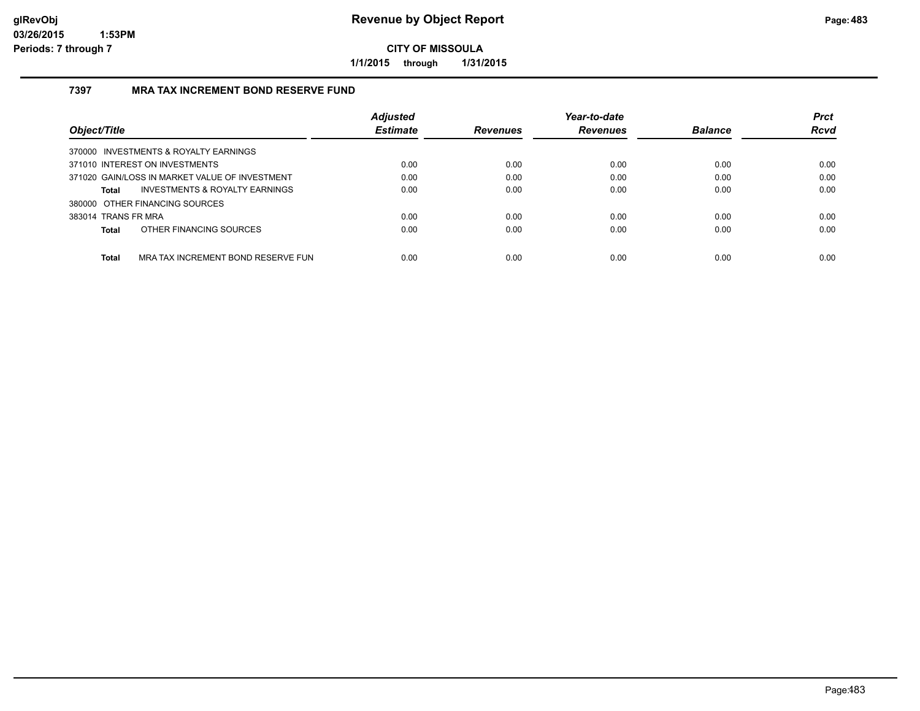**1/1/2015 through 1/31/2015**

# **7397 MRA TAX INCREMENT BOND RESERVE FUND**

| Object/Title                                       | <b>Adjusted</b><br><b>Estimate</b> | <b>Revenues</b> | Year-to-date<br><b>Revenues</b> | <b>Balance</b> | <b>Prct</b><br><b>Rcvd</b> |
|----------------------------------------------------|------------------------------------|-----------------|---------------------------------|----------------|----------------------------|
|                                                    |                                    |                 |                                 |                |                            |
| 370000 INVESTMENTS & ROYALTY EARNINGS              |                                    |                 |                                 |                |                            |
| 371010 INTEREST ON INVESTMENTS                     | 0.00                               | 0.00            | 0.00                            | 0.00           | 0.00                       |
| 371020 GAIN/LOSS IN MARKET VALUE OF INVESTMENT     | 0.00                               | 0.00            | 0.00                            | 0.00           | 0.00                       |
| INVESTMENTS & ROYALTY EARNINGS<br>Total            | 0.00                               | 0.00            | 0.00                            | 0.00           | 0.00                       |
| 380000 OTHER FINANCING SOURCES                     |                                    |                 |                                 |                |                            |
| 383014 TRANS FR MRA                                | 0.00                               | 0.00            | 0.00                            | 0.00           | 0.00                       |
| OTHER FINANCING SOURCES<br>Total                   | 0.00                               | 0.00            | 0.00                            | 0.00           | 0.00                       |
|                                                    |                                    |                 |                                 |                |                            |
| <b>Total</b><br>MRA TAX INCREMENT BOND RESERVE FUN | 0.00                               | 0.00            | 0.00                            | 0.00           | 0.00                       |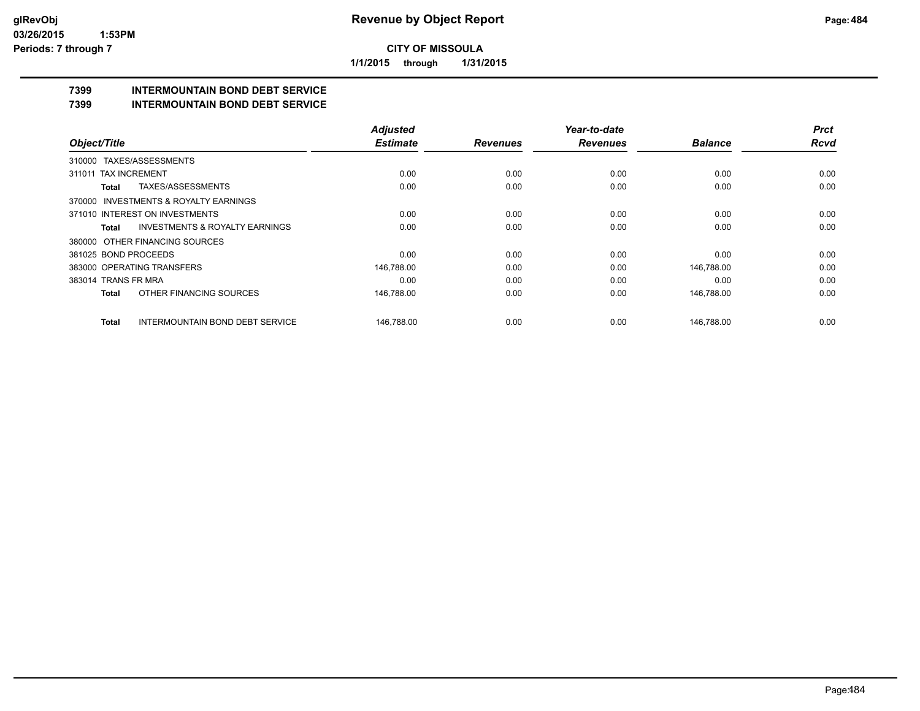**1/1/2015 through 1/31/2015**

# **7399 INTERMOUNTAIN BOND DEBT SERVICE**

# **7399 INTERMOUNTAIN BOND DEBT SERVICE**

|                                                        | <b>Adjusted</b> |                 | Year-to-date    |                | <b>Prct</b> |
|--------------------------------------------------------|-----------------|-----------------|-----------------|----------------|-------------|
| Object/Title                                           | <b>Estimate</b> | <b>Revenues</b> | <b>Revenues</b> | <b>Balance</b> | <b>Rcvd</b> |
| TAXES/ASSESSMENTS<br>310000                            |                 |                 |                 |                |             |
| 311011 TAX INCREMENT                                   | 0.00            | 0.00            | 0.00            | 0.00           | 0.00        |
| TAXES/ASSESSMENTS<br><b>Total</b>                      | 0.00            | 0.00            | 0.00            | 0.00           | 0.00        |
| INVESTMENTS & ROYALTY EARNINGS<br>370000               |                 |                 |                 |                |             |
| 371010 INTEREST ON INVESTMENTS                         | 0.00            | 0.00            | 0.00            | 0.00           | 0.00        |
| <b>INVESTMENTS &amp; ROYALTY EARNINGS</b><br>Total     | 0.00            | 0.00            | 0.00            | 0.00           | 0.00        |
| 380000 OTHER FINANCING SOURCES                         |                 |                 |                 |                |             |
| 381025 BOND PROCEEDS                                   | 0.00            | 0.00            | 0.00            | 0.00           | 0.00        |
| 383000 OPERATING TRANSFERS                             | 146,788.00      | 0.00            | 0.00            | 146.788.00     | 0.00        |
| 383014 TRANS FR MRA                                    | 0.00            | 0.00            | 0.00            | 0.00           | 0.00        |
| OTHER FINANCING SOURCES<br><b>Total</b>                | 146,788.00      | 0.00            | 0.00            | 146,788.00     | 0.00        |
| <b>INTERMOUNTAIN BOND DEBT SERVICE</b><br><b>Total</b> | 146.788.00      | 0.00            | 0.00            | 146.788.00     | 0.00        |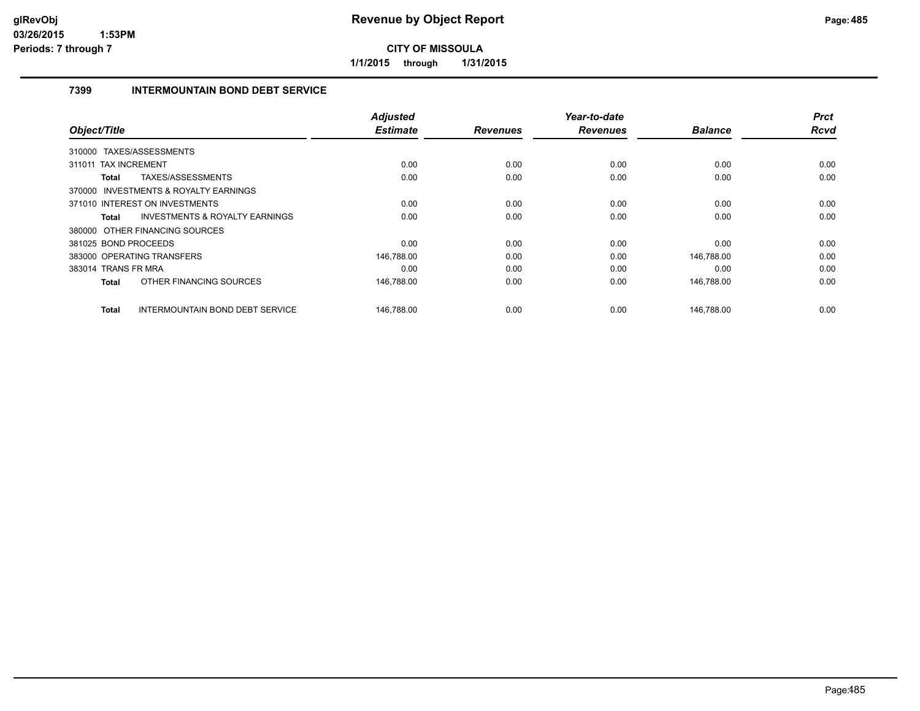**1/1/2015 through 1/31/2015**

# **7399 INTERMOUNTAIN BOND DEBT SERVICE**

| Object/Title                                       | <b>Adjusted</b><br><b>Estimate</b> | <b>Revenues</b> | Year-to-date<br><b>Revenues</b> | <b>Balance</b> | <b>Prct</b><br><b>Rcvd</b> |
|----------------------------------------------------|------------------------------------|-----------------|---------------------------------|----------------|----------------------------|
|                                                    |                                    |                 |                                 |                |                            |
| 310000 TAXES/ASSESSMENTS                           |                                    |                 |                                 |                |                            |
| <b>TAX INCREMENT</b><br>311011                     | 0.00                               | 0.00            | 0.00                            | 0.00           | 0.00                       |
| TAXES/ASSESSMENTS<br>Total                         | 0.00                               | 0.00            | 0.00                            | 0.00           | 0.00                       |
| 370000 INVESTMENTS & ROYALTY EARNINGS              |                                    |                 |                                 |                |                            |
| 371010 INTEREST ON INVESTMENTS                     | 0.00                               | 0.00            | 0.00                            | 0.00           | 0.00                       |
| <b>INVESTMENTS &amp; ROYALTY EARNINGS</b><br>Total | 0.00                               | 0.00            | 0.00                            | 0.00           | 0.00                       |
| 380000 OTHER FINANCING SOURCES                     |                                    |                 |                                 |                |                            |
| 381025 BOND PROCEEDS                               | 0.00                               | 0.00            | 0.00                            | 0.00           | 0.00                       |
| 383000 OPERATING TRANSFERS                         | 146,788.00                         | 0.00            | 0.00                            | 146,788.00     | 0.00                       |
| 383014 TRANS FR MRA                                | 0.00                               | 0.00            | 0.00                            | 0.00           | 0.00                       |
| OTHER FINANCING SOURCES<br>Total                   | 146,788.00                         | 0.00            | 0.00                            | 146,788.00     | 0.00                       |
| INTERMOUNTAIN BOND DEBT SERVICE<br><b>Total</b>    | 146,788.00                         | 0.00            | 0.00                            | 146,788.00     | 0.00                       |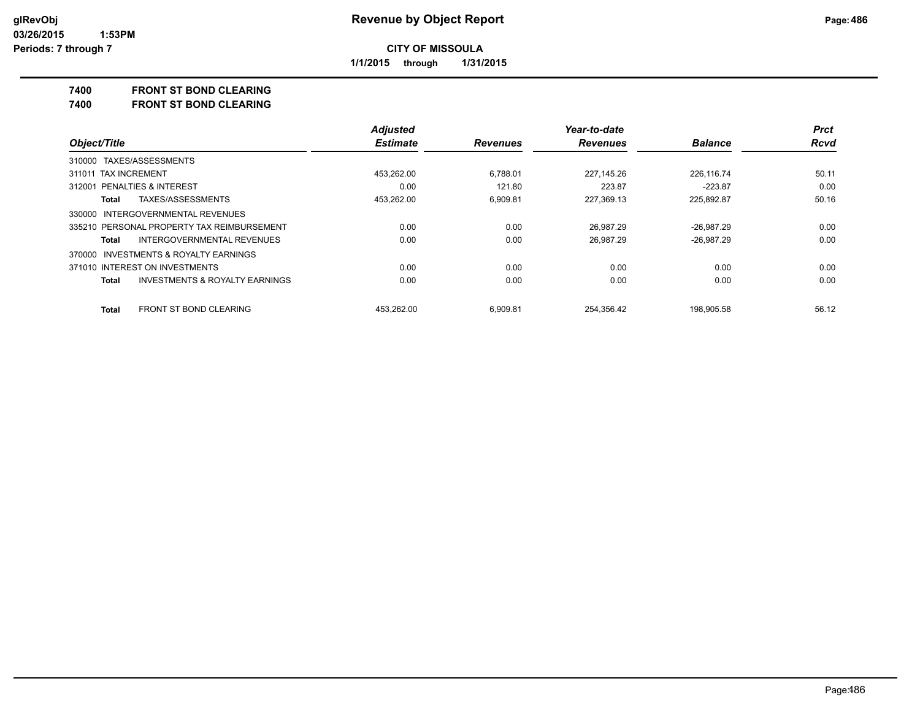**1/1/2015 through 1/31/2015**

**7400 FRONT ST BOND CLEARING**

**7400 FRONT ST BOND CLEARING**

|                                                    | <b>Adjusted</b> |                 | Year-to-date    |                | <b>Prct</b> |
|----------------------------------------------------|-----------------|-----------------|-----------------|----------------|-------------|
| Object/Title                                       | <b>Estimate</b> | <b>Revenues</b> | <b>Revenues</b> | <b>Balance</b> | <b>Rcvd</b> |
| 310000 TAXES/ASSESSMENTS                           |                 |                 |                 |                |             |
| 311011 TAX INCREMENT                               | 453.262.00      | 6.788.01        | 227.145.26      | 226.116.74     | 50.11       |
| 312001 PENALTIES & INTEREST                        | 0.00            | 121.80          | 223.87          | $-223.87$      | 0.00        |
| TAXES/ASSESSMENTS<br>Total                         | 453.262.00      | 6.909.81        | 227.369.13      | 225.892.87     | 50.16       |
| 330000 INTERGOVERNMENTAL REVENUES                  |                 |                 |                 |                |             |
| 335210 PERSONAL PROPERTY TAX REIMBURSEMENT         | 0.00            | 0.00            | 26.987.29       | $-26.987.29$   | 0.00        |
| INTERGOVERNMENTAL REVENUES<br>Total                | 0.00            | 0.00            | 26,987.29       | $-26,987.29$   | 0.00        |
| 370000 INVESTMENTS & ROYALTY EARNINGS              |                 |                 |                 |                |             |
| 371010 INTEREST ON INVESTMENTS                     | 0.00            | 0.00            | 0.00            | 0.00           | 0.00        |
| <b>INVESTMENTS &amp; ROYALTY EARNINGS</b><br>Total | 0.00            | 0.00            | 0.00            | 0.00           | 0.00        |
| FRONT ST BOND CLEARING<br><b>Total</b>             | 453.262.00      | 6.909.81        | 254.356.42      | 198.905.58     | 56.12       |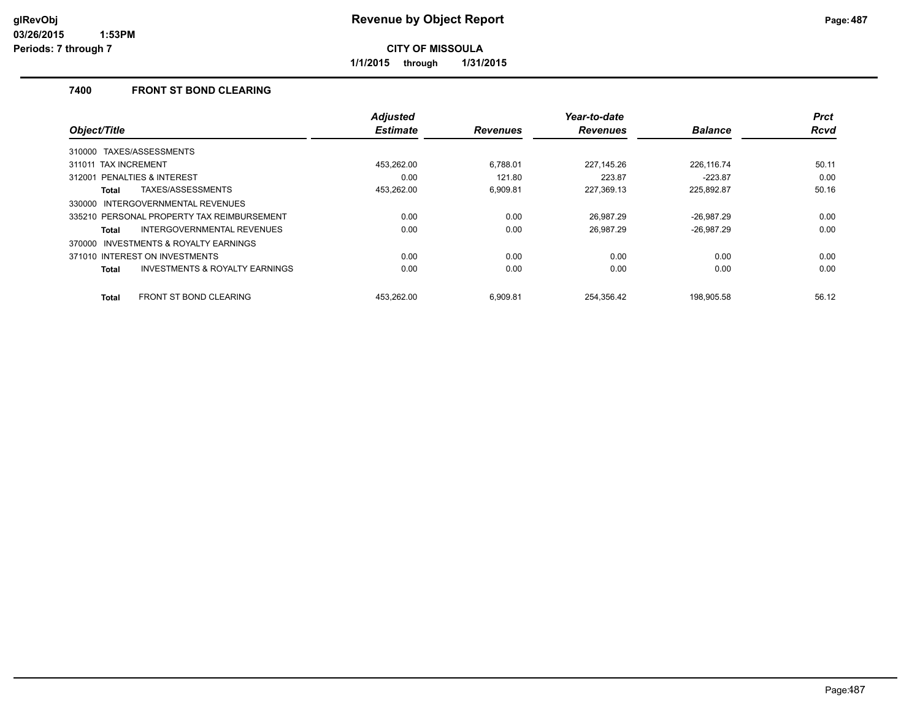**1/1/2015 through 1/31/2015**

# **7400 FRONT ST BOND CLEARING**

|                                                    | <b>Adjusted</b> |                 | Year-to-date    |                | <b>Prct</b> |
|----------------------------------------------------|-----------------|-----------------|-----------------|----------------|-------------|
| Object/Title                                       | <b>Estimate</b> | <b>Revenues</b> | <b>Revenues</b> | <b>Balance</b> | <b>Rcvd</b> |
| TAXES/ASSESSMENTS<br>310000                        |                 |                 |                 |                |             |
| 311011 TAX INCREMENT                               | 453,262.00      | 6.788.01        | 227.145.26      | 226.116.74     | 50.11       |
| PENALTIES & INTEREST<br>312001                     | 0.00            | 121.80          | 223.87          | $-223.87$      | 0.00        |
| TAXES/ASSESSMENTS<br>Total                         | 453,262.00      | 6,909.81        | 227,369.13      | 225,892.87     | 50.16       |
| INTERGOVERNMENTAL REVENUES<br>330000               |                 |                 |                 |                |             |
| 335210 PERSONAL PROPERTY TAX REIMBURSEMENT         | 0.00            | 0.00            | 26.987.29       | $-26.987.29$   | 0.00        |
| <b>INTERGOVERNMENTAL REVENUES</b><br>Total         | 0.00            | 0.00            | 26,987.29       | $-26,987.29$   | 0.00        |
| INVESTMENTS & ROYALTY EARNINGS<br>370000           |                 |                 |                 |                |             |
| 371010 INTEREST ON INVESTMENTS                     | 0.00            | 0.00            | 0.00            | 0.00           | 0.00        |
| <b>INVESTMENTS &amp; ROYALTY EARNINGS</b><br>Total | 0.00            | 0.00            | 0.00            | 0.00           | 0.00        |
| <b>FRONT ST BOND CLEARING</b><br>Total             | 453.262.00      | 6.909.81        | 254.356.42      | 198.905.58     | 56.12       |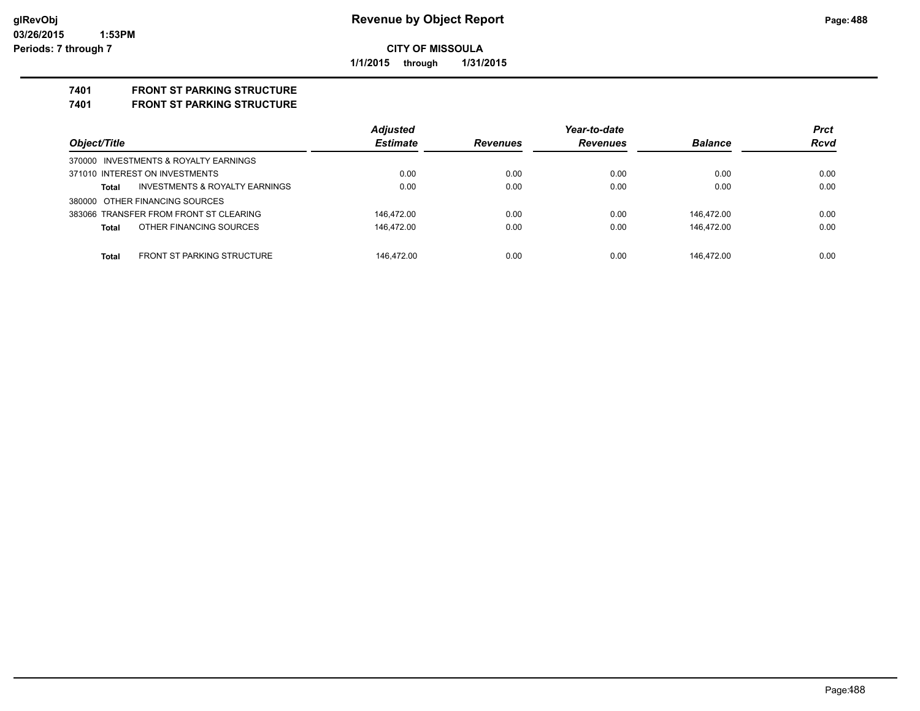**1/1/2015 through 1/31/2015**

# **7401 FRONT ST PARKING STRUCTURE**

**7401 FRONT ST PARKING STRUCTURE**

|                                                   | <b>Adjusted</b> |                 | Year-to-date    |                | <b>Prct</b> |
|---------------------------------------------------|-----------------|-----------------|-----------------|----------------|-------------|
| Object/Title                                      | <b>Estimate</b> | <b>Revenues</b> | <b>Revenues</b> | <b>Balance</b> | <b>Rcvd</b> |
| 370000 INVESTMENTS & ROYALTY EARNINGS             |                 |                 |                 |                |             |
| 371010 INTEREST ON INVESTMENTS                    | 0.00            | 0.00            | 0.00            | 0.00           | 0.00        |
| INVESTMENTS & ROYALTY EARNINGS<br>Total           | 0.00            | 0.00            | 0.00            | 0.00           | 0.00        |
| 380000 OTHER FINANCING SOURCES                    |                 |                 |                 |                |             |
| 383066 TRANSFER FROM FRONT ST CLEARING            | 146.472.00      | 0.00            | 0.00            | 146.472.00     | 0.00        |
| OTHER FINANCING SOURCES<br><b>Total</b>           | 146.472.00      | 0.00            | 0.00            | 146.472.00     | 0.00        |
|                                                   |                 |                 |                 |                |             |
| <b>FRONT ST PARKING STRUCTURE</b><br><b>Total</b> | 146.472.00      | 0.00            | 0.00            | 146.472.00     | 0.00        |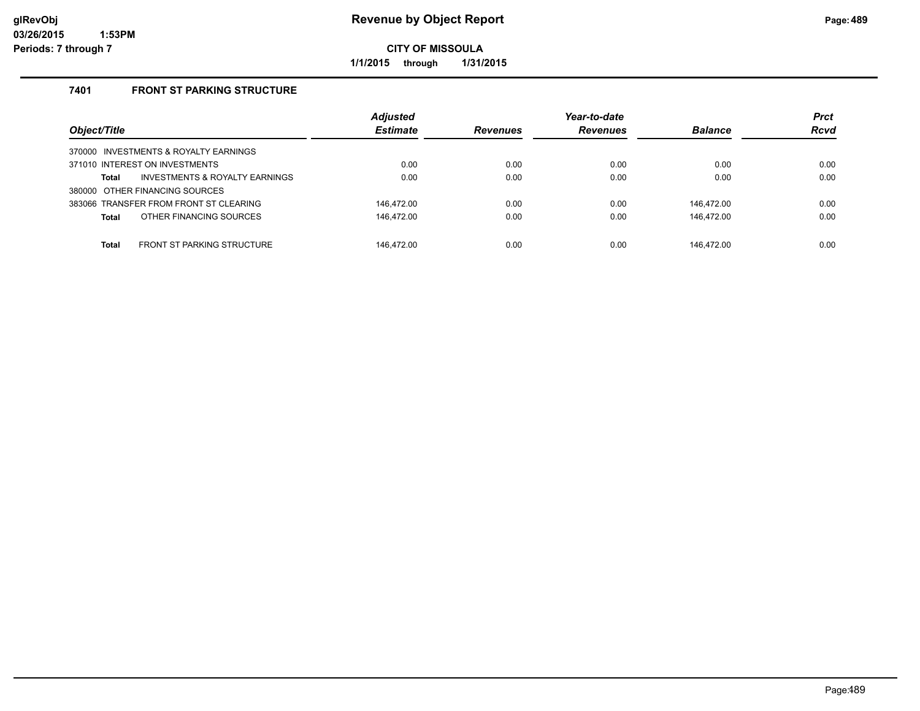**1/1/2015 through 1/31/2015**

# **7401 FRONT ST PARKING STRUCTURE**

| Object/Title                                      | <b>Adjusted</b><br><b>Estimate</b> | <b>Revenues</b> | Year-to-date<br><b>Revenues</b> | <b>Balance</b> | <b>Prct</b><br><b>Rcvd</b> |
|---------------------------------------------------|------------------------------------|-----------------|---------------------------------|----------------|----------------------------|
| 370000 INVESTMENTS & ROYALTY EARNINGS             |                                    |                 |                                 |                |                            |
| 371010 INTEREST ON INVESTMENTS                    | 0.00                               | 0.00            | 0.00                            | 0.00           | 0.00                       |
| INVESTMENTS & ROYALTY EARNINGS<br>Total           | 0.00                               | 0.00            | 0.00                            | 0.00           | 0.00                       |
| 380000 OTHER FINANCING SOURCES                    |                                    |                 |                                 |                |                            |
| 383066 TRANSFER FROM FRONT ST CLEARING            | 146.472.00                         | 0.00            | 0.00                            | 146.472.00     | 0.00                       |
| OTHER FINANCING SOURCES<br><b>Total</b>           | 146,472.00                         | 0.00            | 0.00                            | 146.472.00     | 0.00                       |
|                                                   |                                    |                 |                                 |                |                            |
| <b>FRONT ST PARKING STRUCTURE</b><br><b>Total</b> | 146.472.00                         | 0.00            | 0.00                            | 146.472.00     | 0.00                       |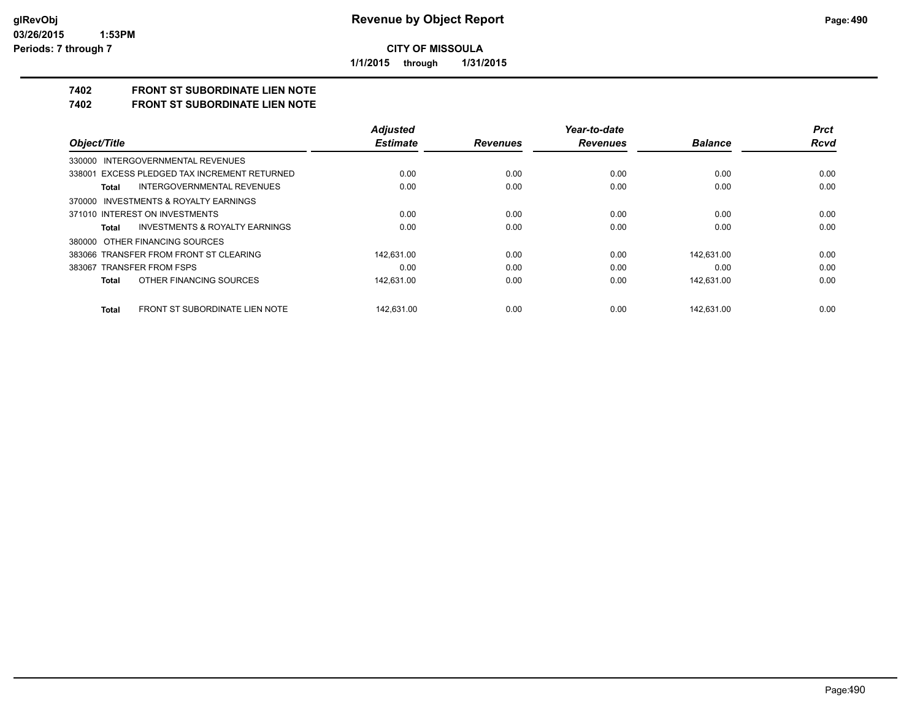**1/1/2015 through 1/31/2015**

# **7402 FRONT ST SUBORDINATE LIEN NOTE**

**7402 FRONT ST SUBORDINATE LIEN NOTE**

|                                              | <b>Adjusted</b> |                 | Year-to-date    |                | <b>Prct</b> |
|----------------------------------------------|-----------------|-----------------|-----------------|----------------|-------------|
| Object/Title                                 | <b>Estimate</b> | <b>Revenues</b> | <b>Revenues</b> | <b>Balance</b> | <b>Rcvd</b> |
| 330000 INTERGOVERNMENTAL REVENUES            |                 |                 |                 |                |             |
| 338001 EXCESS PLEDGED TAX INCREMENT RETURNED | 0.00            | 0.00            | 0.00            | 0.00           | 0.00        |
| INTERGOVERNMENTAL REVENUES<br>Total          | 0.00            | 0.00            | 0.00            | 0.00           | 0.00        |
| 370000 INVESTMENTS & ROYALTY EARNINGS        |                 |                 |                 |                |             |
| 371010 INTEREST ON INVESTMENTS               | 0.00            | 0.00            | 0.00            | 0.00           | 0.00        |
| INVESTMENTS & ROYALTY EARNINGS<br>Total      | 0.00            | 0.00            | 0.00            | 0.00           | 0.00        |
| 380000 OTHER FINANCING SOURCES               |                 |                 |                 |                |             |
| 383066 TRANSFER FROM FRONT ST CLEARING       | 142.631.00      | 0.00            | 0.00            | 142.631.00     | 0.00        |
| 383067 TRANSFER FROM FSPS                    | 0.00            | 0.00            | 0.00            | 0.00           | 0.00        |
| OTHER FINANCING SOURCES<br>Total             | 142.631.00      | 0.00            | 0.00            | 142.631.00     | 0.00        |
| FRONT ST SUBORDINATE LIEN NOTE<br>Total      | 142.631.00      | 0.00            | 0.00            | 142.631.00     | 0.00        |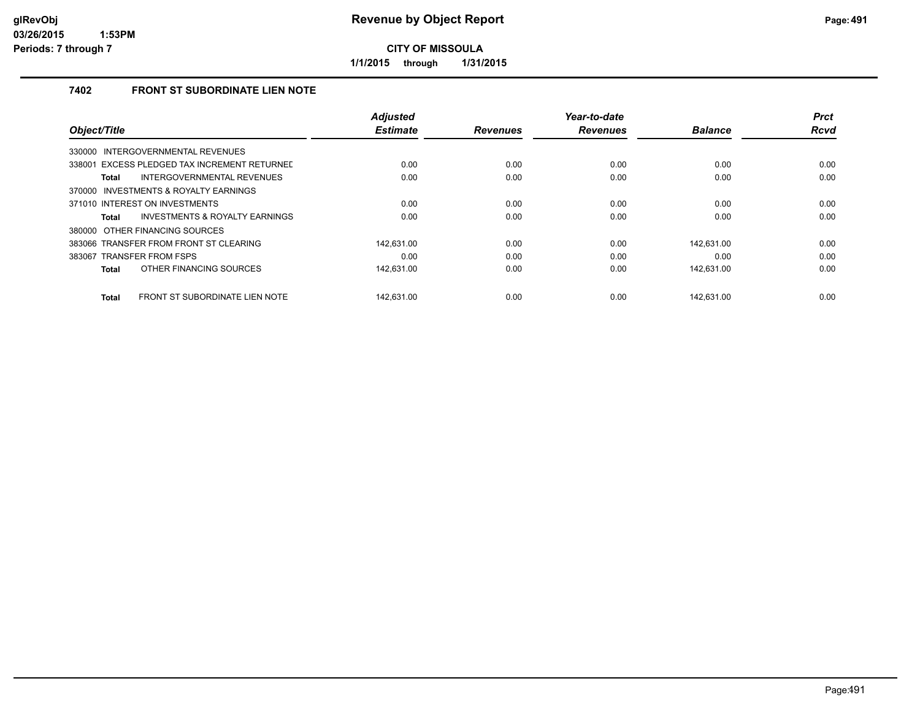**1/1/2015 through 1/31/2015**

# **7402 FRONT ST SUBORDINATE LIEN NOTE**

|                                                   | <b>Adjusted</b> |                 | Year-to-date    |                | <b>Prct</b> |
|---------------------------------------------------|-----------------|-----------------|-----------------|----------------|-------------|
| Object/Title                                      | <b>Estimate</b> | <b>Revenues</b> | <b>Revenues</b> | <b>Balance</b> | Rcvd        |
| INTERGOVERNMENTAL REVENUES<br>330000              |                 |                 |                 |                |             |
| EXCESS PLEDGED TAX INCREMENT RETURNED<br>338001   | 0.00            | 0.00            | 0.00            | 0.00           | 0.00        |
| <b>INTERGOVERNMENTAL REVENUES</b><br><b>Total</b> | 0.00            | 0.00            | 0.00            | 0.00           | 0.00        |
| 370000 INVESTMENTS & ROYALTY EARNINGS             |                 |                 |                 |                |             |
| 371010 INTEREST ON INVESTMENTS                    | 0.00            | 0.00            | 0.00            | 0.00           | 0.00        |
| INVESTMENTS & ROYALTY EARNINGS<br>Total           | 0.00            | 0.00            | 0.00            | 0.00           | 0.00        |
| 380000 OTHER FINANCING SOURCES                    |                 |                 |                 |                |             |
| 383066 TRANSFER FROM FRONT ST CLEARING            | 142.631.00      | 0.00            | 0.00            | 142.631.00     | 0.00        |
| 383067 TRANSFER FROM FSPS                         | 0.00            | 0.00            | 0.00            | 0.00           | 0.00        |
| OTHER FINANCING SOURCES<br><b>Total</b>           | 142,631.00      | 0.00            | 0.00            | 142,631.00     | 0.00        |
|                                                   |                 |                 |                 |                |             |
| FRONT ST SUBORDINATE LIEN NOTE<br><b>Total</b>    | 142.631.00      | 0.00            | 0.00            | 142.631.00     | 0.00        |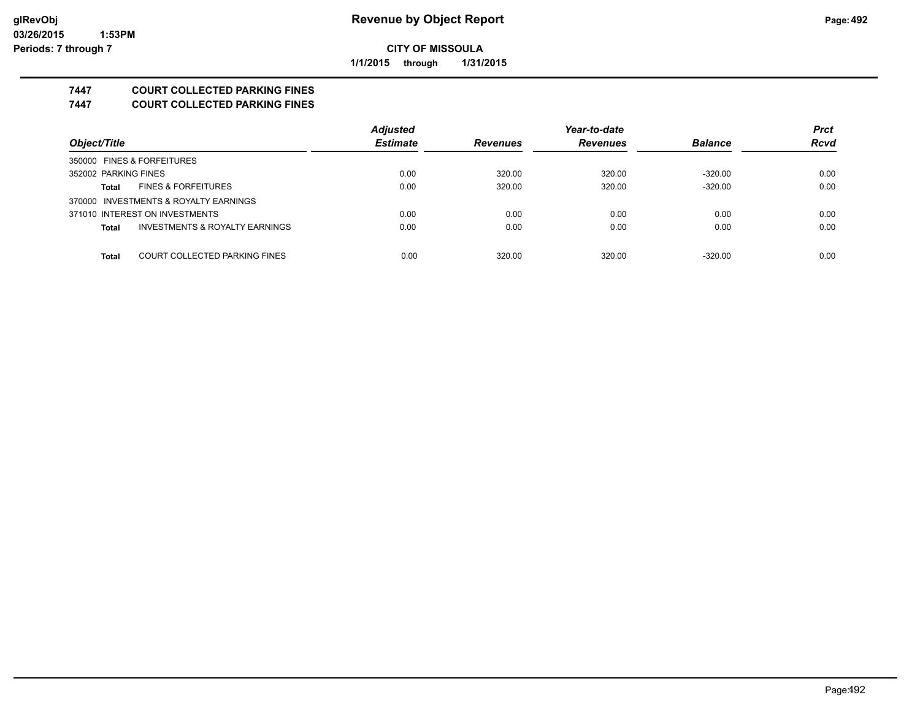**1/1/2015 through 1/31/2015**

# **7447 COURT COLLECTED PARKING FINES**

**7447 COURT COLLECTED PARKING FINES**

|                                         | <b>Adjusted</b> |                 | Year-to-date    |                | <b>Prct</b> |
|-----------------------------------------|-----------------|-----------------|-----------------|----------------|-------------|
| Object/Title                            | <b>Estimate</b> | <b>Revenues</b> | <b>Revenues</b> | <b>Balance</b> | <b>Rcvd</b> |
| 350000 FINES & FORFEITURES              |                 |                 |                 |                |             |
| 352002 PARKING FINES                    | 0.00            | 320.00          | 320.00          | $-320.00$      | 0.00        |
| <b>FINES &amp; FORFEITURES</b><br>Total | 0.00            | 320.00          | 320.00          | $-320.00$      | 0.00        |
| 370000 INVESTMENTS & ROYALTY EARNINGS   |                 |                 |                 |                |             |
| 371010 INTEREST ON INVESTMENTS          | 0.00            | 0.00            | 0.00            | 0.00           | 0.00        |
| INVESTMENTS & ROYALTY EARNINGS<br>Total | 0.00            | 0.00            | 0.00            | 0.00           | 0.00        |
|                                         |                 |                 |                 |                |             |
| COURT COLLECTED PARKING FINES<br>Total  | 0.00            | 320.00          | 320.00          | $-320.00$      | 0.00        |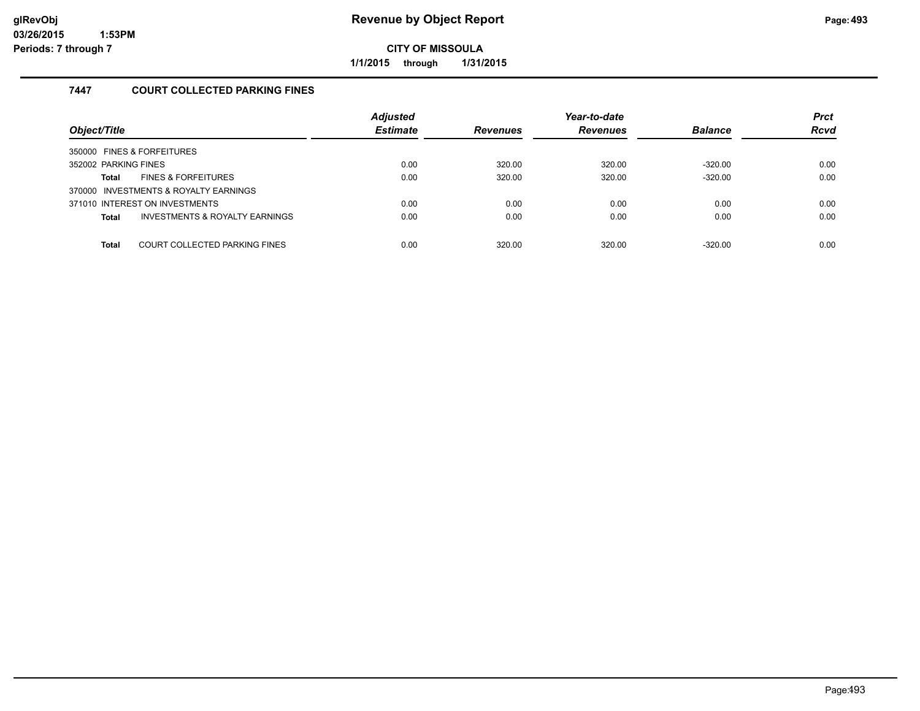**1/1/2015 through 1/31/2015**

# **7447 COURT COLLECTED PARKING FINES**

| Object/Title                                              | <b>Adjusted</b><br><b>Estimate</b> | <b>Revenues</b> | Year-to-date<br><b>Revenues</b> | <b>Balance</b> | <b>Prct</b><br><b>Rcvd</b> |
|-----------------------------------------------------------|------------------------------------|-----------------|---------------------------------|----------------|----------------------------|
| 350000 FINES & FORFEITURES                                |                                    |                 |                                 |                |                            |
| 352002 PARKING FINES                                      | 0.00                               | 320.00          | 320.00                          | $-320.00$      | 0.00                       |
| <b>FINES &amp; FORFEITURES</b><br>Total                   | 0.00                               | 320.00          | 320.00                          | $-320.00$      | 0.00                       |
| 370000 INVESTMENTS & ROYALTY EARNINGS                     |                                    |                 |                                 |                |                            |
| 371010 INTEREST ON INVESTMENTS                            | 0.00                               | 0.00            | 0.00                            | 0.00           | 0.00                       |
| <b>INVESTMENTS &amp; ROYALTY EARNINGS</b><br><b>Total</b> | 0.00                               | 0.00            | 0.00                            | 0.00           | 0.00                       |
|                                                           |                                    |                 |                                 |                |                            |
| COURT COLLECTED PARKING FINES<br><b>Total</b>             | 0.00                               | 320.00          | 320.00                          | $-320.00$      | 0.00                       |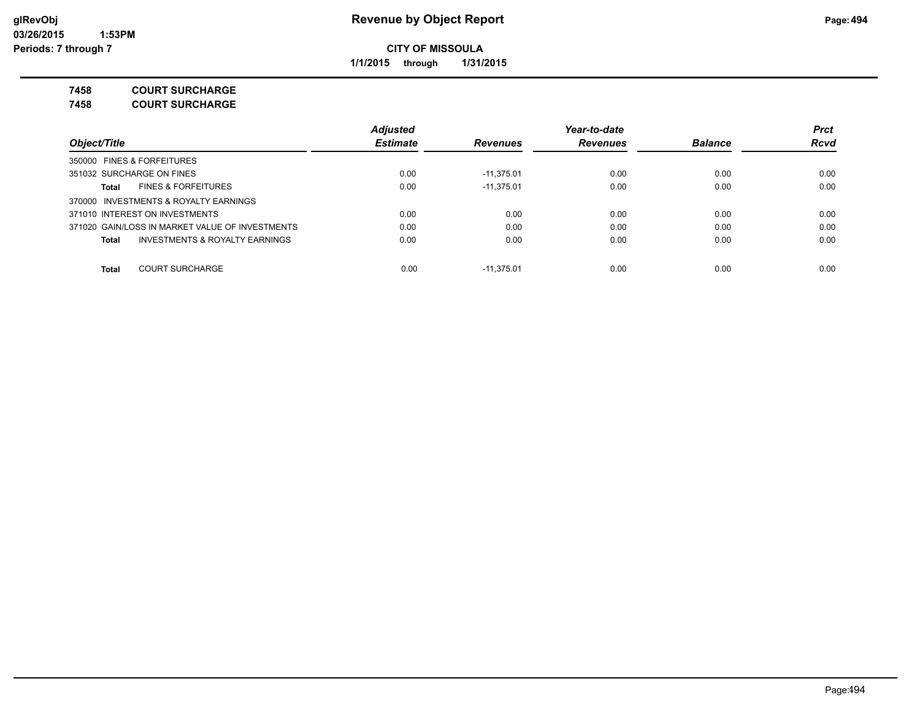**1/1/2015 through 1/31/2015**

**7458 COURT SURCHARGE**

**7458 COURT SURCHARGE**

|                                                    | <b>Adjusted</b> |                 | Year-to-date    |                | <b>Prct</b> |
|----------------------------------------------------|-----------------|-----------------|-----------------|----------------|-------------|
| Object/Title                                       | <b>Estimate</b> | <b>Revenues</b> | <b>Revenues</b> | <b>Balance</b> | <b>Rcvd</b> |
| 350000 FINES & FORFEITURES                         |                 |                 |                 |                |             |
| 351032 SURCHARGE ON FINES                          | 0.00            | $-11.375.01$    | 0.00            | 0.00           | 0.00        |
| <b>FINES &amp; FORFEITURES</b><br>Total            | 0.00            | $-11.375.01$    | 0.00            | 0.00           | 0.00        |
| 370000 INVESTMENTS & ROYALTY EARNINGS              |                 |                 |                 |                |             |
| 371010 INTEREST ON INVESTMENTS                     | 0.00            | 0.00            | 0.00            | 0.00           | 0.00        |
| 371020 GAIN/LOSS IN MARKET VALUE OF INVESTMENTS    | 0.00            | 0.00            | 0.00            | 0.00           | 0.00        |
| <b>INVESTMENTS &amp; ROYALTY EARNINGS</b><br>Total | 0.00            | 0.00            | 0.00            | 0.00           | 0.00        |
| <b>COURT SURCHARGE</b><br><b>Total</b>             | 0.00            | $-11.375.01$    | 0.00            | 0.00           | 0.00        |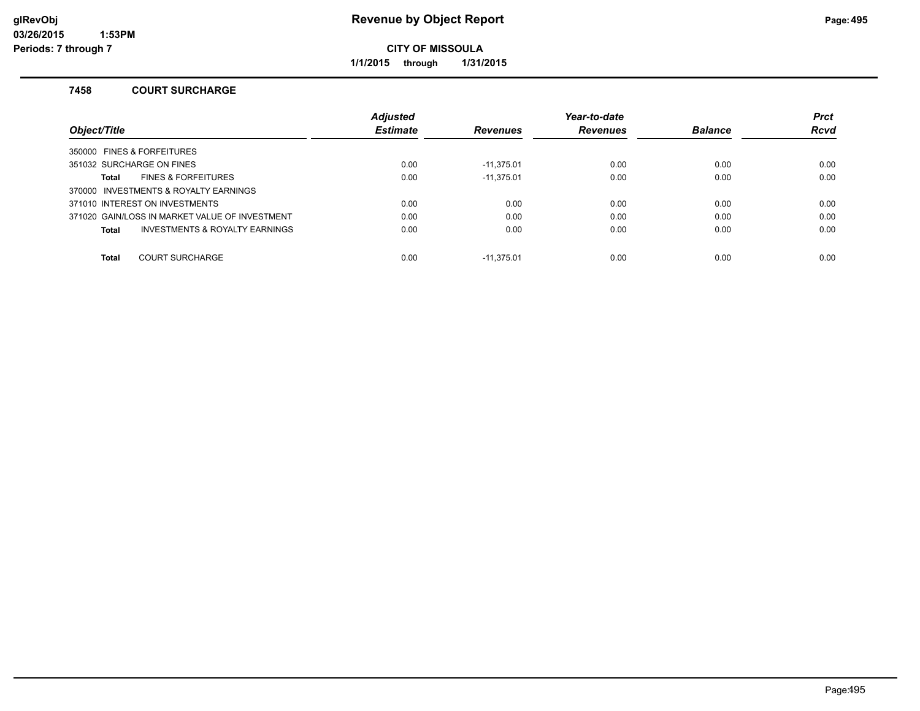**1/1/2015 through 1/31/2015**

## **7458 COURT SURCHARGE**

|                                                | <b>Adjusted</b> |                 | Year-to-date    |                | <b>Prct</b> |
|------------------------------------------------|-----------------|-----------------|-----------------|----------------|-------------|
| Object/Title                                   | <b>Estimate</b> | <b>Revenues</b> | <b>Revenues</b> | <b>Balance</b> | <b>Rcvd</b> |
| 350000 FINES & FORFEITURES                     |                 |                 |                 |                |             |
| 351032 SURCHARGE ON FINES                      | 0.00            | $-11.375.01$    | 0.00            | 0.00           | 0.00        |
| <b>FINES &amp; FORFEITURES</b><br>Total        | 0.00            | $-11,375.01$    | 0.00            | 0.00           | 0.00        |
| 370000 INVESTMENTS & ROYALTY EARNINGS          |                 |                 |                 |                |             |
| 371010 INTEREST ON INVESTMENTS                 | 0.00            | 0.00            | 0.00            | 0.00           | 0.00        |
| 371020 GAIN/LOSS IN MARKET VALUE OF INVESTMENT | 0.00            | 0.00            | 0.00            | 0.00           | 0.00        |
| INVESTMENTS & ROYALTY EARNINGS<br>Total        | 0.00            | 0.00            | 0.00            | 0.00           | 0.00        |
|                                                |                 |                 |                 |                |             |
| <b>COURT SURCHARGE</b><br><b>Total</b>         | 0.00            | $-11.375.01$    | 0.00            | 0.00           | 0.00        |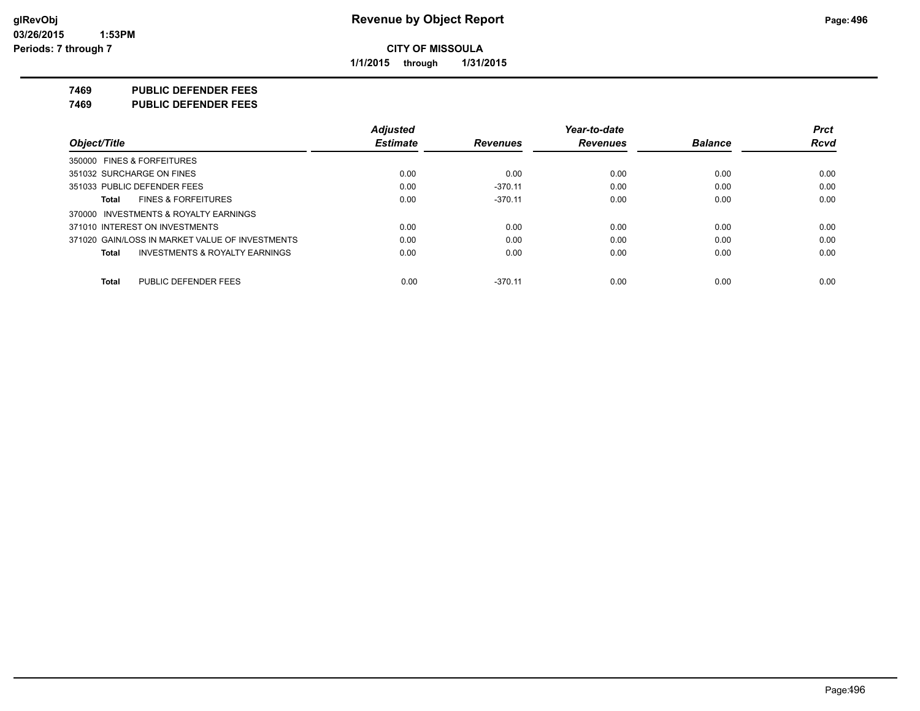**1/1/2015 through 1/31/2015**

**7469 PUBLIC DEFENDER FEES**

**7469 PUBLIC DEFENDER FEES**

|                                                    | <b>Adjusted</b> |                 | Year-to-date    |                | <b>Prct</b> |
|----------------------------------------------------|-----------------|-----------------|-----------------|----------------|-------------|
| Object/Title                                       | <b>Estimate</b> | <b>Revenues</b> | <b>Revenues</b> | <b>Balance</b> | <b>Rcvd</b> |
| 350000 FINES & FORFEITURES                         |                 |                 |                 |                |             |
| 351032 SURCHARGE ON FINES                          | 0.00            | 0.00            | 0.00            | 0.00           | 0.00        |
| 351033 PUBLIC DEFENDER FEES                        | 0.00            | $-370.11$       | 0.00            | 0.00           | 0.00        |
| <b>FINES &amp; FORFEITURES</b><br>Total            | 0.00            | $-370.11$       | 0.00            | 0.00           | 0.00        |
| 370000 INVESTMENTS & ROYALTY EARNINGS              |                 |                 |                 |                |             |
| 371010 INTEREST ON INVESTMENTS                     | 0.00            | 0.00            | 0.00            | 0.00           | 0.00        |
| 371020 GAIN/LOSS IN MARKET VALUE OF INVESTMENTS    | 0.00            | 0.00            | 0.00            | 0.00           | 0.00        |
| <b>INVESTMENTS &amp; ROYALTY EARNINGS</b><br>Total | 0.00            | 0.00            | 0.00            | 0.00           | 0.00        |
| PUBLIC DEFENDER FEES<br>Total                      | 0.00            | $-370.11$       | 0.00            | 0.00           | 0.00        |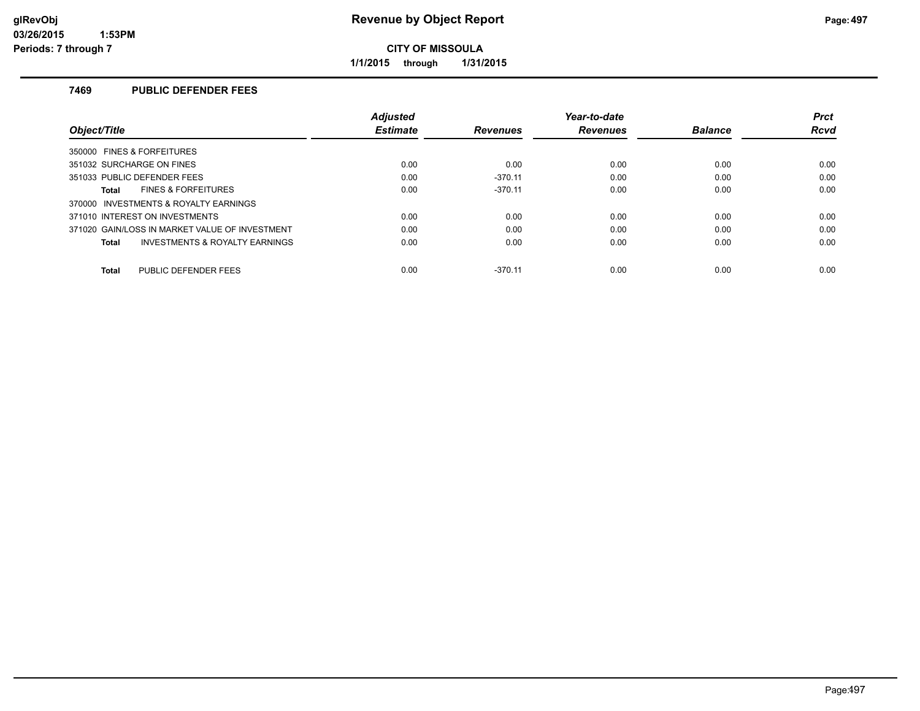**1/1/2015 through 1/31/2015**

# **7469 PUBLIC DEFENDER FEES**

|                                                | <b>Adjusted</b> |                 | Year-to-date    |                | <b>Prct</b> |
|------------------------------------------------|-----------------|-----------------|-----------------|----------------|-------------|
| Object/Title                                   | <b>Estimate</b> | <b>Revenues</b> | <b>Revenues</b> | <b>Balance</b> | Rcvd        |
| 350000 FINES & FORFEITURES                     |                 |                 |                 |                |             |
| 351032 SURCHARGE ON FINES                      | 0.00            | 0.00            | 0.00            | 0.00           | 0.00        |
| 351033 PUBLIC DEFENDER FEES                    | 0.00            | $-370.11$       | 0.00            | 0.00           | 0.00        |
| <b>FINES &amp; FORFEITURES</b><br>Total        | 0.00            | $-370.11$       | 0.00            | 0.00           | 0.00        |
| 370000 INVESTMENTS & ROYALTY EARNINGS          |                 |                 |                 |                |             |
| 371010 INTEREST ON INVESTMENTS                 | 0.00            | 0.00            | 0.00            | 0.00           | 0.00        |
| 371020 GAIN/LOSS IN MARKET VALUE OF INVESTMENT | 0.00            | 0.00            | 0.00            | 0.00           | 0.00        |
| INVESTMENTS & ROYALTY EARNINGS<br>Total        | 0.00            | 0.00            | 0.00            | 0.00           | 0.00        |
| PUBLIC DEFENDER FEES<br><b>Total</b>           | 0.00            | $-370.11$       | 0.00            | 0.00           | 0.00        |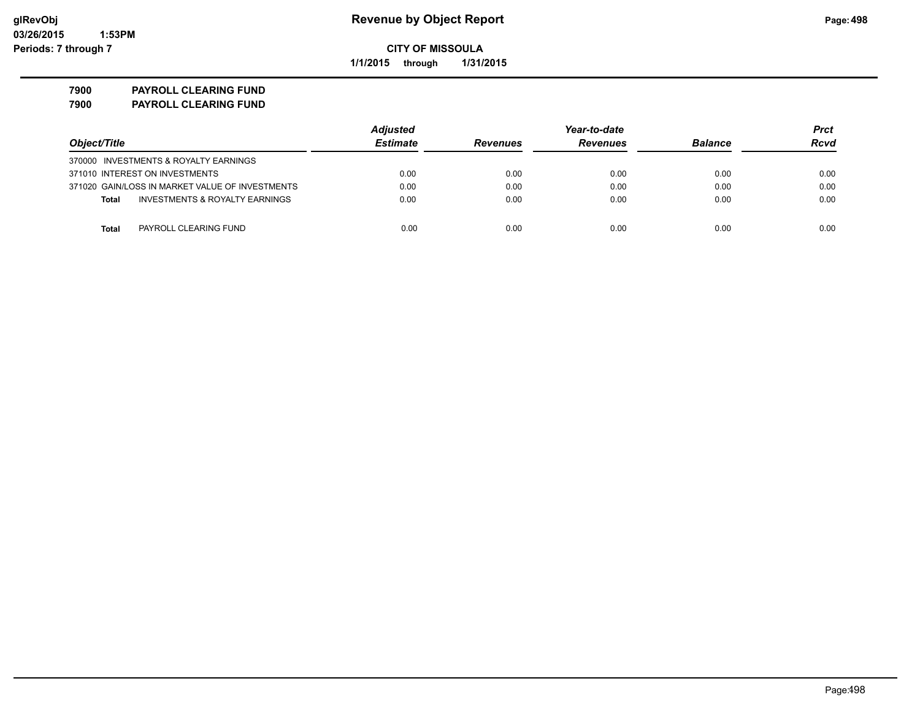**1/1/2015 through 1/31/2015**

**7900 PAYROLL CLEARING FUND**

**7900 PAYROLL CLEARING FUND**

|                                                 | Adjusted        |                 | Year-to-date    |                | Prct        |
|-------------------------------------------------|-----------------|-----------------|-----------------|----------------|-------------|
| Object/Title                                    | <b>Estimate</b> | <b>Revenues</b> | <b>Revenues</b> | <b>Balance</b> | <b>Rcvd</b> |
| 370000 INVESTMENTS & ROYALTY EARNINGS           |                 |                 |                 |                |             |
| 371010 INTEREST ON INVESTMENTS                  | 0.00            | 0.00            | 0.00            | 0.00           | 0.00        |
| 371020 GAIN/LOSS IN MARKET VALUE OF INVESTMENTS | 0.00            | 0.00            | 0.00            | 0.00           | 0.00        |
| INVESTMENTS & ROYALTY EARNINGS<br>Total         | 0.00            | 0.00            | 0.00            | 0.00           | 0.00        |
|                                                 |                 |                 |                 |                |             |
| PAYROLL CLEARING FUND<br>Total                  | 0.00            | 0.00            | 0.00            | 0.00           | 0.00        |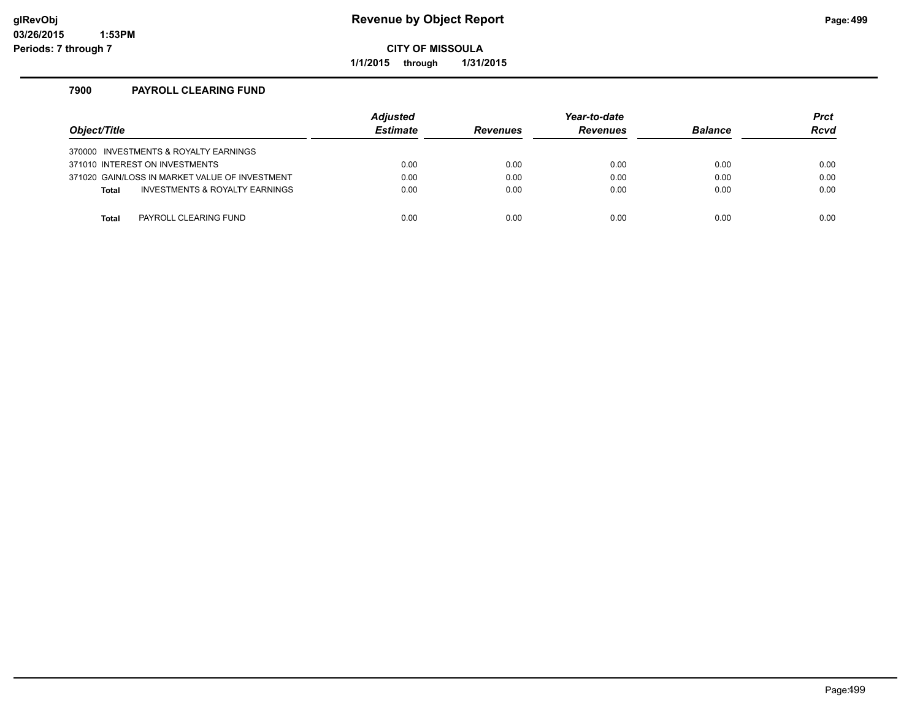**1/1/2015 through 1/31/2015**

# **7900 PAYROLL CLEARING FUND**

| Object/Title                                   | <b>Adjusted</b><br><b>Estimate</b> | <b>Revenues</b> | Year-to-date<br><b>Revenues</b> | <b>Balance</b> | <b>Prct</b><br>Rcvd |
|------------------------------------------------|------------------------------------|-----------------|---------------------------------|----------------|---------------------|
| 370000 INVESTMENTS & ROYALTY EARNINGS          |                                    |                 |                                 |                |                     |
| 371010 INTEREST ON INVESTMENTS                 | 0.00                               | 0.00            | 0.00                            | 0.00           | 0.00                |
| 371020 GAIN/LOSS IN MARKET VALUE OF INVESTMENT | 0.00                               | 0.00            | 0.00                            | 0.00           | 0.00                |
| INVESTMENTS & ROYALTY EARNINGS<br><b>Total</b> | 0.00                               | 0.00            | 0.00                            | 0.00           | 0.00                |
|                                                |                                    |                 |                                 |                |                     |
| PAYROLL CLEARING FUND<br>Total                 | 0.00                               | 0.00            | 0.00                            | 0.00           | 0.00                |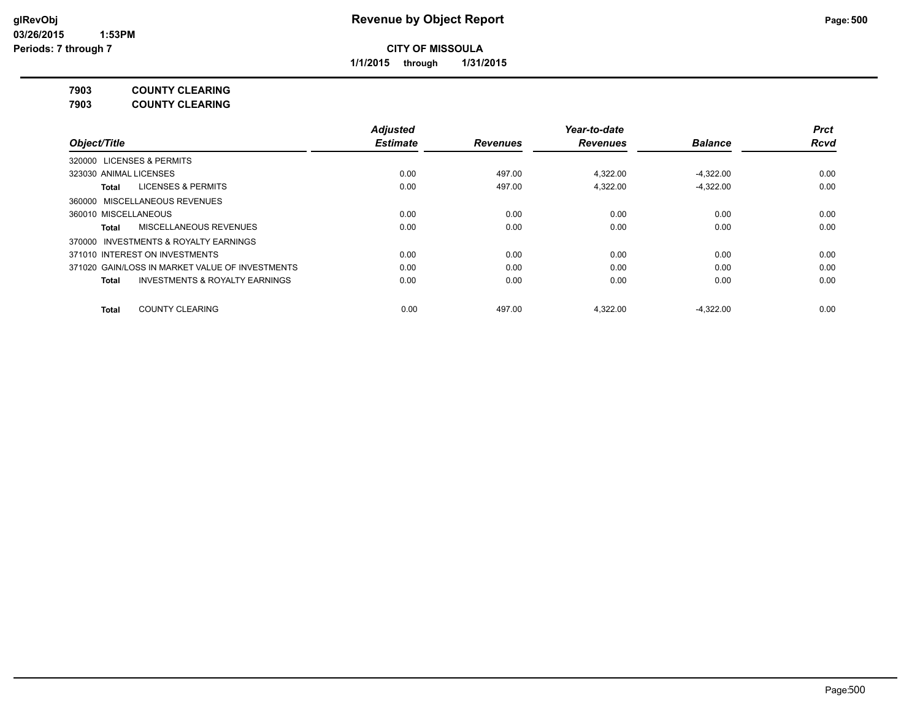**1/1/2015 through 1/31/2015**

**7903 COUNTY CLEARING**

**7903 COUNTY CLEARING**

|                                                           | <b>Adjusted</b> |                 | Year-to-date    |                | <b>Prct</b> |
|-----------------------------------------------------------|-----------------|-----------------|-----------------|----------------|-------------|
| Object/Title                                              | <b>Estimate</b> | <b>Revenues</b> | <b>Revenues</b> | <b>Balance</b> | <b>Rcvd</b> |
| 320000 LICENSES & PERMITS                                 |                 |                 |                 |                |             |
| 323030 ANIMAL LICENSES                                    | 0.00            | 497.00          | 4.322.00        | $-4,322.00$    | 0.00        |
| LICENSES & PERMITS<br>Total                               | 0.00            | 497.00          | 4,322.00        | $-4,322.00$    | 0.00        |
| 360000 MISCELLANEOUS REVENUES                             |                 |                 |                 |                |             |
| 360010 MISCELLANEOUS                                      | 0.00            | 0.00            | 0.00            | 0.00           | 0.00        |
| MISCELLANEOUS REVENUES<br><b>Total</b>                    | 0.00            | 0.00            | 0.00            | 0.00           | 0.00        |
| 370000 INVESTMENTS & ROYALTY EARNINGS                     |                 |                 |                 |                |             |
| 371010 INTEREST ON INVESTMENTS                            | 0.00            | 0.00            | 0.00            | 0.00           | 0.00        |
| 371020 GAIN/LOSS IN MARKET VALUE OF INVESTMENTS           | 0.00            | 0.00            | 0.00            | 0.00           | 0.00        |
| <b>INVESTMENTS &amp; ROYALTY EARNINGS</b><br><b>Total</b> | 0.00            | 0.00            | 0.00            | 0.00           | 0.00        |
| <b>COUNTY CLEARING</b><br><b>Total</b>                    | 0.00            | 497.00          | 4.322.00        | $-4,322.00$    | 0.00        |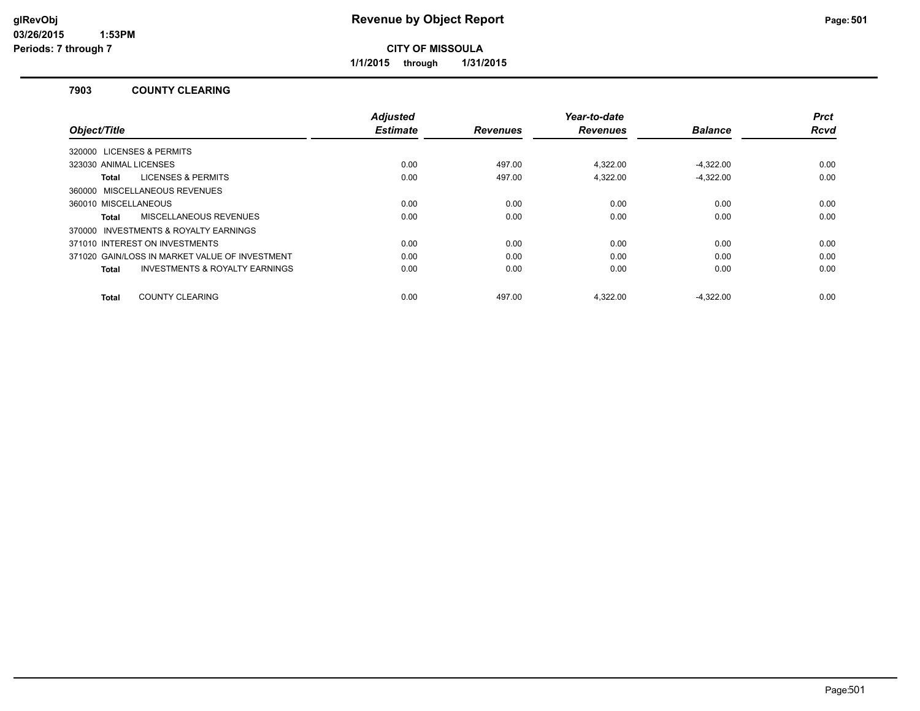**1/1/2015 through 1/31/2015**

# **7903 COUNTY CLEARING**

|                                                    | <b>Adjusted</b> |                 | Year-to-date    |                | <b>Prct</b> |
|----------------------------------------------------|-----------------|-----------------|-----------------|----------------|-------------|
| Object/Title                                       | <b>Estimate</b> | <b>Revenues</b> | <b>Revenues</b> | <b>Balance</b> | <b>Rcvd</b> |
| 320000 LICENSES & PERMITS                          |                 |                 |                 |                |             |
| 323030 ANIMAL LICENSES                             | 0.00            | 497.00          | 4.322.00        | $-4.322.00$    | 0.00        |
| <b>LICENSES &amp; PERMITS</b><br>Total             | 0.00            | 497.00          | 4.322.00        | $-4.322.00$    | 0.00        |
| 360000 MISCELLANEOUS REVENUES                      |                 |                 |                 |                |             |
| 360010 MISCELLANEOUS                               | 0.00            | 0.00            | 0.00            | 0.00           | 0.00        |
| MISCELLANEOUS REVENUES<br>Total                    | 0.00            | 0.00            | 0.00            | 0.00           | 0.00        |
| 370000 INVESTMENTS & ROYALTY EARNINGS              |                 |                 |                 |                |             |
| 371010 INTEREST ON INVESTMENTS                     | 0.00            | 0.00            | 0.00            | 0.00           | 0.00        |
| 371020 GAIN/LOSS IN MARKET VALUE OF INVESTMENT     | 0.00            | 0.00            | 0.00            | 0.00           | 0.00        |
| <b>INVESTMENTS &amp; ROYALTY EARNINGS</b><br>Total | 0.00            | 0.00            | 0.00            | 0.00           | 0.00        |
|                                                    |                 |                 |                 |                |             |
| <b>COUNTY CLEARING</b><br><b>Total</b>             | 0.00            | 497.00          | 4.322.00        | $-4.322.00$    | 0.00        |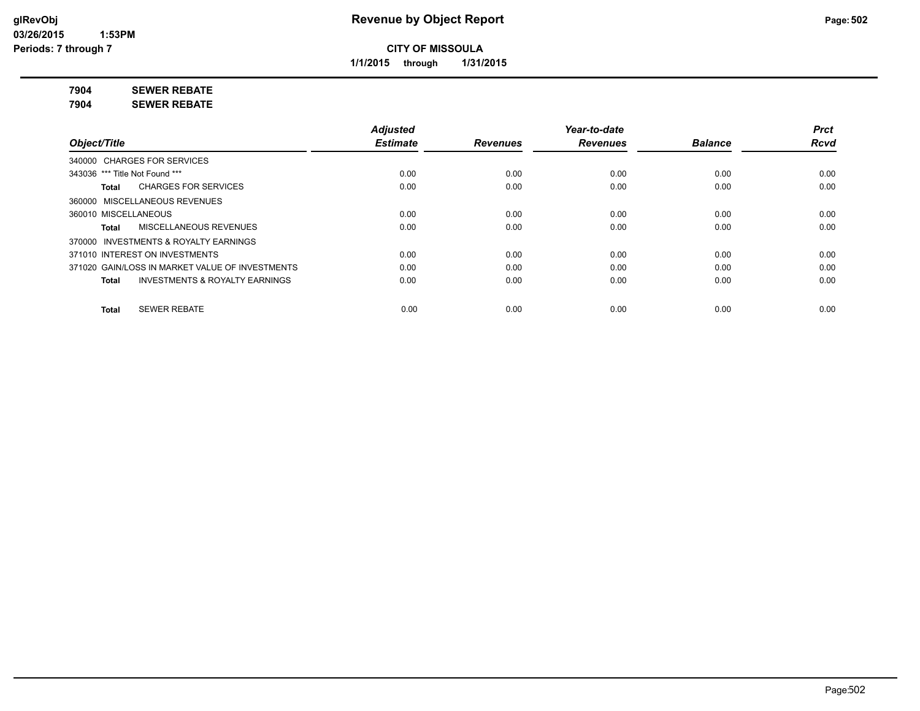**1/1/2015 through 1/31/2015**

**7904 SEWER REBATE**

**7904 SEWER REBATE**

|                                                           | <b>Adjusted</b> |                 | Year-to-date    |                | <b>Prct</b> |
|-----------------------------------------------------------|-----------------|-----------------|-----------------|----------------|-------------|
| Object/Title                                              | <b>Estimate</b> | <b>Revenues</b> | <b>Revenues</b> | <b>Balance</b> | <b>Rcvd</b> |
| 340000 CHARGES FOR SERVICES                               |                 |                 |                 |                |             |
| 343036 *** Title Not Found ***                            | 0.00            | 0.00            | 0.00            | 0.00           | 0.00        |
| <b>CHARGES FOR SERVICES</b><br>Total                      | 0.00            | 0.00            | 0.00            | 0.00           | 0.00        |
| 360000 MISCELLANEOUS REVENUES                             |                 |                 |                 |                |             |
| 360010 MISCELLANEOUS                                      | 0.00            | 0.00            | 0.00            | 0.00           | 0.00        |
| MISCELLANEOUS REVENUES<br>Total                           | 0.00            | 0.00            | 0.00            | 0.00           | 0.00        |
| INVESTMENTS & ROYALTY EARNINGS<br>370000                  |                 |                 |                 |                |             |
| 371010 INTEREST ON INVESTMENTS                            | 0.00            | 0.00            | 0.00            | 0.00           | 0.00        |
| 371020 GAIN/LOSS IN MARKET VALUE OF INVESTMENTS           | 0.00            | 0.00            | 0.00            | 0.00           | 0.00        |
| <b>INVESTMENTS &amp; ROYALTY EARNINGS</b><br><b>Total</b> | 0.00            | 0.00            | 0.00            | 0.00           | 0.00        |
| <b>SEWER REBATE</b><br><b>Total</b>                       | 0.00            | 0.00            | 0.00            | 0.00           | 0.00        |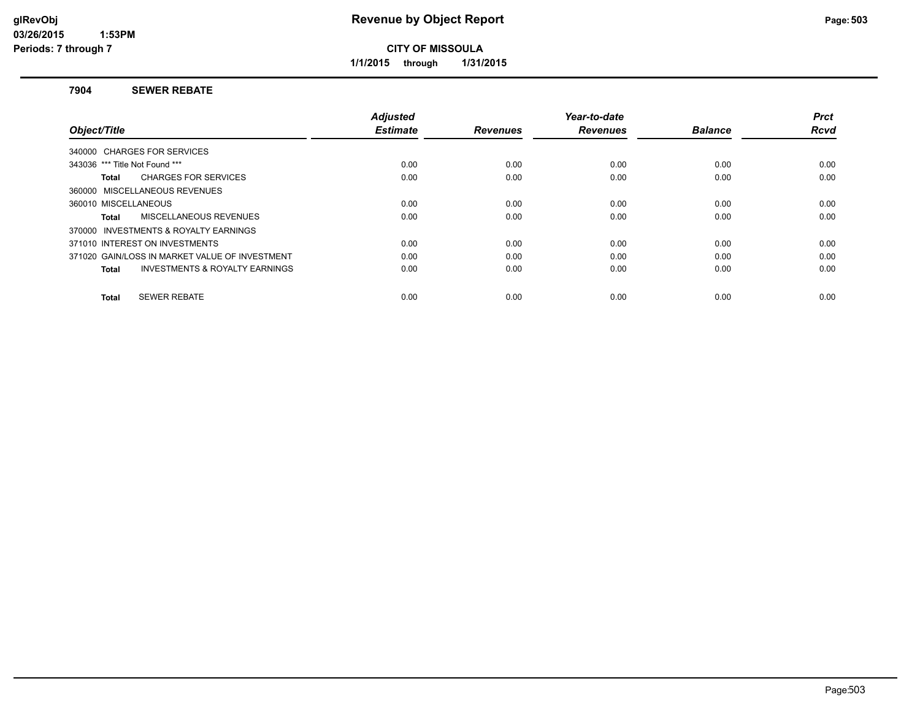**1/1/2015 through 1/31/2015**

## **7904 SEWER REBATE**

|                                                           | <b>Adjusted</b> |                 | Year-to-date    |                | <b>Prct</b> |
|-----------------------------------------------------------|-----------------|-----------------|-----------------|----------------|-------------|
| Object/Title                                              | <b>Estimate</b> | <b>Revenues</b> | <b>Revenues</b> | <b>Balance</b> | <b>Rcvd</b> |
| 340000 CHARGES FOR SERVICES                               |                 |                 |                 |                |             |
| 343036 *** Title Not Found ***                            | 0.00            | 0.00            | 0.00            | 0.00           | 0.00        |
| <b>CHARGES FOR SERVICES</b><br>Total                      | 0.00            | 0.00            | 0.00            | 0.00           | 0.00        |
| 360000 MISCELLANEOUS REVENUES                             |                 |                 |                 |                |             |
| 360010 MISCELLANEOUS                                      | 0.00            | 0.00            | 0.00            | 0.00           | 0.00        |
| MISCELLANEOUS REVENUES<br>Total                           | 0.00            | 0.00            | 0.00            | 0.00           | 0.00        |
| 370000 INVESTMENTS & ROYALTY EARNINGS                     |                 |                 |                 |                |             |
| 371010 INTEREST ON INVESTMENTS                            | 0.00            | 0.00            | 0.00            | 0.00           | 0.00        |
| 371020 GAIN/LOSS IN MARKET VALUE OF INVESTMENT            | 0.00            | 0.00            | 0.00            | 0.00           | 0.00        |
| <b>INVESTMENTS &amp; ROYALTY EARNINGS</b><br><b>Total</b> | 0.00            | 0.00            | 0.00            | 0.00           | 0.00        |
|                                                           |                 |                 |                 |                |             |
| <b>SEWER REBATE</b><br>Total                              | 0.00            | 0.00            | 0.00            | 0.00           | 0.00        |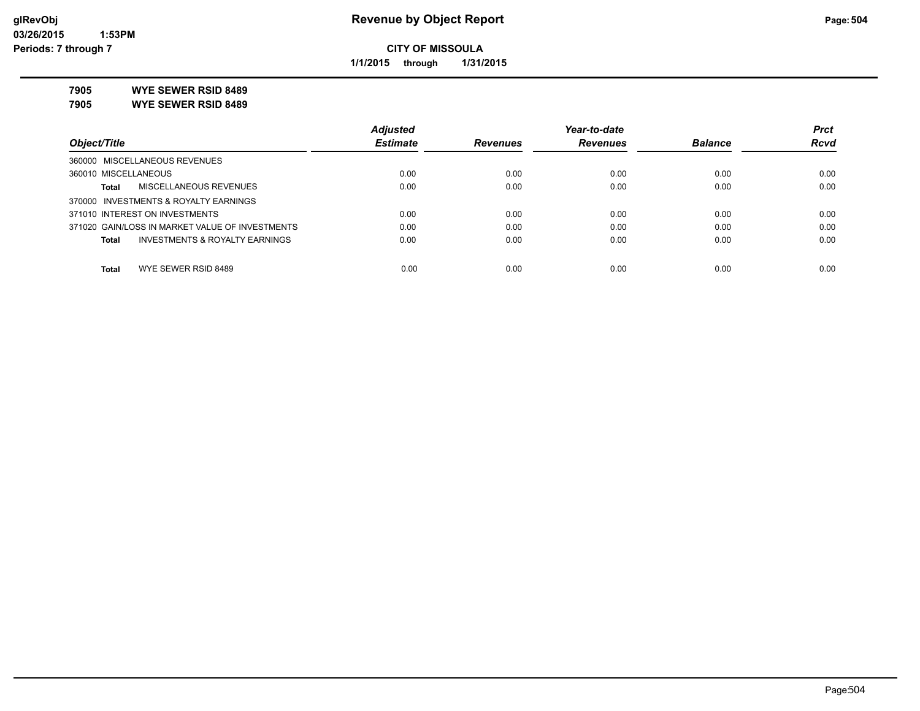**1/1/2015 through 1/31/2015**

**7905 WYE SEWER RSID 8489**

**7905 WYE SEWER RSID 8489**

|                                                 | <b>Adjusted</b> |                 | Year-to-date    |                | <b>Prct</b> |
|-------------------------------------------------|-----------------|-----------------|-----------------|----------------|-------------|
| Object/Title                                    | <b>Estimate</b> | <b>Revenues</b> | <b>Revenues</b> | <b>Balance</b> | <b>Rcvd</b> |
| 360000 MISCELLANEOUS REVENUES                   |                 |                 |                 |                |             |
| 360010 MISCELLANEOUS                            | 0.00            | 0.00            | 0.00            | 0.00           | 0.00        |
| MISCELLANEOUS REVENUES<br>Total                 | 0.00            | 0.00            | 0.00            | 0.00           | 0.00        |
| 370000 INVESTMENTS & ROYALTY EARNINGS           |                 |                 |                 |                |             |
| 371010 INTEREST ON INVESTMENTS                  | 0.00            | 0.00            | 0.00            | 0.00           | 0.00        |
| 371020 GAIN/LOSS IN MARKET VALUE OF INVESTMENTS | 0.00            | 0.00            | 0.00            | 0.00           | 0.00        |
| INVESTMENTS & ROYALTY EARNINGS<br>Total         | 0.00            | 0.00            | 0.00            | 0.00           | 0.00        |
|                                                 |                 |                 |                 |                |             |
| WYE SEWER RSID 8489<br>Total                    | 0.00            | 0.00            | 0.00            | 0.00           | 0.00        |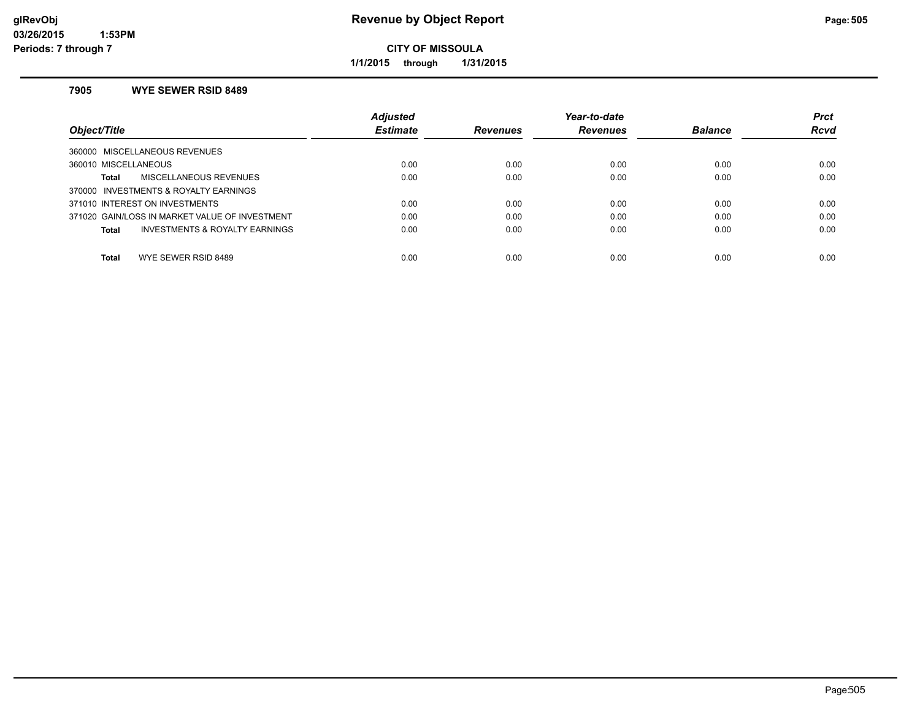**1/1/2015 through 1/31/2015**

#### **7905 WYE SEWER RSID 8489**

|                                                | <b>Adjusted</b> |                 | Year-to-date    |                | <b>Prct</b> |
|------------------------------------------------|-----------------|-----------------|-----------------|----------------|-------------|
| Object/Title                                   | <b>Estimate</b> | <b>Revenues</b> | <b>Revenues</b> | <b>Balance</b> | <b>Rcvd</b> |
| 360000 MISCELLANEOUS REVENUES                  |                 |                 |                 |                |             |
| 360010 MISCELLANEOUS                           | 0.00            | 0.00            | 0.00            | 0.00           | 0.00        |
| MISCELLANEOUS REVENUES<br>Total                | 0.00            | 0.00            | 0.00            | 0.00           | 0.00        |
| 370000 INVESTMENTS & ROYALTY EARNINGS          |                 |                 |                 |                |             |
| 371010 INTEREST ON INVESTMENTS                 | 0.00            | 0.00            | 0.00            | 0.00           | 0.00        |
| 371020 GAIN/LOSS IN MARKET VALUE OF INVESTMENT | 0.00            | 0.00            | 0.00            | 0.00           | 0.00        |
| INVESTMENTS & ROYALTY EARNINGS<br>Total        | 0.00            | 0.00            | 0.00            | 0.00           | 0.00        |
|                                                |                 |                 |                 |                |             |
| WYE SEWER RSID 8489<br><b>Total</b>            | 0.00            | 0.00            | 0.00            | 0.00           | 0.00        |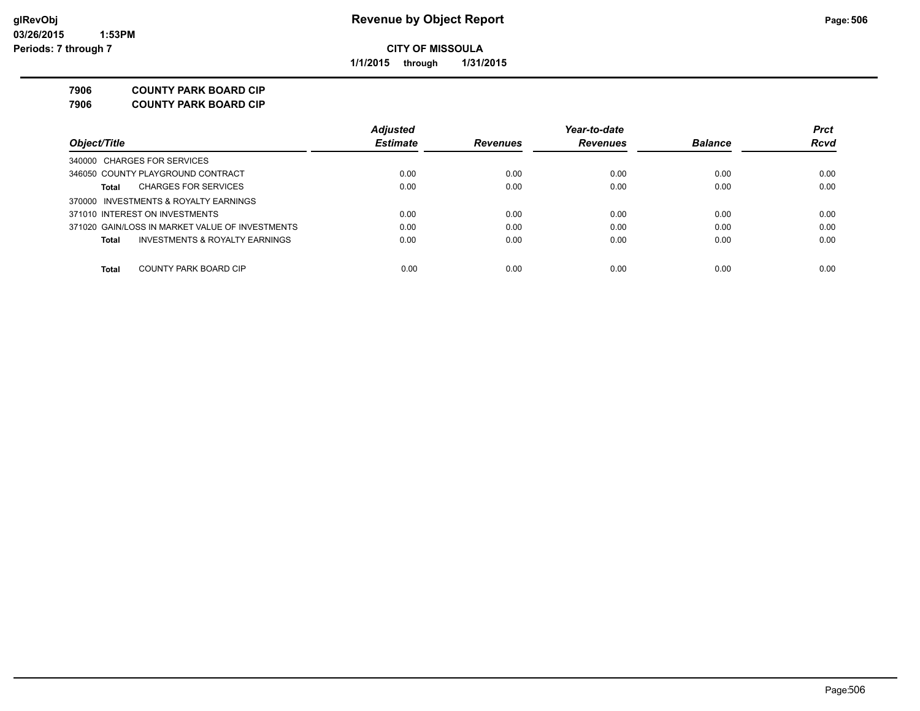**1/1/2015 through 1/31/2015**

**7906 COUNTY PARK BOARD CIP**

**7906 COUNTY PARK BOARD CIP**

|                                                 | <b>Adjusted</b> |                 | Year-to-date    |                | <b>Prct</b> |
|-------------------------------------------------|-----------------|-----------------|-----------------|----------------|-------------|
| Object/Title                                    | <b>Estimate</b> | <b>Revenues</b> | <b>Revenues</b> | <b>Balance</b> | <b>Rcvd</b> |
| 340000 CHARGES FOR SERVICES                     |                 |                 |                 |                |             |
| 346050 COUNTY PLAYGROUND CONTRACT               | 0.00            | 0.00            | 0.00            | 0.00           | 0.00        |
| <b>CHARGES FOR SERVICES</b><br>Total            | 0.00            | 0.00            | 0.00            | 0.00           | 0.00        |
| 370000 INVESTMENTS & ROYALTY EARNINGS           |                 |                 |                 |                |             |
| 371010 INTEREST ON INVESTMENTS                  | 0.00            | 0.00            | 0.00            | 0.00           | 0.00        |
| 371020 GAIN/LOSS IN MARKET VALUE OF INVESTMENTS | 0.00            | 0.00            | 0.00            | 0.00           | 0.00        |
| INVESTMENTS & ROYALTY EARNINGS<br>Total         | 0.00            | 0.00            | 0.00            | 0.00           | 0.00        |
|                                                 |                 |                 |                 |                |             |
| Total<br>COUNTY PARK BOARD CIP                  | 0.00            | 0.00            | 0.00            | 0.00           | 0.00        |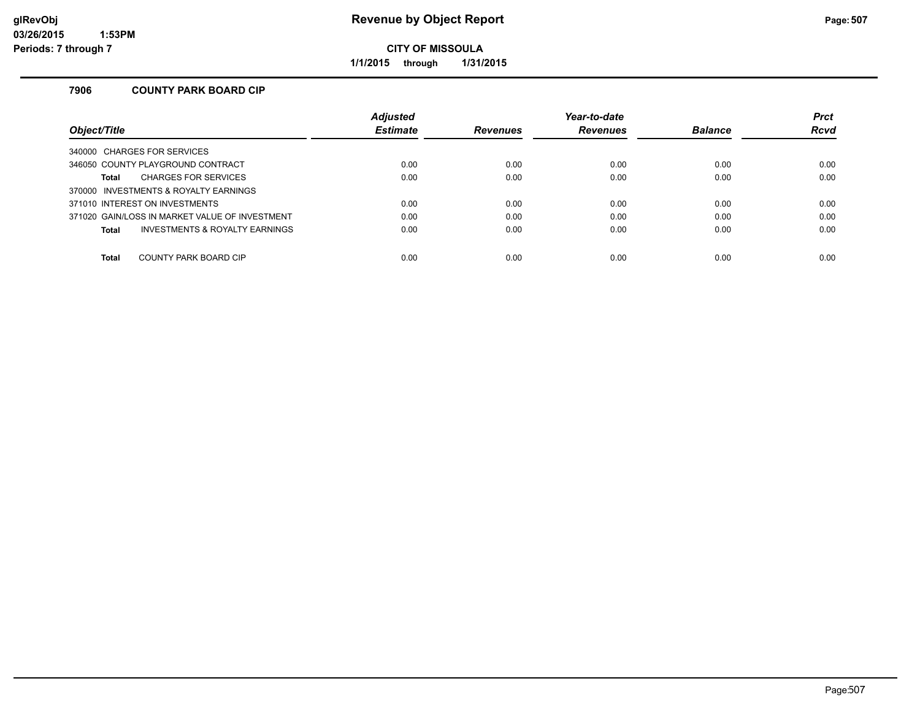### **glRevObj Revenue by Object Report Page:507**

**CITY OF MISSOULA**

**1/1/2015 through 1/31/2015**

#### **7906 COUNTY PARK BOARD CIP**

|                                                | <b>Adjusted</b> |                 | Year-to-date    |                | Prct        |
|------------------------------------------------|-----------------|-----------------|-----------------|----------------|-------------|
| Object/Title                                   | <b>Estimate</b> | <b>Revenues</b> | <b>Revenues</b> | <b>Balance</b> | <b>Rcvd</b> |
| 340000 CHARGES FOR SERVICES                    |                 |                 |                 |                |             |
| 346050 COUNTY PLAYGROUND CONTRACT              | 0.00            | 0.00            | 0.00            | 0.00           | 0.00        |
| <b>CHARGES FOR SERVICES</b><br>Total           | 0.00            | 0.00            | 0.00            | 0.00           | 0.00        |
| 370000 INVESTMENTS & ROYALTY EARNINGS          |                 |                 |                 |                |             |
| 371010 INTEREST ON INVESTMENTS                 | 0.00            | 0.00            | 0.00            | 0.00           | 0.00        |
| 371020 GAIN/LOSS IN MARKET VALUE OF INVESTMENT | 0.00            | 0.00            | 0.00            | 0.00           | 0.00        |
| INVESTMENTS & ROYALTY EARNINGS<br>Total        | 0.00            | 0.00            | 0.00            | 0.00           | 0.00        |
|                                                |                 |                 |                 |                |             |
| <b>Total</b><br>COUNTY PARK BOARD CIP          | 0.00            | 0.00            | 0.00            | 0.00           | 0.00        |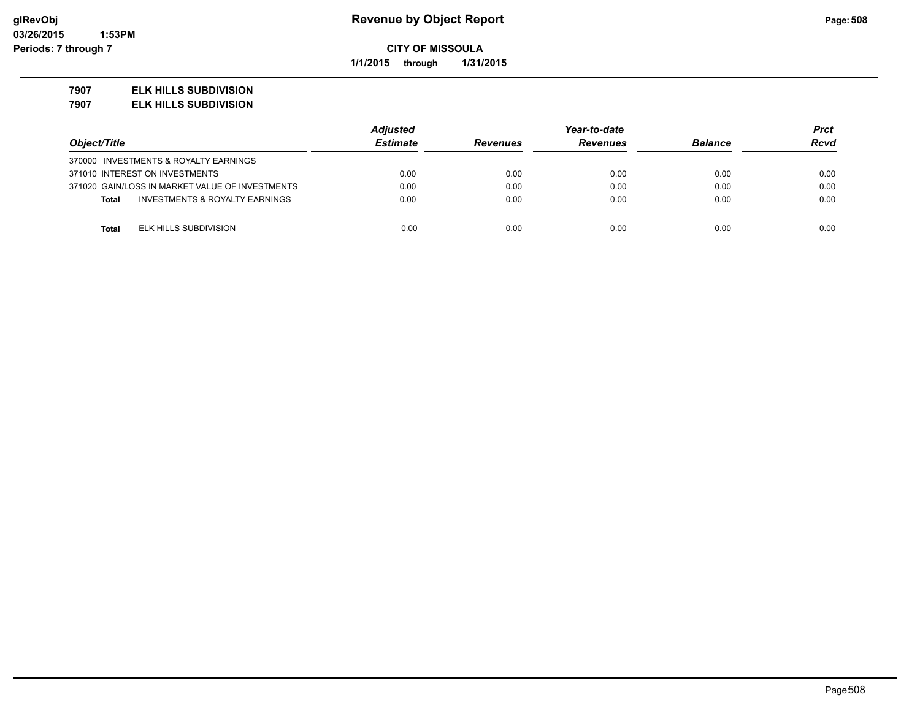**1/1/2015 through 1/31/2015**

#### **7907 ELK HILLS SUBDIVISION**

**7907 ELK HILLS SUBDIVISION**

|                                                 | <b>Adjusted</b> |                 | Year-to-date    |                |      |
|-------------------------------------------------|-----------------|-----------------|-----------------|----------------|------|
| Object/Title                                    | <b>Estimate</b> | <b>Revenues</b> | <b>Revenues</b> | <b>Balance</b> | Rcvd |
| 370000 INVESTMENTS & ROYALTY EARNINGS           |                 |                 |                 |                |      |
| 371010 INTEREST ON INVESTMENTS                  | 0.00            | 0.00            | 0.00            | 0.00           | 0.00 |
| 371020 GAIN/LOSS IN MARKET VALUE OF INVESTMENTS | 0.00            | 0.00            | 0.00            | 0.00           | 0.00 |
| INVESTMENTS & ROYALTY EARNINGS<br><b>Total</b>  | 0.00            | 0.00            | 0.00            | 0.00           | 0.00 |
|                                                 |                 |                 |                 |                |      |
| ELK HILLS SUBDIVISION<br><b>Total</b>           | 0.00            | 0.00            | 0.00            | 0.00           | 0.00 |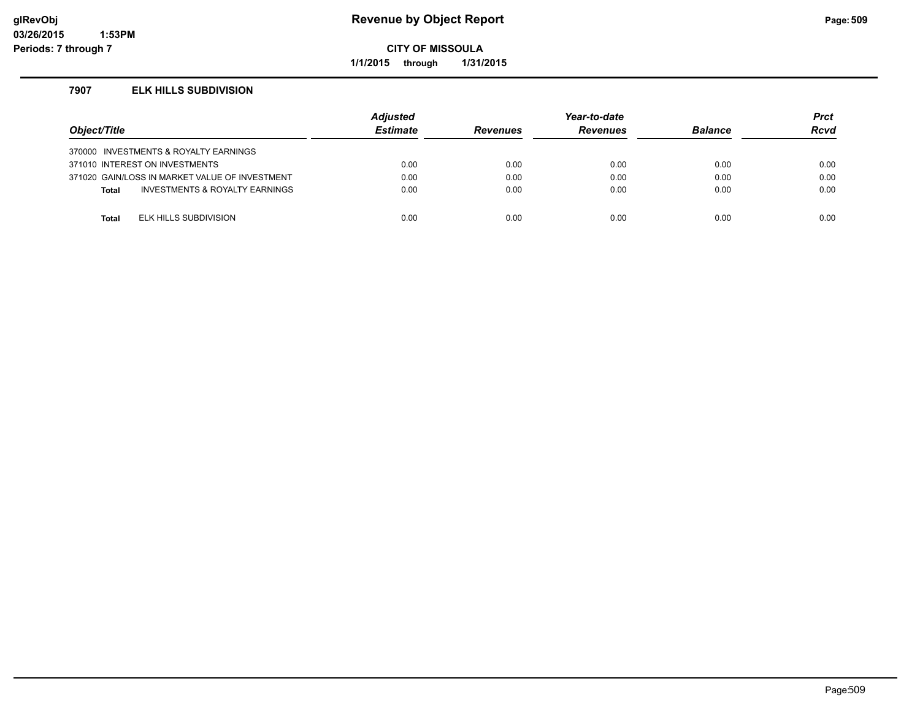### **glRevObj Revenue by Object Report Page:509**

**CITY OF MISSOULA**

**1/1/2015 through 1/31/2015**

#### **7907 ELK HILLS SUBDIVISION**

| Object/Title |                                                | <b>Adiusted</b><br><b>Estimate</b> | <b>Revenues</b> | Year-to-date<br><b>Revenues</b> | <b>Balance</b> | <b>Prct</b><br><b>Rcvd</b> |
|--------------|------------------------------------------------|------------------------------------|-----------------|---------------------------------|----------------|----------------------------|
|              | 370000 INVESTMENTS & ROYALTY EARNINGS          |                                    |                 |                                 |                |                            |
|              | 371010 INTEREST ON INVESTMENTS                 | 0.00                               | 0.00            | 0.00                            | 0.00           | 0.00                       |
|              | 371020 GAIN/LOSS IN MARKET VALUE OF INVESTMENT | 0.00                               | 0.00            | 0.00                            | 0.00           | 0.00                       |
| <b>Total</b> | INVESTMENTS & ROYALTY EARNINGS                 | 0.00                               | 0.00            | 0.00                            | 0.00           | 0.00                       |
|              |                                                |                                    |                 |                                 |                |                            |
| Total        | ELK HILLS SUBDIVISION                          | 0.00                               | 0.00            | 0.00                            | 0.00           | 0.00                       |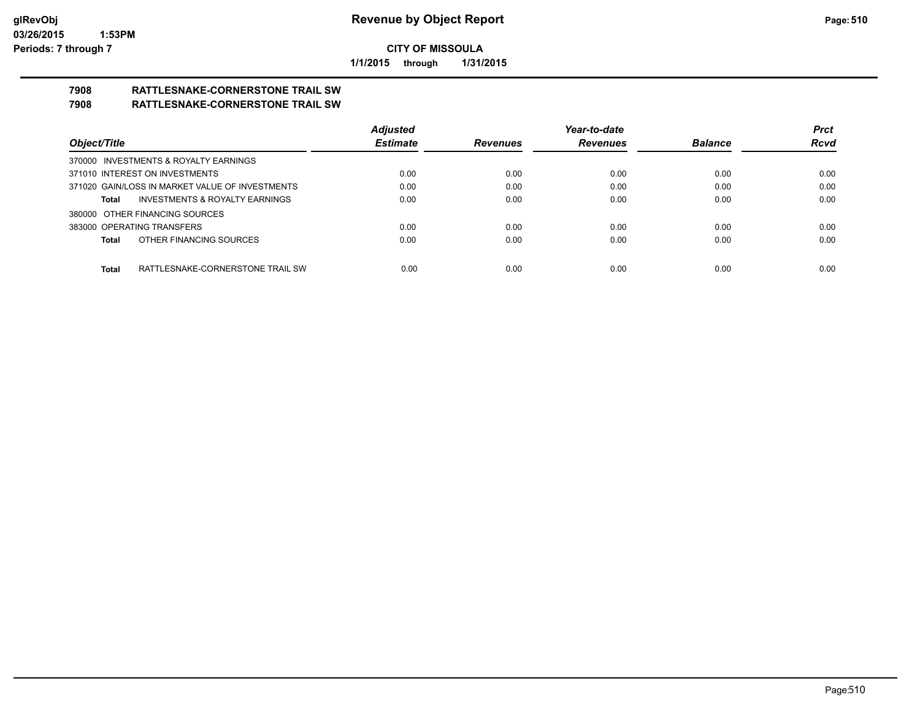**1/1/2015 through 1/31/2015**

# **7908 RATTLESNAKE-CORNERSTONE TRAIL SW**

### **7908 RATTLESNAKE-CORNERSTONE TRAIL SW**

|                                                    | <b>Adjusted</b> |                 | Year-to-date    |                | <b>Prct</b> |
|----------------------------------------------------|-----------------|-----------------|-----------------|----------------|-------------|
| Object/Title                                       | <b>Estimate</b> | <b>Revenues</b> | <b>Revenues</b> | <b>Balance</b> | <b>Rcvd</b> |
| 370000 INVESTMENTS & ROYALTY EARNINGS              |                 |                 |                 |                |             |
| 371010 INTEREST ON INVESTMENTS                     | 0.00            | 0.00            | 0.00            | 0.00           | 0.00        |
| 371020 GAIN/LOSS IN MARKET VALUE OF INVESTMENTS    | 0.00            | 0.00            | 0.00            | 0.00           | 0.00        |
| <b>INVESTMENTS &amp; ROYALTY EARNINGS</b><br>Total | 0.00            | 0.00            | 0.00            | 0.00           | 0.00        |
| 380000 OTHER FINANCING SOURCES                     |                 |                 |                 |                |             |
| 383000 OPERATING TRANSFERS                         | 0.00            | 0.00            | 0.00            | 0.00           | 0.00        |
| OTHER FINANCING SOURCES<br>Total                   | 0.00            | 0.00            | 0.00            | 0.00           | 0.00        |
|                                                    |                 |                 |                 |                |             |
| RATTLESNAKE-CORNERSTONE TRAIL SW<br><b>Total</b>   | 0.00            | 0.00            | 0.00            | 0.00           | 0.00        |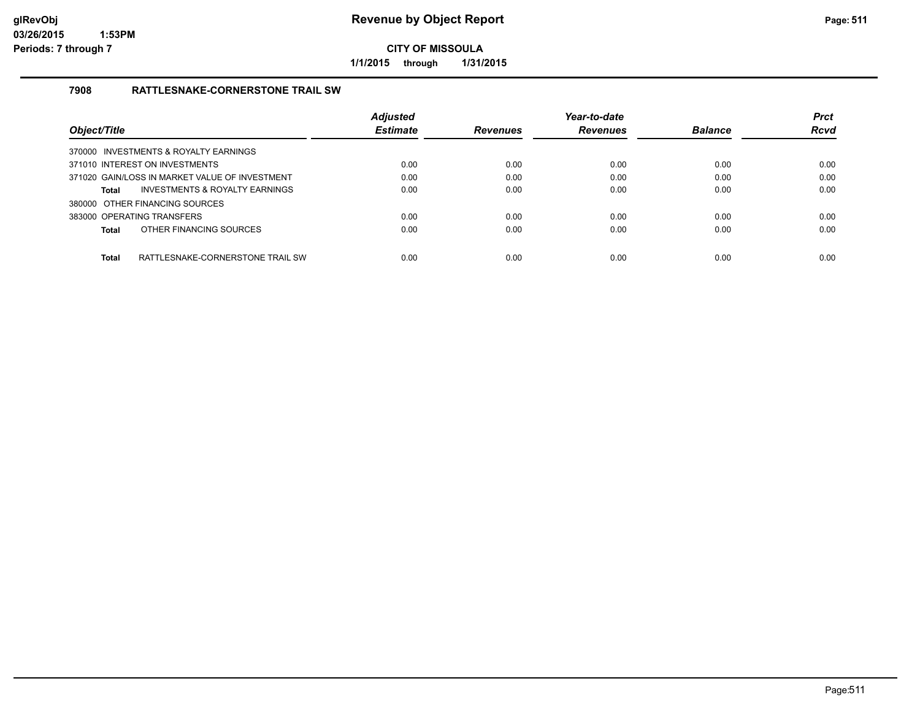**1/1/2015 through 1/31/2015**

#### **7908 RATTLESNAKE-CORNERSTONE TRAIL SW**

| Obiect/Title                                     | <b>Adjusted</b><br><b>Estimate</b> | <b>Revenues</b> | Year-to-date<br><b>Revenues</b> | <b>Balance</b> | <b>Prct</b><br><b>Rcvd</b> |
|--------------------------------------------------|------------------------------------|-----------------|---------------------------------|----------------|----------------------------|
|                                                  |                                    |                 |                                 |                |                            |
| 370000 INVESTMENTS & ROYALTY EARNINGS            |                                    |                 |                                 |                |                            |
| 371010 INTEREST ON INVESTMENTS                   | 0.00                               | 0.00            | 0.00                            | 0.00           | 0.00                       |
| 371020 GAIN/LOSS IN MARKET VALUE OF INVESTMENT   | 0.00                               | 0.00            | 0.00                            | 0.00           | 0.00                       |
| INVESTMENTS & ROYALTY EARNINGS<br>Total          | 0.00                               | 0.00            | 0.00                            | 0.00           | 0.00                       |
| 380000 OTHER FINANCING SOURCES                   |                                    |                 |                                 |                |                            |
| 383000 OPERATING TRANSFERS                       | 0.00                               | 0.00            | 0.00                            | 0.00           | 0.00                       |
| OTHER FINANCING SOURCES<br>Total                 | 0.00                               | 0.00            | 0.00                            | 0.00           | 0.00                       |
|                                                  |                                    |                 |                                 |                |                            |
| <b>Total</b><br>RATTLESNAKE-CORNERSTONE TRAIL SW | 0.00                               | 0.00            | 0.00                            | 0.00           | 0.00                       |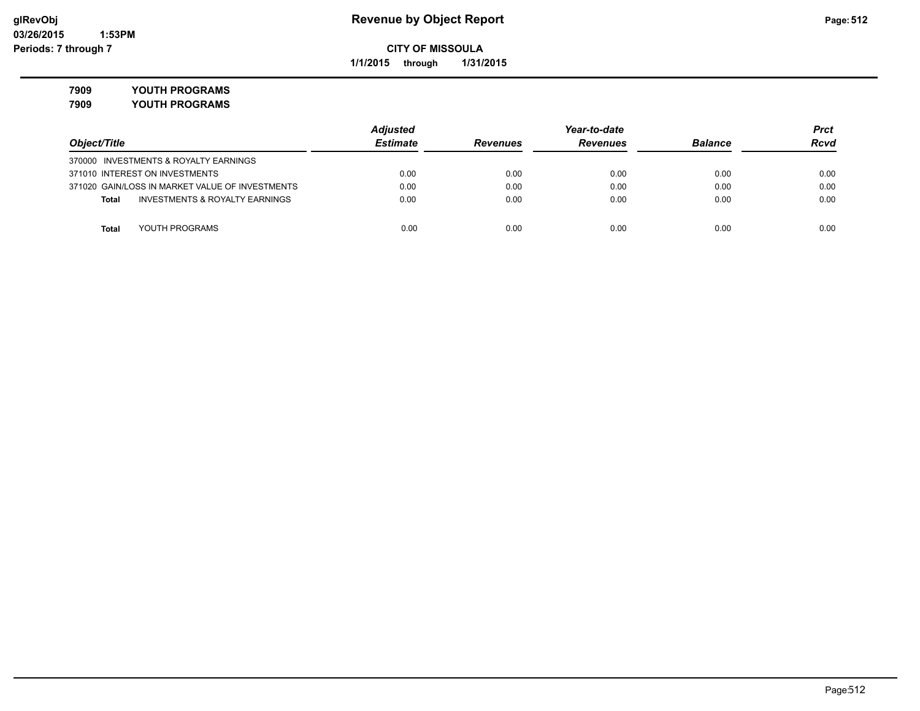**1/1/2015 through 1/31/2015**

**7909 YOUTH PROGRAMS**

**7909 YOUTH PROGRAMS**

|                                                    | <b>Adjusted</b> |                 | Year-to-date    |                | <b>Prct</b> |
|----------------------------------------------------|-----------------|-----------------|-----------------|----------------|-------------|
| Object/Title                                       | <b>Estimate</b> | <b>Revenues</b> | <b>Revenues</b> | <b>Balance</b> | <b>Rcvd</b> |
| 370000 INVESTMENTS & ROYALTY EARNINGS              |                 |                 |                 |                |             |
| 371010 INTEREST ON INVESTMENTS                     | 0.00            | 0.00            | 0.00            | 0.00           | 0.00        |
| 371020 GAIN/LOSS IN MARKET VALUE OF INVESTMENTS    | 0.00            | 0.00            | 0.00            | 0.00           | 0.00        |
| <b>INVESTMENTS &amp; ROYALTY EARNINGS</b><br>Total | 0.00            | 0.00            | 0.00            | 0.00           | 0.00        |
|                                                    |                 |                 |                 |                |             |
| YOUTH PROGRAMS<br>Total                            | 0.00            | 0.00            | 0.00            | 0.00           | 0.00        |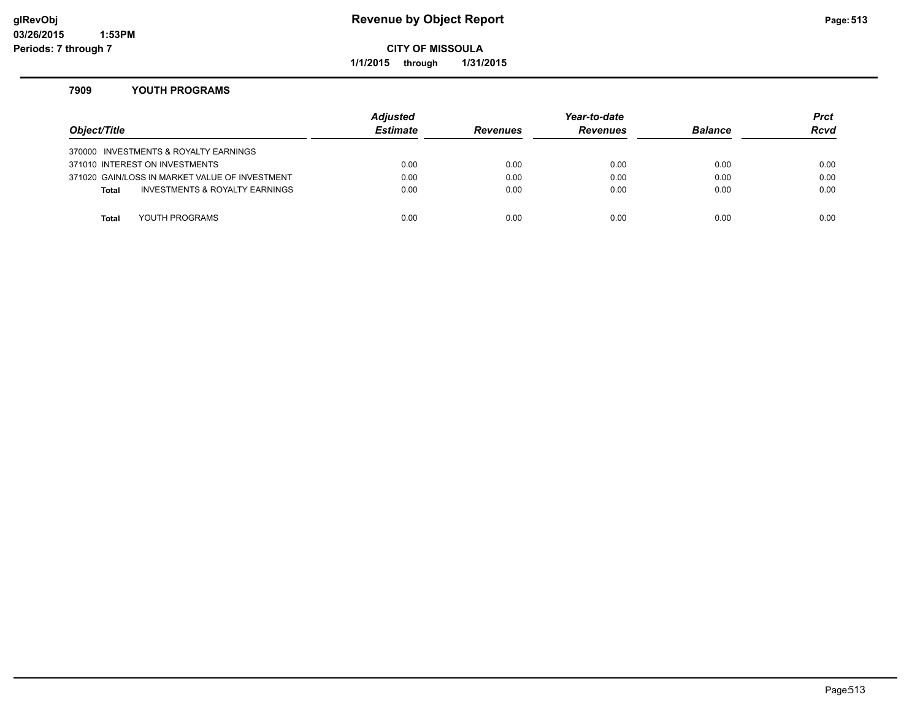### **glRevObj Revenue by Object Report Page:513**

**CITY OF MISSOULA**

**1/1/2015 through 1/31/2015**

#### **7909 YOUTH PROGRAMS**

| Object/Title |                                                | <b>Adjusted</b><br><b>Estimate</b> | <b>Revenues</b> | Year-to-date<br><b>Revenues</b> | <b>Balance</b> | <b>Prct</b><br>Rcvd |
|--------------|------------------------------------------------|------------------------------------|-----------------|---------------------------------|----------------|---------------------|
|              | 370000 INVESTMENTS & ROYALTY EARNINGS          |                                    |                 |                                 |                |                     |
|              | 371010 INTEREST ON INVESTMENTS                 | 0.00                               | 0.00            | 0.00                            | 0.00           | 0.00                |
|              | 371020 GAIN/LOSS IN MARKET VALUE OF INVESTMENT | 0.00                               | 0.00            | 0.00                            | 0.00           | 0.00                |
| <b>Total</b> | INVESTMENTS & ROYALTY EARNINGS                 | 0.00                               | 0.00            | 0.00                            | 0.00           | 0.00                |
|              |                                                |                                    |                 |                                 |                |                     |
| Total        | YOUTH PROGRAMS                                 | 0.00                               | 0.00            | 0.00                            | 0.00           | 0.00                |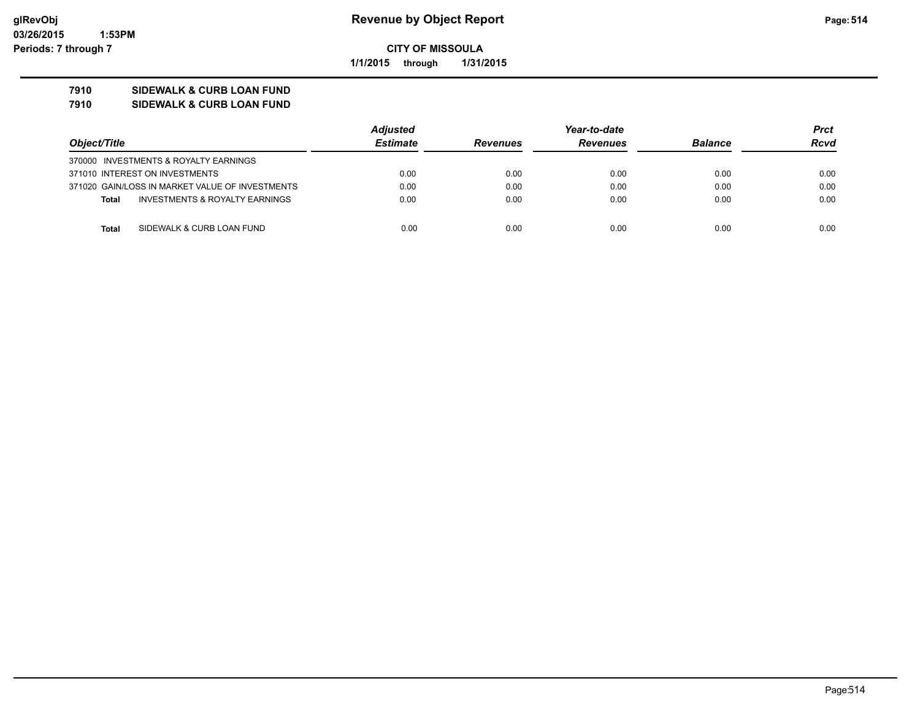**1/1/2015 through 1/31/2015**

### **7910 SIDEWALK & CURB LOAN FUND**

**7910 SIDEWALK & CURB LOAN FUND**

|                                |                                                 | <b>Adjusted</b> | Year-to-date    |                 |                | Prct        |
|--------------------------------|-------------------------------------------------|-----------------|-----------------|-----------------|----------------|-------------|
| Object/Title                   |                                                 | <b>Estimate</b> | <b>Revenues</b> | <b>Revenues</b> | <b>Balance</b> | <b>Rcvd</b> |
|                                | 370000 INVESTMENTS & ROYALTY EARNINGS           |                 |                 |                 |                |             |
| 371010 INTEREST ON INVESTMENTS |                                                 | 0.00            | 0.00            | 0.00            | 0.00           | 0.00        |
|                                | 371020 GAIN/LOSS IN MARKET VALUE OF INVESTMENTS | 0.00            | 0.00            | 0.00            | 0.00           | 0.00        |
| Total                          | INVESTMENTS & ROYALTY EARNINGS                  | 0.00            | 0.00            | 0.00            | 0.00           | 0.00        |
| Total                          | SIDEWALK & CURB LOAN FUND                       | 0.00            | 0.00            | 0.00            | 0.00           | 0.00        |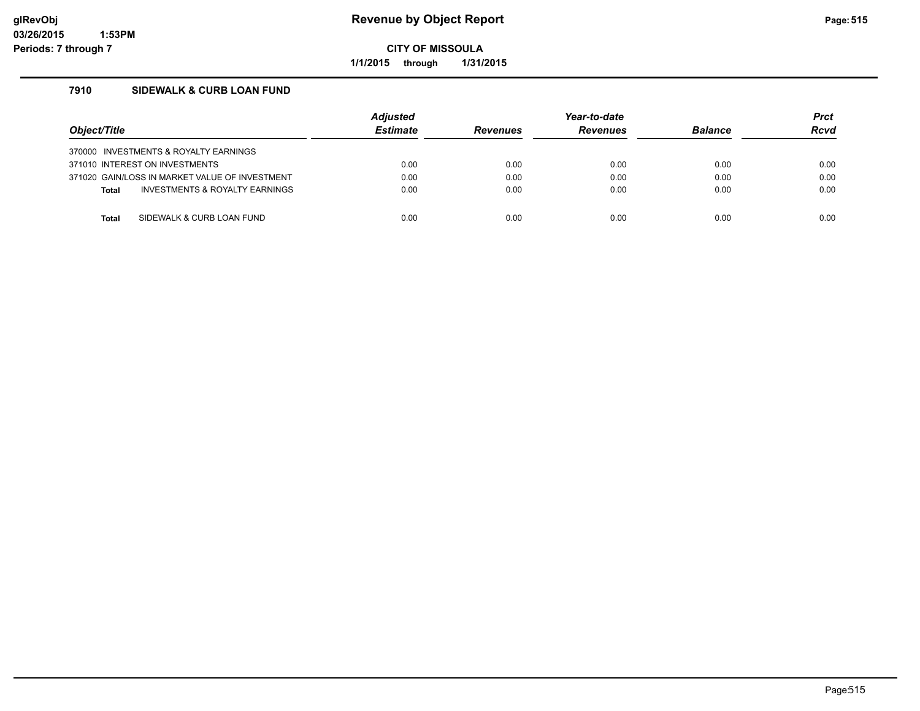### **glRevObj Revenue by Object Report Page:515**

**CITY OF MISSOULA**

**1/1/2015 through 1/31/2015**

### **7910 SIDEWALK & CURB LOAN FUND**

| Object/Title |                                                | <b>Adjusted</b><br><b>Estimate</b> | <b>Revenues</b> | Year-to-date<br><b>Revenues</b> | <b>Balance</b> | <b>Prct</b><br><b>Rcvd</b> |
|--------------|------------------------------------------------|------------------------------------|-----------------|---------------------------------|----------------|----------------------------|
|              | 370000 INVESTMENTS & ROYALTY EARNINGS          |                                    |                 |                                 |                |                            |
|              | 371010 INTEREST ON INVESTMENTS                 | 0.00                               | 0.00            | 0.00                            | 0.00           | 0.00                       |
|              | 371020 GAIN/LOSS IN MARKET VALUE OF INVESTMENT | 0.00                               | 0.00            | 0.00                            | 0.00           | 0.00                       |
| <b>Total</b> | INVESTMENTS & ROYALTY EARNINGS                 | 0.00                               | 0.00            | 0.00                            | 0.00           | 0.00                       |
|              |                                                |                                    |                 |                                 |                |                            |
| Total        | SIDEWALK & CURB LOAN FUND                      | 0.00                               | 0.00            | 0.00                            | 0.00           | 0.00                       |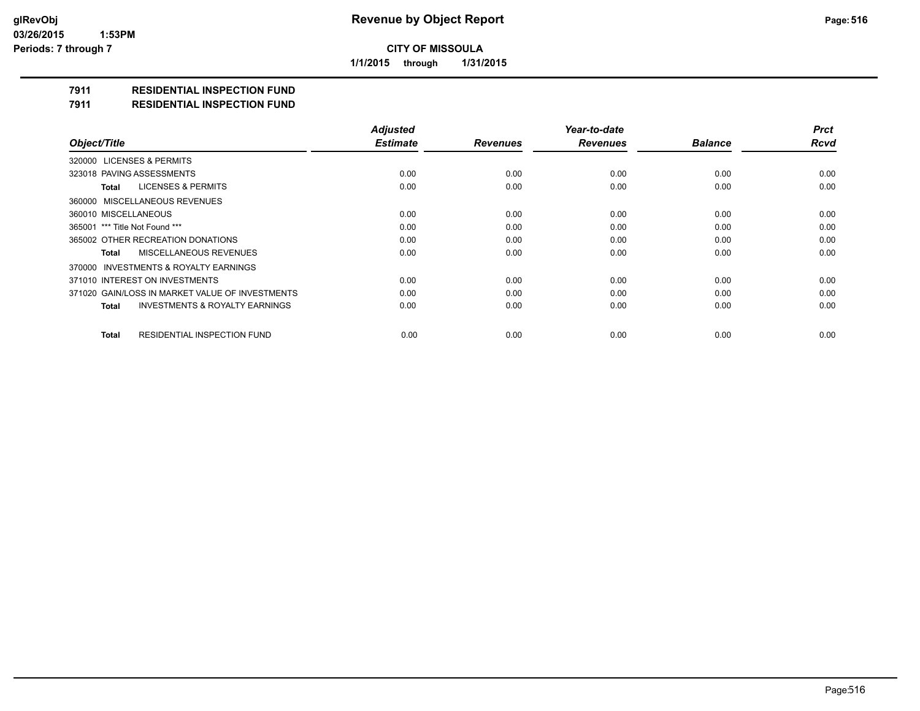**1/1/2015 through 1/31/2015**

### **7911 RESIDENTIAL INSPECTION FUND**

#### **7911 RESIDENTIAL INSPECTION FUND**

|                                                           | <b>Adjusted</b> |                 | Year-to-date    |                | <b>Prct</b> |
|-----------------------------------------------------------|-----------------|-----------------|-----------------|----------------|-------------|
| Object/Title                                              | <b>Estimate</b> | <b>Revenues</b> | <b>Revenues</b> | <b>Balance</b> | <b>Rcvd</b> |
| <b>LICENSES &amp; PERMITS</b><br>320000                   |                 |                 |                 |                |             |
| 323018 PAVING ASSESSMENTS                                 | 0.00            | 0.00            | 0.00            | 0.00           | 0.00        |
| <b>LICENSES &amp; PERMITS</b><br>Total                    | 0.00            | 0.00            | 0.00            | 0.00           | 0.00        |
| 360000 MISCELLANEOUS REVENUES                             |                 |                 |                 |                |             |
| 360010 MISCELLANEOUS                                      | 0.00            | 0.00            | 0.00            | 0.00           | 0.00        |
| 365001 *** Title Not Found ***                            | 0.00            | 0.00            | 0.00            | 0.00           | 0.00        |
| 365002 OTHER RECREATION DONATIONS                         | 0.00            | 0.00            | 0.00            | 0.00           | 0.00        |
| MISCELLANEOUS REVENUES<br><b>Total</b>                    | 0.00            | 0.00            | 0.00            | 0.00           | 0.00        |
| INVESTMENTS & ROYALTY EARNINGS<br>370000                  |                 |                 |                 |                |             |
| 371010 INTEREST ON INVESTMENTS                            | 0.00            | 0.00            | 0.00            | 0.00           | 0.00        |
| 371020 GAIN/LOSS IN MARKET VALUE OF INVESTMENTS           | 0.00            | 0.00            | 0.00            | 0.00           | 0.00        |
| <b>INVESTMENTS &amp; ROYALTY EARNINGS</b><br><b>Total</b> | 0.00            | 0.00            | 0.00            | 0.00           | 0.00        |
| <b>RESIDENTIAL INSPECTION FUND</b><br><b>Total</b>        | 0.00            | 0.00            | 0.00            | 0.00           | 0.00        |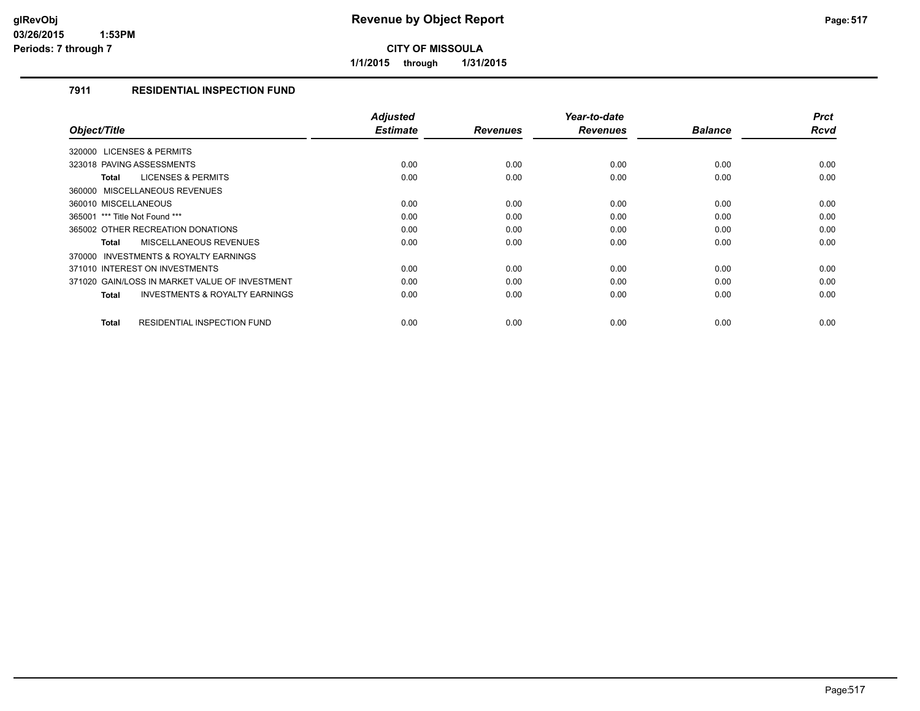**1/1/2015 through 1/31/2015**

### **7911 RESIDENTIAL INSPECTION FUND**

| Object/Title                                              | <b>Adjusted</b><br><b>Estimate</b> | <b>Revenues</b> | Year-to-date<br><b>Revenues</b> | <b>Balance</b> | <b>Prct</b><br>Rcvd |
|-----------------------------------------------------------|------------------------------------|-----------------|---------------------------------|----------------|---------------------|
|                                                           |                                    |                 |                                 |                |                     |
| 320000 LICENSES & PERMITS                                 |                                    |                 |                                 |                |                     |
| 323018 PAVING ASSESSMENTS                                 | 0.00                               | 0.00            | 0.00                            | 0.00           | 0.00                |
| <b>LICENSES &amp; PERMITS</b><br><b>Total</b>             | 0.00                               | 0.00            | 0.00                            | 0.00           | 0.00                |
| 360000 MISCELLANEOUS REVENUES                             |                                    |                 |                                 |                |                     |
| 360010 MISCELLANEOUS                                      | 0.00                               | 0.00            | 0.00                            | 0.00           | 0.00                |
| 365001 *** Title Not Found ***                            | 0.00                               | 0.00            | 0.00                            | 0.00           | 0.00                |
| 365002 OTHER RECREATION DONATIONS                         | 0.00                               | 0.00            | 0.00                            | 0.00           | 0.00                |
| <b>MISCELLANEOUS REVENUES</b><br>Total                    | 0.00                               | 0.00            | 0.00                            | 0.00           | 0.00                |
| INVESTMENTS & ROYALTY EARNINGS<br>370000                  |                                    |                 |                                 |                |                     |
| 371010 INTEREST ON INVESTMENTS                            | 0.00                               | 0.00            | 0.00                            | 0.00           | 0.00                |
| 371020 GAIN/LOSS IN MARKET VALUE OF INVESTMENT            | 0.00                               | 0.00            | 0.00                            | 0.00           | 0.00                |
| <b>INVESTMENTS &amp; ROYALTY EARNINGS</b><br><b>Total</b> | 0.00                               | 0.00            | 0.00                            | 0.00           | 0.00                |
|                                                           |                                    |                 |                                 |                |                     |
| <b>RESIDENTIAL INSPECTION FUND</b><br><b>Total</b>        | 0.00                               | 0.00            | 0.00                            | 0.00           | 0.00                |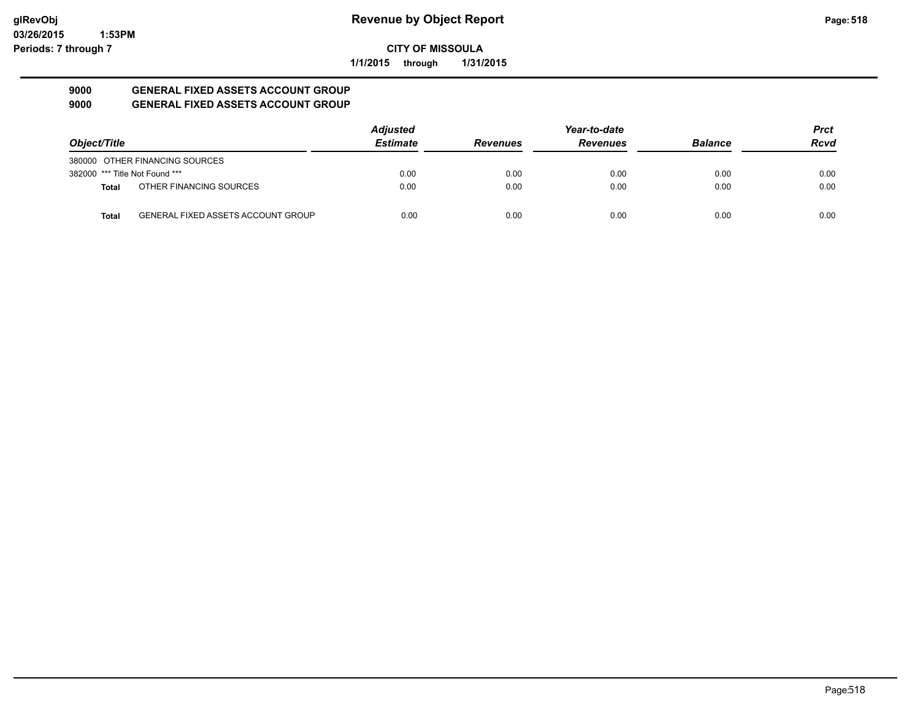**1/1/2015 through 1/31/2015**

#### **9000 GENERAL FIXED ASSETS ACCOUNT GROUP 9000 GENERAL FIXED ASSETS ACCOUNT GROUP**

| Object/Title                   |                                           | <b>Adjusted</b> |                 | Year-to-date    |                | <b>Prct</b> |
|--------------------------------|-------------------------------------------|-----------------|-----------------|-----------------|----------------|-------------|
|                                |                                           | <b>Estimate</b> | <b>Revenues</b> | <b>Revenues</b> | <b>Balance</b> | <b>Rcvd</b> |
|                                | 380000 OTHER FINANCING SOURCES            |                 |                 |                 |                |             |
| 382000 *** Title Not Found *** |                                           | 0.00            | 0.00            | 0.00            | 0.00           | 0.00        |
| Total                          | OTHER FINANCING SOURCES                   | 0.00            | 0.00            | 0.00            | 0.00           | 0.00        |
| Total                          | <b>GENERAL FIXED ASSETS ACCOUNT GROUP</b> | 0.00            | 0.00            | 0.00            | 0.00           | 0.00        |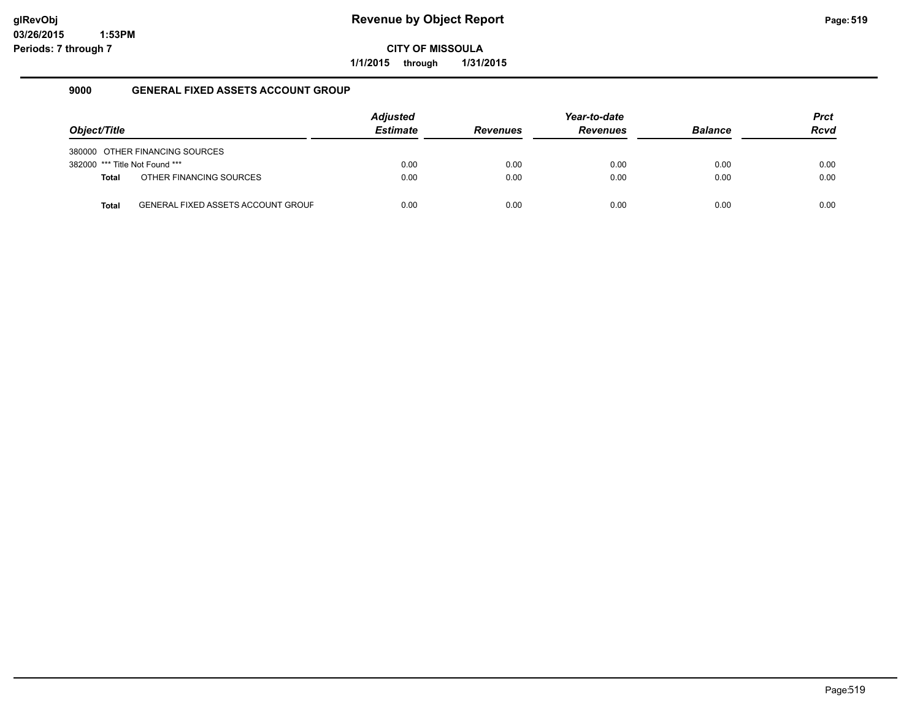**1/1/2015 through 1/31/2015**

#### **9000 GENERAL FIXED ASSETS ACCOUNT GROUP**

|                                |                                           | <b>Adjusted</b> |                 | Year-to-date    |                | <b>Prct</b> |
|--------------------------------|-------------------------------------------|-----------------|-----------------|-----------------|----------------|-------------|
| Object/Title                   |                                           | <b>Estimate</b> | <b>Revenues</b> | <b>Revenues</b> | <b>Balance</b> | <b>Rcvd</b> |
|                                | 380000 OTHER FINANCING SOURCES            |                 |                 |                 |                |             |
| 382000 *** Title Not Found *** |                                           | 0.00            | 0.00            | 0.00            | 0.00           | 0.00        |
| Total                          | OTHER FINANCING SOURCES                   | 0.00            | 0.00            | 0.00            | 0.00           | 0.00        |
| <b>Total</b>                   | <b>GENERAL FIXED ASSETS ACCOUNT GROUF</b> | 0.00            | 0.00            | 0.00            | 0.00           | 0.00        |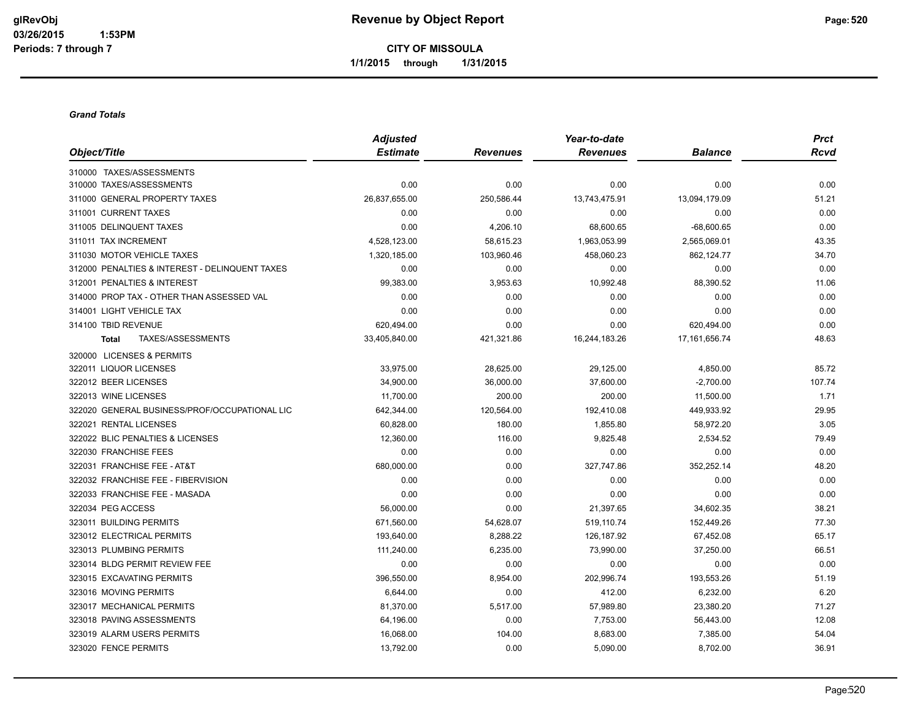**CITY OF MISSOULA 1/1/2015 through 1/31/2015**

#### *Grand Totals*

|                                                | <b>Adjusted</b> |                 | Year-to-date    |                  | <b>Prct</b> |
|------------------------------------------------|-----------------|-----------------|-----------------|------------------|-------------|
| Object/Title                                   | <b>Estimate</b> | <b>Revenues</b> | <b>Revenues</b> | <b>Balance</b>   | <b>Rcvd</b> |
| 310000 TAXES/ASSESSMENTS                       |                 |                 |                 |                  |             |
| 310000 TAXES/ASSESSMENTS                       | 0.00            | 0.00            | 0.00            | 0.00             | 0.00        |
| 311000 GENERAL PROPERTY TAXES                  | 26,837,655.00   | 250,586.44      | 13,743,475.91   | 13,094,179.09    | 51.21       |
| 311001 CURRENT TAXES                           | 0.00            | 0.00            | 0.00            | 0.00             | 0.00        |
| 311005 DELINQUENT TAXES                        | 0.00            | 4,206.10        | 68,600.65       | $-68,600.65$     | 0.00        |
| 311011 TAX INCREMENT                           | 4,528,123.00    | 58,615.23       | 1,963,053.99    | 2,565,069.01     | 43.35       |
| 311030 MOTOR VEHICLE TAXES                     | 1,320,185.00    | 103,960.46      | 458,060.23      | 862,124.77       | 34.70       |
| 312000 PENALTIES & INTEREST - DELINQUENT TAXES | 0.00            | 0.00            | 0.00            | 0.00             | 0.00        |
| 312001 PENALTIES & INTEREST                    | 99,383.00       | 3,953.63        | 10,992.48       | 88,390.52        | 11.06       |
| 314000 PROP TAX - OTHER THAN ASSESSED VAL      | 0.00            | 0.00            | 0.00            | 0.00             | 0.00        |
| 314001 LIGHT VEHICLE TAX                       | 0.00            | 0.00            | 0.00            | 0.00             | 0.00        |
| 314100 TBID REVENUE                            | 620,494.00      | 0.00            | 0.00            | 620,494.00       | 0.00        |
| TAXES/ASSESSMENTS<br><b>Total</b>              | 33,405,840.00   | 421,321.86      | 16,244,183.26   | 17, 161, 656. 74 | 48.63       |
| 320000 LICENSES & PERMITS                      |                 |                 |                 |                  |             |
| 322011 LIQUOR LICENSES                         | 33,975.00       | 28,625.00       | 29,125.00       | 4,850.00         | 85.72       |
| 322012 BEER LICENSES                           | 34,900.00       | 36,000.00       | 37,600.00       | $-2,700.00$      | 107.74      |
| 322013 WINE LICENSES                           | 11,700.00       | 200.00          | 200.00          | 11,500.00        | 1.71        |
| 322020 GENERAL BUSINESS/PROF/OCCUPATIONAL LIC  | 642,344.00      | 120,564.00      | 192,410.08      | 449,933.92       | 29.95       |
| 322021 RENTAL LICENSES                         | 60,828.00       | 180.00          | 1,855.80        | 58,972.20        | 3.05        |
| 322022 BLIC PENALTIES & LICENSES               | 12,360.00       | 116.00          | 9,825.48        | 2,534.52         | 79.49       |
| 322030 FRANCHISE FEES                          | 0.00            | 0.00            | 0.00            | 0.00             | 0.00        |
| 322031 FRANCHISE FEE - AT&T                    | 680,000.00      | 0.00            | 327,747.86      | 352,252.14       | 48.20       |
| 322032 FRANCHISE FEE - FIBERVISION             | 0.00            | 0.00            | 0.00            | 0.00             | 0.00        |
| 322033 FRANCHISE FEE - MASADA                  | 0.00            | 0.00            | 0.00            | 0.00             | 0.00        |
| 322034 PEG ACCESS                              | 56,000.00       | 0.00            | 21,397.65       | 34,602.35        | 38.21       |
| 323011 BUILDING PERMITS                        | 671,560.00      | 54,628.07       | 519,110.74      | 152,449.26       | 77.30       |
| 323012 ELECTRICAL PERMITS                      | 193,640.00      | 8,288.22        | 126,187.92      | 67,452.08        | 65.17       |
| 323013 PLUMBING PERMITS                        | 111,240.00      | 6,235.00        | 73,990.00       | 37,250.00        | 66.51       |
| 323014 BLDG PERMIT REVIEW FEE                  | 0.00            | 0.00            | 0.00            | 0.00             | 0.00        |
| 323015 EXCAVATING PERMITS                      | 396,550.00      | 8,954.00        | 202,996.74      | 193,553.26       | 51.19       |
| 323016 MOVING PERMITS                          | 6,644.00        | 0.00            | 412.00          | 6,232.00         | 6.20        |
| 323017 MECHANICAL PERMITS                      | 81,370.00       | 5,517.00        | 57,989.80       | 23,380.20        | 71.27       |
| 323018 PAVING ASSESSMENTS                      | 64,196.00       | 0.00            | 7,753.00        | 56,443.00        | 12.08       |
| 323019 ALARM USERS PERMITS                     | 16,068.00       | 104.00          | 8,683.00        | 7,385.00         | 54.04       |
| 323020 FENCE PERMITS                           | 13,792.00       | 0.00            | 5,090.00        | 8,702.00         | 36.91       |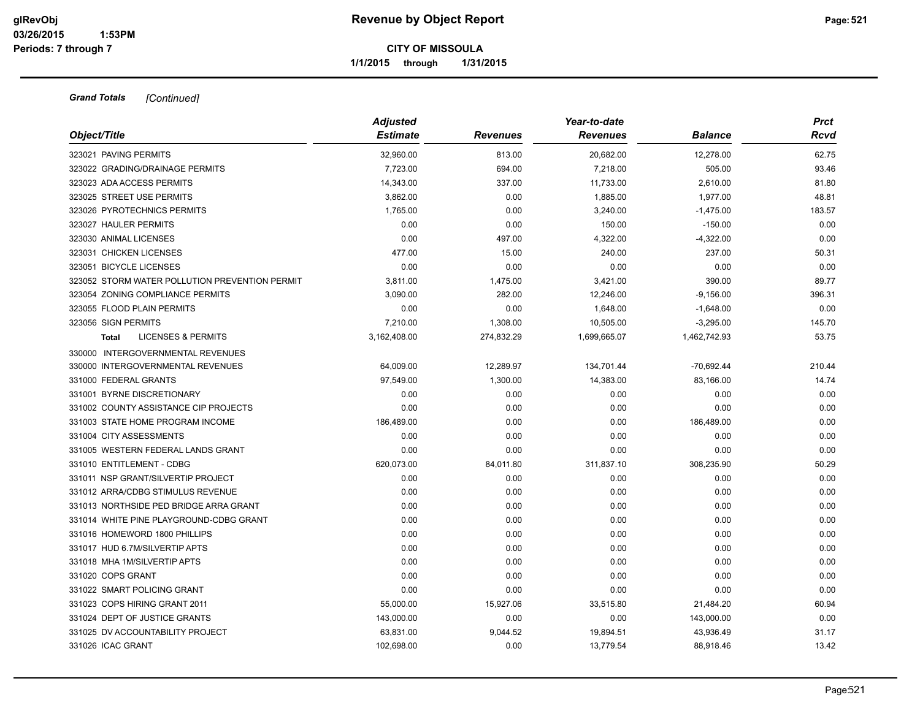**1/1/2015 through 1/31/2015**

| Object/Title                                   | <b>Adjusted</b><br><b>Estimate</b> | Revenues   | Year-to-date<br><b>Revenues</b> | <b>Balance</b> | <b>Prct</b><br>Rcvd |
|------------------------------------------------|------------------------------------|------------|---------------------------------|----------------|---------------------|
| 323021 PAVING PERMITS                          | 32,960.00                          | 813.00     | 20,682.00                       | 12,278.00      | 62.75               |
| 323022 GRADING/DRAINAGE PERMITS                | 7,723.00                           | 694.00     | 7,218.00                        | 505.00         | 93.46               |
| 323023 ADA ACCESS PERMITS                      | 14,343.00                          | 337.00     | 11,733.00                       | 2,610.00       | 81.80               |
| 323025 STREET USE PERMITS                      | 3,862.00                           | 0.00       | 1,885.00                        | 1,977.00       | 48.81               |
| 323026 PYROTECHNICS PERMITS                    | 1,765.00                           | 0.00       | 3,240.00                        | $-1,475.00$    | 183.57              |
| 323027 HAULER PERMITS                          | 0.00                               | 0.00       | 150.00                          | $-150.00$      | 0.00                |
| 323030 ANIMAL LICENSES                         | 0.00                               | 497.00     | 4,322.00                        | $-4,322.00$    | 0.00                |
| 323031 CHICKEN LICENSES                        | 477.00                             | 15.00      | 240.00                          | 237.00         | 50.31               |
| 323051 BICYCLE LICENSES                        | 0.00                               | 0.00       | 0.00                            | 0.00           | 0.00                |
| 323052 STORM WATER POLLUTION PREVENTION PERMIT | 3,811.00                           | 1,475.00   | 3,421.00                        | 390.00         | 89.77               |
| 323054 ZONING COMPLIANCE PERMITS               | 3,090.00                           | 282.00     | 12,246.00                       | $-9,156.00$    | 396.31              |
| 323055 FLOOD PLAIN PERMITS                     | 0.00                               | 0.00       | 1,648.00                        | $-1,648.00$    | 0.00                |
| 323056 SIGN PERMITS                            | 7,210.00                           | 1,308.00   | 10,505.00                       | $-3,295.00$    | 145.70              |
| <b>LICENSES &amp; PERMITS</b><br>Total         | 3,162,408.00                       | 274,832.29 | 1,699,665.07                    | 1,462,742.93   | 53.75               |
| 330000 INTERGOVERNMENTAL REVENUES              |                                    |            |                                 |                |                     |
| 330000 INTERGOVERNMENTAL REVENUES              | 64,009.00                          | 12,289.97  | 134,701.44                      | $-70,692.44$   | 210.44              |
| 331000 FEDERAL GRANTS                          | 97,549.00                          | 1,300.00   | 14,383.00                       | 83,166.00      | 14.74               |
| 331001 BYRNE DISCRETIONARY                     | 0.00                               | 0.00       | 0.00                            | 0.00           | 0.00                |
| 331002 COUNTY ASSISTANCE CIP PROJECTS          | 0.00                               | 0.00       | 0.00                            | 0.00           | 0.00                |
| 331003 STATE HOME PROGRAM INCOME               | 186,489.00                         | 0.00       | 0.00                            | 186,489.00     | 0.00                |
| 331004 CITY ASSESSMENTS                        | 0.00                               | 0.00       | 0.00                            | 0.00           | 0.00                |
| 331005 WESTERN FEDERAL LANDS GRANT             | 0.00                               | 0.00       | 0.00                            | 0.00           | 0.00                |
| 331010 ENTITLEMENT - CDBG                      | 620,073.00                         | 84,011.80  | 311,837.10                      | 308,235.90     | 50.29               |
| 331011 NSP GRANT/SILVERTIP PROJECT             | 0.00                               | 0.00       | 0.00                            | 0.00           | 0.00                |
| 331012 ARRA/CDBG STIMULUS REVENUE              | 0.00                               | 0.00       | 0.00                            | 0.00           | 0.00                |
| 331013 NORTHSIDE PED BRIDGE ARRA GRANT         | 0.00                               | 0.00       | 0.00                            | 0.00           | 0.00                |
| 331014 WHITE PINE PLAYGROUND-CDBG GRANT        | 0.00                               | 0.00       | 0.00                            | 0.00           | 0.00                |
| 331016 HOMEWORD 1800 PHILLIPS                  | 0.00                               | 0.00       | 0.00                            | 0.00           | 0.00                |
| 331017 HUD 6.7M/SILVERTIP APTS                 | 0.00                               | 0.00       | 0.00                            | 0.00           | 0.00                |
| 331018 MHA 1M/SILVERTIP APTS                   | 0.00                               | 0.00       | 0.00                            | 0.00           | 0.00                |
| 331020 COPS GRANT                              | 0.00                               | 0.00       | 0.00                            | 0.00           | 0.00                |
| 331022 SMART POLICING GRANT                    | 0.00                               | 0.00       | 0.00                            | 0.00           | 0.00                |
| 331023 COPS HIRING GRANT 2011                  | 55,000.00                          | 15,927.06  | 33,515.80                       | 21,484.20      | 60.94               |
| 331024 DEPT OF JUSTICE GRANTS                  | 143,000.00                         | 0.00       | 0.00                            | 143,000.00     | 0.00                |
| 331025 DV ACCOUNTABILITY PROJECT               | 63,831.00                          | 9,044.52   | 19,894.51                       | 43,936.49      | 31.17               |
| 331026 ICAC GRANT                              | 102,698.00                         | 0.00       | 13,779.54                       | 88,918.46      | 13.42               |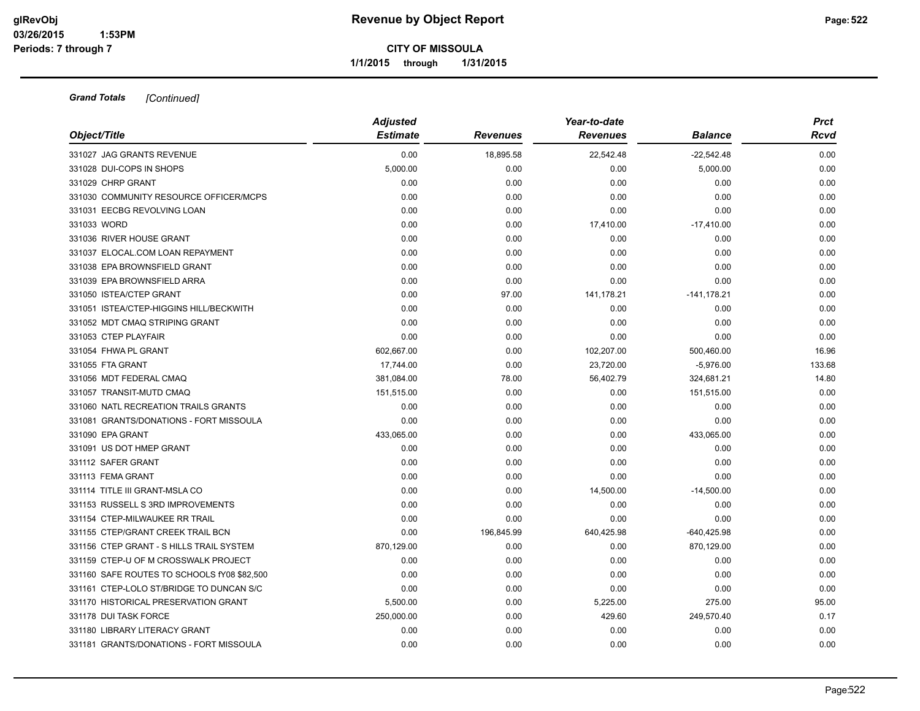**1/1/2015 through 1/31/2015**

|                                             | <b>Adjusted</b> |                 | Year-to-date    |                | <b>Prct</b> |  |
|---------------------------------------------|-----------------|-----------------|-----------------|----------------|-------------|--|
| Object/Title                                | <b>Estimate</b> | <b>Revenues</b> | <b>Revenues</b> | <b>Balance</b> | <b>Rcvd</b> |  |
| 331027 JAG GRANTS REVENUE                   | 0.00            | 18,895.58       | 22,542.48       | $-22,542.48$   | 0.00        |  |
| 331028 DUI-COPS IN SHOPS                    | 5,000.00        | 0.00            | 0.00            | 5,000.00       | 0.00        |  |
| 331029 CHRP GRANT                           | 0.00            | 0.00            | 0.00            | 0.00           | 0.00        |  |
| 331030 COMMUNITY RESOURCE OFFICER/MCPS      | 0.00            | 0.00            | 0.00            | 0.00           | 0.00        |  |
| 331031 EECBG REVOLVING LOAN                 | 0.00            | 0.00            | 0.00            | 0.00           | 0.00        |  |
| 331033 WORD                                 | 0.00            | 0.00            | 17,410.00       | $-17,410.00$   | 0.00        |  |
| 331036 RIVER HOUSE GRANT                    | 0.00            | 0.00            | 0.00            | 0.00           | 0.00        |  |
| 331037 ELOCAL.COM LOAN REPAYMENT            | 0.00            | 0.00            | 0.00            | 0.00           | 0.00        |  |
| 331038 EPA BROWNSFIELD GRANT                | 0.00            | 0.00            | 0.00            | 0.00           | 0.00        |  |
| 331039 EPA BROWNSFIELD ARRA                 | 0.00            | 0.00            | 0.00            | 0.00           | 0.00        |  |
| 331050 ISTEA/CTEP GRANT                     | 0.00            | 97.00           | 141,178.21      | $-141, 178.21$ | 0.00        |  |
| 331051 ISTEA/CTEP-HIGGINS HILL/BECKWITH     | 0.00            | 0.00            | 0.00            | 0.00           | 0.00        |  |
| 331052 MDT CMAQ STRIPING GRANT              | 0.00            | 0.00            | 0.00            | 0.00           | 0.00        |  |
| 331053 CTEP PLAYFAIR                        | 0.00            | 0.00            | 0.00            | 0.00           | 0.00        |  |
| 331054 FHWA PL GRANT                        | 602,667.00      | 0.00            | 102,207.00      | 500,460.00     | 16.96       |  |
| 331055 FTA GRANT                            | 17,744.00       | 0.00            | 23,720.00       | $-5,976.00$    | 133.68      |  |
| 331056 MDT FEDERAL CMAQ                     | 381,084.00      | 78.00           | 56,402.79       | 324,681.21     | 14.80       |  |
| 331057 TRANSIT-MUTD CMAQ                    | 151,515.00      | 0.00            | 0.00            | 151,515.00     | 0.00        |  |
| 331060 NATL RECREATION TRAILS GRANTS        | 0.00            | 0.00            | 0.00            | 0.00           | 0.00        |  |
| 331081 GRANTS/DONATIONS - FORT MISSOULA     | 0.00            | 0.00            | 0.00            | 0.00           | 0.00        |  |
| 331090 EPA GRANT                            | 433,065.00      | 0.00            | 0.00            | 433,065.00     | 0.00        |  |
| 331091 US DOT HMEP GRANT                    | 0.00            | 0.00            | 0.00            | 0.00           | 0.00        |  |
| 331112 SAFER GRANT                          | 0.00            | 0.00            | 0.00            | 0.00           | 0.00        |  |
| 331113 FEMA GRANT                           | 0.00            | 0.00            | 0.00            | 0.00           | 0.00        |  |
| 331114 TITLE III GRANT-MSLA CO              | 0.00            | 0.00            | 14,500.00       | $-14,500.00$   | 0.00        |  |
| 331153 RUSSELL S 3RD IMPROVEMENTS           | 0.00            | 0.00            | 0.00            | 0.00           | 0.00        |  |
| 331154 CTEP-MILWAUKEE RR TRAIL              | 0.00            | 0.00            | 0.00            | 0.00           | 0.00        |  |
| 331155 CTEP/GRANT CREEK TRAIL BCN           | 0.00            | 196,845.99      | 640,425.98      | $-640, 425.98$ | 0.00        |  |
| 331156 CTEP GRANT - S HILLS TRAIL SYSTEM    | 870,129.00      | 0.00            | 0.00            | 870,129.00     | 0.00        |  |
| 331159 CTEP-U OF M CROSSWALK PROJECT        | 0.00            | 0.00            | 0.00            | 0.00           | 0.00        |  |
| 331160 SAFE ROUTES TO SCHOOLS fY08 \$82,500 | 0.00            | 0.00            | 0.00            | 0.00           | 0.00        |  |
| 331161 CTEP-LOLO ST/BRIDGE TO DUNCAN S/C    | 0.00            | 0.00            | 0.00            | 0.00           | 0.00        |  |
| 331170 HISTORICAL PRESERVATION GRANT        | 5,500.00        | 0.00            | 5,225.00        | 275.00         | 95.00       |  |
| 331178 DUI TASK FORCE                       | 250,000.00      | 0.00            | 429.60          | 249,570.40     | 0.17        |  |
| 331180 LIBRARY LITERACY GRANT               | 0.00            | 0.00            | 0.00            | 0.00           | 0.00        |  |
| 331181 GRANTS/DONATIONS - FORT MISSOULA     | 0.00            | 0.00            | 0.00            | 0.00           | 0.00        |  |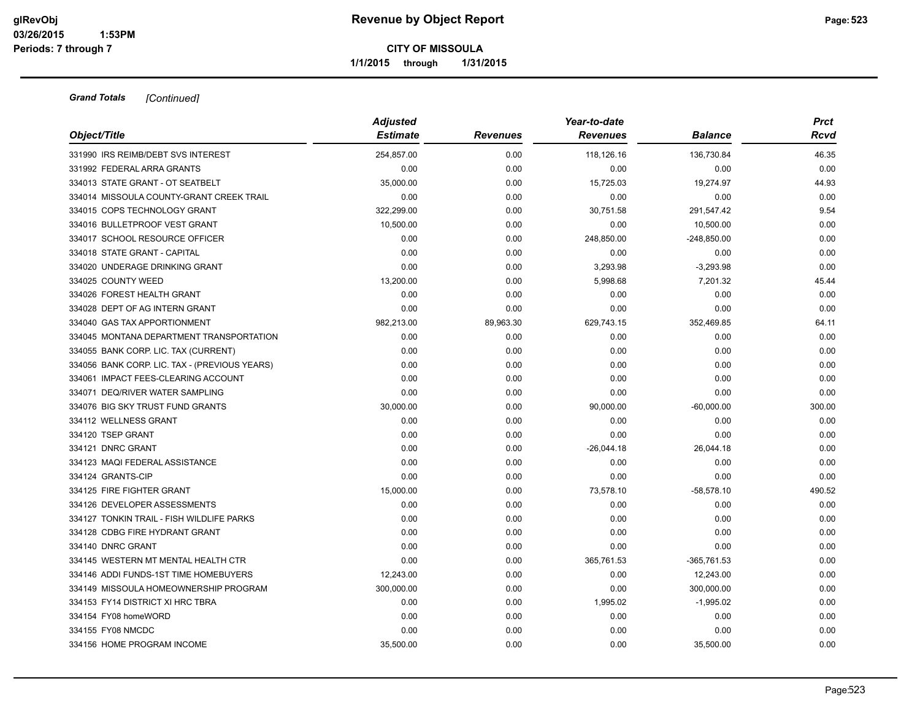**1/1/2015 through 1/31/2015**

|                                               | <b>Adjusted</b> |                 |                 | <b>Prct</b>    |        |
|-----------------------------------------------|-----------------|-----------------|-----------------|----------------|--------|
| Object/Title                                  | <b>Estimate</b> | <b>Revenues</b> | <b>Revenues</b> | <b>Balance</b> | Rcvd   |
| 331990 IRS REIMB/DEBT SVS INTEREST            | 254.857.00      | 0.00            | 118,126.16      | 136,730.84     | 46.35  |
| 331992 FEDERAL ARRA GRANTS                    | 0.00            | 0.00            | 0.00            | 0.00           | 0.00   |
| 334013 STATE GRANT - OT SEATBELT              | 35,000.00       | 0.00            | 15,725.03       | 19,274.97      | 44.93  |
| 334014 MISSOULA COUNTY-GRANT CREEK TRAIL      | 0.00            | 0.00            | 0.00            | 0.00           | 0.00   |
| 334015 COPS TECHNOLOGY GRANT                  | 322,299.00      | 0.00            | 30,751.58       | 291,547.42     | 9.54   |
| 334016 BULLETPROOF VEST GRANT                 | 10,500.00       | 0.00            | 0.00            | 10,500.00      | 0.00   |
| 334017 SCHOOL RESOURCE OFFICER                | 0.00            | 0.00            | 248,850.00      | $-248,850.00$  | 0.00   |
| 334018 STATE GRANT - CAPITAL                  | 0.00            | 0.00            | 0.00            | 0.00           | 0.00   |
| 334020 UNDERAGE DRINKING GRANT                | 0.00            | 0.00            | 3,293.98        | $-3,293.98$    | 0.00   |
| 334025 COUNTY WEED                            | 13,200.00       | 0.00            | 5,998.68        | 7,201.32       | 45.44  |
| 334026 FOREST HEALTH GRANT                    | 0.00            | 0.00            | 0.00            | 0.00           | 0.00   |
| 334028 DEPT OF AG INTERN GRANT                | 0.00            | 0.00            | 0.00            | 0.00           | 0.00   |
| 334040 GAS TAX APPORTIONMENT                  | 982,213.00      | 89,963.30       | 629,743.15      | 352,469.85     | 64.11  |
| 334045 MONTANA DEPARTMENT TRANSPORTATION      | 0.00            | 0.00            | 0.00            | 0.00           | 0.00   |
| 334055 BANK CORP. LIC. TAX (CURRENT)          | 0.00            | 0.00            | 0.00            | 0.00           | 0.00   |
| 334056 BANK CORP. LIC. TAX - (PREVIOUS YEARS) | 0.00            | 0.00            | 0.00            | 0.00           | 0.00   |
| 334061 IMPACT FEES-CLEARING ACCOUNT           | 0.00            | 0.00            | 0.00            | 0.00           | 0.00   |
| 334071 DEQ/RIVER WATER SAMPLING               | 0.00            | 0.00            | 0.00            | 0.00           | 0.00   |
| 334076 BIG SKY TRUST FUND GRANTS              | 30,000.00       | 0.00            | 90,000.00       | $-60,000.00$   | 300.00 |
| 334112 WELLNESS GRANT                         | 0.00            | 0.00            | 0.00            | 0.00           | 0.00   |
| 334120 TSEP GRANT                             | 0.00            | 0.00            | 0.00            | 0.00           | 0.00   |
| 334121 DNRC GRANT                             | 0.00            | 0.00            | $-26,044.18$    | 26,044.18      | 0.00   |
| 334123 MAQI FEDERAL ASSISTANCE                | 0.00            | 0.00            | 0.00            | 0.00           | 0.00   |
| 334124 GRANTS-CIP                             | 0.00            | 0.00            | 0.00            | 0.00           | 0.00   |
| 334125 FIRE FIGHTER GRANT                     | 15,000.00       | 0.00            | 73,578.10       | $-58,578.10$   | 490.52 |
| 334126 DEVELOPER ASSESSMENTS                  | 0.00            | 0.00            | 0.00            | 0.00           | 0.00   |
| 334127 TONKIN TRAIL - FISH WILDLIFE PARKS     | 0.00            | 0.00            | 0.00            | 0.00           | 0.00   |
| 334128 CDBG FIRE HYDRANT GRANT                | 0.00            | 0.00            | 0.00            | 0.00           | 0.00   |
| 334140 DNRC GRANT                             | 0.00            | 0.00            | 0.00            | 0.00           | 0.00   |
| 334145 WESTERN MT MENTAL HEALTH CTR           | 0.00            | 0.00            | 365,761.53      | -365,761.53    | 0.00   |
| 334146 ADDI FUNDS-1ST TIME HOMEBUYERS         | 12,243.00       | 0.00            | 0.00            | 12,243.00      | 0.00   |
| 334149 MISSOULA HOMEOWNERSHIP PROGRAM         | 300,000.00      | 0.00            | 0.00            | 300,000.00     | 0.00   |
| 334153 FY14 DISTRICT XI HRC TBRA              | 0.00            | 0.00            | 1,995.02        | $-1,995.02$    | 0.00   |
| 334154 FY08 homeWORD                          | 0.00            | 0.00            | 0.00            | 0.00           | 0.00   |
| 334155 FY08 NMCDC                             | 0.00            | 0.00            | 0.00            | 0.00           | 0.00   |
| 334156 HOME PROGRAM INCOME                    | 35,500.00       | 0.00            | 0.00            | 35,500.00      | 0.00   |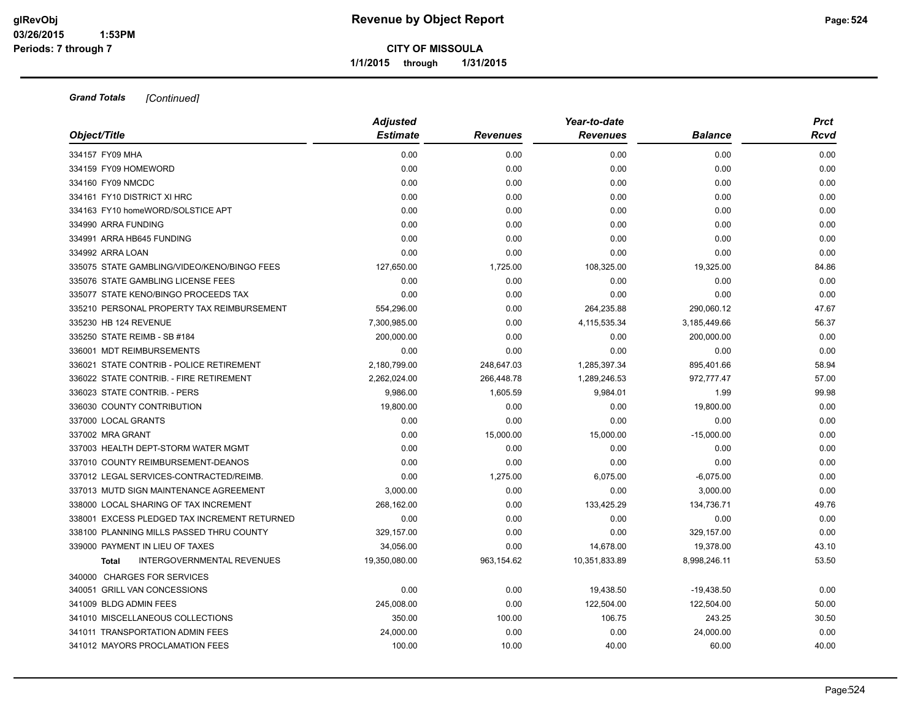**1/1/2015 through 1/31/2015**

|                                                   | <b>Adjusted</b> |                 | Year-to-date    |                | <b>Prct</b> |
|---------------------------------------------------|-----------------|-----------------|-----------------|----------------|-------------|
| Object/Title                                      | <b>Estimate</b> | <b>Revenues</b> | <b>Revenues</b> | <b>Balance</b> | Rcvd        |
| 334157 FY09 MHA                                   | 0.00            | 0.00            | 0.00            | 0.00           | 0.00        |
| 334159 FY09 HOMEWORD                              | 0.00            | 0.00            | 0.00            | 0.00           | 0.00        |
| 334160 FY09 NMCDC                                 | 0.00            | 0.00            | 0.00            | 0.00           | 0.00        |
| 334161 FY10 DISTRICT XI HRC                       | 0.00            | 0.00            | 0.00            | 0.00           | 0.00        |
| 334163 FY10 homeWORD/SOLSTICE APT                 | 0.00            | 0.00            | 0.00            | 0.00           | 0.00        |
| 334990 ARRA FUNDING                               | 0.00            | 0.00            | 0.00            | 0.00           | 0.00        |
| 334991 ARRA HB645 FUNDING                         | 0.00            | 0.00            | 0.00            | 0.00           | 0.00        |
| 334992 ARRA LOAN                                  | 0.00            | 0.00            | 0.00            | 0.00           | 0.00        |
| 335075 STATE GAMBLING/VIDEO/KENO/BINGO FEES       | 127,650.00      | 1,725.00        | 108,325.00      | 19,325.00      | 84.86       |
| 335076 STATE GAMBLING LICENSE FEES                | 0.00            | 0.00            | 0.00            | 0.00           | 0.00        |
| 335077 STATE KENO/BINGO PROCEEDS TAX              | 0.00            | 0.00            | 0.00            | 0.00           | 0.00        |
| 335210 PERSONAL PROPERTY TAX REIMBURSEMENT        | 554,296.00      | 0.00            | 264,235.88      | 290,060.12     | 47.67       |
| 335230 HB 124 REVENUE                             | 7,300,985.00    | 0.00            | 4,115,535.34    | 3,185,449.66   | 56.37       |
| 335250 STATE REIMB - SB #184                      | 200,000.00      | 0.00            | 0.00            | 200,000.00     | 0.00        |
| 336001 MDT REIMBURSEMENTS                         | 0.00            | 0.00            | 0.00            | 0.00           | 0.00        |
| 336021 STATE CONTRIB - POLICE RETIREMENT          | 2,180,799.00    | 248,647.03      | 1,285,397.34    | 895,401.66     | 58.94       |
| 336022 STATE CONTRIB. - FIRE RETIREMENT           | 2,262,024.00    | 266,448.78      | 1,289,246.53    | 972,777.47     | 57.00       |
| 336023 STATE CONTRIB. - PERS                      | 9,986.00        | 1,605.59        | 9,984.01        | 1.99           | 99.98       |
| 336030 COUNTY CONTRIBUTION                        | 19,800.00       | 0.00            | 0.00            | 19,800.00      | 0.00        |
| 337000 LOCAL GRANTS                               | 0.00            | 0.00            | 0.00            | 0.00           | 0.00        |
| 337002 MRA GRANT                                  | 0.00            | 15,000.00       | 15,000.00       | $-15,000.00$   | 0.00        |
| 337003 HEALTH DEPT-STORM WATER MGMT               | 0.00            | 0.00            | 0.00            | 0.00           | 0.00        |
| 337010 COUNTY REIMBURSEMENT-DEANOS                | 0.00            | 0.00            | 0.00            | 0.00           | 0.00        |
| 337012 LEGAL SERVICES-CONTRACTED/REIMB.           | 0.00            | 1,275.00        | 6,075.00        | $-6,075.00$    | 0.00        |
| 337013 MUTD SIGN MAINTENANCE AGREEMENT            | 3,000.00        | 0.00            | 0.00            | 3,000.00       | 0.00        |
| 338000 LOCAL SHARING OF TAX INCREMENT             | 268,162.00      | 0.00            | 133,425.29      | 134,736.71     | 49.76       |
| 338001 EXCESS PLEDGED TAX INCREMENT RETURNED      | 0.00            | 0.00            | 0.00            | 0.00           | 0.00        |
| 338100 PLANNING MILLS PASSED THRU COUNTY          | 329,157.00      | 0.00            | 0.00            | 329,157.00     | 0.00        |
| 339000 PAYMENT IN LIEU OF TAXES                   | 34,056.00       | 0.00            | 14,678.00       | 19,378.00      | 43.10       |
| <b>INTERGOVERNMENTAL REVENUES</b><br><b>Total</b> | 19,350,080.00   | 963,154.62      | 10,351,833.89   | 8,998,246.11   | 53.50       |
| 340000 CHARGES FOR SERVICES                       |                 |                 |                 |                |             |
| 340051 GRILL VAN CONCESSIONS                      | 0.00            | 0.00            | 19,438.50       | $-19,438.50$   | 0.00        |
| 341009 BLDG ADMIN FEES                            | 245,008.00      | 0.00            | 122,504.00      | 122,504.00     | 50.00       |
| 341010 MISCELLANEOUS COLLECTIONS                  | 350.00          | 100.00          | 106.75          | 243.25         | 30.50       |
| 341011 TRANSPORTATION ADMIN FEES                  | 24,000.00       | 0.00            | 0.00            | 24,000.00      | 0.00        |
| 341012 MAYORS PROCLAMATION FEES                   | 100.00          | 10.00           | 40.00           | 60.00          | 40.00       |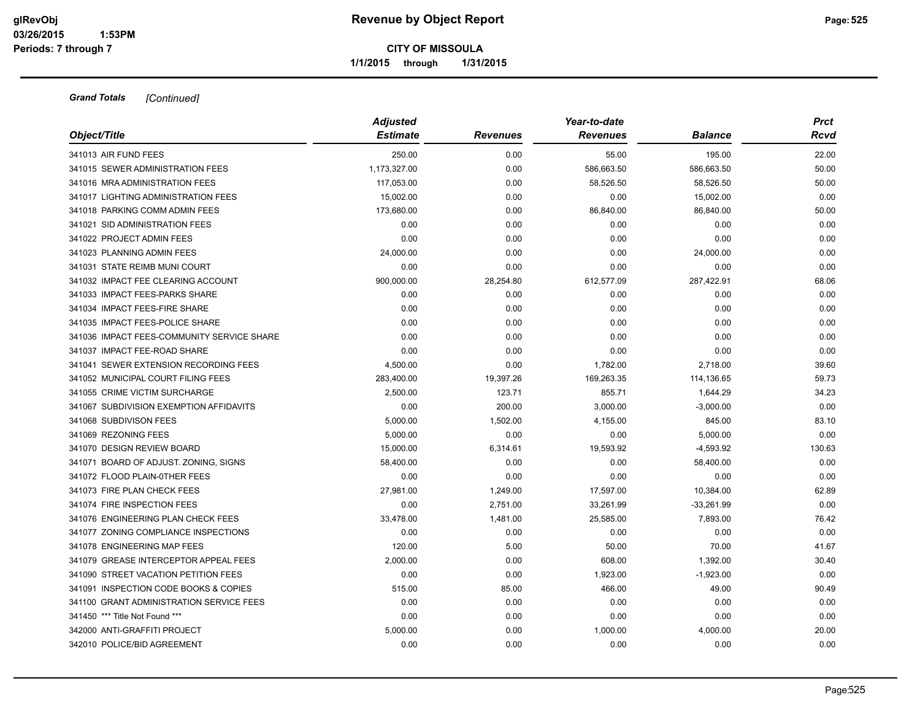**1/1/2015 through 1/31/2015**

| Object/Title                               | <b>Adjusted</b><br><b>Estimate</b> | <b>Revenues</b> | Year-to-date<br><b>Revenues</b> | <b>Balance</b> | <b>Prct</b><br>Rcvd |
|--------------------------------------------|------------------------------------|-----------------|---------------------------------|----------------|---------------------|
| 341013 AIR FUND FEES                       | 250.00                             | 0.00            | 55.00                           | 195.00         | 22.00               |
| 341015 SEWER ADMINISTRATION FEES           | 1,173,327.00                       | 0.00            | 586,663.50                      | 586,663.50     | 50.00               |
| 341016 MRA ADMINISTRATION FEES             | 117,053.00                         | 0.00            | 58,526.50                       | 58,526.50      | 50.00               |
| 341017 LIGHTING ADMINISTRATION FEES        | 15,002.00                          | 0.00            | 0.00                            | 15,002.00      | 0.00                |
| 341018 PARKING COMM ADMIN FEES             | 173,680.00                         | 0.00            | 86,840.00                       | 86,840.00      | 50.00               |
| 341021 SID ADMINISTRATION FEES             | 0.00                               | 0.00            | 0.00                            | 0.00           | 0.00                |
| 341022 PROJECT ADMIN FEES                  | 0.00                               | 0.00            | 0.00                            | 0.00           | 0.00                |
| 341023 PLANNING ADMIN FEES                 | 24,000.00                          | 0.00            | 0.00                            | 24,000.00      | 0.00                |
| 341031 STATE REIMB MUNI COURT              | 0.00                               | 0.00            | 0.00                            | 0.00           | 0.00                |
| 341032 IMPACT FEE CLEARING ACCOUNT         | 900,000.00                         | 28,254.80       | 612,577.09                      | 287,422.91     | 68.06               |
| 341033 IMPACT FEES-PARKS SHARE             | 0.00                               | 0.00            | 0.00                            | 0.00           | 0.00                |
| 341034 IMPACT FEES-FIRE SHARE              | 0.00                               | 0.00            | 0.00                            | 0.00           | 0.00                |
| 341035 IMPACT FEES-POLICE SHARE            | 0.00                               | 0.00            | 0.00                            | 0.00           | 0.00                |
| 341036 IMPACT FEES-COMMUNITY SERVICE SHARE | 0.00                               | 0.00            | 0.00                            | 0.00           | 0.00                |
| 341037 IMPACT FEE-ROAD SHARE               | 0.00                               | 0.00            | 0.00                            | 0.00           | 0.00                |
| 341041 SEWER EXTENSION RECORDING FEES      | 4,500.00                           | 0.00            | 1,782.00                        | 2,718.00       | 39.60               |
| 341052 MUNICIPAL COURT FILING FEES         | 283,400.00                         | 19,397.26       | 169,263.35                      | 114,136.65     | 59.73               |
| 341055 CRIME VICTIM SURCHARGE              | 2,500.00                           | 123.71          | 855.71                          | 1,644.29       | 34.23               |
| 341067 SUBDIVISION EXEMPTION AFFIDAVITS    | 0.00                               | 200.00          | 3,000.00                        | $-3,000.00$    | 0.00                |
| 341068 SUBDIVISON FEES                     | 5,000.00                           | 1,502.00        | 4,155.00                        | 845.00         | 83.10               |
| 341069 REZONING FEES                       | 5.000.00                           | 0.00            | 0.00                            | 5,000.00       | 0.00                |
| 341070 DESIGN REVIEW BOARD                 | 15,000.00                          | 6,314.61        | 19,593.92                       | $-4,593.92$    | 130.63              |
| 341071 BOARD OF ADJUST. ZONING, SIGNS      | 58,400.00                          | 0.00            | 0.00                            | 58,400.00      | 0.00                |
| 341072 FLOOD PLAIN-0THER FEES              | 0.00                               | 0.00            | 0.00                            | 0.00           | 0.00                |
| 341073 FIRE PLAN CHECK FEES                | 27,981.00                          | 1,249.00        | 17,597.00                       | 10,384.00      | 62.89               |
| 341074 FIRE INSPECTION FEES                | 0.00                               | 2,751.00        | 33,261.99                       | $-33,261.99$   | 0.00                |
| 341076 ENGINEERING PLAN CHECK FEES         | 33,478.00                          | 1,481.00        | 25,585.00                       | 7,893.00       | 76.42               |
| 341077 ZONING COMPLIANCE INSPECTIONS       | 0.00                               | 0.00            | 0.00                            | 0.00           | 0.00                |
| 341078 ENGINEERING MAP FEES                | 120.00                             | 5.00            | 50.00                           | 70.00          | 41.67               |
| 341079 GREASE INTERCEPTOR APPEAL FEES      | 2,000.00                           | 0.00            | 608.00                          | 1,392.00       | 30.40               |
| 341090 STREET VACATION PETITION FEES       | 0.00                               | 0.00            | 1,923.00                        | $-1,923.00$    | 0.00                |
| 341091 INSPECTION CODE BOOKS & COPIES      | 515.00                             | 85.00           | 466.00                          | 49.00          | 90.49               |
| 341100 GRANT ADMINISTRATION SERVICE FEES   | 0.00                               | 0.00            | 0.00                            | 0.00           | 0.00                |
| 341450 *** Title Not Found ***             | 0.00                               | 0.00            | 0.00                            | 0.00           | 0.00                |
| 342000 ANTI-GRAFFITI PROJECT               | 5,000.00                           | 0.00            | 1,000.00                        | 4,000.00       | 20.00               |
| 342010 POLICE/BID AGREEMENT                | 0.00                               | 0.00            | 0.00                            | 0.00           | 0.00                |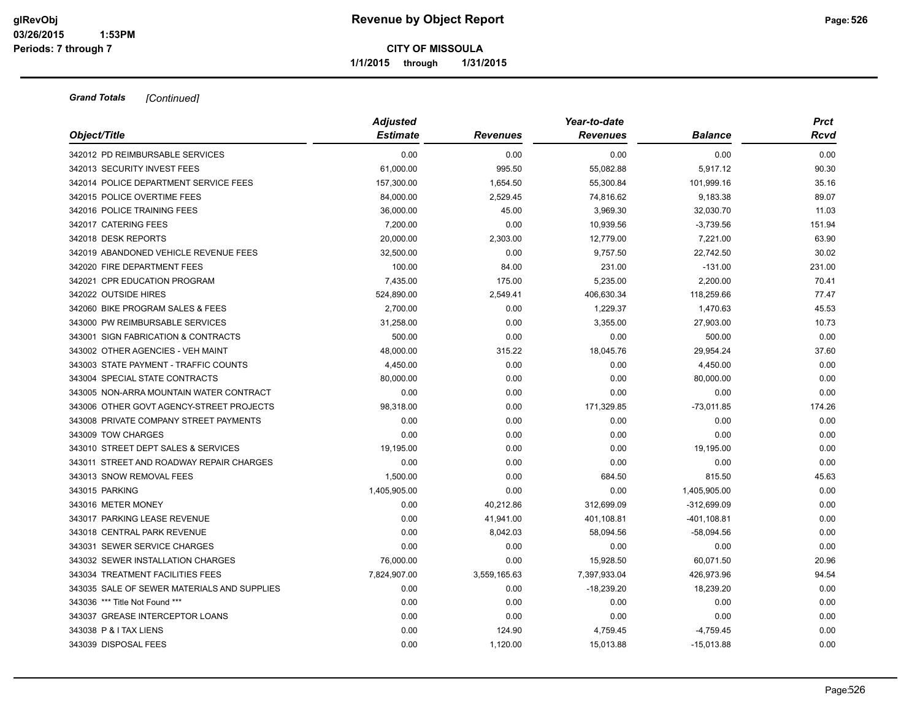**1/1/2015 through 1/31/2015**

| Object/Title                                | <b>Adjusted</b> |                 | Year-to-date    | <b>Balance</b> | <b>Prct</b><br>Rcvd |
|---------------------------------------------|-----------------|-----------------|-----------------|----------------|---------------------|
|                                             | <b>Estimate</b> | <b>Revenues</b> | <b>Revenues</b> |                |                     |
| 342012 PD REIMBURSABLE SERVICES             | 0.00            | 0.00            | 0.00            | 0.00           | 0.00                |
| 342013 SECURITY INVEST FEES                 | 61,000.00       | 995.50          | 55,082.88       | 5,917.12       | 90.30               |
| 342014 POLICE DEPARTMENT SERVICE FEES       | 157,300.00      | 1,654.50        | 55,300.84       | 101,999.16     | 35.16               |
| 342015 POLICE OVERTIME FEES                 | 84,000.00       | 2,529.45        | 74,816.62       | 9,183.38       | 89.07               |
| 342016 POLICE TRAINING FEES                 | 36,000.00       | 45.00           | 3,969.30        | 32,030.70      | 11.03               |
| 342017 CATERING FEES                        | 7,200.00        | 0.00            | 10,939.56       | $-3,739.56$    | 151.94              |
| 342018 DESK REPORTS                         | 20,000.00       | 2,303.00        | 12,779.00       | 7,221.00       | 63.90               |
| 342019 ABANDONED VEHICLE REVENUE FEES       | 32,500.00       | 0.00            | 9,757.50        | 22,742.50      | 30.02               |
| 342020 FIRE DEPARTMENT FEES                 | 100.00          | 84.00           | 231.00          | $-131.00$      | 231.00              |
| 342021 CPR EDUCATION PROGRAM                | 7,435.00        | 175.00          | 5,235.00        | 2,200.00       | 70.41               |
| 342022 OUTSIDE HIRES                        | 524,890.00      | 2,549.41        | 406,630.34      | 118,259.66     | 77.47               |
| 342060 BIKE PROGRAM SALES & FEES            | 2,700.00        | 0.00            | 1,229.37        | 1,470.63       | 45.53               |
| 343000 PW REIMBURSABLE SERVICES             | 31,258.00       | 0.00            | 3,355.00        | 27,903.00      | 10.73               |
| 343001 SIGN FABRICATION & CONTRACTS         | 500.00          | 0.00            | 0.00            | 500.00         | 0.00                |
| 343002 OTHER AGENCIES - VEH MAINT           | 48,000.00       | 315.22          | 18,045.76       | 29,954.24      | 37.60               |
| 343003 STATE PAYMENT - TRAFFIC COUNTS       | 4,450.00        | 0.00            | 0.00            | 4,450.00       | 0.00                |
| 343004 SPECIAL STATE CONTRACTS              | 80,000.00       | 0.00            | 0.00            | 80,000.00      | 0.00                |
| 343005 NON-ARRA MOUNTAIN WATER CONTRACT     | 0.00            | 0.00            | 0.00            | 0.00           | 0.00                |
| 343006 OTHER GOVT AGENCY-STREET PROJECTS    | 98,318.00       | 0.00            | 171,329.85      | $-73,011.85$   | 174.26              |
| 343008 PRIVATE COMPANY STREET PAYMENTS      | 0.00            | 0.00            | 0.00            | 0.00           | 0.00                |
| 343009 TOW CHARGES                          | 0.00            | 0.00            | 0.00            | 0.00           | 0.00                |
| 343010 STREET DEPT SALES & SERVICES         | 19,195.00       | 0.00            | 0.00            | 19,195.00      | 0.00                |
| 343011 STREET AND ROADWAY REPAIR CHARGES    | 0.00            | 0.00            | 0.00            | 0.00           | 0.00                |
| 343013 SNOW REMOVAL FEES                    | 1,500.00        | 0.00            | 684.50          | 815.50         | 45.63               |
| 343015 PARKING                              | 1,405,905.00    | 0.00            | 0.00            | 1,405,905.00   | 0.00                |
| 343016 METER MONEY                          | 0.00            | 40,212.86       | 312,699.09      | $-312,699.09$  | 0.00                |
| 343017 PARKING LEASE REVENUE                | 0.00            | 41,941.00       | 401,108.81      | -401,108.81    | 0.00                |
| 343018 CENTRAL PARK REVENUE                 | 0.00            | 8,042.03        | 58,094.56       | $-58,094.56$   | 0.00                |
| 343031 SEWER SERVICE CHARGES                | 0.00            | 0.00            | 0.00            | 0.00           | 0.00                |
| 343032 SEWER INSTALLATION CHARGES           | 76,000.00       | 0.00            | 15,928.50       | 60,071.50      | 20.96               |
| 343034 TREATMENT FACILITIES FEES            | 7,824,907.00    | 3,559,165.63    | 7,397,933.04    | 426,973.96     | 94.54               |
| 343035 SALE OF SEWER MATERIALS AND SUPPLIES | 0.00            | 0.00            | $-18,239.20$    | 18,239.20      | 0.00                |
| 343036 *** Title Not Found ***              | 0.00            | 0.00            | 0.00            | 0.00           | 0.00                |
| 343037 GREASE INTERCEPTOR LOANS             | 0.00            | 0.00            | 0.00            | 0.00           | 0.00                |
| 343038 P & I TAX LIENS                      | 0.00            | 124.90          | 4,759.45        | $-4,759.45$    | 0.00                |
| 343039 DISPOSAL FEES                        | 0.00            | 1,120.00        | 15,013.88       | $-15,013.88$   | 0.00                |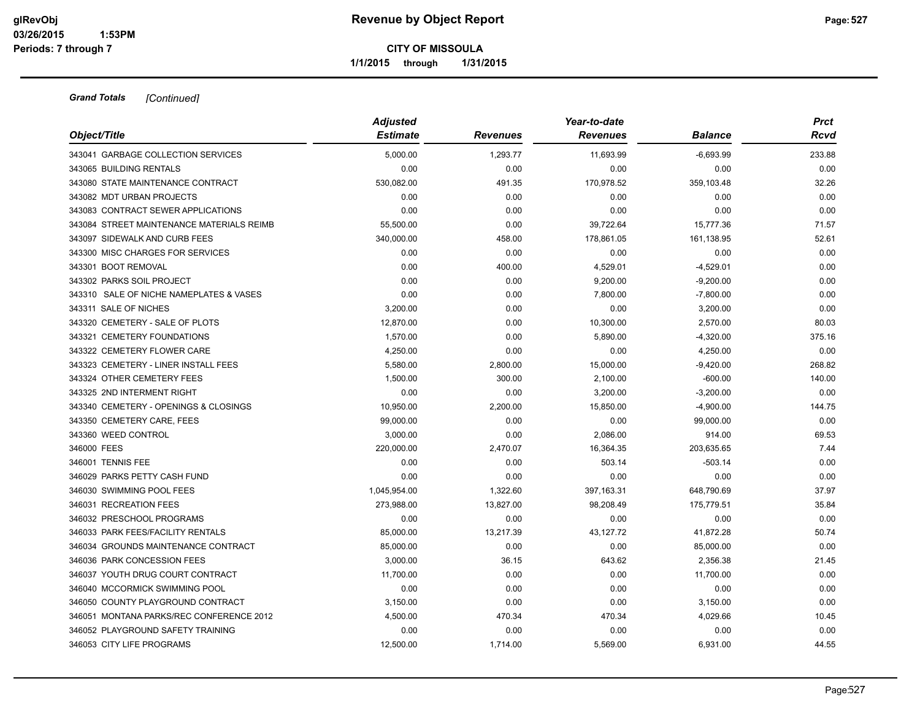**1/1/2015 through 1/31/2015**

| Object/Title                              | <b>Adjusted</b> |                 | Year-to-date    |                | <b>Prct</b> |
|-------------------------------------------|-----------------|-----------------|-----------------|----------------|-------------|
|                                           | <b>Estimate</b> | <b>Revenues</b> | <b>Revenues</b> | <b>Balance</b> | Rcvd        |
| 343041 GARBAGE COLLECTION SERVICES        | 5.000.00        | 1,293.77        | 11,693.99       | $-6,693.99$    | 233.88      |
| 343065 BUILDING RENTALS                   | 0.00            | 0.00            | 0.00            | 0.00           | 0.00        |
| 343080 STATE MAINTENANCE CONTRACT         | 530,082.00      | 491.35          | 170,978.52      | 359,103.48     | 32.26       |
| 343082 MDT URBAN PROJECTS                 | 0.00            | 0.00            | 0.00            | 0.00           | 0.00        |
| 343083 CONTRACT SEWER APPLICATIONS        | 0.00            | 0.00            | 0.00            | 0.00           | 0.00        |
| 343084 STREET MAINTENANCE MATERIALS REIMB | 55,500.00       | 0.00            | 39,722.64       | 15,777.36      | 71.57       |
| 343097 SIDEWALK AND CURB FEES             | 340,000.00      | 458.00          | 178,861.05      | 161,138.95     | 52.61       |
| 343300 MISC CHARGES FOR SERVICES          | 0.00            | 0.00            | 0.00            | 0.00           | 0.00        |
| 343301 BOOT REMOVAL                       | 0.00            | 400.00          | 4,529.01        | $-4,529.01$    | 0.00        |
| 343302 PARKS SOIL PROJECT                 | 0.00            | 0.00            | 9,200.00        | $-9,200.00$    | 0.00        |
| 343310 SALE OF NICHE NAMEPLATES & VASES   | 0.00            | 0.00            | 7,800.00        | $-7,800.00$    | 0.00        |
| 343311 SALE OF NICHES                     | 3,200.00        | 0.00            | 0.00            | 3,200.00       | 0.00        |
| 343320 CEMETERY - SALE OF PLOTS           | 12,870.00       | 0.00            | 10,300.00       | 2,570.00       | 80.03       |
| 343321 CEMETERY FOUNDATIONS               | 1,570.00        | 0.00            | 5,890.00        | $-4,320.00$    | 375.16      |
| 343322 CEMETERY FLOWER CARE               | 4,250.00        | 0.00            | 0.00            | 4,250.00       | 0.00        |
| 343323 CEMETERY - LINER INSTALL FEES      | 5,580.00        | 2,800.00        | 15,000.00       | $-9,420.00$    | 268.82      |
| 343324 OTHER CEMETERY FEES                | 1,500.00        | 300.00          | 2,100.00        | $-600.00$      | 140.00      |
| 343325 2ND INTERMENT RIGHT                | 0.00            | 0.00            | 3,200.00        | $-3,200.00$    | 0.00        |
| 343340 CEMETERY - OPENINGS & CLOSINGS     | 10,950.00       | 2,200.00        | 15,850.00       | $-4,900.00$    | 144.75      |
| 343350 CEMETERY CARE, FEES                | 99,000.00       | 0.00            | 0.00            | 99,000.00      | 0.00        |
| 343360 WEED CONTROL                       | 3,000.00        | 0.00            | 2,086.00        | 914.00         | 69.53       |
| 346000 FEES                               | 220,000.00      | 2,470.07        | 16,364.35       | 203,635.65     | 7.44        |
| 346001 TENNIS FEE                         | 0.00            | 0.00            | 503.14          | $-503.14$      | 0.00        |
| 346029 PARKS PETTY CASH FUND              | 0.00            | 0.00            | 0.00            | 0.00           | 0.00        |
| 346030 SWIMMING POOL FEES                 | 1,045,954.00    | 1,322.60        | 397, 163.31     | 648,790.69     | 37.97       |
| 346031 RECREATION FEES                    | 273,988.00      | 13,827.00       | 98,208.49       | 175,779.51     | 35.84       |
| 346032 PRESCHOOL PROGRAMS                 | 0.00            | 0.00            | 0.00            | 0.00           | 0.00        |
| 346033 PARK FEES/FACILITY RENTALS         | 85,000.00       | 13,217.39       | 43,127.72       | 41,872.28      | 50.74       |
| 346034 GROUNDS MAINTENANCE CONTRACT       | 85,000.00       | 0.00            | 0.00            | 85,000.00      | 0.00        |
| 346036 PARK CONCESSION FEES               | 3,000.00        | 36.15           | 643.62          | 2,356.38       | 21.45       |
| 346037 YOUTH DRUG COURT CONTRACT          | 11,700.00       | 0.00            | 0.00            | 11,700.00      | 0.00        |
| 346040 MCCORMICK SWIMMING POOL            | 0.00            | 0.00            | 0.00            | 0.00           | 0.00        |
| 346050 COUNTY PLAYGROUND CONTRACT         | 3,150.00        | 0.00            | 0.00            | 3,150.00       | 0.00        |
| 346051 MONTANA PARKS/REC CONFERENCE 2012  | 4,500.00        | 470.34          | 470.34          | 4,029.66       | 10.45       |
| 346052 PLAYGROUND SAFETY TRAINING         | 0.00            | 0.00            | 0.00            | 0.00           | 0.00        |
| 346053 CITY LIFE PROGRAMS                 | 12,500.00       | 1,714.00        | 5,569.00        | 6.931.00       | 44.55       |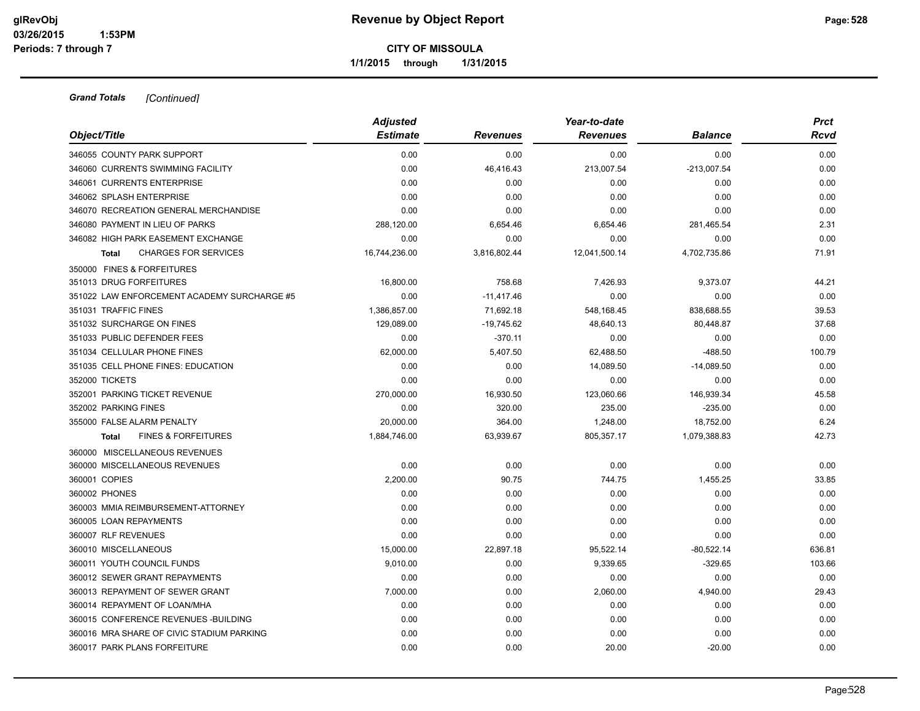**1/1/2015 through 1/31/2015**

| Object/Title                                   | <b>Adjusted</b><br><b>Estimate</b> | <b>Revenues</b> | Year-to-date<br><b>Revenues</b> | <b>Balance</b> | <b>Prct</b><br>Rcvd |
|------------------------------------------------|------------------------------------|-----------------|---------------------------------|----------------|---------------------|
| 346055 COUNTY PARK SUPPORT                     | 0.00                               | 0.00            | 0.00                            | 0.00           | 0.00                |
| 346060 CURRENTS SWIMMING FACILITY              | 0.00                               | 46,416.43       | 213,007.54                      | $-213,007.54$  | 0.00                |
| 346061 CURRENTS ENTERPRISE                     | 0.00                               | 0.00            | 0.00                            | 0.00           | 0.00                |
| 346062 SPLASH ENTERPRISE                       | 0.00                               | 0.00            | 0.00                            | 0.00           | 0.00                |
| 346070 RECREATION GENERAL MERCHANDISE          | 0.00                               | 0.00            | 0.00                            | 0.00           | 0.00                |
| 346080 PAYMENT IN LIEU OF PARKS                | 288,120.00                         | 6,654.46        | 6,654.46                        | 281,465.54     | 2.31                |
| 346082 HIGH PARK EASEMENT EXCHANGE             | 0.00                               | 0.00            | 0.00                            | 0.00           | 0.00                |
| <b>CHARGES FOR SERVICES</b><br><b>Total</b>    | 16,744,236.00                      | 3,816,802.44    | 12,041,500.14                   | 4,702,735.86   | 71.91               |
| 350000 FINES & FORFEITURES                     |                                    |                 |                                 |                |                     |
| 351013 DRUG FORFEITURES                        | 16,800.00                          | 758.68          | 7,426.93                        | 9,373.07       | 44.21               |
| 351022 LAW ENFORCEMENT ACADEMY SURCHARGE #5    | 0.00                               | $-11,417.46$    | 0.00                            | 0.00           | 0.00                |
| 351031 TRAFFIC FINES                           | 1,386,857.00                       | 71,692.18       | 548,168.45                      | 838,688.55     | 39.53               |
| 351032 SURCHARGE ON FINES                      | 129,089.00                         | $-19,745.62$    | 48,640.13                       | 80,448.87      | 37.68               |
| 351033 PUBLIC DEFENDER FEES                    | 0.00                               | $-370.11$       | 0.00                            | 0.00           | 0.00                |
| 351034 CELLULAR PHONE FINES                    | 62,000.00                          | 5,407.50        | 62,488.50                       | $-488.50$      | 100.79              |
| 351035 CELL PHONE FINES: EDUCATION             | 0.00                               | 0.00            | 14,089.50                       | $-14,089.50$   | 0.00                |
| 352000 TICKETS                                 | 0.00                               | 0.00            | 0.00                            | 0.00           | 0.00                |
| 352001 PARKING TICKET REVENUE                  | 270,000.00                         | 16,930.50       | 123,060.66                      | 146,939.34     | 45.58               |
| 352002 PARKING FINES                           | 0.00                               | 320.00          | 235.00                          | $-235.00$      | 0.00                |
| 355000 FALSE ALARM PENALTY                     | 20,000.00                          | 364.00          | 1,248.00                        | 18,752.00      | 6.24                |
| <b>FINES &amp; FORFEITURES</b><br><b>Total</b> | 1,884,746.00                       | 63,939.67       | 805,357.17                      | 1,079,388.83   | 42.73               |
| 360000 MISCELLANEOUS REVENUES                  |                                    |                 |                                 |                |                     |
| 360000 MISCELLANEOUS REVENUES                  | 0.00                               | 0.00            | 0.00                            | 0.00           | 0.00                |
| 360001 COPIES                                  | 2.200.00                           | 90.75           | 744.75                          | 1,455.25       | 33.85               |
| 360002 PHONES                                  | 0.00                               | 0.00            | 0.00                            | 0.00           | 0.00                |
| 360003 MMIA REIMBURSEMENT-ATTORNEY             | 0.00                               | 0.00            | 0.00                            | 0.00           | 0.00                |
| 360005 LOAN REPAYMENTS                         | 0.00                               | 0.00            | 0.00                            | 0.00           | 0.00                |
| 360007 RLF REVENUES                            | 0.00                               | 0.00            | 0.00                            | 0.00           | 0.00                |
| 360010 MISCELLANEOUS                           | 15,000.00                          | 22,897.18       | 95,522.14                       | $-80,522.14$   | 636.81              |
| 360011 YOUTH COUNCIL FUNDS                     | 9,010.00                           | 0.00            | 9,339.65                        | $-329.65$      | 103.66              |
| 360012 SEWER GRANT REPAYMENTS                  | 0.00                               | 0.00            | 0.00                            | 0.00           | 0.00                |
| 360013 REPAYMENT OF SEWER GRANT                | 7,000.00                           | 0.00            | 2,060.00                        | 4,940.00       | 29.43               |
| 360014 REPAYMENT OF LOAN/MHA                   | 0.00                               | 0.00            | 0.00                            | 0.00           | 0.00                |
| 360015 CONFERENCE REVENUES - BUILDING          | 0.00                               | 0.00            | 0.00                            | 0.00           | 0.00                |
| 360016 MRA SHARE OF CIVIC STADIUM PARKING      | 0.00                               | 0.00            | 0.00                            | 0.00           | 0.00                |
| 360017 PARK PLANS FORFEITURE                   | 0.00                               | 0.00            | 20.00                           | $-20.00$       | 0.00                |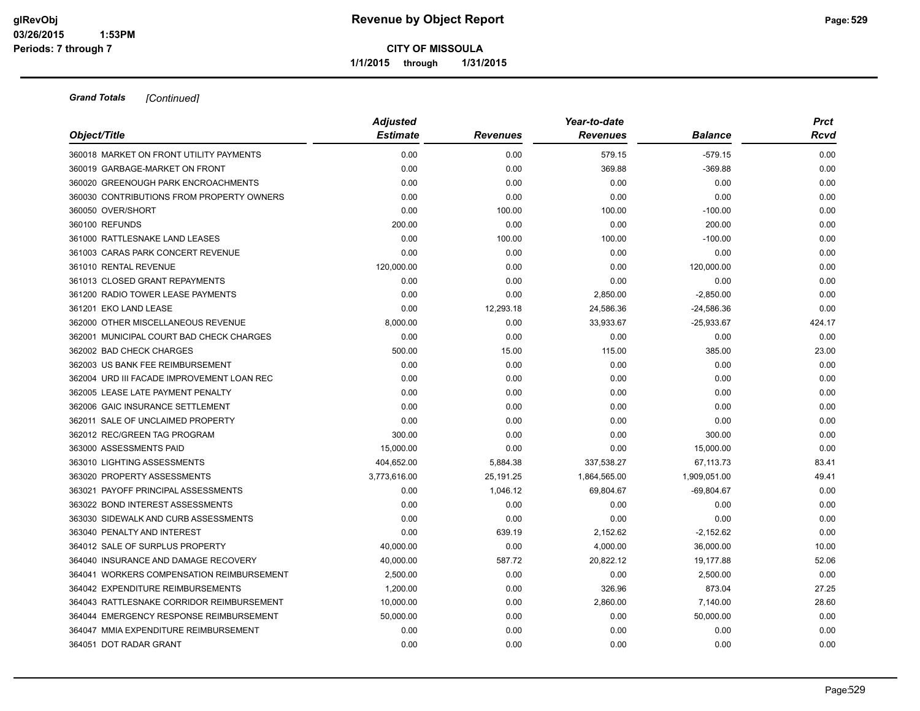**1/1/2015 through 1/31/2015**

| Object/Title                               | <b>Adjusted</b> |                 | Year-to-date    |                | <b>Prct</b> |
|--------------------------------------------|-----------------|-----------------|-----------------|----------------|-------------|
|                                            | <b>Estimate</b> | <b>Revenues</b> | <b>Revenues</b> | <b>Balance</b> | Rcvd        |
| 360018 MARKET ON FRONT UTILITY PAYMENTS    | 0.00            | 0.00            | 579.15          | $-579.15$      | 0.00        |
| 360019 GARBAGE-MARKET ON FRONT             | 0.00            | 0.00            | 369.88          | $-369.88$      | 0.00        |
| 360020 GREENOUGH PARK ENCROACHMENTS        | 0.00            | 0.00            | 0.00            | 0.00           | 0.00        |
| 360030 CONTRIBUTIONS FROM PROPERTY OWNERS  | 0.00            | 0.00            | 0.00            | 0.00           | 0.00        |
| 360050 OVER/SHORT                          | 0.00            | 100.00          | 100.00          | $-100.00$      | 0.00        |
| 360100 REFUNDS                             | 200.00          | 0.00            | 0.00            | 200.00         | 0.00        |
| 361000 RATTLESNAKE LAND LEASES             | 0.00            | 100.00          | 100.00          | $-100.00$      | 0.00        |
| 361003 CARAS PARK CONCERT REVENUE          | 0.00            | 0.00            | 0.00            | 0.00           | 0.00        |
| 361010 RENTAL REVENUE                      | 120,000.00      | 0.00            | 0.00            | 120,000.00     | 0.00        |
| 361013 CLOSED GRANT REPAYMENTS             | 0.00            | 0.00            | 0.00            | 0.00           | 0.00        |
| 361200 RADIO TOWER LEASE PAYMENTS          | 0.00            | 0.00            | 2,850.00        | $-2,850.00$    | 0.00        |
| 361201 EKO LAND LEASE                      | 0.00            | 12,293.18       | 24,586.36       | $-24,586.36$   | 0.00        |
| 362000 OTHER MISCELLANEOUS REVENUE         | 8,000.00        | 0.00            | 33,933.67       | $-25,933.67$   | 424.17      |
| 362001 MUNICIPAL COURT BAD CHECK CHARGES   | 0.00            | 0.00            | 0.00            | 0.00           | 0.00        |
| 362002 BAD CHECK CHARGES                   | 500.00          | 15.00           | 115.00          | 385.00         | 23.00       |
| 362003 US BANK FEE REIMBURSEMENT           | 0.00            | 0.00            | 0.00            | 0.00           | 0.00        |
| 362004 URD III FACADE IMPROVEMENT LOAN REC | 0.00            | 0.00            | 0.00            | 0.00           | 0.00        |
| 362005 LEASE LATE PAYMENT PENALTY          | 0.00            | 0.00            | 0.00            | 0.00           | 0.00        |
| 362006 GAIC INSURANCE SETTLEMENT           | 0.00            | 0.00            | 0.00            | 0.00           | 0.00        |
| 362011 SALE OF UNCLAIMED PROPERTY          | 0.00            | 0.00            | 0.00            | 0.00           | 0.00        |
| 362012 REC/GREEN TAG PROGRAM               | 300.00          | 0.00            | 0.00            | 300.00         | 0.00        |
| 363000 ASSESSMENTS PAID                    | 15,000.00       | 0.00            | 0.00            | 15,000.00      | 0.00        |
| 363010 LIGHTING ASSESSMENTS                | 404,652.00      | 5,884.38        | 337,538.27      | 67,113.73      | 83.41       |
| 363020 PROPERTY ASSESSMENTS                | 3,773,616.00    | 25,191.25       | 1,864,565.00    | 1,909,051.00   | 49.41       |
| 363021 PAYOFF PRINCIPAL ASSESSMENTS        | 0.00            | 1,046.12        | 69,804.67       | $-69,804.67$   | 0.00        |
| 363022 BOND INTEREST ASSESSMENTS           | 0.00            | 0.00            | 0.00            | 0.00           | 0.00        |
| 363030 SIDEWALK AND CURB ASSESSMENTS       | 0.00            | 0.00            | 0.00            | 0.00           | 0.00        |
| 363040 PENALTY AND INTEREST                | 0.00            | 639.19          | 2,152.62        | $-2,152.62$    | 0.00        |
| 364012 SALE OF SURPLUS PROPERTY            | 40,000.00       | 0.00            | 4,000.00        | 36,000.00      | 10.00       |
| 364040 INSURANCE AND DAMAGE RECOVERY       | 40,000.00       | 587.72          | 20,822.12       | 19,177.88      | 52.06       |
| 364041 WORKERS COMPENSATION REIMBURSEMENT  | 2,500.00        | 0.00            | 0.00            | 2,500.00       | 0.00        |
| 364042 EXPENDITURE REIMBURSEMENTS          | 1,200.00        | 0.00            | 326.96          | 873.04         | 27.25       |
| 364043 RATTLESNAKE CORRIDOR REIMBURSEMENT  | 10,000.00       | 0.00            | 2,860.00        | 7,140.00       | 28.60       |
| 364044 EMERGENCY RESPONSE REIMBURSEMENT    | 50,000.00       | 0.00            | 0.00            | 50,000.00      | 0.00        |
| 364047 MMIA EXPENDITURE REIMBURSEMENT      | 0.00            | 0.00            | 0.00            | 0.00           | 0.00        |
| 364051 DOT RADAR GRANT                     | 0.00            | 0.00            | 0.00            | 0.00           | 0.00        |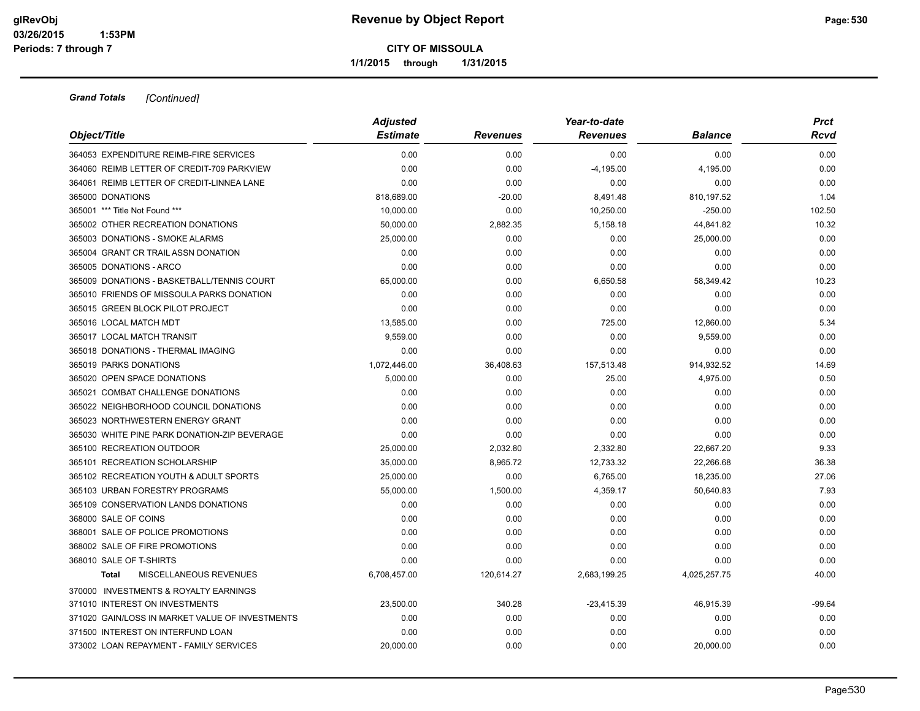**1/1/2015 through 1/31/2015**

|                                                 | <b>Adjusted</b><br><b>Estimate</b> |                 | Year-to-date    |                | <b>Prct</b> |
|-------------------------------------------------|------------------------------------|-----------------|-----------------|----------------|-------------|
| Object/Title                                    |                                    | <b>Revenues</b> | <b>Revenues</b> | <b>Balance</b> | Rcvd        |
| 364053 EXPENDITURE REIMB-FIRE SERVICES          | 0.00                               | 0.00            | 0.00            | 0.00           | 0.00        |
| 364060 REIMB LETTER OF CREDIT-709 PARKVIEW      | 0.00                               | 0.00            | $-4,195.00$     | 4,195.00       | 0.00        |
| 364061 REIMB LETTER OF CREDIT-LINNEA LANE       | 0.00                               | 0.00            | 0.00            | 0.00           | 0.00        |
| 365000 DONATIONS                                | 818,689.00                         | $-20.00$        | 8,491.48        | 810,197.52     | 1.04        |
| 365001 *** Title Not Found ***                  | 10,000.00                          | 0.00            | 10,250.00       | $-250.00$      | 102.50      |
| 365002 OTHER RECREATION DONATIONS               | 50,000.00                          | 2,882.35        | 5,158.18        | 44,841.82      | 10.32       |
| 365003 DONATIONS - SMOKE ALARMS                 | 25,000.00                          | 0.00            | 0.00            | 25,000.00      | 0.00        |
| 365004 GRANT CR TRAIL ASSN DONATION             | 0.00                               | 0.00            | 0.00            | 0.00           | 0.00        |
| 365005 DONATIONS - ARCO                         | 0.00                               | 0.00            | 0.00            | 0.00           | 0.00        |
| 365009 DONATIONS - BASKETBALL/TENNIS COURT      | 65,000.00                          | 0.00            | 6,650.58        | 58,349.42      | 10.23       |
| 365010 FRIENDS OF MISSOULA PARKS DONATION       | 0.00                               | 0.00            | 0.00            | 0.00           | 0.00        |
| 365015 GREEN BLOCK PILOT PROJECT                | 0.00                               | 0.00            | 0.00            | 0.00           | 0.00        |
| 365016 LOCAL MATCH MDT                          | 13,585.00                          | 0.00            | 725.00          | 12,860.00      | 5.34        |
| 365017 LOCAL MATCH TRANSIT                      | 9,559.00                           | 0.00            | 0.00            | 9,559.00       | 0.00        |
| 365018 DONATIONS - THERMAL IMAGING              | 0.00                               | 0.00            | 0.00            | 0.00           | 0.00        |
| 365019 PARKS DONATIONS                          | 1,072,446.00                       | 36,408.63       | 157,513.48      | 914,932.52     | 14.69       |
| 365020 OPEN SPACE DONATIONS                     | 5,000.00                           | 0.00            | 25.00           | 4,975.00       | 0.50        |
| 365021 COMBAT CHALLENGE DONATIONS               | 0.00                               | 0.00            | 0.00            | 0.00           | 0.00        |
| 365022 NEIGHBORHOOD COUNCIL DONATIONS           | 0.00                               | 0.00            | 0.00            | 0.00           | 0.00        |
| 365023 NORTHWESTERN ENERGY GRANT                | 0.00                               | 0.00            | 0.00            | 0.00           | 0.00        |
| 365030 WHITE PINE PARK DONATION-ZIP BEVERAGE    | 0.00                               | 0.00            | 0.00            | 0.00           | 0.00        |
| 365100 RECREATION OUTDOOR                       | 25,000.00                          | 2,032.80        | 2,332.80        | 22,667.20      | 9.33        |
| 365101 RECREATION SCHOLARSHIP                   | 35,000.00                          | 8,965.72        | 12,733.32       | 22,266.68      | 36.38       |
| 365102 RECREATION YOUTH & ADULT SPORTS          | 25,000.00                          | 0.00            | 6,765.00        | 18,235.00      | 27.06       |
| 365103 URBAN FORESTRY PROGRAMS                  | 55,000.00                          | 1,500.00        | 4,359.17        | 50,640.83      | 7.93        |
| 365109 CONSERVATION LANDS DONATIONS             | 0.00                               | 0.00            | 0.00            | 0.00           | 0.00        |
| 368000 SALE OF COINS                            | 0.00                               | 0.00            | 0.00            | 0.00           | 0.00        |
| 368001 SALE OF POLICE PROMOTIONS                | 0.00                               | 0.00            | 0.00            | 0.00           | 0.00        |
| 368002 SALE OF FIRE PROMOTIONS                  | 0.00                               | 0.00            | 0.00            | 0.00           | 0.00        |
| 368010 SALE OF T-SHIRTS                         | 0.00                               | 0.00            | 0.00            | 0.00           | 0.00        |
| <b>MISCELLANEOUS REVENUES</b><br><b>Total</b>   | 6,708,457.00                       | 120,614.27      | 2,683,199.25    | 4,025,257.75   | 40.00       |
| 370000 INVESTMENTS & ROYALTY EARNINGS           |                                    |                 |                 |                |             |
| 371010 INTEREST ON INVESTMENTS                  | 23,500.00                          | 340.28          | $-23,415.39$    | 46,915.39      | $-99.64$    |
| 371020 GAIN/LOSS IN MARKET VALUE OF INVESTMENTS | 0.00                               | 0.00            | 0.00            | 0.00           | 0.00        |
| 371500 INTEREST ON INTERFUND LOAN               | 0.00                               | 0.00            | 0.00            | 0.00           | 0.00        |
| 373002 LOAN REPAYMENT - FAMILY SERVICES         | 20.000.00                          | 0.00            | 0.00            | 20,000.00      | 0.00        |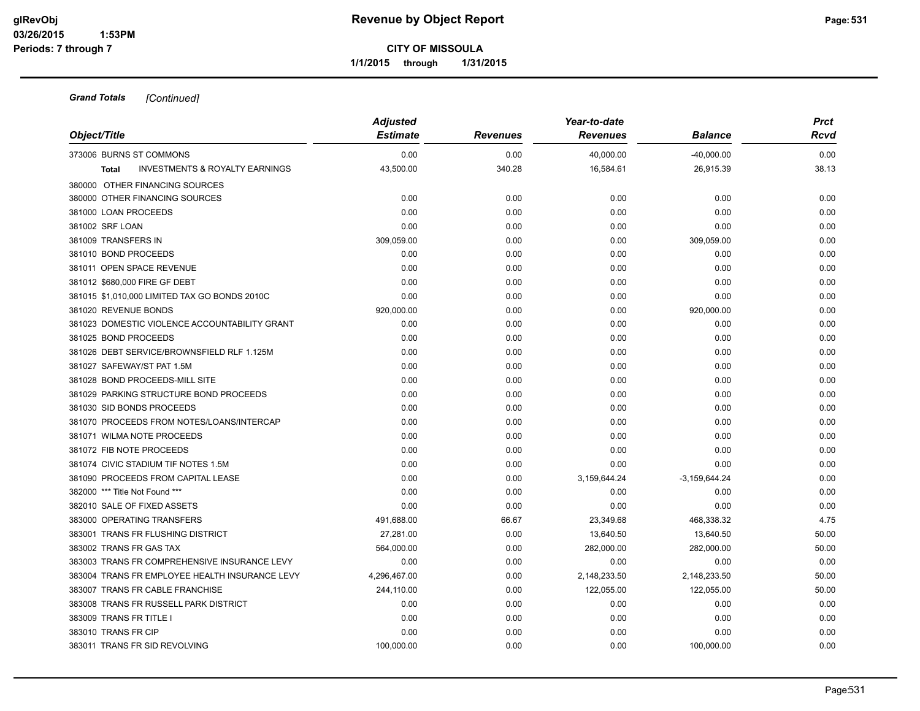**1/1/2015 through 1/31/2015**

| Object/Title                                              | <b>Adjusted</b><br><b>Estimate</b> | <b>Revenues</b> | Year-to-date<br><b>Revenues</b> | Balance           | Prct<br>Rcvd |
|-----------------------------------------------------------|------------------------------------|-----------------|---------------------------------|-------------------|--------------|
| 373006 BURNS ST COMMONS                                   | 0.00                               | 0.00            | 40,000.00                       | $-40,000.00$      | 0.00         |
| <b>INVESTMENTS &amp; ROYALTY EARNINGS</b><br><b>Total</b> | 43,500.00                          | 340.28          | 16,584.61                       | 26,915.39         | 38.13        |
| 380000 OTHER FINANCING SOURCES                            |                                    |                 |                                 |                   |              |
| 380000 OTHER FINANCING SOURCES                            | 0.00                               | 0.00            | 0.00                            | 0.00              | 0.00         |
| 381000 LOAN PROCEEDS                                      | 0.00                               | 0.00            | 0.00                            | 0.00              | 0.00         |
| 381002 SRF LOAN                                           | 0.00                               | 0.00            | 0.00                            | 0.00              | 0.00         |
| 381009 TRANSFERS IN                                       | 309,059.00                         | 0.00            | 0.00                            | 309,059.00        | 0.00         |
| 381010 BOND PROCEEDS                                      | 0.00                               | 0.00            | 0.00                            | 0.00              | 0.00         |
| 381011 OPEN SPACE REVENUE                                 | 0.00                               | 0.00            | 0.00                            | 0.00              | 0.00         |
| 381012 \$680,000 FIRE GF DEBT                             | 0.00                               | 0.00            | 0.00                            | 0.00              | 0.00         |
| 381015 \$1,010,000 LIMITED TAX GO BONDS 2010C             | 0.00                               | 0.00            | 0.00                            | 0.00              | 0.00         |
| 381020 REVENUE BONDS                                      | 920,000.00                         | 0.00            | 0.00                            | 920,000.00        | 0.00         |
| 381023 DOMESTIC VIOLENCE ACCOUNTABILITY GRANT             | 0.00                               | 0.00            | 0.00                            | 0.00              | 0.00         |
| 381025 BOND PROCEEDS                                      | 0.00                               | 0.00            | 0.00                            | 0.00              | 0.00         |
| 381026 DEBT SERVICE/BROWNSFIELD RLF 1.125M                | 0.00                               | 0.00            | 0.00                            | 0.00              | 0.00         |
| 381027 SAFEWAY/ST PAT 1.5M                                | 0.00                               | 0.00            | 0.00                            | 0.00              | 0.00         |
| 381028 BOND PROCEEDS-MILL SITE                            | 0.00                               | 0.00            | 0.00                            | 0.00              | 0.00         |
| 381029 PARKING STRUCTURE BOND PROCEEDS                    | 0.00                               | 0.00            | 0.00                            | 0.00              | 0.00         |
| 381030 SID BONDS PROCEEDS                                 | 0.00                               | 0.00            | 0.00                            | 0.00              | 0.00         |
| 381070 PROCEEDS FROM NOTES/LOANS/INTERCAP                 | 0.00                               | 0.00            | 0.00                            | 0.00              | 0.00         |
| 381071 WILMA NOTE PROCEEDS                                | 0.00                               | 0.00            | 0.00                            | 0.00              | 0.00         |
| 381072 FIB NOTE PROCEEDS                                  | 0.00                               | 0.00            | 0.00                            | 0.00              | 0.00         |
| 381074 CIVIC STADIUM TIF NOTES 1.5M                       | 0.00                               | 0.00            | 0.00                            | 0.00              | 0.00         |
| 381090 PROCEEDS FROM CAPITAL LEASE                        | 0.00                               | 0.00            | 3,159,644.24                    | $-3, 159, 644.24$ | 0.00         |
| 382000 *** Title Not Found ***                            | 0.00                               | 0.00            | 0.00                            | 0.00              | 0.00         |
| 382010 SALE OF FIXED ASSETS                               | 0.00                               | 0.00            | 0.00                            | 0.00              | 0.00         |
| 383000 OPERATING TRANSFERS                                | 491,688.00                         | 66.67           | 23,349.68                       | 468,338.32        | 4.75         |
| 383001 TRANS FR FLUSHING DISTRICT                         | 27,281.00                          | 0.00            | 13,640.50                       | 13,640.50         | 50.00        |
| 383002 TRANS FR GAS TAX                                   | 564,000.00                         | 0.00            | 282,000.00                      | 282,000.00        | 50.00        |
| 383003 TRANS FR COMPREHENSIVE INSURANCE LEVY              | 0.00                               | 0.00            | 0.00                            | 0.00              | 0.00         |
| 383004 TRANS FR EMPLOYEE HEALTH INSURANCE LEVY            | 4,296,467.00                       | 0.00            | 2,148,233.50                    | 2,148,233.50      | 50.00        |
| 383007 TRANS FR CABLE FRANCHISE                           | 244,110.00                         | 0.00            | 122,055.00                      | 122,055.00        | 50.00        |
| 383008 TRANS FR RUSSELL PARK DISTRICT                     | 0.00                               | 0.00            | 0.00                            | 0.00              | 0.00         |
| 383009 TRANS FR TITLE I                                   | 0.00                               | 0.00            | 0.00                            | 0.00              | 0.00         |
| 383010 TRANS FR CIP                                       | 0.00                               | 0.00            | 0.00                            | 0.00              | 0.00         |
| 383011 TRANS FR SID REVOLVING                             | 100.000.00                         | 0.00            | 0.00                            | 100,000.00        | 0.00         |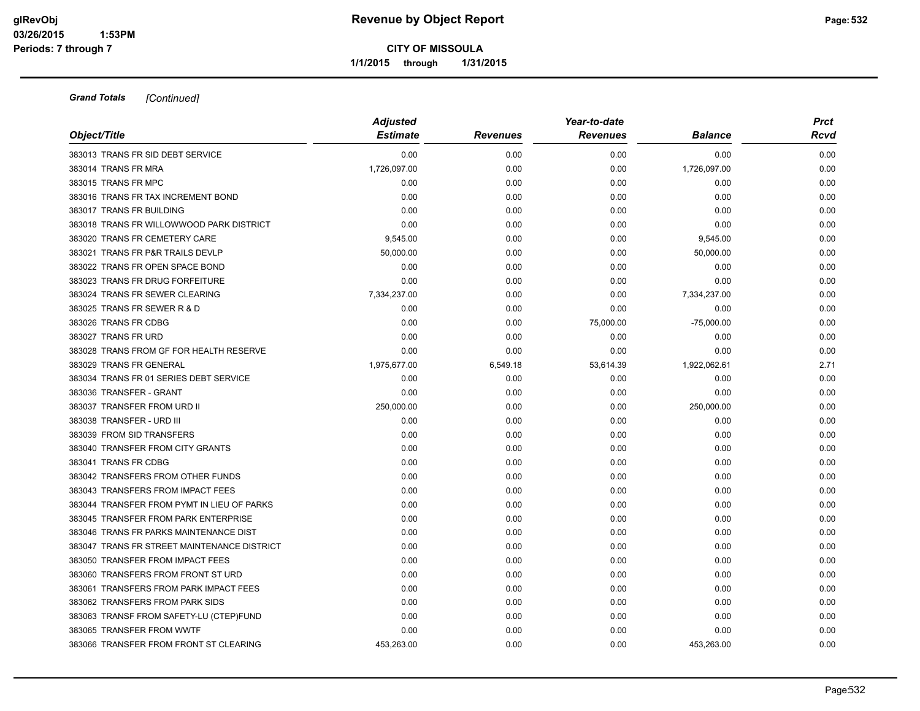**1/1/2015 through 1/31/2015**

| Object/Title                                | <b>Adjusted</b><br><b>Estimate</b> | <b>Revenues</b> | Year-to-date<br><b>Revenues</b> | <b>Balance</b> | <b>Prct</b><br>Rcvd |
|---------------------------------------------|------------------------------------|-----------------|---------------------------------|----------------|---------------------|
|                                             |                                    |                 |                                 |                |                     |
| 383013 TRANS FR SID DEBT SERVICE            | 0.00                               | 0.00            | 0.00                            | 0.00           | 0.00                |
| 383014 TRANS FR MRA                         | 1,726,097.00                       | 0.00            | 0.00                            | 1,726,097.00   | 0.00                |
| 383015 TRANS FR MPC                         | 0.00                               | 0.00            | 0.00                            | 0.00           | 0.00                |
| 383016 TRANS FR TAX INCREMENT BOND          | 0.00                               | 0.00            | 0.00                            | 0.00           | 0.00                |
| 383017 TRANS FR BUILDING                    | 0.00                               | 0.00            | 0.00                            | 0.00           | 0.00                |
| 383018 TRANS FR WILLOWWOOD PARK DISTRICT    | 0.00                               | 0.00            | 0.00                            | 0.00           | 0.00                |
| 383020 TRANS FR CEMETERY CARE               | 9,545.00                           | 0.00            | 0.00                            | 9,545.00       | 0.00                |
| 383021 TRANS FR P&R TRAILS DEVLP            | 50,000.00                          | 0.00            | 0.00                            | 50,000.00      | 0.00                |
| 383022 TRANS FR OPEN SPACE BOND             | 0.00                               | 0.00            | 0.00                            | 0.00           | 0.00                |
| 383023 TRANS FR DRUG FORFEITURE             | 0.00                               | 0.00            | 0.00                            | 0.00           | 0.00                |
| 383024 TRANS FR SEWER CLEARING              | 7,334,237.00                       | 0.00            | 0.00                            | 7,334,237.00   | 0.00                |
| 383025 TRANS FR SEWER R & D                 | 0.00                               | 0.00            | 0.00                            | 0.00           | 0.00                |
| 383026 TRANS FR CDBG                        | 0.00                               | 0.00            | 75,000.00                       | $-75,000.00$   | 0.00                |
| 383027 TRANS FR URD                         | 0.00                               | 0.00            | 0.00                            | 0.00           | 0.00                |
| 383028 TRANS FROM GF FOR HEALTH RESERVE     | 0.00                               | 0.00            | 0.00                            | 0.00           | 0.00                |
| 383029 TRANS FR GENERAL                     | 1,975,677.00                       | 6,549.18        | 53,614.39                       | 1,922,062.61   | 2.71                |
| 383034 TRANS FR 01 SERIES DEBT SERVICE      | 0.00                               | 0.00            | 0.00                            | 0.00           | 0.00                |
| 383036 TRANSFER - GRANT                     | 0.00                               | 0.00            | 0.00                            | 0.00           | 0.00                |
| 383037 TRANSFER FROM URD II                 | 250,000.00                         | 0.00            | 0.00                            | 250,000.00     | 0.00                |
| 383038 TRANSFER - URD III                   | 0.00                               | 0.00            | 0.00                            | 0.00           | 0.00                |
| 383039 FROM SID TRANSFERS                   | 0.00                               | 0.00            | 0.00                            | 0.00           | 0.00                |
| 383040 TRANSFER FROM CITY GRANTS            | 0.00                               | 0.00            | 0.00                            | 0.00           | 0.00                |
| 383041 TRANS FR CDBG                        | 0.00                               | 0.00            | 0.00                            | 0.00           | 0.00                |
| 383042 TRANSFERS FROM OTHER FUNDS           | 0.00                               | 0.00            | 0.00                            | 0.00           | 0.00                |
| 383043 TRANSFERS FROM IMPACT FEES           | 0.00                               | 0.00            | 0.00                            | 0.00           | 0.00                |
| 383044 TRANSFER FROM PYMT IN LIEU OF PARKS  | 0.00                               | 0.00            | 0.00                            | 0.00           | 0.00                |
| 383045 TRANSFER FROM PARK ENTERPRISE        | 0.00                               | 0.00            | 0.00                            | 0.00           | 0.00                |
| 383046 TRANS FR PARKS MAINTENANCE DIST      | 0.00                               | 0.00            | 0.00                            | 0.00           | 0.00                |
| 383047 TRANS FR STREET MAINTENANCE DISTRICT | 0.00                               | 0.00            | 0.00                            | 0.00           | 0.00                |
| 383050 TRANSFER FROM IMPACT FEES            | 0.00                               | 0.00            | 0.00                            | 0.00           | 0.00                |
| 383060 TRANSFERS FROM FRONT ST URD          | 0.00                               | 0.00            | 0.00                            | 0.00           | 0.00                |
| 383061 TRANSFERS FROM PARK IMPACT FEES      | 0.00                               | 0.00            | 0.00                            | 0.00           | 0.00                |
| 383062 TRANSFERS FROM PARK SIDS             | 0.00                               | 0.00            | 0.00                            | 0.00           | 0.00                |
| 383063 TRANSF FROM SAFETY-LU (CTEP)FUND     | 0.00                               | 0.00            | 0.00                            | 0.00           | 0.00                |
| 383065 TRANSFER FROM WWTF                   | 0.00                               | 0.00            | 0.00                            | 0.00           | 0.00                |
| 383066 TRANSFER FROM FRONT ST CLEARING      | 453.263.00                         | 0.00            | 0.00                            | 453,263.00     | 0.00                |